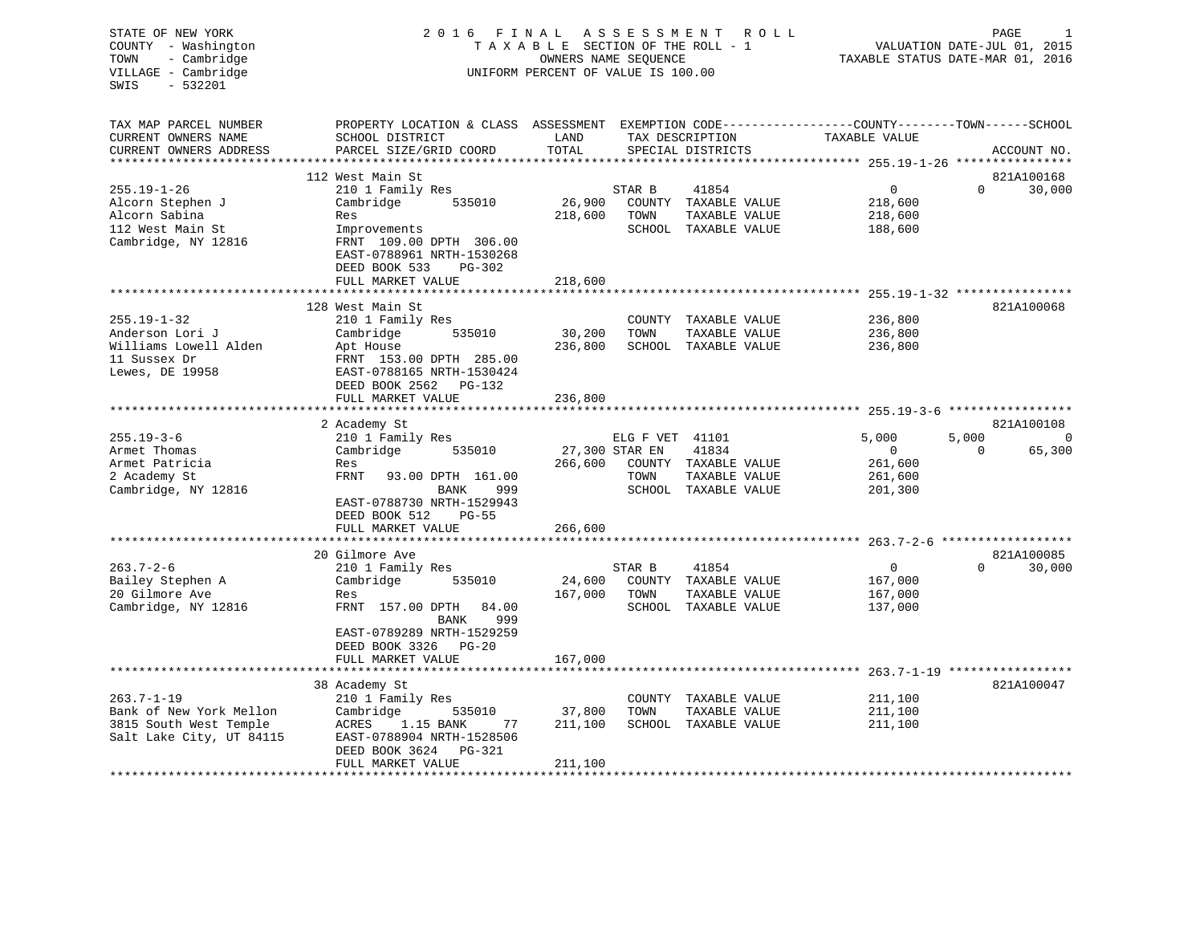| STATE OF NEW YORK<br>COUNTY - Washington<br>- Cambridge<br>TOWN<br>VILLAGE - Cambridge<br>$-532201$<br>SWIS | 2016 FINAL                                                                                                                                    | TAXABLE SECTION OF THE ROLL - 1<br>OWNERS NAME SEQUENCE<br>UNIFORM PERCENT OF VALUE IS 100.00 | A S S E S S M E N T | R O L L                              | TAXABLE STATUS DATE-MAR 01, 2016             | PAGE<br>VALUATION DATE-JUL 01, 2015 |                |
|-------------------------------------------------------------------------------------------------------------|-----------------------------------------------------------------------------------------------------------------------------------------------|-----------------------------------------------------------------------------------------------|---------------------|--------------------------------------|----------------------------------------------|-------------------------------------|----------------|
| TAX MAP PARCEL NUMBER<br>CURRENT OWNERS NAME<br>CURRENT OWNERS ADDRESS                                      | PROPERTY LOCATION & CLASS ASSESSMENT EXEMPTION CODE----------------COUNTY-------TOWN------SCHOOL<br>SCHOOL DISTRICT<br>PARCEL SIZE/GRID COORD | LAND<br>TOTAL                                                                                 |                     | TAX DESCRIPTION<br>SPECIAL DISTRICTS | TAXABLE VALUE                                |                                     | ACCOUNT NO.    |
|                                                                                                             | 112 West Main St                                                                                                                              |                                                                                               |                     |                                      |                                              |                                     | 821A100168     |
| $255.19 - 1 - 26$                                                                                           | 210 1 Family Res                                                                                                                              |                                                                                               | STAR B              | 41854                                | $\mathbf 0$                                  | $\Omega$                            | 30,000         |
| Alcorn Stephen J                                                                                            | Cambridge<br>535010                                                                                                                           | 26,900                                                                                        |                     | COUNTY TAXABLE VALUE                 | 218,600                                      |                                     |                |
| Alcorn Sabina                                                                                               | Res                                                                                                                                           | 218,600                                                                                       | TOWN                | TAXABLE VALUE                        | 218,600                                      |                                     |                |
| 112 West Main St                                                                                            | Improvements                                                                                                                                  |                                                                                               |                     | SCHOOL TAXABLE VALUE                 | 188,600                                      |                                     |                |
| Cambridge, NY 12816                                                                                         | FRNT 109.00 DPTH 306.00                                                                                                                       |                                                                                               |                     |                                      |                                              |                                     |                |
|                                                                                                             | EAST-0788961 NRTH-1530268                                                                                                                     |                                                                                               |                     |                                      |                                              |                                     |                |
|                                                                                                             | DEED BOOK 533<br>PG-302<br>FULL MARKET VALUE                                                                                                  | 218,600                                                                                       |                     |                                      |                                              |                                     |                |
|                                                                                                             |                                                                                                                                               |                                                                                               |                     |                                      | *************** 255.19-1-32 **************** |                                     |                |
|                                                                                                             | 128 West Main St                                                                                                                              |                                                                                               |                     |                                      |                                              |                                     | 821A100068     |
| $255.19 - 1 - 32$                                                                                           | 210 1 Family Res                                                                                                                              |                                                                                               |                     | COUNTY TAXABLE VALUE                 | 236,800                                      |                                     |                |
| Anderson Lori J                                                                                             | 535010<br>Cambridge                                                                                                                           | 30,200                                                                                        | TOWN                | TAXABLE VALUE                        | 236,800                                      |                                     |                |
| Williams Lowell Alden                                                                                       | Apt House                                                                                                                                     | 236,800                                                                                       |                     | SCHOOL TAXABLE VALUE                 | 236,800                                      |                                     |                |
| 11 Sussex Dr                                                                                                | FRNT 153.00 DPTH 285.00                                                                                                                       |                                                                                               |                     |                                      |                                              |                                     |                |
| Lewes, DE 19958                                                                                             | EAST-0788165 NRTH-1530424<br>DEED BOOK 2562 PG-132                                                                                            |                                                                                               |                     |                                      |                                              |                                     |                |
|                                                                                                             | FULL MARKET VALUE                                                                                                                             | 236,800                                                                                       |                     |                                      |                                              |                                     |                |
|                                                                                                             |                                                                                                                                               |                                                                                               |                     |                                      |                                              |                                     |                |
|                                                                                                             | 2 Academy St                                                                                                                                  |                                                                                               |                     |                                      |                                              |                                     | 821A100108     |
| $255.19 - 3 - 6$                                                                                            | 210 1 Family Res                                                                                                                              |                                                                                               | ELG F VET 41101     |                                      | 5,000                                        | 5,000                               | $\overline{0}$ |
| Armet Thomas                                                                                                | Cambridge<br>535010                                                                                                                           |                                                                                               | 27,300 STAR EN      | 41834                                | 0                                            | $\Omega$                            | 65,300         |
| Armet Patricia                                                                                              | Res                                                                                                                                           | 266,600                                                                                       |                     | COUNTY TAXABLE VALUE                 | 261,600                                      |                                     |                |
| 2 Academy St                                                                                                | FRNT<br>93.00 DPTH 161.00<br>BANK<br>999                                                                                                      |                                                                                               | TOWN                | TAXABLE VALUE                        | 261,600                                      |                                     |                |
| Cambridge, NY 12816                                                                                         | EAST-0788730 NRTH-1529943                                                                                                                     |                                                                                               |                     | SCHOOL TAXABLE VALUE                 | 201,300                                      |                                     |                |
|                                                                                                             | DEED BOOK 512<br><b>PG-55</b>                                                                                                                 |                                                                                               |                     |                                      |                                              |                                     |                |
|                                                                                                             | FULL MARKET VALUE                                                                                                                             | 266,600                                                                                       |                     |                                      |                                              |                                     |                |
|                                                                                                             |                                                                                                                                               |                                                                                               |                     |                                      | ******************** 263.7-2-6               |                                     |                |
|                                                                                                             | 20 Gilmore Ave                                                                                                                                |                                                                                               |                     |                                      |                                              |                                     | 821A100085     |
| $263.7 - 2 - 6$                                                                                             | 210 1 Family Res                                                                                                                              |                                                                                               | STAR B              | 41854                                | $\overline{0}$                               | $\Omega$                            | 30,000         |
| Bailey Stephen A                                                                                            | Cambridge<br>535010                                                                                                                           | 24,600                                                                                        |                     | COUNTY TAXABLE VALUE                 | 167,000                                      |                                     |                |
| 20 Gilmore Ave                                                                                              | Res                                                                                                                                           | 167,000                                                                                       | TOWN                | TAXABLE VALUE                        | 167,000                                      |                                     |                |
| Cambridge, NY 12816                                                                                         | FRNT 157.00 DPTH<br>84.00<br>999                                                                                                              |                                                                                               |                     | SCHOOL TAXABLE VALUE                 | 137,000                                      |                                     |                |
|                                                                                                             | BANK<br>EAST-0789289 NRTH-1529259<br>DEED BOOK 3326 PG-20                                                                                     |                                                                                               |                     |                                      |                                              |                                     |                |
|                                                                                                             | FULL MARKET VALUE                                                                                                                             | 167,000                                                                                       |                     |                                      |                                              |                                     |                |
|                                                                                                             | *****************                                                                                                                             |                                                                                               |                     |                                      | ********** 263.7-1-19 ****************       |                                     |                |
|                                                                                                             | 38 Academy St                                                                                                                                 |                                                                                               |                     |                                      |                                              |                                     | 821A100047     |
| $263.7 - 1 - 19$                                                                                            | 210 1 Family Res                                                                                                                              |                                                                                               |                     | COUNTY TAXABLE VALUE                 | 211,100                                      |                                     |                |
| Bank of New York Mellon                                                                                     | Cambridge<br>535010                                                                                                                           | 37,800                                                                                        | TOWN                | TAXABLE VALUE                        | 211,100                                      |                                     |                |
| 3815 South West Temple                                                                                      | ACRES<br>1.15 BANK<br>77                                                                                                                      | 211,100                                                                                       |                     | SCHOOL TAXABLE VALUE                 | 211,100                                      |                                     |                |
| Salt Lake City, UT 84115                                                                                    | EAST-0788904 NRTH-1528506<br>DEED BOOK 3624<br>PG-321                                                                                         |                                                                                               |                     |                                      |                                              |                                     |                |
|                                                                                                             | FULL MARKET VALUE                                                                                                                             | 211,100                                                                                       |                     |                                      |                                              |                                     |                |
|                                                                                                             |                                                                                                                                               |                                                                                               |                     |                                      |                                              |                                     |                |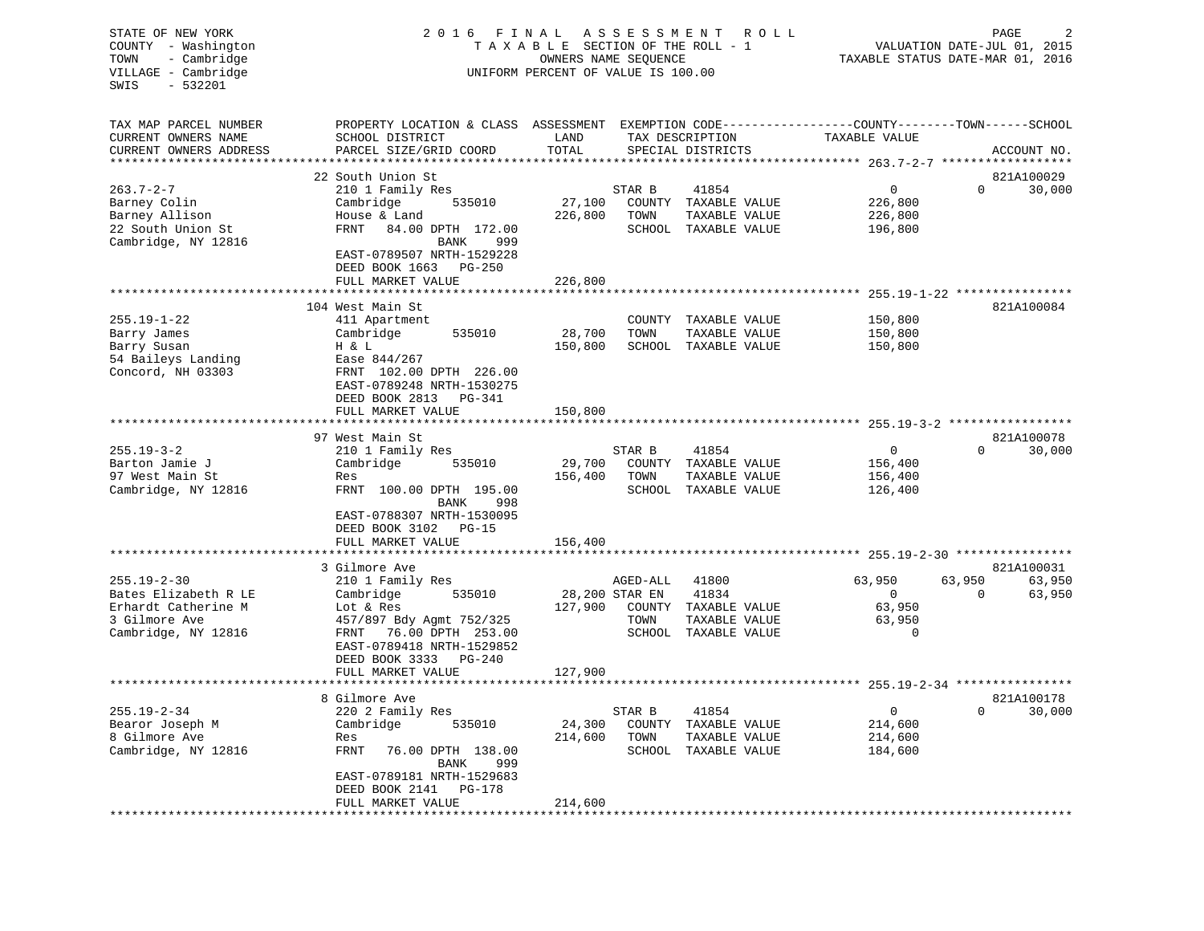| STATE OF NEW YORK<br>COUNTY<br>- Washington<br>- Cambridge<br>TOWN<br>VILLAGE - Cambridge<br>SWIS<br>$-532201$ | 2 0 1 6<br>FINAL<br>TAXABLE                                                                      | OWNERS NAME SEQUENCE<br>UNIFORM PERCENT OF VALUE IS 100.00 | ASSESSMENT<br>SECTION OF THE ROLL - 1 |                                      | R O L L | PAGE<br>2<br>VALUATION DATE-JUL 01, 2015<br>TAXABLE STATUS DATE-MAR 01, 2016 |                                    |             |
|----------------------------------------------------------------------------------------------------------------|--------------------------------------------------------------------------------------------------|------------------------------------------------------------|---------------------------------------|--------------------------------------|---------|------------------------------------------------------------------------------|------------------------------------|-------------|
| TAX MAP PARCEL NUMBER                                                                                          | PROPERTY LOCATION & CLASS ASSESSMENT EXEMPTION CODE---------------COUNTY-------TOWN-----SCHOOL   |                                                            |                                       |                                      |         |                                                                              |                                    |             |
| CURRENT OWNERS NAME<br>CURRENT OWNERS ADDRESS                                                                  | SCHOOL DISTRICT<br>PARCEL SIZE/GRID COORD<br>*****************                                   | LAND<br>TOTAL<br>******                                    |                                       | TAX DESCRIPTION<br>SPECIAL DISTRICTS |         | TAXABLE VALUE<br>**************************** 263.7-2-7 ******************   |                                    | ACCOUNT NO. |
|                                                                                                                | 22 South Union St                                                                                |                                                            |                                       |                                      |         |                                                                              |                                    | 821A100029  |
| $263.7 - 2 - 7$                                                                                                |                                                                                                  |                                                            | STAR B                                | 41854                                |         | 0                                                                            | 0                                  |             |
| Barney Colin                                                                                                   | 210 1 Family Res<br>Cambridge<br>535010                                                          | 27,100                                                     | COUNTY                                | TAXABLE VALUE                        |         | 226,800                                                                      |                                    | 30,000      |
| Barney Allison                                                                                                 | House & Land                                                                                     | 226,800                                                    | TOWN                                  | TAXABLE VALUE                        |         | 226,800                                                                      |                                    |             |
| 22 South Union St                                                                                              | FRNT                                                                                             |                                                            |                                       | SCHOOL TAXABLE VALUE                 |         |                                                                              |                                    |             |
| Cambridge, NY 12816                                                                                            | 84.00 DPTH 172.00<br>BANK<br>999<br>EAST-0789507 NRTH-1529228<br>DEED BOOK 1663<br>PG-250        |                                                            |                                       |                                      |         | 196,800                                                                      |                                    |             |
|                                                                                                                | FULL MARKET VALUE                                                                                | 226,800                                                    |                                       |                                      |         |                                                                              |                                    |             |
|                                                                                                                | ******************                                                                               |                                                            |                                       |                                      |         |                                                                              | $255.19 - 1 - 22$ **************** |             |
|                                                                                                                | 104 West Main St                                                                                 |                                                            |                                       |                                      |         |                                                                              |                                    | 821A100084  |
| $255.19 - 1 - 22$                                                                                              | 411 Apartment                                                                                    |                                                            | COUNTY                                | TAXABLE VALUE                        |         | 150,800                                                                      |                                    |             |
| Barry James                                                                                                    | Cambridge<br>535010                                                                              | 28,700                                                     | TOWN                                  | TAXABLE VALUE                        |         | 150,800                                                                      |                                    |             |
| Barry Susan                                                                                                    | H & L                                                                                            | 150,800                                                    |                                       | SCHOOL TAXABLE VALUE                 |         | 150,800                                                                      |                                    |             |
| 54 Baileys Landing<br>Concord, NH 03303                                                                        | Ease 844/267<br>FRNT 102.00 DPTH 226.00<br>EAST-0789248 NRTH-1530275<br>DEED BOOK 2813<br>PG-341 |                                                            |                                       |                                      |         |                                                                              |                                    |             |
|                                                                                                                | FULL MARKET VALUE                                                                                | 150,800                                                    |                                       |                                      |         |                                                                              |                                    |             |
|                                                                                                                |                                                                                                  |                                                            |                                       |                                      |         |                                                                              |                                    |             |
|                                                                                                                | 97 West Main St                                                                                  |                                                            |                                       |                                      |         |                                                                              |                                    | 821A100078  |
| $255.19 - 3 - 2$                                                                                               | 210 1 Family Res                                                                                 |                                                            | STAR B                                | 41854                                |         | 0                                                                            | $\Omega$                           | 30,000      |
| Barton Jamie J                                                                                                 | Cambridge<br>535010                                                                              | 29,700                                                     | COUNTY                                | TAXABLE VALUE                        |         | 156,400                                                                      |                                    |             |
| 97 West Main St                                                                                                | Res                                                                                              | 156,400                                                    | TOWN                                  | TAXABLE VALUE                        |         | 156,400                                                                      |                                    |             |
| Cambridge, NY 12816                                                                                            | FRNT 100.00 DPTH 195.00<br>BANK<br>998                                                           |                                                            |                                       | SCHOOL TAXABLE VALUE                 |         | 126,400                                                                      |                                    |             |
|                                                                                                                | EAST-0788307 NRTH-1530095<br>DEED BOOK 3102 PG-15<br>FULL MARKET VALUE                           | 156,400                                                    |                                       |                                      |         |                                                                              |                                    |             |
|                                                                                                                |                                                                                                  |                                                            |                                       |                                      |         |                                                                              |                                    |             |
|                                                                                                                | 3 Gilmore Ave                                                                                    |                                                            |                                       |                                      |         |                                                                              |                                    | 821A100031  |
| $255.19 - 2 - 30$                                                                                              | 210 1 Family Res                                                                                 |                                                            | AGED-ALL                              | 41800                                |         | 63,950                                                                       | 63,950                             | 63,950      |
| Bates Elizabeth R LE                                                                                           | Cambridge<br>535010                                                                              |                                                            | 28,200 STAR EN                        | 41834                                |         | $\mathbf{0}$                                                                 | $\Omega$                           | 63,950      |
| Erhardt Catherine M                                                                                            | Lot & Res                                                                                        | 127,900                                                    | COUNTY                                | TAXABLE VALUE                        |         | 63,950                                                                       |                                    |             |
| 3 Gilmore Ave                                                                                                  | 457/897 Bdy Agmt 752/325                                                                         |                                                            | TOWN                                  | TAXABLE VALUE                        |         | 63,950                                                                       |                                    |             |
| Cambridge, NY 12816                                                                                            | FRNT<br>76.00 DPTH 253.00                                                                        |                                                            |                                       |                                      |         | $\mathbf 0$                                                                  |                                    |             |
|                                                                                                                | EAST-0789418 NRTH-1529852<br>DEED BOOK 3333<br>$PG-240$                                          |                                                            |                                       | SCHOOL TAXABLE VALUE                 |         |                                                                              |                                    |             |
|                                                                                                                | FULL MARKET VALUE                                                                                | 127,900                                                    |                                       |                                      |         |                                                                              |                                    |             |
|                                                                                                                |                                                                                                  |                                                            |                                       |                                      |         | ********************** 255.19-2-34 *****************                         |                                    |             |
|                                                                                                                | 8 Gilmore Ave                                                                                    |                                                            |                                       |                                      |         |                                                                              |                                    | 821A100178  |
| $255.19 - 2 - 34$                                                                                              | 220 2 Family Res                                                                                 |                                                            | STAR B                                | 41854                                |         | 0                                                                            | 0                                  | 30,000      |
| Bearor Joseph M                                                                                                | Cambridge<br>535010                                                                              | 24,300                                                     | COUNTY                                | TAXABLE VALUE                        |         | 214,600                                                                      |                                    |             |
| 8 Gilmore Ave                                                                                                  | Res                                                                                              | 214,600                                                    | TOWN                                  | TAXABLE VALUE                        |         | 214,600                                                                      |                                    |             |
| Cambridge, NY 12816                                                                                            | FRNT<br>76.00 DPTH 138.00<br>BANK<br>999                                                         |                                                            | SCHOOL                                | TAXABLE VALUE                        |         | 184,600                                                                      |                                    |             |
|                                                                                                                | EAST-0789181 NRTH-1529683<br>DEED BOOK 2141<br>PG-178                                            |                                                            |                                       |                                      |         |                                                                              |                                    |             |
|                                                                                                                | FULL MARKET VALUE                                                                                | 214,600                                                    |                                       |                                      |         |                                                                              |                                    |             |
|                                                                                                                |                                                                                                  |                                                            |                                       |                                      |         |                                                                              |                                    |             |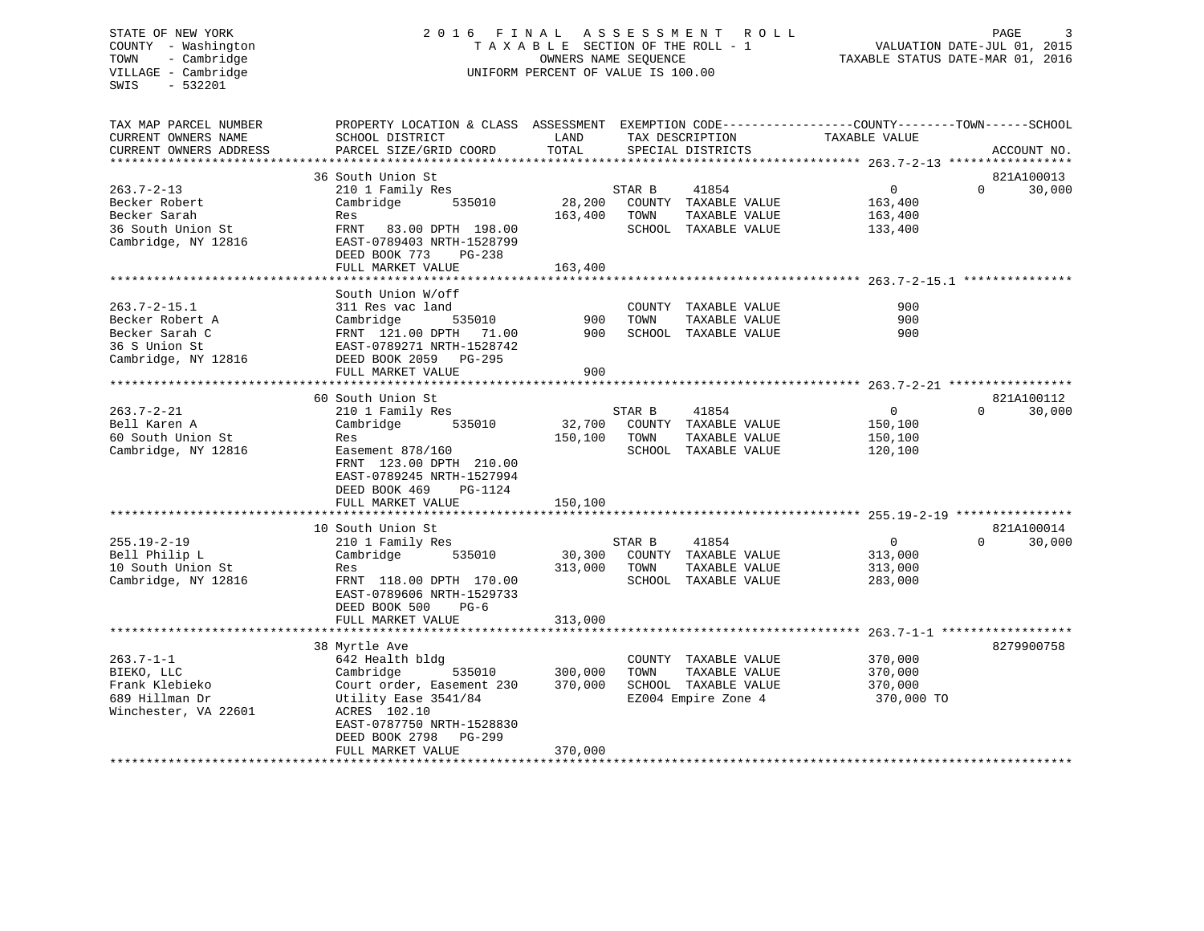#### COUNTY - Washington  $T A X A B L E$  SECTION OF THE ROLL - 1<br>TOWN - Cambridge  $\sim$  000NERS NAME SEQUENCE TOWN - Cambridge OWNERS NAME SEQUENCE TAXABLE STATUS DATE-MAR 01, 2016 UNIFORM PERCENT OF VALUE IS 100.00

STATE OF NEW YORK 2016 FINAL ASSESSMENT ROLL PAGE 3 VALUATION DATE-JUL 01, 2015

| TAX MAP PARCEL NUMBER  | PROPERTY LOCATION & CLASS ASSESSMENT EXEMPTION CODE----------------COUNTY-------TOWN------SCHOOL |         |        |                      |                |          |             |
|------------------------|--------------------------------------------------------------------------------------------------|---------|--------|----------------------|----------------|----------|-------------|
| CURRENT OWNERS NAME    | SCHOOL DISTRICT                                                                                  | LAND    |        | TAX DESCRIPTION      | TAXABLE VALUE  |          |             |
| CURRENT OWNERS ADDRESS | PARCEL SIZE/GRID COORD                                                                           | TOTAL   |        | SPECIAL DISTRICTS    |                |          | ACCOUNT NO. |
|                        |                                                                                                  |         |        |                      |                |          |             |
|                        | 36 South Union St                                                                                |         |        |                      |                |          | 821A100013  |
| $263.7 - 2 - 13$       | 210 1 Family Res                                                                                 |         | STAR B | 41854                | $\Omega$       | $\Omega$ | 30,000      |
| Becker Robert          | Cambridge<br>535010                                                                              | 28,200  |        | COUNTY TAXABLE VALUE | 163,400        |          |             |
| Becker Sarah           | Res                                                                                              | 163,400 | TOWN   | TAXABLE VALUE        | 163,400        |          |             |
| 36 South Union St      | FRNT 83.00 DPTH 198.00                                                                           |         |        | SCHOOL TAXABLE VALUE | 133,400        |          |             |
| Cambridge, NY 12816    | EAST-0789403 NRTH-1528799                                                                        |         |        |                      |                |          |             |
|                        |                                                                                                  |         |        |                      |                |          |             |
|                        | DEED BOOK 773<br>$PG-238$                                                                        |         |        |                      |                |          |             |
|                        | FULL MARKET VALUE                                                                                | 163,400 |        |                      |                |          |             |
|                        |                                                                                                  |         |        |                      |                |          |             |
|                        | South Union W/off                                                                                |         |        |                      |                |          |             |
| $263.7 - 2 - 15.1$     | 311 Res vac land                                                                                 |         |        | COUNTY TAXABLE VALUE | 900            |          |             |
| Becker Robert A        | 535010<br>Cambridge                                                                              | 900     | TOWN   | TAXABLE VALUE        | 900            |          |             |
| Becker Sarah C         | FRNT 121.00 DPTH 71.00                                                                           | 900     |        | SCHOOL TAXABLE VALUE | 900            |          |             |
| 36 S Union St          | EAST-0789271 NRTH-1528742                                                                        |         |        |                      |                |          |             |
| Cambridge, NY 12816    | DEED BOOK 2059 PG-295                                                                            |         |        |                      |                |          |             |
|                        | FULL MARKET VALUE                                                                                | 900     |        |                      |                |          |             |
|                        |                                                                                                  |         |        |                      |                |          |             |
|                        | 60 South Union St                                                                                |         |        |                      |                |          | 821A100112  |
| $263.7 - 2 - 21$       | 210 1 Family Res                                                                                 |         | STAR B | 41854                | $\mathbf{0}$   | 0        | 30,000      |
| Bell Karen A           | 535010<br>Cambridge                                                                              | 32,700  |        | COUNTY TAXABLE VALUE | 150,100        |          |             |
| 60 South Union St      | Res                                                                                              | 150,100 | TOWN   | TAXABLE VALUE        | 150,100        |          |             |
| Cambridge, NY 12816    | Easement 878/160                                                                                 |         |        | SCHOOL TAXABLE VALUE | 120,100        |          |             |
|                        | FRNT 123.00 DPTH 210.00                                                                          |         |        |                      |                |          |             |
|                        | EAST-0789245 NRTH-1527994                                                                        |         |        |                      |                |          |             |
|                        |                                                                                                  |         |        |                      |                |          |             |
|                        | DEED BOOK 469<br>PG-1124                                                                         |         |        |                      |                |          |             |
|                        | FULL MARKET VALUE                                                                                | 150,100 |        |                      |                |          |             |
|                        |                                                                                                  |         |        |                      |                |          |             |
|                        | 10 South Union St                                                                                |         |        |                      |                |          | 821A100014  |
| $255.19 - 2 - 19$      | 210 1 Family Res                                                                                 |         | STAR B | 41854                | $\overline{0}$ | $\Omega$ | 30,000      |
| Bell Philip L          | Cambridge<br>535010                                                                              | 30,300  |        | COUNTY TAXABLE VALUE | 313,000        |          |             |
| 10 South Union St      | Res                                                                                              | 313,000 | TOWN   | TAXABLE VALUE        | 313,000        |          |             |
| Cambridge, NY 12816    | FRNT 118.00 DPTH 170.00                                                                          |         |        | SCHOOL TAXABLE VALUE | 283,000        |          |             |
|                        | EAST-0789606 NRTH-1529733                                                                        |         |        |                      |                |          |             |
|                        | DEED BOOK 500<br>$PG-6$                                                                          |         |        |                      |                |          |             |
|                        | FULL MARKET VALUE                                                                                | 313,000 |        |                      |                |          |             |
|                        |                                                                                                  |         |        |                      |                |          |             |
|                        | 38 Myrtle Ave                                                                                    |         |        |                      |                |          | 8279900758  |
| $263.7 - 1 - 1$        | 642 Health bldg                                                                                  |         |        | COUNTY TAXABLE VALUE | 370,000        |          |             |
| BIEKO, LLC             | 535010<br>Cambridge                                                                              | 300,000 | TOWN   | TAXABLE VALUE        | 370,000        |          |             |
| Frank Klebieko         | Court order, Easement 230                                                                        | 370,000 |        | SCHOOL TAXABLE VALUE | 370,000        |          |             |
|                        |                                                                                                  |         |        |                      |                |          |             |
| 689 Hillman Dr         | Utility Ease 3541/84                                                                             |         |        | EZ004 Empire Zone 4  | 370,000 TO     |          |             |
| Winchester, VA 22601   | ACRES 102.10                                                                                     |         |        |                      |                |          |             |
|                        | EAST-0787750 NRTH-1528830                                                                        |         |        |                      |                |          |             |
|                        | DEED BOOK 2798<br>PG-299                                                                         |         |        |                      |                |          |             |
|                        | FULL MARKET VALUE                                                                                | 370,000 |        |                      |                |          |             |
|                        |                                                                                                  |         |        |                      |                |          |             |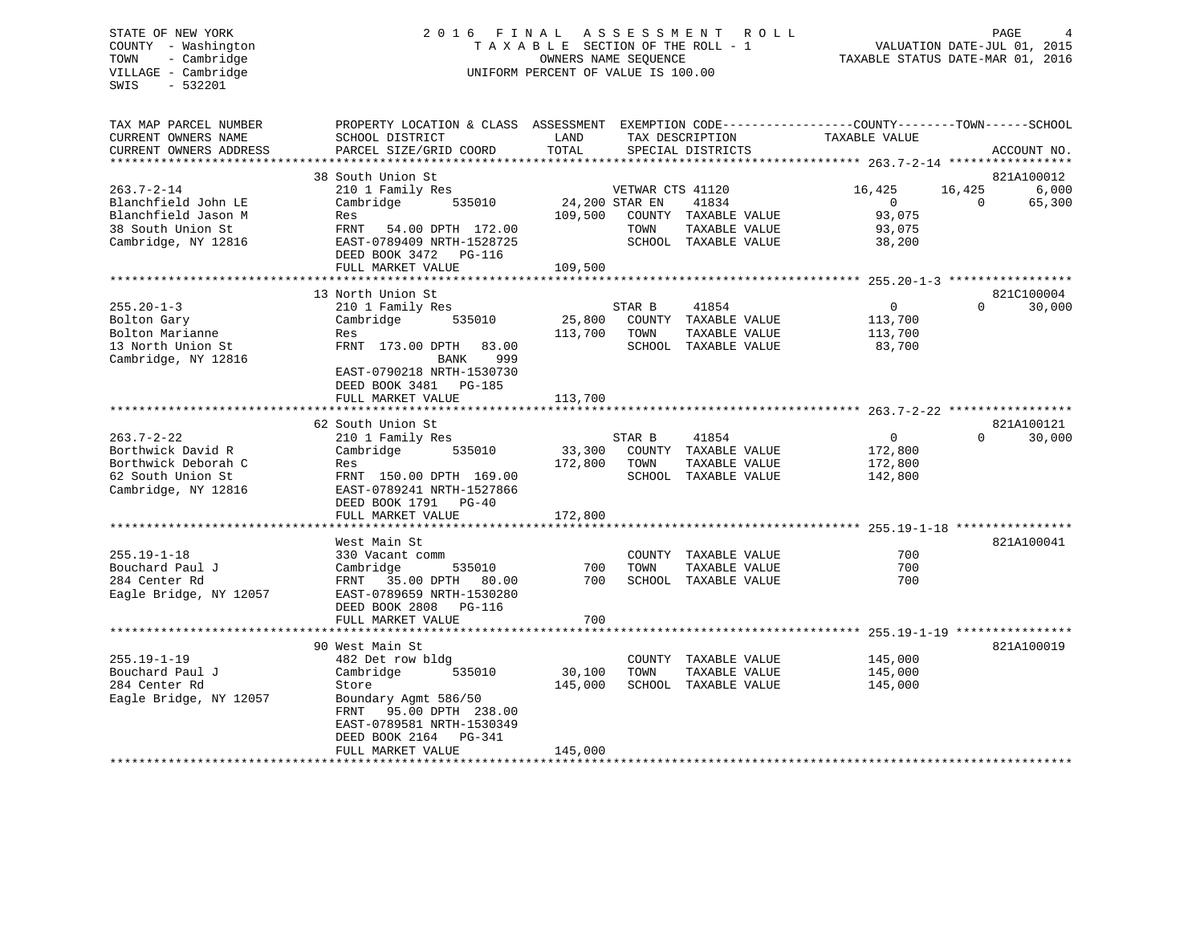# STATE OF NEW YORK 2 0 1 6 F I N A L A S S E S S M E N T R O L L PAGE 4 COUNTY - Washington T A X A B L E SECTION OF THE ROLL - 1 VALUATION DATE-JUL 01, 2015 TOWN - Cambridge OWNERS NAME SEQUENCE TAXABLE STATUS DATE-MAR 01, 2016 UNIFORM PERCENT OF VALUE IS 100.00

| TAX MAP PARCEL NUMBER<br>CURRENT OWNERS NAME<br>CURRENT OWNERS ADDRESS | PROPERTY LOCATION & CLASS ASSESSMENT<br>SCHOOL DISTRICT<br>PARCEL SIZE/GRID COORD | LAND<br>TOTAL     |                                    | TAX DESCRIPTION<br>SPECIAL DISTRICTS  | EXEMPTION CODE-----------------COUNTY-------TOWN------SCHOOL<br>TAXABLE VALUE |                    | ACCOUNT NO.     |
|------------------------------------------------------------------------|-----------------------------------------------------------------------------------|-------------------|------------------------------------|---------------------------------------|-------------------------------------------------------------------------------|--------------------|-----------------|
| ********************                                                   |                                                                                   |                   |                                    |                                       |                                                                               |                    |                 |
|                                                                        | 38 South Union St                                                                 |                   |                                    |                                       |                                                                               |                    | 821A100012      |
| $263.7 - 2 - 14$<br>Blanchfield John LE                                | 210 1 Family Res<br>Cambridge<br>535010                                           |                   | VETWAR CTS 41120<br>24,200 STAR EN | 41834                                 | 16,425<br>$\overline{0}$                                                      | 16,425<br>$\Omega$ | 6,000<br>65,300 |
| Blanchfield Jason M                                                    | Res                                                                               | 109,500           |                                    | COUNTY TAXABLE VALUE                  | 93,075                                                                        |                    |                 |
| 38 South Union St                                                      | FRNT<br>54.00 DPTH 172.00                                                         |                   | TOWN                               | TAXABLE VALUE                         | 93,075                                                                        |                    |                 |
| Cambridge, NY 12816                                                    | EAST-0789409 NRTH-1528725                                                         |                   |                                    | SCHOOL TAXABLE VALUE                  | 38,200                                                                        |                    |                 |
|                                                                        | DEED BOOK 3472 PG-116                                                             |                   |                                    |                                       |                                                                               |                    |                 |
|                                                                        | FULL MARKET VALUE                                                                 | 109,500           |                                    |                                       |                                                                               |                    |                 |
|                                                                        |                                                                                   |                   |                                    |                                       |                                                                               |                    |                 |
|                                                                        | 13 North Union St                                                                 |                   |                                    |                                       |                                                                               | $\Omega$           | 821C100004      |
| $255.20 - 1 - 3$<br>Bolton Gary                                        | 210 1 Family Res<br>535010<br>Cambridge                                           | 25,800            | STAR B                             | 41854<br>COUNTY TAXABLE VALUE         | $\mathbf{0}$<br>113,700                                                       |                    | 30,000          |
| Bolton Marianne                                                        | Res                                                                               | 113,700           | TOWN                               | TAXABLE VALUE                         | 113,700                                                                       |                    |                 |
| 13 North Union St                                                      | FRNT 173.00 DPTH<br>83.00                                                         |                   |                                    | SCHOOL TAXABLE VALUE                  | 83,700                                                                        |                    |                 |
| Cambridge, NY 12816                                                    | 999<br>BANK                                                                       |                   |                                    |                                       |                                                                               |                    |                 |
|                                                                        | EAST-0790218 NRTH-1530730                                                         |                   |                                    |                                       |                                                                               |                    |                 |
|                                                                        | DEED BOOK 3481<br>PG-185                                                          |                   |                                    |                                       |                                                                               |                    |                 |
|                                                                        | FULL MARKET VALUE                                                                 | 113,700           |                                    |                                       |                                                                               |                    |                 |
|                                                                        |                                                                                   |                   |                                    |                                       |                                                                               |                    |                 |
|                                                                        | 62 South Union St                                                                 |                   |                                    |                                       |                                                                               |                    | 821A100121      |
| $263.7 - 2 - 22$                                                       | 210 1 Family Res                                                                  |                   | STAR B                             | 41854                                 | $\Omega$                                                                      | $\Omega$           | 30,000          |
| Borthwick David R<br>Borthwick Deborah C                               | Cambridge<br>535010<br>Res                                                        | 33,300<br>172,800 | TOWN                               | COUNTY TAXABLE VALUE<br>TAXABLE VALUE | 172,800<br>172,800                                                            |                    |                 |
| 62 South Union St                                                      | FRNT 150.00 DPTH 169.00                                                           |                   |                                    | SCHOOL TAXABLE VALUE                  | 142,800                                                                       |                    |                 |
| Cambridge, NY 12816                                                    | EAST-0789241 NRTH-1527866                                                         |                   |                                    |                                       |                                                                               |                    |                 |
|                                                                        | DEED BOOK 1791<br>$PG-40$                                                         |                   |                                    |                                       |                                                                               |                    |                 |
|                                                                        | FULL MARKET VALUE                                                                 | 172,800           |                                    |                                       |                                                                               |                    |                 |
|                                                                        |                                                                                   |                   |                                    |                                       | ******************************* 255.19-1-18 *****************                 |                    |                 |
|                                                                        | West Main St                                                                      |                   |                                    |                                       |                                                                               |                    | 821A100041      |
| $255.19 - 1 - 18$                                                      | 330 Vacant comm                                                                   |                   |                                    | COUNTY TAXABLE VALUE                  | 700                                                                           |                    |                 |
| Bouchard Paul J                                                        | Cambridge<br>535010                                                               | 700               | TOWN                               | TAXABLE VALUE                         | 700                                                                           |                    |                 |
| 284 Center Rd<br>Eagle Bridge, NY 12057                                | 35.00 DPTH 80.00<br>FRNT<br>EAST-0789659 NRTH-1530280                             | 700               |                                    | SCHOOL TAXABLE VALUE                  | 700                                                                           |                    |                 |
|                                                                        | DEED BOOK 2808<br><b>PG-116</b>                                                   |                   |                                    |                                       |                                                                               |                    |                 |
|                                                                        | FULL MARKET VALUE                                                                 | 700               |                                    |                                       |                                                                               |                    |                 |
|                                                                        |                                                                                   |                   |                                    |                                       |                                                                               |                    |                 |
|                                                                        | 90 West Main St                                                                   |                   |                                    |                                       |                                                                               |                    | 821A100019      |
| $255.19 - 1 - 19$                                                      | 482 Det row bldg                                                                  |                   |                                    | COUNTY TAXABLE VALUE                  | 145,000                                                                       |                    |                 |
| Bouchard Paul J                                                        | Cambridge<br>535010                                                               | 30,100            | TOWN                               | TAXABLE VALUE                         | 145,000                                                                       |                    |                 |
| 284 Center Rd                                                          | Store                                                                             | 145,000           |                                    | SCHOOL TAXABLE VALUE                  | 145,000                                                                       |                    |                 |
| Eagle Bridge, NY 12057                                                 | Boundary Agmt 586/50                                                              |                   |                                    |                                       |                                                                               |                    |                 |
|                                                                        | 95.00 DPTH 238.00<br>FRNT<br>EAST-0789581 NRTH-1530349                            |                   |                                    |                                       |                                                                               |                    |                 |
|                                                                        | DEED BOOK 2164<br>PG-341                                                          |                   |                                    |                                       |                                                                               |                    |                 |
|                                                                        | FULL MARKET VALUE                                                                 | 145,000           |                                    |                                       |                                                                               |                    |                 |
|                                                                        |                                                                                   |                   |                                    |                                       |                                                                               |                    |                 |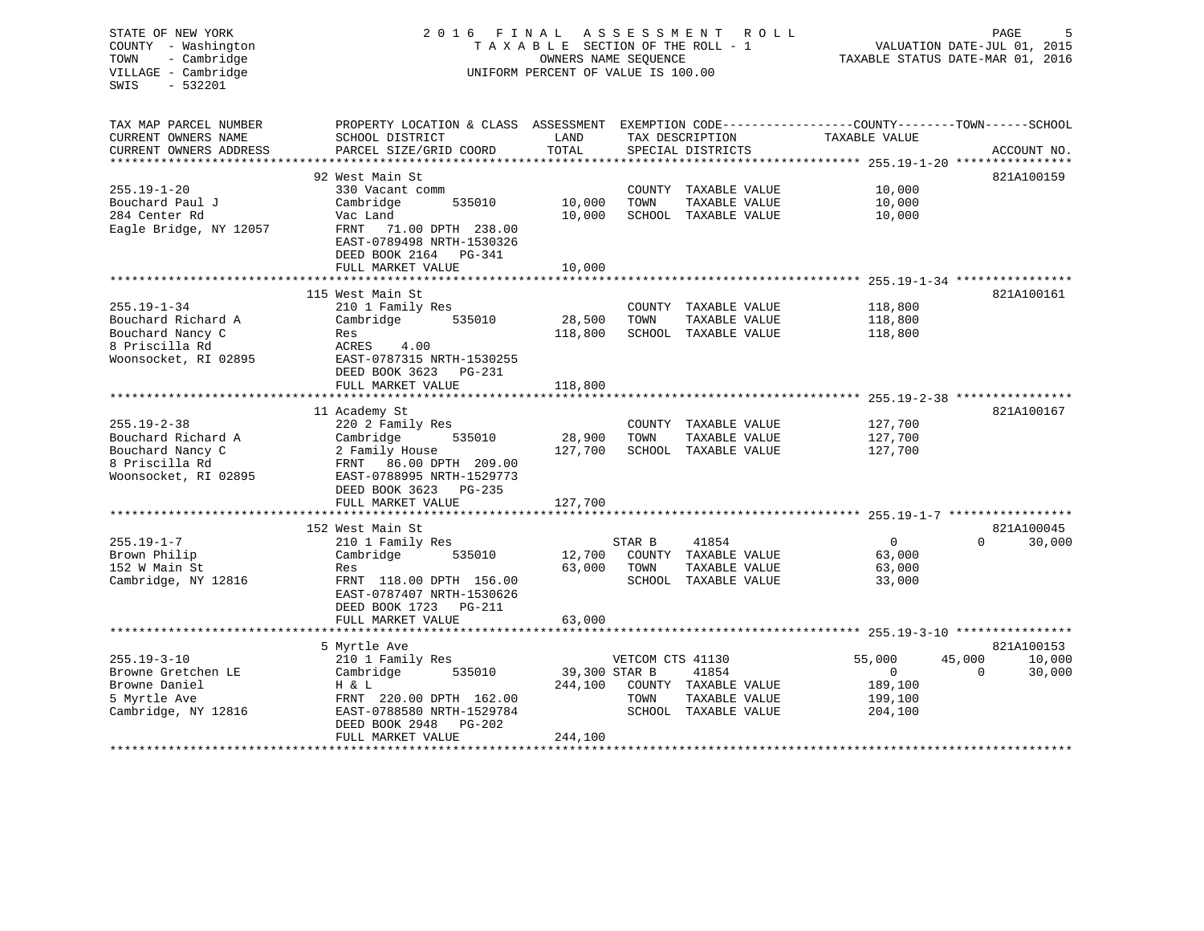| STATE OF NEW YORK<br>COUNTY - Washington<br>- Cambridge<br>TOWN<br>VILLAGE - Cambridge<br>$-532201$<br>SWIS | 2016                                                                                               | FINAL<br>TAXABLE SECTION OF THE ROLL - 1<br>OWNERS NAME SEQUENCE<br>UNIFORM PERCENT OF VALUE IS 100.00 | A S S E S S M E N T | R O L L                              | TAXABLE STATUS DATE-MAR 01, 2016                                              | PAGE<br>VALUATION DATE-JUL 01, 2015 |             |
|-------------------------------------------------------------------------------------------------------------|----------------------------------------------------------------------------------------------------|--------------------------------------------------------------------------------------------------------|---------------------|--------------------------------------|-------------------------------------------------------------------------------|-------------------------------------|-------------|
| TAX MAP PARCEL NUMBER<br>CURRENT OWNERS NAME<br>CURRENT OWNERS ADDRESS                                      | PROPERTY LOCATION & CLASS ASSESSMENT<br>SCHOOL DISTRICT<br>PARCEL SIZE/GRID COORD                  | LAND<br>TOTAL                                                                                          |                     | TAX DESCRIPTION<br>SPECIAL DISTRICTS | EXEMPTION CODE-----------------COUNTY-------TOWN------SCHOOL<br>TAXABLE VALUE |                                     | ACCOUNT NO. |
| *********************                                                                                       | 92 West Main St                                                                                    |                                                                                                        |                     |                                      |                                                                               |                                     | 821A100159  |
| $255.19 - 1 - 20$                                                                                           | 330 Vacant comm                                                                                    |                                                                                                        |                     | COUNTY TAXABLE VALUE                 | 10,000                                                                        |                                     |             |
| Bouchard Paul J                                                                                             | Cambridge<br>535010                                                                                | 10,000                                                                                                 | TOWN                | TAXABLE VALUE                        | 10,000                                                                        |                                     |             |
| 284 Center Rd                                                                                               | Vac Land                                                                                           | 10,000                                                                                                 |                     | SCHOOL TAXABLE VALUE                 | 10,000                                                                        |                                     |             |
| Eagle Bridge, NY 12057                                                                                      | FRNT 71.00 DPTH 238.00<br>EAST-0789498 NRTH-1530326<br>DEED BOOK 2164 PG-341                       |                                                                                                        |                     |                                      |                                                                               |                                     |             |
|                                                                                                             | FULL MARKET VALUE                                                                                  | 10,000                                                                                                 |                     |                                      |                                                                               |                                     |             |
|                                                                                                             | 115 West Main St                                                                                   |                                                                                                        |                     |                                      |                                                                               |                                     | 821A100161  |
| $255.19 - 1 - 34$                                                                                           | 210 1 Family Res                                                                                   |                                                                                                        |                     | COUNTY TAXABLE VALUE                 | 118,800                                                                       |                                     |             |
| Bouchard Richard A                                                                                          | Cambridge<br>535010                                                                                | 28,500                                                                                                 | TOWN                | TAXABLE VALUE                        | 118,800                                                                       |                                     |             |
| Bouchard Nancy C                                                                                            | Res                                                                                                | 118,800                                                                                                |                     | SCHOOL TAXABLE VALUE                 | 118,800                                                                       |                                     |             |
| 8 Priscilla Rd                                                                                              | ACRES<br>4.00                                                                                      |                                                                                                        |                     |                                      |                                                                               |                                     |             |
| Woonsocket, RI 02895                                                                                        | EAST-0787315 NRTH-1530255                                                                          |                                                                                                        |                     |                                      |                                                                               |                                     |             |
|                                                                                                             | DEED BOOK 3623 PG-231                                                                              |                                                                                                        |                     |                                      |                                                                               |                                     |             |
|                                                                                                             | FULL MARKET VALUE                                                                                  | 118,800                                                                                                |                     |                                      |                                                                               |                                     |             |
|                                                                                                             |                                                                                                    |                                                                                                        |                     |                                      |                                                                               |                                     |             |
|                                                                                                             | 11 Academy St                                                                                      |                                                                                                        |                     |                                      |                                                                               |                                     | 821A100167  |
| $255.19 - 2 - 38$                                                                                           | 220 2 Family Res                                                                                   |                                                                                                        |                     | COUNTY TAXABLE VALUE                 | 127,700                                                                       |                                     |             |
| Bouchard Richard A                                                                                          | 535010<br>Cambridge                                                                                | 28,900                                                                                                 | TOWN                | TAXABLE VALUE                        | 127,700                                                                       |                                     |             |
| Bouchard Nancy C<br>8 Priscilla Rd                                                                          | 2 Family House<br>FRNT 86.00 DPTH 209.00                                                           | 127,700                                                                                                |                     | SCHOOL TAXABLE VALUE                 | 127,700                                                                       |                                     |             |
| Woonsocket, RI 02895                                                                                        | EAST-0788995 NRTH-1529773                                                                          |                                                                                                        |                     |                                      |                                                                               |                                     |             |
|                                                                                                             | DEED BOOK 3623 PG-235                                                                              |                                                                                                        |                     |                                      |                                                                               |                                     |             |
|                                                                                                             | FULL MARKET VALUE                                                                                  | 127,700                                                                                                |                     |                                      |                                                                               |                                     |             |
|                                                                                                             | * * * * * * * * * * * * * * * * * * * *                                                            |                                                                                                        |                     |                                      |                                                                               |                                     |             |
|                                                                                                             | 152 West Main St                                                                                   |                                                                                                        |                     |                                      |                                                                               |                                     | 821A100045  |
| $255.19 - 1 - 7$                                                                                            | 210 1 Family Res                                                                                   |                                                                                                        | STAR B              | 41854                                | $\overline{0}$                                                                | $\Omega$                            | 30,000      |
| Brown Philip                                                                                                | Cambridge<br>535010                                                                                | 12,700                                                                                                 |                     | COUNTY TAXABLE VALUE                 | 63,000                                                                        |                                     |             |
| 152 W Main St                                                                                               | Res                                                                                                | 63,000                                                                                                 | TOWN                | TAXABLE VALUE                        | 63,000                                                                        |                                     |             |
| Cambridge, NY 12816                                                                                         | FRNT 118.00 DPTH 156.00<br>EAST-0787407 NRTH-1530626<br>DEED BOOK 1723 PG-211<br>FULL MARKET VALUE | 63,000                                                                                                 |                     | SCHOOL TAXABLE VALUE                 | 33,000                                                                        |                                     |             |
|                                                                                                             |                                                                                                    |                                                                                                        |                     |                                      |                                                                               |                                     |             |
|                                                                                                             | 5 Myrtle Ave                                                                                       |                                                                                                        |                     |                                      |                                                                               |                                     | 821A100153  |
| $255.19 - 3 - 10$                                                                                           | 210 1 Family Res                                                                                   |                                                                                                        | VETCOM CTS 41130    |                                      | 55,000                                                                        | 45,000                              | 10,000      |
| Browne Gretchen LE                                                                                          | Cambridge<br>535010                                                                                | 39,300 STAR B                                                                                          |                     | 41854                                | $\mathbf{0}$                                                                  | $\Omega$                            | 30,000      |
| Browne Daniel                                                                                               | H & L                                                                                              | 244,100                                                                                                |                     | COUNTY TAXABLE VALUE                 | 189,100                                                                       |                                     |             |
| 5 Myrtle Ave                                                                                                | FRNT 220.00 DPTH 162.00                                                                            |                                                                                                        | TOWN                | TAXABLE VALUE                        | 199,100                                                                       |                                     |             |
| Cambridge, NY 12816                                                                                         | EAST-0788580 NRTH-1529784                                                                          |                                                                                                        |                     | SCHOOL TAXABLE VALUE                 | 204,100                                                                       |                                     |             |
|                                                                                                             | DEED BOOK 2948<br>PG-202                                                                           |                                                                                                        |                     |                                      |                                                                               |                                     |             |
|                                                                                                             | FULL MARKET VALUE                                                                                  | 244,100                                                                                                |                     |                                      |                                                                               |                                     |             |
|                                                                                                             |                                                                                                    |                                                                                                        |                     |                                      |                                                                               |                                     |             |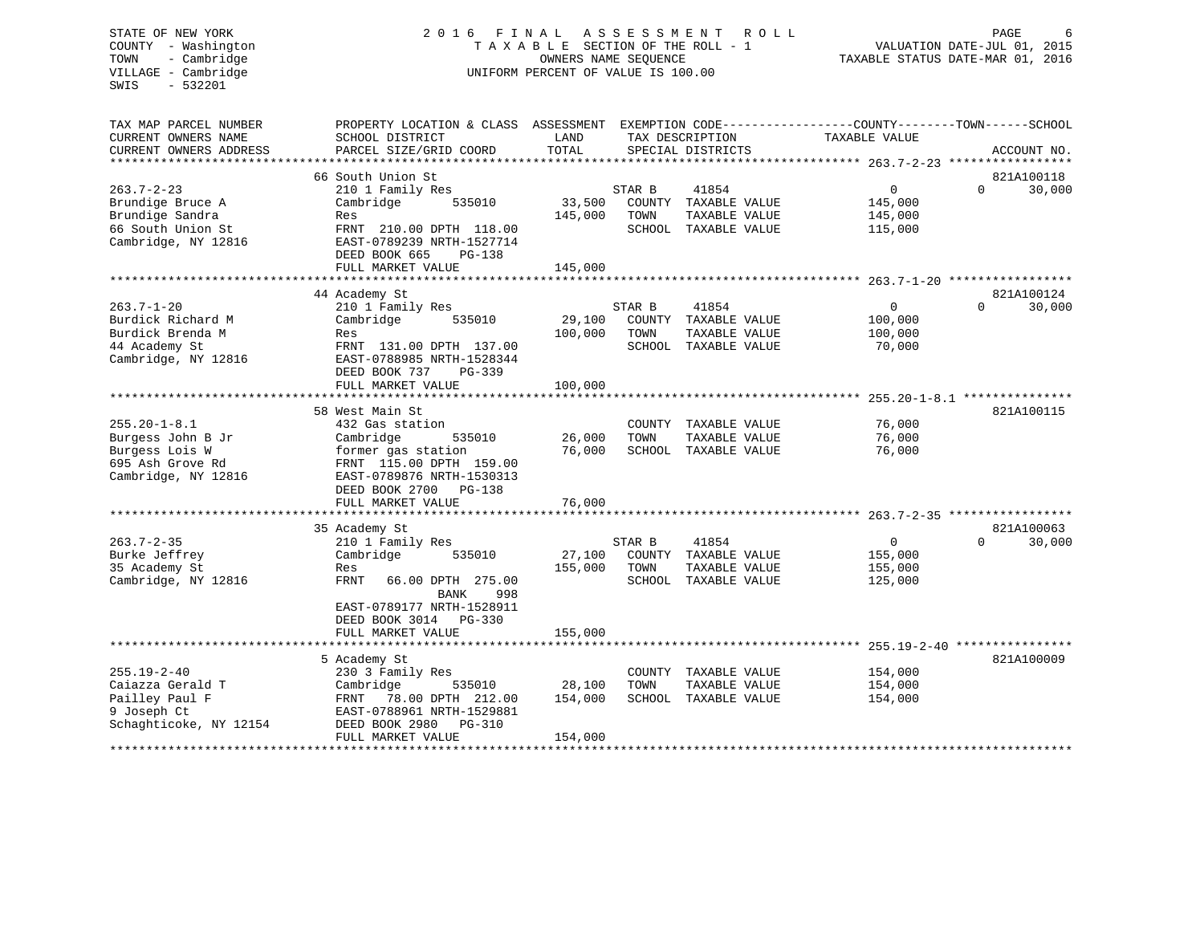# STATE OF NEW YORK 2 0 1 6 F I N A L A S S E S S M E N T R O L L PAGE 6 COUNTY - Washington T A X A B L E SECTION OF THE ROLL - 1 VALUATION DATE-JUL 01, 2015 TOWN - Cambridge OWNERS NAME SEQUENCE TAXABLE STATUS DATE-MAR 01, 2016 UNIFORM PERCENT OF VALUE IS 100.00

| TAX MAP PARCEL NUMBER<br>CURRENT OWNERS NAME<br>CURRENT OWNERS ADDRESS | PROPERTY LOCATION & CLASS<br>SCHOOL DISTRICT<br>PARCEL SIZE/GRID COORD | ASSESSMENT<br>LAND<br>TOTAL |        | TAX DESCRIPTION<br>SPECIAL DISTRICTS | EXEMPTION CODE-----------------COUNTY-------TOWN------SCHOOL<br>TAXABLE VALUE |          | ACCOUNT NO. |
|------------------------------------------------------------------------|------------------------------------------------------------------------|-----------------------------|--------|--------------------------------------|-------------------------------------------------------------------------------|----------|-------------|
|                                                                        |                                                                        |                             |        |                                      |                                                                               |          |             |
|                                                                        | 66 South Union St                                                      |                             |        |                                      |                                                                               |          | 821A100118  |
| $263.7 - 2 - 23$                                                       | 210 1 Family Res                                                       |                             | STAR B | 41854                                | 0                                                                             | $\Omega$ | 30,000      |
| Brundige Bruce A                                                       | Cambridge<br>535010                                                    | 33,500                      | COUNTY | TAXABLE VALUE                        | 145,000                                                                       |          |             |
| Brundige Sandra                                                        | Res                                                                    | 145,000                     | TOWN   | TAXABLE VALUE                        | 145,000                                                                       |          |             |
| 66 South Union St                                                      | FRNT 210.00 DPTH 118.00                                                |                             |        | SCHOOL TAXABLE VALUE                 | 115,000                                                                       |          |             |
| Cambridge, NY 12816                                                    | EAST-0789239 NRTH-1527714                                              |                             |        |                                      |                                                                               |          |             |
|                                                                        | DEED BOOK 665<br>$PG-138$                                              |                             |        |                                      |                                                                               |          |             |
|                                                                        | FULL MARKET VALUE                                                      | 145,000                     |        |                                      |                                                                               |          |             |
|                                                                        | 44 Academy St                                                          |                             |        |                                      |                                                                               |          | 821A100124  |
| $263.7 - 1 - 20$                                                       | 210 1 Family Res                                                       |                             | STAR B | 41854                                | 0                                                                             | $\Omega$ | 30,000      |
| Burdick Richard M                                                      | Cambridge<br>535010                                                    | 29,100                      |        | COUNTY TAXABLE VALUE                 | 100,000                                                                       |          |             |
| Burdick Brenda M                                                       | Res                                                                    | 100,000                     | TOWN   | TAXABLE VALUE                        | 100,000                                                                       |          |             |
| 44 Academy St                                                          | FRNT 131.00 DPTH 137.00                                                |                             |        | SCHOOL TAXABLE VALUE                 | 70,000                                                                        |          |             |
| Cambridge, NY 12816                                                    | EAST-0788985 NRTH-1528344                                              |                             |        |                                      |                                                                               |          |             |
|                                                                        | DEED BOOK 737<br>PG-339                                                |                             |        |                                      |                                                                               |          |             |
|                                                                        | FULL MARKET VALUE                                                      | 100,000                     |        |                                      |                                                                               |          |             |
|                                                                        |                                                                        |                             |        |                                      |                                                                               |          |             |
|                                                                        | 58 West Main St                                                        |                             |        |                                      |                                                                               |          | 821A100115  |
| $255.20 - 1 - 8.1$                                                     | 432 Gas station                                                        |                             |        | COUNTY TAXABLE VALUE                 | 76,000                                                                        |          |             |
| Burgess John B Jr                                                      | Cambridge<br>535010                                                    | 26,000                      | TOWN   | TAXABLE VALUE                        | 76,000                                                                        |          |             |
| Burgess Lois W                                                         | former gas station                                                     | 76,000                      |        | SCHOOL TAXABLE VALUE                 | 76,000                                                                        |          |             |
| 695 Ash Grove Rd                                                       | FRNT 115.00 DPTH 159.00                                                |                             |        |                                      |                                                                               |          |             |
| Cambridge, NY 12816                                                    | EAST-0789876 NRTH-1530313                                              |                             |        |                                      |                                                                               |          |             |
|                                                                        | DEED BOOK 2700<br><b>PG-138</b>                                        |                             |        |                                      |                                                                               |          |             |
|                                                                        | FULL MARKET VALUE                                                      | 76,000                      |        |                                      |                                                                               |          |             |
|                                                                        | 35 Academy St                                                          |                             |        |                                      |                                                                               |          | 821A100063  |
| $263.7 - 2 - 35$                                                       | 210 1 Family Res                                                       |                             | STAR B | 41854                                | 0                                                                             | $\Omega$ | 30,000      |
| Burke Jeffrey                                                          | Cambridge<br>535010                                                    | 27,100                      | COUNTY | TAXABLE VALUE                        | 155,000                                                                       |          |             |
| 35 Academy St                                                          | Res                                                                    | 155,000                     | TOWN   | TAXABLE VALUE                        | 155,000                                                                       |          |             |
| Cambridge, NY 12816                                                    | FRNT<br>66.00 DPTH 275.00                                              |                             |        | SCHOOL TAXABLE VALUE                 | 125,000                                                                       |          |             |
|                                                                        | 998<br>BANK                                                            |                             |        |                                      |                                                                               |          |             |
|                                                                        | EAST-0789177 NRTH-1528911                                              |                             |        |                                      |                                                                               |          |             |
|                                                                        | DEED BOOK 3014<br>PG-330                                               |                             |        |                                      |                                                                               |          |             |
|                                                                        | FULL MARKET VALUE                                                      | 155,000                     |        |                                      |                                                                               |          |             |
|                                                                        |                                                                        |                             |        |                                      |                                                                               |          |             |
|                                                                        | 5 Academy St                                                           |                             |        |                                      |                                                                               |          | 821A100009  |
| $255.19 - 2 - 40$                                                      | 230 3 Family Res                                                       |                             | COUNTY | TAXABLE VALUE                        | 154,000                                                                       |          |             |
| Caiazza Gerald T                                                       | Cambridge<br>535010                                                    | 28,100                      | TOWN   | TAXABLE VALUE                        | 154,000                                                                       |          |             |
| Pailley Paul F                                                         | 78.00 DPTH 212.00<br>FRNT                                              | 154,000                     |        | SCHOOL TAXABLE VALUE                 | 154,000                                                                       |          |             |
| 9 Joseph Ct                                                            | EAST-0788961 NRTH-1529881                                              |                             |        |                                      |                                                                               |          |             |
| Schaghticoke, NY 12154                                                 |                                                                        |                             |        |                                      |                                                                               |          |             |
|                                                                        | DEED BOOK 2980<br><b>PG-310</b><br>FULL MARKET VALUE                   | 154,000                     |        |                                      |                                                                               |          |             |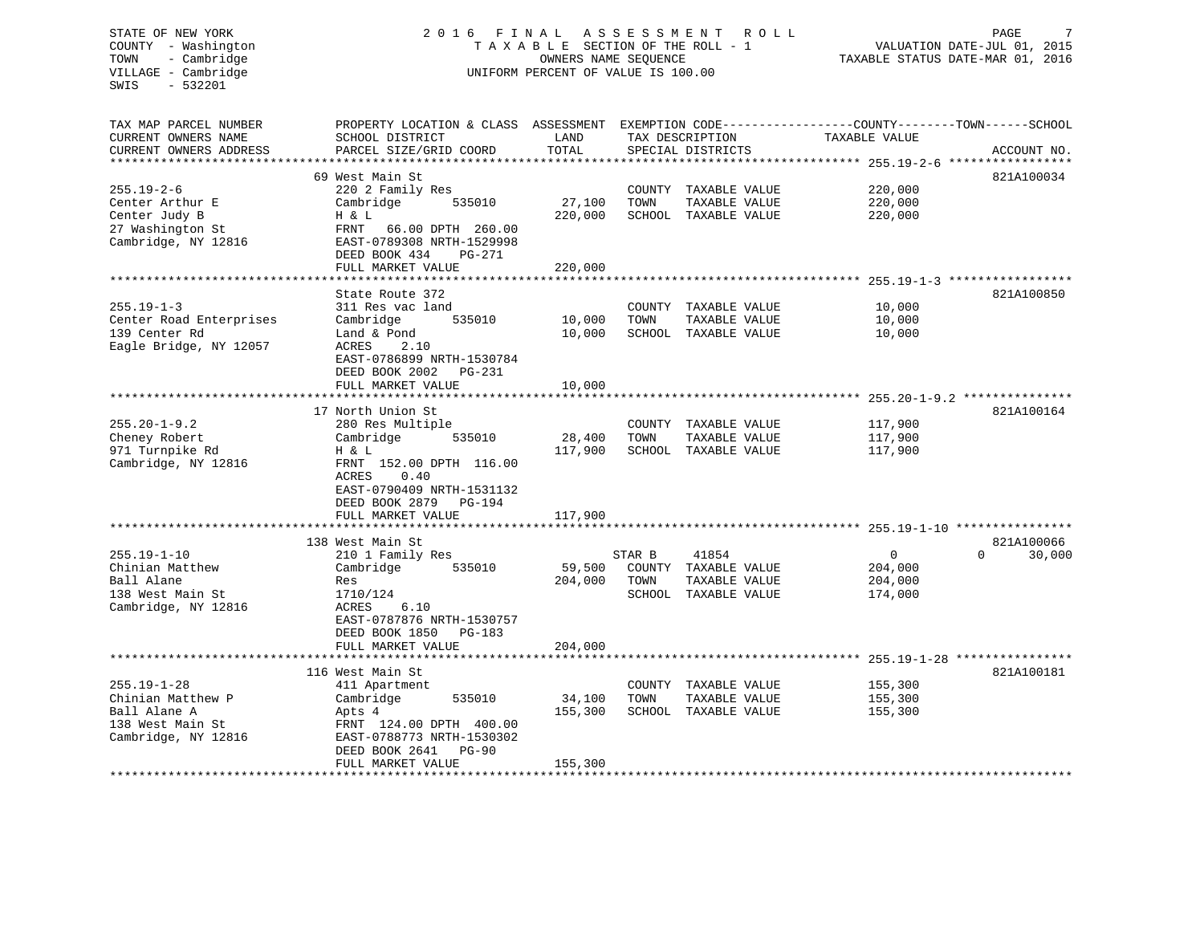#### COUNTY - Washington T A X A B L E SECTION OF THE ROLL - 1 TOWN - Cambridge **OWNERS NAME SEQUENCE TAXABLE STATUS DATE-MAR 01, 2016** VILLAGE - Cambridge The UNIFORM PERCENT OF VALUE IS 100.00

TAX MAP PARCEL NUMBER PROPERTY LOCATION & CLASS ASSESSMENT EXEMPTION CODE------------------COUNTY--------TOWN------SCHOOL

CURRENT OWNERS NAME SCHOOL DISTRICT LAND TAX DESCRIPTION TAXABLE VALUECURRENT OWNERS ADDRESS PARCEL SIZE/GRID COORD TOTAL SPECIAL DISTRICTS ACCOUNT NO. \*\*\*\*\*\*\*\*\*\*\*\*\*\*\*\*\*\*\*\*\*\*\*\*\*\*\*\*\*\*\*\*\*\*\*\*\*\*\*\*\*\*\*\*\*\*\*\*\*\*\*\*\*\*\*\*\*\*\*\*\*\*\*\*\*\*\*\*\*\*\*\*\*\*\*\*\*\*\*\*\*\*\*\*\*\*\*\*\*\*\*\*\*\*\*\*\*\*\*\*\*\*\* 255.19-2-6 \*\*\*\*\*\*\*\*\*\*\*\*\*\*\*\*\*69 West Main St 821A100034 255.19-2-6 220 2 Family Res COUNTY TAXABLE VALUE 220,000 Center Arthur E Cambridge 535010 27,100 TOWN TAXABLE VALUE 220,000 Center Judy B H & L 220,000 SCHOOL TAXABLE VALUE 220,000 27 Washington St FRNT 66.00 DPTH 260.00 Cambridge, NY 12816 EAST-0789308 NRTH-1529998 DEED BOOK 434 PG-271FULL MARKET VALUE 220,000 \*\*\*\*\*\*\*\*\*\*\*\*\*\*\*\*\*\*\*\*\*\*\*\*\*\*\*\*\*\*\*\*\*\*\*\*\*\*\*\*\*\*\*\*\*\*\*\*\*\*\*\*\*\*\*\*\*\*\*\*\*\*\*\*\*\*\*\*\*\*\*\*\*\*\*\*\*\*\*\*\*\*\*\*\*\*\*\*\*\*\*\*\*\*\*\*\*\*\*\*\*\*\* 255.19-1-3 \*\*\*\*\*\*\*\*\*\*\*\*\*\*\*\*\*State Route 372 821A100850 255.19-1-3 311 Res vac land COUNTY TAXABLE VALUE 10,000 Center Road Enterprises Cambridge 535010 10,000 TOWN TAXABLE VALUE 10,000 139 Center Rd Land & Pond 10,000 SCHOOL TAXABLE VALUE 10,000 Eagle Bridge, NY 12057 ACRES 2.10 EAST-0786899 NRTH-1530784 DEED BOOK 2002 PG-231FULL MARKET VALUE 10.000 \*\*\*\*\*\*\*\*\*\*\*\*\*\*\*\*\*\*\*\*\*\*\*\*\*\*\*\*\*\*\*\*\*\*\*\*\*\*\*\*\*\*\*\*\*\*\*\*\*\*\*\*\*\*\*\*\*\*\*\*\*\*\*\*\*\*\*\*\*\*\*\*\*\*\*\*\*\*\*\*\*\*\*\*\*\*\*\*\*\*\*\*\*\*\*\*\*\*\*\*\*\*\* 255.20-1-9.2 \*\*\*\*\*\*\*\*\*\*\*\*\*\*\*17 North Union St 821A100164 255.20-1-9.2 280 Res Multiple COUNTY TAXABLE VALUE 117,900 Cheney Robert Cambridge 535010 28,400 TOWN TAXABLE VALUE 117,900 971 Turnpike Rd H & L 117,900 SCHOOL TAXABLE VALUE 117,900 FRNT 152.00 DPTH 116.00 ACRES 0.40 EAST-0790409 NRTH-1531132 DEED BOOK 2879 PG-194FULL MARKET VALUE 117,900 \*\*\*\*\*\*\*\*\*\*\*\*\*\*\*\*\*\*\*\*\*\*\*\*\*\*\*\*\*\*\*\*\*\*\*\*\*\*\*\*\*\*\*\*\*\*\*\*\*\*\*\*\*\*\*\*\*\*\*\*\*\*\*\*\*\*\*\*\*\*\*\*\*\*\*\*\*\*\*\*\*\*\*\*\*\*\*\*\*\*\*\*\*\*\*\*\*\*\*\*\*\*\* 255.19-1-10 \*\*\*\*\*\*\*\*\*\*\*\*\*\*\*\*138 West Main St 821A100066 821A100066 821A100066 821A100066 821A100066 821A100066 821A100066 821A100066 821A100066 821A100066 821A100066 821A100066 821A100066 821A100066 821A100066 821A100066 821A100066 821A100066 821A100 255.19-1-10 210 1 Family Res STAR B 41854 0 0 30,000 Chinian Matthew Cambridge 535010 59,500 COUNTY TAXABLE VALUE 204,000 Ball Alane 204,000 Res 204,000 TOWN TAXABLE VALUE 204,000 138 West Main St 1710/124 SCHOOL TAXABLE VALUE 174,000 Cambridge, NY 12816 ACRES 6.10 EAST-0787876 NRTH-1530757 DEED BOOK 1850 PG-183 FULL MARKET VALUE 204,000 \*\*\*\*\*\*\*\*\*\*\*\*\*\*\*\*\*\*\*\*\*\*\*\*\*\*\*\*\*\*\*\*\*\*\*\*\*\*\*\*\*\*\*\*\*\*\*\*\*\*\*\*\*\*\*\*\*\*\*\*\*\*\*\*\*\*\*\*\*\*\*\*\*\*\*\*\*\*\*\*\*\*\*\*\*\*\*\*\*\*\*\*\*\*\*\*\*\*\*\*\*\*\* 255.19-1-28 \*\*\*\*\*\*\*\*\*\*\*\*\*\*\*\*116 West Main St 821A100181 255.19-1-28 411 Apartment COUNTY TAXABLE VALUE 155,300 Chinian Matthew P Cambridge 535010 34,100 TOWN TAXABLE VALUE 155,300 Ball Alane A **Apts 4 Apts 4 155,300** SCHOOL TAXABLE VALUE 155,300 138 West Main St FRNT 124.00 DPTH 400.00Cambridge, NY 12816 EAST-0788773 NRTH-1530302 DEED BOOK 2641 PG-90FULL MARKET VALUE 155,300 \*\*\*\*\*\*\*\*\*\*\*\*\*\*\*\*\*\*\*\*\*\*\*\*\*\*\*\*\*\*\*\*\*\*\*\*\*\*\*\*\*\*\*\*\*\*\*\*\*\*\*\*\*\*\*\*\*\*\*\*\*\*\*\*\*\*\*\*\*\*\*\*\*\*\*\*\*\*\*\*\*\*\*\*\*\*\*\*\*\*\*\*\*\*\*\*\*\*\*\*\*\*\*\*\*\*\*\*\*\*\*\*\*\*\*\*\*\*\*\*\*\*\*\*\*\*\*\*\*\*\*\*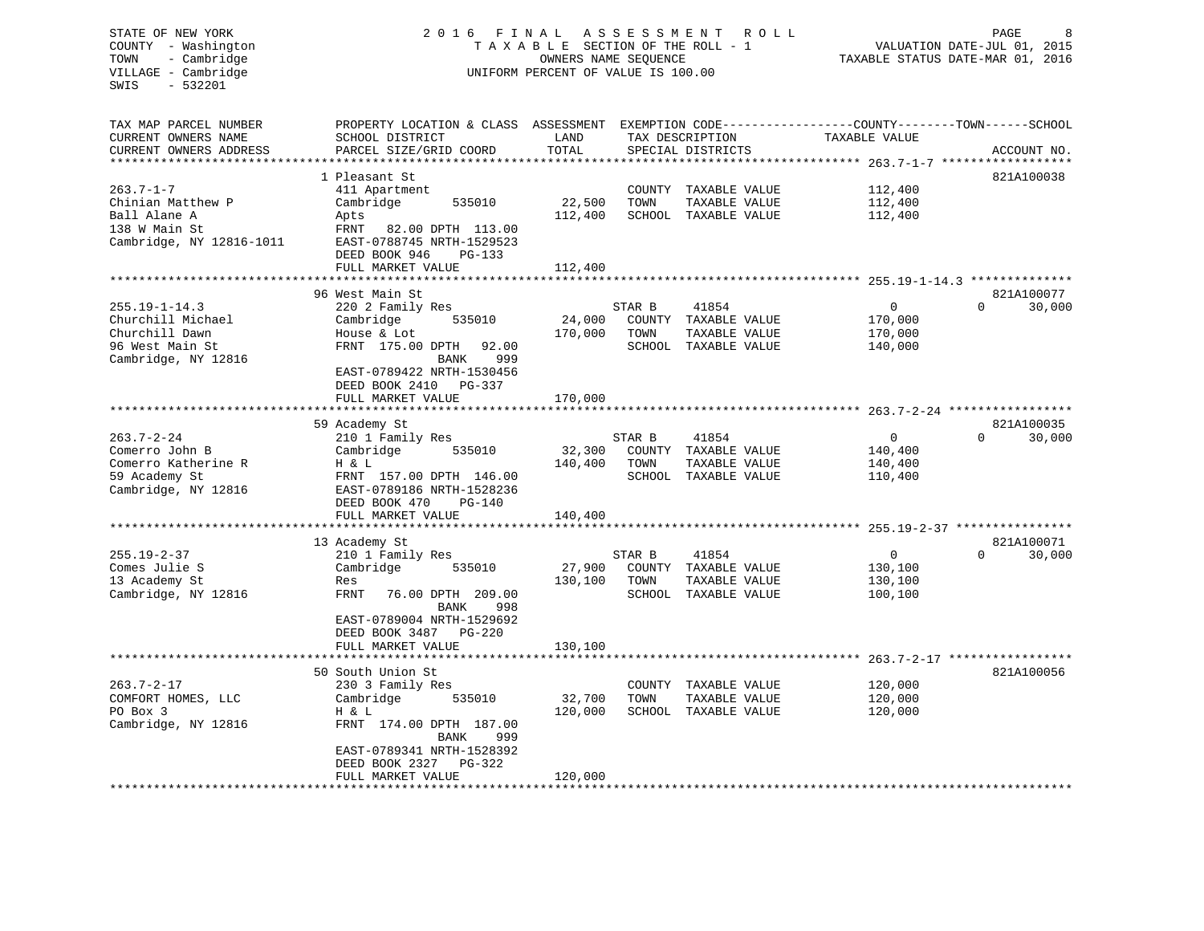# STATE OF NEW YORK 2 0 1 6 F I N A L A S S E S S M E N T R O L L PAGE 8 COUNTY - Washington T A X A B L E SECTION OF THE ROLL - 1 VALUATION DATE-JUL 01, 2015 TOWN - Cambridge OWNERS NAME SEQUENCE TAXABLE STATUS DATE-MAR 01, 2016 VILLAGE - Cambridge **UNIFORM PERCENT OF VALUE IS 100.00**

| TAX MAP PARCEL NUMBER<br>CURRENT OWNERS NAME       | PROPERTY LOCATION & CLASS ASSESSMENT EXEMPTION CODE----------------COUNTY-------TOWN-----SCHOOL<br>SCHOOL DISTRICT | LAND    | TAX DESCRIPTION   |                      | TAXABLE VALUE |          |             |
|----------------------------------------------------|--------------------------------------------------------------------------------------------------------------------|---------|-------------------|----------------------|---------------|----------|-------------|
| CURRENT OWNERS ADDRESS<br>************************ | PARCEL SIZE/GRID COORD                                                                                             | TOTAL   | SPECIAL DISTRICTS |                      |               |          | ACCOUNT NO. |
|                                                    | 1 Pleasant St                                                                                                      |         |                   |                      |               |          | 821A100038  |
| $263.7 - 1 - 7$                                    |                                                                                                                    |         |                   |                      | 112,400       |          |             |
|                                                    | 411 Apartment                                                                                                      |         |                   | COUNTY TAXABLE VALUE |               |          |             |
| Chinian Matthew P                                  | 535010<br>Cambridge                                                                                                | 22,500  | TOWN              | TAXABLE VALUE        | 112,400       |          |             |
| Ball Alane A                                       | Apts                                                                                                               | 112,400 |                   | SCHOOL TAXABLE VALUE | 112,400       |          |             |
| 138 W Main St                                      | FRNT<br>82.00 DPTH 113.00                                                                                          |         |                   |                      |               |          |             |
| Cambridge, NY 12816-1011                           | EAST-0788745 NRTH-1529523                                                                                          |         |                   |                      |               |          |             |
|                                                    | DEED BOOK 946<br>$PG-133$                                                                                          |         |                   |                      |               |          |             |
|                                                    | FULL MARKET VALUE                                                                                                  | 112,400 |                   |                      |               |          |             |
|                                                    |                                                                                                                    |         |                   |                      |               |          |             |
|                                                    | 96 West Main St                                                                                                    |         |                   |                      |               |          | 821A100077  |
| $255.19 - 1 - 14.3$                                | 220 2 Family Res                                                                                                   |         | STAR B            | 41854                | $\Omega$      | $\Omega$ | 30,000      |
| Churchill Michael                                  | 535010<br>Cambridge                                                                                                | 24,000  |                   | COUNTY TAXABLE VALUE | 170,000       |          |             |
| Churchill Dawn                                     | House & Lot                                                                                                        | 170,000 | TOWN              | TAXABLE VALUE        | 170,000       |          |             |
| 96 West Main St                                    | FRNT 175.00 DPTH<br>92.00                                                                                          |         |                   | SCHOOL TAXABLE VALUE | 140,000       |          |             |
| Cambridge, NY 12816                                | 999<br>BANK                                                                                                        |         |                   |                      |               |          |             |
|                                                    | EAST-0789422 NRTH-1530456                                                                                          |         |                   |                      |               |          |             |
|                                                    | DEED BOOK 2410 PG-337                                                                                              |         |                   |                      |               |          |             |
|                                                    | FULL MARKET VALUE                                                                                                  | 170,000 |                   |                      |               |          |             |
|                                                    |                                                                                                                    |         |                   |                      |               |          |             |
|                                                    | 59 Academy St                                                                                                      |         |                   |                      |               |          | 821A100035  |
| $263.7 - 2 - 24$                                   | 210 1 Family Res                                                                                                   |         | STAR B            | 41854                | $\mathbf 0$   | $\Omega$ | 30,000      |
| Comerro John B                                     | Cambridge<br>535010                                                                                                | 32,300  |                   | COUNTY TAXABLE VALUE | 140,400       |          |             |
| Comerro Katherine R                                | H & L                                                                                                              | 140,400 | TOWN              | TAXABLE VALUE        | 140,400       |          |             |
| 59 Academy St                                      | FRNT 157.00 DPTH 146.00                                                                                            |         |                   | SCHOOL TAXABLE VALUE | 110,400       |          |             |
| Cambridge, NY 12816                                | EAST-0789186 NRTH-1528236                                                                                          |         |                   |                      |               |          |             |
|                                                    | DEED BOOK 470<br>$PG-140$                                                                                          |         |                   |                      |               |          |             |
|                                                    | FULL MARKET VALUE                                                                                                  | 140,400 |                   |                      |               |          |             |
|                                                    |                                                                                                                    |         |                   |                      |               |          |             |
|                                                    | 13 Academy St                                                                                                      |         |                   |                      |               |          | 821A100071  |
| $255.19 - 2 - 37$                                  | 210 1 Family Res                                                                                                   |         | STAR B            | 41854                | $\mathbf 0$   | $\Omega$ | 30,000      |
| Comes Julie S                                      | Cambridge<br>535010                                                                                                | 27,900  |                   | COUNTY TAXABLE VALUE | 130,100       |          |             |
| 13 Academy St                                      | Res                                                                                                                | 130,100 | TOWN              | TAXABLE VALUE        | 130,100       |          |             |
| Cambridge, NY 12816                                | FRNT<br>76.00 DPTH 209.00                                                                                          |         |                   | SCHOOL TAXABLE VALUE | 100,100       |          |             |
|                                                    | 998<br>BANK                                                                                                        |         |                   |                      |               |          |             |
|                                                    | EAST-0789004 NRTH-1529692                                                                                          |         |                   |                      |               |          |             |
|                                                    | DEED BOOK 3487<br>$PG-220$                                                                                         |         |                   |                      |               |          |             |
|                                                    | FULL MARKET VALUE                                                                                                  | 130,100 |                   |                      |               |          |             |
|                                                    |                                                                                                                    |         |                   |                      |               |          |             |
|                                                    | 50 South Union St                                                                                                  |         |                   |                      |               |          | 821A100056  |
| $263.7 - 2 - 17$                                   | 230 3 Family Res                                                                                                   |         |                   | COUNTY TAXABLE VALUE | 120,000       |          |             |
| COMFORT HOMES, LLC                                 | Cambridge<br>535010                                                                                                | 32,700  | TOWN              | TAXABLE VALUE        | 120,000       |          |             |
| PO Box 3                                           | H & L                                                                                                              | 120,000 |                   | SCHOOL TAXABLE VALUE | 120,000       |          |             |
| Cambridge, NY 12816                                | FRNT 174.00 DPTH 187.00                                                                                            |         |                   |                      |               |          |             |
|                                                    | 999<br>BANK                                                                                                        |         |                   |                      |               |          |             |
|                                                    | EAST-0789341 NRTH-1528392                                                                                          |         |                   |                      |               |          |             |
|                                                    | DEED BOOK 2327 PG-322                                                                                              |         |                   |                      |               |          |             |
|                                                    | FULL MARKET VALUE                                                                                                  | 120,000 |                   |                      |               |          |             |
|                                                    |                                                                                                                    |         |                   |                      |               |          |             |
|                                                    |                                                                                                                    |         |                   |                      |               |          |             |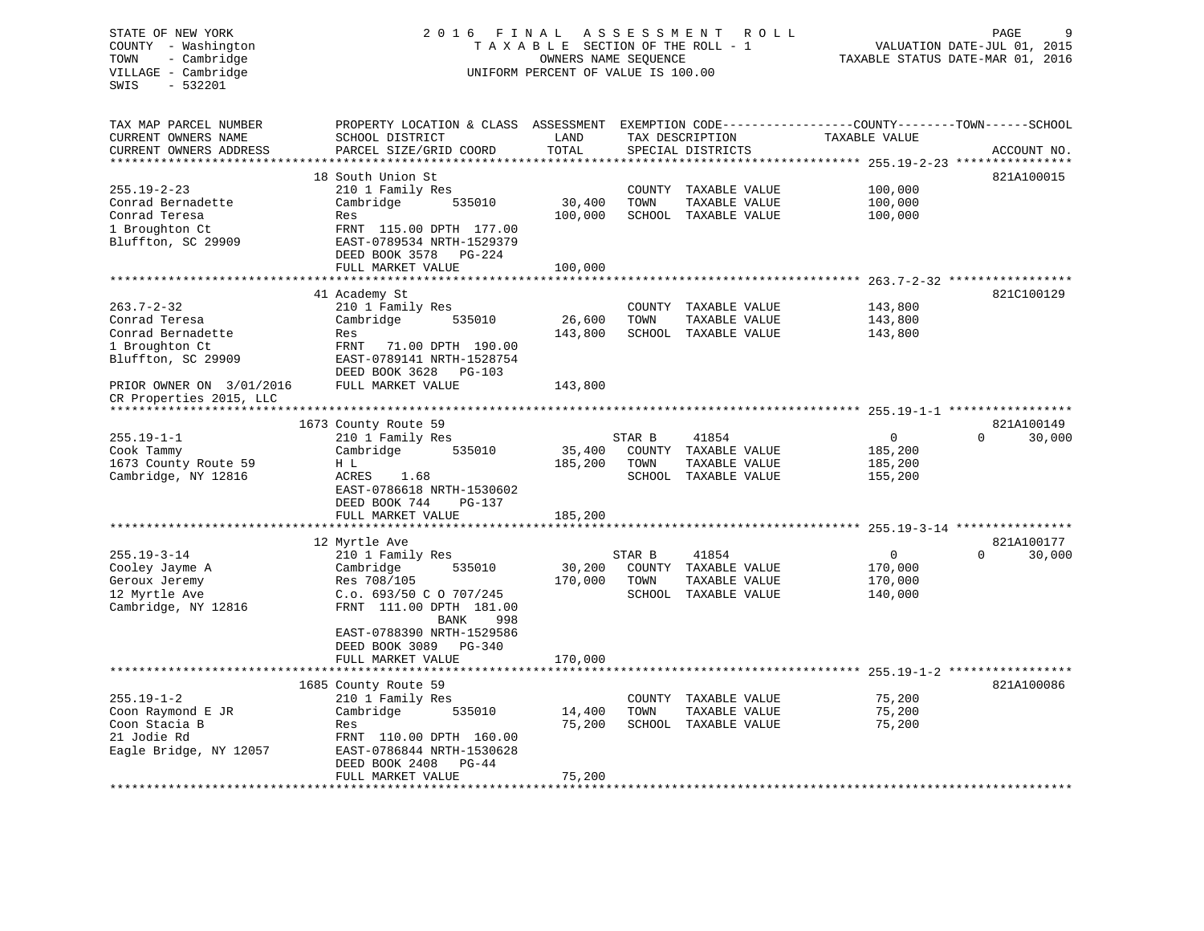# STATE OF NEW YORK 2 0 1 6 F I N A L A S S E S S M E N T R O L L PAGE 9 COUNTY - Washington T A X A B L E SECTION OF THE ROLL - 1 VALUATION DATE-JUL 01, 2015 TOWN - Cambridge OWNERS NAME SEQUENCE TAXABLE STATUS DATE-MAR 01, 2016 VILLAGE - Cambridge **UNIFORM PERCENT OF VALUE IS 100.00**

| TAX MAP PARCEL NUMBER     | PROPERTY LOCATION & CLASS ASSESSMENT |         |        |                      | EXEMPTION CODE-----------------COUNTY-------TOWN------SCHOOL |                    |
|---------------------------|--------------------------------------|---------|--------|----------------------|--------------------------------------------------------------|--------------------|
| CURRENT OWNERS NAME       | SCHOOL DISTRICT                      | LAND    |        | TAX DESCRIPTION      | TAXABLE VALUE                                                |                    |
| CURRENT OWNERS ADDRESS    | PARCEL SIZE/GRID COORD               | TOTAL   |        | SPECIAL DISTRICTS    |                                                              | ACCOUNT NO.        |
| ************************* |                                      |         |        |                      |                                                              |                    |
|                           | 18 South Union St                    |         |        |                      |                                                              | 821A100015         |
| $255.19 - 2 - 23$         | 210 1 Family Res                     |         |        | COUNTY TAXABLE VALUE | 100,000                                                      |                    |
| Conrad Bernadette         | Cambridge<br>535010                  | 30,400  | TOWN   | TAXABLE VALUE        | 100,000                                                      |                    |
| Conrad Teresa             | Res                                  | 100,000 |        | SCHOOL TAXABLE VALUE | 100,000                                                      |                    |
| 1 Broughton Ct            | FRNT 115.00 DPTH 177.00              |         |        |                      |                                                              |                    |
| Bluffton, SC 29909        | EAST-0789534 NRTH-1529379            |         |        |                      |                                                              |                    |
|                           | DEED BOOK 3578<br>PG-224             |         |        |                      |                                                              |                    |
|                           | FULL MARKET VALUE                    | 100,000 |        |                      |                                                              |                    |
|                           |                                      |         |        |                      |                                                              |                    |
|                           | 41 Academy St                        |         |        |                      |                                                              | 821C100129         |
|                           |                                      |         |        |                      |                                                              |                    |
| $263.7 - 2 - 32$          | 210 1 Family Res                     |         |        | COUNTY TAXABLE VALUE | 143,800                                                      |                    |
| Conrad Teresa             | Cambridge<br>535010                  | 26,600  | TOWN   | TAXABLE VALUE        | 143,800                                                      |                    |
| Conrad Bernadette         | Res                                  | 143,800 |        | SCHOOL TAXABLE VALUE | 143,800                                                      |                    |
| 1 Broughton Ct            | FRNT<br>71.00 DPTH 190.00            |         |        |                      |                                                              |                    |
| Bluffton, SC 29909        | EAST-0789141 NRTH-1528754            |         |        |                      |                                                              |                    |
|                           | DEED BOOK 3628<br>PG-103             |         |        |                      |                                                              |                    |
| PRIOR OWNER ON 3/01/2016  | FULL MARKET VALUE                    | 143,800 |        |                      |                                                              |                    |
| CR Properties 2015, LLC   |                                      |         |        |                      |                                                              |                    |
|                           |                                      |         |        |                      |                                                              |                    |
|                           | 1673 County Route 59                 |         |        |                      |                                                              | 821A100149         |
| $255.19 - 1 - 1$          | 210 1 Family Res                     |         | STAR B | 41854                | $\overline{0}$                                               | $\Omega$<br>30,000 |
| Cook Tammy                | 535010<br>Cambridge                  | 35,400  |        | COUNTY TAXABLE VALUE | 185,200                                                      |                    |
|                           |                                      |         |        |                      |                                                              |                    |
| 1673 County Route 59      | H L                                  | 185,200 | TOWN   | TAXABLE VALUE        | 185,200                                                      |                    |
| Cambridge, NY 12816       | ACRES<br>1.68                        |         |        | SCHOOL TAXABLE VALUE | 155,200                                                      |                    |
|                           | EAST-0786618 NRTH-1530602            |         |        |                      |                                                              |                    |
|                           | DEED BOOK 744<br>$PG-137$            |         |        |                      |                                                              |                    |
|                           | FULL MARKET VALUE                    | 185,200 |        |                      |                                                              |                    |
|                           | *****************************        |         |        |                      |                                                              |                    |
|                           | 12 Myrtle Ave                        |         |        |                      |                                                              | 821A100177         |
| $255.19 - 3 - 14$         | 210 1 Family Res                     |         | STAR B | 41854                | $\overline{0}$                                               | 30,000<br>$\Omega$ |
| Cooley Jayme A            | Cambridge<br>535010                  | 30,200  |        | COUNTY TAXABLE VALUE | 170,000                                                      |                    |
| Geroux Jeremy             | Res 708/105                          | 170,000 | TOWN   | TAXABLE VALUE        | 170,000                                                      |                    |
| 12 Myrtle Ave             | C.o. 693/50 C O 707/245              |         |        | SCHOOL TAXABLE VALUE | 140,000                                                      |                    |
| Cambridge, NY 12816       | FRNT 111.00 DPTH 181.00              |         |        |                      |                                                              |                    |
|                           | 998                                  |         |        |                      |                                                              |                    |
|                           | <b>BANK</b>                          |         |        |                      |                                                              |                    |
|                           | EAST-0788390 NRTH-1529586            |         |        |                      |                                                              |                    |
|                           | DEED BOOK 3089 PG-340                |         |        |                      |                                                              |                    |
|                           | FULL MARKET VALUE                    | 170,000 |        |                      |                                                              |                    |
|                           |                                      |         |        |                      |                                                              |                    |
|                           | 1685 County Route 59                 |         |        |                      |                                                              | 821A100086         |
| $255.19 - 1 - 2$          | 210 1 Family Res                     |         |        | COUNTY TAXABLE VALUE | 75,200                                                       |                    |
| Coon Raymond E JR         | Cambridge<br>535010                  | 14,400  | TOWN   | TAXABLE VALUE        | 75,200                                                       |                    |
| Coon Stacia B             | Res                                  | 75,200  |        | SCHOOL TAXABLE VALUE | 75,200                                                       |                    |
| 21 Jodie Rd               | FRNT 110.00 DPTH 160.00              |         |        |                      |                                                              |                    |
| Eagle Bridge, NY 12057    | EAST-0786844 NRTH-1530628            |         |        |                      |                                                              |                    |
|                           | DEED BOOK 2408<br>PG-44              |         |        |                      |                                                              |                    |
|                           | FULL MARKET VALUE                    | 75,200  |        |                      |                                                              |                    |
|                           |                                      |         |        |                      |                                                              |                    |
|                           |                                      |         |        |                      |                                                              |                    |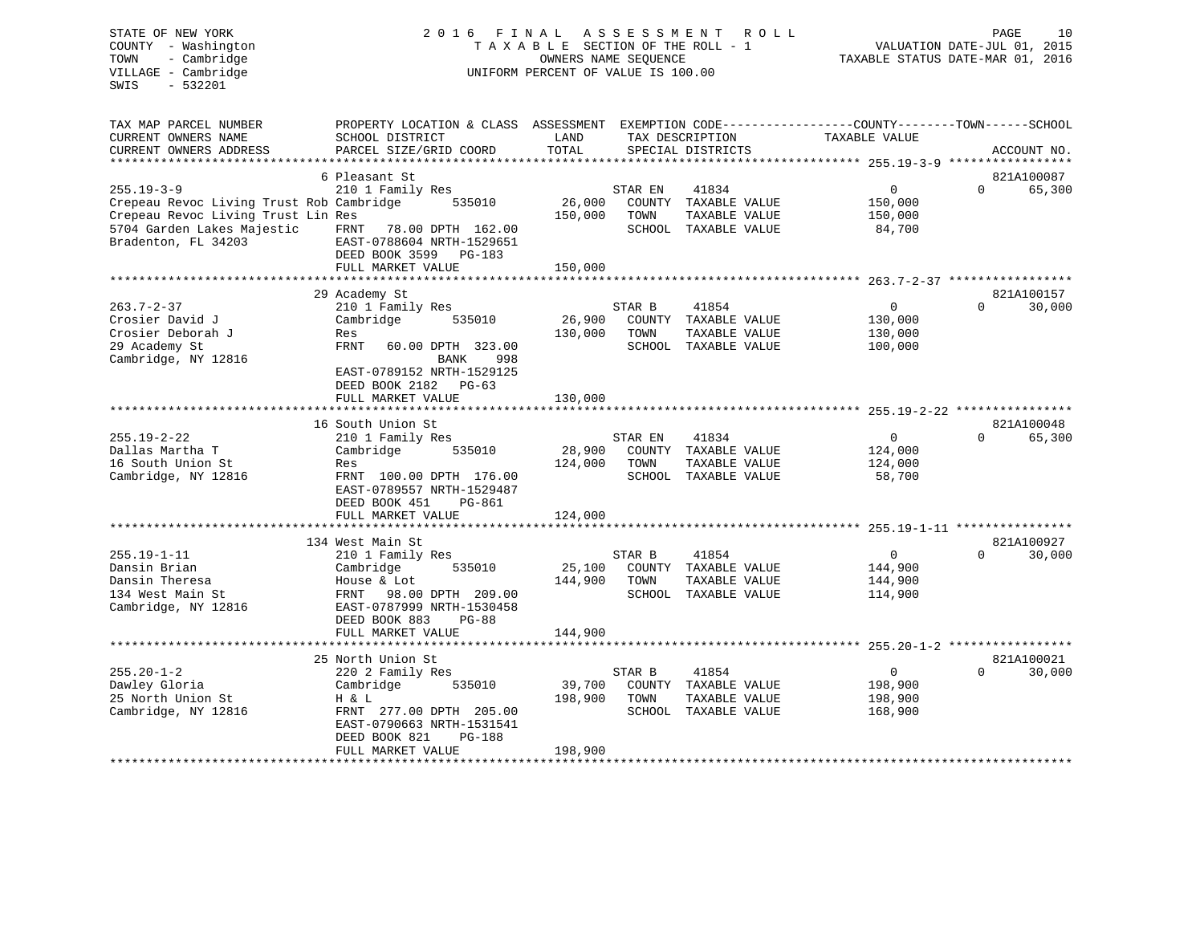| STATE OF NEW YORK<br>COUNTY - Washington<br>- Cambridge<br>TOWN<br>VILLAGE - Cambridge<br>SWIS<br>$-532201$ | 2016 FINAL<br>TAXABLE                                                                                                                       | OWNERS NAME SEOUENCE<br>UNIFORM PERCENT OF VALUE IS 100.00 | ASSESSMENT | <b>ROLL</b><br>SECTION OF THE ROLL - 1 | TAXABLE STATUS DATE-MAR 01, 2016                     | PAGE<br>VALUATION DATE-JUL 01, 2015 | 10          |
|-------------------------------------------------------------------------------------------------------------|---------------------------------------------------------------------------------------------------------------------------------------------|------------------------------------------------------------|------------|----------------------------------------|------------------------------------------------------|-------------------------------------|-------------|
| TAX MAP PARCEL NUMBER<br>CURRENT OWNERS NAME<br>CURRENT OWNERS ADDRESS                                      | PROPERTY LOCATION & CLASS ASSESSMENT EXEMPTION CODE---------------COUNTY-------TOWN-----SCHOOL<br>SCHOOL DISTRICT<br>PARCEL SIZE/GRID COORD | LAND<br>TOTAL                                              |            | TAX DESCRIPTION<br>SPECIAL DISTRICTS   | TAXABLE VALUE                                        |                                     | ACCOUNT NO. |
| ****************************                                                                                |                                                                                                                                             |                                                            |            |                                        |                                                      |                                     |             |
|                                                                                                             | 6 Pleasant St                                                                                                                               |                                                            |            |                                        |                                                      |                                     | 821A100087  |
| $255.19 - 3 - 9$                                                                                            | 210 1 Family Res                                                                                                                            |                                                            | STAR EN    | 41834                                  | $\mathsf{O}$                                         | $\Omega$                            | 65,300      |
| Crepeau Revoc Living Trust Rob Cambridge                                                                    | 535010                                                                                                                                      | 26,000                                                     |            | COUNTY TAXABLE VALUE                   | 150,000                                              |                                     |             |
| Crepeau Revoc Living Trust Lin Res                                                                          |                                                                                                                                             | 150,000                                                    | TOWN       | TAXABLE VALUE                          | 150,000                                              |                                     |             |
| 5704 Garden Lakes Majestic<br>Bradenton, FL 34203                                                           | FRNT 78.00 DPTH 162.00<br>EAST-0788604 NRTH-1529651<br>DEED BOOK 3599 PG-183                                                                |                                                            |            | SCHOOL TAXABLE VALUE                   | 84,700                                               |                                     |             |
|                                                                                                             | FULL MARKET VALUE                                                                                                                           | 150,000                                                    |            |                                        |                                                      |                                     |             |
|                                                                                                             | *************************<br>29 Academy St                                                                                                  | *******************************                            |            |                                        | **************** 263.7-2-37 ******************       |                                     | 821A100157  |
| $263.7 - 2 - 37$                                                                                            | 210 1 Family Res                                                                                                                            |                                                            | STAR B     | 41854                                  | $\mathbf{0}$                                         | $\Omega$                            | 30,000      |
| Crosier David J                                                                                             | Cambridge<br>535010                                                                                                                         | 26,900                                                     |            | COUNTY TAXABLE VALUE                   | 130,000                                              |                                     |             |
| Crosier Deborah J                                                                                           | Res                                                                                                                                         | 130,000                                                    | TOWN       | TAXABLE VALUE                          | 130,000                                              |                                     |             |
| 29 Academy St                                                                                               | <b>FRNT</b><br>60.00 DPTH 323.00                                                                                                            |                                                            |            | SCHOOL TAXABLE VALUE                   | 100,000                                              |                                     |             |
| Cambridge, NY 12816                                                                                         | BANK<br>998                                                                                                                                 |                                                            |            |                                        |                                                      |                                     |             |
|                                                                                                             | EAST-0789152 NRTH-1529125<br>DEED BOOK 2182 PG-63                                                                                           |                                                            |            |                                        |                                                      |                                     |             |
|                                                                                                             | FULL MARKET VALUE                                                                                                                           | 130,000                                                    |            |                                        |                                                      |                                     |             |
|                                                                                                             | 16 South Union St                                                                                                                           |                                                            |            |                                        |                                                      |                                     | 821A100048  |
| $255.19 - 2 - 22$                                                                                           | 210 1 Family Res                                                                                                                            |                                                            | STAR EN    | 41834                                  | $\overline{0}$                                       | $\Omega$                            | 65,300      |
| Dallas Martha T                                                                                             | 535010<br>Cambridge                                                                                                                         | 28,900                                                     |            | COUNTY TAXABLE VALUE                   | 124,000                                              |                                     |             |
| 16 South Union St                                                                                           | Res                                                                                                                                         | 124,000                                                    | TOWN       | TAXABLE VALUE                          | 124,000                                              |                                     |             |
| Cambridge, NY 12816                                                                                         | FRNT 100.00 DPTH 176.00<br>EAST-0789557 NRTH-1529487<br>DEED BOOK 451<br>PG-861                                                             |                                                            |            | SCHOOL TAXABLE VALUE                   | 58,700                                               |                                     |             |
|                                                                                                             | FULL MARKET VALUE                                                                                                                           | 124,000                                                    |            |                                        |                                                      |                                     |             |
|                                                                                                             | ************************<br>134 West Main St                                                                                                |                                                            |            |                                        |                                                      |                                     | 821A100927  |
| $255.19 - 1 - 11$                                                                                           | 210 1 Family Res                                                                                                                            |                                                            | STAR B     | 41854                                  | $\overline{0}$                                       | $\Omega$                            | 30,000      |
| Dansin Brian                                                                                                | Cambridge<br>535010                                                                                                                         | 25,100                                                     |            | COUNTY TAXABLE VALUE                   | 144,900                                              |                                     |             |
| Dansin Theresa                                                                                              | House & Lot                                                                                                                                 | 144,900                                                    | TOWN       | TAXABLE VALUE                          | 144,900                                              |                                     |             |
| 134 West Main St                                                                                            | 98.00 DPTH 209.00<br>FRNT                                                                                                                   |                                                            |            | SCHOOL TAXABLE VALUE                   | 114,900                                              |                                     |             |
| Cambridge, NY 12816                                                                                         | EAST-0787999 NRTH-1530458                                                                                                                   |                                                            |            |                                        |                                                      |                                     |             |
|                                                                                                             | DEED BOOK 883<br>PG-88                                                                                                                      |                                                            |            |                                        |                                                      |                                     |             |
|                                                                                                             | FULL MARKET VALUE                                                                                                                           | 144,900                                                    |            |                                        |                                                      |                                     |             |
|                                                                                                             |                                                                                                                                             |                                                            |            |                                        | ********************** 255.20-1-2 ****************** |                                     |             |
|                                                                                                             | 25 North Union St                                                                                                                           |                                                            |            |                                        |                                                      |                                     | 821A100021  |
| $255.20 - 1 - 2$                                                                                            | 220 2 Family Res                                                                                                                            |                                                            | STAR B     | 41854                                  | $\overline{0}$                                       | $\Omega$                            | 30,000      |
| Dawley Gloria                                                                                               | Cambridge<br>535010                                                                                                                         | 39,700                                                     |            | COUNTY TAXABLE VALUE                   | 198,900                                              |                                     |             |
| 25 North Union St                                                                                           | H & L                                                                                                                                       | 198,900                                                    | TOWN       | TAXABLE VALUE                          | 198,900                                              |                                     |             |
| Cambridge, NY 12816                                                                                         | FRNT 277.00 DPTH 205.00<br>EAST-0790663 NRTH-1531541<br><b>PG-188</b><br>DEED BOOK 821                                                      |                                                            |            | SCHOOL TAXABLE VALUE                   | 168,900                                              |                                     |             |
|                                                                                                             | FULL MARKET VALUE                                                                                                                           | 198,900                                                    |            |                                        |                                                      |                                     |             |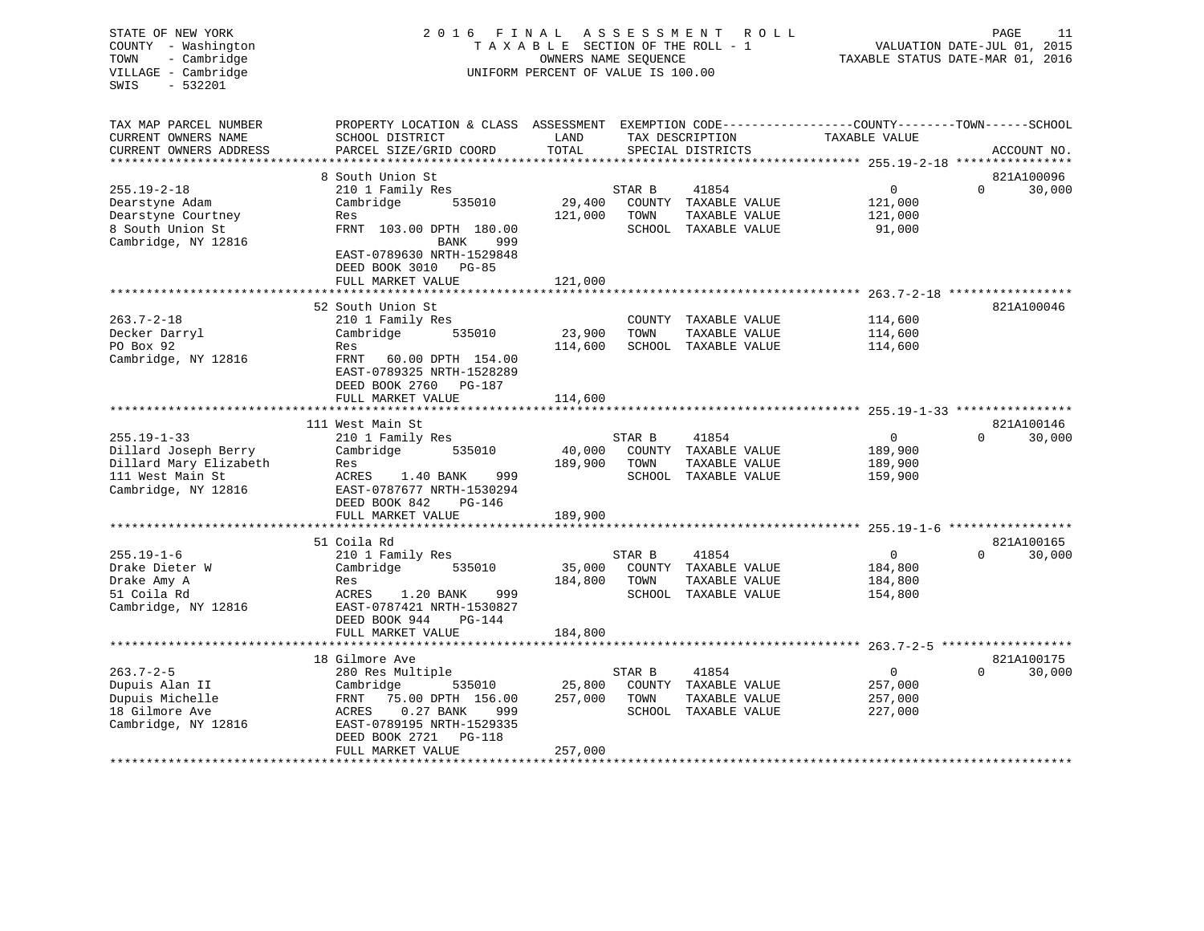| TOWN<br>- Cambridge<br>VILLAGE - Cambridge<br>SWIS<br>$-532201$                                                                                                                            |                                                                                                 | TAXABLE SECTION OF THE ROLL - 1<br>OWNERS NAME SEQUENCE<br>UNIFORM PERCENT OF VALUE IS 100.00 |        | FINAL ASSESSMENT<br>R O L L | TAXABLE STATUS DATE-MAR 01, 2016 | PAGE     | 11<br>VALUATION DATE-JUL 01, 2015 |
|--------------------------------------------------------------------------------------------------------------------------------------------------------------------------------------------|-------------------------------------------------------------------------------------------------|-----------------------------------------------------------------------------------------------|--------|-----------------------------|----------------------------------|----------|-----------------------------------|
| TAX MAP PARCEL NUMBER                                                                                                                                                                      | PROPERTY LOCATION & CLASS ASSESSMENT EXEMPTION CODE---------------COUNTY-------TOWN------SCHOOL |                                                                                               |        |                             |                                  |          |                                   |
| CURRENT OWNERS NAME                                                                                                                                                                        | SCHOOL DISTRICT                                                                                 | LAND                                                                                          |        | TAX DESCRIPTION             | TAXABLE VALUE                    |          |                                   |
| CURRENT OWNERS ADDRESS<br>**********************                                                                                                                                           | PARCEL SIZE/GRID COORD                                                                          | TOTAL                                                                                         |        | SPECIAL DISTRICTS           |                                  |          | ACCOUNT NO.                       |
|                                                                                                                                                                                            | 8 South Union St                                                                                |                                                                                               |        |                             |                                  |          | 821A100096                        |
| $255.19 - 2 - 18$                                                                                                                                                                          | 210 1 Family Res                                                                                |                                                                                               | STAR B | 41854                       | $\mathbf 0$                      | $\Omega$ | 30,000                            |
| Dearstyne Adam                                                                                                                                                                             | Cambridge<br>535010                                                                             | 29,400                                                                                        |        | COUNTY TAXABLE VALUE        | 121,000                          |          |                                   |
| Dearstyne Courtney                                                                                                                                                                         | Res                                                                                             | 121,000                                                                                       | TOWN   | TAXABLE VALUE               | 121,000                          |          |                                   |
| 8 South Union St                                                                                                                                                                           | FRNT 103.00 DPTH 180.00                                                                         |                                                                                               |        | SCHOOL TAXABLE VALUE        | 91,000                           |          |                                   |
| Cambridge, NY 12816                                                                                                                                                                        | BANK<br>999                                                                                     |                                                                                               |        |                             |                                  |          |                                   |
|                                                                                                                                                                                            | EAST-0789630 NRTH-1529848                                                                       |                                                                                               |        |                             |                                  |          |                                   |
|                                                                                                                                                                                            | DEED BOOK 3010 PG-85                                                                            |                                                                                               |        |                             |                                  |          |                                   |
|                                                                                                                                                                                            | FULL MARKET VALUE                                                                               | 121,000                                                                                       |        |                             |                                  |          |                                   |
|                                                                                                                                                                                            | ***************************                                                                     | **************                                                                                |        |                             |                                  |          |                                   |
|                                                                                                                                                                                            | 52 South Union St                                                                               |                                                                                               |        |                             |                                  |          | 821A100046                        |
| $263.7 - 2 - 18$                                                                                                                                                                           | 210 1 Family Res                                                                                |                                                                                               |        | COUNTY TAXABLE VALUE        | 114,600                          |          |                                   |
| Decker Darryl                                                                                                                                                                              | Cambridge<br>535010                                                                             | 23,900                                                                                        | TOWN   | TAXABLE VALUE               | 114,600                          |          |                                   |
| PO Box 92                                                                                                                                                                                  | Res                                                                                             | 114,600                                                                                       |        | SCHOOL TAXABLE VALUE        | 114,600                          |          |                                   |
| Cambridge, NY 12816                                                                                                                                                                        | FRNT 60.00 DPTH 154.00                                                                          |                                                                                               |        |                             |                                  |          |                                   |
|                                                                                                                                                                                            | EAST-0789325 NRTH-1528289                                                                       |                                                                                               |        |                             |                                  |          |                                   |
|                                                                                                                                                                                            | DEED BOOK 2760 PG-187                                                                           |                                                                                               |        |                             |                                  |          |                                   |
|                                                                                                                                                                                            | FULL MARKET VALUE                                                                               | 114,600<br>* * * * * * * * *                                                                  |        |                             |                                  |          |                                   |
|                                                                                                                                                                                            | 111 West Main St                                                                                |                                                                                               |        |                             |                                  |          | 821A100146                        |
| $255.19 - 1 - 33$                                                                                                                                                                          | 210 1 Family Res                                                                                |                                                                                               | STAR B | 41854                       | $\mathbf 0$                      | $\Omega$ | 30,000                            |
| Dillard Joseph Berry                                                                                                                                                                       | Cambridge<br>535010                                                                             | 40,000                                                                                        |        | COUNTY TAXABLE VALUE        | 189,900                          |          |                                   |
| Dillard Mary Elizabeth                                                                                                                                                                     | Res                                                                                             | 189,900                                                                                       | TOWN   | TAXABLE VALUE               | 189,900                          |          |                                   |
|                                                                                                                                                                                            |                                                                                                 |                                                                                               |        | SCHOOL TAXABLE VALUE        | 159,900                          |          |                                   |
|                                                                                                                                                                                            | 999                                                                                             |                                                                                               |        |                             |                                  |          |                                   |
|                                                                                                                                                                                            | ACRES<br>1.40 BANK<br>EAST-0787677 NRTH-1530294                                                 |                                                                                               |        |                             |                                  |          |                                   |
|                                                                                                                                                                                            | DEED BOOK 842<br>$PG-146$                                                                       |                                                                                               |        |                             |                                  |          |                                   |
|                                                                                                                                                                                            | FULL MARKET VALUE                                                                               | 189,900                                                                                       |        |                             |                                  |          |                                   |
|                                                                                                                                                                                            | **********************                                                                          |                                                                                               |        |                             |                                  |          |                                   |
|                                                                                                                                                                                            | 51 Coila Rd                                                                                     |                                                                                               |        |                             |                                  |          | 821A100165                        |
|                                                                                                                                                                                            | 210 1 Family Res                                                                                |                                                                                               | STAR B | 41854                       | 0                                | $\Omega$ | 30,000                            |
|                                                                                                                                                                                            | Cambridge<br>535010                                                                             | 35,000                                                                                        |        | COUNTY TAXABLE VALUE        | 184,800                          |          |                                   |
|                                                                                                                                                                                            | Res                                                                                             | 184,800                                                                                       | TOWN   | TAXABLE VALUE               | 184,800                          |          |                                   |
|                                                                                                                                                                                            | ACRES<br>1.20 BANK<br>999                                                                       |                                                                                               |        | SCHOOL TAXABLE VALUE        | 154,800                          |          |                                   |
|                                                                                                                                                                                            | EAST-0787421 NRTH-1530827                                                                       |                                                                                               |        |                             |                                  |          |                                   |
|                                                                                                                                                                                            | DEED BOOK 944<br>$PG-144$                                                                       |                                                                                               |        |                             |                                  |          |                                   |
|                                                                                                                                                                                            | FULL MARKET VALUE                                                                               | 184,800                                                                                       |        |                             |                                  |          |                                   |
|                                                                                                                                                                                            |                                                                                                 |                                                                                               |        |                             |                                  |          |                                   |
|                                                                                                                                                                                            | 18 Gilmore Ave                                                                                  |                                                                                               |        |                             |                                  |          | 821A100175                        |
|                                                                                                                                                                                            | 280 Res Multiple                                                                                |                                                                                               | STAR B | 41854                       | $\mathbf 0$                      | $\Omega$ | 30,000                            |
|                                                                                                                                                                                            | Cambridge<br>535010                                                                             | 25,800                                                                                        |        | COUNTY TAXABLE VALUE        | 257,000                          |          |                                   |
| 111 West Main St<br>Cambridge, NY 12816<br>$255.19 - 1 - 6$<br>Drake Dieter W<br>Drake Amy A<br>51 Coila Rd<br>Cambridge, NY 12816<br>$263.7 - 2 - 5$<br>Dupuis Alan II<br>Dupuis Michelle | FRNT<br>75.00 DPTH 156.00                                                                       | 257,000                                                                                       | TOWN   | TAXABLE VALUE               | 257,000                          |          |                                   |
|                                                                                                                                                                                            | ACRES<br>$0.27$ BANK<br>999                                                                     |                                                                                               |        | SCHOOL TAXABLE VALUE        | 227,000                          |          |                                   |
| 18 Gilmore Ave<br>Cambridge, NY 12816                                                                                                                                                      | EAST-0789195 NRTH-1529335<br>DEED BOOK 2721<br>PG-118                                           |                                                                                               |        |                             |                                  |          |                                   |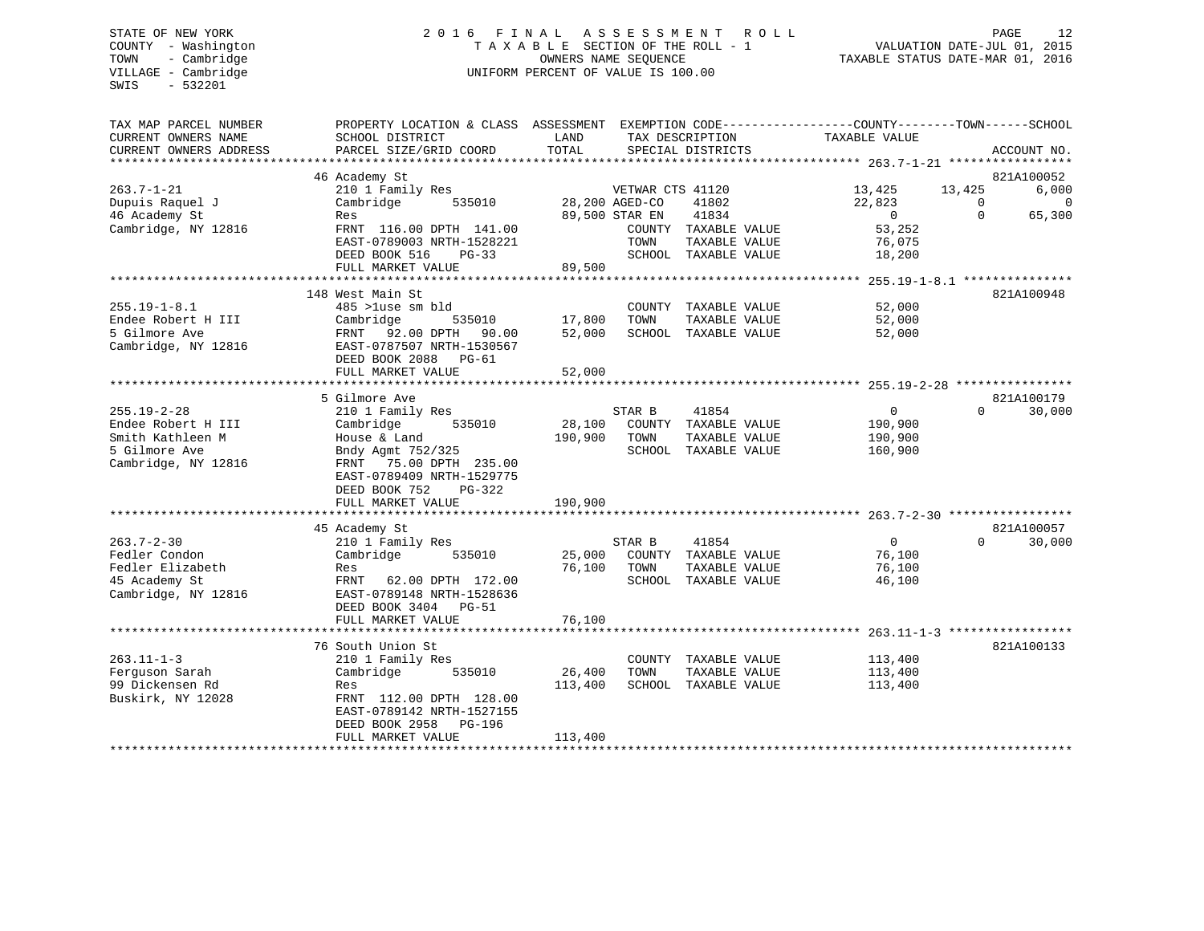# STATE OF NEW YORK 2 0 1 6 F I N A L A S S E S S M E N T R O L L PAGE 12 COUNTY - Washington T A X A B L E SECTION OF THE ROLL - 1 VALUATION DATE-JUL 01, 2015 TOWN - Cambridge OWNERS NAME SEQUENCE TAXABLE STATUS DATE-MAR 01, 2016 VILLAGE - Cambridge **UNIFORM PERCENT OF VALUE** IS 100.00

| TAX MAP PARCEL NUMBER<br>CURRENT OWNERS NAME | PROPERTY LOCATION & CLASS ASSESSMENT EXEMPTION CODE----------------COUNTY-------TOWN------SCHOOL<br>SCHOOL DISTRICT | LAND           |                  | TAX DESCRIPTION                       | TAXABLE VALUE     |          |             |
|----------------------------------------------|---------------------------------------------------------------------------------------------------------------------|----------------|------------------|---------------------------------------|-------------------|----------|-------------|
| CURRENT OWNERS ADDRESS                       | PARCEL SIZE/GRID COORD                                                                                              | TOTAL          |                  | SPECIAL DISTRICTS                     |                   |          | ACCOUNT NO. |
|                                              | 46 Academy St                                                                                                       |                |                  |                                       |                   |          | 821A100052  |
| 263.7-1-21                                   | 210 1 Family Res                                                                                                    |                | VETWAR CTS 41120 |                                       | 13,425 13,425     |          | 6,000       |
| Dupuis Raquel J                              | 535010<br>Cambridge                                                                                                 | 28,200 AGED-CO |                  | 41802                                 | 22,823            | $\Omega$ | $\mathbf 0$ |
| 46 Academy St                                | Res                                                                                                                 |                | 89,500 STAR EN   | 41834                                 | $\overline{0}$    | $\Omega$ | 65,300      |
| Cambridge, NY 12816                          | FRNT 116.00 DPTH 141.00                                                                                             |                |                  | COUNTY TAXABLE VALUE                  | 53,252            |          |             |
|                                              | EAST-0789003 NRTH-1528221                                                                                           |                | TOWN             | TAXABLE VALUE                         | 76,075            |          |             |
|                                              | DEED BOOK 516<br>$PG-33$                                                                                            |                |                  | SCHOOL TAXABLE VALUE                  | 18,200            |          |             |
|                                              | FULL MARKET VALUE                                                                                                   | 89,500         |                  |                                       |                   |          |             |
|                                              |                                                                                                                     |                |                  |                                       |                   |          |             |
|                                              | 148 West Main St                                                                                                    |                |                  |                                       |                   |          | 821A100948  |
| 255.19-1-8.1                                 | 485 >luse sm bld                                                                                                    |                |                  | COUNTY TAXABLE VALUE                  | 52,000            |          |             |
| Endee Robert H III                           | 535010<br>Cambridge                                                                                                 | 17,800         | TOWN             | TAXABLE VALUE                         | 52,000            |          |             |
| 5 Gilmore Ave<br>Cambridge, NY 12816         | FRNT 92.00 DPTH 90.00<br>EAST-0787507 NRTH-1530567                                                                  | 52,000         |                  | SCHOOL TAXABLE VALUE                  | 52,000            |          |             |
|                                              | DEED BOOK 2088 PG-61                                                                                                |                |                  |                                       |                   |          |             |
|                                              | FULL MARKET VALUE                                                                                                   | 52,000         |                  |                                       |                   |          |             |
|                                              |                                                                                                                     |                |                  |                                       |                   |          |             |
|                                              | 5 Gilmore Ave                                                                                                       |                |                  |                                       |                   |          | 821A100179  |
| 255.19-2-28                                  | 210 1 Family Res                                                                                                    |                | STAR B           | 41854                                 | $0 \qquad \qquad$ | $\Omega$ | 30,000      |
| Endee Robert H III                           | 535010<br>Cambridge                                                                                                 | 28,100         |                  | COUNTY TAXABLE VALUE                  | 190,900           |          |             |
| Smith Kathleen M                             | House & Land                                                                                                        | 190,900        | TOWN             | TAXABLE VALUE                         | 190,900           |          |             |
| 5 Gilmore Ave                                | Bndy Agmt 752/325                                                                                                   |                |                  | SCHOOL TAXABLE VALUE                  | 160,900           |          |             |
| Cambridge, NY 12816                          | FRNT 75.00 DPTH 235.00                                                                                              |                |                  |                                       |                   |          |             |
|                                              | EAST-0789409 NRTH-1529775                                                                                           |                |                  |                                       |                   |          |             |
|                                              | DEED BOOK 752<br>PG-322                                                                                             |                |                  |                                       |                   |          |             |
|                                              | FULL MARKET VALUE                                                                                                   | 190,900        |                  |                                       |                   |          |             |
|                                              |                                                                                                                     |                |                  |                                       |                   |          |             |
|                                              | 45 Academy St                                                                                                       |                |                  |                                       |                   |          | 821A100057  |
| 263.7-2-30                                   | 210 1 Family Res                                                                                                    |                | STAR B           | 41854                                 | $\Omega$          | $\Omega$ | 30,000      |
| Fedler Condon                                | Cambridge<br>535010                                                                                                 | 25,000         |                  | COUNTY TAXABLE VALUE                  | 76,100            |          |             |
| Fedler Elizabeth<br>45 Academy St            | Res<br>FRNT 62.00 DPTH 172.00                                                                                       | 76,100         | TOWN             | TAXABLE VALUE<br>SCHOOL TAXABLE VALUE | 76,100<br>46,100  |          |             |
| Cambridge, NY 12816                          | EAST-0789148 NRTH-1528636                                                                                           |                |                  |                                       |                   |          |             |
|                                              | DEED BOOK 3404 PG-51                                                                                                |                |                  |                                       |                   |          |             |
|                                              | FULL MARKET VALUE                                                                                                   | 76,100         |                  |                                       |                   |          |             |
|                                              |                                                                                                                     |                |                  |                                       |                   |          |             |
|                                              | 76 South Union St                                                                                                   |                |                  |                                       |                   |          | 821A100133  |
| 263.11-1-3                                   | 210 1 Family Res                                                                                                    |                |                  | COUNTY TAXABLE VALUE                  | 113,400           |          |             |
| Ferquson Sarah                               | Cambridge<br>535010                                                                                                 | 26,400         | TOWN             | TAXABLE VALUE                         | 113,400           |          |             |
| 99 Dickensen Rd                              | Res                                                                                                                 | 113,400        |                  | SCHOOL TAXABLE VALUE                  | 113,400           |          |             |
| Buskirk, NY 12028                            | FRNT 112.00 DPTH 128.00                                                                                             |                |                  |                                       |                   |          |             |
|                                              | EAST-0789142 NRTH-1527155                                                                                           |                |                  |                                       |                   |          |             |
|                                              | DEED BOOK 2958 PG-196                                                                                               |                |                  |                                       |                   |          |             |
|                                              | FULL MARKET VALUE                                                                                                   | 113,400        |                  |                                       |                   |          |             |
|                                              |                                                                                                                     |                |                  |                                       |                   |          |             |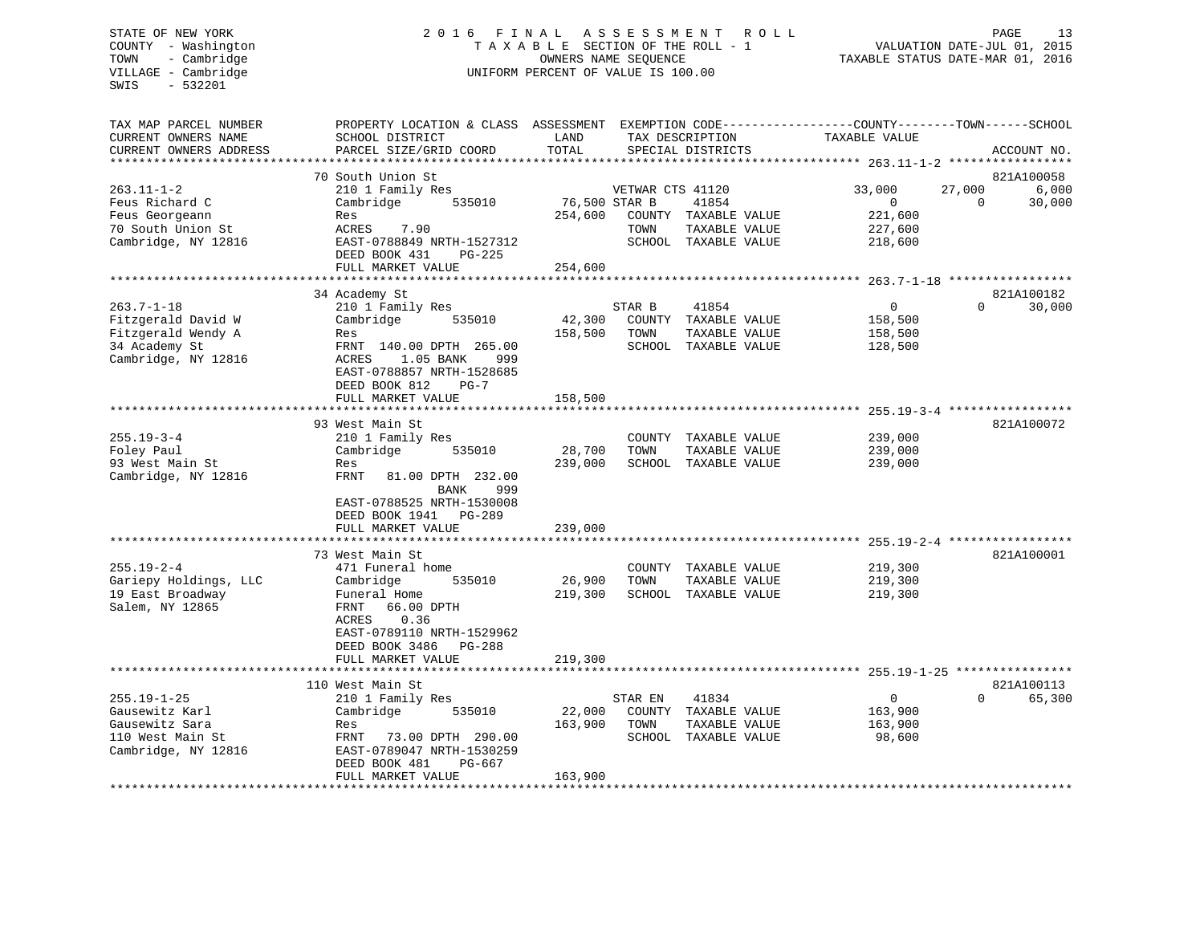#### STATE OF NEW YORK 2 0 1 6 F I N A L A S S E S S M E N T R O L L PAGE 13COUNTY - Washington  $T A X A B L E$  SECTION OF THE ROLL - 1<br>TOWN - Cambridge  $\sim$  000NERS NAME SEQUENCE TOWN - Cambridge OWNERS NAME SEQUENCE TAXABLE STATUS DATE-MAR 01, 2016 UNIFORM PERCENT OF VALUE IS 100.00

VALUATION DATE-JUL 01, 2015

| TAX MAP PARCEL NUMBER<br>CURRENT OWNERS NAME<br>CURRENT OWNERS ADDRESS | PROPERTY LOCATION & CLASS ASSESSMENT EXEMPTION CODE----------------COUNTY-------TOWN------SCHOOL<br>SCHOOL DISTRICT<br>PARCEL SIZE/GRID COORD | LAND<br>TOTAL |                  | TAX DESCRIPTION<br>SPECIAL DISTRICTS                          | TAXABLE VALUE                                             |                    | ACCOUNT NO.          |
|------------------------------------------------------------------------|-----------------------------------------------------------------------------------------------------------------------------------------------|---------------|------------------|---------------------------------------------------------------|-----------------------------------------------------------|--------------------|----------------------|
| * * * * * * * * * * * * * *                                            | **************************                                                                                                                    |               |                  |                                                               |                                                           |                    |                      |
|                                                                        | 70 South Union St                                                                                                                             |               |                  |                                                               |                                                           |                    | 821A100058           |
| $263.11 - 1 - 2$<br>Feus Richard C                                     | 210 1 Family Res<br>Cambridge<br>535010                                                                                                       | 76,500 STAR B | VETWAR CTS 41120 | 41854                                                         | 33,000<br>$\overline{0}$                                  | 27,000<br>$\Omega$ | 6,000<br>30,000      |
| Feus Georgeann<br>70 South Union St<br>Cambridge, NY 12816             | Res<br>7.90<br>ACRES<br>EAST-0788849 NRTH-1527312                                                                                             | 254,600       | TOWN             | COUNTY TAXABLE VALUE<br>TAXABLE VALUE<br>SCHOOL TAXABLE VALUE | 221,600<br>227,600<br>218,600                             |                    |                      |
|                                                                        | DEED BOOK 431<br>$PG-225$<br>FULL MARKET VALUE                                                                                                | 254,600       |                  |                                                               |                                                           |                    |                      |
|                                                                        |                                                                                                                                               |               |                  |                                                               |                                                           |                    |                      |
| $263.7 - 1 - 18$                                                       | 34 Academy St<br>210 1 Family Res                                                                                                             |               | STAR B           | 41854                                                         | $\overline{0}$                                            | $\Omega$           | 821A100182<br>30,000 |
| Fitzgerald David W                                                     | Cambridge<br>535010                                                                                                                           | 42,300        |                  | COUNTY TAXABLE VALUE                                          | 158,500                                                   |                    |                      |
| Fitzgerald Wendy A                                                     | Res                                                                                                                                           | 158,500       | TOWN             | TAXABLE VALUE                                                 | 158,500                                                   |                    |                      |
| 34 Academy St                                                          | FRNT 140.00 DPTH 265.00                                                                                                                       |               |                  | SCHOOL TAXABLE VALUE                                          | 128,500                                                   |                    |                      |
| Cambridge, NY 12816                                                    | 1.05 BANK<br>ACRES<br>999<br>EAST-0788857 NRTH-1528685<br>DEED BOOK 812<br>$PG-7$                                                             |               |                  |                                                               |                                                           |                    |                      |
|                                                                        | FULL MARKET VALUE                                                                                                                             | 158,500       |                  |                                                               |                                                           |                    |                      |
|                                                                        |                                                                                                                                               |               |                  |                                                               |                                                           |                    |                      |
|                                                                        | 93 West Main St                                                                                                                               |               |                  |                                                               |                                                           |                    | 821A100072           |
| $255.19 - 3 - 4$                                                       | 210 1 Family Res                                                                                                                              |               | COUNTY           | TAXABLE VALUE                                                 | 239,000                                                   |                    |                      |
| Foley Paul                                                             | Cambridge<br>535010                                                                                                                           | 28,700        | TOWN             | TAXABLE VALUE                                                 | 239,000                                                   |                    |                      |
| 93 West Main St<br>Cambridge, NY 12816                                 | Res<br>81.00 DPTH 232.00<br>FRNT<br>BANK<br>999<br>EAST-0788525 NRTH-1530008                                                                  | 239,000       |                  | SCHOOL TAXABLE VALUE                                          | 239,000                                                   |                    |                      |
|                                                                        | DEED BOOK 1941<br>PG-289                                                                                                                      |               |                  |                                                               |                                                           |                    |                      |
|                                                                        | FULL MARKET VALUE                                                                                                                             | 239,000       |                  |                                                               |                                                           |                    |                      |
|                                                                        | 73 West Main St                                                                                                                               |               |                  |                                                               |                                                           |                    | 821A100001           |
| $255.19 - 2 - 4$                                                       | 471 Funeral home                                                                                                                              |               |                  | COUNTY TAXABLE VALUE                                          | 219,300                                                   |                    |                      |
| Gariepy Holdings, LLC                                                  | 535010<br>Cambridge                                                                                                                           | 26,900        | TOWN             | TAXABLE VALUE                                                 | 219,300                                                   |                    |                      |
| 19 East Broadway                                                       | Funeral Home                                                                                                                                  | 219,300       |                  | SCHOOL TAXABLE VALUE                                          | 219,300                                                   |                    |                      |
| Salem, NY 12865                                                        | FRNT<br>66.00 DPTH<br>0.36<br>ACRES<br>EAST-0789110 NRTH-1529962<br>DEED BOOK 3486<br><b>PG-288</b>                                           |               |                  |                                                               |                                                           |                    |                      |
|                                                                        | FULL MARKET VALUE                                                                                                                             | 219,300       |                  |                                                               |                                                           |                    |                      |
|                                                                        |                                                                                                                                               | *********     |                  |                                                               | **************************** 255 19-1-25 **************** |                    |                      |
|                                                                        | 110 West Main St                                                                                                                              |               |                  |                                                               |                                                           |                    | 821A100113           |
| $255.19 - 1 - 25$                                                      | 210 1 Family Res                                                                                                                              |               | STAR EN          | 41834                                                         | $\mathbf{0}$                                              | $\Omega$           | 65,300               |
| Gausewitz Karl                                                         | Cambridge<br>535010                                                                                                                           | 22,000        |                  | COUNTY TAXABLE VALUE                                          | 163,900                                                   |                    |                      |
| Gausewitz Sara                                                         | Res                                                                                                                                           | 163,900       | TOWN             | TAXABLE VALUE                                                 | 163,900                                                   |                    |                      |
| 110 West Main St<br>Cambridge, NY 12816                                | FRNT<br>73.00 DPTH 290.00<br>EAST-0789047 NRTH-1530259<br>DEED BOOK 481<br>PG-667                                                             |               |                  | SCHOOL TAXABLE VALUE                                          | 98,600                                                    |                    |                      |
|                                                                        | FULL MARKET VALUE                                                                                                                             | 163,900       |                  |                                                               |                                                           |                    |                      |
|                                                                        | **************************                                                                                                                    |               |                  |                                                               |                                                           |                    |                      |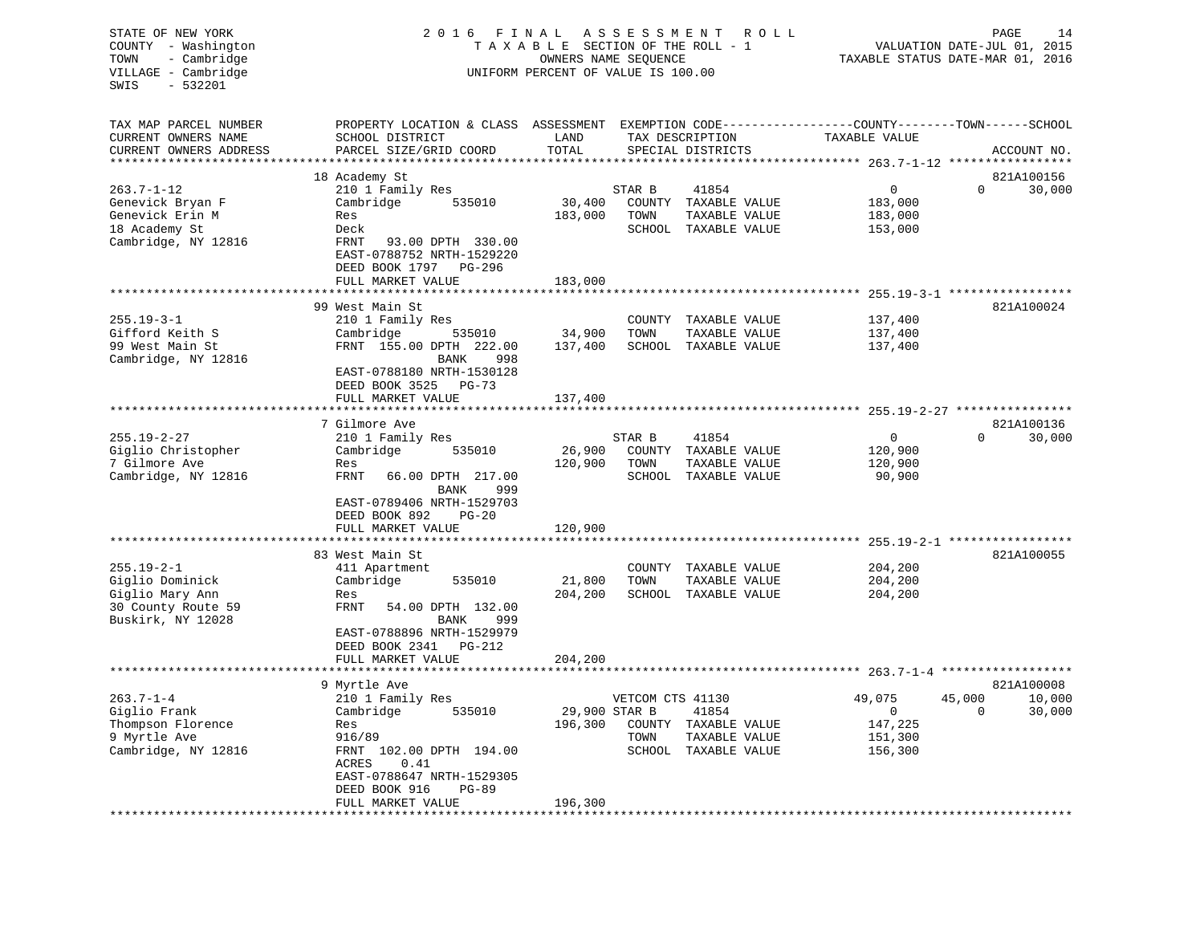| PROPERTY LOCATION & CLASS ASSESSMENT EXEMPTION CODE----------------COUNTY-------TOWN------SCHOOL<br>TAX MAP PARCEL NUMBER<br>CURRENT OWNERS NAME<br>SCHOOL DISTRICT<br>LAND<br>TAX DESCRIPTION<br>TAXABLE VALUE<br>CURRENT OWNERS ADDRESS<br>PARCEL SIZE/GRID COORD<br>TOTAL<br>SPECIAL DISTRICTS<br>ACCOUNT NO.<br>*********************<br>***************************<br>821A100156<br>18 Academy St<br>$263.7 - 1 - 12$<br>210 1 Family Res<br>$\circ$<br>0<br>30,000<br>STAR B<br>41854<br>Genevick Bryan F<br>Cambridge<br>535010<br>30,400<br>COUNTY TAXABLE VALUE<br>183,000<br>Genevick Erin M<br>183,000<br>TOWN<br>TAXABLE VALUE<br>183,000<br>Res<br>18 Academy St<br>SCHOOL TAXABLE VALUE<br>153,000<br>Deck<br>Cambridge, NY 12816<br>FRNT<br>93.00 DPTH 330.00<br>EAST-0788752 NRTH-1529220<br>DEED BOOK 1797<br>PG-296<br>FULL MARKET VALUE<br>183,000<br>************************ 255.19-3-1 *****************<br>821A100024<br>99 West Main St<br>$255.19 - 3 - 1$<br>210 1 Family Res<br>COUNTY TAXABLE VALUE<br>137,400<br>Gifford Keith S<br>Cambridge<br>34,900<br>137,400<br>535010<br>TOWN<br>TAXABLE VALUE<br>99 West Main St<br>FRNT 155.00 DPTH 222.00<br>137,400<br>SCHOOL TAXABLE VALUE<br>137,400<br>Cambridge, NY 12816<br>BANK<br>998<br>EAST-0788180 NRTH-1530128<br>DEED BOOK 3525 PG-73<br>FULL MARKET VALUE<br>137,400<br>7 Gilmore Ave<br>821A100136<br>$255.19 - 2 - 27$<br>$\overline{0}$<br>$\Omega$<br>30,000<br>210 1 Family Res<br>STAR B<br>41854<br>26,900<br>Giglio Christopher<br>535010<br>COUNTY TAXABLE VALUE<br>120,900<br>Cambridge<br>7 Gilmore Ave<br>120,900<br>TOWN<br>TAXABLE VALUE<br>120,900<br>Res<br>Cambridge, NY 12816<br>FRNT<br>66.00 DPTH 217.00<br>SCHOOL TAXABLE VALUE<br>90,900<br>BANK<br>999<br>EAST-0789406 NRTH-1529703<br>DEED BOOK 892<br>$PG-20$<br>FULL MARKET VALUE<br>120,900<br>*********************<br>************************************ 255.19-2-1 ******************<br>821A100055<br>83 West Main St<br>$255.19 - 2 - 1$<br>204,200<br>411 Apartment<br>COUNTY TAXABLE VALUE<br>Giglio Dominick<br>Cambridge<br>535010<br>21,800<br>TOWN<br>204,200<br>TAXABLE VALUE<br>204,200<br>Giglio Mary Ann<br>SCHOOL TAXABLE VALUE<br>204,200<br>Res<br>FRNT<br>30 County Route 59<br>54.00 DPTH 132.00<br>Buskirk, NY 12028<br>BANK<br>999<br>EAST-0788896 NRTH-1529979<br>DEED BOOK 2341 PG-212<br>FULL MARKET VALUE<br>204,200<br>821A100008<br>9 Myrtle Ave<br>$263.7 - 1 - 4$<br>49,075<br>45,000<br>10,000<br>210 1 Family Res<br>VETCOM CTS 41130<br>30,000<br>Giglio Frank<br>535010<br>29,900 STAR B<br>41854<br>$\overline{0}$<br>$\mathbf 0$<br>Cambridge<br>Thompson Florence<br>196,300<br>147,225<br>Res<br>COUNTY TAXABLE VALUE<br>9 Myrtle Ave<br>916/89<br>TOWN<br>TAXABLE VALUE<br>151,300<br>FRNT 102.00 DPTH 194.00<br>SCHOOL TAXABLE VALUE<br>Cambridge, NY 12816<br>156,300<br>0.41<br>ACRES<br>EAST-0788647 NRTH-1529305<br>DEED BOOK 916<br>$PG-89$<br>FULL MARKET VALUE<br>196,300 | STATE OF NEW YORK<br>COUNTY - Washington<br>TOWN<br>- Cambridge<br>VILLAGE - Cambridge<br>$-532201$<br>SWIS | 2016 FINAL<br>TAXABLE SECTION OF THE ROLL - 1<br>UNIFORM PERCENT OF VALUE IS 100.00 | R O L L | PAGE<br>14<br>VALUATION DATE-JUL 01, 2015<br>TAXABLE STATUS DATE-MAR 01, 2016 |  |
|---------------------------------------------------------------------------------------------------------------------------------------------------------------------------------------------------------------------------------------------------------------------------------------------------------------------------------------------------------------------------------------------------------------------------------------------------------------------------------------------------------------------------------------------------------------------------------------------------------------------------------------------------------------------------------------------------------------------------------------------------------------------------------------------------------------------------------------------------------------------------------------------------------------------------------------------------------------------------------------------------------------------------------------------------------------------------------------------------------------------------------------------------------------------------------------------------------------------------------------------------------------------------------------------------------------------------------------------------------------------------------------------------------------------------------------------------------------------------------------------------------------------------------------------------------------------------------------------------------------------------------------------------------------------------------------------------------------------------------------------------------------------------------------------------------------------------------------------------------------------------------------------------------------------------------------------------------------------------------------------------------------------------------------------------------------------------------------------------------------------------------------------------------------------------------------------------------------------------------------------------------------------------------------------------------------------------------------------------------------------------------------------------------------------------------------------------------------------------------------------------------------------------------------------------------------------------------------------------------------------------------------------------------------------------------------------------------------------------------------------------------------------------------------------------------------------------------------------------------------------------------------------------------------------------------------------------------------------------------------------|-------------------------------------------------------------------------------------------------------------|-------------------------------------------------------------------------------------|---------|-------------------------------------------------------------------------------|--|
|                                                                                                                                                                                                                                                                                                                                                                                                                                                                                                                                                                                                                                                                                                                                                                                                                                                                                                                                                                                                                                                                                                                                                                                                                                                                                                                                                                                                                                                                                                                                                                                                                                                                                                                                                                                                                                                                                                                                                                                                                                                                                                                                                                                                                                                                                                                                                                                                                                                                                                                                                                                                                                                                                                                                                                                                                                                                                                                                                                                             |                                                                                                             |                                                                                     |         |                                                                               |  |
|                                                                                                                                                                                                                                                                                                                                                                                                                                                                                                                                                                                                                                                                                                                                                                                                                                                                                                                                                                                                                                                                                                                                                                                                                                                                                                                                                                                                                                                                                                                                                                                                                                                                                                                                                                                                                                                                                                                                                                                                                                                                                                                                                                                                                                                                                                                                                                                                                                                                                                                                                                                                                                                                                                                                                                                                                                                                                                                                                                                             |                                                                                                             |                                                                                     |         |                                                                               |  |
|                                                                                                                                                                                                                                                                                                                                                                                                                                                                                                                                                                                                                                                                                                                                                                                                                                                                                                                                                                                                                                                                                                                                                                                                                                                                                                                                                                                                                                                                                                                                                                                                                                                                                                                                                                                                                                                                                                                                                                                                                                                                                                                                                                                                                                                                                                                                                                                                                                                                                                                                                                                                                                                                                                                                                                                                                                                                                                                                                                                             |                                                                                                             |                                                                                     |         |                                                                               |  |
|                                                                                                                                                                                                                                                                                                                                                                                                                                                                                                                                                                                                                                                                                                                                                                                                                                                                                                                                                                                                                                                                                                                                                                                                                                                                                                                                                                                                                                                                                                                                                                                                                                                                                                                                                                                                                                                                                                                                                                                                                                                                                                                                                                                                                                                                                                                                                                                                                                                                                                                                                                                                                                                                                                                                                                                                                                                                                                                                                                                             |                                                                                                             |                                                                                     |         |                                                                               |  |
|                                                                                                                                                                                                                                                                                                                                                                                                                                                                                                                                                                                                                                                                                                                                                                                                                                                                                                                                                                                                                                                                                                                                                                                                                                                                                                                                                                                                                                                                                                                                                                                                                                                                                                                                                                                                                                                                                                                                                                                                                                                                                                                                                                                                                                                                                                                                                                                                                                                                                                                                                                                                                                                                                                                                                                                                                                                                                                                                                                                             |                                                                                                             |                                                                                     |         |                                                                               |  |
|                                                                                                                                                                                                                                                                                                                                                                                                                                                                                                                                                                                                                                                                                                                                                                                                                                                                                                                                                                                                                                                                                                                                                                                                                                                                                                                                                                                                                                                                                                                                                                                                                                                                                                                                                                                                                                                                                                                                                                                                                                                                                                                                                                                                                                                                                                                                                                                                                                                                                                                                                                                                                                                                                                                                                                                                                                                                                                                                                                                             |                                                                                                             |                                                                                     |         |                                                                               |  |
|                                                                                                                                                                                                                                                                                                                                                                                                                                                                                                                                                                                                                                                                                                                                                                                                                                                                                                                                                                                                                                                                                                                                                                                                                                                                                                                                                                                                                                                                                                                                                                                                                                                                                                                                                                                                                                                                                                                                                                                                                                                                                                                                                                                                                                                                                                                                                                                                                                                                                                                                                                                                                                                                                                                                                                                                                                                                                                                                                                                             |                                                                                                             |                                                                                     |         |                                                                               |  |
|                                                                                                                                                                                                                                                                                                                                                                                                                                                                                                                                                                                                                                                                                                                                                                                                                                                                                                                                                                                                                                                                                                                                                                                                                                                                                                                                                                                                                                                                                                                                                                                                                                                                                                                                                                                                                                                                                                                                                                                                                                                                                                                                                                                                                                                                                                                                                                                                                                                                                                                                                                                                                                                                                                                                                                                                                                                                                                                                                                                             |                                                                                                             |                                                                                     |         |                                                                               |  |
|                                                                                                                                                                                                                                                                                                                                                                                                                                                                                                                                                                                                                                                                                                                                                                                                                                                                                                                                                                                                                                                                                                                                                                                                                                                                                                                                                                                                                                                                                                                                                                                                                                                                                                                                                                                                                                                                                                                                                                                                                                                                                                                                                                                                                                                                                                                                                                                                                                                                                                                                                                                                                                                                                                                                                                                                                                                                                                                                                                                             |                                                                                                             |                                                                                     |         |                                                                               |  |
|                                                                                                                                                                                                                                                                                                                                                                                                                                                                                                                                                                                                                                                                                                                                                                                                                                                                                                                                                                                                                                                                                                                                                                                                                                                                                                                                                                                                                                                                                                                                                                                                                                                                                                                                                                                                                                                                                                                                                                                                                                                                                                                                                                                                                                                                                                                                                                                                                                                                                                                                                                                                                                                                                                                                                                                                                                                                                                                                                                                             |                                                                                                             |                                                                                     |         |                                                                               |  |
|                                                                                                                                                                                                                                                                                                                                                                                                                                                                                                                                                                                                                                                                                                                                                                                                                                                                                                                                                                                                                                                                                                                                                                                                                                                                                                                                                                                                                                                                                                                                                                                                                                                                                                                                                                                                                                                                                                                                                                                                                                                                                                                                                                                                                                                                                                                                                                                                                                                                                                                                                                                                                                                                                                                                                                                                                                                                                                                                                                                             |                                                                                                             |                                                                                     |         |                                                                               |  |
|                                                                                                                                                                                                                                                                                                                                                                                                                                                                                                                                                                                                                                                                                                                                                                                                                                                                                                                                                                                                                                                                                                                                                                                                                                                                                                                                                                                                                                                                                                                                                                                                                                                                                                                                                                                                                                                                                                                                                                                                                                                                                                                                                                                                                                                                                                                                                                                                                                                                                                                                                                                                                                                                                                                                                                                                                                                                                                                                                                                             |                                                                                                             |                                                                                     |         |                                                                               |  |
|                                                                                                                                                                                                                                                                                                                                                                                                                                                                                                                                                                                                                                                                                                                                                                                                                                                                                                                                                                                                                                                                                                                                                                                                                                                                                                                                                                                                                                                                                                                                                                                                                                                                                                                                                                                                                                                                                                                                                                                                                                                                                                                                                                                                                                                                                                                                                                                                                                                                                                                                                                                                                                                                                                                                                                                                                                                                                                                                                                                             |                                                                                                             |                                                                                     |         |                                                                               |  |
|                                                                                                                                                                                                                                                                                                                                                                                                                                                                                                                                                                                                                                                                                                                                                                                                                                                                                                                                                                                                                                                                                                                                                                                                                                                                                                                                                                                                                                                                                                                                                                                                                                                                                                                                                                                                                                                                                                                                                                                                                                                                                                                                                                                                                                                                                                                                                                                                                                                                                                                                                                                                                                                                                                                                                                                                                                                                                                                                                                                             |                                                                                                             |                                                                                     |         |                                                                               |  |
|                                                                                                                                                                                                                                                                                                                                                                                                                                                                                                                                                                                                                                                                                                                                                                                                                                                                                                                                                                                                                                                                                                                                                                                                                                                                                                                                                                                                                                                                                                                                                                                                                                                                                                                                                                                                                                                                                                                                                                                                                                                                                                                                                                                                                                                                                                                                                                                                                                                                                                                                                                                                                                                                                                                                                                                                                                                                                                                                                                                             |                                                                                                             |                                                                                     |         |                                                                               |  |
|                                                                                                                                                                                                                                                                                                                                                                                                                                                                                                                                                                                                                                                                                                                                                                                                                                                                                                                                                                                                                                                                                                                                                                                                                                                                                                                                                                                                                                                                                                                                                                                                                                                                                                                                                                                                                                                                                                                                                                                                                                                                                                                                                                                                                                                                                                                                                                                                                                                                                                                                                                                                                                                                                                                                                                                                                                                                                                                                                                                             |                                                                                                             |                                                                                     |         |                                                                               |  |
|                                                                                                                                                                                                                                                                                                                                                                                                                                                                                                                                                                                                                                                                                                                                                                                                                                                                                                                                                                                                                                                                                                                                                                                                                                                                                                                                                                                                                                                                                                                                                                                                                                                                                                                                                                                                                                                                                                                                                                                                                                                                                                                                                                                                                                                                                                                                                                                                                                                                                                                                                                                                                                                                                                                                                                                                                                                                                                                                                                                             |                                                                                                             |                                                                                     |         |                                                                               |  |
|                                                                                                                                                                                                                                                                                                                                                                                                                                                                                                                                                                                                                                                                                                                                                                                                                                                                                                                                                                                                                                                                                                                                                                                                                                                                                                                                                                                                                                                                                                                                                                                                                                                                                                                                                                                                                                                                                                                                                                                                                                                                                                                                                                                                                                                                                                                                                                                                                                                                                                                                                                                                                                                                                                                                                                                                                                                                                                                                                                                             |                                                                                                             |                                                                                     |         |                                                                               |  |
|                                                                                                                                                                                                                                                                                                                                                                                                                                                                                                                                                                                                                                                                                                                                                                                                                                                                                                                                                                                                                                                                                                                                                                                                                                                                                                                                                                                                                                                                                                                                                                                                                                                                                                                                                                                                                                                                                                                                                                                                                                                                                                                                                                                                                                                                                                                                                                                                                                                                                                                                                                                                                                                                                                                                                                                                                                                                                                                                                                                             |                                                                                                             |                                                                                     |         |                                                                               |  |
|                                                                                                                                                                                                                                                                                                                                                                                                                                                                                                                                                                                                                                                                                                                                                                                                                                                                                                                                                                                                                                                                                                                                                                                                                                                                                                                                                                                                                                                                                                                                                                                                                                                                                                                                                                                                                                                                                                                                                                                                                                                                                                                                                                                                                                                                                                                                                                                                                                                                                                                                                                                                                                                                                                                                                                                                                                                                                                                                                                                             |                                                                                                             |                                                                                     |         |                                                                               |  |
|                                                                                                                                                                                                                                                                                                                                                                                                                                                                                                                                                                                                                                                                                                                                                                                                                                                                                                                                                                                                                                                                                                                                                                                                                                                                                                                                                                                                                                                                                                                                                                                                                                                                                                                                                                                                                                                                                                                                                                                                                                                                                                                                                                                                                                                                                                                                                                                                                                                                                                                                                                                                                                                                                                                                                                                                                                                                                                                                                                                             |                                                                                                             |                                                                                     |         |                                                                               |  |
|                                                                                                                                                                                                                                                                                                                                                                                                                                                                                                                                                                                                                                                                                                                                                                                                                                                                                                                                                                                                                                                                                                                                                                                                                                                                                                                                                                                                                                                                                                                                                                                                                                                                                                                                                                                                                                                                                                                                                                                                                                                                                                                                                                                                                                                                                                                                                                                                                                                                                                                                                                                                                                                                                                                                                                                                                                                                                                                                                                                             |                                                                                                             |                                                                                     |         |                                                                               |  |
|                                                                                                                                                                                                                                                                                                                                                                                                                                                                                                                                                                                                                                                                                                                                                                                                                                                                                                                                                                                                                                                                                                                                                                                                                                                                                                                                                                                                                                                                                                                                                                                                                                                                                                                                                                                                                                                                                                                                                                                                                                                                                                                                                                                                                                                                                                                                                                                                                                                                                                                                                                                                                                                                                                                                                                                                                                                                                                                                                                                             |                                                                                                             |                                                                                     |         |                                                                               |  |
|                                                                                                                                                                                                                                                                                                                                                                                                                                                                                                                                                                                                                                                                                                                                                                                                                                                                                                                                                                                                                                                                                                                                                                                                                                                                                                                                                                                                                                                                                                                                                                                                                                                                                                                                                                                                                                                                                                                                                                                                                                                                                                                                                                                                                                                                                                                                                                                                                                                                                                                                                                                                                                                                                                                                                                                                                                                                                                                                                                                             |                                                                                                             |                                                                                     |         |                                                                               |  |
|                                                                                                                                                                                                                                                                                                                                                                                                                                                                                                                                                                                                                                                                                                                                                                                                                                                                                                                                                                                                                                                                                                                                                                                                                                                                                                                                                                                                                                                                                                                                                                                                                                                                                                                                                                                                                                                                                                                                                                                                                                                                                                                                                                                                                                                                                                                                                                                                                                                                                                                                                                                                                                                                                                                                                                                                                                                                                                                                                                                             |                                                                                                             |                                                                                     |         |                                                                               |  |
|                                                                                                                                                                                                                                                                                                                                                                                                                                                                                                                                                                                                                                                                                                                                                                                                                                                                                                                                                                                                                                                                                                                                                                                                                                                                                                                                                                                                                                                                                                                                                                                                                                                                                                                                                                                                                                                                                                                                                                                                                                                                                                                                                                                                                                                                                                                                                                                                                                                                                                                                                                                                                                                                                                                                                                                                                                                                                                                                                                                             |                                                                                                             |                                                                                     |         |                                                                               |  |
|                                                                                                                                                                                                                                                                                                                                                                                                                                                                                                                                                                                                                                                                                                                                                                                                                                                                                                                                                                                                                                                                                                                                                                                                                                                                                                                                                                                                                                                                                                                                                                                                                                                                                                                                                                                                                                                                                                                                                                                                                                                                                                                                                                                                                                                                                                                                                                                                                                                                                                                                                                                                                                                                                                                                                                                                                                                                                                                                                                                             |                                                                                                             |                                                                                     |         |                                                                               |  |
|                                                                                                                                                                                                                                                                                                                                                                                                                                                                                                                                                                                                                                                                                                                                                                                                                                                                                                                                                                                                                                                                                                                                                                                                                                                                                                                                                                                                                                                                                                                                                                                                                                                                                                                                                                                                                                                                                                                                                                                                                                                                                                                                                                                                                                                                                                                                                                                                                                                                                                                                                                                                                                                                                                                                                                                                                                                                                                                                                                                             |                                                                                                             |                                                                                     |         |                                                                               |  |
|                                                                                                                                                                                                                                                                                                                                                                                                                                                                                                                                                                                                                                                                                                                                                                                                                                                                                                                                                                                                                                                                                                                                                                                                                                                                                                                                                                                                                                                                                                                                                                                                                                                                                                                                                                                                                                                                                                                                                                                                                                                                                                                                                                                                                                                                                                                                                                                                                                                                                                                                                                                                                                                                                                                                                                                                                                                                                                                                                                                             |                                                                                                             |                                                                                     |         |                                                                               |  |
|                                                                                                                                                                                                                                                                                                                                                                                                                                                                                                                                                                                                                                                                                                                                                                                                                                                                                                                                                                                                                                                                                                                                                                                                                                                                                                                                                                                                                                                                                                                                                                                                                                                                                                                                                                                                                                                                                                                                                                                                                                                                                                                                                                                                                                                                                                                                                                                                                                                                                                                                                                                                                                                                                                                                                                                                                                                                                                                                                                                             |                                                                                                             |                                                                                     |         |                                                                               |  |
|                                                                                                                                                                                                                                                                                                                                                                                                                                                                                                                                                                                                                                                                                                                                                                                                                                                                                                                                                                                                                                                                                                                                                                                                                                                                                                                                                                                                                                                                                                                                                                                                                                                                                                                                                                                                                                                                                                                                                                                                                                                                                                                                                                                                                                                                                                                                                                                                                                                                                                                                                                                                                                                                                                                                                                                                                                                                                                                                                                                             |                                                                                                             |                                                                                     |         |                                                                               |  |
|                                                                                                                                                                                                                                                                                                                                                                                                                                                                                                                                                                                                                                                                                                                                                                                                                                                                                                                                                                                                                                                                                                                                                                                                                                                                                                                                                                                                                                                                                                                                                                                                                                                                                                                                                                                                                                                                                                                                                                                                                                                                                                                                                                                                                                                                                                                                                                                                                                                                                                                                                                                                                                                                                                                                                                                                                                                                                                                                                                                             |                                                                                                             |                                                                                     |         |                                                                               |  |
|                                                                                                                                                                                                                                                                                                                                                                                                                                                                                                                                                                                                                                                                                                                                                                                                                                                                                                                                                                                                                                                                                                                                                                                                                                                                                                                                                                                                                                                                                                                                                                                                                                                                                                                                                                                                                                                                                                                                                                                                                                                                                                                                                                                                                                                                                                                                                                                                                                                                                                                                                                                                                                                                                                                                                                                                                                                                                                                                                                                             |                                                                                                             |                                                                                     |         |                                                                               |  |
|                                                                                                                                                                                                                                                                                                                                                                                                                                                                                                                                                                                                                                                                                                                                                                                                                                                                                                                                                                                                                                                                                                                                                                                                                                                                                                                                                                                                                                                                                                                                                                                                                                                                                                                                                                                                                                                                                                                                                                                                                                                                                                                                                                                                                                                                                                                                                                                                                                                                                                                                                                                                                                                                                                                                                                                                                                                                                                                                                                                             |                                                                                                             |                                                                                     |         |                                                                               |  |
|                                                                                                                                                                                                                                                                                                                                                                                                                                                                                                                                                                                                                                                                                                                                                                                                                                                                                                                                                                                                                                                                                                                                                                                                                                                                                                                                                                                                                                                                                                                                                                                                                                                                                                                                                                                                                                                                                                                                                                                                                                                                                                                                                                                                                                                                                                                                                                                                                                                                                                                                                                                                                                                                                                                                                                                                                                                                                                                                                                                             |                                                                                                             |                                                                                     |         |                                                                               |  |
|                                                                                                                                                                                                                                                                                                                                                                                                                                                                                                                                                                                                                                                                                                                                                                                                                                                                                                                                                                                                                                                                                                                                                                                                                                                                                                                                                                                                                                                                                                                                                                                                                                                                                                                                                                                                                                                                                                                                                                                                                                                                                                                                                                                                                                                                                                                                                                                                                                                                                                                                                                                                                                                                                                                                                                                                                                                                                                                                                                                             |                                                                                                             |                                                                                     |         |                                                                               |  |
|                                                                                                                                                                                                                                                                                                                                                                                                                                                                                                                                                                                                                                                                                                                                                                                                                                                                                                                                                                                                                                                                                                                                                                                                                                                                                                                                                                                                                                                                                                                                                                                                                                                                                                                                                                                                                                                                                                                                                                                                                                                                                                                                                                                                                                                                                                                                                                                                                                                                                                                                                                                                                                                                                                                                                                                                                                                                                                                                                                                             |                                                                                                             |                                                                                     |         |                                                                               |  |
|                                                                                                                                                                                                                                                                                                                                                                                                                                                                                                                                                                                                                                                                                                                                                                                                                                                                                                                                                                                                                                                                                                                                                                                                                                                                                                                                                                                                                                                                                                                                                                                                                                                                                                                                                                                                                                                                                                                                                                                                                                                                                                                                                                                                                                                                                                                                                                                                                                                                                                                                                                                                                                                                                                                                                                                                                                                                                                                                                                                             |                                                                                                             |                                                                                     |         |                                                                               |  |
|                                                                                                                                                                                                                                                                                                                                                                                                                                                                                                                                                                                                                                                                                                                                                                                                                                                                                                                                                                                                                                                                                                                                                                                                                                                                                                                                                                                                                                                                                                                                                                                                                                                                                                                                                                                                                                                                                                                                                                                                                                                                                                                                                                                                                                                                                                                                                                                                                                                                                                                                                                                                                                                                                                                                                                                                                                                                                                                                                                                             |                                                                                                             |                                                                                     |         |                                                                               |  |
|                                                                                                                                                                                                                                                                                                                                                                                                                                                                                                                                                                                                                                                                                                                                                                                                                                                                                                                                                                                                                                                                                                                                                                                                                                                                                                                                                                                                                                                                                                                                                                                                                                                                                                                                                                                                                                                                                                                                                                                                                                                                                                                                                                                                                                                                                                                                                                                                                                                                                                                                                                                                                                                                                                                                                                                                                                                                                                                                                                                             |                                                                                                             |                                                                                     |         |                                                                               |  |
|                                                                                                                                                                                                                                                                                                                                                                                                                                                                                                                                                                                                                                                                                                                                                                                                                                                                                                                                                                                                                                                                                                                                                                                                                                                                                                                                                                                                                                                                                                                                                                                                                                                                                                                                                                                                                                                                                                                                                                                                                                                                                                                                                                                                                                                                                                                                                                                                                                                                                                                                                                                                                                                                                                                                                                                                                                                                                                                                                                                             |                                                                                                             |                                                                                     |         |                                                                               |  |
|                                                                                                                                                                                                                                                                                                                                                                                                                                                                                                                                                                                                                                                                                                                                                                                                                                                                                                                                                                                                                                                                                                                                                                                                                                                                                                                                                                                                                                                                                                                                                                                                                                                                                                                                                                                                                                                                                                                                                                                                                                                                                                                                                                                                                                                                                                                                                                                                                                                                                                                                                                                                                                                                                                                                                                                                                                                                                                                                                                                             |                                                                                                             |                                                                                     |         |                                                                               |  |
|                                                                                                                                                                                                                                                                                                                                                                                                                                                                                                                                                                                                                                                                                                                                                                                                                                                                                                                                                                                                                                                                                                                                                                                                                                                                                                                                                                                                                                                                                                                                                                                                                                                                                                                                                                                                                                                                                                                                                                                                                                                                                                                                                                                                                                                                                                                                                                                                                                                                                                                                                                                                                                                                                                                                                                                                                                                                                                                                                                                             |                                                                                                             |                                                                                     |         |                                                                               |  |
|                                                                                                                                                                                                                                                                                                                                                                                                                                                                                                                                                                                                                                                                                                                                                                                                                                                                                                                                                                                                                                                                                                                                                                                                                                                                                                                                                                                                                                                                                                                                                                                                                                                                                                                                                                                                                                                                                                                                                                                                                                                                                                                                                                                                                                                                                                                                                                                                                                                                                                                                                                                                                                                                                                                                                                                                                                                                                                                                                                                             |                                                                                                             |                                                                                     |         |                                                                               |  |
|                                                                                                                                                                                                                                                                                                                                                                                                                                                                                                                                                                                                                                                                                                                                                                                                                                                                                                                                                                                                                                                                                                                                                                                                                                                                                                                                                                                                                                                                                                                                                                                                                                                                                                                                                                                                                                                                                                                                                                                                                                                                                                                                                                                                                                                                                                                                                                                                                                                                                                                                                                                                                                                                                                                                                                                                                                                                                                                                                                                             |                                                                                                             |                                                                                     |         |                                                                               |  |
|                                                                                                                                                                                                                                                                                                                                                                                                                                                                                                                                                                                                                                                                                                                                                                                                                                                                                                                                                                                                                                                                                                                                                                                                                                                                                                                                                                                                                                                                                                                                                                                                                                                                                                                                                                                                                                                                                                                                                                                                                                                                                                                                                                                                                                                                                                                                                                                                                                                                                                                                                                                                                                                                                                                                                                                                                                                                                                                                                                                             |                                                                                                             |                                                                                     |         |                                                                               |  |
|                                                                                                                                                                                                                                                                                                                                                                                                                                                                                                                                                                                                                                                                                                                                                                                                                                                                                                                                                                                                                                                                                                                                                                                                                                                                                                                                                                                                                                                                                                                                                                                                                                                                                                                                                                                                                                                                                                                                                                                                                                                                                                                                                                                                                                                                                                                                                                                                                                                                                                                                                                                                                                                                                                                                                                                                                                                                                                                                                                                             |                                                                                                             |                                                                                     |         |                                                                               |  |
|                                                                                                                                                                                                                                                                                                                                                                                                                                                                                                                                                                                                                                                                                                                                                                                                                                                                                                                                                                                                                                                                                                                                                                                                                                                                                                                                                                                                                                                                                                                                                                                                                                                                                                                                                                                                                                                                                                                                                                                                                                                                                                                                                                                                                                                                                                                                                                                                                                                                                                                                                                                                                                                                                                                                                                                                                                                                                                                                                                                             |                                                                                                             |                                                                                     |         |                                                                               |  |
|                                                                                                                                                                                                                                                                                                                                                                                                                                                                                                                                                                                                                                                                                                                                                                                                                                                                                                                                                                                                                                                                                                                                                                                                                                                                                                                                                                                                                                                                                                                                                                                                                                                                                                                                                                                                                                                                                                                                                                                                                                                                                                                                                                                                                                                                                                                                                                                                                                                                                                                                                                                                                                                                                                                                                                                                                                                                                                                                                                                             |                                                                                                             |                                                                                     |         |                                                                               |  |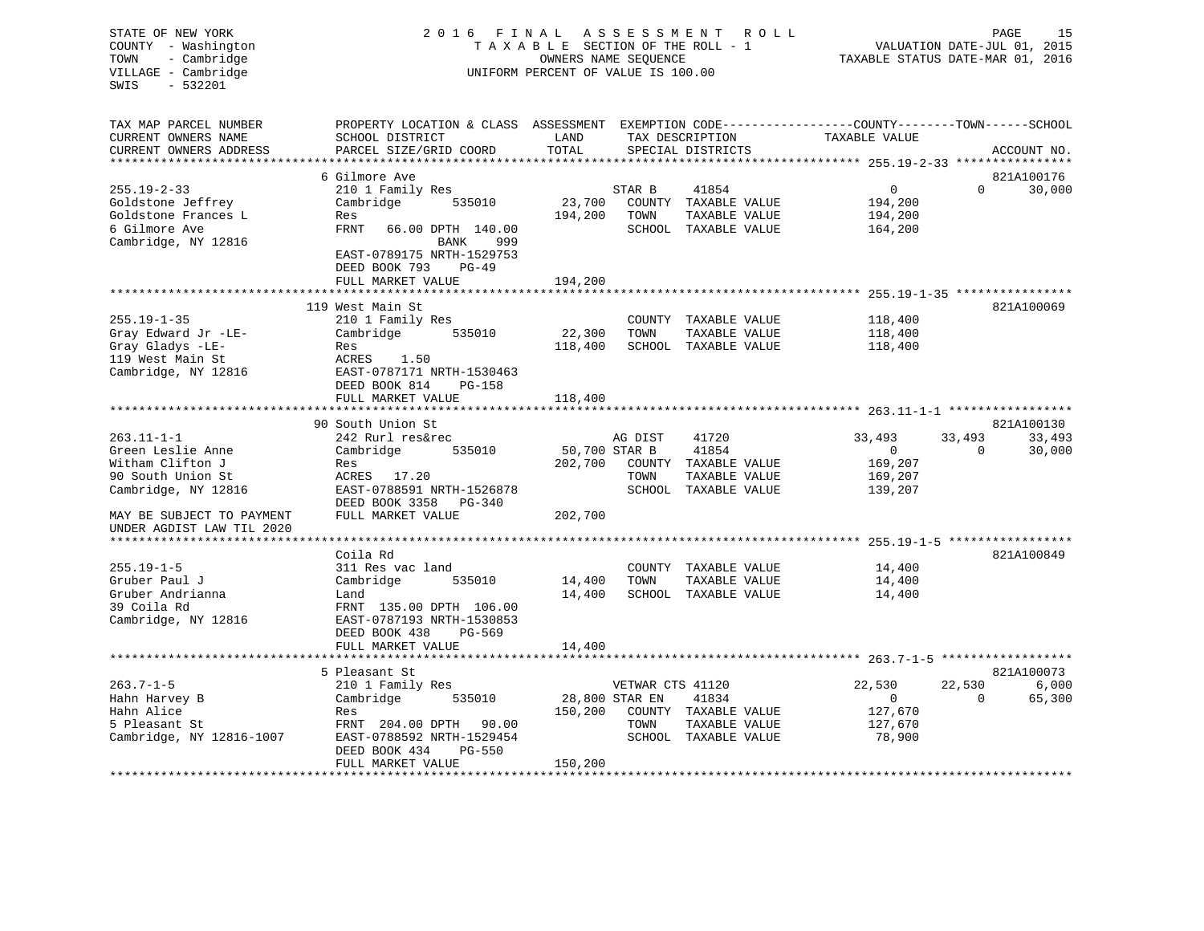| STATE OF NEW YORK<br>COUNTY - Washington<br>- Cambridge<br>TOWN<br>VILLAGE - Cambridge<br>$-532201$<br>SWIS | 2016 FINAL                                                                        | TAXABLE SECTION OF THE ROLL - 1<br>OWNERS NAME SEQUENCE<br>UNIFORM PERCENT OF VALUE IS 100.00 | A S S E S S M E N T<br>ROLL | TAXABLE STATUS DATE-MAR 01, 2016     | VALUATION DATE-JUL 01, 2015                                                   | 15<br>PAGE   |             |
|-------------------------------------------------------------------------------------------------------------|-----------------------------------------------------------------------------------|-----------------------------------------------------------------------------------------------|-----------------------------|--------------------------------------|-------------------------------------------------------------------------------|--------------|-------------|
| TAX MAP PARCEL NUMBER<br>CURRENT OWNERS NAME<br>CURRENT OWNERS ADDRESS                                      | PROPERTY LOCATION & CLASS ASSESSMENT<br>SCHOOL DISTRICT<br>PARCEL SIZE/GRID COORD | LAND<br>TOTAL                                                                                 |                             | TAX DESCRIPTION<br>SPECIAL DISTRICTS | EXEMPTION CODE-----------------COUNTY-------TOWN------SCHOOL<br>TAXABLE VALUE |              | ACCOUNT NO. |
|                                                                                                             | *********************                                                             |                                                                                               |                             |                                      |                                                                               |              |             |
|                                                                                                             | 6 Gilmore Ave                                                                     |                                                                                               |                             |                                      |                                                                               |              | 821A100176  |
| $255.19 - 2 - 33$                                                                                           | 210 1 Family Res                                                                  |                                                                                               | STAR B                      | 41854                                | 0                                                                             | $\Omega$     | 30,000      |
| Goldstone Jeffrey                                                                                           | Cambridge<br>535010                                                               | 23,700                                                                                        |                             | COUNTY TAXABLE VALUE                 | 194,200                                                                       |              |             |
| Goldstone Frances L                                                                                         | Res                                                                               | 194,200                                                                                       | TOWN                        | TAXABLE VALUE                        | 194,200                                                                       |              |             |
| 6 Gilmore Ave                                                                                               | <b>FRNT</b><br>66.00 DPTH 140.00                                                  |                                                                                               |                             | SCHOOL TAXABLE VALUE                 | 164,200                                                                       |              |             |
| Cambridge, NY 12816                                                                                         | BANK<br>999                                                                       |                                                                                               |                             |                                      |                                                                               |              |             |
|                                                                                                             | EAST-0789175 NRTH-1529753<br>DEED BOOK 793<br>$PG-49$                             |                                                                                               |                             |                                      |                                                                               |              |             |
|                                                                                                             | FULL MARKET VALUE                                                                 | 194,200                                                                                       |                             |                                      |                                                                               |              |             |
|                                                                                                             | 119 West Main St                                                                  |                                                                                               |                             |                                      |                                                                               |              |             |
| $255.19 - 1 - 35$                                                                                           | 210 1 Family Res                                                                  |                                                                                               |                             | COUNTY TAXABLE VALUE                 | 118,400                                                                       |              | 821A100069  |
| Gray Edward Jr -LE-                                                                                         | Cambridge<br>535010                                                               | 22,300                                                                                        | TOWN                        | TAXABLE VALUE                        | 118,400                                                                       |              |             |
| Gray Gladys -LE-                                                                                            | Res                                                                               | 118,400                                                                                       |                             | SCHOOL TAXABLE VALUE                 | 118,400                                                                       |              |             |
| 119 West Main St                                                                                            | ACRES<br>1.50                                                                     |                                                                                               |                             |                                      |                                                                               |              |             |
| Cambridge, NY 12816                                                                                         | EAST-0787171 NRTH-1530463                                                         |                                                                                               |                             |                                      |                                                                               |              |             |
|                                                                                                             | DEED BOOK 814<br>PG-158                                                           |                                                                                               |                             |                                      |                                                                               |              |             |
|                                                                                                             | FULL MARKET VALUE                                                                 | 118,400                                                                                       |                             |                                      |                                                                               |              |             |
|                                                                                                             |                                                                                   |                                                                                               |                             |                                      | ******************** 263.11-1-1 *****************                             |              |             |
|                                                                                                             | 90 South Union St                                                                 |                                                                                               |                             |                                      |                                                                               |              | 821A100130  |
| $263.11 - 1 - 1$                                                                                            | 242 Rurl res&rec                                                                  |                                                                                               | AG DIST                     | 41720                                | 33,493                                                                        | 33,493       | 33,493      |
| Green Leslie Anne                                                                                           | Cambridge<br>535010                                                               | 50,700 STAR B                                                                                 |                             | 41854                                | $\mathbf{0}$                                                                  | $\mathbf{0}$ | 30,000      |
| Witham Clifton J                                                                                            | Res                                                                               | 202,700                                                                                       | COUNTY                      | TAXABLE VALUE                        | 169,207                                                                       |              |             |
| 90 South Union St                                                                                           | ACRES 17.20                                                                       |                                                                                               | TOWN                        | TAXABLE VALUE                        | 169,207                                                                       |              |             |
| Cambridge, NY 12816                                                                                         | EAST-0788591 NRTH-1526878                                                         |                                                                                               |                             | SCHOOL TAXABLE VALUE                 | 139,207                                                                       |              |             |
|                                                                                                             | DEED BOOK 3358 PG-340                                                             |                                                                                               |                             |                                      |                                                                               |              |             |
| MAY BE SUBJECT TO PAYMENT                                                                                   | FULL MARKET VALUE                                                                 | 202,700                                                                                       |                             |                                      |                                                                               |              |             |
| UNDER AGDIST LAW TIL 2020                                                                                   |                                                                                   |                                                                                               |                             |                                      |                                                                               |              |             |
| *************************                                                                                   |                                                                                   |                                                                                               |                             |                                      | ******************** 255.19-1-5 ******************                            |              |             |
|                                                                                                             | Coila Rd                                                                          |                                                                                               |                             |                                      |                                                                               |              | 821A100849  |
| $255.19 - 1 - 5$                                                                                            | 311 Res vac land                                                                  |                                                                                               | COUNTY                      | TAXABLE VALUE                        | 14,400                                                                        |              |             |
| Gruber Paul J                                                                                               | 535010<br>Cambridge                                                               | 14,400                                                                                        | TOWN                        | TAXABLE VALUE                        | 14,400                                                                        |              |             |
| Gruber Andrianna                                                                                            | Land                                                                              | 14,400                                                                                        |                             | SCHOOL TAXABLE VALUE                 | 14,400                                                                        |              |             |
| 39 Coila Rd                                                                                                 | FRNT 135.00 DPTH 106.00                                                           |                                                                                               |                             |                                      |                                                                               |              |             |
| Cambridge, NY 12816                                                                                         | EAST-0787193 NRTH-1530853                                                         |                                                                                               |                             |                                      |                                                                               |              |             |
|                                                                                                             | DEED BOOK 438<br>PG-569<br>FULL MARKET VALUE                                      |                                                                                               |                             |                                      |                                                                               |              |             |
|                                                                                                             |                                                                                   | 14,400                                                                                        |                             |                                      |                                                                               |              |             |
|                                                                                                             | 5 Pleasant St                                                                     |                                                                                               |                             |                                      |                                                                               |              | 821A100073  |
| $263.7 - 1 - 5$                                                                                             | 210 1 Family Res                                                                  |                                                                                               | VETWAR CTS 41120            |                                      | 22,530                                                                        | 22,530       | 6,000       |
| Hahn Harvey B                                                                                               | Cambridge<br>535010                                                               | 28,800 STAR EN                                                                                |                             | 41834                                | $\mathbf 0$                                                                   | $\Omega$     | 65,300      |
| Hahn Alice                                                                                                  | Res                                                                               | 150,200                                                                                       |                             | COUNTY TAXABLE VALUE                 | 127,670                                                                       |              |             |
| 5 Pleasant St                                                                                               | FRNT 204.00 DPTH<br>90.00                                                         |                                                                                               | TOWN                        | TAXABLE VALUE                        | 127,670                                                                       |              |             |
| Cambridge, NY 12816-1007                                                                                    | EAST-0788592 NRTH-1529454                                                         |                                                                                               |                             | SCHOOL TAXABLE VALUE                 | 78,900                                                                        |              |             |
|                                                                                                             | DEED BOOK 434<br>PG-550                                                           |                                                                                               |                             |                                      |                                                                               |              |             |
|                                                                                                             | FULL MARKET VALUE                                                                 | 150,200                                                                                       |                             |                                      |                                                                               |              |             |
|                                                                                                             |                                                                                   |                                                                                               |                             |                                      |                                                                               |              |             |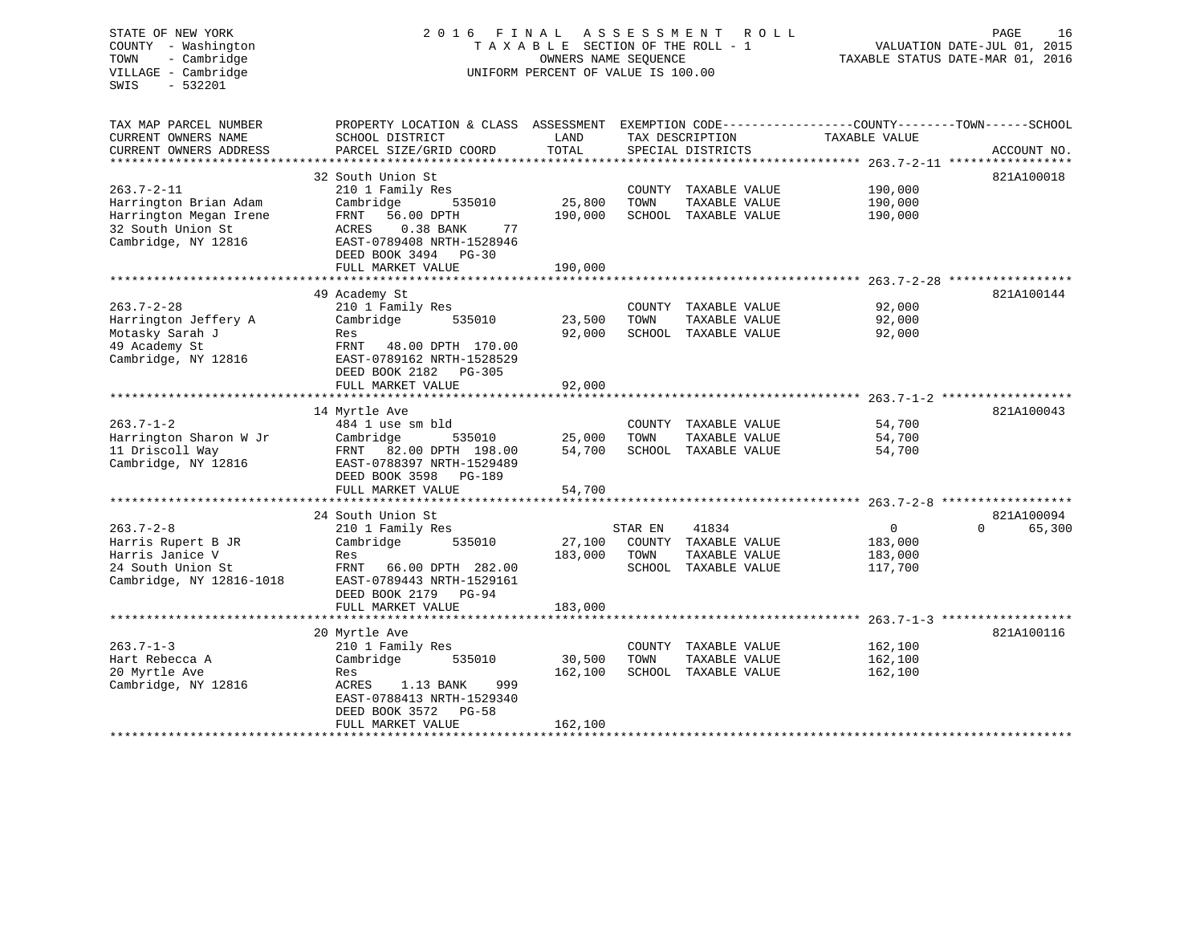STATE OF NEW YORK 2 0 1 6 F I N A L A S S E S S M E N T R O L L PAGE 16 COUNTY - Washington T A X A B L E SECTION OF THE ROLL - 1 VALUATION DATE-JUL 01, 2015 TOWN - Cambridge TAXABLE STATUS DATE-MAR 01, 2016 VILLAGE - Cambridge  $U$  and  $U$   $U$   $V$   $E$   $R$   $C$   $T$   $S$   $V$   $A$  $U$  $E$   $I$   $S$   $100.00$ SWIS - 532201TAX MAP PARCEL NUMBER PROPERTY LOCATION & CLASS ASSESSMENT EXEMPTION CODE------------------COUNTY--------TOWN------SCHOOL CURRENT OWNERS NAME SCHOOL DISTRICT LAND TAX DESCRIPTION TAXABLE VALUE CURRENT OWNERS ADDRESS PARCEL SIZE/GRID COORD TOTAL SPECIAL DISTRICTS ACCOUNT NO. \*\*\*\*\*\*\*\*\*\*\*\*\*\*\*\*\*\*\*\*\*\*\*\*\*\*\*\*\*\*\*\*\*\*\*\*\*\*\*\*\*\*\*\*\*\*\*\*\*\*\*\*\*\*\*\*\*\*\*\*\*\*\*\*\*\*\*\*\*\*\*\*\*\*\*\*\*\*\*\*\*\*\*\*\*\*\*\*\*\*\*\*\*\*\*\*\*\*\*\*\*\*\* 263.7-2-11 \*\*\*\*\*\*\*\*\*\*\*\*\*\*\*\*\* 32 South Union St 821A100018 263.7-2-11 210 1 Family Res COUNTY TAXABLE VALUE 190,000 Harrington Brian Adam Cambridge 535010 25,800 TOWN TAXABLE VALUE 190,000 Harrington Megan Irene FRNT 56.00 DPTH 190,000 SCHOOL TAXABLE VALUE 190,000 32 South Union St ACRES 0.38 BANK 77 Cambridge, NY 12816 EAST-0789408 NRTH-1528946 DEED BOOK 3494 PG-30FULL MARKET VALUE 190,000 \*\*\*\*\*\*\*\*\*\*\*\*\*\*\*\*\*\*\*\*\*\*\*\*\*\*\*\*\*\*\*\*\*\*\*\*\*\*\*\*\*\*\*\*\*\*\*\*\*\*\*\*\*\*\*\*\*\*\*\*\*\*\*\*\*\*\*\*\*\*\*\*\*\*\*\*\*\*\*\*\*\*\*\*\*\*\*\*\*\*\*\*\*\*\*\*\*\*\*\*\*\*\* 263.7-2-28 \*\*\*\*\*\*\*\*\*\*\*\*\*\*\*\*\*49 Academy St. 821A100144 263.7-2-28 210 1 Family Res COUNTY TAXABLE VALUE 92,000 Harrington Jeffery A Cambridge 535010 23,500 TOWN TAXABLE VALUE 92,000 Motasky Sarah J Res 92,000 SCHOOL TAXABLE VALUE 92,000 Motasky Sarah J<br>
49 Academy St<br>
Cambridge, NY 12816<br>
EAST-0789162 NRTH-1528529 EAST-0789162 NRTH-1528529 DEED BOOK 2182 PG-305FULL MARKET VALUE 92,000 \*\*\*\*\*\*\*\*\*\*\*\*\*\*\*\*\*\*\*\*\*\*\*\*\*\*\*\*\*\*\*\*\*\*\*\*\*\*\*\*\*\*\*\*\*\*\*\*\*\*\*\*\*\*\*\*\*\*\*\*\*\*\*\*\*\*\*\*\*\*\*\*\*\*\*\*\*\*\*\*\*\*\*\*\*\*\*\*\*\*\*\*\*\*\*\*\*\*\*\*\*\*\* 263.7-1-2 \*\*\*\*\*\*\*\*\*\*\*\*\*\*\*\*\*\*821A100043 14 Myrtle Ave 821A100043 263.7-1-2 484 1 use sm bld COUNTY TAXABLE VALUE 54,700 Harrington Sharon W Jr Cambridge 535010 25,000 TOWN TAXABLE VALUE 54,700 11 Driscoll Way FRNT 82.00 DPTH 198.00 54,700 SCHOOL TAXABLE VALUE 54,700 Cambridge, NY 12816 EAST-0788397 NRTH-1529489 DEED BOOK 3598 PG-189 FULL MARKET VALUE 54,700 \*\*\*\*\*\*\*\*\*\*\*\*\*\*\*\*\*\*\*\*\*\*\*\*\*\*\*\*\*\*\*\*\*\*\*\*\*\*\*\*\*\*\*\*\*\*\*\*\*\*\*\*\*\*\*\*\*\*\*\*\*\*\*\*\*\*\*\*\*\*\*\*\*\*\*\*\*\*\*\*\*\*\*\*\*\*\*\*\*\*\*\*\*\*\*\*\*\*\*\*\*\*\* 263.7-2-8 \*\*\*\*\*\*\*\*\*\*\*\*\*\*\*\*\*\* 24 South Union St 821A100094263.7-2-8 210 1 Family Res STAR EN 41834 0 0 65,300 Harris Rupert B JR Cambridge 535010 27,100 COUNTY TAXABLE VALUE 183,000 Harris Janice V Res 183,000 TOWN TAXABLE VALUE 183,000 24 South Union St FRNT 66.00 DPTH 282.00 SCHOOL TAXABLE VALUE 117,700 Cambridge, NY 12816-1018 EAST-0789443 NRTH-1529161 DEED BOOK 2179 PG-94FULL MARKET VALUE 183,000 \*\*\*\*\*\*\*\*\*\*\*\*\*\*\*\*\*\*\*\*\*\*\*\*\*\*\*\*\*\*\*\*\*\*\*\*\*\*\*\*\*\*\*\*\*\*\*\*\*\*\*\*\*\*\*\*\*\*\*\*\*\*\*\*\*\*\*\*\*\*\*\*\*\*\*\*\*\*\*\*\*\*\*\*\*\*\*\*\*\*\*\*\*\*\*\*\*\*\*\*\*\*\* 263.7-1-3 \*\*\*\*\*\*\*\*\*\*\*\*\*\*\*\*\*\* 20 Myrtle Ave 821A100116 263.7-1-3 210 1 Family Res COUNTY TAXABLE VALUE 162,100 Hart Rebecca A Cambridge 535010 30,500 TOWN TAXABLE VALUE 162,100 20 Myrtle Ave Res 162,100 SCHOOL TAXABLE VALUE 162,100 Cambridge, NY 12816 ACRES 1.13 BANK 999 EAST-0788413 NRTH-1529340 DEED BOOK 3572 PG-58FULL MARKET VALUE 162,100 \*\*\*\*\*\*\*\*\*\*\*\*\*\*\*\*\*\*\*\*\*\*\*\*\*\*\*\*\*\*\*\*\*\*\*\*\*\*\*\*\*\*\*\*\*\*\*\*\*\*\*\*\*\*\*\*\*\*\*\*\*\*\*\*\*\*\*\*\*\*\*\*\*\*\*\*\*\*\*\*\*\*\*\*\*\*\*\*\*\*\*\*\*\*\*\*\*\*\*\*\*\*\*\*\*\*\*\*\*\*\*\*\*\*\*\*\*\*\*\*\*\*\*\*\*\*\*\*\*\*\*\*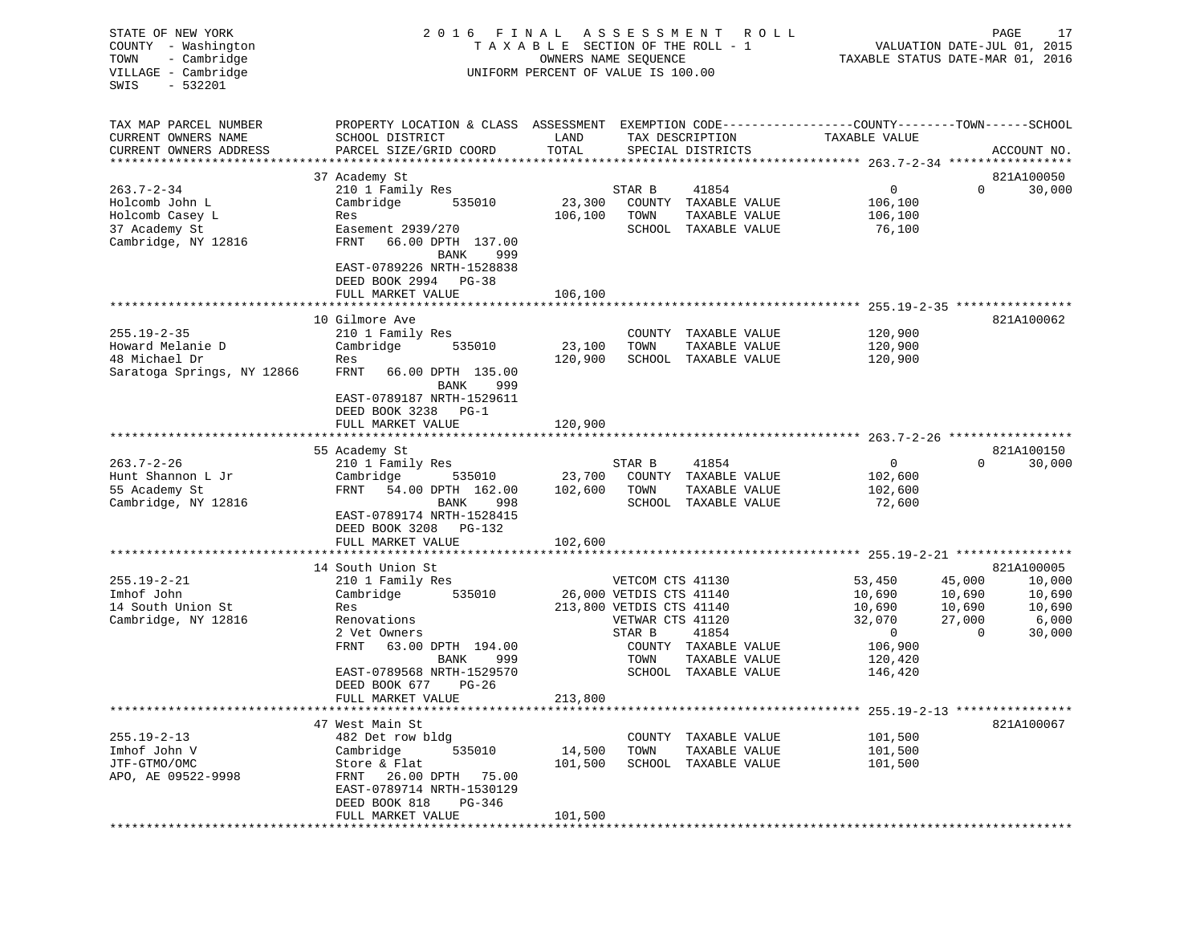| STATE OF NEW YORK<br>COUNTY - Washington<br>- Cambridge<br>TOWN<br>VILLAGE - Cambridge<br>$-532201$<br>SWIS |                                                                                                                                                                                                                              |                              | 2016 FINAL ASSESSMENT<br>TAXABLE SECTION OF THE ROLL - 1<br>OWNERS NAME SEQUENCE<br>UNIFORM PERCENT OF VALUE IS 100.00                                                                  | R O L L                                                                                 | 17<br>PAGE<br>VALUATION DATE-JUL 01, 2015<br>TAXABLE STATUS DATE-MAR 01, 2016                                   |
|-------------------------------------------------------------------------------------------------------------|------------------------------------------------------------------------------------------------------------------------------------------------------------------------------------------------------------------------------|------------------------------|-----------------------------------------------------------------------------------------------------------------------------------------------------------------------------------------|-----------------------------------------------------------------------------------------|-----------------------------------------------------------------------------------------------------------------|
| TAX MAP PARCEL NUMBER<br>CURRENT OWNERS NAME<br>CURRENT OWNERS ADDRESS<br>*************************         | PROPERTY LOCATION & CLASS ASSESSMENT EXEMPTION CODE---------------COUNTY-------TOWN-----SCHOOL<br>SCHOOL DISTRICT<br>PARCEL SIZE/GRID COORD                                                                                  | LAND<br>TOTAL                | TAX DESCRIPTION<br>SPECIAL DISTRICTS                                                                                                                                                    | TAXABLE VALUE                                                                           | ACCOUNT NO.                                                                                                     |
| $263.7 - 2 - 34$<br>Holcomb John L<br>Holcomb Casey L<br>37 Academy St<br>Cambridge, NY 12816               | 37 Academy St<br>210 1 Family Res<br>Cambridge<br>535010<br>Res<br>Easement 2939/270<br>FRNT<br>66.00 DPTH 137.00<br>BANK<br>999<br>EAST-0789226 NRTH-1528838                                                                | 23,300<br>106,100            | STAR B<br>41854<br>COUNTY TAXABLE VALUE<br>TOWN<br>TAXABLE VALUE<br>SCHOOL TAXABLE VALUE                                                                                                | 0<br>106,100<br>106,100<br>76,100                                                       | 821A100050<br>0<br>30,000                                                                                       |
|                                                                                                             | DEED BOOK 2994 PG-38<br>FULL MARKET VALUE                                                                                                                                                                                    | 106,100                      |                                                                                                                                                                                         |                                                                                         |                                                                                                                 |
| $255.19 - 2 - 35$<br>Howard Melanie D<br>48 Michael Dr<br>Saratoga Springs, NY 12866                        | 10 Gilmore Ave<br>210 1 Family Res<br>Cambridge<br>535010<br>Res<br>FRNT<br>66.00 DPTH 135.00<br>BANK<br>999<br>EAST-0789187 NRTH-1529611<br>DEED BOOK 3238 PG-1                                                             | 23,100<br>120,900            | COUNTY TAXABLE VALUE<br>TOWN<br>TAXABLE VALUE<br>SCHOOL TAXABLE VALUE                                                                                                                   | 120,900<br>120,900<br>120,900                                                           | 821A100062                                                                                                      |
|                                                                                                             | FULL MARKET VALUE                                                                                                                                                                                                            | 120,900                      |                                                                                                                                                                                         |                                                                                         |                                                                                                                 |
| $263.7 - 2 - 26$<br>Hunt Shannon L Jr<br>55 Academy St<br>Cambridge, NY 12816                               | 55 Academy St<br>210 1 Family Res<br>Cambridge<br>535010<br>FRNT<br>54.00 DPTH 162.00<br>BANK<br>998<br>EAST-0789174 NRTH-1528415<br>DEED BOOK 3208 PG-132<br>FULL MARKET VALUE                                              | 23,700<br>102,600<br>102,600 | STAR B<br>41854<br>COUNTY TAXABLE VALUE<br>TOWN<br>TAXABLE VALUE<br>SCHOOL TAXABLE VALUE                                                                                                | 0<br>102,600<br>102,600<br>72,600                                                       | 821A100150<br>$\Omega$<br>30,000                                                                                |
|                                                                                                             |                                                                                                                                                                                                                              |                              |                                                                                                                                                                                         |                                                                                         |                                                                                                                 |
| $255.19 - 2 - 21$<br>Imhof John<br>14 South Union St<br>Cambridge, NY 12816                                 | 14 South Union St<br>210 1 Family Res<br>535010<br>Cambridge<br>Res<br>Renovations<br>2 Vet Owners<br>FRNT<br>63.00 DPTH 194.00<br>BANK<br>999<br>EAST-0789568 NRTH-1529570<br>DEED BOOK 677<br>$PG-26$<br>FULL MARKET VALUE | 213,800                      | VETCOM CTS 41130<br>26,000 VETDIS CTS 41140<br>213,800 VETDIS CTS 41140<br>VETWAR CTS 41120<br>STAR B<br>41854<br>COUNTY TAXABLE VALUE<br>TOWN<br>TAXABLE VALUE<br>SCHOOL TAXABLE VALUE | 53,450<br>10,690<br>10,690<br>32,070<br>$\overline{0}$<br>106,900<br>120,420<br>146,420 | 821A100005<br>45,000<br>10,000<br>10,690<br>10,690<br>10,690<br>10,690<br>27,000<br>6,000<br>$\Omega$<br>30,000 |
|                                                                                                             |                                                                                                                                                                                                                              |                              |                                                                                                                                                                                         |                                                                                         |                                                                                                                 |
| $255.19 - 2 - 13$<br>Imhof John V<br>JTF-GTMO/OMC<br>APO, AE 09522-9998                                     | 47 West Main St<br>482 Det row bldg<br>Cambridge<br>535010<br>Store & Flat<br>FRNT 26.00 DPTH 75.00<br>EAST-0789714 NRTH-1530129<br>DEED BOOK 818<br>PG-346<br>FULL MARKET VALUE                                             | 14,500<br>101,500<br>101,500 | COUNTY TAXABLE VALUE<br>TAXABLE VALUE<br>TOWN<br>SCHOOL TAXABLE VALUE                                                                                                                   | 101,500<br>101,500<br>101,500                                                           | 821A100067                                                                                                      |
|                                                                                                             | ********************************                                                                                                                                                                                             |                              |                                                                                                                                                                                         |                                                                                         |                                                                                                                 |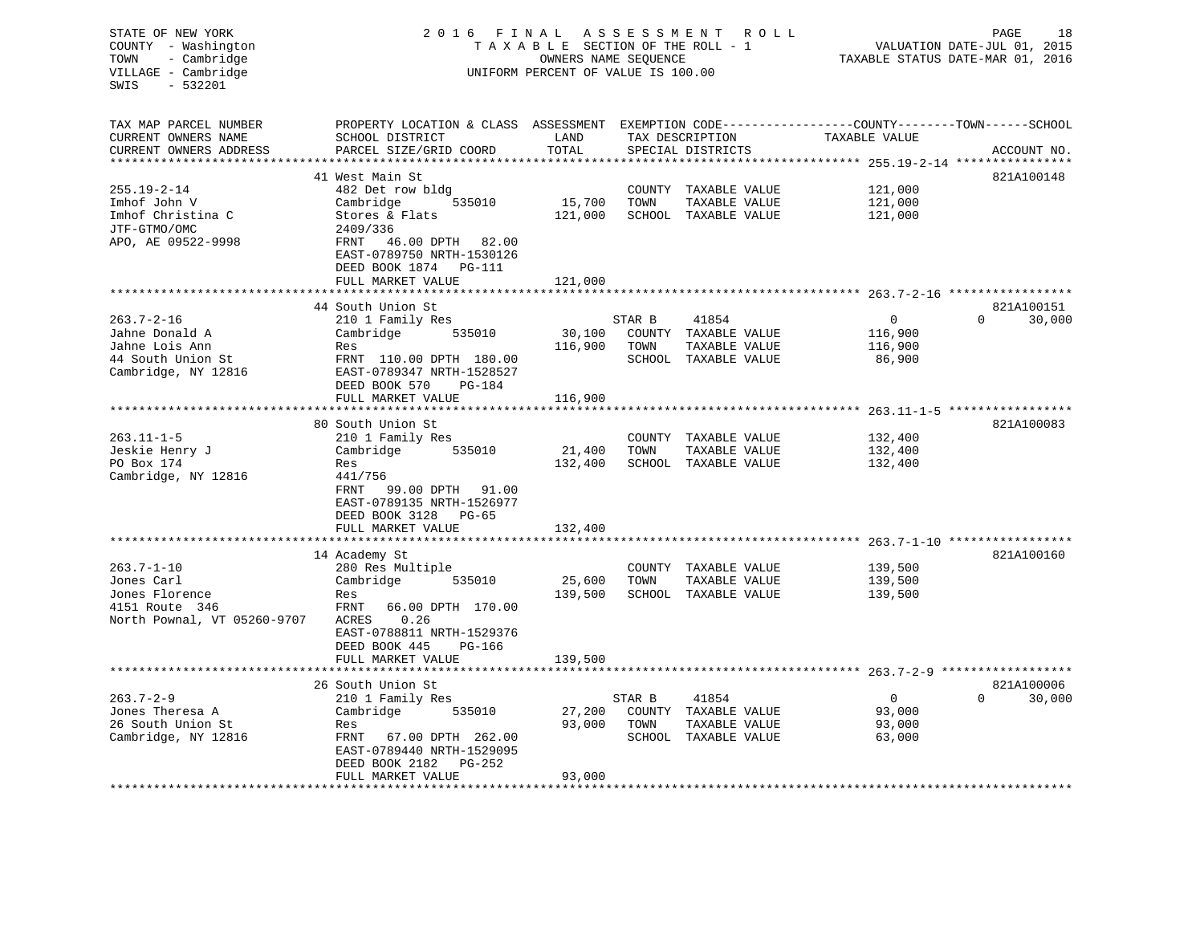| STATE OF NEW YORK<br>COUNTY - Washington<br>- Cambridge<br>TOWN<br>VILLAGE - Cambridge<br>$-532201$<br>SWIS | 2016 FINAL                                                                                                                                   | TAXABLE SECTION OF THE ROLL - 1<br>OWNERS NAME SEQUENCE<br>UNIFORM PERCENT OF VALUE IS 100.00 | ASSESSMENT ROLL | PAGE<br>18<br>VALUATION DATE-JUL 01, 2015<br>TAXABLE STATUS DATE-MAR 01, 2016 |                                     |                        |             |
|-------------------------------------------------------------------------------------------------------------|----------------------------------------------------------------------------------------------------------------------------------------------|-----------------------------------------------------------------------------------------------|-----------------|-------------------------------------------------------------------------------|-------------------------------------|------------------------|-------------|
| TAX MAP PARCEL NUMBER<br>CURRENT OWNERS NAME<br>CURRENT OWNERS ADDRESS                                      | PROPERTY LOCATION & CLASS ASSESSMENT EXEMPTION CODE---------------COUNTY-------TOWN------SCHOOL<br>SCHOOL DISTRICT<br>PARCEL SIZE/GRID COORD | LAND<br>TOTAL                                                                                 |                 | TAX DESCRIPTION<br>SPECIAL DISTRICTS                                          | TAXABLE VALUE                       |                        | ACCOUNT NO. |
| **********************                                                                                      |                                                                                                                                              |                                                                                               |                 |                                                                               |                                     |                        |             |
|                                                                                                             | 41 West Main St                                                                                                                              |                                                                                               |                 |                                                                               |                                     | 821A100148             |             |
| $255.19 - 2 - 14$                                                                                           | 482 Det row bldg                                                                                                                             |                                                                                               |                 | COUNTY TAXABLE VALUE                                                          | 121,000                             |                        |             |
| Imhof John V                                                                                                | 535010<br>Cambridge                                                                                                                          | 15,700                                                                                        | TOWN            | TAXABLE VALUE                                                                 | 121,000                             |                        |             |
| Imhof Christina C<br>JTF-GTMO/OMC                                                                           | Stores & Flats<br>2409/336                                                                                                                   | 121,000                                                                                       |                 | SCHOOL TAXABLE VALUE                                                          | 121,000                             |                        |             |
| APO, AE 09522-9998                                                                                          | 46.00 DPTH 82.00<br>FRNT<br>EAST-0789750 NRTH-1530126<br>DEED BOOK 1874 PG-111                                                               |                                                                                               |                 |                                                                               |                                     |                        |             |
|                                                                                                             | FULL MARKET VALUE                                                                                                                            | 121,000                                                                                       |                 |                                                                               |                                     |                        |             |
|                                                                                                             |                                                                                                                                              | ******************                                                                            |                 |                                                                               |                                     |                        |             |
| $263.7 - 2 - 16$                                                                                            | 44 South Union St                                                                                                                            |                                                                                               |                 |                                                                               |                                     | 821A100151<br>$\Omega$ |             |
| Jahne Donald A                                                                                              | 210 1 Family Res<br>Cambridge<br>535010                                                                                                      | 30,100                                                                                        | STAR B          | 41854<br>COUNTY TAXABLE VALUE                                                 | $\mathbf{0}$<br>116,900             |                        | 30,000      |
| Jahne Lois Ann                                                                                              | Res                                                                                                                                          | 116,900                                                                                       | TOWN            | TAXABLE VALUE                                                                 | 116,900                             |                        |             |
| 44 South Union St                                                                                           | FRNT 110.00 DPTH 180.00                                                                                                                      |                                                                                               |                 | SCHOOL TAXABLE VALUE                                                          | 86,900                              |                        |             |
| Cambridge, NY 12816                                                                                         | EAST-0789347 NRTH-1528527<br>DEED BOOK 570<br>PG-184                                                                                         |                                                                                               |                 |                                                                               |                                     |                        |             |
|                                                                                                             | FULL MARKET VALUE                                                                                                                            | 116,900                                                                                       |                 |                                                                               |                                     |                        |             |
|                                                                                                             | 80 South Union St                                                                                                                            |                                                                                               |                 |                                                                               | $263.11 - 1 - 5$ ****************** | 821A100083             |             |
| $263.11 - 1 - 5$                                                                                            | 210 1 Family Res                                                                                                                             |                                                                                               |                 | COUNTY TAXABLE VALUE                                                          | 132,400                             |                        |             |
| Jeskie Henry J                                                                                              | Cambridge<br>535010                                                                                                                          | 21,400                                                                                        | TOWN            | TAXABLE VALUE                                                                 | 132,400                             |                        |             |
| PO Box 174                                                                                                  | Res                                                                                                                                          | 132,400                                                                                       |                 | SCHOOL TAXABLE VALUE                                                          | 132,400                             |                        |             |
| Cambridge, NY 12816                                                                                         | 441/756                                                                                                                                      |                                                                                               |                 |                                                                               |                                     |                        |             |
|                                                                                                             | FRNT<br>99.00 DPTH 91.00<br>EAST-0789135 NRTH-1526977<br>DEED BOOK 3128<br>PG-65                                                             |                                                                                               |                 |                                                                               |                                     |                        |             |
|                                                                                                             | FULL MARKET VALUE                                                                                                                            | 132,400                                                                                       |                 |                                                                               |                                     |                        |             |
|                                                                                                             |                                                                                                                                              |                                                                                               |                 |                                                                               |                                     |                        |             |
|                                                                                                             | 14 Academy St                                                                                                                                |                                                                                               |                 |                                                                               |                                     | 821A100160             |             |
| $263.7 - 1 - 10$                                                                                            | 280 Res Multiple                                                                                                                             |                                                                                               |                 | COUNTY TAXABLE VALUE                                                          | 139,500                             |                        |             |
| Jones Carl                                                                                                  | 535010<br>Cambridge                                                                                                                          | 25,600                                                                                        | TOWN            | TAXABLE VALUE                                                                 | 139,500                             |                        |             |
| Jones Florence                                                                                              | Res                                                                                                                                          | 139,500                                                                                       |                 | SCHOOL TAXABLE VALUE                                                          | 139,500                             |                        |             |
| 4151 Route 346<br>North Pownal, VT 05260-9707                                                               | 66.00 DPTH 170.00<br>FRNT<br>ACRES<br>0.26                                                                                                   |                                                                                               |                 |                                                                               |                                     |                        |             |
|                                                                                                             | EAST-0788811 NRTH-1529376                                                                                                                    |                                                                                               |                 |                                                                               |                                     |                        |             |
|                                                                                                             | DEED BOOK 445<br>PG-166                                                                                                                      |                                                                                               |                 |                                                                               |                                     |                        |             |
|                                                                                                             | FULL MARKET VALUE                                                                                                                            | 139,500                                                                                       |                 |                                                                               |                                     |                        |             |
|                                                                                                             |                                                                                                                                              |                                                                                               |                 |                                                                               |                                     |                        |             |
|                                                                                                             | 26 South Union St                                                                                                                            |                                                                                               |                 |                                                                               |                                     | 821A100006             |             |
| $263.7 - 2 - 9$                                                                                             | 210 1 Family Res                                                                                                                             |                                                                                               | STAR B          | 41854                                                                         | $\overline{0}$                      | $\Omega$               | 30,000      |
| Jones Theresa A                                                                                             | 535010<br>Cambridge                                                                                                                          | 27,200                                                                                        |                 | COUNTY TAXABLE VALUE                                                          | 93,000                              |                        |             |
| 26 South Union St                                                                                           | Res<br>FRNT<br>67.00 DPTH 262.00                                                                                                             | 93,000                                                                                        | TOWN            | TAXABLE VALUE<br>SCHOOL TAXABLE VALUE                                         | 93,000<br>63,000                    |                        |             |
| Cambridge, NY 12816                                                                                         | EAST-0789440 NRTH-1529095<br>DEED BOOK 2182<br>PG-252                                                                                        |                                                                                               |                 |                                                                               |                                     |                        |             |
|                                                                                                             | FULL MARKET VALUE                                                                                                                            | 93,000                                                                                        |                 |                                                                               |                                     |                        |             |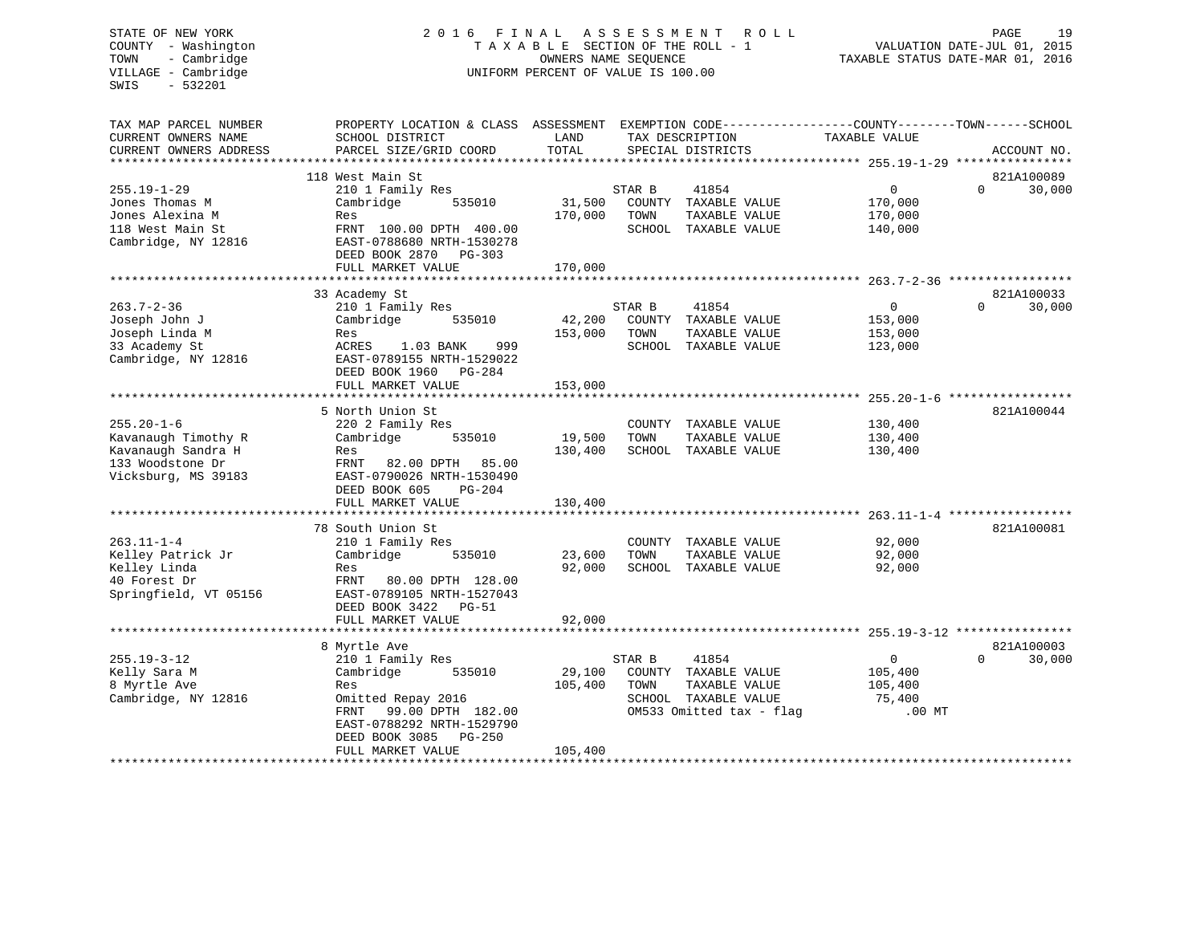# STATE OF NEW YORK 2 0 1 6 F I N A L A S S E S S M E N T R O L L PAGE 19 COUNTY - Washington T A X A B L E SECTION OF THE ROLL - 1 VALUATION DATE-JUL 01, 2015 TOWN - Cambridge OWNERS NAME SEQUENCE TAXABLE STATUS DATE-MAR 01, 2016 UNIFORM PERCENT OF VALUE IS 100.00

| TAX MAP PARCEL NUMBER<br>CURRENT OWNERS NAME<br>CURRENT OWNERS ADDRESS                                   | PROPERTY LOCATION & CLASS ASSESSMENT<br>SCHOOL DISTRICT<br>PARCEL SIZE/GRID COORD                                                                                                                         | LAND<br>TOTAL                                    |                | TAX DESCRIPTION<br>SPECIAL DISTRICTS                                                               | EXEMPTION CODE-----------------COUNTY-------TOWN------SCHOOL<br>TAXABLE VALUE | ACCOUNT NO.                      |
|----------------------------------------------------------------------------------------------------------|-----------------------------------------------------------------------------------------------------------------------------------------------------------------------------------------------------------|--------------------------------------------------|----------------|----------------------------------------------------------------------------------------------------|-------------------------------------------------------------------------------|----------------------------------|
| $255.19 - 1 - 29$<br>Jones Thomas M<br>Jones Alexina M<br>118 West Main St<br>Cambridge, NY 12816        | 118 West Main St<br>210 1 Family Res<br>Cambridge<br>535010<br>Res<br>FRNT 100.00 DPTH 400.00<br>EAST-0788680 NRTH-1530278<br>DEED BOOK 2870<br>PG-303<br>FULL MARKET VALUE<br>*****************          | 31,500<br>170,000<br>170,000                     | STAR B<br>TOWN | 41854<br>COUNTY TAXABLE VALUE<br>TAXABLE VALUE<br>SCHOOL TAXABLE VALUE                             | $\mathbf{0}$<br>170,000<br>170,000<br>140,000                                 | 821A100089<br>$\Omega$<br>30,000 |
| $263.7 - 2 - 36$<br>Joseph John J<br>Joseph Linda M<br>33 Academy St<br>Cambridge, NY 12816              | 33 Academy St<br>210 1 Family Res<br>Cambridge<br>535010<br>Res<br>ACRES<br>1.03 BANK<br>999<br>EAST-0789155 NRTH-1529022<br>DEED BOOK 1960<br>$PG-284$<br>FULL MARKET VALUE                              | 42,200<br>153,000<br>153,000                     | STAR B<br>TOWN | 41854<br>COUNTY TAXABLE VALUE<br>TAXABLE VALUE<br>SCHOOL TAXABLE VALUE                             | $\overline{0}$<br>153,000<br>153,000<br>123,000                               | 821A100033<br>$\Omega$<br>30,000 |
| $255.20 - 1 - 6$<br>Kavanaugh Timothy R<br>Kavanaugh Sandra H<br>133 Woodstone Dr<br>Vicksburg, MS 39183 | 5 North Union St<br>220 2 Family Res<br>Cambridge<br>535010<br>Res<br>FRNT<br>82.00 DPTH<br>85.00<br>EAST-0790026 NRTH-1530490<br>DEED BOOK 605<br>$PG-204$<br>FULL MARKET VALUE                          | 19,500<br>130,400<br>130,400                     | TOWN           | COUNTY TAXABLE VALUE<br>TAXABLE VALUE<br>SCHOOL TAXABLE VALUE                                      | 130,400<br>130,400<br>130,400                                                 | 821A100044                       |
| $263.11 - 1 - 4$<br>Kelley Patrick Jr<br>Kelley Linda<br>40 Forest Dr<br>Springfield, VT 05156           | **********************<br>78 South Union St<br>210 1 Family Res<br>Cambridge<br>535010<br>Res<br>FRNT<br>80.00 DPTH 128.00<br>EAST-0789105 NRTH-1527043<br>DEED BOOK 3422<br>$PG-51$<br>FULL MARKET VALUE | ******************<br>23,600<br>92,000<br>92,000 | COUNTY<br>TOWN | TAXABLE VALUE<br>TAXABLE VALUE<br>SCHOOL TAXABLE VALUE                                             | ************** 263.11-1-4<br>92,000<br>92,000<br>92,000                       | 821A100081                       |
| $255.19 - 3 - 12$<br>Kelly Sara M<br>8 Myrtle Ave<br>Cambridge, NY 12816                                 | 8 Myrtle Ave<br>210 1 Family Res<br>Cambridge<br>535010<br>Res<br>Omitted Repay 2016<br>FRNT<br>99.00 DPTH 182.00<br>EAST-0788292 NRTH-1529790<br>DEED BOOK 3085<br>$PG-250$<br>FULL MARKET VALUE         | 29,100<br>105,400<br>105,400                     | STAR B<br>TOWN | 41854<br>COUNTY TAXABLE VALUE<br>TAXABLE VALUE<br>SCHOOL TAXABLE VALUE<br>OM533 Omitted tax - flag | $\overline{0}$<br>105,400<br>105,400<br>75,400<br>$.00$ MT                    | 821A100003<br>$\Omega$<br>30,000 |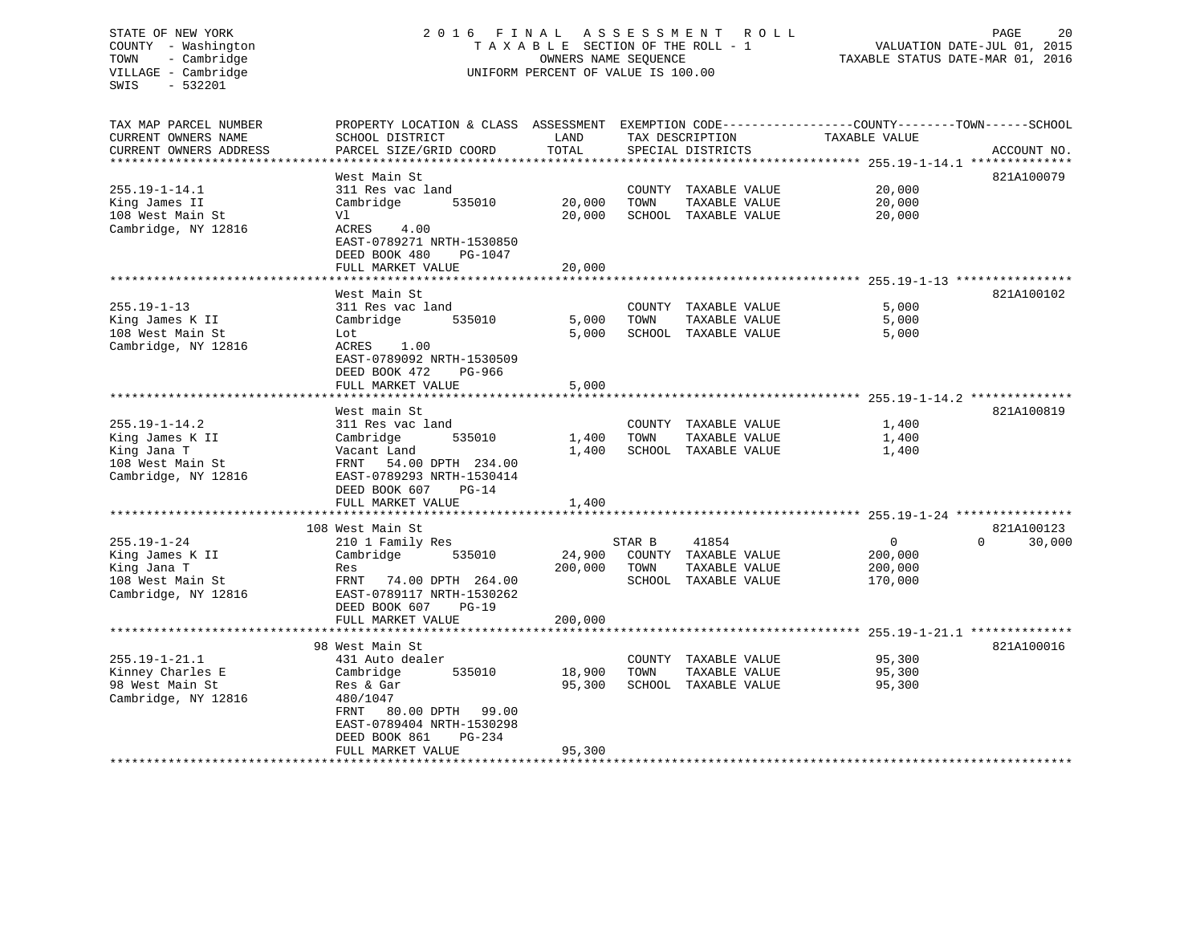# STATE OF NEW YORK 2 0 1 6 F I N A L A S S E S S M E N T R O L L PAGE 20 COUNTY - Washington T A X A B L E SECTION OF THE ROLL - 1 VALUATION DATE-JUL 01, 2015 TOWN - Cambridge OWNERS NAME SEQUENCE TAXABLE STATUS DATE-MAR 01, 2016 VILLAGE - Cambridge **UNIFORM PERCENT OF VALUE** IS 100.00

| TAX MAP PARCEL NUMBER  | PROPERTY LOCATION & CLASS ASSESSMENT |         |        |                      | EXEMPTION CODE-----------------COUNTY-------TOWN------SCHOOL |                    |
|------------------------|--------------------------------------|---------|--------|----------------------|--------------------------------------------------------------|--------------------|
| CURRENT OWNERS NAME    | SCHOOL DISTRICT                      | LAND    |        | TAX DESCRIPTION      | TAXABLE VALUE                                                |                    |
| CURRENT OWNERS ADDRESS | PARCEL SIZE/GRID COORD               | TOTAL   |        | SPECIAL DISTRICTS    |                                                              | ACCOUNT NO.        |
|                        |                                      |         |        |                      |                                                              |                    |
|                        | West Main St                         |         |        |                      |                                                              | 821A100079         |
| $255.19 - 1 - 14.1$    | 311 Res vac land                     |         |        | COUNTY TAXABLE VALUE | 20,000                                                       |                    |
| King James II          | 535010<br>Cambridge                  | 20,000  | TOWN   | TAXABLE VALUE        | 20,000                                                       |                    |
| 108 West Main St       | Vl                                   | 20,000  | SCHOOL | TAXABLE VALUE        | 20,000                                                       |                    |
| Cambridge, NY 12816    | ACRES<br>4.00                        |         |        |                      |                                                              |                    |
|                        | EAST-0789271 NRTH-1530850            |         |        |                      |                                                              |                    |
|                        | DEED BOOK 480<br>PG-1047             |         |        |                      |                                                              |                    |
|                        | FULL MARKET VALUE                    | 20,000  |        |                      |                                                              |                    |
|                        |                                      |         |        |                      | ************************ 255.19-1-13 ***************         |                    |
|                        | West Main St                         |         |        |                      |                                                              | 821A100102         |
| $255.19 - 1 - 13$      | 311 Res vac land                     |         |        | COUNTY TAXABLE VALUE | 5,000                                                        |                    |
| King James K II        | Cambridge<br>535010                  | 5,000   | TOWN   | TAXABLE VALUE        | 5,000                                                        |                    |
| 108 West Main St       | Lot                                  | 5,000   |        | SCHOOL TAXABLE VALUE | 5,000                                                        |                    |
| Cambridge, NY 12816    | ACRES<br>1.00                        |         |        |                      |                                                              |                    |
|                        | EAST-0789092 NRTH-1530509            |         |        |                      |                                                              |                    |
|                        | DEED BOOK 472<br>PG-966              |         |        |                      |                                                              |                    |
|                        | FULL MARKET VALUE                    | 5,000   |        |                      |                                                              |                    |
|                        |                                      |         |        |                      |                                                              |                    |
|                        | West main St                         |         |        |                      |                                                              | 821A100819         |
| $255.19 - 1 - 14.2$    | 311 Res vac land                     |         |        | COUNTY TAXABLE VALUE | 1,400                                                        |                    |
| King James K II        | Cambridge<br>535010                  | 1,400   | TOWN   | TAXABLE VALUE        | 1,400                                                        |                    |
| King Jana T            | Vacant Land                          | 1,400   | SCHOOL | TAXABLE VALUE        | 1,400                                                        |                    |
| 108 West Main St       | 54.00 DPTH 234.00<br>FRNT            |         |        |                      |                                                              |                    |
| Cambridge, NY 12816    | EAST-0789293 NRTH-1530414            |         |        |                      |                                                              |                    |
|                        | DEED BOOK 607<br>$PG-14$             |         |        |                      |                                                              |                    |
|                        | FULL MARKET VALUE                    | 1,400   |        |                      |                                                              |                    |
|                        |                                      |         |        |                      | ******************************* 255.19-1-24 ******           |                    |
|                        | 108 West Main St                     |         |        |                      |                                                              | 821A100123         |
| $255.19 - 1 - 24$      | 210 1 Family Res                     |         | STAR B | 41854                | $\mathbf{0}$                                                 | $\Omega$<br>30,000 |
| King James K II        | Cambridge<br>535010                  | 24,900  |        | COUNTY TAXABLE VALUE | 200,000                                                      |                    |
| King Jana T            | Res                                  | 200,000 | TOWN   | TAXABLE VALUE        | 200,000                                                      |                    |
| 108 West Main St       | 74.00 DPTH 264.00<br>FRNT            |         |        | SCHOOL TAXABLE VALUE | 170,000                                                      |                    |
| Cambridge, NY 12816    | EAST-0789117 NRTH-1530262            |         |        |                      |                                                              |                    |
|                        | DEED BOOK 607<br>$PG-19$             |         |        |                      |                                                              |                    |
|                        | FULL MARKET VALUE                    | 200,000 |        |                      |                                                              |                    |
|                        | *********************                |         |        |                      | ********************* 255.19-1-21.1 **************           |                    |
|                        | 98 West Main St                      |         |        |                      |                                                              | 821A100016         |
| $255.19 - 1 - 21.1$    | 431 Auto dealer                      |         |        | COUNTY TAXABLE VALUE | 95,300                                                       |                    |
| Kinney Charles E       | Cambridge<br>535010                  | 18,900  | TOWN   | TAXABLE VALUE        | 95,300                                                       |                    |
| 98 West Main St        | Res & Gar                            | 95,300  |        | SCHOOL TAXABLE VALUE | 95,300                                                       |                    |
| Cambridge, NY 12816    | 480/1047                             |         |        |                      |                                                              |                    |
|                        | FRNT<br>80.00 DPTH<br>99.00          |         |        |                      |                                                              |                    |
|                        | EAST-0789404 NRTH-1530298            |         |        |                      |                                                              |                    |
|                        | DEED BOOK 861<br>$PG-234$            |         |        |                      |                                                              |                    |
|                        | FULL MARKET VALUE                    | 95,300  |        |                      |                                                              |                    |
|                        |                                      |         |        |                      |                                                              |                    |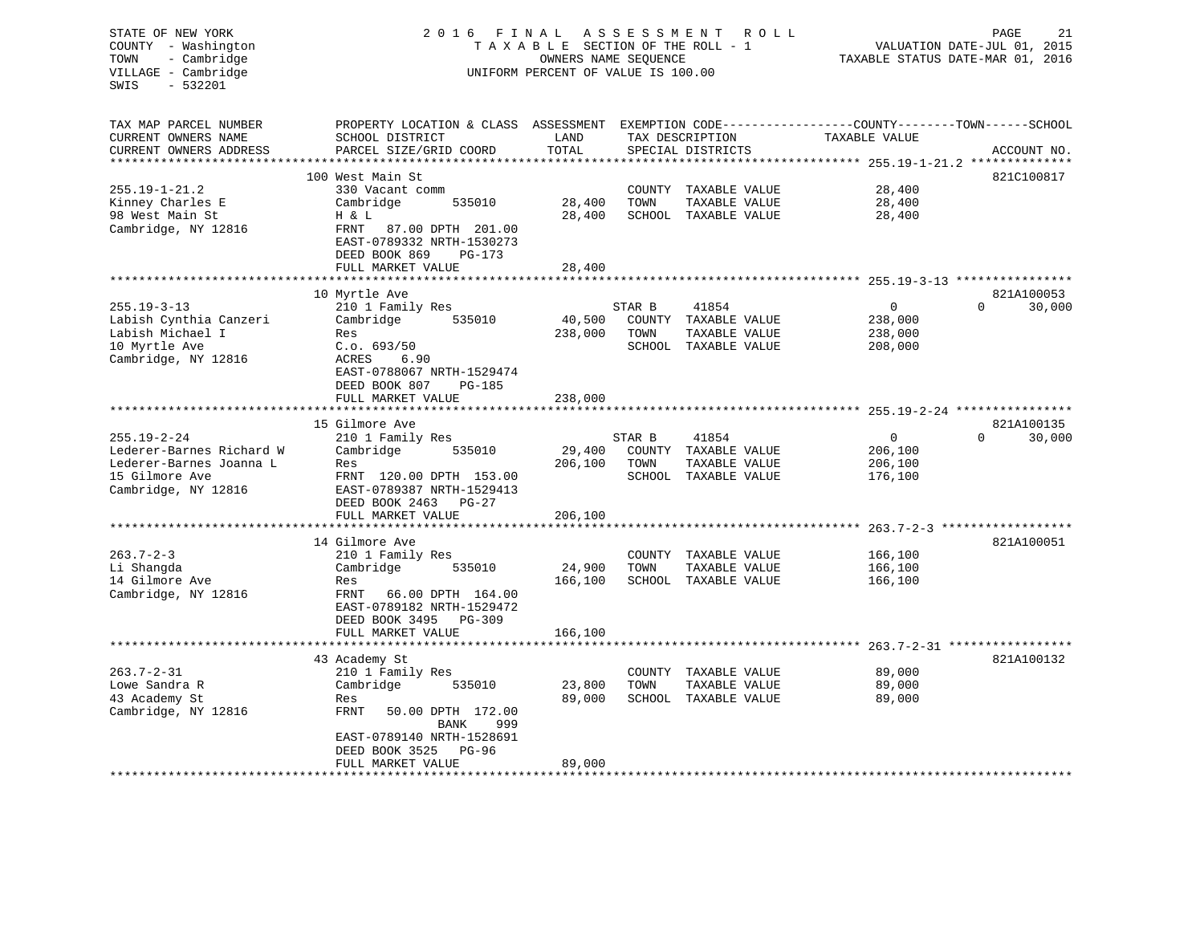| STATE OF NEW YORK<br>COUNTY - Washington<br>- Cambridge<br>TOWN<br>VILLAGE - Cambridge<br>$-532201$<br>SWIS | 2 0 1 6<br>FINAL<br>A S S E S S M E N T<br>R O L L<br>TAXABLE SECTION OF THE ROLL - 1<br>OWNERS NAME SEQUENCE<br>UNIFORM PERCENT OF VALUE IS 100.00<br>PROPERTY LOCATION & CLASS ASSESSMENT |                 |                  |                        |                                                              | 21<br>PAGE<br>VALUATION DATE-JUL 01, 2015<br>TAXABLE STATUS DATE-MAR 01, 2016 |
|-------------------------------------------------------------------------------------------------------------|---------------------------------------------------------------------------------------------------------------------------------------------------------------------------------------------|-----------------|------------------|------------------------|--------------------------------------------------------------|-------------------------------------------------------------------------------|
| TAX MAP PARCEL NUMBER                                                                                       |                                                                                                                                                                                             |                 |                  |                        | EXEMPTION CODE-----------------COUNTY-------TOWN------SCHOOL |                                                                               |
| CURRENT OWNERS NAME                                                                                         | SCHOOL DISTRICT                                                                                                                                                                             | LAND            |                  | TAX DESCRIPTION        | TAXABLE VALUE                                                |                                                                               |
| CURRENT OWNERS ADDRESS<br>**********************                                                            | PARCEL SIZE/GRID COORD                                                                                                                                                                      | TOTAL<br>****** |                  | SPECIAL DISTRICTS      | ************************** 255.19-1-21.2 **************      | ACCOUNT NO.                                                                   |
|                                                                                                             | 100 West Main St                                                                                                                                                                            |                 |                  |                        |                                                              | 821C100817                                                                    |
| $255.19 - 1 - 21.2$                                                                                         | 330 Vacant comm                                                                                                                                                                             |                 | COUNTY           | TAXABLE VALUE          | 28,400                                                       |                                                                               |
| Kinney Charles E                                                                                            | Cambridge<br>535010                                                                                                                                                                         | 28,400          | TOWN             | TAXABLE VALUE          | 28,400                                                       |                                                                               |
| 98 West Main St                                                                                             | H & L                                                                                                                                                                                       | 28,400          |                  | SCHOOL TAXABLE VALUE   | 28,400                                                       |                                                                               |
| Cambridge, NY 12816                                                                                         | FRNT<br>87.00 DPTH 201.00<br>EAST-0789332 NRTH-1530273<br>DEED BOOK 869<br>PG-173                                                                                                           |                 |                  |                        |                                                              |                                                                               |
|                                                                                                             | FULL MARKET VALUE                                                                                                                                                                           | 28,400          |                  |                        |                                                              |                                                                               |
|                                                                                                             | *****************                                                                                                                                                                           | ********        |                  |                        | ************************ 255.19-3-13 ****************        |                                                                               |
|                                                                                                             | 10 Myrtle Ave                                                                                                                                                                               |                 |                  |                        | 0                                                            | 821A100053<br>$\Omega$                                                        |
| $255.19 - 3 - 13$<br>Labish Cynthia Canzeri                                                                 | 210 1 Family Res<br>Cambridge<br>535010                                                                                                                                                     | 40,500          | STAR B<br>COUNTY | 41854<br>TAXABLE VALUE | 238,000                                                      | 30,000                                                                        |
| Labish Michael I                                                                                            | Res                                                                                                                                                                                         | 238,000         | TOWN             | TAXABLE VALUE          | 238,000                                                      |                                                                               |
| 10 Myrtle Ave                                                                                               | C.o. 693/50                                                                                                                                                                                 |                 |                  | SCHOOL TAXABLE VALUE   | 208,000                                                      |                                                                               |
| Cambridge, NY 12816                                                                                         | ACRES<br>6.90<br>EAST-0788067 NRTH-1529474<br>DEED BOOK 807<br><b>PG-185</b>                                                                                                                |                 |                  |                        |                                                              |                                                                               |
|                                                                                                             | FULL MARKET VALUE                                                                                                                                                                           | 238,000         |                  |                        |                                                              |                                                                               |
|                                                                                                             |                                                                                                                                                                                             |                 |                  |                        | $255.19 - 2 - 24$ ********                                   |                                                                               |
|                                                                                                             | 15 Gilmore Ave                                                                                                                                                                              |                 |                  |                        |                                                              | 821A100135                                                                    |
| $255.19 - 2 - 24$                                                                                           | 210 1 Family Res                                                                                                                                                                            |                 | STAR B           | 41854                  | 0                                                            | $\Omega$<br>30,000                                                            |
| Lederer-Barnes Richard W                                                                                    | Cambridge<br>535010                                                                                                                                                                         | 29,400          | COUNTY           | TAXABLE VALUE          | 206,100                                                      |                                                                               |
| Lederer-Barnes Joanna L                                                                                     | Res                                                                                                                                                                                         | 206,100         | TOWN             | TAXABLE VALUE          | 206,100                                                      |                                                                               |
| 15 Gilmore Ave                                                                                              | FRNT 120.00 DPTH 153.00                                                                                                                                                                     |                 |                  | SCHOOL TAXABLE VALUE   | 176,100                                                      |                                                                               |
| Cambridge, NY 12816                                                                                         | EAST-0789387 NRTH-1529413                                                                                                                                                                   |                 |                  |                        |                                                              |                                                                               |
|                                                                                                             | DEED BOOK 2463<br>PG-27                                                                                                                                                                     |                 |                  |                        |                                                              |                                                                               |
|                                                                                                             | FULL MARKET VALUE<br>*****************                                                                                                                                                      | 206,100         |                  |                        |                                                              | $263.7 - 2 - 3$ *******************                                           |
|                                                                                                             | 14 Gilmore Ave                                                                                                                                                                              |                 |                  |                        |                                                              | 821A100051                                                                    |
| $263.7 - 2 - 3$                                                                                             | 210 1 Family Res                                                                                                                                                                            |                 | COUNTY           | TAXABLE VALUE          | 166,100                                                      |                                                                               |
| Li Shangda                                                                                                  | Cambridge<br>535010                                                                                                                                                                         | 24,900          | TOWN             | TAXABLE VALUE          | 166,100                                                      |                                                                               |
| 14 Gilmore Ave                                                                                              | Res                                                                                                                                                                                         | 166,100         |                  | SCHOOL TAXABLE VALUE   | 166,100                                                      |                                                                               |
| Cambridge, NY 12816                                                                                         | FRNT<br>66.00 DPTH 164.00<br>EAST-0789182 NRTH-1529472<br>DEED BOOK 3495<br>PG-309                                                                                                          |                 |                  |                        |                                                              |                                                                               |
|                                                                                                             | FULL MARKET VALUE                                                                                                                                                                           | 166,100         |                  |                        |                                                              |                                                                               |
|                                                                                                             | *****************                                                                                                                                                                           |                 |                  |                        |                                                              | $263.7 - 2 - 31$ ******************                                           |
|                                                                                                             | 43 Academy St                                                                                                                                                                               |                 |                  |                        |                                                              | 821A100132                                                                    |
| $263.7 - 2 - 31$                                                                                            | 210 1 Family Res                                                                                                                                                                            |                 | COUNTY           | TAXABLE VALUE          | 89,000                                                       |                                                                               |
| Lowe Sandra R                                                                                               | Cambridge<br>535010                                                                                                                                                                         | 23,800          | TOWN             | TAXABLE VALUE          | 89,000                                                       |                                                                               |
| 43 Academy St                                                                                               | Res                                                                                                                                                                                         | 89,000          |                  | SCHOOL TAXABLE VALUE   | 89,000                                                       |                                                                               |
| Cambridge, NY 12816                                                                                         | FRNT<br>50.00 DPTH 172.00<br>999<br>BANK                                                                                                                                                    |                 |                  |                        |                                                              |                                                                               |
|                                                                                                             | EAST-0789140 NRTH-1528691                                                                                                                                                                   |                 |                  |                        |                                                              |                                                                               |
|                                                                                                             | DEED BOOK 3525<br><b>PG-96</b>                                                                                                                                                              |                 |                  |                        |                                                              |                                                                               |
|                                                                                                             | FULL MARKET VALUE                                                                                                                                                                           | 89,000          |                  |                        |                                                              |                                                                               |
|                                                                                                             | ******************                                                                                                                                                                          |                 |                  |                        |                                                              |                                                                               |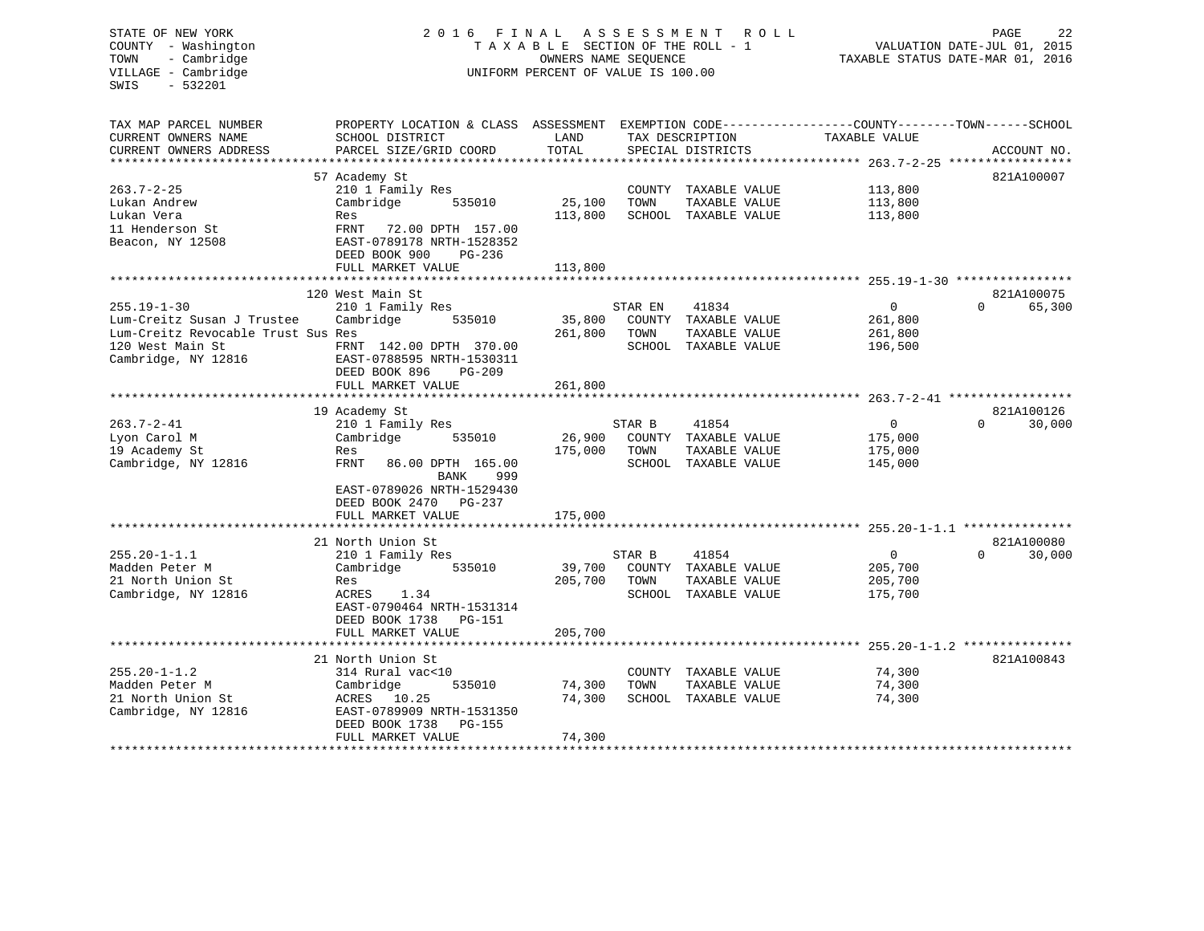| STATE OF NEW YORK<br>COUNTY - Washington<br>- Cambridge<br>TOWN<br>VILLAGE - Cambridge<br>$-532201$<br>SWIS | 2016                                                                              | FINAL<br>TAXABLE SECTION OF THE ROLL - 1<br>OWNERS NAME SEQUENCE<br>UNIFORM PERCENT OF VALUE IS 100.00 | A S S E S S M E N T | R O L L                               |                                                                               | PAGE<br>22<br>VALUATION DATE-JUL 01, 2015<br>TAXABLE STATUS DATE-MAR 01, 2016 |
|-------------------------------------------------------------------------------------------------------------|-----------------------------------------------------------------------------------|--------------------------------------------------------------------------------------------------------|---------------------|---------------------------------------|-------------------------------------------------------------------------------|-------------------------------------------------------------------------------|
| TAX MAP PARCEL NUMBER<br>CURRENT OWNERS NAME<br>CURRENT OWNERS ADDRESS<br>**********************            | PROPERTY LOCATION & CLASS ASSESSMENT<br>SCHOOL DISTRICT<br>PARCEL SIZE/GRID COORD | LAND<br>TOTAL                                                                                          |                     | TAX DESCRIPTION<br>SPECIAL DISTRICTS  | EXEMPTION CODE-----------------COUNTY-------TOWN------SCHOOL<br>TAXABLE VALUE | ACCOUNT NO.                                                                   |
|                                                                                                             | 57 Academy St                                                                     |                                                                                                        |                     |                                       |                                                                               | 821A100007                                                                    |
| $263.7 - 2 - 25$                                                                                            | 210 1 Family Res                                                                  |                                                                                                        |                     | COUNTY TAXABLE VALUE                  | 113,800                                                                       |                                                                               |
| Lukan Andrew                                                                                                | Cambridge<br>535010                                                               | 25,100                                                                                                 | TOWN                | TAXABLE VALUE                         | 113,800                                                                       |                                                                               |
| Lukan Vera                                                                                                  | Res                                                                               | 113,800                                                                                                |                     | SCHOOL TAXABLE VALUE                  | 113,800                                                                       |                                                                               |
| 11 Henderson St                                                                                             | FRNT<br>72.00 DPTH 157.00                                                         |                                                                                                        |                     |                                       |                                                                               |                                                                               |
| Beacon, NY 12508                                                                                            | EAST-0789178 NRTH-1528352                                                         |                                                                                                        |                     |                                       |                                                                               |                                                                               |
|                                                                                                             | DEED BOOK 900<br>PG-236                                                           |                                                                                                        |                     |                                       |                                                                               |                                                                               |
|                                                                                                             | FULL MARKET VALUE                                                                 | 113,800                                                                                                |                     |                                       |                                                                               |                                                                               |
|                                                                                                             | 120 West Main St                                                                  |                                                                                                        |                     |                                       |                                                                               | 821A100075                                                                    |
| $255.19 - 1 - 30$                                                                                           | 210 1 Family Res                                                                  |                                                                                                        | STAR EN             | 41834                                 | $\overline{0}$                                                                | $\Omega$<br>65,300                                                            |
| Lum-Creitz Susan J Trustee                                                                                  | 535010<br>Cambridge                                                               | 35,800                                                                                                 |                     | COUNTY TAXABLE VALUE                  | 261,800                                                                       |                                                                               |
| Lum-Creitz Revocable Trust Sus Res                                                                          |                                                                                   | 261,800                                                                                                | TOWN                | TAXABLE VALUE                         | 261,800                                                                       |                                                                               |
| 120 West Main St                                                                                            | FRNT 142.00 DPTH 370.00                                                           |                                                                                                        |                     | SCHOOL TAXABLE VALUE                  | 196,500                                                                       |                                                                               |
| Cambridge, NY 12816                                                                                         | EAST-0788595 NRTH-1530311                                                         |                                                                                                        |                     |                                       |                                                                               |                                                                               |
|                                                                                                             | DEED BOOK 896<br><b>PG-209</b>                                                    |                                                                                                        |                     |                                       |                                                                               |                                                                               |
|                                                                                                             | FULL MARKET VALUE                                                                 | 261,800                                                                                                |                     |                                       |                                                                               |                                                                               |
|                                                                                                             |                                                                                   |                                                                                                        |                     |                                       |                                                                               | $263.7 - 2 - 41$ *************<br>821A100126                                  |
| $263.7 - 2 - 41$                                                                                            | 19 Academy St<br>210 1 Family Res                                                 |                                                                                                        | STAR B              | 41854                                 | $\overline{0}$                                                                | $\Omega$<br>30,000                                                            |
| Lyon Carol M                                                                                                | 535010<br>Cambridge                                                               | 26,900                                                                                                 | COUNTY              | TAXABLE VALUE                         | 175,000                                                                       |                                                                               |
| 19 Academy St                                                                                               | Res                                                                               | 175,000                                                                                                | TOWN                | TAXABLE VALUE                         | 175,000                                                                       |                                                                               |
| Cambridge, NY 12816                                                                                         | FRNT<br>86.00 DPTH 165.00                                                         |                                                                                                        |                     | SCHOOL TAXABLE VALUE                  | 145,000                                                                       |                                                                               |
|                                                                                                             | <b>BANK</b><br>999<br>EAST-0789026 NRTH-1529430<br>DEED BOOK 2470 PG-237          |                                                                                                        |                     |                                       |                                                                               |                                                                               |
|                                                                                                             | FULL MARKET VALUE                                                                 | 175,000                                                                                                |                     |                                       |                                                                               |                                                                               |
|                                                                                                             | ********************                                                              |                                                                                                        |                     |                                       |                                                                               |                                                                               |
|                                                                                                             | 21 North Union St                                                                 |                                                                                                        |                     |                                       |                                                                               | 821A100080                                                                    |
| $255.20 - 1 - 1.1$                                                                                          | 210 1 Family Res                                                                  |                                                                                                        | STAR B              | 41854                                 | $\overline{0}$                                                                | 30,000<br>$\Omega$                                                            |
| Madden Peter M                                                                                              | Cambridge<br>535010                                                               | 39,700                                                                                                 |                     | COUNTY TAXABLE VALUE                  | 205,700                                                                       |                                                                               |
| 21 North Union St<br>Cambridge, NY 12816                                                                    | Res<br>ACRES<br>1.34                                                              | 205,700                                                                                                | TOWN                | TAXABLE VALUE<br>SCHOOL TAXABLE VALUE | 205,700<br>175,700                                                            |                                                                               |
|                                                                                                             | EAST-0790464 NRTH-1531314                                                         |                                                                                                        |                     |                                       |                                                                               |                                                                               |
|                                                                                                             | DEED BOOK 1738 PG-151                                                             |                                                                                                        |                     |                                       |                                                                               |                                                                               |
|                                                                                                             | FULL MARKET VALUE                                                                 | 205,700                                                                                                |                     |                                       |                                                                               |                                                                               |
|                                                                                                             | * * * * * * * * * * * * * * * * * * * *                                           | *************                                                                                          |                     |                                       | *********************** 255.20-1-1.2 ***************                          |                                                                               |
|                                                                                                             | 21 North Union St                                                                 |                                                                                                        |                     |                                       |                                                                               | 821A100843                                                                    |
| $255.20 - 1 - 1.2$                                                                                          | 314 Rural vac<10                                                                  |                                                                                                        | COUNTY              | TAXABLE VALUE                         | 74,300                                                                        |                                                                               |
| Madden Peter M                                                                                              | 535010<br>Cambridge                                                               | 74,300                                                                                                 | TOWN                | TAXABLE VALUE                         | 74,300                                                                        |                                                                               |
| 21 North Union St<br>Cambridge, NY 12816                                                                    | ACRES<br>10.25<br>EAST-0789909 NRTH-1531350                                       | 74,300                                                                                                 |                     | SCHOOL TAXABLE VALUE                  | 74,300                                                                        |                                                                               |
|                                                                                                             | DEED BOOK 1738<br>PG-155                                                          |                                                                                                        |                     |                                       |                                                                               |                                                                               |
|                                                                                                             | FULL MARKET VALUE                                                                 | 74,300                                                                                                 |                     |                                       |                                                                               |                                                                               |
|                                                                                                             |                                                                                   | *******                                                                                                |                     |                                       |                                                                               |                                                                               |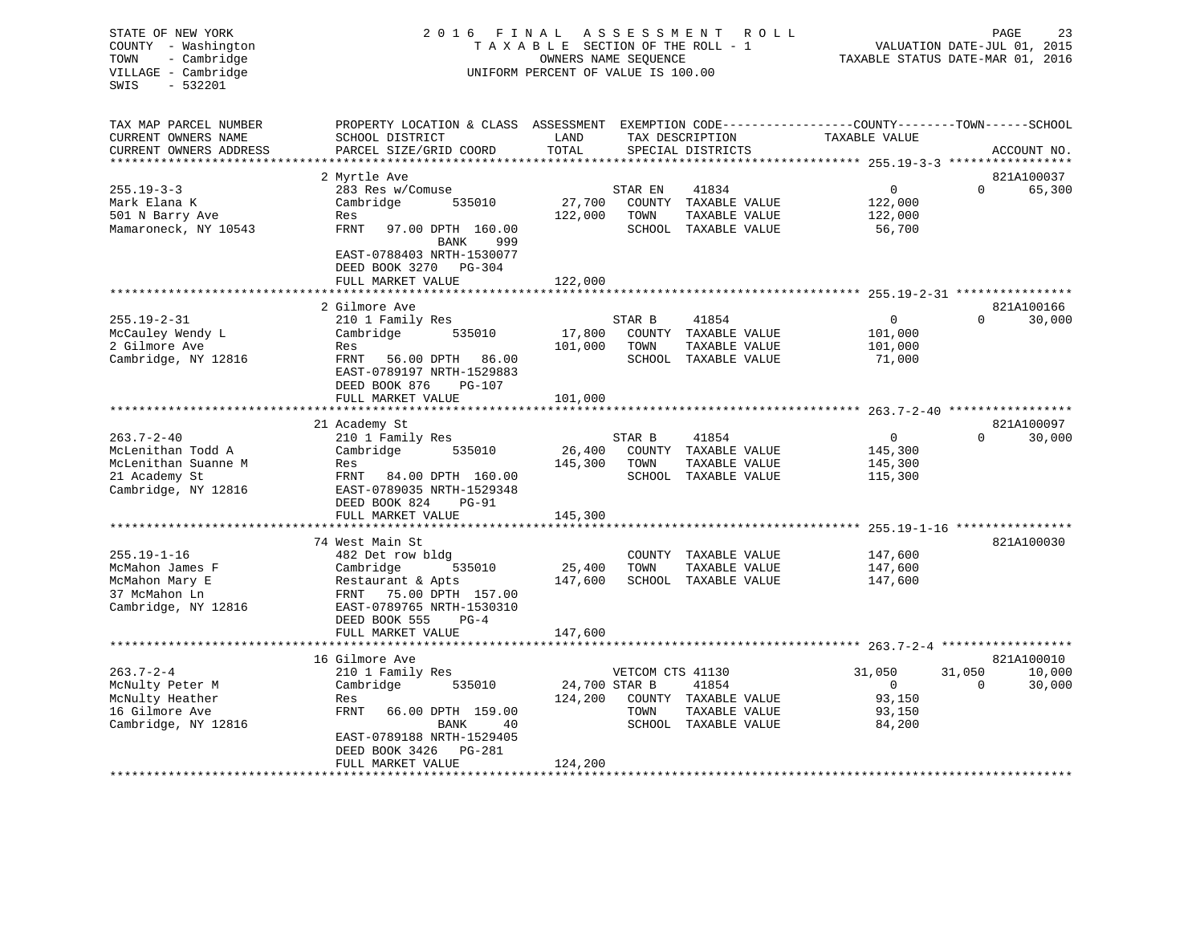| STATE OF NEW YORK<br>COUNTY - Washington<br>- Cambridge<br>TOWN<br>VILLAGE - Cambridge<br>$-532201$<br>SWIS | 2 0 1 6<br>FINAL<br>TAXABLE SECTION OF THE ROLL - 1<br>UNIFORM PERCENT OF VALUE IS 100.00                                                    | TAXABLE STATUS DATE-MAR 01, 2016 | VALUATION DATE-JUL 01, 2015 | 23<br>PAGE                           |                                                                     |                                    |                      |
|-------------------------------------------------------------------------------------------------------------|----------------------------------------------------------------------------------------------------------------------------------------------|----------------------------------|-----------------------------|--------------------------------------|---------------------------------------------------------------------|------------------------------------|----------------------|
| TAX MAP PARCEL NUMBER<br>CURRENT OWNERS NAME<br>CURRENT OWNERS ADDRESS<br>**********************            | PROPERTY LOCATION & CLASS ASSESSMENT EXEMPTION CODE----------------COUNTY-------TOWN-----SCHOOL<br>SCHOOL DISTRICT<br>PARCEL SIZE/GRID COORD | LAND<br>TOTAL                    |                             | TAX DESCRIPTION<br>SPECIAL DISTRICTS | TAXABLE VALUE                                                       |                                    | ACCOUNT NO.          |
|                                                                                                             | 2 Myrtle Ave                                                                                                                                 |                                  |                             |                                      |                                                                     |                                    | 821A100037           |
| $255.19 - 3 - 3$                                                                                            | 283 Res w/Comuse                                                                                                                             |                                  | STAR EN                     | 41834                                | $\mathbf 0$                                                         | $\Omega$                           | 65,300               |
| Mark Elana K                                                                                                | Cambridge<br>535010                                                                                                                          | 27,700                           |                             | COUNTY TAXABLE VALUE                 | 122,000                                                             |                                    |                      |
| 501 N Barry Ave                                                                                             | Res                                                                                                                                          | 122,000                          | TOWN                        | TAXABLE VALUE                        | 122,000                                                             |                                    |                      |
| Mamaroneck, NY 10543                                                                                        | FRNT<br>97.00 DPTH 160.00<br><b>BANK</b><br>999                                                                                              |                                  |                             | SCHOOL TAXABLE VALUE                 | 56,700                                                              |                                    |                      |
|                                                                                                             | EAST-0788403 NRTH-1530077<br>DEED BOOK 3270 PG-304<br>FULL MARKET VALUE                                                                      | 122,000                          |                             |                                      |                                                                     |                                    |                      |
|                                                                                                             |                                                                                                                                              |                                  |                             |                                      | ************************************* 255.19-2-31 ***************** |                                    |                      |
|                                                                                                             | 2 Gilmore Ave                                                                                                                                |                                  |                             |                                      |                                                                     |                                    | 821A100166           |
| $255.19 - 2 - 31$                                                                                           | 210 1 Family Res                                                                                                                             |                                  | STAR B                      | 41854                                | $\mathbf{0}$                                                        | $\Omega$                           | 30,000               |
| McCauley Wendy L<br>2 Gilmore Ave                                                                           | Cambridge<br>535010<br>Res                                                                                                                   | 17,800<br>101,000                | COUNTY<br>TOWN              | TAXABLE VALUE<br>TAXABLE VALUE       | 101,000<br>101,000                                                  |                                    |                      |
| Cambridge, NY 12816                                                                                         | FRNT<br>56.00 DPTH<br>86.00                                                                                                                  |                                  |                             | SCHOOL TAXABLE VALUE                 | 71,000                                                              |                                    |                      |
|                                                                                                             | EAST-0789197 NRTH-1529883<br>DEED BOOK 876<br>PG-107                                                                                         |                                  |                             |                                      |                                                                     |                                    |                      |
|                                                                                                             | FULL MARKET VALUE                                                                                                                            | 101,000                          |                             |                                      |                                                                     |                                    |                      |
|                                                                                                             |                                                                                                                                              |                                  |                             |                                      | $263.7 - 2 - 40$                                                    |                                    |                      |
| $263.7 - 2 - 40$                                                                                            | 21 Academy St                                                                                                                                |                                  | STAR B                      | 41854                                | $\mathbf{0}$                                                        | $\Omega$                           | 821A100097<br>30,000 |
| McLenithan Todd A                                                                                           | 210 1 Family Res<br>Cambridge<br>535010                                                                                                      | 26,400                           |                             | COUNTY TAXABLE VALUE                 | 145,300                                                             |                                    |                      |
| McLenithan Suanne M                                                                                         | Res                                                                                                                                          | 145,300                          | TOWN                        | TAXABLE VALUE                        | 145,300                                                             |                                    |                      |
| 21 Academy St                                                                                               | FRNT<br>84.00 DPTH 160.00                                                                                                                    |                                  |                             | SCHOOL TAXABLE VALUE                 | 115,300                                                             |                                    |                      |
| Cambridge, NY 12816                                                                                         | EAST-0789035 NRTH-1529348<br>DEED BOOK 824<br><b>PG-91</b>                                                                                   |                                  |                             |                                      |                                                                     |                                    |                      |
|                                                                                                             | FULL MARKET VALUE<br>********************                                                                                                    | 145,300<br>***********           |                             |                                      |                                                                     | $255.19 - 1 - 16$ **************** |                      |
|                                                                                                             | 74 West Main St                                                                                                                              |                                  |                             |                                      |                                                                     |                                    | 821A100030           |
| $255.19 - 1 - 16$                                                                                           | 482 Det row bldg                                                                                                                             |                                  | COUNTY                      | TAXABLE VALUE                        | 147,600                                                             |                                    |                      |
| McMahon James F                                                                                             | Cambridge<br>535010                                                                                                                          | 25,400                           | TOWN                        | TAXABLE VALUE                        | 147,600                                                             |                                    |                      |
| McMahon Mary E                                                                                              | Restaurant & Apts                                                                                                                            | 147,600                          |                             | SCHOOL TAXABLE VALUE                 | 147,600                                                             |                                    |                      |
| 37 McMahon Ln                                                                                               | FRNT<br>75.00 DPTH 157.00                                                                                                                    |                                  |                             |                                      |                                                                     |                                    |                      |
| Cambridge, NY 12816                                                                                         | EAST-0789765 NRTH-1530310<br>DEED BOOK 555<br>$PG-4$                                                                                         |                                  |                             |                                      |                                                                     |                                    |                      |
|                                                                                                             | FULL MARKET VALUE                                                                                                                            | 147,600                          |                             |                                      |                                                                     |                                    |                      |
|                                                                                                             | 16 Gilmore Ave                                                                                                                               |                                  |                             |                                      |                                                                     |                                    | 821A100010           |
| $263.7 - 2 - 4$                                                                                             | 210 1 Family Res                                                                                                                             |                                  | VETCOM CTS 41130            |                                      | 31,050                                                              | 31,050                             | 10,000               |
| McNulty Peter M                                                                                             | Cambridge<br>535010                                                                                                                          | 24,700 STAR B                    |                             | 41854                                | $\mathbf{0}$                                                        | $\Omega$                           | 30,000               |
| McNulty Heather                                                                                             | Res                                                                                                                                          | 124,200                          |                             | COUNTY TAXABLE VALUE                 | 93,150                                                              |                                    |                      |
| 16 Gilmore Ave                                                                                              | FRNT<br>66.00 DPTH 159.00                                                                                                                    |                                  | TOWN                        | TAXABLE VALUE                        | 93,150                                                              |                                    |                      |
| Cambridge, NY 12816                                                                                         | BANK<br>40                                                                                                                                   |                                  |                             | SCHOOL TAXABLE VALUE                 | 84,200                                                              |                                    |                      |
|                                                                                                             | EAST-0789188 NRTH-1529405<br>PG-281                                                                                                          |                                  |                             |                                      |                                                                     |                                    |                      |
|                                                                                                             | DEED BOOK 3426<br>FULL MARKET VALUE                                                                                                          | 124,200                          |                             |                                      |                                                                     |                                    |                      |
| ********************                                                                                        |                                                                                                                                              |                                  |                             |                                      |                                                                     |                                    |                      |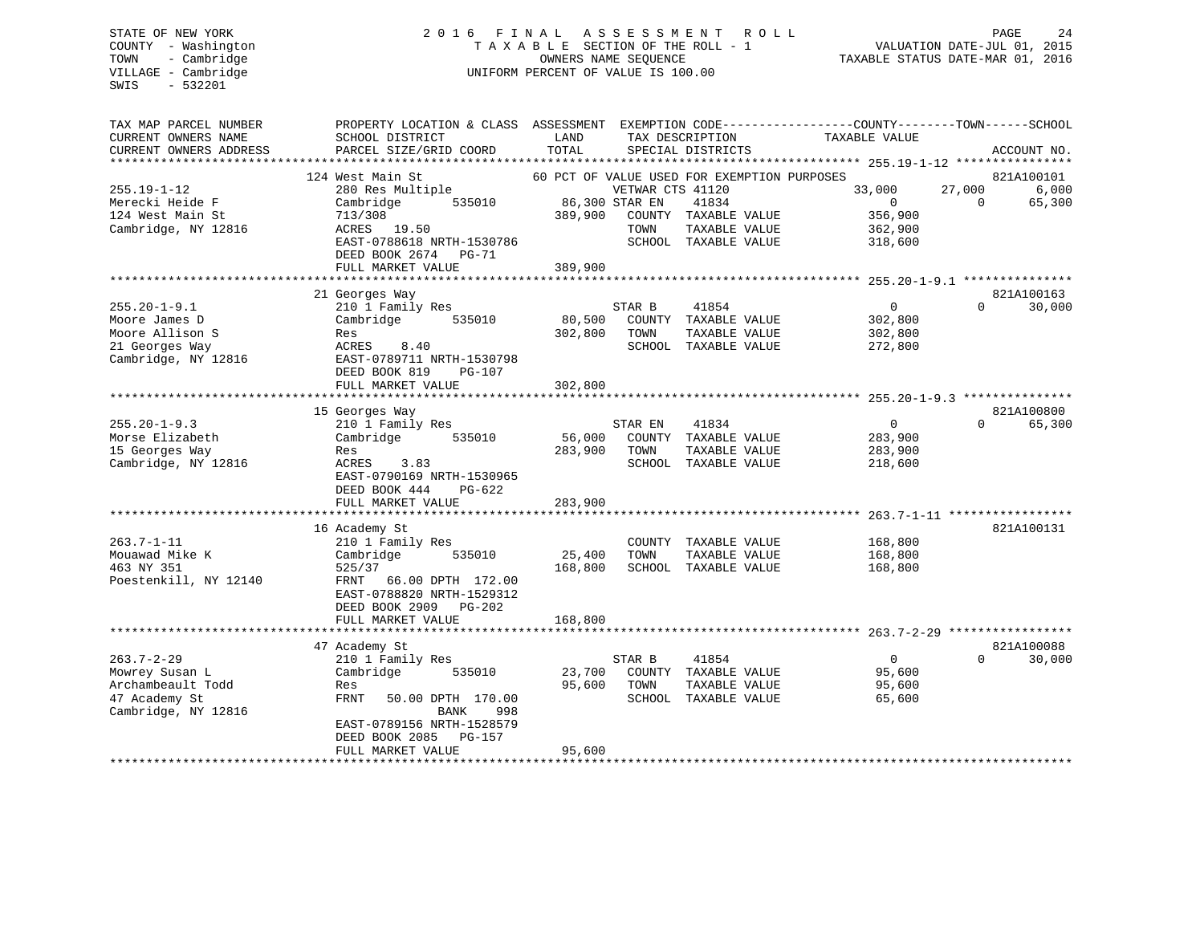# STATE OF NEW YORK 2 0 1 6 F I N A L A S S E S S M E N T R O L L PAGE 24 COUNTY - Washington T A X A B L E SECTION OF THE ROLL - 1 VALUATION DATE-JUL 01, 2015 TOWN - Cambridge OWNERS NAME SEQUENCE TAXABLE STATUS DATE-MAR 01, 2016 UNIFORM PERCENT OF VALUE IS 100.00

| TAX MAP PARCEL NUMBER<br>CURRENT OWNERS NAME<br>CURRENT OWNERS ADDRESS<br>*******************   | PROPERTY LOCATION & CLASS<br>SCHOOL DISTRICT<br>PARCEL SIZE/GRID COORD                                                                                                                    | ASSESSMENT<br>LAND<br>TOTAL  | TAX DESCRIPTION<br>SPECIAL DISTRICTS                                                                                                               |                                                 | EXEMPTION CODE-----------------COUNTY-------TOWN------SCHOOL<br>TAXABLE VALUE |                    | ACCOUNT NO.                   |
|-------------------------------------------------------------------------------------------------|-------------------------------------------------------------------------------------------------------------------------------------------------------------------------------------------|------------------------------|----------------------------------------------------------------------------------------------------------------------------------------------------|-------------------------------------------------|-------------------------------------------------------------------------------|--------------------|-------------------------------|
| $255.19 - 1 - 12$<br>Merecki Heide F<br>124 West Main St<br>Cambridge, NY 12816                 | 124 West Main St<br>280 Res Multiple<br>Cambridge<br>535010<br>713/308<br>ACRES 19.50<br>EAST-0788618 NRTH-1530786<br>DEED BOOK 2674<br>PG-71                                             | 389,900                      | 60 PCT OF VALUE USED FOR EXEMPTION PURPOSES<br>VETWAR CTS 41120<br>86,300 STAR EN<br>41834<br>COUNTY TAXABLE VALUE<br>TOWN<br>SCHOOL TAXABLE VALUE | TAXABLE VALUE                                   | 33,000<br>$\Omega$<br>356,900<br>362,900<br>318,600                           | 27,000<br>$\Omega$ | 821A100101<br>6,000<br>65,300 |
|                                                                                                 | FULL MARKET VALUE<br>***************************                                                                                                                                          | 389,900                      |                                                                                                                                                    |                                                 |                                                                               |                    |                               |
| $255.20 - 1 - 9.1$<br>Moore James D<br>Moore Allison S<br>21 Georges Way<br>Cambridge, NY 12816 | 21 Georges Way<br>210 1 Family Res<br>Cambridge<br>535010<br>Res<br>ACRES<br>8.40<br>EAST-0789711 NRTH-1530798<br>DEED BOOK 819<br>$PG-107$                                               | 80,500<br>302,800            | 41854<br>STAR B<br>COUNTY TAXABLE VALUE<br>TOWN<br>SCHOOL                                                                                          | TAXABLE VALUE<br>TAXABLE VALUE                  | $\Omega$<br>302,800<br>302,800<br>272,800                                     | $\Omega$           | 821A100163<br>30,000          |
|                                                                                                 | FULL MARKET VALUE                                                                                                                                                                         | 302,800                      |                                                                                                                                                    |                                                 |                                                                               |                    |                               |
| $255.20 - 1 - 9.3$<br>Morse Elizabeth<br>15 Georges Way<br>Cambridge, NY 12816                  | 15 Georges Way<br>210 1 Family Res<br>Cambridge<br>535010<br>Res<br>ACRES<br>3.83<br>EAST-0790169 NRTH-1530965<br>DEED BOOK 444<br>$PG-622$<br>FULL MARKET VALUE                          | 56,000<br>283,900<br>283,900 | STAR EN<br>41834<br>COUNTY TAXABLE VALUE<br>TOWN<br>SCHOOL                                                                                         | TAXABLE VALUE<br>TAXABLE VALUE                  | $\Omega$<br>283,900<br>283,900<br>218,600                                     | $\Omega$           | 821A100800<br>65,300          |
| $263.7 - 1 - 11$<br>Mouawad Mike K<br>463 NY 351<br>Poestenkill, NY 12140                       | **************************<br>16 Academy St<br>210 1 Family Res<br>Cambridge<br>535010<br>525/37<br>FRNT<br>66.00 DPTH 172.00<br>EAST-0788820 NRTH-1529312<br>DEED BOOK 2909<br>$PG-202$  | 25,400<br>168,800            | COUNTY TAXABLE VALUE<br>TOWN<br>SCHOOL TAXABLE VALUE                                                                                               | TAXABLE VALUE                                   | 168,800<br>168,800<br>168,800                                                 |                    | 821A100131                    |
|                                                                                                 | FULL MARKET VALUE<br>******************************                                                                                                                                       | 168,800                      |                                                                                                                                                    |                                                 |                                                                               |                    |                               |
| $263.7 - 2 - 29$<br>Mowrey Susan L<br>Archambeault Todd<br>47 Academy St<br>Cambridge, NY 12816 | 47 Academy St<br>210 1 Family Res<br>Cambridge<br>535010<br>Res<br>FRNT<br>50.00 DPTH 170.00<br>BANK<br>998<br>EAST-0789156 NRTH-1528579<br>DEED BOOK 2085<br>PG-157<br>FULL MARKET VALUE | 23,700<br>95,600<br>95,600   | STAR B<br>41854<br>COUNTY<br>TOWN<br>SCHOOL                                                                                                        | TAXABLE VALUE<br>TAXABLE VALUE<br>TAXABLE VALUE | $\overline{0}$<br>95,600<br>95,600<br>65,600                                  | $\Omega$           | 821A100088<br>30,000          |
|                                                                                                 |                                                                                                                                                                                           |                              |                                                                                                                                                    |                                                 |                                                                               |                    |                               |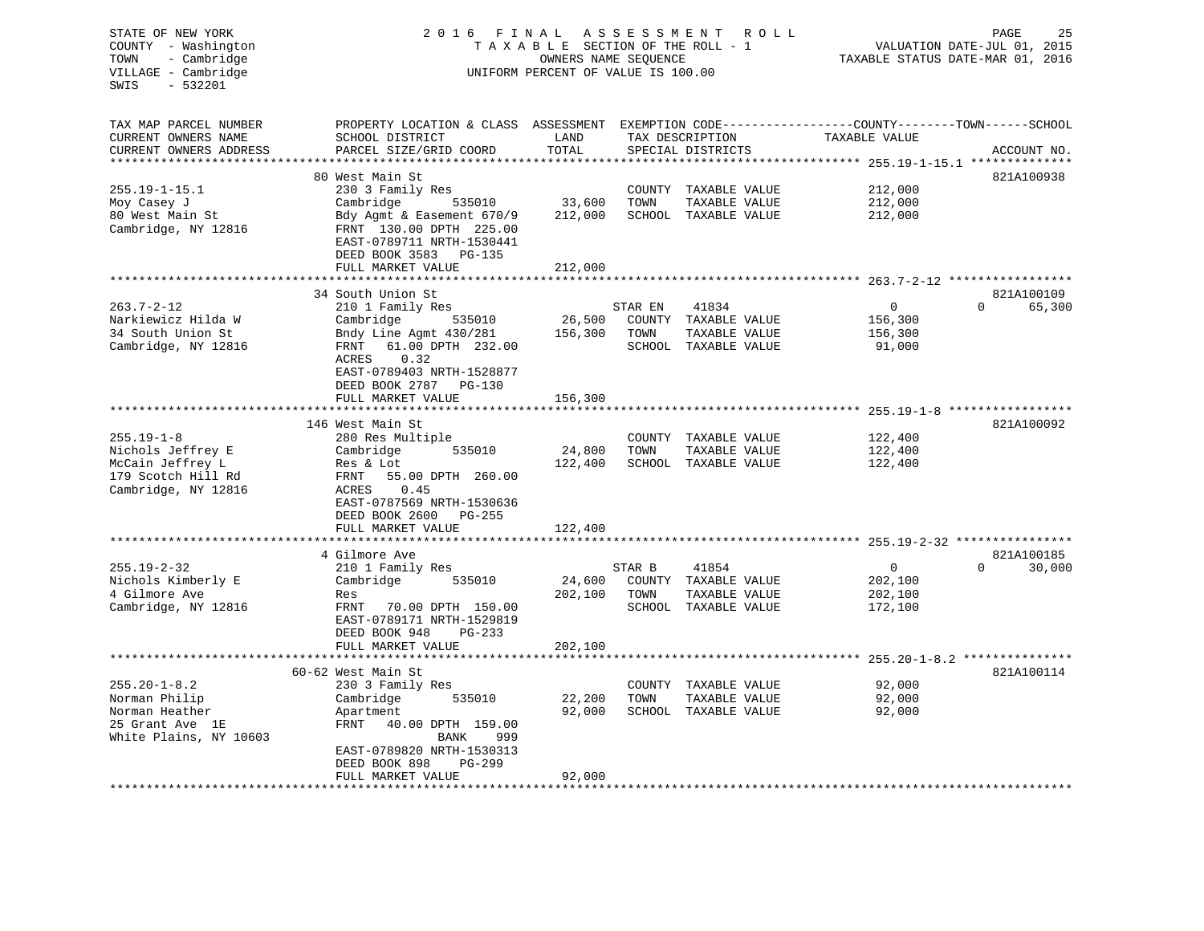| STATE OF NEW YORK<br>COUNTY - Washington   | 2 0 1 6<br>FINAL<br>ASSESSMENT<br>R O L L<br>TAXABLE SECTION OF THE ROLL - 1                      |                                                            |         |                      |                                                 |                                                                 |  |  |
|--------------------------------------------|---------------------------------------------------------------------------------------------------|------------------------------------------------------------|---------|----------------------|-------------------------------------------------|-----------------------------------------------------------------|--|--|
| - Cambridge<br>TOWN<br>VILLAGE - Cambridge |                                                                                                   | OWNERS NAME SEQUENCE<br>UNIFORM PERCENT OF VALUE IS 100.00 |         |                      |                                                 | VALUATION DATE-JUL 01, 2015<br>TAXABLE STATUS DATE-MAR 01, 2016 |  |  |
| $-532201$<br>SWIS                          |                                                                                                   |                                                            |         |                      |                                                 |                                                                 |  |  |
| TAX MAP PARCEL NUMBER                      | PROPERTY LOCATION & CLASS ASSESSMENT EXEMPTION CODE-----------------COUNTY-------TOWN------SCHOOL |                                                            |         |                      |                                                 |                                                                 |  |  |
| CURRENT OWNERS NAME                        | SCHOOL DISTRICT                                                                                   | LAND                                                       |         | TAX DESCRIPTION      | TAXABLE VALUE                                   |                                                                 |  |  |
| CURRENT OWNERS ADDRESS                     | PARCEL SIZE/GRID COORD                                                                            | TOTAL                                                      |         | SPECIAL DISTRICTS    |                                                 | ACCOUNT NO.                                                     |  |  |
|                                            |                                                                                                   |                                                            |         |                      | ****** 255.19-1-15.1 **                         |                                                                 |  |  |
| $255.19 - 1 - 15.1$                        | 80 West Main St<br>230 3 Family Res                                                               |                                                            | COUNTY  | TAXABLE VALUE        | 212,000                                         | 821A100938                                                      |  |  |
| Moy Casey J                                | Cambridge<br>535010                                                                               | 33,600                                                     | TOWN    | TAXABLE VALUE        | 212,000                                         |                                                                 |  |  |
| 80 West Main St                            | Bdy Agmt & Easement 670/9                                                                         | 212,000                                                    |         | SCHOOL TAXABLE VALUE | 212,000                                         |                                                                 |  |  |
| Cambridge, NY 12816                        | FRNT 130.00 DPTH 225.00                                                                           |                                                            |         |                      |                                                 |                                                                 |  |  |
|                                            | EAST-0789711 NRTH-1530441                                                                         |                                                            |         |                      |                                                 |                                                                 |  |  |
|                                            | DEED BOOK 3583 PG-135                                                                             |                                                            |         |                      |                                                 |                                                                 |  |  |
|                                            | FULL MARKET VALUE                                                                                 | 212,000                                                    |         |                      |                                                 |                                                                 |  |  |
|                                            |                                                                                                   | ************                                               |         |                      |                                                 |                                                                 |  |  |
| $263.7 - 2 - 12$                           | 34 South Union St<br>210 1 Family Res                                                             |                                                            | STAR EN | 41834                | $\mathbf 0$                                     | 821A100109<br>$\mathbf 0$<br>65,300                             |  |  |
| Narkiewicz Hilda W                         | Cambridge<br>535010                                                                               | 26,500                                                     |         | COUNTY TAXABLE VALUE | 156,300                                         |                                                                 |  |  |
| 34 South Union St                          | Bndy Line Agmt 430/281                                                                            | 156,300                                                    | TOWN    | TAXABLE VALUE        | 156,300                                         |                                                                 |  |  |
| Cambridge, NY 12816                        | 61.00 DPTH 232.00<br>FRNT                                                                         |                                                            |         | SCHOOL TAXABLE VALUE | 91,000                                          |                                                                 |  |  |
|                                            | <b>ACRES</b><br>0.32                                                                              |                                                            |         |                      |                                                 |                                                                 |  |  |
|                                            | EAST-0789403 NRTH-1528877                                                                         |                                                            |         |                      |                                                 |                                                                 |  |  |
|                                            | DEED BOOK 2787<br>PG-130                                                                          |                                                            |         |                      |                                                 |                                                                 |  |  |
|                                            | FULL MARKET VALUE                                                                                 | 156,300                                                    |         |                      |                                                 |                                                                 |  |  |
|                                            | 146 West Main St                                                                                  |                                                            |         |                      | ********** 255.19-1-8 *****************         | 821A100092                                                      |  |  |
| $255.19 - 1 - 8$                           | 280 Res Multiple                                                                                  |                                                            | COUNTY  | TAXABLE VALUE        | 122,400                                         |                                                                 |  |  |
| Nichols Jeffrey E                          | 535010<br>Cambridge                                                                               | 24,800                                                     | TOWN    | TAXABLE VALUE        | 122,400                                         |                                                                 |  |  |
| McCain Jeffrey L                           | Res & Lot                                                                                         | 122,400                                                    |         | SCHOOL TAXABLE VALUE | 122,400                                         |                                                                 |  |  |
| 179 Scotch Hill Rd                         | FRNT<br>55.00 DPTH 260.00                                                                         |                                                            |         |                      |                                                 |                                                                 |  |  |
| Cambridge, NY 12816                        | ACRES<br>0.45                                                                                     |                                                            |         |                      |                                                 |                                                                 |  |  |
|                                            | EAST-0787569 NRTH-1530636                                                                         |                                                            |         |                      |                                                 |                                                                 |  |  |
|                                            | DEED BOOK 2600<br>PG-255                                                                          |                                                            |         |                      |                                                 |                                                                 |  |  |
|                                            | FULL MARKET VALUE<br>******************                                                           | 122,400                                                    |         |                      |                                                 |                                                                 |  |  |
|                                            | 4 Gilmore Ave                                                                                     |                                                            |         |                      |                                                 | 821A100185                                                      |  |  |
| $255.19 - 2 - 32$                          | 210 1 Family Res                                                                                  |                                                            | STAR B  | 41854                | $\overline{0}$                                  | $\Omega$<br>30,000                                              |  |  |
| Nichols Kimberly E                         | Cambridge<br>535010                                                                               | 24,600                                                     |         | COUNTY TAXABLE VALUE | 202,100                                         |                                                                 |  |  |
| 4 Gilmore Ave                              | Res                                                                                               | 202,100                                                    | TOWN    | TAXABLE VALUE        | 202,100                                         |                                                                 |  |  |
| Cambridge, NY 12816                        | FRNT<br>70.00 DPTH 150.00                                                                         |                                                            |         | SCHOOL TAXABLE VALUE | 172,100                                         |                                                                 |  |  |
|                                            | EAST-0789171 NRTH-1529819                                                                         |                                                            |         |                      |                                                 |                                                                 |  |  |
|                                            | DEED BOOK 948<br>$PG-233$<br>FULL MARKET VALUE                                                    | 202,100                                                    |         |                      |                                                 |                                                                 |  |  |
|                                            | *********************                                                                             |                                                            |         |                      | ****************** 255.20-1-8.2 *************** |                                                                 |  |  |
|                                            | 60-62 West Main St                                                                                |                                                            |         |                      |                                                 | 821A100114                                                      |  |  |
| $255.20 - 1 - 8.2$                         | 230 3 Family Res                                                                                  |                                                            | COUNTY  | TAXABLE VALUE        | 92,000                                          |                                                                 |  |  |
| Norman Philip                              | Cambridge<br>535010                                                                               | 22,200                                                     | TOWN    | TAXABLE VALUE        | 92,000                                          |                                                                 |  |  |
| Norman Heather                             | Apartment                                                                                         | 92,000                                                     |         | SCHOOL TAXABLE VALUE | 92,000                                          |                                                                 |  |  |
| 25 Grant Ave 1E                            | 40.00 DPTH 159.00<br>FRNT                                                                         |                                                            |         |                      |                                                 |                                                                 |  |  |
| White Plains, NY 10603                     | BANK<br>999                                                                                       |                                                            |         |                      |                                                 |                                                                 |  |  |
|                                            | EAST-0789820 NRTH-1530313<br>DEED BOOK 898<br>PG-299                                              |                                                            |         |                      |                                                 |                                                                 |  |  |
|                                            | FULL MARKET VALUE                                                                                 | 92,000                                                     |         |                      |                                                 |                                                                 |  |  |
|                                            |                                                                                                   |                                                            |         |                      |                                                 |                                                                 |  |  |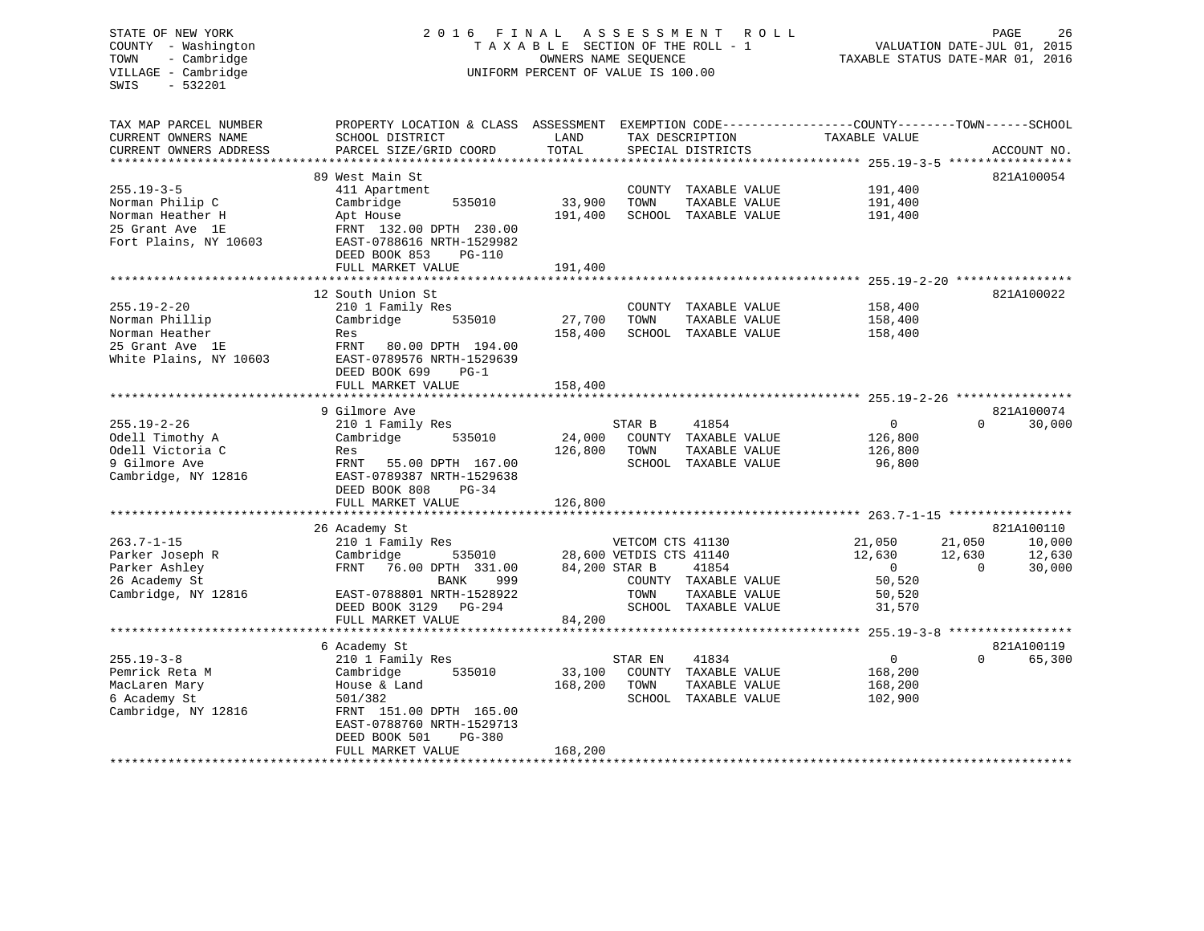#### STATE OF NEW YORK 2016 FINAL ASSESSMENT ROLL PAGE 26 COUNTY - Washington  $T A X A B L E$  SECTION OF THE ROLL - 1<br>TOWN - Cambridge  $\qquad$  OWNERS NAME SEQUENCE TOWN - Cambridge OWNERS NAME SEQUENCE TAXABLE STATUS DATE-MAR 01, 2016 UNIFORM PERCENT OF VALUE IS 100.00

| TAX MAP PARCEL NUMBER<br>CURRENT OWNERS NAME                 | PROPERTY LOCATION & CLASS ASSESSMENT<br>SCHOOL DISTRICT                                             | LAND               | TAX DESCRIPTION                  | EXEMPTION CODE-----------------COUNTY-------TOWN------SCHOOL<br>TAXABLE VALUE |                    |                  |
|--------------------------------------------------------------|-----------------------------------------------------------------------------------------------------|--------------------|----------------------------------|-------------------------------------------------------------------------------|--------------------|------------------|
| CURRENT OWNERS ADDRESS                                       | PARCEL SIZE/GRID COORD                                                                              | <b>TOTAL</b>       | SPECIAL DISTRICTS                |                                                                               |                    | ACCOUNT NO.      |
|                                                              |                                                                                                     |                    |                                  |                                                                               |                    |                  |
| $255.19 - 3 - 5$                                             | 89 West Main St<br>411 Apartment                                                                    |                    | COUNTY TAXABLE VALUE             | 191,400                                                                       |                    | 821A100054       |
| Norman Philip C                                              | Cambridge<br>535010                                                                                 | 33,900             | TOWN<br>TAXABLE VALUE            | 191,400                                                                       |                    |                  |
| Norman Heather H<br>25 Grant Ave 1E<br>Fort Plains, NY 10603 | Apt House<br>FRNT 132.00 DPTH 230.00<br>EAST-0788616 NRTH-1529982<br>DEED BOOK 853<br>$PG-110$      | 191,400<br>191,400 | SCHOOL TAXABLE VALUE             | 191,400                                                                       |                    |                  |
|                                                              | FULL MARKET VALUE                                                                                   |                    |                                  |                                                                               |                    |                  |
|                                                              | 12 South Union St                                                                                   |                    |                                  |                                                                               |                    | 821A100022       |
| $255.19 - 2 - 20$                                            | 210 1 Family Res                                                                                    |                    | COUNTY TAXABLE VALUE             | 158,400                                                                       |                    |                  |
| Norman Phillip                                               | Cambridge<br>535010                                                                                 | 27,700             | TOWN<br>TAXABLE VALUE            | 158,400                                                                       |                    |                  |
| Norman Heather                                               | Res                                                                                                 | 158,400            | SCHOOL TAXABLE VALUE             | 158,400                                                                       |                    |                  |
| 25 Grant Ave 1E<br>White Plains, NY 10603                    | FRNT 80.00 DPTH 194.00<br>EAST-0789576 NRTH-1529639<br>DEED BOOK 699<br>$PG-1$<br>FULL MARKET VALUE | 158,400            |                                  |                                                                               |                    |                  |
|                                                              |                                                                                                     |                    |                                  |                                                                               |                    |                  |
|                                                              | 9 Gilmore Ave                                                                                       |                    |                                  |                                                                               |                    | 821A100074       |
| $255.19 - 2 - 26$                                            | 210 1 Family Res                                                                                    |                    | STAR B<br>41854                  | $\mathbf 0$                                                                   | $\Omega$           | 30,000           |
| Odell Timothy A                                              | Cambridge<br>535010                                                                                 | 24,000             | COUNTY TAXABLE VALUE             | 126,800                                                                       |                    |                  |
| Odell Victoria C                                             | Res                                                                                                 | 126,800            | TOWN<br>TAXABLE VALUE            | 126,800                                                                       |                    |                  |
| 9 Gilmore Ave<br>Cambridge, NY 12816                         | FRNT<br>55.00 DPTH 167.00<br>EAST-0789387 NRTH-1529638<br>DEED BOOK 808<br>$PG-34$                  |                    | SCHOOL TAXABLE VALUE             | 96,800                                                                        |                    |                  |
|                                                              | FULL MARKET VALUE                                                                                   | 126,800            |                                  |                                                                               |                    |                  |
|                                                              |                                                                                                     |                    |                                  |                                                                               |                    |                  |
|                                                              | 26 Academy St                                                                                       |                    |                                  |                                                                               |                    | 821A100110       |
| $263.7 - 1 - 15$                                             | 210 1 Family Res                                                                                    |                    | VETCOM CTS 41130                 | 21,050                                                                        | 21,050             | 10,000           |
| Parker Joseph R<br>Parker Ashley                             | Cambridge<br>535010<br>76.00 DPTH 331.00<br>FRNT                                                    | 84,200 STAR B      | 28,600 VETDIS CTS 41140<br>41854 | 12,630<br>$\overline{0}$                                                      | 12,630<br>$\Omega$ | 12,630<br>30,000 |
| 26 Academy St                                                | 999<br>BANK                                                                                         |                    | COUNTY TAXABLE VALUE             | 50,520                                                                        |                    |                  |
| Cambridge, NY 12816                                          | EAST-0788801 NRTH-1528922                                                                           |                    | TAXABLE VALUE<br>TOWN            | 50,520                                                                        |                    |                  |
|                                                              | DEED BOOK 3129<br>$PG-294$                                                                          |                    | SCHOOL TAXABLE VALUE             | 31,570                                                                        |                    |                  |
|                                                              | FULL MARKET VALUE                                                                                   | 84,200             |                                  |                                                                               |                    |                  |
|                                                              | *********************                                                                               |                    |                                  |                                                                               |                    |                  |
|                                                              | 6 Academy St                                                                                        |                    |                                  |                                                                               |                    | 821A100119       |
| $255.19 - 3 - 8$                                             | 210 1 Family Res                                                                                    |                    | 41834<br>STAR EN                 | $\overline{0}$                                                                | $\Omega$           | 65,300           |
| Pemrick Reta M                                               | Cambridge<br>535010                                                                                 | 33,100             | COUNTY TAXABLE VALUE             | 168,200                                                                       |                    |                  |
| MacLaren Mary                                                | House & Land                                                                                        | 168,200            | TOWN<br>TAXABLE VALUE            | 168,200                                                                       |                    |                  |
| 6 Academy St                                                 | 501/382                                                                                             |                    | SCHOOL TAXABLE VALUE             | 102,900                                                                       |                    |                  |
| Cambridge, NY 12816                                          | FRNT 151.00 DPTH 165.00<br>EAST-0788760 NRTH-1529713<br>DEED BOOK 501<br>$PG-380$                   |                    |                                  |                                                                               |                    |                  |
|                                                              | FULL MARKET VALUE                                                                                   | 168,200            |                                  |                                                                               |                    |                  |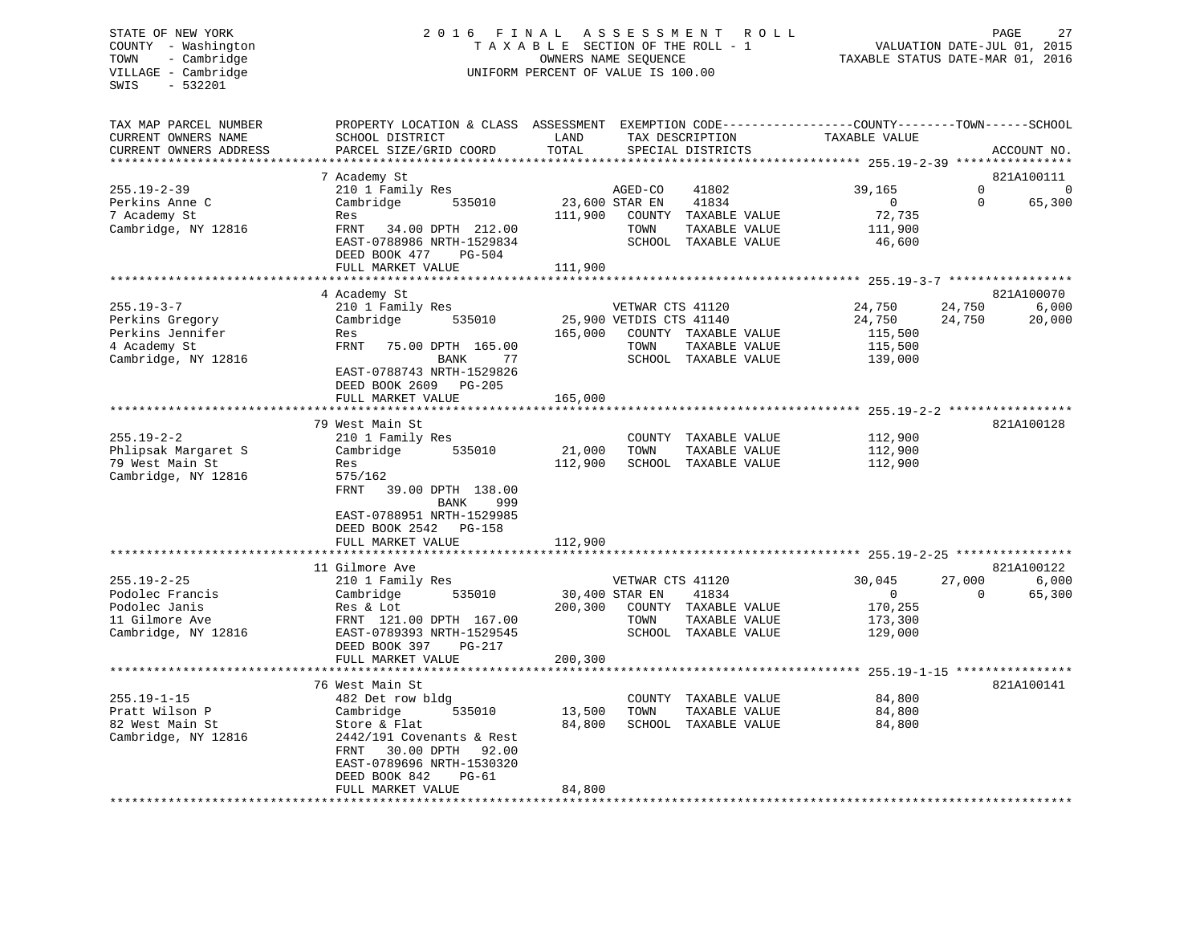# STATE OF NEW YORK 2 0 1 6 F I N A L A S S E S S M E N T R O L L PAGE 27 COUNTY - Washington T A X A B L E SECTION OF THE ROLL - 1 VALUATION DATE-JUL 01, 2015 TOWN - Cambridge OWNERS NAME SEQUENCE TAXABLE STATUS DATE-MAR 01, 2016 UNIFORM PERCENT OF VALUE IS 100.00

| SCHOOL DISTRICT<br>TAX DESCRIPTION<br>TOTAL<br>PARCEL SIZE/GRID COORD<br>SPECIAL DISTRICTS<br>ACCOUNT NO.<br>**********************<br>7 Academy St<br>821A100111<br>39,165<br>$\Omega$<br>210 1 Family Res<br>AGED-CO<br>41802<br>$\mathbf 0$<br>Cambridge<br>23,600 STAR EN<br>41834<br>$\overline{0}$<br>$\Omega$<br>65,300<br>535010<br>72,735<br>111,900<br>COUNTY TAXABLE VALUE<br>Res<br>FRNT 34.00 DPTH 212.00<br>TAXABLE VALUE<br>TOWN<br>111,900<br>SCHOOL TAXABLE VALUE<br>EAST-0788986 NRTH-1529834<br>46,600<br>DEED BOOK 477<br>PG-504<br>111,900<br>FULL MARKET VALUE<br>4 Academy St<br>821A100070<br>$255.19 - 3 - 7$<br>6,000<br>210 1 Family Res<br>VETWAR CTS 41120<br>24,750<br>24,750<br>Perkins Gregory<br>Cambridge<br>535010<br>25,900 VETDIS CTS 41140<br>24,750<br>24,750<br>20,000<br>Perkins Jennifer<br>165,000<br>COUNTY TAXABLE VALUE<br>115,500<br>Res<br>4 Academy St<br>FRNT<br>75.00 DPTH 165.00<br>TOWN<br>TAXABLE VALUE<br>115,500<br>Cambridge, NY 12816<br>SCHOOL TAXABLE VALUE<br>BANK<br>77<br>139,000<br>EAST-0788743 NRTH-1529826<br>DEED BOOK 2609 PG-205<br>FULL MARKET VALUE<br>165,000<br>***************<br>79 West Main St<br>821A100128<br>$255.19 - 2 - 2$<br>210 1 Family Res<br>COUNTY TAXABLE VALUE<br>112,900<br>Phlipsak Margaret S<br>112,900<br>Cambridge<br>535010<br>21,000<br>TOWN<br>TAXABLE VALUE<br>79 West Main St<br>112,900<br>SCHOOL TAXABLE VALUE<br>112,900<br>Res<br>Cambridge, NY 12816<br>575/162<br>FRNT<br>39.00 DPTH 138.00<br>BANK<br>999<br>EAST-0788951 NRTH-1529985<br>DEED BOOK 2542 PG-158<br>112,900<br>FULL MARKET VALUE<br>821A100122<br>11 Gilmore Ave<br>$255.19 - 2 - 25$<br>27,000<br>6,000<br>210 1 Family Res<br>VETWAR CTS 41120<br>30,045<br>$\Omega$<br>65,300<br>Cambridge<br>535010<br>30,400 STAR EN<br>41834<br>$\overline{0}$<br>Podolec Janis<br>200,300<br>COUNTY TAXABLE VALUE<br>Res & Lot<br>170,255<br>FRNT 121.00 DPTH 167.00<br>TOWN<br>TAXABLE VALUE<br>173,300<br>EAST-0789393 NRTH-1529545<br>SCHOOL TAXABLE VALUE<br>129,000<br>DEED BOOK 397<br>PG-217<br>200,300<br>FULL MARKET VALUE<br>76 West Main St<br>821A100141<br>$255.19 - 1 - 15$<br>84,800<br>482 Det row bldg<br>COUNTY TAXABLE VALUE<br>Pratt Wilson P<br>Cambridge<br>535010<br>13,500<br>TAXABLE VALUE<br>84,800<br>TOWN<br>82 West Main St<br>84,800<br>SCHOOL TAXABLE VALUE<br>Store & Flat<br>84,800<br>Cambridge, NY 12816<br>2442/191 Covenants & Rest<br>FRNT<br>30.00 DPTH 92.00<br>EAST-0789696 NRTH-1530320<br>DEED BOOK 842<br>$PG-61$<br>FULL MARKET VALUE<br>84,800 | TAX MAP PARCEL NUMBER  | PROPERTY LOCATION & CLASS ASSESSMENT EXEMPTION CODE----------------COUNTY-------TOWN------SCHOOL |      |               |  |
|------------------------------------------------------------------------------------------------------------------------------------------------------------------------------------------------------------------------------------------------------------------------------------------------------------------------------------------------------------------------------------------------------------------------------------------------------------------------------------------------------------------------------------------------------------------------------------------------------------------------------------------------------------------------------------------------------------------------------------------------------------------------------------------------------------------------------------------------------------------------------------------------------------------------------------------------------------------------------------------------------------------------------------------------------------------------------------------------------------------------------------------------------------------------------------------------------------------------------------------------------------------------------------------------------------------------------------------------------------------------------------------------------------------------------------------------------------------------------------------------------------------------------------------------------------------------------------------------------------------------------------------------------------------------------------------------------------------------------------------------------------------------------------------------------------------------------------------------------------------------------------------------------------------------------------------------------------------------------------------------------------------------------------------------------------------------------------------------------------------------------------------------------------------------------------------------------------------------------------------------------------------------------------------------------------------------------------------------------------------------------------------------------------------------------------------------------------------------------------------------------------------------------------------------------------------|------------------------|--------------------------------------------------------------------------------------------------|------|---------------|--|
|                                                                                                                                                                                                                                                                                                                                                                                                                                                                                                                                                                                                                                                                                                                                                                                                                                                                                                                                                                                                                                                                                                                                                                                                                                                                                                                                                                                                                                                                                                                                                                                                                                                                                                                                                                                                                                                                                                                                                                                                                                                                                                                                                                                                                                                                                                                                                                                                                                                                                                                                                                  | CURRENT OWNERS NAME    |                                                                                                  | LAND | TAXABLE VALUE |  |
|                                                                                                                                                                                                                                                                                                                                                                                                                                                                                                                                                                                                                                                                                                                                                                                                                                                                                                                                                                                                                                                                                                                                                                                                                                                                                                                                                                                                                                                                                                                                                                                                                                                                                                                                                                                                                                                                                                                                                                                                                                                                                                                                                                                                                                                                                                                                                                                                                                                                                                                                                                  | CURRENT OWNERS ADDRESS |                                                                                                  |      |               |  |
|                                                                                                                                                                                                                                                                                                                                                                                                                                                                                                                                                                                                                                                                                                                                                                                                                                                                                                                                                                                                                                                                                                                                                                                                                                                                                                                                                                                                                                                                                                                                                                                                                                                                                                                                                                                                                                                                                                                                                                                                                                                                                                                                                                                                                                                                                                                                                                                                                                                                                                                                                                  |                        |                                                                                                  |      |               |  |
|                                                                                                                                                                                                                                                                                                                                                                                                                                                                                                                                                                                                                                                                                                                                                                                                                                                                                                                                                                                                                                                                                                                                                                                                                                                                                                                                                                                                                                                                                                                                                                                                                                                                                                                                                                                                                                                                                                                                                                                                                                                                                                                                                                                                                                                                                                                                                                                                                                                                                                                                                                  |                        |                                                                                                  |      |               |  |
|                                                                                                                                                                                                                                                                                                                                                                                                                                                                                                                                                                                                                                                                                                                                                                                                                                                                                                                                                                                                                                                                                                                                                                                                                                                                                                                                                                                                                                                                                                                                                                                                                                                                                                                                                                                                                                                                                                                                                                                                                                                                                                                                                                                                                                                                                                                                                                                                                                                                                                                                                                  | $255.19 - 2 - 39$      |                                                                                                  |      |               |  |
|                                                                                                                                                                                                                                                                                                                                                                                                                                                                                                                                                                                                                                                                                                                                                                                                                                                                                                                                                                                                                                                                                                                                                                                                                                                                                                                                                                                                                                                                                                                                                                                                                                                                                                                                                                                                                                                                                                                                                                                                                                                                                                                                                                                                                                                                                                                                                                                                                                                                                                                                                                  | Perkins Anne C         |                                                                                                  |      |               |  |
|                                                                                                                                                                                                                                                                                                                                                                                                                                                                                                                                                                                                                                                                                                                                                                                                                                                                                                                                                                                                                                                                                                                                                                                                                                                                                                                                                                                                                                                                                                                                                                                                                                                                                                                                                                                                                                                                                                                                                                                                                                                                                                                                                                                                                                                                                                                                                                                                                                                                                                                                                                  | 7 Academy St           |                                                                                                  |      |               |  |
|                                                                                                                                                                                                                                                                                                                                                                                                                                                                                                                                                                                                                                                                                                                                                                                                                                                                                                                                                                                                                                                                                                                                                                                                                                                                                                                                                                                                                                                                                                                                                                                                                                                                                                                                                                                                                                                                                                                                                                                                                                                                                                                                                                                                                                                                                                                                                                                                                                                                                                                                                                  | Cambridge, NY 12816    |                                                                                                  |      |               |  |
|                                                                                                                                                                                                                                                                                                                                                                                                                                                                                                                                                                                                                                                                                                                                                                                                                                                                                                                                                                                                                                                                                                                                                                                                                                                                                                                                                                                                                                                                                                                                                                                                                                                                                                                                                                                                                                                                                                                                                                                                                                                                                                                                                                                                                                                                                                                                                                                                                                                                                                                                                                  |                        |                                                                                                  |      |               |  |
|                                                                                                                                                                                                                                                                                                                                                                                                                                                                                                                                                                                                                                                                                                                                                                                                                                                                                                                                                                                                                                                                                                                                                                                                                                                                                                                                                                                                                                                                                                                                                                                                                                                                                                                                                                                                                                                                                                                                                                                                                                                                                                                                                                                                                                                                                                                                                                                                                                                                                                                                                                  |                        |                                                                                                  |      |               |  |
|                                                                                                                                                                                                                                                                                                                                                                                                                                                                                                                                                                                                                                                                                                                                                                                                                                                                                                                                                                                                                                                                                                                                                                                                                                                                                                                                                                                                                                                                                                                                                                                                                                                                                                                                                                                                                                                                                                                                                                                                                                                                                                                                                                                                                                                                                                                                                                                                                                                                                                                                                                  |                        |                                                                                                  |      |               |  |
|                                                                                                                                                                                                                                                                                                                                                                                                                                                                                                                                                                                                                                                                                                                                                                                                                                                                                                                                                                                                                                                                                                                                                                                                                                                                                                                                                                                                                                                                                                                                                                                                                                                                                                                                                                                                                                                                                                                                                                                                                                                                                                                                                                                                                                                                                                                                                                                                                                                                                                                                                                  |                        |                                                                                                  |      |               |  |
|                                                                                                                                                                                                                                                                                                                                                                                                                                                                                                                                                                                                                                                                                                                                                                                                                                                                                                                                                                                                                                                                                                                                                                                                                                                                                                                                                                                                                                                                                                                                                                                                                                                                                                                                                                                                                                                                                                                                                                                                                                                                                                                                                                                                                                                                                                                                                                                                                                                                                                                                                                  |                        |                                                                                                  |      |               |  |
|                                                                                                                                                                                                                                                                                                                                                                                                                                                                                                                                                                                                                                                                                                                                                                                                                                                                                                                                                                                                                                                                                                                                                                                                                                                                                                                                                                                                                                                                                                                                                                                                                                                                                                                                                                                                                                                                                                                                                                                                                                                                                                                                                                                                                                                                                                                                                                                                                                                                                                                                                                  |                        |                                                                                                  |      |               |  |
|                                                                                                                                                                                                                                                                                                                                                                                                                                                                                                                                                                                                                                                                                                                                                                                                                                                                                                                                                                                                                                                                                                                                                                                                                                                                                                                                                                                                                                                                                                                                                                                                                                                                                                                                                                                                                                                                                                                                                                                                                                                                                                                                                                                                                                                                                                                                                                                                                                                                                                                                                                  |                        |                                                                                                  |      |               |  |
|                                                                                                                                                                                                                                                                                                                                                                                                                                                                                                                                                                                                                                                                                                                                                                                                                                                                                                                                                                                                                                                                                                                                                                                                                                                                                                                                                                                                                                                                                                                                                                                                                                                                                                                                                                                                                                                                                                                                                                                                                                                                                                                                                                                                                                                                                                                                                                                                                                                                                                                                                                  |                        |                                                                                                  |      |               |  |
|                                                                                                                                                                                                                                                                                                                                                                                                                                                                                                                                                                                                                                                                                                                                                                                                                                                                                                                                                                                                                                                                                                                                                                                                                                                                                                                                                                                                                                                                                                                                                                                                                                                                                                                                                                                                                                                                                                                                                                                                                                                                                                                                                                                                                                                                                                                                                                                                                                                                                                                                                                  |                        |                                                                                                  |      |               |  |
|                                                                                                                                                                                                                                                                                                                                                                                                                                                                                                                                                                                                                                                                                                                                                                                                                                                                                                                                                                                                                                                                                                                                                                                                                                                                                                                                                                                                                                                                                                                                                                                                                                                                                                                                                                                                                                                                                                                                                                                                                                                                                                                                                                                                                                                                                                                                                                                                                                                                                                                                                                  |                        |                                                                                                  |      |               |  |
|                                                                                                                                                                                                                                                                                                                                                                                                                                                                                                                                                                                                                                                                                                                                                                                                                                                                                                                                                                                                                                                                                                                                                                                                                                                                                                                                                                                                                                                                                                                                                                                                                                                                                                                                                                                                                                                                                                                                                                                                                                                                                                                                                                                                                                                                                                                                                                                                                                                                                                                                                                  |                        |                                                                                                  |      |               |  |
|                                                                                                                                                                                                                                                                                                                                                                                                                                                                                                                                                                                                                                                                                                                                                                                                                                                                                                                                                                                                                                                                                                                                                                                                                                                                                                                                                                                                                                                                                                                                                                                                                                                                                                                                                                                                                                                                                                                                                                                                                                                                                                                                                                                                                                                                                                                                                                                                                                                                                                                                                                  |                        |                                                                                                  |      |               |  |
|                                                                                                                                                                                                                                                                                                                                                                                                                                                                                                                                                                                                                                                                                                                                                                                                                                                                                                                                                                                                                                                                                                                                                                                                                                                                                                                                                                                                                                                                                                                                                                                                                                                                                                                                                                                                                                                                                                                                                                                                                                                                                                                                                                                                                                                                                                                                                                                                                                                                                                                                                                  |                        |                                                                                                  |      |               |  |
|                                                                                                                                                                                                                                                                                                                                                                                                                                                                                                                                                                                                                                                                                                                                                                                                                                                                                                                                                                                                                                                                                                                                                                                                                                                                                                                                                                                                                                                                                                                                                                                                                                                                                                                                                                                                                                                                                                                                                                                                                                                                                                                                                                                                                                                                                                                                                                                                                                                                                                                                                                  |                        |                                                                                                  |      |               |  |
|                                                                                                                                                                                                                                                                                                                                                                                                                                                                                                                                                                                                                                                                                                                                                                                                                                                                                                                                                                                                                                                                                                                                                                                                                                                                                                                                                                                                                                                                                                                                                                                                                                                                                                                                                                                                                                                                                                                                                                                                                                                                                                                                                                                                                                                                                                                                                                                                                                                                                                                                                                  |                        |                                                                                                  |      |               |  |
|                                                                                                                                                                                                                                                                                                                                                                                                                                                                                                                                                                                                                                                                                                                                                                                                                                                                                                                                                                                                                                                                                                                                                                                                                                                                                                                                                                                                                                                                                                                                                                                                                                                                                                                                                                                                                                                                                                                                                                                                                                                                                                                                                                                                                                                                                                                                                                                                                                                                                                                                                                  |                        |                                                                                                  |      |               |  |
|                                                                                                                                                                                                                                                                                                                                                                                                                                                                                                                                                                                                                                                                                                                                                                                                                                                                                                                                                                                                                                                                                                                                                                                                                                                                                                                                                                                                                                                                                                                                                                                                                                                                                                                                                                                                                                                                                                                                                                                                                                                                                                                                                                                                                                                                                                                                                                                                                                                                                                                                                                  |                        |                                                                                                  |      |               |  |
|                                                                                                                                                                                                                                                                                                                                                                                                                                                                                                                                                                                                                                                                                                                                                                                                                                                                                                                                                                                                                                                                                                                                                                                                                                                                                                                                                                                                                                                                                                                                                                                                                                                                                                                                                                                                                                                                                                                                                                                                                                                                                                                                                                                                                                                                                                                                                                                                                                                                                                                                                                  |                        |                                                                                                  |      |               |  |
|                                                                                                                                                                                                                                                                                                                                                                                                                                                                                                                                                                                                                                                                                                                                                                                                                                                                                                                                                                                                                                                                                                                                                                                                                                                                                                                                                                                                                                                                                                                                                                                                                                                                                                                                                                                                                                                                                                                                                                                                                                                                                                                                                                                                                                                                                                                                                                                                                                                                                                                                                                  |                        |                                                                                                  |      |               |  |
|                                                                                                                                                                                                                                                                                                                                                                                                                                                                                                                                                                                                                                                                                                                                                                                                                                                                                                                                                                                                                                                                                                                                                                                                                                                                                                                                                                                                                                                                                                                                                                                                                                                                                                                                                                                                                                                                                                                                                                                                                                                                                                                                                                                                                                                                                                                                                                                                                                                                                                                                                                  |                        |                                                                                                  |      |               |  |
|                                                                                                                                                                                                                                                                                                                                                                                                                                                                                                                                                                                                                                                                                                                                                                                                                                                                                                                                                                                                                                                                                                                                                                                                                                                                                                                                                                                                                                                                                                                                                                                                                                                                                                                                                                                                                                                                                                                                                                                                                                                                                                                                                                                                                                                                                                                                                                                                                                                                                                                                                                  |                        |                                                                                                  |      |               |  |
|                                                                                                                                                                                                                                                                                                                                                                                                                                                                                                                                                                                                                                                                                                                                                                                                                                                                                                                                                                                                                                                                                                                                                                                                                                                                                                                                                                                                                                                                                                                                                                                                                                                                                                                                                                                                                                                                                                                                                                                                                                                                                                                                                                                                                                                                                                                                                                                                                                                                                                                                                                  |                        |                                                                                                  |      |               |  |
|                                                                                                                                                                                                                                                                                                                                                                                                                                                                                                                                                                                                                                                                                                                                                                                                                                                                                                                                                                                                                                                                                                                                                                                                                                                                                                                                                                                                                                                                                                                                                                                                                                                                                                                                                                                                                                                                                                                                                                                                                                                                                                                                                                                                                                                                                                                                                                                                                                                                                                                                                                  |                        |                                                                                                  |      |               |  |
|                                                                                                                                                                                                                                                                                                                                                                                                                                                                                                                                                                                                                                                                                                                                                                                                                                                                                                                                                                                                                                                                                                                                                                                                                                                                                                                                                                                                                                                                                                                                                                                                                                                                                                                                                                                                                                                                                                                                                                                                                                                                                                                                                                                                                                                                                                                                                                                                                                                                                                                                                                  |                        |                                                                                                  |      |               |  |
|                                                                                                                                                                                                                                                                                                                                                                                                                                                                                                                                                                                                                                                                                                                                                                                                                                                                                                                                                                                                                                                                                                                                                                                                                                                                                                                                                                                                                                                                                                                                                                                                                                                                                                                                                                                                                                                                                                                                                                                                                                                                                                                                                                                                                                                                                                                                                                                                                                                                                                                                                                  |                        |                                                                                                  |      |               |  |
|                                                                                                                                                                                                                                                                                                                                                                                                                                                                                                                                                                                                                                                                                                                                                                                                                                                                                                                                                                                                                                                                                                                                                                                                                                                                                                                                                                                                                                                                                                                                                                                                                                                                                                                                                                                                                                                                                                                                                                                                                                                                                                                                                                                                                                                                                                                                                                                                                                                                                                                                                                  |                        |                                                                                                  |      |               |  |
|                                                                                                                                                                                                                                                                                                                                                                                                                                                                                                                                                                                                                                                                                                                                                                                                                                                                                                                                                                                                                                                                                                                                                                                                                                                                                                                                                                                                                                                                                                                                                                                                                                                                                                                                                                                                                                                                                                                                                                                                                                                                                                                                                                                                                                                                                                                                                                                                                                                                                                                                                                  |                        |                                                                                                  |      |               |  |
|                                                                                                                                                                                                                                                                                                                                                                                                                                                                                                                                                                                                                                                                                                                                                                                                                                                                                                                                                                                                                                                                                                                                                                                                                                                                                                                                                                                                                                                                                                                                                                                                                                                                                                                                                                                                                                                                                                                                                                                                                                                                                                                                                                                                                                                                                                                                                                                                                                                                                                                                                                  |                        |                                                                                                  |      |               |  |
|                                                                                                                                                                                                                                                                                                                                                                                                                                                                                                                                                                                                                                                                                                                                                                                                                                                                                                                                                                                                                                                                                                                                                                                                                                                                                                                                                                                                                                                                                                                                                                                                                                                                                                                                                                                                                                                                                                                                                                                                                                                                                                                                                                                                                                                                                                                                                                                                                                                                                                                                                                  | Podolec Francis        |                                                                                                  |      |               |  |
|                                                                                                                                                                                                                                                                                                                                                                                                                                                                                                                                                                                                                                                                                                                                                                                                                                                                                                                                                                                                                                                                                                                                                                                                                                                                                                                                                                                                                                                                                                                                                                                                                                                                                                                                                                                                                                                                                                                                                                                                                                                                                                                                                                                                                                                                                                                                                                                                                                                                                                                                                                  |                        |                                                                                                  |      |               |  |
|                                                                                                                                                                                                                                                                                                                                                                                                                                                                                                                                                                                                                                                                                                                                                                                                                                                                                                                                                                                                                                                                                                                                                                                                                                                                                                                                                                                                                                                                                                                                                                                                                                                                                                                                                                                                                                                                                                                                                                                                                                                                                                                                                                                                                                                                                                                                                                                                                                                                                                                                                                  | 11 Gilmore Ave         |                                                                                                  |      |               |  |
|                                                                                                                                                                                                                                                                                                                                                                                                                                                                                                                                                                                                                                                                                                                                                                                                                                                                                                                                                                                                                                                                                                                                                                                                                                                                                                                                                                                                                                                                                                                                                                                                                                                                                                                                                                                                                                                                                                                                                                                                                                                                                                                                                                                                                                                                                                                                                                                                                                                                                                                                                                  | Cambridge, NY 12816    |                                                                                                  |      |               |  |
|                                                                                                                                                                                                                                                                                                                                                                                                                                                                                                                                                                                                                                                                                                                                                                                                                                                                                                                                                                                                                                                                                                                                                                                                                                                                                                                                                                                                                                                                                                                                                                                                                                                                                                                                                                                                                                                                                                                                                                                                                                                                                                                                                                                                                                                                                                                                                                                                                                                                                                                                                                  |                        |                                                                                                  |      |               |  |
|                                                                                                                                                                                                                                                                                                                                                                                                                                                                                                                                                                                                                                                                                                                                                                                                                                                                                                                                                                                                                                                                                                                                                                                                                                                                                                                                                                                                                                                                                                                                                                                                                                                                                                                                                                                                                                                                                                                                                                                                                                                                                                                                                                                                                                                                                                                                                                                                                                                                                                                                                                  |                        |                                                                                                  |      |               |  |
|                                                                                                                                                                                                                                                                                                                                                                                                                                                                                                                                                                                                                                                                                                                                                                                                                                                                                                                                                                                                                                                                                                                                                                                                                                                                                                                                                                                                                                                                                                                                                                                                                                                                                                                                                                                                                                                                                                                                                                                                                                                                                                                                                                                                                                                                                                                                                                                                                                                                                                                                                                  |                        |                                                                                                  |      |               |  |
|                                                                                                                                                                                                                                                                                                                                                                                                                                                                                                                                                                                                                                                                                                                                                                                                                                                                                                                                                                                                                                                                                                                                                                                                                                                                                                                                                                                                                                                                                                                                                                                                                                                                                                                                                                                                                                                                                                                                                                                                                                                                                                                                                                                                                                                                                                                                                                                                                                                                                                                                                                  |                        |                                                                                                  |      |               |  |
|                                                                                                                                                                                                                                                                                                                                                                                                                                                                                                                                                                                                                                                                                                                                                                                                                                                                                                                                                                                                                                                                                                                                                                                                                                                                                                                                                                                                                                                                                                                                                                                                                                                                                                                                                                                                                                                                                                                                                                                                                                                                                                                                                                                                                                                                                                                                                                                                                                                                                                                                                                  |                        |                                                                                                  |      |               |  |
|                                                                                                                                                                                                                                                                                                                                                                                                                                                                                                                                                                                                                                                                                                                                                                                                                                                                                                                                                                                                                                                                                                                                                                                                                                                                                                                                                                                                                                                                                                                                                                                                                                                                                                                                                                                                                                                                                                                                                                                                                                                                                                                                                                                                                                                                                                                                                                                                                                                                                                                                                                  |                        |                                                                                                  |      |               |  |
|                                                                                                                                                                                                                                                                                                                                                                                                                                                                                                                                                                                                                                                                                                                                                                                                                                                                                                                                                                                                                                                                                                                                                                                                                                                                                                                                                                                                                                                                                                                                                                                                                                                                                                                                                                                                                                                                                                                                                                                                                                                                                                                                                                                                                                                                                                                                                                                                                                                                                                                                                                  |                        |                                                                                                  |      |               |  |
|                                                                                                                                                                                                                                                                                                                                                                                                                                                                                                                                                                                                                                                                                                                                                                                                                                                                                                                                                                                                                                                                                                                                                                                                                                                                                                                                                                                                                                                                                                                                                                                                                                                                                                                                                                                                                                                                                                                                                                                                                                                                                                                                                                                                                                                                                                                                                                                                                                                                                                                                                                  |                        |                                                                                                  |      |               |  |
|                                                                                                                                                                                                                                                                                                                                                                                                                                                                                                                                                                                                                                                                                                                                                                                                                                                                                                                                                                                                                                                                                                                                                                                                                                                                                                                                                                                                                                                                                                                                                                                                                                                                                                                                                                                                                                                                                                                                                                                                                                                                                                                                                                                                                                                                                                                                                                                                                                                                                                                                                                  |                        |                                                                                                  |      |               |  |
|                                                                                                                                                                                                                                                                                                                                                                                                                                                                                                                                                                                                                                                                                                                                                                                                                                                                                                                                                                                                                                                                                                                                                                                                                                                                                                                                                                                                                                                                                                                                                                                                                                                                                                                                                                                                                                                                                                                                                                                                                                                                                                                                                                                                                                                                                                                                                                                                                                                                                                                                                                  |                        |                                                                                                  |      |               |  |
|                                                                                                                                                                                                                                                                                                                                                                                                                                                                                                                                                                                                                                                                                                                                                                                                                                                                                                                                                                                                                                                                                                                                                                                                                                                                                                                                                                                                                                                                                                                                                                                                                                                                                                                                                                                                                                                                                                                                                                                                                                                                                                                                                                                                                                                                                                                                                                                                                                                                                                                                                                  |                        |                                                                                                  |      |               |  |
|                                                                                                                                                                                                                                                                                                                                                                                                                                                                                                                                                                                                                                                                                                                                                                                                                                                                                                                                                                                                                                                                                                                                                                                                                                                                                                                                                                                                                                                                                                                                                                                                                                                                                                                                                                                                                                                                                                                                                                                                                                                                                                                                                                                                                                                                                                                                                                                                                                                                                                                                                                  |                        |                                                                                                  |      |               |  |
|                                                                                                                                                                                                                                                                                                                                                                                                                                                                                                                                                                                                                                                                                                                                                                                                                                                                                                                                                                                                                                                                                                                                                                                                                                                                                                                                                                                                                                                                                                                                                                                                                                                                                                                                                                                                                                                                                                                                                                                                                                                                                                                                                                                                                                                                                                                                                                                                                                                                                                                                                                  |                        |                                                                                                  |      |               |  |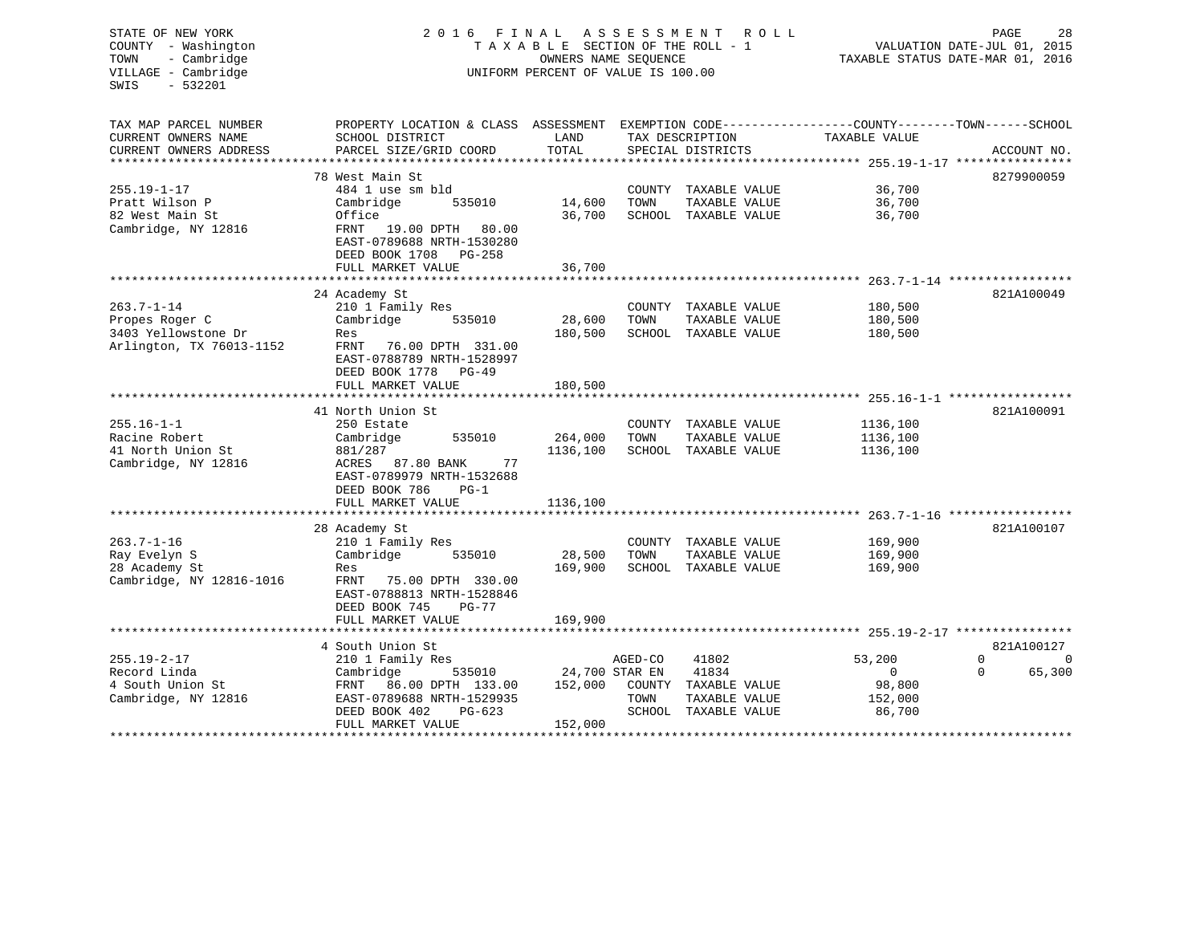| STATE OF NEW YORK<br>COUNTY - Washington<br>- Cambridge<br>TOWN<br>VILLAGE - Cambridge<br>$-532201$<br>SWIS | 2 0 1 6<br>FINAL<br>TAXABLE SECTION OF THE ROLL - 1<br>UNIFORM PERCENT OF VALUE IS 100.00                                                                  | R O L L<br>PAGE<br>VALUATION DATE-JUL 01, 2015<br>TAXABLE STATUS DATE-MAR 01, 2016 |                                      |                                                                                 |                                                  |                                     |
|-------------------------------------------------------------------------------------------------------------|------------------------------------------------------------------------------------------------------------------------------------------------------------|------------------------------------------------------------------------------------|--------------------------------------|---------------------------------------------------------------------------------|--------------------------------------------------|-------------------------------------|
| TAX MAP PARCEL NUMBER<br>CURRENT OWNERS NAME<br>CURRENT OWNERS ADDRESS                                      | PROPERTY LOCATION & CLASS ASSESSMENT EXEMPTION CODE----------------COUNTY-------TOWN------SCHOOL<br>SCHOOL DISTRICT<br>PARCEL SIZE/GRID COORD              | LAND<br>TOTAL                                                                      | TAX DESCRIPTION<br>SPECIAL DISTRICTS |                                                                                 | TAXABLE VALUE                                    | ACCOUNT NO.                         |
|                                                                                                             |                                                                                                                                                            |                                                                                    |                                      |                                                                                 |                                                  |                                     |
| $255.19 - 1 - 17$<br>Pratt Wilson P<br>82 West Main St<br>Cambridge, NY 12816                               | 78 West Main St<br>484 1 use sm bld<br>Cambridge<br>535010<br>Office<br>19.00 DPTH 80.00<br>FRNT<br>EAST-0789688 NRTH-1530280<br>DEED BOOK 1708 PG-258     | 14,600<br>36,700                                                                   | TOWN                                 | COUNTY TAXABLE VALUE<br>TAXABLE VALUE<br>SCHOOL TAXABLE VALUE                   | 36,700<br>36,700<br>36,700                       | 8279900059                          |
|                                                                                                             | FULL MARKET VALUE                                                                                                                                          | 36,700                                                                             |                                      |                                                                                 |                                                  |                                     |
| $263.7 - 1 - 14$<br>Propes Roger C<br>3403 Yellowstone Dr<br>Arlington, TX 76013-1152                       | 24 Academy St<br>210 1 Family Res<br>Cambridge<br>535010<br>Res<br>FRNT<br>76.00 DPTH 331.00                                                               | 28,600<br>180,500                                                                  | TOWN                                 | COUNTY TAXABLE VALUE<br>TAXABLE VALUE<br>SCHOOL TAXABLE VALUE                   | 180,500<br>180,500<br>180,500                    | 821A100049                          |
|                                                                                                             | EAST-0788789 NRTH-1528997<br>DEED BOOK 1778 PG-49<br>FULL MARKET VALUE<br>41 North Union St                                                                | 180,500                                                                            |                                      |                                                                                 |                                                  | 821A100091                          |
| $255.16 - 1 - 1$<br>Racine Robert<br>41 North Union St<br>Cambridge, NY 12816                               | 250 Estate<br>Cambridge<br>535010<br>881/287<br>ACRES 87.80 BANK<br>77<br>EAST-0789979 NRTH-1532688<br>DEED BOOK 786<br>$PG-1$                             | 264,000<br>1136,100                                                                | TOWN                                 | COUNTY TAXABLE VALUE<br>TAXABLE VALUE<br>SCHOOL TAXABLE VALUE                   | 1136,100<br>1136,100<br>1136,100                 |                                     |
|                                                                                                             | FULL MARKET VALUE                                                                                                                                          | 1136,100                                                                           |                                      |                                                                                 |                                                  |                                     |
| $263.7 - 1 - 16$<br>Ray Evelyn S<br>28 Academy St<br>Cambridge, NY 12816-1016                               | 28 Academy St<br>210 1 Family Res<br>Cambridge<br>535010<br>Res<br>FRNT<br>75.00 DPTH 330.00<br>EAST-0788813 NRTH-1528846<br>DEED BOOK 745<br><b>PG-77</b> | 28,500<br>169,900                                                                  | TOWN                                 | COUNTY TAXABLE VALUE<br>TAXABLE VALUE<br>SCHOOL TAXABLE VALUE                   | 169,900<br>169,900<br>169,900                    | 821A100107                          |
|                                                                                                             | FULL MARKET VALUE                                                                                                                                          | 169,900                                                                            |                                      |                                                                                 |                                                  |                                     |
|                                                                                                             | 4 South Union St                                                                                                                                           |                                                                                    |                                      |                                                                                 |                                                  | 821A100127                          |
| $255.19 - 2 - 17$<br>Record Linda<br>4 South Union St<br>Cambridge, NY 12816                                | 210 1 Family Res<br>Cambridge<br>535010<br>FRNT<br>86.00 DPTH 133.00<br>EAST-0789688 NRTH-1529935<br>DEED BOOK 402<br>PG-623<br>FULL MARKET VALUE          | 24,700 STAR EN<br>152,000<br>152,000                                               | AGED-CO<br>TOWN                      | 41802<br>41834<br>COUNTY TAXABLE VALUE<br>TAXABLE VALUE<br>SCHOOL TAXABLE VALUE | 53,200<br>$\circ$<br>98,800<br>152,000<br>86,700 | $\Omega$<br>0<br>65,300<br>$\Omega$ |
|                                                                                                             |                                                                                                                                                            | + + + + + + + + + + + + + + + + + + +                                              |                                      |                                                                                 |                                                  |                                     |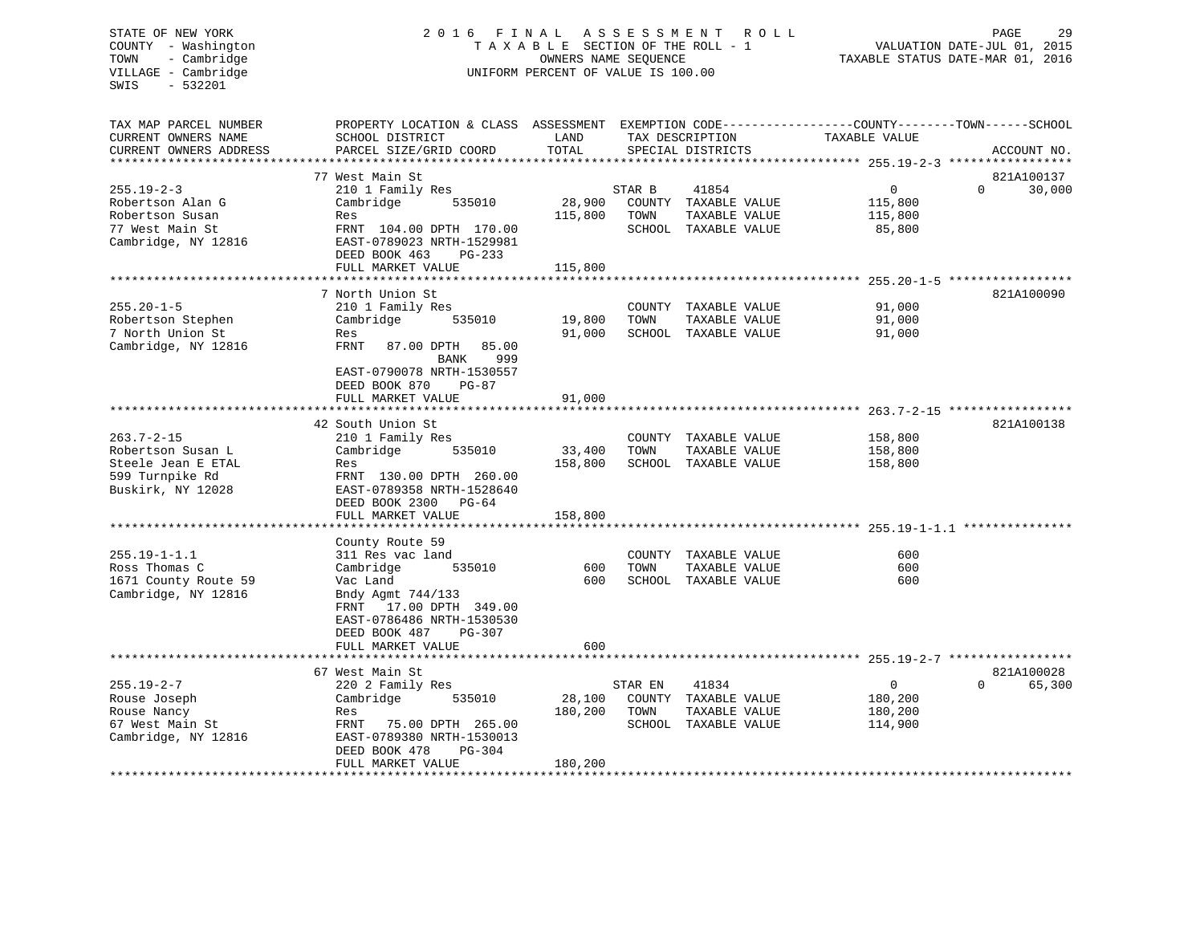#### COUNTY - Washington  $T A X A B L E$  SECTION OF THE ROLL - 1<br>TOWN - Cambridge  $\sim$  000NERS NAME SEQUENCE TOWN - Cambridge OWNERS NAME SEQUENCE TAXABLE STATUS DATE-MAR 01, 2016 UNIFORM PERCENT OF VALUE IS 100.00

| TAX MAP PARCEL NUMBER  | PROPERTY LOCATION & CLASS ASSESSMENT |         |         |                      | EXEMPTION CODE----------------COUNTY-------TOWN------SCHOOL |                    |
|------------------------|--------------------------------------|---------|---------|----------------------|-------------------------------------------------------------|--------------------|
| CURRENT OWNERS NAME    | SCHOOL DISTRICT                      | LAND    |         | TAX DESCRIPTION      | TAXABLE VALUE                                               |                    |
| CURRENT OWNERS ADDRESS | PARCEL SIZE/GRID COORD               | TOTAL   |         | SPECIAL DISTRICTS    |                                                             | ACCOUNT NO.        |
|                        |                                      |         |         |                      |                                                             |                    |
|                        | 77 West Main St                      |         |         |                      |                                                             | 821A100137         |
| $255.19 - 2 - 3$       | 210 1 Family Res                     |         | STAR B  | 41854                | $\mathbf 0$                                                 | $\Omega$<br>30,000 |
| Robertson Alan G       | Cambridge<br>535010                  | 28,900  |         | COUNTY TAXABLE VALUE | 115,800                                                     |                    |
| Robertson Susan        | Res                                  | 115,800 | TOWN    | TAXABLE VALUE        | 115,800                                                     |                    |
| 77 West Main St        | FRNT 104.00 DPTH 170.00              |         |         | SCHOOL TAXABLE VALUE | 85,800                                                      |                    |
|                        |                                      |         |         |                      |                                                             |                    |
| Cambridge, NY 12816    | EAST-0789023 NRTH-1529981            |         |         |                      |                                                             |                    |
|                        | DEED BOOK 463<br>PG-233              |         |         |                      |                                                             |                    |
|                        | FULL MARKET VALUE                    | 115,800 |         |                      |                                                             |                    |
|                        |                                      |         |         |                      |                                                             |                    |
|                        | 7 North Union St                     |         |         |                      |                                                             | 821A100090         |
| $255.20 - 1 - 5$       | 210 1 Family Res                     |         |         | COUNTY TAXABLE VALUE | 91,000                                                      |                    |
| Robertson Stephen      | Cambridge<br>535010                  | 19,800  | TOWN    | TAXABLE VALUE        | 91,000                                                      |                    |
| 7 North Union St       | Res                                  | 91,000  |         | SCHOOL TAXABLE VALUE | 91,000                                                      |                    |
| Cambridge, NY 12816    | 85.00<br>FRNT<br>87.00 DPTH          |         |         |                      |                                                             |                    |
|                        | 999<br>BANK                          |         |         |                      |                                                             |                    |
|                        | EAST-0790078 NRTH-1530557            |         |         |                      |                                                             |                    |
|                        | DEED BOOK 870<br>$PG-87$             |         |         |                      |                                                             |                    |
|                        | FULL MARKET VALUE                    | 91,000  |         |                      |                                                             |                    |
|                        |                                      |         |         |                      |                                                             |                    |
|                        | 42 South Union St                    |         |         |                      |                                                             | 821A100138         |
| $263.7 - 2 - 15$       | 210 1 Family Res                     |         |         | COUNTY TAXABLE VALUE | 158,800                                                     |                    |
|                        |                                      | 33,400  |         |                      |                                                             |                    |
| Robertson Susan L      | Cambridge<br>535010                  |         | TOWN    | TAXABLE VALUE        | 158,800                                                     |                    |
| Steele Jean E ETAL     | Res                                  | 158,800 |         | SCHOOL TAXABLE VALUE | 158,800                                                     |                    |
| 599 Turnpike Rd        | FRNT 130.00 DPTH 260.00              |         |         |                      |                                                             |                    |
| Buskirk, NY 12028      | EAST-0789358 NRTH-1528640            |         |         |                      |                                                             |                    |
|                        | DEED BOOK 2300 PG-64                 |         |         |                      |                                                             |                    |
|                        | FULL MARKET VALUE                    | 158,800 |         |                      |                                                             |                    |
|                        |                                      |         |         |                      |                                                             |                    |
|                        | County Route 59                      |         |         |                      |                                                             |                    |
| $255.19 - 1 - 1.1$     | 311 Res vac land                     |         |         | COUNTY TAXABLE VALUE | 600                                                         |                    |
| Ross Thomas C          | Cambridge<br>535010                  | 600     | TOWN    | TAXABLE VALUE        | 600                                                         |                    |
| 1671 County Route 59   | Vac Land                             | 600     |         | SCHOOL TAXABLE VALUE | 600                                                         |                    |
| Cambridge, NY 12816    | Bndy Agmt 744/133                    |         |         |                      |                                                             |                    |
|                        | FRNT 17.00 DPTH 349.00               |         |         |                      |                                                             |                    |
|                        | EAST-0786486 NRTH-1530530            |         |         |                      |                                                             |                    |
|                        | DEED BOOK 487<br>PG-307              |         |         |                      |                                                             |                    |
|                        | FULL MARKET VALUE                    | 600     |         |                      |                                                             |                    |
|                        |                                      |         |         |                      |                                                             |                    |
|                        | 67 West Main St                      |         |         |                      |                                                             | 821A100028         |
| $255.19 - 2 - 7$       | 220 2 Family Res                     |         | STAR EN | 41834                | $\mathbf{0}$                                                | $\Omega$<br>65,300 |
|                        |                                      |         |         |                      |                                                             |                    |
| Rouse Joseph           | Cambridge<br>535010                  | 28,100  |         | COUNTY TAXABLE VALUE | 180,200                                                     |                    |
| Rouse Nancy            | Res                                  | 180,200 | TOWN    | TAXABLE VALUE        | 180,200                                                     |                    |
| 67 West Main St        | FRNT<br>75.00 DPTH 265.00            |         |         | SCHOOL TAXABLE VALUE | 114,900                                                     |                    |
| Cambridge, NY 12816    | EAST-0789380 NRTH-1530013            |         |         |                      |                                                             |                    |
|                        | DEED BOOK 478<br>$PG-304$            |         |         |                      |                                                             |                    |
|                        | FULL MARKET VALUE                    | 180,200 |         |                      |                                                             |                    |
|                        |                                      |         |         |                      |                                                             |                    |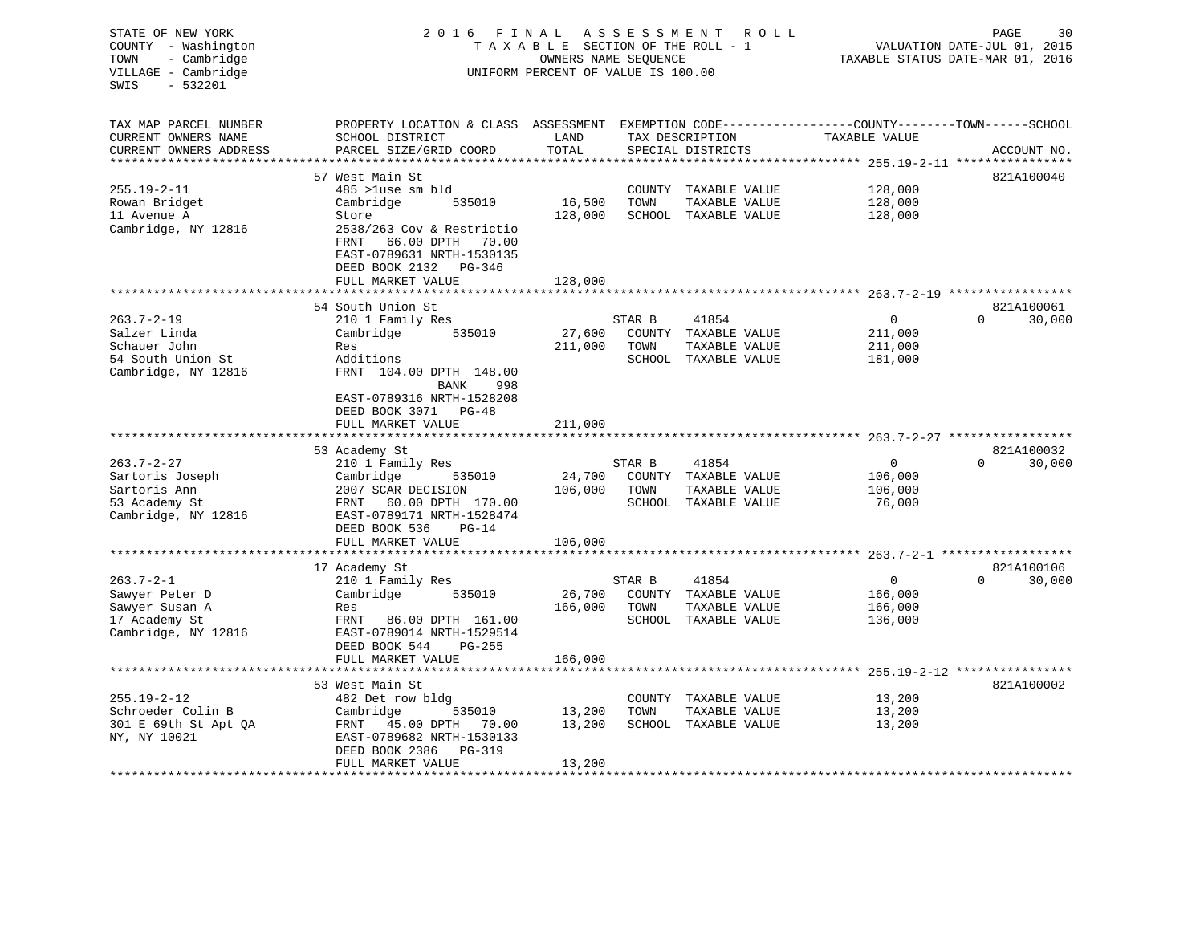| STATE OF NEW YORK<br>COUNTY - Washington<br>- Cambridge<br>TOWN<br>VILLAGE - Cambridge<br>$-532201$<br>SWIS | 2016 FINAL<br>ASSESSMENT ROLL<br>TAXABLE SECTION OF THE ROLL - 1<br>OWNERS NAME SEQUENCE<br>UNIFORM PERCENT OF VALUE IS 100.00 |                   |                  |                                       |                                                                               | PAGE<br>30<br>VALUATION DATE-JUL 01, 2015<br>TAXABLE STATUS DATE-MAR 01, 2016 |  |  |
|-------------------------------------------------------------------------------------------------------------|--------------------------------------------------------------------------------------------------------------------------------|-------------------|------------------|---------------------------------------|-------------------------------------------------------------------------------|-------------------------------------------------------------------------------|--|--|
| TAX MAP PARCEL NUMBER<br>CURRENT OWNERS NAME<br>CURRENT OWNERS ADDRESS                                      | PROPERTY LOCATION & CLASS ASSESSMENT<br>SCHOOL DISTRICT<br>PARCEL SIZE/GRID COORD                                              | LAND<br>TOTAL     |                  | TAX DESCRIPTION<br>SPECIAL DISTRICTS  | EXEMPTION CODE-----------------COUNTY-------TOWN------SCHOOL<br>TAXABLE VALUE | ACCOUNT NO.                                                                   |  |  |
|                                                                                                             |                                                                                                                                | **************    |                  |                                       |                                                                               |                                                                               |  |  |
|                                                                                                             | 57 West Main St                                                                                                                |                   |                  |                                       |                                                                               | 821A100040                                                                    |  |  |
| $255.19 - 2 - 11$                                                                                           | 485 >luse sm bld                                                                                                               |                   | COUNTY           | TAXABLE VALUE                         | 128,000                                                                       |                                                                               |  |  |
| Rowan Bridget                                                                                               | 535010<br>Cambridge                                                                                                            | 16,500            | TOWN             | TAXABLE VALUE                         | 128,000                                                                       |                                                                               |  |  |
| 11 Avenue A<br>Cambridge, NY 12816                                                                          | Store<br>2538/263 Cov & Restrictio<br>66.00 DPTH 70.00<br>FRNT<br>EAST-0789631 NRTH-1530135<br>DEED BOOK 2132 PG-346           | 128,000           |                  | SCHOOL TAXABLE VALUE                  | 128,000                                                                       |                                                                               |  |  |
|                                                                                                             | FULL MARKET VALUE                                                                                                              | 128,000           |                  |                                       |                                                                               |                                                                               |  |  |
|                                                                                                             |                                                                                                                                |                   |                  |                                       |                                                                               |                                                                               |  |  |
|                                                                                                             | 54 South Union St                                                                                                              |                   |                  |                                       |                                                                               | 821A100061                                                                    |  |  |
| $263.7 - 2 - 19$                                                                                            | 210 1 Family Res                                                                                                               |                   | STAR B           | 41854                                 | $\overline{0}$                                                                | $\Omega$<br>30,000                                                            |  |  |
| Salzer Linda<br>Schauer John                                                                                | 535010<br>Cambridge<br>Res                                                                                                     | 27,600<br>211,000 | TOWN             | COUNTY TAXABLE VALUE<br>TAXABLE VALUE | 211,000<br>211,000                                                            |                                                                               |  |  |
| 54 South Union St                                                                                           | Additions                                                                                                                      |                   |                  | SCHOOL TAXABLE VALUE                  | 181,000                                                                       |                                                                               |  |  |
| Cambridge, NY 12816                                                                                         | FRNT 104.00 DPTH 148.00<br>BANK<br>998<br>EAST-0789316 NRTH-1528208<br>DEED BOOK 3071 PG-48                                    |                   |                  |                                       |                                                                               |                                                                               |  |  |
|                                                                                                             | FULL MARKET VALUE                                                                                                              | 211,000           |                  |                                       |                                                                               |                                                                               |  |  |
|                                                                                                             |                                                                                                                                |                   |                  |                                       | **************************************263.7-2-27 *****************            |                                                                               |  |  |
|                                                                                                             | 53 Academy St                                                                                                                  |                   |                  |                                       |                                                                               | 821A100032                                                                    |  |  |
| $263.7 - 2 - 27$                                                                                            | 210 1 Family Res                                                                                                               |                   | STAR B           | 41854                                 | $\mathbf 0$                                                                   | $\Omega$<br>30,000                                                            |  |  |
| Sartoris Joseph                                                                                             | Cambridge<br>535010                                                                                                            | 24,700            |                  | COUNTY TAXABLE VALUE                  | 106,000                                                                       |                                                                               |  |  |
| Sartoris Ann                                                                                                | 2007 SCAR DECISION                                                                                                             | 106,000           | TOWN             | TAXABLE VALUE<br>SCHOOL TAXABLE VALUE | 106,000                                                                       |                                                                               |  |  |
| 53 Academy St<br>Cambridge, NY 12816                                                                        | FRNT<br>60.00 DPTH 170.00<br>EAST-0789171 NRTH-1528474<br>DEED BOOK 536<br>$PG-14$                                             |                   |                  |                                       | 76,000                                                                        |                                                                               |  |  |
|                                                                                                             | FULL MARKET VALUE                                                                                                              | 106,000           |                  |                                       |                                                                               |                                                                               |  |  |
|                                                                                                             |                                                                                                                                |                   |                  |                                       |                                                                               |                                                                               |  |  |
|                                                                                                             | 17 Academy St                                                                                                                  |                   |                  |                                       |                                                                               | 821A100106                                                                    |  |  |
| $263.7 - 2 - 1$<br>Sawyer Peter D                                                                           | 210 1 Family Res<br>Cambridge<br>535010                                                                                        | 26,700            | STAR B<br>COUNTY | 41854<br>TAXABLE VALUE                | $\overline{0}$<br>166,000                                                     | 30,000                                                                        |  |  |
| Sawyer Susan A                                                                                              | Res                                                                                                                            | 166,000           | TOWN             | TAXABLE VALUE                         | 166,000                                                                       |                                                                               |  |  |
| 17 Academy St                                                                                               | FRNT<br>86.00 DPTH 161.00                                                                                                      |                   |                  | SCHOOL TAXABLE VALUE                  | 136,000                                                                       |                                                                               |  |  |
| Cambridge, NY 12816                                                                                         | EAST-0789014 NRTH-1529514<br>DEED BOOK 544<br>PG-255                                                                           |                   |                  |                                       |                                                                               |                                                                               |  |  |
|                                                                                                             | FULL MARKET VALUE<br>******************                                                                                        | 166,000           |                  |                                       | * * * * * * * * *                                                             | 255.19-2-12 ****************                                                  |  |  |
|                                                                                                             | 53 West Main St                                                                                                                |                   |                  |                                       |                                                                               | 821A100002                                                                    |  |  |
| $255.19 - 2 - 12$                                                                                           | 482 Det row bldg                                                                                                               |                   |                  | COUNTY TAXABLE VALUE                  | 13,200                                                                        |                                                                               |  |  |
| Schroeder Colin B                                                                                           | Cambridge<br>535010                                                                                                            | 13,200            | TOWN             | TAXABLE VALUE                         | 13,200                                                                        |                                                                               |  |  |
| 301 E 69th St Apt QA<br>NY, NY 10021                                                                        | FRNT 45.00 DPTH<br>70.00<br>EAST-0789682 NRTH-1530133<br>DEED BOOK 2386<br>PG-319                                              | 13,200            |                  | SCHOOL TAXABLE VALUE                  | 13,200                                                                        |                                                                               |  |  |
|                                                                                                             | FULL MARKET VALUE                                                                                                              | 13,200            |                  |                                       |                                                                               |                                                                               |  |  |
|                                                                                                             |                                                                                                                                |                   |                  |                                       |                                                                               |                                                                               |  |  |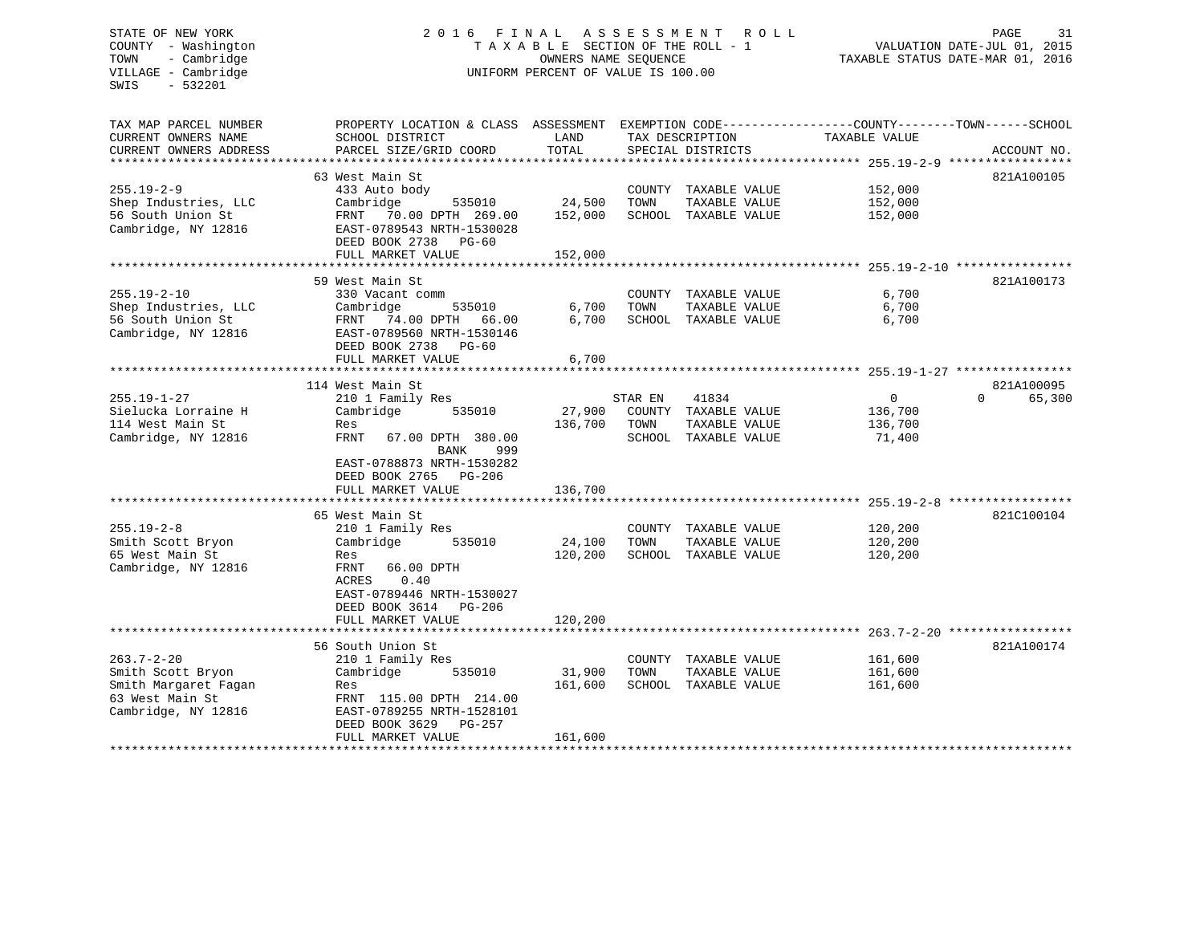#### STATE OF NEW YORK 2 0 1 6 F I N A L A S S E S S M E N T R O L L PAGE 31COUNTY - Washington  $T A X A B L E$  SECTION OF THE ROLL - 1<br>TOWN - Cambridge  $\sim$  0WNERS NAME SEQUENCE TOWN - Cambridge OWNERS NAME SEQUENCE TAXABLE STATUS DATE-MAR 01, 2016 UNIFORM PERCENT OF VALUE IS 100.00

VALUATION DATE-JUL 01, 2015

| TAX MAP PARCEL NUMBER<br>CURRENT OWNERS NAME<br>CURRENT OWNERS ADDRESS | PROPERTY LOCATION & CLASS ASSESSMENT<br>SCHOOL DISTRICT<br>PARCEL SIZE/GRID COORD | LAND<br>TOTAL  |         | TAX DESCRIPTION<br>SPECIAL DISTRICTS  | EXEMPTION CODE-----------------COUNTY-------TOWN------SCHOOL<br>TAXABLE VALUE | ACCOUNT NO.        |
|------------------------------------------------------------------------|-----------------------------------------------------------------------------------|----------------|---------|---------------------------------------|-------------------------------------------------------------------------------|--------------------|
|                                                                        |                                                                                   |                |         |                                       |                                                                               |                    |
|                                                                        | 63 West Main St                                                                   |                |         |                                       |                                                                               | 821A100105         |
| $255.19 - 2 - 9$                                                       | 433 Auto body                                                                     |                |         | COUNTY TAXABLE VALUE                  | 152,000                                                                       |                    |
| Shep Industries, LLC                                                   | Cambridge<br>535010                                                               | 24,500         | TOWN    | TAXABLE VALUE                         | 152,000                                                                       |                    |
| 56 South Union St<br>Cambridge, NY 12816                               | FRNT 70.00 DPTH 269.00<br>EAST-0789543 NRTH-1530028<br>DEED BOOK 2738<br>PG-60    | 152,000        |         | SCHOOL TAXABLE VALUE                  | 152,000                                                                       |                    |
|                                                                        | FULL MARKET VALUE                                                                 | 152,000        |         |                                       |                                                                               |                    |
|                                                                        |                                                                                   |                |         |                                       |                                                                               |                    |
|                                                                        | 59 West Main St                                                                   |                |         |                                       |                                                                               | 821A100173         |
| $255.19 - 2 - 10$                                                      | 330 Vacant comm                                                                   |                |         | COUNTY TAXABLE VALUE                  | 6,700                                                                         |                    |
| Shep Industries, LLC<br>56 South Union St                              | Cambridge<br>535010                                                               | 6,700<br>6,700 | TOWN    | TAXABLE VALUE                         | 6,700<br>6,700                                                                |                    |
| Cambridge, NY 12816                                                    | FRNT 74.00 DPTH 66.00<br>EAST-0789560 NRTH-1530146                                |                |         | SCHOOL TAXABLE VALUE                  |                                                                               |                    |
|                                                                        | DEED BOOK 2738 PG-60                                                              | 6,700          |         |                                       |                                                                               |                    |
|                                                                        | FULL MARKET VALUE                                                                 |                |         |                                       |                                                                               |                    |
|                                                                        | 114 West Main St                                                                  |                |         |                                       |                                                                               | 821A100095         |
| $255.19 - 1 - 27$                                                      | 210 1 Family Res                                                                  |                | STAR EN | 41834                                 | $\mathbf{0}$                                                                  | $\Omega$<br>65,300 |
| Sielucka Lorraine H                                                    | Cambridge<br>535010                                                               | 27,900         |         | COUNTY TAXABLE VALUE                  | 136,700                                                                       |                    |
| 114 West Main St                                                       | Res                                                                               | 136,700        | TOWN    | TAXABLE VALUE                         | 136,700                                                                       |                    |
| Cambridge, NY 12816                                                    | FRNT<br>67.00 DPTH 380.00                                                         |                |         | SCHOOL TAXABLE VALUE                  | 71,400                                                                        |                    |
|                                                                        | <b>BANK</b><br>999                                                                |                |         |                                       |                                                                               |                    |
|                                                                        | EAST-0788873 NRTH-1530282                                                         |                |         |                                       |                                                                               |                    |
|                                                                        | DEED BOOK 2765<br>$PG-206$                                                        |                |         |                                       |                                                                               |                    |
|                                                                        | FULL MARKET VALUE                                                                 | 136,700        |         |                                       |                                                                               |                    |
|                                                                        |                                                                                   |                |         |                                       |                                                                               |                    |
| $255.19 - 2 - 8$                                                       | 65 West Main St                                                                   |                |         |                                       | 120,200                                                                       | 821C100104         |
| Smith Scott Bryon                                                      | 210 1 Family Res<br>Cambridge<br>535010                                           | 24,100         | TOWN    | COUNTY TAXABLE VALUE<br>TAXABLE VALUE | 120,200                                                                       |                    |
| 65 West Main St                                                        | Res                                                                               | 120,200        |         | SCHOOL TAXABLE VALUE                  | 120,200                                                                       |                    |
| Cambridge, NY 12816                                                    | FRNT<br>66.00 DPTH                                                                |                |         |                                       |                                                                               |                    |
|                                                                        | 0.40<br>ACRES                                                                     |                |         |                                       |                                                                               |                    |
|                                                                        | EAST-0789446 NRTH-1530027                                                         |                |         |                                       |                                                                               |                    |
|                                                                        | DEED BOOK 3614<br>PG-206                                                          |                |         |                                       |                                                                               |                    |
|                                                                        | FULL MARKET VALUE                                                                 | 120,200        |         |                                       |                                                                               |                    |
|                                                                        |                                                                                   |                |         |                                       |                                                                               |                    |
|                                                                        | 56 South Union St                                                                 |                |         |                                       |                                                                               | 821A100174         |
| $263.7 - 2 - 20$                                                       | 210 1 Family Res                                                                  |                |         | COUNTY TAXABLE VALUE                  | 161,600                                                                       |                    |
| Smith Scott Bryon                                                      | Cambridge<br>535010                                                               | 31,900         | TOWN    | TAXABLE VALUE                         | 161,600                                                                       |                    |
| Smith Margaret Fagan                                                   | Res                                                                               | 161,600        |         | SCHOOL TAXABLE VALUE                  | 161,600                                                                       |                    |
| 63 West Main St                                                        | FRNT 115.00 DPTH 214.00                                                           |                |         |                                       |                                                                               |                    |
| Cambridge, NY 12816                                                    | EAST-0789255 NRTH-1528101                                                         |                |         |                                       |                                                                               |                    |
|                                                                        | DEED BOOK 3629<br><b>PG-257</b>                                                   |                |         |                                       |                                                                               |                    |
|                                                                        | FULL MARKET VALUE                                                                 | 161,600        |         |                                       |                                                                               |                    |
|                                                                        |                                                                                   |                |         |                                       |                                                                               |                    |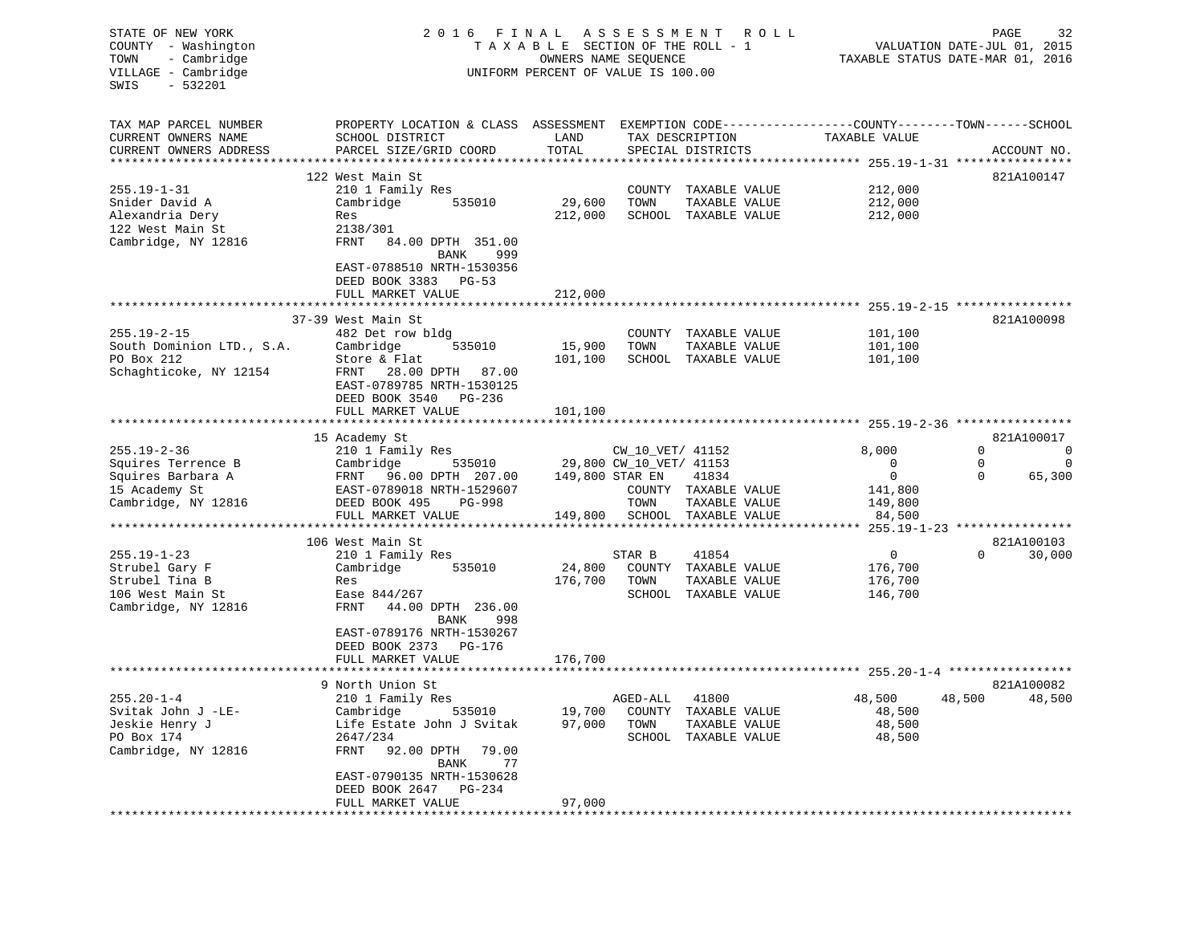| STATE OF NEW YORK<br>COUNTY - Washington<br>- Cambridge<br>TOWN<br>VILLAGE - Cambridge<br>SWIS<br>$-532201$ | 2016 FINAL ASSESSMENT<br>ROLL<br>TAXABLE SECTION OF THE ROLL - 1<br>OWNERS NAME SEQUENCE<br>UNIFORM PERCENT OF VALUE IS 100.00 |                   |                         |                                | PAGE<br>32<br>VALUATION DATE-JUL 01, 2015<br>TAXABLE STATUS DATE-MAR 01, 2016 |                               |             |              |
|-------------------------------------------------------------------------------------------------------------|--------------------------------------------------------------------------------------------------------------------------------|-------------------|-------------------------|--------------------------------|-------------------------------------------------------------------------------|-------------------------------|-------------|--------------|
| TAX MAP PARCEL NUMBER                                                                                       | PROPERTY LOCATION & CLASS ASSESSMENT                                                                                           |                   |                         |                                | EXEMPTION CODE-----------------COUNTY-------TOWN------SCHOOL                  |                               |             |              |
| CURRENT OWNERS NAME                                                                                         | SCHOOL DISTRICT                                                                                                                | LAND              |                         | TAX DESCRIPTION                | TAXABLE VALUE                                                                 |                               |             |              |
| CURRENT OWNERS ADDRESS                                                                                      | PARCEL SIZE/GRID COORD                                                                                                         | TOTAL             |                         | SPECIAL DISTRICTS              |                                                                               |                               |             | ACCOUNT NO.  |
| *****************                                                                                           |                                                                                                                                | *********         |                         |                                | ********* 255.19-1-31 ****                                                    |                               |             | ************ |
|                                                                                                             | 122 West Main St                                                                                                               |                   |                         |                                |                                                                               |                               |             | 821A100147   |
| $255.19 - 1 - 31$<br>Snider David A                                                                         | 210 1 Family Res<br>Cambridge<br>535010                                                                                        | 29,600            | COUNTY<br>TOWN          | TAXABLE VALUE<br>TAXABLE VALUE |                                                                               | 212,000<br>212,000            |             |              |
| Alexandria Dery                                                                                             | Res                                                                                                                            | 212,000           |                         | SCHOOL TAXABLE VALUE           |                                                                               | 212,000                       |             |              |
| 122 West Main St                                                                                            | 2138/301                                                                                                                       |                   |                         |                                |                                                                               |                               |             |              |
| Cambridge, NY 12816                                                                                         | 84.00 DPTH 351.00<br>FRNT                                                                                                      |                   |                         |                                |                                                                               |                               |             |              |
|                                                                                                             | BANK<br>999<br>EAST-0788510 NRTH-1530356<br>DEED BOOK 3383 PG-53<br>FULL MARKET VALUE                                          | 212,000           |                         |                                | ************** 255.19-2-15 *****************                                  |                               |             |              |
|                                                                                                             | 37-39 West Main St                                                                                                             |                   |                         |                                |                                                                               |                               |             | 821A100098   |
| $255.19 - 2 - 15$                                                                                           | 482 Det row bldg                                                                                                               |                   |                         | COUNTY TAXABLE VALUE           |                                                                               | 101,100                       |             |              |
| South Dominion LTD., S.A.                                                                                   | 535010<br>Cambridge                                                                                                            | 15,900            | TOWN                    | TAXABLE VALUE                  |                                                                               | 101,100                       |             |              |
| PO Box 212                                                                                                  | Store & Flat                                                                                                                   | 101,100           |                         | SCHOOL TAXABLE VALUE           |                                                                               | 101,100                       |             |              |
| Schaghticoke, NY 12154                                                                                      | FRNT<br>28.00 DPTH 87.00<br>EAST-0789785 NRTH-1530125<br>DEED BOOK 3540 PG-236<br>FULL MARKET VALUE                            | 101,100           |                         |                                |                                                                               | 255.19-2-36 ***************** |             |              |
|                                                                                                             | 15 Academy St                                                                                                                  |                   |                         |                                |                                                                               |                               |             | 821A100017   |
| $255.19 - 2 - 36$                                                                                           | 210 1 Family Res                                                                                                               |                   | CW_10_VET/ 41152        |                                |                                                                               | 8,000                         | 0           | $\mathbf 0$  |
| Squires Terrence B                                                                                          | Cambridge<br>535010                                                                                                            |                   | 29,800 CW_10_VET/ 41153 |                                |                                                                               | $\mathbf{0}$                  | $\mathbf 0$ | $\mathbf 0$  |
| Squires Barbara A                                                                                           | FRNT<br>96.00 DPTH 207.00                                                                                                      | 149,800 STAR EN   |                         | 41834                          |                                                                               | $\mathbf 0$                   | $\Omega$    | 65,300       |
| 15 Academy St                                                                                               | EAST-0789018 NRTH-1529607                                                                                                      |                   | COUNTY                  | TAXABLE VALUE                  |                                                                               | 141,800                       |             |              |
| Cambridge, NY 12816                                                                                         | DEED BOOK 495<br>PG-998                                                                                                        |                   | TOWN                    | TAXABLE VALUE                  |                                                                               | 149,800                       |             |              |
|                                                                                                             | FULL MARKET VALUE                                                                                                              | 149,800           | SCHOOL                  | TAXABLE VALUE                  |                                                                               | 84,500                        |             |              |
|                                                                                                             | ***********************                                                                                                        |                   |                         |                                |                                                                               | 255.19-1-23 ***************** |             |              |
|                                                                                                             | 106 West Main St                                                                                                               |                   |                         |                                |                                                                               |                               |             | 821A100103   |
| $255.19 - 1 - 23$                                                                                           | 210 1 Family Res<br>535010                                                                                                     |                   | STAR B                  | 41854                          |                                                                               | $\overline{0}$                | $\Omega$    | 30,000       |
| Strubel Gary F<br>Strubel Tina B                                                                            | Cambridge<br>Res                                                                                                               | 24,800<br>176,700 | COUNTY<br>TOWN          | TAXABLE VALUE<br>TAXABLE VALUE |                                                                               | 176,700<br>176,700            |             |              |
| 106 West Main St                                                                                            | Ease 844/267                                                                                                                   |                   |                         | SCHOOL TAXABLE VALUE           |                                                                               | 146,700                       |             |              |
| Cambridge, NY 12816                                                                                         | FRNT<br>44.00 DPTH 236.00                                                                                                      |                   |                         |                                |                                                                               |                               |             |              |
|                                                                                                             | 998<br>BANK<br>EAST-0789176 NRTH-1530267<br>DEED BOOK 2373<br>PG-176<br>FULL MARKET VALUE                                      | 176,700           |                         |                                |                                                                               |                               |             |              |
|                                                                                                             | *****************                                                                                                              | *********         |                         |                                |                                                                               |                               |             |              |
|                                                                                                             | 9 North Union St                                                                                                               |                   |                         |                                |                                                                               |                               |             | 821A100082   |
| $255.20 - 1 - 4$                                                                                            | 210 1 Family Res                                                                                                               |                   | AGED-ALL                | 41800                          |                                                                               | 48,500                        | 48,500      | 48,500       |
| Svitak John J -LE-                                                                                          | Cambridge<br>535010                                                                                                            | 19,700            | COUNTY                  | TAXABLE VALUE                  |                                                                               | 48,500                        |             |              |
| Jeskie Henry J                                                                                              | Life Estate John J Svitak                                                                                                      | 97,000            | TOWN                    | TAXABLE VALUE                  |                                                                               | 48,500                        |             |              |
| PO Box 174                                                                                                  | 2647/234                                                                                                                       |                   |                         | SCHOOL TAXABLE VALUE           |                                                                               | 48,500                        |             |              |
| Cambridge, NY 12816                                                                                         | FRNT<br>92.00 DPTH<br>79.00<br>77                                                                                              |                   |                         |                                |                                                                               |                               |             |              |
|                                                                                                             | BANK<br>EAST-0790135 NRTH-1530628                                                                                              |                   |                         |                                |                                                                               |                               |             |              |
|                                                                                                             | PG-234<br>DEED BOOK 2647                                                                                                       |                   |                         |                                |                                                                               |                               |             |              |
|                                                                                                             | FULL MARKET VALUE                                                                                                              | 97,000            |                         |                                |                                                                               |                               |             |              |
|                                                                                                             |                                                                                                                                |                   |                         |                                |                                                                               |                               |             |              |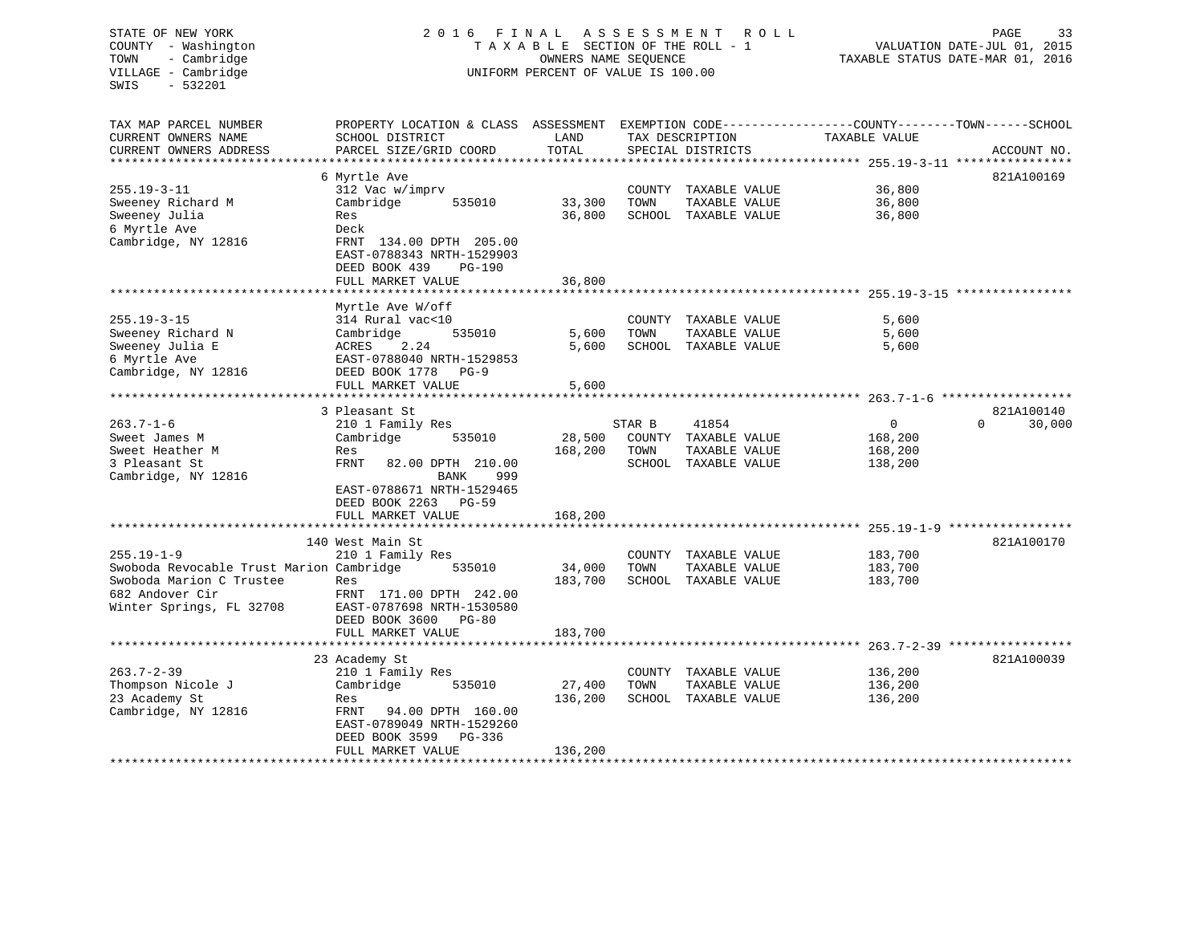# STATE OF NEW YORK 2 0 1 6 F I N A L A S S E S S M E N T R O L L PAGE 33 COUNTY - Washington T A X A B L E SECTION OF THE ROLL - 1 VALUATION DATE-JUL 01, 2015 TOWN - Cambridge OWNERS NAME SEQUENCE TAXABLE STATUS DATE-MAR 01, 2016 VILLAGE - Cambridge **UNIFORM PERCENT OF VALUE** IS 100.00

| TAX MAP PARCEL NUMBER<br>CURRENT OWNERS NAME | PROPERTY LOCATION & CLASS ASSESSMENT<br>SCHOOL DISTRICT | LAND                      |                | TAX DESCRIPTION                | EXEMPTION CODE-----------------COUNTY-------TOWN------SCHOOL<br>TAXABLE VALUE |                    |
|----------------------------------------------|---------------------------------------------------------|---------------------------|----------------|--------------------------------|-------------------------------------------------------------------------------|--------------------|
| CURRENT OWNERS ADDRESS                       | PARCEL SIZE/GRID COORD                                  | TOTAL                     |                | SPECIAL DISTRICTS              |                                                                               | ACCOUNT NO.        |
|                                              |                                                         |                           |                |                                |                                                                               |                    |
|                                              | 6 Myrtle Ave                                            |                           |                |                                |                                                                               | 821A100169         |
| $255.19 - 3 - 11$                            | 312 Vac w/imprv                                         |                           | COUNTY         | TAXABLE VALUE                  | 36,800                                                                        |                    |
| Sweeney Richard M                            | Cambridge<br>535010                                     | 33,300                    | TOWN           | TAXABLE VALUE                  | 36,800                                                                        |                    |
| Sweeney Julia                                | Res                                                     | 36,800                    |                | SCHOOL TAXABLE VALUE           | 36,800                                                                        |                    |
| 6 Myrtle Ave                                 | Deck                                                    |                           |                |                                |                                                                               |                    |
| Cambridge, NY 12816                          | FRNT 134.00 DPTH 205.00                                 |                           |                |                                |                                                                               |                    |
|                                              | EAST-0788343 NRTH-1529903                               |                           |                |                                |                                                                               |                    |
|                                              | DEED BOOK 439<br><b>PG-190</b>                          |                           |                |                                |                                                                               |                    |
|                                              | FULL MARKET VALUE                                       | 36,800                    |                |                                |                                                                               |                    |
|                                              | *************************                               | ***********               |                |                                | ********************************** 255.19-3-15 *******                        |                    |
|                                              | Myrtle Ave W/off                                        |                           |                |                                |                                                                               |                    |
| $255.19 - 3 - 15$                            | 314 Rural vac<10                                        |                           |                | COUNTY TAXABLE VALUE           | 5,600                                                                         |                    |
| Sweeney Richard N                            | Cambridge<br>535010                                     | 5,600                     | TOWN           | TAXABLE VALUE                  | 5,600                                                                         |                    |
| Sweeney Julia E                              | ACRES<br>2.24                                           | 5,600                     |                | SCHOOL TAXABLE VALUE           | 5,600                                                                         |                    |
| 6 Myrtle Ave                                 | EAST-0788040 NRTH-1529853                               |                           |                |                                |                                                                               |                    |
| Cambridge, NY 12816                          | DEED BOOK 1778<br>$PG-9$                                |                           |                |                                |                                                                               |                    |
|                                              | FULL MARKET VALUE<br>**********************             | 5,600                     |                |                                |                                                                               |                    |
|                                              |                                                         | * * * * * * * * * * * * * |                |                                |                                                                               |                    |
|                                              | 3 Pleasant St                                           |                           |                |                                |                                                                               | 821A100140         |
| $263.7 - 1 - 6$                              | 210 1 Family Res                                        |                           | STAR B         | 41854                          | $\mathbf{0}$                                                                  | $\Omega$<br>30,000 |
| Sweet James M<br>Sweet Heather M             | Cambridge<br>535010<br>Res                              | 28,500<br>168,200         | COUNTY<br>TOWN | TAXABLE VALUE<br>TAXABLE VALUE | 168,200<br>168,200                                                            |                    |
| 3 Pleasant St                                | FRNT<br>82.00 DPTH 210.00                               |                           |                | SCHOOL TAXABLE VALUE           | 138,200                                                                       |                    |
| Cambridge, NY 12816                          | BANK<br>999                                             |                           |                |                                |                                                                               |                    |
|                                              | EAST-0788671 NRTH-1529465                               |                           |                |                                |                                                                               |                    |
|                                              | DEED BOOK 2263<br><b>PG-59</b>                          |                           |                |                                |                                                                               |                    |
|                                              | FULL MARKET VALUE                                       | 168,200                   |                |                                |                                                                               |                    |
|                                              |                                                         |                           |                |                                |                                                                               |                    |
|                                              | 140 West Main St                                        |                           |                |                                |                                                                               | 821A100170         |
| $255.19 - 1 - 9$                             | 210 1 Family Res                                        |                           |                | COUNTY TAXABLE VALUE           | 183,700                                                                       |                    |
| Swoboda Revocable Trust Marion Cambridge     | 535010                                                  | 34,000                    | TOWN           | TAXABLE VALUE                  | 183,700                                                                       |                    |
| Swoboda Marion C Trustee                     | Res                                                     | 183,700                   |                | SCHOOL TAXABLE VALUE           | 183,700                                                                       |                    |
| 682 Andover Cir                              | FRNT 171.00 DPTH 242.00                                 |                           |                |                                |                                                                               |                    |
| Winter Springs, FL 32708                     | EAST-0787698 NRTH-1530580                               |                           |                |                                |                                                                               |                    |
|                                              | DEED BOOK 3600<br><b>PG-80</b>                          |                           |                |                                |                                                                               |                    |
|                                              | FULL MARKET VALUE                                       | 183,700                   |                |                                |                                                                               |                    |
|                                              |                                                         |                           |                |                                |                                                                               |                    |
|                                              | 23 Academy St                                           |                           |                |                                |                                                                               | 821A100039         |
| $263.7 - 2 - 39$                             | 210 1 Family Res                                        |                           |                | COUNTY TAXABLE VALUE           | 136,200                                                                       |                    |
| Thompson Nicole J                            | Cambridge<br>535010                                     | 27,400                    | TOWN           | TAXABLE VALUE                  | 136,200                                                                       |                    |
| 23 Academy St                                | Res                                                     | 136,200                   |                | SCHOOL TAXABLE VALUE           | 136,200                                                                       |                    |
| Cambridge, NY 12816                          | 94.00 DPTH 160.00<br>FRNT                               |                           |                |                                |                                                                               |                    |
|                                              | EAST-0789049 NRTH-1529260<br>DEED BOOK 3599<br>PG-336   |                           |                |                                |                                                                               |                    |
|                                              | FULL MARKET VALUE                                       | 136,200                   |                |                                |                                                                               |                    |
|                                              |                                                         |                           |                |                                |                                                                               |                    |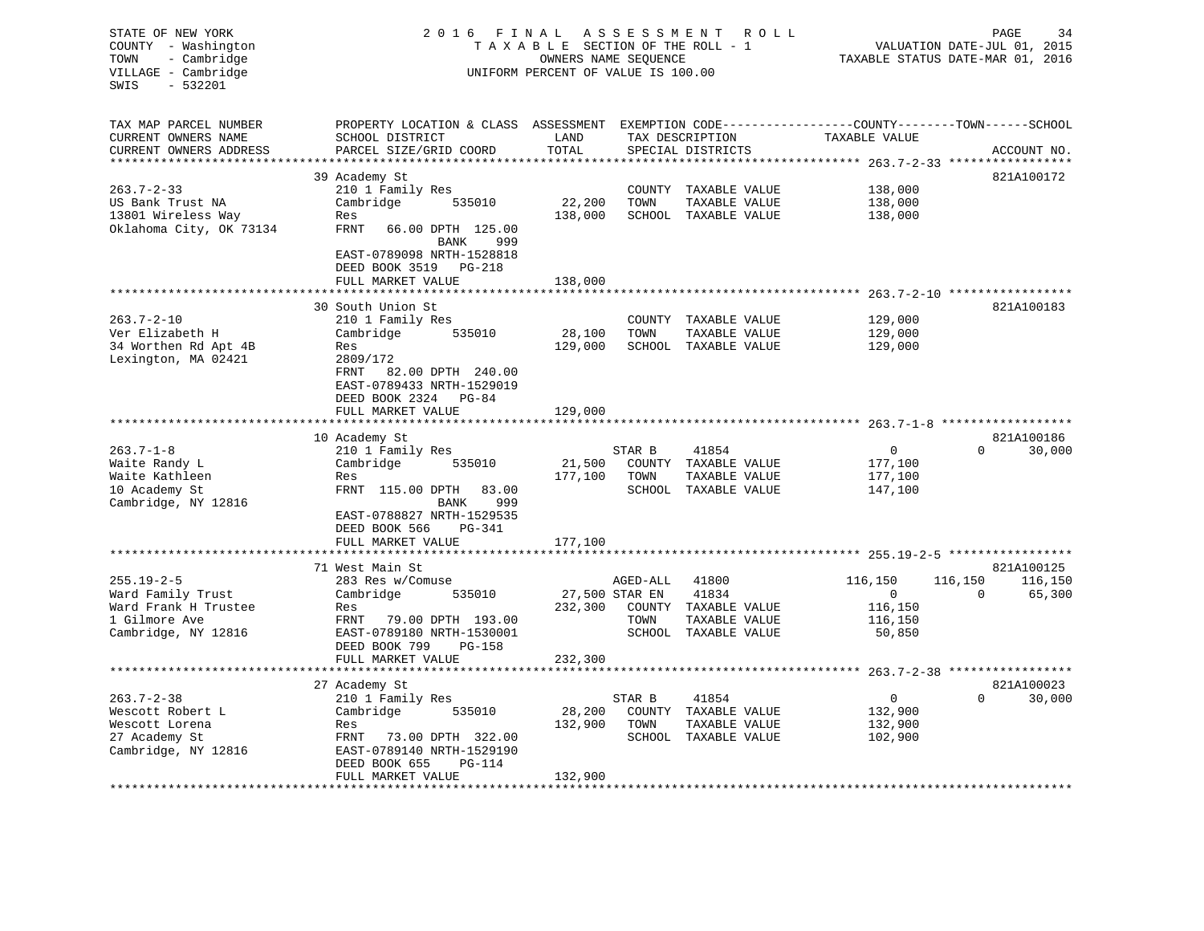| TAX MAP PARCEL NUMBER<br>EXEMPTION CODE-----------------COUNTY-------TOWN------SCHOOL<br>PROPERTY LOCATION & CLASS ASSESSMENT                                                       |  |
|-------------------------------------------------------------------------------------------------------------------------------------------------------------------------------------|--|
|                                                                                                                                                                                     |  |
| CURRENT OWNERS NAME<br>SCHOOL DISTRICT<br>LAND<br>TAX DESCRIPTION<br>TAXABLE VALUE<br>TOTAL<br>CURRENT OWNERS ADDRESS<br>PARCEL SIZE/GRID COORD<br>SPECIAL DISTRICTS<br>ACCOUNT NO. |  |
| **********************<br>* * * * * * * * * * * * * * *                                                                                                                             |  |
| 821A100172<br>39 Academy St                                                                                                                                                         |  |
| $263.7 - 2 - 33$<br>210 1 Family Res<br>138,000<br>COUNTY TAXABLE VALUE                                                                                                             |  |
| 22,200<br>US Bank Trust NA<br>Cambridge<br>TOWN<br>TAXABLE VALUE<br>138,000<br>535010                                                                                               |  |
| 138,000<br>13801 Wireless Way<br>SCHOOL TAXABLE VALUE<br>138,000<br>Res                                                                                                             |  |
| Oklahoma City, OK 73134<br>FRNT<br>66.00 DPTH 125.00<br>BANK<br>999                                                                                                                 |  |
| EAST-0789098 NRTH-1528818                                                                                                                                                           |  |
| DEED BOOK 3519 PG-218<br>FULL MARKET VALUE<br>138,000                                                                                                                               |  |
|                                                                                                                                                                                     |  |
| 30 South Union St<br>821A100183                                                                                                                                                     |  |
| $263.7 - 2 - 10$<br>210 1 Family Res<br>COUNTY TAXABLE VALUE<br>129,000                                                                                                             |  |
| Ver Elizabeth H<br>Cambridge<br>535010<br>28,100<br>TOWN<br>TAXABLE VALUE<br>129,000                                                                                                |  |
| 34 Worthen Rd Apt 4B<br>129,000<br>SCHOOL TAXABLE VALUE<br>129,000<br>Res                                                                                                           |  |
| Lexington, MA 02421<br>2809/172<br>FRNT<br>82.00 DPTH 240.00<br>EAST-0789433 NRTH-1529019                                                                                           |  |
| DEED BOOK 2324 PG-84                                                                                                                                                                |  |
| FULL MARKET VALUE<br>129,000                                                                                                                                                        |  |
|                                                                                                                                                                                     |  |
| 10 Academy St<br>821A100186<br>$\overline{0}$                                                                                                                                       |  |
| $263.7 - 1 - 8$<br>$\Omega$<br>30,000<br>210 1 Family Res<br>STAR B<br>41854<br>535010                                                                                              |  |
| Waite Randy L<br>Cambridge<br>21,500<br>COUNTY TAXABLE VALUE<br>177,100<br>Waite Kathleen<br>Res<br>177,100<br>TOWN<br>TAXABLE VALUE<br>177,100                                     |  |
| 10 Academy St<br>FRNT 115.00 DPTH<br>83.00<br>SCHOOL TAXABLE VALUE<br>147,100                                                                                                       |  |
| Cambridge, NY 12816<br>999<br>BANK                                                                                                                                                  |  |
| EAST-0788827 NRTH-1529535                                                                                                                                                           |  |
| DEED BOOK 566<br>PG-341                                                                                                                                                             |  |
| 177,100<br>FULL MARKET VALUE                                                                                                                                                        |  |
| ***********<br>****************************** 255.19-2-5 *****************                                                                                                          |  |
| 71 West Main St<br>821A100125<br>$255.19 - 2 - 5$<br>116,150<br>283 Res w/Comuse<br>AGED-ALL<br>41800<br>116,150<br>116,150                                                         |  |
| Ward Family Trust<br>Cambridge<br>27,500 STAR EN<br>41834<br>0<br>$\Omega$<br>65,300<br>535010                                                                                      |  |
| 232,300<br>116,150<br>Ward Frank H Trustee<br>COUNTY<br>Res<br>TAXABLE VALUE                                                                                                        |  |
| 1 Gilmore Ave<br>FRNT 79.00 DPTH 193.00<br>TOWN<br>TAXABLE VALUE<br>116,150                                                                                                         |  |
| Cambridge, NY 12816<br>EAST-0789180 NRTH-1530001<br>SCHOOL TAXABLE VALUE<br>50,850                                                                                                  |  |
| DEED BOOK 799<br>PG-158                                                                                                                                                             |  |
| FULL MARKET VALUE<br>232,300                                                                                                                                                        |  |
| ************************<br>***********************                                                                                                                                 |  |
| 27 Academy St<br>821A100023                                                                                                                                                         |  |
| $263.7 - 2 - 38$<br>210 1 Family Res<br>$\mathbf{0}$<br>$\Omega$<br>30,000<br>STAR B<br>41854                                                                                       |  |
| 28,200<br>Wescott Robert L<br>Cambridge<br>535010<br>COUNTY TAXABLE VALUE<br>132,900                                                                                                |  |
| 132,900<br>TOWN<br>Wescott Lorena<br>Res<br>TAXABLE VALUE<br>132,900                                                                                                                |  |
| SCHOOL TAXABLE VALUE<br>FRNT<br>73.00 DPTH 322.00<br>102,900<br>27 Academy St                                                                                                       |  |
| EAST-0789140 NRTH-1529190<br>Cambridge, NY 12816<br>DEED BOOK 655<br>PG-114                                                                                                         |  |
| 132,900<br>FULL MARKET VALUE                                                                                                                                                        |  |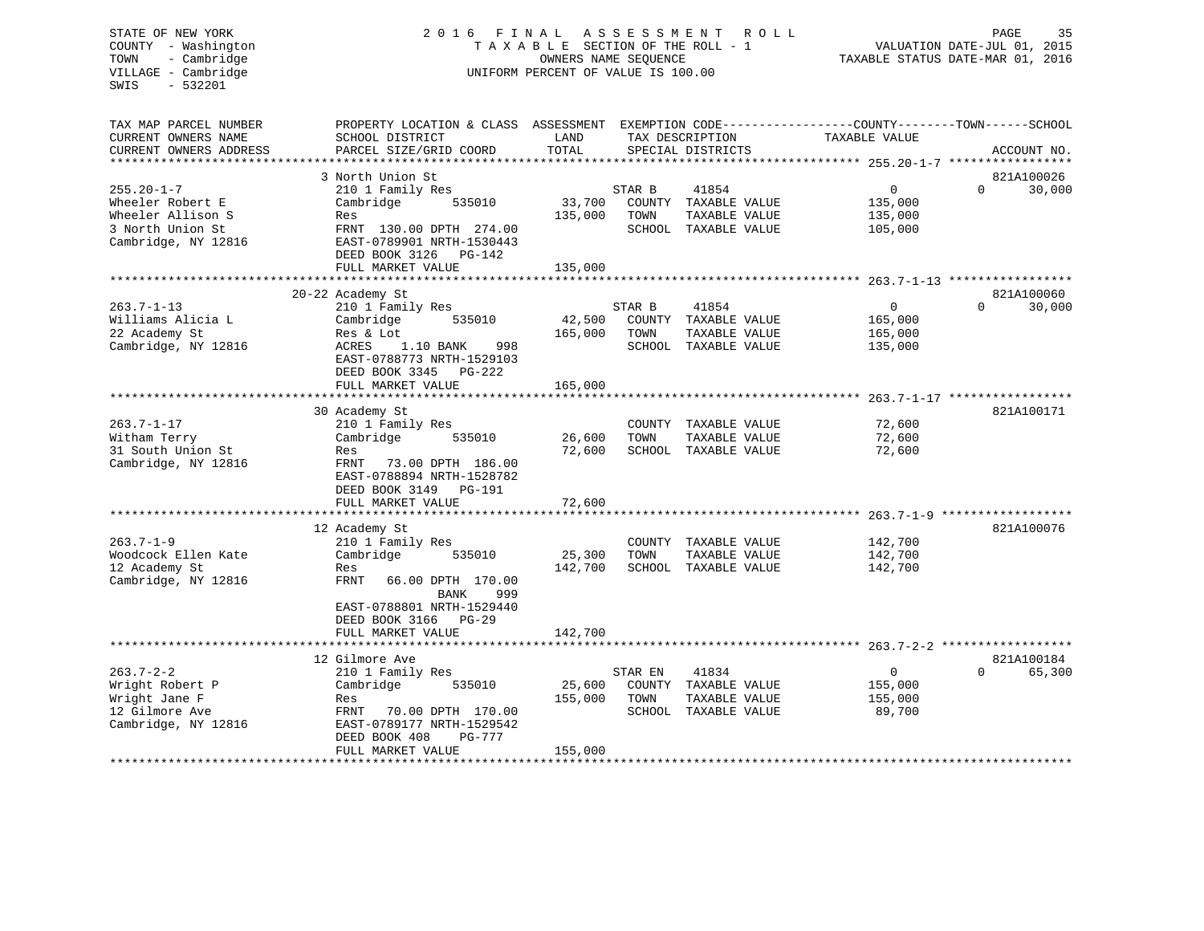# STATE OF NEW YORK 2 0 1 6 F I N A L A S S E S S M E N T R O L L PAGE 35 COUNTY - Washington T A X A B L E SECTION OF THE ROLL - 1 VALUATION DATE-JUL 01, 2015 TOWN - Cambridge OWNERS NAME SEQUENCE TAXABLE STATUS DATE-MAR 01, 2016 UNIFORM PERCENT OF VALUE IS 100.00

| TAX MAP PARCEL NUMBER                 | PROPERTY LOCATION & CLASS ASSESSMENT EXEMPTION CODE----------------COUNTY-------TOWN------SCHOOL |         |         |                      |                                                       |                        |
|---------------------------------------|--------------------------------------------------------------------------------------------------|---------|---------|----------------------|-------------------------------------------------------|------------------------|
| CURRENT OWNERS NAME                   | SCHOOL DISTRICT                                                                                  | LAND    |         | TAX DESCRIPTION      | TAXABLE VALUE                                         |                        |
| CURRENT OWNERS ADDRESS                | PARCEL SIZE/GRID COORD                                                                           | TOTAL   |         | SPECIAL DISTRICTS    |                                                       | ACCOUNT NO.            |
|                                       |                                                                                                  |         |         |                      |                                                       |                        |
|                                       | 3 North Union St                                                                                 |         |         |                      |                                                       | 821A100026<br>$\Omega$ |
| $255.20 - 1 - 7$                      | 210 1 Family Res                                                                                 |         | STAR B  | 41854                | $\Omega$                                              | 30,000                 |
| Wheeler Robert E                      | Cambridge<br>535010                                                                              | 33,700  |         | COUNTY TAXABLE VALUE | 135,000                                               |                        |
| Wheeler Allison S<br>3 North Union St | Res                                                                                              | 135,000 | TOWN    | TAXABLE VALUE        | 135,000                                               |                        |
| Cambridge, NY 12816                   | FRNT 130.00 DPTH 274.00<br>EAST-0789901 NRTH-1530443                                             |         |         | SCHOOL TAXABLE VALUE | 105,000                                               |                        |
|                                       | DEED BOOK 3126<br>PG-142                                                                         |         |         |                      |                                                       |                        |
|                                       | FULL MARKET VALUE                                                                                | 135,000 |         |                      |                                                       |                        |
|                                       | ****************************                                                                     |         |         |                      |                                                       |                        |
|                                       | 20-22 Academy St                                                                                 |         |         |                      |                                                       | 821A100060             |
| $263.7 - 1 - 13$                      | 210 1 Family Res                                                                                 |         | STAR B  | 41854                | $\mathbf 0$                                           | 30,000<br>$\Omega$     |
| Williams Alicia L                     | Cambridge<br>535010                                                                              | 42,500  |         | COUNTY TAXABLE VALUE | 165,000                                               |                        |
| 22 Academy St                         | Res & Lot                                                                                        | 165,000 | TOWN    | TAXABLE VALUE        | 165,000                                               |                        |
| Cambridge, NY 12816                   | ACRES<br>1.10 BANK<br>998                                                                        |         |         | SCHOOL TAXABLE VALUE | 135,000                                               |                        |
|                                       | EAST-0788773 NRTH-1529103                                                                        |         |         |                      |                                                       |                        |
|                                       | DEED BOOK 3345 PG-222                                                                            |         |         |                      |                                                       |                        |
|                                       | FULL MARKET VALUE                                                                                | 165,000 |         |                      |                                                       |                        |
|                                       |                                                                                                  |         |         |                      |                                                       |                        |
|                                       | 30 Academy St                                                                                    |         |         |                      |                                                       | 821A100171             |
| $263.7 - 1 - 17$                      | 210 1 Family Res                                                                                 |         |         | COUNTY TAXABLE VALUE | 72,600                                                |                        |
| Witham Terry                          | Cambridge<br>535010                                                                              | 26,600  | TOWN    | TAXABLE VALUE        | 72,600                                                |                        |
| 31 South Union St                     | Res                                                                                              | 72,600  |         | SCHOOL TAXABLE VALUE | 72,600                                                |                        |
| Cambridge, NY 12816                   | FRNT<br>73.00 DPTH 186.00                                                                        |         |         |                      |                                                       |                        |
|                                       | EAST-0788894 NRTH-1528782                                                                        |         |         |                      |                                                       |                        |
|                                       | DEED BOOK 3149 PG-191                                                                            |         |         |                      |                                                       |                        |
|                                       | FULL MARKET VALUE                                                                                | 72,600  |         |                      |                                                       |                        |
|                                       |                                                                                                  |         |         |                      | ************************************ 263.7-1-9 ****** |                        |
|                                       | 12 Academy St                                                                                    |         |         |                      |                                                       | 821A100076             |
| $263.7 - 1 - 9$                       | 210 1 Family Res                                                                                 |         |         | COUNTY TAXABLE VALUE | 142,700                                               |                        |
| Woodcock Ellen Kate                   | Cambridge<br>535010                                                                              | 25,300  | TOWN    | TAXABLE VALUE        | 142,700                                               |                        |
| 12 Academy St                         | Res                                                                                              | 142,700 |         | SCHOOL TAXABLE VALUE | 142,700                                               |                        |
| Cambridge, NY 12816                   | <b>FRNT</b><br>66.00 DPTH 170.00                                                                 |         |         |                      |                                                       |                        |
|                                       | <b>BANK</b><br>999                                                                               |         |         |                      |                                                       |                        |
|                                       | EAST-0788801 NRTH-1529440                                                                        |         |         |                      |                                                       |                        |
|                                       | DEED BOOK 3166 PG-29                                                                             |         |         |                      |                                                       |                        |
|                                       | FULL MARKET VALUE                                                                                | 142,700 |         |                      |                                                       |                        |
|                                       |                                                                                                  |         |         |                      |                                                       |                        |
|                                       | 12 Gilmore Ave                                                                                   |         |         |                      |                                                       | 821A100184             |
| $263.7 - 2 - 2$                       | 210 1 Family Res                                                                                 |         | STAR EN | 41834                | $\circ$                                               | 65,300<br><sup>0</sup> |
| Wright Robert P                       | Cambridge<br>535010                                                                              | 25,600  |         | COUNTY TAXABLE VALUE | 155,000                                               |                        |
| Wright Jane F                         | Res                                                                                              | 155,000 | TOWN    | TAXABLE VALUE        | 155,000                                               |                        |
| 12 Gilmore Ave                        | FRNT<br>70.00 DPTH 170.00                                                                        |         |         | SCHOOL TAXABLE VALUE | 89,700                                                |                        |
| Cambridge, NY 12816                   | EAST-0789177 NRTH-1529542                                                                        |         |         |                      |                                                       |                        |
|                                       | DEED BOOK 408<br>PG-777                                                                          |         |         |                      |                                                       |                        |
|                                       | FULL MARKET VALUE                                                                                | 155,000 |         |                      |                                                       |                        |
| *****************                     | ************************************                                                             |         |         |                      |                                                       |                        |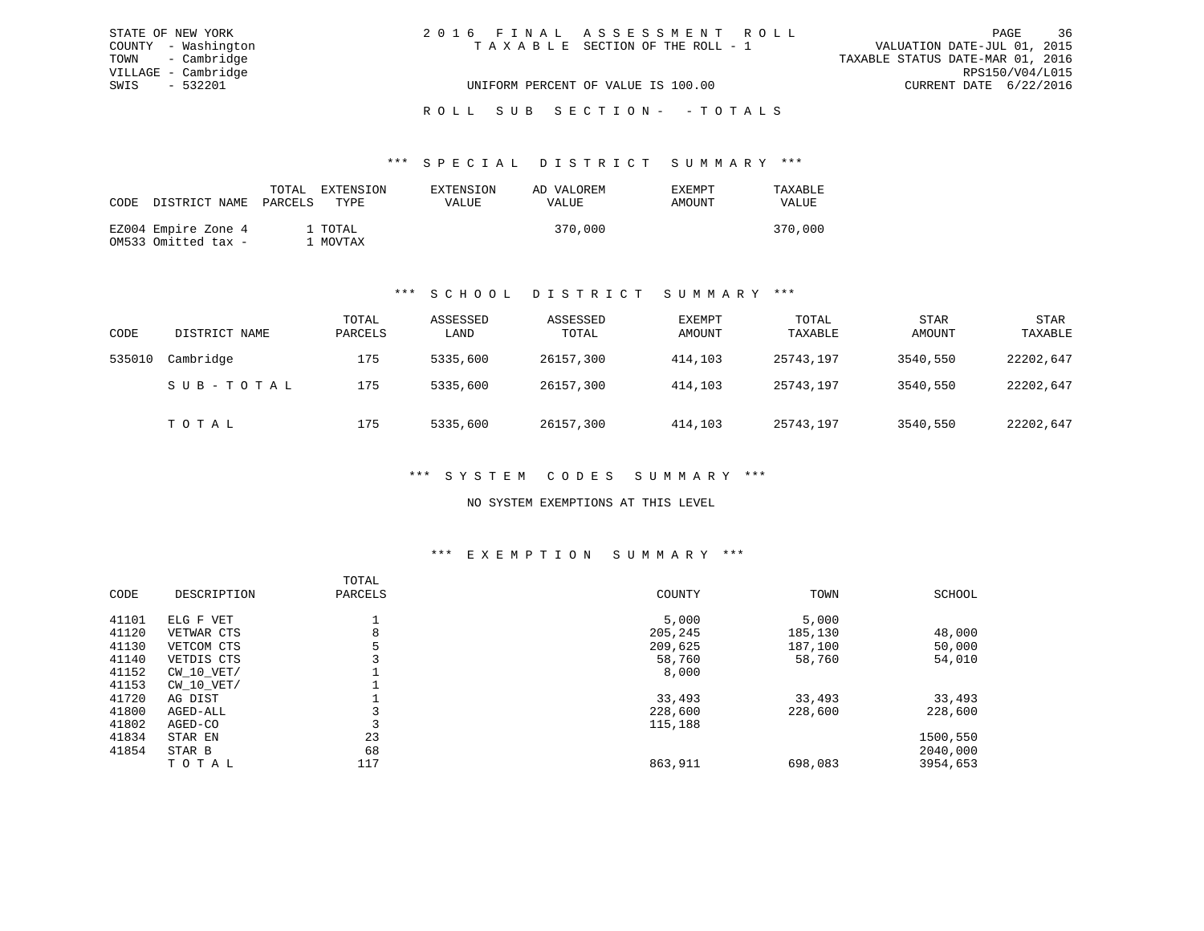| STATE OF NEW YORK   | 2016 FINAL ASSESSMENT ROLL         | 36<br>PAGE                       |
|---------------------|------------------------------------|----------------------------------|
| COUNTY - Washington | TAXABLE SECTION OF THE ROLL - 1    | VALUATION DATE-JUL 01, 2015      |
| TOWN - Cambridge    |                                    | TAXABLE STATUS DATE-MAR 01, 2016 |
| VILLAGE - Cambridge |                                    | RPS150/V04/L015                  |
| SWIS - 532201       | UNIFORM PERCENT OF VALUE IS 100.00 | CURRENT DATE 6/22/2016           |
|                     |                                    |                                  |

#### ROLL SUB SECTION - - TOTALS

#### \*\*\* S P E C I A L D I S T R I C T S U M M A R Y \*\*\*

| CODE DISTRICT NAME                         | TOTAL<br>PARCELS | EXTENSION<br>TYPE   | EXTENSION<br>VALUE | AD VALOREM<br>VALUE | <b>EXEMPT</b><br>AMOUNT | TAXABLE<br>VALUE |
|--------------------------------------------|------------------|---------------------|--------------------|---------------------|-------------------------|------------------|
| EZ004 Empire Zone 4<br>OM533 Omitted tax - |                  | 1 TOTAL<br>. MOVTAX |                    | 370,000             |                         | 370,000          |

#### \*\*\* S C H O O L D I S T R I C T S U M M A R Y \*\*\*

| CODE   | DISTRICT NAME | TOTAL<br>PARCELS | ASSESSED<br>LAND | ASSESSED<br>TOTAL | EXEMPT<br>AMOUNT | TOTAL<br>TAXABLE | <b>STAR</b><br>AMOUNT | STAR<br>TAXABLE |
|--------|---------------|------------------|------------------|-------------------|------------------|------------------|-----------------------|-----------------|
| 535010 | Cambridge     | 175              | 5335,600         | 26157,300         | 414,103          | 25743,197        | 3540,550              | 22202,647       |
|        | SUB-TOTAL     | 175              | 5335,600         | 26157,300         | 414,103          | 25743,197        | 3540,550              | 22202,647       |
|        | TOTAL         | 175              | 5335,600         | 26157,300         | 414,103          | 25743,197        | 3540,550              | 22202,647       |

#### \*\*\* S Y S T E M C O D E S S U M M A R Y \*\*\*

#### NO SYSTEM EXEMPTIONS AT THIS LEVEL

#### \*\*\* E X E M P T I O N S U M M A R Y \*\*\*

| CODE  | DESCRIPTION    | TOTAL<br>PARCELS | COUNTY  | TOWN    | SCHOOL   |
|-------|----------------|------------------|---------|---------|----------|
| 41101 | ELG F VET      |                  | 5,000   | 5,000   |          |
| 41120 | VETWAR CTS     | 8                | 205,245 | 185,130 | 48,000   |
| 41130 | VETCOM CTS     | 5                | 209,625 | 187,100 | 50,000   |
| 41140 | VETDIS CTS     |                  | 58,760  | 58,760  | 54,010   |
| 41152 | $CW$ 10 $VET/$ |                  | 8,000   |         |          |
| 41153 | $CW$ 10 $VET/$ |                  |         |         |          |
| 41720 | AG DIST        |                  | 33,493  | 33,493  | 33,493   |
| 41800 | AGED-ALL       |                  | 228,600 | 228,600 | 228,600  |
| 41802 | AGED-CO        |                  | 115,188 |         |          |
| 41834 | STAR EN        | 23               |         |         | 1500,550 |
| 41854 | STAR B         | 68               |         |         | 2040,000 |
|       | TOTAL          | 117              | 863,911 | 698,083 | 3954,653 |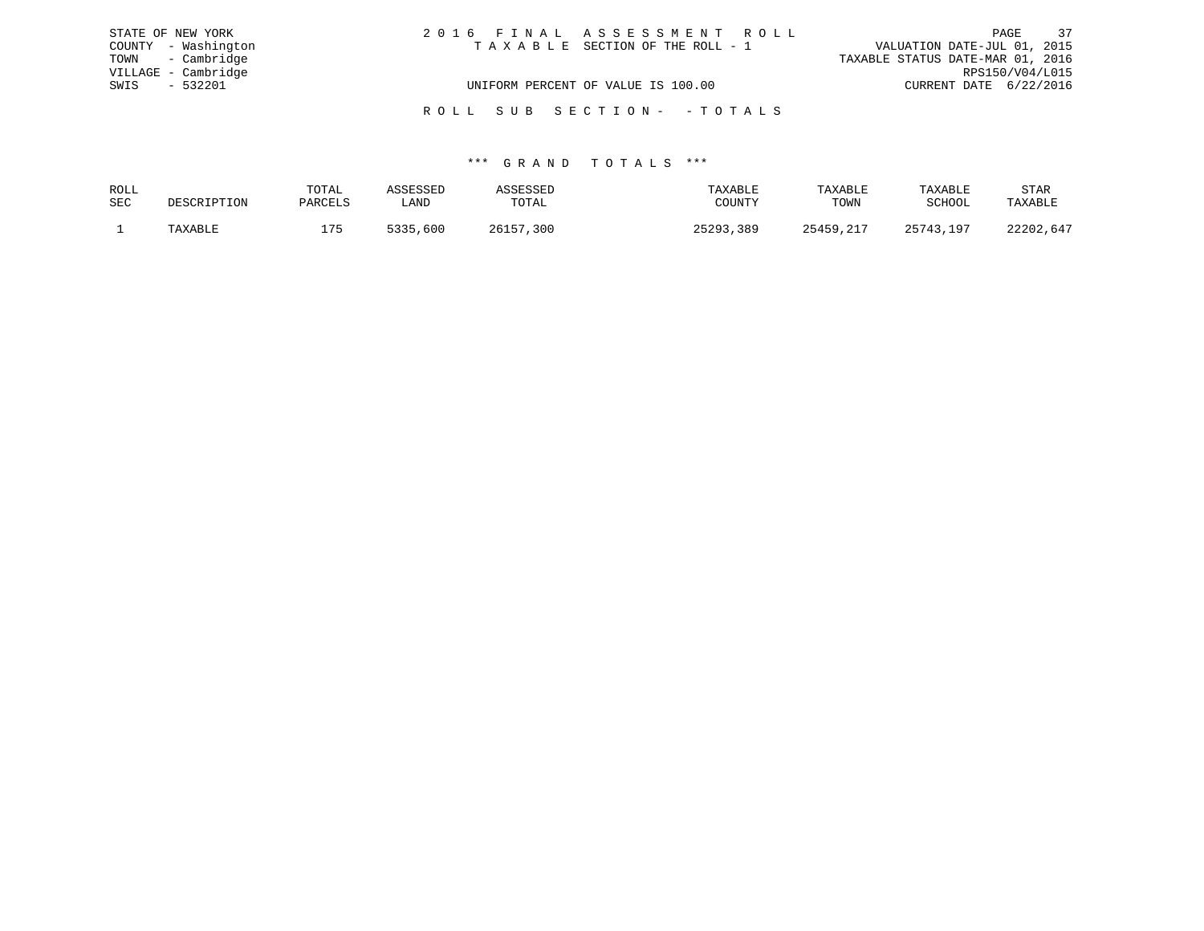| STATE OF NEW YORK   | 2016 FINAL ASSESSMENT ROLL         | 37<br>PAGE                       |
|---------------------|------------------------------------|----------------------------------|
| COUNTY - Washington | TAXABLE SECTION OF THE ROLL - 1    | VALUATION DATE-JUL 01, 2015      |
| TOWN - Cambridge    |                                    | TAXABLE STATUS DATE-MAR 01, 2016 |
| VILLAGE - Cambridge |                                    | RPS150/V04/L015                  |
| SWIS - 532201       | UNIFORM PERCENT OF VALUE IS 100.00 | CURRENT DATE 6/22/2016           |
|                     | ROLL SUB SECTION- - TOTALS         |                                  |

| ROLL       |                | TOTAL          |             |       |                  | TAXABLE | TAXABLE | STAR                   |
|------------|----------------|----------------|-------------|-------|------------------|---------|---------|------------------------|
| <b>SEC</b> | . ה הדר<br>ᆂᆂᆓ | PARCELS        | LAND        | TOTAL | <b>TUTATTO</b>   | TOWN    | ⊂∪⊓∪∪   | TAXABLE                |
|            |                | $\blacksquare$ | こつつし<br>600 | 300   | າ ⊏ າ ດ າ<br>389 |         | 197     | $\sim$ $\sim$<br>つつつのつ |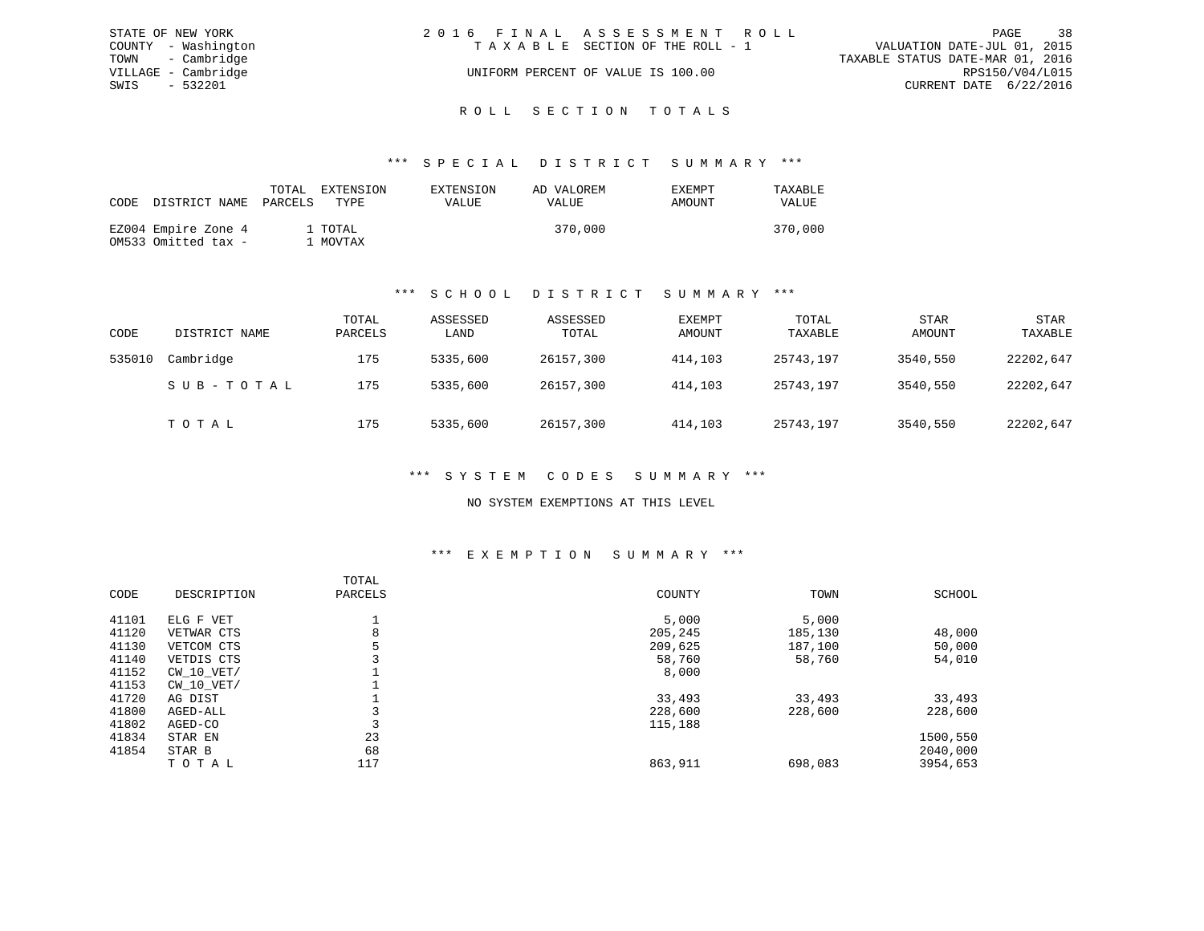| STATE OF NEW YORK   | 2016 FINAL ASSESSMENT ROLL         | 38<br>PAGE                       |
|---------------------|------------------------------------|----------------------------------|
| COUNTY - Washington | TAXABLE SECTION OF THE ROLL - 1    | VALUATION DATE-JUL 01, 2015      |
| TOWN - Cambridge    |                                    | TAXABLE STATUS DATE-MAR 01, 2016 |
| VILLAGE - Cambridge | UNIFORM PERCENT OF VALUE IS 100.00 | RPS150/V04/L015                  |
| SWIS<br>$-532201$   |                                    | CURRENT DATE 6/22/2016           |
|                     | ROLL SECTION TOTALS                |                                  |

| CODE DISTRICT NAME                         | TOTAL<br>PARCELS | EXTENSION<br>TYPE   | EXTENSION<br>VALUE | AD VALOREM<br>VALUE | <b>EXEMPT</b><br>AMOUNT | TAXABLE<br>VALUE |
|--------------------------------------------|------------------|---------------------|--------------------|---------------------|-------------------------|------------------|
| EZ004 Empire Zone 4<br>OM533 Omitted tax - |                  | 1 TOTAL<br>. MOVTAX |                    | 370,000             |                         | 370,000          |

## \*\*\* S C H O O L D I S T R I C T S U M M A R Y \*\*\*

| CODE   | DISTRICT NAME | TOTAL<br>PARCELS | ASSESSED<br>LAND | ASSESSED<br>TOTAL | EXEMPT<br>AMOUNT | TOTAL<br>TAXABLE | <b>STAR</b><br>AMOUNT | <b>STAR</b><br>TAXABLE |
|--------|---------------|------------------|------------------|-------------------|------------------|------------------|-----------------------|------------------------|
| 535010 | Cambridge     | 175              | 5335,600         | 26157,300         | 414,103          | 25743,197        | 3540,550              | 22202,647              |
|        | SUB-TOTAL     | 175              | 5335,600         | 26157,300         | 414,103          | 25743,197        | 3540,550              | 22202,647              |
|        | тотаь         | 175              | 5335,600         | 26157,300         | 414,103          | 25743,197        | 3540,550              | 22202,647              |

#### \*\*\* S Y S T E M C O D E S S U M M A R Y \*\*\*

### NO SYSTEM EXEMPTIONS AT THIS LEVEL

## \*\*\* E X E M P T I O N S U M M A R Y \*\*\*

|       |                | TOTAL   |         |         |          |
|-------|----------------|---------|---------|---------|----------|
| CODE  | DESCRIPTION    | PARCELS | COUNTY  | TOWN    | SCHOOL   |
| 41101 | ELG F VET      |         | 5,000   | 5,000   |          |
| 41120 | VETWAR CTS     | 8       | 205,245 | 185,130 | 48,000   |
| 41130 | VETCOM CTS     |         | 209,625 | 187,100 | 50,000   |
| 41140 | VETDIS CTS     |         | 58,760  | 58,760  | 54,010   |
| 41152 | $CW$ 10 $VET/$ |         | 8,000   |         |          |
| 41153 | $CW$ 10 $VET/$ |         |         |         |          |
| 41720 | AG DIST        |         | 33,493  | 33,493  | 33,493   |
| 41800 | AGED-ALL       |         | 228,600 | 228,600 | 228,600  |
| 41802 | AGED-CO        |         | 115,188 |         |          |
| 41834 | STAR EN        | 23      |         |         | 1500,550 |
| 41854 | STAR B         | 68      |         |         | 2040,000 |
|       | TOTAL          | 117     | 863,911 | 698,083 | 3954,653 |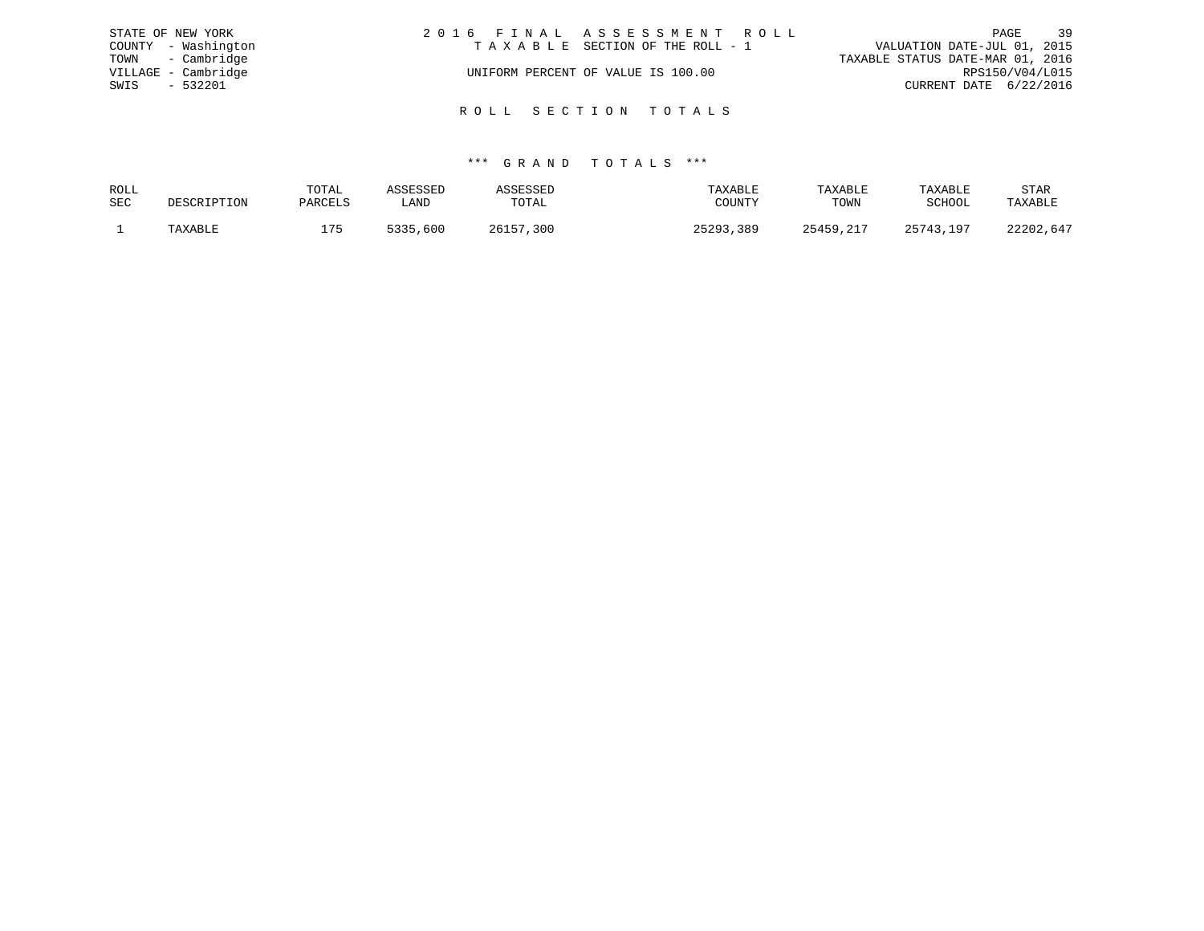|      | STATE OF NEW YORK   | 2016 FINAL ASSESSMENT ROLL         | 39<br>PAGE                       |
|------|---------------------|------------------------------------|----------------------------------|
|      | COUNTY - Washington | TAXABLE SECTION OF THE ROLL - 1    | VALUATION DATE-JUL 01, 2015      |
|      | TOWN - Cambridge    |                                    | TAXABLE STATUS DATE-MAR 01, 2016 |
|      | VILLAGE - Cambridge | UNIFORM PERCENT OF VALUE IS 100.00 | RPS150/V04/L015                  |
| SWIS | $-532201$           |                                    | CURRENT DATE 6/22/2016           |
|      |                     |                                    |                                  |
|      |                     | ROLL SECTION TOTALS                |                                  |

| ROLL | TOTAL   |             |             | 'A Y A RT.F. | TAXABLE | TAXABLE | STAR  |
|------|---------|-------------|-------------|--------------|---------|---------|-------|
| SEC  | PARCELS | ∟AND        | TOTAL       | ת INT"       | TOWN    | SCHOOL  |       |
|      | 17 E    | ר ר'<br>600 | 2615<br>300 | , 389<br>500 | 25459   | 1 Q T   | つつつのつ |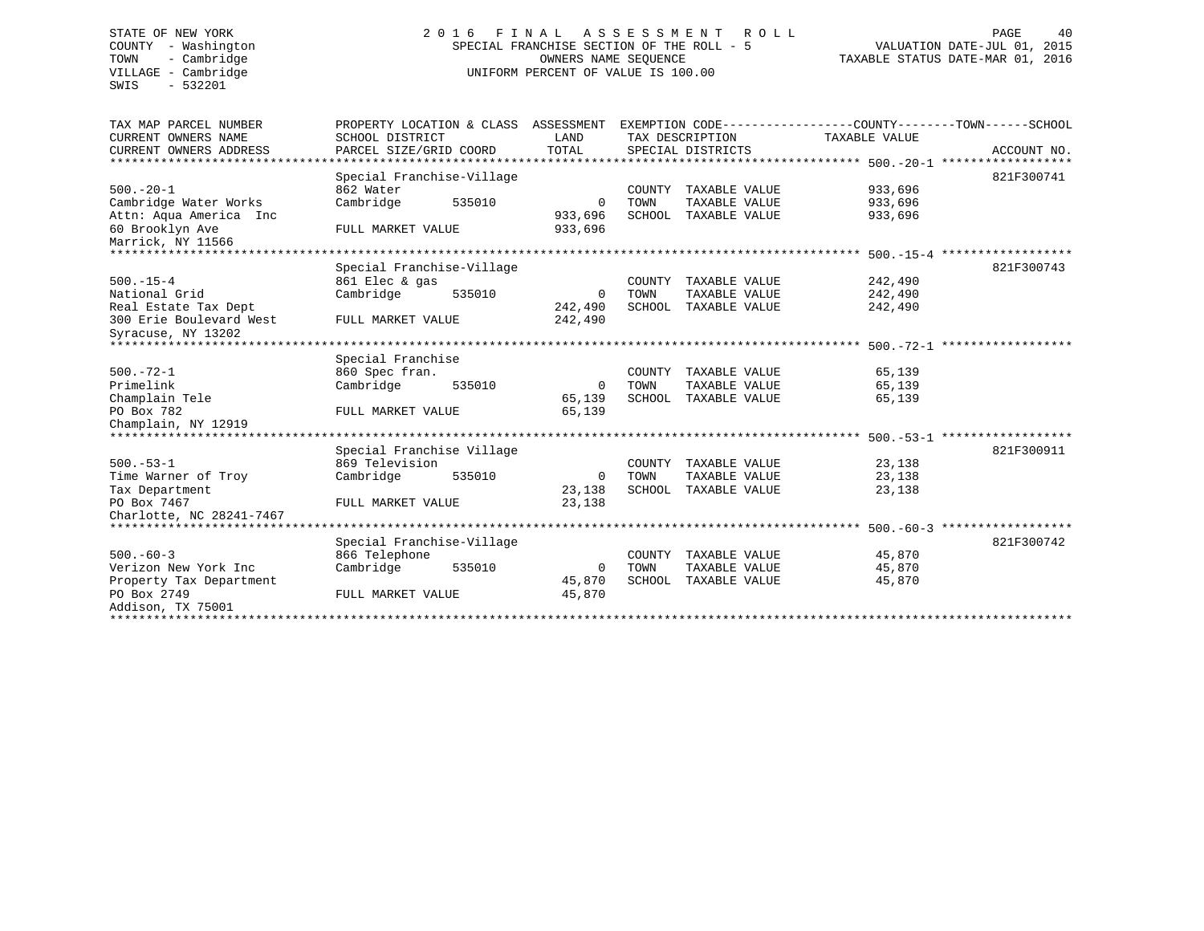SWIS - 532201

# STATE OF NEW YORK 2 0 1 6 F I N A L A S S E S S M E N T R O L L PAGE 40 COUNTY - Washington SPECIAL FRANCHISE SECTION OF THE ROLL - 5 VALUATION DATE-JUL 01, 2015 TOWN - Cambridge OWNERS NAME SEQUENCE TAXABLE STATUS DATE-MAR 01, 2016 VILLAGE - Cambridge **UNIFORM PERCENT OF VALUE** IS 100.00

| TAX MAP PARCEL NUMBER<br>CURRENT OWNERS NAME | EXEMPTION CODE-----------------COUNTY-------TOWN------SCHOOL<br>ASSESSMENT<br>PROPERTY LOCATION & CLASS<br>SCHOOL DISTRICT<br>LAND<br>TAX DESCRIPTION |              | TAXABLE VALUE |                      |                                                  |             |
|----------------------------------------------|-------------------------------------------------------------------------------------------------------------------------------------------------------|--------------|---------------|----------------------|--------------------------------------------------|-------------|
| CURRENT OWNERS ADDRESS                       | PARCEL SIZE/GRID COORD                                                                                                                                | TOTAL        |               | SPECIAL DISTRICTS    |                                                  | ACCOUNT NO. |
| ******************                           |                                                                                                                                                       |              |               |                      | :***************** 500.-20-1 ******************* |             |
| $500 - 20 - 1$                               | Special Franchise-Village                                                                                                                             |              |               |                      |                                                  | 821F300741  |
|                                              | 862 Water                                                                                                                                             |              | COUNTY        | TAXABLE VALUE        | 933,696                                          |             |
| Cambridge Water Works                        | 535010<br>Cambridge                                                                                                                                   | $\Omega$     | TOWN          | TAXABLE VALUE        | 933,696                                          |             |
| Attn: Aqua America Inc                       |                                                                                                                                                       | 933,696      | SCHOOL        | TAXABLE VALUE        | 933,696                                          |             |
| 60 Brooklyn Ave                              | FULL MARKET VALUE                                                                                                                                     | 933,696      |               |                      |                                                  |             |
| Marrick, NY 11566                            |                                                                                                                                                       |              |               |                      |                                                  |             |
|                                              |                                                                                                                                                       |              |               |                      |                                                  |             |
|                                              | Special Franchise-Village                                                                                                                             |              |               |                      |                                                  | 821F300743  |
| $500. -15 - 4$                               | 861 Elec & gas                                                                                                                                        |              | COUNTY        | TAXABLE VALUE        | 242,490                                          |             |
| National Grid                                | Cambridge<br>535010                                                                                                                                   | 0            | TOWN          | TAXABLE VALUE        | 242,490                                          |             |
| Real Estate Tax Dept                         |                                                                                                                                                       | 242,490      | SCHOOL        | TAXABLE VALUE        | 242,490                                          |             |
| 300 Erie Boulevard West                      | FULL MARKET VALUE                                                                                                                                     | 242,490      |               |                      |                                                  |             |
| Syracuse, NY 13202                           |                                                                                                                                                       |              |               |                      |                                                  |             |
| ******************************               |                                                                                                                                                       |              |               |                      |                                                  |             |
|                                              | Special Franchise                                                                                                                                     |              |               |                      |                                                  |             |
| $500. - 72 - 1$                              | 860 Spec fran.                                                                                                                                        |              | COUNTY        | TAXABLE VALUE        | 65,139                                           |             |
| Primelink                                    | Cambridge<br>535010                                                                                                                                   | $\mathbf 0$  | TOWN          | TAXABLE VALUE        | 65,139                                           |             |
| Champlain Tele                               |                                                                                                                                                       | 65,139       | SCHOOL        | TAXABLE VALUE        | 65,139                                           |             |
| PO Box 782                                   | FULL MARKET VALUE                                                                                                                                     | 65,139       |               |                      |                                                  |             |
| Champlain, NY 12919                          |                                                                                                                                                       |              |               |                      |                                                  |             |
|                                              | **************************                                                                                                                            |              |               |                      | ***************** 500.-53-1                      |             |
|                                              | Special Franchise Village                                                                                                                             |              |               |                      |                                                  | 821F300911  |
| $500. - 53 - 1$                              | 869 Television                                                                                                                                        |              | COUNTY        | TAXABLE VALUE        | 23,138                                           |             |
| Time Warner of Troy                          | Cambridge<br>535010                                                                                                                                   | $\Omega$     | TOWN          | TAXABLE VALUE        | 23,138                                           |             |
| Tax Department                               |                                                                                                                                                       | 23,138       | SCHOOL        | TAXABLE VALUE        | 23,138                                           |             |
| PO Box 7467                                  | FULL MARKET VALUE                                                                                                                                     | 23,138       |               |                      |                                                  |             |
| Charlotte, NC 28241-7467                     |                                                                                                                                                       |              |               |                      |                                                  |             |
| ********************                         |                                                                                                                                                       |              |               |                      | ****************** 500.-60-3                     |             |
|                                              | Special Franchise-Village                                                                                                                             |              |               |                      |                                                  | 821F300742  |
| $500 - 60 - 3$                               | 866 Telephone                                                                                                                                         |              |               | COUNTY TAXABLE VALUE | 45,870                                           |             |
| Verizon New York Inc                         | Cambridge<br>535010                                                                                                                                   | $\mathbf{0}$ | TOWN          | TAXABLE VALUE        | 45,870                                           |             |
| Property Tax Department                      |                                                                                                                                                       | 45,870       | SCHOOL        | TAXABLE VALUE        | 45,870                                           |             |
| PO Box 2749                                  | FULL MARKET VALUE                                                                                                                                     | 45,870       |               |                      |                                                  |             |
| Addison, TX 75001                            |                                                                                                                                                       |              |               |                      |                                                  |             |
| ***************                              |                                                                                                                                                       |              |               |                      |                                                  |             |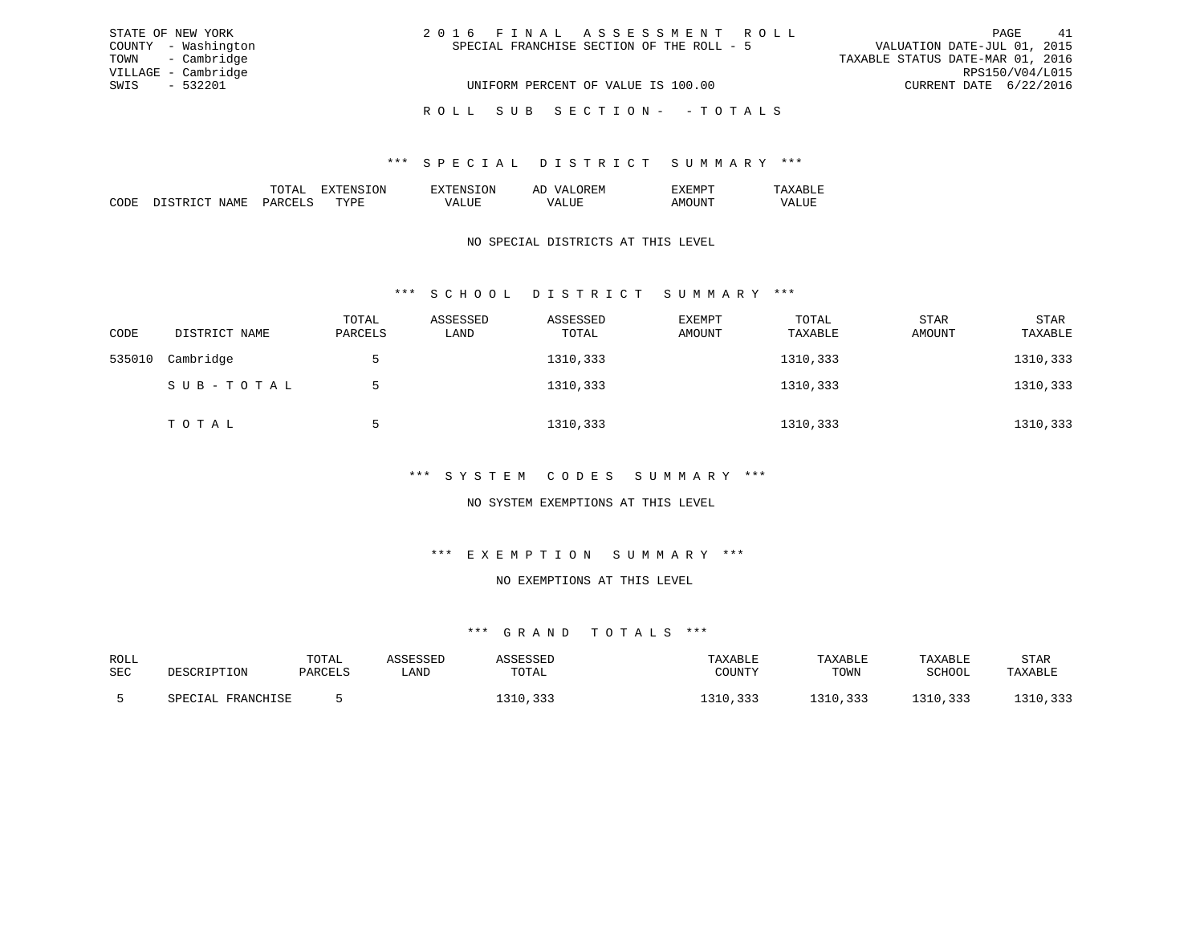| STATE OF NEW YORK   | 2016 FINAL ASSESSMENT ROLL                | 41<br>PAGE                       |
|---------------------|-------------------------------------------|----------------------------------|
| COUNTY - Washington | SPECIAL FRANCHISE SECTION OF THE ROLL - 5 | VALUATION DATE-JUL 01, 2015      |
| TOWN - Cambridge    |                                           | TAXABLE STATUS DATE-MAR 01, 2016 |
| VILLAGE - Cambridge |                                           | RPS150/V04/L015                  |
| SWIS - 532201       | UNIFORM PERCENT OF VALUE IS 100.00        | CURRENT DATE 6/22/2016           |
|                     | ROLL SUB SECTION- - TOTALS                |                                  |

|                                                                                                                 | 'NN      | эN | -- |  |
|-----------------------------------------------------------------------------------------------------------------|----------|----|----|--|
| the contract of the contract of the contract of the contract of the contract of the contract of the contract of | ᠇᠇᠇<br>◡ |    |    |  |

### NO SPECIAL DISTRICTS AT THIS LEVEL

## \*\*\* S C H O O L D I S T R I C T S U M M A R Y \*\*\*

| CODE   | DISTRICT NAME | TOTAL<br>PARCELS | ASSESSED<br>LAND | ASSESSED<br>TOTAL | EXEMPT<br>AMOUNT | TOTAL<br>TAXABLE | <b>STAR</b><br>AMOUNT | STAR<br>TAXABLE |
|--------|---------------|------------------|------------------|-------------------|------------------|------------------|-----------------------|-----------------|
| 535010 | Cambridge     |                  |                  | 1310,333          |                  | 1310,333         |                       | 1310,333        |
|        | SUB-TOTAL     | $\mathcal{D}$    |                  | 1310,333          |                  | 1310,333         |                       | 1310,333        |
|        | TOTAL         | 5                |                  | 1310,333          |                  | 1310,333         |                       | 1310,333        |

#### \*\*\* S Y S T E M C O D E S S U M M A R Y \*\*\*

### NO SYSTEM EXEMPTIONS AT THIS LEVEL

#### \*\*\* E X E M P T I O N S U M M A R Y \*\*\*

#### NO EXEMPTIONS AT THIS LEVEL

| ROLL       |                      | TOTAL   | .ccrccrr |                   | TAXABLE | TAXABLE                              | TAXABLE | STAR     |
|------------|----------------------|---------|----------|-------------------|---------|--------------------------------------|---------|----------|
| <b>SEC</b> | DESCRIPTION          | PARCELS | ∟AND     | TOTAL             | COUNTY  | TOWN                                 | SCHOOL  | TAXABLE  |
|            |                      |         |          |                   |         |                                      |         |          |
|            | FRANCHISE<br>SPECIAL |         |          | ຳ ລ 1 ດ<br>------ |         | 333<br><b>310</b><br>1 J 1 V 7 J J J | , 333   | 31 U 333 |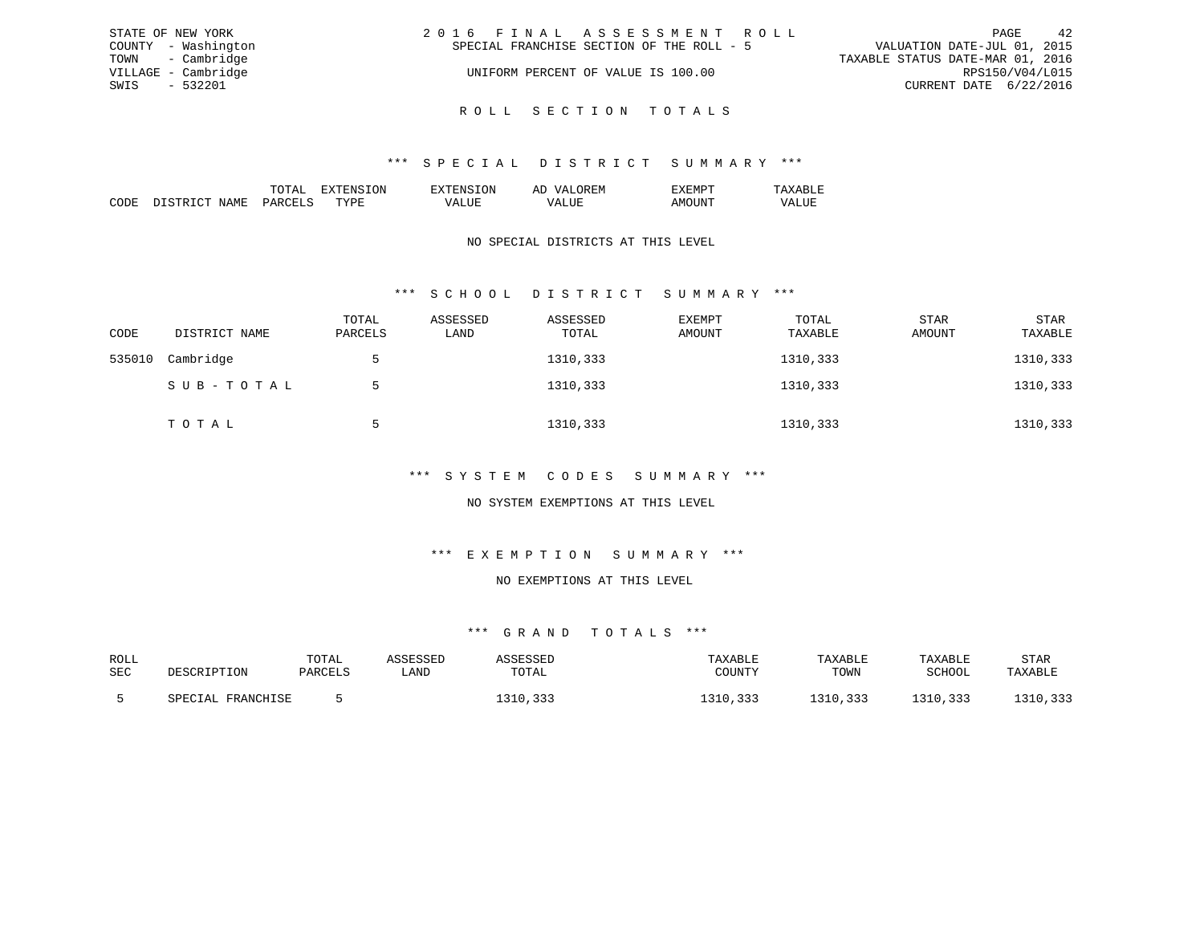| STATE OF NEW YORK   | 2016 FINAL ASSESSMENT ROLL                | 42<br>PAGE                       |
|---------------------|-------------------------------------------|----------------------------------|
| COUNTY - Washington | SPECIAL FRANCHISE SECTION OF THE ROLL - 5 | VALUATION DATE-JUL 01, 2015      |
| TOWN - Cambridge    |                                           | TAXABLE STATUS DATE-MAR 01, 2016 |
| VILLAGE - Cambridge | UNIFORM PERCENT OF VALUE IS 100.00        | RPS150/V04/L015                  |
| SWIS - 532201       |                                           | CURRENT DATE 6/22/2016           |
|                     |                                           |                                  |

R O L L S E C T I O N T O T A L S

|  | 'NN | ⊀∶IVI<br>. . |  |
|--|-----|--------------|--|
|  |     |              |  |

### NO SPECIAL DISTRICTS AT THIS LEVEL

## \*\*\* S C H O O L D I S T R I C T S U M M A R Y \*\*\*

| CODE   | DISTRICT NAME | TOTAL<br>PARCELS | ASSESSED<br>LAND | ASSESSED<br>TOTAL | EXEMPT<br>AMOUNT | TOTAL<br>TAXABLE | <b>STAR</b><br>AMOUNT | STAR<br>TAXABLE |
|--------|---------------|------------------|------------------|-------------------|------------------|------------------|-----------------------|-----------------|
| 535010 | Cambridge     |                  |                  | 1310,333          |                  | 1310,333         |                       | 1310,333        |
|        | SUB-TOTAL     | $\mathcal{D}$    |                  | 1310,333          |                  | 1310,333         |                       | 1310,333        |
|        | TOTAL         | 5                |                  | 1310,333          |                  | 1310,333         |                       | 1310,333        |

### \*\*\* S Y S T E M C O D E S S U M M A R Y \*\*\*

### NO SYSTEM EXEMPTIONS AT THIS LEVEL

## \*\*\* E X E M P T I O N S U M M A R Y \*\*\*

#### NO EXEMPTIONS AT THIS LEVEL

| ROLL       |                      | TOTAL   | .ccrccrr |                   | TAXABLE | TAXABLE                              | TAXABLE | STAR     |
|------------|----------------------|---------|----------|-------------------|---------|--------------------------------------|---------|----------|
| <b>SEC</b> | DESCRIPTION          | PARCELS | ∟AND     | TOTAL             | COUNTY  | TOWN                                 | SCHOOL  | TAXABLE  |
|            |                      |         |          |                   |         |                                      |         |          |
|            | FRANCHISE<br>SPECIAL |         |          | ຳ ລ 1 ດ<br>------ |         | 333<br><b>310</b><br>1 J 1 V 7 J J J | , 333   | 31 U 333 |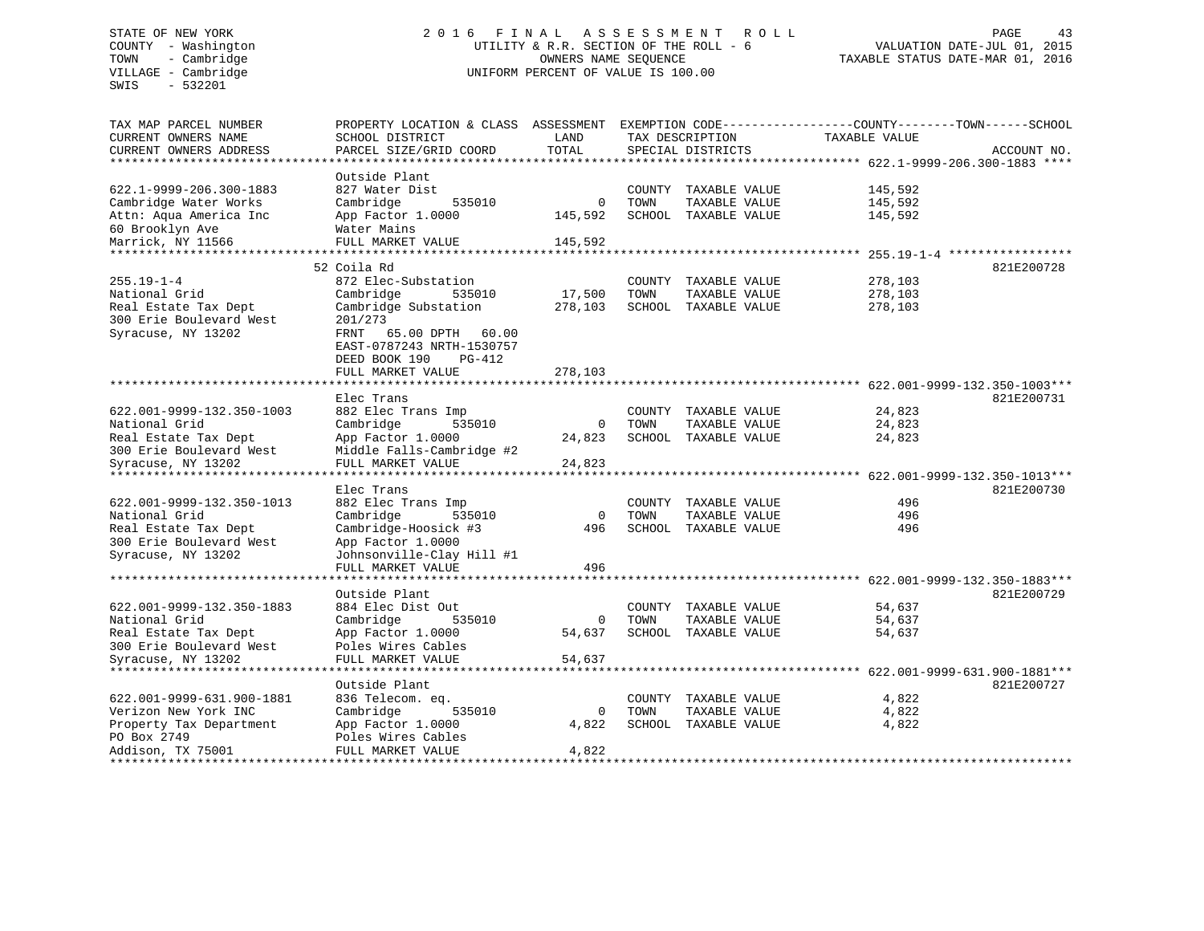SWIS - 532201

# STATE OF NEW YORK 2 0 1 6 F I N A L A S S E S S M E N T R O L L PAGE 43 COUNTY - Washington UTILITY & R.R. SECTION OF THE ROLL - 6 VALUATION DATE-JUL 01, 2015 TOWN - Cambridge OWNERS NAME SEQUENCE TAXABLE STATUS DATE-MAR 01, 2016 VILLAGE - Cambridge **UNIFORM PERCENT OF VALUE IS 100.00**

| TAX MAP PARCEL NUMBER      | PROPERTY LOCATION & CLASS ASSESSMENT |             |                 |                      | EXEMPTION CODE-----------------COUNTY-------TOWN------SCHOOL |             |
|----------------------------|--------------------------------------|-------------|-----------------|----------------------|--------------------------------------------------------------|-------------|
| CURRENT OWNERS NAME        | SCHOOL DISTRICT                      | LAND        | TAX DESCRIPTION |                      | <b>TAXABLE VALUE</b>                                         |             |
| CURRENT OWNERS ADDRESS     | PARCEL SIZE/GRID COORD               | TOTAL       |                 | SPECIAL DISTRICTS    |                                                              | ACCOUNT NO. |
| ********************       | *****************                    |             |                 |                      |                                                              |             |
|                            | Outside Plant                        |             |                 |                      |                                                              |             |
| 622.1-9999-206.300-1883    | 827 Water Dist                       |             | COUNTY          | TAXABLE VALUE        | 145,592                                                      |             |
| Cambridge Water Works      | Cambridge<br>535010                  | 0           | TOWN            | TAXABLE VALUE        | 145,592                                                      |             |
| Attn: Aqua America Inc     | App Factor 1.0000                    | 145,592     |                 | SCHOOL TAXABLE VALUE | 145,592                                                      |             |
| 60 Brooklyn Ave            | Water Mains                          |             |                 |                      |                                                              |             |
| Marrick, NY 11566          | FULL MARKET VALUE                    | 145,592     |                 |                      |                                                              |             |
| ************************** |                                      |             |                 |                      |                                                              |             |
|                            | 52 Coila Rd                          |             |                 |                      |                                                              | 821E200728  |
| $255.19 - 1 - 4$           | 872 Elec-Substation                  |             |                 | COUNTY TAXABLE VALUE | 278,103                                                      |             |
| National Grid              | Cambridge<br>535010                  | 17,500      | TOWN            | TAXABLE VALUE        | 278,103                                                      |             |
| Real Estate Tax Dept       | Cambridge Substation                 | 278,103     |                 | SCHOOL TAXABLE VALUE | 278,103                                                      |             |
| 300 Erie Boulevard West    | 201/273                              |             |                 |                      |                                                              |             |
| Syracuse, NY 13202         | FRNT<br>65.00 DPTH<br>60.00          |             |                 |                      |                                                              |             |
|                            | EAST-0787243 NRTH-1530757            |             |                 |                      |                                                              |             |
|                            | DEED BOOK 190<br>PG-412              |             |                 |                      |                                                              |             |
|                            | FULL MARKET VALUE                    | 278,103     |                 |                      |                                                              |             |
|                            |                                      |             |                 |                      |                                                              |             |
|                            | Elec Trans                           |             |                 |                      |                                                              | 821E200731  |
| 622.001-9999-132.350-1003  | 882 Elec Trans Imp                   |             |                 | COUNTY TAXABLE VALUE | 24,823                                                       |             |
| National Grid              | Cambridge<br>535010                  | 0           | TOWN            | TAXABLE VALUE        | 24,823                                                       |             |
| Real Estate Tax Dept       | App Factor 1.0000                    | 24,823      |                 | SCHOOL TAXABLE VALUE | 24,823                                                       |             |
| 300 Erie Boulevard West    | Middle Falls-Cambridge #2            |             |                 |                      |                                                              |             |
| Syracuse, NY 13202         | FULL MARKET VALUE                    | 24,823      |                 |                      |                                                              |             |
| *************************  |                                      |             |                 |                      |                                                              |             |
|                            | Elec Trans                           |             |                 |                      |                                                              | 821E200730  |
| 622.001-9999-132.350-1013  | 882 Elec Trans Imp                   |             |                 | COUNTY TAXABLE VALUE | 496                                                          |             |
| National Grid              | Cambridge<br>535010                  | $\mathbf 0$ | TOWN            | TAXABLE VALUE        | 496                                                          |             |
| Real Estate Tax Dept       | Cambridge-Hoosick #3                 | 496         |                 | SCHOOL TAXABLE VALUE | 496                                                          |             |
| 300 Erie Boulevard West    | App Factor 1.0000                    |             |                 |                      |                                                              |             |
| Syracuse, NY 13202         | Johnsonville-Clay Hill #1            |             |                 |                      |                                                              |             |
|                            | FULL MARKET VALUE                    | 496         |                 |                      |                                                              |             |
| ***********************    | **********************               |             |                 |                      |                                                              |             |
|                            | Outside Plant                        |             |                 |                      |                                                              | 821E200729  |
| 622.001-9999-132.350-1883  | 884 Elec Dist Out                    |             |                 | COUNTY TAXABLE VALUE | 54,637                                                       |             |
| National Grid              | Cambridge<br>535010                  | $\mathbf 0$ | TOWN            | TAXABLE VALUE        | 54,637                                                       |             |
| Real Estate Tax Dept       | App Factor 1.0000                    | 54,637      |                 | SCHOOL TAXABLE VALUE | 54,637                                                       |             |
| 300 Erie Boulevard West    | Poles Wires Cables                   |             |                 |                      |                                                              |             |
| Syracuse, NY 13202         | FULL MARKET VALUE                    | 54,637      |                 |                      |                                                              |             |
|                            |                                      |             |                 |                      |                                                              |             |
|                            | Outside Plant                        |             |                 |                      |                                                              | 821E200727  |
| 622.001-9999-631.900-1881  | 836 Telecom. eq.                     |             |                 | COUNTY TAXABLE VALUE | 4,822                                                        |             |
| Verizon New York INC       | Cambridge<br>535010                  | 0           | TOWN            | TAXABLE VALUE        | 4,822                                                        |             |
| Property Tax Department    | App Factor 1.0000                    | 4,822       |                 | SCHOOL TAXABLE VALUE | 4,822                                                        |             |
| PO Box 2749                | Poles Wires Cables                   |             |                 |                      |                                                              |             |
| Addison, TX 75001          | FULL MARKET VALUE                    | 4,822       |                 |                      |                                                              |             |
|                            |                                      |             |                 |                      |                                                              |             |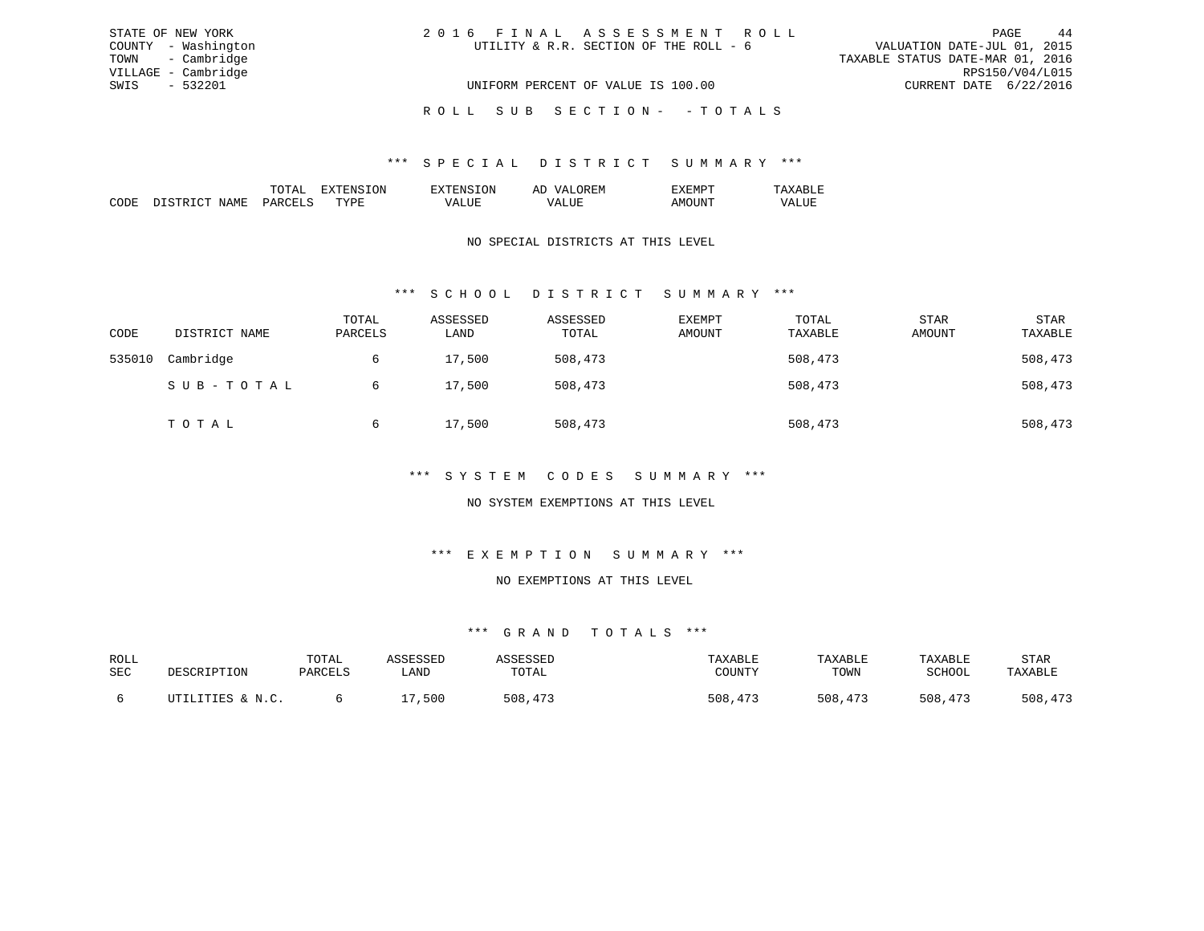| STATE OF NEW YORK   | 2016 FINAL ASSESSMENT ROLL             | 44<br>PAGE                       |
|---------------------|----------------------------------------|----------------------------------|
| COUNTY - Washington | UTILITY & R.R. SECTION OF THE ROLL - 6 | VALUATION DATE-JUL 01, 2015      |
| TOWN - Cambridge    |                                        | TAXABLE STATUS DATE-MAR 01, 2016 |
| VILLAGE - Cambridge |                                        | RPS150/V04/L015                  |
| SWIS - 532201       | UNIFORM PERCENT OF VALUE IS 100.00     | CURRENT DATE 6/22/2016           |
|                     | ROLL SUB SECTION- - TOTALS             |                                  |

|   |      | 'N | 51 |  |
|---|------|----|----|--|
| . | . пт | .  |    |  |

### NO SPECIAL DISTRICTS AT THIS LEVEL

## \*\*\* S C H O O L D I S T R I C T S U M M A R Y \*\*\*

| CODE   | DISTRICT NAME | TOTAL<br>PARCELS | ASSESSED<br>LAND | ASSESSED<br>TOTAL | EXEMPT<br>AMOUNT | TOTAL<br>TAXABLE | <b>STAR</b><br>AMOUNT | <b>STAR</b><br>TAXABLE |
|--------|---------------|------------------|------------------|-------------------|------------------|------------------|-----------------------|------------------------|
| 535010 | Cambridge     | 6                | 17,500           | 508,473           |                  | 508,473          |                       | 508,473                |
|        | SUB-TOTAL     | 6                | 17,500           | 508,473           |                  | 508,473          |                       | 508,473                |
|        | TOTAL         | 6                | 17,500           | 508,473           |                  | 508,473          |                       | 508,473                |

#### \*\*\* S Y S T E M C O D E S S U M M A R Y \*\*\*

### NO SYSTEM EXEMPTIONS AT THIS LEVEL

#### \*\*\* E X E M P T I O N S U M M A R Y \*\*\*

#### NO EXEMPTIONS AT THIS LEVEL

| ROLL |                  | TOTAL   | <i><b>\SSESSED</b></i> |         | TAXABLE | TAXABLE | TAXABLE | STAR    |
|------|------------------|---------|------------------------|---------|---------|---------|---------|---------|
| SEC  | DESCRIPTION      | PARCELS | LAND                   | TOTAL   | COUNTY  | TOWN    | SCHOOL  | TAXABLE |
|      |                  |         |                        |         |         |         |         |         |
|      | UTILITIES & N.C. |         | 500                    | 508,473 | 508,473 | 508,473 | 508,473 | 508,473 |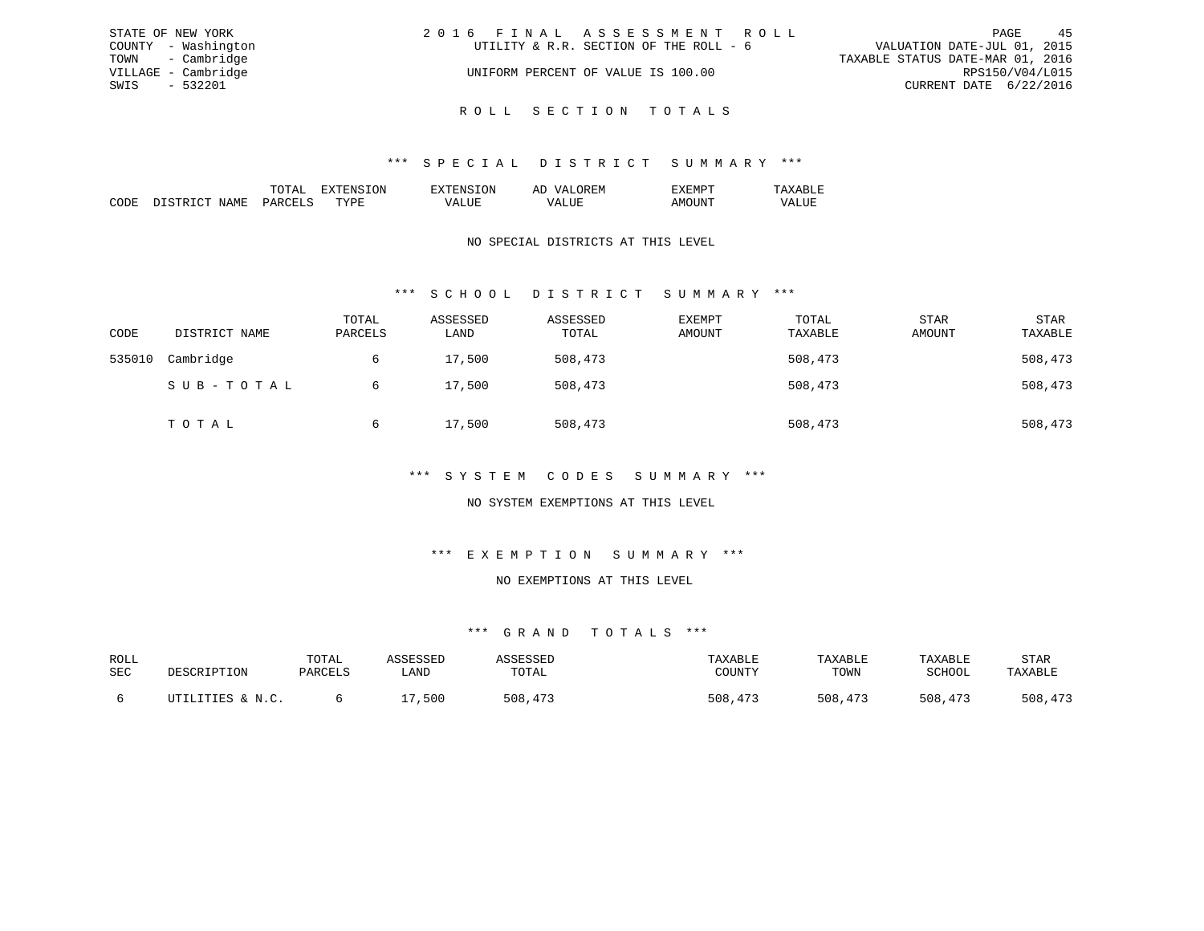| STATE OF NEW YORK   | 2016 FINAL ASSESSMENT ROLL             | 45<br>PAGE                       |
|---------------------|----------------------------------------|----------------------------------|
| COUNTY - Washington | UTILITY & R.R. SECTION OF THE ROLL - 6 | VALUATION DATE-JUL 01, 2015      |
| TOWN - Cambridge    |                                        | TAXABLE STATUS DATE-MAR 01, 2016 |
| VILLAGE - Cambridge | UNIFORM PERCENT OF VALUE IS 100.00     | RPS150/V04/L015                  |
| SWIS - 532201       |                                        | CURRENT DATE 6/22/2016           |
|                     |                                        |                                  |

R O L L S E C T I O N T O T A L S

### \*\*\* S P E C I A L D I S T R I C T S U M M A R Y \*\*\*

|                                                                                                                 | ж | ∷lVl |  |
|-----------------------------------------------------------------------------------------------------------------|---|------|--|
|                                                                                                                 |   |      |  |
| the contract of the contract of the contract of the contract of the contract of the contract of the contract of |   |      |  |

### NO SPECIAL DISTRICTS AT THIS LEVEL

## \*\*\* S C H O O L D I S T R I C T S U M M A R Y \*\*\*

| CODE   | DISTRICT NAME | TOTAL<br>PARCELS | ASSESSED<br>LAND | ASSESSED<br>TOTAL | <b>EXEMPT</b><br>AMOUNT | TOTAL<br>TAXABLE | STAR<br>AMOUNT | STAR<br>TAXABLE |
|--------|---------------|------------------|------------------|-------------------|-------------------------|------------------|----------------|-----------------|
| 535010 | Cambridge     | 6                | 17,500           | 508,473           |                         | 508,473          |                | 508,473         |
|        | SUB-TOTAL     | 6                | 17,500           | 508,473           |                         | 508,473          |                | 508,473         |
|        | TOTAL         | 6                | 17,500           | 508,473           |                         | 508,473          |                | 508,473         |

### \*\*\* S Y S T E M C O D E S S U M M A R Y \*\*\*

### NO SYSTEM EXEMPTIONS AT THIS LEVEL

## \*\*\* E X E M P T I O N S U M M A R Y \*\*\*

#### NO EXEMPTIONS AT THIS LEVEL

| ROLL |                  | TOTAL   | <b>ACCECCEP</b> |         | TAXABLE      | TAXABLE | TAXABLE | STAR    |
|------|------------------|---------|-----------------|---------|--------------|---------|---------|---------|
| SEC  | DESCRIPTION      | PARCELS | ∟AND            | TOTAL   | COUNTY       | TOWN    | SCHOOL  | TAXABLE |
|      |                  |         |                 |         |              |         |         |         |
|      | UTILITIES & N.C. |         | ,500            | 508,473 | 508<br>, 473 | 508,473 | 508,473 | 508,473 |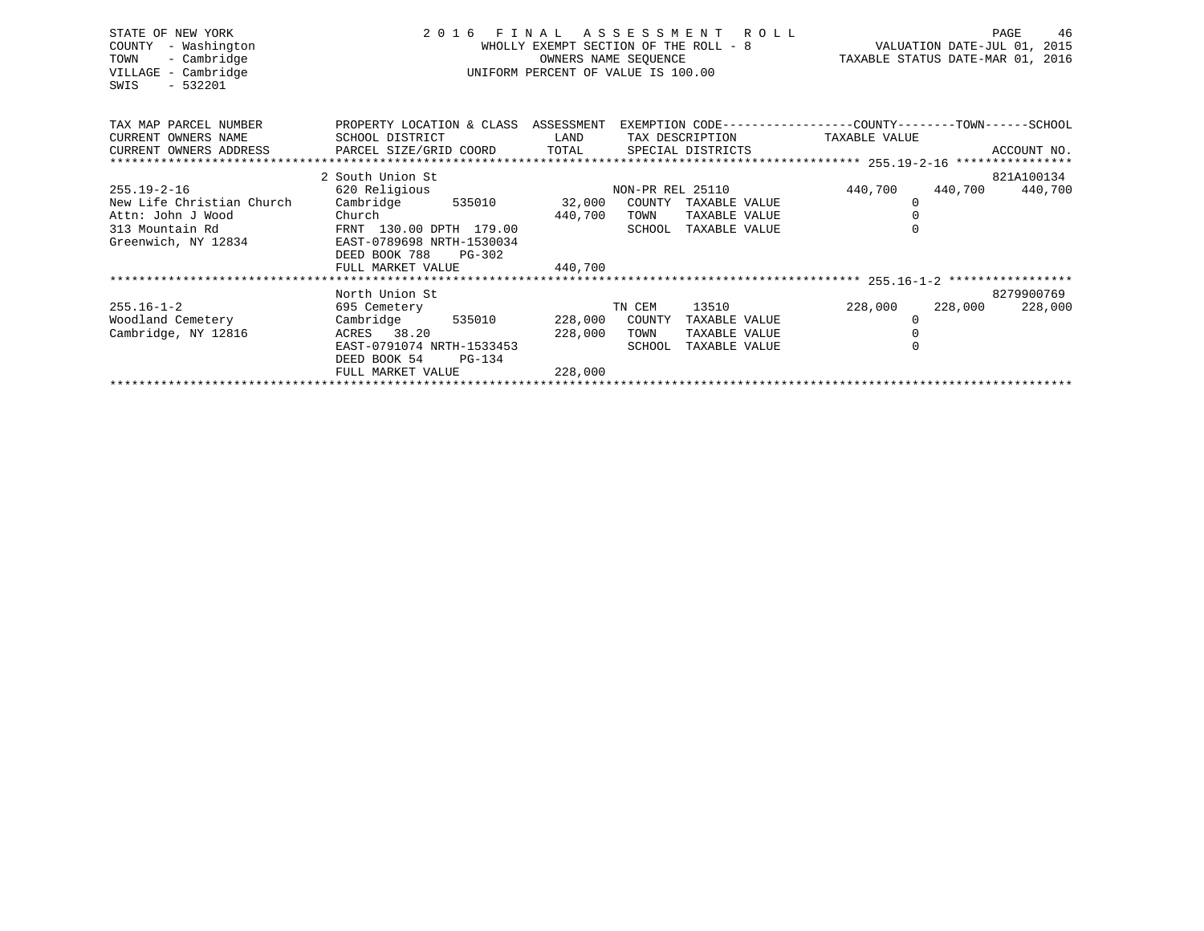|                     |                                                                                                                                                                                                                                                                             |                                                                                                                                  | PAGE<br>46                                                                            |                                                                                                                                                                                                                                               |                                                                                                                                                                                           |                                                                                                                                                                                                            |
|---------------------|-----------------------------------------------------------------------------------------------------------------------------------------------------------------------------------------------------------------------------------------------------------------------------|----------------------------------------------------------------------------------------------------------------------------------|---------------------------------------------------------------------------------------|-----------------------------------------------------------------------------------------------------------------------------------------------------------------------------------------------------------------------------------------------|-------------------------------------------------------------------------------------------------------------------------------------------------------------------------------------------|------------------------------------------------------------------------------------------------------------------------------------------------------------------------------------------------------------|
|                     |                                                                                                                                                                                                                                                                             |                                                                                                                                  |                                                                                       |                                                                                                                                                                                                                                               |                                                                                                                                                                                           |                                                                                                                                                                                                            |
|                     |                                                                                                                                                                                                                                                                             |                                                                                                                                  |                                                                                       |                                                                                                                                                                                                                                               |                                                                                                                                                                                           |                                                                                                                                                                                                            |
|                     |                                                                                                                                                                                                                                                                             |                                                                                                                                  |                                                                                       |                                                                                                                                                                                                                                               |                                                                                                                                                                                           | ACCOUNT NO.                                                                                                                                                                                                |
|                     |                                                                                                                                                                                                                                                                             |                                                                                                                                  |                                                                                       |                                                                                                                                                                                                                                               |                                                                                                                                                                                           |                                                                                                                                                                                                            |
|                     |                                                                                                                                                                                                                                                                             |                                                                                                                                  |                                                                                       |                                                                                                                                                                                                                                               |                                                                                                                                                                                           | 821A100134                                                                                                                                                                                                 |
|                     |                                                                                                                                                                                                                                                                             |                                                                                                                                  |                                                                                       |                                                                                                                                                                                                                                               |                                                                                                                                                                                           |                                                                                                                                                                                                            |
|                     |                                                                                                                                                                                                                                                                             |                                                                                                                                  |                                                                                       |                                                                                                                                                                                                                                               |                                                                                                                                                                                           |                                                                                                                                                                                                            |
|                     |                                                                                                                                                                                                                                                                             |                                                                                                                                  |                                                                                       |                                                                                                                                                                                                                                               |                                                                                                                                                                                           |                                                                                                                                                                                                            |
|                     |                                                                                                                                                                                                                                                                             |                                                                                                                                  |                                                                                       |                                                                                                                                                                                                                                               |                                                                                                                                                                                           |                                                                                                                                                                                                            |
|                     |                                                                                                                                                                                                                                                                             |                                                                                                                                  |                                                                                       |                                                                                                                                                                                                                                               |                                                                                                                                                                                           |                                                                                                                                                                                                            |
|                     |                                                                                                                                                                                                                                                                             |                                                                                                                                  |                                                                                       |                                                                                                                                                                                                                                               |                                                                                                                                                                                           |                                                                                                                                                                                                            |
|                     |                                                                                                                                                                                                                                                                             |                                                                                                                                  |                                                                                       |                                                                                                                                                                                                                                               |                                                                                                                                                                                           |                                                                                                                                                                                                            |
|                     |                                                                                                                                                                                                                                                                             |                                                                                                                                  |                                                                                       |                                                                                                                                                                                                                                               |                                                                                                                                                                                           |                                                                                                                                                                                                            |
|                     |                                                                                                                                                                                                                                                                             |                                                                                                                                  |                                                                                       |                                                                                                                                                                                                                                               |                                                                                                                                                                                           | 8279900769                                                                                                                                                                                                 |
|                     |                                                                                                                                                                                                                                                                             |                                                                                                                                  |                                                                                       |                                                                                                                                                                                                                                               |                                                                                                                                                                                           |                                                                                                                                                                                                            |
|                     |                                                                                                                                                                                                                                                                             |                                                                                                                                  |                                                                                       |                                                                                                                                                                                                                                               |                                                                                                                                                                                           |                                                                                                                                                                                                            |
|                     |                                                                                                                                                                                                                                                                             |                                                                                                                                  |                                                                                       |                                                                                                                                                                                                                                               |                                                                                                                                                                                           |                                                                                                                                                                                                            |
|                     |                                                                                                                                                                                                                                                                             |                                                                                                                                  |                                                                                       |                                                                                                                                                                                                                                               |                                                                                                                                                                                           |                                                                                                                                                                                                            |
|                     |                                                                                                                                                                                                                                                                             |                                                                                                                                  |                                                                                       |                                                                                                                                                                                                                                               |                                                                                                                                                                                           |                                                                                                                                                                                                            |
|                     |                                                                                                                                                                                                                                                                             |                                                                                                                                  |                                                                                       |                                                                                                                                                                                                                                               |                                                                                                                                                                                           |                                                                                                                                                                                                            |
| Greenwich, NY 12834 | SCHOOL DISTRICT<br>2 South Union St<br>620 Religious<br>EAST-0789698 NRTH-1530034<br>DEED BOOK 788<br>PG-302<br>FULL MARKET VALUE<br>North Union St<br>695 Cemetery<br>Cambridge<br>ACRES 38.20<br>EAST-0791074 NRTH-1533453<br>DEED BOOK 54<br>PG-134<br>FULL MARKET VALUE | 2016 FINAL<br>LAND<br>Cambridge 535010 32,000<br>Church <b>Church</b><br>FRNT 130.00 DPTH 179.00<br>440,700<br>535010<br>228,000 | 440,700<br>TOWN<br>SCHOOL<br>TN CEM<br>COUNTY<br>228,000<br>228,000<br>TOWN<br>SCHOOL | WHOLLY EXEMPT SECTION OF THE ROLL - 8<br>OWNERS NAME SEQUENCE<br>UNIFORM PERCENT OF VALUE IS 100.00<br>NON-PR REL 25110<br>COUNTY TAXABLE VALUE<br>TAXABLE VALUE<br>TAXABLE VALUE<br>13510<br>TAXABLE VALUE<br>TAXABLE VALUE<br>TAXABLE VALUE | ASSESSMENT ROLL<br>TAX DESCRIPTION TAXABLE VALUE<br>CURRENT OWNERS ADDRESS PARCEL SIZE/GRID COORD TOTAL SPECIAL DISTRICTS<br>440,700<br>0<br>$\Omega$<br>228,000<br>$\mathbf 0$<br>$\cap$ | VALUATION DATE-JUL 01, 2015<br>TAXABLE STATUS DATE-MAR 01, 2016<br>PROPERTY LOCATION & CLASS ASSESSMENT EXEMPTION CODE-----------------COUNTY-------TOWN------SCHOOL<br>440,700 440,700<br>228,000 228,000 |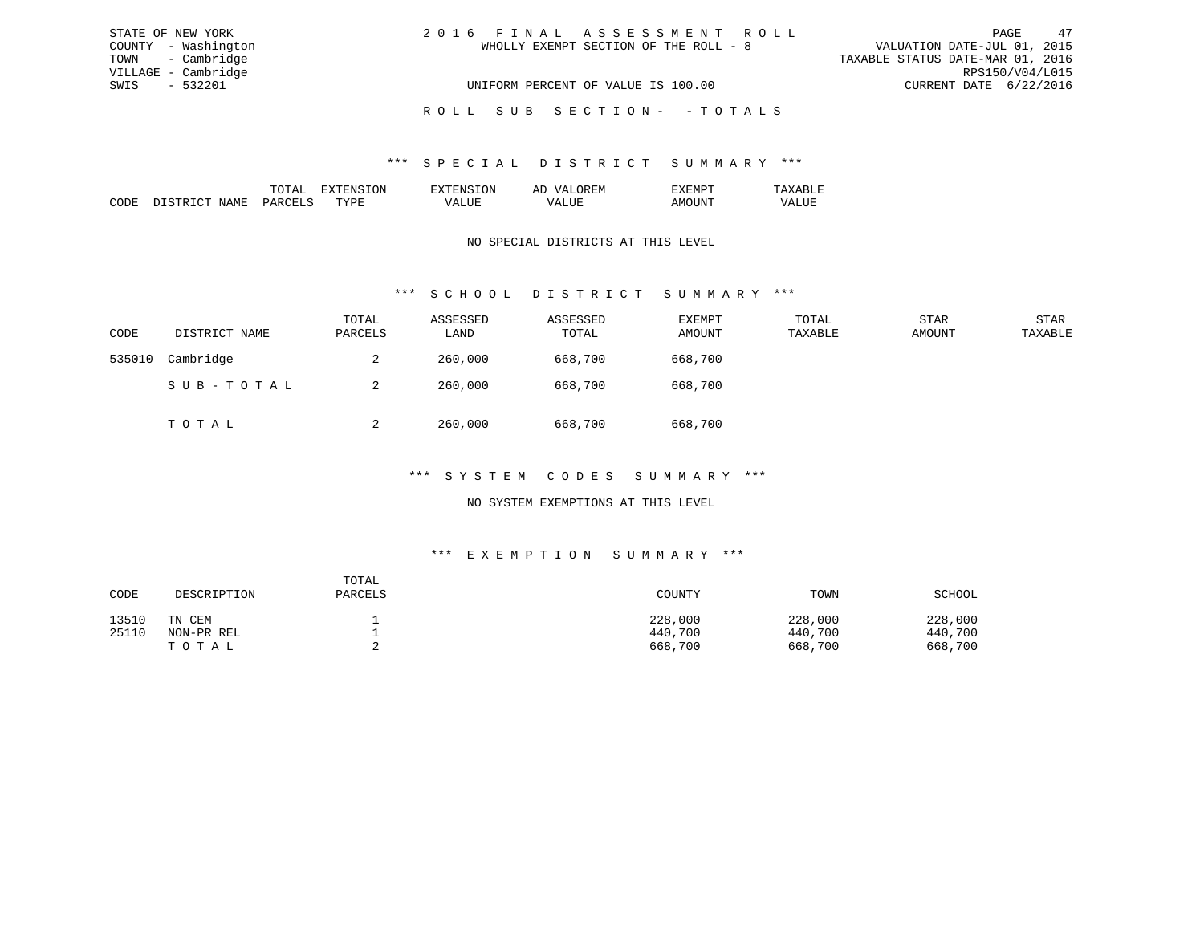| STATE OF NEW YORK   | 2016 FINAL ASSESSMENT ROLL            | 47<br>PAGE                       |
|---------------------|---------------------------------------|----------------------------------|
| COUNTY - Washington | WHOLLY EXEMPT SECTION OF THE ROLL - 8 | VALUATION DATE-JUL 01, 2015      |
| TOWN - Cambridge    |                                       | TAXABLE STATUS DATE-MAR 01, 2016 |
| VILLAGE - Cambridge |                                       | RPS150/V04/L015                  |
| SWIS<br>- 532201    | UNIFORM PERCENT OF VALUE IS 100.00    | CURRENT DATE 6/22/2016           |
|                     | ROLL SUB SECTION- -TOTALS             |                                  |

|                   |     | N | . .<br>9. IV<br>-- | . IVI    |  |
|-------------------|-----|---|--------------------|----------|--|
| <b>BUT</b><br>. M | maz |   |                    | n.<br>wu |  |

#### NO SPECIAL DISTRICTS AT THIS LEVEL

## \*\*\* S C H O O L D I S T R I C T S U M M A R Y \*\*\*

| CODE   | DISTRICT NAME | TOTAL<br>PARCELS | ASSESSED<br>LAND | ASSESSED<br>TOTAL | EXEMPT<br>AMOUNT | TOTAL<br>TAXABLE | STAR<br>AMOUNT | <b>STAR</b><br>TAXABLE |
|--------|---------------|------------------|------------------|-------------------|------------------|------------------|----------------|------------------------|
| 535010 | Cambridge     | 2                | 260,000          | 668,700           | 668,700          |                  |                |                        |
|        | SUB-TOTAL     | 2                | 260,000          | 668,700           | 668,700          |                  |                |                        |
|        | TOTAL         | $\overline{a}$   | 260,000          | 668,700           | 668,700          |                  |                |                        |

#### \*\*\* S Y S T E M C O D E S S U M M A R Y \*\*\*

### NO SYSTEM EXEMPTIONS AT THIS LEVEL

## \*\*\* E X E M P T I O N S U M M A R Y \*\*\*

| CODE  | DESCRIPTION | TOTAL<br>PARCELS | COUNTY  | TOWN    | SCHOOL  |
|-------|-------------|------------------|---------|---------|---------|
| 13510 | TN CEM      |                  | 228,000 | 228,000 | 228,000 |
| 25110 | NON-PR REL  |                  | 440,700 | 440,700 | 440,700 |
|       | TOTAL       |                  | 668,700 | 668,700 | 668,700 |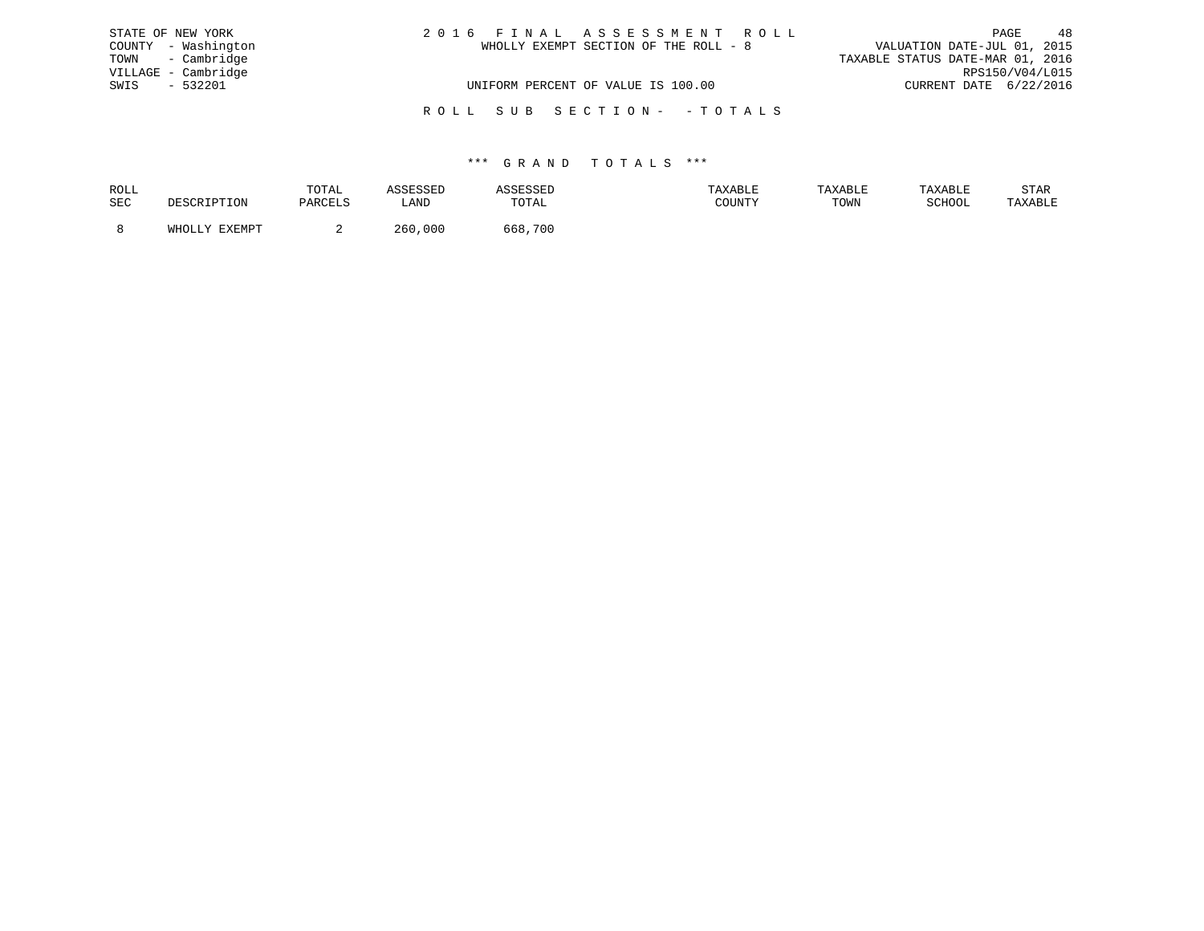| STATE OF NEW YORK   |  | 2016 FINAL ASSESSMENT ROLL            |                                  | PAGE            | 48 |
|---------------------|--|---------------------------------------|----------------------------------|-----------------|----|
| COUNTY - Washington |  | WHOLLY EXEMPT SECTION OF THE ROLL - 8 | VALUATION DATE-JUL 01, 2015      |                 |    |
| TOWN - Cambridge    |  |                                       | TAXABLE STATUS DATE-MAR 01, 2016 |                 |    |
| VILLAGE - Cambridge |  |                                       |                                  | RPS150/V04/L015 |    |
| $-532201$<br>SWIS   |  | UNIFORM PERCENT OF VALUE IS 100.00    | CURRENT DATE 6/22/2016           |                 |    |
|                     |  | ROLL SUB SECTION- - TOTALS            |                                  |                 |    |

| ROLL |        | TOTAL |             | .          | <b>AXABLF</b> | "ABL. |        | STAR    |
|------|--------|-------|-------------|------------|---------------|-------|--------|---------|
| SEC  |        |       | úAND        | TOTAL      | CCTNTM        | TOWN  | SCHOOL | 'AXABLE |
|      |        |       |             |            |               |       |        |         |
|      | FYFMDT |       | 260<br>.000 | 700<br>568 |               |       |        |         |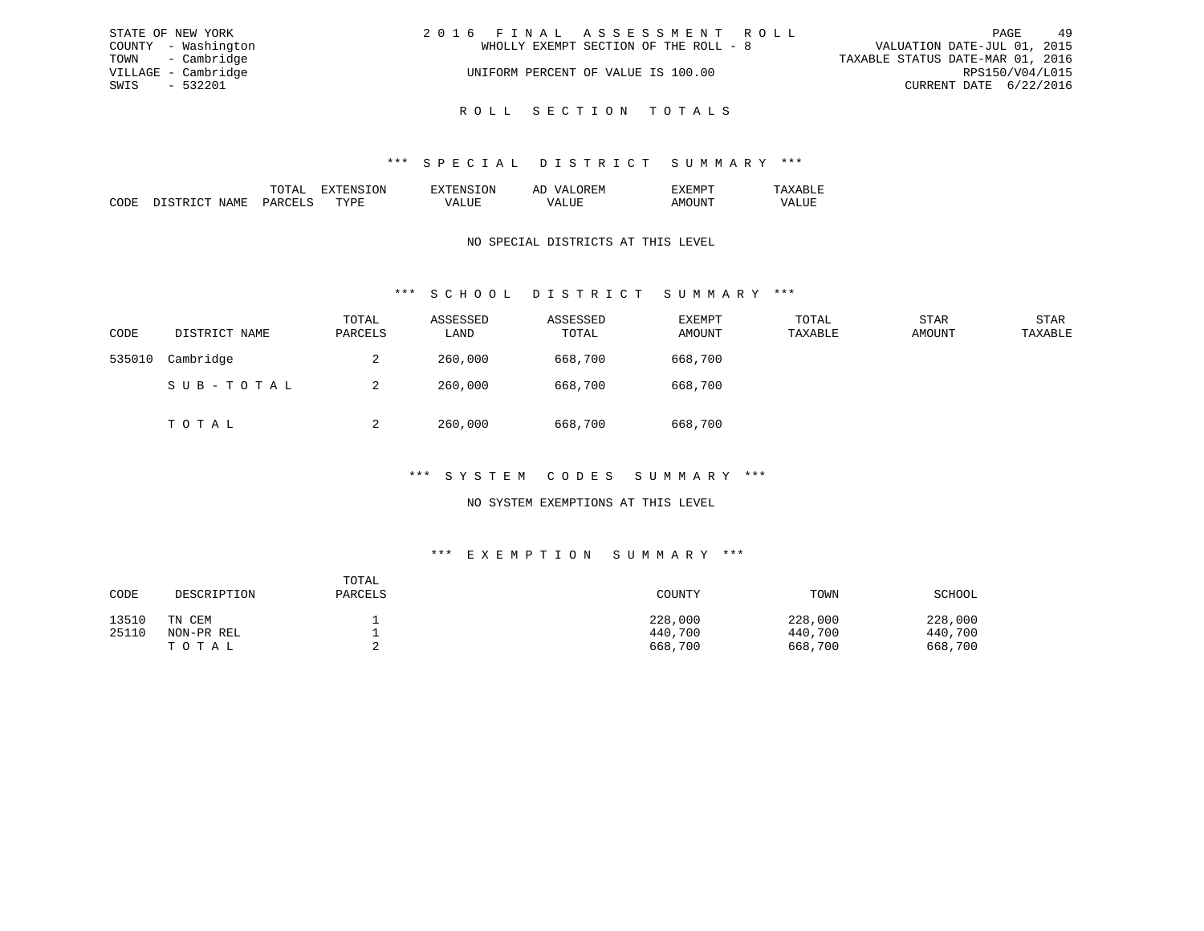| STATE OF NEW YORK   | 2016 FINAL ASSESSMENT ROLL            | 49<br>PAGE                       |
|---------------------|---------------------------------------|----------------------------------|
| COUNTY - Washington | WHOLLY EXEMPT SECTION OF THE ROLL - 8 | VALUATION DATE-JUL 01, 2015      |
| TOWN - Cambridge    |                                       | TAXABLE STATUS DATE-MAR 01, 2016 |
| VILLAGE - Cambridge | UNIFORM PERCENT OF VALUE IS 100.00    | RPS150/V04/L015                  |
| $-532201$<br>SWIS   |                                       | CURRENT DATE 6/22/2016           |
|                     |                                       |                                  |

R O L L S E C T I O N T O T A L S

|                 |       | ON | 51 |  |
|-----------------|-------|----|----|--|
| יחי<br>л п<br>w | ג דרי | ш  |    |  |

### NO SPECIAL DISTRICTS AT THIS LEVEL

## \*\*\* S C H O O L D I S T R I C T S U M M A R Y \*\*\*

| CODE   | DISTRICT NAME | TOTAL<br>PARCELS | ASSESSED<br>LAND | ASSESSED<br>TOTAL | EXEMPT<br>AMOUNT | TOTAL<br>TAXABLE | STAR<br>AMOUNT | <b>STAR</b><br>TAXABLE |
|--------|---------------|------------------|------------------|-------------------|------------------|------------------|----------------|------------------------|
| 535010 | Cambridge     | 2                | 260,000          | 668,700           | 668,700          |                  |                |                        |
|        | SUB-TOTAL     | 2                | 260,000          | 668,700           | 668,700          |                  |                |                        |
|        | TOTAL         | $\overline{a}$   | 260,000          | 668,700           | 668,700          |                  |                |                        |

#### \*\*\* S Y S T E M C O D E S S U M M A R Y \*\*\*

### NO SYSTEM EXEMPTIONS AT THIS LEVEL

## \*\*\* E X E M P T I O N S U M M A R Y \*\*\*

| CODE  | DESCRIPTION | TOTAL<br>PARCELS | COUNTY  | TOWN    | SCHOOL  |
|-------|-------------|------------------|---------|---------|---------|
| 13510 | TN CEM      |                  | 228,000 | 228,000 | 228,000 |
| 25110 | NON-PR REL  |                  | 440,700 | 440,700 | 440,700 |
|       | TOTAL       |                  | 668,700 | 668,700 | 668,700 |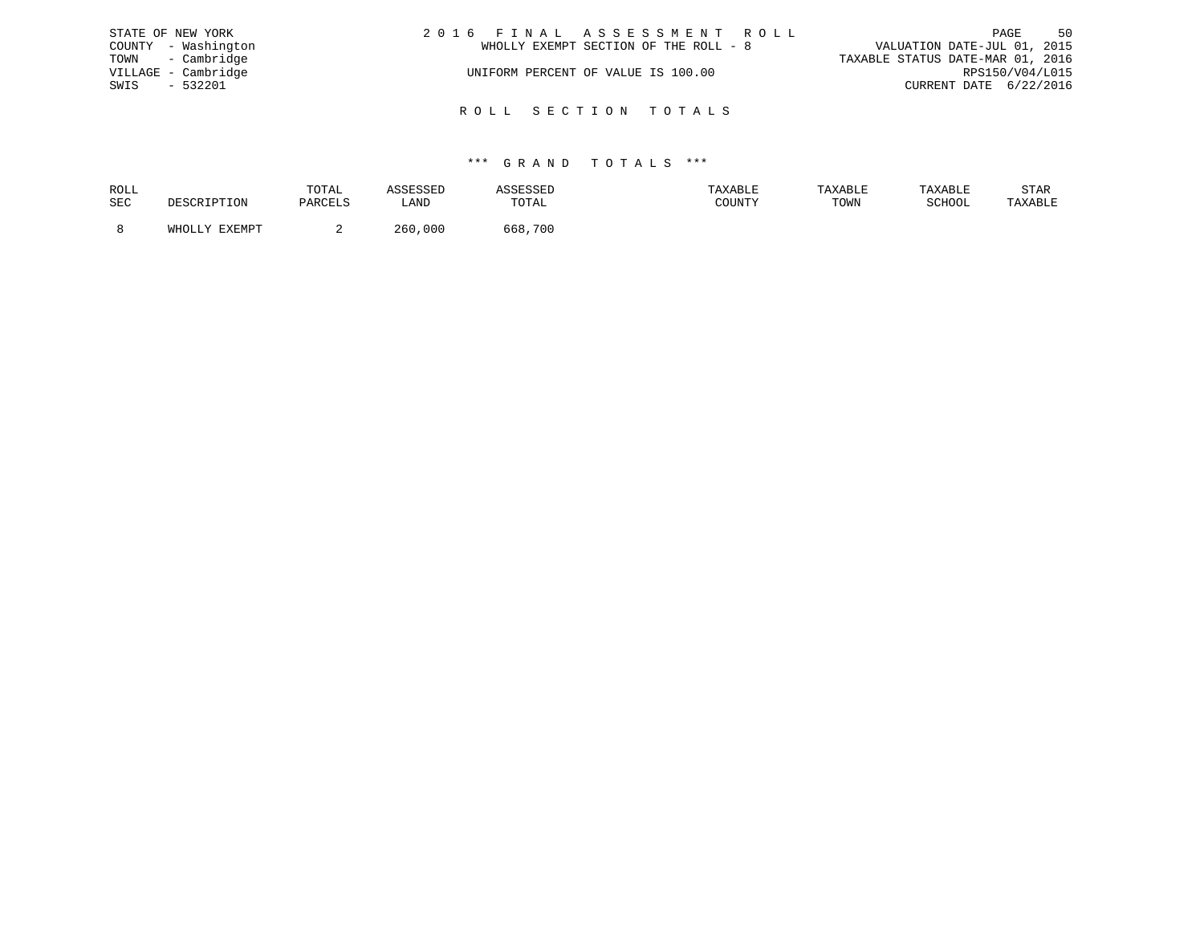|      | STATE OF NEW YORK   | 2016 FINAL ASSESSMENT ROLL            | 50<br>PAGE                       |
|------|---------------------|---------------------------------------|----------------------------------|
|      | COUNTY - Washington | WHOLLY EXEMPT SECTION OF THE ROLL - 8 | VALUATION DATE-JUL 01, 2015      |
|      | TOWN - Cambridge    |                                       | TAXABLE STATUS DATE-MAR 01, 2016 |
|      | VILLAGE - Cambridge | UNIFORM PERCENT OF VALUE IS 100.00    | RPS150/V04/L015                  |
| SWIS | $-532201$           |                                       | CURRENT DATE 6/22/2016           |
|      |                     |                                       |                                  |
|      |                     | ROLL SECTION TOTALS                   |                                  |

| ROLL |               | TOTAL       | .           | .           | .AXABLE                  |      |        | STAR    |
|------|---------------|-------------|-------------|-------------|--------------------------|------|--------|---------|
| SEC  |               | י דים מים ה | ∟AND        | TOTAL       | $C0$ $T1$ $T1$ $T1$ $T1$ | TOWN | SCHOOL | TAXABLE |
|      |               |             |             |             |                          |      |        |         |
|      | <b>DVDMDT</b> | -           | 260<br>.000 | 568.<br>700 |                          |      |        |         |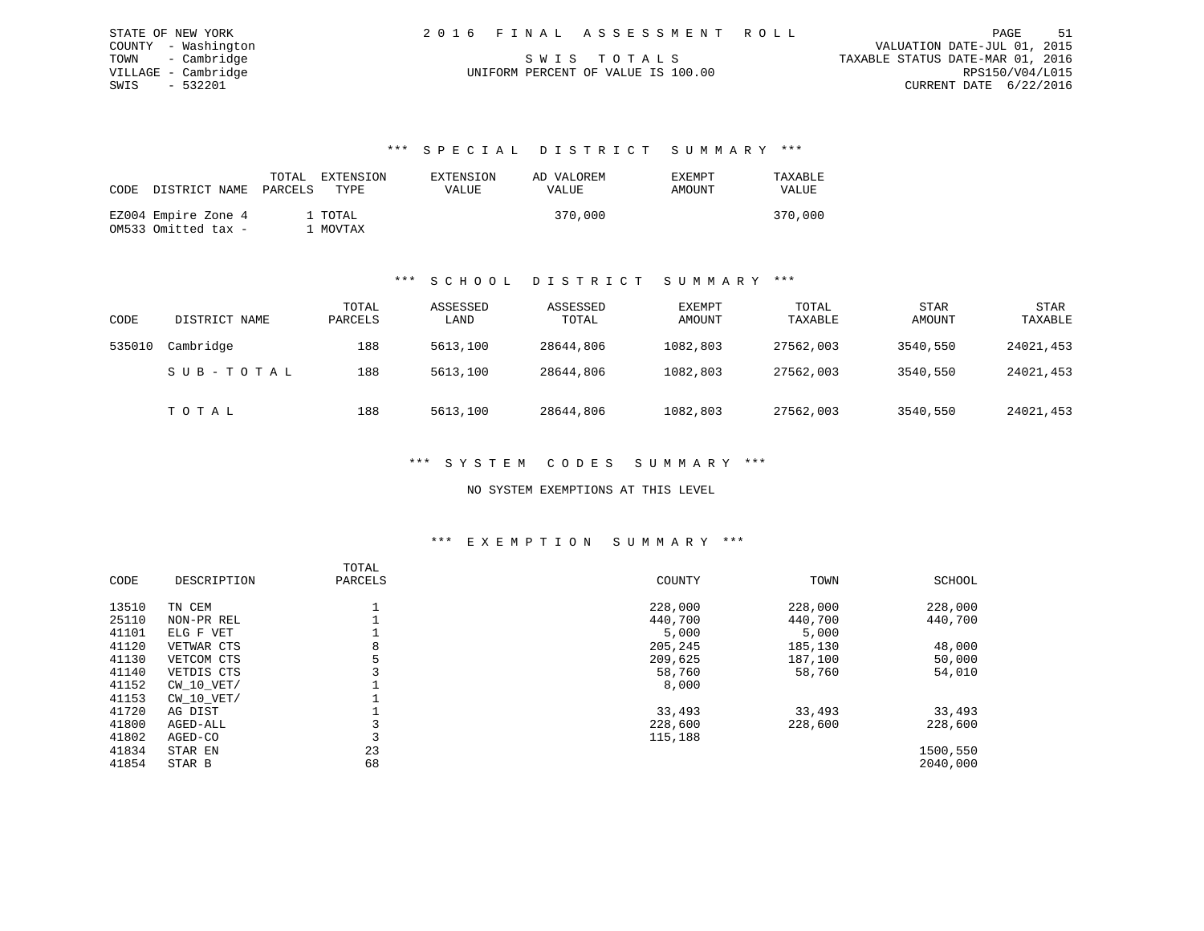| STATE OF NEW YORK   | 2016 FINAL ASSESSMENT ROLL         | - 51<br>PAGE                     |
|---------------------|------------------------------------|----------------------------------|
| COUNTY - Washington |                                    | VALUATION DATE-JUL 01, 2015      |
| TOWN - Cambridge    | SWIS TOTALS                        | TAXABLE STATUS DATE-MAR 01, 2016 |
| VILLAGE - Cambridge | UNIFORM PERCENT OF VALUE IS 100.00 | RPS150/V04/L015                  |
| - 532201<br>SWIS    |                                    | CURRENT DATE 6/22/2016           |

| CODE | DISTRICT NAME PARCELS                      | TOTAL | EXTENSION<br>TYPE.  | EXTENSION<br><b>VALUE</b> | AD VALOREM<br>VALUE | <b>EXEMPT</b><br>AMOUNT | TAXABLE<br><b>VALUE</b> |
|------|--------------------------------------------|-------|---------------------|---------------------------|---------------------|-------------------------|-------------------------|
|      | EZ004 Empire Zone 4<br>OM533 Omitted tax - |       | 1 TOTAL<br>1 MOVTAX |                           | 370,000             |                         | 370,000                 |

#### \*\*\* S C H O O L D I S T R I C T S U M M A R Y \*\*\*

| CODE   | DISTRICT NAME | TOTAL<br>PARCELS | ASSESSED<br>LAND | ASSESSED<br>TOTAL | <b>EXEMPT</b><br>AMOUNT | TOTAL<br>TAXABLE | <b>STAR</b><br>AMOUNT | STAR<br>TAXABLE |
|--------|---------------|------------------|------------------|-------------------|-------------------------|------------------|-----------------------|-----------------|
| 535010 | Cambridge     | 188              | 5613,100         | 28644,806         | 1082,803                | 27562,003        | 3540,550              | 24021,453       |
|        | SUB-TOTAL     | 188              | 5613,100         | 28644,806         | 1082,803                | 27562,003        | 3540,550              | 24021,453       |
|        | TOTAL         | 188              | 5613,100         | 28644,806         | 1082,803                | 27562,003        | 3540,550              | 24021,453       |

### \*\*\* S Y S T E M C O D E S S U M M A R Y \*\*\*

#### NO SYSTEM EXEMPTIONS AT THIS LEVEL

#### \*\*\* E X E M P T I O N S U M M A R Y \*\*\*

|       |                | TOTAL   |         |         |          |
|-------|----------------|---------|---------|---------|----------|
| CODE  | DESCRIPTION    | PARCELS | COUNTY  | TOWN    | SCHOOL   |
| 13510 | TN CEM         |         | 228,000 | 228,000 | 228,000  |
| 25110 | NON-PR REL     |         | 440,700 | 440,700 | 440,700  |
| 41101 | ELG F VET      |         | 5,000   | 5,000   |          |
| 41120 | VETWAR CTS     | 8       | 205,245 | 185,130 | 48,000   |
| 41130 | VETCOM CTS     |         | 209,625 | 187,100 | 50,000   |
| 41140 | VETDIS CTS     |         | 58,760  | 58,760  | 54,010   |
| 41152 | $CW$ 10 $VET/$ |         | 8,000   |         |          |
| 41153 | $CW$ 10 $VET/$ |         |         |         |          |
| 41720 | AG DIST        |         | 33,493  | 33,493  | 33,493   |
| 41800 | AGED-ALL       |         | 228,600 | 228,600 | 228,600  |
| 41802 | AGED-CO        |         | 115,188 |         |          |
| 41834 | STAR EN        | 23      |         |         | 1500,550 |
| 41854 | STAR B         | 68      |         |         | 2040,000 |
|       |                |         |         |         |          |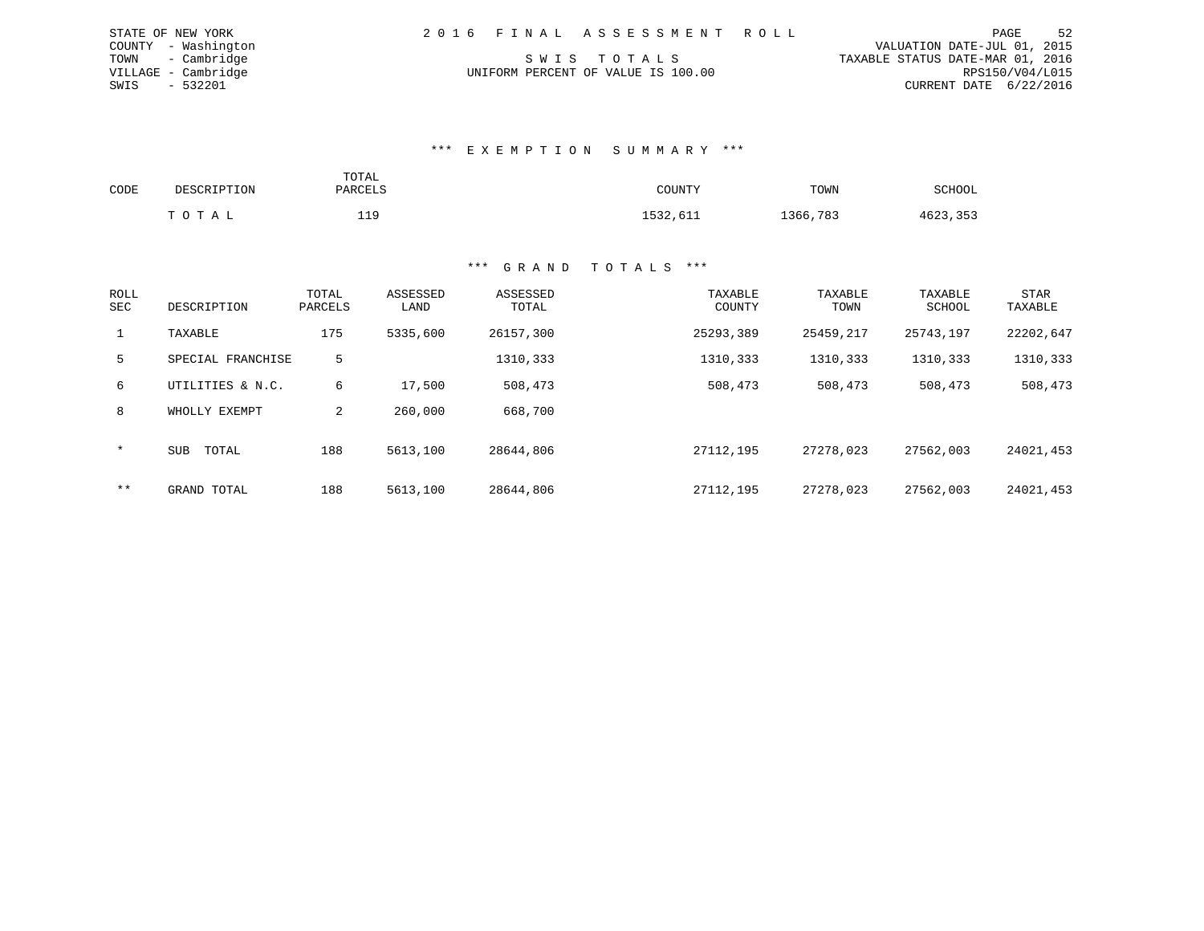|      | STATE OF NEW YORK   |  | 2016 FINAL ASSESSMENT ROLL         |                                  |                        | PAGE | 52 |
|------|---------------------|--|------------------------------------|----------------------------------|------------------------|------|----|
|      | COUNTY - Washington |  |                                    | VALUATION DATE-JUL 01, 2015      |                        |      |    |
|      | TOWN - Cambridge    |  | SWIS TOTALS                        | TAXABLE STATUS DATE-MAR 01, 2016 |                        |      |    |
|      | VILLAGE - Cambridge |  | UNIFORM PERCENT OF VALUE IS 100.00 |                                  | RPS150/V04/L015        |      |    |
| SWIS | - 532201            |  |                                    |                                  | CURRENT DATE 6/22/2016 |      |    |

#### \*\*\* E X E M P T I O N S U M M A R Y \*\*\*

| CODE | DESCRIPTION | TOTAL<br>PARCELS | COUNTY   | TOWN     | SCHOOL   |
|------|-------------|------------------|----------|----------|----------|
|      | TOTAL       | 119              | 1532,611 | 1366,783 | 4623,353 |

STATE OF NEW YORK

| <b>ROLL</b><br>SEC | DESCRIPTION         | TOTAL<br>PARCELS | ASSESSED<br>LAND | ASSESSED<br>TOTAL | TAXABLE<br>COUNTY | TAXABLE<br>TOWN | TAXABLE<br>SCHOOL | <b>STAR</b><br>TAXABLE |
|--------------------|---------------------|------------------|------------------|-------------------|-------------------|-----------------|-------------------|------------------------|
| $\mathbf{1}$       | TAXABLE             | 175              | 5335,600         | 26157,300         | 25293,389         | 25459,217       | 25743,197         | 22202,647              |
| 5                  | SPECIAL FRANCHISE   | 5                |                  | 1310,333          | 1310,333          | 1310,333        | 1310,333          | 1310,333               |
| 6                  | UTILITIES & N.C.    | 6                | 17,500           | 508,473           | 508,473           | 508,473         | 508,473           | 508,473                |
| 8                  | WHOLLY EXEMPT       | 2                | 260,000          | 668,700           |                   |                 |                   |                        |
| $\star$            | TOTAL<br><b>SUB</b> | 188              | 5613,100         | 28644,806         | 27112,195         | 27278,023       | 27562,003         | 24021,453              |
| $***$              | GRAND TOTAL         | 188              | 5613,100         | 28644,806         | 27112,195         | 27278,023       | 27562,003         | 24021,453              |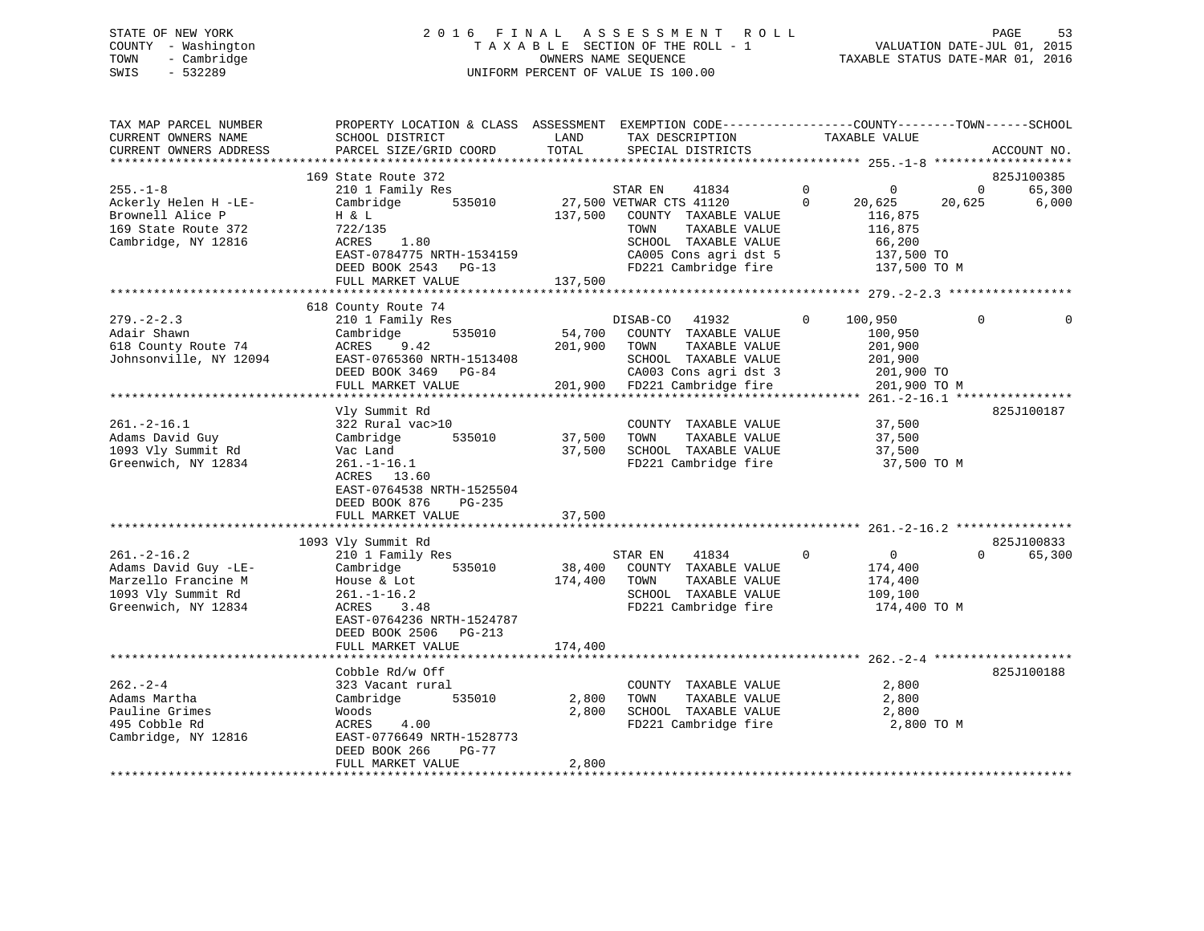# STATE OF NEW YORK 2 0 1 6 F I N A L A S S E S S M E N T R O L L PAGE 53 COUNTY - Washington T A X A B L E SECTION OF THE ROLL - 1 VALUATION DATE-JUL 01, 2015 TOWN - Cambridge OWNERS NAME SEQUENCE TAXABLE STATUS DATE-MAR 01, 2016 SWIS - 532289 UNIFORM PERCENT OF VALUE IS 100.00

| TAX MAP PARCEL NUMBER<br>CURRENT OWNERS NAME<br>CURRENT OWNERS ADDRESS | PROPERTY LOCATION & CLASS ASSESSMENT<br>SCHOOL DISTRICT<br>PARCEL SIZE/GRID COORD | LAND<br>TOTAL    | EXEMPTION CODE-----------------COUNTY-------TOWN------SCHOOL<br>TAX DESCRIPTION<br>SPECIAL DISTRICTS | TAXABLE VALUE               | ACCOUNT NO.            |
|------------------------------------------------------------------------|-----------------------------------------------------------------------------------|------------------|------------------------------------------------------------------------------------------------------|-----------------------------|------------------------|
|                                                                        |                                                                                   |                  |                                                                                                      |                             |                        |
|                                                                        | 169 State Route 372                                                               |                  |                                                                                                      |                             | 825J100385             |
| $255. - 1 - 8$                                                         | 210 1 Family Res                                                                  |                  | STAR EN<br>41834                                                                                     | $\mathbf 0$<br>0            | 65,300<br>$\mathbf{0}$ |
| Ackerly Helen H -LE-                                                   | Cambridge<br>535010                                                               |                  | 27,500 VETWAR CTS 41120                                                                              | $\Omega$<br>20,625          | 20,625<br>6,000        |
| Brownell Alice P                                                       | H & L                                                                             | 137,500          | COUNTY TAXABLE VALUE                                                                                 | 116,875                     |                        |
| 169 State Route 372                                                    | 722/135                                                                           |                  | TAXABLE VALUE<br>TOWN                                                                                | 116,875                     |                        |
| Cambridge, NY 12816                                                    | 1.80<br>ACRES                                                                     |                  | SCHOOL TAXABLE VALUE                                                                                 | 66,200                      |                        |
|                                                                        | EAST-0784775 NRTH-1534159                                                         |                  | CA005 Cons agri dst 5                                                                                | 137,500 TO                  |                        |
|                                                                        | DEED BOOK 2543 PG-13                                                              |                  | FD221 Cambridge fire                                                                                 | 137,500 TO M                |                        |
|                                                                        | FULL MARKET VALUE                                                                 | 137,500          |                                                                                                      |                             |                        |
|                                                                        |                                                                                   |                  |                                                                                                      |                             |                        |
|                                                                        | 618 County Route 74                                                               |                  |                                                                                                      |                             |                        |
| $279. - 2 - 2.3$                                                       | 210 1 Family Res                                                                  |                  | 41932<br>DISAB-CO                                                                                    | $\Omega$<br>100,950         | $\Omega$<br>0          |
| Adair Shawn                                                            | Cambridge<br>535010                                                               | 54,700           | COUNTY TAXABLE VALUE                                                                                 | 100,950                     |                        |
| 618 County Route 74                                                    | 9.42<br>ACRES                                                                     | 201,900          | TOWN<br>TAXABLE VALUE                                                                                | 201,900                     |                        |
| Johnsonville, NY 12094                                                 | EAST-0765360 NRTH-1513408                                                         |                  | SCHOOL TAXABLE VALUE                                                                                 | 201,900                     |                        |
|                                                                        | DEED BOOK 3469<br>PG-84                                                           |                  | CA003 Cons agri dst 3                                                                                | 201,900 TO                  |                        |
|                                                                        | FULL MARKET VALUE<br>*****************************                                |                  | 201,900 FD221 Cambridge fire                                                                         | 201,900 TO M                |                        |
|                                                                        |                                                                                   |                  |                                                                                                      | ******** 261.-2-16.1 ****   |                        |
|                                                                        | Vly Summit Rd                                                                     |                  |                                                                                                      |                             | 825J100187             |
| $261. -2 - 16.1$                                                       | 322 Rural vac>10<br>535010                                                        |                  | COUNTY TAXABLE VALUE                                                                                 | 37,500                      |                        |
| Adams David Guy<br>1093 Vly Summit Rd                                  | Cambridge                                                                         | 37,500<br>37,500 | TAXABLE VALUE<br>TOWN<br>SCHOOL TAXABLE VALUE                                                        | 37,500                      |                        |
| Greenwich, NY 12834                                                    | Vac Land<br>$261. - 1 - 16.1$                                                     |                  | FD221 Cambridge fire                                                                                 | 37,500<br>37,500 TO M       |                        |
|                                                                        | ACRES 13.60                                                                       |                  |                                                                                                      |                             |                        |
|                                                                        | EAST-0764538 NRTH-1525504                                                         |                  |                                                                                                      |                             |                        |
|                                                                        | DEED BOOK 876<br>PG-235                                                           |                  |                                                                                                      |                             |                        |
|                                                                        | FULL MARKET VALUE                                                                 | 37,500           |                                                                                                      |                             |                        |
|                                                                        |                                                                                   |                  |                                                                                                      |                             |                        |
|                                                                        | 1093 Vly Summit Rd                                                                |                  |                                                                                                      |                             | 825J100833             |
| $261. - 2 - 16.2$                                                      | 210 1 Family Res                                                                  |                  | STAR EN<br>41834                                                                                     | $\mathbf{0}$<br>$\mathbf 0$ | $\Omega$<br>65,300     |
| Adams David Guy -LE-                                                   | Cambridge<br>535010                                                               | 38,400           | COUNTY TAXABLE VALUE                                                                                 | 174,400                     |                        |
| Marzello Francine M                                                    | House & Lot                                                                       | 174,400          | TAXABLE VALUE<br>TOWN                                                                                | 174,400                     |                        |
| 1093 Vly Summit Rd                                                     | $261. - 1 - 16.2$                                                                 |                  | SCHOOL TAXABLE VALUE                                                                                 | 109,100                     |                        |
| Greenwich, NY 12834                                                    | ACRES<br>3.48                                                                     |                  | FD221 Cambridge fire                                                                                 | 174,400 TO M                |                        |
|                                                                        | EAST-0764236 NRTH-1524787                                                         |                  |                                                                                                      |                             |                        |
|                                                                        | DEED BOOK 2506<br>PG-213                                                          |                  |                                                                                                      |                             |                        |
|                                                                        | FULL MARKET VALUE                                                                 | 174,400          |                                                                                                      |                             |                        |
|                                                                        |                                                                                   |                  |                                                                                                      |                             |                        |
|                                                                        | Cobble Rd/w Off                                                                   |                  |                                                                                                      |                             | 825J100188             |
| $262 - 2 - 4$                                                          | 323 Vacant rural                                                                  |                  | COUNTY TAXABLE VALUE                                                                                 | 2,800                       |                        |
| Adams Martha                                                           | Cambridge<br>535010                                                               | 2,800            | TOWN<br>TAXABLE VALUE                                                                                | 2,800                       |                        |
| Pauline Grimes                                                         | Woods                                                                             | 2,800            | SCHOOL TAXABLE VALUE                                                                                 | 2,800                       |                        |
| 495 Cobble Rd                                                          | ACRES<br>4.00                                                                     |                  | FD221 Cambridge fire                                                                                 | 2,800 TO M                  |                        |
| Cambridge, NY 12816                                                    | EAST-0776649 NRTH-1528773                                                         |                  |                                                                                                      |                             |                        |
|                                                                        | DEED BOOK 266<br><b>PG-77</b>                                                     |                  |                                                                                                      |                             |                        |
|                                                                        | FULL MARKET VALUE                                                                 | 2,800            |                                                                                                      |                             |                        |
| *********************                                                  |                                                                                   |                  |                                                                                                      |                             |                        |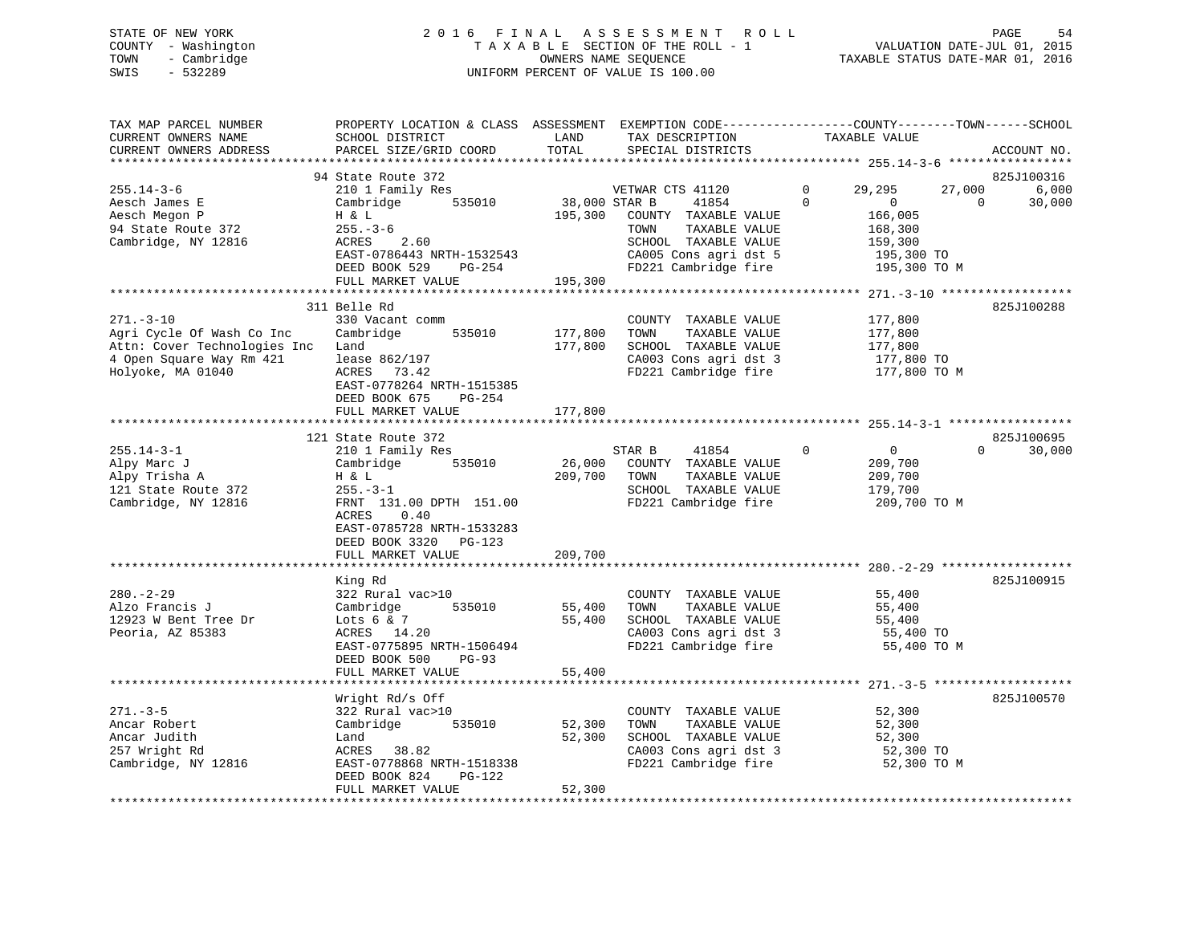# STATE OF NEW YORK 2 0 1 6 F I N A L A S S E S S M E N T R O L L PAGE 54 COUNTY - Washington T A X A B L E SECTION OF THE ROLL - 1 VALUATION DATE-JUL 01, 2015 TOWN - Cambridge OWNERS NAME SEQUENCE TAXABLE STATUS DATE-MAR 01, 2016 SWIS - 532289 UNIFORM PERCENT OF VALUE IS 100.00

| TAX MAP PARCEL NUMBER<br>CURRENT OWNERS NAME<br>CURRENT OWNERS ADDRESS<br>********************                                | PROPERTY LOCATION & CLASS ASSESSMENT<br>SCHOOL DISTRICT<br>PARCEL SIZE/GRID COORD                                                                                                            | LAND<br>TOTAL                       | TAX DESCRIPTION<br>SPECIAL DISTRICTS                                                                                                                | EXEMPTION CODE-----------------COUNTY-------TOWN------SCHOOL<br>TAXABLE VALUE                                      | ACCOUNT NO.<br>*****************          |
|-------------------------------------------------------------------------------------------------------------------------------|----------------------------------------------------------------------------------------------------------------------------------------------------------------------------------------------|-------------------------------------|-----------------------------------------------------------------------------------------------------------------------------------------------------|--------------------------------------------------------------------------------------------------------------------|-------------------------------------------|
| $255.14 - 3 - 6$<br>Aesch James E<br>Aesch Megon P<br>94 State Route 372<br>Cambridge, NY 12816                               | 94 State Route 372<br>210 1 Family Res<br>535010<br>Cambridge<br>H & L<br>$255. - 3 - 6$<br>ACRES<br>2.60<br>EAST-0786443 NRTH-1532543<br>DEED BOOK 529<br>PG-254<br>FULL MARKET VALUE       | 38,000 STAR B<br>195,300<br>195,300 | VETWAR CTS 41120<br>41854<br>COUNTY TAXABLE VALUE<br>TOWN<br>TAXABLE VALUE<br>SCHOOL TAXABLE VALUE<br>CA005 Cons agri dst 5<br>FD221 Cambridge fire | 29,295<br>27,000<br>0<br>$\Omega$<br>$\overline{0}$<br>166,005<br>168,300<br>159,300<br>195,300 TO<br>195,300 TO M | 825J100316<br>6,000<br>$\Omega$<br>30,000 |
| $271. - 3 - 10$<br>Agri Cycle Of Wash Co Inc<br>Attn: Cover Technologies Inc<br>4 Open Square Way Rm 421<br>Holyoke, MA 01040 | 311 Belle Rd<br>330 Vacant comm<br>Cambridge<br>535010<br>Land<br>lease 862/197<br>ACRES<br>73.42<br>EAST-0778264 NRTH-1515385<br>DEED BOOK 675<br>$PG-254$<br>FULL MARKET VALUE             | 177,800<br>177,800<br>177,800       | COUNTY TAXABLE VALUE<br>TOWN<br>TAXABLE VALUE<br>SCHOOL TAXABLE VALUE<br>CA003 Cons agri dst 3<br>FD221 Cambridge fire                              | 177,800<br>177,800<br>177,800<br>177,800 TO<br>177,800 TO M                                                        | 825J100288                                |
|                                                                                                                               | 121 State Route 372                                                                                                                                                                          |                                     |                                                                                                                                                     | $255.14 - 3 - 1$ ****                                                                                              | 825J100695                                |
| $255.14 - 3 - 1$<br>Alpy Marc J<br>Alpy Trisha A<br>121 State Route 372<br>Cambridge, NY 12816                                | 210 1 Family Res<br>Cambridge<br>535010<br>H & L<br>$255. - 3 - 1$<br>FRNT 131.00 DPTH 151.00<br>0.40<br>ACRES<br>EAST-0785728 NRTH-1533283<br>DEED BOOK 3320<br>PG-123<br>FULL MARKET VALUE | 26,000<br>209,700<br>209,700        | STAR B<br>41854<br>COUNTY TAXABLE VALUE<br>TAXABLE VALUE<br>TOWN<br>SCHOOL TAXABLE VALUE<br>FD221 Cambridge fire                                    | $\Omega$<br>$\overline{0}$<br>209,700<br>209,700<br>179,700<br>209,700 TO M                                        | $\Omega$<br>30,000                        |
|                                                                                                                               | ***********************                                                                                                                                                                      | *************                       |                                                                                                                                                     |                                                                                                                    |                                           |
| $280. - 2 - 29$<br>Alzo Francis J<br>12923 W Bent Tree Dr<br>Peoria, AZ 85383                                                 | King Rd<br>322 Rural vac>10<br>Cambridge<br>535010<br>Lots $6 & 7$<br>ACRES 14.20<br>EAST-0775895 NRTH-1506494<br>DEED BOOK 500<br>$PG-93$<br>FULL MARKET VALUE                              | 55,400<br>55,400<br>55,400          | COUNTY TAXABLE VALUE<br>TOWN<br>TAXABLE VALUE<br>SCHOOL TAXABLE VALUE<br>CA003 Cons agri dst 3<br>FD221 Cambridge fire                              | 55,400<br>55,400<br>55,400<br>55,400 TO<br>55,400 TO M                                                             | 825J100915                                |
|                                                                                                                               |                                                                                                                                                                                              |                                     |                                                                                                                                                     |                                                                                                                    |                                           |
| $271. - 3 - 5$<br>Ancar Robert<br>Ancar Judith<br>257 Wright Rd<br>Cambridge, NY 12816                                        | Wright Rd/s Off<br>322 Rural vac>10<br>535010<br>Cambridge<br>Land<br>ACRES<br>38.82<br>EAST-0778868 NRTH-1518338<br>DEED BOOK 824<br>PG-122<br>FULL MARKET VALUE                            | 52,300<br>52,300<br>52,300          | COUNTY TAXABLE VALUE<br>TAXABLE VALUE<br>TOWN<br>SCHOOL TAXABLE VALUE<br>CA003 Cons agri dst 3<br>FD221 Cambridge fire                              | 52,300<br>52,300<br>52,300<br>52,300 TO<br>52,300 TO M                                                             | 825J100570                                |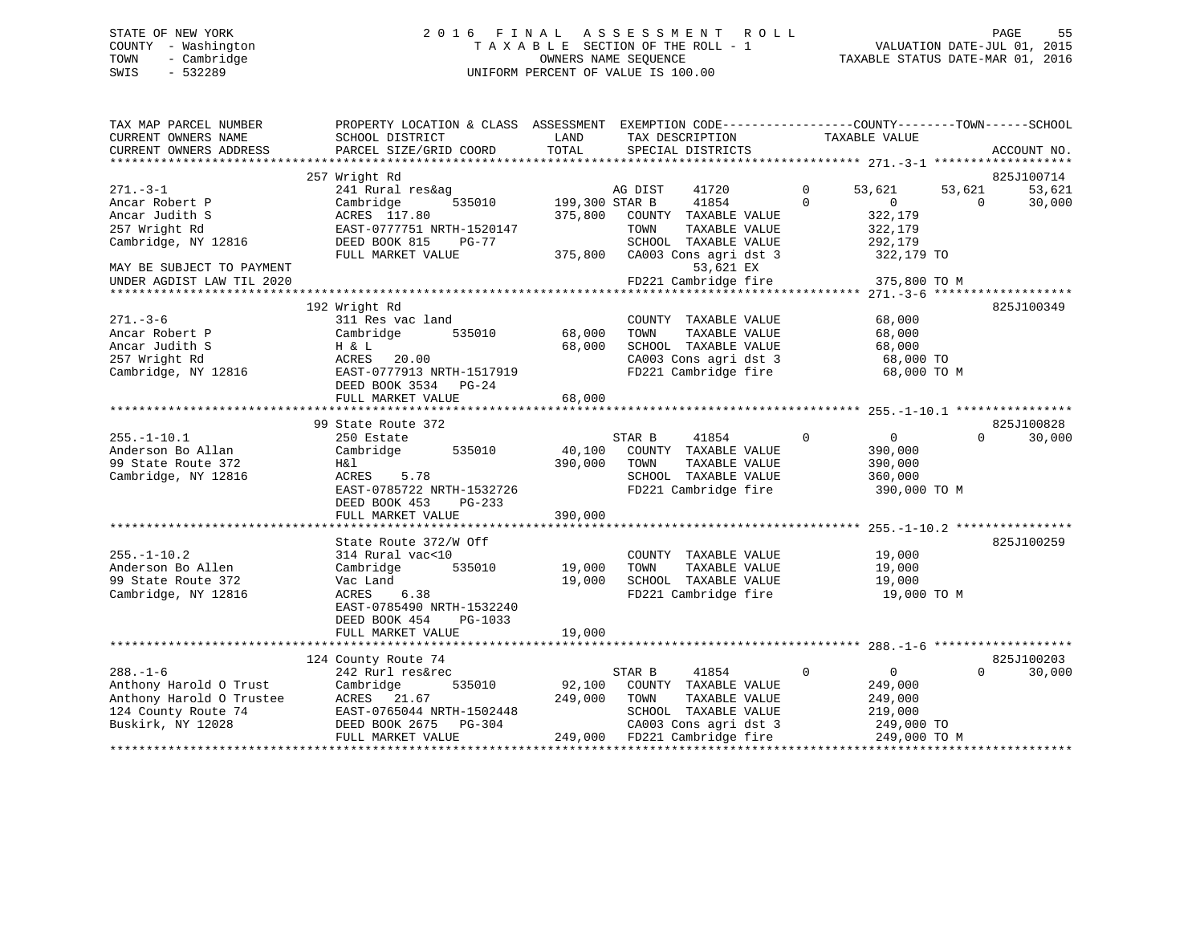### STATE OF NEW YORK STATE OF NEW YORK STATE OF NEW YORK STATE OF NEW YORK STATE OF NEW YORK STATE ASSESSMENT ROLL COUNTY - Washington  $T A X A B L E$  SECTION OF THE ROLL - 1<br>TOWN - Cambridge  $\qquad$  OWNERS NAME SEQUENCE TOWN - Cambridge OWNERS NAME SEQUENCE TAXABLE STATUS DATE-MAR 01, 2016 SWIS - 532289 UNIFORM PERCENT OF VALUE IS 100.00

| TAX MAP PARCEL NUMBER<br>CURRENT OWNERS NAME<br>CURRENT OWNERS ADDRESS | PROPERTY LOCATION & CLASS ASSESSMENT EXEMPTION CODE---------------COUNTY-------TOWN-----SCHOOL<br>SCHOOL DISTRICT<br>PARCEL SIZE/GRID COORD | LAND<br>TOTAL  | TAX DESCRIPTION<br>SPECIAL DISTRICTS | TAXABLE VALUE               | ACCOUNT NO.        |
|------------------------------------------------------------------------|---------------------------------------------------------------------------------------------------------------------------------------------|----------------|--------------------------------------|-----------------------------|--------------------|
|                                                                        |                                                                                                                                             |                |                                      |                             | *****              |
|                                                                        | 257 Wright Rd                                                                                                                               |                |                                      |                             | 825J100714         |
| $271. - 3 - 1$                                                         | 241 Rural res&ag                                                                                                                            |                | AG DIST<br>41720                     | $\mathbf 0$<br>53,621       | 53,621<br>53,621   |
| Ancar Robert P                                                         | Cambridge<br>535010                                                                                                                         | 199,300 STAR B | 41854                                | $\Omega$<br>$\Omega$        | $\Omega$<br>30,000 |
| Ancar Judith S                                                         | ACRES 117.80                                                                                                                                | 375,800        | COUNTY TAXABLE VALUE                 | 322,179                     |                    |
| 257 Wright Rd                                                          | EAST-0777751 NRTH-1520147                                                                                                                   |                | TOWN<br>TAXABLE VALUE                | 322,179                     |                    |
| Cambridge, NY 12816                                                    | DEED BOOK 815<br>$PG-77$                                                                                                                    |                | SCHOOL TAXABLE VALUE                 | 292,179                     |                    |
|                                                                        | FULL MARKET VALUE                                                                                                                           | 375,800        | CA003 Cons agri dst 3                | 322,179 TO                  |                    |
| MAY BE SUBJECT TO PAYMENT                                              |                                                                                                                                             |                | 53,621 EX                            |                             |                    |
| UNDER AGDIST LAW TIL 2020                                              |                                                                                                                                             |                | FD221 Cambridge fire                 | 375,800 TO M                |                    |
|                                                                        |                                                                                                                                             |                |                                      |                             |                    |
| $271. - 3 - 6$                                                         | 192 Wright Rd<br>311 Res vac land                                                                                                           |                | COUNTY TAXABLE VALUE                 | 68,000                      | 825J100349         |
| Ancar Robert P                                                         | 535010<br>Cambridge                                                                                                                         | 68,000         | TOWN<br>TAXABLE VALUE                | 68,000                      |                    |
| Ancar Judith S                                                         | H & L                                                                                                                                       | 68,000         | SCHOOL TAXABLE VALUE                 | 68,000                      |                    |
| 257 Wright Rd                                                          | ACRES<br>20.00                                                                                                                              |                | CA003 Cons agri dst 3                | 68,000 TO                   |                    |
| Cambridge, NY 12816                                                    | EAST-0777913 NRTH-1517919                                                                                                                   |                | FD221 Cambridge fire                 | 68,000 TO M                 |                    |
|                                                                        | DEED BOOK 3534 PG-24                                                                                                                        |                |                                      |                             |                    |
|                                                                        | FULL MARKET VALUE                                                                                                                           | 68,000         |                                      |                             |                    |
|                                                                        |                                                                                                                                             |                |                                      |                             |                    |
|                                                                        | 99 State Route 372                                                                                                                          |                |                                      |                             | 825J100828         |
| $255. - 1 - 10.1$                                                      | 250 Estate                                                                                                                                  |                | STAR B<br>41854                      | $\mathbf 0$<br>$\mathbf{0}$ | $\Omega$<br>30,000 |
| Anderson Bo Allan                                                      | Cambridge<br>535010                                                                                                                         | 40,100         | COUNTY TAXABLE VALUE                 | 390,000                     |                    |
| 99 State Route 372                                                     | Η&l                                                                                                                                         | 390,000        | TAXABLE VALUE<br>TOWN                | 390,000                     |                    |
| Cambridge, NY 12816                                                    | ACRES<br>5.78                                                                                                                               |                | SCHOOL TAXABLE VALUE                 | 360,000                     |                    |
|                                                                        | EAST-0785722 NRTH-1532726                                                                                                                   |                | FD221 Cambridge fire                 | 390,000 TO M                |                    |
|                                                                        | DEED BOOK 453<br>$PG-233$                                                                                                                   |                |                                      |                             |                    |
|                                                                        | FULL MARKET VALUE                                                                                                                           | 390,000        |                                      |                             |                    |
|                                                                        |                                                                                                                                             |                |                                      |                             |                    |
|                                                                        | State Route 372/W Off                                                                                                                       |                |                                      |                             | 825J100259         |
| $255. - 1 - 10.2$                                                      | 314 Rural vac<10                                                                                                                            |                | COUNTY TAXABLE VALUE                 | 19,000                      |                    |
| Anderson Bo Allen                                                      | Cambridge<br>535010                                                                                                                         | 19,000         | TAXABLE VALUE<br>TOWN                | 19,000                      |                    |
| 99 State Route 372                                                     | Vac Land                                                                                                                                    | 19,000         | SCHOOL TAXABLE VALUE                 | 19,000                      |                    |
| Cambridge, NY 12816                                                    | 6.38<br>ACRES                                                                                                                               |                | FD221 Cambridge fire                 | 19,000 TO M                 |                    |
|                                                                        | EAST-0785490 NRTH-1532240                                                                                                                   |                |                                      |                             |                    |
|                                                                        | DEED BOOK 454<br>PG-1033                                                                                                                    |                |                                      |                             |                    |
|                                                                        | FULL MARKET VALUE                                                                                                                           | 19,000         |                                      |                             |                    |
|                                                                        | 124 County Route 74                                                                                                                         |                |                                      |                             | 825J100203         |
| $288. - 1 - 6$                                                         | 242 Rurl res&rec                                                                                                                            |                | 41854<br>STAR B                      | $\mathbf 0$<br>$\mathbf{0}$ | 30,000<br>$\Omega$ |
| Anthony Harold O Trust                                                 | 535010<br>Cambridge                                                                                                                         | 92,100         | COUNTY TAXABLE VALUE                 | 249,000                     |                    |
| Anthony Harold O Trustee                                               | ACRES 21.67                                                                                                                                 | 249,000        | TOWN<br>TAXABLE VALUE                | 249,000                     |                    |
| 124 County Route 74                                                    | EAST-0765044 NRTH-1502448                                                                                                                   |                | SCHOOL TAXABLE VALUE                 | 219,000                     |                    |
| Buskirk, NY 12028                                                      | DEED BOOK 2675<br>PG-304                                                                                                                    |                | CA003 Cons agri dst 3                | 249,000 TO                  |                    |
|                                                                        | FULL MARKET VALUE                                                                                                                           | 249,000        | FD221 Cambridge fire                 | 249,000 TO M                |                    |
|                                                                        |                                                                                                                                             |                |                                      |                             |                    |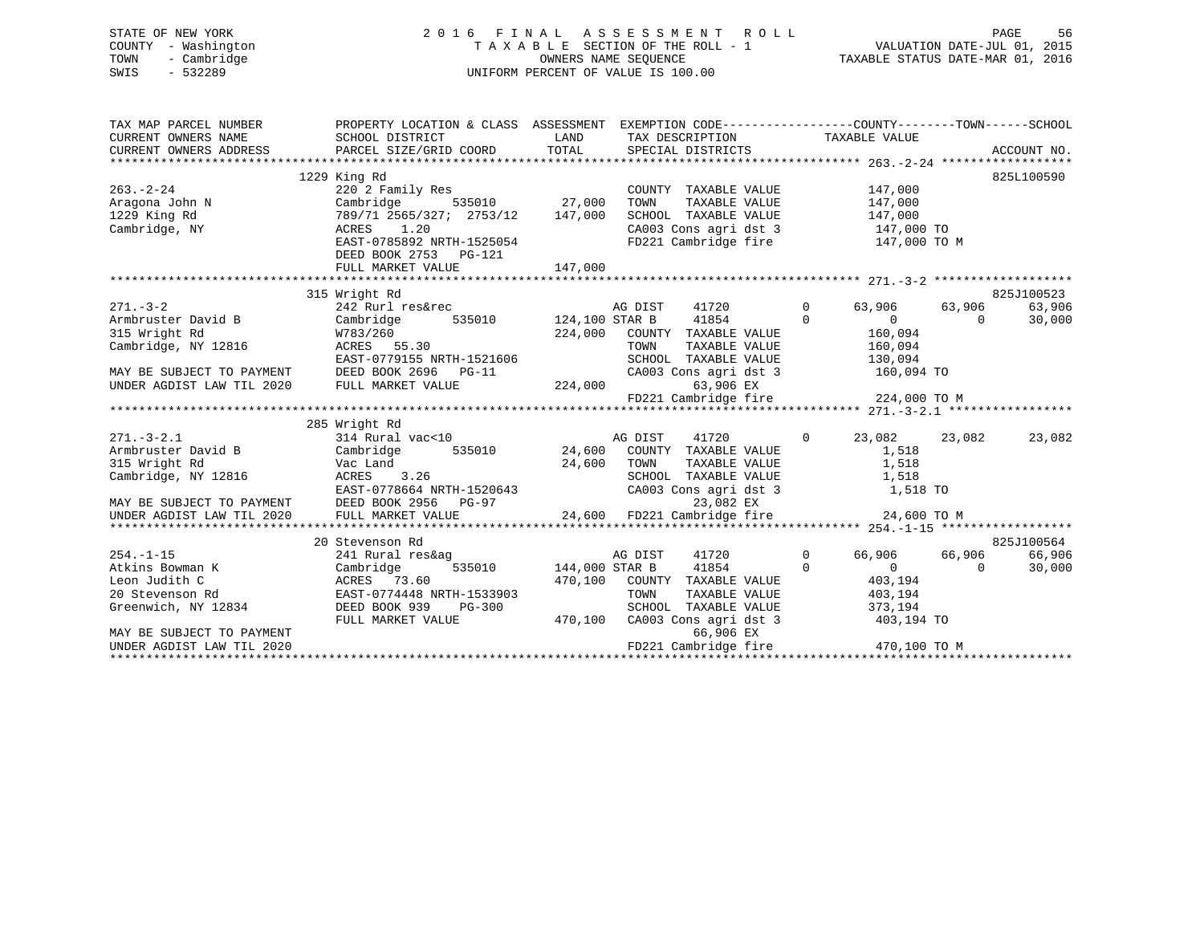# STATE OF NEW YORK 2 0 1 6 F I N A L A S S E S S M E N T R O L L PAGE 56 COUNTY - Washington T A X A B L E SECTION OF THE ROLL - 1 VALUATION DATE-JUL 01, 2015 TOWN - Cambridge OWNERS NAME SEQUENCE TAXABLE STATUS DATE-MAR 01, 2016 SWIS - 532289 UNIFORM PERCENT OF VALUE IS 100.00

| TAX MAP PARCEL NUMBER                                                                                                                                  | PROPERTY LOCATION & CLASS ASSESSMENT EXEMPTION CODE---------------COUNTY-------TOWN------SCHOOL<br>CURRENT OWNERS NAME SCHOOL DISTRICT THAND TAX DESCRIPTION<br>CURRENT OWNERS ADDRESS TARCEL SIZE/GRID COORD TOTAL SPECIAL DISTRICTS                                                                                                                                                                                                                            |                            | TAX DESCRIPTION TAXABLE VALUE                                                                                                                                                                                                                      |                                                                                                |                           |                                |
|--------------------------------------------------------------------------------------------------------------------------------------------------------|------------------------------------------------------------------------------------------------------------------------------------------------------------------------------------------------------------------------------------------------------------------------------------------------------------------------------------------------------------------------------------------------------------------------------------------------------------------|----------------------------|----------------------------------------------------------------------------------------------------------------------------------------------------------------------------------------------------------------------------------------------------|------------------------------------------------------------------------------------------------|---------------------------|--------------------------------|
| $263 - 2 - 24$<br>200.-2-24<br>Aragona John N<br>1229 King Rd<br>Cambridge, NY                                                                         | 1229 King Rd<br>220 2 Family Res<br>Cambridge 535010 27,000<br>789/71 2565/327; 2753/12 147,000<br>ACRES 1 20<br>ACRES 1.20<br>EAST-0785892 NRTH-1525054<br>DEED BOOK 2753 PG-121                                                                                                                                                                                                                                                                                |                            | COUNTY TAXABLE VALUE<br>TOWN TAXABLE VALUE $147,000$<br>SCHOOL TAXABLE VALUE $147,000$<br>CA003 Cons agri dst 3 147,000 TO<br>FD221 Cambridge fire 147,000 TO M                                                                                    | 147,000                                                                                        |                           | 825L100590                     |
|                                                                                                                                                        |                                                                                                                                                                                                                                                                                                                                                                                                                                                                  |                            |                                                                                                                                                                                                                                                    |                                                                                                |                           |                                |
|                                                                                                                                                        | EAST-0779155 NRTH-1521606                                                                                                                                                                                                                                                                                                                                                                                                                                        |                            | $\overline{0}$<br>41720<br>41854 0<br>$224,000 \qquad \text{COUNTY} \qquad \text{TAXABLE} \qquad \text{VALUE} \qquad \qquad 160,094$ $\text{TONN} \qquad \text{TAXABLE} \qquad \text{VALUE} \qquad \qquad 160,094$<br>SCHOOL TAXABLE VALUE 130,094 | 63,906<br>$\overline{0}$<br>160,094                                                            | 63,906<br>$\Omega$        | 825J100523<br>63,906<br>30,000 |
|                                                                                                                                                        | MAY BE SUBJECT TO PAYMENT DEED BOOK 2696 PG-11 $224,000$<br>UNDER AGDIST LAW TIL 2020 FULL MARKET VALUE 224,000                                                                                                                                                                                                                                                                                                                                                  |                            | CA003 Cons agri dst 3 160,094 TO<br>63,906 EX                                                                                                                                                                                                      |                                                                                                |                           |                                |
|                                                                                                                                                        |                                                                                                                                                                                                                                                                                                                                                                                                                                                                  |                            |                                                                                                                                                                                                                                                    |                                                                                                |                           |                                |
|                                                                                                                                                        | 285 Wright Rd<br>$\begin{array}{cccccccc} & & & & & 285 \text{ Wright ka} & & & & & & & 285 \text{Wright} & \text{kg} & & & & & & & 285 \text{Wright} & \text{kg} & & & & & & & 285 \text{Wright} & \text{kg} & & & & & & & & 285 \text{Wright} & \text{kg} & & & & & & & & & 285 \text{Wright} & \text{g} & & & & & & & & & & 285 \text{Wright} & \text{g} & & & & & & & & & & 285 \text{Wright} & \text{g} & & & & & & & & & & & 285 \text{Wright} & \text{g}$ |                            | CA003 Cons agri dst 3 1,518 TO                                                                                                                                                                                                                     |                                                                                                | 23,082 23,082             | 23,082                         |
|                                                                                                                                                        |                                                                                                                                                                                                                                                                                                                                                                                                                                                                  |                            |                                                                                                                                                                                                                                                    |                                                                                                |                           |                                |
|                                                                                                                                                        | 20 Stevenson Rd                                                                                                                                                                                                                                                                                                                                                                                                                                                  |                            |                                                                                                                                                                                                                                                    |                                                                                                |                           | 825J100564                     |
| $254. -1 - 15$<br>Atkins Bowman K<br>Leon Judith C<br>20 Stevenson Rd<br>Greenwich, NY 12834<br>MAY BE SUBJECT TO PAYMENT<br>UNDER AGDIST LAW TIL 2020 | 241 Rural res&ag<br>Cambridge<br>ACRES       73<br>EAST-07744<br>ACRES 73.60<br>EAST-0774448 NRTH-1533903<br>DEED BOOK 939<br><b>PG-300</b><br>FULL MARKET VALUE                                                                                                                                                                                                                                                                                                 | 3<br>535010 144,000 STAR B | 41720<br>41854<br>470,100 COUNTY TAXABLE VALUE<br>TOWN<br>TAXABLE VALUE<br>SCHOOL TAXABLE VALUE<br>470,100 CA003 Cons agri dst 3<br>66,906 EX                                                                                                      | $\overline{0}$<br>$\mathbf 0$<br>$\overline{0}$<br>403,194<br>403,194<br>373,194<br>403,194 TO | 66,906 66,906<br>$\Omega$ | 66,906<br>30,000               |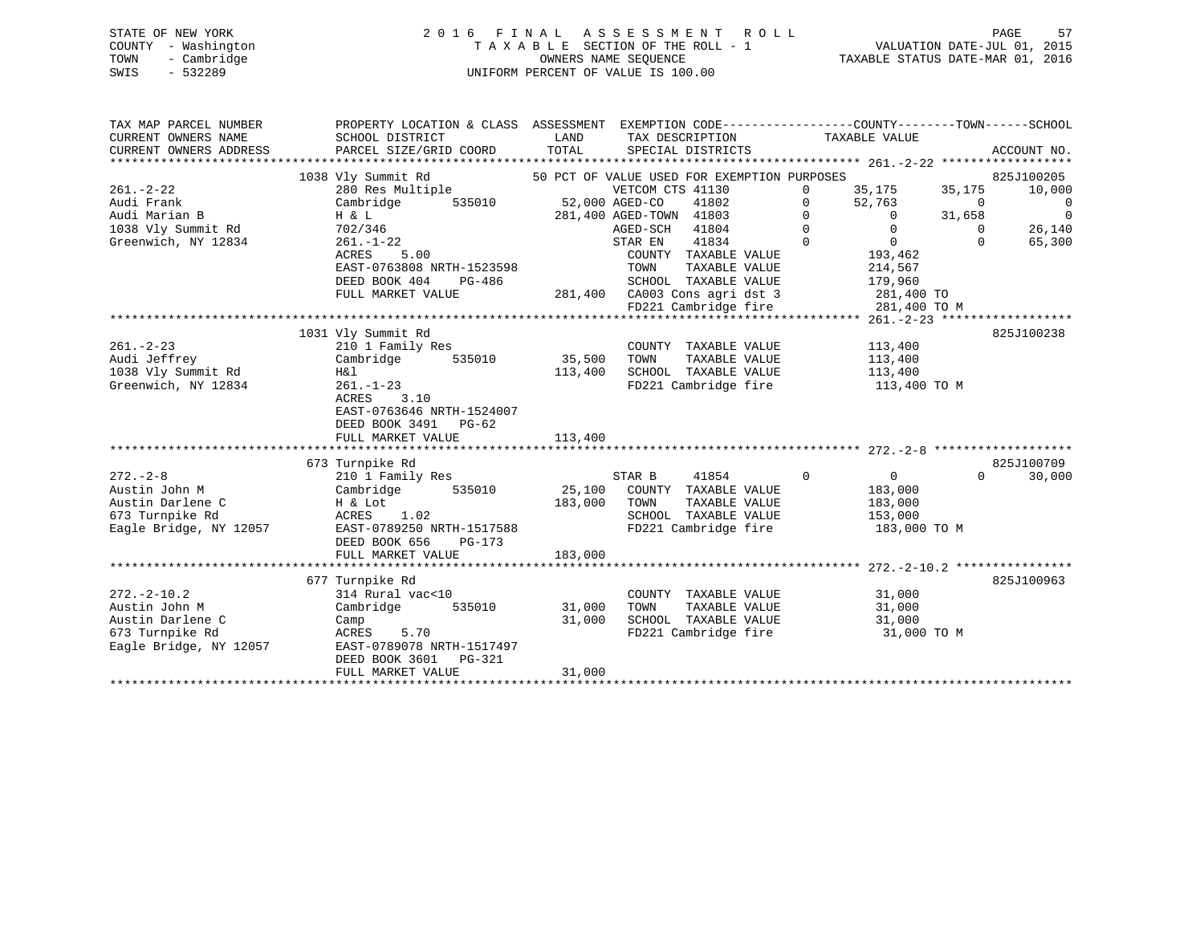| STATE OF NEW YORK   | 2016 FINAL ASSESSMENT ROLL         | 57<br>PAGE                       |
|---------------------|------------------------------------|----------------------------------|
| COUNTY - Washington | TAXABLE SECTION OF THE ROLL - 1    | VALUATION DATE-JUL 01, 2015      |
| - Cambridge<br>TOWN | OWNERS NAME SEOUENCE               | TAXABLE STATUS DATE-MAR 01, 2016 |
| $-532289$<br>SWIS   | UNIFORM PERCENT OF VALUE IS 100.00 |                                  |

| TAX MAP PARCEL NUMBER<br>CURRENT OWNERS NAME<br>CURRENT OWNERS ADDRESS | PROPERTY LOCATION & CLASS ASSESSMENT EXEMPTION CODE----------------COUNTY-------TOWN-----SCHOOL<br>SCHOOL DISTRICT<br>PARCEL SIZE/GRID COORD | LAND<br>TOTAL | TAX DESCRIPTION<br>SPECIAL DISTRICTS        | TAXABLE VALUE                    | ACCOUNT NO.        |                |
|------------------------------------------------------------------------|----------------------------------------------------------------------------------------------------------------------------------------------|---------------|---------------------------------------------|----------------------------------|--------------------|----------------|
|                                                                        | 1038 Vly Summit Rd                                                                                                                           |               | 50 PCT OF VALUE USED FOR EXEMPTION PURPOSES |                                  | 825J100205         |                |
| $261. - 2 - 22$                                                        | 280 Res Multiple                                                                                                                             |               | VETCOM CTS 41130                            | 35,175<br>$\Omega$               | 35,175<br>10,000   |                |
| Audi Frank                                                             | Cambridge<br>535010                                                                                                                          |               | 52,000 AGED-CO<br>41802                     | $\mathbf 0$<br>52,763            | $\Omega$           | $\overline{0}$ |
| Audi Marian B                                                          | H & L                                                                                                                                        |               | 281,400 AGED-TOWN 41803                     | $\mathbf{0}$<br>$\overline{0}$   | 31,658             | $\Omega$       |
| 1038 Vly Summit Rd                                                     | 702/346                                                                                                                                      |               | AGED-SCH 41804                              | $\Omega$<br>$\Omega$             | $\Omega$<br>26,140 |                |
| Greenwich, NY 12834                                                    | $261. - 1 - 22$                                                                                                                              |               | 41834<br>STAR EN                            | $\Omega$<br>$\overline{0}$       | $\Omega$<br>65,300 |                |
|                                                                        | ACRES<br>5.00                                                                                                                                |               | COUNTY TAXABLE VALUE                        | 193,462                          |                    |                |
|                                                                        | EAST-0763808 NRTH-1523598                                                                                                                    |               | TAXABLE VALUE<br>TOWN                       | 214,567                          |                    |                |
|                                                                        | DEED BOOK 404<br>PG-486                                                                                                                      |               | SCHOOL TAXABLE VALUE                        | 179,960                          |                    |                |
|                                                                        | FULL MARKET VALUE                                                                                                                            |               | 281,400 CA003 Cons agri dst 3               | 281,400 TO                       |                    |                |
|                                                                        |                                                                                                                                              |               | FD221 Cambridge fire                        | 281,400 TO M                     |                    |                |
|                                                                        |                                                                                                                                              |               |                                             |                                  |                    |                |
|                                                                        | 1031 Vly Summit Rd                                                                                                                           |               |                                             |                                  | 825J100238         |                |
| $261. - 2 - 23$                                                        | 210 1 Family Res                                                                                                                             |               | COUNTY TAXABLE VALUE                        | 113,400                          |                    |                |
| Audi Jeffrey                                                           | Cambridge<br>535010                                                                                                                          | 35,500        | TAXABLE VALUE<br>TOWN                       | 113,400                          |                    |                |
| 1038 Vly Summit Rd                                                     | H&l                                                                                                                                          | 113,400       | SCHOOL TAXABLE VALUE                        | 113,400                          |                    |                |
| Greenwich, NY 12834                                                    | $261. - 1 - 23$                                                                                                                              |               | FD221 Cambridge fire                        | 113,400 TO M                     |                    |                |
|                                                                        | 3.10<br>ACRES<br>EAST-0763646 NRTH-1524007<br>DEED BOOK 3491 PG-62<br>FULL MARKET VALUE                                                      | 113,400       |                                             |                                  |                    |                |
|                                                                        |                                                                                                                                              |               |                                             |                                  |                    |                |
|                                                                        | 673 Turnpike Rd                                                                                                                              |               |                                             |                                  | 825J100709         |                |
| $272 - 2 - 8$                                                          | 210 1 Family Res                                                                                                                             |               | 41854<br>STAR B                             | $\overline{0}$<br>$\overline{0}$ | 30,000<br>$\Omega$ |                |
| Austin John M                                                          | Cambridge<br>535010                                                                                                                          |               | 25,100 COUNTY TAXABLE VALUE                 | 183,000                          |                    |                |
| Austin Darlene C                                                       | H & Lot                                                                                                                                      | 183,000       | TOWN<br>TAXABLE VALUE                       | 183,000                          |                    |                |
| 673 Turnpike Rd                                                        | ACRES 1.02                                                                                                                                   |               | SCHOOL TAXABLE VALUE                        | 153,000                          |                    |                |
| Eagle Bridge, NY 12057                                                 | EAST-0789250 NRTH-1517588                                                                                                                    |               | FD221 Cambridge fire                        | 183,000 TO M                     |                    |                |
|                                                                        | DEED BOOK 656<br>PG-173                                                                                                                      |               |                                             |                                  |                    |                |
|                                                                        | FULL MARKET VALUE                                                                                                                            | 183,000       |                                             |                                  |                    |                |
|                                                                        |                                                                                                                                              |               |                                             |                                  |                    |                |
|                                                                        | 677 Turnpike Rd                                                                                                                              |               |                                             |                                  | 825J100963         |                |
| $272 - 2 - 10.2$                                                       | 314 Rural vac<10                                                                                                                             |               | COUNTY TAXABLE VALUE                        | 31,000                           |                    |                |
| Austin John M                                                          | 535010<br>Cambridge                                                                                                                          | 31,000        | TOWN<br>TAXABLE VALUE                       | 31,000                           |                    |                |
| Austin Darlene C                                                       | Camp                                                                                                                                         | 31,000        | SCHOOL TAXABLE VALUE                        | 31,000                           |                    |                |
| 673 Turnpike Rd                                                        | ACRES<br>5.70                                                                                                                                |               | FD221 Cambridge fire                        |                                  |                    |                |
| Eagle Bridge, NY 12057                                                 | EAST-0789078 NRTH-1517497<br>DEED BOOK 3601<br>PG-321                                                                                        |               |                                             | 31,000 TO M                      |                    |                |
|                                                                        | FULL MARKET VALUE                                                                                                                            | 31,000        |                                             |                                  |                    |                |
|                                                                        |                                                                                                                                              |               |                                             |                                  |                    |                |
|                                                                        |                                                                                                                                              |               |                                             |                                  |                    |                |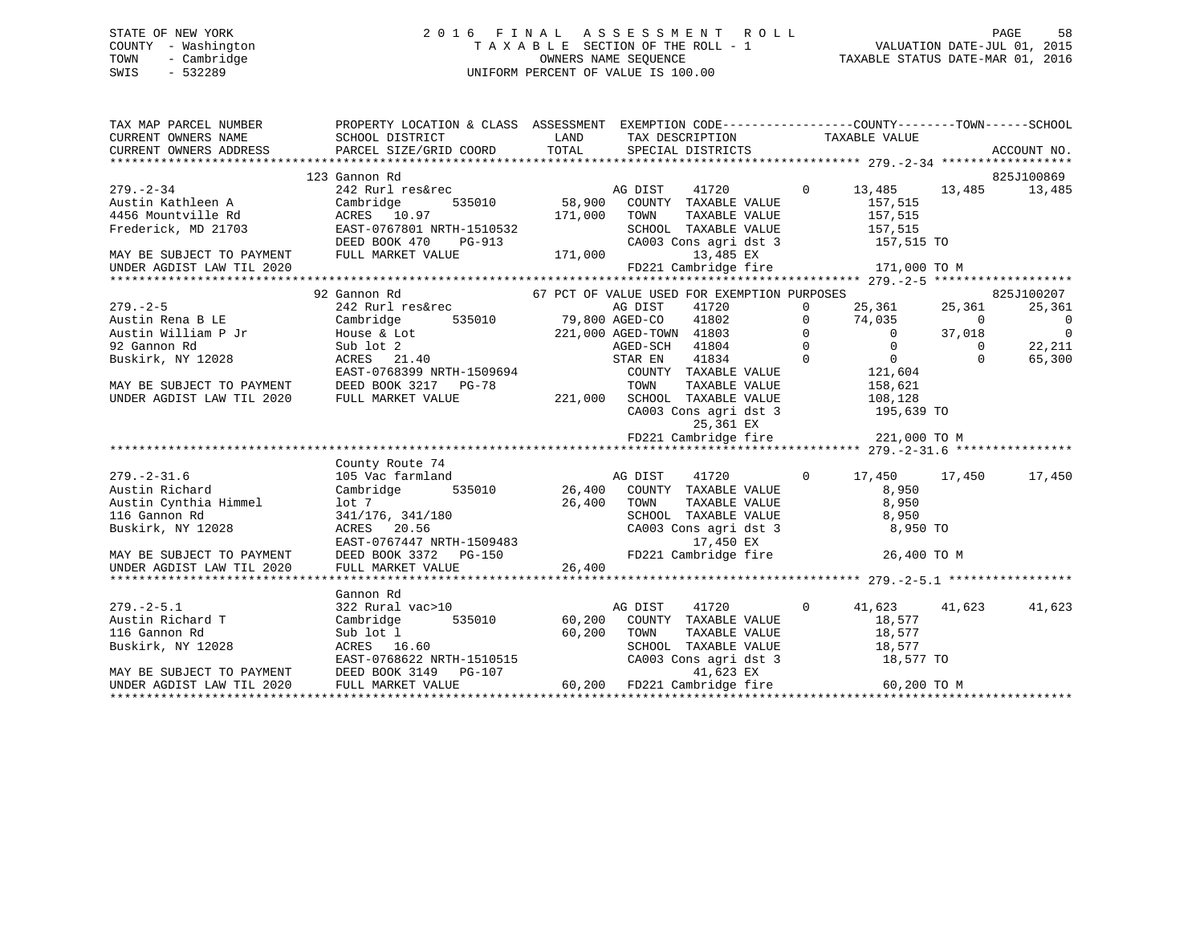# STATE OF NEW YORK 2 0 1 6 F I N A L A S S E S S M E N T R O L L PAGE 58 COUNTY - Washington T A X A B L E SECTION OF THE ROLL - 1 VALUATION DATE-JUL 01, 2015 TOWN - Cambridge OWNERS NAME SEQUENCE TAXABLE STATUS DATE-MAR 01, 2016 SWIS - 532289 UNIFORM PERCENT OF VALUE IS 100.00

| TAX MAP PARCEL NUMBER<br>CURRENT OWNERS ADDRESS                                                                                                     | PROPERTY LOCATION & CLASS ASSESSMENT EXEMPTION CODE---------------COUNTY-------TOWN------SCHOOL<br>SCHOOL DISTRICT                                                                                                                                          |              |                                               |                |                        |                          |
|-----------------------------------------------------------------------------------------------------------------------------------------------------|-------------------------------------------------------------------------------------------------------------------------------------------------------------------------------------------------------------------------------------------------------------|--------------|-----------------------------------------------|----------------|------------------------|--------------------------|
|                                                                                                                                                     |                                                                                                                                                                                                                                                             |              |                                               |                |                        |                          |
|                                                                                                                                                     | 123 Gannon Rd                                                                                                                                                                                                                                               |              |                                               |                |                        | 825J100869               |
| $279. - 2 - 34$                                                                                                                                     | 242 Rurl res&rec<br>242 Rurl res&rec<br>535010 58,900 COUNTY TAXABLE VALUE<br>The Taxable Country Taxable VALUE                                                                                                                                             |              | 41720                                         |                | 0 13,485 13,485 13,485 |                          |
|                                                                                                                                                     |                                                                                                                                                                                                                                                             |              |                                               |                | 157,515<br>157,515     |                          |
|                                                                                                                                                     |                                                                                                                                                                                                                                                             | 171,000 TOWN | TAXABLE VALUE                                 |                |                        |                          |
|                                                                                                                                                     | Frederick, MD 21703 EAST-0767801 NRTH-1510532                                                                                                                                                                                                               |              | SCHOOL TAXABLE VALUE 157,515                  |                |                        |                          |
|                                                                                                                                                     | Frederick, MD 21703 EAST-0767801 NRTH-1510532 SCHOOI<br>DEED BOOK 470 PG-913 CA003<br>MAY BE SUBJECT TO PAYMENT FULL MARKET VALUE 171,000                                                                                                                   |              | CA003 Cons agri dst 3 157,515 TO<br>13,485 EX |                |                        |                          |
| UNDER AGDIST LAW TIL 2020                                                                                                                           |                                                                                                                                                                                                                                                             |              | FD221 Cambridge fire 171,000 TO M             |                |                        |                          |
|                                                                                                                                                     |                                                                                                                                                                                                                                                             |              |                                               |                |                        |                          |
|                                                                                                                                                     | 92 Gannon Rd                                                                                                                                                                                                                                                |              | 67 PCT OF VALUE USED FOR EXEMPTION PURPOSES   |                |                        | 825J100207               |
|                                                                                                                                                     | 242 Rurl res&rec                                                                                                                                                                                                                                            |              |                                               |                |                        | 25,361                   |
|                                                                                                                                                     |                                                                                                                                                                                                                                                             |              |                                               |                |                        | $\overline{\phantom{0}}$ |
|                                                                                                                                                     |                                                                                                                                                                                                                                                             |              |                                               |                |                        | $\overline{\phantom{0}}$ |
|                                                                                                                                                     |                                                                                                                                                                                                                                                             |              |                                               |                |                        | 22,211                   |
|                                                                                                                                                     |                                                                                                                                                                                                                                                             |              |                                               |                |                        | 65,300                   |
|                                                                                                                                                     | 279.-2-5<br>Austin Rena BLE<br>242 Rurl res&rec<br>242 Rurl res&rec<br>242 Rurl res&rec<br>25,361<br>25,361<br>25,361<br>25,361<br>279.-2-5<br>279.-2-5<br>221,000 AGED-CO<br>221,000 AGED-CO<br>221,000 AGED-CO<br>221,000 AGED-CO<br>221,000 AGED-TOWN 41 |              |                                               |                |                        |                          |
|                                                                                                                                                     |                                                                                                                                                                                                                                                             |              |                                               |                |                        |                          |
| UNDER AGDIST LAW TIL 2020                                                                                                                           | FULL MARKET VALUE                                                                                                                                                                                                                                           |              | 221,000 SCHOOL TAXABLE VALUE 108,128          |                |                        |                          |
|                                                                                                                                                     |                                                                                                                                                                                                                                                             |              | $CAO03$ Cons agri dst 3<br>$25 - 361$ EX      |                | 195,639 TO             |                          |
|                                                                                                                                                     |                                                                                                                                                                                                                                                             |              | 25,361 EX                                     |                |                        |                          |
|                                                                                                                                                     |                                                                                                                                                                                                                                                             |              | FD221 Cambridge fire 221,000 TO M             |                |                        |                          |
|                                                                                                                                                     | County Route 74                                                                                                                                                                                                                                             |              |                                               |                |                        |                          |
|                                                                                                                                                     |                                                                                                                                                                                                                                                             |              |                                               |                | 17,450 17,450          | 17,450                   |
|                                                                                                                                                     |                                                                                                                                                                                                                                                             |              |                                               |                |                        |                          |
|                                                                                                                                                     |                                                                                                                                                                                                                                                             |              |                                               |                |                        |                          |
|                                                                                                                                                     |                                                                                                                                                                                                                                                             |              |                                               |                |                        |                          |
| .79.-2-31.6<br>Austin Richard Canada (Contain Cynthia Himmel 1)<br>Tightharpoon Rd 2014<br>Tightharpoon Contains 2014<br>Tightharpoon Contains 2014 |                                                                                                                                                                                                                                                             |              |                                               |                | 8,950 TO               |                          |
|                                                                                                                                                     |                                                                                                                                                                                                                                                             |              |                                               |                |                        |                          |
| MAY BE SUBJECT TO PAYMENT                                                                                                                           |                                                                                                                                                                                                                                                             |              |                                               |                | 26,400 TO M            |                          |
| UNDER AGDIST LAW TIL 2020                                                                                                                           | County Route 74<br>105 Vac farmland<br>Cambridge 535010 26,400 COUNTY TAXABLE VALUE 8,950<br>10 17,450<br>10 26,400 COUNTY TAXABLE VALUE 8,950<br>10 26,400 TOWN TAXABLE VALUE 8,950<br>341/176, 341/180<br>RCHOOL TAXABLE VALUE 8,950<br>26,4              |              |                                               |                |                        |                          |
|                                                                                                                                                     |                                                                                                                                                                                                                                                             |              |                                               |                |                        |                          |
|                                                                                                                                                     | Gannon Rd<br>Januoli Ku<br>322 Rural vac>10                                                                                                                                                                                                                 |              |                                               |                |                        |                          |
| $279. - 2 - 5.1$                                                                                                                                    |                                                                                                                                                                                                                                                             |              | AG DIST<br>41720                              | $\overline{0}$ | 41,623 41,623          | 41,623                   |
| Austin Richard T                                                                                                                                    | Cambridge                                                                                                                                                                                                                                                   |              | 535010 60,200 COUNTY TAXABLE VALUE            |                | 18,577                 |                          |
| 116 Gannon Rd                                                                                                                                       |                                                                                                                                                                                                                                                             |              |                                               |                |                        |                          |
| Buskirk, NY 12028                                                                                                                                   |                                                                                                                                                                                                                                                             |              |                                               |                |                        |                          |
| MAY BE SUBJECT TO PAYMENT                                                                                                                           |                                                                                                                                                                                                                                                             |              |                                               |                |                        |                          |
| UNDER AGDIST LAW TIL 2020                                                                                                                           | CONSERVATION CONSERVATION CONSERVATION CONSERVATION CONSERVATION CONSERVATION CONSERVATION CONSERVATION CONSERVATION CONSERVATION CONSERVATION CONSERVATION CONSERVATION CONSERVATION CONSERVATION CONSERVATION CONSERVATION C                              |              |                                               |                |                        |                          |
|                                                                                                                                                     |                                                                                                                                                                                                                                                             |              |                                               |                |                        |                          |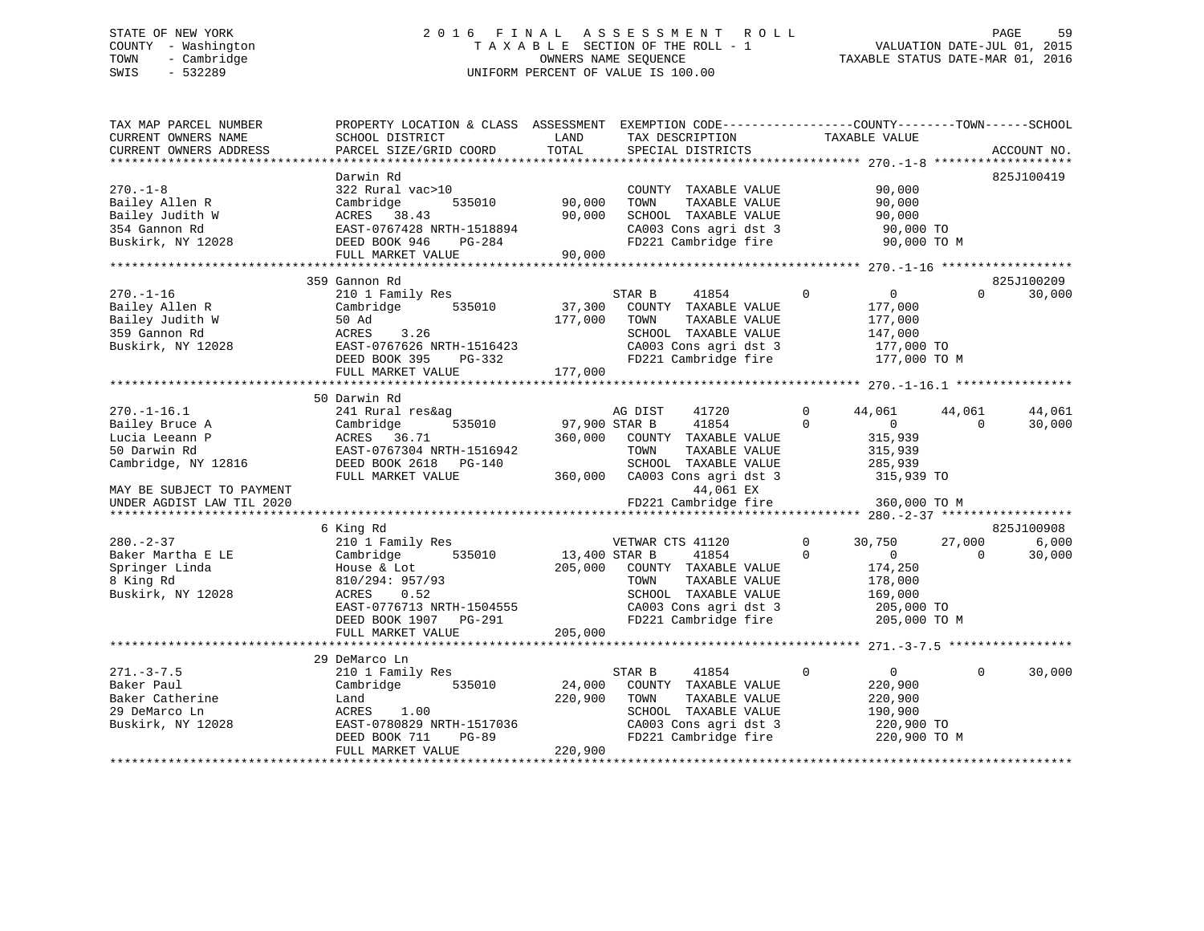# STATE OF NEW YORK 2 0 1 6 F I N A L A S S E S S M E N T R O L L PAGE 59 COUNTY - Washington T A X A B L E SECTION OF THE ROLL - 1 VALUATION DATE-JUL 01, 2015 TOWN - Cambridge OWNERS NAME SEQUENCE TAXABLE STATUS DATE-MAR 01, 2016 SWIS - 532289 UNIFORM PERCENT OF VALUE IS 100.00

| TAX MAP PARCEL NUMBER<br>CURRENT OWNERS NAME                                                 | PROPERTY LOCATION & CLASS ASSESSMENT<br>SCHOOL DISTRICT                                                                                                               | LAND                                | EXEMPTION CODE-----------------COUNTY-------TOWN------SCHOOL<br>TAX DESCRIPTION                                                                     | TAXABLE VALUE                                                                                                     |                                        |
|----------------------------------------------------------------------------------------------|-----------------------------------------------------------------------------------------------------------------------------------------------------------------------|-------------------------------------|-----------------------------------------------------------------------------------------------------------------------------------------------------|-------------------------------------------------------------------------------------------------------------------|----------------------------------------|
| CURRENT OWNERS ADDRESS                                                                       | PARCEL SIZE/GRID COORD                                                                                                                                                | TOTAL                               | SPECIAL DISTRICTS                                                                                                                                   |                                                                                                                   | ACCOUNT NO.                            |
|                                                                                              |                                                                                                                                                                       |                                     |                                                                                                                                                     |                                                                                                                   |                                        |
| $270. - 1 - 8$<br>Bailey Allen R                                                             | Darwin Rd<br>322 Rural vac>10<br>Cambridge<br>535010                                                                                                                  | 90,000                              | COUNTY TAXABLE VALUE<br>TOWN<br>TAXABLE VALUE                                                                                                       | 90,000<br>90,000                                                                                                  | 825J100419                             |
| Bailey Judith W<br>354 Gannon Rd<br>Buskirk, NY 12028                                        | ACRES 38.43<br>EAST-0767428 NRTH-1518894<br>DEED BOOK 946<br>$PG-284$                                                                                                 | 90,000                              | SCHOOL TAXABLE VALUE<br>CA003 Cons agri dst 3<br>FD221 Cambridge fire                                                                               | 90,000<br>90,000 TO<br>90,000 TO M                                                                                |                                        |
|                                                                                              | FULL MARKET VALUE                                                                                                                                                     | 90,000                              |                                                                                                                                                     |                                                                                                                   |                                        |
|                                                                                              |                                                                                                                                                                       |                                     |                                                                                                                                                     |                                                                                                                   |                                        |
|                                                                                              | 359 Gannon Rd                                                                                                                                                         |                                     |                                                                                                                                                     |                                                                                                                   | 825J100209                             |
| $270. - 1 - 16$<br>Bailey Allen R<br>Bailey Judith W<br>359 Gannon Rd<br>Buskirk, NY 12028   | 210 1 Family Res<br>535010<br>Cambridge<br>50 Ad<br>ACRES<br>3.26<br>EAST-0767626 NRTH-1516423<br>DEED BOOK 395<br>PG-332                                             | 37,300<br>177,000                   | 41854<br>STAR B<br>COUNTY TAXABLE VALUE<br>TAXABLE VALUE<br>TOWN<br>SCHOOL TAXABLE VALUE<br>CA003 Cons agri dst 3<br>FD221 Cambridge fire           | $\mathbf{0}$<br>$\overline{0}$<br>177,000<br>177,000<br>147,000<br>177,000 TO<br>177,000 TO M                     | 30,000<br>$\Omega$                     |
|                                                                                              | FULL MARKET VALUE                                                                                                                                                     | 177,000                             |                                                                                                                                                     |                                                                                                                   |                                        |
|                                                                                              | 50 Darwin Rd                                                                                                                                                          |                                     |                                                                                                                                                     |                                                                                                                   |                                        |
| $270. - 1 - 16.1$<br>Bailey Bruce A<br>Lucia Leeann P<br>50 Darwin Rd<br>Cambridge, NY 12816 | 241 Rural res&ag<br>Cambridge<br>535010<br>ACRES 36.71<br>EAST-0767304 NRTH-1516942<br>DEED BOOK 2618 PG-140<br>FULL MARKET VALUE                                     | 97,900 STAR B<br>360,000<br>360,000 | AG DIST<br>41720<br>41854<br>COUNTY TAXABLE VALUE<br>TOWN<br>TAXABLE VALUE<br>SCHOOL TAXABLE VALUE<br>CA003 Cons agri dst 3                         | 44,061<br>$\mathbf{0}$<br>$\Omega$<br>$\overline{0}$<br>315,939<br>315,939<br>285,939<br>315,939 TO               | 44,061<br>44,061<br>30,000<br>$\Omega$ |
| MAY BE SUBJECT TO PAYMENT<br>UNDER AGDIST LAW TIL 2020                                       |                                                                                                                                                                       |                                     | 44,061 EX<br>FD221 Cambridge fire                                                                                                                   | 360,000 TO M                                                                                                      |                                        |
|                                                                                              |                                                                                                                                                                       |                                     |                                                                                                                                                     |                                                                                                                   |                                        |
|                                                                                              | 6 King Rd                                                                                                                                                             |                                     |                                                                                                                                                     |                                                                                                                   | 825J100908                             |
| $280. - 2 - 37$<br>Baker Martha E LE<br>Springer Linda<br>8 King Rd<br>Buskirk, NY 12028     | 210 1 Family Res<br>535010<br>Cambridge<br>House & Lot<br>810/294: 957/93<br>0.52<br>ACRES<br>EAST-0776713 NRTH-1504555<br>DEED BOOK 1907 PG-291<br>FULL MARKET VALUE | 13,400 STAR B<br>205,000<br>205,000 | VETWAR CTS 41120<br>41854<br>COUNTY TAXABLE VALUE<br>TOWN<br>TAXABLE VALUE<br>SCHOOL TAXABLE VALUE<br>CA003 Cons agri dst 3<br>FD221 Cambridge fire | 30,750<br>$\mathbf{0}$<br>$\Omega$<br>$\mathbf{0}$<br>174,250<br>178,000<br>169,000<br>205,000 TO<br>205,000 TO M | 6,000<br>27,000<br>30,000<br>$\Omega$  |
|                                                                                              |                                                                                                                                                                       |                                     |                                                                                                                                                     |                                                                                                                   |                                        |
|                                                                                              | 29 DeMarco Ln                                                                                                                                                         |                                     |                                                                                                                                                     |                                                                                                                   |                                        |
| $271. - 3 - 7.5$<br>Baker Paul<br>Baker Catherine<br>29 DeMarco Ln<br>Buskirk, NY 12028      | 210 1 Family Res<br>535010<br>Cambridge<br>Land<br>1.00<br>ACRES<br>EAST-0780829 NRTH-1517036<br>$PG-89$<br>DEED BOOK 711                                             | 24,000<br>220,900                   | STAR B<br>41854<br>COUNTY TAXABLE VALUE<br>TOWN<br>TAXABLE VALUE<br>SCHOOL TAXABLE VALUE<br>CA003 Cons agri dst 3<br>FD221 Cambridge fire           | $\overline{0}$<br>$\mathbf 0$<br>220,900<br>220,900<br>190,900<br>220,900 TO<br>220,900 TO M                      | $\Omega$<br>30,000                     |
|                                                                                              | FULL MARKET VALUE                                                                                                                                                     | 220,900                             |                                                                                                                                                     |                                                                                                                   |                                        |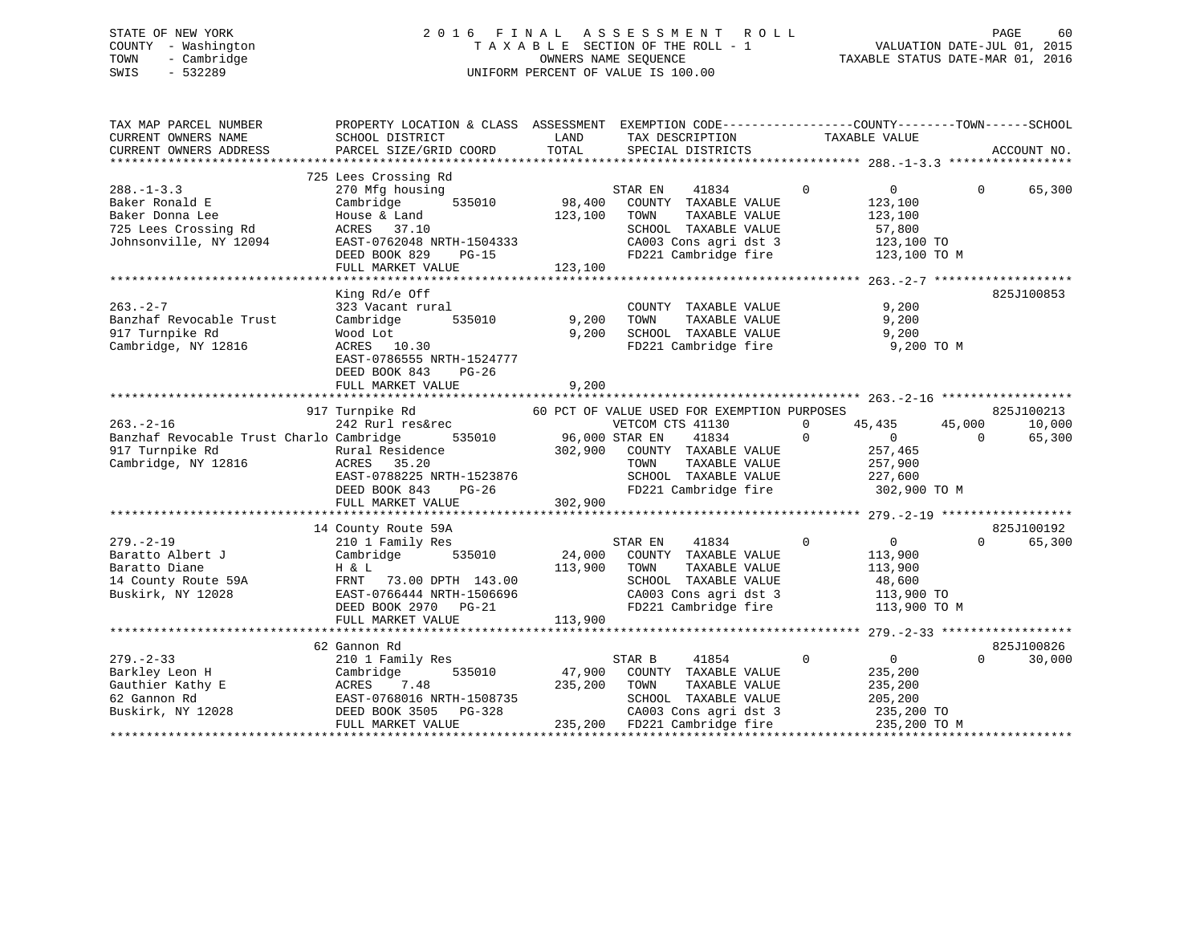# STATE OF NEW YORK 2 0 1 6 F I N A L A S S E S S M E N T R O L L PAGE 60 COUNTY - Washington T A X A B L E SECTION OF THE ROLL - 1 VALUATION DATE-JUL 01, 2015 TOWN - Cambridge OWNERS NAME SEQUENCE TAXABLE STATUS DATE-MAR 01, 2016 SWIS - 532289 UNIFORM PERCENT OF VALUE IS 100.00

| TAX MAP PARCEL NUMBER<br>CURRENT OWNERS NAME<br>CURRENT OWNERS ADDRESS                                  | PROPERTY LOCATION & CLASS ASSESSMENT<br>SCHOOL DISTRICT<br>PARCEL SIZE/GRID COORD                                                                                           | LAND<br>TOTAL                    | EXEMPTION CODE-----------------COUNTY-------TOWN------SCHOOL<br>TAX DESCRIPTION<br>SPECIAL DISTRICTS                                                                              | ---TAXABLE VALUE                                                                            | ACCOUNT NO.                                          |
|---------------------------------------------------------------------------------------------------------|-----------------------------------------------------------------------------------------------------------------------------------------------------------------------------|----------------------------------|-----------------------------------------------------------------------------------------------------------------------------------------------------------------------------------|---------------------------------------------------------------------------------------------|------------------------------------------------------|
|                                                                                                         |                                                                                                                                                                             |                                  |                                                                                                                                                                                   |                                                                                             |                                                      |
| $288. - 1 - 3.3$<br>Baker Ronald E<br>Baker Donna Lee<br>725 Lees Crossing Rd<br>Johnsonville, NY 12094 | 725 Lees Crossing Rd<br>270 Mfg housing<br>535010<br>Cambridge<br>House & Land<br>ACRES 37.10<br>EAST-0762048 NRTH-1504333<br>DEED BOOK 829<br>PG-15<br>FULL MARKET VALUE   | 98,400<br>123,100<br>123,100     | STAR EN<br>41834<br>COUNTY TAXABLE VALUE<br>TOWN<br>TAXABLE VALUE<br>SCHOOL TAXABLE VALUE<br>CA003 Cons agri dst 3<br>FD221 Cambridge fire                                        | $\Omega$<br>$0 \qquad \qquad$<br>123,100<br>123,100<br>57,800<br>123,100 TO<br>123,100 TO M | 65,300<br>$\Omega$                                   |
|                                                                                                         |                                                                                                                                                                             |                                  |                                                                                                                                                                                   |                                                                                             |                                                      |
| $263 - 2 - 7$<br>Banzhaf Revocable Trust<br>917 Turnpike Rd<br>Cambridge, NY 12816                      | King Rd/e Off<br>323 Vacant rural<br>535010<br>Cambridge<br>Wood Lot<br>ACRES 10.30<br>EAST-0786555 NRTH-1524777<br>DEED BOOK 843<br>PG-26<br>FULL MARKET VALUE             | 9,200<br>9,200<br>9,200          | COUNTY TAXABLE VALUE<br>TAXABLE VALUE<br>TOWN<br>SCHOOL TAXABLE VALUE<br>FD221 Cambridge fire                                                                                     | 9,200<br>9,200<br>9,200<br>9,200 TO M                                                       | 825J100853                                           |
|                                                                                                         |                                                                                                                                                                             |                                  |                                                                                                                                                                                   |                                                                                             |                                                      |
| $263. -2 - 16$<br>Banzhaf Revocable Trust Charlo Cambridge<br>917 Turnpike Rd<br>Cambridge, NY 12816    | 917 Turnpike Rd<br>242 Rurl res&rec<br>Rural Residence<br>ACRES 35.20<br>EAST-0788225 NRTH-1523876<br>DEED BOOK 843<br>PG-26<br>FULL MARKET VALUE                           | 535010 96,000 STAR EN<br>302,900 | 60 PCT OF VALUE USED FOR EXEMPTION PURPOSES<br>VETCOM CTS 41130<br>41834<br>302,900 COUNTY TAXABLE VALUE<br>TAXABLE VALUE<br>TOWN<br>SCHOOL TAXABLE VALUE<br>FD221 Cambridge fire | 0<br>45,435<br>$\Omega$<br>$\overline{0}$<br>257,465<br>257,900<br>227,600<br>302,900 TO M  | 825J100213<br>45,000<br>10,000<br>65,300<br>$\Omega$ |
|                                                                                                         |                                                                                                                                                                             |                                  |                                                                                                                                                                                   |                                                                                             |                                                      |
| $279. - 2 - 19$<br>Baratto Albert J<br>Baratto Diane<br>14 County Route 59A<br>Buskirk, NY 12028        | 14 County Route 59A<br>210 1 Family Res<br>535010<br>Cambridge<br>H & L<br>FRNT 73.00 DPTH 143.00<br>EAST-0766444 NRTH-1506696<br>DEED BOOK 2970 PG-21<br>FULL MARKET VALUE | 24,000<br>113,900<br>113,900     | 41834<br>STAR EN<br>COUNTY TAXABLE VALUE<br>TOWN<br>TAXABLE VALUE<br>SCHOOL TAXABLE VALUE<br>CA003 Cons agri dst 3<br>FD221 Cambridge fire                                        | $\Omega$<br>0<br>113,900<br>113,900<br>48,600<br>113,900 TO<br>113,900 TO M                 | 825J100192<br>65,300<br>$\Omega$                     |
|                                                                                                         |                                                                                                                                                                             |                                  |                                                                                                                                                                                   |                                                                                             |                                                      |
| $279. - 2 - 33$<br>Barkley Leon H<br>Gauthier Kathy E<br>62 Gannon Rd<br>Buskirk, NY 12028              | 62 Gannon Rd<br>210 1 Family Res<br>535010<br>Cambridge<br>ACRES<br>7.48<br>EAST-0768016 NRTH-1508735<br>DEED BOOK 3505 PG-328<br>FULL MARKET VALUE                         | 47,900<br>235,200                | STAR B<br>41854<br>COUNTY TAXABLE VALUE<br>TOWN<br>TAXABLE VALUE<br>SCHOOL TAXABLE VALUE<br>CA003 Cons agri dst 3<br>235,200 FD221 Cambridge fire                                 | $\Omega$<br>$\overline{0}$<br>235,200<br>235,200<br>205,200<br>235,200 TO<br>235,200 TO M   | 825J100826<br>$\Omega$<br>30,000                     |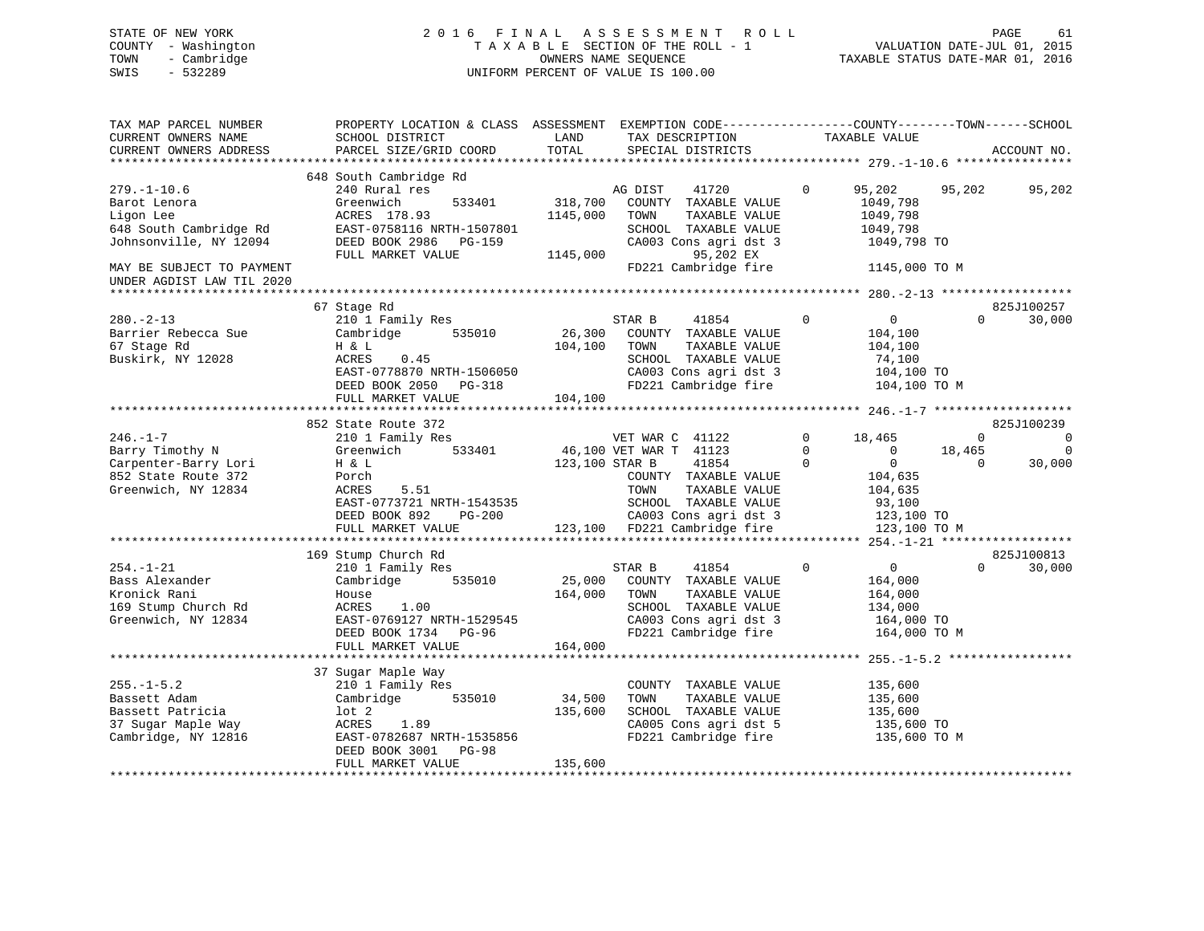# STATE OF NEW YORK 2 0 1 6 F I N A L A S S E S S M E N T R O L L PAGE 61 COUNTY - Washington T A X A B L E SECTION OF THE ROLL - 1 VALUATION DATE-JUL 01, 2015 TOWN - Cambridge OWNERS NAME SEQUENCE TAXABLE STATUS DATE-MAR 01, 2016 SWIS - 532289 UNIFORM PERCENT OF VALUE IS 100.00

| TAX MAP PARCEL NUMBER<br>CURRENT OWNERS NAME                                                       | PROPERTY LOCATION & CLASS ASSESSMENT<br>SCHOOL DISTRICT                                                                                                     | LAND                         | EXEMPTION CODE-----------------COUNTY-------TOWN------SCHOOL<br>TAX DESCRIPTION                                                           | TAXABLE VALUE                                                                                  |                                  |                            |
|----------------------------------------------------------------------------------------------------|-------------------------------------------------------------------------------------------------------------------------------------------------------------|------------------------------|-------------------------------------------------------------------------------------------------------------------------------------------|------------------------------------------------------------------------------------------------|----------------------------------|----------------------------|
| CURRENT OWNERS ADDRESS                                                                             | PARCEL SIZE/GRID COORD                                                                                                                                      | TOTAL                        | SPECIAL DISTRICTS                                                                                                                         |                                                                                                | ACCOUNT NO.                      |                            |
|                                                                                                    |                                                                                                                                                             |                              |                                                                                                                                           |                                                                                                |                                  |                            |
| $279. - 1 - 10.6$<br>Barot Lenora<br>Ligon Lee<br>648 South Cambridge Rd<br>Johnsonville, NY 12094 | 648 South Cambridge Rd<br>240 Rural res<br>Greenwich<br>533401<br>ACRES 178.93<br>EAST-0758116 NRTH-1507801<br>DEED BOOK 2986<br>PG-159                     | 318,700<br>1145,000          | 41720<br>AG DIST<br>COUNTY TAXABLE VALUE<br>TOWN<br>TAXABLE VALUE<br>SCHOOL TAXABLE VALUE<br>CA003 Cons agri dst 3                        | 95,202<br>$\Omega$<br>1049,798<br>1049,798<br>1049,798<br>1049,798 TO                          | 95,202<br>95,202                 |                            |
|                                                                                                    | FULL MARKET VALUE                                                                                                                                           | 1145,000                     | 95,202 EX                                                                                                                                 |                                                                                                |                                  |                            |
| MAY BE SUBJECT TO PAYMENT<br>UNDER AGDIST LAW TIL 2020                                             |                                                                                                                                                             |                              | FD221 Cambridge fire                                                                                                                      | 1145,000 TO M                                                                                  |                                  |                            |
|                                                                                                    | 67 Stage Rd                                                                                                                                                 |                              |                                                                                                                                           |                                                                                                | 825J100257                       |                            |
| $280. - 2 - 13$<br>Barrier Rebecca Sue<br>67 Stage Rd<br>Buskirk, NY 12028                         | 210 1 Family Res<br>Cambridge<br>535010<br>H & L<br>ACRES<br>0.45<br>EAST-0778870 NRTH-1506050<br>DEED BOOK 2050<br>PG-318<br>FULL MARKET VALUE             | 26,300<br>104,100<br>104,100 | STAR B<br>41854<br>COUNTY TAXABLE VALUE<br>TOWN<br>TAXABLE VALUE<br>SCHOOL TAXABLE VALUE<br>CA003 Cons agri dst 3<br>FD221 Cambridge fire | $\mathbf 0$<br>$0 \qquad \qquad$<br>104,100<br>104,100<br>74,100<br>104,100 TO<br>104,100 TO M | 30,000<br>$\Omega$               |                            |
|                                                                                                    |                                                                                                                                                             |                              |                                                                                                                                           |                                                                                                |                                  |                            |
|                                                                                                    | 852 State Route 372                                                                                                                                         |                              |                                                                                                                                           |                                                                                                | 825J100239                       |                            |
| $246. - 1 - 7$<br>Barry Timothy N                                                                  | 210 1 Family Res<br>Greenwich<br>533401                                                                                                                     |                              | VET WAR C 41122<br>46,100 VET WAR T 41123                                                                                                 | $\mathbf 0$<br>18,465<br>$\mathbf 0$<br>$\overline{0}$                                         | $\mathbf 0$<br>18,465            | $\mathbf 0$<br>$\mathbf 0$ |
| Carpenter-Barry Lori<br>852 State Route 372<br>Greenwich, NY 12834                                 | H & L<br>Porch<br>5.51<br>ACRES<br>EAST-0773721 NRTH-1543535<br>DEED BOOK 892<br>$PG-200$<br>FULL MARKET VALUE                                              | 123,100 STAR B               | 41854<br>COUNTY TAXABLE VALUE<br>TOWN<br>TAXABLE VALUE<br>SCHOOL TAXABLE VALUE<br>CA003 Cons agri dst 3<br>123,100 FD221 Cambridge fire   | $\Omega$<br>$\Omega$<br>104,635<br>104,635<br>93,100<br>123,100 TO<br>123,100 TO M             | 30,000<br>$\Omega$               |                            |
|                                                                                                    | ****************************                                                                                                                                |                              |                                                                                                                                           |                                                                                                |                                  |                            |
| $254. - 1 - 21$                                                                                    | 169 Stump Church Rd<br>210 1 Family Res                                                                                                                     |                              | 41854<br>STAR B                                                                                                                           | $\mathbf{0}$<br>$\overline{0}$                                                                 | 825J100813<br>$\Omega$<br>30,000 |                            |
| Bass Alexander<br>Kronick Rani<br>169 Stump Church Rd<br>Greenwich, NY 12834                       | Cambridge<br>535010<br>House<br>1.00<br>ACRES<br>EAST-0769127 NRTH-1529545<br>DEED BOOK 1734<br>PG-96<br>FULL MARKET VALUE                                  | 25,000<br>164,000<br>164,000 | COUNTY TAXABLE VALUE<br>TAXABLE VALUE<br>TOWN<br>SCHOOL TAXABLE VALUE<br>CA003 Cons agri dst 3<br>FD221 Cambridge fire                    | 164,000<br>164,000<br>134,000<br>164,000 TO<br>164,000 TO M                                    |                                  |                            |
|                                                                                                    |                                                                                                                                                             |                              |                                                                                                                                           | ************** 255.-1-5.2                                                                      |                                  |                            |
| $255. - 1 - 5.2$<br>Bassett Adam<br>Bassett Patricia<br>37 Sugar Maple Way<br>Cambridge, NY 12816  | 37 Sugar Maple Way<br>210 1 Family Res<br>Cambridge<br>535010<br>$1$ ot $2$<br>1.89<br>ACRES<br>EAST-0782687 NRTH-1535856<br>DEED BOOK 3001<br><b>PG-98</b> | 34,500<br>135,600            | COUNTY TAXABLE VALUE<br>TOWN<br>TAXABLE VALUE<br>SCHOOL TAXABLE VALUE<br>CA005 Cons agri dst 5<br>FD221 Cambridge fire                    | 135,600<br>135,600<br>135,600<br>135,600 TO<br>135,600 TO M                                    |                                  |                            |
|                                                                                                    | FULL MARKET VALUE                                                                                                                                           | 135,600                      |                                                                                                                                           |                                                                                                |                                  |                            |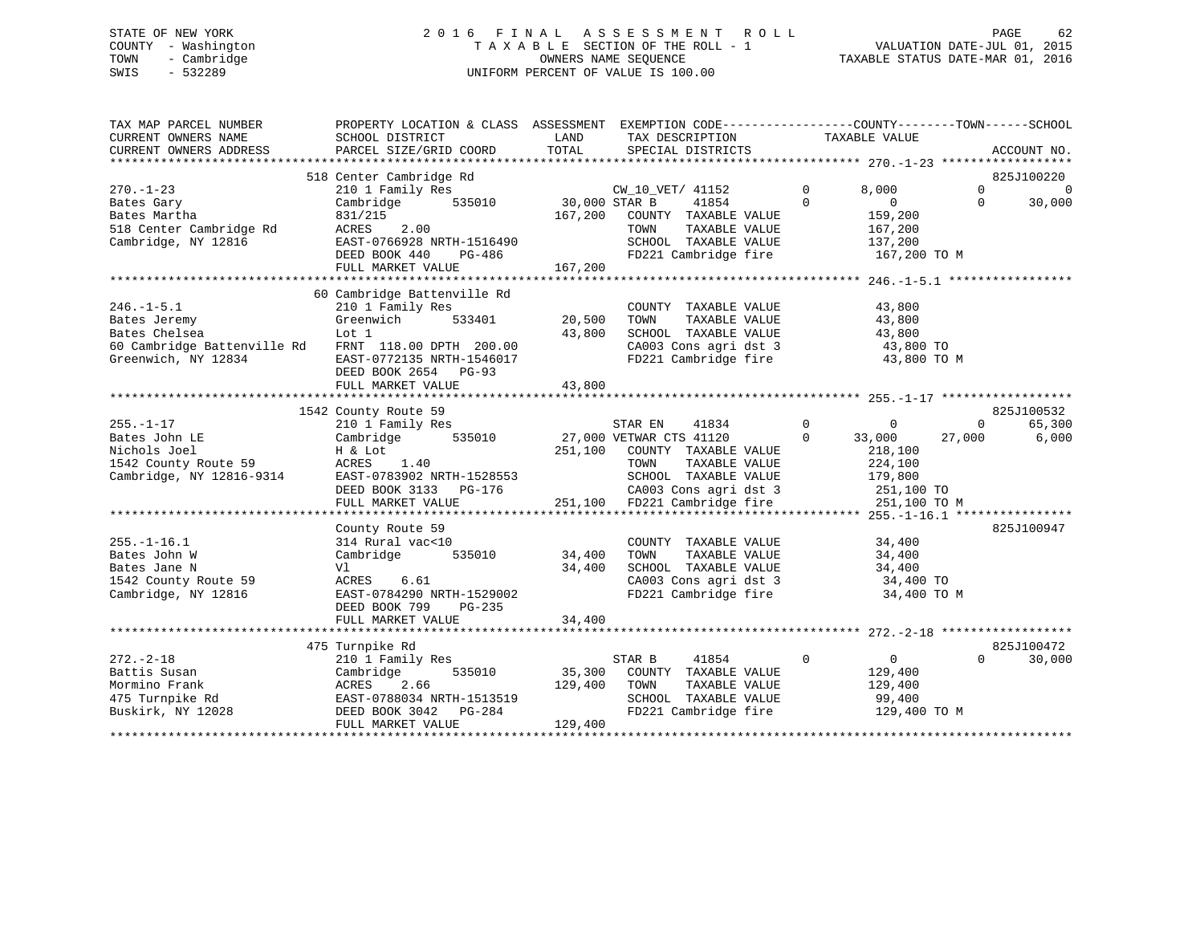# STATE OF NEW YORK 2 0 1 6 F I N A L A S S E S S M E N T R O L L PAGE 62 COUNTY - Washington T A X A B L E SECTION OF THE ROLL - 1 VALUATION DATE-JUL 01, 2015 TOWN - Cambridge OWNERS NAME SEQUENCE TAXABLE STATUS DATE-MAR 01, 2016 SWIS - 532289 UNIFORM PERCENT OF VALUE IS 100.00

| TAX MAP PARCEL NUMBER<br>CURRENT OWNERS NAME<br>CURRENT OWNERS ADDRESS                                 | PROPERTY LOCATION & CLASS ASSESSMENT EXEMPTION CODE---------------COUNTY-------TOWN-----SCHOOL<br>SCHOOL DISTRICT<br>PARCEL SIZE/GRID COORD                 | LAND<br>TOTAL                | TAX DESCRIPTION TAXABLE VALUE<br>SPECIAL DISTRICTS                                                                                                                                                             |                                                                                               |                    | ACCOUNT NO.            |
|--------------------------------------------------------------------------------------------------------|-------------------------------------------------------------------------------------------------------------------------------------------------------------|------------------------------|----------------------------------------------------------------------------------------------------------------------------------------------------------------------------------------------------------------|-----------------------------------------------------------------------------------------------|--------------------|------------------------|
| $270. - 1 - 23$                                                                                        | 518 Center Cambridge Rd<br>210 1 Family Res                                                                                                                 |                              | CW 10 VET/ 41152                                                                                                                                                                                               | $\mathbf 0$<br>8.000                                                                          | $\Omega$           | 825J100220<br>$\Omega$ |
| Bates Gary<br>Bates Martha<br>518 Center Cambridge Rd<br>Cambridge, NY 12816                           | 535010<br>Cambridge<br>831/215<br>2.00<br>ACRES<br>EAST-0766928 NRTH-1516490                                                                                | 30,000 STAR B<br>167,200     | 41854<br>COUNTY TAXABLE VALUE<br>TOWN<br>TAXABLE VALUE<br>SCHOOL TAXABLE VALUE                                                                                                                                 | $\Omega$<br>$\overline{0}$<br>159,200<br>167,200<br>137,200                                   | $\Omega$           | 30,000                 |
|                                                                                                        | DEED BOOK 440<br>PG-486<br>FULL MARKET VALUE                                                                                                                | 167,200                      | FD221 Cambridge fire 167,200 TO M                                                                                                                                                                              |                                                                                               |                    |                        |
|                                                                                                        | 60 Cambridge Battenville Rd                                                                                                                                 |                              |                                                                                                                                                                                                                |                                                                                               |                    |                        |
| $246. -1 - 5.1$<br>Bates Jeremy<br>Bates Chelsea<br>60 Cambridge Battenville Rd<br>Greenwich, NY 12834 | 210 1 Family Res<br>Greenwich<br>533401<br>Lot 1<br>FRNT 118.00 DPTH 200.00<br>EAST-0772135 NRTH-1546017<br>DEED BOOK 2654 PG-93                            | 20,500<br>43,800             | COUNTY TAXABLE VALUE<br>TOWN<br>TAXABLE VALUE<br>SCHOOL TAXABLE VALUE<br>CA003 Cons agri dst 3<br>FD221 Cambridge fire                                                                                         | 43,800<br>43,800<br>43,800<br>43,800 TO                                                       | 43,800 TO M        |                        |
|                                                                                                        | FULL MARKET VALUE                                                                                                                                           | 43,800                       |                                                                                                                                                                                                                |                                                                                               |                    |                        |
|                                                                                                        |                                                                                                                                                             |                              |                                                                                                                                                                                                                |                                                                                               |                    | 825J100532             |
| $255. - 1 - 17$<br>Bates John LE<br>Nichols Joel<br>1542 County Route 59<br>Cambridge, NY 12816-9314   | 1542 County Route 59<br>210 1 Family Res<br>535010<br>Cambridge<br>H & Lot<br>ACRES 1.40<br>EAST-0783902 NRTH-1528553<br>DEED BOOK 3133 PG-176              |                              | STAR EN<br>41834<br>27,000 VETWAR CTS 41120<br>251,100 COUNTY TAXABLE VALUE<br>TOWN<br>TAXABLE VALUE<br>SCHOOL TAXABLE VALUE<br>CA003 Cons agri dst 3<br>CA003 Cons agri dst 3<br>251,100 FD221 Cambridge fire | $\Omega$<br>$\mathbf{0}$<br>$\Omega$<br>33,000<br>218,100<br>224,100<br>179,800<br>251,100 TO | $\Omega$<br>27,000 | 65,300<br>6,000        |
|                                                                                                        | FULL MARKET VALUE                                                                                                                                           |                              |                                                                                                                                                                                                                |                                                                                               | 251,100 TO M       |                        |
| $255. - 1 - 16.1$<br>Bates John W<br>Bates Jane N<br>1542 County Route 59<br>Cambridge, NY 12816       | County Route 59<br>314 Rural vac<10<br>Cambridge<br>535010<br>Vl<br>ACRES 6.61<br>EAST-0784290 NRTH-1529002<br>DEED BOOK 799<br>PG-235<br>FULL MARKET VALUE | 34,400<br>34,400<br>34,400   | COUNTY TAXABLE VALUE<br>TAXABLE VALUE<br>TOWN<br>SCHOOL TAXABLE VALUE<br>CA003 Cons agri dst 3<br>FD221 Cambridge fire                                                                                         | 34,400<br>34,400<br>34,400<br>34,400 TO                                                       | 34,400 TO M        | 825J100947             |
|                                                                                                        |                                                                                                                                                             |                              |                                                                                                                                                                                                                |                                                                                               |                    |                        |
| $272 - 2 - 18$<br>Battis Susan<br>Mormino Frank<br>475 Turnpike Rd<br>Buskirk, NY 12028                | 475 Turnpike Rd<br>210 1 Family Res<br>535010<br>Cambridge<br>2.66<br>ACRES<br>EAST-0788034 NRTH-1513519<br>DEED BOOK 3042 PG-284<br>FULL MARKET VALUE      | 35,300<br>129,400<br>129,400 | STAR B<br>41854<br>COUNTY TAXABLE VALUE<br>TOWN<br>TAXABLE VALUE<br>SCHOOL TAXABLE VALUE<br>FD221 Cambridge fire                                                                                               | $\mathbf 0$<br>$\overline{0}$<br>129,400<br>129,400<br>99,400<br>129,400 TO M                 | $\Omega$           | 825J100472<br>30,000   |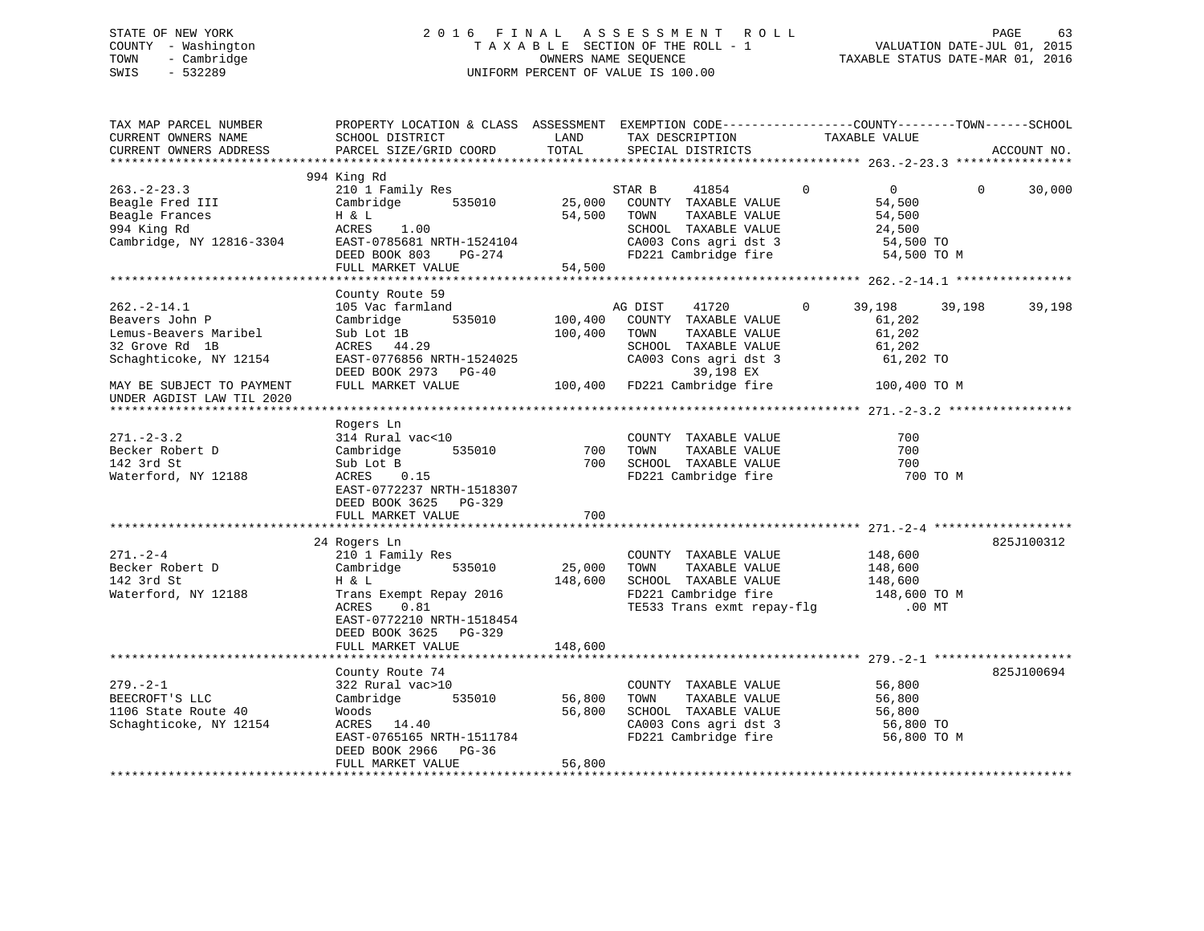# STATE OF NEW YORK 2 0 1 6 F I N A L A S S E S S M E N T R O L L PAGE 63 COUNTY - Washington T A X A B L E SECTION OF THE ROLL - 1 VALUATION DATE-JUL 01, 2015 TOWN - Cambridge OWNERS NAME SEQUENCE TAXABLE STATUS DATE-MAR 01, 2016 SWIS - 532289 UNIFORM PERCENT OF VALUE IS 100.00

| TAX MAP PARCEL NUMBER<br>CURRENT OWNERS NAME<br>CURRENT OWNERS ADDRESS                                                                                            | PROPERTY LOCATION & CLASS ASSESSMENT EXEMPTION CODE---------------COUNTY-------TOWN-----SCHOOL<br>SCHOOL DISTRICT<br>PARCEL SIZE/GRID COORD                        | LAND<br>TOTAL              | TAX DESCRIPTION<br>SPECIAL DISTRICTS                                                                                                                                                    | TAXABLE VALUE                                                                            |          | ACCOUNT NO. |
|-------------------------------------------------------------------------------------------------------------------------------------------------------------------|--------------------------------------------------------------------------------------------------------------------------------------------------------------------|----------------------------|-----------------------------------------------------------------------------------------------------------------------------------------------------------------------------------------|------------------------------------------------------------------------------------------|----------|-------------|
|                                                                                                                                                                   |                                                                                                                                                                    |                            |                                                                                                                                                                                         |                                                                                          |          |             |
| $263 - 2 - 23.3$<br>Beagle Fred III<br>Beagle Frances<br>994 King Rd<br>Cambridge, NY 12816-3304 EAST-0785681 NRTH-1524104<br>DEED BOOK 803 PG-274                | 994 King Rd<br>210 1 Family Res<br>Cambridge 535010<br>H & L<br>ACRES 1.00<br>DEED BOOK 803 PG-274<br>FULL MARKET VALUE                                            | 54,500                     | STAR B<br>41854<br>25,000 COUNTY TAXABLE VALUE<br>54,500 TOWN<br>TAXABLE VALUE<br>SCHOOL TAXABLE VALUE<br>CA003 Cons agri dst 3<br>FD221 Cambridge fire                                 | $\mathbf{0}$<br>$\overline{0}$<br>54,500<br>54,500<br>24,500<br>54,500 TO<br>54,500 TO M | $\Omega$ | 30,000      |
|                                                                                                                                                                   |                                                                                                                                                                    |                            |                                                                                                                                                                                         |                                                                                          |          |             |
| $262 - 2 - 14.1$<br>Beavers John P<br>Lemus-Beavers Maribel<br>32 Grove Rd 1B<br>Schaghticoke, NY 12154<br>MAY BE SUBJECT TO PAYMENT<br>UNDER AGDIST LAW TIL 2020 | County Route 59<br>105 Vac farmland<br>535010<br>Cambridge<br>Sub Lot 1B<br>ACRES 44.29<br>EAST-0776856 NRTH-1524025<br>DEED BOOK 2973 PG-40<br>FULL MARKET VALUE  | 100,400<br>100,400         | AG DIST<br>41720<br>COUNTY TAXABLE VALUE<br>TOWN<br>TAXABLE VALUE<br>SCHOOL TAXABLE VALUE<br>SCHOOL TAXABLE VALUE<br>CA003 Cons agri dst 3<br>39,198 EX<br>100,400 FD221 Cambridge fire | $\mathbf{0}$<br>39,198<br>61,202<br>61,202<br>61,202<br>61,202 TO<br>100,400 TO M        | 39,198   | 39,198      |
|                                                                                                                                                                   |                                                                                                                                                                    |                            |                                                                                                                                                                                         |                                                                                          |          |             |
| $271 - 2 - 3.2$<br>Becker Robert D<br>142 3rd St<br>Waterford, NY 12188                                                                                           | Rogers Ln<br>314 Rural vac<10<br>535010<br>Cambridge<br>Sub Lot B<br>ACRES 0.15<br>EAST-0772237 NRTH-1518307<br>DEED BOOK 3625 PG-329<br>FULL MARKET VALUE         | 700<br>700<br>700          | COUNTY TAXABLE VALUE<br>TOWN<br>TAXABLE VALUE<br>SCHOOL TAXABLE VALUE<br>FD221 Cambridge fire                                                                                           | 700<br>700<br>700                                                                        | 700 TO M |             |
|                                                                                                                                                                   |                                                                                                                                                                    |                            |                                                                                                                                                                                         |                                                                                          |          |             |
| $271. - 2 - 4$<br>Becker Robert D<br>Consider the Constant Or<br>142 3rd St<br>Waterford, NY 12188                                                                | 24 Rogers Ln<br>210 1 Family Res<br>535010<br>Cambridge<br>H & L<br>Trans Exempt Repay 2016<br>ACRES<br>0.81<br>EAST-0772210 NRTH-1518454<br>DEED BOOK 3625 PG-329 | 25,000<br>148,600          | COUNTY TAXABLE VALUE<br>TAXABLE VALUE<br>TOWN<br>SCHOOL TAXABLE VALUE<br>FD221 Cambridge fire 148,600 TO M<br>TE533 Trans exmt repay-flg .00 MT                                         | 148,600<br>148,600<br>148,600                                                            |          | 825J100312  |
|                                                                                                                                                                   | FULL MARKET VALUE                                                                                                                                                  | 148,600                    |                                                                                                                                                                                         |                                                                                          |          |             |
| $279. - 2 - 1$<br>BEECROFT'S LLC<br>1106 State Route 40<br>Schaghticoke, NY 12154                                                                                 | County Route 74<br>322 Rural vac>10<br>535010<br>Cambridge<br>Woods<br>ACRES 14.40<br>EAST-0765165 NRTH-1511784<br>DEED BOOK 2966 PG-36<br>FULL MARKET VALUE       | 56,800<br>56,800<br>56,800 | COUNTY TAXABLE VALUE<br>TOWN<br>TAXABLE VALUE<br>SCHOOL TAXABLE VALUE<br>SCHOOL TAXABLE VALUE<br>CA003 Cons agri dst 3<br>FD221 Cambridge fire                                          | 56,800<br>56,800<br>-טי, 20<br>56,800 TO<br>רחי הרה<br>56,800 TO M                       |          | 825J100694  |
|                                                                                                                                                                   |                                                                                                                                                                    |                            |                                                                                                                                                                                         |                                                                                          |          |             |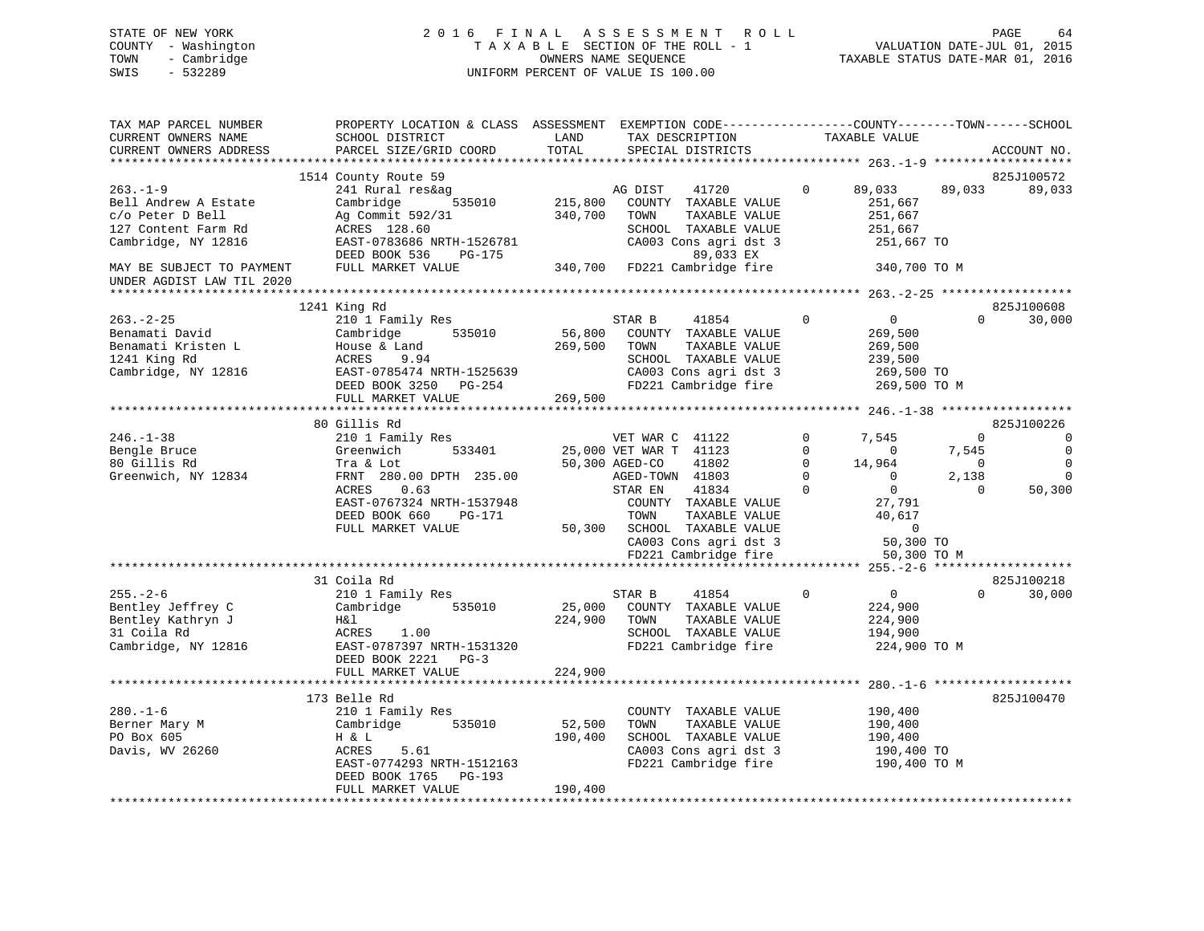# STATE OF NEW YORK 2 0 1 6 F I N A L A S S E S S M E N T R O L L PAGE 64 COUNTY - Washington T A X A B L E SECTION OF THE ROLL - 1 VALUATION DATE-JUL 01, 2015 TOWN - Cambridge OWNERS NAME SEQUENCE TAXABLE STATUS DATE-MAR 01, 2016 SWIS - 532289 UNIFORM PERCENT OF VALUE IS 100.00

| SCHOOL DISTRICT<br>PARCEL SIZE/GRID COORD                                                                                                                                     | LAND<br>TOTAL                                                                       | TAX DESCRIPTION<br>SPECIAL DISTRICTS                                                                                                      |                                                                                                                                                                                                          |                                                                | ACCOUNT NO.                                                                                                                                                                                                                                                                                                                                                                                                                                                                                                                                        |
|-------------------------------------------------------------------------------------------------------------------------------------------------------------------------------|-------------------------------------------------------------------------------------|-------------------------------------------------------------------------------------------------------------------------------------------|----------------------------------------------------------------------------------------------------------------------------------------------------------------------------------------------------------|----------------------------------------------------------------|----------------------------------------------------------------------------------------------------------------------------------------------------------------------------------------------------------------------------------------------------------------------------------------------------------------------------------------------------------------------------------------------------------------------------------------------------------------------------------------------------------------------------------------------------|
|                                                                                                                                                                               |                                                                                     |                                                                                                                                           |                                                                                                                                                                                                          |                                                                |                                                                                                                                                                                                                                                                                                                                                                                                                                                                                                                                                    |
| 241 Rural res&ag<br>Cambridge<br>535010<br>Ag Commit 592/31<br>ACRES 128.60<br>EAST-0783686 NRTH-1526781<br>DEED BOOK 536<br>PG-175<br>FULL MARKET VALUE                      | 340,700                                                                             | AG DIST<br>41720<br>COUNTY TAXABLE VALUE<br>TOWN<br>TAXABLE VALUE<br>SCHOOL TAXABLE VALUE<br>CA003 Cons agri dst 3<br>89,033 EX           | $\mathbf 0$                                                                                                                                                                                              | 89,033                                                         | 825J100572<br>89,033                                                                                                                                                                                                                                                                                                                                                                                                                                                                                                                               |
|                                                                                                                                                                               |                                                                                     |                                                                                                                                           |                                                                                                                                                                                                          |                                                                |                                                                                                                                                                                                                                                                                                                                                                                                                                                                                                                                                    |
|                                                                                                                                                                               |                                                                                     |                                                                                                                                           |                                                                                                                                                                                                          |                                                                |                                                                                                                                                                                                                                                                                                                                                                                                                                                                                                                                                    |
| 210 1 Family Res<br>Cambridge<br>535010<br>House & Land<br>ACRES<br>9.94<br>FULL MARKET VALUE                                                                                 |                                                                                     | 41854<br>STAR B<br>COUNTY TAXABLE VALUE<br>TOWN<br>TAXABLE VALUE<br>SCHOOL TAXABLE VALUE<br>CA003 Cons agri dst 3<br>FD221 Cambridge fire | $\mathbf 0$                                                                                                                                                                                              | $\Omega$                                                       | 825J100608<br>30,000                                                                                                                                                                                                                                                                                                                                                                                                                                                                                                                               |
|                                                                                                                                                                               |                                                                                     |                                                                                                                                           |                                                                                                                                                                                                          |                                                                |                                                                                                                                                                                                                                                                                                                                                                                                                                                                                                                                                    |
| 210 1 Family Res<br>533401<br>Greenwich<br>Tra & Lot<br>FRNT 280.00 DPTH 235.00<br>0.63<br>ACRES<br>EAST-0767324 NRTH-1537948<br>DEED BOOK 660<br>PG-171<br>FULL MARKET VALUE |                                                                                     | VET WAR C 41122<br>41802<br>41834<br>COUNTY TAXABLE VALUE<br>TOWN<br>TAXABLE VALUE<br>CA003 Cons agri dst 3<br>FD221 Cambridge fire       | $\mathbf 0$<br>$\Omega$<br>$\Omega$<br>$\Omega$<br>$\Omega$                                                                                                                                              | 7,545<br>$\overline{0}$<br>2,138<br>$\Omega$<br>$\overline{0}$ | 825J100226<br>$\overline{0}$<br>$\overline{0}$<br>$\Omega$<br>$\Omega$<br>50,300                                                                                                                                                                                                                                                                                                                                                                                                                                                                   |
|                                                                                                                                                                               |                                                                                     |                                                                                                                                           |                                                                                                                                                                                                          |                                                                |                                                                                                                                                                                                                                                                                                                                                                                                                                                                                                                                                    |
| 210 1 Family Res<br>Cambridge<br>535010<br>H&l<br>ACRES 1.00<br>EAST-0787397 NRTH-1531320<br>DEED BOOK 2221 PG-3<br>FULL MARKET VALUE                                         | 224,900<br>224,900                                                                  | 41854<br>STAR B<br>TAXABLE VALUE<br>TOWN<br>SCHOOL TAXABLE VALUE<br>FD221 Cambridge fire                                                  | $\mathbf 0$                                                                                                                                                                                              | $\Omega$                                                       | 825J100218<br>30,000                                                                                                                                                                                                                                                                                                                                                                                                                                                                                                                               |
|                                                                                                                                                                               |                                                                                     |                                                                                                                                           |                                                                                                                                                                                                          |                                                                |                                                                                                                                                                                                                                                                                                                                                                                                                                                                                                                                                    |
| 210 1 Family Res<br>Cambridge<br>535010<br>H & L<br><b>ACRES</b><br>5.61<br>EAST-0774293 NRTH-1512163<br>DEED BOOK 1765 PG-193<br>FULL MARKET VALUE                           | 52,500<br>190,400<br>190,400                                                        | COUNTY TAXABLE VALUE<br>TOWN<br>TAXABLE VALUE<br>SCHOOL TAXABLE VALUE<br>FD221 Cambridge fire                                             |                                                                                                                                                                                                          |                                                                | 825J100470                                                                                                                                                                                                                                                                                                                                                                                                                                                                                                                                         |
|                                                                                                                                                                               | 1514 County Route 59<br>1241 King Rd<br>80 Gillis Rd<br>31 Coila Rd<br>173 Belle Rd | EAST-0785474 NRTH-1525639                                                                                                                 | 215,800<br>56,800<br>269,500<br>DEED BOOK 3250 PG-254<br>269,500<br>25,000 VET WAR T 41123<br>50,300 AGED-CO<br>AGED-TOWN 41803<br>STAR EN<br>50,300 SCHOOL TAXABLE VALUE<br>25,000 COUNTY TAXABLE VALUE | 340,700 FD221 Cambridge fire<br>CA003 Cons agri dst 3          | PROPERTY LOCATION & CLASS ASSESSMENT EXEMPTION CODE----------------COUNTY-------TOWN------SCHOOL<br>TAXABLE VALUE<br>89,033<br>251,667<br>251,667<br>251,667<br>251,667 TO<br>340,700 TO M<br>$\overline{0}$<br>269,500<br>269,500<br>239,500<br>269,500 TO<br>269,500 TO M<br>7,545<br>$\Omega$<br>$\overline{0}$<br>14,964<br>$\overline{0}$<br>$\overline{0}$<br>27,791<br>40,617<br>50,300 TO<br>50,300 TO M<br>$\overline{0}$<br>224,900<br>224,900<br>194,900<br>224,900 TO M<br>190,400<br>190,400<br>190,400<br>190,400 TO<br>190,400 TO M |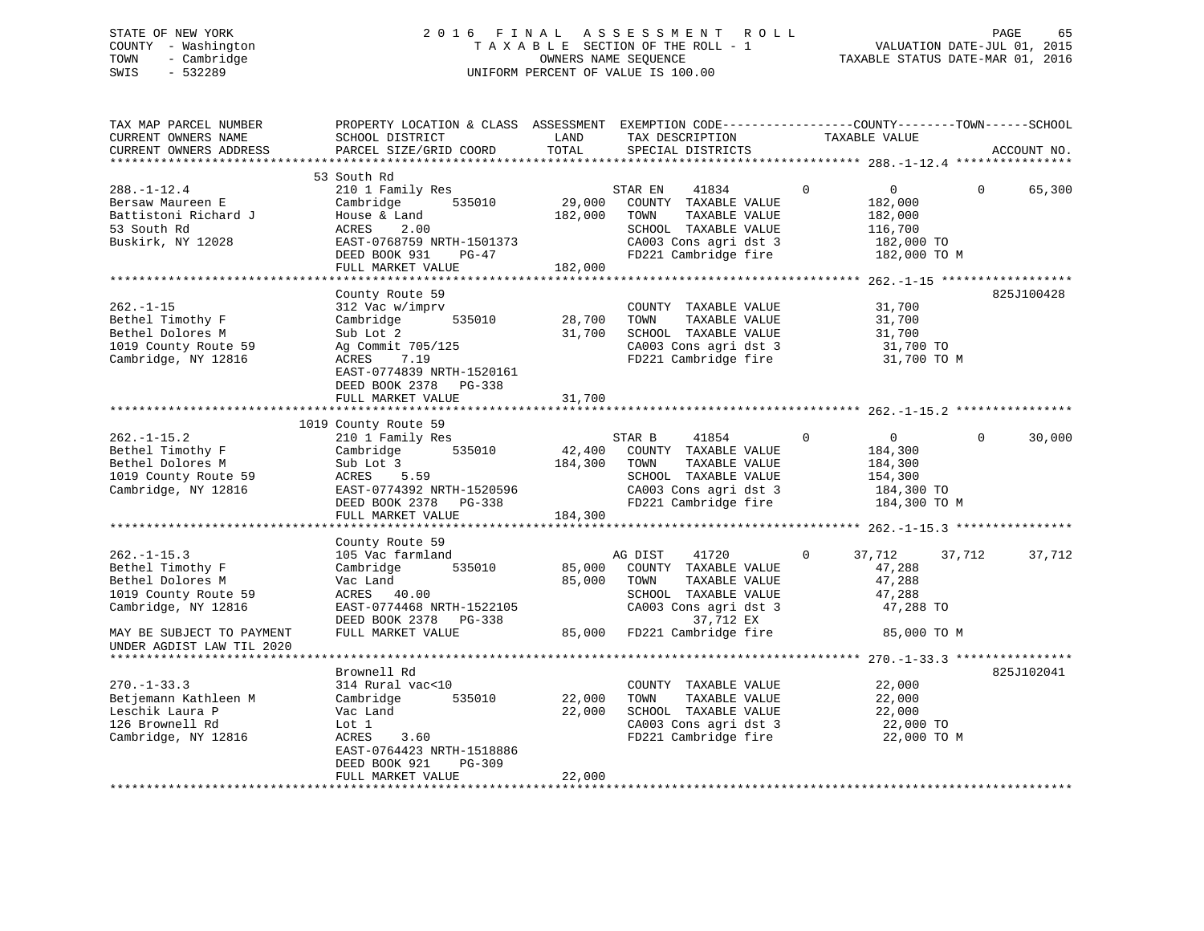# STATE OF NEW YORK 2 0 1 6 F I N A L A S S E S S M E N T R O L L PAGE 65 COUNTY - Washington T A X A B L E SECTION OF THE ROLL - 1 VALUATION DATE-JUL 01, 2015 TOWN - Cambridge OWNERS NAME SEQUENCE TAXABLE STATUS DATE-MAR 01, 2016 SWIS - 532289 UNIFORM PERCENT OF VALUE IS 100.00

| TAX MAP PARCEL NUMBER<br>CURRENT OWNERS NAME                                                             | PROPERTY LOCATION & CLASS ASSESSMENT EXEMPTION CODE----------------COUNTY-------TOWN------SCHOOL<br>SCHOOL DISTRICT                                                                     | LAND<br>TOTAL                | TAX DESCRIPTION                                                                                                                            | TAXABLE VALUE                                                                                |          |             |
|----------------------------------------------------------------------------------------------------------|-----------------------------------------------------------------------------------------------------------------------------------------------------------------------------------------|------------------------------|--------------------------------------------------------------------------------------------------------------------------------------------|----------------------------------------------------------------------------------------------|----------|-------------|
| CURRENT OWNERS ADDRESS                                                                                   | PARCEL SIZE/GRID COORD                                                                                                                                                                  |                              | SPECIAL DISTRICTS                                                                                                                          |                                                                                              |          | ACCOUNT NO. |
|                                                                                                          | 53 South Rd                                                                                                                                                                             |                              |                                                                                                                                            |                                                                                              |          |             |
| $288. - 1 - 12.4$<br>Bersaw Maureen E<br>Battistoni Richard J<br>53 South Rd<br>Buskirk, NY 12028        | 210 1 Family Res<br>535010<br>Cambridge<br>House & Land<br>2.00<br>ACRES<br>EAST-0768759 NRTH-1501373<br>DEED BOOK 931<br>PG-47<br>FULL MARKET VALUE                                    | 29,000<br>182,000<br>182,000 | STAR EN<br>41834<br>COUNTY TAXABLE VALUE<br>TAXABLE VALUE<br>TOWN<br>SCHOOL TAXABLE VALUE<br>CA003 Cons agri dst 3<br>FD221 Cambridge fire | $\mathbf 0$<br>$\overline{0}$<br>182,000<br>182,000<br>116,700<br>182,000 TO<br>182,000 TO M | $\Omega$ | 65,300      |
|                                                                                                          |                                                                                                                                                                                         |                              |                                                                                                                                            |                                                                                              |          |             |
| $262. -1 - 15$<br>Bethel Timothy F<br>Bethel Dolores M<br>1019 County Route 59<br>Cambridge, NY 12816    | County Route 59<br>312 Vac w/imprv<br>535010<br>Cambridge<br>Sub Lot 2<br>Ag Commit 705/125<br>7.19<br>ACRES<br>EAST-0774839 NRTH-1520161<br>DEED BOOK 2378 PG-338<br>FULL MARKET VALUE | 28,700<br>31,700<br>31,700   | COUNTY TAXABLE VALUE<br>TAXABLE VALUE<br>TOWN<br>SCHOOL TAXABLE VALUE<br>CA003 Cons agri dst 3<br>FD221 Cambridge fire                     | 31,700<br>31,700<br>31,700<br>31,700 TO<br>31,700 TO M                                       |          | 825J100428  |
|                                                                                                          |                                                                                                                                                                                         |                              |                                                                                                                                            |                                                                                              |          |             |
| $262. -1 - 15.2$<br>Bethel Timothy F<br>Bethel Dolores M<br>1019 County Route 59<br>Cambridge, NY 12816  | 1019 County Route 59<br>210 1 Family Res<br>535010<br>Cambridge<br>Sub Lot 3<br>ACRES 5.59<br>EAST-0774392 NRTH-1520596<br>DEED BOOK 2378 PG-338<br>FULL MARKET VALUE                   | 42,400<br>184,300<br>184,300 | STAR B<br>41854<br>COUNTY TAXABLE VALUE<br>TAXABLE VALUE<br>TOWN<br>SCHOOL TAXABLE VALUE<br>CA003 Cons agri dst 3<br>FD221 Cambridge fire  | $\Omega$<br>$\overline{0}$<br>184,300<br>184,300<br>154,300<br>184,300 TO<br>184,300 TO M    | $\Omega$ | 30,000      |
|                                                                                                          |                                                                                                                                                                                         |                              |                                                                                                                                            |                                                                                              |          |             |
| $262. - 1 - 15.3$<br>Bethel Timothy F<br>Bethel Dolores M<br>1019 County Route 59<br>Cambridge, NY 12816 | County Route 59<br>105 Vac farmland<br>Cambridge 535010<br>Vac Land<br>ACRES 40.00<br>EAST-0774468 NRTH-1522105<br>DEED BOOK 2378 PG-338                                                | 85,000                       | AG DIST<br>41720<br>85,000 COUNTY TAXABLE VALUE<br>TOWN<br>TAXABLE VALUE<br>SCHOOL TAXABLE VALUE<br>CA003 Cons agri dst 3<br>37,712 EX     | $\mathbf{0}$<br>37,712<br>47,288<br>47,288<br>47,288<br>47,288 TO                            | 37,712   | 37,712      |
| MAY BE SUBJECT TO PAYMENT<br>UNDER AGDIST LAW TIL 2020                                                   | FULL MARKET VALUE                                                                                                                                                                       |                              | 85,000 FD221 Cambridge fire                                                                                                                | 85,000 TO M                                                                                  |          |             |
|                                                                                                          |                                                                                                                                                                                         |                              |                                                                                                                                            |                                                                                              |          |             |
| $270. - 1 - 33.3$<br>Betjemann Kathleen M<br>Leschik Laura P<br>126 Brownell Rd<br>Cambridge, NY 12816   | Brownell Rd<br>314 Rural vac<10<br>535010<br>Cambridge<br>Vac Land<br>Lot 1<br>3.60<br>ACRES<br>EAST-0764423 NRTH-1518886<br>DEED BOOK 921<br>PG-309                                    | 22,000<br>22,000             | COUNTY TAXABLE VALUE<br>TOWN<br>TAXABLE VALUE<br>SCHOOL TAXABLE VALUE<br>CA003 Cons agri dst 3<br>FD221 Cambridge fire                     | 22,000<br>22,000<br>22,000<br>22,000 TO<br>22,000 TO M                                       |          | 825J102041  |
|                                                                                                          | FULL MARKET VALUE                                                                                                                                                                       | 22,000                       |                                                                                                                                            |                                                                                              |          |             |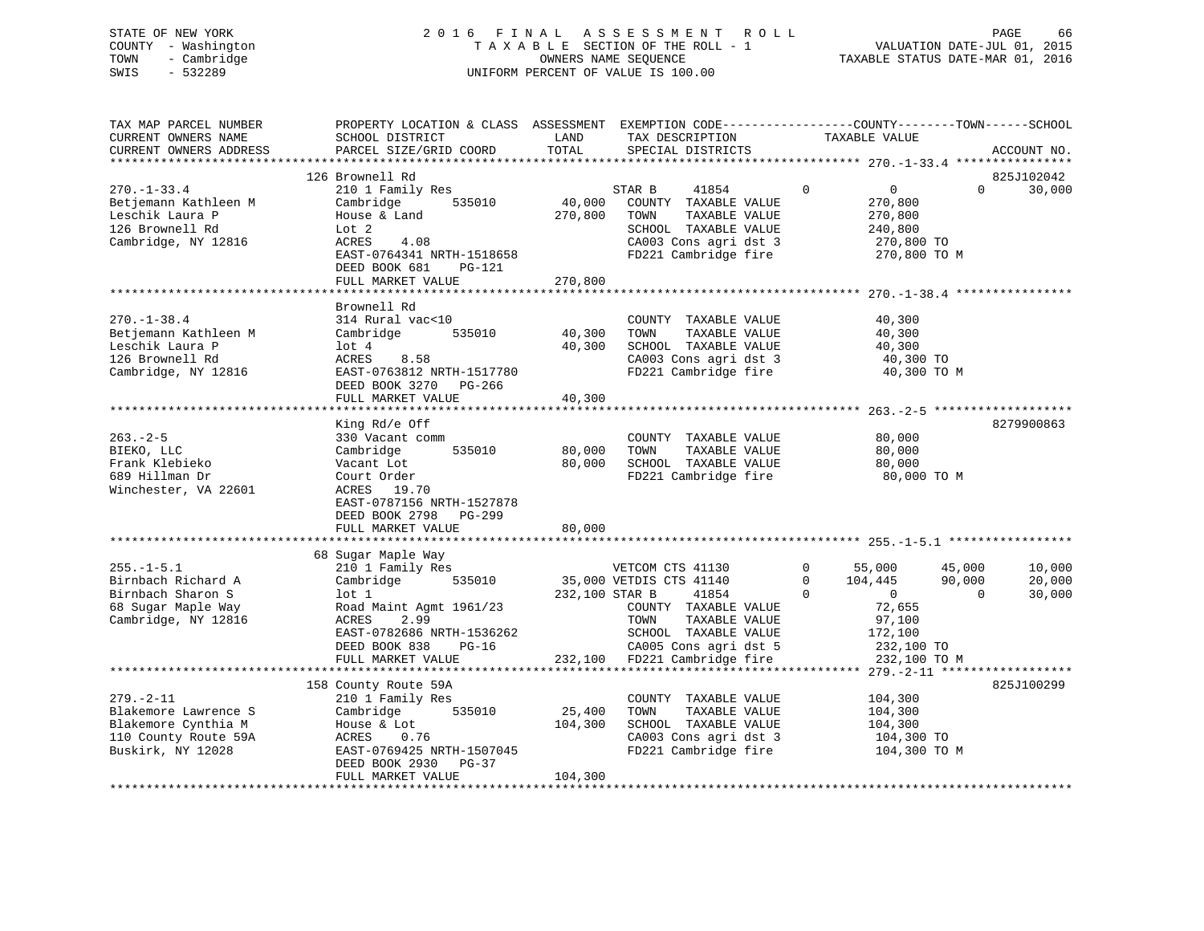# STATE OF NEW YORK 2 0 1 6 F I N A L A S S E S S M E N T R O L L PAGE 66 COUNTY - Washington T A X A B L E SECTION OF THE ROLL - 1 VALUATION DATE-JUL 01, 2015 TOWN - Cambridge OWNERS NAME SEQUENCE TAXABLE STATUS DATE-MAR 01, 2016 SWIS - 532289 UNIFORM PERCENT OF VALUE IS 100.00

| TAX MAP PARCEL NUMBER<br>CURRENT OWNERS NAME<br>CURRENT OWNERS ADDRESS                                      | PROPERTY LOCATION & CLASS ASSESSMENT EXEMPTION CODE---------------COUNTY-------TOWN-----SCHOOL<br>SCHOOL DISTRICT<br>PARCEL SIZE/GRID COORD                | LAND<br>TOTAL                | TAX DESCRIPTION<br>SPECIAL DISTRICTS                                                                                                                   | TAXABLE VALUE                                                                      |                                                                | ACCOUNT NO.                |
|-------------------------------------------------------------------------------------------------------------|------------------------------------------------------------------------------------------------------------------------------------------------------------|------------------------------|--------------------------------------------------------------------------------------------------------------------------------------------------------|------------------------------------------------------------------------------------|----------------------------------------------------------------|----------------------------|
|                                                                                                             |                                                                                                                                                            |                              |                                                                                                                                                        |                                                                                    |                                                                |                            |
|                                                                                                             | 126 Brownell Rd                                                                                                                                            |                              |                                                                                                                                                        |                                                                                    |                                                                | 825J102042                 |
| $270. - 1 - 33.4$                                                                                           | 210 1 Family Res                                                                                                                                           |                              | STAR B<br>41854                                                                                                                                        | $\mathbf 0$                                                                        | $\overline{0}$<br>$\Omega$                                     | 30,000                     |
| Betjemann Kathleen M<br>Leschik Laura P<br>126 Brownell Rd<br>Cambridge, NY 12816                           | 535010<br>Cambridge<br>House & Land<br>Lot 2<br>ACRES<br>4.08                                                                                              | 40,000<br>270,800            | COUNTY TAXABLE VALUE<br>TOWN<br>TAXABLE VALUE<br>SCHOOL TAXABLE VALUE<br>CA003 Cons agri dst 3                                                         |                                                                                    | 270,800<br>270,800<br>240,800<br>270,800 TO                    |                            |
|                                                                                                             | EAST-0764341 NRTH-1518658<br>DEED BOOK 681<br>PG-121<br>FULL MARKET VALUE                                                                                  | 270,800                      | FD221 Cambridge fire                                                                                                                                   |                                                                                    | 270,800 TO M                                                   |                            |
|                                                                                                             |                                                                                                                                                            |                              |                                                                                                                                                        |                                                                                    |                                                                |                            |
| $270. - 1 - 38.4$<br>Betjemann Kathleen M<br>Leschik Laura P<br>126 Brownell Rd<br>Cambridge, NY 12816      | Brownell Rd<br>314 Rural vac<10<br>535010<br>Cambridge<br>$1$ ot $4$<br>ACRES<br>8.58<br>EAST-0763812 NRTH-1517780<br>DEED BOOK 3270 PG-266                | 40,300<br>40,300             | COUNTY TAXABLE VALUE<br>TOWN<br>TAXABLE VALUE<br>SCHOOL TAXABLE VALUE<br>CA003 Cons agri dst 3<br>FD221 Cambridge fire                                 |                                                                                    | 40,300<br>40,300<br>40,300<br>40,300 TO<br>40,300 TO M         |                            |
|                                                                                                             | FULL MARKET VALUE                                                                                                                                          | 40,300                       |                                                                                                                                                        |                                                                                    |                                                                |                            |
|                                                                                                             | King Rd/e Off                                                                                                                                              |                              |                                                                                                                                                        |                                                                                    |                                                                | 8279900863                 |
| $263. - 2 - 5$<br>BIEKO, LLC<br>Frank Klebieko<br>689 Hillman Dr<br>Winchester, VA 22601                    | 330 Vacant comm<br>535010<br>Cambridge<br>Vacant Lot<br>Court Order<br>ACRES 19.70<br>EAST-0787156 NRTH-1527878                                            | 80,000<br>80,000             | COUNTY TAXABLE VALUE<br>TOWN<br>TAXABLE VALUE<br>SCHOOL TAXABLE VALUE<br>FD221 Cambridge fire                                                          |                                                                                    | 80,000<br>80,000<br>80,000<br>80,000 TO M                      |                            |
|                                                                                                             | DEED BOOK 2798 PG-299<br>FULL MARKET VALUE                                                                                                                 | 80,000                       |                                                                                                                                                        |                                                                                    |                                                                |                            |
|                                                                                                             |                                                                                                                                                            |                              |                                                                                                                                                        |                                                                                    |                                                                |                            |
|                                                                                                             | 68 Sugar Maple Way                                                                                                                                         |                              |                                                                                                                                                        |                                                                                    |                                                                |                            |
| $255. - 1 - 5.1$<br>Birnbach Richard A<br>Birnbach Sharon S<br>68 Sugar Maple Way<br>Cambridge, NY 12816    | 210 1 Family Res<br>Cambridge<br>535010<br>$1$ ot $1$<br>Road Maint Agmt 1961/23<br>2.99<br>ACRES<br>EAST-0782686 NRTH-1536262<br>DEED BOOK 838<br>$PG-16$ | 232,100 STAR B               | VETCOM CTS 41130<br>35,000 VETDIS CTS 41140<br>41854<br>COUNTY TAXABLE VALUE<br>TAXABLE VALUE<br>TOWN<br>SCHOOL TAXABLE VALUE<br>CA005 Cons agri dst 5 | $\Omega$<br>55,000<br>104,445<br>$\Omega$<br>$\overline{0}$<br>$\Omega$<br>172,100 | 45,000<br>90,000<br>$\Omega$<br>72,655<br>97,100<br>232,100 TO | 10,000<br>20,000<br>30,000 |
|                                                                                                             | FULL MARKET VALUE                                                                                                                                          | 232,100                      | FD221 Cambridge fire                                                                                                                                   |                                                                                    | 232,100 TO M                                                   |                            |
|                                                                                                             | 158 County Route 59A                                                                                                                                       |                              |                                                                                                                                                        |                                                                                    |                                                                | 825J100299                 |
| $279. - 2 - 11$<br>Blakemore Lawrence S<br>Blakemore Cynthia M<br>110 County Route 59A<br>Buskirk, NY 12028 | 210 1 Family Res<br>Cambridge<br>535010<br>House & Lot<br>ACRES<br>0.76<br>EAST-0769425 NRTH-1507045<br>DEED BOOK 2930 PG-37<br>FULL MARKET VALUE          | 25,400<br>104,300<br>104,300 | COUNTY TAXABLE VALUE<br>TAXABLE VALUE<br>TOWN<br>SCHOOL TAXABLE VALUE<br>CA003 Cons agri dst 3<br>FD221 Cambridge fire                                 | 104,300<br>104,300<br>104,300                                                      | 104,300 TO<br>104,300 TO M                                     |                            |
|                                                                                                             |                                                                                                                                                            |                              |                                                                                                                                                        |                                                                                    |                                                                |                            |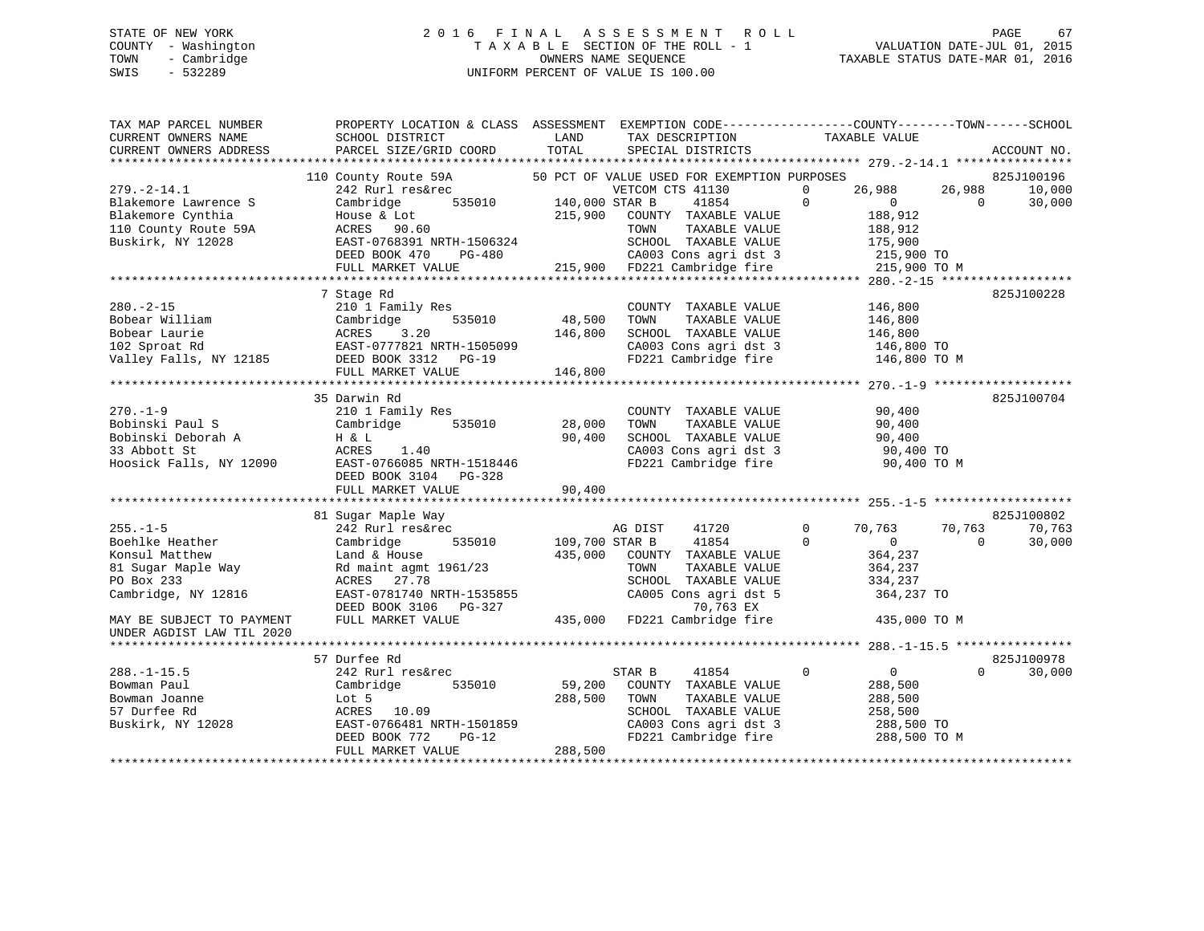# STATE OF NEW YORK 2 0 1 6 F I N A L A S S E S S M E N T R O L L PAGE 67 COUNTY - Washington T A X A B L E SECTION OF THE ROLL - 1 VALUATION DATE-JUL 01, 2015 TOWN - Cambridge OWNERS NAME SEQUENCE TAXABLE STATUS DATE-MAR 01, 2016 SWIS - 532289 UNIFORM PERCENT OF VALUE IS 100.00

| TAX MAP PARCEL NUMBER     | PROPERTY LOCATION & CLASS ASSESSMENT EXEMPTION CODE----------------COUNTY-------TOWN------SCHOOL |                         |                                                          |                            |                         |
|---------------------------|--------------------------------------------------------------------------------------------------|-------------------------|----------------------------------------------------------|----------------------------|-------------------------|
| CURRENT OWNERS NAME       | SCHOOL DISTRICT                                                                                  | LAND                    | TAX DESCRIPTION                                          | TAXABLE VALUE              |                         |
| CURRENT OWNERS ADDRESS    | PARCEL SIZE/GRID COORD                                                                           | TOTAL                   | SPECIAL DISTRICTS                                        |                            | ACCOUNT NO.             |
|                           |                                                                                                  |                         |                                                          |                            |                         |
|                           | 110 County Route 59A                                                                             |                         | 50 PCT OF VALUE USED FOR EXEMPTION PURPOSES              |                            | 825J100196              |
| $279. - 2 - 14.1$         | 242 Rurl res&rec                                                                                 |                         | VETCOM CTS 41130                                         | 26,988<br>$\Omega$         | 26,988<br>10,000        |
| Blakemore Lawrence S      | Cambridge                                                                                        | $535010$ 140,000 STAR B | 41854                                                    | $\Omega$<br>$\overline{0}$ | $\Omega$<br>30,000      |
| Blakemore Cynthia         | House & Lot                                                                                      | 215,900                 | COUNTY TAXABLE VALUE                                     | 188,912                    |                         |
| 110 County Route 59A      | ACRES 90.60                                                                                      |                         | TOWN<br>TAXABLE VALUE                                    | 188,912                    |                         |
| Buskirk, NY 12028         | EAST-0768391 NRTH-1506324                                                                        |                         | SCHOOL TAXABLE VALUE                                     | 175,900                    |                         |
|                           | DEED BOOK 470<br>PG-480                                                                          |                         | CA003 Cons agri dst 3                                    |                            | 215,900 TO              |
|                           | FULL MARKET VALUE                                                                                |                         | 215,900 FD221 Cambridge fire 215,900 TO M                |                            |                         |
|                           |                                                                                                  |                         |                                                          |                            |                         |
|                           | 7 Stage Rd                                                                                       |                         |                                                          |                            | 825J100228              |
| $280. -2 - 15$            | 210 1 Family Res                                                                                 |                         | COUNTY TAXABLE VALUE                                     | 146,800                    |                         |
| Bobear William            | 535010<br>Cambridge                                                                              | 48,500                  | TOWN<br>TAXABLE VALUE                                    | 146,800                    |                         |
| Bobear Laurie             | ACRES<br>3.20                                                                                    | 146,800                 | SCHOOL TAXABLE VALUE                                     | 146,800                    |                         |
| 102 Sproat Rd             |                                                                                                  |                         |                                                          |                            |                         |
|                           |                                                                                                  |                         | CA003 Cons agri dst 3 146,800 TO<br>FD221 Cambridge fire |                            |                         |
| Valley Falls, NY 12185    |                                                                                                  |                         |                                                          |                            | 146,800 TO M            |
|                           | FULL MARKET VALUE                                                                                | 146,800                 |                                                          |                            |                         |
|                           |                                                                                                  |                         |                                                          |                            |                         |
|                           | 35 Darwin Rd                                                                                     |                         |                                                          |                            | 825J100704              |
| $270. - 1 - 9$            | 210 1 Family Res                                                                                 |                         | COUNTY TAXABLE VALUE                                     |                            | 90,400                  |
| Bobinski Paul S           | Cambridge<br>535010                                                                              | 28,000                  | TOWN<br>TAXABLE VALUE                                    |                            | 90,400                  |
| Bobinski Deborah A        | H & L                                                                                            | 90,400                  | SCHOOL TAXABLE VALUE                                     |                            | 90,400                  |
| 33 Abbott St              | ACRES<br>1.40                                                                                    |                         | CA003 Cons agri dst 3                                    |                            | 90,400 TO               |
| Hoosick Falls, NY 12090   | EAST-0766085 NRTH-1518446                                                                        |                         | FD221 Cambridge fire                                     |                            | 90,400 TO M             |
|                           | DEED BOOK 3104 PG-328                                                                            |                         |                                                          |                            |                         |
|                           | FULL MARKET VALUE                                                                                | 90,400                  |                                                          |                            |                         |
|                           |                                                                                                  |                         |                                                          |                            |                         |
|                           | 81 Sugar Maple Way                                                                               |                         |                                                          |                            | 825J100802              |
| $255. - 1 - 5$            | 242 Rurl res&rec                                                                                 |                         | AG DIST<br>41720                                         | $\Omega$<br>70,763         | 70,763<br>70,763        |
| Boehlke Heather           | 535010<br>Cambridge                                                                              | 109,700 STAR B          | 41854                                                    | $\Omega$<br>$\overline{0}$ | $\mathbf{0}$<br>30,000  |
| Konsul Matthew            | Land & House                                                                                     | 435,000                 | COUNTY TAXABLE VALUE                                     | 364,237                    |                         |
| 81 Sugar Maple Way        | Rd maint agmt 1961/23                                                                            |                         | TOWN<br>TAXABLE VALUE                                    | 364,237                    |                         |
| PO Box 233                | ACRES 27.78                                                                                      |                         | SCHOOL TAXABLE VALUE                                     | 334,237                    |                         |
| Cambridge, NY 12816       | EAST-0781740 NRTH-1535855                                                                        |                         | CA005 Cons agri dst 5                                    |                            | 364,237 TO              |
|                           | DEED BOOK 3106 PG-327                                                                            |                         | 70,763 EX                                                |                            |                         |
| MAY BE SUBJECT TO PAYMENT | FULL MARKET VALUE                                                                                |                         | 435,000 FD221 Cambridge fire                             |                            | 435,000 TO M            |
| UNDER AGDIST LAW TIL 2020 |                                                                                                  |                         |                                                          |                            |                         |
|                           |                                                                                                  |                         |                                                          |                            |                         |
|                           | 57 Durfee Rd                                                                                     |                         |                                                          |                            | 825J100978              |
| $288. - 1 - 15.5$         | 242 Rurl res&rec                                                                                 |                         | 41854<br>STAR B                                          | $\mathbf{0}$               | 0<br>$\Omega$<br>30,000 |
| Bowman Paul               | 535010<br>Cambridge                                                                              | 59,200                  | COUNTY TAXABLE VALUE                                     | 288,500                    |                         |
| Bowman Joanne             | Lot 5                                                                                            | 288,500                 | TOWN<br>TAXABLE VALUE                                    | 288,500                    |                         |
| 57 Durfee Rd              | ACRES 10.09                                                                                      |                         | SCHOOL TAXABLE VALUE                                     | 258,500                    |                         |
|                           | EAST-0766481 NRTH-1501859                                                                        |                         | CA003 Cons agri dst 3                                    |                            | 288,500 TO              |
| Buskirk, NY 12028         |                                                                                                  |                         |                                                          |                            |                         |
|                           | DEED BOOK 772<br>$PG-12$                                                                         |                         | FD221 Cambridge fire                                     |                            | 288,500 TO M            |
|                           | FULL MARKET VALUE                                                                                | 288,500                 |                                                          |                            |                         |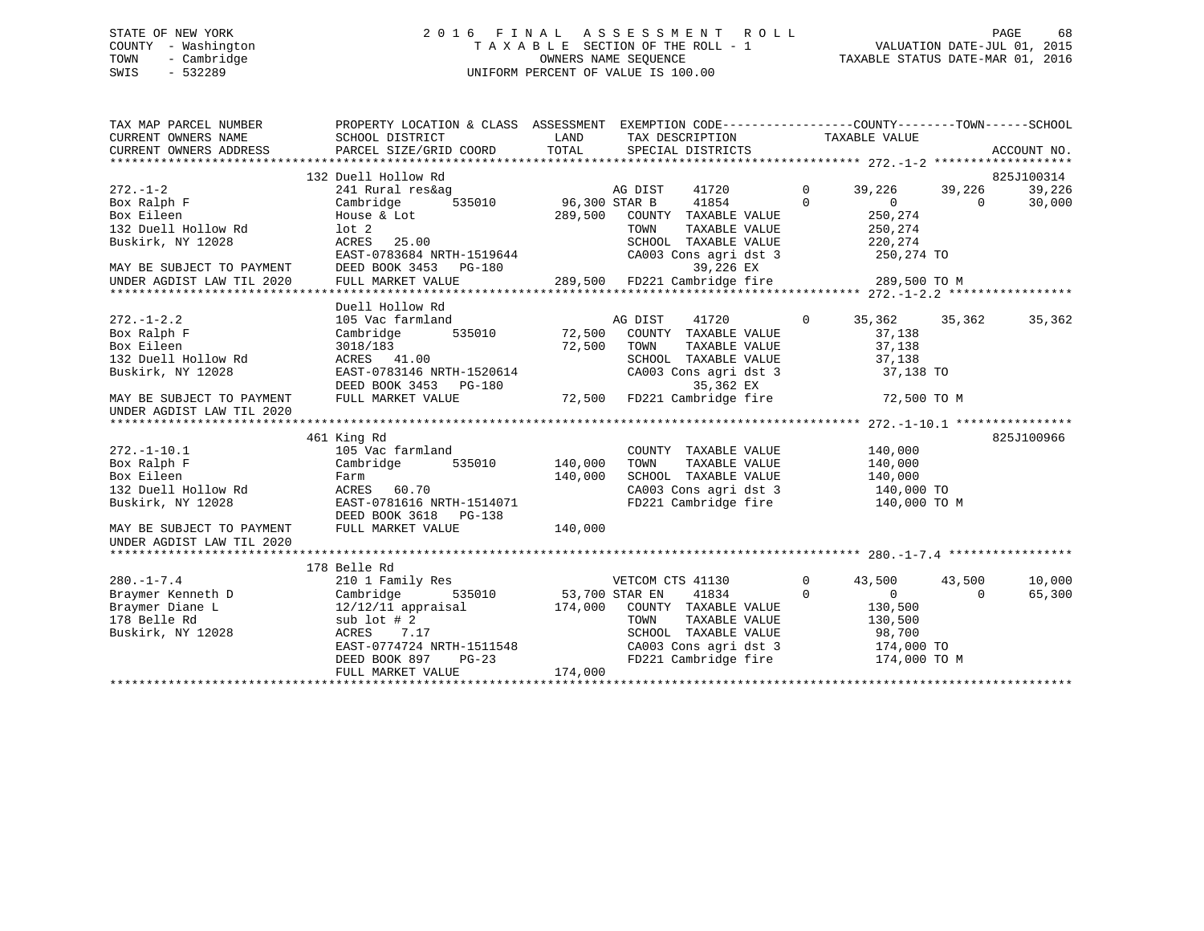# STATE OF NEW YORK 2 0 1 6 F I N A L A S S E S S M E N T R O L L PAGE 68 COUNTY - Washington T A X A B L E SECTION OF THE ROLL - 1 VALUATION DATE-JUL 01, 2015 TOWN - Cambridge OWNERS NAME SEQUENCE TAXABLE STATUS DATE-MAR 01, 2016 SWIS - 532289 UNIFORM PERCENT OF VALUE IS 100.00

| TAX MAP PARCEL NUMBER<br>CURRENT OWNERS NAME           | PROPERTY LOCATION & CLASS ASSESSMENT EXEMPTION CODE---------------COUNTY-------TOWN-----SCHOOL<br>SCHOOL DISTRICT | LAND           | TAX DESCRIPTION TAXABLE VALUE |                |                      |               |             |
|--------------------------------------------------------|-------------------------------------------------------------------------------------------------------------------|----------------|-------------------------------|----------------|----------------------|---------------|-------------|
| CURRENT OWNERS ADDRESS                                 | PARCEL SIZE/GRID COORD                                                                                            | TOTAL          | SPECIAL DISTRICTS             |                |                      |               | ACCOUNT NO. |
|                                                        |                                                                                                                   |                |                               |                |                      |               |             |
|                                                        | 132 Duell Hollow Rd                                                                                               |                |                               |                |                      |               | 825J100314  |
| $272. - 1 - 2$                                         | 241 Rural res&ag                                                                                                  |                | AG DIST<br>41720              | $\mathbf{0}$   | 39,226               | 39,226        | 39,226      |
| Box Ralph F                                            | 535010<br>Cambridge                                                                                               | 96,300 STAR B  | 41854                         | $\Omega$       | $\overline{0}$       | $\Omega$      | 30,000      |
| Box Eileen                                             | House & Lot                                                                                                       | 289,500        | COUNTY TAXABLE VALUE          |                | 250,274              |               |             |
| 132 Duell Hollow Rd                                    | lot <sub>2</sub>                                                                                                  |                | TOWN<br>TAXABLE VALUE         |                | 250,274              |               |             |
| Buskirk, NY 12028                                      | 25.00<br>ACRES                                                                                                    |                | SCHOOL TAXABLE VALUE          |                | 220,274              |               |             |
|                                                        | EAST-0783684 NRTH-1519644                                                                                         |                | CA003 Cons agri dst 3         |                | 250,274 TO           |               |             |
| MAY BE SUBJECT TO PAYMENT<br>UNDER AGDIST LAW TIL 2020 | DEED BOOK 3453 PG-180                                                                                             |                | 39,226 EX                     |                |                      |               |             |
|                                                        | FULL MARKET VALUE                                                                                                 |                | 289,500 FD221 Cambridge fire  |                | 289,500 TO M         |               |             |
|                                                        |                                                                                                                   |                |                               |                |                      |               |             |
|                                                        | Duell Hollow Rd                                                                                                   |                |                               |                |                      |               |             |
| $272. - 1 - 2.2$                                       | 105 Vac farmland                                                                                                  |                | AG DIST<br>41720              | $\circ$        |                      | 35,362 35,362 | 35,362      |
| Box Ralph F                                            | 535010<br>Cambridge                                                                                               | 72,500         | COUNTY TAXABLE VALUE          |                | 37,138               |               |             |
| Box Eileen                                             | 3018/183                                                                                                          | 72,500         | TOWN<br>TAXABLE VALUE         |                | 37,138               |               |             |
| 132 Duell Hollow Rd                                    | ACRES 41.00                                                                                                       |                | SCHOOL TAXABLE VALUE          |                | 37,138               |               |             |
| Buskirk, NY 12028                                      | EAST-0783146 NRTH-1520614                                                                                         |                | CA003 Cons agri dst 3         |                | 37,138 TO            |               |             |
|                                                        | DEED BOOK 3453 PG-180 35,362 EX<br>FULL MARKET VALUE 72,500 FD221 Cambridge fire                                  |                |                               |                |                      |               |             |
| MAY BE SUBJECT TO PAYMENT                              |                                                                                                                   |                |                               |                | 72,500 TO M          |               |             |
| UNDER AGDIST LAW TIL 2020                              |                                                                                                                   |                |                               |                |                      |               |             |
|                                                        |                                                                                                                   |                |                               |                |                      |               |             |
|                                                        | 461 King Rd                                                                                                       |                |                               |                |                      |               | 825J100966  |
| $272. - 1 - 10.1$                                      | 105 Vac farmland                                                                                                  |                | COUNTY TAXABLE VALUE          |                | 140,000              |               |             |
| Box Ralph F                                            | 535010<br>Cambridge                                                                                               | 140,000        | TAXABLE VALUE<br>TOWN         |                | 140,000              |               |             |
| Box Eileen                                             | Farm                                                                                                              | 140,000        | SCHOOL TAXABLE VALUE          |                | 140,000              |               |             |
| 132 Duell Hollow Rd                                    | ACRES<br>60.70                                                                                                    |                | CA003 Cons agri dst 3         |                | 140,000 TO           |               |             |
| Buskirk, NY 12028                                      | EAST-0781616 NRTH-1514071                                                                                         |                | FD221 Cambridge fire          |                | 140,000 TO M         |               |             |
|                                                        | DEED BOOK 3618 PG-138                                                                                             |                |                               |                |                      |               |             |
| MAY BE SUBJECT TO PAYMENT<br>UNDER AGDIST LAW TIL 2020 | FULL MARKET VALUE                                                                                                 | 140,000        |                               |                |                      |               |             |
|                                                        |                                                                                                                   |                |                               |                |                      |               |             |
|                                                        | 178 Belle Rd                                                                                                      |                |                               |                |                      |               |             |
| $280. - 1 - 7.4$                                       | 210 1 Family Res                                                                                                  |                | VETCOM CTS 41130              | $\overline{0}$ | 43,500               | 43,500        | 10,000      |
| Braymer Kenneth D                                      | 535010<br>Cambridge                                                                                               | 53,700 STAR EN | 41834                         | $\Omega$       | $\Omega$             | $\Omega$      | 65,300      |
| Braymer Diane L                                        | $12/12/11$ appraisal                                                                                              | 174,000        | COUNTY TAXABLE VALUE          |                | 130,500              |               |             |
| 178 Belle Rd                                           | $sub$ lot # 2                                                                                                     |                | TOWN<br>TAXABLE VALUE         |                | 130,500              |               |             |
| Buskirk, NY 12028                                      | 7.17<br>ACRES                                                                                                     |                | SCHOOL TAXABLE VALUE          |                | 98,700               |               |             |
|                                                        | EAST-0774724 NRTH-1511548                                                                                         |                | CA003 Cons agri dst 3         |                | 98,700<br>174,000 TO |               |             |
|                                                        | DEED BOOK 897<br>$PG-23$                                                                                          |                | FD221 Cambridge fire          |                | 174,000 TO M         |               |             |
|                                                        | FULL MARKET VALUE                                                                                                 | 174,000        |                               |                |                      |               |             |
|                                                        |                                                                                                                   |                |                               |                |                      |               |             |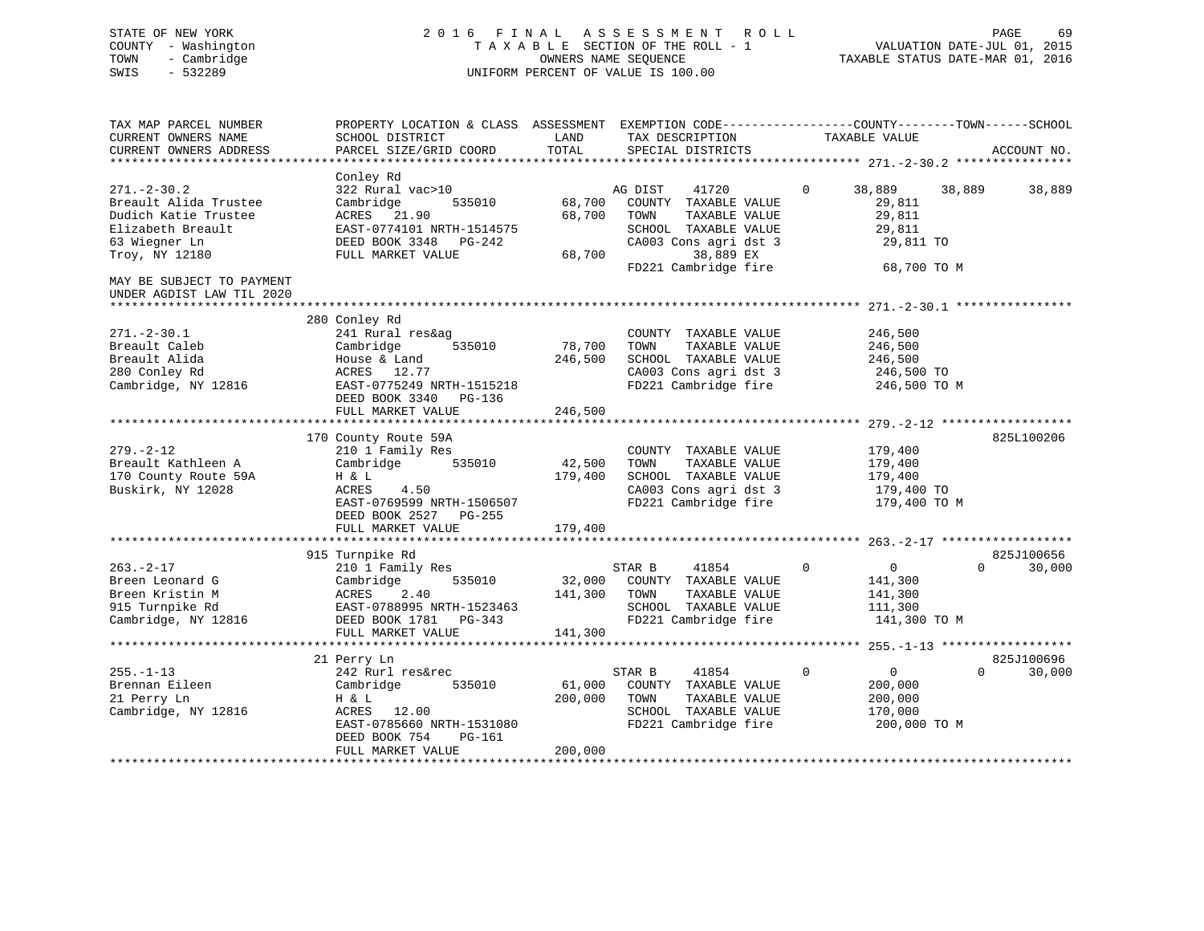# STATE OF NEW YORK 2 0 1 6 F I N A L A S S E S S M E N T R O L L PAGE 69 COUNTY - Washington T A X A B L E SECTION OF THE ROLL - 1 VALUATION DATE-JUL 01, 2015 TOWN - Cambridge OWNERS NAME SEQUENCE TAXABLE STATUS DATE-MAR 01, 2016 SWIS - 532289 UNIFORM PERCENT OF VALUE IS 100.00

| TAX MAP PARCEL NUMBER<br>CURRENT OWNERS NAME<br>CURRENT OWNERS ADDRESS<br>***********************        | PROPERTY LOCATION & CLASS ASSESSMENT<br>SCHOOL DISTRICT<br>PARCEL SIZE/GRID COORD                                                                 | LAND<br>TOTAL                | EXEMPTION CODE-----------------COUNTY-------TOWN------SCHOOL<br>TAX DESCRIPTION<br>SPECIAL DISTRICTS                   | TAXABLE VALUE                                                                   | ACCOUNT NO.        |
|----------------------------------------------------------------------------------------------------------|---------------------------------------------------------------------------------------------------------------------------------------------------|------------------------------|------------------------------------------------------------------------------------------------------------------------|---------------------------------------------------------------------------------|--------------------|
| $271. - 2 - 30.2$<br>Breault Alida Trustee<br>Dudich Katie Trustee<br>Elizabeth Breault<br>63 Wieqner Ln | Conley Rd<br>322 Rural vac>10<br>Cambridge<br>535010<br>ACRES 21.90<br>EAST-0774101 NRTH-1514575                                                  | 68,700<br>68,700             | AG DIST<br>41720<br>COUNTY TAXABLE VALUE<br>TOWN<br>TAXABLE VALUE<br>SCHOOL TAXABLE VALUE<br>CA003 Cons agri dst 3     | $\mathbf 0$<br>38,889<br>29,811<br>29,811<br>29,811                             | 38,889<br>38,889   |
| Troy, NY 12180<br>MAY BE SUBJECT TO PAYMENT<br>UNDER AGDIST LAW TIL 2020                                 | DEED BOOK 3348 PG-242<br>FULL MARKET VALUE                                                                                                        | 68,700                       | 38,889 EX<br>FD221 Cambridge fire                                                                                      | 29,811 TO<br>68,700 TO M                                                        |                    |
| **************************                                                                               |                                                                                                                                                   |                              |                                                                                                                        |                                                                                 |                    |
| $271. - 2 - 30.1$<br>Breault Caleb<br>Breault Alida<br>280 Conley Rd<br>Cambridge, NY 12816              | 280 Conley Rd<br>241 Rural res&ag<br>Cambridge<br>535010<br>House & Land<br>ACRES 12.77<br>EAST-0775249 NRTH-1515218<br>DEED BOOK 3340 PG-136     | 78,700<br>246,500            | COUNTY TAXABLE VALUE<br>TAXABLE VALUE<br>TOWN<br>SCHOOL TAXABLE VALUE<br>CA003 Cons agri dst 3<br>FD221 Cambridge fire | 246,500<br>246,500<br>246,500<br>246,500 TO<br>246,500 TO M                     |                    |
|                                                                                                          | FULL MARKET VALUE                                                                                                                                 | 246,500                      |                                                                                                                        |                                                                                 |                    |
|                                                                                                          | 170 County Route 59A                                                                                                                              |                              |                                                                                                                        |                                                                                 | 825L100206         |
| $279. - 2 - 12$<br>Breault Kathleen A<br>170 County Route 59A<br>Buskirk, NY 12028                       | 210 1 Family Res<br>535010<br>Cambridge<br>H & L<br>ACRES<br>4.50<br>EAST-0769599 NRTH-1506507<br>DEED BOOK 2527 PG-255<br>FULL MARKET VALUE      | 42,500<br>179,400<br>179,400 | COUNTY TAXABLE VALUE<br>TOWN<br>TAXABLE VALUE<br>SCHOOL TAXABLE VALUE<br>CA003 Cons agri dst 3<br>FD221 Cambridge fire | 179,400<br>179,400<br>179,400<br>179,400 TO<br>179,400 TO M                     |                    |
|                                                                                                          |                                                                                                                                                   |                              |                                                                                                                        |                                                                                 |                    |
|                                                                                                          | 915 Turnpike Rd                                                                                                                                   |                              |                                                                                                                        |                                                                                 | 825J100656         |
| $263 - 2 - 17$<br>Breen Leonard G<br>Breen Kristin M<br>915 Turnpike Rd<br>Cambridge, NY 12816           | 210 1 Family Res<br>Cambridge<br>535010<br>ACRES<br>2.40<br>EAST-0788995 NRTH-1523463<br>DEED BOOK 1781 PG-343<br>FULL MARKET VALUE               | 32,000<br>141,300<br>141,300 | 41854<br>STAR B<br>COUNTY TAXABLE VALUE<br>TOWN<br>TAXABLE VALUE<br>SCHOOL TAXABLE VALUE<br>FD221 Cambridge fire       | $\overline{0}$<br>$\mathbf{0}$<br>141,300<br>141,300<br>111,300<br>141,300 TO M | $\Omega$<br>30,000 |
|                                                                                                          |                                                                                                                                                   |                              |                                                                                                                        |                                                                                 |                    |
|                                                                                                          | 21 Perry Ln                                                                                                                                       |                              |                                                                                                                        |                                                                                 | 825J100696         |
| $255. - 1 - 13$<br>Brennan Eileen<br>21 Perry Ln<br>Cambridge, NY 12816                                  | 242 Rurl res&rec<br>535010<br>Cambridge<br>H & L<br>12.00<br>ACRES<br>EAST-0785660 NRTH-1531080<br>DEED BOOK 754<br>$PG-161$<br>FULL MARKET VALUE | 61,000<br>200,000<br>200,000 | 41854<br>STAR B<br>COUNTY TAXABLE VALUE<br>TOWN<br>TAXABLE VALUE<br>SCHOOL TAXABLE VALUE<br>FD221 Cambridge fire       | $\mathbf 0$<br>$\mathbf{0}$<br>200,000<br>200,000<br>170,000<br>200,000 TO M    | 30,000<br>$\Omega$ |
|                                                                                                          |                                                                                                                                                   |                              |                                                                                                                        |                                                                                 |                    |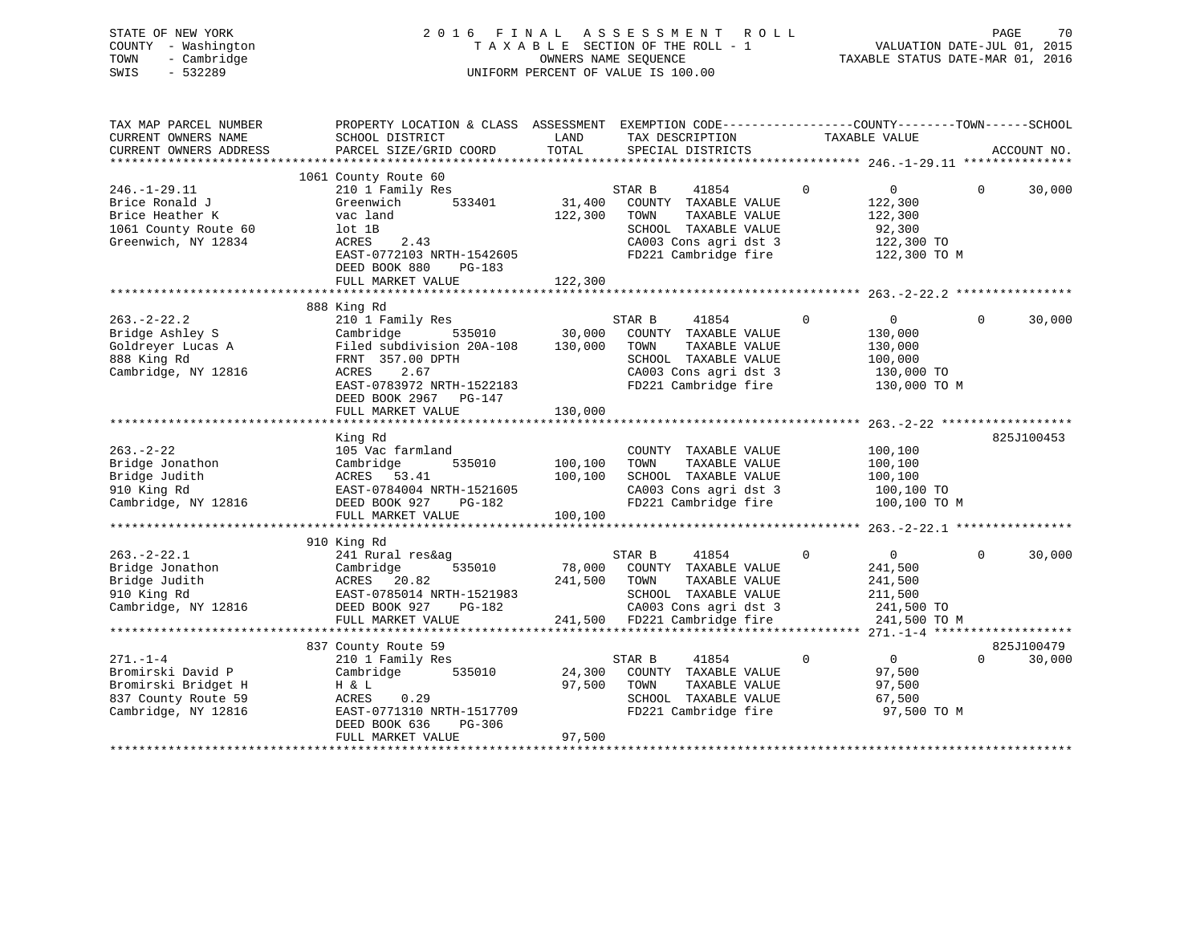| STATE OF NEW YORK<br>COUNTY - Washington | <b>FINAL</b><br>2 0 1 6                                                                          |         | A S S E S S M E N T<br>ROLL<br>TAXABLE SECTION OF THE ROLL - 1 |             | VALUATION DATE-JUL 01, 2015      | PAGE     | 70          |
|------------------------------------------|--------------------------------------------------------------------------------------------------|---------|----------------------------------------------------------------|-------------|----------------------------------|----------|-------------|
| - Cambridge<br>TOWN<br>$-532289$<br>SWIS |                                                                                                  |         | OWNERS NAME SEQUENCE<br>UNIFORM PERCENT OF VALUE IS 100.00     |             | TAXABLE STATUS DATE-MAR 01, 2016 |          |             |
|                                          |                                                                                                  |         |                                                                |             |                                  |          |             |
| TAX MAP PARCEL NUMBER                    | PROPERTY LOCATION & CLASS ASSESSMENT EXEMPTION CODE----------------COUNTY-------TOWN------SCHOOL |         |                                                                |             |                                  |          |             |
| CURRENT OWNERS NAME                      | SCHOOL DISTRICT                                                                                  | LAND    | TAX DESCRIPTION                                                |             | TAXABLE VALUE                    |          |             |
| CURRENT OWNERS ADDRESS                   | PARCEL SIZE/GRID COORD                                                                           | TOTAL   | SPECIAL DISTRICTS                                              |             |                                  |          | ACCOUNT NO. |
|                                          |                                                                                                  |         |                                                                |             |                                  |          |             |
|                                          | 1061 County Route 60                                                                             |         |                                                                |             |                                  |          |             |
| $246. - 1 - 29.11$                       | 210 1 Family Res                                                                                 |         | 41854<br>STAR B                                                | $\mathbf 0$ | $0 \qquad \qquad$                | $\Omega$ | 30,000      |
| Brice Ronald J                           | Greenwich<br>533401                                                                              | 31,400  | COUNTY TAXABLE VALUE                                           |             | 122,300                          |          |             |
| Brice Heather K                          | vac land                                                                                         | 122,300 | TOWN<br>TAXABLE VALUE                                          |             | 122,300                          |          |             |
| 1061 County Route 60                     | lot 1B                                                                                           |         | SCHOOL TAXABLE VALUE                                           |             | 92,300                           |          |             |
| Greenwich, NY 12834                      | 2.43<br>ACRES                                                                                    |         | CA003 Cons agri dst 3                                          |             | 122,300 TO                       |          |             |
|                                          | EAST-0772103 NRTH-1542605                                                                        |         | FD221 Cambridge fire                                           |             | 122,300 TO M                     |          |             |
|                                          | DEED BOOK 880<br>$PG-183$                                                                        |         |                                                                |             |                                  |          |             |
|                                          | FULL MARKET VALUE                                                                                | 122,300 |                                                                |             |                                  |          |             |
|                                          |                                                                                                  |         |                                                                |             |                                  |          |             |
| $263. - 2 - 22.2$                        | 888 King Rd<br>210 1 Family Res                                                                  |         | STAR B<br>41854                                                | $\Omega$    | $\overline{0}$                   | $\Omega$ | 30,000      |
| Bridge Ashley S                          | Cambridge<br>535010                                                                              | 30,000  | COUNTY TAXABLE VALUE                                           |             | 130,000                          |          |             |
| Goldreyer Lucas A                        | Filed subdivision 20A-108                                                                        | 130,000 | TOWN<br>TAXABLE VALUE                                          |             | 130,000                          |          |             |
| 888 King Rd                              | FRNT 357.00 DPTH                                                                                 |         | SCHOOL TAXABLE VALUE                                           |             | 100,000                          |          |             |
| Cambridge, NY 12816                      | 2.67<br>ACRES                                                                                    |         | CA003 Cons agri dst 3                                          |             | 130,000 TO                       |          |             |
|                                          | EAST-0783972 NRTH-1522183                                                                        |         | FD221 Cambridge fire                                           |             | 130,000 TO M                     |          |             |
|                                          | DEED BOOK 2967 PG-147                                                                            |         |                                                                |             |                                  |          |             |
|                                          | FULL MARKET VALUE                                                                                | 130,000 |                                                                |             |                                  |          |             |
|                                          |                                                                                                  |         |                                                                |             |                                  |          |             |
|                                          | King Rd                                                                                          |         |                                                                |             |                                  |          | 825J100453  |
| $263. - 2 - 22$                          | 105 Vac farmland                                                                                 |         | COUNTY TAXABLE VALUE                                           |             | 100,100                          |          |             |
| Bridge Jonathon                          | Cambridge<br>535010                                                                              | 100,100 | TAXABLE VALUE<br>TOWN                                          |             | 100,100                          |          |             |
| Bridge Judith                            | ACRES 53.41                                                                                      | 100,100 | SCHOOL TAXABLE VALUE                                           |             | 100,100                          |          |             |
| 910 King Rd                              | EAST-0784004 NRTH-1521605                                                                        |         | CA003 Cons agri dst 3                                          |             | 100,100 TO                       |          |             |
| Cambridge, NY 12816                      | DEED BOOK 927<br>PG-182                                                                          |         | FD221 Cambridge fire                                           |             | 100,100 TO M                     |          |             |
|                                          | FULL MARKET VALUE                                                                                | 100,100 |                                                                |             |                                  |          |             |
|                                          |                                                                                                  |         |                                                                |             |                                  |          |             |
|                                          | 910 King Rd                                                                                      |         |                                                                |             |                                  |          |             |
| $263. - 2 - 22.1$                        | 241 Rural res&ag                                                                                 |         | STAR B<br>41854                                                | $\mathbf 0$ | $\overline{0}$                   | $\Omega$ | 30,000      |
| Bridge Jonathon                          | Cambridge<br>535010                                                                              | 78,000  | COUNTY TAXABLE VALUE                                           |             | 241,500                          |          |             |
| Bridge Judith                            | 20.82<br>ACRES                                                                                   | 241,500 | TOWN<br>TAXABLE VALUE                                          |             | 241,500                          |          |             |
| 910 King Rd                              | EAST-0785014 NRTH-1521983                                                                        |         | SCHOOL TAXABLE VALUE                                           |             | 211,500                          |          |             |
| Cambridge, NY 12816                      | DEED BOOK 927<br>PG-182                                                                          |         | CA003 Cons agri dst 3                                          |             | 241,500 TO                       |          |             |

 FULL MARKET VALUE 241,500 FD221 Cambridge fire 241,500 TO M \*\*\*\*\*\*\*\*\*\*\*\*\*\*\*\*\*\*\*\*\*\*\*\*\*\*\*\*\*\*\*\*\*\*\*\*\*\*\*\*\*\*\*\*\*\*\*\*\*\*\*\*\*\*\*\*\*\*\*\*\*\*\*\*\*\*\*\*\*\*\*\*\*\*\*\*\*\*\*\*\*\*\*\*\*\*\*\*\*\*\*\*\*\*\*\*\*\*\*\*\*\*\* 271.-1-4 \*\*\*\*\*\*\*\*\*\*\*\*\*\*\*\*\*\*\*825J100479 837 County Route 59 271.-1-4 210 1 Family Res STAR B 41854 0 0 0 30,000 24,300 COUNTY TAXABLE VALUE Bromirski Bridget H H & L 97,500 TOWN TAXABLE VALUE 97,500 POUN FAXABLE VALUE 97,500 SCHOOL TAXABLE VALUE 97,500 837 County Route 59 ACRES 0.29 SCHOOL TAXABLE VALUE 67,500 EAST-0771310 NRTH-1517709 DEED BOOK 636 PG-306 FULL MARKET VALUE 97,500 \*\*\*\*\*\*\*\*\*\*\*\*\*\*\*\*\*\*\*\*\*\*\*\*\*\*\*\*\*\*\*\*\*\*\*\*\*\*\*\*\*\*\*\*\*\*\*\*\*\*\*\*\*\*\*\*\*\*\*\*\*\*\*\*\*\*\*\*\*\*\*\*\*\*\*\*\*\*\*\*\*\*\*\*\*\*\*\*\*\*\*\*\*\*\*\*\*\*\*\*\*\*\*\*\*\*\*\*\*\*\*\*\*\*\*\*\*\*\*\*\*\*\*\*\*\*\*\*\*\*\*\*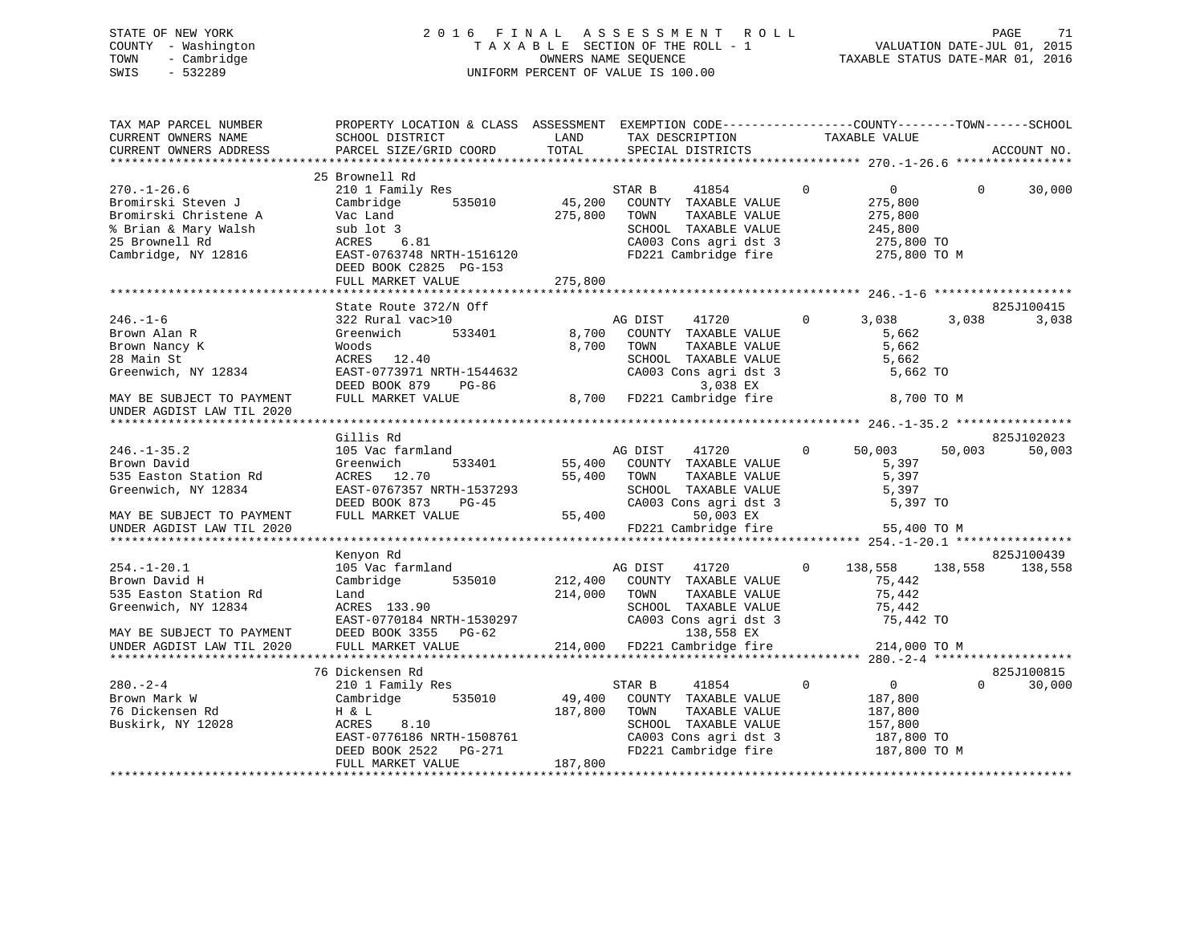# STATE OF NEW YORK 2 0 1 6 F I N A L A S S E S S M E N T R O L L PAGE 71 COUNTY - Washington T A X A B L E SECTION OF THE ROLL - 1 VALUATION DATE-JUL 01, 2015 TOWN - Cambridge OWNERS NAME SEQUENCE TAXABLE STATUS DATE-MAR 01, 2016 SWIS - 532289 UNIFORM PERCENT OF VALUE IS 100.00

| TAX MAP PARCEL NUMBER<br>CURRENT OWNERS NAME<br>CURRENT OWNERS ADDRESS                                                            | PROPERTY LOCATION & CLASS ASSESSMENT EXEMPTION CODE----------------COUNTY-------TOWN------SCHOOL<br>SCHOOL DISTRICT<br>PARCEL SIZE/GRID COORD              | LAND<br>TOTAL              | TAX DESCRIPTION<br>SPECIAL DISTRICTS                                                                                                      | TAXABLE VALUE                                                                                 |            | ACCOUNT NO.           |
|-----------------------------------------------------------------------------------------------------------------------------------|------------------------------------------------------------------------------------------------------------------------------------------------------------|----------------------------|-------------------------------------------------------------------------------------------------------------------------------------------|-----------------------------------------------------------------------------------------------|------------|-----------------------|
|                                                                                                                                   |                                                                                                                                                            |                            |                                                                                                                                           |                                                                                               |            |                       |
| $270. - 1 - 26.6$<br>Bromirski Steven J<br>Bromirski Christene A<br>% Brian & Mary Walsh<br>25 Brownell Rd<br>Cambridge, NY 12816 | 25 Brownell Rd<br>210 1 Family Res<br>Cambridge<br>535010<br>Vac Land<br>sub lot 3<br>ACRES<br>6.81<br>EAST-0763748 NRTH-1516120<br>DEED BOOK C2825 PG-153 | 45,200<br>275,800          | STAR B<br>41854<br>COUNTY TAXABLE VALUE<br>TAXABLE VALUE<br>TOWN<br>SCHOOL TAXABLE VALUE<br>CA003 Cons agri dst 3<br>FD221 Cambridge fire | $\Omega$<br>$\overline{0}$<br>275,800<br>275,800<br>245,800<br>275,800 TO<br>275,800 TO M     | $\Omega$   | 30,000                |
|                                                                                                                                   | FULL MARKET VALUE                                                                                                                                          | 275,800                    |                                                                                                                                           |                                                                                               |            |                       |
|                                                                                                                                   |                                                                                                                                                            |                            |                                                                                                                                           |                                                                                               |            |                       |
| $246. - 1 - 6$<br>Brown Alan R<br>Brown Nancy K<br>28 Main St<br>Greenwich, NY 12834                                              | State Route 372/N Off<br>322 Rural vac>10<br>Greenwich<br>533401<br>Woods<br>ACRES<br>12.40<br>EAST-0773971 NRTH-1544632<br>DEED BOOK 879<br>PG-86         | 8,700<br>8,700             | AG DIST<br>41720<br>COUNTY TAXABLE VALUE<br>TOWN<br>TAXABLE VALUE<br>SCHOOL TAXABLE VALUE<br>CA003 Cons agri dst 3<br>3,038 EX            | $\Omega$<br>3,038<br>5,662<br>5,662<br>5,662<br>5,662 TO                                      | 3,038      | 825J100415<br>3,038   |
| MAY BE SUBJECT TO PAYMENT<br>UNDER AGDIST LAW TIL 2020                                                                            | FULL MARKET VALUE                                                                                                                                          | 8,700                      | FD221 Cambridge fire                                                                                                                      |                                                                                               | 8,700 TO M |                       |
|                                                                                                                                   | Gillis Rd                                                                                                                                                  |                            |                                                                                                                                           |                                                                                               |            | 825J102023            |
| $246. - 1 - 35.2$<br>Brown David<br>535 Easton Station Rd<br>Greenwich, NY 12834<br>MAY BE SUBJECT TO PAYMENT                     | 105 Vac farmland<br>Greenwich<br>533401<br>ACRES 12.70<br>EAST-0767357 NRTH-1537293<br>DEED BOOK 873<br>$PG-45$<br>FULL MARKET VALUE                       | 55,400<br>55,400<br>55,400 | AG DIST<br>41720<br>COUNTY TAXABLE VALUE<br>TAXABLE VALUE<br>TOWN<br>SCHOOL TAXABLE VALUE<br>CA003 Cons agri dst 3<br>50,003 EX           | 50,003<br>$\mathbf{0}$<br>5,397<br>5,397<br>5,397<br>5,397 TO                                 | 50,003     | 50,003                |
| UNDER AGDIST LAW TIL 2020                                                                                                         |                                                                                                                                                            |                            | FD221 Cambridge fire                                                                                                                      | 55,400 TO M                                                                                   |            |                       |
|                                                                                                                                   |                                                                                                                                                            |                            |                                                                                                                                           |                                                                                               |            |                       |
| $254. - 1 - 20.1$<br>Brown David H<br>535 Easton Station Rd<br>Greenwich, NY 12834<br>MAY BE SUBJECT TO PAYMENT                   | Kenyon Rd<br>105 Vac farmland<br>Cambridge<br>535010<br>Land<br>ACRES 133.90<br>EAST-0770184 NRTH-1530297<br>DEED BOOK 3355 PG-62                          | 212,400<br>214,000         | AG DIST<br>41720<br>COUNTY TAXABLE VALUE<br>TOWN<br>TAXABLE VALUE<br>SCHOOL TAXABLE VALUE<br>CA003 Cons agri dst 3<br>138,558 EX          | 138,558<br>$\Omega$<br>75,442<br>75,442<br>75,442<br>75,442 TO                                | 138,558    | 825J100439<br>138,558 |
| UNDER AGDIST LAW TIL 2020                                                                                                         | FULL MARKET VALUE                                                                                                                                          |                            | 214,000 FD221 Cambridge fire                                                                                                              | 214,000 TO M                                                                                  |            |                       |
|                                                                                                                                   |                                                                                                                                                            |                            |                                                                                                                                           |                                                                                               |            |                       |
|                                                                                                                                   | 76 Dickensen Rd                                                                                                                                            |                            |                                                                                                                                           |                                                                                               |            | 825J100815            |
| $280 - 2 - 4$<br>Brown Mark W<br>76 Dickensen Rd<br>Buskirk, NY 12028                                                             | 210 1 Family Res<br>Cambridge<br>535010<br>H & L<br>ACRES<br>8.10<br>EAST-0776186 NRTH-1508761<br>DEED BOOK 2522<br>PG-271                                 | 49,400<br>187,800          | 41854<br>STAR B<br>COUNTY TAXABLE VALUE<br>TAXABLE VALUE<br>TOWN<br>SCHOOL TAXABLE VALUE<br>CA003 Cons agri dst 3<br>FD221 Cambridge fire | $\mathbf{0}$<br>$\overline{0}$<br>187,800<br>187,800<br>157,800<br>187,800 TO<br>187,800 TO M | $\Omega$   | 30,000                |
|                                                                                                                                   | FULL MARKET VALUE                                                                                                                                          | 187,800                    |                                                                                                                                           |                                                                                               |            |                       |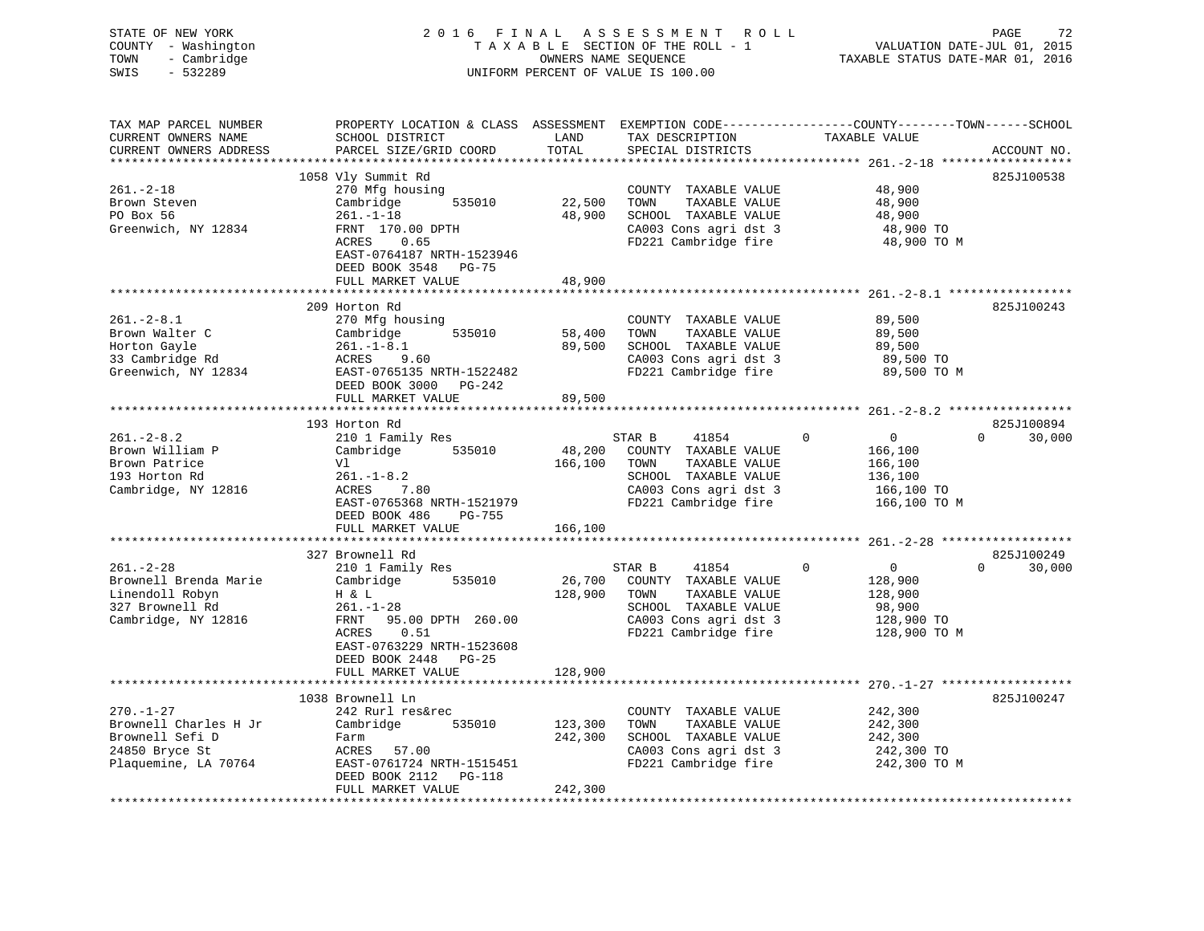| STATE OF NEW YORK<br>COUNTY - Washington<br>- Cambridge<br>TOWN<br>$-532289$<br>SWIS                  |                                                                                                                                                                                           |                               | 2016 FINAL ASSESSMENT ROLL<br>TAXABLE SECTION OF THE ROLL - 1<br>OWNERS NAME SEQUENCE<br>UNIFORM PERCENT OF VALUE IS 100.00               | VALUATION DATE-JUL 01, 2015<br>TAXABLE STATUS DATE-MAR 01, 2016                           | PAGE<br>72                       |
|-------------------------------------------------------------------------------------------------------|-------------------------------------------------------------------------------------------------------------------------------------------------------------------------------------------|-------------------------------|-------------------------------------------------------------------------------------------------------------------------------------------|-------------------------------------------------------------------------------------------|----------------------------------|
| TAX MAP PARCEL NUMBER<br>CURRENT OWNERS NAME<br>CURRENT OWNERS ADDRESS<br>**********************      | PROPERTY LOCATION & CLASS ASSESSMENT EXEMPTION CODE----------------COUNTY-------TOWN------SCHOOL<br>SCHOOL DISTRICT<br>PARCEL SIZE/GRID COORD                                             | LAND<br>TOTAL                 | TAX DESCRIPTION<br>SPECIAL DISTRICTS                                                                                                      | TAXABLE VALUE                                                                             | ACCOUNT NO.                      |
| $261 - 2 - 18$<br>Brown Steven<br>PO Box 56<br>Greenwich, NY 12834                                    | 1058 Vly Summit Rd<br>270 Mfg housing<br>535010<br>Cambridge<br>$261. - 1 - 18$<br>$201.1$<br>FRNT 170.00 DPTH<br>ACRES 0.65<br>EAST-0764187 NRTH-1523946<br>DEED BOOK 3548 PG-75         | 22,500                        | COUNTY TAXABLE VALUE<br>TOWN<br>TAXABLE VALUE<br>48,900 SCHOOL TAXABLE VALUE<br>CA003 Cons agri dst 3<br>FD221 Cambridge fire             | 48,900<br>48,900<br>48,900<br>48,900 TO<br>48,900 TO M                                    | 825J100538                       |
|                                                                                                       | FULL MARKET VALUE                                                                                                                                                                         | 48,900                        |                                                                                                                                           |                                                                                           |                                  |
| $261 - 2 - 8.1$<br>Brown Walter C<br>Horton Gayle<br>33 Cambridge Rd<br>Greenwich, NY 12834           | 209 Horton Rd<br>270 Mfg housing<br>535010<br>Cambridge<br>$261. - 1 - 8.1$<br>ACRES<br>9.60<br>EAST-0765135 NRTH-1522482<br>DEED BOOK 3000 PG-242<br>FULL MARKET VALUE                   | 58,400<br>89,500<br>89,500    | COUNTY TAXABLE VALUE<br>TOWN<br>TAXABLE VALUE<br>SCHOOL TAXABLE VALUE<br>CA003 Cons agri dst 3<br>FD221 Cambridge fire                    | 89,500<br>89,500<br>89,500<br>89,500 TO<br>89,500 TO M                                    | 825J100243                       |
|                                                                                                       |                                                                                                                                                                                           |                               |                                                                                                                                           |                                                                                           |                                  |
| $261. - 2 - 8.2$<br>Brown William P<br>Brown Patrice<br>193 Horton Rd<br>Cambridge, NY 12816          | 193 Horton Rd<br>210 1 Family Res<br>Cambridge 535010<br>Vl<br>$261. - 1 - 8.2$<br>ACRES<br>7.80<br>EAST-0765368 NRTH-1521979<br>DEED BOOK 486 PG-755                                     | 48,200<br>166,100             | STAR B<br>41854<br>COUNTY TAXABLE VALUE<br>TOWN<br>TAXABLE VALUE<br>SCHOOL TAXABLE VALUE<br>CA003 Cons agri dst 3<br>FD221 Cambridge fire | $\Omega$<br>$\overline{0}$<br>166,100<br>166,100<br>136,100<br>166,100 TO<br>166,100 TO M | 825J100894<br>$\Omega$<br>30,000 |
|                                                                                                       | FULL MARKET VALUE                                                                                                                                                                         | 166,100                       |                                                                                                                                           |                                                                                           |                                  |
| $261. - 2 - 28$<br>Brownell Brenda Marie<br>Linendoll Robyn<br>327 Brownell Rd<br>Cambridge, NY 12816 | 327 Brownell Rd<br>210 1 Family Res<br>Cambridge<br>535010<br>H & L<br>$261. - 1 - 28$<br>FRNT<br>95.00 DPTH 260.00<br>ACRES<br>0.51<br>EAST-0763229 NRTH-1523608<br>DEED BOOK 2448 PG-25 | 26,700<br>128,900             | STAR B<br>41854<br>COUNTY TAXABLE VALUE<br>TOWN<br>TAXABLE VALUE<br>SCHOOL TAXABLE VALUE<br>CA003 Cons agri dst 3<br>FD221 Cambridge fire | $\Omega$<br>$\overline{0}$<br>128,900<br>128,900<br>98,900<br>128,900 TO<br>128,900 TO M  | 825J100249<br>$\Omega$<br>30,000 |
|                                                                                                       | FULL MARKET VALUE                                                                                                                                                                         | 128,900                       |                                                                                                                                           |                                                                                           |                                  |
| $270. - 1 - 27$<br>Brownell Charles H Jr<br>Brownell Sefi D<br>24850 Bryce St<br>Plaquemine, LA 70764 | 1038 Brownell Ln<br>242 Rurl res&rec<br>535010<br>Cambridge<br>Farm<br>ACRES 57.00<br>EAST-0761724 NRTH-1515451<br>DEED BOOK 2112 PG-118<br>FULL MARKET VALUE                             | 123,300<br>242,300<br>242,300 | COUNTY TAXABLE VALUE<br>TOWN<br>TAXABLE VALUE<br>SCHOOL TAXABLE VALUE<br>CA003 Cons agri dst 3<br>FD221 Cambridge fire                    | 242,300<br>242,300<br>242,300<br>242,300 TO<br>242,300 TO M                               | 825J100247                       |
|                                                                                                       |                                                                                                                                                                                           |                               |                                                                                                                                           |                                                                                           |                                  |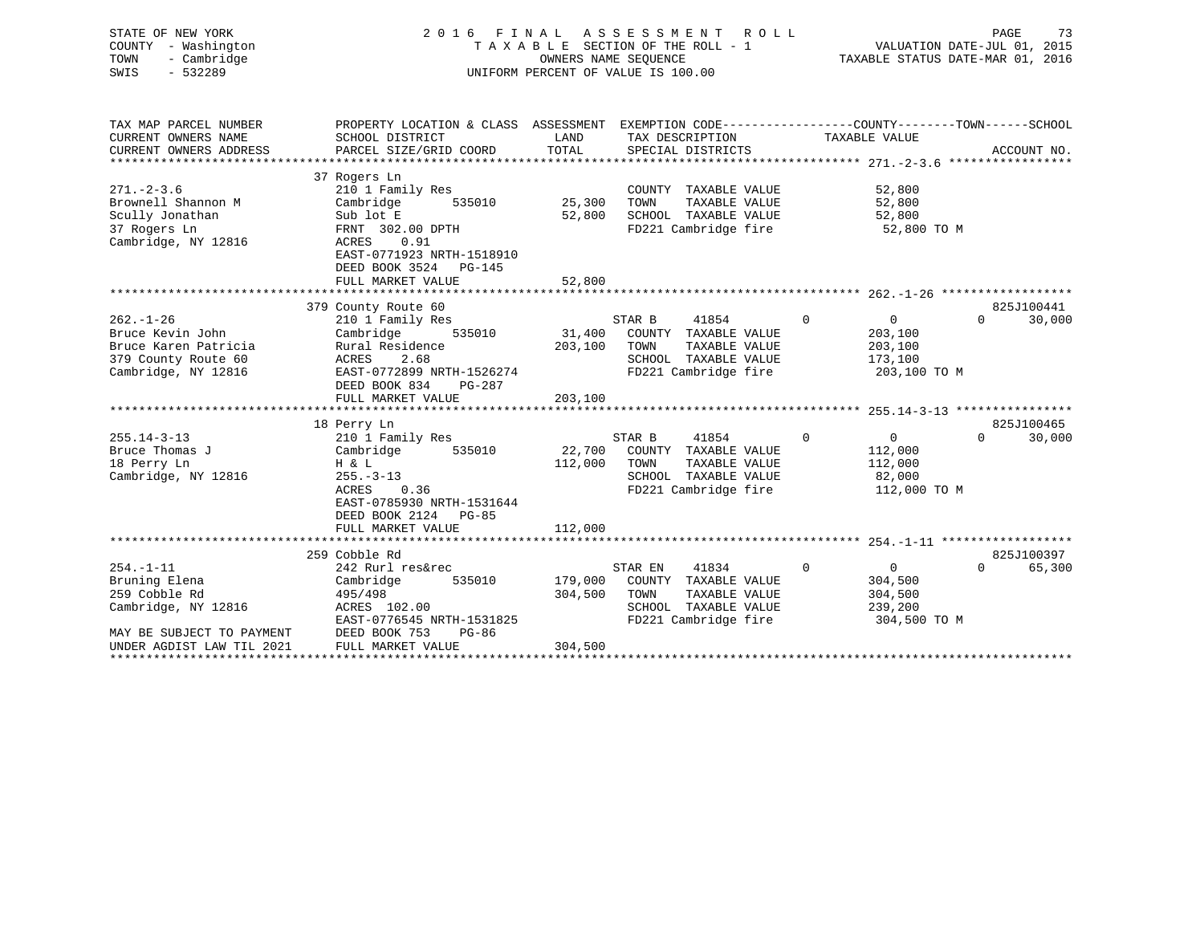| STATE OF NEW YORK<br>COUNTY - Washington<br>- Cambridge<br>TOWN<br>$-532289$<br>SWIS                      | 2016<br>FINAL<br>TAXABLE SECTION OF THE ROLL - 1<br>UNIFORM PERCENT OF VALUE IS 100.00                                                                                       | R O L L<br>73<br>PAGE<br>VALUATION DATE-JUL 01, 2015<br>TAXABLE STATUS DATE-MAR 01, 2016 |                                                                                                                         |                                                                                 |                                  |
|-----------------------------------------------------------------------------------------------------------|------------------------------------------------------------------------------------------------------------------------------------------------------------------------------|------------------------------------------------------------------------------------------|-------------------------------------------------------------------------------------------------------------------------|---------------------------------------------------------------------------------|----------------------------------|
| TAX MAP PARCEL NUMBER<br>CURRENT OWNERS NAME<br>CURRENT OWNERS ADDRESS                                    | PROPERTY LOCATION & CLASS ASSESSMENT EXEMPTION CODE---------------COUNTY-------TOWN------SCHOOL<br>SCHOOL DISTRICT<br>PARCEL SIZE/GRID COORD                                 | LAND<br>TOTAL                                                                            | TAX DESCRIPTION<br>SPECIAL DISTRICTS                                                                                    | TAXABLE VALUE                                                                   | ACCOUNT NO.                      |
| $271 - 2 - 3.6$<br>Brownell Shannon M<br>Scully Jonathan<br>37 Rogers Ln<br>Cambridge, NY 12816           | 37 Rogers Ln<br>210 1 Family Res<br>535010<br>Cambridge<br>Sub lot E<br>FRNT 302.00 DPTH<br>0.91<br>ACRES<br>EAST-0771923 NRTH-1518910<br>DEED BOOK 3524 PG-145              | 25,300<br>52,800                                                                         | COUNTY TAXABLE VALUE<br>TAXABLE VALUE<br>TOWN<br>SCHOOL TAXABLE VALUE<br>FD221 Cambridge fire                           | 52,800<br>52,800<br>52,800<br>52,800 TO M                                       |                                  |
|                                                                                                           | FULL MARKET VALUE<br>*******************************                                                                                                                         | 52,800                                                                                   |                                                                                                                         |                                                                                 |                                  |
| $262. - 1 - 26$<br>Bruce Kevin John<br>Bruce Karen Patricia<br>379 County Route 60<br>Cambridge, NY 12816 | 379 County Route 60<br>210 1 Family Res<br>535010<br>Cambridge<br>Rural Residence<br>ACRES 2.68<br>EAST-0772899 NRTH-1526274<br>DEED BOOK 834<br>PG-287<br>FULL MARKET VALUE | 31,400<br>203,100<br>203,100                                                             | STAR B<br>41854<br>COUNTY TAXABLE VALUE<br>TAXABLE VALUE<br>TOWN<br>SCHOOL TAXABLE VALUE<br>FD221 Cambridge fire        | $\overline{0}$<br>$\mathbf{0}$<br>203,100<br>203,100<br>173,100<br>203,100 TO M | 825J100441<br>30,000<br>$\Omega$ |
|                                                                                                           |                                                                                                                                                                              |                                                                                          |                                                                                                                         |                                                                                 |                                  |
| $255.14 - 3 - 13$<br>Bruce Thomas J<br>18 Perry Ln<br>Cambridge, NY 12816                                 | 18 Perry Ln<br>210 1 Family Res<br>535010<br>Cambridge<br>H & L<br>$255. - 3 - 13$<br>ACRES<br>0.36<br>EAST-0785930 NRTH-1531644<br>DEED BOOK 2124 PG-85                     | 112,000                                                                                  | STAR B<br>41854<br>22,700 COUNTY TAXABLE VALUE<br>TOWN<br>TAXABLE VALUE<br>SCHOOL TAXABLE VALUE<br>FD221 Cambridge fire | $\mathbf{0}$<br>$\overline{0}$<br>112,000<br>112,000<br>82,000<br>112,000 TO M  | 825J100465<br>$\Omega$<br>30,000 |
|                                                                                                           | FULL MARKET VALUE                                                                                                                                                            | 112,000                                                                                  |                                                                                                                         |                                                                                 |                                  |
| $254. - 1 - 11$<br>Bruning Elena<br>259 Cobble Rd<br>Cambridge, NY 12816<br>MAY BE SUBJECT TO PAYMENT     | 259 Cobble Rd<br>242 Rurl res&rec<br>535010<br>Cambridge<br>495/498<br>ACRES 102.00<br>EAST-0776545 NRTH-1531825<br>DEED BOOK 753<br>PG-86                                   | 179,000<br>304,500                                                                       | STAR EN<br>41834<br>COUNTY TAXABLE VALUE<br>TAXABLE VALUE<br>TOWN<br>SCHOOL TAXABLE VALUE<br>FD221 Cambridge fire       | $\Omega$<br>$\overline{0}$<br>304,500<br>304,500<br>239,200<br>304,500 TO M     | 825J100397<br>$\Omega$<br>65,300 |
| UNDER AGDIST LAW TIL 2021<br>**********************                                                       | FULL MARKET VALUE                                                                                                                                                            | 304,500                                                                                  |                                                                                                                         |                                                                                 |                                  |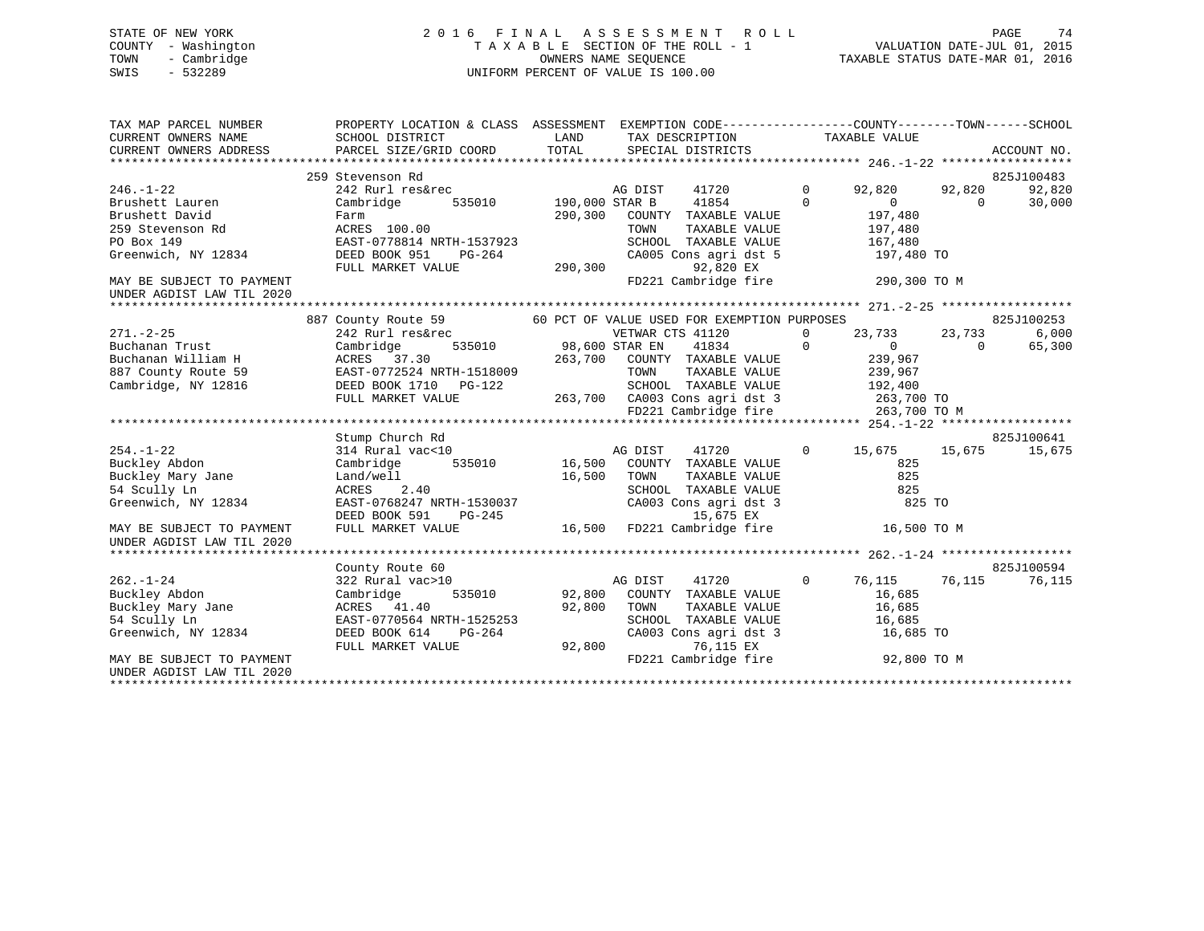#### STATE OF NEW YORK 2 0 1 6 F I N A L A S S E S S M E N T R O L L PAGE 74COUNTY - Washington  $T A X A B L E$  SECTION OF THE ROLL - 1<br>TOWN - Cambridge  $\sim$  0WNERS NAME SEQUENCE TOWN - Cambridge OWNERS NAME SEQUENCE TAXABLE STATUS DATE-MAR 01, 2016 SWIS - 532289 UNIFORM PERCENT OF VALUE IS 100.00

| TAX MAP PARCEL NUMBER<br>CURRENT OWNERS NAME<br>CURRENT OWNERS ADDRESS | PROPERTY LOCATION & CLASS ASSESSMENT EXEMPTION CODE----------------COUNTY-------TOWN------SCHOOL<br>SCHOOL DISTRICT<br>PARCEL SIZE/GRID COORD TOTAL | <b>LAND</b>           |                  | TAX DESCRIPTION<br>SPECIAL DISTRICTS                       |                | TAXABLE VALUE  |          | ACCOUNT NO. |
|------------------------------------------------------------------------|-----------------------------------------------------------------------------------------------------------------------------------------------------|-----------------------|------------------|------------------------------------------------------------|----------------|----------------|----------|-------------|
|                                                                        |                                                                                                                                                     |                       |                  |                                                            |                |                |          |             |
|                                                                        | 259 Stevenson Rd                                                                                                                                    |                       |                  |                                                            |                |                |          | 825J100483  |
| $246. - 1 - 22$                                                        | $242$ Rurl res&rec addensive a DIST<br>Cambridge 535010 190,000 STAR B                                                                              |                       | AG DIST          | 41720                                                      | $\overline{0}$ | 92,820         | 92,820   | 92,820      |
| Brushett Lauren                                                        |                                                                                                                                                     |                       |                  | 41854                                                      | $\Omega$       | $\overline{0}$ | $\Omega$ | 30,000      |
| Brushett David                                                         | Farm                                                                                                                                                | 290,300               |                  | COUNTY TAXABLE VALUE                                       |                | 197,480        |          |             |
| 259 Stevenson Rd                                                       | ACRES 100.00                                                                                                                                        |                       | TOWN             | TAXABLE VALUE                                              |                | 197,480        |          |             |
| PO Box 149                                                             | EAST-0778814 NRTH-1537923                                                                                                                           |                       |                  | SCHOOL TAXABLE VALUE                                       |                | 167,480        |          |             |
| Greenwich, NY 12834                                                    | PG-264<br>DEED BOOK 951                                                                                                                             |                       |                  | CA005 Cons agri dst 5                                      |                | 197,480 TO     |          |             |
|                                                                        | FULL MARKET VALUE                                                                                                                                   | 290,300               |                  | 92,820 EX                                                  |                |                |          |             |
| MAY BE SUBJECT TO PAYMENT                                              |                                                                                                                                                     |                       |                  | FD221 Cambridge fire                                       |                | 290,300 TO M   |          |             |
| UNDER AGDIST LAW TIL 2020                                              |                                                                                                                                                     |                       |                  |                                                            |                |                |          |             |
|                                                                        |                                                                                                                                                     |                       |                  |                                                            |                |                |          |             |
|                                                                        | 887 County Route 59                                                                                                                                 |                       |                  | 60 PCT OF VALUE USED FOR EXEMPTION PURPOSES                |                |                |          | 825J100253  |
| $271. - 2 - 25$                                                        | 242 Rurl res&rec                                                                                                                                    |                       | VETWAR CTS 41120 |                                                            | $\Omega$       | 23,733         | 23,733   | 6,000       |
| Buchanan Trust                                                         | Cambridge                                                                                                                                           | 535010 98,600 STAR EN |                  | 41834                                                      | $\Omega$       | $\Omega$       | $\Omega$ | 65,300      |
| Buchanan William H                                                     | ACRES 37.30                                                                                                                                         |                       |                  | 263,700 COUNTY TAXABLE VALUE                               |                | 239,967        |          |             |
| 887 County Route 59                                                    | EAST-0772524 NRTH-1518009                                                                                                                           |                       |                  | TOWN TAXABLE VALUE 239,967<br>SCHOOL TAXABLE VALUE 192,400 |                |                |          |             |
| Cambridge, NY 12816                                                    | DEED BOOK 1710 PG-122                                                                                                                               |                       |                  |                                                            |                |                |          |             |
|                                                                        | FULL MARKET VALUE                                                                                                                                   |                       |                  | 263,700 CA003 Cons agri dst 3 263,700 TO                   |                |                |          |             |
|                                                                        |                                                                                                                                                     |                       |                  | FD221 Cambridge fire                                       |                | 263,700 TO M   |          |             |
|                                                                        |                                                                                                                                                     |                       |                  |                                                            |                |                |          |             |
|                                                                        | Stump Church Rd                                                                                                                                     |                       |                  |                                                            |                |                |          | 825J100641  |
| $254. - 1 - 22$                                                        | 314 Rural vac<10                                                                                                                                    |                       | AG DIST          | 41720                                                      | $\circ$        | 15,675         | 15,675   | 15,675      |
| Buckley Abdon                                                          | Cambridge 535010                                                                                                                                    |                       |                  | AG DIST 41720<br>16,500 COUNTY TAXABLE VALUE               |                | 825            |          |             |
| Buckley Mary Jane                                                      | Land/well                                                                                                                                           | 16,500                | TOWN             | TAXABLE VALUE                                              |                | 825            |          |             |
| 54 Scully Ln                                                           | ACRES<br>2.40                                                                                                                                       |                       |                  | SCHOOL TAXABLE VALUE                                       |                | 825            |          |             |
| Greenwich, NY 12834                                                    | EAST-0768247 NRTH-1530037                                                                                                                           |                       |                  | CA003 Cons agri dst 3                                      |                | 825 TO         |          |             |
|                                                                        | DEED BOOK 591<br>PG-245                                                                                                                             |                       |                  | 15,675 EX                                                  |                |                |          |             |
| MAY BE SUBJECT TO PAYMENT<br>UNDER AGDIST LAW TIL 2020                 | FULL MARKET VALUE                                                                                                                                   |                       |                  | 16,500 FD221 Cambridge fire                                |                | 16,500 TO M    |          |             |
|                                                                        |                                                                                                                                                     |                       |                  |                                                            |                |                |          |             |
|                                                                        | County Route 60                                                                                                                                     |                       |                  |                                                            |                |                |          | 825J100594  |
| $262. - 1 - 24$                                                        | 322 Rural vac>10                                                                                                                                    |                       | AG DIST          | 41720                                                      | $\overline{0}$ | 76,115         | 76,115   | 76,115      |
| Buckley Abdon                                                          | Cambridge                                                                                                                                           |                       |                  | 535010 92,800 COUNTY TAXABLE VALUE                         |                | 16,685         |          |             |
| Buckley Mary Jane                                                      | ACRES 41.40                                                                                                                                         | 92,800                | TOWN             | TAXABLE VALUE                                              |                | 16,685         |          |             |
| 54 Scully Ln                                                           | EAST-0770564 NRTH-1525253                                                                                                                           |                       |                  | SCHOOL TAXABLE VALUE                                       |                | 16,685         |          |             |
| Greenwich, NY 12834                                                    | DEED BOOK 614<br>PG-264                                                                                                                             |                       |                  | CA003 Cons agri dst 3                                      |                | 16,685 TO      |          |             |
|                                                                        | FULL MARKET VALUE                                                                                                                                   | 92,800                |                  | 76,115 EX                                                  |                |                |          |             |
| MAY BE SUBJECT TO PAYMENT                                              |                                                                                                                                                     |                       |                  | FD221 Cambridge fire 92,800 TO M                           |                |                |          |             |
| UNDER AGDIST LAW TIL 2020                                              |                                                                                                                                                     |                       |                  |                                                            |                |                |          |             |
|                                                                        |                                                                                                                                                     |                       |                  |                                                            |                |                |          |             |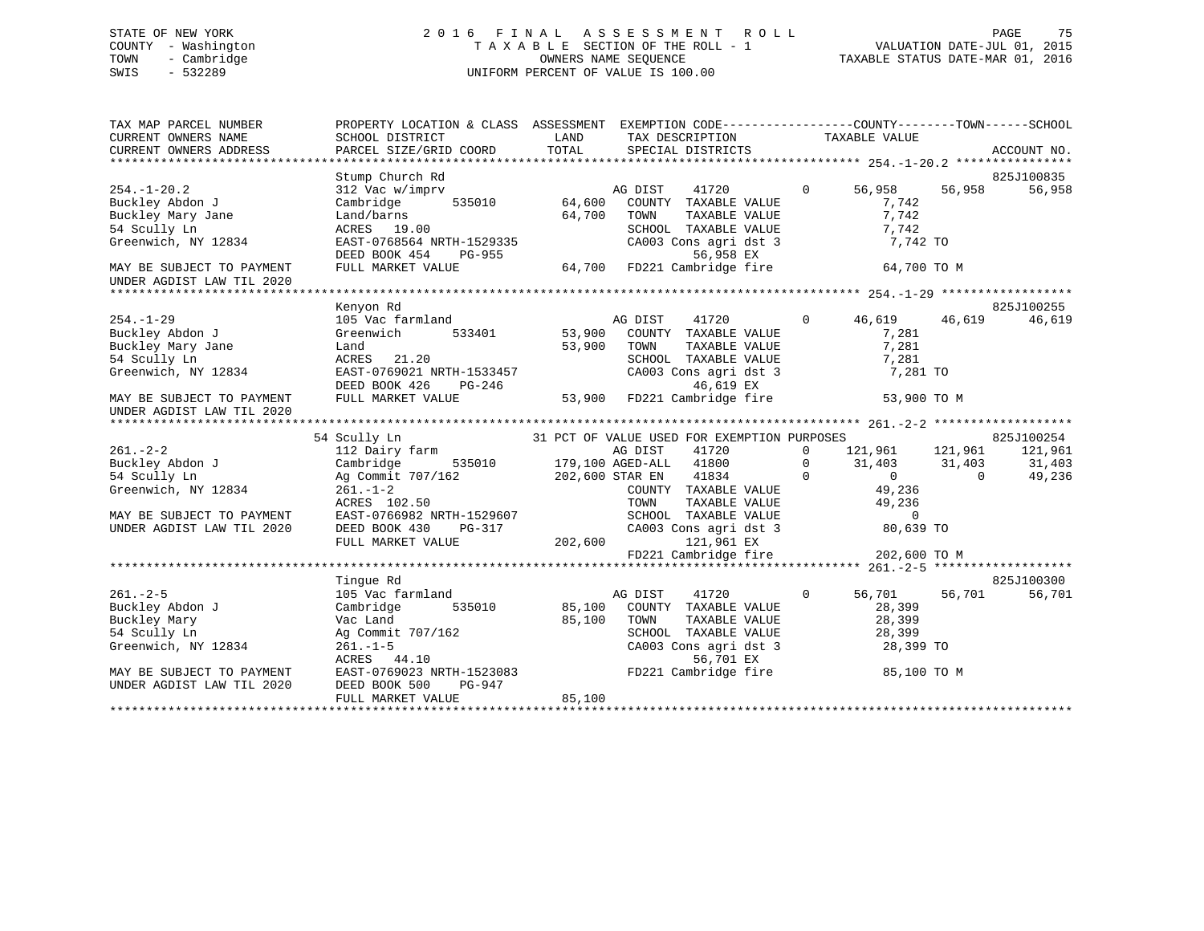### STATE OF NEW YORK 2 0 1 6 F I N A L A S S E S S M E N T R O L L PAGE 75 COUNTY - Washington T A X A B L E SECTION OF THE ROLL - 1 VALUATION DATE-JUL 01, 2015 TOWN - Cambridge OWNERS NAME SEQUENCE TAXABLE STATUS DATE-MAR 01, 2016 SWIS - 532289 UNIFORM PERCENT OF VALUE IS 100.00

| Stump Church Rd<br>825J100835<br>%;<br>h Rd<br>finprv<br>535010<br>64,600<br>64,700<br>64,700<br>41720 0 56,958 56,958<br>56,958<br>$254. - 1 - 20.2$<br>312 Vac w/imprv<br>AG DIST<br>$\begin{tabular}{lllllllll} \multicolumn{2}{c}{\textbf{COUNTY}} & \textbf{TXABLE} & \textbf{VALUE} & & \multicolumn{2}{c}{\textbf{7,742}}\\ \multicolumn{2}{c}{\textbf{TOWN}} & \textbf{TXABLE} & \textbf{VALUE} & & \multicolumn{2}{c}{\textbf{7,742}}\\ \end{tabular}$<br>Buckley Abdon J<br>Buckley Mary Jane<br>Cambridge<br>7,742<br>Example 19.00<br>Land/barns<br>ACRES 19.00<br>EAST-0768564 NRTH-1529335<br>DEED BOOK 454 PG-955<br>FULL MARKET VALUE<br>FULL MARKET VALUE<br>CA003 Cons agri dst 3<br>56,958 EX<br>FULL MARKET VALUE<br>64,700 FD221 Cambridge fire<br>64,700 TO M<br>54 Scully Ln<br>Kenyon Rd<br>825J100255<br>41720 0 46,619 46,619<br>$254. - 1 - 29$<br>105 Vac farmland<br>46,619<br>AG DIST<br>Buckley Abdon J<br>$533401$ $53,900$<br>Greenwich<br>COUNTY TAXABLE VALUE 7,281<br>Buckley Mary Jane<br>53,900<br>TOWN TAXABLE VALUE 7,281<br>SCHOOL TAXABLE VALUE 7,281<br>Land<br>TOWN<br>54 Scully Ln<br>ACRES 21.20<br>EAST-0769021 NRTH-1533457 CA003 Cons agri dst 3<br>DEED BOOK 426 PG-246 46,619 EX<br>FULL MARKET VALUE 53,900 FD221 Cambridge fire<br>CA003 Cons agri dst 3 $\frac{7}{281}$ TO $\frac{46,619}{28}$ EX<br>Greenwich, NY 12834<br>53,900 TO M<br>UNDER AGDIST LAW TIL 2020<br>Tinque Rd<br>825J100300<br>56,701 56,701<br>41720 0<br>$261. - 2 - 5$<br>105 Vac farmland<br>56,701<br>AG DIST<br>535010 85,100<br>Buckley Abdon J<br>Cambridge<br>COUNTY TAXABLE VALUE 28,399<br>Buckley Mary<br>85,100<br>Vac Land<br>TOWN TAXABLE VALUE<br>SCHOOL TAXABLE VALUE<br>CA003 Cons agri dst 3 28,399 TO<br>28,399 TO<br>NO Commit 707/162<br>Ag Commit 707/162<br>261.-1-5<br>ACRES 44.10<br>EAST-0769023 NRTH-1523083<br>EAST-0769023 NRTH-1523083<br>EAST-0769023 NRTH-1523083<br>EAST-0769023 NRTH-1523083<br>FD221 Cambridge fire 85,100 TO M<br>54 Scully Ln<br>Greenwich, NY 12834<br>MAY BE SUBJECT TO PAYMENT<br>DEED BOOK 500<br>UNDER AGDIST LAW TIL 2020<br>PG-947<br>85,100<br>FULL MARKET VALUE | TAX MAP PARCEL NUMBER     | PROPERTY LOCATION & CLASS ASSESSMENT EXEMPTION CODE---------------COUNTY-------TOWN------SCHOOL |  |  |
|----------------------------------------------------------------------------------------------------------------------------------------------------------------------------------------------------------------------------------------------------------------------------------------------------------------------------------------------------------------------------------------------------------------------------------------------------------------------------------------------------------------------------------------------------------------------------------------------------------------------------------------------------------------------------------------------------------------------------------------------------------------------------------------------------------------------------------------------------------------------------------------------------------------------------------------------------------------------------------------------------------------------------------------------------------------------------------------------------------------------------------------------------------------------------------------------------------------------------------------------------------------------------------------------------------------------------------------------------------------------------------------------------------------------------------------------------------------------------------------------------------------------------------------------------------------------------------------------------------------------------------------------------------------------------------------------------------------------------------------------------------------------------------------------------------------------------------------------------------------------------------------------------------------------------------------------------------------------------------------------------------------------------------------------------------------------------------------------------------------------------------------------------------|---------------------------|-------------------------------------------------------------------------------------------------|--|--|
|                                                                                                                                                                                                                                                                                                                                                                                                                                                                                                                                                                                                                                                                                                                                                                                                                                                                                                                                                                                                                                                                                                                                                                                                                                                                                                                                                                                                                                                                                                                                                                                                                                                                                                                                                                                                                                                                                                                                                                                                                                                                                                                                                          |                           |                                                                                                 |  |  |
|                                                                                                                                                                                                                                                                                                                                                                                                                                                                                                                                                                                                                                                                                                                                                                                                                                                                                                                                                                                                                                                                                                                                                                                                                                                                                                                                                                                                                                                                                                                                                                                                                                                                                                                                                                                                                                                                                                                                                                                                                                                                                                                                                          |                           |                                                                                                 |  |  |
|                                                                                                                                                                                                                                                                                                                                                                                                                                                                                                                                                                                                                                                                                                                                                                                                                                                                                                                                                                                                                                                                                                                                                                                                                                                                                                                                                                                                                                                                                                                                                                                                                                                                                                                                                                                                                                                                                                                                                                                                                                                                                                                                                          |                           |                                                                                                 |  |  |
|                                                                                                                                                                                                                                                                                                                                                                                                                                                                                                                                                                                                                                                                                                                                                                                                                                                                                                                                                                                                                                                                                                                                                                                                                                                                                                                                                                                                                                                                                                                                                                                                                                                                                                                                                                                                                                                                                                                                                                                                                                                                                                                                                          |                           |                                                                                                 |  |  |
|                                                                                                                                                                                                                                                                                                                                                                                                                                                                                                                                                                                                                                                                                                                                                                                                                                                                                                                                                                                                                                                                                                                                                                                                                                                                                                                                                                                                                                                                                                                                                                                                                                                                                                                                                                                                                                                                                                                                                                                                                                                                                                                                                          |                           |                                                                                                 |  |  |
|                                                                                                                                                                                                                                                                                                                                                                                                                                                                                                                                                                                                                                                                                                                                                                                                                                                                                                                                                                                                                                                                                                                                                                                                                                                                                                                                                                                                                                                                                                                                                                                                                                                                                                                                                                                                                                                                                                                                                                                                                                                                                                                                                          |                           |                                                                                                 |  |  |
|                                                                                                                                                                                                                                                                                                                                                                                                                                                                                                                                                                                                                                                                                                                                                                                                                                                                                                                                                                                                                                                                                                                                                                                                                                                                                                                                                                                                                                                                                                                                                                                                                                                                                                                                                                                                                                                                                                                                                                                                                                                                                                                                                          | Greenwich, NY 12834       |                                                                                                 |  |  |
|                                                                                                                                                                                                                                                                                                                                                                                                                                                                                                                                                                                                                                                                                                                                                                                                                                                                                                                                                                                                                                                                                                                                                                                                                                                                                                                                                                                                                                                                                                                                                                                                                                                                                                                                                                                                                                                                                                                                                                                                                                                                                                                                                          |                           |                                                                                                 |  |  |
|                                                                                                                                                                                                                                                                                                                                                                                                                                                                                                                                                                                                                                                                                                                                                                                                                                                                                                                                                                                                                                                                                                                                                                                                                                                                                                                                                                                                                                                                                                                                                                                                                                                                                                                                                                                                                                                                                                                                                                                                                                                                                                                                                          | MAY BE SUBJECT TO PAYMENT |                                                                                                 |  |  |
|                                                                                                                                                                                                                                                                                                                                                                                                                                                                                                                                                                                                                                                                                                                                                                                                                                                                                                                                                                                                                                                                                                                                                                                                                                                                                                                                                                                                                                                                                                                                                                                                                                                                                                                                                                                                                                                                                                                                                                                                                                                                                                                                                          | UNDER AGDIST LAW TIL 2020 |                                                                                                 |  |  |
|                                                                                                                                                                                                                                                                                                                                                                                                                                                                                                                                                                                                                                                                                                                                                                                                                                                                                                                                                                                                                                                                                                                                                                                                                                                                                                                                                                                                                                                                                                                                                                                                                                                                                                                                                                                                                                                                                                                                                                                                                                                                                                                                                          |                           |                                                                                                 |  |  |
|                                                                                                                                                                                                                                                                                                                                                                                                                                                                                                                                                                                                                                                                                                                                                                                                                                                                                                                                                                                                                                                                                                                                                                                                                                                                                                                                                                                                                                                                                                                                                                                                                                                                                                                                                                                                                                                                                                                                                                                                                                                                                                                                                          |                           |                                                                                                 |  |  |
|                                                                                                                                                                                                                                                                                                                                                                                                                                                                                                                                                                                                                                                                                                                                                                                                                                                                                                                                                                                                                                                                                                                                                                                                                                                                                                                                                                                                                                                                                                                                                                                                                                                                                                                                                                                                                                                                                                                                                                                                                                                                                                                                                          |                           |                                                                                                 |  |  |
|                                                                                                                                                                                                                                                                                                                                                                                                                                                                                                                                                                                                                                                                                                                                                                                                                                                                                                                                                                                                                                                                                                                                                                                                                                                                                                                                                                                                                                                                                                                                                                                                                                                                                                                                                                                                                                                                                                                                                                                                                                                                                                                                                          |                           |                                                                                                 |  |  |
|                                                                                                                                                                                                                                                                                                                                                                                                                                                                                                                                                                                                                                                                                                                                                                                                                                                                                                                                                                                                                                                                                                                                                                                                                                                                                                                                                                                                                                                                                                                                                                                                                                                                                                                                                                                                                                                                                                                                                                                                                                                                                                                                                          |                           |                                                                                                 |  |  |
|                                                                                                                                                                                                                                                                                                                                                                                                                                                                                                                                                                                                                                                                                                                                                                                                                                                                                                                                                                                                                                                                                                                                                                                                                                                                                                                                                                                                                                                                                                                                                                                                                                                                                                                                                                                                                                                                                                                                                                                                                                                                                                                                                          |                           |                                                                                                 |  |  |
|                                                                                                                                                                                                                                                                                                                                                                                                                                                                                                                                                                                                                                                                                                                                                                                                                                                                                                                                                                                                                                                                                                                                                                                                                                                                                                                                                                                                                                                                                                                                                                                                                                                                                                                                                                                                                                                                                                                                                                                                                                                                                                                                                          |                           |                                                                                                 |  |  |
|                                                                                                                                                                                                                                                                                                                                                                                                                                                                                                                                                                                                                                                                                                                                                                                                                                                                                                                                                                                                                                                                                                                                                                                                                                                                                                                                                                                                                                                                                                                                                                                                                                                                                                                                                                                                                                                                                                                                                                                                                                                                                                                                                          |                           |                                                                                                 |  |  |
|                                                                                                                                                                                                                                                                                                                                                                                                                                                                                                                                                                                                                                                                                                                                                                                                                                                                                                                                                                                                                                                                                                                                                                                                                                                                                                                                                                                                                                                                                                                                                                                                                                                                                                                                                                                                                                                                                                                                                                                                                                                                                                                                                          | MAY BE SUBJECT TO PAYMENT |                                                                                                 |  |  |
|                                                                                                                                                                                                                                                                                                                                                                                                                                                                                                                                                                                                                                                                                                                                                                                                                                                                                                                                                                                                                                                                                                                                                                                                                                                                                                                                                                                                                                                                                                                                                                                                                                                                                                                                                                                                                                                                                                                                                                                                                                                                                                                                                          |                           |                                                                                                 |  |  |
|                                                                                                                                                                                                                                                                                                                                                                                                                                                                                                                                                                                                                                                                                                                                                                                                                                                                                                                                                                                                                                                                                                                                                                                                                                                                                                                                                                                                                                                                                                                                                                                                                                                                                                                                                                                                                                                                                                                                                                                                                                                                                                                                                          |                           |                                                                                                 |  |  |
|                                                                                                                                                                                                                                                                                                                                                                                                                                                                                                                                                                                                                                                                                                                                                                                                                                                                                                                                                                                                                                                                                                                                                                                                                                                                                                                                                                                                                                                                                                                                                                                                                                                                                                                                                                                                                                                                                                                                                                                                                                                                                                                                                          |                           |                                                                                                 |  |  |
|                                                                                                                                                                                                                                                                                                                                                                                                                                                                                                                                                                                                                                                                                                                                                                                                                                                                                                                                                                                                                                                                                                                                                                                                                                                                                                                                                                                                                                                                                                                                                                                                                                                                                                                                                                                                                                                                                                                                                                                                                                                                                                                                                          |                           |                                                                                                 |  |  |
|                                                                                                                                                                                                                                                                                                                                                                                                                                                                                                                                                                                                                                                                                                                                                                                                                                                                                                                                                                                                                                                                                                                                                                                                                                                                                                                                                                                                                                                                                                                                                                                                                                                                                                                                                                                                                                                                                                                                                                                                                                                                                                                                                          |                           |                                                                                                 |  |  |
|                                                                                                                                                                                                                                                                                                                                                                                                                                                                                                                                                                                                                                                                                                                                                                                                                                                                                                                                                                                                                                                                                                                                                                                                                                                                                                                                                                                                                                                                                                                                                                                                                                                                                                                                                                                                                                                                                                                                                                                                                                                                                                                                                          |                           |                                                                                                 |  |  |
|                                                                                                                                                                                                                                                                                                                                                                                                                                                                                                                                                                                                                                                                                                                                                                                                                                                                                                                                                                                                                                                                                                                                                                                                                                                                                                                                                                                                                                                                                                                                                                                                                                                                                                                                                                                                                                                                                                                                                                                                                                                                                                                                                          |                           |                                                                                                 |  |  |
|                                                                                                                                                                                                                                                                                                                                                                                                                                                                                                                                                                                                                                                                                                                                                                                                                                                                                                                                                                                                                                                                                                                                                                                                                                                                                                                                                                                                                                                                                                                                                                                                                                                                                                                                                                                                                                                                                                                                                                                                                                                                                                                                                          |                           |                                                                                                 |  |  |
|                                                                                                                                                                                                                                                                                                                                                                                                                                                                                                                                                                                                                                                                                                                                                                                                                                                                                                                                                                                                                                                                                                                                                                                                                                                                                                                                                                                                                                                                                                                                                                                                                                                                                                                                                                                                                                                                                                                                                                                                                                                                                                                                                          |                           |                                                                                                 |  |  |
|                                                                                                                                                                                                                                                                                                                                                                                                                                                                                                                                                                                                                                                                                                                                                                                                                                                                                                                                                                                                                                                                                                                                                                                                                                                                                                                                                                                                                                                                                                                                                                                                                                                                                                                                                                                                                                                                                                                                                                                                                                                                                                                                                          |                           |                                                                                                 |  |  |
|                                                                                                                                                                                                                                                                                                                                                                                                                                                                                                                                                                                                                                                                                                                                                                                                                                                                                                                                                                                                                                                                                                                                                                                                                                                                                                                                                                                                                                                                                                                                                                                                                                                                                                                                                                                                                                                                                                                                                                                                                                                                                                                                                          |                           |                                                                                                 |  |  |
|                                                                                                                                                                                                                                                                                                                                                                                                                                                                                                                                                                                                                                                                                                                                                                                                                                                                                                                                                                                                                                                                                                                                                                                                                                                                                                                                                                                                                                                                                                                                                                                                                                                                                                                                                                                                                                                                                                                                                                                                                                                                                                                                                          |                           |                                                                                                 |  |  |
|                                                                                                                                                                                                                                                                                                                                                                                                                                                                                                                                                                                                                                                                                                                                                                                                                                                                                                                                                                                                                                                                                                                                                                                                                                                                                                                                                                                                                                                                                                                                                                                                                                                                                                                                                                                                                                                                                                                                                                                                                                                                                                                                                          |                           |                                                                                                 |  |  |
|                                                                                                                                                                                                                                                                                                                                                                                                                                                                                                                                                                                                                                                                                                                                                                                                                                                                                                                                                                                                                                                                                                                                                                                                                                                                                                                                                                                                                                                                                                                                                                                                                                                                                                                                                                                                                                                                                                                                                                                                                                                                                                                                                          |                           |                                                                                                 |  |  |
|                                                                                                                                                                                                                                                                                                                                                                                                                                                                                                                                                                                                                                                                                                                                                                                                                                                                                                                                                                                                                                                                                                                                                                                                                                                                                                                                                                                                                                                                                                                                                                                                                                                                                                                                                                                                                                                                                                                                                                                                                                                                                                                                                          |                           |                                                                                                 |  |  |
|                                                                                                                                                                                                                                                                                                                                                                                                                                                                                                                                                                                                                                                                                                                                                                                                                                                                                                                                                                                                                                                                                                                                                                                                                                                                                                                                                                                                                                                                                                                                                                                                                                                                                                                                                                                                                                                                                                                                                                                                                                                                                                                                                          |                           |                                                                                                 |  |  |
|                                                                                                                                                                                                                                                                                                                                                                                                                                                                                                                                                                                                                                                                                                                                                                                                                                                                                                                                                                                                                                                                                                                                                                                                                                                                                                                                                                                                                                                                                                                                                                                                                                                                                                                                                                                                                                                                                                                                                                                                                                                                                                                                                          |                           |                                                                                                 |  |  |
|                                                                                                                                                                                                                                                                                                                                                                                                                                                                                                                                                                                                                                                                                                                                                                                                                                                                                                                                                                                                                                                                                                                                                                                                                                                                                                                                                                                                                                                                                                                                                                                                                                                                                                                                                                                                                                                                                                                                                                                                                                                                                                                                                          |                           |                                                                                                 |  |  |
|                                                                                                                                                                                                                                                                                                                                                                                                                                                                                                                                                                                                                                                                                                                                                                                                                                                                                                                                                                                                                                                                                                                                                                                                                                                                                                                                                                                                                                                                                                                                                                                                                                                                                                                                                                                                                                                                                                                                                                                                                                                                                                                                                          |                           |                                                                                                 |  |  |
|                                                                                                                                                                                                                                                                                                                                                                                                                                                                                                                                                                                                                                                                                                                                                                                                                                                                                                                                                                                                                                                                                                                                                                                                                                                                                                                                                                                                                                                                                                                                                                                                                                                                                                                                                                                                                                                                                                                                                                                                                                                                                                                                                          |                           |                                                                                                 |  |  |
|                                                                                                                                                                                                                                                                                                                                                                                                                                                                                                                                                                                                                                                                                                                                                                                                                                                                                                                                                                                                                                                                                                                                                                                                                                                                                                                                                                                                                                                                                                                                                                                                                                                                                                                                                                                                                                                                                                                                                                                                                                                                                                                                                          |                           |                                                                                                 |  |  |
|                                                                                                                                                                                                                                                                                                                                                                                                                                                                                                                                                                                                                                                                                                                                                                                                                                                                                                                                                                                                                                                                                                                                                                                                                                                                                                                                                                                                                                                                                                                                                                                                                                                                                                                                                                                                                                                                                                                                                                                                                                                                                                                                                          |                           |                                                                                                 |  |  |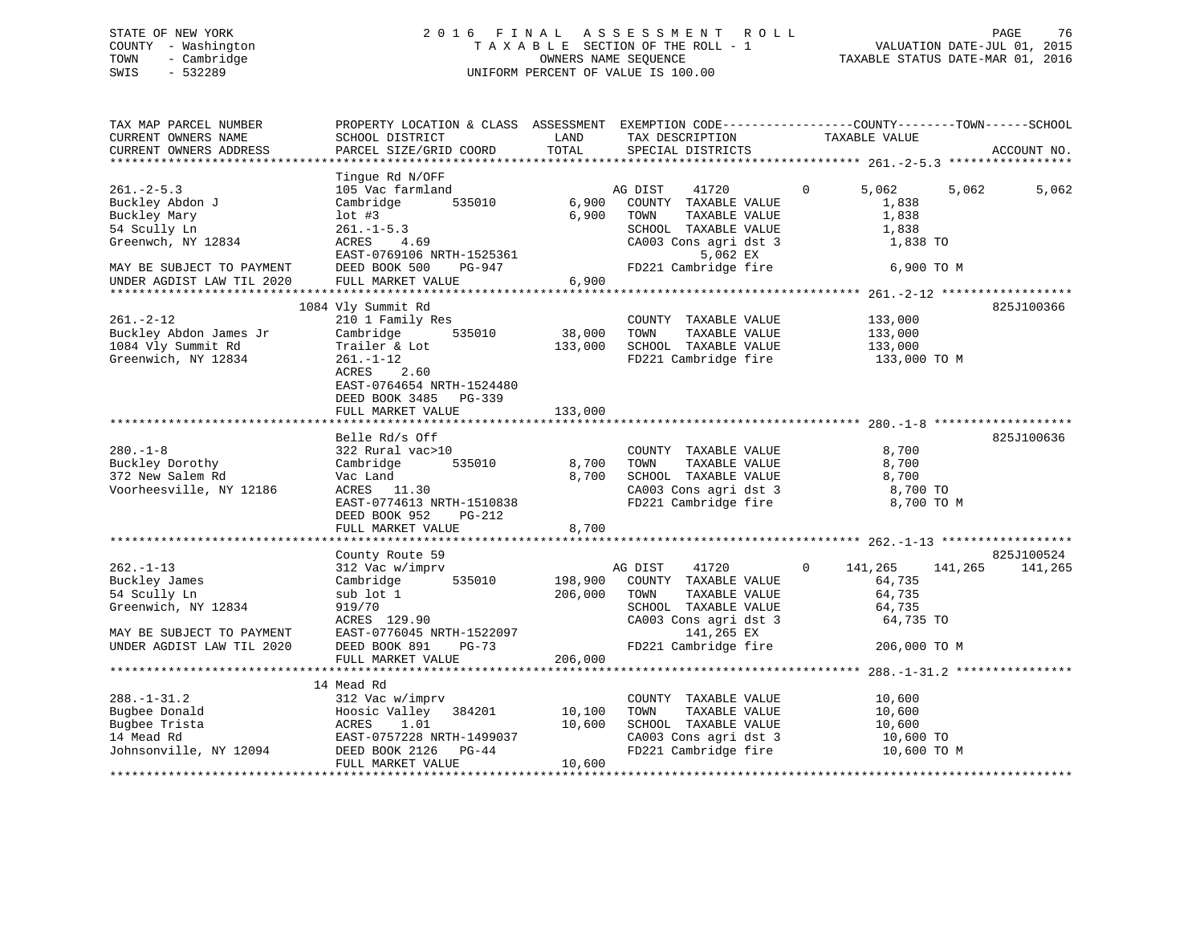### STATE OF NEW YORK 2 0 1 6 F I N A L A S S E S S M E N T R O L L PAGE 76 COUNTY - Washington T A X A B L E SECTION OF THE ROLL - 1 VALUATION DATE-JUL 01, 2015 TOWN - Cambridge OWNERS NAME SEQUENCE TAXABLE STATUS DATE-MAR 01, 2016 SWIS - 532289 UNIFORM PERCENT OF VALUE IS 100.00

| TAX MAP PARCEL NUMBER<br>CURRENT OWNERS NAME<br>CURRENT OWNERS ADDRESS                      | SCHOOL DISTRICT<br>PARCEL SIZE/GRID COORD                                                                                                       | LAND<br>TOTAL      | TAX DESCRIPTION<br>SPECIAL DISTRICTS                                                                                   | PROPERTY LOCATION & CLASS ASSESSMENT EXEMPTION CODE----------------COUNTY-------TOWN-----SCHOOL<br>TAXABLE VALUE | ACCOUNT NO. |
|---------------------------------------------------------------------------------------------|-------------------------------------------------------------------------------------------------------------------------------------------------|--------------------|------------------------------------------------------------------------------------------------------------------------|------------------------------------------------------------------------------------------------------------------|-------------|
|                                                                                             |                                                                                                                                                 |                    |                                                                                                                        |                                                                                                                  |             |
| $261 - 2 - 5.3$<br>Buckley Abdon J<br>Buckley Mary<br>54 Scully Ln<br>Greenwch, NY 12834    | Tinque Rd N/OFF<br>105 Vac farmland<br>535010<br>Cambridge<br>$1$ ot #3<br>$261. - 1 - 5.3$<br>ACRES<br>4.69                                    | 6,900<br>6,900     | AG DIST<br>41720<br>COUNTY TAXABLE VALUE<br>TAXABLE VALUE<br>TOWN<br>SCHOOL TAXABLE VALUE<br>CA003 Cons agri dst 3     | $\overline{0}$<br>5,062<br>5,062<br>1,838<br>1,838<br>1,838<br>1,838 TO                                          | 5,062       |
| MAY BE SUBJECT TO PAYMENT<br>UNDER AGDIST LAW TIL 2020                                      | EAST-0769106 NRTH-1525361<br>DEED BOOK 500<br>PG-947<br>FULL MARKET VALUE                                                                       | 6,900              | 5,062 EX<br>FD221 Cambridge fire                                                                                       | 6,900 TO M                                                                                                       |             |
|                                                                                             |                                                                                                                                                 |                    |                                                                                                                        |                                                                                                                  |             |
| $261. - 2 - 12$<br>Buckley Abdon James Jr<br>1084 Vly Summit Rd<br>Greenwich, NY 12834      | 1084 Vly Summit Rd<br>210 1 Family Res<br>Cambridge<br>535010<br>Trailer & Lot<br>$261. - 1 - 12$<br>2.60<br>ACRES<br>EAST-0764654 NRTH-1524480 | 38,000<br>133,000  | COUNTY TAXABLE VALUE<br>TAXABLE VALUE<br>TOWN<br>SCHOOL TAXABLE VALUE<br>FD221 Cambridge fire                          | 133,000<br>133,000<br>133,000<br>133,000 TO M                                                                    | 825J100366  |
|                                                                                             | DEED BOOK 3485 PG-339                                                                                                                           |                    |                                                                                                                        |                                                                                                                  |             |
|                                                                                             | FULL MARKET VALUE                                                                                                                               | 133,000            |                                                                                                                        |                                                                                                                  |             |
|                                                                                             |                                                                                                                                                 |                    |                                                                                                                        |                                                                                                                  |             |
| $280. - 1 - 8$<br>Buckley Dorothy<br>372 New Salem Rd<br>Voorheesville, NY 12186            | Belle Rd/s Off<br>322 Rural vac>10<br>Cambridge<br>535010<br>Vac Land<br>ACRES 11.30<br>EAST-0774613 NRTH-1510838<br>DEED BOOK 952<br>PG-212    | 8,700<br>8,700     | COUNTY TAXABLE VALUE<br>TAXABLE VALUE<br>TOWN<br>SCHOOL TAXABLE VALUE<br>CA003 Cons agri dst 3<br>FD221 Cambridge fire | 8,700<br>8,700<br>8,700<br>8,700 TO<br>8,700 TO M                                                                | 825J100636  |
|                                                                                             | FULL MARKET VALUE                                                                                                                               | 8,700              |                                                                                                                        |                                                                                                                  |             |
|                                                                                             | County Route 59                                                                                                                                 |                    |                                                                                                                        |                                                                                                                  | 825J100524  |
| $262 - 1 - 13$<br>Buckley James<br>54 Scully Ln<br>Greenwich, NY 12834                      | 312 Vac w/imprv<br>535010<br>Cambridge<br>sub lot 1<br>919/70<br>ACRES 129.90                                                                   | 198,900<br>206,000 | AG DIST<br>41720<br>COUNTY TAXABLE VALUE<br>TOWN<br>TAXABLE VALUE<br>SCHOOL TAXABLE VALUE<br>CA003 Cons agri dst 3     | $\Omega$<br>141,265<br>141,265<br>64,735<br>64,735<br>64,735<br>64,735 TO                                        | 141,265     |
| MAY BE SUBJECT TO PAYMENT<br>UNDER AGDIST LAW TIL 2020                                      | EAST-0776045 NRTH-1522097<br>DEED BOOK 891<br>PG-73<br>FULL MARKET VALUE                                                                        | 206,000            | 141,265 EX<br>FD221 Cambridge fire                                                                                     | 206,000 TO M                                                                                                     |             |
|                                                                                             |                                                                                                                                                 |                    |                                                                                                                        |                                                                                                                  |             |
| $288. - 1 - 31.2$<br>Bugbee Donald<br>Bugbee Trista<br>14 Mead Rd<br>Johnsonville, NY 12094 | 14 Mead Rd<br>312 Vac w/imprv<br>Hoosic Valley 384201<br>ACRES 1.01<br>EAST-0757228 NRTH-1499037<br>DEED BOOK 2126 PG-44                        | 10,100<br>10,600   | COUNTY TAXABLE VALUE<br>TAXABLE VALUE<br>TOWN<br>SCHOOL TAXABLE VALUE<br>CA003 Cons agri dst 3<br>FD221 Cambridge fire | 10,600<br>10,600<br>10,600<br>10,600 TO<br>10,600 TO M                                                           |             |
|                                                                                             | FULL MARKET VALUE                                                                                                                               | 10,600             |                                                                                                                        |                                                                                                                  |             |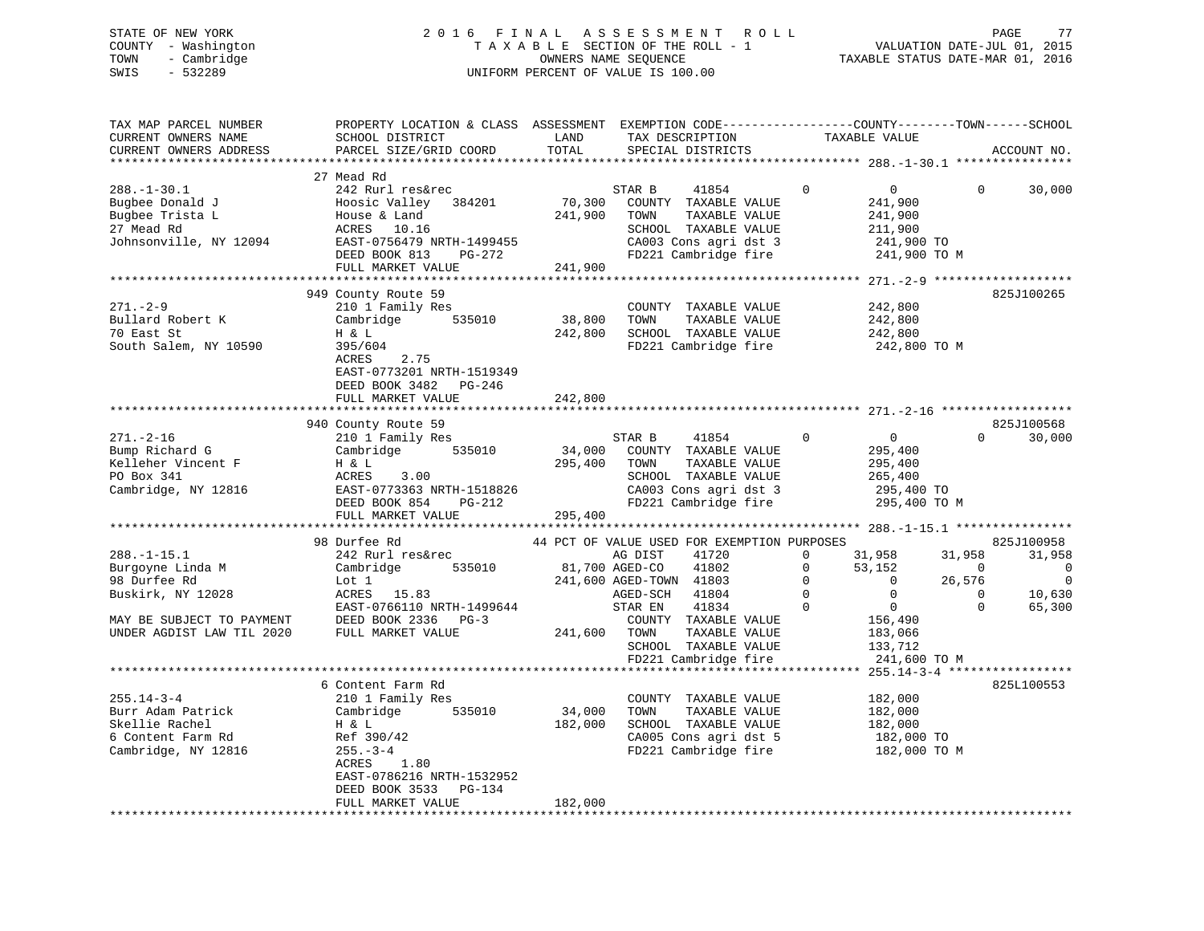### STATE OF NEW YORK 2 0 1 6 F I N A L A S S E S S M E N T R O L L PAGE 77 COUNTY - Washington T A X A B L E SECTION OF THE ROLL - 1 VALUATION DATE-JUL 01, 2015 TOWN - Cambridge OWNERS NAME SEQUENCE TAXABLE STATUS DATE-MAR 01, 2016 SWIS - 532289 UNIFORM PERCENT OF VALUE IS 100.00

| TAX MAP PARCEL NUMBER<br>CURRENT OWNERS NAME | PROPERTY LOCATION & CLASS ASSESSMENT EXEMPTION CODE----------------COUNTY-------TOWN------SCHOOL<br>SCHOOL DISTRICT | LAND           | TAX DESCRIPTION                             |              | TAXABLE VALUE  |             |             |
|----------------------------------------------|---------------------------------------------------------------------------------------------------------------------|----------------|---------------------------------------------|--------------|----------------|-------------|-------------|
| CURRENT OWNERS ADDRESS                       | PARCEL SIZE/GRID COORD                                                                                              | TOTAL          | SPECIAL DISTRICTS                           |              |                |             | ACCOUNT NO. |
|                                              |                                                                                                                     |                |                                             |              |                |             |             |
|                                              | 27 Mead Rd                                                                                                          |                |                                             |              |                |             |             |
| $288. - 1 - 30.1$                            | 242 Rurl res&rec                                                                                                    |                | STAR B<br>41854                             | $\Omega$     | $\mathbf{0}$   | $\Omega$    | 30,000      |
| Bugbee Donald J                              | Hoosic Valley 384201                                                                                                | 70,300         | COUNTY TAXABLE VALUE                        |              | 241,900        |             |             |
| Bugbee Trista L                              | House & Land                                                                                                        | 241,900        | TOWN<br>TAXABLE VALUE                       |              | 241,900        |             |             |
| 27 Mead Rd                                   | ACRES 10.16                                                                                                         |                | SCHOOL TAXABLE VALUE                        |              | 211,900        |             |             |
| Johnsonville, NY 12094                       | EAST-0756479 NRTH-1499455                                                                                           |                | CA003 Cons agri dst 3                       |              | 241,900 TO     |             |             |
|                                              | DEED BOOK 813<br>PG-272                                                                                             |                | FD221 Cambridge fire                        |              | 241,900 TO M   |             |             |
|                                              | FULL MARKET VALUE                                                                                                   | 241,900        |                                             |              |                |             |             |
|                                              |                                                                                                                     |                |                                             |              |                |             |             |
|                                              | 949 County Route 59                                                                                                 |                |                                             |              |                |             | 825J100265  |
| $271. - 2 - 9$                               | 210 1 Family Res                                                                                                    |                | COUNTY TAXABLE VALUE                        |              | 242,800        |             |             |
| Bullard Robert K                             | Cambridge<br>535010                                                                                                 | 38,800         | TOWN<br>TAXABLE VALUE                       |              | 242,800        |             |             |
| 70 East St                                   | H & L                                                                                                               | 242,800        | SCHOOL TAXABLE VALUE                        |              | 242,800        |             |             |
| South Salem, NY 10590                        | 395/604                                                                                                             |                | FD221 Cambridge fire                        |              | 242,800 TO M   |             |             |
|                                              | ACRES<br>2.75                                                                                                       |                |                                             |              |                |             |             |
|                                              | EAST-0773201 NRTH-1519349                                                                                           |                |                                             |              |                |             |             |
|                                              | DEED BOOK 3482 PG-246                                                                                               |                |                                             |              |                |             |             |
|                                              | FULL MARKET VALUE                                                                                                   | 242,800        |                                             |              |                |             |             |
|                                              |                                                                                                                     |                |                                             |              |                |             |             |
|                                              | 940 County Route 59                                                                                                 |                |                                             |              |                |             | 825J100568  |
| $271. - 2 - 16$                              | 210 1 Family Res                                                                                                    |                | STAR B<br>41854                             | $\mathsf{O}$ | $\overline{0}$ | $\Omega$    | 30,000      |
| Bump Richard G                               | Cambridge<br>535010                                                                                                 | 34,000         | COUNTY TAXABLE VALUE                        |              | 295,400        |             |             |
| Kelleher Vincent F                           | H & L                                                                                                               | 295,400        | TOWN<br>TAXABLE VALUE                       |              | 295,400        |             |             |
| PO Box 341                                   | ACRES<br>3.00                                                                                                       |                | SCHOOL TAXABLE VALUE                        |              | 265,400        |             |             |
| Cambridge, NY 12816                          | EAST-0773363 NRTH-1518826                                                                                           |                | CA003 Cons agri dst 3                       |              | 295,400 TO     |             |             |
|                                              | DEED BOOK 854<br>PG-212                                                                                             |                | FD221 Cambridge fire                        |              | 295,400 TO M   |             |             |
|                                              | FULL MARKET VALUE                                                                                                   | 295,400        |                                             |              |                |             |             |
|                                              |                                                                                                                     |                |                                             |              |                |             |             |
|                                              | 98 Durfee Rd                                                                                                        |                | 44 PCT OF VALUE USED FOR EXEMPTION PURPOSES |              |                |             | 825J100958  |
| $288. - 1 - 15.1$                            | 242 Rurl res&rec                                                                                                    |                | AG DIST<br>41720                            | $\mathbf 0$  | 31,958         | 31,958      | 31,958      |
| Burgoyne Linda M                             | 535010<br>Cambridge                                                                                                 | 81,700 AGED-CO | 41802                                       | $\Omega$     | 53,152         | $\Omega$    | $\Omega$    |
| 98 Durfee Rd                                 | Lot 1                                                                                                               |                | 241,600 AGED-TOWN 41803                     | $\Omega$     | $\overline{0}$ | 26,576      | $\mathbf 0$ |
| Buskirk, NY 12028                            | ACRES 15.83                                                                                                         |                | AGED-SCH<br>41804                           | $\Omega$     | $\overline{0}$ | $\mathbf 0$ | 10,630      |
|                                              | EAST-0766110 NRTH-1499644                                                                                           |                | 41834<br>STAR EN                            | $\mathbf{0}$ | $\overline{0}$ | $\Omega$    | 65,300      |
| MAY BE SUBJECT TO PAYMENT                    | DEED BOOK 2336 PG-3                                                                                                 |                | COUNTY TAXABLE VALUE                        |              | 156,490        |             |             |
| UNDER AGDIST LAW TIL 2020                    | FULL MARKET VALUE                                                                                                   | 241,600        | TOWN<br>TAXABLE VALUE                       |              | 183,066        |             |             |
|                                              |                                                                                                                     |                | SCHOOL TAXABLE VALUE                        |              | 133,712        |             |             |
|                                              |                                                                                                                     |                | FD221 Cambridge fire                        |              | 241,600 TO M   |             |             |
|                                              |                                                                                                                     |                |                                             |              |                |             |             |
|                                              | 6 Content Farm Rd                                                                                                   |                |                                             |              |                |             | 825L100553  |
| $255.14 - 3 - 4$                             | 210 1 Family Res                                                                                                    |                | COUNTY TAXABLE VALUE                        |              | 182,000        |             |             |
| Burr Adam Patrick                            | 535010<br>Cambridge                                                                                                 | 34,000         | TOWN<br>TAXABLE VALUE                       |              | 182,000        |             |             |
| Skellie Rachel                               | H & L                                                                                                               | 182,000        | SCHOOL TAXABLE VALUE                        |              | 182,000        |             |             |
| 6 Content Farm Rd                            | Ref 390/42                                                                                                          |                | CA005 Cons agri dst 5                       |              | 182,000 TO     |             |             |
| Cambridge, NY 12816                          | $255. - 3 - 4$                                                                                                      |                | FD221 Cambridge fire                        |              | 182,000 TO M   |             |             |
|                                              | ACRES 1.80                                                                                                          |                |                                             |              |                |             |             |
|                                              | EAST-0786216 NRTH-1532952                                                                                           |                |                                             |              |                |             |             |
|                                              | DEED BOOK 3533 PG-134                                                                                               |                |                                             |              |                |             |             |
|                                              | FULL MARKET VALUE                                                                                                   | 182,000        |                                             |              |                |             |             |
|                                              |                                                                                                                     |                |                                             |              |                |             |             |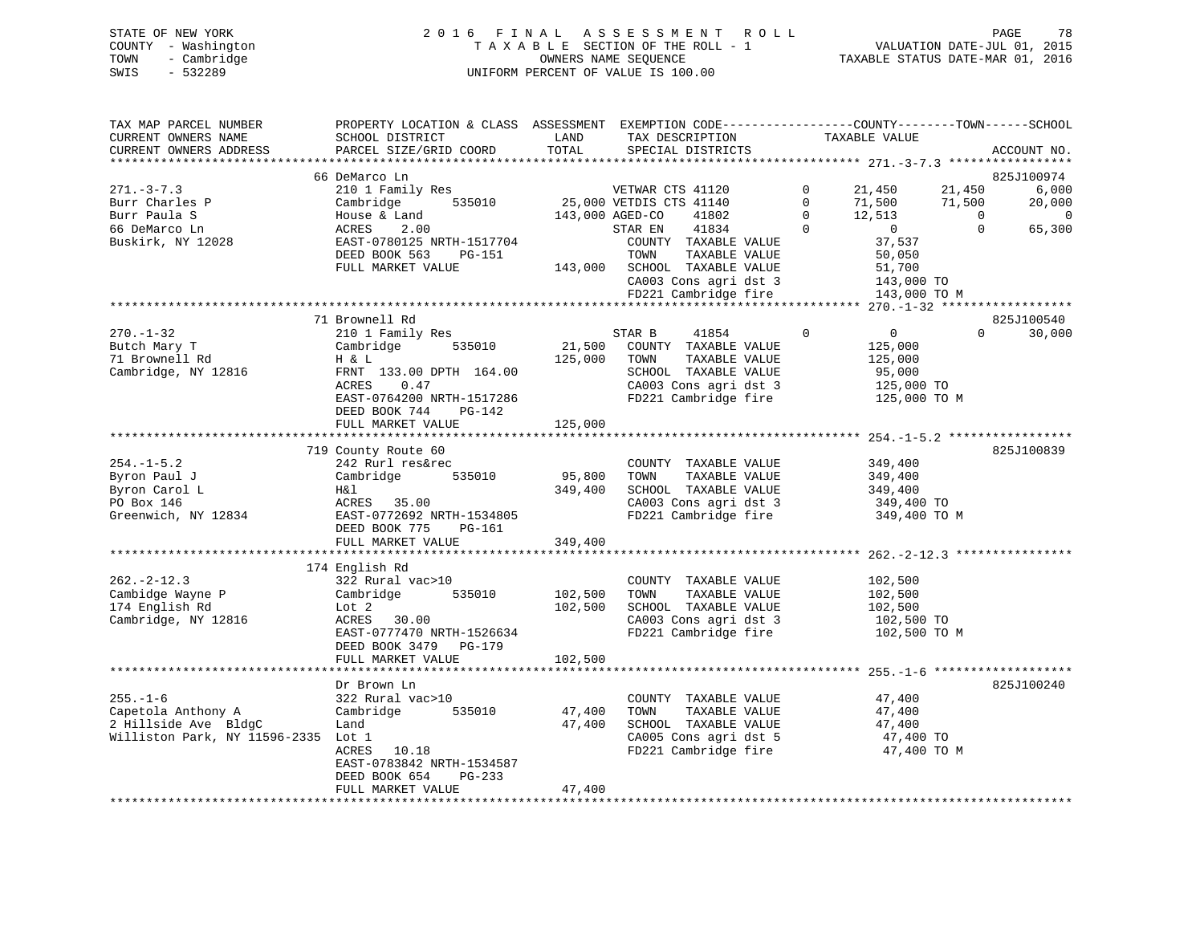| STATE OF NEW YORK   | 2016 FINAL ASSESSMENT ROLL         | 78<br>PAGE                       |
|---------------------|------------------------------------|----------------------------------|
| COUNTY - Washington | TAXABLE SECTION OF THE ROLL - 1    | VALUATION DATE-JUL 01, 2015      |
| TOWN<br>- Cambridge | OWNERS NAME SEOUENCE               | TAXABLE STATUS DATE-MAR 01, 2016 |
| SWIS<br>- 532289    | UNIFORM PERCENT OF VALUE IS 100.00 |                                  |
|                     |                                    |                                  |

| TAX MAP PARCEL NUMBER                                                                                                                                                                                                                                                                     | PROPERTY LOCATION & CLASS ASSESSMENT EXEMPTION CODE---------------COUNTY-------TOWN------SCHOOL                                                                                                                                        |         |                |                      |  |                                                                                                                                                                                                                                                                                                                                                                |                    |
|-------------------------------------------------------------------------------------------------------------------------------------------------------------------------------------------------------------------------------------------------------------------------------------------|----------------------------------------------------------------------------------------------------------------------------------------------------------------------------------------------------------------------------------------|---------|----------------|----------------------|--|----------------------------------------------------------------------------------------------------------------------------------------------------------------------------------------------------------------------------------------------------------------------------------------------------------------------------------------------------------------|--------------------|
| CURRENT OWNERS NAME                                                                                                                                                                                                                                                                       | SCHOOL DISTRICT                                                                                                                                                                                                                        | LAND    |                | TAX DESCRIPTION      |  | TAXABLE VALUE                                                                                                                                                                                                                                                                                                                                                  |                    |
| CURRENT OWNERS ADDRESS                                                                                                                                                                                                                                                                    | PARCEL SIZE/GRID COORD                                                                                                                                                                                                                 | TOTAL   |                | SPECIAL DISTRICTS    |  |                                                                                                                                                                                                                                                                                                                                                                | ACCOUNT NO.        |
|                                                                                                                                                                                                                                                                                           |                                                                                                                                                                                                                                        |         |                |                      |  |                                                                                                                                                                                                                                                                                                                                                                |                    |
|                                                                                                                                                                                                                                                                                           | 66 DeMarco Ln                                                                                                                                                                                                                          |         |                |                      |  |                                                                                                                                                                                                                                                                                                                                                                | 825J100974         |
| $271 - 3 - 7.3$                                                                                                                                                                                                                                                                           |                                                                                                                                                                                                                                        |         |                |                      |  |                                                                                                                                                                                                                                                                                                                                                                |                    |
| $271. -3 - 7.5$<br>Burr Charles P                                                                                                                                                                                                                                                         |                                                                                                                                                                                                                                        |         |                |                      |  |                                                                                                                                                                                                                                                                                                                                                                |                    |
|                                                                                                                                                                                                                                                                                           |                                                                                                                                                                                                                                        |         |                |                      |  |                                                                                                                                                                                                                                                                                                                                                                |                    |
| 66 DeMarco Ln                                                                                                                                                                                                                                                                             | 210 1 Family Res<br>Cambridge 535010 25,000 VETDIS CTS 41140 0 21,450 21,450 6,000<br>Cambridge 535010 25,000 VETDIS CTS 41140 0 71,500 71,500 20,000<br>House & Land 143,000 AGED-CO 41802 0 12,513 0 0<br>ACRES 2.00 STAR EN 41834 0 |         |                |                      |  |                                                                                                                                                                                                                                                                                                                                                                |                    |
| Buskirk, NY 12028                                                                                                                                                                                                                                                                         | Cambridge 535010<br>House & Land<br>ACRES 2.00<br>EAST-0780125 NRTH-1517704                                                                                                                                                            |         |                |                      |  | $\begin{tabular}{lllllllllll} \multicolumn{2}{c}{\textbf{TAR EN}} & & $\color{red}41834$ & & $\color{red}0$ & & $\color{red}0$ \\ \multicolumn{2}{c}{\textbf{COUNTY}} & \color{red}TAXABLE & \color{red}VALUE & & $\color{red}37,537$ \\ \multicolumn{2}{c}{\textbf{TOWN}} & & \color{red}TAXABLE & \color{red}VALUE & & $\color{red}50,050$ \\ \end{tabular}$ |                    |
|                                                                                                                                                                                                                                                                                           |                                                                                                                                                                                                                                        |         |                |                      |  |                                                                                                                                                                                                                                                                                                                                                                |                    |
|                                                                                                                                                                                                                                                                                           | DEED BOOK 563 PG-151<br>DEED BOOK 563 PG-151 143,000 SCHOOL TAXABLE VALUE 51,700<br>FULL MARKET VALUE 143,000 SCHOOL TAXABLE VALUE 51,700<br>FD221 Cambridge fire 143,000 TO M                                                         |         | TOWN           |                      |  |                                                                                                                                                                                                                                                                                                                                                                |                    |
|                                                                                                                                                                                                                                                                                           |                                                                                                                                                                                                                                        |         |                |                      |  |                                                                                                                                                                                                                                                                                                                                                                |                    |
|                                                                                                                                                                                                                                                                                           |                                                                                                                                                                                                                                        |         |                |                      |  |                                                                                                                                                                                                                                                                                                                                                                |                    |
|                                                                                                                                                                                                                                                                                           |                                                                                                                                                                                                                                        |         |                |                      |  |                                                                                                                                                                                                                                                                                                                                                                |                    |
|                                                                                                                                                                                                                                                                                           |                                                                                                                                                                                                                                        |         |                |                      |  |                                                                                                                                                                                                                                                                                                                                                                |                    |
|                                                                                                                                                                                                                                                                                           | 71 Brownell Rd                                                                                                                                                                                                                         |         |                |                      |  |                                                                                                                                                                                                                                                                                                                                                                | 825J100540         |
|                                                                                                                                                                                                                                                                                           |                                                                                                                                                                                                                                        |         | STAR B 41854 0 |                      |  |                                                                                                                                                                                                                                                                                                                                                                | $\Omega$<br>30,000 |
| $\begin{tabular}{lllllllllllllllllllllll} \hline 270.-1-32 & 210&1 Family Res & 21,500 & 21,500 & 21,500 & 21,500 & 21,500 & 21,500 & 21,500 & 21,500 & 21,500 & 21,500 & 21,500 & 21,500 & 21,500 & 21,500 & 21,500 & 21,500 & 21,500 & 21,500 & 21,500 & 21,500 & 21,500 & 21,500 & 21$ |                                                                                                                                                                                                                                        |         |                |                      |  | $\begin{array}{c} 0 \\ 125,000 \end{array}$                                                                                                                                                                                                                                                                                                                    |                    |
|                                                                                                                                                                                                                                                                                           |                                                                                                                                                                                                                                        |         |                | TAXABLE VALUE        |  | 125,000                                                                                                                                                                                                                                                                                                                                                        |                    |
|                                                                                                                                                                                                                                                                                           |                                                                                                                                                                                                                                        |         |                | SCHOOL TAXABLE VALUE |  |                                                                                                                                                                                                                                                                                                                                                                |                    |
|                                                                                                                                                                                                                                                                                           |                                                                                                                                                                                                                                        |         |                |                      |  | 95,000<br>125,000 TO                                                                                                                                                                                                                                                                                                                                           |                    |
|                                                                                                                                                                                                                                                                                           | EAST-0764200 NRTH-1517286                                                                                                                                                                                                              |         |                |                      |  | CA003 Cons agri dst 3 125,000 TO<br>FD221 Cambridge fire 125,000 TO M                                                                                                                                                                                                                                                                                          |                    |
|                                                                                                                                                                                                                                                                                           | DEED BOOK 744 PG-142                                                                                                                                                                                                                   |         |                |                      |  |                                                                                                                                                                                                                                                                                                                                                                |                    |
|                                                                                                                                                                                                                                                                                           | FULL MARKET VALUE 125,000                                                                                                                                                                                                              |         |                |                      |  |                                                                                                                                                                                                                                                                                                                                                                |                    |
|                                                                                                                                                                                                                                                                                           |                                                                                                                                                                                                                                        |         |                |                      |  |                                                                                                                                                                                                                                                                                                                                                                |                    |
|                                                                                                                                                                                                                                                                                           | 719 County Route 60                                                                                                                                                                                                                    |         |                |                      |  |                                                                                                                                                                                                                                                                                                                                                                | 825J100839         |
| $254. - 1 - 5.2$                                                                                                                                                                                                                                                                          | 242 Rurl res&rec                                                                                                                                                                                                                       |         |                | COUNTY TAXABLE VALUE |  |                                                                                                                                                                                                                                                                                                                                                                |                    |
|                                                                                                                                                                                                                                                                                           | Cambridge 535010 95,800                                                                                                                                                                                                                |         | TOWN           |                      |  | 349,400<br>349,400                                                                                                                                                                                                                                                                                                                                             |                    |
| Byron Paul J<br>Byron Paul 0<br>Byron Carol L<br>PO Box 146<br>Greenwich, NY 12834<br>Byron Carol L<br>Byron Carol H&1<br>ACRES 35.00<br>EAST-0772692 NRTH-1534805<br>DEED BOOK 775<br>PG-161<br>240.400                                                                                  |                                                                                                                                                                                                                                        |         |                | TAXABLE VALUE        |  |                                                                                                                                                                                                                                                                                                                                                                |                    |
|                                                                                                                                                                                                                                                                                           |                                                                                                                                                                                                                                        |         |                |                      |  | SCHOOL TAXABLE VALUE 349,400<br>CA003 Cons agri dst 3 349,400 TO                                                                                                                                                                                                                                                                                               |                    |
|                                                                                                                                                                                                                                                                                           |                                                                                                                                                                                                                                        |         |                |                      |  |                                                                                                                                                                                                                                                                                                                                                                |                    |
|                                                                                                                                                                                                                                                                                           |                                                                                                                                                                                                                                        |         |                | FD221 Cambridge fire |  | 349,400 TO M                                                                                                                                                                                                                                                                                                                                                   |                    |
|                                                                                                                                                                                                                                                                                           |                                                                                                                                                                                                                                        |         |                |                      |  |                                                                                                                                                                                                                                                                                                                                                                |                    |
|                                                                                                                                                                                                                                                                                           | FULL MARKET VALUE                                                                                                                                                                                                                      | 349,400 |                |                      |  |                                                                                                                                                                                                                                                                                                                                                                |                    |
|                                                                                                                                                                                                                                                                                           |                                                                                                                                                                                                                                        |         |                |                      |  |                                                                                                                                                                                                                                                                                                                                                                |                    |
|                                                                                                                                                                                                                                                                                           | 174 English Rd                                                                                                                                                                                                                         |         |                |                      |  |                                                                                                                                                                                                                                                                                                                                                                |                    |
| $262 - 2 - 12.3$                                                                                                                                                                                                                                                                          | 322 Rural vac>10                                                                                                                                                                                                                       |         |                | COUNTY TAXABLE VALUE |  | 102,500                                                                                                                                                                                                                                                                                                                                                        |                    |
| Cambidge Wayne P                                                                                                                                                                                                                                                                          | Cambridge 535010 102,500                                                                                                                                                                                                               |         | TOWN           | TAXABLE VALUE        |  | 102,500                                                                                                                                                                                                                                                                                                                                                        |                    |
| 174 English Rd                                                                                                                                                                                                                                                                            |                                                                                                                                                                                                                                        | 102,500 |                | SCHOOL TAXABLE VALUE |  | 102,500                                                                                                                                                                                                                                                                                                                                                        |                    |
| Cambridge, NY 12816                                                                                                                                                                                                                                                                       | Lot 2<br>ACRES 30.00                                                                                                                                                                                                                   |         |                |                      |  |                                                                                                                                                                                                                                                                                                                                                                |                    |
|                                                                                                                                                                                                                                                                                           | EAST-0777470 NRTH-1526634                                                                                                                                                                                                              |         |                | FD221 Cambridge fire |  | CA003 Cons agri dst 3<br>FD221 Cambridge fire 102,500 TO M                                                                                                                                                                                                                                                                                                     |                    |
|                                                                                                                                                                                                                                                                                           | DEED BOOK 3479 PG-179                                                                                                                                                                                                                  |         |                |                      |  |                                                                                                                                                                                                                                                                                                                                                                |                    |
|                                                                                                                                                                                                                                                                                           | FULL MARKET VALUE                                                                                                                                                                                                                      | 102,500 |                |                      |  |                                                                                                                                                                                                                                                                                                                                                                |                    |
|                                                                                                                                                                                                                                                                                           |                                                                                                                                                                                                                                        |         |                |                      |  |                                                                                                                                                                                                                                                                                                                                                                |                    |
|                                                                                                                                                                                                                                                                                           | Dr Brown Ln                                                                                                                                                                                                                            |         |                |                      |  |                                                                                                                                                                                                                                                                                                                                                                | 825J100240         |
| $255. - 1 - 6$                                                                                                                                                                                                                                                                            | 322 Rural vac>10                                                                                                                                                                                                                       |         |                |                      |  | COUNTY TAXABLE VALUE 47,400                                                                                                                                                                                                                                                                                                                                    |                    |
|                                                                                                                                                                                                                                                                                           | Cambridge 535010                                                                                                                                                                                                                       |         |                |                      |  |                                                                                                                                                                                                                                                                                                                                                                |                    |
| Capetola Anthony A<br>? Hillside Ave BldgC                                                                                                                                                                                                                                                |                                                                                                                                                                                                                                        |         |                |                      |  | 47,400 TOWN TAXABLE VALUE 47,400<br>47,400 SCHOOL TAXABLE VALUE 47,400<br>CA005 Cons agri dst 5 47,400 TO                                                                                                                                                                                                                                                      |                    |
| 2 Hillside Ave BldgC                                                                                                                                                                                                                                                                      | Land                                                                                                                                                                                                                                   |         |                |                      |  |                                                                                                                                                                                                                                                                                                                                                                |                    |
| Williston Park, NY 11596-2335 Lot 1                                                                                                                                                                                                                                                       |                                                                                                                                                                                                                                        |         |                |                      |  | CA005 Cons agri dst 5 47,400 TO<br>FD221 Cambridge fire 47,400 TO M                                                                                                                                                                                                                                                                                            |                    |
|                                                                                                                                                                                                                                                                                           | ACRES 10.18                                                                                                                                                                                                                            |         |                |                      |  |                                                                                                                                                                                                                                                                                                                                                                |                    |
|                                                                                                                                                                                                                                                                                           | EAST-0783842 NRTH-1534587                                                                                                                                                                                                              |         |                |                      |  |                                                                                                                                                                                                                                                                                                                                                                |                    |
|                                                                                                                                                                                                                                                                                           | DEED BOOK 654 PG-233                                                                                                                                                                                                                   |         |                |                      |  |                                                                                                                                                                                                                                                                                                                                                                |                    |
|                                                                                                                                                                                                                                                                                           | FULL MARKET VALUE                                                                                                                                                                                                                      | 47,400  |                |                      |  |                                                                                                                                                                                                                                                                                                                                                                |                    |
|                                                                                                                                                                                                                                                                                           |                                                                                                                                                                                                                                        |         |                |                      |  |                                                                                                                                                                                                                                                                                                                                                                |                    |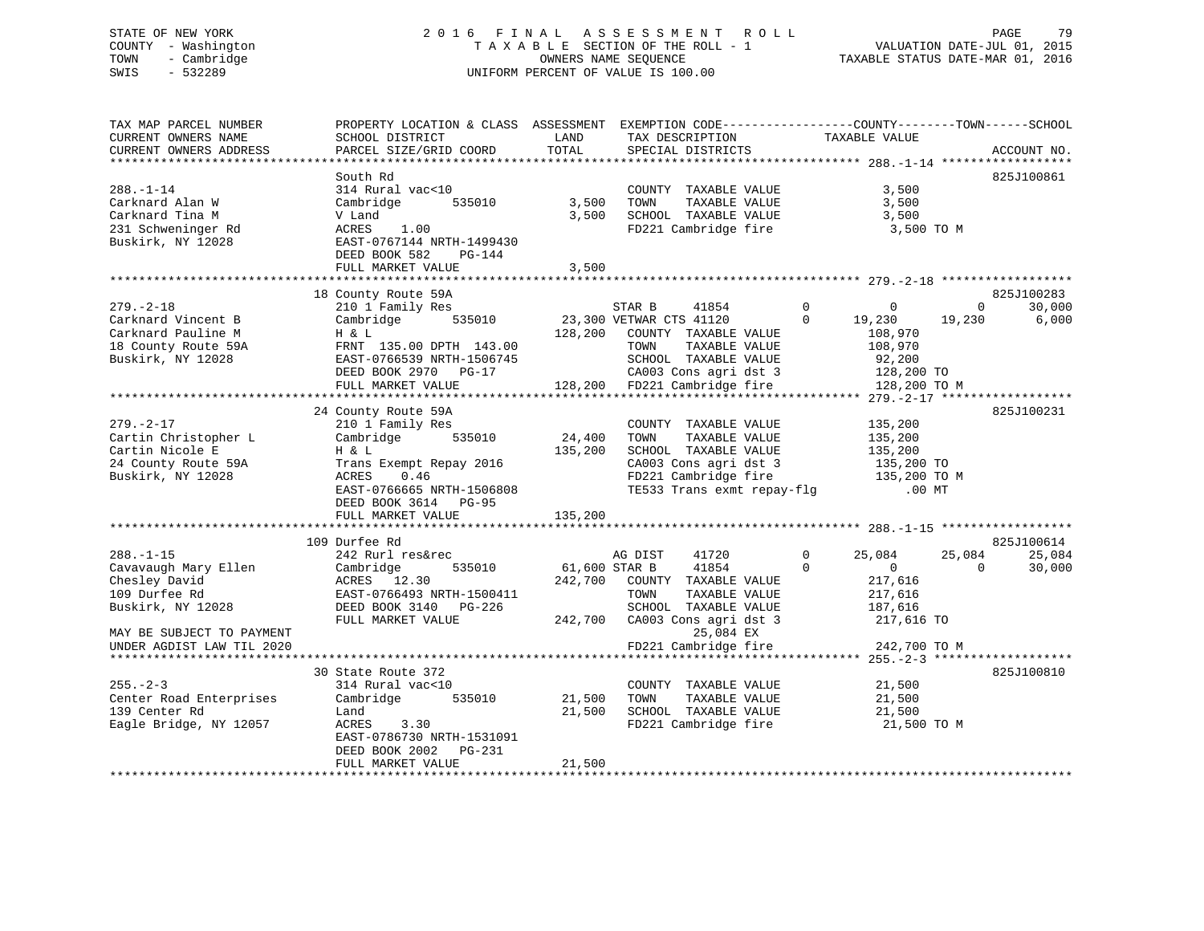#### STATE OF NEW YORK 2 0 1 6 F I N A L A S S E S S M E N T R O L L PAGE 79COUNTY - Washington  $T A X A B L E$  SECTION OF THE ROLL - 1<br>TOWN - Cambridge  $\qquad$  OWNERS NAME SEQUENCE TOWN - Cambridge OWNERS NAME SEQUENCE TAXABLE STATUS DATE-MAR 01, 2016 SWIS - 532289 UNIFORM PERCENT OF VALUE IS 100.00

| SCHOOL DISTRICT<br>PARCEL SIZE/GRID COORD                                                                                                                                                     | LAND<br>TOTAL                                                                        | TAX DESCRIPTION<br>SPECIAL DISTRICTS                                                                                                     | TAXABLE VALUE                                                                                                                                                           | ACCOUNT NO.                                                                                                                                                                                                                   |
|-----------------------------------------------------------------------------------------------------------------------------------------------------------------------------------------------|--------------------------------------------------------------------------------------|------------------------------------------------------------------------------------------------------------------------------------------|-------------------------------------------------------------------------------------------------------------------------------------------------------------------------|-------------------------------------------------------------------------------------------------------------------------------------------------------------------------------------------------------------------------------|
| South Rd<br>314 Rural vac<10<br>535010<br>Cambridge<br>V Land<br>1.00<br>ACRES<br>EAST-0767144 NRTH-1499430                                                                                   | 3,500                                                                                | COUNTY TAXABLE VALUE<br>TOWN<br>TAXABLE VALUE<br>SCHOOL TAXABLE VALUE<br>FD221 Cambridge fire                                            | 3,500<br>3,500<br>3,500                                                                                                                                                 | 825J100861                                                                                                                                                                                                                    |
| FULL MARKET VALUE                                                                                                                                                                             | 3,500                                                                                |                                                                                                                                          |                                                                                                                                                                         |                                                                                                                                                                                                                               |
|                                                                                                                                                                                               |                                                                                      |                                                                                                                                          |                                                                                                                                                                         |                                                                                                                                                                                                                               |
| 210 1 Family Res<br>Cambridge<br>535010<br>H & L<br>FRNT 135.00 DPTH 143.00<br>EAST-0766539 NRTH-1506745<br>DEED BOOK 2970 PG-17                                                              |                                                                                      | STAR B<br>41854<br>COUNTY TAXABLE VALUE<br>TOWN<br>TAXABLE VALUE<br>SCHOOL TAXABLE VALUE<br>CA003 Cons agri dst 3                        | $\Omega$<br>$\mathbf 0$<br>$\mathbf 0$<br>19,230<br>108,970<br>108,970<br>92,200                                                                                        | 825J100283<br>$\mathbf 0$<br>30,000<br>19,230<br>6,000                                                                                                                                                                        |
|                                                                                                                                                                                               |                                                                                      |                                                                                                                                          |                                                                                                                                                                         |                                                                                                                                                                                                                               |
| 24 County Route 59A<br>210 1 Family Res<br>Cambridge<br>535010<br>H & L<br>Trans Exempt Repay 2016<br>ACRES<br>0.46<br>EAST-0766665 NRTH-1506808<br>DEED BOOK 3614 PG-95<br>FULL MARKET VALUE | 24,400<br>135,200<br>135,200                                                         | COUNTY TAXABLE VALUE<br>TAXABLE VALUE<br>TOWN<br>SCHOOL TAXABLE VALUE<br>CA003 Cons agri dst 3<br>FD221 Cambridge fire                   | 135,200<br>135,200<br>135,200                                                                                                                                           | 825J100231                                                                                                                                                                                                                    |
|                                                                                                                                                                                               |                                                                                      |                                                                                                                                          |                                                                                                                                                                         | 825J100614                                                                                                                                                                                                                    |
| 242 Rurl res&rec<br>Cambridge<br>535010<br>ACRES 12.30<br>EAST-0766493 NRTH-1500411<br>DEED BOOK 3140 PG-226<br>FULL MARKET VALUE                                                             | 242,700                                                                              | AG DIST<br>41720<br>41854<br>COUNTY TAXABLE VALUE<br>TOWN<br>TAXABLE VALUE<br>SCHOOL TAXABLE VALUE<br>CA003 Cons agri dst 3<br>25,084 EX | 25,084<br>0<br>$\Omega$<br>$\mathbf{0}$<br>217,616<br>217,616<br>187,616                                                                                                | 25,084<br>25,084<br>$\Omega$<br>30,000                                                                                                                                                                                        |
|                                                                                                                                                                                               |                                                                                      |                                                                                                                                          |                                                                                                                                                                         |                                                                                                                                                                                                                               |
| 30 State Route 372<br>314 Rural vac<10<br>Cambridge<br>535010<br>Land<br>ACRES<br>3.30<br>EAST-0786730 NRTH-1531091<br>DEED BOOK 2002<br>PG-231<br>FULL MARKET VALUE                          | 21,500<br>21,500<br>21,500                                                           | COUNTY TAXABLE VALUE<br>TOWN<br>TAXABLE VALUE<br>SCHOOL TAXABLE VALUE<br>FD221 Cambridge fire                                            | 21,500<br>21,500<br>21,500                                                                                                                                              | 825J100810                                                                                                                                                                                                                    |
|                                                                                                                                                                                               | DEED BOOK 582<br>PG-144<br>18 County Route 59A<br>FULL MARKET VALUE<br>109 Durfee Rd |                                                                                                                                          | PROPERTY LOCATION & CLASS ASSESSMENT<br>3,500<br>23,300 VETWAR CTS 41120<br>128,200<br>128,200 FD221 Cambridge fire<br>61,600 STAR B<br>242,700<br>FD221 Cambridge fire | EXEMPTION CODE-----------------COUNTY-------TOWN------SCHOOL<br>3,500 TO M<br>128,200 TO<br>128,200 TO M<br>135,200 TO<br>135,200 TO M<br>TE533 Trans exmt repay-flg<br>$.00$ MT<br>217,616 TO<br>242,700 TO M<br>21,500 TO M |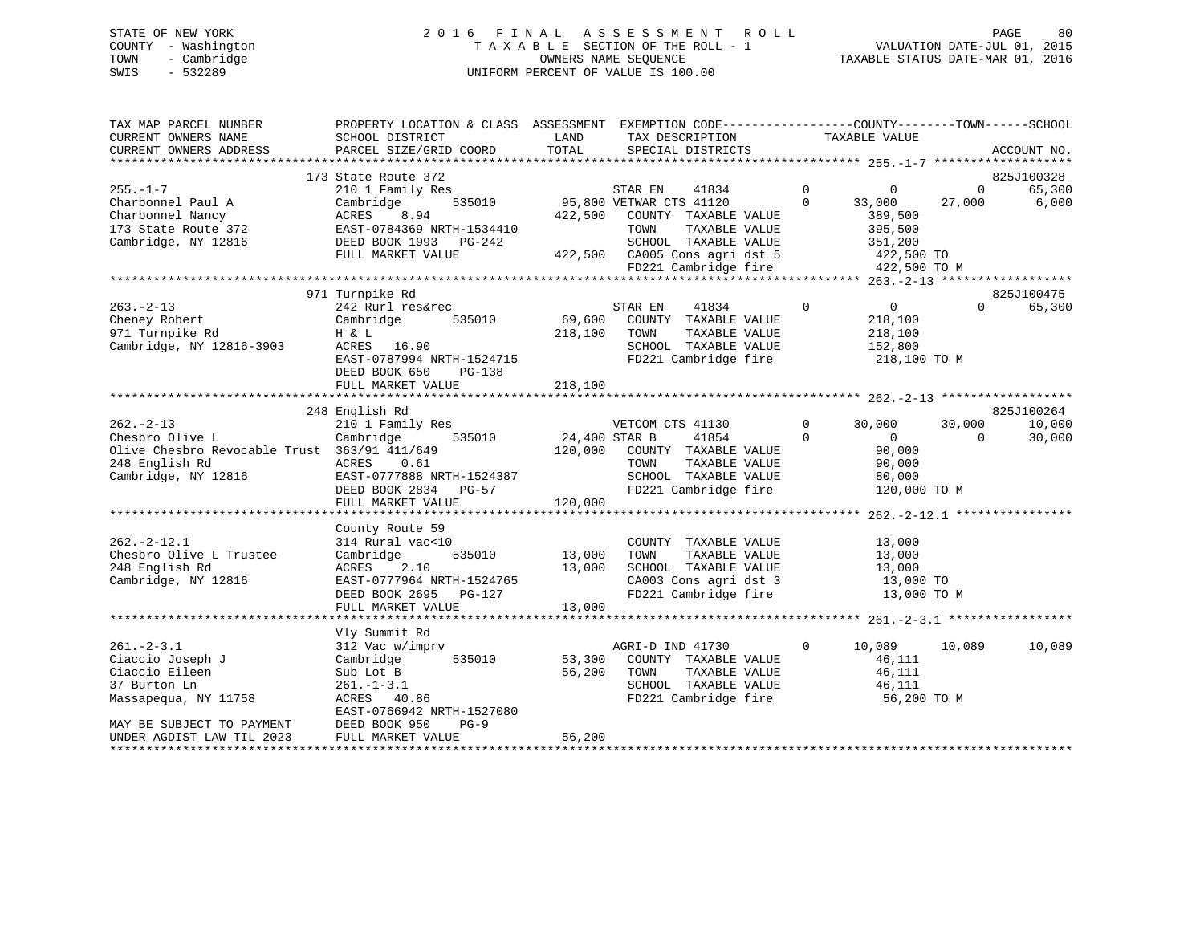#### STATE OF NEW YORK 2 0 1 6 F I N A L A S S E S S M E N T R O L L PAGE 80COUNTY - Washington  $T A X A B L E$  SECTION OF THE ROLL - 1<br>TOWN - Cambridge  $\sim$  000NERS NAME SEQUENCE TOWN - Cambridge OWNERS NAME SEQUENCE TAXABLE STATUS DATE-MAR 01, 2016 SWIS - 532289 UNIFORM PERCENT OF VALUE IS 100.00

| TAX MAP PARCEL NUMBER<br>CURRENT OWNERS NAME | PROPERTY LOCATION & CLASS ASSESSMENT EXEMPTION CODE----------------COUNTY-------TOWN------SCHOOL<br>SCHOOL DISTRICT | LAND<br>TOTAL | TAX DESCRIPTION                               | TAXABLE VALUE                    |                          |
|----------------------------------------------|---------------------------------------------------------------------------------------------------------------------|---------------|-----------------------------------------------|----------------------------------|--------------------------|
| CURRENT OWNERS ADDRESS                       | PARCEL SIZE/GRID COORD                                                                                              |               | SPECIAL DISTRICTS                             |                                  | ACCOUNT NO.              |
|                                              | 173 State Route 372                                                                                                 |               |                                               |                                  | 825J100328               |
| $255. - 1 - 7$                               | 210 1 Family Res                                                                                                    |               | STAR EN<br>41834                              | $\overline{0}$<br>$\overline{0}$ | 65,300<br>$\overline{0}$ |
| Charbonnel Paul A                            | Cambridge<br>535010                                                                                                 |               | 95,800 VETWAR CTS 41120                       | $\Omega$<br>33,000               | 27,000<br>6,000          |
| Charbonnel Nancy                             | ACRES<br>8.94                                                                                                       |               | 422,500 COUNTY TAXABLE VALUE                  | 389,500                          |                          |
| 173 State Route 372                          | EAST-0784369 NRTH-1534410                                                                                           |               | TAXABLE VALUE<br>TOWN                         | 395,500                          |                          |
| Cambridge, NY 12816                          | DEED BOOK 1993 PG-242                                                                                               |               | SCHOOL TAXABLE VALUE                          | 351,200                          |                          |
|                                              | FULL MARKET VALUE                                                                                                   |               | 422,500 CA005 Cons agri dst 5                 | 422,500 TO                       |                          |
|                                              |                                                                                                                     |               | FD221 Cambridge fire                          | 422,500 TO M                     |                          |
|                                              |                                                                                                                     |               |                                               |                                  |                          |
|                                              | 971 Turnpike Rd                                                                                                     |               |                                               |                                  | 825J100475               |
| $263. - 2 - 13$                              | 242 Rurl res&rec                                                                                                    |               | 41834<br>STAR EN                              | $\Omega$<br>$\overline{0}$       | 65,300<br>$\Omega$       |
| Cheney Robert                                | 535010<br>Cambridge                                                                                                 |               | 69,600 COUNTY TAXABLE VALUE                   | 218,100                          |                          |
| 971 Turnpike Rd                              | H & L                                                                                                               | 218,100       | TOWN<br>TAXABLE VALUE                         | 218,100                          |                          |
| Cambridge, NY 12816-3903                     | ACRES 16.90                                                                                                         |               | SCHOOL TAXABLE VALUE                          | 152,800                          |                          |
|                                              | EAST-0787994 NRTH-1524715                                                                                           |               | FD221 Cambridge fire                          | 218,100 TO M                     |                          |
|                                              | DEED BOOK 650<br>PG-138                                                                                             |               |                                               |                                  |                          |
|                                              | FULL MARKET VALUE                                                                                                   | 218,100       |                                               |                                  |                          |
|                                              | 248 English Rd                                                                                                      |               |                                               |                                  | 825J100264               |
| $262 - 2 - 13$                               | 210 1 Family Res                                                                                                    |               | VETCOM CTS 41130                              | $\Omega$<br>30,000               | 30,000<br>10,000         |
| Chesbro Olive L                              | 535010<br>Cambridge                                                                                                 | 24,400 STAR B | 41854                                         | $\Omega$<br>$\overline{0}$       | $\Omega$<br>30,000       |
| Olive Chesbro Revocable Trust 363/91 411/649 |                                                                                                                     |               | 120,000 COUNTY TAXABLE VALUE                  | 90,000                           |                          |
| 248 English Rd                               | ACRES<br>0.61                                                                                                       |               | TAXABLE VALUE<br>TOWN                         | 90,000                           |                          |
| Cambridge, NY 12816                          | EAST-0777888 NRTH-1524387                                                                                           |               | SCHOOL TAXABLE VALUE                          | 80,000                           |                          |
|                                              | DEED BOOK 2834 PG-57                                                                                                |               | FD221 Cambridge fire                          | 120,000 TO M                     |                          |
|                                              | FULL MARKET VALUE                                                                                                   | 120,000       |                                               |                                  |                          |
|                                              |                                                                                                                     |               |                                               |                                  |                          |
|                                              | County Route 59                                                                                                     |               |                                               |                                  |                          |
| $262. -2 - 12.1$                             | 314 Rural vac<10                                                                                                    |               | COUNTY TAXABLE VALUE                          | 13,000                           |                          |
| Chesbro Olive L Trustee                      | 535010<br>Cambridge                                                                                                 | 13,000        | TOWN<br>TAXABLE VALUE                         | 13,000                           |                          |
| 248 English Rd                               | 2.10<br>ACRES                                                                                                       | 13,000        | SCHOOL TAXABLE VALUE                          | 13,000                           |                          |
| Cambridge, NY 12816                          | EAST-0777964 NRTH-1524765                                                                                           |               | CA003 Cons agri dst 3                         | 13,000 TO                        |                          |
|                                              | DEED BOOK 2695 PG-127                                                                                               |               | FD221 Cambridge fire                          | 13,000 TO M                      |                          |
|                                              | FULL MARKET VALUE                                                                                                   | 13,000        |                                               |                                  |                          |
|                                              | *****************************                                                                                       |               |                                               |                                  |                          |
|                                              | Vly Summit Rd                                                                                                       |               |                                               |                                  |                          |
| $261 - 2 - 3.1$                              | 312 Vac w/imprv                                                                                                     |               | AGRI-D IND 41730                              | $\Omega$<br>10,089               | 10,089<br>10,089         |
| Ciaccio Joseph J                             | Cambridge<br>535010                                                                                                 | 53,300        | COUNTY TAXABLE VALUE                          | 46,111                           |                          |
| Ciaccio Eileen                               | Sub Lot B                                                                                                           | 56,200        | TAXABLE VALUE<br>TOWN<br>SCHOOL TAXABLE VALUE | 46,111                           |                          |
| 37 Burton Ln                                 | $261 - 1 - 3.1$                                                                                                     |               | FD221 Cambridge fire                          | 46,111                           |                          |
| Massapequa, NY 11758                         | ACRES 40.86<br>EAST-0766942 NRTH-1527080                                                                            |               |                                               | 56,200 TO M                      |                          |
| MAY BE SUBJECT TO PAYMENT                    | DEED BOOK 950<br>$PG-9$                                                                                             |               |                                               |                                  |                          |
| UNDER AGDIST LAW TIL 2023                    | FULL MARKET VALUE                                                                                                   | 56,200        |                                               |                                  |                          |
|                                              |                                                                                                                     |               |                                               |                                  |                          |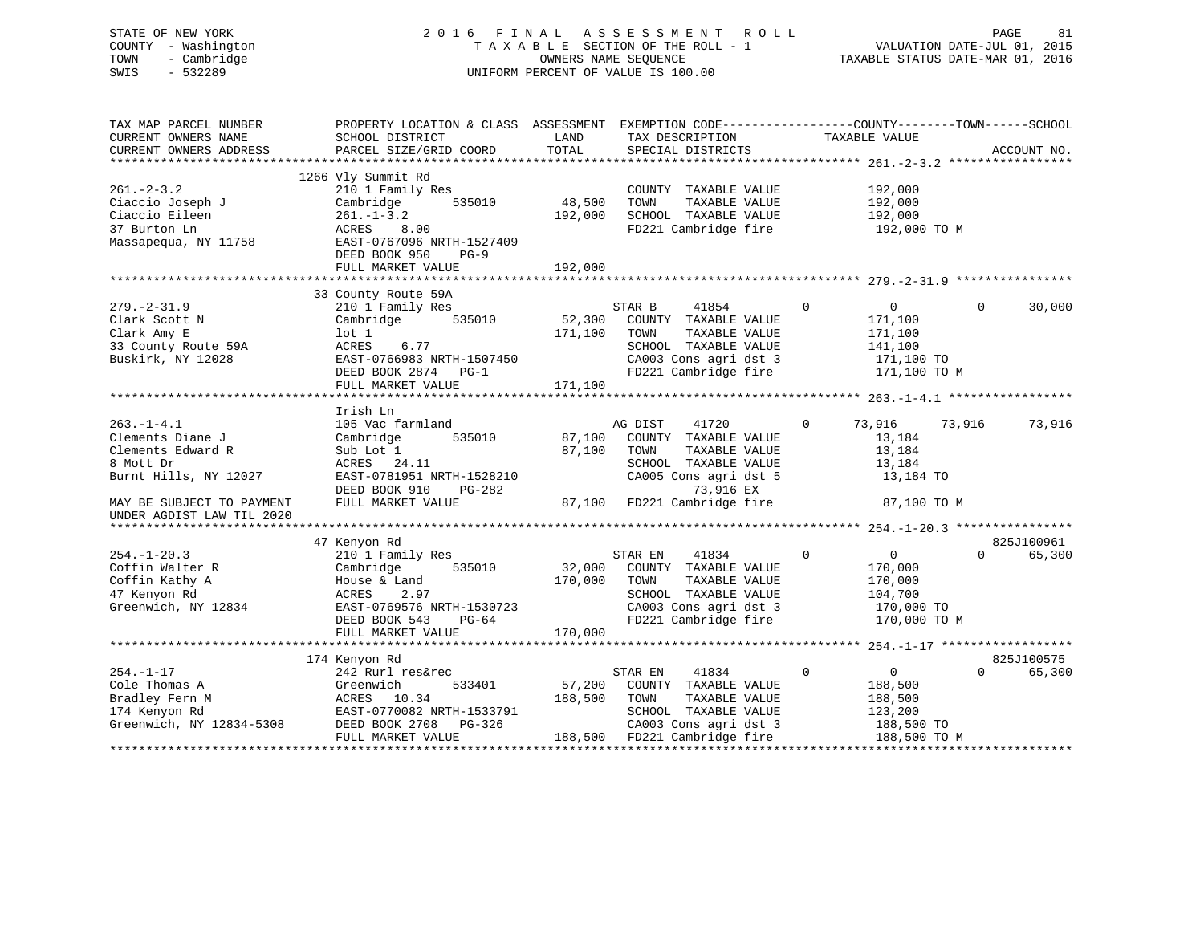### STATE OF NEW YORK 2 0 1 6 F I N A L A S S E S S M E N T R O L L PAGE 81 COUNTY - Washington T A X A B L E SECTION OF THE ROLL - 1 VALUATION DATE-JUL 01, 2015 TOWN - Cambridge OWNERS NAME SEQUENCE TAXABLE STATUS DATE-MAR 01, 2016 SWIS - 532289 UNIFORM PERCENT OF VALUE IS 100.00

| TAX MAP PARCEL NUMBER<br>CURRENT OWNERS NAME<br>CURRENT OWNERS ADDRESS | PROPERTY LOCATION & CLASS ASSESSMENT<br>SCHOOL DISTRICT<br>PARCEL SIZE/GRID COORD          | LAND<br>TOTAL | EXEMPTION CODE-----------------COUNTY-------TOWN------SCHOOL<br>TAX DESCRIPTION<br>SPECIAL DISTRICTS | TAXABLE VALUE                 | ACCOUNT NO.        |
|------------------------------------------------------------------------|--------------------------------------------------------------------------------------------|---------------|------------------------------------------------------------------------------------------------------|-------------------------------|--------------------|
|                                                                        |                                                                                            |               |                                                                                                      |                               |                    |
| $261 - 2 - 3.2$                                                        | 1266 Vly Summit Rd<br>210 1 Family Res                                                     |               | COUNTY TAXABLE VALUE                                                                                 | 192,000                       |                    |
| Ciaccio Joseph J                                                       | Cambridge<br>535010                                                                        | 48,500        | TOWN<br>TAXABLE VALUE                                                                                | 192,000                       |                    |
| Ciaccio Eileen                                                         | $261. - 1 - 3.2$                                                                           | 192,000       | SCHOOL TAXABLE VALUE                                                                                 | 192,000                       |                    |
| 37 Burton Ln<br>Massapequa, NY 11758                                   | ACRES<br>8.00<br>EAST-0767096 NRTH-1527409<br>DEED BOOK 950<br>$PG-9$<br>FULL MARKET VALUE | 192,000       | FD221 Cambridge fire                                                                                 | 192,000 TO M                  |                    |
|                                                                        |                                                                                            |               |                                                                                                      |                               |                    |
|                                                                        | 33 County Route 59A                                                                        |               |                                                                                                      |                               |                    |
| $279. - 2 - 31.9$                                                      | 210 1 Family Res                                                                           |               | STAR B<br>41854                                                                                      | $\mathbf 0$<br>$\overline{0}$ | 30,000<br>$\Omega$ |
| Clark Scott N                                                          | 535010<br>Cambridge                                                                        | 52,300        | COUNTY TAXABLE VALUE                                                                                 | 171,100                       |                    |
| Clark Amy E                                                            | $1$ ot $1$                                                                                 | 171,100       | TOWN<br>TAXABLE VALUE                                                                                | 171,100                       |                    |
| 33 County Route 59A                                                    | 6.77<br>ACRES                                                                              |               | SCHOOL TAXABLE VALUE                                                                                 | 141,100                       |                    |
| Buskirk, NY 12028                                                      | EAST-0766983 NRTH-1507450                                                                  |               | CA003 Cons agri dst 3                                                                                | 171,100 TO                    |                    |
|                                                                        | DEED BOOK 2874 PG-1                                                                        |               | FD221 Cambridge fire                                                                                 | 171,100 TO M                  |                    |
|                                                                        | FULL MARKET VALUE                                                                          | 171,100       |                                                                                                      |                               |                    |
|                                                                        |                                                                                            |               |                                                                                                      |                               |                    |
|                                                                        | Irish Ln                                                                                   |               |                                                                                                      |                               |                    |
| $263. -1 - 4.1$                                                        | 105 Vac farmland                                                                           |               | AG DIST<br>41720                                                                                     | $\mathbf 0$<br>73,916         | 73,916<br>73,916   |
| Clements Diane J                                                       | 535010<br>Cambridge                                                                        | 87,100        | COUNTY TAXABLE VALUE                                                                                 | 13,184                        |                    |
| Clements Edward R                                                      | Sub Lot 1                                                                                  | 87,100        | TOWN<br>TAXABLE VALUE                                                                                | 13,184                        |                    |
| 8 Mott Dr                                                              | ACRES 24.11                                                                                |               | SCHOOL TAXABLE VALUE                                                                                 | 13,184                        |                    |
| Burnt Hills, NY 12027                                                  | EAST-0781951 NRTH-1528210                                                                  |               | CA005 Cons agri dst 5                                                                                | 13,184 TO                     |                    |
|                                                                        | DEED BOOK 910<br>PG-282                                                                    |               | 73,916 EX                                                                                            |                               |                    |
| MAY BE SUBJECT TO PAYMENT                                              | FULL MARKET VALUE                                                                          | 87,100        | FD221 Cambridge fire                                                                                 | 87,100 TO M                   |                    |
| UNDER AGDIST LAW TIL 2020                                              |                                                                                            |               |                                                                                                      |                               |                    |
|                                                                        |                                                                                            |               |                                                                                                      |                               |                    |
|                                                                        | 47 Kenyon Rd                                                                               |               |                                                                                                      |                               | 825J100961         |
| $254. - 1 - 20.3$                                                      | 210 1 Family Res                                                                           |               | STAR EN<br>41834                                                                                     | $\mathbf 0$<br>$\mathbf 0$    | $\Omega$<br>65,300 |
| Coffin Walter R                                                        | Cambridge<br>535010                                                                        | 32,000        | COUNTY TAXABLE VALUE                                                                                 | 170,000                       |                    |
| Coffin Kathy A                                                         | House & Land                                                                               | 170,000       | TOWN<br>TAXABLE VALUE                                                                                | 170,000                       |                    |
| 47 Kenyon Rd                                                           | 2.97<br>ACRES                                                                              |               | SCHOOL TAXABLE VALUE                                                                                 | 104,700                       |                    |
| Greenwich, NY 12834                                                    | EAST-0769576 NRTH-1530723                                                                  |               | CA003 Cons agri dst 3                                                                                | 170,000 TO                    |                    |
|                                                                        | DEED BOOK 543<br>$PG-64$                                                                   |               | FD221 Cambridge fire                                                                                 | 170,000 TO M                  |                    |
|                                                                        | FULL MARKET VALUE                                                                          | 170,000       |                                                                                                      |                               |                    |
|                                                                        |                                                                                            |               |                                                                                                      |                               |                    |
|                                                                        | 174 Kenyon Rd                                                                              |               |                                                                                                      |                               | 825J100575         |
| $254. - 1 - 17$                                                        | 242 Rurl res&rec                                                                           |               | STAR EN<br>41834                                                                                     | $\mathbf 0$<br>$\overline{0}$ | $\Omega$<br>65,300 |
| Cole Thomas A                                                          | Greenwich<br>533401                                                                        | 57,200        | COUNTY TAXABLE VALUE                                                                                 | 188,500                       |                    |
| Bradley Fern M                                                         | ACRES 10.34                                                                                | 188,500       | TOWN<br>TAXABLE VALUE                                                                                | 188,500                       |                    |
| 174 Kenyon Rd                                                          | EAST-0770082 NRTH-1533791                                                                  |               | SCHOOL TAXABLE VALUE                                                                                 | 123,200                       |                    |
| Greenwich, NY 12834-5308                                               | DEED BOOK 2708<br>PG-326                                                                   |               | CA003 Cons agri dst 3                                                                                | 188,500 TO                    |                    |
|                                                                        | FULL MARKET VALUE                                                                          |               | 188,500 FD221 Cambridge fire                                                                         | 188,500 TO M                  |                    |
|                                                                        |                                                                                            |               |                                                                                                      |                               |                    |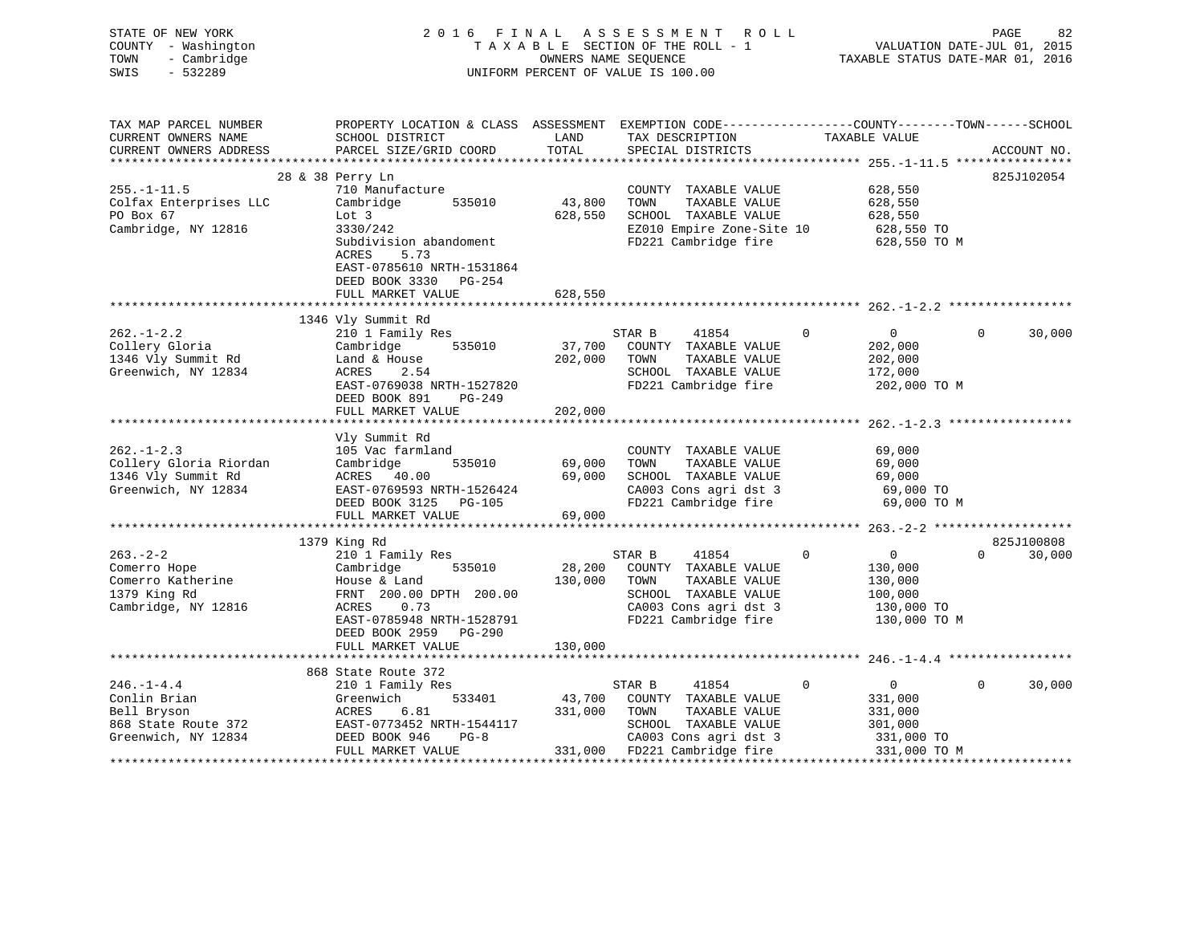| STATE OF NEW YORK<br>COUNTY - Washington<br>TOWN<br>- Cambridge<br>SWIS<br>$-532289$ |                                                                                                                   |                  | 2016 FINAL ASSESSMENT ROLL<br>TAXABLE SECTION OF THE ROLL - 1<br>OWNERS NAME SEQUENCE<br>UNIFORM PERCENT OF VALUE IS 100.00 |             | VALUATION DATE-JUL 01, 2015<br>TAXABLE STATUS DATE-MAR 01, 2016 | PAGE              | 82          |
|--------------------------------------------------------------------------------------|-------------------------------------------------------------------------------------------------------------------|------------------|-----------------------------------------------------------------------------------------------------------------------------|-------------|-----------------------------------------------------------------|-------------------|-------------|
| TAX MAP PARCEL NUMBER<br>CURRENT OWNERS NAME<br>CURRENT OWNERS ADDRESS               | PROPERTY LOCATION & CLASS ASSESSMENT EXEMPTION CODE---------------COUNTY-------TOWN-----SCHOOL<br>SCHOOL DISTRICT | LAND<br>TOTAL    | TAX DESCRIPTION<br>SPECIAL DISTRICTS                                                                                        |             | TAXABLE VALUE                                                   |                   | ACCOUNT NO. |
|                                                                                      | PARCEL SIZE/GRID COORD                                                                                            |                  |                                                                                                                             |             |                                                                 |                   |             |
|                                                                                      | 28 & 38 Perry Ln                                                                                                  |                  |                                                                                                                             |             |                                                                 |                   | 825J102054  |
| $255. - 1 - 11.5$                                                                    | 710 Manufacture                                                                                                   |                  | COUNTY TAXABLE VALUE                                                                                                        |             | 628,550                                                         |                   |             |
| Colfax Enterprises LLC                                                               | Cambridge 535010                                                                                                  | 43,800           | TOWN<br>TAXABLE VALUE                                                                                                       |             | 628,550                                                         |                   |             |
| PO Box 67                                                                            | Lot 3                                                                                                             | 628,550          | SCHOOL TAXABLE VALUE                                                                                                        |             | 628,550                                                         |                   |             |
| Cambridge, NY 12816                                                                  | 3330/242                                                                                                          |                  | EZ010 Empire Zone-Site 10                                                                                                   |             | 628,550 TO                                                      |                   |             |
|                                                                                      | Subdivision abandoment                                                                                            |                  | FD221 Cambridge fire                                                                                                        |             | 628,550 TO M                                                    |                   |             |
|                                                                                      | 5.73<br>ACRES                                                                                                     |                  |                                                                                                                             |             |                                                                 |                   |             |
|                                                                                      | EAST-0785610 NRTH-1531864                                                                                         |                  |                                                                                                                             |             |                                                                 |                   |             |
|                                                                                      | DEED BOOK 3330 PG-254                                                                                             |                  |                                                                                                                             |             |                                                                 |                   |             |
|                                                                                      | FULL MARKET VALUE                                                                                                 | 628,550          |                                                                                                                             |             |                                                                 |                   |             |
|                                                                                      |                                                                                                                   |                  |                                                                                                                             |             |                                                                 |                   |             |
|                                                                                      | 1346 Vly Summit Rd                                                                                                |                  |                                                                                                                             |             |                                                                 |                   |             |
| $262. - 1 - 2.2$                                                                     | 210 1 Family Res                                                                                                  |                  | STAR B<br>41854                                                                                                             | $\Omega$    | $\overline{0}$                                                  | $\Omega$          | 30,000      |
| Collery Gloria                                                                       | 535010<br>Cambridge                                                                                               | 37,700           | COUNTY TAXABLE VALUE                                                                                                        |             | 202,000                                                         |                   |             |
| 1346 Vly Summit Rd                                                                   | Land & House                                                                                                      | 202,000          | TAXABLE VALUE<br>TOWN                                                                                                       |             | 202,000                                                         |                   |             |
| Greenwich, NY 12834                                                                  | ACRES<br>2.54                                                                                                     |                  | SCHOOL TAXABLE VALUE                                                                                                        |             | 172,000                                                         |                   |             |
|                                                                                      | EAST-0769038 NRTH-1527820                                                                                         |                  | FD221 Cambridge fire                                                                                                        |             | 202,000 TO M                                                    |                   |             |
|                                                                                      | DEED BOOK 891 PG-249                                                                                              |                  |                                                                                                                             |             |                                                                 |                   |             |
|                                                                                      | FULL MARKET VALUE                                                                                                 | 202,000          |                                                                                                                             |             |                                                                 |                   |             |
|                                                                                      |                                                                                                                   |                  |                                                                                                                             |             |                                                                 |                   |             |
|                                                                                      | Vly Summit Rd                                                                                                     |                  |                                                                                                                             |             |                                                                 |                   |             |
| $262 - 1 - 2.3$                                                                      | 105 Vac farmland                                                                                                  |                  | COUNTY TAXABLE VALUE                                                                                                        |             | 69,000                                                          |                   |             |
| Collery Gloria Riordan<br>1346 Vly Summit Rd                                         | Cambridge<br>535010<br>ACRES 40.00                                                                                | 69,000<br>69,000 | TAXABLE VALUE<br>TOWN<br>SCHOOL TAXABLE VALUE                                                                               |             | 69,000<br>69,000                                                |                   |             |
| Greenwich, NY 12834                                                                  | EAST-0769593 NRTH-1526424                                                                                         |                  | CA003 Cons agri dst 3                                                                                                       |             | 69,000 TO                                                       |                   |             |
|                                                                                      | DEED BOOK 3125 PG-105                                                                                             |                  | FD221 Cambridge fire                                                                                                        |             | 69,000 TO M                                                     |                   |             |
|                                                                                      | FULL MARKET VALUE                                                                                                 | 69,000           |                                                                                                                             |             |                                                                 |                   |             |
|                                                                                      |                                                                                                                   |                  |                                                                                                                             |             |                                                                 |                   |             |
|                                                                                      | 1379 King Rd                                                                                                      |                  |                                                                                                                             |             |                                                                 |                   | 825J100808  |
| $263 - 2 - 2$                                                                        | 210 1 Family Res                                                                                                  |                  | STAR B<br>41854                                                                                                             | $\mathbf 0$ | $\overline{0}$                                                  | $0 \qquad \qquad$ | 30,000      |
| Comerro Hope                                                                         | 535010<br>Cambridge                                                                                               |                  | 28,200 COUNTY TAXABLE VALUE                                                                                                 |             | 130,000                                                         |                   |             |
| Comerro Katherine                                                                    | House & Land                                                                                                      | 130,000          | TOWN<br>TAXABLE VALUE                                                                                                       |             | 130,000                                                         |                   |             |
| 1379 King Rd                                                                         | FRNT 200.00 DPTH 200.00                                                                                           |                  | SCHOOL TAXABLE VALUE                                                                                                        |             | 100,000                                                         |                   |             |
| Cambridge, NY 12816                                                                  | 0.73<br>ACRES                                                                                                     |                  | CA003 Cons agri dst 3                                                                                                       |             | 130,000 TO                                                      |                   |             |
|                                                                                      | EAST-0785948 NRTH-1528791                                                                                         |                  | FD221 Cambridge fire                                                                                                        |             | 130,000 TO M                                                    |                   |             |
|                                                                                      | DEED BOOK 2959 PG-290                                                                                             |                  |                                                                                                                             |             |                                                                 |                   |             |
|                                                                                      | FULL MARKET VALUE                                                                                                 | 130,000          |                                                                                                                             |             |                                                                 |                   |             |
|                                                                                      |                                                                                                                   |                  |                                                                                                                             |             |                                                                 |                   |             |
|                                                                                      | 868 State Route 372                                                                                               |                  |                                                                                                                             |             |                                                                 |                   |             |
| $246. - 1 - 4.4$                                                                     | 210 1 Family Res                                                                                                  |                  | STAR B<br>41854                                                                                                             | $\mathbf 0$ | $\overline{0}$                                                  | $\Omega$          | 30,000      |
| Conlin Brian                                                                         | 533401<br>Greenwich                                                                                               |                  | 43,700 COUNTY TAXABLE VALUE                                                                                                 |             | 331,000                                                         |                   |             |
| Bell Bryson                                                                          | ACRES<br>6.81                                                                                                     | 331,000          | TOWN<br>TAXABLE VALUE                                                                                                       |             | 331,000                                                         |                   |             |
| 868 State Route 372                                                                  | EAST-0773452 NRTH-1544117                                                                                         |                  | SCHOOL TAXABLE VALUE                                                                                                        |             | 301,000                                                         |                   |             |
| Greenwich, NY 12834                                                                  | DEED BOOK 946<br>$PG-8$                                                                                           |                  |                                                                                                                             |             |                                                                 |                   |             |
|                                                                                      | FULL MARKET VALUE                                                                                                 |                  |                                                                                                                             |             | 331,000 TO M                                                    |                   |             |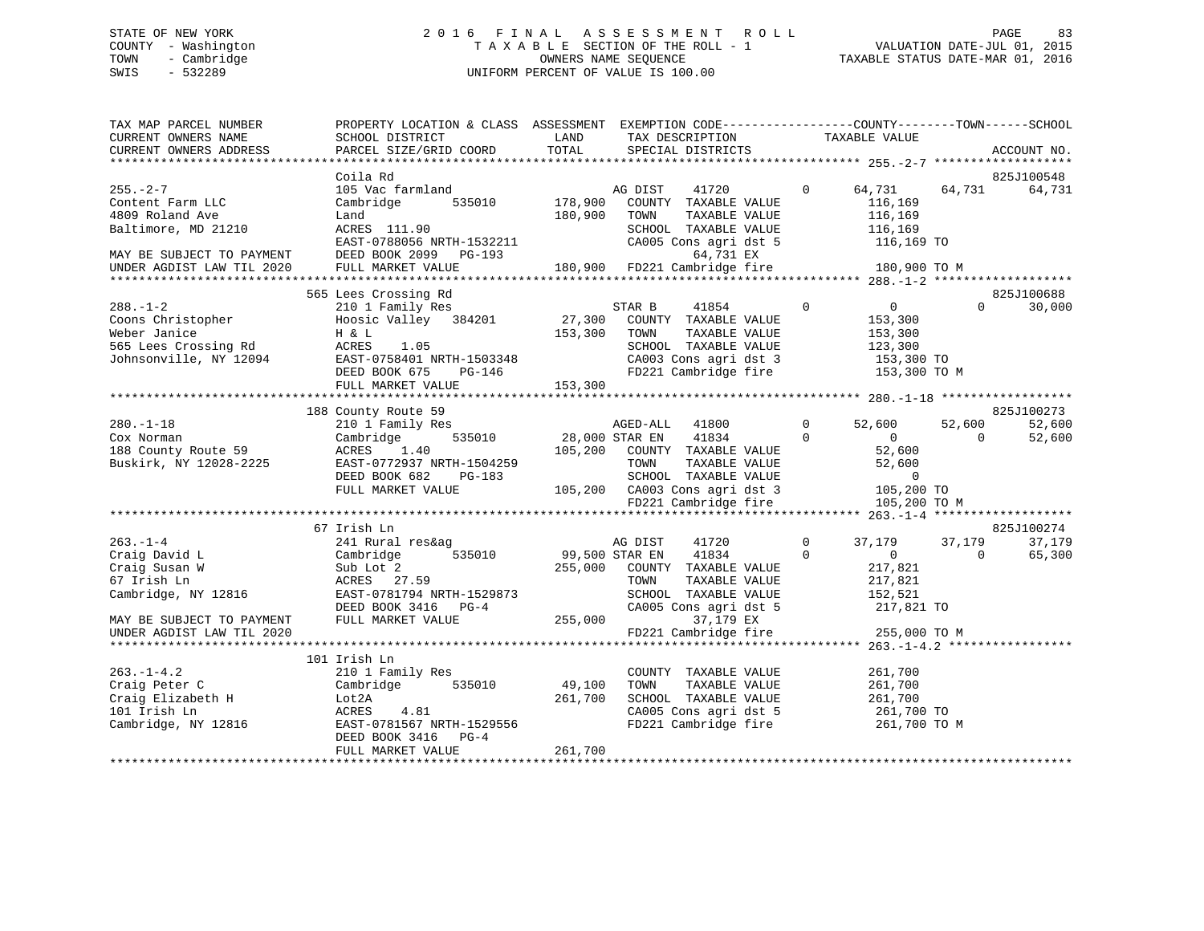### STATE OF NEW YORK 2 0 1 6 F I N A L A S S E S S M E N T R O L L PAGE 83 COUNTY - Washington T A X A B L E SECTION OF THE ROLL - 1 VALUATION DATE-JUL 01, 2015 TOWN - Cambridge OWNERS NAME SEQUENCE TAXABLE STATUS DATE-MAR 01, 2016 SWIS - 532289 UNIFORM PERCENT OF VALUE IS 100.00

| TAX MAP PARCEL NUMBER<br>CURRENT OWNERS NAME<br>CURRENT OWNERS ADDRESS                                                       | PROPERTY LOCATION & CLASS ASSESSMENT EXEMPTION CODE----------------COUNTY-------TOWN------SCHOOL<br>SCHOOL DISTRICT<br><b>Example 12</b> LAND<br>PARCEL SIZE/GRID COORD                                                                                                                                                                                           | TOTAL             | TAX DESCRIPTION TAXABLE VALUE<br>SPECIAL DISTRICTS                                                                                                                                                                   |                                |                                                                                |                    | ACCOUNT NO.                    |
|------------------------------------------------------------------------------------------------------------------------------|-------------------------------------------------------------------------------------------------------------------------------------------------------------------------------------------------------------------------------------------------------------------------------------------------------------------------------------------------------------------|-------------------|----------------------------------------------------------------------------------------------------------------------------------------------------------------------------------------------------------------------|--------------------------------|--------------------------------------------------------------------------------|--------------------|--------------------------------|
|                                                                                                                              | Coila Rd                                                                                                                                                                                                                                                                                                                                                          |                   |                                                                                                                                                                                                                      |                                |                                                                                |                    | 825J100548                     |
| $255. - 2 - 7$<br>Content Farm LLC<br>4809 Roland Ave<br>Baltimore, MD 21210<br>MAY BE SUBJECT TO PAYMENT                    | 105 Vac farmland<br>Cambridge<br>Land<br>ACRES 111.90<br>EAST-0788056 NRTH-1532211 CA005 Cons agri dst 5<br>DEED BOOK 2099 PG-193 64,731 EX<br>FULL MARKET VALUE 180,900 FD221 Cambridge fire                                                                                                                                                                     | 180,900 TOWN      | 41720 0 64,731 64,731<br>AG DIST<br>535010 178,900 COUNTY TAXABLE VALUE<br>TAXABLE VALUE<br>SCHOOL TAXABLE VALUE 116,169<br>CA005 Cons agri dst 5                                                                    |                                | 116,169<br>116,169<br>116,169 TO                                               |                    | 64,731                         |
| UNDER AGDIST LAW TIL 2020                                                                                                    |                                                                                                                                                                                                                                                                                                                                                                   |                   |                                                                                                                                                                                                                      |                                | 180,900 TO M                                                                   |                    |                                |
|                                                                                                                              |                                                                                                                                                                                                                                                                                                                                                                   |                   |                                                                                                                                                                                                                      |                                |                                                                                |                    |                                |
| $288. - 1 - 2$<br>Coons Christopher<br>Weber Janice                                                                          | 565 Lees Crossing Rd<br>210 1 Family Res<br>Hoosic Valley 384201 27,300 COUNTY TAXABLE VALUE<br>Weber Janice $\begin{array}{ccc}\n\text{H} & \&text{L} & \quad 153,300 \\ \text{565} & \text{Lees Crossing Rd} & \text{ACRES} & 1.05 \\ \text{Johnsonville, NY } 12094 & \text{EAST}-0758401 NRTH-1503348 \\ & \text{DEED BOK } 675 & \text{PG}-146\n\end{array}$ | 153,300 TOWN      | $\overline{0}$<br>TAXABLE VALUE<br>SCHOOL TAXABLE VALUE<br>CA003 Cons agri dst 3 153,300 TO<br>FD221 Cambridge fire                                                                                                  |                                | $\overline{0}$<br>153,300<br>153,300<br>123,300<br>153,300 TO M                | $\Omega$           | 825J100688<br>30,000           |
|                                                                                                                              | FULL MARKET VALUE                                                                                                                                                                                                                                                                                                                                                 | 153,300           |                                                                                                                                                                                                                      |                                |                                                                                |                    |                                |
|                                                                                                                              |                                                                                                                                                                                                                                                                                                                                                                   |                   |                                                                                                                                                                                                                      |                                |                                                                                |                    |                                |
| $280. - 1 - 18$<br>Cox Norman<br>188 County Route 59<br>Buskirk, NY 12028-2225                                               | 188 County Route 59<br>210 1 Family Res<br>Cambridge<br>ACRES 1.40<br>EAST-0772937 NRTH-1504259<br>DEED BOOK 682 PG-183                                                                                                                                                                                                                                           |                   | AGED-ALL 41800<br>535010 28,000 STAR EN 41834<br>$\overline{0}$<br>105,200 COUNTY TAXABLE VALUE<br>-1504259 TOWN TAXABLE VALUE 52,600<br>PG-183 SCHOOL TAXABLE VALUE 52,600<br>105,200 CA003 Cons agri dst 3 105,200 | $\Omega$                       | 52,600<br>$\overline{0}$<br>52,600                                             | 52,600<br>$\Omega$ | 825J100273<br>52,600<br>52,600 |
|                                                                                                                              | FULL MARKET VALUE                                                                                                                                                                                                                                                                                                                                                 |                   | FD221 Cambridge fire                                                                                                                                                                                                 |                                | 105,200 TO<br>105,200 TO M                                                     |                    |                                |
|                                                                                                                              |                                                                                                                                                                                                                                                                                                                                                                   |                   |                                                                                                                                                                                                                      |                                |                                                                                |                    |                                |
|                                                                                                                              | 67 Irish Ln                                                                                                                                                                                                                                                                                                                                                       |                   |                                                                                                                                                                                                                      |                                |                                                                                |                    | 825J100274                     |
| 263.-1-4<br>Craig David L<br>Craig Susan W<br>Craig Chairn                                                                   | 241 Rural res&ag<br>Cambridge<br>535010<br>Sub Lot 2<br>ACRES 27.59<br>Cambridge, NY 12816 EAST-0781794 NRTH-1529873<br>DEED BOOK 3416 PG-4                                                                                                                                                                                                                       |                   | AG DIST<br>41720<br>99,500 STAR EN 41834<br>255,000 COUNTY TAXABLE VALUE<br>TOWN<br>TAXABLE VALUE<br>SCHOOL TAXABLE VALUE<br>CA005 Cons agri dst 5                                                                   | $\mathbf{0}$<br>$\overline{0}$ | 37,179 37,179<br>$\overline{0}$<br>217,821<br>217,821<br>152,521<br>217,821 TO | $\overline{0}$     | 37,179<br>65,300               |
| MAY BE SUBJECT TO PAYMENT<br>UNDER AGDIST LAW TIL 2020                                                                       | FULL MARKET VALUE                                                                                                                                                                                                                                                                                                                                                 | 255,000           | 37,179 EX<br>FD221 Cambridge fire                                                                                                                                                                                    |                                | 255,000 TO M                                                                   |                    |                                |
|                                                                                                                              |                                                                                                                                                                                                                                                                                                                                                                   |                   |                                                                                                                                                                                                                      |                                |                                                                                |                    |                                |
| $263. -1 - 4.2$<br>Craig Peter C<br>Craig Elizabeth H<br>101 Irish In<br>101 Irish Ln<br>101 Irish Ln<br>Cambridge, NY 12816 | 101 Irish Ln<br>210 1 Family Res<br>Cambridge 535010<br>Lot2A<br>ACRES<br>4.81<br>EAST-0781567 NRTH-1529556<br>DEED BOOK 3416 PG-4                                                                                                                                                                                                                                | 49,100<br>261,700 | COUNTY TAXABLE VALUE<br>TOWN<br>TAXABLE VALUE<br>SCHOOL TAXABLE VALUE 261,700<br>CA005 Cons agri dst 5 261,700 TO<br>FD221 Cambridge fire 261,700 TO M                                                               |                                | 261,700<br>261,700<br>261,700 TO                                               |                    |                                |
|                                                                                                                              | FULL MARKET VALUE                                                                                                                                                                                                                                                                                                                                                 | 261,700           |                                                                                                                                                                                                                      |                                |                                                                                |                    |                                |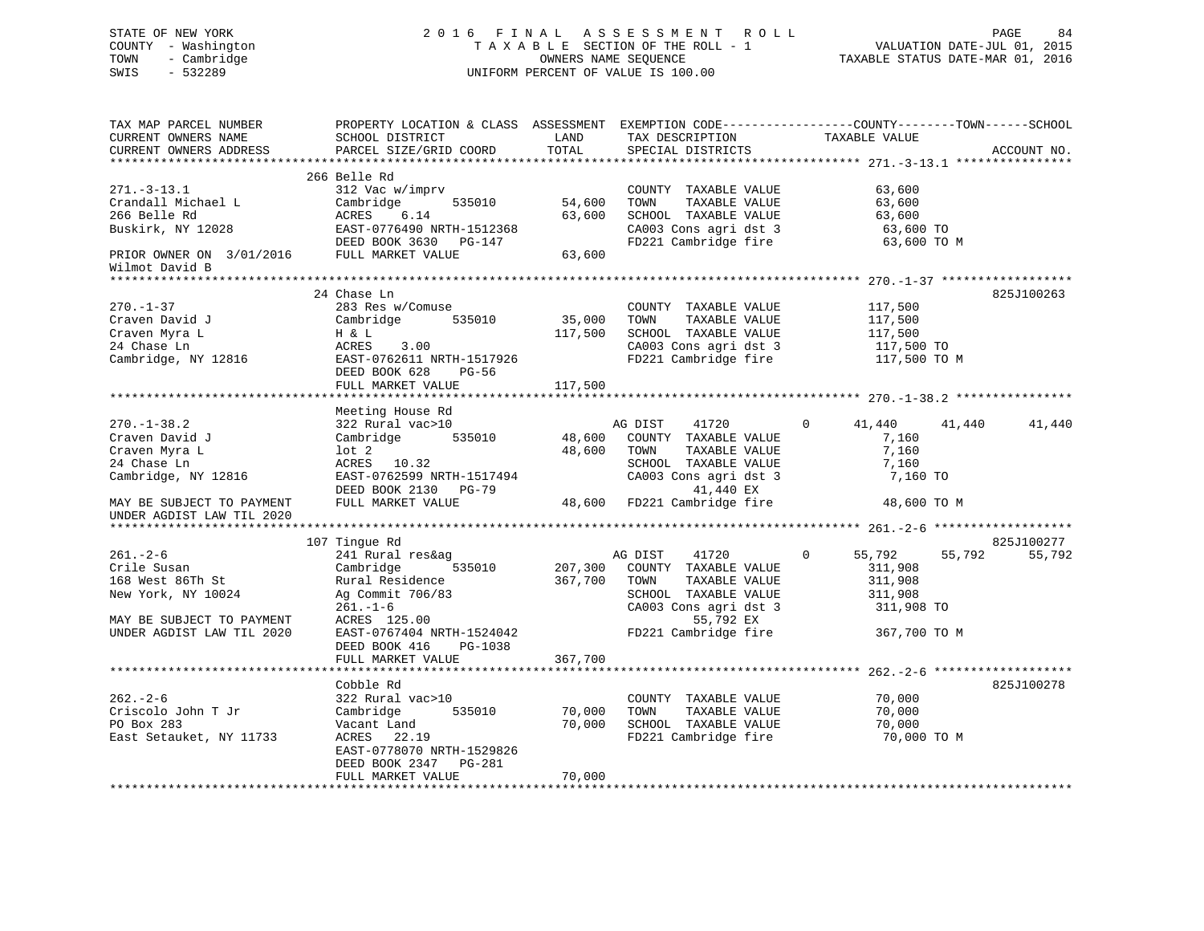### STATE OF NEW YORK 2 0 1 6 F I N A L A S S E S S M E N T R O L L PAGE 84 COUNTY - Washington T A X A B L E SECTION OF THE ROLL - 1 VALUATION DATE-JUL 01, 2015 TOWN - Cambridge OWNERS NAME SEQUENCE TAXABLE STATUS DATE-MAR 01, 2016 SWIS - 532289 UNIFORM PERCENT OF VALUE IS 100.00

| TAX MAP PARCEL NUMBER<br>CURRENT OWNERS NAME<br>CURRENT OWNERS ADDRESS                                                            | PROPERTY LOCATION & CLASS ASSESSMENT<br>SCHOOL DISTRICT<br>PARCEL SIZE/GRID COORD                                                                                                              | LAND<br>TOTAL                 | TAX DESCRIPTION<br>SPECIAL DISTRICTS                                                                                                                           | EXEMPTION CODE-----------------COUNTY-------TOWN------SCHOOL<br>TAXABLE VALUE          | ACCOUNT NO. |
|-----------------------------------------------------------------------------------------------------------------------------------|------------------------------------------------------------------------------------------------------------------------------------------------------------------------------------------------|-------------------------------|----------------------------------------------------------------------------------------------------------------------------------------------------------------|----------------------------------------------------------------------------------------|-------------|
|                                                                                                                                   |                                                                                                                                                                                                |                               |                                                                                                                                                                |                                                                                        |             |
| $271. - 3 - 13.1$<br>Crandall Michael L<br>266 Belle Rd<br>Buskirk, NY 12028                                                      | 266 Belle Rd<br>312 Vac w/imprv<br>Cambridge<br>535010<br>ACRES<br>6.14<br>EAST-0776490 NRTH-1512368<br>DEED BOOK 3630 PG-147                                                                  | 54,600<br>63,600              | COUNTY TAXABLE VALUE<br>TAXABLE VALUE<br>TOWN<br>SCHOOL TAXABLE VALUE<br>CA003 Cons agri dst 3<br>FD221 Cambridge fire                                         | 63,600<br>63,600<br>63,600<br>63,600 TO<br>63,600 TO M                                 |             |
| PRIOR OWNER ON 3/01/2016<br>Wilmot David B                                                                                        | FULL MARKET VALUE                                                                                                                                                                              | 63,600                        |                                                                                                                                                                |                                                                                        |             |
|                                                                                                                                   |                                                                                                                                                                                                |                               |                                                                                                                                                                |                                                                                        |             |
| $270. - 1 - 37$<br>Craven David J<br>Craven Myra L<br>24 Chase Ln<br>Cambridge, NY 12816                                          | 24 Chase Ln<br>283 Res w/Comuse<br>Cambridge<br>535010<br>H & L<br>ACRES<br>3.00<br>EAST-0762611 NRTH-1517926<br>DEED BOOK 628<br>$PG-56$                                                      | 35,000<br>117,500             | COUNTY TAXABLE VALUE<br>TOWN<br>TAXABLE VALUE<br>SCHOOL TAXABLE VALUE<br>CA003 Cons agri dst 3<br>FD221 Cambridge fire                                         | 117,500<br>117,500<br>117,500<br>117,500 TO<br>117,500 TO M                            | 825J100263  |
|                                                                                                                                   | FULL MARKET VALUE                                                                                                                                                                              | 117,500                       |                                                                                                                                                                |                                                                                        |             |
|                                                                                                                                   | **********************                                                                                                                                                                         | *********                     |                                                                                                                                                                | *********************** 270.-1-38.2 **********                                         |             |
| $270. - 1 - 38.2$<br>Craven David J<br>Craven Myra L<br>24 Chase Ln<br>Cambridge, NY 12816<br>MAY BE SUBJECT TO PAYMENT           | Meeting House Rd<br>322 Rural vac>10<br>535010<br>Cambridge<br>$1$ ot $2$<br>ACRES 10.32<br>EAST-0762599 NRTH-1517494<br>DEED BOOK 2130 PG-79<br>FULL MARKET VALUE                             | 48,600<br>48,600              | AG DIST<br>41720<br>COUNTY TAXABLE VALUE<br>TAXABLE VALUE<br>TOWN<br>SCHOOL TAXABLE VALUE<br>CA003 Cons agri dst 3<br>41,440 EX<br>48,600 FD221 Cambridge fire | $\mathbf{0}$<br>41,440<br>41,440<br>7,160<br>7,160<br>7,160<br>7,160 TO<br>48,600 TO M | 41,440      |
| UNDER AGDIST LAW TIL 2020                                                                                                         |                                                                                                                                                                                                |                               |                                                                                                                                                                |                                                                                        |             |
|                                                                                                                                   | 107 Tingue Rd                                                                                                                                                                                  |                               |                                                                                                                                                                |                                                                                        | 825J100277  |
| $261. - 2 - 6$<br>Crile Susan<br>168 West 86Th St<br>New York, NY 10024<br>MAY BE SUBJECT TO PAYMENT<br>UNDER AGDIST LAW TIL 2020 | 241 Rural res&ag<br>Cambridge<br>535010<br>Rural Residence<br>Ag Commit 706/83<br>$261. - 1 - 6$<br>ACRES 125.00<br>EAST-0767404 NRTH-1524042<br>DEED BOOK 416<br>PG-1038<br>FULL MARKET VALUE | 207,300<br>367,700<br>367,700 | 41720<br>AG DIST<br>COUNTY TAXABLE VALUE<br>TOWN<br>TAXABLE VALUE<br>SCHOOL TAXABLE VALUE<br>CA003 Cons agri dst 3<br>55,792 EX<br>FD221 Cambridge fire        | 55,792<br>0<br>55,792<br>311,908<br>311,908<br>311,908<br>311,908 TO<br>367,700 TO M   | 55,792      |
|                                                                                                                                   | *******************                                                                                                                                                                            | **********                    |                                                                                                                                                                | *********************** 262.-2-6 ****************                                      |             |
| $262 - 2 - 6$<br>Criscolo John T Jr<br>PO Box 283<br>East Setauket, NY 11733                                                      | Cobble Rd<br>322 Rural vac>10<br>535010<br>Cambridge<br>Vacant Land<br>ACRES<br>22.19<br>EAST-0778070 NRTH-1529826<br>DEED BOOK 2347 PG-281<br>FULL MARKET VALUE                               | 70,000<br>70,000<br>70,000    | COUNTY TAXABLE VALUE<br>TAXABLE VALUE<br>TOWN<br>SCHOOL TAXABLE VALUE<br>FD221 Cambridge fire                                                                  | 70,000<br>70,000<br>70,000<br>70,000 TO M                                              | 825J100278  |
|                                                                                                                                   |                                                                                                                                                                                                |                               |                                                                                                                                                                |                                                                                        |             |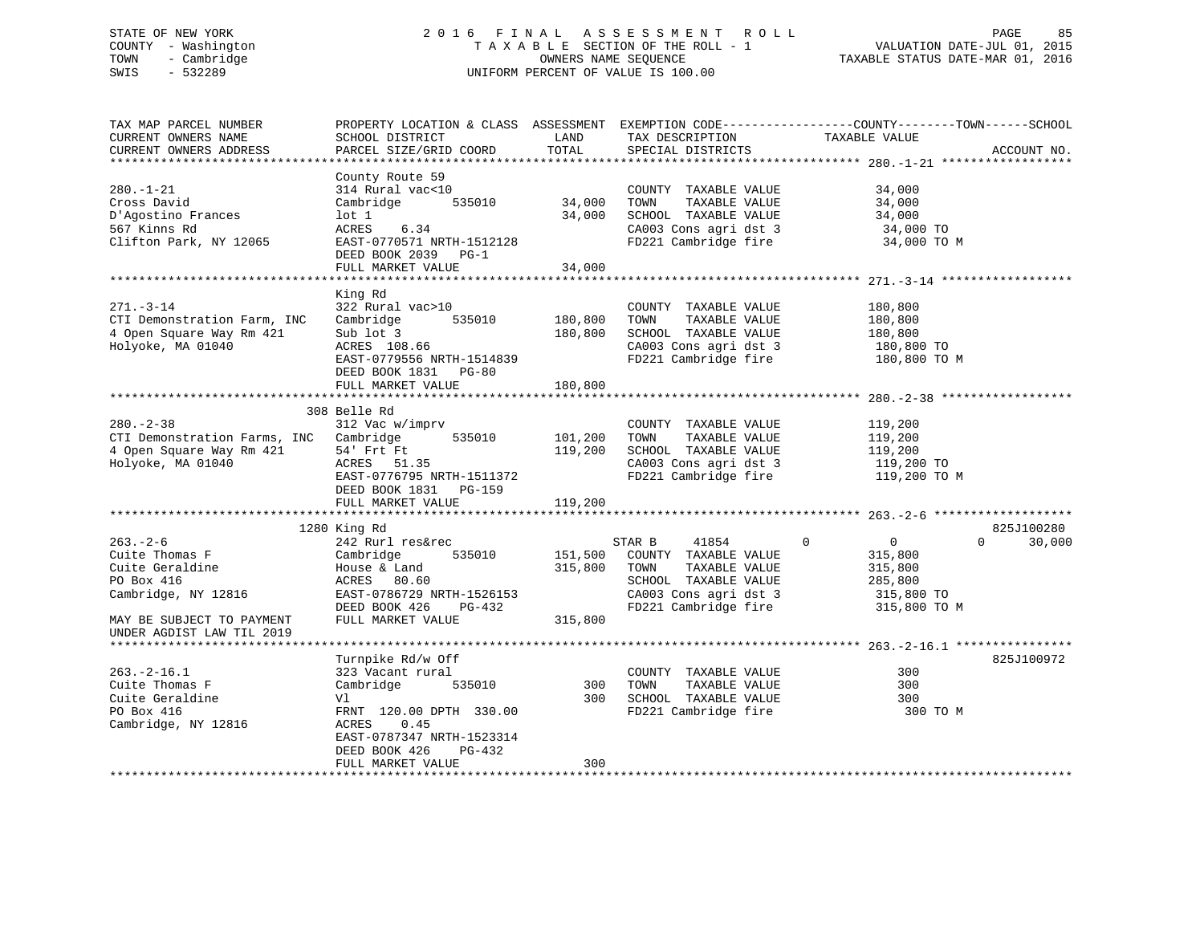### STATE OF NEW YORK 2 0 1 6 F I N A L A S S E S S M E N T R O L L PAGE 85 COUNTY - Washington T A X A B L E SECTION OF THE ROLL - 1 VALUATION DATE-JUL 01, 2015 TOWN - Cambridge TAXABLE STATUS DATE-MAR 01, 2016 SWIS - 532289 UNIFORM PERCENT OF VALUE IS 100.00

TAX MAP PARCEL NUMBER PROPERTY LOCATION & CLASS ASSESSMENT EXEMPTION CODE------------------COUNTY--------TOWN------SCHOOL CURRENT OWNERS NAME SCHOOL DISTRICT THE LAND TAX DESCRIPTION TAXABLE VALUE CURRENT OWNERS ADDRESS PARCEL SIZE/GRID COORD TOTAL SPECIAL DISTRICTS ACCOUNT NO. \*\*\*\*\*\*\*\*\*\*\*\*\*\*\*\*\*\*\*\*\*\*\*\*\*\*\*\*\*\*\*\*\*\*\*\*\*\*\*\*\*\*\*\*\*\*\*\*\*\*\*\*\*\*\*\*\*\*\*\*\*\*\*\*\*\*\*\*\*\*\*\*\*\*\*\*\*\*\*\*\*\*\*\*\*\*\*\*\*\*\*\*\*\*\*\*\*\*\*\*\*\*\* 280.-1-21 \*\*\*\*\*\*\*\*\*\*\*\*\*\*\*\*\*\* County Route 59 280.-1-21 314 Rural vac<10 COUNTY TAXABLE VALUE 34,000 Cross David Cambridge 535010 34,000 TOWN TAXABLE VALUE 34,000 D'Agostino Frances lot 1 34,000 SCHOOL TAXABLE VALUE 34,000 567 Kinns Rd ACRES 6.34 CA003 Cons agri dst 3 34,000 TO Clifton Park, NY 12065 EAST-0770571 NRTH-1512128 FD221 Cambridge fire 34,000 TO M DEED BOOK 2039 PG-1FULL MARKET VALUE 34,000 \*\*\*\*\*\*\*\*\*\*\*\*\*\*\*\*\*\*\*\*\*\*\*\*\*\*\*\*\*\*\*\*\*\*\*\*\*\*\*\*\*\*\*\*\*\*\*\*\*\*\*\*\*\*\*\*\*\*\*\*\*\*\*\*\*\*\*\*\*\*\*\*\*\*\*\*\*\*\*\*\*\*\*\*\*\*\*\*\*\*\*\*\*\*\*\*\*\*\*\*\*\*\* 271.-3-14 \*\*\*\*\*\*\*\*\*\*\*\*\*\*\*\*\*\* King Rd 271.-3-14 322 Rural vac>10 COUNTY TAXABLE VALUE 180,800 CTI Demonstration Farm, INC Cambridge 535010 180,800 TOWN TAXABLE VALUE 180,800 4 Open Square Way Rm 421 Sub lot 3 180,800 SCHOOL TAXABLE VALUE 180,800 Holyoke, MA 01040 ACRES 108.66 CA003 Cons agri dst 3 180,800 TO EAST-0779556 NRTH-1514839 FD221 Cambridge fire 180,800 TO M DEED BOOK 1831 PG-80FULL MARKET VALUE 180,800 \*\*\*\*\*\*\*\*\*\*\*\*\*\*\*\*\*\*\*\*\*\*\*\*\*\*\*\*\*\*\*\*\*\*\*\*\*\*\*\*\*\*\*\*\*\*\*\*\*\*\*\*\*\*\*\*\*\*\*\*\*\*\*\*\*\*\*\*\*\*\*\*\*\*\*\*\*\*\*\*\*\*\*\*\*\*\*\*\*\*\*\*\*\*\*\*\*\*\*\*\*\*\* 280.-2-38 \*\*\*\*\*\*\*\*\*\*\*\*\*\*\*\*\*\* 308 Belle Rd 280.-2-38 312 Vac w/imprv COUNTY TAXABLE VALUE 119,200 CTI Demonstration Farms, INC Cambridge 535010 101,200 TOWN TAXABLE VALUE 119,200 4 Open Square Way Rm 421 54' Frt Ft 119,200 SCHOOL TAXABLE VALUE 119,200 Holyoke, MA 01040 ACRES 51.35 CA003 Cons agri dst 3 119,200 TO EAST-0776795 NRTH-1511372 FD221 Cambridge fire 119,200 TO M DEED BOOK 1831 PG-159 FULL MARKET VALUE 119,200 \*\*\*\*\*\*\*\*\*\*\*\*\*\*\*\*\*\*\*\*\*\*\*\*\*\*\*\*\*\*\*\*\*\*\*\*\*\*\*\*\*\*\*\*\*\*\*\*\*\*\*\*\*\*\*\*\*\*\*\*\*\*\*\*\*\*\*\*\*\*\*\*\*\*\*\*\*\*\*\*\*\*\*\*\*\*\*\*\*\*\*\*\*\*\*\*\*\*\*\*\*\*\* 263.-2-6 \*\*\*\*\*\*\*\*\*\*\*\*\*\*\*\*\*\*\* 1280 King Rd 825J100280 263.-2-6 242 Rurl res&rec STAR B 41854 0 0 0 30,000 Cuite Thomas F Cambridge 535010 151,500 COUNTY TAXABLE VALUE 315,800 Cuite Geraldine House & Land 315,800 TOWN TAXABLE VALUE 315,800 PO Box 416 ACRES 80.60 SCHOOL TAXABLE VALUE 285,800 Cambridge, NY 12816 EAST-0786729 NRTH-1526153 CA003 Cons agri dst 3 315,800 TO DEED BOOK 426 PG-432 FD221 Cambridge fire 315,800 TO M MAY BE SUBJECT TO PAYMENT FULL MARKET VALUE 315,800 UNDER AGDIST LAW TIL 2019 \*\*\*\*\*\*\*\*\*\*\*\*\*\*\*\*\*\*\*\*\*\*\*\*\*\*\*\*\*\*\*\*\*\*\*\*\*\*\*\*\*\*\*\*\*\*\*\*\*\*\*\*\*\*\*\*\*\*\*\*\*\*\*\*\*\*\*\*\*\*\*\*\*\*\*\*\*\*\*\*\*\*\*\*\*\*\*\*\*\*\*\*\*\*\*\*\*\*\*\*\*\*\* 263.-2-16.1 \*\*\*\*\*\*\*\*\*\*\*\*\*\*\*\*Turnpike Rd/w Off 825J100972 263.-2-16.1 323 Vacant rural COUNTY TAXABLE VALUE 300Cuite Thomas F Cambridge 535010 300 TOWN TAXABLE VALUE 300 Cuite Geraldine Vl 300 SCHOOL TAXABLE VALUE 300300 TO M PO Box 416 FRNT 120.00 DPTH 330.00 FD221 Cambridge fire Cambridge, NY 12816 ACRES 0.45 EAST-0787347 NRTH-1523314 DEED BOOK 426 PG-432FULL MARKET VALUE 300 \*\*\*\*\*\*\*\*\*\*\*\*\*\*\*\*\*\*\*\*\*\*\*\*\*\*\*\*\*\*\*\*\*\*\*\*\*\*\*\*\*\*\*\*\*\*\*\*\*\*\*\*\*\*\*\*\*\*\*\*\*\*\*\*\*\*\*\*\*\*\*\*\*\*\*\*\*\*\*\*\*\*\*\*\*\*\*\*\*\*\*\*\*\*\*\*\*\*\*\*\*\*\*\*\*\*\*\*\*\*\*\*\*\*\*\*\*\*\*\*\*\*\*\*\*\*\*\*\*\*\*\*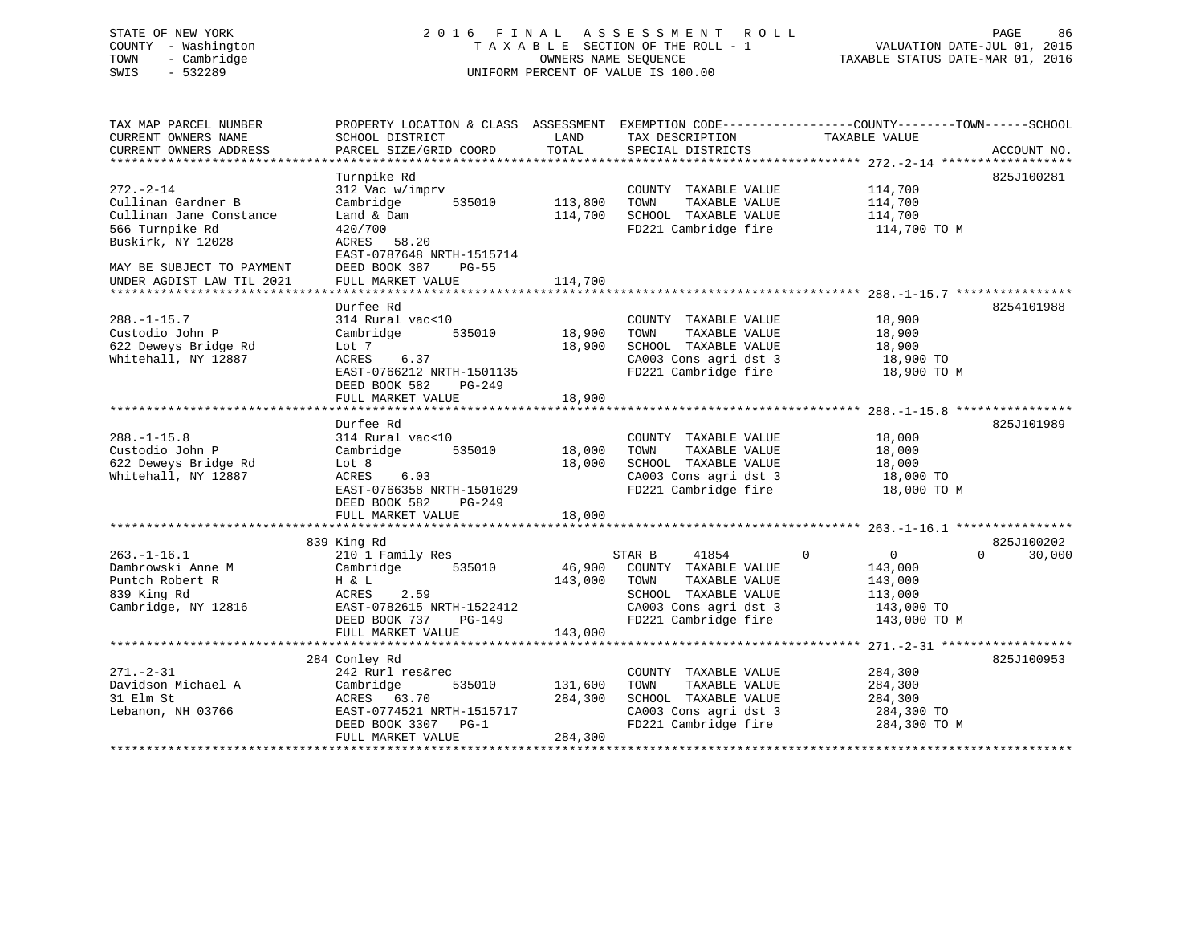#### STATE OF NEW YORK 2 0 1 6 F I N A L A S S E S S M E N T R O L L PAGE 86COUNTY - Washington T A X A B L E SECTION OF THE ROLL - 1 VALUATION DATE-JUL 01, 2015 TOWN - Cambridge OWNERS NAME SEQUENCE TAXABLE STATUS DATE-MAR 01, 2016 SWIS - 532289 UNIFORM PERCENT OF VALUE IS 100.00

VALUATION DATE-JUL 01, 2015

| TAX MAP PARCEL NUMBER     | PROPERTY LOCATION & CLASS ASSESSMENT |         | EXEMPTION CODE-----------------COUNTY-------TOWN------SCHOOL |                               |                    |
|---------------------------|--------------------------------------|---------|--------------------------------------------------------------|-------------------------------|--------------------|
| CURRENT OWNERS NAME       | SCHOOL DISTRICT                      | LAND    | TAX DESCRIPTION                                              | TAXABLE VALUE                 |                    |
| CURRENT OWNERS ADDRESS    | PARCEL SIZE/GRID COORD               | TOTAL   | SPECIAL DISTRICTS                                            |                               | ACCOUNT NO.        |
|                           |                                      |         |                                                              |                               |                    |
|                           | Turnpike Rd                          |         |                                                              |                               | 825J100281         |
| $272. - 2 - 14$           | 312 Vac w/imprv                      |         | COUNTY TAXABLE VALUE                                         | 114,700                       |                    |
| Cullinan Gardner B        | 535010<br>Cambridge                  | 113,800 | TOWN<br>TAXABLE VALUE                                        | 114,700                       |                    |
| Cullinan Jane Constance   | Land & Dam                           | 114,700 | SCHOOL TAXABLE VALUE                                         | 114,700                       |                    |
| 566 Turnpike Rd           | 420/700                              |         | FD221 Cambridge fire                                         | 114,700 TO M                  |                    |
| Buskirk, NY 12028         | ACRES 58.20                          |         |                                                              |                               |                    |
|                           | EAST-0787648 NRTH-1515714            |         |                                                              |                               |                    |
| MAY BE SUBJECT TO PAYMENT | DEED BOOK 387<br>PG-55               |         |                                                              |                               |                    |
| UNDER AGDIST LAW TIL 2021 | FULL MARKET VALUE                    | 114,700 |                                                              |                               |                    |
|                           |                                      |         |                                                              |                               |                    |
|                           | Durfee Rd                            |         |                                                              |                               | 8254101988         |
|                           |                                      |         |                                                              |                               |                    |
| $288. - 1 - 15.7$         | 314 Rural vac<10                     |         | COUNTY TAXABLE VALUE                                         | 18,900                        |                    |
| Custodio John P           | 535010<br>Cambridge                  | 18,900  | TAXABLE VALUE<br>TOWN                                        | 18,900                        |                    |
| 622 Deweys Bridge Rd      | Lot 7                                | 18,900  | SCHOOL TAXABLE VALUE                                         | 18,900                        |                    |
| Whitehall, NY 12887       | 6.37<br>ACRES                        |         | CA003 Cons agri dst 3                                        | 18,900 TO                     |                    |
|                           | EAST-0766212 NRTH-1501135            |         | FD221 Cambridge fire                                         | 18,900 TO M                   |                    |
|                           | DEED BOOK 582<br>PG-249              |         |                                                              |                               |                    |
|                           | FULL MARKET VALUE                    | 18,900  |                                                              |                               |                    |
|                           |                                      |         |                                                              |                               |                    |
|                           | Durfee Rd                            |         |                                                              |                               | 825J101989         |
| $288. - 1 - 15.8$         | 314 Rural vac<10                     |         | COUNTY TAXABLE VALUE                                         | 18,000                        |                    |
| Custodio John P           | Cambridge<br>535010                  | 18,000  | TOWN<br>TAXABLE VALUE                                        | 18,000                        |                    |
| 622 Deweys Bridge Rd      | Lot 8                                | 18,000  | SCHOOL TAXABLE VALUE                                         | 18,000                        |                    |
| Whitehall, NY 12887       | 6.03<br>ACRES                        |         | CA003 Cons agri dst 3                                        | 18,000 TO                     |                    |
|                           | EAST-0766358 NRTH-1501029            |         | FD221 Cambridge fire                                         | 18,000 TO M                   |                    |
|                           | DEED BOOK 582<br>PG-249              |         |                                                              |                               |                    |
|                           | FULL MARKET VALUE                    | 18,000  |                                                              |                               |                    |
|                           |                                      |         |                                                              |                               |                    |
|                           | 839 King Rd                          |         |                                                              |                               | 825J100202         |
| $263. - 1 - 16.1$         | 210 1 Family Res                     |         | STAR B<br>41854                                              | $\mathbf 0$<br>$\overline{0}$ | $\Omega$<br>30,000 |
| Dambrowski Anne M         | Cambridge<br>535010                  | 46,900  | COUNTY TAXABLE VALUE                                         | 143,000                       |                    |
|                           |                                      |         |                                                              |                               |                    |
| Puntch Robert R           | H & L                                | 143,000 | TOWN<br>TAXABLE VALUE                                        | 143,000                       |                    |
| 839 King Rd               | 2.59<br>ACRES                        |         | SCHOOL TAXABLE VALUE                                         | 113,000                       |                    |
| Cambridge, NY 12816       | EAST-0782615 NRTH-1522412            |         | CA003 Cons agri dst 3                                        | 143,000 TO                    |                    |
|                           | DEED BOOK 737<br>PG-149              |         | FD221 Cambridge fire                                         | 143,000 TO M                  |                    |
|                           | FULL MARKET VALUE                    | 143,000 |                                                              |                               |                    |
|                           |                                      |         |                                                              |                               |                    |
|                           | 284 Conley Rd                        |         |                                                              |                               | 825J100953         |
| $271. - 2 - 31$           | 242 Rurl res&rec                     |         | COUNTY TAXABLE VALUE                                         | 284,300                       |                    |
| Davidson Michael A        | 535010<br>Cambridge                  | 131,600 | TOWN<br>TAXABLE VALUE                                        | 284,300                       |                    |
| 31 Elm St                 | ACRES 63.70                          | 284,300 | SCHOOL TAXABLE VALUE                                         | 284,300                       |                    |
| Lebanon, NH 03766         | EAST-0774521 NRTH-1515717            |         | CA003 Cons agri dst 3                                        | 284,300 TO                    |                    |
|                           | DEED BOOK 3307 PG-1                  |         | FD221 Cambridge fire                                         | 284,300 TO M                  |                    |
|                           | FULL MARKET VALUE                    | 284,300 |                                                              |                               |                    |
|                           |                                      |         |                                                              |                               |                    |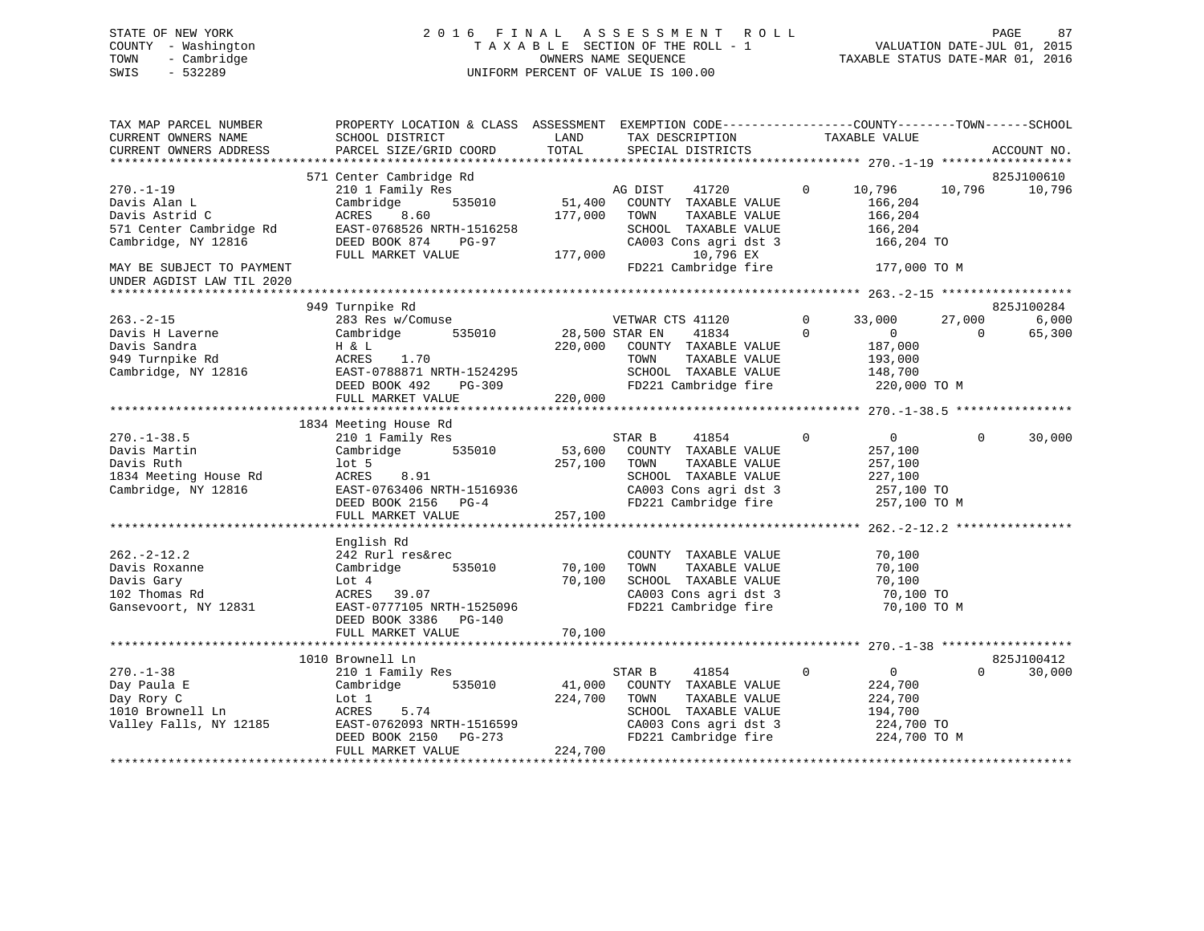#### STATE OF NEW YORK 2 0 1 6 F I N A L A S S E S S M E N T R O L L PAGE 87COUNTY - Washington T A X A B L E SECTION OF THE ROLL - 1<br>TOWN - Cambridge T A ME SEQUENCE TOWN - Cambridge OWNERS NAME SEQUENCE TAXABLE STATUS DATE-MAR 01, 2016 SWIS - 532289 UNIFORM PERCENT OF VALUE IS 100.00

| TAX MAP PARCEL NUMBER     | PROPERTY LOCATION & CLASS ASSESSMENT EXEMPTION CODE---------------COUNTY-------TOWN-----SCHOOL |                |                                               |                |                  |          |             |
|---------------------------|------------------------------------------------------------------------------------------------|----------------|-----------------------------------------------|----------------|------------------|----------|-------------|
| CURRENT OWNERS NAME       | SCHOOL DISTRICT                                                                                | LAND           | TAX DESCRIPTION                               |                | TAXABLE VALUE    |          |             |
| CURRENT OWNERS ADDRESS    | PARCEL SIZE/GRID COORD                                                                         | TOTAL          | SPECIAL DISTRICTS                             |                |                  |          | ACCOUNT NO. |
|                           |                                                                                                |                |                                               |                |                  |          |             |
|                           | 571 Center Cambridge Rd                                                                        |                |                                               |                |                  |          | 825J100610  |
| $270. - 1 - 19$           | 210 1 Family Res                                                                               |                | AG DIST<br>41720                              | $\overline{0}$ | 10,796           | 10,796   | 10,796      |
| Davis Alan L              | 535010<br>Cambridge                                                                            | 51,400         | COUNTY TAXABLE VALUE                          |                | 166,204          |          |             |
| Davis Astrid C            | ACRES<br>8.60                                                                                  | 177,000        | TAXABLE VALUE<br>TOWN                         |                | 166,204          |          |             |
| 571 Center Cambridge Rd   | EAST-0768526 NRTH-1516258                                                                      |                | SCHOOL TAXABLE VALUE                          |                | 166,204          |          |             |
| Cambridge, NY 12816       | DEED BOOK 874<br>PG-97                                                                         |                | CA003 Cons agri dst 3                         |                | 166,204 TO       |          |             |
|                           | FULL MARKET VALUE                                                                              | 177,000        | 10,796 EX                                     |                |                  |          |             |
| MAY BE SUBJECT TO PAYMENT |                                                                                                |                | FD221 Cambridge fire 177,000 TO M             |                |                  |          |             |
| UNDER AGDIST LAW TIL 2020 |                                                                                                |                |                                               |                |                  |          |             |
|                           |                                                                                                |                |                                               |                |                  |          |             |
|                           | 949 Turnpike Rd                                                                                |                |                                               |                |                  |          | 825J100284  |
| $263 - 2 - 15$            | 283 Res w/Comuse                                                                               |                | VETWAR CTS 41120                              | $\mathbf{0}$   | 33,000           | 27,000   | 6,000       |
| Davis H Laverne           | 535010<br>Cambridge                                                                            | 28,500 STAR EN | 41834                                         | $\Omega$       | $\Omega$         | $\Omega$ | 65,300      |
| Davis Sandra              | H & L                                                                                          |                | 220,000 COUNTY TAXABLE VALUE                  |                | 187,000          |          |             |
| 949 Turnpike Rd           | ACRES<br>1.70                                                                                  |                | TOWN<br>TAXABLE VALUE                         |                | 193,000          |          |             |
| Cambridge, NY 12816       |                                                                                                |                | SCHOOL TAXABLE VALUE                          |                | 148,700          |          |             |
|                           | EAST-0788871 NRTH-1524295<br>DEED BOOK 492 PG-309                                              |                | FD221 Cambridge fire                          |                | 220,000 TO M     |          |             |
|                           | FULL MARKET VALUE                                                                              | 220,000        |                                               |                |                  |          |             |
|                           |                                                                                                |                |                                               |                |                  |          |             |
|                           | 1834 Meeting House Rd                                                                          |                |                                               |                |                  |          |             |
| 270.-1-38.5               | 210 1 Family Res                                                                               |                | STAR B<br>41854                               | $\mathbf{0}$   | $\overline{0}$   | $\Omega$ | 30,000      |
| Davis Martin              | 535010<br>Cambridge                                                                            |                | 53,600 COUNTY TAXABLE VALUE                   |                | 257,100          |          |             |
| Davis Ruth                | lot 5                                                                                          | 257,100        | TOWN<br>TAXABLE VALUE                         |                | 257,100          |          |             |
| 1834 Meeting House Rd     | ACRES<br>8.91                                                                                  |                | SCHOOL TAXABLE VALUE                          |                | 227,100          |          |             |
| Cambridge, NY 12816       | EAST-0763406 NRTH-1516936                                                                      |                | CA003 Cons agri dst 3                         |                | 257,100 TO       |          |             |
|                           | DEED BOOK 2156 PG-4                                                                            |                | FD221 Cambridge fire                          |                | 257,100 TO M     |          |             |
|                           | FULL MARKET VALUE                                                                              | 257,100        |                                               |                |                  |          |             |
|                           |                                                                                                |                |                                               |                |                  |          |             |
|                           | English Rd                                                                                     |                |                                               |                |                  |          |             |
| $262. - 2 - 12.2$         |                                                                                                |                |                                               |                |                  |          |             |
|                           | 242 Rurl res&rec<br>Cambridge<br>535010                                                        | 70,100         | COUNTY TAXABLE VALUE<br>TAXABLE VALUE         |                | 70,100<br>70,100 |          |             |
| Davis Roxanne             |                                                                                                | 70,100         | TOWN<br>SCHOOL TAXABLE VALUE                  |                | 70,100           |          |             |
| Davis Gary                | Lot 4                                                                                          |                |                                               |                |                  |          |             |
| 102 Thomas Rd             | ACRES 39.07                                                                                    |                | CA003 Cons agri dst 3<br>FD221 Cambridge fire |                | 70,100 TO        |          |             |
| Gansevoort, NY 12831      | EAST-0777105 NRTH-1525096                                                                      |                |                                               |                | 70,100 TO M      |          |             |
|                           | DEED BOOK 3386 PG-140                                                                          |                |                                               |                |                  |          |             |
|                           | FULL MARKET VALUE                                                                              | 70,100         |                                               |                |                  |          |             |
|                           |                                                                                                |                |                                               |                |                  |          |             |
|                           | 1010 Brownell Ln                                                                               |                |                                               |                |                  |          | 825J100412  |
| $270. - 1 - 38$           | 210 1 Family Res                                                                               |                | STAR B<br>41854                               | $\Omega$       | $\overline{0}$   | $\Omega$ | 30,000      |
| Day Paula E               | 535010<br>Cambridge                                                                            | 41,000         | COUNTY TAXABLE VALUE                          |                | 224,700          |          |             |
| Day Rory C                | Lot 1                                                                                          | 224,700        | TOWN<br>TAXABLE VALUE                         |                | 224,700          |          |             |
| 1010 Brownell Ln          | ACRES<br>5.74                                                                                  |                | SCHOOL TAXABLE VALUE                          |                | 194,700          |          |             |
| Valley Falls, NY 12185    | EAST-0762093 NRTH-1516599                                                                      |                | CA003 Cons agri dst 3<br>FD221 Cambridge fire |                | 224,700 TO       |          |             |
|                           | DEED BOOK 2150 PG-273                                                                          |                |                                               |                | 224,700 TO M     |          |             |
|                           | FULL MARKET VALUE                                                                              | 224,700        |                                               |                |                  |          |             |
|                           |                                                                                                |                |                                               |                |                  |          |             |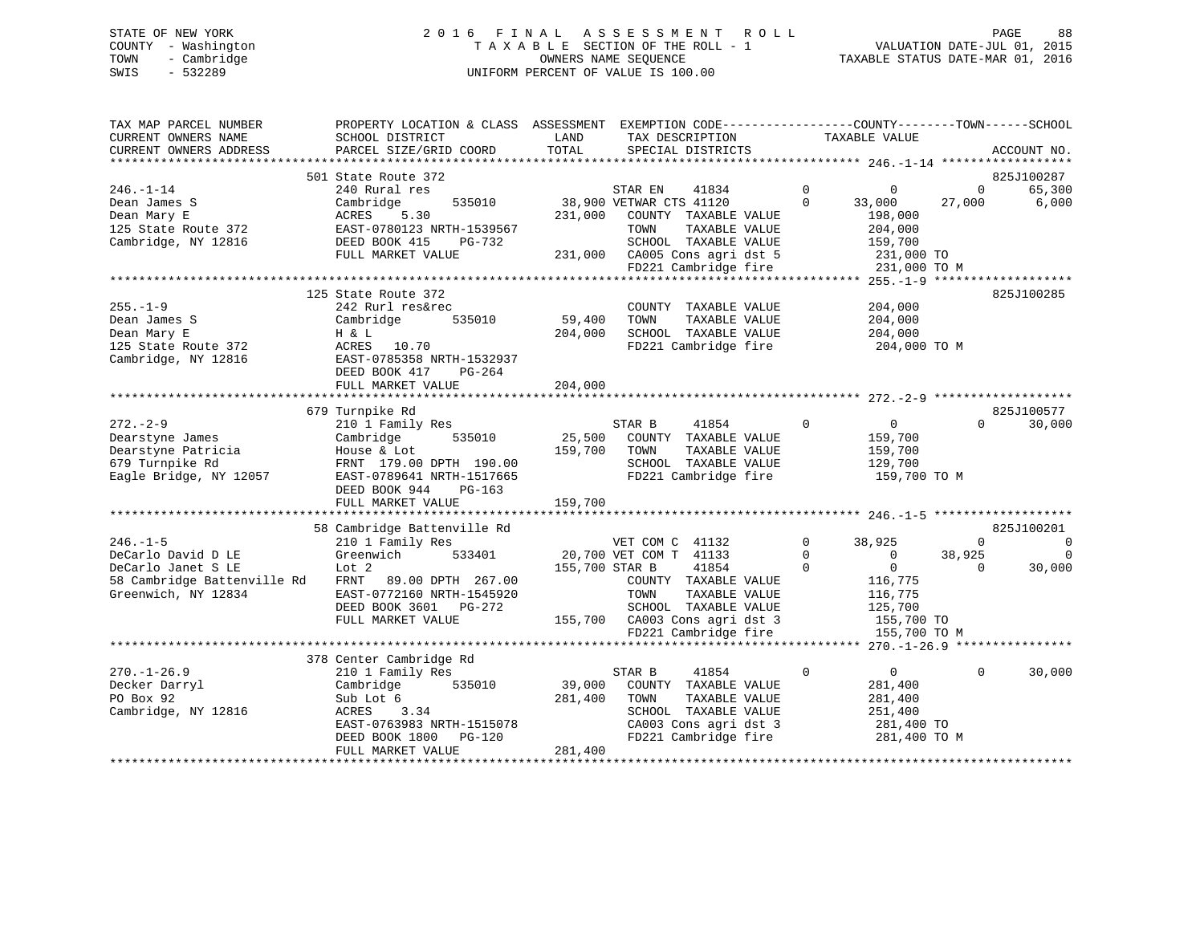### STATE OF NEW YORK 2 0 1 6 F I N A L A S S E S S M E N T R O L L PAGE 88 COUNTY - Washington T A X A B L E SECTION OF THE ROLL - 1 VALUATION DATE-JUL 01, 2015 TOWN - Cambridge OWNERS NAME SEQUENCE TAXABLE STATUS DATE-MAR 01, 2016 SWIS - 532289 UNIFORM PERCENT OF VALUE IS 100.00

| TAX MAP PARCEL NUMBER<br>CURRENT OWNERS NAME<br>CURRENT OWNERS ADDRESS | PROPERTY LOCATION & CLASS ASSESSMENT EXEMPTION CODE---------------COUNTY-------TOWN------SCHOOL<br>SCHOOL DISTRICT<br>PARCEL SIZE/GRID COORD | LAND<br>TOTAL  | TAX DESCRIPTION<br>SPECIAL DISTRICTS                  |             | TAXABLE VALUE                            |                | ACCOUNT NO. |
|------------------------------------------------------------------------|----------------------------------------------------------------------------------------------------------------------------------------------|----------------|-------------------------------------------------------|-------------|------------------------------------------|----------------|-------------|
|                                                                        | 501 State Route 372                                                                                                                          |                |                                                       |             |                                          |                | 825J100287  |
| $246. - 1 - 14$                                                        | 240 Rural res                                                                                                                                |                | STAR EN<br>41834                                      | $\mathbf 0$ | 0                                        | $\overline{0}$ | 65,300      |
| Dean James S                                                           | 535010<br>Cambridge                                                                                                                          |                | 38,900 VETWAR CTS 41120                               | $\Omega$    | 33,000                                   | 27,000         | 6,000       |
| Dean Mary E                                                            | ACRES<br>5.30                                                                                                                                | 231,000        | COUNTY TAXABLE VALUE                                  |             | 198,000                                  |                |             |
| 125 State Route 372                                                    | EAST-0780123 NRTH-1539567                                                                                                                    |                | TOWN<br>TAXABLE VALUE                                 |             | 204,000                                  |                |             |
| Cambridge, NY 12816                                                    | DEED BOOK 415<br>PG-732                                                                                                                      |                | SCHOOL TAXABLE VALUE                                  |             | 159,700                                  |                |             |
|                                                                        | FULL MARKET VALUE                                                                                                                            |                | 231,000 CA005 Cons agri dst 5                         |             | 231,000 TO                               |                |             |
|                                                                        |                                                                                                                                              |                | FD221 Cambridge fire                                  |             | 231,000 TO M                             |                |             |
|                                                                        |                                                                                                                                              |                |                                                       |             |                                          |                |             |
|                                                                        | 125 State Route 372                                                                                                                          |                |                                                       |             |                                          |                | 825J100285  |
| $255. - 1 - 9$                                                         | 242 Rurl res&rec                                                                                                                             |                | COUNTY TAXABLE VALUE                                  |             | 204,000                                  |                |             |
| Dean James S                                                           | 535010<br>Cambridge                                                                                                                          | 59,400         | TOWN<br>TAXABLE VALUE                                 |             | 204,000                                  |                |             |
| Dean Mary E                                                            | H & L                                                                                                                                        | 204,000        | SCHOOL TAXABLE VALUE                                  |             | 204,000                                  |                |             |
| 125 State Route 372                                                    | ACRES<br>10.70                                                                                                                               |                | FD221 Cambridge fire                                  |             | 204,000 TO M                             |                |             |
| Cambridge, NY 12816                                                    | EAST-0785358 NRTH-1532937                                                                                                                    |                |                                                       |             |                                          |                |             |
|                                                                        | DEED BOOK 417<br>PG-264                                                                                                                      |                |                                                       |             |                                          |                |             |
|                                                                        | FULL MARKET VALUE                                                                                                                            | 204,000        |                                                       |             |                                          |                |             |
|                                                                        |                                                                                                                                              |                |                                                       |             |                                          |                |             |
|                                                                        | 679 Turnpike Rd                                                                                                                              |                |                                                       |             |                                          |                | 825J100577  |
| $272 - 2 - 9$                                                          | 210 1 Family Res                                                                                                                             |                | STAR B<br>41854                                       | $\Omega$    | $\overline{0}$                           | $\Omega$       | 30,000      |
| Dearstyne James                                                        | 535010<br>Cambridge                                                                                                                          | 25,500         | COUNTY TAXABLE VALUE                                  |             | 159,700                                  |                |             |
| Dearstyne Patricia                                                     | House & Lot                                                                                                                                  | 159,700        | TAXABLE VALUE<br>TOWN                                 |             | 159,700                                  |                |             |
| 679 Turnpike Rd                                                        | FRNT 179.00 DPTH 190.00                                                                                                                      |                | SCHOOL TAXABLE VALUE                                  |             | 129,700                                  |                |             |
| Eagle Bridge, NY 12057                                                 | EAST-0789641 NRTH-1517665                                                                                                                    |                | FD221 Cambridge fire                                  |             | 159,700 TO M                             |                |             |
|                                                                        | DEED BOOK 944<br>PG-163                                                                                                                      |                |                                                       |             |                                          |                |             |
|                                                                        | FULL MARKET VALUE                                                                                                                            | 159,700        |                                                       |             |                                          |                |             |
|                                                                        |                                                                                                                                              |                |                                                       |             |                                          |                |             |
|                                                                        | 58 Cambridge Battenville Rd                                                                                                                  |                |                                                       |             |                                          |                | 825J100201  |
| $246. - 1 - 5$                                                         | 210 1 Family Res                                                                                                                             |                | VET COM C 41132                                       | $\mathbf 0$ | 38,925                                   | $\Omega$       | $\mathbf 0$ |
| DeCarlo David D LE                                                     | Greenwich<br>533401                                                                                                                          |                | 20,700 VET COM T 41133                                | $\mathbf 0$ | $\overline{0}$                           | 38,925         | $\mathbf 0$ |
| DeCarlo Janet S LE                                                     | Lot 2                                                                                                                                        | 155,700 STAR B | 41854                                                 | $\Omega$    | $\Omega$                                 | $\Omega$       | 30,000      |
| 58 Cambridge Battenville Rd                                            | FRNT 89.00 DPTH 267.00                                                                                                                       |                | COUNTY TAXABLE VALUE                                  |             | 116,775                                  |                |             |
| Greenwich, NY 12834                                                    | EAST-0772160 NRTH-1545920                                                                                                                    |                | TAXABLE VALUE<br>TOWN                                 |             | 116,775                                  |                |             |
|                                                                        | DEED BOOK 3601 PG-272                                                                                                                        |                | SCHOOL TAXABLE VALUE                                  |             | 125,700                                  |                |             |
|                                                                        | FULL MARKET VALUE                                                                                                                            |                | 155,700 CA003 Cons agri dst 3                         |             | 155,700 TO                               |                |             |
|                                                                        |                                                                                                                                              |                | FD221 Cambridge fire<br>***************************** |             | 155,700 TO M<br>******* 270.-1-26.9 **** |                |             |
|                                                                        |                                                                                                                                              |                |                                                       |             |                                          |                |             |
| $270. - 1 - 26.9$                                                      | 378 Center Cambridge Rd<br>210 1 Family Res                                                                                                  |                | 41854<br>STAR B                                       | $\mathbf 0$ | $\overline{0}$                           | $\Omega$       | 30,000      |
| Decker Darryl                                                          | 535010<br>Cambridge                                                                                                                          | 39,000         | COUNTY TAXABLE VALUE                                  |             | 281,400                                  |                |             |
| PO Box 92                                                              | Sub Lot 6                                                                                                                                    | 281,400        | TOWN<br>TAXABLE VALUE                                 |             | 281,400                                  |                |             |
| Cambridge, NY 12816                                                    | ACRES<br>3.34                                                                                                                                |                | SCHOOL TAXABLE VALUE                                  |             | 251,400                                  |                |             |
|                                                                        | EAST-0763983 NRTH-1515078                                                                                                                    |                | CA003 Cons agri dst 3                                 |             | 281,400 TO                               |                |             |
|                                                                        | DEED BOOK 1800<br>PG-120                                                                                                                     |                | FD221 Cambridge fire                                  |             | 281,400 TO M                             |                |             |
|                                                                        | FULL MARKET VALUE                                                                                                                            | 281,400        |                                                       |             |                                          |                |             |
|                                                                        |                                                                                                                                              |                |                                                       |             |                                          |                |             |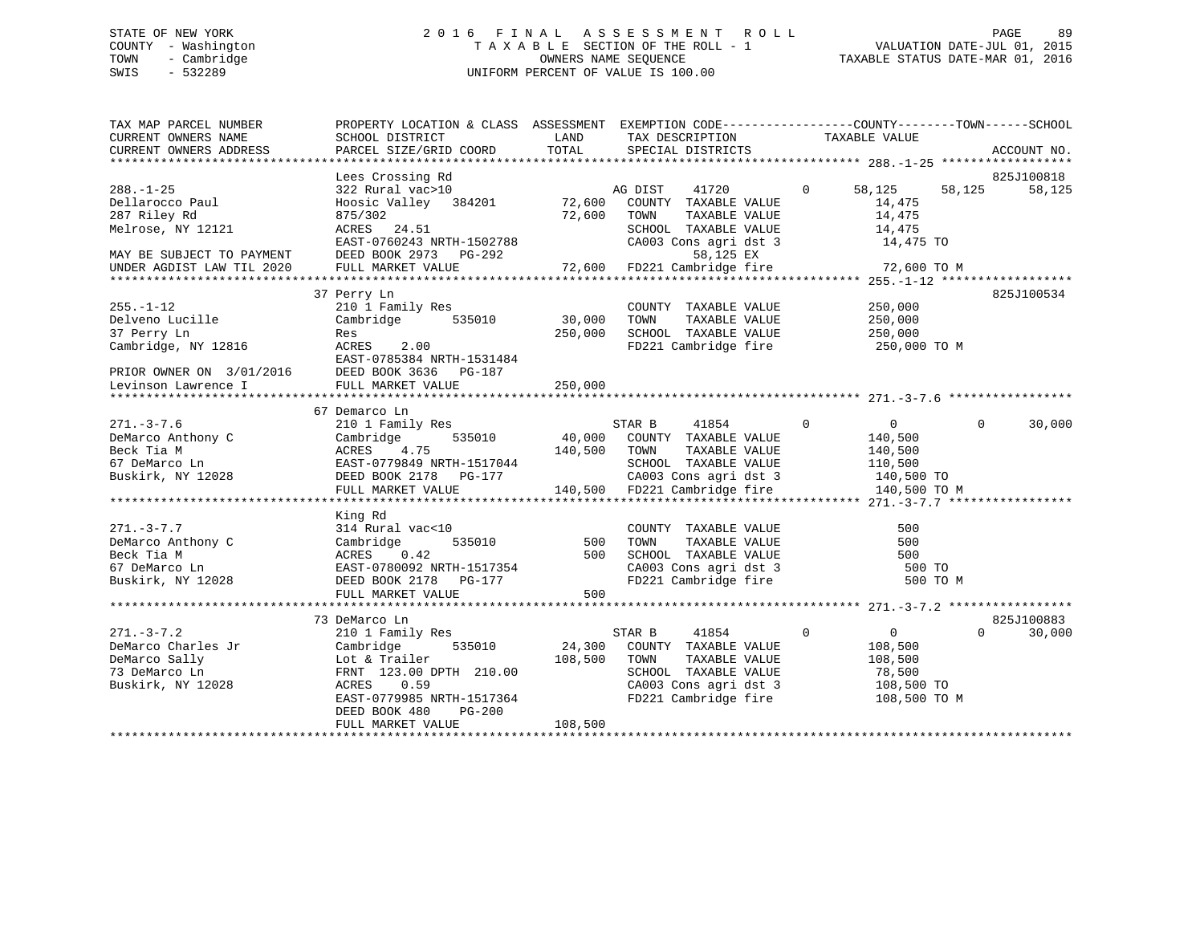# STATE OF NEW YORK 2 0 1 6 F I N A L A S S E S S M E N T R O L L PAGE 89 COUNTY - Washington T A X A B L E SECTION OF THE ROLL - 1 VALUATION DATE-JUL 01, 2015 TOWN - Cambridge OWNERS NAME SEQUENCE TAXABLE STATUS DATE-MAR 01, 2016 SWIS - 532289 UNIFORM PERCENT OF VALUE IS 100.00

TAX MAP PARCEL NUMBER PROPERTY LOCATION & CLASS ASSESSMENT EXEMPTION CODE------------------COUNTY--------TOWN------SCHOOL CURRENT OWNERS NAME SCHOOL DISTRICT THE LAND TAX DESCRIPTION TAXABLE VALUE CURRENT OWNERS ADDRESS PARCEL SIZE/GRID COORD TOTAL SPECIAL DISTRICTS ACCOUNT NO. \*\*\*\*\*\*\*\*\*\*\*\*\*\*\*\*\*\*\*\*\*\*\*\*\*\*\*\*\*\*\*\*\*\*\*\*\*\*\*\*\*\*\*\*\*\*\*\*\*\*\*\*\*\*\*\*\*\*\*\*\*\*\*\*\*\*\*\*\*\*\*\*\*\*\*\*\*\*\*\*\*\*\*\*\*\*\*\*\*\*\*\*\*\*\*\*\*\*\*\*\*\*\* 288.-1-25 \*\*\*\*\*\*\*\*\*\*\*\*\*\*\*\*\*\* Lees Crossing Rd 825J100818 288.-1-25 322 Rural vac>10 AG DIST 41720 0 58,125 58,125 58,125 Dellarocco Paul Hoosic Valley 384201 72,600 COUNTY TAXABLE VALUE 14,475 287 Riley Rd 875/302 72,600 TOWN TAXABLE VALUE 14,475 Melrose, NY 12121 ACRES 24.51 SCHOOL TAXABLE VALUE 14,475 EAST-0760243 NRTH-1502788 CA003 Cons agri dst 3 14,475 TO MAY BE SUBJECT TO PAYMENT DEED BOOK 2973 PG-292 58,125 EX UNDER AGDIST LAW TIL 2020 FULL MARKET VALUE 72,600 FD221 Cambridge fire 72,600 TO M \*\*\*\*\*\*\*\*\*\*\*\*\*\*\*\*\*\*\*\*\*\*\*\*\*\*\*\*\*\*\*\*\*\*\*\*\*\*\*\*\*\*\*\*\*\*\*\*\*\*\*\*\*\*\*\*\*\*\*\*\*\*\*\*\*\*\*\*\*\*\*\*\*\*\*\*\*\*\*\*\*\*\*\*\*\*\*\*\*\*\*\*\*\*\*\*\*\*\*\*\*\*\* 255.-1-12 \*\*\*\*\*\*\*\*\*\*\*\*\*\*\*\*\*\* 37 Perry Ln 825J100534 255.-1-12 210 1 Family Res COUNTY TAXABLE VALUE 250,000 Delveno Lucille Cambridge 535010 30,000 TOWN TAXABLE VALUE 250,000 37 Perry Ln Res 250,000 SCHOOL TAXABLE VALUE 250,000 CAMBRIS AND RES<br>Cambridge, NY 12816 ACRES 2.00<br>FD221 Cambridge fire 250,000 TO M EAST-0785384 NRTH-1531484PRIOR OWNER ON 3/01/2016 DEED BOOK 3636 PG-187 Levinson Lawrence I FULL MARKET VALUE 250,000 \*\*\*\*\*\*\*\*\*\*\*\*\*\*\*\*\*\*\*\*\*\*\*\*\*\*\*\*\*\*\*\*\*\*\*\*\*\*\*\*\*\*\*\*\*\*\*\*\*\*\*\*\*\*\*\*\*\*\*\*\*\*\*\*\*\*\*\*\*\*\*\*\*\*\*\*\*\*\*\*\*\*\*\*\*\*\*\*\*\*\*\*\*\*\*\*\*\*\*\*\*\*\* 271.-3-7.6 \*\*\*\*\*\*\*\*\*\*\*\*\*\*\*\*\* 67 Demarco Ln 271.-3-7.6 210 1 Family Res STAR B 41854 0 0 0 30,000 DeMarco Anthony C Cambridge 535010 40,000 COUNTY TAXABLE VALUE 140,500 Beck Tia M ACRES 4.75 140,500 TOWN TAXABLE VALUE 140,500 67 DeMarco Ln EAST-0779849 NRTH-1517044 SCHOOL TAXABLE VALUE 110,500 Buskirk, NY 12028 DEED BOOK 2178 PG-177 CA003 Cons agri dst 3 140,500 TO DEED BOOK 2178 PG-177 CA003 Cons agri dst 3 140,500 TO FULL MARKET VALUE 140,500 TO M \*\*\*\*\*\*\*\*\*\*\*\*\*\*\*\*\*\*\*\*\*\*\*\*\*\*\*\*\*\*\*\*\*\*\*\*\*\*\*\*\*\*\*\*\*\*\*\*\*\*\*\*\*\*\*\*\*\*\*\*\*\*\*\*\*\*\*\*\*\*\*\*\*\*\*\*\*\*\*\*\*\*\*\*\*\*\*\*\*\*\*\*\*\*\*\*\*\*\*\*\*\*\* 271.-3-7.7 \*\*\*\*\*\*\*\*\*\*\*\*\*\*\*\*\*King Rd<br>314 Rural vac<10 271.-3-7.7 314 Rural vac<10 COUNTY TAXABLE VALUE 500DeMarco Anthony C Cambridge 535010 500 TOWN TAXABLE VALUE 500 Beck Tia M ACRES 0.42 500 SCHOOL TAXABLE VALUE 50067 DeMarco Ln EAST-0780092 NRTH-1517354 CA003 Cons agri dst 3 500 TO Buskirk, NY 12028 DEED BOOK 2178 PG-177 FD221 Cambridge fire 500 TO M FULL MARKET VALUE 500 \*\*\*\*\*\*\*\*\*\*\*\*\*\*\*\*\*\*\*\*\*\*\*\*\*\*\*\*\*\*\*\*\*\*\*\*\*\*\*\*\*\*\*\*\*\*\*\*\*\*\*\*\*\*\*\*\*\*\*\*\*\*\*\*\*\*\*\*\*\*\*\*\*\*\*\*\*\*\*\*\*\*\*\*\*\*\*\*\*\*\*\*\*\*\*\*\*\*\*\*\*\*\* 271.-3-7.2 \*\*\*\*\*\*\*\*\*\*\*\*\*\*\*\*\* 73 DeMarco Ln 825J100883 $0 \t30.000$ 271.-3-7.2 210 1 Family Res STAR B 41854 0 0 0 30,000 DeMarco Charles Jr Cambridge 535010 24,300 COUNTY TAXABLE VALUE 108,500 DeMarco Sally Lot & Trailer 108,500 TOWN TAXABLE VALUE 108,500 73 DeMarco Ln FRNT 123.00 DPTH 210.00 SCHOOL TAXABLE VALUE 78,500 Buskirk, NY 12028 ACRES 0.59 CA003 Cons agri dst 3 108,500 TO EAST-0779985 NRTH-1517364<br>EAST-0779985 NRTH-1517364 FD221 Cambridge fire 108,500 TO M DEED BOOK 480 PG-200FULL MARKET VALUE 108,500 \*\*\*\*\*\*\*\*\*\*\*\*\*\*\*\*\*\*\*\*\*\*\*\*\*\*\*\*\*\*\*\*\*\*\*\*\*\*\*\*\*\*\*\*\*\*\*\*\*\*\*\*\*\*\*\*\*\*\*\*\*\*\*\*\*\*\*\*\*\*\*\*\*\*\*\*\*\*\*\*\*\*\*\*\*\*\*\*\*\*\*\*\*\*\*\*\*\*\*\*\*\*\*\*\*\*\*\*\*\*\*\*\*\*\*\*\*\*\*\*\*\*\*\*\*\*\*\*\*\*\*\*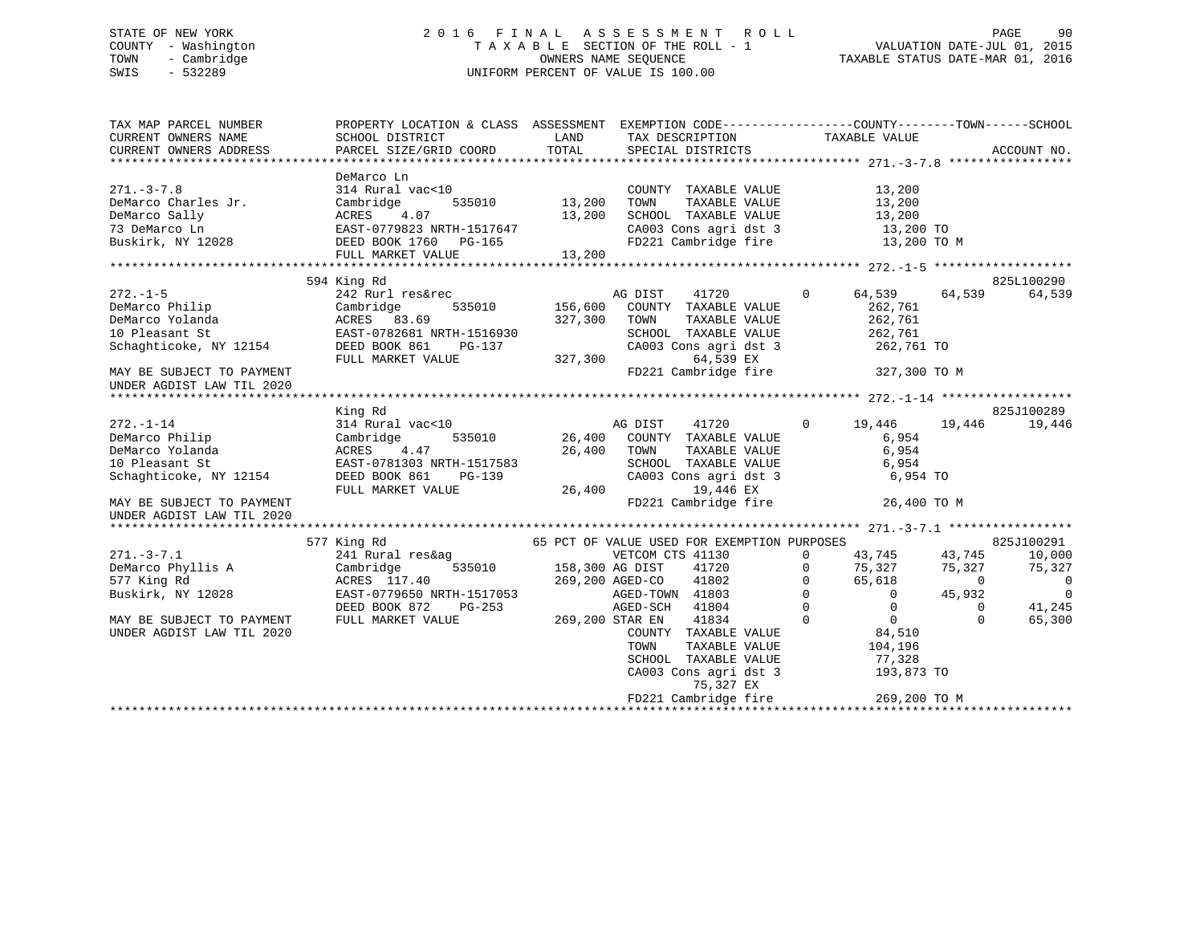### STATE OF NEW YORK 2 0 1 6 F I N A L A S S E S S M E N T R O L L PAGE 90 COUNTY - Washington T A X A B L E SECTION OF THE ROLL - 1 VALUATION DATE-JUL 01, 2015 TOWN - Cambridge OWNERS NAME SEQUENCE TAXABLE STATUS DATE-MAR 01, 2016 SWIS - 532289 UNIFORM PERCENT OF VALUE IS 100.00

| TAX MAP PARCEL NUMBER                                                                                                                                                                               | PROPERTY LOCATION & CLASS ASSESSMENT EXEMPTION CODE----------------COUNTY-------TOWN------SCHOOL                                                                                                                                         |                        |                                                                                                                                                                                                                                                                                                                                                                                                                               |                |                                                                         |                        |                          |
|-----------------------------------------------------------------------------------------------------------------------------------------------------------------------------------------------------|------------------------------------------------------------------------------------------------------------------------------------------------------------------------------------------------------------------------------------------|------------------------|-------------------------------------------------------------------------------------------------------------------------------------------------------------------------------------------------------------------------------------------------------------------------------------------------------------------------------------------------------------------------------------------------------------------------------|----------------|-------------------------------------------------------------------------|------------------------|--------------------------|
| CURRENT OWNERS ADDRESS                                                                                                                                                                              |                                                                                                                                                                                                                                          |                        |                                                                                                                                                                                                                                                                                                                                                                                                                               |                |                                                                         |                        |                          |
|                                                                                                                                                                                                     |                                                                                                                                                                                                                                          |                        |                                                                                                                                                                                                                                                                                                                                                                                                                               |                |                                                                         |                        |                          |
|                                                                                                                                                                                                     | DeMarco Ln                                                                                                                                                                                                                               |                        |                                                                                                                                                                                                                                                                                                                                                                                                                               |                |                                                                         |                        |                          |
| $271. - 3 - 7.8$                                                                                                                                                                                    | 314 Rural vac<10                                                                                                                                                                                                                         |                        | $\begin{array}{ccccccccc} \texttt{acc10} & & & & & \texttt{COUNTY} & \texttt{TAXABLE VALUE} & & & & \texttt{}, \texttt{} \\ & & & & & & & \texttt{13,200} & \texttt{TONN} & & \texttt{TAXABLE VALUE} & & & \texttt{13,200} \\ & & & & & & & \texttt{13,200} & \texttt{SCHOOL} & \texttt{TAXABLE VALUE} & & & & \texttt{13,200} \\ & & & & & & & & \texttt{13,200} & & & \texttt{13,200} & & & \texttt{13,200} \\ \end{array}$ |                |                                                                         |                        |                          |
|                                                                                                                                                                                                     |                                                                                                                                                                                                                                          |                        |                                                                                                                                                                                                                                                                                                                                                                                                                               |                |                                                                         |                        |                          |
|                                                                                                                                                                                                     |                                                                                                                                                                                                                                          |                        |                                                                                                                                                                                                                                                                                                                                                                                                                               |                |                                                                         |                        |                          |
|                                                                                                                                                                                                     |                                                                                                                                                                                                                                          |                        | CA003 Cons agri dst 3 13,200 TO                                                                                                                                                                                                                                                                                                                                                                                               |                |                                                                         |                        |                          |
|                                                                                                                                                                                                     |                                                                                                                                                                                                                                          |                        | FD221 Cambridge fire                                                                                                                                                                                                                                                                                                                                                                                                          |                | 13,200 TO M                                                             |                        |                          |
| DeMarco Charles Jr.<br>Cambridge 535010 13,200<br>DeMarco Sally ACRES 4.07 13,200<br>73 DeMarco Ln EAST-0779823 NRTH-1517647<br>Buskirk, NY 12028 DEED BOOK 1760 PG-165<br>FULL MARKET VALUE 13,200 | FULL MARKET VALUE                                                                                                                                                                                                                        | 13,200                 |                                                                                                                                                                                                                                                                                                                                                                                                                               |                |                                                                         |                        |                          |
|                                                                                                                                                                                                     |                                                                                                                                                                                                                                          |                        |                                                                                                                                                                                                                                                                                                                                                                                                                               |                |                                                                         |                        |                          |
|                                                                                                                                                                                                     | 594 King Rd                                                                                                                                                                                                                              |                        |                                                                                                                                                                                                                                                                                                                                                                                                                               |                |                                                                         |                        | 825L100290               |
| $272. - 1 - 5$                                                                                                                                                                                      | 242 Rurl res&rec<br>242 Rurl res&rec<br>242 Rurl res&rec<br>535010 156,600 COUNTY TAXABLE VALUE<br>227 200 TOWN TAXABLE VALUE                                                                                                            |                        |                                                                                                                                                                                                                                                                                                                                                                                                                               | 41720 0        | 64,539 64,539                                                           |                        | 64,539                   |
|                                                                                                                                                                                                     |                                                                                                                                                                                                                                          |                        |                                                                                                                                                                                                                                                                                                                                                                                                                               |                | 262,761                                                                 |                        |                          |
|                                                                                                                                                                                                     |                                                                                                                                                                                                                                          |                        | TAXABLE VALUE<br>TAXABLE VALUE                                                                                                                                                                                                                                                                                                                                                                                                |                | 262,761                                                                 |                        |                          |
|                                                                                                                                                                                                     |                                                                                                                                                                                                                                          |                        |                                                                                                                                                                                                                                                                                                                                                                                                                               |                |                                                                         |                        |                          |
|                                                                                                                                                                                                     |                                                                                                                                                                                                                                          |                        | SCHOOL TAXABLE VALUE 262,761<br>CA003 Cons agri dst 3 262,761<br>64,539 EX 262,761                                                                                                                                                                                                                                                                                                                                            |                | 262,761 TO                                                              |                        |                          |
|                                                                                                                                                                                                     | FULL MARKET VALUE                                                                                                                                                                                                                        | 327,300                |                                                                                                                                                                                                                                                                                                                                                                                                                               |                |                                                                         |                        |                          |
| MAY BE SUBJECT TO PAYMENT                                                                                                                                                                           |                                                                                                                                                                                                                                          |                        | FD221 Cambridge fire 327,300 TO M                                                                                                                                                                                                                                                                                                                                                                                             |                |                                                                         |                        |                          |
|                                                                                                                                                                                                     |                                                                                                                                                                                                                                          |                        |                                                                                                                                                                                                                                                                                                                                                                                                                               |                |                                                                         |                        |                          |
| UNDER AGDIST LAW TIL 2020                                                                                                                                                                           |                                                                                                                                                                                                                                          |                        |                                                                                                                                                                                                                                                                                                                                                                                                                               |                |                                                                         |                        |                          |
|                                                                                                                                                                                                     |                                                                                                                                                                                                                                          |                        |                                                                                                                                                                                                                                                                                                                                                                                                                               |                |                                                                         |                        | 825J100289               |
|                                                                                                                                                                                                     | King Rd<br>As a more can be computed to the main of the main scale of the main scale of the set of the set of the set of the set of the set of the set of the set of the set of the set of the set of the set of the set of the set of t |                        |                                                                                                                                                                                                                                                                                                                                                                                                                               |                |                                                                         |                        |                          |
| $272. - 1 - 14$                                                                                                                                                                                     |                                                                                                                                                                                                                                          |                        |                                                                                                                                                                                                                                                                                                                                                                                                                               |                |                                                                         |                        | 19,446                   |
| DeMarco Philip                                                                                                                                                                                      |                                                                                                                                                                                                                                          |                        |                                                                                                                                                                                                                                                                                                                                                                                                                               |                |                                                                         |                        |                          |
| DeMarco Yolanda                                                                                                                                                                                     |                                                                                                                                                                                                                                          |                        |                                                                                                                                                                                                                                                                                                                                                                                                                               |                |                                                                         |                        |                          |
| 10 Pleasant St                                                                                                                                                                                      |                                                                                                                                                                                                                                          |                        |                                                                                                                                                                                                                                                                                                                                                                                                                               |                |                                                                         |                        |                          |
| Schaghticoke, NY 12154                                                                                                                                                                              |                                                                                                                                                                                                                                          |                        |                                                                                                                                                                                                                                                                                                                                                                                                                               |                |                                                                         |                        |                          |
|                                                                                                                                                                                                     |                                                                                                                                                                                                                                          |                        |                                                                                                                                                                                                                                                                                                                                                                                                                               |                |                                                                         |                        |                          |
| MAY BE SUBJECT TO PAYMENT                                                                                                                                                                           |                                                                                                                                                                                                                                          |                        | FD221 Cambridge fire                                                                                                                                                                                                                                                                                                                                                                                                          |                |                                                                         | 26,400 TO M            |                          |
| UNDER AGDIST LAW TIL 2020                                                                                                                                                                           |                                                                                                                                                                                                                                          |                        |                                                                                                                                                                                                                                                                                                                                                                                                                               |                |                                                                         |                        |                          |
|                                                                                                                                                                                                     |                                                                                                                                                                                                                                          |                        |                                                                                                                                                                                                                                                                                                                                                                                                                               |                |                                                                         |                        |                          |
|                                                                                                                                                                                                     | 577 King Rd                                                                                                                                                                                                                              |                        | 65 PCT OF VALUE USED FOR EXEMPTION PURPOSES                                                                                                                                                                                                                                                                                                                                                                                   |                |                                                                         |                        | 825J100291               |
| $271. - 3 - 7.1$                                                                                                                                                                                    | 241 Rural res&ag                                                                                                                                                                                                                         |                        | VETCOM CTS 41130                                                                                                                                                                                                                                                                                                                                                                                                              |                | $0 \t 43,745$                                                           | 43,745                 | 10,000                   |
| DeMarco Phyllis A                                                                                                                                                                                   | Cambridge                                                                                                                                                                                                                                | 535010 158,300 AG DIST | 41720                                                                                                                                                                                                                                                                                                                                                                                                                         |                | $\mathbf 0$                                                             | 75,327 75,327          | 75,327                   |
| 577 King Rd                                                                                                                                                                                         | ACRES 117.40 269,200 AGED-CO<br>EAST-0779650 NRTH-1517053 AGED-TOWN                                                                                                                                                                      |                        | 41802                                                                                                                                                                                                                                                                                                                                                                                                                         |                | $\begin{array}{ccc} 0 & & 65,618 \\ 0 & & & 0 \\ 0 & & & 0 \end{array}$ | $65,618$ 0<br>0 45,932 | $\overline{\phantom{0}}$ |
| Buskirk, NY 12028                                                                                                                                                                                   |                                                                                                                                                                                                                                          |                        | AGED-TOWN 41803                                                                                                                                                                                                                                                                                                                                                                                                               |                |                                                                         | 45,932                 | $\overline{\phantom{0}}$ |
|                                                                                                                                                                                                     | DEED BOOK 872 PG-253                                                                                                                                                                                                                     |                        | AGED-SCH<br>41804                                                                                                                                                                                                                                                                                                                                                                                                             |                |                                                                         | $\Omega$               | 41,245                   |
| MAY BE SUBJECT TO PAYMENT                                                                                                                                                                           | FULL MARKET VALUE 269,200 STAR EN                                                                                                                                                                                                        |                        | 41834                                                                                                                                                                                                                                                                                                                                                                                                                         | $\overline{0}$ | $\begin{array}{c}0\\0\\84,510\end{array}$                               | $\Omega$               | 65,300                   |
| UNDER AGDIST LAW TIL 2020                                                                                                                                                                           |                                                                                                                                                                                                                                          |                        | COUNTY TAXABLE VALUE                                                                                                                                                                                                                                                                                                                                                                                                          |                |                                                                         |                        |                          |
|                                                                                                                                                                                                     |                                                                                                                                                                                                                                          |                        |                                                                                                                                                                                                                                                                                                                                                                                                                               |                |                                                                         |                        |                          |
|                                                                                                                                                                                                     |                                                                                                                                                                                                                                          |                        |                                                                                                                                                                                                                                                                                                                                                                                                                               |                |                                                                         |                        |                          |
|                                                                                                                                                                                                     |                                                                                                                                                                                                                                          |                        |                                                                                                                                                                                                                                                                                                                                                                                                                               |                |                                                                         |                        |                          |
|                                                                                                                                                                                                     |                                                                                                                                                                                                                                          |                        |                                                                                                                                                                                                                                                                                                                                                                                                                               |                |                                                                         |                        |                          |
|                                                                                                                                                                                                     |                                                                                                                                                                                                                                          |                        | TOWN TAXABLE VALUE 104,196<br>SCHOOL TAXABLE VALUE 77,328<br>CA003 Cons agri dst 3 193,873 TO<br>75,327 EX                                                                                                                                                                                                                                                                                                                    |                |                                                                         |                        |                          |
|                                                                                                                                                                                                     |                                                                                                                                                                                                                                          |                        | FD221 Cambridge fire                                                                                                                                                                                                                                                                                                                                                                                                          |                |                                                                         | 269,200 TO M           |                          |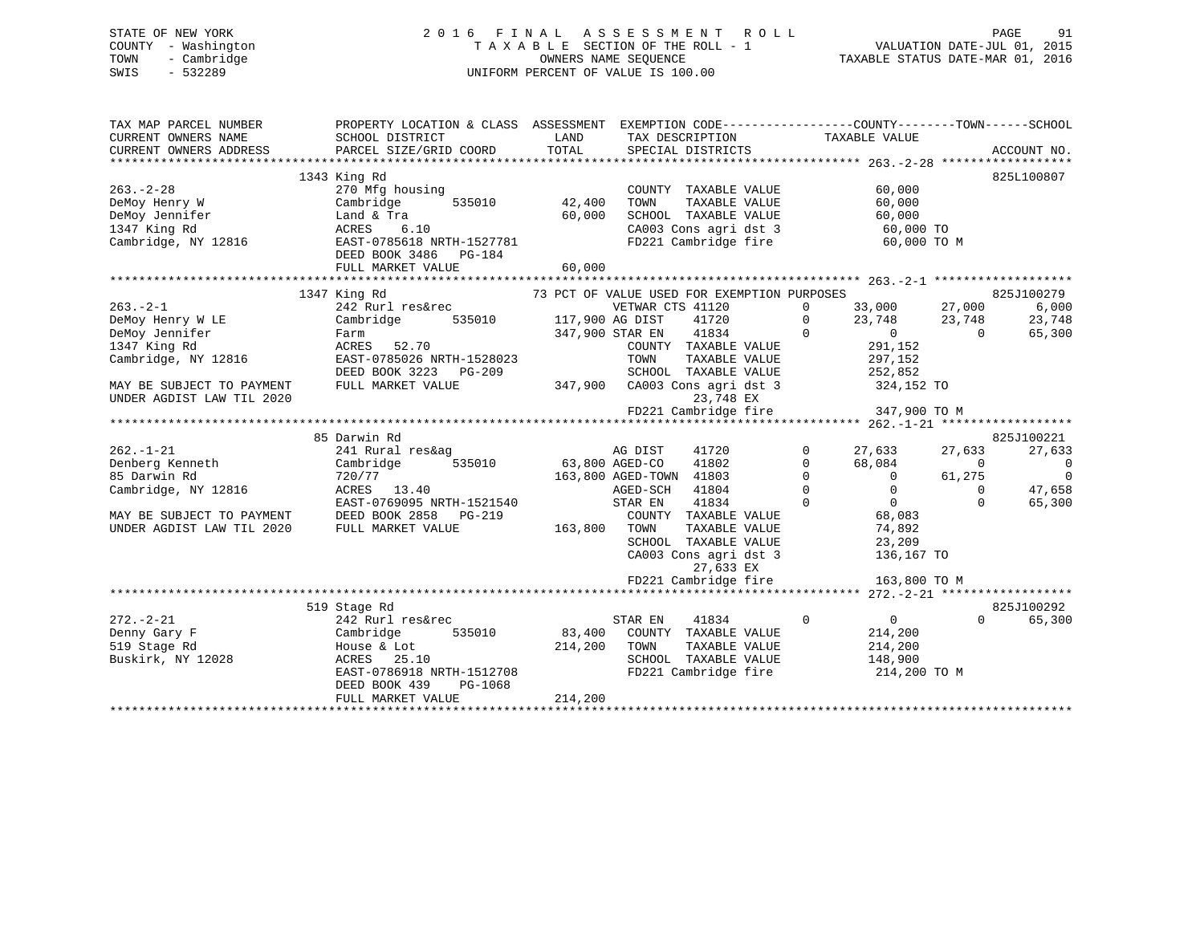### STATE OF NEW YORK 2 0 1 6 F I N A L A S S E S S M E N T R O L L PAGE 91 COUNTY - Washington T A X A B L E SECTION OF THE ROLL - 1 VALUATION DATE-JUL 01, 2015 TOWN - Cambridge OWNERS NAME SEQUENCE TAXABLE STATUS DATE-MAR 01, 2016 SWIS - 532289 UNIFORM PERCENT OF VALUE IS 100.00

| TAX MAP PARCEL NUMBER<br>CURRENT OWNERS NAME<br>CURRENT OWNERS ADDRESS | PROPERTY LOCATION & CLASS ASSESSMENT EXEMPTION CODE---------------COUNTY-------TOWN-----SCHOOL<br>SCHOOL DISTRICT<br>PARCEL SIZE/GRID COORD | LAND<br>TOTAL         | TAX DESCRIPTION<br>SPECIAL DISTRICTS        | TAXABLE VALUE                                 | ACCOUNT NO.              |
|------------------------------------------------------------------------|---------------------------------------------------------------------------------------------------------------------------------------------|-----------------------|---------------------------------------------|-----------------------------------------------|--------------------------|
|                                                                        |                                                                                                                                             |                       |                                             |                                               |                          |
|                                                                        | 1343 King Rd                                                                                                                                |                       |                                             |                                               | 825L100807               |
| $263. - 2 - 28$                                                        | 270 Mfg housing                                                                                                                             |                       | COUNTY TAXABLE VALUE                        | 60,000                                        |                          |
| DeMoy Henry W                                                          | Cambridge<br>535010                                                                                                                         | 42,400                | TAXABLE VALUE<br>TOWN                       | 60,000                                        |                          |
| DeMoy Jennifer                                                         | Land & Tra                                                                                                                                  | 60,000                | SCHOOL TAXABLE VALUE                        | 60,000                                        |                          |
| 1347 King Rd                                                           | 6.10<br>ACRES                                                                                                                               |                       | CA003 Cons agri dst 3                       | $60,000$ TO                                   |                          |
| Cambridge, NY 12816                                                    | EAST-0785618 NRTH-1527781<br>DEED BOOK 3486 PG-184                                                                                          | 60,000                | FD221 Cambridge fire                        | 60,000 TO M                                   |                          |
|                                                                        | FULL MARKET VALUE                                                                                                                           |                       |                                             |                                               |                          |
|                                                                        | 1347 King Rd                                                                                                                                |                       | 73 PCT OF VALUE USED FOR EXEMPTION PURPOSES |                                               | 825J100279               |
| $263 - 2 - 1$                                                          | 242 Rurl res&rec                                                                                                                            |                       | VETWAR CTS 41120                            | $\Omega$                                      | 6,000                    |
| DeMoy Henry W LE                                                       | ULIWAR U<br>535010 535010 535010 535010<br>Cambridge                                                                                        |                       | 41720                                       | 33,000 27,000<br>23,748 23,748<br>$\mathbf 0$ | 23,748                   |
| DeMoy Jennifer                                                         | Farm                                                                                                                                        | 347,900 STAR EN       | 41834                                       | $\Omega$<br>$\overline{0}$                    | 65,300<br>$\bigcap$      |
| 1347 King Rd                                                           | ACRES 52.70                                                                                                                                 |                       | COUNTY TAXABLE VALUE                        | 291,152                                       |                          |
| Cambridge, NY 12816                                                    | EAST-0785026 NRTH-1528023                                                                                                                   |                       | TOWN<br>TAXABLE VALUE                       | 297,152                                       |                          |
|                                                                        | DEED BOOK 3223 PG-209                                                                                                                       |                       | SCHOOL TAXABLE VALUE                        |                                               |                          |
| MAY BE SUBJECT TO PAYMENT                                              | FULL MARKET VALUE                                                                                                                           |                       | 347,900 CA003 Cons agri dst 3               | 252,852<br>324,152 TO                         |                          |
| UNDER AGDIST LAW TIL 2020                                              |                                                                                                                                             |                       | 23,748 EX                                   |                                               |                          |
|                                                                        |                                                                                                                                             |                       | FD221 Cambridge fire                        | 347,900 TO M                                  |                          |
|                                                                        |                                                                                                                                             |                       |                                             |                                               |                          |
|                                                                        | 85 Darwin Rd                                                                                                                                |                       |                                             |                                               | 825J100221               |
| $262. - 1 - 21$                                                        | 241 Rural res&ag                                                                                                                            |                       | AG DIST<br>41720                            | $\mathbf 0$<br>27,633                         | 27,633<br>27,633         |
| Denberg Kenneth                                                        | Cambridge                                                                                                                                   | 535010 63,800 AGED-CO | 41802                                       | $\mathbf{0}$<br>68,084                        | $\overline{0}$<br>0      |
| 85 Darwin Rd                                                           | 720/77                                                                                                                                      |                       | 163,800 AGED-TOWN 41803                     | $\Omega$<br>$\overline{0}$                    | $\overline{0}$<br>61,275 |
| Cambridge, NY 12816                                                    | ACRES 13.40                                                                                                                                 |                       | AGED-SCH<br>41804                           | $\Omega$<br>$\Omega$                          | $\Omega$<br>47,658       |
|                                                                        | EAST-0769095 NRTH-1521540                                                                                                                   |                       | 41834<br>STAR EN                            | $\Omega$<br>$\overline{0}$                    | 65,300<br>$\Omega$       |
| MAY BE SUBJECT TO PAYMENT                                              | DEED BOOK 2858 PG-219                                                                                                                       |                       | COUNTY TAXABLE VALUE                        | 68,083                                        |                          |
| UNDER AGDIST LAW TIL 2020                                              | FULL MARKET VALUE                                                                                                                           | 163,800               | TAXABLE VALUE<br>TOWN                       | 74,892                                        |                          |
|                                                                        |                                                                                                                                             |                       | SCHOOL TAXABLE VALUE                        | 23,209                                        |                          |
|                                                                        |                                                                                                                                             |                       | CA003 Cons agri dst 3                       | 136,167 TO                                    |                          |
|                                                                        |                                                                                                                                             |                       | 27,633 EX                                   |                                               |                          |
|                                                                        |                                                                                                                                             |                       | FD221 Cambridge fire                        | 163,800 TO M                                  |                          |
|                                                                        |                                                                                                                                             |                       |                                             |                                               |                          |
|                                                                        | 519 Stage Rd                                                                                                                                |                       |                                             |                                               | 825J100292               |
| $272. - 2 - 21$                                                        | 242 Rurl res&rec                                                                                                                            |                       | 41834<br>STAR EN                            | $\mathbf 0$<br>$0 \qquad \qquad$              | 65,300<br>$\Omega$       |
| Denny Gary F                                                           | Cambridge<br>535010                                                                                                                         |                       | 83,400 COUNTY TAXABLE VALUE                 | 214,200                                       |                          |
| 519 Stage Rd                                                           | House & Lot                                                                                                                                 | 214,200               | TOWN<br>TAXABLE VALUE                       | 214,200                                       |                          |
| Buskirk, NY 12028                                                      | ACRES 25.10                                                                                                                                 |                       | SCHOOL TAXABLE VALUE                        | 148,900                                       |                          |
|                                                                        | EAST-0786918 NRTH-1512708                                                                                                                   |                       | FD221 Cambridge fire                        | 214,200 TO M                                  |                          |
|                                                                        | DEED BOOK 439<br>PG-1068                                                                                                                    |                       |                                             |                                               |                          |
|                                                                        | FULL MARKET VALUE                                                                                                                           | 214,200               |                                             |                                               |                          |
|                                                                        |                                                                                                                                             |                       |                                             |                                               |                          |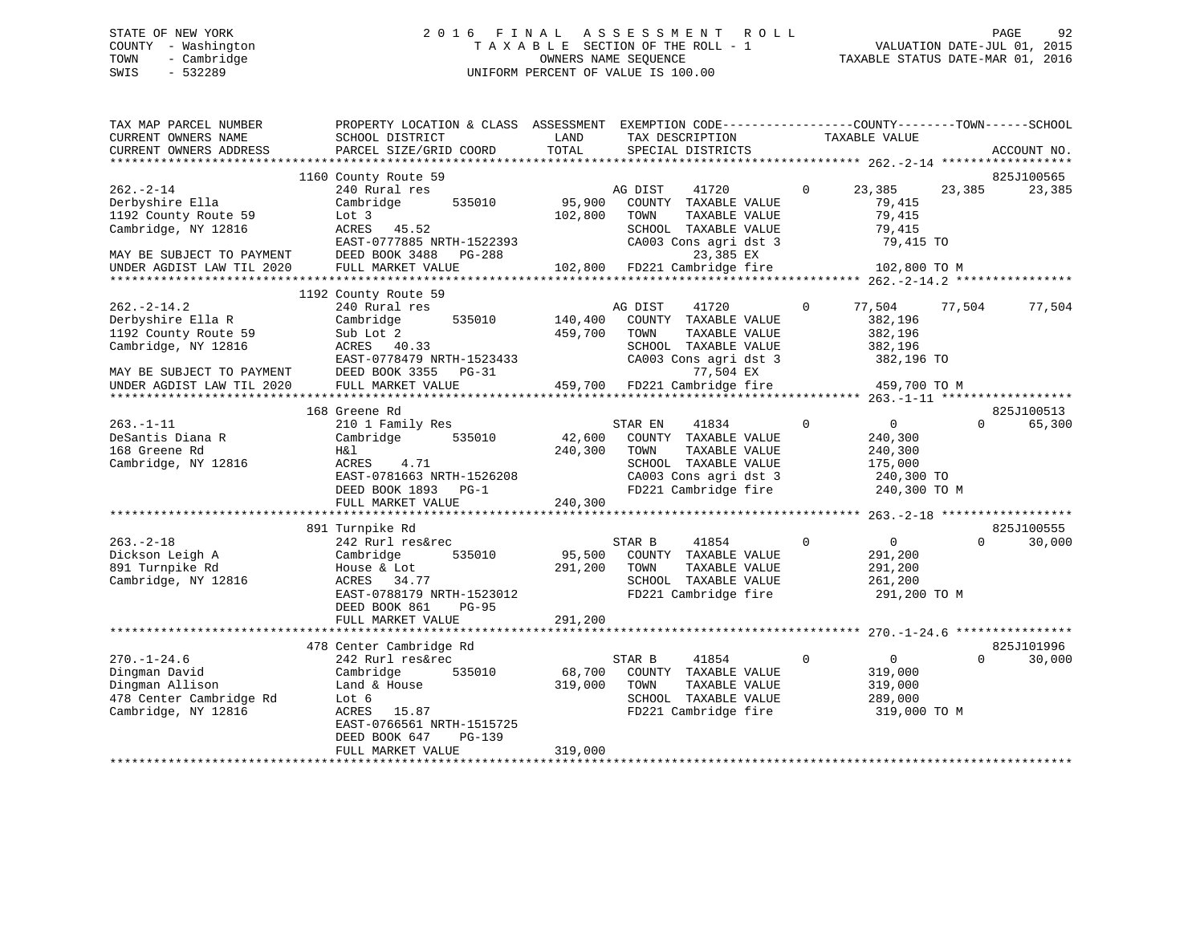### STATE OF NEW YORK 2 0 1 6 F I N A L A S S E S S M E N T R O L L PAGE 92 COUNTY - Washington T A X A B L E SECTION OF THE ROLL - 1 VALUATION DATE-JUL 01, 2015 TOWN - Cambridge OWNERS NAME SEQUENCE TAXABLE STATUS DATE-MAR 01, 2016 SWIS - 532289 UNIFORM PERCENT OF VALUE IS 100.00

| TAX MAP PARCEL NUMBER<br>CURRENT OWNERS NAME<br>CURRENT OWNERS ADDRESS                                            | PROPERTY LOCATION & CLASS ASSESSMENT EXEMPTION CODE----------------COUNTY-------TOWN------SCHOOL<br>SCHOOL DISTRICT<br>PARCEL SIZE/GRID COORD        | LAND<br>TOTAL      | TAX DESCRIPTION<br>SPECIAL DISTRICTS                                                                                            | TAXABLE VALUE                                                                   | ACCOUNT NO.                      |
|-------------------------------------------------------------------------------------------------------------------|------------------------------------------------------------------------------------------------------------------------------------------------------|--------------------|---------------------------------------------------------------------------------------------------------------------------------|---------------------------------------------------------------------------------|----------------------------------|
|                                                                                                                   |                                                                                                                                                      |                    |                                                                                                                                 |                                                                                 |                                  |
| $262 - 2 - 14$<br>Derbyshire Ella                                                                                 | 1160 County Route 59<br>240 Rural res<br>535010<br>Cambridge                                                                                         | 95,900             | AG DIST<br>41720<br>COUNTY TAXABLE VALUE                                                                                        | $\Omega$<br>23,385<br>79,415                                                    | 825J100565<br>23,385<br>23,385   |
| 1192 County Route 59<br>Cambridge, NY 12816<br>MAY BE SUBJECT TO PAYMENT                                          | Lot 3<br>ACRES 45.52<br>EAST-0777885 NRTH-1522393<br>DEED BOOK 3488<br>PG-288                                                                        | 102,800            | TAXABLE VALUE<br>TOWN<br>SCHOOL TAXABLE VALUE<br>CA003 Cons agri dst 3<br>23,385 EX                                             | 79,415<br>79,415<br>79,415 TO                                                   |                                  |
| UNDER AGDIST LAW TIL 2020                                                                                         | FULL MARKET VALUE                                                                                                                                    | 102,800            | FD221 Cambridge fire                                                                                                            | 102,800 TO M                                                                    |                                  |
|                                                                                                                   | 1192 County Route 59                                                                                                                                 |                    |                                                                                                                                 |                                                                                 |                                  |
| $262. -2 - 14.2$<br>Derbyshire Ella R<br>1192 County Route 59<br>Cambridge, NY 12816<br>MAY BE SUBJECT TO PAYMENT | 240 Rural res<br>Cambridge<br>535010<br>Sub Lot 2<br>ACRES 40.33<br>EAST-0778479 NRTH-1523433<br>DEED BOOK 3355 PG-31                                | 140,400<br>459,700 | AG DIST<br>41720<br>COUNTY TAXABLE VALUE<br>TOWN<br>TAXABLE VALUE<br>SCHOOL TAXABLE VALUE<br>CA003 Cons agri dst 3<br>77,504 EX | 77,504<br>0<br>382,196<br>382,196<br>382,196<br>382,196 TO                      | 77,504<br>77,504                 |
| UNDER AGDIST LAW TIL 2020                                                                                         | FULL MARKET VALUE                                                                                                                                    | 459,700            | FD221 Cambridge fire                                                                                                            | 459,700 TO M                                                                    |                                  |
|                                                                                                                   | 168 Greene Rd                                                                                                                                        |                    |                                                                                                                                 |                                                                                 | 825J100513                       |
| $263. - 1 - 11$<br>DeSantis Diana R<br>168 Greene Rd<br>Cambridge, NY 12816                                       | 210 1 Family Res<br>Cambridge<br>535010<br>H&l<br>4.71<br>ACRES<br>EAST-0781663 NRTH-1526208                                                         | 42,600<br>240,300  | 41834<br>STAR EN<br>COUNTY TAXABLE VALUE<br>TAXABLE VALUE<br>TOWN<br>SCHOOL TAXABLE VALUE<br>CA003 Cons agri dst 3              | $\Omega$<br>$\overline{0}$<br>240,300<br>240,300<br>175,000<br>240,300 TO       | $\Omega$<br>65,300               |
|                                                                                                                   | DEED BOOK 1893 PG-1<br>FULL MARKET VALUE                                                                                                             | 240,300            | FD221 Cambridge fire                                                                                                            | 240,300 TO M                                                                    |                                  |
|                                                                                                                   | *************************                                                                                                                            |                    |                                                                                                                                 |                                                                                 |                                  |
| $263. - 2 - 18$<br>Dickson Leigh A<br>891 Turnpike Rd<br>Cambridge, NY 12816                                      | 891 Turnpike Rd<br>242 Rurl res&rec<br>Cambridge<br>535010<br>House & Lot<br>34.77<br>ACRES<br>EAST-0788179 NRTH-1523012<br>DEED BOOK 861<br>$PG-95$ | 95,500<br>291,200  | STAR B<br>41854<br>COUNTY TAXABLE VALUE<br>TOWN<br>TAXABLE VALUE<br>SCHOOL TAXABLE VALUE<br>FD221 Cambridge fire                | $\mathbf{0}$<br>$\overline{0}$<br>291,200<br>291,200<br>261,200<br>291,200 TO M | 825J100555<br>30,000<br>$\Omega$ |
|                                                                                                                   | FULL MARKET VALUE                                                                                                                                    | 291,200            |                                                                                                                                 |                                                                                 |                                  |
|                                                                                                                   | 478 Center Cambridge Rd                                                                                                                              |                    |                                                                                                                                 |                                                                                 | 825J101996                       |
| $270. - 1 - 24.6$<br>Dingman David<br>Dingman Allison<br>478 Center Cambridge Rd<br>Cambridge, NY 12816           | 242 Rurl res&rec<br>Cambridge<br>535010<br>Land & House<br>Lot 6<br>ACRES 15.87<br>EAST-0766561 NRTH-1515725<br>DEED BOOK 647<br>PG-139              | 68,700<br>319,000  | STAR B<br>41854<br>COUNTY TAXABLE VALUE<br>TAXABLE VALUE<br>TOWN<br>SCHOOL TAXABLE VALUE<br>FD221 Cambridge fire                | $\Omega$<br>$\overline{0}$<br>319,000<br>319,000<br>289,000<br>319,000 TO M     | $\Omega$<br>30,000               |
|                                                                                                                   | FULL MARKET VALUE                                                                                                                                    | 319,000            |                                                                                                                                 |                                                                                 |                                  |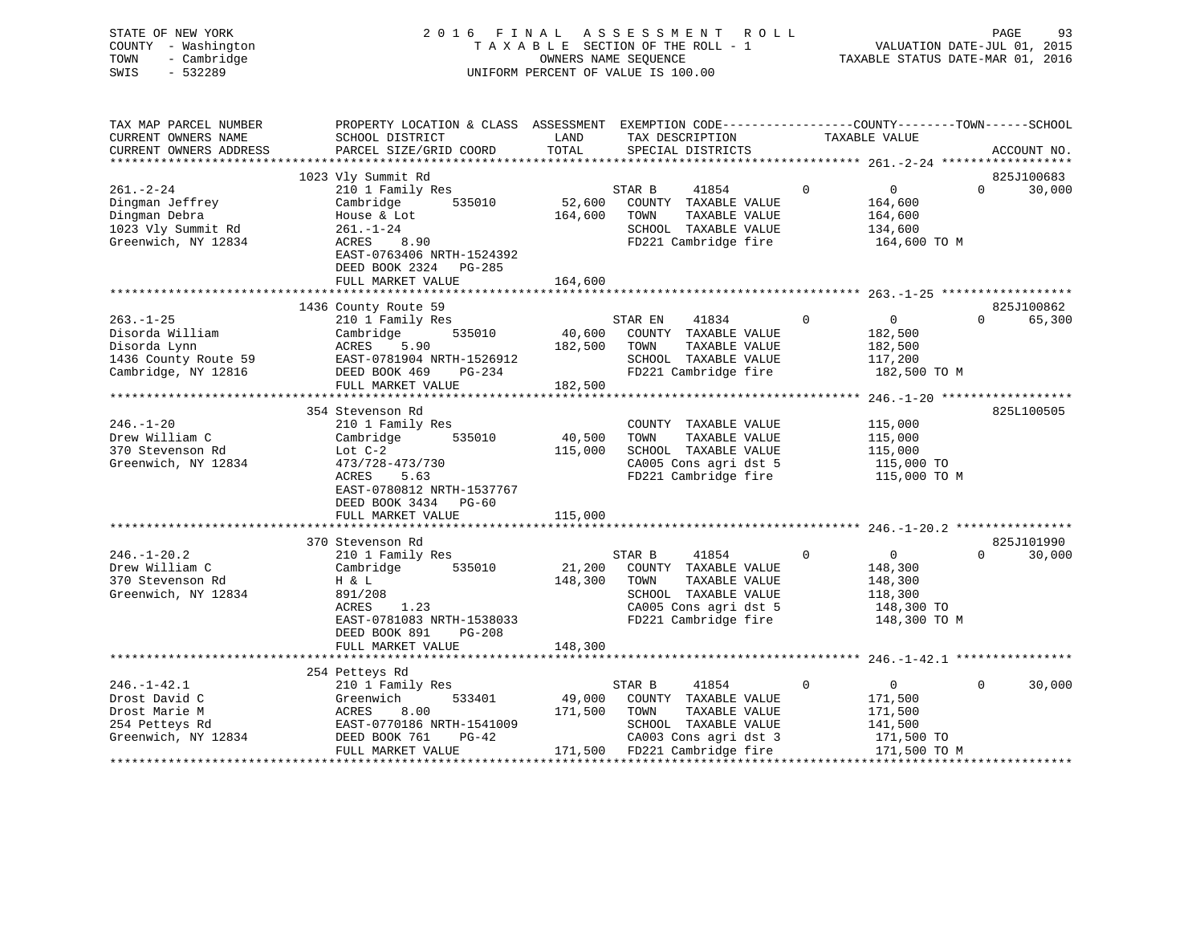| STATE OF NEW YORK<br>COUNTY - Washington<br>TOWN<br>- Cambridge<br>SWIS<br>$-532289$              | 2016 FINAL                                                                                                                                                             |                              | A S S E S S M E N T<br>R O L L<br>TAXABLE SECTION OF THE ROLL - 1<br>OWNERS NAME SEQUENCE<br>UNIFORM PERCENT OF VALUE IS 100.00           |             |                                                                               | PAGE<br>93<br>VALUATION DATE-JUL 01, 2015<br>TAXABLE STATUS DATE-MAR 01, 2016 |
|---------------------------------------------------------------------------------------------------|------------------------------------------------------------------------------------------------------------------------------------------------------------------------|------------------------------|-------------------------------------------------------------------------------------------------------------------------------------------|-------------|-------------------------------------------------------------------------------|-------------------------------------------------------------------------------|
| TAX MAP PARCEL NUMBER<br>CURRENT OWNERS NAME<br>CURRENT OWNERS ADDRESS                            | PROPERTY LOCATION & CLASS ASSESSMENT EXEMPTION CODE----------------COUNTY-------TOWN------SCHOOL<br>SCHOOL DISTRICT<br>PARCEL SIZE/GRID COORD                          | LAND<br>TOTAL                | TAX DESCRIPTION<br>SPECIAL DISTRICTS                                                                                                      |             | TAXABLE VALUE                                                                 | ACCOUNT NO.                                                                   |
| $261. - 2 - 24$<br>Dingman Jeffrey<br>Dingman Debra<br>1023 Vly Summit Rd<br>Greenwich, NY 12834  | 1023 Vly Summit Rd<br>210 1 Family Res<br>Cambridge<br>535010<br>House & Lot<br>$261. - 1 - 24$<br>ACRES<br>8.90<br>EAST-0763406 NRTH-1524392<br>DEED BOOK 2324 PG-285 | 52,600<br>164,600            | 41854<br>STAR B<br>COUNTY TAXABLE VALUE<br>TOWN<br>TAXABLE VALUE<br>SCHOOL TAXABLE VALUE<br>FD221 Cambridge fire                          | $\mathbf 0$ | $\overline{0}$<br>164,600<br>164,600<br>134,600<br>164,600 TO M               | 825J100683<br>$\Omega$<br>30,000                                              |
|                                                                                                   | FULL MARKET VALUE                                                                                                                                                      | 164,600                      |                                                                                                                                           |             |                                                                               |                                                                               |
|                                                                                                   | 1436 County Route 59                                                                                                                                                   |                              |                                                                                                                                           |             |                                                                               | 825J100862                                                                    |
| $263. - 1 - 25$<br>Disorda William<br>Disorda Lynn<br>1436 County Route 59<br>Cambridge, NY 12816 | 210 1 Family Res<br>535010<br>Cambridge<br>ACRES<br>5.90<br>EAST-0781904 NRTH-1526912<br>DEED BOOK 469<br>PG-234<br>FULL MARKET VALUE                                  | 40,600<br>182,500<br>182,500 | STAR EN<br>41834<br>COUNTY TAXABLE VALUE<br>TAXABLE VALUE<br>TOWN<br>SCHOOL TAXABLE VALUE<br>FD221 Cambridge fire                         | $\Omega$    | $\overline{0}$<br>182,500<br>182,500<br>117,200<br>182,500 TO M               | $\Omega$<br>65,300                                                            |
|                                                                                                   |                                                                                                                                                                        |                              |                                                                                                                                           |             |                                                                               |                                                                               |
| $246. - 1 - 20$<br>Drew William C<br>370 Stevenson Rd<br>Greenwich, NY 12834                      | 354 Stevenson Rd<br>210 1 Family Res<br>Cambridge<br>535010<br>Lot $C-2$<br>473/728-473/730<br>ACRES<br>5.63<br>EAST-0780812 NRTH-1537767<br>DEED BOOK 3434 PG-60      | 40,500<br>115,000            | COUNTY TAXABLE VALUE<br>TAXABLE VALUE<br>TOWN<br>SCHOOL TAXABLE VALUE<br>CA005 Cons agri dst 5<br>FD221 Cambridge fire                    |             | 115,000<br>115,000<br>115,000<br>115,000 TO<br>115,000 TO M                   | 825L100505                                                                    |
|                                                                                                   | FULL MARKET VALUE                                                                                                                                                      | 115,000                      |                                                                                                                                           |             |                                                                               |                                                                               |
|                                                                                                   | 370 Stevenson Rd                                                                                                                                                       |                              |                                                                                                                                           |             |                                                                               | 825J101990                                                                    |
| $246. - 1 - 20.2$<br>Drew William C<br>370 Stevenson Rd<br>Greenwich, NY 12834                    | 210 1 Family Res<br>535010<br>Cambridge<br>H & L<br>891/208<br>ACRES<br>1.23<br>EAST-0781083 NRTH-1538033<br>DEED BOOK 891<br>PG-208                                   | 21,200<br>148,300            | STAR B<br>41854<br>COUNTY TAXABLE VALUE<br>TOWN<br>TAXABLE VALUE<br>SCHOOL TAXABLE VALUE<br>CA005 Cons agri dst 5<br>FD221 Cambridge fire | $\mathbf 0$ | $\overline{0}$<br>148,300<br>148,300<br>118,300<br>148,300 TO<br>148,300 TO M | 30,000<br>$\Omega$                                                            |
|                                                                                                   | FULL MARKET VALUE                                                                                                                                                      | 148,300                      |                                                                                                                                           |             |                                                                               |                                                                               |
|                                                                                                   |                                                                                                                                                                        |                              |                                                                                                                                           |             |                                                                               |                                                                               |
| $246. - 1 - 42.1$<br>Drost David C<br>Drost Marie M<br>254 Petteys Rd<br>Greenwich, NY 12834      | 254 Petteys Rd<br>210 1 Family Res<br>533401<br>Greenwich<br>8.00<br>ACRES<br>EAST-0770186 NRTH-1541009<br>DEED BOOK 761<br>$PG-42$                                    | 49,000<br>171,500            | 41854<br>STAR B<br>COUNTY TAXABLE VALUE<br>TOWN<br>TAXABLE VALUE<br>SCHOOL TAXABLE VALUE<br>CA003 Cons agri dst 3                         | 0           | $\overline{0}$<br>171,500<br>171,500<br>141,500<br>171,500 TO                 | $\Omega$<br>30,000                                                            |

FULL MARKET VALUE 171,500 FD221 Cambridge fire 171,500 TO M \*\*\*\*\*\*\*\*\*\*\*\*\*\*\*\*\*\*\*\*\*\*\*\*\*\*\*\*\*\*\*\*\*\*\*\*\*\*\*\*\*\*\*\*\*\*\*\*\*\*\*\*\*\*\*\*\*\*\*\*\*\*\*\*\*\*\*\*\*\*\*\*\*\*\*\*\*\*\*\*\*\*\*\*\*\*\*\*\*\*\*\*\*\*\*\*\*\*\*\*\*\*\*\*\*\*\*\*\*\*\*\*\*\*\*\*\*\*\*\*\*\*\*\*\*\*\*\*\*\*\*\*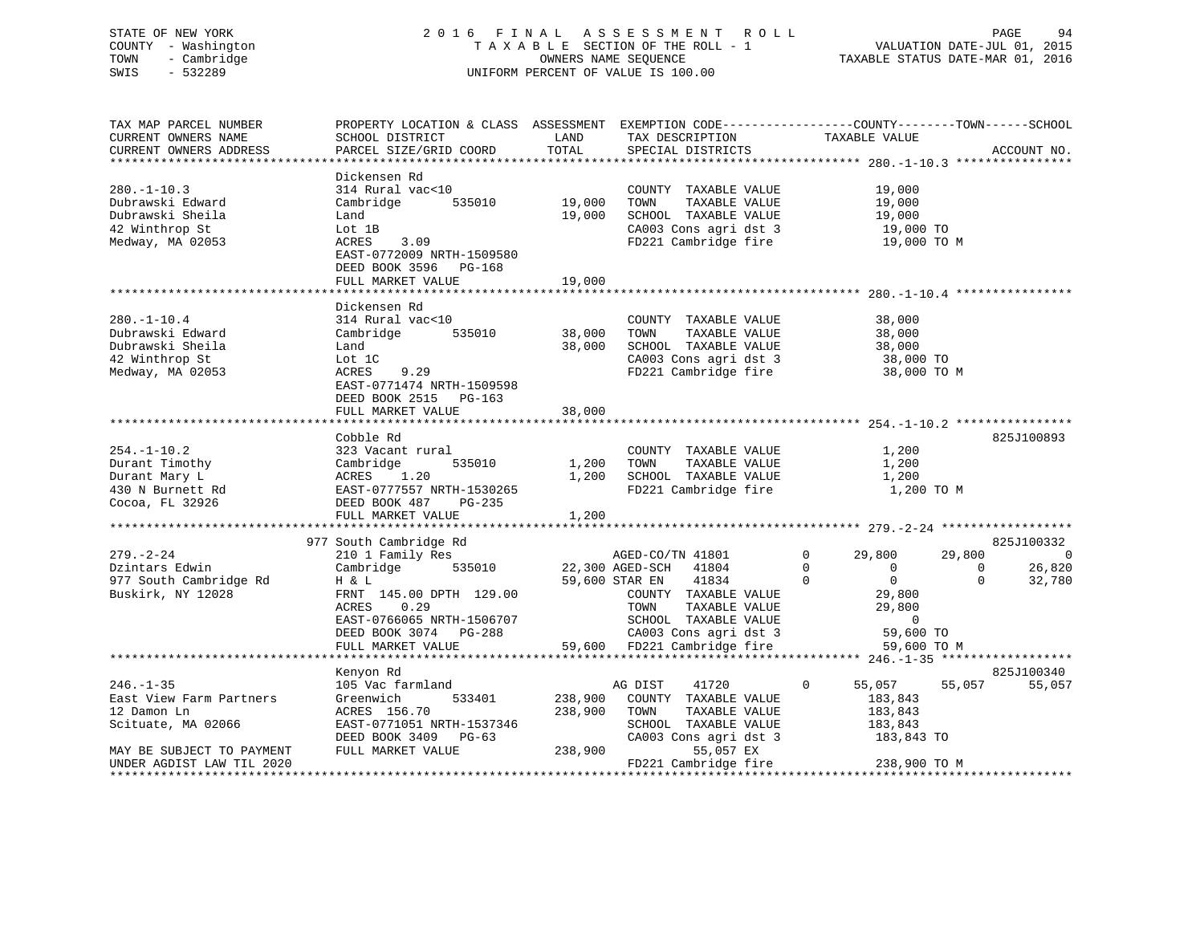# STATE OF NEW YORK 2 0 1 6 F I N A L A S S E S S M E N T R O L L PAGE 94 COUNTY - Washington T A X A B L E SECTION OF THE ROLL - 1 VALUATION DATE-JUL 01, 2015 TOWN - Cambridge OWNERS NAME SEQUENCE TAXABLE STATUS DATE-MAR 01, 2016 SWIS - 532289 UNIFORM PERCENT OF VALUE IS 100.00

TAX MAP PARCEL NUMBER PROPERTY LOCATION & CLASS ASSESSMENT EXEMPTION CODE------------------COUNTY--------TOWN------SCHOOL CURRENT OWNERS NAME SCHOOL DISTRICT THE LAND TAX DESCRIPTION TAXABLE VALUE CURRENT OWNERS ADDRESS PARCEL SIZE/GRID COORD TOTAL SPECIAL DISTRICTS ACCOUNT NO. \*\*\*\*\*\*\*\*\*\*\*\*\*\*\*\*\*\*\*\*\*\*\*\*\*\*\*\*\*\*\*\*\*\*\*\*\*\*\*\*\*\*\*\*\*\*\*\*\*\*\*\*\*\*\*\*\*\*\*\*\*\*\*\*\*\*\*\*\*\*\*\*\*\*\*\*\*\*\*\*\*\*\*\*\*\*\*\*\*\*\*\*\*\*\*\*\*\*\*\*\*\*\* 280.-1-10.3 \*\*\*\*\*\*\*\*\*\*\*\*\*\*\*\* Dickensen Rd280.-1-10.3 314 Rural vac<10 COUNTY TAXABLE VALUE 19,000 Dubrawski Edward Cambridge 535010 19,000 TOWN TAXABLE VALUE 19,000 Dubrawski Sheila Land 19,000 SCHOOL TAXABLE VALUE 19,000 42 Winthrop St Lot 1B CA003 Cons agri dst 3 19,000 TO Medway, MA 02053 ACRES 3.09 FD221 Cambridge fire 19,000 TO M EAST-0772009 NRTH-1509580 DEED BOOK 3596 PG-168 FULL MARKET VALUE 19,000 \*\*\*\*\*\*\*\*\*\*\*\*\*\*\*\*\*\*\*\*\*\*\*\*\*\*\*\*\*\*\*\*\*\*\*\*\*\*\*\*\*\*\*\*\*\*\*\*\*\*\*\*\*\*\*\*\*\*\*\*\*\*\*\*\*\*\*\*\*\*\*\*\*\*\*\*\*\*\*\*\*\*\*\*\*\*\*\*\*\*\*\*\*\*\*\*\*\*\*\*\*\*\* 280.-1-10.4 \*\*\*\*\*\*\*\*\*\*\*\*\*\*\*\* Dickensen Rd280.-1-10.4 314 Rural vac<10 COUNTY TAXABLE VALUE 38,000 Dubrawski Edward Cambridge 535010 38,000 TOWN TAXABLE VALUE 38,000 Dubrawski Sheila Land 38,000 SCHOOL TAXABLE VALUE 38,000 42 Winthrop St Lot 1C CA003 Cons agri dst 3 38,000 TO Medway, MA 02053 ACRES 9.29 FD221 Cambridge fire 38,000 TO M EAST-0771474 NRTH-1509598 DEED BOOK 2515 PG-163 FULL MARKET VALUE 38,000 \*\*\*\*\*\*\*\*\*\*\*\*\*\*\*\*\*\*\*\*\*\*\*\*\*\*\*\*\*\*\*\*\*\*\*\*\*\*\*\*\*\*\*\*\*\*\*\*\*\*\*\*\*\*\*\*\*\*\*\*\*\*\*\*\*\*\*\*\*\*\*\*\*\*\*\*\*\*\*\*\*\*\*\*\*\*\*\*\*\*\*\*\*\*\*\*\*\*\*\*\*\*\* 254.-1-10.2 \*\*\*\*\*\*\*\*\*\*\*\*\*\*\*\* Cobble Rd 825J100893254.-1-10.2 323 Vacant rural COUNTY TAXABLE VALUE 1,200 Durant Timothy Cambridge 535010 1,200 TOWN TAXABLE VALUE 1,200 Durant Mary L ACRES 1.20 1,200 SCHOOL TAXABLE VALUE 1,200 430 N Burnett Rd EAST-0777557 NRTH-1530265 FD221 Cambridge fire 1,200 TO M Cocoa, FL 32926 DEED BOOK 487 PG-235  $FULL$  MARKET VALUE  $1,200$ \*\*\*\*\*\*\*\*\*\*\*\*\*\*\*\*\*\*\*\*\*\*\*\*\*\*\*\*\*\*\*\*\*\*\*\*\*\*\*\*\*\*\*\*\*\*\*\*\*\*\*\*\*\*\*\*\*\*\*\*\*\*\*\*\*\*\*\*\*\*\*\*\*\*\*\*\*\*\*\*\*\*\*\*\*\*\*\*\*\*\*\*\*\*\*\*\*\*\*\*\*\*\* 279.-2-24 \*\*\*\*\*\*\*\*\*\*\*\*\*\*\*\*\*\*977 South Cambridge Rd 825J100332 (1998) 977 South Cambridge Rd 825J100332 279.-2-24 210 1 Family Res AGED-CO/TN 41801 0 29,800 29,800 0 Dzintars Edwin Cambridge 535010 22,300 AGED-SCH 41804 0 0 0 26,820 977 South Cambridge Rd H & L 59,600 STAR EN 41834 0 0 0 32,780 Buskirk, NY 12028 FRNT 145.00 DPTH 129.00 COUNTY TAXABLE VALUE 29,800 ACRES 0.29 TOWN TAXABLE VALUE 29,800 EAST-0766065 NRTH-1506707 SCHOOL TAXABLE VALUE 0 DEED BOOK 3074 PG-288 CA003 Cons agri dst 3 59,600 TO FULL MARKET VALUE 59,600 FD221 Cambridge fire 59,600 TO M \*\*\*\*\*\*\*\*\*\*\*\*\*\*\*\*\*\*\*\*\*\*\*\*\*\*\*\*\*\*\*\*\*\*\*\*\*\*\*\*\*\*\*\*\*\*\*\*\*\*\*\*\*\*\*\*\*\*\*\*\*\*\*\*\*\*\*\*\*\*\*\*\*\*\*\*\*\*\*\*\*\*\*\*\*\*\*\*\*\*\*\*\*\*\*\*\*\*\*\*\*\*\* 246.-1-35 \*\*\*\*\*\*\*\*\*\*\*\*\*\*\*\*\*\* Kenyon Rd 825J100340 246.-1-35 105 Vac farmland AG DIST 41720 0 55,057 55,057 55,057 East View Farm Partners Greenwich 533401 238,900 COUNTY TAXABLE VALUE 183,843 12 Damon Ln ACRES 156.70 238,900 TOWN TAXABLE VALUE 183,843 Scituate, MA 02066 EAST-0771051 NRTH-1537346 SCHOOL TAXABLE VALUE 183,843 DEED BOOK 3409 PG-63 CA003 Cons agri dst 3 183,843 TO MAY BE SUBJECT TO PAYMENT FULL MARKET VALUE 238,900 55,057 EX UNDER AGDIST LAW TIL 2020 FD221 Cambridge fire 238,900 TO M \*\*\*\*\*\*\*\*\*\*\*\*\*\*\*\*\*\*\*\*\*\*\*\*\*\*\*\*\*\*\*\*\*\*\*\*\*\*\*\*\*\*\*\*\*\*\*\*\*\*\*\*\*\*\*\*\*\*\*\*\*\*\*\*\*\*\*\*\*\*\*\*\*\*\*\*\*\*\*\*\*\*\*\*\*\*\*\*\*\*\*\*\*\*\*\*\*\*\*\*\*\*\*\*\*\*\*\*\*\*\*\*\*\*\*\*\*\*\*\*\*\*\*\*\*\*\*\*\*\*\*\*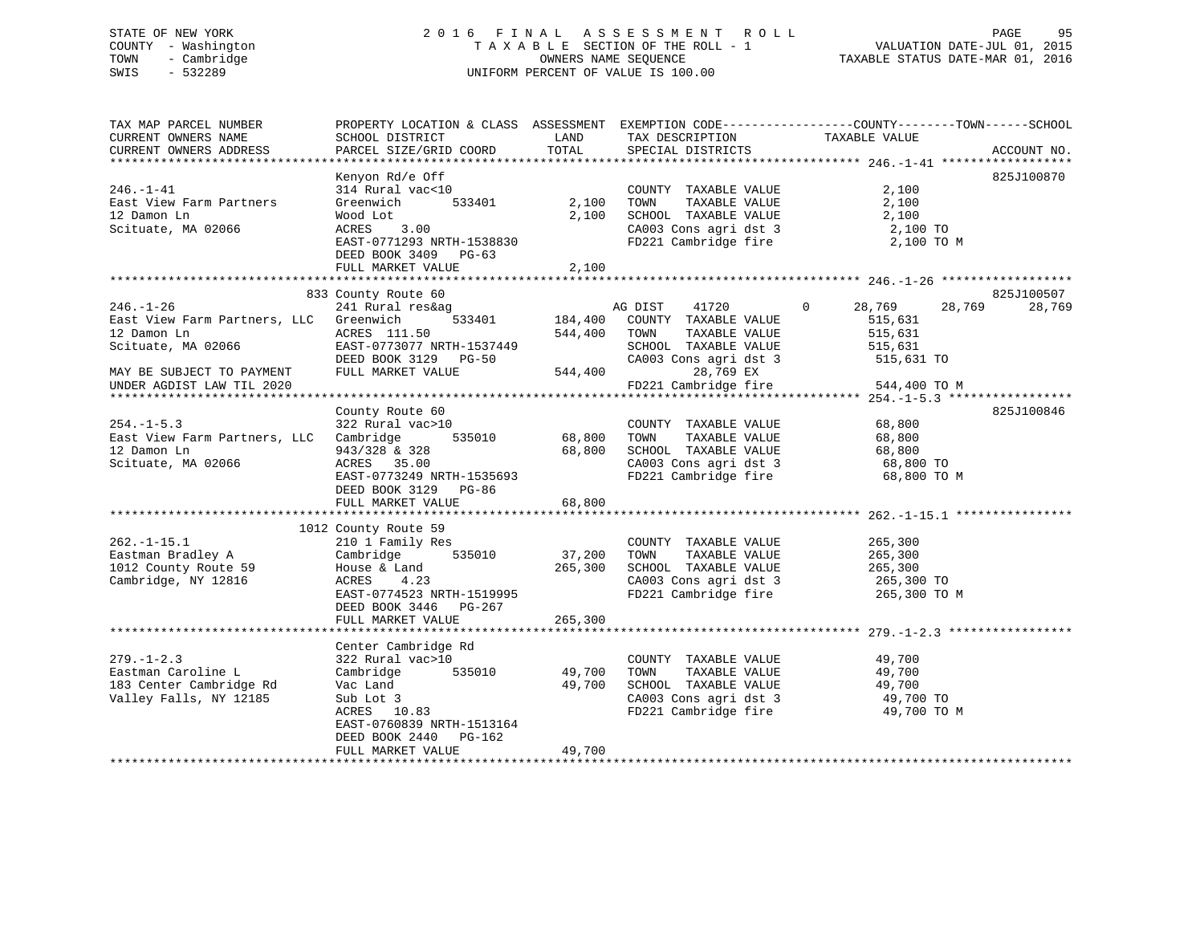### STATE OF NEW YORK 2 0 1 6 F I N A L A S S E S S M E N T R O L L PAGE 95 COUNTY - Washington T A X A B L E SECTION OF THE ROLL - 1 VALUATION DATE-JUL 01, 2015 TOWN - Cambridge TAXABLE STATUS DATE-MAR 01, 2016 SWIS - 532289 UNIFORM PERCENT OF VALUE IS 100.00

TAX MAP PARCEL NUMBER PROPERTY LOCATION & CLASS ASSESSMENT EXEMPTION CODE------------------COUNTY--------TOWN------SCHOOL CURRENT OWNERS NAME SCHOOL DISTRICT THE LAND TAX DESCRIPTION TAXABLE VALUE CURRENT OWNERS ADDRESS PARCEL SIZE/GRID COORD TOTAL SPECIAL DISTRICTS ACCOUNT NO. \*\*\*\*\*\*\*\*\*\*\*\*\*\*\*\*\*\*\*\*\*\*\*\*\*\*\*\*\*\*\*\*\*\*\*\*\*\*\*\*\*\*\*\*\*\*\*\*\*\*\*\*\*\*\*\*\*\*\*\*\*\*\*\*\*\*\*\*\*\*\*\*\*\*\*\*\*\*\*\*\*\*\*\*\*\*\*\*\*\*\*\*\*\*\*\*\*\*\*\*\*\*\* 246.-1-41 \*\*\*\*\*\*\*\*\*\*\*\*\*\*\*\*\*\* Kenyon Rd/e Off 825J100870 246.-1-41 314 Rural vac<10 COUNTY TAXABLE VALUE 2,100 East View Farm Partners Greenwich 533401 2,100 TOWN TAXABLE VALUE 2,100 12 Damon Ln Wood Lot 2,100 SCHOOL TAXABLE VALUE 2,100 Scituate, MA 02066 ACRES 3.00 CA003 Cons agri dst 3 2,100 TO EAST-0771293 NRTH-1538830 FD221 Cambridge fire 2,100 TO M DEED BOOK 3409 PG-63FULL MARKET VALUE 2,100 \*\*\*\*\*\*\*\*\*\*\*\*\*\*\*\*\*\*\*\*\*\*\*\*\*\*\*\*\*\*\*\*\*\*\*\*\*\*\*\*\*\*\*\*\*\*\*\*\*\*\*\*\*\*\*\*\*\*\*\*\*\*\*\*\*\*\*\*\*\*\*\*\*\*\*\*\*\*\*\*\*\*\*\*\*\*\*\*\*\*\*\*\*\*\*\*\*\*\*\*\*\*\* 246.-1-26 \*\*\*\*\*\*\*\*\*\*\*\*\*\*\*\*\*\* 833 County Route 60 825J100507 246.-1-26 241 Rural res&ag AG DIST 41720 0 28,769 28,769 28,769 East View Farm Partners, LLC Greenwich 533401 184,400 COUNTY TAXABLE VALUE 515,631 12 Damon Ln ACRES 111.50 544,400 TOWN TAXABLE VALUE 515,631 Scituate, MA 02066 EAST-0773077 NRTH-1537449 SCHOOL TAXABLE VALUE 515,631 DEED BOOK 3129 PG-50 CA003 Cons agri dst 3 515,631 TO MAY BE SUBJECT TO PAYMENT FULL MARKET VALUE 544,400 28,769 EX UNDER AGDIST LAW TIL 2020 FD221 Cambridge fire 544,400 TO M \*\*\*\*\*\*\*\*\*\*\*\*\*\*\*\*\*\*\*\*\*\*\*\*\*\*\*\*\*\*\*\*\*\*\*\*\*\*\*\*\*\*\*\*\*\*\*\*\*\*\*\*\*\*\*\*\*\*\*\*\*\*\*\*\*\*\*\*\*\*\*\*\*\*\*\*\*\*\*\*\*\*\*\*\*\*\*\*\*\*\*\*\*\*\*\*\*\*\*\*\*\*\* 254.-1-5.3 \*\*\*\*\*\*\*\*\*\*\*\*\*\*\*\*\*County Route 60 825J100846 254.-1-5.3 322 Rural vac>10 COUNTY TAXABLE VALUE 68,800 East View Farm Partners, LLC Cambridge 535010 68,800 TOWN TAXABLE VALUE 68,800 12 Damon Ln 943/328 & 328 68,800 SCHOOL TAXABLE VALUE 68,800 Scituate, MA 02066 ACRES 35.00 CA003 Cons agri dst 3 68,800 TO ACRES 35.00<br>
EAST-0773249 NRTH-1535693 FD221 Cambridge fire 68,800 TO M DEED BOOK 3129 PG-86 FULL MARKET VALUE 68,800 \*\*\*\*\*\*\*\*\*\*\*\*\*\*\*\*\*\*\*\*\*\*\*\*\*\*\*\*\*\*\*\*\*\*\*\*\*\*\*\*\*\*\*\*\*\*\*\*\*\*\*\*\*\*\*\*\*\*\*\*\*\*\*\*\*\*\*\*\*\*\*\*\*\*\*\*\*\*\*\*\*\*\*\*\*\*\*\*\*\*\*\*\*\*\*\*\*\*\*\*\*\*\* 262.-1-15.1 \*\*\*\*\*\*\*\*\*\*\*\*\*\*\*\* 1012 County Route 59 262.-1-15.1 210 1 Family Res COUNTY TAXABLE VALUE 265,300 Eastman Bradley A Cambridge 535010 37,200 TOWN TAXABLE VALUE 265,300 1012 County Route 59 House & Land 265,300 SCHOOL TAXABLE VALUE 265,300 Cambridge, NY 12816 ACRES 4.23 CA003 Cons agri dst 3 265,300 TO ACRES 4.23 CA003 Cons agri dst 3 265,300 TO<br>EAST-0774523 NRTH-1519995 FD221 Cambridge fire 265,300 TO M DEED BOOK 3446 PG-267 FULL MARKET VALUE 265,300 \*\*\*\*\*\*\*\*\*\*\*\*\*\*\*\*\*\*\*\*\*\*\*\*\*\*\*\*\*\*\*\*\*\*\*\*\*\*\*\*\*\*\*\*\*\*\*\*\*\*\*\*\*\*\*\*\*\*\*\*\*\*\*\*\*\*\*\*\*\*\*\*\*\*\*\*\*\*\*\*\*\*\*\*\*\*\*\*\*\*\*\*\*\*\*\*\*\*\*\*\*\*\* 279.-1-2.3 \*\*\*\*\*\*\*\*\*\*\*\*\*\*\*\*\* Center Cambridge Rd 279.-1-2.3 322 Rural vac>10 COUNTY TAXABLE VALUE 49,700 Eastman Caroline L Cambridge 535010 49,700 TOWN TAXABLE VALUE 49,700 183 Center Cambridge Rd Vac Land 49,700 SCHOOL TAXABLE VALUE 49,700 Valley Falls, NY 12185 Sub Lot 3 CA003 Cons agri dst 3 49,700 TO ACRES 10.83 FD221 Cambridge fire 49,700 TO M EAST-0760839 NRTH-1513164DEED BOOK 2440 PG-162

\*\*\*\*\*\*\*\*\*\*\*\*\*\*\*\*\*\*\*\*\*\*\*\*\*\*\*\*\*\*\*\*\*\*\*\*\*\*\*\*\*\*\*\*\*\*\*\*\*\*\*\*\*\*\*\*\*\*\*\*\*\*\*\*\*\*\*\*\*\*\*\*\*\*\*\*\*\*\*\*\*\*\*\*\*\*\*\*\*\*\*\*\*\*\*\*\*\*\*\*\*\*\*\*\*\*\*\*\*\*\*\*\*\*\*\*\*\*\*\*\*\*\*\*\*\*\*\*\*\*\*\*

FULL MARKET VALUE 49,700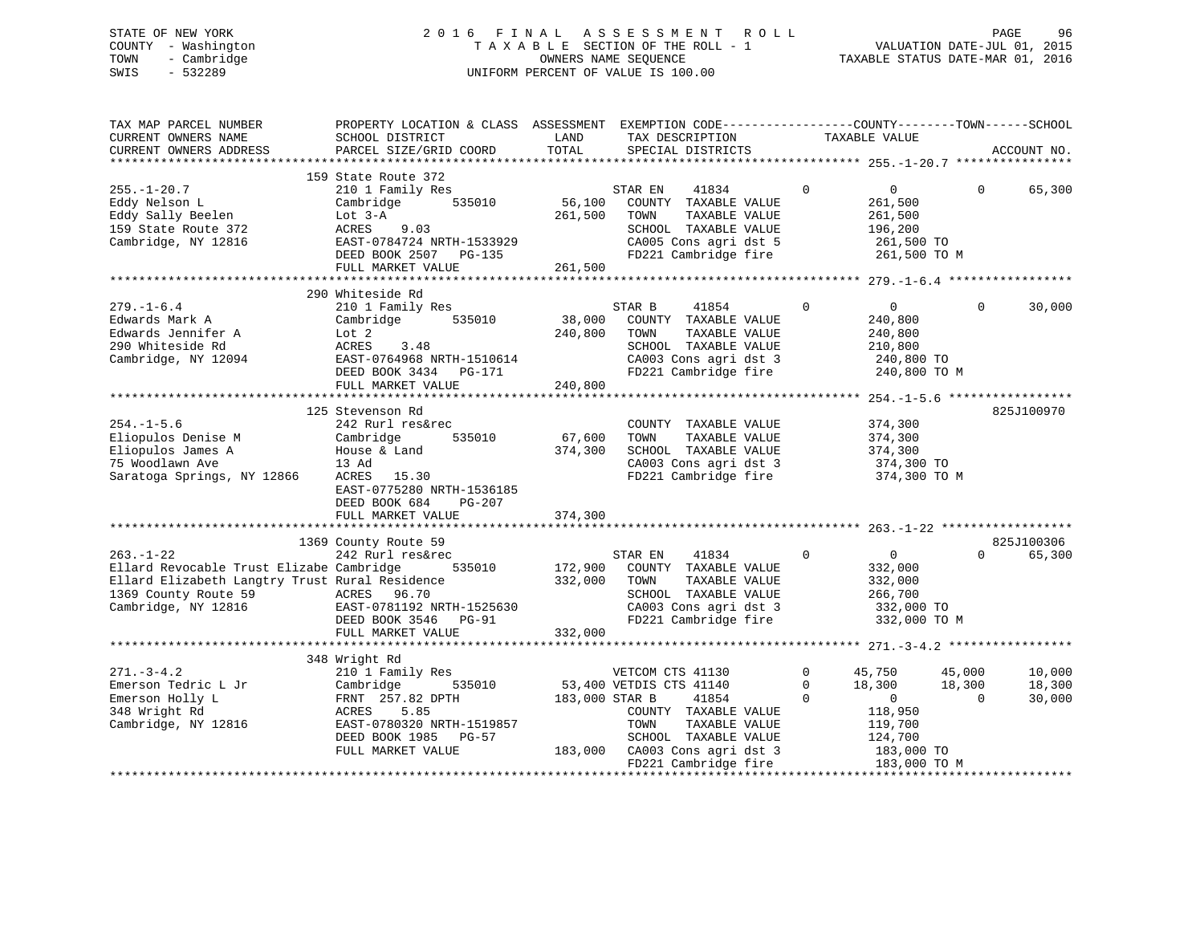### STATE OF NEW YORK 2 0 1 6 F I N A L A S S E S S M E N T R O L L PAGE 96 COUNTY - Washington T A X A B L E SECTION OF THE ROLL - 1 VALUATION DATE-JUL 01, 2015 TOWN - Cambridge OWNERS NAME SEQUENCE TAXABLE STATUS DATE-MAR 01, 2016 SWIS - 532289 UNIFORM PERCENT OF VALUE IS 100.00

| TAX MAP PARCEL NUMBER<br>CURRENT OWNERS NAME<br>CURRENT OWNERS ADDRESS                                                                                       | PROPERTY LOCATION & CLASS ASSESSMENT EXEMPTION CODE---------------COUNTY-------TOWN------SCHOOL<br>SCHOOL DISTRICT<br>PARCEL SIZE/GRID COORD                         | LAND<br>TOTAL                 | TAX DESCRIPTION<br>SPECIAL DISTRICTS                                                                                                                              |                                           | TAXABLE VALUE                                                                 |                              | ACCOUNT NO.                |
|--------------------------------------------------------------------------------------------------------------------------------------------------------------|----------------------------------------------------------------------------------------------------------------------------------------------------------------------|-------------------------------|-------------------------------------------------------------------------------------------------------------------------------------------------------------------|-------------------------------------------|-------------------------------------------------------------------------------|------------------------------|----------------------------|
| $255. - 1 - 20.7$<br>Eddy Nelson L<br>Eddy Sally Beelen<br>159 State Route 372<br>Cambridge, NY 12816                                                        | 159 State Route 372<br>210 1 Family Res<br>535010<br>Cambridge<br>Lot 3-A<br>ACRES 9.03<br>EAST-0784724 NRTH-1533929<br>DEED BOOK 2507 PG-135<br>FULL MARKET VALUE   | 261,500<br>261,500            | 41834<br>STAR EN<br>56,100 COUNTY TAXABLE VALUE<br>TAXABLE VALUE<br>TOWN<br>SCHOOL TAXABLE VALUE<br>CA005 Cons agri dst 5<br>FD221 Cambridge fire                 | $\mathbf 0$                               | $\overline{0}$<br>261,500<br>261,500<br>196,200<br>261,500 TO<br>261,500 TO M | $\Omega$                     | 65,300                     |
|                                                                                                                                                              |                                                                                                                                                                      |                               |                                                                                                                                                                   |                                           |                                                                               |                              |                            |
| $279. - 1 - 6.4$<br>Edwards Mark A<br>Edwards Jennifer A<br>290 Whiteside Rd<br>Cambridge, NY 12094                                                          | 290 Whiteside Rd<br>210 1 Family Res<br>Cambridge<br>535010<br>Lot 2<br>ACRES<br>3.48<br>EAST-0764968 NRTH-1510614<br>DEED BOOK 3434 PG-171<br>FULL MARKET VALUE     | 38,000<br>240,800<br>240,800  | STAR B<br>41854<br>COUNTY TAXABLE VALUE<br>TOWN<br>TAXABLE VALUE<br>SCHOOL TAXABLE VALUE<br>CA003 Cons agri dst 3 240,800 TO<br>FD221 Cambridge fire 240,800 TO M | $\mathbf 0$                               | $\overline{0}$<br>240,800<br>240,800<br>210,800                               | $\Omega$                     | 30,000                     |
|                                                                                                                                                              |                                                                                                                                                                      |                               |                                                                                                                                                                   |                                           |                                                                               |                              |                            |
| $254. -1 - 5.6$<br>Eliopulos Denise M<br>Eliopulos James A<br>75 Woodlawn Ave<br>Saratoga Springs, NY 12866                                                  | 125 Stevenson Rd<br>242 Rurl res&rec<br>535010<br>Cambridge<br>House & Land<br>13 Ad<br>ACRES 15.30<br>EAST-0775280 NRTH-1536185<br>DEED BOOK 684<br>PG-207          | 67,600<br>374,300             | COUNTY TAXABLE VALUE<br>TAXABLE VALUE<br>TOWN<br>SCHOOL TAXABLE VALUE<br>CA003 Cons agri dst 3<br>FD221 Cambridge fire                                            |                                           | 374,300<br>374,300<br>374,300<br>374,300 TO<br>374,300 TO M                   |                              | 825J100970                 |
|                                                                                                                                                              | FULL MARKET VALUE                                                                                                                                                    | 374,300                       |                                                                                                                                                                   |                                           |                                                                               |                              |                            |
| $263. - 1 - 22$<br>Ellard Revocable Trust Elizabe Cambridge<br>Ellard Elizabeth Langtry Trust Rural Residence<br>1369 County Route 59<br>Cambridge, NY 12816 | 1369 County Route 59<br>242 Rurl res&rec<br>535010<br>ACRES 96.70<br>FAST-0781192<br>EAST-0781192 NRTH-1525630<br>DEED BOOK 3546 PG-91<br>FULL MARKET VALUE          | 172,900<br>332,000<br>332,000 | STAR EN<br>41834<br>COUNTY TAXABLE VALUE<br>TOWN<br>TAXABLE VALUE<br>SCHOOL TAXABLE VALUE<br>CA003 Cons agri dst 3<br>FD221 Cambridge fire 332,000 TO M           | $\Omega$                                  | $\overline{0}$<br>332,000<br>332,000<br>266,700<br>332,000 TO                 | $\Omega$                     | 825J100306<br>65,300       |
|                                                                                                                                                              |                                                                                                                                                                      |                               |                                                                                                                                                                   |                                           |                                                                               |                              |                            |
| $271 - 3 - 4.2$<br>Emerson Tedric L Jr<br>Emerson Holly L<br>348 Wright Rd<br>Cambridge, NY 12816                                                            | 348 Wright Rd<br>210 1 Family Res<br>535010<br>Cambridge<br>FRNT 257.82 DPTH<br>ACRES 5.85<br>EAST-0780320 NRTH-1519857<br>DEED BOOK 1985 PG-57<br>FULL MARKET VALUE | 183,000 STAR B                | VETCOM CTS 41130<br>53,400 VETDIS CTS 41140<br>41854<br>COUNTY TAXABLE VALUE<br>TAXABLE VALUE<br>TOWN<br>SCHOOL TAXABLE VALUE<br>183,000 CA003 Cons agri dst 3    | $\overline{0}$<br>$\mathbf 0$<br>$\Omega$ | 45,750<br>18,300<br>$\sim$ 0<br>118,950<br>119,700<br>124,700<br>183,000 TO   | 45,000<br>18,300<br>$\Omega$ | 10,000<br>18,300<br>30,000 |
|                                                                                                                                                              |                                                                                                                                                                      |                               | FD221 Cambridge fire                                                                                                                                              |                                           | 183,000 TO M                                                                  |                              |                            |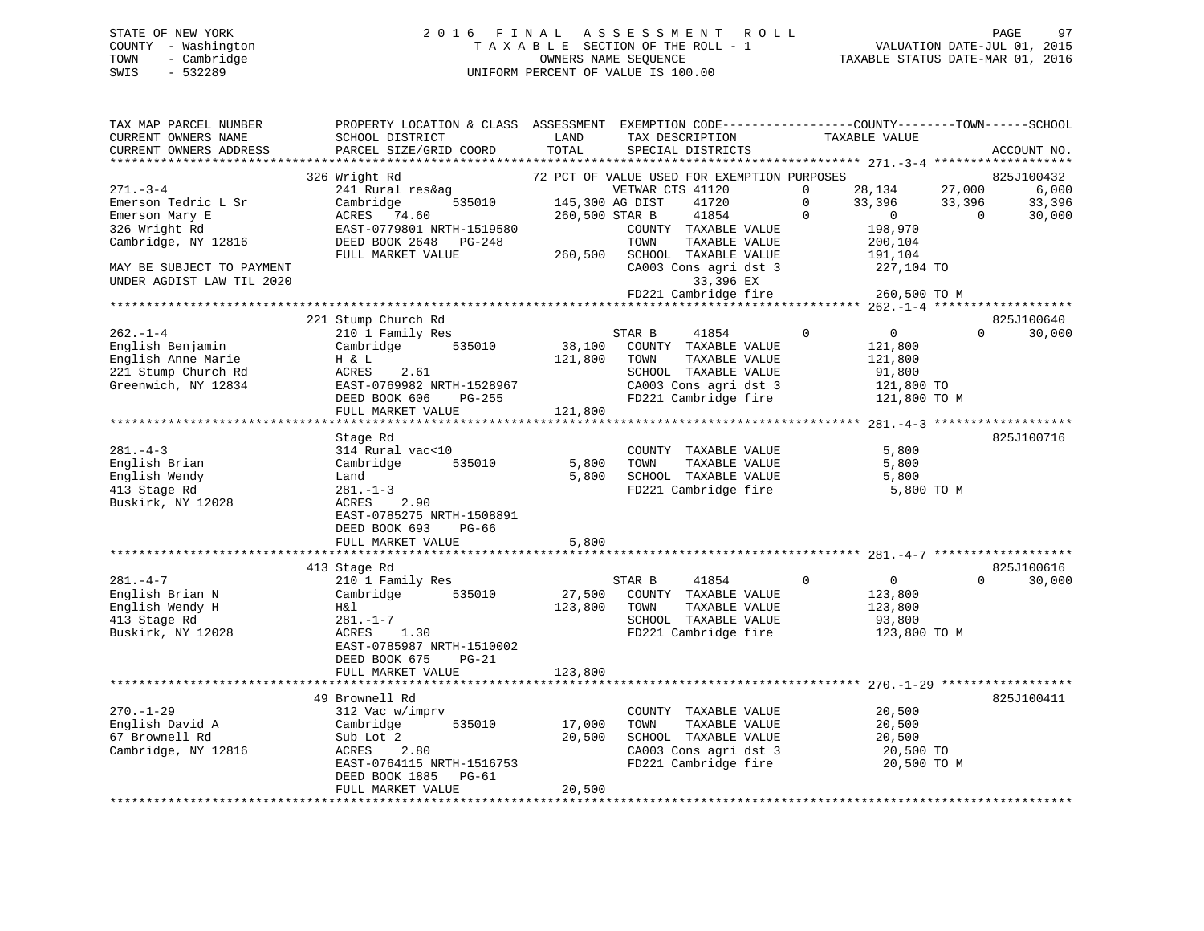### STATE OF NEW YORK 2 0 1 6 F I N A L A S S E S S M E N T R O L L PAGE 97 COUNTY - Washington T A X A B L E SECTION OF THE ROLL - 1 VALUATION DATE-JUL 01, 2015 TOWN - Cambridge OWNERS NAME SEQUENCE TAXABLE STATUS DATE-MAR 01, 2016 SWIS - 532289 UNIFORM PERCENT OF VALUE IS 100.00

| TAX MAP PARCEL NUMBER     | PROPERTY LOCATION & CLASS ASSESSMENT EXEMPTION CODE----------------COUNTY-------TOWN------SCHOOL |                 |                                             |                                  |                          |
|---------------------------|--------------------------------------------------------------------------------------------------|-----------------|---------------------------------------------|----------------------------------|--------------------------|
| CURRENT OWNERS NAME       | SCHOOL DISTRICT                                                                                  | LAND            | TAX DESCRIPTION                             | TAXABLE VALUE                    |                          |
| CURRENT OWNERS ADDRESS    | PARCEL SIZE/GRID COORD                                                                           | TOTAL           | SPECIAL DISTRICTS                           |                                  | ACCOUNT NO.              |
|                           |                                                                                                  |                 |                                             |                                  |                          |
|                           | 326 Wright Rd                                                                                    |                 | 72 PCT OF VALUE USED FOR EXEMPTION PURPOSES |                                  | 825J100432               |
| $271. - 3 - 4$            | 241 Rural res&ag                                                                                 |                 | VETWAR CTS 41120                            | 28,134                           | 6,000<br>27,000          |
| Emerson Tedric L Sr       | Cambridge<br>535010                                                                              | 145,300 AG DIST | 41720                                       | $\Omega$<br>33,396               | 33,396<br>33,396         |
| Emerson Mary E            | ACRES 74.60                                                                                      | 260,500 STAR B  | 41854                                       | $\Omega$<br>$\overline{0}$       | 30,000<br>$\overline{0}$ |
| 326 Wright Rd             | EAST-0779801 NRTH-1519580                                                                        |                 | COUNTY TAXABLE VALUE                        | 198,970                          |                          |
| Cambridge, NY 12816       | DEED BOOK 2648 PG-248                                                                            |                 | TOWN<br>TAXABLE VALUE                       | 200,104                          |                          |
|                           | FULL MARKET VALUE                                                                                |                 | 260,500 SCHOOL TAXABLE VALUE                | 191,104                          |                          |
| MAY BE SUBJECT TO PAYMENT |                                                                                                  |                 | CA003 Cons agri dst 3                       | 227,104 TO                       |                          |
| UNDER AGDIST LAW TIL 2020 |                                                                                                  |                 | 33,396 EX                                   |                                  |                          |
|                           |                                                                                                  |                 | FD221 Cambridge fire                        |                                  |                          |
|                           |                                                                                                  |                 |                                             | 260,500 TO M                     |                          |
|                           |                                                                                                  |                 |                                             |                                  |                          |
|                           | 221 Stump Church Rd                                                                              |                 |                                             |                                  | 825J100640               |
| $262 - 1 - 4$             | 210 1 Family Res                                                                                 |                 | STAR B<br>41854                             | $\overline{0}$<br>$\overline{0}$ | 30,000<br>$\Omega$       |
| English Benjamin          | Cambridge 535010                                                                                 |                 | 38,100 COUNTY TAXABLE VALUE                 | 121,800                          |                          |
| English Anne Marie        | H & L                                                                                            | 121,800         | TOWN<br>TAXABLE VALUE                       | 121,800                          |                          |
| 221 Stump Church Rd       | ACRES<br>2.61                                                                                    |                 | SCHOOL TAXABLE VALUE                        | 91,800                           |                          |
| Greenwich, NY 12834       | EAST-0769982 NRTH-1528967                                                                        |                 | CA003 Cons agri dst 3                       | 121,800 TO                       |                          |
|                           | DEED BOOK 606 PG-255                                                                             |                 | FD221 Cambridge fire                        | 121,800 TO M                     |                          |
|                           | FULL MARKET VALUE                                                                                | 121,800         |                                             |                                  |                          |
|                           |                                                                                                  |                 |                                             |                                  |                          |
|                           | Stage Rd                                                                                         |                 |                                             |                                  | 825J100716               |
| $281. - 4 - 3$            | 314 Rural vac<10                                                                                 |                 | COUNTY TAXABLE VALUE                        | 5,800                            |                          |
| English Brian             | 535010<br>Cambridge                                                                              | 5,800           | TOWN<br>TAXABLE VALUE                       | 5,800                            |                          |
| English Wendy             | Land                                                                                             | 5,800           | SCHOOL TAXABLE VALUE                        | 5,800                            |                          |
| 413 Stage Rd              | $281. - 1 - 3$                                                                                   |                 | FD221 Cambridge fire                        | 5,800 TO M                       |                          |
| Buskirk, NY 12028         | ACRES<br>2.90                                                                                    |                 |                                             |                                  |                          |
|                           |                                                                                                  |                 |                                             |                                  |                          |
|                           | EAST-0785275 NRTH-1508891                                                                        |                 |                                             |                                  |                          |
|                           | DEED BOOK 693 PG-66                                                                              |                 |                                             |                                  |                          |
|                           | FULL MARKET VALUE                                                                                | 5,800           |                                             |                                  |                          |
|                           |                                                                                                  |                 |                                             |                                  |                          |
|                           | 413 Stage Rd                                                                                     |                 |                                             |                                  | 825J100616               |
| $281. -4 -7$              | 210 1 Family Res                                                                                 |                 | 41854<br>STAR B                             | $\Omega$<br>$\overline{0}$       | 30,000<br>$\Omega$       |
| English Brian N           | Cambridge 535010                                                                                 | 27,500          | COUNTY TAXABLE VALUE                        | 123,800                          |                          |
| English Wendy H           | H&l                                                                                              | 123,800         | TOWN<br>TAXABLE VALUE                       | 123,800                          |                          |
| 413 Stage Rd              | $281. - 1 - 7$                                                                                   |                 | SCHOOL TAXABLE VALUE                        | 93,800                           |                          |
| Buskirk, NY 12028         | ACRES<br>1.30                                                                                    |                 | FD221 Cambridge fire                        | 123,800 TO M                     |                          |
|                           | EAST-0785987 NRTH-1510002                                                                        |                 |                                             |                                  |                          |
|                           | DEED BOOK 675 PG-21                                                                              |                 |                                             |                                  |                          |
|                           | FULL MARKET VALUE                                                                                | 123,800         |                                             |                                  |                          |
|                           |                                                                                                  |                 |                                             |                                  |                          |
|                           | 49 Brownell Rd                                                                                   |                 |                                             |                                  | 825J100411               |
| $270. - 1 - 29$           | 312 Vac w/imprv                                                                                  |                 | COUNTY TAXABLE VALUE                        | 20,500                           |                          |
|                           | 535010                                                                                           |                 |                                             |                                  |                          |
| English David A           | Cambridge                                                                                        | 17,000          | TAXABLE VALUE<br>TOWN                       | 20,500                           |                          |
| 67 Brownell Rd            | Sub Lot 2                                                                                        | 20,500          | SCHOOL TAXABLE VALUE                        | 20,500                           |                          |
| Cambridge, NY 12816       | ACRES<br>2.80                                                                                    |                 | CA003 Cons agri dst 3                       | 20,500 TO                        |                          |
|                           | EAST-0764115 NRTH-1516753                                                                        |                 | FD221 Cambridge fire 20,500 TO M            |                                  |                          |
|                           | DEED BOOK 1885 PG-61                                                                             |                 |                                             |                                  |                          |
|                           | FULL MARKET VALUE                                                                                | 20,500          |                                             |                                  |                          |
|                           |                                                                                                  |                 |                                             |                                  |                          |
|                           |                                                                                                  |                 |                                             |                                  |                          |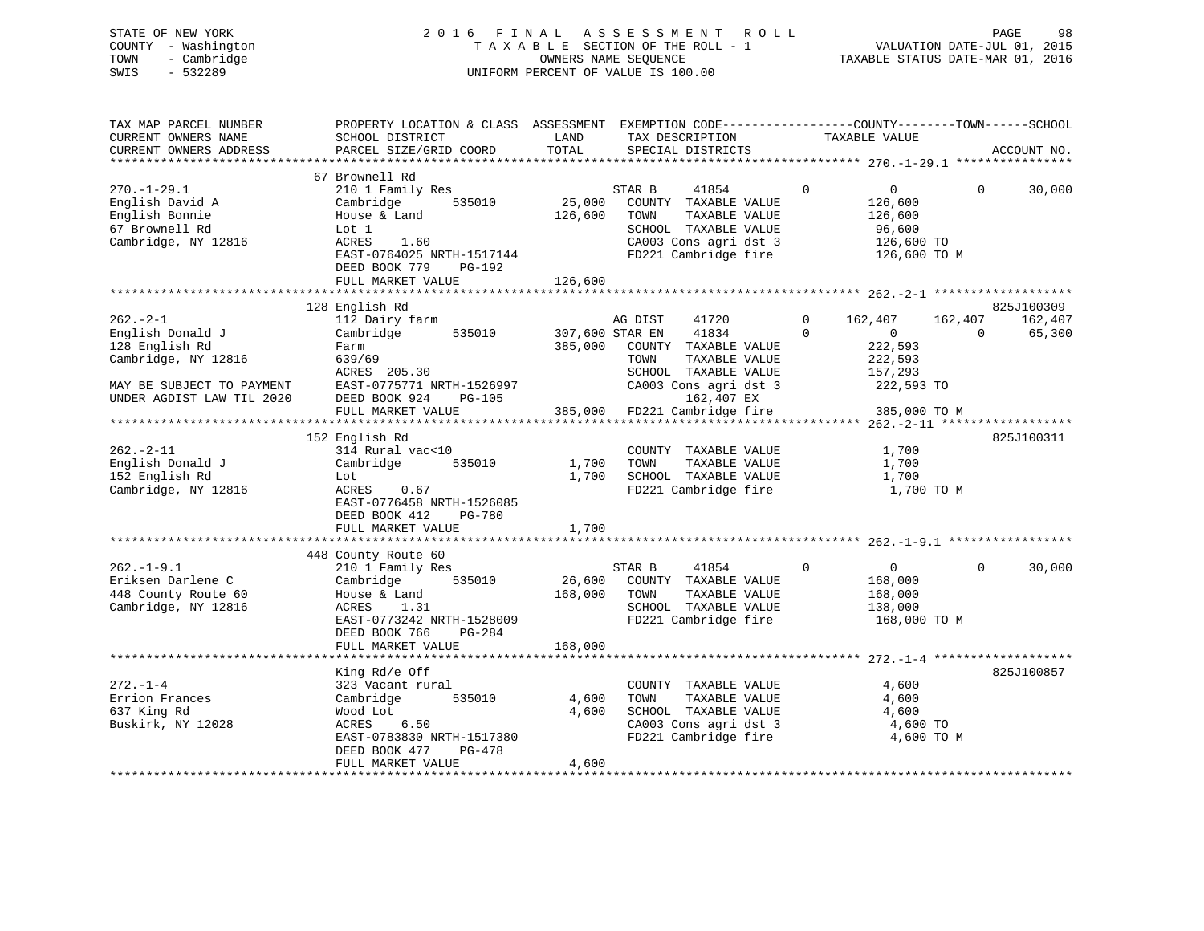| STATE OF NEW YORK   | 2016 FINAL ASSESSMENT ROLL         | 98<br>PAGE                       |
|---------------------|------------------------------------|----------------------------------|
| COUNTY - Washington | TAXABLE SECTION OF THE ROLL - 1    | VALUATION DATE-JUL 01, 2015      |
| - Cambridge<br>TOWN | OWNERS NAME SEOUENCE               | TAXABLE STATUS DATE-MAR 01, 2016 |
| $-532289$<br>SWIS   | UNIFORM PERCENT OF VALUE IS 100.00 |                                  |
|                     |                                    |                                  |

| TAX MAP PARCEL NUMBER<br>CURRENT OWNERS NAME                                                                                         | PROPERTY LOCATION & CLASS ASSESSMENT EXEMPTION CODE----------------COUNTY-------TOWN------SCHOOL<br>SCHOOL DISTRICT                               | LAND              | TAX DESCRIPTION                                                                                                                                   | TAXABLE VALUE                                                                                        |                                                        |
|--------------------------------------------------------------------------------------------------------------------------------------|---------------------------------------------------------------------------------------------------------------------------------------------------|-------------------|---------------------------------------------------------------------------------------------------------------------------------------------------|------------------------------------------------------------------------------------------------------|--------------------------------------------------------|
| CURRENT OWNERS ADDRESS                                                                                                               | PARCEL SIZE/GRID COORD                                                                                                                            | TOTAL             | SPECIAL DISTRICTS                                                                                                                                 |                                                                                                      | ACCOUNT NO.                                            |
| $270. - 1 - 29.1$<br>English David A<br>English Bonnie<br>67 Brownell Rd<br>Cambridge, NY 12816                                      | 67 Brownell Rd<br>210 1 Family Res<br>Cambridge<br>535010<br>House & Land<br>Lot 1<br>1.60<br>ACRES<br>EAST-0764025 NRTH-1517144                  | 25,000<br>126,600 | STAR B<br>41854<br>COUNTY TAXABLE VALUE<br>TAXABLE VALUE<br>TOWN<br>SCHOOL TAXABLE VALUE<br>CA003 Cons agri dst 3<br>FD221 Cambridge fire         | $\mathbf{0}$<br>$\mathbf{0}$<br>126,600<br>126,600<br>96,600<br>126,600 TO<br>126,600 TO M           | $\Omega$<br>30,000                                     |
|                                                                                                                                      | DEED BOOK 779<br>PG-192<br>FULL MARKET VALUE                                                                                                      | 126,600           |                                                                                                                                                   |                                                                                                      |                                                        |
|                                                                                                                                      |                                                                                                                                                   |                   |                                                                                                                                                   |                                                                                                      |                                                        |
| $262 - 2 - 1$<br>English Donald J<br>128 English Rd<br>Cambridge, NY 12816<br>MAY BE SUBJECT TO PAYMENT<br>UNDER AGDIST LAW TIL 2020 | 128 English Rd<br>112 Dairy farm<br>Cambridge<br>535010<br>Farm<br>639/69<br>ACRES 205.30<br>EAST-0775771 NRTH-1526997<br>DEED BOOK 924<br>PG-105 | 307,600 STAR EN   | AG DIST<br>41720<br>41834<br>385,000 COUNTY TAXABLE VALUE<br>TOWN<br>TAXABLE VALUE<br>SCHOOL TAXABLE VALUE<br>CA003 Cons agri dst 3<br>162,407 EX | $\mathbf{0}$<br>162,407<br>$\Omega$<br>$\overline{0}$<br>222,593<br>222,593<br>157,293<br>222,593 TO | 825J100309<br>162,407<br>162,407<br>$\Omega$<br>65,300 |
|                                                                                                                                      | FULL MARKET VALUE                                                                                                                                 |                   | 385,000 FD221 Cambridge fire                                                                                                                      | 385,000 TO M                                                                                         |                                                        |
|                                                                                                                                      | 152 English Rd                                                                                                                                    |                   |                                                                                                                                                   |                                                                                                      | 825J100311                                             |
| $262 - 2 - 11$<br>English Donald J<br>152 English Rd<br>Cambridge, NY 12816                                                          | 314 Rural vac<10<br>Cambridge<br>535010<br>Lot<br>ACRES<br>0.67<br>EAST-0776458 NRTH-1526085<br>DEED BOOK 412<br>PG-780                           | 1,700<br>1,700    | COUNTY TAXABLE VALUE<br>TAXABLE VALUE<br>TOWN<br>SCHOOL TAXABLE VALUE<br>FD221 Cambridge fire                                                     | 1,700<br>1,700<br>1,700<br>1,700 TO M                                                                |                                                        |
|                                                                                                                                      | FULL MARKET VALUE                                                                                                                                 | 1,700             |                                                                                                                                                   |                                                                                                      |                                                        |
|                                                                                                                                      |                                                                                                                                                   |                   |                                                                                                                                                   |                                                                                                      |                                                        |
| $262. -1 - 9.1$<br>Eriksen Darlene C<br>448 County Route 60<br>Cambridge, NY 12816                                                   | 448 County Route 60<br>210 1 Family Res<br>Cambridge 535010<br>House & Land<br>1.31<br>ACRES<br>EAST-0773242 NRTH-1528009                         | 168,000 TOWN      | STAR B<br>41854<br>26,600 COUNTY TAXABLE VALUE<br>TAXABLE VALUE<br>SCHOOL TAXABLE VALUE<br>FD221 Cambridge fire                                   | $\mathbf 0$<br>$\overline{0}$<br>168,000<br>168,000<br>138,000<br>168,000 TO M                       | $\Omega$<br>30,000                                     |
|                                                                                                                                      | DEED BOOK 766<br>PG-284<br>FULL MARKET VALUE                                                                                                      | 168,000           |                                                                                                                                                   |                                                                                                      |                                                        |
|                                                                                                                                      |                                                                                                                                                   |                   |                                                                                                                                                   |                                                                                                      |                                                        |
| $272. - 1 - 4$<br>Errion Frances<br>637 King Rd<br>Buskirk, NY 12028                                                                 | King Rd/e Off<br>323 Vacant rural<br>Cambridge<br>535010<br>Wood Lot<br>ACRES<br>6.50<br>EAST-0783830 NRTH-1517380<br>DEED BOOK 477<br>PG-478     | 4,600<br>4,600    | COUNTY TAXABLE VALUE<br>TAXABLE VALUE<br>TOWN<br>SCHOOL TAXABLE VALUE<br>CA003 Cons agri dst 3<br>FD221 Cambridge fire                            | 4,600<br>4,600<br>4,600<br>4,600 TO<br>4,600 TO M                                                    | 825J100857                                             |
|                                                                                                                                      | FULL MARKET VALUE                                                                                                                                 | 4,600             |                                                                                                                                                   |                                                                                                      |                                                        |
|                                                                                                                                      |                                                                                                                                                   |                   |                                                                                                                                                   |                                                                                                      |                                                        |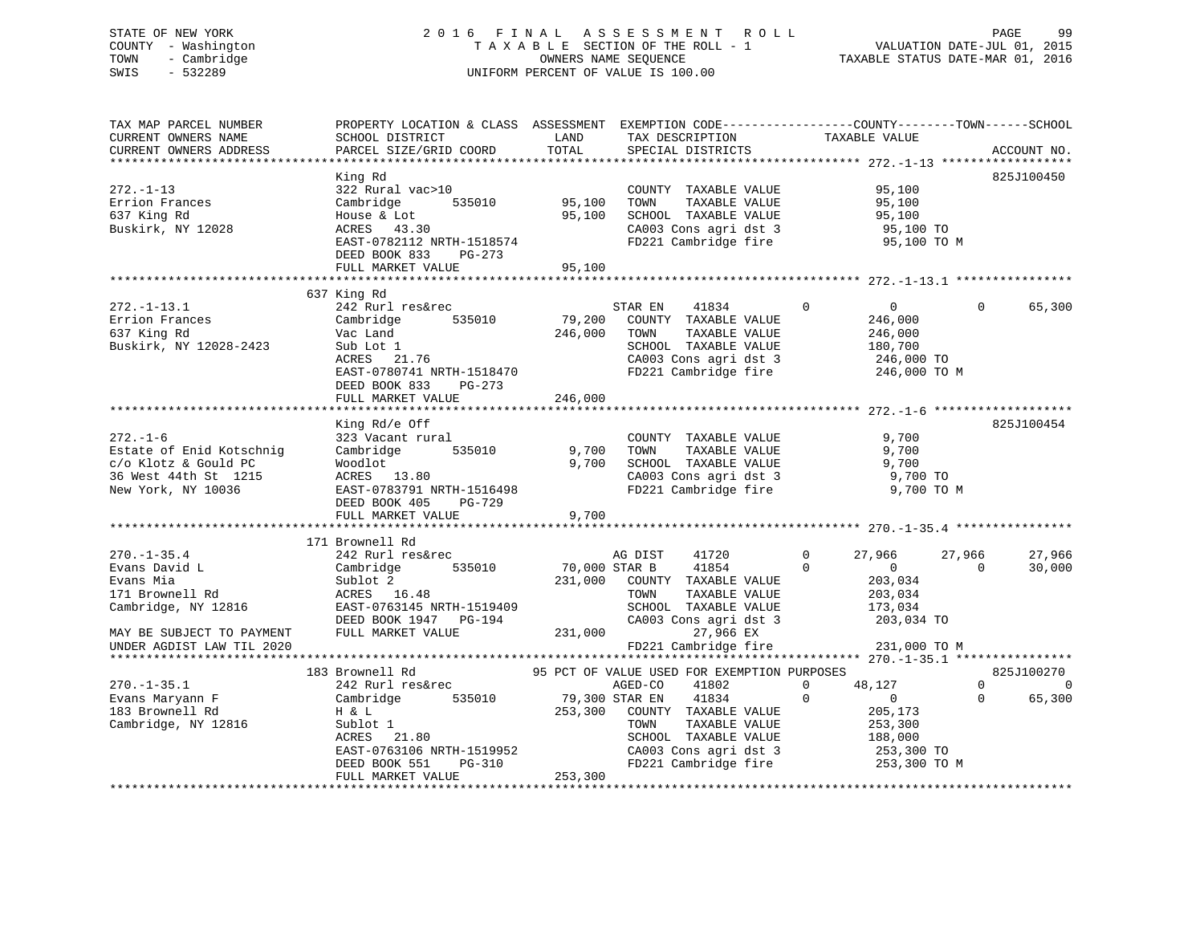### STATE OF NEW YORK 2 0 1 6 F I N A L A S S E S S M E N T R O L L PAGE 99 COUNTY - Washington T A X A B L E SECTION OF THE ROLL - 1 VALUATION DATE-JUL 01, 2015 TOWN - Cambridge OWNERS NAME SEQUENCE TAXABLE STATUS DATE-MAR 01, 2016 SWIS - 532289 UNIFORM PERCENT OF VALUE IS 100.00UNIFORM PERCENT OF VALUE IS 100.00

| TAX MAP PARCEL NUMBER<br>CURRENT OWNERS NAME<br>CURRENT OWNERS ADDRESS | PROPERTY LOCATION & CLASS ASSESSMENT EXEMPTION CODE----------------COUNTY-------TOWN-----SCHOOL<br>SCHOOL DISTRICT<br>PARCEL SIZE/GRID COORD | LAND<br>TOTAL  | TAX DESCRIPTION<br>SPECIAL DISTRICTS                                  | TAXABLE VALUE              |          | ACCOUNT NO.    |
|------------------------------------------------------------------------|----------------------------------------------------------------------------------------------------------------------------------------------|----------------|-----------------------------------------------------------------------|----------------------------|----------|----------------|
|                                                                        |                                                                                                                                              |                |                                                                       |                            |          |                |
|                                                                        | King Rd                                                                                                                                      |                |                                                                       |                            |          | 825J100450     |
| $272. - 1 - 13$                                                        | 322 Rural vac>10                                                                                                                             |                | COUNTY TAXABLE VALUE                                                  | 95,100                     |          |                |
| Errion Frances                                                         | Cambridge                                                                                                                                    | 535010 95,100  | TOWN<br>TAXABLE VALUE                                                 | 95,100                     |          |                |
| 637 King Rd                                                            | House & Lot                                                                                                                                  | 95,100         | SCHOOL TAXABLE VALUE                                                  | 95,100                     |          |                |
| Buskirk, NY 12028                                                      | ACRES 43.30                                                                                                                                  |                | CA003 Cons agri dst 3                                                 | 95,100 TO                  |          |                |
|                                                                        | EAST-0782112 NRTH-1518574                                                                                                                    |                | FD221 Cambridge fire                                                  | 95,100 TO M                |          |                |
|                                                                        | DEED BOOK 833<br>PG-273                                                                                                                      |                |                                                                       |                            |          |                |
|                                                                        | FULL MARKET VALUE                                                                                                                            | 95,100         |                                                                       |                            |          |                |
|                                                                        |                                                                                                                                              |                |                                                                       |                            |          |                |
|                                                                        | 637 King Rd                                                                                                                                  |                |                                                                       |                            |          |                |
| $272. - 1 - 13.1$                                                      | 242 Rurl res&rec                                                                                                                             |                | STAR EN<br>41834                                                      | $\Omega$<br>$\overline{0}$ | $\Omega$ | 65,300         |
| Errion Frances                                                         | Cambridge<br>535010                                                                                                                          |                | 79,200 COUNTY TAXABLE VALUE                                           | 246,000                    |          |                |
| 637 King Rd                                                            | Vac Land                                                                                                                                     | 246,000        | TAXABLE VALUE<br>TOWN                                                 | 246,000                    |          |                |
| Buskirk, NY 12028-2423                                                 |                                                                                                                                              |                |                                                                       |                            |          |                |
|                                                                        | Sub Lot 1<br>ACRES 21.76                                                                                                                     |                | SCHOOL TAXABLE VALUE                                                  | 180,700<br>246,000 TO      |          |                |
|                                                                        |                                                                                                                                              |                | CA003 Cons agri dst 3                                                 |                            |          |                |
|                                                                        | EAST-0780741 NRTH-1518470                                                                                                                    |                | FD221 Cambridge fire 246,000 TO M                                     |                            |          |                |
|                                                                        | DEED BOOK 833 PG-273                                                                                                                         |                |                                                                       |                            |          |                |
|                                                                        | FULL MARKET VALUE                                                                                                                            | 246,000        |                                                                       |                            |          |                |
|                                                                        |                                                                                                                                              |                |                                                                       |                            |          |                |
|                                                                        | King Rd/e Off                                                                                                                                |                |                                                                       |                            |          | 825J100454     |
| $272. - 1 - 6$                                                         | 323 Vacant rural                                                                                                                             |                | COUNTY TAXABLE VALUE                                                  | 9,700                      |          |                |
| Estate of Enid Kotschnig                                               | 535010<br>Cambridge                                                                                                                          | 9,700          | TOWN<br>TAXABLE VALUE                                                 | 9,700                      |          |                |
| c/o Klotz & Gould PC                                                   | Woodlot                                                                                                                                      | 9,700          | SCHOOL TAXABLE VALUE                                                  | 9,700                      |          |                |
| 36 West 44th St 1215                                                   | ACRES 13.80                                                                                                                                  |                | CA003 Cons agri dst 3                                                 | 9,700 TO                   |          |                |
| New York, NY 10036                                                     | EAST-0783791 NRTH-1516498                                                                                                                    |                | FD221 Cambridge fire                                                  | 9,700 TO M                 |          |                |
|                                                                        | DEED BOOK 405<br>$PG-729$                                                                                                                    |                |                                                                       |                            |          |                |
|                                                                        | FULL MARKET VALUE                                                                                                                            | 9,700          |                                                                       |                            |          |                |
|                                                                        |                                                                                                                                              |                |                                                                       |                            |          |                |
|                                                                        | 171 Brownell Rd                                                                                                                              |                |                                                                       |                            |          |                |
| $270. - 1 - 35.4$                                                      | 242 Rurl res&rec                                                                                                                             |                | AG DIST<br>41720                                                      | $\Omega$<br>27,966         | 27,966   | 27,966         |
| Evans David L                                                          | 535010<br>Cambridge                                                                                                                          | 70,000 STAR B  | 41854                                                                 | $\Omega$<br>$\overline{0}$ | $\Omega$ | 30,000         |
| Evans Mia                                                              | Sublot 2                                                                                                                                     |                | 231,000 COUNTY TAXABLE VALUE                                          | 203,034                    |          |                |
| 171 Brownell Rd                                                        | ACRES 16.48                                                                                                                                  |                | TOWN<br>TAXABLE VALUE                                                 | 203,034                    |          |                |
| Cambridge, NY 12816                                                    | EAST-0763145 NRTH-1519409                                                                                                                    |                | SCHOOL TAXABLE VALUE                                                  | 173,034                    |          |                |
|                                                                        | DEED BOOK 1947 PG-194                                                                                                                        |                | CA003 Cons agri dst 3                                                 | 203,034 TO                 |          |                |
| MAY BE SUBJECT TO PAYMENT                                              | FULL MARKET VALUE                                                                                                                            | 231,000        | 27,966 EX                                                             |                            |          |                |
| UNDER AGDIST LAW TIL 2020                                              |                                                                                                                                              |                | FD221 Cambridge fire                                                  | 231,000 TO M               |          |                |
|                                                                        |                                                                                                                                              |                |                                                                       |                            |          |                |
|                                                                        | 183 Brownell Rd                                                                                                                              |                | 95 PCT OF VALUE USED FOR EXEMPTION PURPOSES                           |                            |          | 825J100270     |
| $270. - 1 - 35.1$                                                      | 242 Rurl res&rec                                                                                                                             |                | 41802<br>AGED-CO                                                      | $\mathbf 0$<br>48,127      | $\Omega$ | $\overline{0}$ |
| Evans Maryann F                                                        | Cambridge<br>535010                                                                                                                          | 79,300 STAR EN | 41834                                                                 | $\mathbf 0$<br>$\sim$ 0    | $\Omega$ | 65,300         |
| 183 Brownell Rd                                                        | H & L                                                                                                                                        |                | 253,300 COUNTY TAXABLE VALUE                                          | 205,173                    |          |                |
| Cambridge, NY 12816                                                    | Sublot 1                                                                                                                                     |                | TAXABLE VALUE<br>TOWN                                                 | 253,300                    |          |                |
|                                                                        | ACRES 21.80                                                                                                                                  |                | SCHOOL TAXABLE VALUE                                                  | 188,000                    |          |                |
|                                                                        | EAST-0763106 NRTH-1519952                                                                                                                    |                |                                                                       |                            |          |                |
|                                                                        | PG-310<br>DEED BOOK 551                                                                                                                      |                | CA003 Cons agri dst 3 253,300 TO<br>FD221 Cambridge fire 253,300 TO M |                            |          |                |
|                                                                        | FULL MARKET VALUE                                                                                                                            | 253,300        |                                                                       |                            |          |                |
|                                                                        |                                                                                                                                              |                |                                                                       |                            |          |                |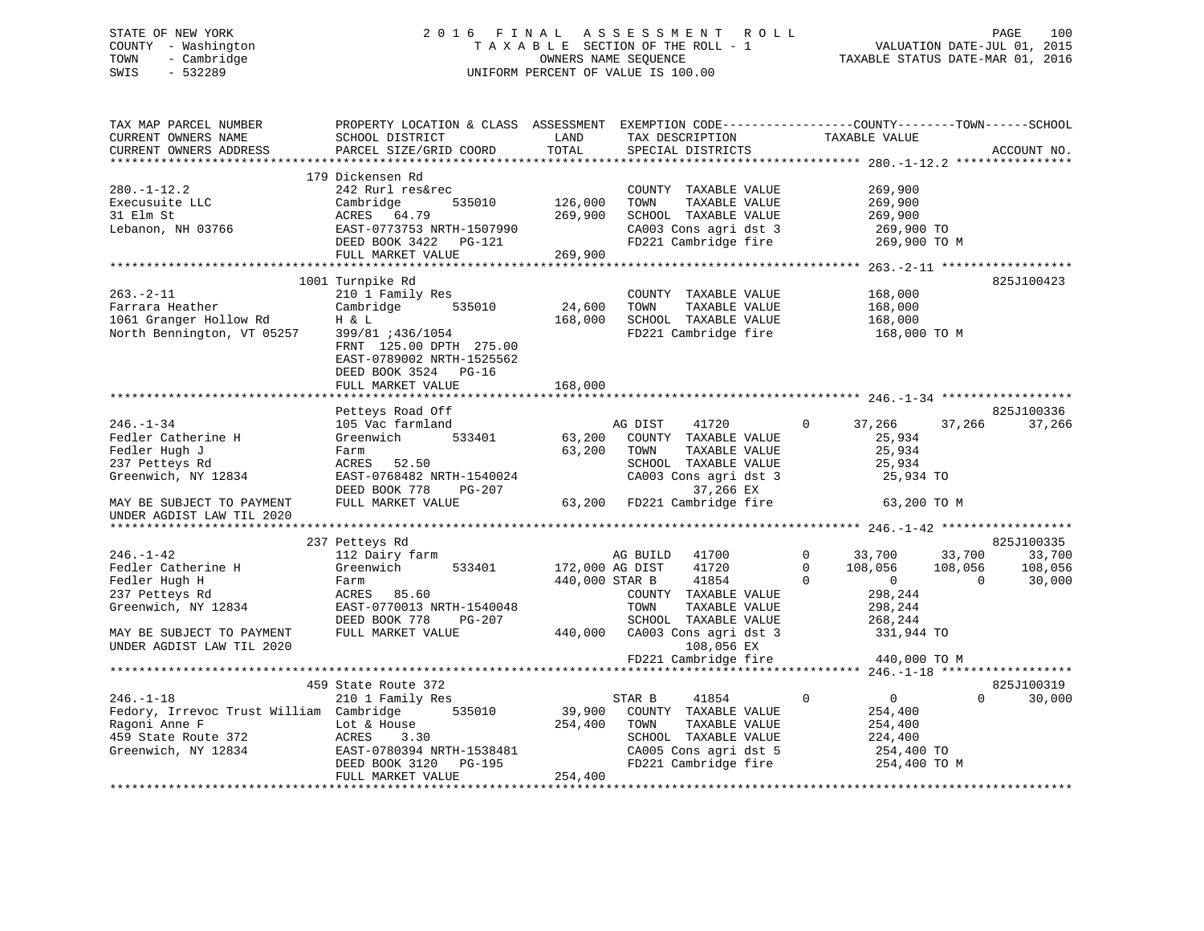### STATE OF NEW YORK 2 0 1 6 F I N A L A S S E S S M E N T R O L L PAGE 100 COUNTY - Washington T A X A B L E SECTION OF THE ROLL - 1 VALUATION DATE-JUL 01, 2015 TOWN - Cambridge OWNERS NAME SEQUENCE TAXABLE STATUS DATE-MAR 01, 2016 SWIS - 532289 UNIFORM PERCENT OF VALUE IS 100.00

| TAX MAP PARCEL NUMBER                                | PROPERTY LOCATION & CLASS ASSESSMENT EXEMPTION CODE---------------COUNTY-------TOWN-----SCHOOL                                                       |                 |                                                                       |                                                                                                             |                    |
|------------------------------------------------------|------------------------------------------------------------------------------------------------------------------------------------------------------|-----------------|-----------------------------------------------------------------------|-------------------------------------------------------------------------------------------------------------|--------------------|
| CURRENT OWNERS NAME                                  | SCHOOL DISTRICT                                                                                                                                      | LAND            | TAX DESCRIPTION                                                       | TAXABLE VALUE                                                                                               |                    |
| CURRENT OWNERS ADDRESS                               | PARCEL SIZE/GRID COORD                                                                                                                               | TOTAL           | SPECIAL DISTRICTS                                                     |                                                                                                             | ACCOUNT NO.        |
|                                                      |                                                                                                                                                      |                 |                                                                       |                                                                                                             |                    |
|                                                      | 179 Dickensen Rd                                                                                                                                     |                 |                                                                       |                                                                                                             |                    |
| $280. - 1 - 12.2$                                    | 242 Rurl res&rec                                                                                                                                     |                 | COUNTY TAXABLE VALUE                                                  | 269,900                                                                                                     |                    |
| Execusuite LLC                                       | Cambridge                                                                                                                                            |                 | TOWN<br>TAXABLE VALUE                                                 |                                                                                                             |                    |
| 31 Elm St                                            |                                                                                                                                                      | 535010 126,000  | SCHOOL TAXABLE VALUE                                                  | 269,900<br>269,900                                                                                          |                    |
|                                                      | ACRES 64.79 269,900<br>EAST-0773753 NRTH-1507990<br>DEED BOOK 3422 PG-121<br>FIILL MARKET WATHER                                                     |                 |                                                                       |                                                                                                             |                    |
| Lebanon, NH 03766                                    |                                                                                                                                                      |                 | CA003 Cons agri dst 3 269,900 TO<br>FD221 Cambridge fire 269,900 TO M |                                                                                                             |                    |
|                                                      |                                                                                                                                                      |                 |                                                                       |                                                                                                             |                    |
|                                                      | FULL MARKET VALUE                                                                                                                                    | 269,900         |                                                                       |                                                                                                             |                    |
|                                                      |                                                                                                                                                      |                 |                                                                       |                                                                                                             |                    |
|                                                      | 1001 Turnpike Rd                                                                                                                                     |                 |                                                                       |                                                                                                             | 825J100423         |
| $263. - 2 - 11$                                      | 210 1 Family Res                                                                                                                                     |                 | COUNTY TAXABLE VALUE                                                  | 168,000                                                                                                     |                    |
| Farrara Heather                                      | Cambridge 535010                                                                                                                                     | 24,600 TOWN     | TAXABLE VALUE                                                         | 168,000                                                                                                     |                    |
|                                                      |                                                                                                                                                      |                 | 168,000 SCHOOL TAXABLE VALUE                                          | 168,000                                                                                                     |                    |
| 1061 Granger Hollow Rd<br>North Bennington, VT 05257 | $\begin{array}{c}\n 399/81 \quad 1436/1054 \\  399/81 \quad 1436/1054\n \end{array}$                                                                 |                 | FD221 Cambridge fire                                                  | 168,000 TO M                                                                                                |                    |
|                                                      | FRNT 125.00 DPTH 275.00                                                                                                                              |                 |                                                                       |                                                                                                             |                    |
|                                                      | EAST-0789002 NRTH-1525562                                                                                                                            |                 |                                                                       |                                                                                                             |                    |
|                                                      | DEED BOOK 3524 PG-16                                                                                                                                 |                 |                                                                       |                                                                                                             |                    |
|                                                      | FULL MARKET VALUE                                                                                                                                    | 168,000         |                                                                       |                                                                                                             |                    |
|                                                      |                                                                                                                                                      |                 |                                                                       |                                                                                                             |                    |
|                                                      |                                                                                                                                                      |                 |                                                                       |                                                                                                             | 825J100336         |
|                                                      | Petteys Road Off                                                                                                                                     |                 |                                                                       |                                                                                                             |                    |
| $246. - 1 - 34$                                      | 105 Vac farmland                                                                                                                                     |                 | AG DIST<br>41720                                                      | 37,266<br>$\overline{0}$                                                                                    | 37,266<br>37,266   |
| Fedler Catherine H                                   | 533401<br>Greenwich                                                                                                                                  |                 | 63,200 COUNTY TAXABLE VALUE                                           | 25,934                                                                                                      |                    |
| Fedler Hugh J                                        | Farm                                                                                                                                                 | 63,200 TOWN     | TAXABLE VALUE                                                         | 25,934                                                                                                      |                    |
| 237 Petteys Rd                                       | ACRES 52.50                                                                                                                                          |                 |                                                                       | 25,934                                                                                                      |                    |
| Greenwich, NY 12834                                  | EAST-0768482 NRTH-1540024<br>EAST-0768482 NRTH-1540024<br>DEED BOOK 778 PG-207 37,266 EX<br>FULL MARKET VALUE 63,200 FD221 Cambridge fire            |                 | SCHOOL TAXABLE VALUE<br>CA003 Cons agri dst 3                         | 25,934 TO                                                                                                   |                    |
|                                                      |                                                                                                                                                      |                 |                                                                       |                                                                                                             |                    |
| MAY BE SUBJECT TO PAYMENT                            |                                                                                                                                                      |                 |                                                                       | 63,200 TO M                                                                                                 |                    |
| UNDER AGDIST LAW TIL 2020                            |                                                                                                                                                      |                 |                                                                       |                                                                                                             |                    |
|                                                      |                                                                                                                                                      |                 |                                                                       |                                                                                                             |                    |
|                                                      | 237 Petteys Rd                                                                                                                                       |                 |                                                                       |                                                                                                             | 825J100335         |
| $246. - 1 - 42$                                      | 112 Dairy farm                                                                                                                                       |                 | AG BUILD 41700                                                        |                                                                                                             | 33,700             |
| Fedler Catherine H                                   | Greenwich 533401                                                                                                                                     | 172,000 AG DIST | 41720                                                                 | $\begin{array}{cccc} 0 & & 33\,700 & & 33\,700 \\ 0 & & 108\,056 & & 108\,056 \\ 0 & & 0 & & 0 \end{array}$ | 108,056            |
|                                                      |                                                                                                                                                      |                 |                                                                       |                                                                                                             |                    |
| Fedler Hugh H                                        | Farm                                                                                                                                                 |                 | 440,000 STAR B<br>41854                                               | 298,244                                                                                                     | 30,000             |
| 237 Petteys Rd                                       | ACRES 85.60                                                                                                                                          |                 | COUNTY TAXABLE VALUE                                                  |                                                                                                             |                    |
| Greenwich, NY 12834                                  | EAST-0770013 NRTH-1540048                                                                                                                            |                 | TOWN<br>TAXABLE VALUE                                                 | 298,244                                                                                                     |                    |
|                                                      | DEED BOOK 778<br>PG-207                                                                                                                              |                 | SCHOOL TAXABLE VALUE                                                  | 268, 244                                                                                                    |                    |
| MAY BE SUBJECT TO PAYMENT                            | FULL MARKET VALUE                                                                                                                                    |                 | 440,000 CA003 Cons agri dst 3                                         | 331,944 TO                                                                                                  |                    |
| UNDER AGDIST LAW TIL 2020                            |                                                                                                                                                      |                 | 108,056 EX                                                            |                                                                                                             |                    |
|                                                      |                                                                                                                                                      |                 | FD221 Cambridge fire                                                  | 440,000 TO M                                                                                                |                    |
|                                                      |                                                                                                                                                      |                 |                                                                       |                                                                                                             |                    |
|                                                      | 459 State Route 372                                                                                                                                  |                 |                                                                       |                                                                                                             | 825J100319         |
| $246. - 1 - 18$                                      | 210 1 Family Res                                                                                                                                     |                 | 41854<br>STAR B                                                       | $\mathbf 0$<br>$\overline{0}$                                                                               | $\Omega$<br>30,000 |
| Fedory, Irrevoc Trust William Cambridge 535010       |                                                                                                                                                      |                 | 39,900 COUNTY TAXABLE VALUE                                           | 254,400                                                                                                     |                    |
| Ragoni Anne F                                        |                                                                                                                                                      |                 | TOWN<br>TAXABLE VALUE                                                 | 254,400                                                                                                     |                    |
| 459 State Route 372                                  |                                                                                                                                                      |                 | SCHOOL TAXABLE VALUE                                                  | 224,400                                                                                                     |                    |
| Greenwich, NY 12834                                  |                                                                                                                                                      |                 |                                                                       |                                                                                                             |                    |
|                                                      |                                                                                                                                                      |                 | CA005 Cons agri dst 5 254,400 TO<br>FD221 Cambridge fire 254,400 TO M |                                                                                                             |                    |
|                                                      | 50 WITHOM CONTROLS LOT AGE 254,400<br>Lot & House 254,400<br>ACRES 3.30<br>EAST-0780394 NRTH-1538481<br>DEED BOOK 3120 PG-195<br>----- ---- ---- --- |                 |                                                                       |                                                                                                             |                    |
|                                                      | FULL MARKET VALUE                                                                                                                                    | 254,400         |                                                                       |                                                                                                             |                    |
|                                                      |                                                                                                                                                      |                 |                                                                       |                                                                                                             |                    |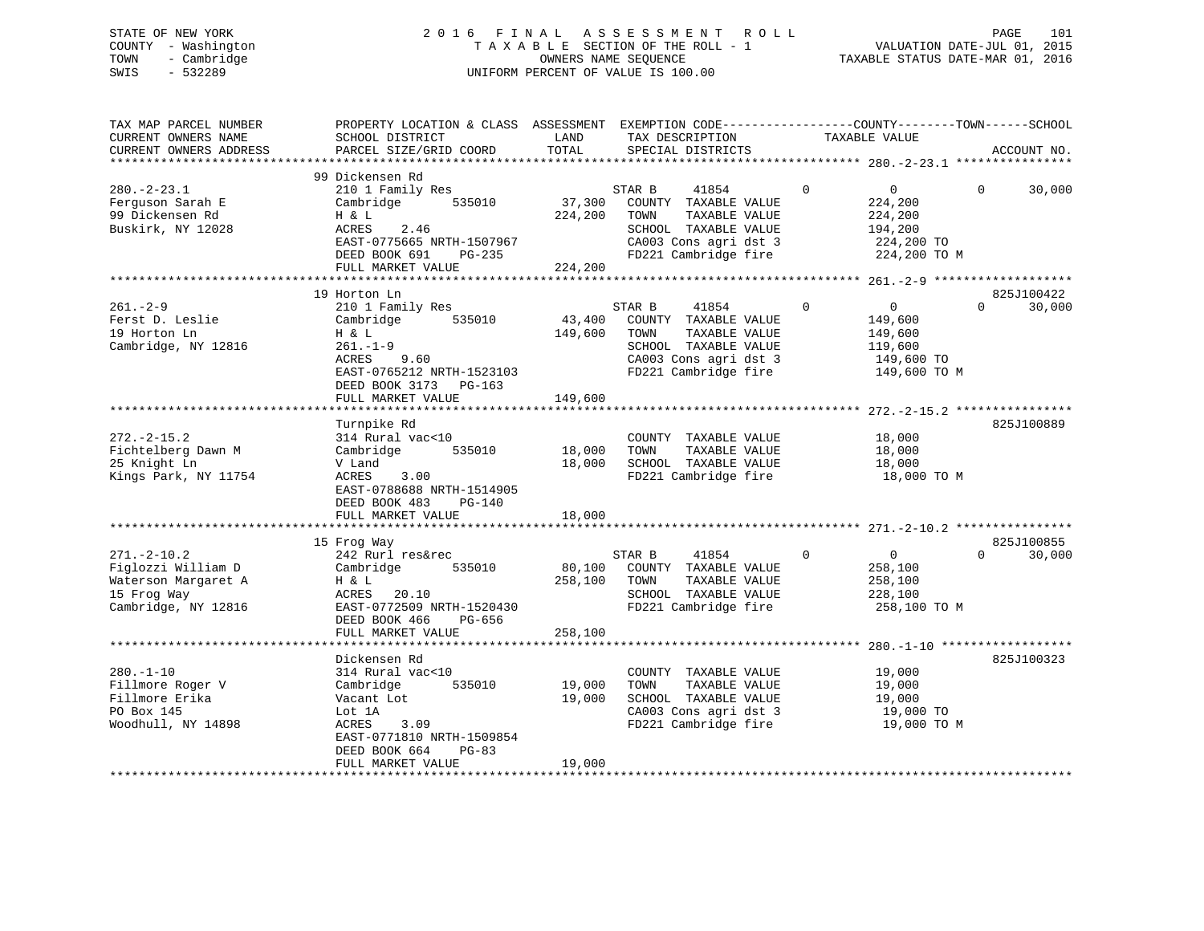### STATE OF NEW YORK 2 0 1 6 F I N A L A S S E S S M E N T R O L L PAGE 101 COUNTY - Washington T A X A B L E SECTION OF THE ROLL - 1 VALUATION DATE-JUL 01, 2015 TOWN - Cambridge OWNERS NAME SEQUENCE TAXABLE STATUS DATE-MAR 01, 2016 SWIS - 532289 UNIFORM PERCENT OF VALUE IS 100.00

| TAX MAP PARCEL NUMBER<br>CURRENT OWNERS NAME<br>CURRENT OWNERS ADDRESS                               | PROPERTY LOCATION & CLASS ASSESSMENT EXEMPTION CODE---------------COUNTY-------TOWN-----SCHOOL<br>SCHOOL DISTRICT<br>PARCEL SIZE/GRID COORD                       | LAND<br>TOTAL                | TAX DESCRIPTION<br>SPECIAL DISTRICTS                                                                                                      | TAXABLE VALUE                                                                                | ACCOUNT NO.                      |
|------------------------------------------------------------------------------------------------------|-------------------------------------------------------------------------------------------------------------------------------------------------------------------|------------------------------|-------------------------------------------------------------------------------------------------------------------------------------------|----------------------------------------------------------------------------------------------|----------------------------------|
| ***********************                                                                              |                                                                                                                                                                   |                              |                                                                                                                                           |                                                                                              |                                  |
| $280. - 2 - 23.1$<br>Ferquson Sarah E<br>99 Dickensen Rd<br>Buskirk, NY 12028                        | 99 Dickensen Rd<br>210 1 Family Res<br>535010<br>Cambridge<br>H & L<br>2.46<br>ACRES<br>EAST-0775665 NRTH-1507967<br>DEED BOOK 691<br>PG-235<br>FULL MARKET VALUE | 37,300<br>224,200<br>224,200 | STAR B<br>41854<br>COUNTY TAXABLE VALUE<br>TOWN<br>TAXABLE VALUE<br>SCHOOL TAXABLE VALUE<br>CA003 Cons agri dst 3<br>FD221 Cambridge fire | $\mathbf 0$<br>$\overline{0}$<br>224,200<br>224,200<br>194,200<br>224,200 TO<br>224,200 TO M | 30,000<br>$\Omega$               |
|                                                                                                      |                                                                                                                                                                   |                              |                                                                                                                                           |                                                                                              |                                  |
| $261 - 2 - 9$<br>Ferst D. Leslie<br>19 Horton Ln<br>Cambridge, NY 12816                              | 19 Horton Ln<br>210 1 Family Res<br>535010<br>Cambridge<br>H & L<br>$261. - 1 - 9$<br>ACRES 9.60<br>EAST-0765212 NRTH-1523103<br>DEED BOOK 3173 PG-163            | 43,400<br>149,600            | STAR B<br>41854<br>COUNTY TAXABLE VALUE<br>TOWN<br>TAXABLE VALUE<br>SCHOOL TAXABLE VALUE<br>CA003 Cons agri dst 3<br>FD221 Cambridge fire | $\Omega$<br>$\overline{0}$<br>149,600<br>149,600<br>119,600<br>149,600 TO<br>149,600 TO M    | 825J100422<br>$\Omega$<br>30,000 |
|                                                                                                      | FULL MARKET VALUE                                                                                                                                                 | 149,600                      |                                                                                                                                           |                                                                                              |                                  |
| $272 - 2 - 15.2$<br>Fichtelberg Dawn M<br>25 Knight Ln<br>Kings Park, NY 11754                       | Turnpike Rd<br>314 Rural vac<10<br>535010<br>Cambridge<br>V Land<br>ACRES<br>3.00<br>EAST-0788688 NRTH-1514905<br>DEED BOOK 483<br>PG-140                         | 18,000<br>18,000             | COUNTY TAXABLE VALUE<br>TOWN<br>TAXABLE VALUE<br>SCHOOL TAXABLE VALUE<br>FD221 Cambridge fire                                             | 18,000<br>18,000<br>18,000<br>18,000 TO M                                                    | 825J100889                       |
|                                                                                                      | FULL MARKET VALUE                                                                                                                                                 | 18,000                       |                                                                                                                                           |                                                                                              |                                  |
| $271. - 2 - 10.2$<br>Figlozzi William D<br>Waterson Margaret A<br>15 Frog Way<br>Cambridge, NY 12816 | 15 Frog Way<br>242 Rurl res&rec<br>Cambridge<br>535010<br>H & L<br>ACRES 20.10<br>EAST-0772509 NRTH-1520430<br>DEED BOOK 466<br>PG-656                            | 80,100<br>258,100            | 41854<br>STAR B<br>COUNTY TAXABLE VALUE<br>TAXABLE VALUE<br>TOWN<br>SCHOOL TAXABLE VALUE<br>FD221 Cambridge fire                          | $\Omega$<br>$\overline{0}$<br>258,100<br>258,100<br>228,100<br>258,100 TO M                  | 825J100855<br>$\Omega$<br>30,000 |
|                                                                                                      | FULL MARKET VALUE                                                                                                                                                 | 258,100                      |                                                                                                                                           |                                                                                              |                                  |
|                                                                                                      | Dickensen Rd                                                                                                                                                      |                              |                                                                                                                                           |                                                                                              | 825J100323                       |
| $280. - 1 - 10$<br>Fillmore Roger V<br>Fillmore Erika<br>PO Box 145<br>Woodhull, NY 14898            | 314 Rural vac<10<br>535010<br>Cambridge<br>Vacant Lot<br>Lot 1A<br>ACRES<br>3.09<br>EAST-0771810 NRTH-1509854<br>DEED BOOK 664<br>$PG-83$<br>FULL MARKET VALUE    | 19,000<br>19,000<br>19,000   | COUNTY TAXABLE VALUE<br>TOWN<br>TAXABLE VALUE<br>SCHOOL TAXABLE VALUE<br>CA003 Cons agri dst 3<br>FD221 Cambridge fire                    | 19,000<br>19,000<br>19,000<br>19,000 TO<br>19,000 TO M                                       |                                  |
|                                                                                                      |                                                                                                                                                                   |                              |                                                                                                                                           |                                                                                              |                                  |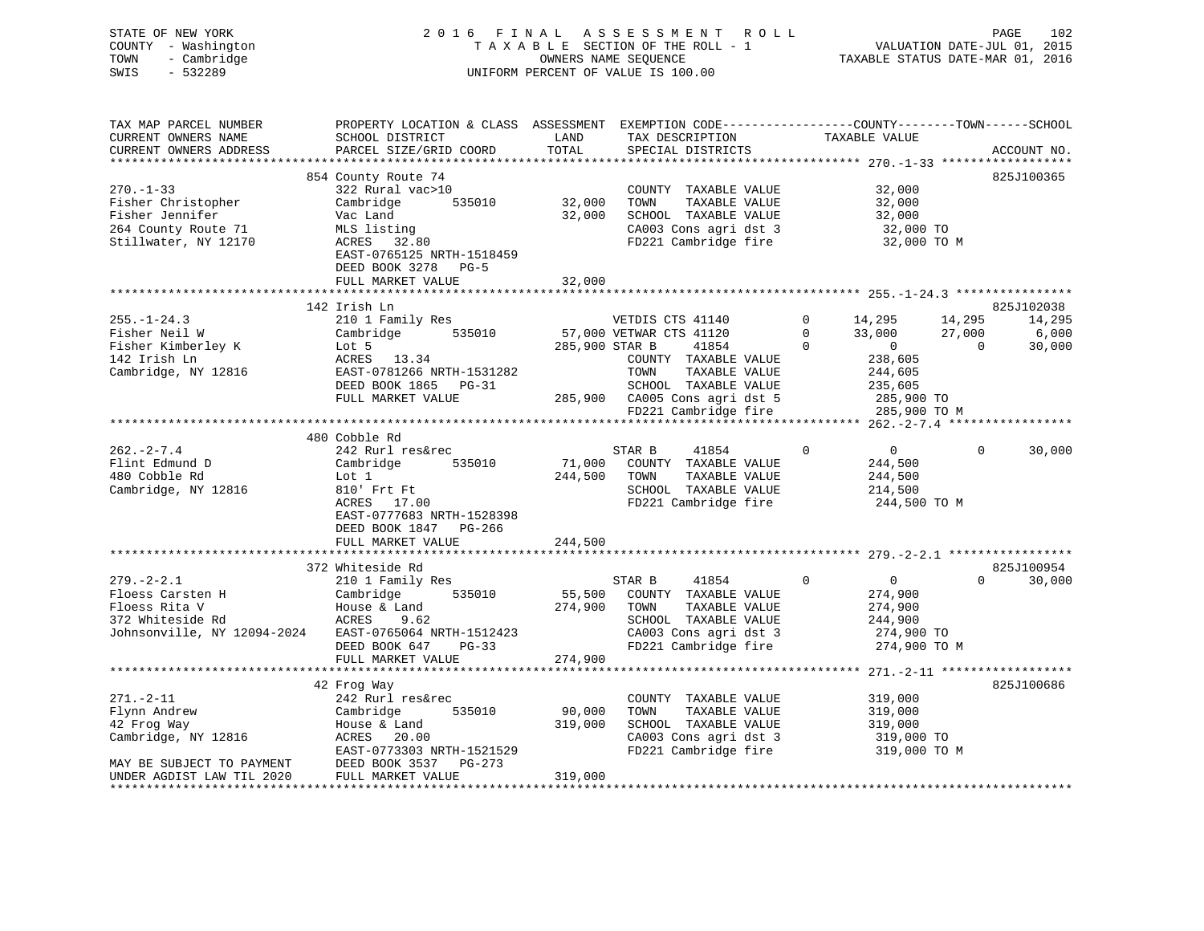| STATE OF NEW YORK<br>COUNTY - Washington<br>TOWN<br>- Cambridge<br>$-532289$<br>SWIS                                                                                                                                                                                                                                                                                    |                                                                                                                                                                                                                                          |                              | 6 FINAL ASSESSMENT ROLL PAGE 102<br>TAXABLE SECTION OF THE ROLL - 1 VALUATION DATE-JUL 01, 2015<br>OWNERS NAME SEQUENCE TAXABLE STATUS DATE-MAR 01, 2016<br>2016 FINAL ASSESSMENT ROLL<br>UNIFORM PERCENT OF VALUE IS 100.00 |                                                                                            |                                                                                                                                                                        |
|-------------------------------------------------------------------------------------------------------------------------------------------------------------------------------------------------------------------------------------------------------------------------------------------------------------------------------------------------------------------------|------------------------------------------------------------------------------------------------------------------------------------------------------------------------------------------------------------------------------------------|------------------------------|------------------------------------------------------------------------------------------------------------------------------------------------------------------------------------------------------------------------------|--------------------------------------------------------------------------------------------|------------------------------------------------------------------------------------------------------------------------------------------------------------------------|
| TAX MAP PARCEL NUMBER<br>CURRENT OWNERS NAME<br>CURRENT OWNERS ADDRESS                                                                                                                                                                                                                                                                                                  | PROPERTY LOCATION & CLASS ASSESSMENT EXEMPTION CODE---------------COUNTY-------TOWN-----SCHOOL<br>SCHOOL DISTRICT LAND<br>PARCEL SIZE/GRID COORD                                                                                         | TOTAL                        | TAX DESCRIPTION TAXABLE VALUE<br>SPECIAL DISTRICTS                                                                                                                                                                           |                                                                                            | ACCOUNT NO.                                                                                                                                                            |
| $270. - 1 - 33$<br>Fisher Christopher<br>Fisher Jennifer<br>264 County Route 71<br>Stillwater, NY 12170                                                                                                                                                                                                                                                                 | 854 County Route 74<br>322 Rural vac>10<br>Cambridge 535010 32,000<br>32,000<br>32,000<br>Vac Land<br>MLS listing<br>ACRES 32.80<br>ACRES 32.80<br>EAST-0765125 NRTH-1518459<br>DEED BOOK 3278 PG-5<br>FULL MARKET VALUE                 | 32,000                       | COUNTY TAXABLE VALUE<br>TOWN TAXABLE VALUE<br>SCHOOL TAXABLE VALUE<br>CA003 Cons agri dst 3<br>TOWN TAXABLE VALUE<br>32,000<br>CA003 Cons agri dst 3<br>32,000 TO<br>TD221 Cambridge fire<br>32,000 TO M                     | 32,000                                                                                     | 825J100365                                                                                                                                                             |
|                                                                                                                                                                                                                                                                                                                                                                         |                                                                                                                                                                                                                                          |                              |                                                                                                                                                                                                                              |                                                                                            |                                                                                                                                                                        |
| $255. - 1 - 24.3$<br>Fisher Neil W<br>Fisher Kimberley K Lot 5<br>142 Irish Ln<br>Cambridge, NY 12816                                                                                                                                                                                                                                                                   | COUNTY TAXABLE VALUE<br>ACRES 13.34<br>EAST-0781266 NRTH-1531282<br>DEED BOOK 1865 PG-31 SCHOOL TAXABLE VALUE<br>TULL MARKET VALUE 285,900 CA005 Cons agri dst 5 285,900 TO M<br>FULL MARKET VALUE 285,900 CA005 Cons agri dst 5 285,900 |                              |                                                                                                                                                                                                                              |                                                                                            | 825J102038<br>CTS 41140 0 14,295 14,295 14,295<br>CTS 41120 0 33,000 27,000 6,000<br>41854 0 0 33,000 27,000 6,000<br>Y TAXABLE VALUE 238,605<br>TAXABLE VALUE 244,605 |
|                                                                                                                                                                                                                                                                                                                                                                         |                                                                                                                                                                                                                                          |                              |                                                                                                                                                                                                                              |                                                                                            |                                                                                                                                                                        |
|                                                                                                                                                                                                                                                                                                                                                                         |                                                                                                                                                                                                                                          |                              |                                                                                                                                                                                                                              |                                                                                            |                                                                                                                                                                        |
| $262 - 2 - 7.4$<br>Flint Edmund D<br>480 Cobble Rd<br>Cambridge, NY 12816                                                                                                                                                                                                                                                                                               | 480 Cobble Rd<br>242 Rurl res&rec<br>Cambridge 535010<br>Lot 1<br>810' Frt Ft<br>ACRES 17.00<br>FACE 2555111<br>EAST-0777683 NRTH-1528398<br>DEED BOOK 1847 PG-266<br>FULL MARKET VALUE                                                  | 244,500 TOWN<br>244,500      | STAR B<br>41854<br>71,000 COUNTY TAXABLE VALUE<br>TAXABLE VALUE<br>SCHOOL TAXABLE VALUE<br>FD221 Cambridge fire                                                                                                              | $\overline{0}$<br>$\mathbf 0$<br>244,500<br>244,500<br>214,500<br>244,500 TO M             | $\mathbf 0$<br>30,000                                                                                                                                                  |
|                                                                                                                                                                                                                                                                                                                                                                         |                                                                                                                                                                                                                                          |                              |                                                                                                                                                                                                                              |                                                                                            |                                                                                                                                                                        |
| $279. - 2 - 2.1$<br>Floess Carsten H Cambridge<br>Floess Rita V House & Land<br>372 Whiteside Rd ACRES 9.62<br>Floess Rita V<br>372 Whiteside Rd<br>372 Whiteside Rd<br>372 Whiteside Rd<br>372 Whiteside Rd<br>372 Whiteside Rd<br>372 Whiteside Rd<br>374,900 TOWN<br>372 Whiteside Rd<br>374,900 TOWN<br>374,900 TOWN<br>374,900 TOWN<br>374,900 TOWN<br>374,900 TOW | 372 Whiteside Rd<br>210 1 Family Res<br>Cambridge 535010                                                                                                                                                                                 |                              | STAR B 41854<br>55,500 COUNTY TAXABLE VALUE<br>TAXABLE VALUE<br>SCHOOL TAXABLE VALUE<br>CA003 Cons agri dst 3<br>FD221 Cambridge fire                                                                                        | $\overline{0}$<br>$0$<br>$274,900$<br>$274,900$<br>244,900<br>$274,900$ TO<br>274,900 TO M | 825J100954<br>$\Omega$<br>30,000                                                                                                                                       |
|                                                                                                                                                                                                                                                                                                                                                                         | FULL MARKET VALUE                                                                                                                                                                                                                        | 274,900                      |                                                                                                                                                                                                                              |                                                                                            |                                                                                                                                                                        |
|                                                                                                                                                                                                                                                                                                                                                                         | 42 Frog Way                                                                                                                                                                                                                              |                              |                                                                                                                                                                                                                              |                                                                                            | 825J100686                                                                                                                                                             |
| 271.-2-11<br>Flynn Andrew<br>42 Frog Way<br>Cambridge, NY 12816<br>MAY BE SUBJECT TO PAYMENT<br>UNDER AGDIST LAW TIL 2020                                                                                                                                                                                                                                               | 242 Rurl res&rec<br>Cambridge 535010<br>Cambridge<br>House & Land<br>ACRES 20.00<br>20.00<br>ACRES 20.00<br>EAST-0773303 NRTH-1521529<br>DEED BOOK 3537 PG-273<br>FULL MARKET VALUE<br>FULL MARKET VALUE                                 | 90,000<br>319,000<br>319,000 | COUNTY TAXABLE VALUE<br>TOWN<br>TAXABLE VALUE<br>SCHOOL TAXABLE VALUE<br>CA003 Cons agri dst 3 319,000 TO<br>FD221 Cambridge fire 319,000 TO M                                                                               | 319,000<br>319,000<br>319,000<br>319,000 TO                                                |                                                                                                                                                                        |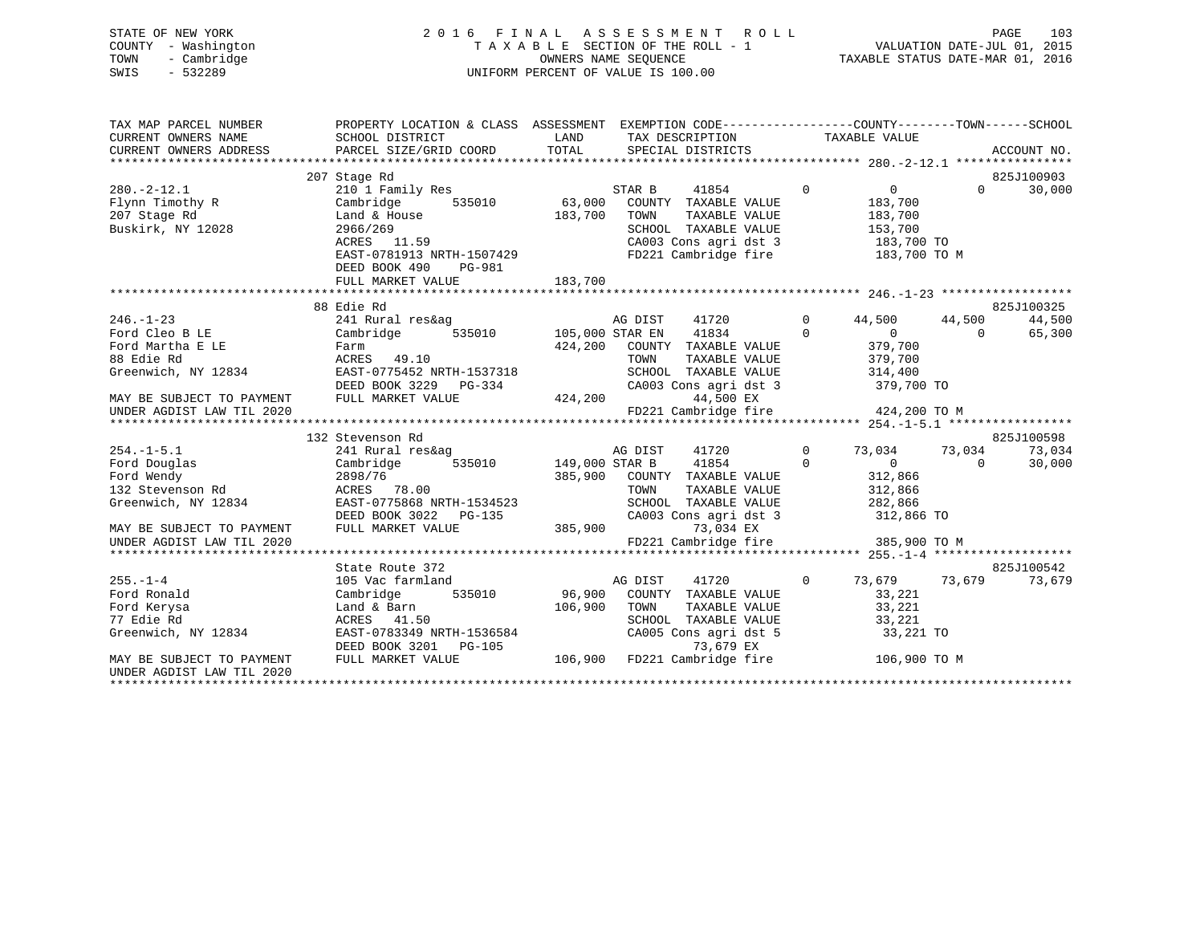| STATE OF NEW YORK |                     | 2016 FINAL ASSESSMENT ROLL                               | PAGE                        | 103 |
|-------------------|---------------------|----------------------------------------------------------|-----------------------------|-----|
|                   | COUNTY - Washington | TAXABLE SECTION OF THE ROLL - 1                          | VALUATION DATE-JUL 01, 2015 |     |
|                   | TOWN - Cambridge    | TAXABLE STATUS DATE-MAR 01, 2016<br>OWNERS NAME SEOUENCE |                             |     |
| SWIS              | - 532289            | UNIFORM PERCENT OF VALUE IS 100.00                       |                             |     |
|                   |                     |                                                          |                             |     |

| TAX MAP PARCEL NUMBER                                  | PROPERTY LOCATION & CLASS ASSESSMENT EXEMPTION CODE---------------COUNTY-------TOWN-----SCHOOL                                      |         |                                                                                                                                                                                                                                                                                 |                |                    |                          |
|--------------------------------------------------------|-------------------------------------------------------------------------------------------------------------------------------------|---------|---------------------------------------------------------------------------------------------------------------------------------------------------------------------------------------------------------------------------------------------------------------------------------|----------------|--------------------|--------------------------|
| CURRENT OWNERS NAME                                    | SCHOOL DISTRICT                                                                                                                     |         | LAND TAX DESCRIPTION                                                                                                                                                                                                                                                            |                | TAXABLE VALUE      |                          |
| CURRENT OWNERS ADDRESS                                 |                                                                                                                                     |         |                                                                                                                                                                                                                                                                                 |                |                    |                          |
|                                                        |                                                                                                                                     |         |                                                                                                                                                                                                                                                                                 |                |                    |                          |
|                                                        | 207 Stage Rd                                                                                                                        |         |                                                                                                                                                                                                                                                                                 |                |                    | 825J100903               |
| $280. - 2 - 12.1$                                      | 210 1 Family Res                                                                                                                    |         | 41854 0<br>STAR B                                                                                                                                                                                                                                                               |                | $\overline{0}$     | $\overline{0}$<br>30,000 |
| Flynn Timothy R<br>207 Stace Pd                        | Cambridge                                                                                                                           |         | 535010 63,000 COUNTY TAXABLE VALUE                                                                                                                                                                                                                                              |                | 183,700<br>183,700 |                          |
| 207 Stage Rd                                           | Land & House<br>2966/269                                                                                                            | 183,700 | TOWN<br>TAXABLE VALUE                                                                                                                                                                                                                                                           |                |                    |                          |
| Buskirk, NY 12028                                      |                                                                                                                                     |         | SCHOOL TAXABLE VALUE 153,700                                                                                                                                                                                                                                                    |                |                    |                          |
|                                                        | ACRES 11.59                                                                                                                         |         | CA003 Cons agri dst 3 183,700 TO                                                                                                                                                                                                                                                |                |                    |                          |
|                                                        | EAST-0781913 NRTH-1507429                                                                                                           |         | FD221 Cambridge fire                                                                                                                                                                                                                                                            |                | 183,700 TO M       |                          |
|                                                        | DEED BOOK 490<br>PG-981                                                                                                             |         |                                                                                                                                                                                                                                                                                 |                |                    |                          |
|                                                        | FULL MARKET VALUE                                                                                                                   | 183,700 |                                                                                                                                                                                                                                                                                 |                |                    |                          |
|                                                        |                                                                                                                                     |         |                                                                                                                                                                                                                                                                                 |                |                    |                          |
|                                                        | 88 Edie Rd                                                                                                                          |         |                                                                                                                                                                                                                                                                                 |                |                    | 825J100325               |
| $246. - 1 - 23$                                        | 241 Rural res&ag                                                                                                                    |         | 41720 0 44,500 44,500<br>AG DIST                                                                                                                                                                                                                                                |                |                    | 44,500                   |
| Ford Cleo B LE                                         | Cambridge 535010 105,000 STAR EN 41834                                                                                              |         | $\begin{tabular}{lcccccc} 105,000& \texttt{STAR} & \texttt{EN} & & 41834 & & 0 & & 0 & & 0 \\ 424,200 & \texttt{COUNTY} & \texttt{TAXABLE} & \texttt{VALUE} & & 379,700 & & & \\ & & & & & & \texttt{TOWN} & & \texttt{TAXABLE} & \texttt{VALUE} & & 379,700 & & \end{tabular}$ |                |                    | 65,300                   |
| Ford Martha E LE                                       | Farm<br>Farm<br>ACRES     49.10                                                                                                     |         |                                                                                                                                                                                                                                                                                 |                |                    |                          |
| 88 Edie Rd                                             |                                                                                                                                     |         |                                                                                                                                                                                                                                                                                 |                |                    |                          |
| Greenwich, NY 12834                                    | EAST-0775452 NRTH-1537318                                                                                                           |         | SCHOOL TAXABLE VALUE 314,400                                                                                                                                                                                                                                                    |                |                    |                          |
|                                                        | DEED BOOK 3229 PG-334                                                                                                               |         | CA003 Cons agri dst 3 379,700 TO<br>G-334 CA003 Cons agri dst<br>424,200 44,500 EX                                                                                                                                                                                              |                |                    |                          |
| MAY BE SUBJECT TO PAYMENT FULL MARKET VALUE            |                                                                                                                                     |         | FD221 Cambridge fire 424,200 TO M                                                                                                                                                                                                                                               |                |                    |                          |
| UNDER AGDIST LAW TIL 2020                              |                                                                                                                                     |         |                                                                                                                                                                                                                                                                                 |                |                    |                          |
|                                                        | 132 Stevenson Rd                                                                                                                    |         |                                                                                                                                                                                                                                                                                 |                |                    | 825J100598               |
| $254. -1 - 5.1$                                        |                                                                                                                                     |         | AG DIST 41720                                                                                                                                                                                                                                                                   | $\overline{0}$ | 73,034 73,034      | 73,034                   |
| Ford Douglas                                           | $\begin{tabular}{lllllllll} 241~Rural~res\&ag & & & & & & 41720 \\ Cambridge & 535010 & & 149,000~STR~B & & 41854 \\ \end{tabular}$ |         | $\sim$ 0                                                                                                                                                                                                                                                                        |                | $\overline{0}$ 0   | 30,000                   |
| Ford Wendy                                             |                                                                                                                                     |         |                                                                                                                                                                                                                                                                                 |                |                    |                          |
| Ford Wendy<br>132 Stevenson Rd                         | 2898/76<br>אססרי 78 NN<br>ACRES 78.00                                                                                               |         | 385,900 COUNTY TAXABLE VALUE<br>TOWN<br>TAXABLE VALUE                                                                                                                                                                                                                           |                | 312,866<br>312,866 |                          |
|                                                        | Greenwich, NY 12834 EAST-0775868 NRTH-1534523                                                                                       |         | SCHOOL TAXABLE VALUE 282,866                                                                                                                                                                                                                                                    |                |                    |                          |
|                                                        |                                                                                                                                     |         | CA003 Cons agri dst 3 312,866 TO                                                                                                                                                                                                                                                |                |                    |                          |
|                                                        | DEED BOOK 3022 PG-135<br>FULL MARKET VALUE 385,900                                                                                  |         | 73,034 EX                                                                                                                                                                                                                                                                       |                |                    |                          |
| MAY BE SUBJECT TO PAYMENT<br>UNDER AGDIST LAW TIL 2020 |                                                                                                                                     |         | FD221 Cambridge fire 385,900 TO M                                                                                                                                                                                                                                               |                |                    |                          |
|                                                        |                                                                                                                                     |         |                                                                                                                                                                                                                                                                                 |                |                    |                          |
|                                                        | State Route 372                                                                                                                     |         |                                                                                                                                                                                                                                                                                 |                |                    | 825J100542               |
| $255. - 1 - 4$                                         | 105 Vac farmland                                                                                                                    | AG DIST | 41720 0 73,679 73,679                                                                                                                                                                                                                                                           |                |                    | 73,679                   |
| Ford Ronald                                            | Cambridge 535010 96,900 COUNTY TAXABLE VALUE                                                                                        |         |                                                                                                                                                                                                                                                                                 |                | 33,221             |                          |
| Ford Kerysa                                            |                                                                                                                                     |         | TAXABLE VALUE                                                                                                                                                                                                                                                                   |                | 33,221             |                          |
| 77 Edie Rd                                             | Land & Barn $106,900$ TOWN ACRES $41.50$ SCHOOL                                                                                     |         |                                                                                                                                                                                                                                                                                 |                | 33,221             |                          |
| Greenwich, NY 12834                                    | ACRES      41.50<br>EAST-0783349  NRTH-1536584                                                                                      |         | SCHOOL TAXABLE VALUE<br>CA005 Cons agri dst 5                                                                                                                                                                                                                                   |                | 33,221 TO          |                          |
|                                                        |                                                                                                                                     |         |                                                                                                                                                                                                                                                                                 |                |                    |                          |
| MAY BE SUBJECT TO PAYMENT                              | DEED BOOK 3201 PG-105 $\overline{)}$ 73, $\overline{6}$ 79 EX<br>FULL MARKET VALUE 106,900 PD221 Cambridge fire 106,900 TO M        |         |                                                                                                                                                                                                                                                                                 |                |                    |                          |
| UNDER AGDIST LAW TIL 2020                              |                                                                                                                                     |         |                                                                                                                                                                                                                                                                                 |                |                    |                          |
|                                                        |                                                                                                                                     |         |                                                                                                                                                                                                                                                                                 |                |                    |                          |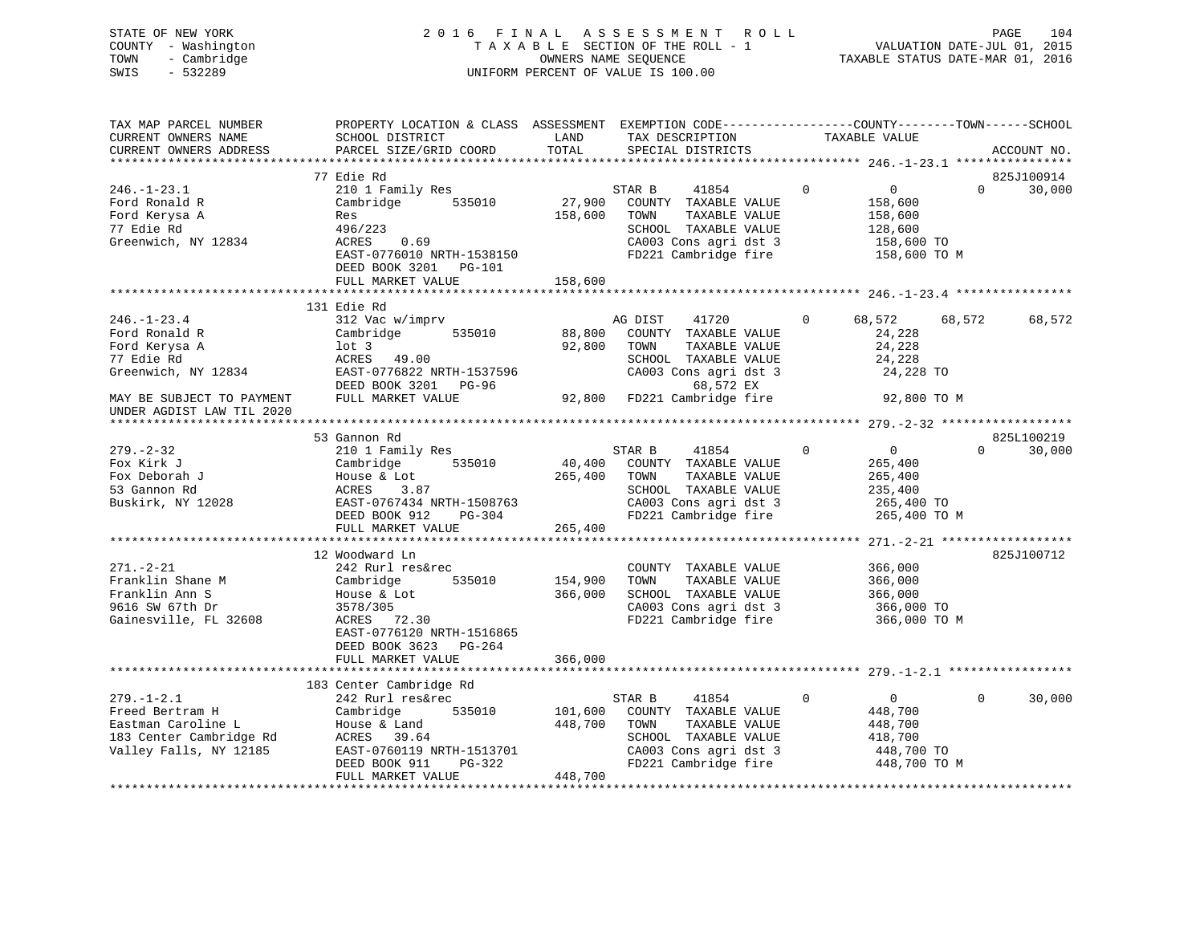STATE OF NEW YORK 2 0 1 6 F I N A L A S S E S S M E N T R O L L PAGE 104 COUNTY - Washington T A X A B L E SECTION OF THE ROLL - 1 VALUATION DATE-JUL 01, 2015 TOWN - Cambridge OWNERS NAME SEQUENCE TAXABLE STATUS DATE-MAR 01, 2016 SWIS - 532289 UNIFORM PERCENT OF VALUE IS 100.00 TAX MAP PARCEL NUMBER PROPERTY LOCATION & CLASS ASSESSMENT EXEMPTION CODE------------------COUNTY--------TOWN------SCHOOL CURRENT OWNERS NAME SCHOOL DISTRICT LAND TAX DESCRIPTION TAXABLE VALUE CURRENT OWNERS ADDRESS PARCEL SIZE/GRID COORD TOTAL SPECIAL DISTRICTS ACCOUNT NO. \*\*\*\*\*\*\*\*\*\*\*\*\*\*\*\*\*\*\*\*\*\*\*\*\*\*\*\*\*\*\*\*\*\*\*\*\*\*\*\*\*\*\*\*\*\*\*\*\*\*\*\*\*\*\*\*\*\*\*\*\*\*\*\*\*\*\*\*\*\*\*\*\*\*\*\*\*\*\*\*\*\*\*\*\*\*\*\*\*\*\*\*\*\*\*\*\*\*\*\*\*\*\* 246.-1-23.1 \*\*\*\*\*\*\*\*\*\*\*\*\*\*\*\* 77 Edie Rd 825J100914 $0 \t 30,000$ 246.-1-23.1 210 1 Family Res STAR B 41854 0 0 0 30,000 Ford Ronald R Cambridge 535010 27,900 COUNTY TAXABLE VALUE 158,600 Ford Kerysa A Res 158,600 TOWN TAXABLE VALUE 158,600

| 77 Edie Rd                | 496/223                   | SCHOOL TAXABLE VALUE             | 128,600                                    |            |
|---------------------------|---------------------------|----------------------------------|--------------------------------------------|------------|
| Greenwich, NY 12834       | ACRES<br>0.69             | CA003 Cons agri dst 3            | 158,600 TO                                 |            |
|                           | EAST-0776010 NRTH-1538150 | FD221 Cambridge fire             | 158,600 TO M                               |            |
|                           | DEED BOOK 3201 PG-101     |                                  |                                            |            |
|                           | FULL MARKET VALUE         | 158,600                          |                                            |            |
|                           |                           |                                  |                                            |            |
|                           | 131 Edie Rd               |                                  |                                            |            |
| $246. - 1 - 23.4$         | 312 Vac w/imprv           | AG DIST<br>41720                 | $\overline{0}$<br>68,572<br>68,572         | 68,572     |
| Ford Ronald R             | 535010<br>Cambridge       | 88,800<br>COUNTY TAXABLE VALUE   | 24,228                                     |            |
| Ford Kerysa A             | lot 3                     | 92,800<br>TOWN<br>TAXABLE VALUE  | 24,228                                     |            |
| 77 Edie Rd                | ACRES 49.00               | SCHOOL TAXABLE VALUE             | 24,228                                     |            |
| Greenwich, NY 12834       | EAST-0776822 NRTH-1537596 | CA003 Cons agri dst 3            | 24,228 TO                                  |            |
|                           | DEED BOOK 3201 PG-96      | 68,572 EX                        |                                            |            |
| MAY BE SUBJECT TO PAYMENT | FULL MARKET VALUE         | 92,800 FD221 Cambridge fire      | 92,800 TO M                                |            |
| UNDER AGDIST LAW TIL 2020 |                           |                                  |                                            |            |
|                           | 53 Gannon Rd              |                                  |                                            | 825L100219 |
| $279. - 2 - 32$           | 210 1 Family Res          | STAR B<br>41854                  | $\mathbf 0$<br>$\overline{0}$<br>$\Omega$  | 30,000     |
| Fox Kirk J                | 535010<br>Cambridge       | 40,400 COUNTY TAXABLE VALUE      | 265,400                                    |            |
| Fox Deborah J             | House & Lot               | 265,400 TOWN<br>TAXABLE VALUE    | 265,400                                    |            |
| 53 Gannon Rd              | ACRES<br>3.87             | SCHOOL TAXABLE VALUE             | 235,400                                    |            |
| Buskirk, NY 12028         | EAST-0767434 NRTH-1508763 | CA003 Cons agri dst 3            | 265,400 TO                                 |            |
|                           | DEED BOOK 912<br>PG-304   | FD221 Cambridge fire             | 265,400 TO M                               |            |
|                           | FULL MARKET VALUE         | 265,400                          |                                            |            |
|                           |                           |                                  |                                            |            |
|                           | 12 Woodward Ln            |                                  |                                            | 825J100712 |
| $271. - 2 - 21$           | 242 Rurl res&rec          | COUNTY TAXABLE VALUE             | 366,000                                    |            |
| Franklin Shane M          | 535010<br>Cambridge       | 154,900<br>TAXABLE VALUE<br>TOWN | 366,000                                    |            |
| Franklin Ann S            | House & Lot               | SCHOOL TAXABLE VALUE<br>366,000  | 366,000                                    |            |
| 9616 SW 67th Dr           | 3578/305                  | CA003 Cons agri dst 3            | 366,000 TO                                 |            |
| Gainesville, FL 32608     | ACRES 72.30               | FD221 Cambridge fire             | 366,000 TO M                               |            |
|                           | EAST-0776120 NRTH-1516865 |                                  |                                            |            |
|                           | DEED BOOK 3623 PG-264     |                                  |                                            |            |
|                           | FULL MARKET VALUE         | 366,000                          |                                            |            |
|                           |                           |                                  |                                            |            |
|                           | 183 Center Cambridge Rd   |                                  |                                            |            |
| $279. - 1 - 2.1$          | 242 Rurl res&rec          | STAR B<br>41854                  | $\mathbf{0}$<br>$\overline{0}$<br>$\Omega$ | 30,000     |
| Freed Bertram H           | 535010<br>Cambridge       | 101,600<br>COUNTY TAXABLE VALUE  | 448,700                                    |            |
| Eastman Caroline L        | House & Land              | 448,700<br>TAXABLE VALUE<br>TOWN | 448,700                                    |            |
| 183 Center Cambridge Rd   | ACRES 39.64               | SCHOOL TAXABLE VALUE             | 418,700                                    |            |
| Valley Falls, NY 12185    | EAST-0760119 NRTH-1513701 | CA003 Cons agri dst 3            | 448,700 TO                                 |            |
|                           | DEED BOOK 911<br>PG-322   | FD221 Cambridge fire             | 448,700 TO M                               |            |
|                           | FULL MARKET VALUE         | 448,700                          |                                            |            |
|                           |                           |                                  |                                            |            |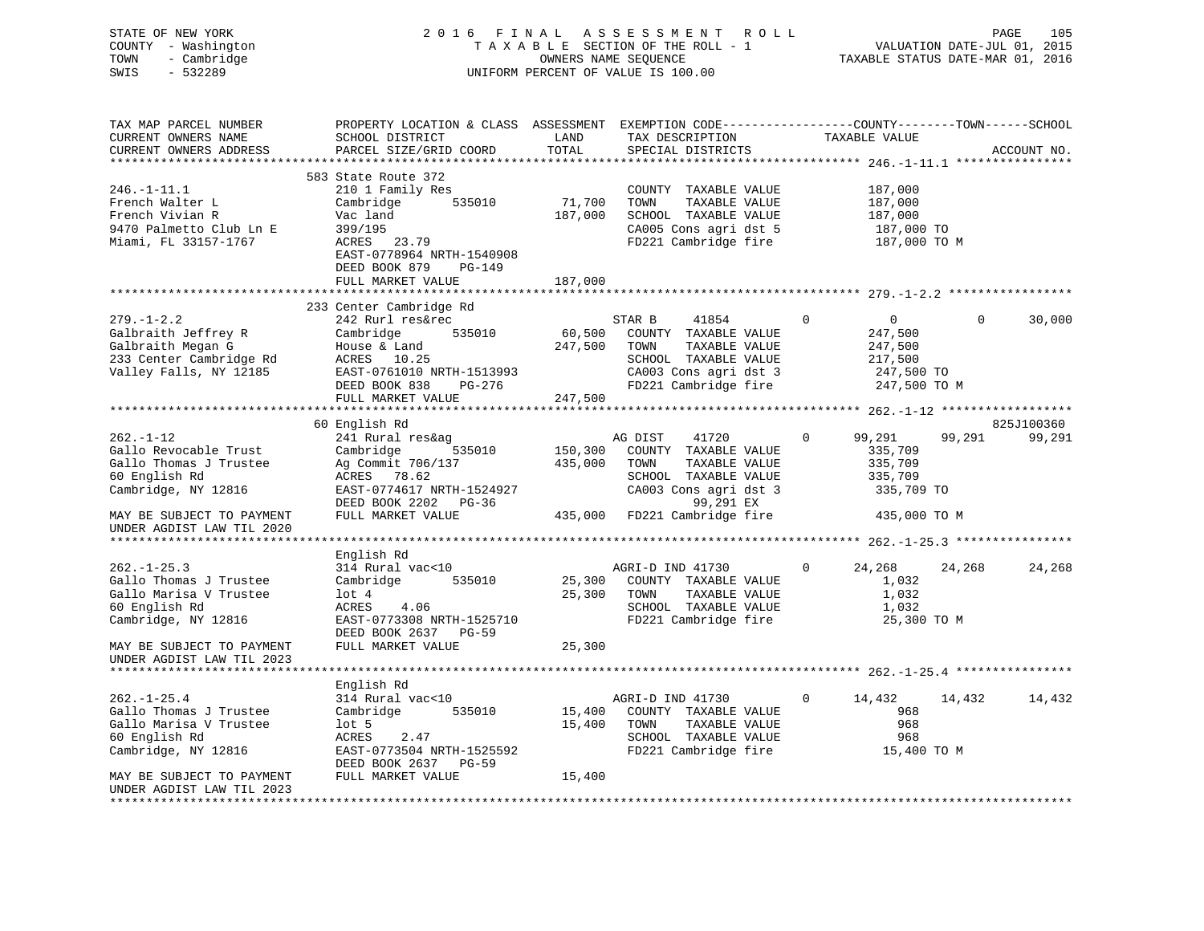### STATE OF NEW YORK 2 0 1 6 F I N A L A S S E S S M E N T R O L L PAGE 105 COUNTY - Washington T A X A B L E SECTION OF THE ROLL - 1 VALUATION DATE-JUL 01, 2015 TOWN - Cambridge OWNERS NAME SEQUENCE TAXABLE STATUS DATE-MAR 01, 2016 SWIS - 532289 UNIFORM PERCENT OF VALUE IS 100.00

| TAX MAP PARCEL NUMBER<br>CURRENT OWNERS NAME | PROPERTY LOCATION & CLASS ASSESSMENT EXEMPTION CODE----------------COUNTY-------TOWN------SCHOOL<br>SCHOOL DISTRICT | LAND                | TAX DESCRIPTION              | TAXABLE VALUE          |                                                             |
|----------------------------------------------|---------------------------------------------------------------------------------------------------------------------|---------------------|------------------------------|------------------------|-------------------------------------------------------------|
| CURRENT OWNERS ADDRESS                       | PARCEL SIZE/GRID COORD                                                                                              | TOTAL               | SPECIAL DISTRICTS            |                        | ACCOUNT NO.                                                 |
|                                              |                                                                                                                     |                     |                              |                        |                                                             |
|                                              | 583 State Route 372                                                                                                 |                     |                              |                        |                                                             |
| $246. - 1 - 11.1$                            | 210 1 Family Res                                                                                                    |                     | COUNTY TAXABLE VALUE         |                        | 187,000                                                     |
| French Walter L                              | 535010<br>Cambridge                                                                                                 | 71,700              | TOWN<br>TAXABLE VALUE        |                        | 187,000                                                     |
| French Vivian R                              | Vac land                                                                                                            | 187,000             | SCHOOL TAXABLE VALUE         |                        | 187,000                                                     |
| 9470 Palmetto Club Ln E                      | 399/195                                                                                                             |                     | CA005 Cons agri dst 5        |                        | 187,000 TO                                                  |
| Miami, FL 33157-1767                         | ACRES 23.79                                                                                                         |                     | FD221 Cambridge fire         |                        | 187,000 TO M                                                |
|                                              | EAST-0778964 NRTH-1540908                                                                                           |                     |                              |                        |                                                             |
|                                              | DEED BOOK 879<br>$PG-149$                                                                                           |                     |                              |                        |                                                             |
|                                              | FULL MARKET VALUE                                                                                                   | 187,000             |                              |                        |                                                             |
|                                              | *****************************                                                                                       | ******************* |                              |                        | ******************************** 279.-1-2.2 *************** |
|                                              | 233 Center Cambridge Rd                                                                                             |                     |                              |                        |                                                             |
| $279. - 1 - 2.2$                             | 242 Rurl res&rec                                                                                                    |                     | STAR B<br>41854              | $\mathbf{0}$           | $\overline{0}$<br>$\Omega$<br>30,000                        |
| Galbraith Jeffrey R                          | Cambridge<br>535010                                                                                                 | 60,500              | COUNTY TAXABLE VALUE         |                        | 247,500                                                     |
| Galbraith Megan G                            | House & Land                                                                                                        | 247,500             | TOWN<br>TAXABLE VALUE        |                        | 247,500                                                     |
| 233 Center Cambridge Rd                      | ACRES 10.25                                                                                                         |                     | SCHOOL TAXABLE VALUE         |                        | 217,500                                                     |
|                                              |                                                                                                                     |                     |                              |                        |                                                             |
| Valley Falls, NY 12185                       | EAST-0761010 NRTH-1513993                                                                                           |                     | CA003 Cons agri dst 3        |                        | 247,500 TO                                                  |
|                                              | PG-276<br>DEED BOOK 838                                                                                             |                     | FD221 Cambridge fire         |                        | 247,500 TO M                                                |
|                                              | FULL MARKET VALUE                                                                                                   | 247,500             |                              |                        |                                                             |
|                                              |                                                                                                                     |                     |                              |                        |                                                             |
|                                              | 60 English Rd                                                                                                       |                     |                              |                        | 825J100360                                                  |
| $262. - 1 - 12$                              | 241 Rural res&ag                                                                                                    |                     | AG DIST<br>41720             | $\mathbf{0}$<br>99,291 | 99,291<br>99,291                                            |
| Gallo Revocable Trust                        | Cambridge<br>535010                                                                                                 | 150,300             | COUNTY TAXABLE VALUE         |                        | 335,709                                                     |
| Gallo Thomas J Trustee                       | Ag Commit 706/137                                                                                                   | 435,000             | TOWN<br>TAXABLE VALUE        |                        | 335,709                                                     |
| 60 English Rd                                | ACRES 78.62                                                                                                         |                     | SCHOOL TAXABLE VALUE         |                        | 335,709                                                     |
| Cambridge, NY 12816                          | EAST-0774617 NRTH-1524927                                                                                           |                     | CA003 Cons agri dst 3        |                        | 335,709 TO                                                  |
|                                              | DEED BOOK 2202 PG-36                                                                                                |                     | 99,291 EX                    |                        |                                                             |
| MAY BE SUBJECT TO PAYMENT                    | FULL MARKET VALUE                                                                                                   |                     | 435,000 FD221 Cambridge fire |                        | 435,000 TO M                                                |
| UNDER AGDIST LAW TIL 2020                    |                                                                                                                     |                     |                              |                        |                                                             |
|                                              |                                                                                                                     |                     |                              |                        |                                                             |
|                                              | English Rd                                                                                                          |                     |                              |                        |                                                             |
| $262. - 1 - 25.3$                            | 314 Rural vac<10                                                                                                    |                     | AGRI-D IND 41730             | $\mathbf{0}$<br>24,268 | 24,268<br>24,268                                            |
| Gallo Thomas J Trustee                       | 535010<br>Cambridge                                                                                                 | 25,300              | COUNTY TAXABLE VALUE         |                        | 1,032                                                       |
| Gallo Marisa V Trustee                       | $1$ ot $4$                                                                                                          | 25,300              | TOWN<br>TAXABLE VALUE        |                        | 1,032                                                       |
| 60 English Rd                                | 4.06<br>ACRES                                                                                                       |                     | SCHOOL TAXABLE VALUE         |                        | 1,032                                                       |
| Cambridge, NY 12816                          | EAST-0773308 NRTH-1525710                                                                                           |                     | FD221 Cambridge fire         |                        | 25,300 TO M                                                 |
|                                              | DEED BOOK 2637 PG-59                                                                                                |                     |                              |                        |                                                             |
| MAY BE SUBJECT TO PAYMENT                    | FULL MARKET VALUE                                                                                                   | 25,300              |                              |                        |                                                             |
| UNDER AGDIST LAW TIL 2023                    |                                                                                                                     |                     |                              |                        |                                                             |
|                                              |                                                                                                                     |                     |                              |                        |                                                             |
|                                              | English Rd                                                                                                          |                     |                              |                        |                                                             |
| $262. - 1 - 25.4$                            | 314 Rural vac<10                                                                                                    |                     | AGRI-D IND 41730             | $\mathbf{0}$<br>14,432 | 14,432<br>14,432                                            |
| Gallo Thomas J Trustee                       | Cambridge<br>535010                                                                                                 | 15,400              | COUNTY TAXABLE VALUE         |                        | 968                                                         |
| Gallo Marisa V Trustee                       | $1$ ot 5                                                                                                            | 15,400              | TOWN<br>TAXABLE VALUE        |                        | 968                                                         |
| 60 English Rd                                | ACRES<br>2.47                                                                                                       |                     | SCHOOL TAXABLE VALUE         |                        | 968                                                         |
| Cambridge, NY 12816                          | EAST-0773504 NRTH-1525592                                                                                           |                     | FD221 Cambridge fire         |                        | 15,400 TO M                                                 |
|                                              | DEED BOOK 2637 PG-59                                                                                                |                     |                              |                        |                                                             |
| MAY BE SUBJECT TO PAYMENT                    | FULL MARKET VALUE                                                                                                   | 15,400              |                              |                        |                                                             |
| UNDER AGDIST LAW TIL 2023                    |                                                                                                                     |                     |                              |                        |                                                             |
|                                              |                                                                                                                     |                     |                              |                        |                                                             |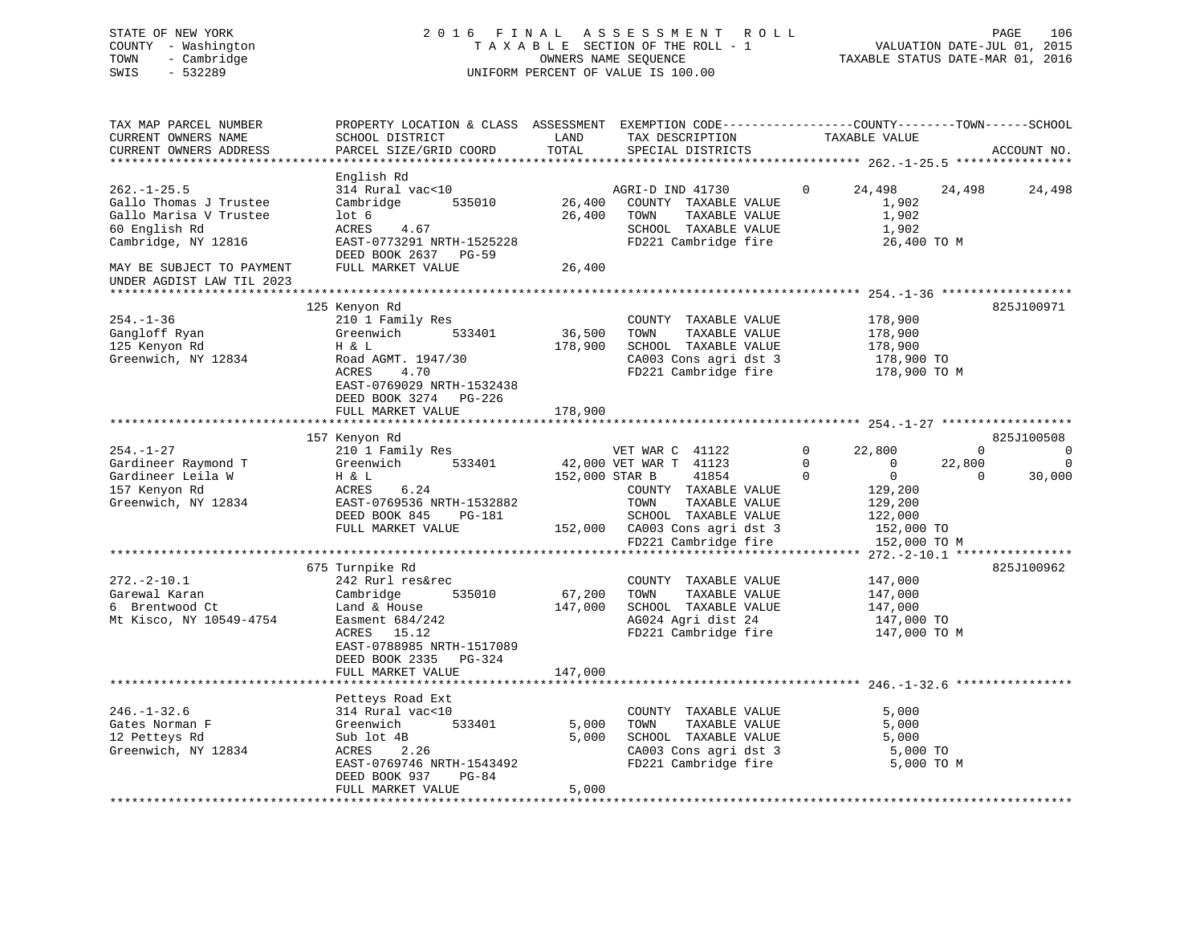| STATE OF NEW YORK<br>COUNTY - Washington<br>- Cambridge<br>TOWN<br>SWIS<br>$-532289$                          |                                                                                                                                                                    |                         | 2016 FINAL ASSESSMENT ROLL<br>TAXABLE SECTION OF THE ROLL - 1<br>$\frac{1}{2}$<br>OWNERS NAME SEQUENCE<br>UNIFORM PERCENT OF VALUE IS 100.00                 |                                           | VALUATION DATE-JUL 01, 2015<br>TAXABLE STATUS DATE-MAR 01, 2016                           |                          | PAGE<br>106                                     |
|---------------------------------------------------------------------------------------------------------------|--------------------------------------------------------------------------------------------------------------------------------------------------------------------|-------------------------|--------------------------------------------------------------------------------------------------------------------------------------------------------------|-------------------------------------------|-------------------------------------------------------------------------------------------|--------------------------|-------------------------------------------------|
| TAX MAP PARCEL NUMBER<br>CURRENT OWNERS NAME<br>CURRENT OWNERS ADDRESS<br>*********************               | PROPERTY LOCATION & CLASS ASSESSMENT EXEMPTION CODE----------------COUNTY-------TOWN------SCHOOL<br>SCHOOL DISTRICT<br>PARCEL SIZE/GRID COORD                      | LAND<br>TOTAL           | TAX DESCRIPTION<br>SPECIAL DISTRICTS                                                                                                                         |                                           | TAXABLE VALUE                                                                             |                          | ACCOUNT NO.                                     |
|                                                                                                               | English Rd                                                                                                                                                         |                         |                                                                                                                                                              |                                           |                                                                                           |                          |                                                 |
| $262. - 1 - 25.5$<br>Gallo Thomas J Trustee<br>Gallo Marisa V Trustee<br>60 English Rd<br>Cambridge, NY 12816 | 314 Rural vac<10<br>Cambridge 535010<br>lot <sub>6</sub><br>ACRES<br>4.67<br>EAST-0773291 NRTH-1525228                                                             | 26,400                  | AGRI-D IND 41730<br>26,400 COUNTY TAXABLE VALUE<br>26,400 TOWN TAXABLE VALUE<br>TOWN<br>TAXABLE VALUE<br>SCHOOL TAXABLE VALUE<br>FD221 Cambridge fire        | 0                                         | 24,498<br>1,902<br>1,902<br>1,902<br>26,400 TO M                                          | 24,498                   | 24,498                                          |
| MAY BE SUBJECT TO PAYMENT<br>UNDER AGDIST LAW TIL 2023                                                        | DEED BOOK 2637 PG-59<br>FULL MARKET VALUE                                                                                                                          | 26,400                  |                                                                                                                                                              |                                           |                                                                                           |                          |                                                 |
| $254. - 1 - 36$<br>Gangloff Ryan<br>125 Kenyon Rd<br>Greenwich, NY 12834                                      | 125 Kenyon Rd<br>210 1 Family Res<br>Greenwich 533401<br>H & L<br>Road AGMT. 1947/30<br>ACRES<br>4.70<br>EAST-0769029 NRTH-1532438<br>DEED BOOK 3274 PG-226        | 36,500<br>178,900       | COUNTY TAXABLE VALUE<br>TOWN<br>TAXABLE VALUE<br>SCHOOL TAXABLE VALUE<br>CA003 Cons agri dst 3<br>FD221 Cambridge fire                                       |                                           | 178,900<br>178,900<br>178,900<br>178,900 TO<br>178,900 TO M                               |                          | 825J100971                                      |
|                                                                                                               | FULL MARKET VALUE                                                                                                                                                  | 178,900                 |                                                                                                                                                              |                                           |                                                                                           |                          |                                                 |
|                                                                                                               | 157 Kenyon Rd                                                                                                                                                      |                         |                                                                                                                                                              |                                           |                                                                                           |                          | 825J100508                                      |
| $254. - 1 - 27$<br>Gardineer Raymond T<br>Gardineer Leila W<br>157 Kenyon Rd<br>Greenwich, NY 12834           | 210 1 Family Res<br>Greenwich 533401<br>H & L<br>6.24<br>ACRES<br>EAST-0769536 NRTH-1532882<br>DEED BOOK 845 PG-181<br>FULL MARKET VALUE                           | 152,000 STAR B          | VET WAR C 41122<br>42,000 VET WAR T 41123<br>41854<br>COUNTY TAXABLE VALUE<br>TOWN<br>TAXABLE VALUE<br>SCHOOL TAXABLE VALUE<br>152,000 CA003 Cons agri dst 3 | $\mathbf 0$<br>$\mathbf 0$<br>$\mathbf 0$ | 22,800<br>$\overline{0}$<br>$\overline{0}$<br>129,200<br>129,200<br>122,000<br>152,000 TO | 22,800<br>$\overline{0}$ | $0 \qquad \qquad 0$<br>$\overline{0}$<br>30,000 |
|                                                                                                               |                                                                                                                                                                    |                         | FD221 Cambridge fire                                                                                                                                         |                                           | 152,000 TO M                                                                              |                          |                                                 |
| $272. - 2 - 10.1$<br>Garewal Karan<br>6 Brentwood Ct<br>Mt Kisco, NY 10549-4754                               | 675 Turnpike Rd<br>242 Rurl res&rec<br>Cambridge<br>535010<br>Land & House<br>Easment 684/242<br>ACRES 15.12<br>EAST-0788985 NRTH-1517089<br>DEED BOOK 2335 PG-324 | 67,200                  | COUNTY TAXABLE VALUE<br>TOWN<br>TAXABLE VALUE<br>147,000 SCHOOL TAXABLE VALUE<br>AG024 Agri dist 24<br>FD221 Cambridge fire                                  |                                           | 147,000<br>147,000<br>147,000<br>147,000 TO<br>147,000 TO M                               |                          | 825J100962                                      |
|                                                                                                               | FULL MARKET VALUE<br>*****************************                                                                                                                 | 147,000                 |                                                                                                                                                              |                                           |                                                                                           |                          |                                                 |
| $246. - 1 - 32.6$<br>Gates Norman F<br>12 Petteys Rd<br>Greenwich, NY 12834                                   | Petteys Road Ext<br>314 Rural vac<10<br>533401<br>Greenwich<br>Sub lot 4B<br>ACRES<br>2.26<br>EAST-0769746 NRTH-1543492<br>PG-84<br>DEED BOOK 937                  | 5,000<br>5,000<br>5,000 | COUNTY TAXABLE VALUE<br>TOWN<br>TAXABLE VALUE<br>SCHOOL TAXABLE VALUE<br>CA003 Cons agri dst 3<br>FD221 Cambridge fire                                       |                                           | 5,000<br>5,000<br>5,000<br>5,000 TO<br>5,000 TO M                                         |                          |                                                 |
|                                                                                                               | FULL MARKET VALUE                                                                                                                                                  |                         |                                                                                                                                                              |                                           |                                                                                           |                          |                                                 |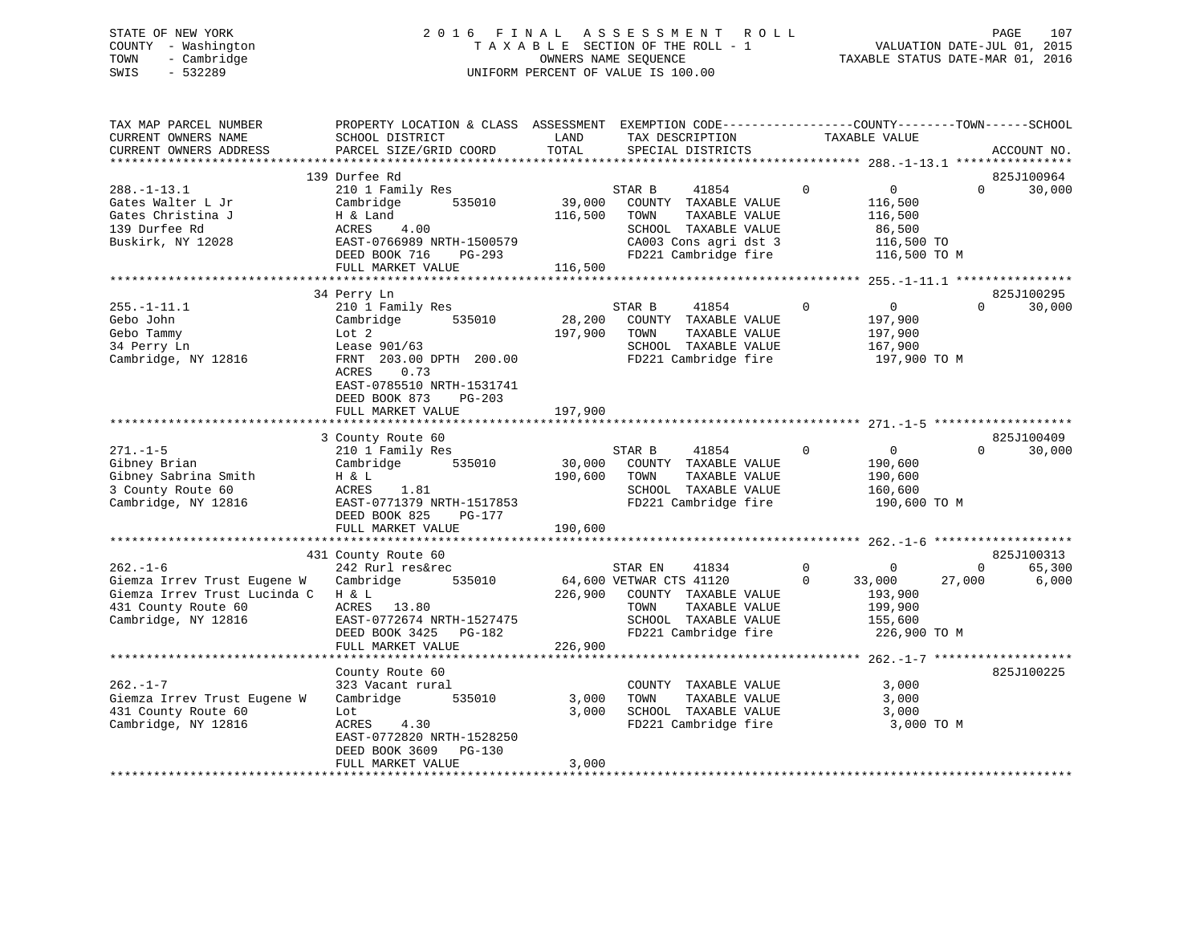### STATE OF NEW YORK 2 0 1 6 F I N A L A S S E S S M E N T R O L L PAGE 107 COUNTY - Washington T A X A B L E SECTION OF THE ROLL - 1 VALUATION DATE-JUL 01, 2015 TOWN - Cambridge OWNERS NAME SEQUENCE TAXABLE STATUS DATE-MAR 01, 2016 SWIS - 532289 UNIFORM PERCENT OF VALUE IS 100.00

| TAX MAP PARCEL NUMBER<br>CURRENT OWNERS NAME<br>CURRENT OWNERS ADDRESS                                                      | PROPERTY LOCATION & CLASS ASSESSMENT<br>SCHOOL DISTRICT<br>PARCEL SIZE/GRID COORD                                                                                                                        | LAND<br>TOTAL                | EXEMPTION CODE-----------------COUNTY-------TOWN------SCHOOL<br>TAX DESCRIPTION<br>SPECIAL DISTRICTS                                         | TAXABLE VALUE                                                                                        | ACCOUNT NO.                               |
|-----------------------------------------------------------------------------------------------------------------------------|----------------------------------------------------------------------------------------------------------------------------------------------------------------------------------------------------------|------------------------------|----------------------------------------------------------------------------------------------------------------------------------------------|------------------------------------------------------------------------------------------------------|-------------------------------------------|
|                                                                                                                             |                                                                                                                                                                                                          |                              |                                                                                                                                              |                                                                                                      |                                           |
|                                                                                                                             | 139 Durfee Rd                                                                                                                                                                                            |                              |                                                                                                                                              |                                                                                                      | 825J100964                                |
| $288. - 1 - 13.1$<br>Gates Walter L Jr<br>Gates Christina J<br>139 Durfee Rd<br>Buskirk, NY 12028                           | 210 1 Family Res<br>Cambridge<br>535010<br>H & Land<br>4.00<br>ACRES<br>EAST-0766989 NRTH-1500579<br>DEED BOOK 716<br>PG-293<br>FULL MARKET VALUE                                                        | 39,000<br>116,500<br>116,500 | 41854<br>STAR B<br>COUNTY TAXABLE VALUE<br>TOWN<br>TAXABLE VALUE<br>SCHOOL TAXABLE VALUE<br>CA003 Cons agri dst 3<br>FD221 Cambridge fire    | $\Omega$<br>$\mathbf{0}$<br>116,500<br>116,500<br>86,500<br>116,500 TO<br>116,500 TO M               | $\Omega$<br>30,000                        |
|                                                                                                                             |                                                                                                                                                                                                          |                              |                                                                                                                                              |                                                                                                      |                                           |
| $255. - 1 - 11.1$<br>Gebo John<br>Gebo Tammy<br>34 Perry Ln<br>Cambridge, NY 12816                                          | 34 Perry Ln<br>210 1 Family Res<br>535010<br>Cambridge<br>Lot 2<br>Lease 901/63<br>FRNT 203.00 DPTH 200.00<br>ACRES<br>0.73<br>EAST-0785510 NRTH-1531741<br>DEED BOOK 873<br>PG-203<br>FULL MARKET VALUE | 28,200<br>197,900<br>197,900 | STAR B<br>41854<br>COUNTY TAXABLE VALUE<br>TOWN<br>TAXABLE VALUE<br>SCHOOL TAXABLE VALUE<br>FD221 Cambridge fire                             | $\Omega$<br>$\overline{0}$<br>197,900<br>197,900<br>167,900<br>197,900 TO M                          | 825J100295<br>30,000<br>$\Omega$          |
|                                                                                                                             |                                                                                                                                                                                                          |                              |                                                                                                                                              |                                                                                                      |                                           |
| $271. - 1 - 5$<br>Gibney Brian<br>Gibney Sabrina Smith<br>3 County Route 60<br>Cambridge, NY 12816                          | 3 County Route 60<br>210 1 Family Res<br>535010<br>Cambridge<br>H & L<br>1.81<br>ACRES<br>EAST-0771379 NRTH-1517853<br>DEED BOOK 825<br>PG-177<br>FULL MARKET VALUE                                      | 30,000<br>190,600<br>190,600 | STAR B<br>41854<br>COUNTY TAXABLE VALUE<br>TOWN<br>TAXABLE VALUE<br>SCHOOL TAXABLE VALUE<br>FD221 Cambridge fire                             | $\overline{0}$<br>0<br>190,600<br>190,600<br>160,600<br>190,600 TO M                                 | 825J100409<br>30,000<br>$\Omega$          |
|                                                                                                                             | 431 County Route 60                                                                                                                                                                                      |                              |                                                                                                                                              |                                                                                                      | 825J100313                                |
| $262. - 1 - 6$<br>Giemza Irrev Trust Eugene W<br>Giemza Irrev Trust Lucinda C<br>431 County Route 60<br>Cambridge, NY 12816 | 242 Rurl res&rec<br>535010<br>Cambridge<br>H & L<br>ACRES 13.80<br>EAST-0772674 NRTH-1527475<br>DEED BOOK 3425<br>PG-182<br>FULL MARKET VALUE                                                            | 226,900<br>226,900           | STAR EN<br>41834<br>64,600 VETWAR CTS 41120<br>COUNTY TAXABLE VALUE<br>TOWN<br>TAXABLE VALUE<br>SCHOOL TAXABLE VALUE<br>FD221 Cambridge fire | $\mathbf 0$<br>$\overline{0}$<br>$\Omega$<br>33,000<br>193,900<br>199,900<br>155,600<br>226,900 TO M | 65,300<br>$\mathbf{0}$<br>27,000<br>6,000 |
|                                                                                                                             |                                                                                                                                                                                                          |                              |                                                                                                                                              |                                                                                                      |                                           |
| $262. - 1 - 7$<br>Giemza Irrev Trust Eugene W<br>431 County Route 60<br>Cambridge, NY 12816                                 | County Route 60<br>323 Vacant rural<br>Cambridge<br>535010<br>Lot<br>ACRES<br>4.30<br>EAST-0772820 NRTH-1528250<br>DEED BOOK 3609<br>PG-130<br>FULL MARKET VALUE                                         | 3,000<br>3,000<br>3,000      | COUNTY TAXABLE VALUE<br>TAXABLE VALUE<br>TOWN<br>SCHOOL TAXABLE VALUE<br>FD221 Cambridge fire                                                | 3,000<br>3,000<br>3,000<br>3,000 TO M                                                                | 825J100225                                |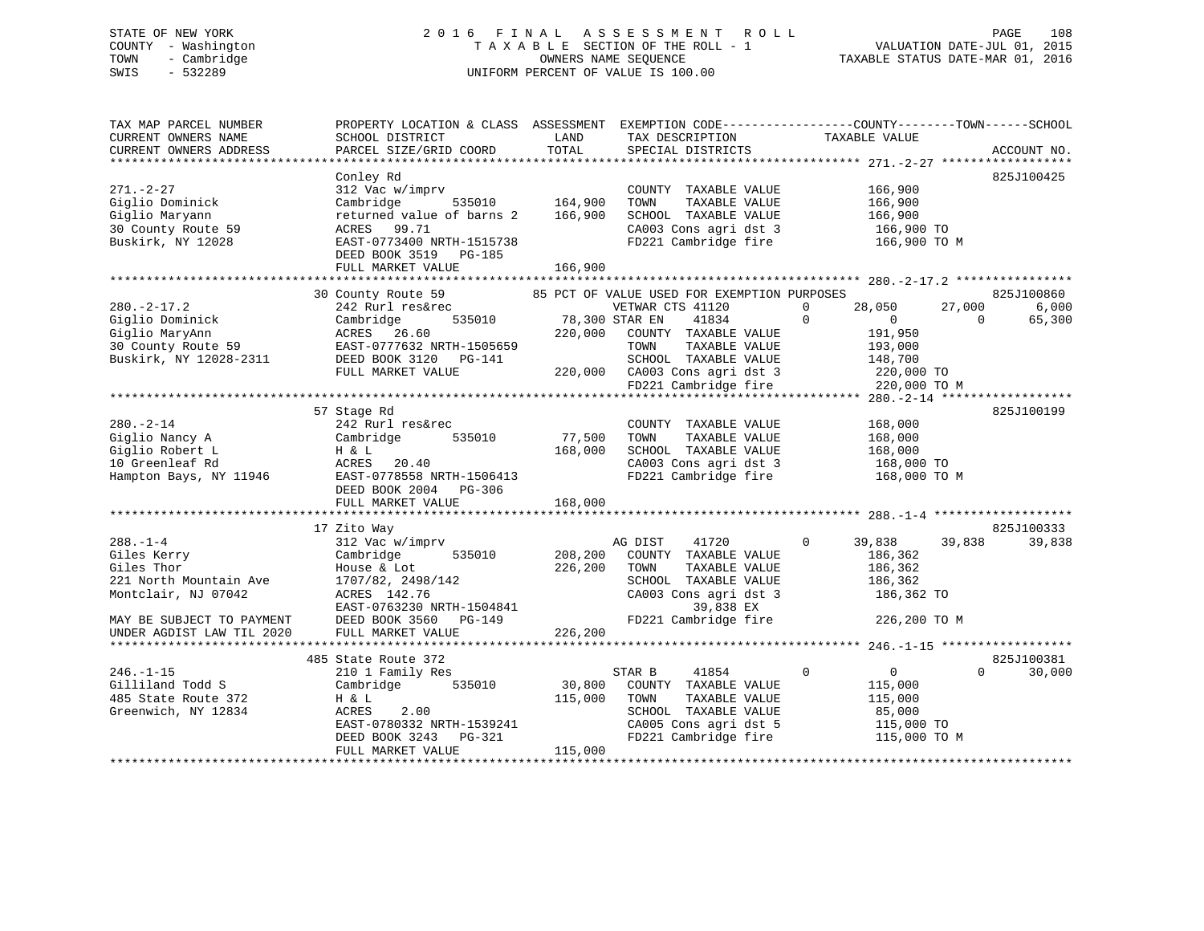#### STATE OF NEW YORK 2016 FINAL ASSESSMENT ROLL PAGE 108 COUNTY - Washington  $T A X A B L E$  SECTION OF THE ROLL - 1<br>TOWN - Cambridge  $\qquad$  OWNERS NAME SEQUENCE TOWN - Cambridge OWNERS NAME SEQUENCE TAXABLE STATUS DATE-MAR 01, 2016 SWIS - 532289 UNIFORM PERCENT OF VALUE IS 100.00

VALUATION DATE-JUL 01, 2015

| TAX MAP PARCEL NUMBER<br>CURRENT OWNERS NAME<br>CURRENT OWNERS ADDRESS                                                                                 | PROPERTY LOCATION & CLASS ASSESSMENT<br>SCHOOL DISTRICT<br>PARCEL SIZE/GRID COORD                                                                                                       | LAND<br>TOTAL                 | TAX DESCRIPTION<br>SPECIAL DISTRICTS                                                                                                                                                                       | EXEMPTION CODE-----------------COUNTY-------TOWN------SCHOOL<br>TAXABLE VALUE                                                | ACCOUNT NO.                               |
|--------------------------------------------------------------------------------------------------------------------------------------------------------|-----------------------------------------------------------------------------------------------------------------------------------------------------------------------------------------|-------------------------------|------------------------------------------------------------------------------------------------------------------------------------------------------------------------------------------------------------|------------------------------------------------------------------------------------------------------------------------------|-------------------------------------------|
| $271. - 2 - 27$<br>Giglio Dominick<br>Giglio Maryann<br>30 County Route 59<br>Buskirk, NY 12028                                                        | Conley Rd<br>312 Vac w/imprv<br>Cambridge<br>535010<br>returned value of barns 2<br>ACRES 99.71<br>EAST-0773400 NRTH-1515738<br>DEED BOOK 3519 PG-185<br>FULL MARKET VALUE              | 164,900<br>166,900<br>166,900 | COUNTY TAXABLE VALUE<br>TOWN<br>TAXABLE VALUE<br>SCHOOL TAXABLE VALUE<br>CA003 Cons agri dst 3<br>FD221 Cambridge fire                                                                                     | 166,900<br>166,900<br>166,900<br>166,900 TO<br>166,900 TO M                                                                  | 825J100425                                |
| $280. - 2 - 17.2$<br>Giglio Dominick<br>Giglio MaryAnn<br>30 County Route 59<br>Buskirk, NY 12028-2311                                                 | 30 County Route 59<br>242 Rurl res&rec<br>Cambridge<br>535010<br>ACRES 26.60<br>EAST-0777632 NRTH-1505659<br>DEED BOOK 3120 PG-141<br>FULL MARKET VALUE                                 | 78,300 STAR EN<br>220,000     | 85 PCT OF VALUE USED FOR EXEMPTION PURPOSES<br>VETWAR CTS 41120<br>41834<br>COUNTY TAXABLE VALUE<br>TAXABLE VALUE<br>TOWN<br>SCHOOL TAXABLE VALUE<br>220,000 CA003 Cons agri dst 3<br>FD221 Cambridge fire | 28,050<br>27,000<br>$\mathbf 0$<br>$\Omega$<br>$\overline{0}$<br>191,950<br>193,000<br>148,700<br>220,000 TO<br>220,000 TO M | 825J100860<br>6,000<br>65,300<br>$\Omega$ |
| $280. - 2 - 14$<br>Giglio Nancy A<br>Giglio Robert L<br>10 Greenleaf Rd<br>Hampton Bays, NY 11946                                                      | 57 Stage Rd<br>242 Rurl res&rec<br>Cambridge<br>535010<br>H & L<br>ACRES<br>20.40<br>EAST-0778558 NRTH-1506413<br>DEED BOOK 2004<br>PG-306<br>FULL MARKET VALUE                         | 77,500<br>168,000<br>168,000  | COUNTY TAXABLE VALUE<br>TAXABLE VALUE<br>TOWN<br>SCHOOL TAXABLE VALUE<br>CA003 Cons agri dst 3<br>FD221 Cambridge fire                                                                                     | 168,000<br>168,000<br>168,000<br>168,000 TO<br>168,000 TO M                                                                  | 825J100199                                |
| $288. - 1 - 4$<br>Giles Kerry<br>Giles Thor<br>221 North Mountain Ave<br>Montclair, NJ 07042<br>MAY BE SUBJECT TO PAYMENT<br>UNDER AGDIST LAW TIL 2020 | 17 Zito Way<br>312 Vac w/imprv<br>Cambridge<br>535010<br>House & Lot<br>1707/82, 2498/142<br>ACRES 142.76<br>EAST-0763230 NRTH-1504841<br>DEED BOOK 3560<br>PG-149<br>FULL MARKET VALUE | 208,200<br>226,200<br>226,200 | AG DIST<br>41720<br>COUNTY TAXABLE VALUE<br>TAXABLE VALUE<br>TOWN<br>SCHOOL TAXABLE VALUE<br>CA003 Cons agri dst 3<br>39,838 EX<br>FD221 Cambridge fire                                                    | $\Omega$<br>39,838<br>39,838<br>186,362<br>186,362<br>186,362<br>186,362 TO<br>226,200 TO M                                  | 825J100333<br>39,838                      |
| $246. - 1 - 15$<br>Gilliland Todd S<br>485 State Route 372<br>Greenwich, NY 12834                                                                      | 485 State Route 372<br>210 1 Family Res<br>Cambridge<br>535010<br>H & L<br>ACRES<br>2.00<br>EAST-0780332 NRTH-1539241<br>DEED BOOK 3243<br>PG-321<br>FULL MARKET VALUE                  | 30,800<br>115,000<br>115,000  | STAR B<br>41854<br>COUNTY TAXABLE VALUE<br>TOWN<br>TAXABLE VALUE<br>SCHOOL TAXABLE VALUE<br>CA005 Cons agri dst 5<br>FD221 Cambridge fire                                                                  | $\mathbf 0$<br>$\overline{0}$<br>115,000<br>115,000<br>85,000<br>115,000 TO<br>115,000 TO M                                  | 825J100381<br>$\Omega$<br>30,000          |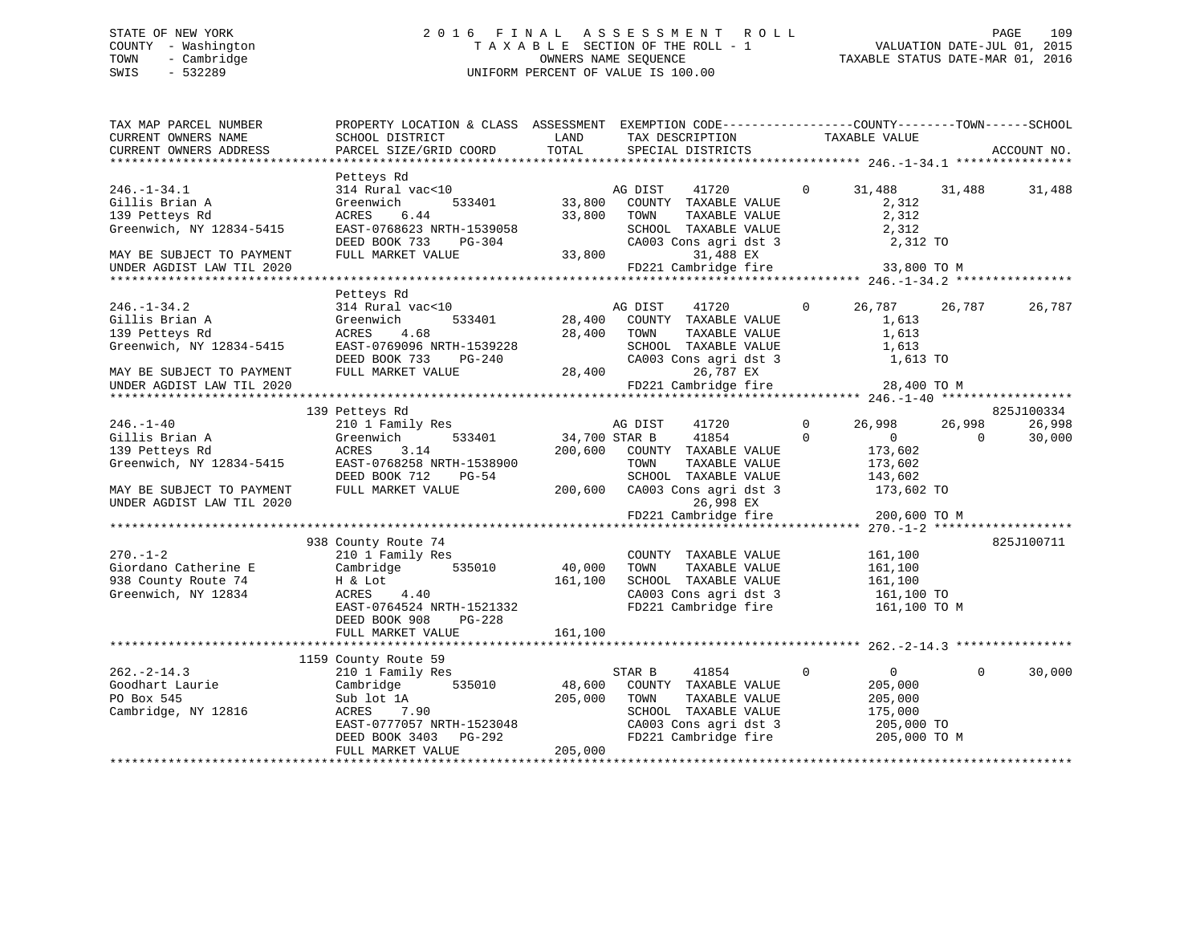## STATE OF NEW YORK 2 0 1 6 F I N A L A S S E S S M E N T R O L L PAGE 109 COUNTY - Washington T A X A B L E SECTION OF THE ROLL - 1 VALUATION DATE-JUL 01, 2015 TOWN - Cambridge OWNERS NAME SEQUENCE TAXABLE STATUS DATE-MAR 01, 2016 SWIS - 532289 UNIFORM PERCENT OF VALUE IS 100.00

| TAX MAP PARCEL NUMBER<br>CURRENT OWNERS NAME<br>CURRENT OWNERS ADDRESS               | PROPERTY LOCATION & CLASS ASSESSMENT EXEMPTION CODE----------------COUNTY-------TOWN------SCHOOL<br>SCHOOL DISTRICT<br>PARCEL SIZE/GRID COORD                           | LAND<br>TOTAL                   | TAX DESCRIPTION<br>SPECIAL DISTRICTS                                                                                                      | TAXABLE VALUE                                |                                                                                           | ACCOUNT NO.                    |
|--------------------------------------------------------------------------------------|-------------------------------------------------------------------------------------------------------------------------------------------------------------------------|---------------------------------|-------------------------------------------------------------------------------------------------------------------------------------------|----------------------------------------------|-------------------------------------------------------------------------------------------|--------------------------------|
|                                                                                      |                                                                                                                                                                         |                                 |                                                                                                                                           |                                              |                                                                                           |                                |
| $246. - 1 - 34.1$<br>Gillis Brian A<br>139 Petteys Rd                                | Petteys Rd<br>314 Rural vac<10<br>533401<br>Greenwich<br>ACRES<br>6.44                                                                                                  |                                 | AG DIST<br>41720<br>33,800 COUNTY TAXABLE VALUE<br>33,800 TOWN<br>TAXABLE VALUE                                                           | $\overline{0}$<br>31,488                     | 31,488<br>2,312<br>2,312                                                                  | 31,488                         |
| Greenwich, NY 12834-5415<br>MAY BE SUBJECT TO PAYMENT                                | EAST-0768623 NRTH-1539058<br>DEED BOOK 733 PG-304<br>FULL MARKET VALUE                                                                                                  |                                 | SCHOOL TAXABLE VALUE<br>CA003 Cons agri dst 3<br>33,800<br>31,488 EX                                                                      |                                              | 2,312<br>2,312 TO                                                                         |                                |
| UNDER AGDIST LAW TIL 2020                                                            |                                                                                                                                                                         |                                 | FD221 Cambridge fire                                                                                                                      |                                              | 33,800 TO M                                                                               |                                |
|                                                                                      |                                                                                                                                                                         |                                 |                                                                                                                                           |                                              |                                                                                           |                                |
| $246. - 1 - 34.2$<br>Gillis Brian A<br>139 Petteys Rd<br>Greenwich, NY 12834-5415    | Petteys Rd<br>314 Rural vac<10<br>Greenwich<br>533401<br>ACRES<br>4.68<br>EAST-0769096 NRTH-1539228                                                                     |                                 | AG DIST<br>41720<br>28,400 COUNTY TAXABLE VALUE<br>28,400 TOWN<br>TAXABLE VALUE<br>SCHOOL TAXABLE VALUE                                   | $\Omega$                                     | 26,787<br>26,787<br>1,613<br>1,613<br>1,613                                               | 26,787                         |
| MAY BE SUBJECT TO PAYMENT<br>UNDER AGDIST LAW TIL 2020                               | DEED BOOK 733<br>PG-240<br>FULL MARKET VALUE                                                                                                                            |                                 | CA003 Cons agri dst 3<br>28,400<br>26,787 EX<br>FD221 Cambridge fire                                                                      |                                              | 1,613 TO<br>28,400 TO M                                                                   |                                |
|                                                                                      |                                                                                                                                                                         |                                 |                                                                                                                                           |                                              |                                                                                           |                                |
| $246. - 1 - 40$<br>Gillis Brian A<br>139 Petteys Rd<br>Greenwich, NY 12834-5415      | 139 Petteys Rd<br>210 1 Family Res<br>Greenwich<br>ACRES<br>3.14<br>EAST-0768258 NRTH-1538900                                                                           | 533401 34,700 STAR B<br>200,600 | AG DIST<br>41720<br>41854<br>COUNTY TAXABLE VALUE<br>TOWN<br>TAXABLE VALUE                                                                | $\overline{0}$<br>$\Omega$<br>$\overline{0}$ | 26,998<br>26,998<br>$\Omega$<br>173,602<br>173,602                                        | 825J100334<br>26,998<br>30,000 |
| MAY BE SUBJECT TO PAYMENT<br>UNDER AGDIST LAW TIL 2020                               | DEED BOOK 712<br>PG-54<br>FULL MARKET VALUE                                                                                                                             | 200,600                         | SCHOOL TAXABLE VALUE<br>CA003 Cons agri dst 3<br>26,998 EX<br>FD221 Cambridge fire                                                        | 143,602<br>173,602 TO                        | 200,600 TO M                                                                              |                                |
|                                                                                      |                                                                                                                                                                         |                                 |                                                                                                                                           |                                              |                                                                                           |                                |
| $270. - 1 - 2$<br>Giordano Catherine E<br>938 County Route 74<br>Greenwich, NY 12834 | 938 County Route 74<br>210 1 Family Res<br>535010<br>Cambridge<br>H & Lot<br>ACRES<br>4.40<br>EAST-0764524 NRTH-1521332<br>DEED BOOK 908<br>PG-228<br>FULL MARKET VALUE | 40,000<br>161,100<br>161,100    | COUNTY TAXABLE VALUE<br>TOWN<br>TAXABLE VALUE<br>SCHOOL TAXABLE VALUE<br>CA003 Cons agri dst 3<br>FD221 Cambridge fire                    |                                              | 161,100<br>161,100<br>161,100<br>161,100 TO<br>161,100 TO M                               | 825J100711                     |
|                                                                                      |                                                                                                                                                                         |                                 |                                                                                                                                           |                                              |                                                                                           |                                |
|                                                                                      | 1159 County Route 59                                                                                                                                                    |                                 |                                                                                                                                           |                                              |                                                                                           |                                |
| $262 - 2 - 14.3$<br>Goodhart Laurie<br>PO Box 545<br>Cambridge, NY 12816             | 210 1 Family Res<br>Cambridge 535010<br>Sub lot 1A<br>ACRES<br>7.90<br>EAST-0777057 NRTH-1523048<br>DEED BOOK 3403 PG-292<br>FULL MARKET VALUE                          | 48,600<br>205,000<br>205,000    | STAR B<br>41854<br>COUNTY TAXABLE VALUE<br>TOWN<br>TAXABLE VALUE<br>SCHOOL TAXABLE VALUE<br>CA003 Cons agri dst 3<br>FD221 Cambridge fire | $\mathbf{0}$                                 | $\overline{0}$<br>$\Omega$<br>205,000<br>205,000<br>175,000<br>205,000 TO<br>205,000 TO M | 30,000                         |
|                                                                                      |                                                                                                                                                                         |                                 |                                                                                                                                           |                                              |                                                                                           |                                |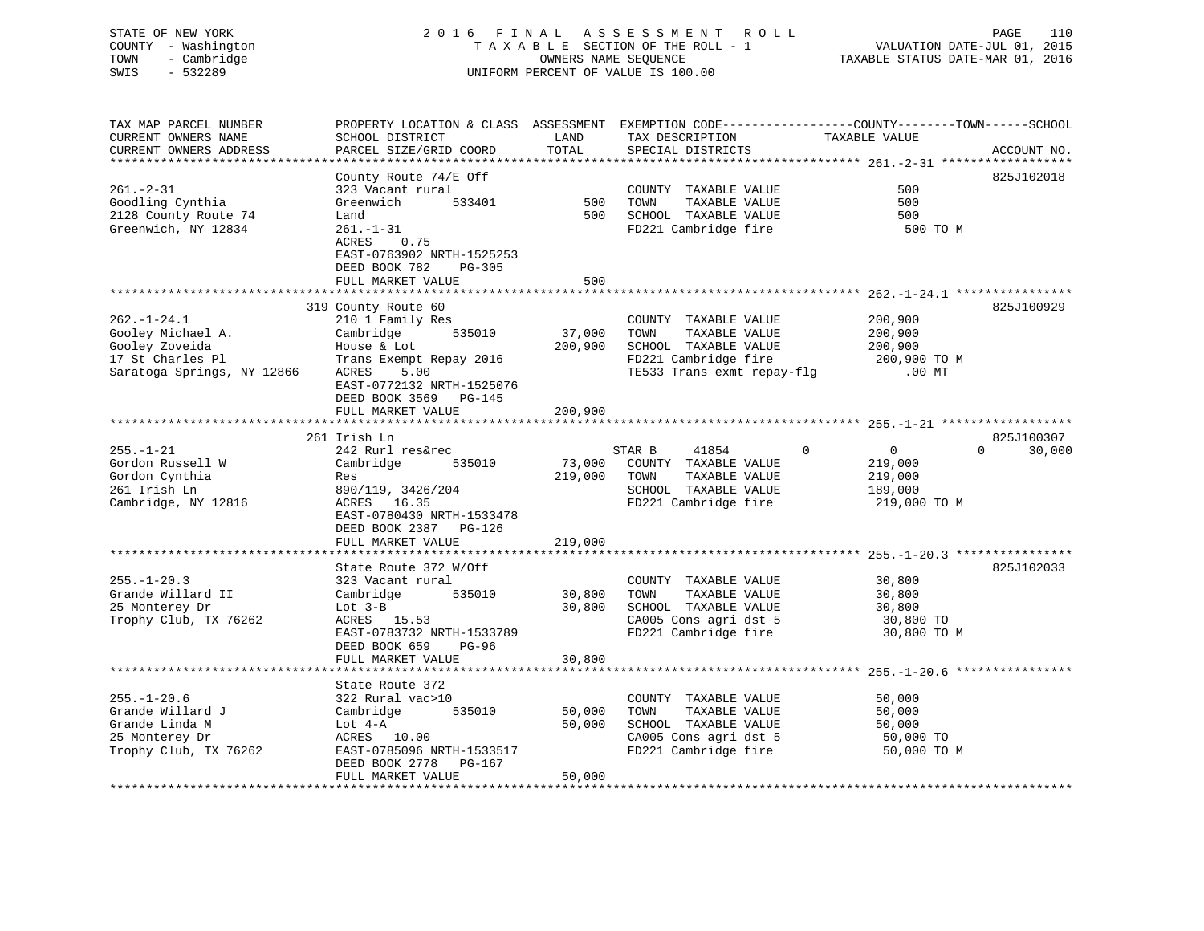## STATE OF NEW YORK 2 0 1 6 F I N A L A S S E S S M E N T R O L L PAGE 110 COUNTY - Washington T A X A B L E SECTION OF THE ROLL - 1 VALUATION DATE-JUL 01, 2015 TOWN - Cambridge OWNERS NAME SEQUENCE TAXABLE STATUS DATE-MAR 01, 2016 SWIS - 532289 UNIFORM PERCENT OF VALUE IS 100.00

| SCHOOL DISTRICT                                                                                                                                                                           | LAND                                                                                                                                     | TAX DESCRIPTION                                                                                                        | TAXABLE VALUE                                                               | ACCOUNT NO.                                                                                |
|-------------------------------------------------------------------------------------------------------------------------------------------------------------------------------------------|------------------------------------------------------------------------------------------------------------------------------------------|------------------------------------------------------------------------------------------------------------------------|-----------------------------------------------------------------------------|--------------------------------------------------------------------------------------------|
|                                                                                                                                                                                           |                                                                                                                                          |                                                                                                                        |                                                                             |                                                                                            |
| County Route 74/E Off<br>323 Vacant rural<br>Greenwich<br>533401<br>Land<br>$261. - 1 - 31$<br>ACRES<br>0.75<br>EAST-0763902 NRTH-1525253<br>DEED BOOK 782<br>PG-305<br>FULL MARKET VALUE | 500<br>500<br>500                                                                                                                        | COUNTY TAXABLE VALUE<br>TOWN<br>TAXABLE VALUE<br>SCHOOL TAXABLE VALUE<br>FD221 Cambridge fire                          | 500<br>500<br>500<br>500 TO M                                               | 825J102018                                                                                 |
|                                                                                                                                                                                           |                                                                                                                                          |                                                                                                                        |                                                                             |                                                                                            |
| 210 1 Family Res<br>535010<br>Cambridge<br>House & Lot<br>Trans Exempt Repay 2016<br>ACRES<br>5.00<br>EAST-0772132 NRTH-1525076<br>DEED BOOK 3569 PG-145                                  | 37,000<br>200,900                                                                                                                        | COUNTY TAXABLE VALUE<br>TOWN<br>TAXABLE VALUE<br>SCHOOL TAXABLE VALUE<br>FD221 Cambridge fire                          | 200,900<br>200,900<br>200,900<br>200,900 TO M<br>$.00$ MT                   | 825J100929                                                                                 |
| FULL MARKET VALUE                                                                                                                                                                         | 200,900                                                                                                                                  |                                                                                                                        |                                                                             |                                                                                            |
| 242 Rurl res&rec<br>Cambridge<br>535010<br>Res<br>890/119, 3426/204<br>ACRES<br>16.35                                                                                                     | 73,000<br>219,000                                                                                                                        | 41854<br>COUNTY TAXABLE VALUE<br>TOWN<br>TAXABLE VALUE<br>SCHOOL TAXABLE VALUE<br>FD221 Cambridge fire                 | $\Omega$<br>$\overline{0}$<br>219,000<br>219,000<br>189,000<br>219,000 TO M | 825J100307<br>$\Omega$<br>30,000                                                           |
| DEED BOOK 2387<br>PG-126<br>FULL MARKET VALUE                                                                                                                                             | 219,000                                                                                                                                  |                                                                                                                        |                                                                             |                                                                                            |
|                                                                                                                                                                                           |                                                                                                                                          |                                                                                                                        |                                                                             | 825J102033                                                                                 |
| 323 Vacant rural<br>Cambridge<br>535010<br>Lot $3-B$<br>ACRES 15.53<br>EAST-0783732 NRTH-1533789<br>DEED BOOK 659<br>$PG-96$                                                              | 30,800<br>30,800                                                                                                                         | COUNTY TAXABLE VALUE<br>TOWN<br>TAXABLE VALUE<br>SCHOOL TAXABLE VALUE<br>CA005 Cons agri dst 5<br>FD221 Cambridge fire | 30,800<br>30,800<br>30,800<br>30,800 TO<br>30,800 TO M                      |                                                                                            |
|                                                                                                                                                                                           |                                                                                                                                          |                                                                                                                        |                                                                             |                                                                                            |
| State Route 372<br>322 Rural vac>10<br>Cambridge<br>535010<br>Lot 4-A<br>ACRES 10.00<br>EAST-0785096 NRTH-1533517<br>DEED BOOK 2778<br>PG-167<br>FULL MARKET VALUE                        | 50,000<br>50,000<br>50,000                                                                                                               | COUNTY TAXABLE VALUE<br>TOWN<br>TAXABLE VALUE<br>SCHOOL TAXABLE VALUE<br>CA005 Cons agri dst 5<br>FD221 Cambridge fire | 50,000<br>50,000<br>50,000<br>50,000 TO<br>50,000 TO M                      |                                                                                            |
|                                                                                                                                                                                           | PARCEL SIZE/GRID COORD<br>319 County Route 60<br>261 Irish Ln<br>EAST-0780430 NRTH-1533478<br>State Route 372 W/Off<br>FULL MARKET VALUE | TOTAL<br>30,800                                                                                                        | PROPERTY LOCATION & CLASS ASSESSMENT<br>SPECIAL DISTRICTS<br>STAR B         | EXEMPTION CODE-----------------COUNTY-------TOWN------SCHOOL<br>TE533 Trans exmt repay-flg |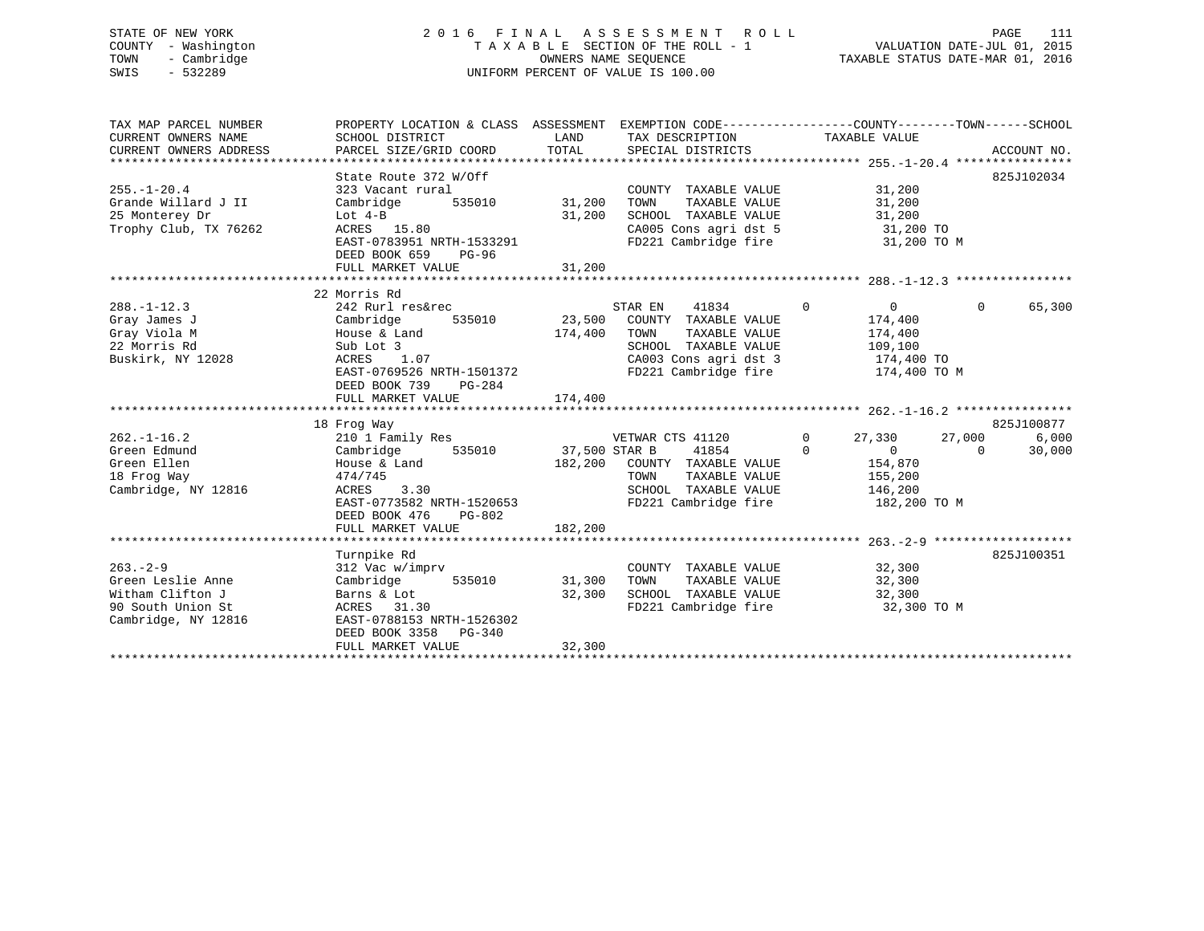## STATE OF NEW YORK 2 0 1 6 F I N A L A S S E S S M E N T R O L L PAGE 111 COUNTY - Washington T A X A B L E SECTION OF THE ROLL - 1 VALUATION DATE-JUL 01, 2015 TOWN - Cambridge OWNERS NAME SEQUENCE TAXABLE STATUS DATE-MAR 01, 2016 SWIS - 532289 UNIFORM PERCENT OF VALUE IS 100.00

| TAX MAP PARCEL NUMBER<br>CURRENT OWNERS NAME<br>CURRENT OWNERS ADDRESS | PROPERTY LOCATION & CLASS ASSESSMENT<br>SCHOOL DISTRICT<br>PARCEL SIZE/GRID COORD | LAND<br>TOTAL | EXEMPTION CODE-----------------COUNTY-------TOWN------SCHOOL<br>TAX DESCRIPTION<br>SPECIAL DISTRICTS | TAXABLE VALUE                 | ACCOUNT NO.                   |
|------------------------------------------------------------------------|-----------------------------------------------------------------------------------|---------------|------------------------------------------------------------------------------------------------------|-------------------------------|-------------------------------|
|                                                                        |                                                                                   |               |                                                                                                      |                               |                               |
|                                                                        | State Route 372 W/Off                                                             |               |                                                                                                      |                               | 825J102034                    |
| $255. - 1 - 20.4$                                                      | 323 Vacant rural                                                                  |               | COUNTY TAXABLE VALUE                                                                                 | 31,200                        |                               |
| Grande Willard J II                                                    | Cambridge<br>535010                                                               | 31,200        | TAXABLE VALUE<br>TOWN                                                                                | 31,200                        |                               |
| 25 Monterey Dr                                                         | Lot $4-B$                                                                         | 31,200        | SCHOOL TAXABLE VALUE                                                                                 | 31,200                        |                               |
| Trophy Club, TX 76262                                                  | ACRES 15.80                                                                       |               | CA005 Cons agri dst 5                                                                                | 31,200 TO                     |                               |
|                                                                        | EAST-0783951 NRTH-1533291                                                         |               | FD221 Cambridge fire                                                                                 | 31,200 TO M                   |                               |
|                                                                        | DEED BOOK 659<br>PG-96                                                            |               |                                                                                                      |                               |                               |
|                                                                        | FULL MARKET VALUE                                                                 | 31,200        |                                                                                                      |                               |                               |
|                                                                        |                                                                                   |               |                                                                                                      |                               |                               |
|                                                                        | 22 Morris Rd                                                                      |               |                                                                                                      |                               |                               |
| $288. - 1 - 12.3$                                                      | 242 Rurl res&rec                                                                  |               | STAR EN<br>41834                                                                                     | $\mathbf 0$<br>$\overline{0}$ | $\mathbf{0}$<br>65,300        |
| Gray James J                                                           | 535010<br>Cambridge                                                               | 23,500        | COUNTY TAXABLE VALUE                                                                                 | 174,400                       |                               |
| Gray Viola M                                                           | House & Land                                                                      | 174,400       | TOWN<br>TAXABLE VALUE                                                                                | 174,400                       |                               |
| 22 Morris Rd                                                           | Sub Lot 3                                                                         |               | SCHOOL TAXABLE VALUE                                                                                 | 109,100                       |                               |
| Buskirk, NY 12028                                                      | 1.07<br>ACRES                                                                     |               | CA003 Cons agri dst 3                                                                                | 174,400 TO                    |                               |
|                                                                        | EAST-0769526 NRTH-1501372                                                         |               | FD221 Cambridge fire                                                                                 | 174,400 TO M                  |                               |
|                                                                        | DEED BOOK 739<br>$PG-284$                                                         |               |                                                                                                      |                               |                               |
|                                                                        | FULL MARKET VALUE                                                                 | 174,400       |                                                                                                      |                               |                               |
|                                                                        |                                                                                   |               |                                                                                                      |                               |                               |
| $262. - 1 - 16.2$                                                      | 18 Frog Way<br>210 1 Family Res                                                   |               | VETWAR CTS 41120                                                                                     | $\mathbf{0}$<br>27,330        | 825J100877<br>27,000<br>6,000 |
|                                                                        | 535010                                                                            | 37,500 STAR B |                                                                                                      | $\Omega$<br>$\overline{0}$    | $\Omega$                      |
| Green Edmund<br>Green Ellen                                            | Cambridge<br>House & Land                                                         |               | 41854                                                                                                |                               | 30,000                        |
|                                                                        |                                                                                   | 182,200       | COUNTY TAXABLE VALUE                                                                                 | 154,870                       |                               |
| 18 Frog Way                                                            | 474/745                                                                           |               | TOWN<br>TAXABLE VALUE<br>SCHOOL TAXABLE VALUE                                                        | 155,200                       |                               |
| Cambridge, NY 12816                                                    | 3.30<br>ACRES<br>EAST-0773582 NRTH-1520653                                        |               | FD221 Cambridge fire                                                                                 | 146,200                       |                               |
|                                                                        | DEED BOOK 476<br>PG-802                                                           |               |                                                                                                      | 182,200 TO M                  |                               |
|                                                                        | FULL MARKET VALUE                                                                 | 182,200       |                                                                                                      |                               |                               |
|                                                                        |                                                                                   |               |                                                                                                      |                               |                               |
|                                                                        | Turnpike Rd                                                                       |               |                                                                                                      |                               | 825J100351                    |
| $263 - 2 - 9$                                                          | 312 Vac w/imprv                                                                   |               | COUNTY TAXABLE VALUE                                                                                 | 32,300                        |                               |
| Green Leslie Anne                                                      | 535010<br>Cambridge                                                               | 31,300        | TOWN<br>TAXABLE VALUE                                                                                | 32,300                        |                               |
| Witham Clifton J                                                       | Barns & Lot                                                                       | 32,300        | SCHOOL TAXABLE VALUE                                                                                 | 32,300                        |                               |
| 90 South Union St                                                      | ACRES 31.30                                                                       |               | FD221 Cambridge fire                                                                                 | 32,300 TO M                   |                               |
| Cambridge, NY 12816                                                    | EAST-0788153 NRTH-1526302                                                         |               |                                                                                                      |                               |                               |
|                                                                        | DEED BOOK 3358<br>PG-340                                                          |               |                                                                                                      |                               |                               |
|                                                                        | FULL MARKET VALUE                                                                 | 32,300        |                                                                                                      |                               |                               |
|                                                                        |                                                                                   |               |                                                                                                      |                               |                               |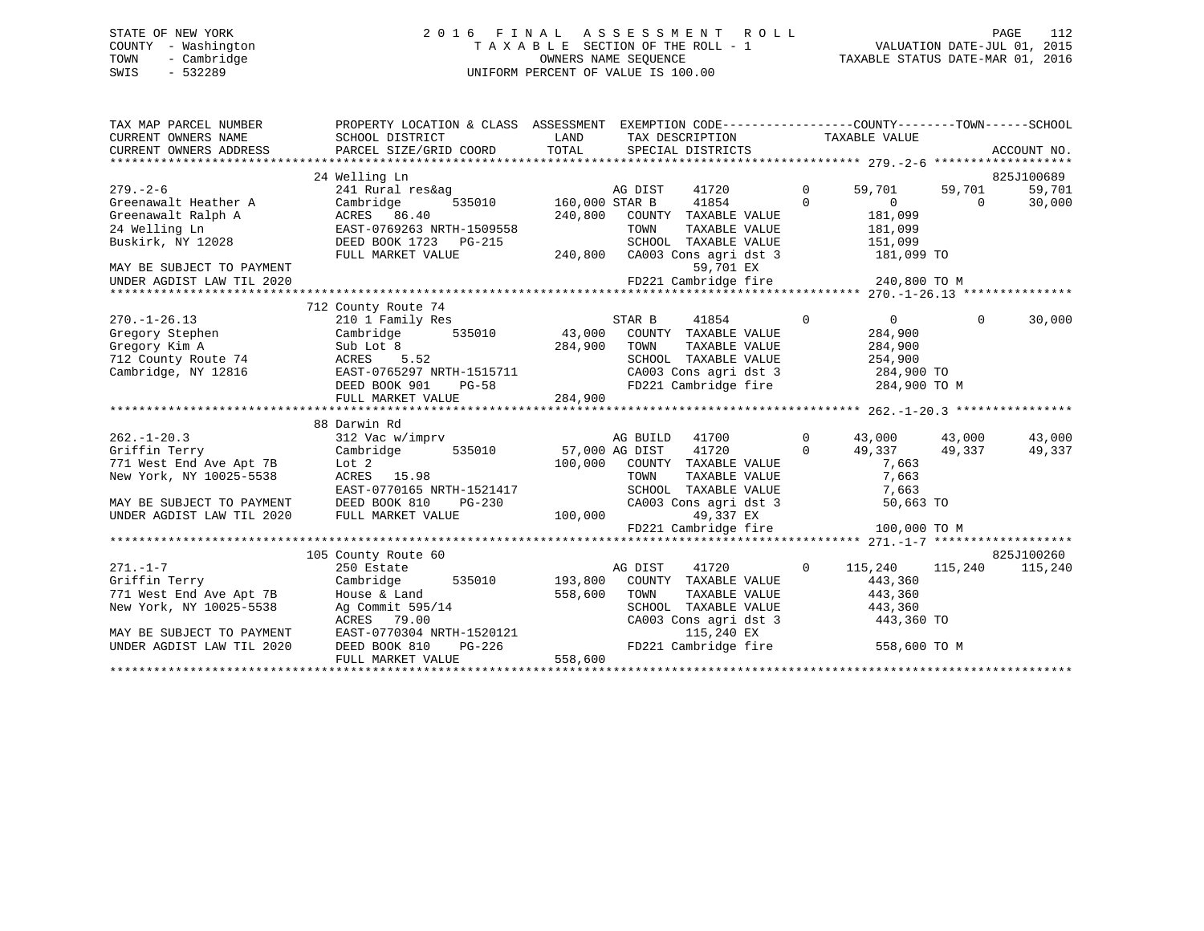## STATE OF NEW YORK 2 0 1 6 F I N A L A S S E S S M E N T R O L L PAGE 112 COUNTY - Washington T A X A B L E SECTION OF THE ROLL - 1 VALUATION DATE-JUL 01, 2015 TOWN - Cambridge OWNERS NAME SEQUENCE TAXABLE STATUS DATE-MAR 01, 2016 SWIS - 532289 UNIFORM PERCENT OF VALUE IS 100.00UNIFORM PERCENT OF VALUE IS 100.00

| TAX MAP PARCEL NUMBER<br>CURRENT OWNERS NAME<br>CURRENT OWNERS NAME<br>CURRENT OWNERS ADDRESS | PROPERTY LOCATION & CLASS ASSESSMENT EXEMPTION CODE---------------COUNTY-------TOWN------SCHOOL<br>SCHOOL DISTRICT<br>PARCEL SIZE/GRID COORD TOTAL SPECIAL DISTRICTS            | LAND    | TAX DESCRIPTION TAXABLE VALUE                                                                                                 |                |                         |           | ACCOUNT NO. |
|-----------------------------------------------------------------------------------------------|---------------------------------------------------------------------------------------------------------------------------------------------------------------------------------|---------|-------------------------------------------------------------------------------------------------------------------------------|----------------|-------------------------|-----------|-------------|
|                                                                                               | 24 Welling Ln                                                                                                                                                                   |         |                                                                                                                               |                |                         |           | 825J100689  |
| $279. - 2 - 6$                                                                                |                                                                                                                                                                                 |         |                                                                                                                               | $\overline{0}$ | 59,701 59,701           |           | 59,701      |
|                                                                                               | $2/9. -2-6$<br>Creenawalt Heather A Cambridge 535010<br>Creenawalt Ralph A ACRES 86.40<br>24 Rural res&ay 635010<br>CRES 86.40<br>EAST-0769263 NRTH-1509558<br>Puskirk NY 10000 |         |                                                                                                                               | $\Omega$       | $\overline{0}$          | $\bigcap$ | 30,000      |
|                                                                                               |                                                                                                                                                                                 | 240,800 | COUNTY TAXABLE VALUE                                                                                                          |                | 181,099                 |           |             |
|                                                                                               |                                                                                                                                                                                 |         | TOWN<br>TAXABLE VALUE                                                                                                         |                | 181,099                 |           |             |
| Buskirk, NY 12028                                                                             | DEED BOOK 1723 PG-215                                                                                                                                                           |         |                                                                                                                               |                |                         |           |             |
|                                                                                               | FULL MARKET VALUE                                                                                                                                                               |         |                                                                                                                               |                |                         |           |             |
| MAY BE SUBJECT TO PAYMENT                                                                     |                                                                                                                                                                                 |         | 59,701 EX                                                                                                                     |                |                         |           |             |
| UNDER AGDIST LAW TIL 2020                                                                     |                                                                                                                                                                                 |         |                                                                                                                               |                |                         |           |             |
|                                                                                               |                                                                                                                                                                                 |         |                                                                                                                               |                |                         |           |             |
|                                                                                               | 712 County Route 74                                                                                                                                                             |         |                                                                                                                               |                |                         |           |             |
| $270. - 1 - 26.13$                                                                            | 210 1 Family Res                                                                                                                                                                |         | STAR B<br>41854                                                                                                               | $\Omega$       | $\overline{0}$          | $\Omega$  | 30,000      |
| Gregory Stephen                                                                               | Cambridge 535010 43,000                                                                                                                                                         |         | COUNTY TAXABLE VALUE                                                                                                          |                | 284,900                 |           |             |
| Gregory Kim A                                                                                 | Sub Lot 8 284,900<br>ACRES 5.52                                                                                                                                                 |         | TAXABLE VALUE<br>TOWN                                                                                                         |                | 284,900                 |           |             |
|                                                                                               |                                                                                                                                                                                 |         | SCHOOL TAXABLE VALUE<br>SCHOOL TAXABLE VALUE 254,900<br>CA003 Cons agri dst 3 284,900 TO<br>FD221 Cambridge fire 284,900 TO M |                | 254,900                 |           |             |
|                                                                                               |                                                                                                                                                                                 |         |                                                                                                                               |                |                         |           |             |
|                                                                                               | $PG-58$<br>DEED BOOK 901                                                                                                                                                        |         |                                                                                                                               |                |                         |           |             |
|                                                                                               | FULL MARKET VALUE                                                                                                                                                               | 284,900 |                                                                                                                               |                |                         |           |             |
|                                                                                               |                                                                                                                                                                                 |         |                                                                                                                               |                |                         |           |             |
|                                                                                               | 88 Darwin Rd                                                                                                                                                                    |         |                                                                                                                               |                |                         |           |             |
| $262. - 1 - 20.3$                                                                             | 312 Vac w/imprv                                                                                                                                                                 |         | AG BUILD 41700                                                                                                                | $\Omega$       | 43,000 43,000           |           | 43,000      |
| Griffin Terry                                                                                 |                                                                                                                                                                                 |         | $\overline{0}$                                                                                                                |                | 49,337 49,337           |           | 49,337      |
| 771 West End Ave Apt 7B                                                                       |                                                                                                                                                                                 |         |                                                                                                                               |                | 7,663                   |           |             |
| New York, NY 10025-5538                                                                       | ACRES 15.98                                                                                                                                                                     |         | 100,000 COUNTY TAXABLE VALUE<br>TOWN TAXABLE VALUE                                                                            |                | 7,663                   |           |             |
|                                                                                               | EAST-0770165 NRTH-1521417                                                                                                                                                       |         | SCHOOL TAXABLE VALUE                                                                                                          |                | 7,663                   |           |             |
|                                                                                               | MAY BE SUBJECT TO PAYMENT DEED BOOK 810 PG-230 CA003 Col<br>UNDER AGDIST LAW TIL 2020 FULL MARKET VALUE 100,000                                                                 |         | CA003 Cons agri dst 3                                                                                                         |                | 50,663 TO               |           |             |
|                                                                                               |                                                                                                                                                                                 |         | 49,337 EX                                                                                                                     |                |                         |           |             |
|                                                                                               |                                                                                                                                                                                 |         | FD221 Cambridge fire                                                                                                          |                | 100,000 TO M            |           |             |
|                                                                                               |                                                                                                                                                                                 |         |                                                                                                                               |                |                         |           |             |
|                                                                                               | 105 County Route 60                                                                                                                                                             |         |                                                                                                                               |                |                         |           | 825J100260  |
| $271. - 1 - 7$                                                                                | 250 Estate<br>Griffin Terry Cambridge 535010 193,800                                                                                                                            |         | AG DIST 41720 0                                                                                                               |                | 115,240 115,240 115,240 |           |             |
|                                                                                               |                                                                                                                                                                                 |         | COUNTY TAXABLE VALUE                                                                                                          |                | 443,360                 |           |             |
| 771 West End Ave Apt 7B                                                                       | House & Land                                                                                                                                                                    | 558,600 | TOWN<br>TAXABLE VALUE                                                                                                         |                | 443,360                 |           |             |
| New York, NY 10025-5538                                                                       |                                                                                                                                                                                 |         | SCHOOL TAXABLE VALUE 443,360                                                                                                  |                |                         |           |             |
|                                                                                               | Ag Commit 595/14<br>AGRES 79.00 CA003<br>EAST-0770304 NRTH-1520121<br>DEED BOOK 810 PG-226 FD221                                                                                |         | CA003 Cons agri dst 3<br>115,240 EX                                                                                           |                | 443,360 TO              |           |             |
| MAY BE SUBJECT TO PAYMENT<br>UNDER AGDIST LAW TIL 2020                                        |                                                                                                                                                                                 |         | FD221 Cambridge fire 558,600 TO M                                                                                             |                |                         |           |             |
|                                                                                               | FULL MARKET VALUE                                                                                                                                                               | 558,600 |                                                                                                                               |                |                         |           |             |
|                                                                                               |                                                                                                                                                                                 |         |                                                                                                                               |                |                         |           |             |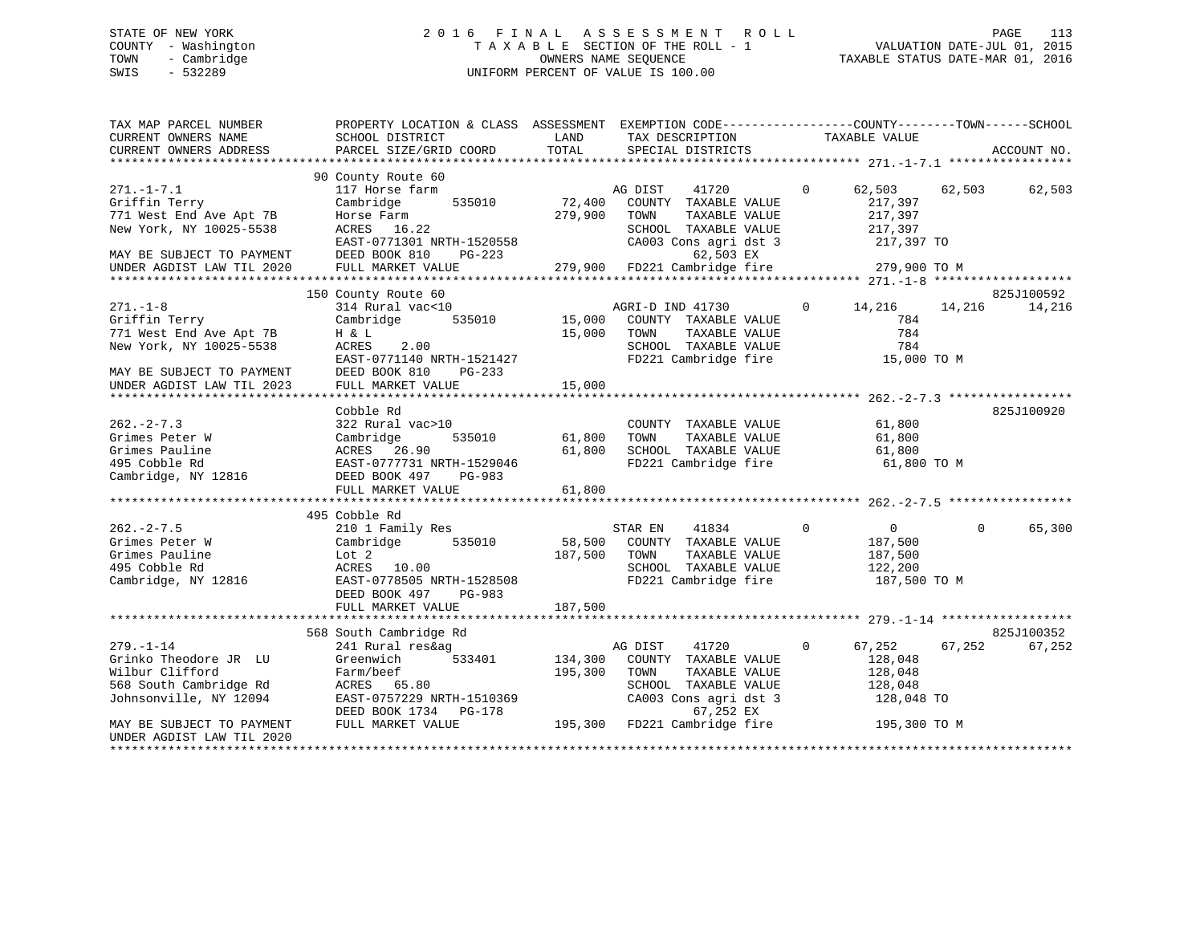## STATE OF NEW YORK 2 0 1 6 F I N A L A S S E S S M E N T R O L L PAGE 113 COUNTY - Washington T A X A B L E SECTION OF THE ROLL - 1 VALUATION DATE-JUL 01, 2015 TOWN - Cambridge OWNERS NAME SEQUENCE TAXABLE STATUS DATE-MAR 01, 2016 SWIS - 532289 UNIFORM PERCENT OF VALUE IS 100.00

| TAX MAP PARCEL NUMBER<br>CURRENT OWNERS NAME<br>CURRENT OWNERS ADDRESS                                               | PROPERTY LOCATION & CLASS ASSESSMENT<br>SCHOOL DISTRICT<br>PARCEL SIZE/GRID COORD                                                                   | LAND<br>TOTAL          | EXEMPTION CODE-----------------COUNTY-------TOWN------SCHOOL<br>TAX DESCRIPTION<br>SPECIAL DISTRICTS                                      | TAXABLE VALUE                                   |                                                   | ACCOUNT NO.          |
|----------------------------------------------------------------------------------------------------------------------|-----------------------------------------------------------------------------------------------------------------------------------------------------|------------------------|-------------------------------------------------------------------------------------------------------------------------------------------|-------------------------------------------------|---------------------------------------------------|----------------------|
|                                                                                                                      |                                                                                                                                                     |                        |                                                                                                                                           |                                                 |                                                   |                      |
| $271. - 1 - 7.1$<br>Griffin Terry<br>771 West End Ave Apt 7B<br>New York, NY 10025-5538<br>MAY BE SUBJECT TO PAYMENT | 90 County Route 60<br>117 Horse farm<br>535010<br>Cambridge<br>Horse Farm<br>ACRES 16.22<br>EAST-0771301 NRTH-1520558<br>DEED BOOK 810<br>PG-223    | 72,400<br>279,900      | AG DIST<br>41720<br>COUNTY TAXABLE VALUE<br>TOWN<br>TAXABLE VALUE<br>SCHOOL TAXABLE VALUE<br>CA003 Cons agri dst 3<br>62,503 EX           | $\overline{0}$<br>217,397<br>217,397<br>217,397 | 62,503 62,503<br>217,397 TO                       | 62,503               |
| UNDER AGDIST LAW TIL 2020                                                                                            | FULL MARKET VALUE                                                                                                                                   |                        | 279,900 FD221 Cambridge fire                                                                                                              |                                                 | 279,900 TO M                                      |                      |
|                                                                                                                      |                                                                                                                                                     |                        |                                                                                                                                           |                                                 |                                                   |                      |
|                                                                                                                      | 150 County Route 60                                                                                                                                 |                        |                                                                                                                                           |                                                 |                                                   | 825J100592           |
| $271. - 1 - 8$<br>Griffin Terry<br>771 West End Ave Apt 7B<br>New York, NY 10025-5538<br>MAY BE SUBJECT TO PAYMENT   | 314 Rural vac<10<br>535010<br>Cambridge<br>H & L<br>2.00<br>ACRES<br>EAST-0771140 NRTH-1521427<br>DEED BOOK 810<br>PG-233                           | 15,000<br>15,000       | AGRI-D IND 41730<br>COUNTY TAXABLE VALUE<br>TOWN<br>TAXABLE VALUE<br>SCHOOL TAXABLE VALUE<br>SCHOOL TAXABLE VALUE<br>FD221 Cambridge fire | $\overline{0}$                                  | 14,216 14,216<br>784<br>784<br>784<br>15,000 TO M | 14,216               |
| UNDER AGDIST LAW TIL 2023<br>*************************                                                               | FULL MARKET VALUE<br>************************                                                                                                       | 15,000<br>************ |                                                                                                                                           |                                                 |                                                   |                      |
| $262 - 2 - 7.3$<br>Grimes Peter W<br>Grimes Pauline                                                                  | Cobble Rd<br>322 Rural vac>10<br>Cambridge<br>535010<br>ACRES 26.90                                                                                 | 61,800<br>61,800       | COUNTY TAXABLE VALUE<br>TOWN<br>TAXABLE VALUE<br>SCHOOL TAXABLE VALUE                                                                     | 61,800<br>61,800<br>61,800                      |                                                   | 825J100920           |
| 495 Cobble Rd<br>Cambridge, NY 12816                                                                                 | EAST-0777731 NRTH-1529046<br>DEED BOOK 497<br>PG-983<br>FULL MARKET VALUE                                                                           | 61,800                 | FD221 Cambridge fire                                                                                                                      |                                                 | 61,800 TO M                                       |                      |
|                                                                                                                      | 495 Cobble Rd                                                                                                                                       |                        |                                                                                                                                           |                                                 |                                                   |                      |
| $262 - 2 - 7.5$<br>Grimes Peter W<br>Grimes Pauline<br>495 Cobble Rd<br>Cambridge, NY 12816                          | 210 1 Family Res<br>535010<br>Cambridge<br>Lot 2<br>ACRES 10.00<br>EAST-0778505 NRTH-1528508<br>DEED BOOK 497<br>PG-983<br>FULL MARKET VALUE        | 187,500<br>187,500     | 41834<br>$\sim$ 0<br>STAR EN<br>58,500 COUNTY TAXABLE VALUE<br>TOWN<br>TAXABLE VALUE<br>SCHOOL TAXABLE VALUE<br>FD221 Cambridge fire      | $\overline{0}$<br>187,500<br>187,500<br>122,200 | $\Omega$<br>187,500 ТО М                          | 65,300               |
|                                                                                                                      |                                                                                                                                                     |                        |                                                                                                                                           |                                                 |                                                   |                      |
| $279. - 1 - 14$<br>Grinko Theodore JR LU<br>Wilbur Clifford<br>568 South Cambridge Rd<br>Johnsonville, NY 12094      | 568 South Cambridge Rd<br>241 Rural res&ag<br>Greenwich<br>533401<br>Farm/beef<br>ACRES 65.80<br>EAST-0757229 NRTH-1510369<br>DEED BOOK 1734 PG-178 | 134,300<br>195,300     | 41720<br>AG DIST<br>COUNTY TAXABLE VALUE<br>TAXABLE VALUE<br>TOWN<br>SCHOOL TAXABLE VALUE<br>CA003 Cons agri dst 3<br>67,252 EX           | 67,252<br>0<br>128,048<br>128,048<br>128,048    | 67,252<br>128,048 TO                              | 825J100352<br>67,252 |
| MAY BE SUBJECT TO PAYMENT<br>UNDER AGDIST LAW TIL 2020<br>*********************                                      | FULL MARKET VALUE                                                                                                                                   |                        | 195,300 FD221 Cambridge fire                                                                                                              |                                                 | 195,300 TO M                                      |                      |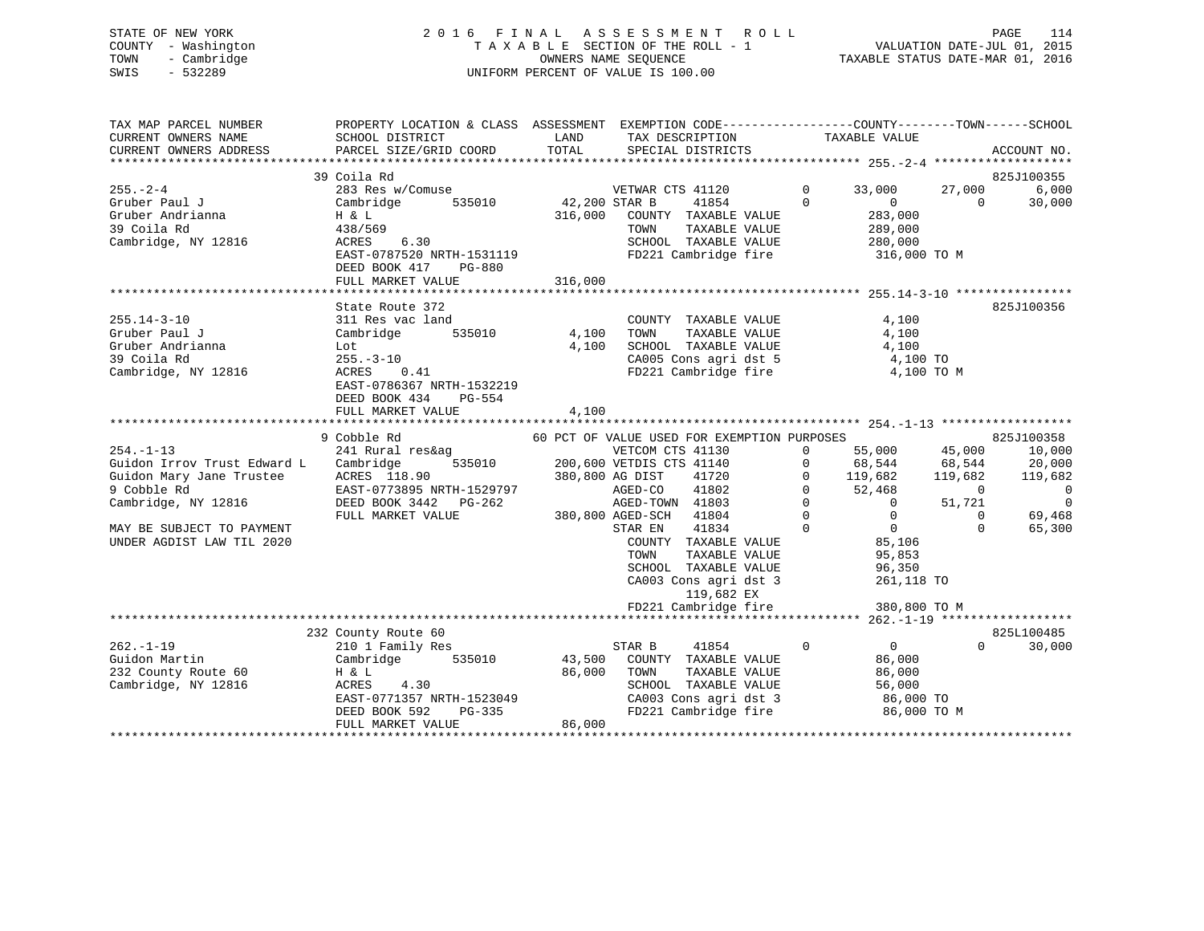## STATE OF NEW YORK 2 0 1 6 F I N A L A S S E S S M E N T R O L L PAGE 114 COUNTY - Washington T A X A B L E SECTION OF THE ROLL - 1 VALUATION DATE-JUL 01, 2015 TOWN - Cambridge OWNERS NAME SEQUENCE TAXABLE STATUS DATE-MAR 01, 2016 SWIS - 532289 UNIFORM PERCENT OF VALUE IS 100.00

| TAX MAP PARCEL NUMBER<br>CURRENT OWNERS NAME<br>CURRENT OWNERS ADDRESS                       | PROPERTY LOCATION & CLASS ASSESSMENT<br>SCHOOL DISTRICT<br>PARCEL SIZE/GRID COORD                                                                             | LAND<br>TOTAL              | EXEMPTION CODE-----------------COUNTY-------TOWN------SCHOOL<br>TAX DESCRIPTION<br>SPECIAL DISTRICTS                                                     |                          | TAXABLE VALUE                                                              |                    | ACCOUNT NO.                   |
|----------------------------------------------------------------------------------------------|---------------------------------------------------------------------------------------------------------------------------------------------------------------|----------------------------|----------------------------------------------------------------------------------------------------------------------------------------------------------|--------------------------|----------------------------------------------------------------------------|--------------------|-------------------------------|
| $255. - 2 - 4$<br>Gruber Paul J<br>Gruber Andrianna                                          | 39 Coila Rd<br>283 Res w/Comuse<br>Cambridge<br>535010<br>H & L                                                                                               | 42,200 STAR B<br>316,000   | VETWAR CTS 41120<br>41854<br>COUNTY TAXABLE VALUE                                                                                                        | $\mathbf{0}$<br>$\Omega$ | 33,000<br>$\overline{0}$<br>283,000                                        | 27,000<br>$\Omega$ | 825J100355<br>6,000<br>30,000 |
| 39 Coila Rd<br>Cambridge, NY 12816                                                           | 438/569<br>6.30<br>ACRES<br>EAST-0787520 NRTH-1531119<br>DEED BOOK 417<br>PG-880                                                                              |                            | TAXABLE VALUE<br>TOWN<br>SCHOOL TAXABLE VALUE<br>FD221 Cambridge fire                                                                                    |                          | 289,000<br>280,000<br>316,000 TO M                                         |                    |                               |
|                                                                                              | FULL MARKET VALUE                                                                                                                                             | 316,000                    |                                                                                                                                                          |                          |                                                                            |                    |                               |
| $255.14 - 3 - 10$<br>Gruber Paul J<br>Gruber Andrianna<br>39 Coila Rd<br>Cambridge, NY 12816 | State Route 372<br>311 Res vac land<br>535010<br>Cambridge<br>Lot<br>$255. - 3 - 10$<br>ACRES<br>0.41<br>EAST-0786367 NRTH-1532219<br>DEED BOOK 434<br>PG-554 | 4,100<br>4,100             | COUNTY TAXABLE VALUE<br>TAXABLE VALUE<br>TOWN<br>SCHOOL TAXABLE VALUE<br>CA005 Cons agri dst 5<br>FD221 Cambridge fire                                   |                          | 4,100<br>4,100<br>4,100<br>4,100 TO<br>4,100 TO M                          |                    | 825J100356                    |
|                                                                                              | FULL MARKET VALUE<br>*********************************                                                                                                        | 4,100                      |                                                                                                                                                          |                          |                                                                            |                    |                               |
|                                                                                              | 9 Cobble Rd                                                                                                                                                   |                            | 60 PCT OF VALUE USED FOR EXEMPTION PURPOSES                                                                                                              |                          |                                                                            |                    | 825J100358                    |
| $254. -1 - 13$                                                                               | 241 Rural res&ag                                                                                                                                              |                            | VETCOM CTS 41130                                                                                                                                         | $\mathbf{0}$             | 55,000                                                                     | 45,000             | 10,000                        |
| Guidon Irrov Trust Edward L                                                                  | 535010<br>Cambridge                                                                                                                                           |                            | 200,600 VETDIS CTS 41140                                                                                                                                 | 0                        | 68,544                                                                     | 68,544             | 20,000                        |
| Guidon Mary Jane Trustee                                                                     | ACRES 118.90                                                                                                                                                  |                            | 380,800 AG DIST<br>41720                                                                                                                                 | $\Omega$                 | 119,682                                                                    | 119,682            | 119,682                       |
| 9 Cobble Rd                                                                                  | EAST-0773895 NRTH-1529797                                                                                                                                     |                            | 41802<br>AGED-CO                                                                                                                                         | $\Omega$                 | 52,468                                                                     | $\Omega$           | 0                             |
| Cambridge, NY 12816                                                                          | DEED BOOK 3442 PG-262                                                                                                                                         |                            | AGED-TOWN 41803                                                                                                                                          | $\Omega$                 | $\overline{0}$                                                             | 51,721             | $\overline{0}$                |
|                                                                                              | FULL MARKET VALUE                                                                                                                                             |                            | 380,800 AGED-SCH 41804                                                                                                                                   | $\Omega$                 | $\mathbf 0$                                                                | $\Omega$           | 69,468                        |
| MAY BE SUBJECT TO PAYMENT<br>UNDER AGDIST LAW TIL 2020                                       |                                                                                                                                                               |                            | 41834<br>STAR EN<br>COUNTY TAXABLE VALUE<br>TOWN<br>TAXABLE VALUE<br>SCHOOL TAXABLE VALUE<br>CA003 Cons agri dst 3<br>119,682 EX<br>FD221 Cambridge fire | $\Omega$                 | $\overline{0}$<br>85,106<br>95,853<br>96,350<br>261,118 TO<br>380,800 TO M | $\Omega$           | 65,300                        |
|                                                                                              |                                                                                                                                                               |                            |                                                                                                                                                          |                          |                                                                            |                    |                               |
|                                                                                              | 232 County Route 60                                                                                                                                           |                            |                                                                                                                                                          |                          |                                                                            |                    | 825L100485                    |
| $262 - 1 - 19$<br>Guidon Martin<br>232 County Route 60<br>Cambridge, NY 12816                | 210 1 Family Res<br>535010<br>Cambridge<br>H & L<br>ACRES<br>4.30<br>EAST-0771357 NRTH-1523049<br>PG-335<br>DEED BOOK 592<br>FULL MARKET VALUE                | 43,500<br>86,000<br>86,000 | STAR B<br>41854<br>COUNTY TAXABLE VALUE<br>TAXABLE VALUE<br>TOWN<br>SCHOOL TAXABLE VALUE<br>CA003 Cons agri dst 3<br>FD221 Cambridge fire                | $\mathbf 0$              | $\overline{0}$<br>86,000<br>86,000<br>56,000<br>86,000 TO<br>86,000 TO M   | $\Omega$           | 30,000                        |
|                                                                                              |                                                                                                                                                               |                            |                                                                                                                                                          |                          |                                                                            |                    |                               |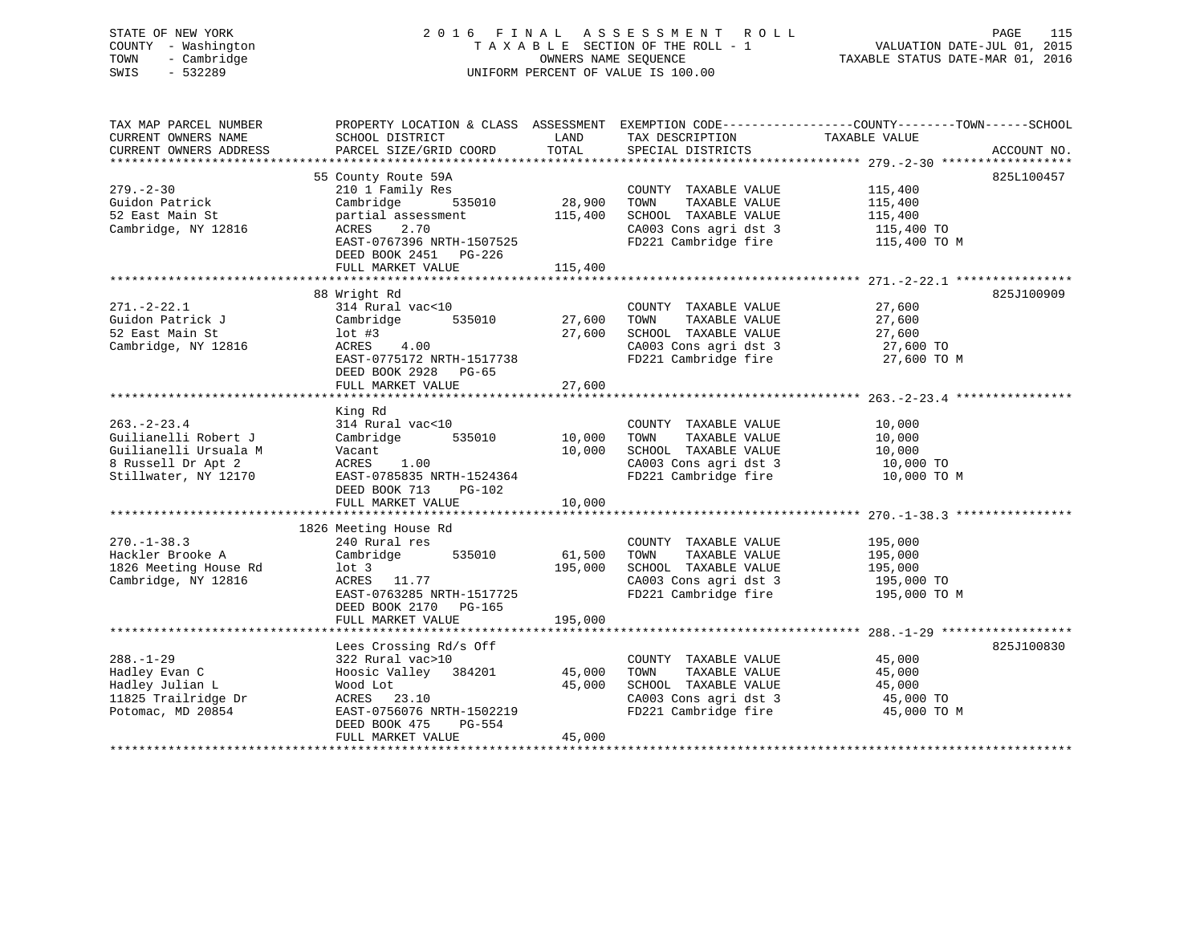## STATE OF NEW YORK 2 0 1 6 F I N A L A S S E S S M E N T R O L L PAGE 115 COUNTY - Washington T A X A B L E SECTION OF THE ROLL - 1 VALUATION DATE-JUL 01, 2015 TOWN - Cambridge OWNERS NAME SEQUENCE TAXABLE STATUS DATE-MAR 01, 2016 SWIS - 532289 UNIFORM PERCENT OF VALUE IS 100.00

| TAX MAP PARCEL NUMBER<br>CURRENT OWNERS NAME<br>CURRENT OWNERS ADDRESS                                          | SCHOOL DISTRICT<br>PARCEL SIZE/GRID COORD                                                                                                                                                       | LAND<br>TOTAL                              | TAX DESCRIPTION<br>SPECIAL DISTRICTS                                                                                   | PROPERTY LOCATION & CLASS ASSESSMENT EXEMPTION CODE-----------------COUNTY-------TOWN------SCHOOL<br>TAXABLE VALUE<br>ACCOUNT NO. |
|-----------------------------------------------------------------------------------------------------------------|-------------------------------------------------------------------------------------------------------------------------------------------------------------------------------------------------|--------------------------------------------|------------------------------------------------------------------------------------------------------------------------|-----------------------------------------------------------------------------------------------------------------------------------|
| $279. - 2 - 30$<br>Guidon Patrick<br>52 East Main St<br>Cambridge, NY 12816                                     | 55 County Route 59A<br>210 1 Family Res<br>535010<br>Cambridge<br>partial assessment<br>2.70<br>ACRES<br>EAST-0767396 NRTH-1507525<br>DEED BOOK 2451 PG-226<br>FULL MARKET VALUE                | 28,900<br>115,400<br>115,400               | COUNTY TAXABLE VALUE<br>TOWN<br>TAXABLE VALUE<br>SCHOOL TAXABLE VALUE<br>CA003 Cons agri dst 3<br>FD221 Cambridge fire | 825L100457<br>115,400<br>115,400<br>115,400<br>115,400 TO<br>115,400 TO M                                                         |
| $271. - 2 - 22.1$<br>Guidon Patrick J<br>52 East Main St<br>Cambridge, NY 12816                                 | 88 Wright Rd<br>314 Rural vac<10<br>535010<br>Cambridge<br>$1$ ot #3<br>4.00<br>ACRES<br>EAST-0775172 NRTH-1517738<br>DEED BOOK 2928 PG-65<br>FULL MARKET VALUE<br>**************************** | 27,600<br>27,600<br>27,600<br>************ | COUNTY TAXABLE VALUE<br>TOWN<br>TAXABLE VALUE<br>SCHOOL TAXABLE VALUE<br>CA003 Cons agri dst 3<br>FD221 Cambridge fire | 825J100909<br>27,600<br>27,600<br>27,600<br>27,600 TO<br>27,600 TO M<br>********************************** 263.-2-23.4 **         |
| $263 - 2 - 23.4$<br>Guilianelli Robert J<br>Guilianelli Ursuala M<br>8 Russell Dr Apt 2<br>Stillwater, NY 12170 | King Rd<br>314 Rural vac<10<br>Cambridge 535010<br>Vacant<br>1.00<br>ACRES<br>EAST-0785835 NRTH-1524364<br>DEED BOOK 713<br>PG-102<br>FULL MARKET VALUE                                         | 10,000<br>10,000<br>10,000                 | COUNTY TAXABLE VALUE<br>TOWN<br>TAXABLE VALUE<br>SCHOOL TAXABLE VALUE<br>CA003 Cons agri dst 3<br>FD221 Cambridge fire | 10,000<br>10,000<br>10,000<br>10,000 TO<br>10,000 TO M                                                                            |
| $270. - 1 - 38.3$<br>Hackler Brooke A<br>1826 Meeting House Rd<br>Cambridge, NY 12816                           | 1826 Meeting House Rd<br>240 Rural res<br>535010<br>Cambridge<br>$1$ ot 3<br>ACRES 11.77<br>EAST-0763285 NRTH-1517725<br>DEED BOOK 2170 PG-165<br>FULL MARKET VALUE                             | 61,500<br>195,000<br>195,000               | COUNTY TAXABLE VALUE<br>TAXABLE VALUE<br>TOWN<br>SCHOOL TAXABLE VALUE<br>CA003 Cons agri dst 3<br>FD221 Cambridge fire | 195,000<br>195,000<br>195,000<br>195,000 TO<br>195,000 TO M                                                                       |
| $288. - 1 - 29$<br>Hadley Evan C<br>Hadley Julian L<br>11825 Trailridge Dr<br>Potomac, MD 20854                 | Lees Crossing Rd/s Off<br>322 Rural vac>10<br>Hoosic Valley 384201<br>Wood Lot<br>ACRES 23.10<br>EAST-0756076 NRTH-1502219<br>DEED BOOK 475<br>PG-554<br>FULL MARKET VALUE                      | 45,000<br>45,000<br>45,000                 | COUNTY TAXABLE VALUE<br>TOWN<br>TAXABLE VALUE<br>SCHOOL TAXABLE VALUE<br>CA003 Cons agri dst 3<br>FD221 Cambridge fire | 825J100830<br>45,000<br>45,000<br>45,000<br>45,000 TO<br>45,000 TO M                                                              |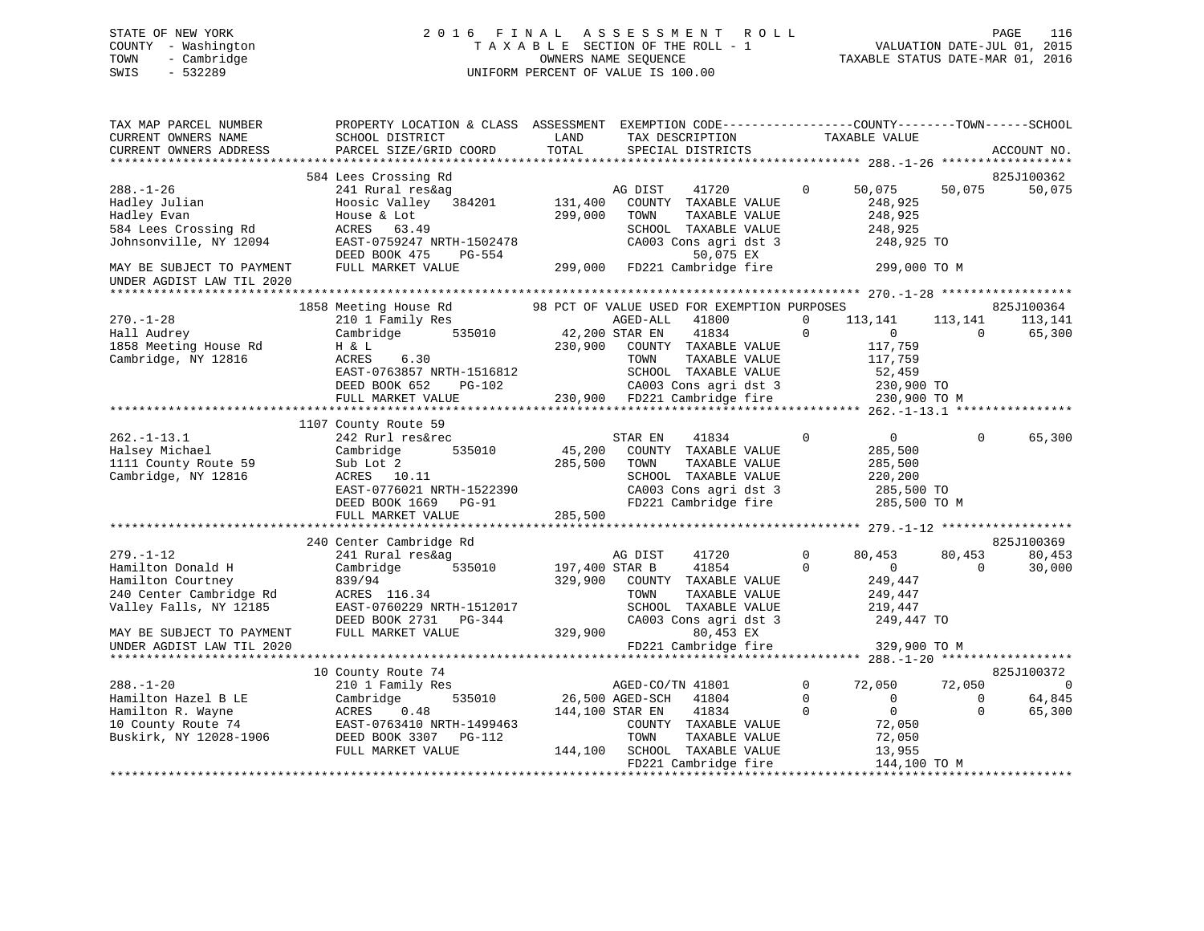## STATE OF NEW YORK 2 0 1 6 F I N A L A S S E S S M E N T R O L L PAGE 116 COUNTY - Washington T A X A B L E SECTION OF THE ROLL - 1 VALUATION DATE-JUL 01, 2015 TOWN - Cambridge OWNERS NAME SEQUENCE TAXABLE STATUS DATE-MAR 01, 2016 SWIS - 532289 UNIFORM PERCENT OF VALUE IS 100.00

| TAX MAP PARCEL NUMBER<br>CURRENT OWNERS NAME<br>CURRENT OWNERS ADDRESS                                                                                                   | PROPERTY LOCATION & CLASS ASSESSMENT<br>SCHOOL DISTRICT<br>PARCEL SIZE/GRID COORD                                                                                           | LAND<br>TOTAL                 | EXEMPTION CODE-----------------COUNTY-------TOWN------SCHOOL<br>TAX DESCRIPTION<br>SPECIAL DISTRICTS                                                                                                                |                                         | TAXABLE VALUE                                                                           |                                   | ACCOUNT NO.                     |
|--------------------------------------------------------------------------------------------------------------------------------------------------------------------------|-----------------------------------------------------------------------------------------------------------------------------------------------------------------------------|-------------------------------|---------------------------------------------------------------------------------------------------------------------------------------------------------------------------------------------------------------------|-----------------------------------------|-----------------------------------------------------------------------------------------|-----------------------------------|---------------------------------|
| $288. - 1 - 26$<br>Hadley Julian<br>Hadley Evan<br>584 Lees Crossing Rd<br>Johnsonville, NY 12094<br>MAY BE SUBJECT TO PAYMENT                                           | 584 Lees Crossing Rd<br>241 Rural res&ag<br>Hoosic Valley 384201<br>House & Lot<br>ACRES 63.49<br>EAST-0759247 NRTH-1502478<br>DEED BOOK 475<br>PG-554<br>FULL MARKET VALUE | 131,400<br>299,000<br>299,000 | AG DIST<br>41720<br>COUNTY TAXABLE VALUE<br>TOWN<br>TAXABLE VALUE<br>SCHOOL TAXABLE VALUE<br>CA003 Cons agri dst 3<br>50,075 EX<br>FD221 Cambridge fire 299,000 TO M                                                | $\Omega$                                | 50,075<br>248,925<br>248,925<br>248,925<br>248,925 TO                                   | 50,075                            | 825J100362<br>50,075            |
| UNDER AGDIST LAW TIL 2020                                                                                                                                                |                                                                                                                                                                             |                               |                                                                                                                                                                                                                     |                                         |                                                                                         |                                   |                                 |
| $270. - 1 - 28$<br>Hall Audrey<br>1858 Meeting House Rd<br>Cambridge, NY 12816                                                                                           | 1858 Meeting House Rd<br>210 1 Family Res<br>535010<br>Cambridge<br>H & L<br>ACRES<br>6.30<br>EAST-0763857 NRTH-1516812<br>DEED BOOK 652<br>PG-102<br>FULL MARKET VALUE     | 42,200 STAR EN                | 98 PCT OF VALUE USED FOR EXEMPTION PURPOSES<br>AGED-ALL<br>41800<br>41834<br>230,900 COUNTY TAXABLE VALUE<br>TOWN<br>TAXABLE VALUE<br>SCHOOL TAXABLE VALUE<br>CA003 Cons agri dst 3<br>230,900 FD221 Cambridge fire | $\mathbf 0$<br>$\Omega$                 | 113,141<br>$\overline{0}$<br>117,759<br>117,759<br>52,459<br>230,900 TO<br>230,900 TO M | 113,141<br>$\Omega$               | 825J100364<br>113,141<br>65,300 |
|                                                                                                                                                                          | 1107 County Route 59                                                                                                                                                        |                               |                                                                                                                                                                                                                     |                                         |                                                                                         |                                   |                                 |
| $262. - 1 - 13.1$<br>Halsey Michael<br>1111 County Route 59<br>Cambridge, NY 12816                                                                                       | 242 Rurl res&rec<br>535010<br>Cambridge<br>Sub Lot 2<br>ACRES 10.11<br>EAST-0776021 NRTH-1522390<br>DEED BOOK 1669 PG-91<br>FULL MARKET VALUE                               | 45,200<br>285,500<br>285,500  | STAR EN<br>41834<br>COUNTY TAXABLE VALUE<br>TOWN<br>TAXABLE VALUE<br>SCHOOL TAXABLE VALUE<br>CA003 Cons agri dst 3<br>FD221 Cambridge fire                                                                          | $\Omega$                                | $\overline{0}$<br>285,500<br>285,500<br>220,200<br>285,500 TO<br>285,500 TO M           | $\Omega$                          | 65,300                          |
|                                                                                                                                                                          |                                                                                                                                                                             |                               |                                                                                                                                                                                                                     |                                         |                                                                                         |                                   |                                 |
| $279. - 1 - 12$<br>Hamilton Donald H<br>Hamilton Courtney<br>240 Center Cambridge Rd<br>Valley Falls, NY 12185<br>MAY BE SUBJECT TO PAYMENT<br>UNDER AGDIST LAW TIL 2020 | 240 Center Cambridge Rd<br>241 Rural res&ag<br>535010<br>Cambridge<br>839/94<br>ACRES 116.34<br>EAST-0760229 NRTH-1512017<br>DEED BOOK 2731 PG-344<br>FULL MARKET VALUE     | 197,400 STAR B<br>329,900     | AG DIST<br>41720<br>41854<br>COUNTY TAXABLE VALUE<br>TAXABLE VALUE<br>TOWN<br>SCHOOL TAXABLE VALUE<br>CA003 Cons agri dst 3<br>329,900<br>80,453 EX<br>FD221 Cambridge fire                                         | $\Omega$<br>$\mathbf 0$                 | 80,453<br>$\overline{0}$<br>249,447<br>249,447<br>219,447<br>249,447 TO<br>329,900 TO M | 80,453<br>$\Omega$                | 825J100369<br>80,453<br>30,000  |
|                                                                                                                                                                          | 10 County Route 74                                                                                                                                                          |                               |                                                                                                                                                                                                                     |                                         |                                                                                         |                                   | 825J100372                      |
| $288. - 1 - 20$<br>Hamilton Hazel B LE<br>Hamilton R. Wayne<br>10 County Route 74<br>Buskirk, NY 12028-1906                                                              | 210 1 Family Res<br>535010<br>Cambridge<br>ACRES<br>0.48<br>EAST-0763410 NRTH-1499463<br>DEED BOOK 3307 PG-112<br>FULL MARKET VALUE                                         |                               | AGED-CO/TN 41801<br>26,500 AGED-SCH 41804<br>144,100 STAR EN<br>41834<br>COUNTY TAXABLE VALUE<br>TOWN<br>TAXABLE VALUE<br>144,100 SCHOOL TAXABLE VALUE<br>FD221 Cambridge fire                                      | $\mathbf{0}$<br>$\mathbf 0$<br>$\Omega$ | 72,050<br>$\overline{0}$<br>$\Omega$<br>72,050<br>72,050<br>13,955<br>144,100 TO M      | 72,050<br>$\mathbf 0$<br>$\Omega$ | 0<br>64,845<br>65,300           |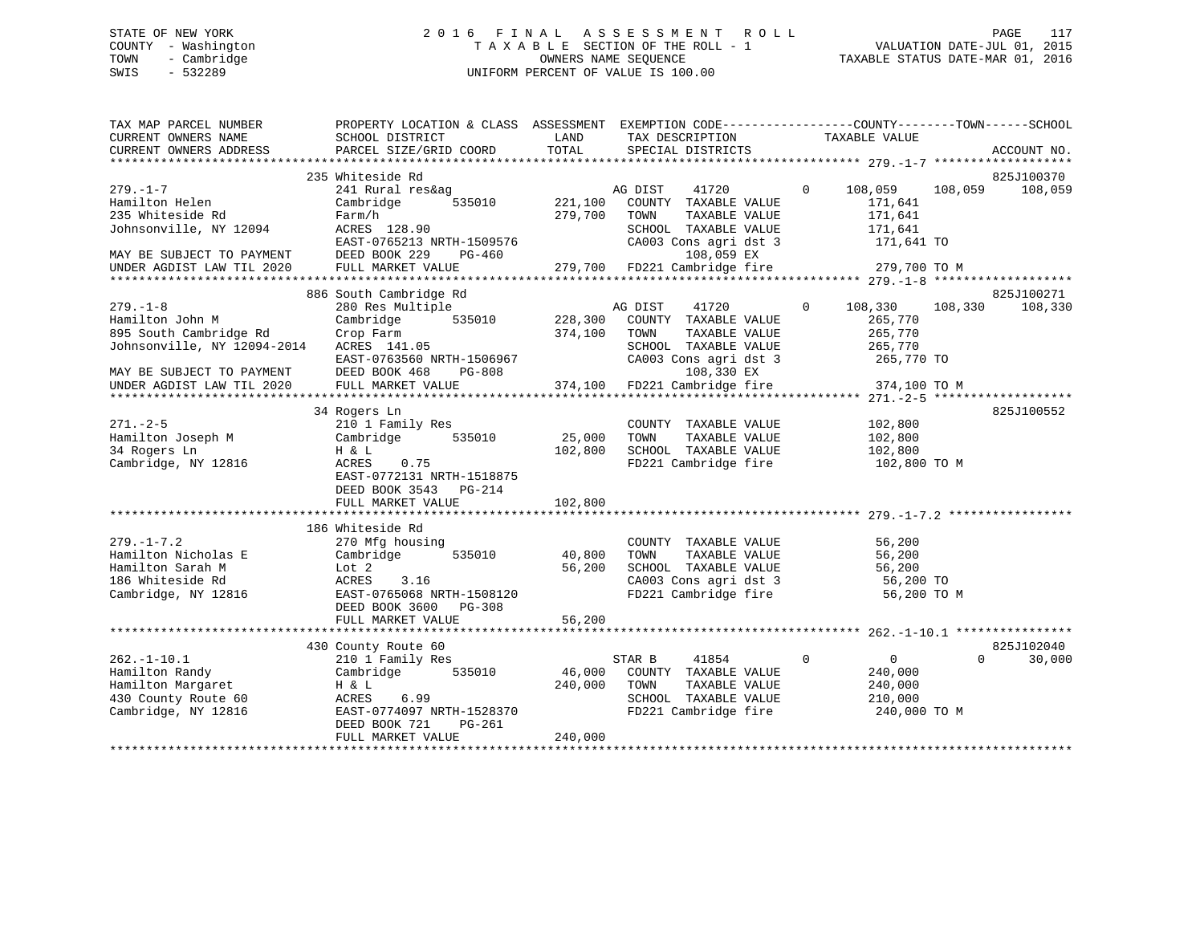## STATE OF NEW YORK 2 0 1 6 F I N A L A S S E S S M E N T R O L L PAGE 117 COUNTY - Washington T A X A B L E SECTION OF THE ROLL - 1 VALUATION DATE-JUL 01, 2015 TOWN - Cambridge OWNERS NAME SEQUENCE TAXABLE STATUS DATE-MAR 01, 2016 SWIS - 532289 UNIFORM PERCENT OF VALUE IS 100.00

| TAX MAP PARCEL NUMBER       | PROPERTY LOCATION & CLASS ASSESSMENT EXEMPTION CODE----------------COUNTY-------TOWN------SCHOOL |         |                                               |                                |                    |
|-----------------------------|--------------------------------------------------------------------------------------------------|---------|-----------------------------------------------|--------------------------------|--------------------|
| CURRENT OWNERS NAME         | SCHOOL DISTRICT                                                                                  | LAND    | TAX DESCRIPTION                               | TAXABLE VALUE                  |                    |
| CURRENT OWNERS ADDRESS      | PARCEL SIZE/GRID COORD                                                                           | TOTAL   | SPECIAL DISTRICTS                             |                                | ACCOUNT NO.        |
|                             |                                                                                                  |         |                                               |                                |                    |
|                             | 235 Whiteside Rd                                                                                 |         |                                               |                                | 825J100370         |
| $279. - 1 - 7$              | 241 Rural res&ag                                                                                 |         | AG DIST<br>41720                              | $\Omega$<br>108,059            | 108,059<br>108,059 |
| Hamilton Helen              | 535010<br>Cambridge                                                                              | 221,100 | COUNTY TAXABLE VALUE                          | 171,641                        |                    |
| 235 Whiteside Rd            | Farm/h                                                                                           | 279,700 | TOWN<br>TAXABLE VALUE                         | 171,641                        |                    |
| Johnsonville, NY 12094      | ACRES 128.90                                                                                     |         | SCHOOL TAXABLE VALUE                          | 171,641                        |                    |
|                             | EAST-0765213 NRTH-1509576                                                                        |         | CA003 Cons agri dst 3                         | 171,641 TO                     |                    |
| MAY BE SUBJECT TO PAYMENT   | DEED BOOK 229<br>PG-460                                                                          |         | 108,059 EX                                    |                                |                    |
| UNDER AGDIST LAW TIL 2020   | FULL MARKET VALUE                                                                                |         | 279,700 FD221 Cambridge fire 279,700 TO M     |                                |                    |
|                             |                                                                                                  |         |                                               |                                |                    |
|                             |                                                                                                  |         |                                               |                                | 825J100271         |
|                             | 886 South Cambridge Rd                                                                           |         |                                               |                                |                    |
| $279. - 1 - 8$              | 280 Res Multiple                                                                                 |         | AG DIST<br>41720                              | $\Omega$<br>108,330            | 108,330<br>108,330 |
| Hamilton John M             | 535010<br>Cambridge                                                                              | 228,300 | COUNTY TAXABLE VALUE                          | 265,770                        |                    |
| 895 South Cambridge Rd      | Crop Farm                                                                                        | 374,100 | TAXABLE VALUE<br>TOWN                         | 265,770                        |                    |
| Johnsonville, NY 12094-2014 | ACRES 141.05                                                                                     |         | SCHOOL TAXABLE VALUE                          | 265,770                        |                    |
|                             | EAST-0763560 NRTH-1506967                                                                        |         | CA003 Cons agri dst 3                         | 265,770 TO                     |                    |
| MAY BE SUBJECT TO PAYMENT   | DEED BOOK 468<br>PG-808                                                                          |         | 108,330 EX                                    |                                |                    |
| UNDER AGDIST LAW TIL 2020   | FULL MARKET VALUE                                                                                |         | 374,100 FD221 Cambridge fire                  | 374,100 TO M                   |                    |
|                             |                                                                                                  |         |                                               |                                |                    |
|                             | 34 Rogers Ln                                                                                     |         |                                               |                                | 825J100552         |
| $271. - 2 - 5$              | 210 1 Family Res                                                                                 |         | COUNTY TAXABLE VALUE                          | 102,800                        |                    |
| Hamilton Joseph M           | Cambridge<br>535010                                                                              | 25,000  | TAXABLE VALUE<br>TOWN                         | 102,800                        |                    |
| 34 Rogers Ln                | H & L                                                                                            | 102,800 | SCHOOL TAXABLE VALUE                          | 102,800                        |                    |
| Cambridge, NY 12816         | 0.75<br>ACRES                                                                                    |         | FD221 Cambridge fire                          | 102,800 TO M                   |                    |
|                             | EAST-0772131 NRTH-1518875                                                                        |         |                                               |                                |                    |
|                             | DEED BOOK 3543 PG-214                                                                            |         |                                               |                                |                    |
|                             | FULL MARKET VALUE                                                                                | 102,800 |                                               |                                |                    |
|                             |                                                                                                  |         |                                               |                                |                    |
|                             | 186 Whiteside Rd                                                                                 |         |                                               |                                |                    |
| $279. - 1 - 7.2$            | 270 Mfg housing                                                                                  |         |                                               |                                |                    |
|                             |                                                                                                  |         | COUNTY TAXABLE VALUE                          | 56,200                         |                    |
| Hamilton Nicholas E         | 535010<br>Cambridge                                                                              | 40,800  | TOWN<br>TAXABLE VALUE                         | 56,200                         |                    |
| Hamilton Sarah M            | Lot <sub>2</sub>                                                                                 | 56,200  | SCHOOL TAXABLE VALUE<br>CA003 Cons agri dst 3 | 56,200                         |                    |
| 186 Whiteside Rd            | <b>ACRES</b><br>3.16                                                                             |         |                                               | 56,200 TO                      |                    |
| Cambridge, NY 12816         | EAST-0765068 NRTH-1508120                                                                        |         | FD221 Cambridge fire                          | 56,200 TO M                    |                    |
|                             | DEED BOOK 3600 PG-308                                                                            |         |                                               |                                |                    |
|                             | FULL MARKET VALUE                                                                                | 56,200  |                                               |                                |                    |
|                             |                                                                                                  |         |                                               |                                |                    |
|                             | 430 County Route 60                                                                              |         |                                               |                                | 825J102040         |
| $262. - 1 - 10.1$           | 210 1 Family Res                                                                                 |         | STAR B<br>41854                               | $\overline{0}$<br>$\mathbf{0}$ | 30,000<br>$\Omega$ |
| Hamilton Randy              | 535010<br>Cambridge                                                                              | 46,000  | COUNTY TAXABLE VALUE                          | 240,000                        |                    |
| Hamilton Margaret           | H & L                                                                                            | 240,000 | TOWN<br>TAXABLE VALUE                         | 240,000                        |                    |
| 430 County Route 60         | ACRES<br>6.99                                                                                    |         | SCHOOL TAXABLE VALUE                          | 210,000                        |                    |
| Cambridge, NY 12816         | EAST-0774097 NRTH-1528370                                                                        |         | FD221 Cambridge fire                          | 240,000 TO M                   |                    |
|                             | DEED BOOK 721<br>PG-261                                                                          |         |                                               |                                |                    |
|                             | FULL MARKET VALUE                                                                                | 240,000 |                                               |                                |                    |
|                             |                                                                                                  |         |                                               |                                |                    |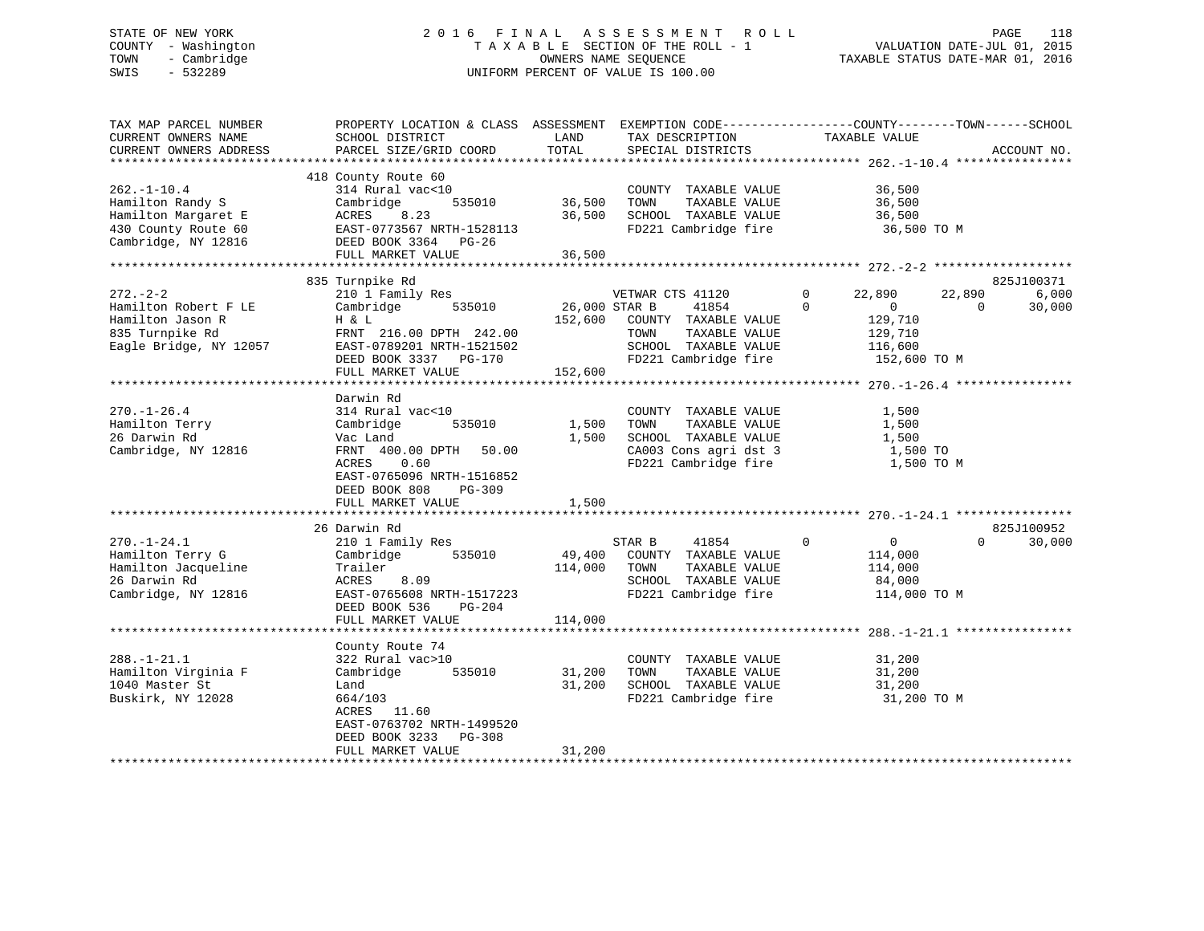## STATE OF NEW YORK 2 0 1 6 F I N A L A S S E S S M E N T R O L L PAGE 118 COUNTY - Washington T A X A B L E SECTION OF THE ROLL - 1 VALUATION DATE-JUL 01, 2015 TOWN - Cambridge OWNERS NAME SEQUENCE TAXABLE STATUS DATE-MAR 01, 2016 SWIS - 532289 UNIFORM PERCENT OF VALUE IS 100.00

| TAX MAP PARCEL NUMBER<br>CURRENT OWNERS NAME<br>CURRENT OWNERS ADDRESS                                     | PROPERTY LOCATION & CLASS ASSESSMENT<br>SCHOOL DISTRICT<br>PARCEL SIZE/GRID COORD                                                                                                                                | LAND<br>TOTAL                       | EXEMPTION CODE-----------------COUNTY-------TOWN------SCHOOL<br>TAX DESCRIPTION<br>SPECIAL DISTRICTS                       | TAXABLE VALUE                                                                                                                                        | ACCOUNT NO.                                         |
|------------------------------------------------------------------------------------------------------------|------------------------------------------------------------------------------------------------------------------------------------------------------------------------------------------------------------------|-------------------------------------|----------------------------------------------------------------------------------------------------------------------------|------------------------------------------------------------------------------------------------------------------------------------------------------|-----------------------------------------------------|
| $262. - 1 - 10.4$<br>Hamilton Randy S<br>Hamilton Margaret E<br>430 County Route 60<br>Cambridge, NY 12816 | 418 County Route 60<br>314 Rural vac<10<br>Cambridge<br>535010<br>ACRES<br>8.23<br>EAST-0773567 NRTH-1528113<br>DEED BOOK 3364 PG-26<br>FULL MARKET VALUE                                                        | 36,500<br>36,500<br>36,500          | COUNTY TAXABLE VALUE<br>TAXABLE VALUE<br>TOWN<br>SCHOOL TAXABLE VALUE<br>FD221 Cambridge fire                              | 36,500<br>36,500<br>36,500<br>36,500 TO M                                                                                                            |                                                     |
|                                                                                                            |                                                                                                                                                                                                                  |                                     |                                                                                                                            |                                                                                                                                                      |                                                     |
| $272 - 2 - 2$<br>Hamilton Robert F LE<br>Hamilton Jason R<br>835 Turnpike Rd<br>Eagle Bridge, NY 12057     | 835 Turnpike Rd<br>210 1 Family Res<br>Cambridge<br>535010<br>H & L<br>FRNT 216.00 DPTH 242.00<br>EAST-0789201 NRTH-1521502<br>DEED BOOK 3337 PG-170<br>FULL MARKET VALUE<br>* * * * * * * * * * * * * * * * * * | 26,000 STAR B<br>152,600<br>152,600 | VETWAR CTS 41120<br>41854<br>COUNTY TAXABLE VALUE<br>TAXABLE VALUE<br>TOWN<br>SCHOOL TAXABLE VALUE<br>FD221 Cambridge fire | $\mathbf 0$<br>22,890<br>$\Omega$<br>$\overline{0}$<br>129,710<br>129,710<br>116,600<br>152,600 TO M<br>*************** 270.-1-26.4 **************** | 825J100371<br>22,890<br>6,000<br>$\Omega$<br>30,000 |
|                                                                                                            | Darwin Rd                                                                                                                                                                                                        |                                     |                                                                                                                            |                                                                                                                                                      |                                                     |
| $270. - 1 - 26.4$<br>Hamilton Terry<br>26 Darwin Rd<br>Cambridge, NY 12816                                 | 314 Rural vac<10<br>535010<br>Cambridge<br>Vac Land<br>FRNT 400.00 DPTH<br>50.00<br>ACRES<br>0.60<br>EAST-0765096 NRTH-1516852<br>DEED BOOK 808<br>PG-309<br>FULL MARKET VALUE                                   | 1,500<br>1,500<br>1,500             | COUNTY TAXABLE VALUE<br>TAXABLE VALUE<br>TOWN<br>SCHOOL TAXABLE VALUE<br>CA003 Cons agri dst 3<br>FD221 Cambridge fire     | 1,500<br>1,500<br>1,500<br>1,500 TO<br>1,500 TO M                                                                                                    |                                                     |
|                                                                                                            | 26 Darwin Rd                                                                                                                                                                                                     |                                     |                                                                                                                            |                                                                                                                                                      | 825J100952                                          |
| $270. - 1 - 24.1$<br>Hamilton Terry G<br>Hamilton Jacqueline<br>26 Darwin Rd<br>Cambridge, NY 12816        | 210 1 Family Res<br>Cambridge<br>535010<br>Trailer<br>8.09<br>ACRES<br>EAST-0765608 NRTH-1517223<br>DEED BOOK 536<br>$PG-204$                                                                                    | 49,400<br>114,000                   | 41854<br>STAR B<br>COUNTY TAXABLE VALUE<br>TOWN<br>TAXABLE VALUE<br>SCHOOL TAXABLE VALUE<br>FD221 Cambridge fire           | $\mathbf 0$<br>$\overline{0}$<br>114,000<br>114,000<br>84,000<br>114,000 TO M                                                                        | $\Omega$<br>30,000                                  |
|                                                                                                            | FULL MARKET VALUE                                                                                                                                                                                                | 114,000                             |                                                                                                                            |                                                                                                                                                      |                                                     |
|                                                                                                            |                                                                                                                                                                                                                  |                                     |                                                                                                                            |                                                                                                                                                      |                                                     |
| $288. - 1 - 21.1$<br>Hamilton Virginia F<br>1040 Master St<br>Buskirk, NY 12028                            | County Route 74<br>322 Rural vac>10<br>535010<br>Cambridge<br>Land<br>664/103<br>11.60<br>ACRES<br>EAST-0763702 NRTH-1499520                                                                                     | 31,200<br>31,200                    | COUNTY TAXABLE VALUE<br>TOWN<br>TAXABLE VALUE<br>SCHOOL TAXABLE VALUE<br>FD221 Cambridge fire                              | 31,200<br>31,200<br>31,200<br>31,200 TO M                                                                                                            |                                                     |
|                                                                                                            | DEED BOOK 3233<br>$PG-308$<br>FULL MARKET VALUE                                                                                                                                                                  | 31,200                              |                                                                                                                            |                                                                                                                                                      |                                                     |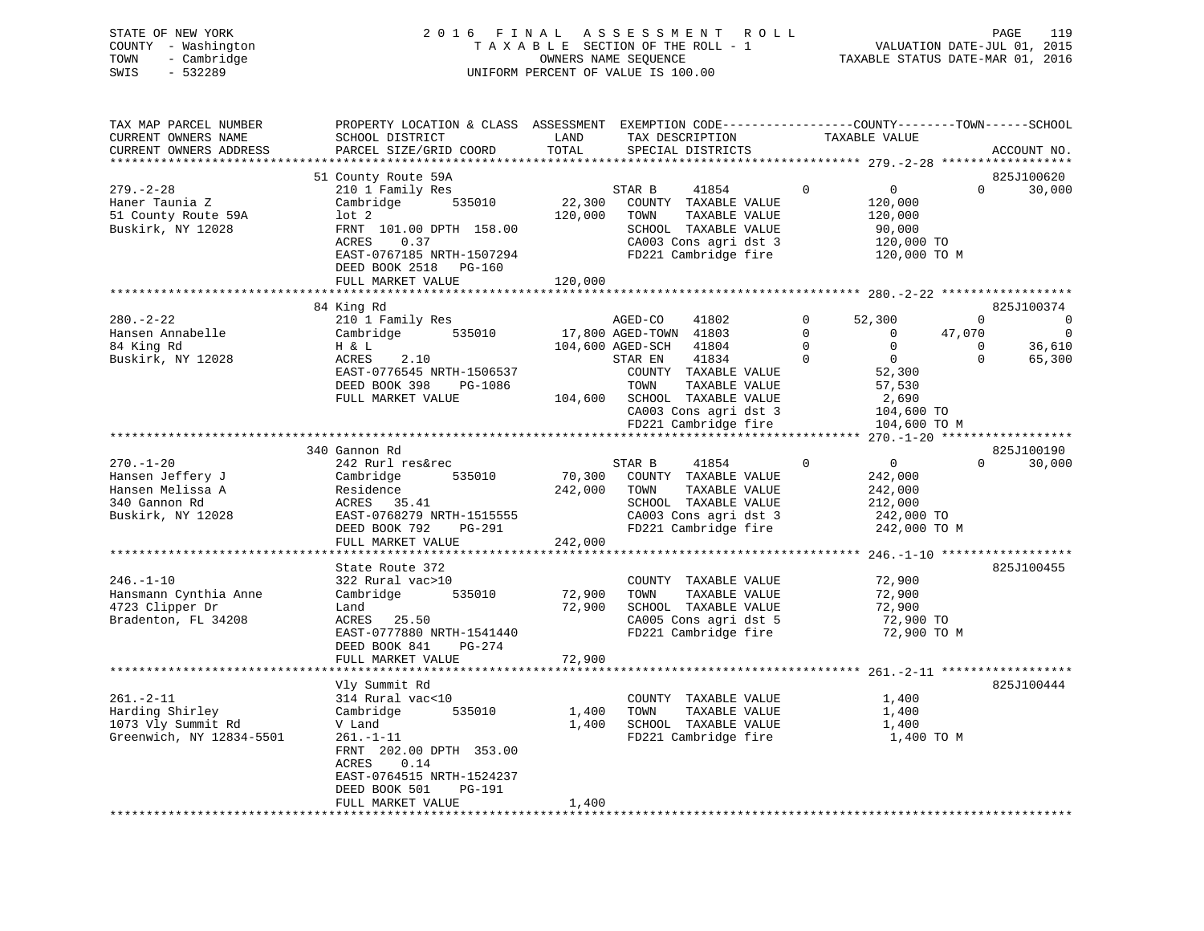| STATE OF NEW YORK   | 2016 FINAL ASSESSMENT ROLL         | PAGE                             | 119 |
|---------------------|------------------------------------|----------------------------------|-----|
| COUNTY - Washington | TAXABLE SECTION OF THE ROLL - 1    | VALUATION DATE-JUL 01, 2015      |     |
| TOWN - Cambridge    | OWNERS NAME SEOUENCE               | TAXABLE STATUS DATE-MAR 01, 2016 |     |
| SWIS<br>- 532289    | UNIFORM PERCENT OF VALUE IS 100.00 |                                  |     |
|                     |                                    |                                  |     |
|                     |                                    |                                  |     |

| TAX MAP PARCEL NUMBER    | PROPERTY LOCATION & CLASS ASSESSMENT EXEMPTION CODE-----------------COUNTY-------TOWN------SCHOOL |         |                              |                                      |                            |
|--------------------------|---------------------------------------------------------------------------------------------------|---------|------------------------------|--------------------------------------|----------------------------|
| CURRENT OWNERS NAME      | SCHOOL DISTRICT                                                                                   | LAND    | TAX DESCRIPTION              | TAXABLE VALUE                        |                            |
| CURRENT OWNERS ADDRESS   | PARCEL SIZE/GRID COORD                                                                            | TOTAL   | SPECIAL DISTRICTS            |                                      | ACCOUNT NO.                |
|                          |                                                                                                   |         |                              |                                      |                            |
|                          | 51 County Route 59A                                                                               |         |                              |                                      | 825J100620                 |
| $279. - 2 - 28$          | 210 1 Family Res                                                                                  |         | 41854<br>STAR B              | $\mathbf{0}$<br>$\overline{0}$       | $\Omega$<br>30,000         |
| Haner Taunia Z           | 535010<br>Cambridge                                                                               | 22,300  | COUNTY TAXABLE VALUE         | 120,000                              |                            |
| 51 County Route 59A      | lot <sub>2</sub>                                                                                  | 120,000 | TAXABLE VALUE<br>TOWN        | 120,000                              |                            |
| Buskirk, NY 12028        | FRNT 101.00 DPTH 158.00                                                                           |         | SCHOOL TAXABLE VALUE         | 90,000                               |                            |
|                          | ACRES<br>0.37                                                                                     |         | CA003 Cons agri dst 3        | 120,000 TO                           |                            |
|                          | EAST-0767185 NRTH-1507294                                                                         |         |                              | FD221 Cambridge fire 120,000 TO M    |                            |
|                          | DEED BOOK 2518 PG-160                                                                             |         |                              |                                      |                            |
|                          | FULL MARKET VALUE                                                                                 | 120,000 |                              |                                      |                            |
|                          |                                                                                                   |         |                              |                                      |                            |
|                          | 84 King Rd                                                                                        |         |                              |                                      | 825J100374                 |
| $280. - 2 - 22$          | 210 1 Family Res                                                                                  |         | AGED-CO<br>41802             | $\Omega$<br>52,300                   | $\Omega$<br>$\overline{0}$ |
| Hansen Annabelle         | Cambridge<br>535010                                                                               |         | 17,800 AGED-TOWN 41803       | $\Omega$<br>$\overline{0}$<br>47,070 | $\overline{0}$             |
| 84 King Rd               | H & L                                                                                             |         | 104,600 AGED-SCH 41804       | $\mathbf 0$<br>$\overline{0}$        | 36,610<br>$\mathbf 0$      |
|                          | 2.10                                                                                              |         | 41834                        | $\Omega$<br>$\overline{0}$           | $\Omega$                   |
| Buskirk, NY 12028        | ACRES                                                                                             |         | STAR EN                      |                                      | 65,300                     |
|                          | EAST-0776545 NRTH-1506537                                                                         |         | COUNTY TAXABLE VALUE         | 52,300                               |                            |
|                          | DEED BOOK 398<br>PG-1086                                                                          |         | TOWN<br>TAXABLE VALUE        | 57,530                               |                            |
|                          | FULL MARKET VALUE                                                                                 |         | 104,600 SCHOOL TAXABLE VALUE | 2,690                                |                            |
|                          |                                                                                                   |         | CA003 Cons agri dst 3        | 104,600 TO                           |                            |
|                          |                                                                                                   |         | FD221 Cambridge fire         | 104,600 TO M                         |                            |
|                          |                                                                                                   |         |                              |                                      |                            |
|                          | 340 Gannon Rd                                                                                     |         |                              |                                      | 825J100190                 |
| $270. - 1 - 20$          | 242 Rurl res&rec                                                                                  |         | 41854<br>STAR B              | $\overline{0}$<br>$\mathbf 0$        | $\Omega$<br>30,000         |
| Hansen Jeffery J         | 535010<br>Cambridge                                                                               | 70,300  | COUNTY TAXABLE VALUE         | 242,000                              |                            |
| Hansen Melissa A         | Residence                                                                                         | 242,000 | TOWN<br>TAXABLE VALUE        | 242,000                              |                            |
| 340 Gannon Rd            | ACRES 35.41                                                                                       |         | SCHOOL TAXABLE VALUE         | 212,000                              |                            |
| Buskirk, NY 12028        | EAST-0768279 NRTH-1515555                                                                         |         | CA003 Cons agri dst 3        | 242,000 TO                           |                            |
|                          | DEED BOOK 792<br>PG-291                                                                           |         | FD221 Cambridge fire         | 242,000 TO M                         |                            |
|                          | FULL MARKET VALUE                                                                                 | 242,000 |                              |                                      |                            |
|                          |                                                                                                   |         |                              |                                      |                            |
|                          | State Route 372                                                                                   |         |                              |                                      | 825J100455                 |
| $246. - 1 - 10$          | 322 Rural vac>10                                                                                  |         | COUNTY TAXABLE VALUE         | 72,900                               |                            |
| Hansmann Cynthia Anne    | 535010<br>Cambridge                                                                               | 72,900  | TAXABLE VALUE<br>TOWN        | 72,900                               |                            |
| 4723 Clipper Dr          | Land                                                                                              | 72,900  | SCHOOL TAXABLE VALUE         | 72,900                               |                            |
| Bradenton, FL 34208      | ACRES 25.50                                                                                       |         | CA005 Cons agri dst 5        | 72,900 TO                            |                            |
|                          | EAST-0777880 NRTH-1541440                                                                         |         | FD221 Cambridge fire         | 72,900 TO M                          |                            |
|                          | DEED BOOK 841<br>PG-274                                                                           |         |                              |                                      |                            |
|                          | FULL MARKET VALUE                                                                                 | 72,900  |                              |                                      |                            |
|                          |                                                                                                   |         |                              |                                      |                            |
|                          | Vly Summit Rd                                                                                     |         |                              |                                      | 825J100444                 |
| $261. - 2 - 11$          | 314 Rural vac<10                                                                                  |         | COUNTY TAXABLE VALUE         | 1,400                                |                            |
|                          |                                                                                                   |         |                              |                                      |                            |
| Harding Shirley          | 535010<br>Cambridge                                                                               | 1,400   | TOWN<br>TAXABLE VALUE        | 1,400                                |                            |
| 1073 Vly Summit Rd       | V Land                                                                                            | 1,400   | SCHOOL TAXABLE VALUE         | 1,400                                |                            |
| Greenwich, NY 12834-5501 | $261. - 1 - 11$                                                                                   |         | FD221 Cambridge fire         | 1,400 TO M                           |                            |
|                          | FRNT 202.00 DPTH 353.00                                                                           |         |                              |                                      |                            |
|                          | 0.14<br>ACRES                                                                                     |         |                              |                                      |                            |
|                          | EAST-0764515 NRTH-1524237                                                                         |         |                              |                                      |                            |
|                          | DEED BOOK 501<br>PG-191                                                                           |         |                              |                                      |                            |
|                          | FULL MARKET VALUE                                                                                 | 1,400   |                              |                                      |                            |
|                          |                                                                                                   |         |                              |                                      |                            |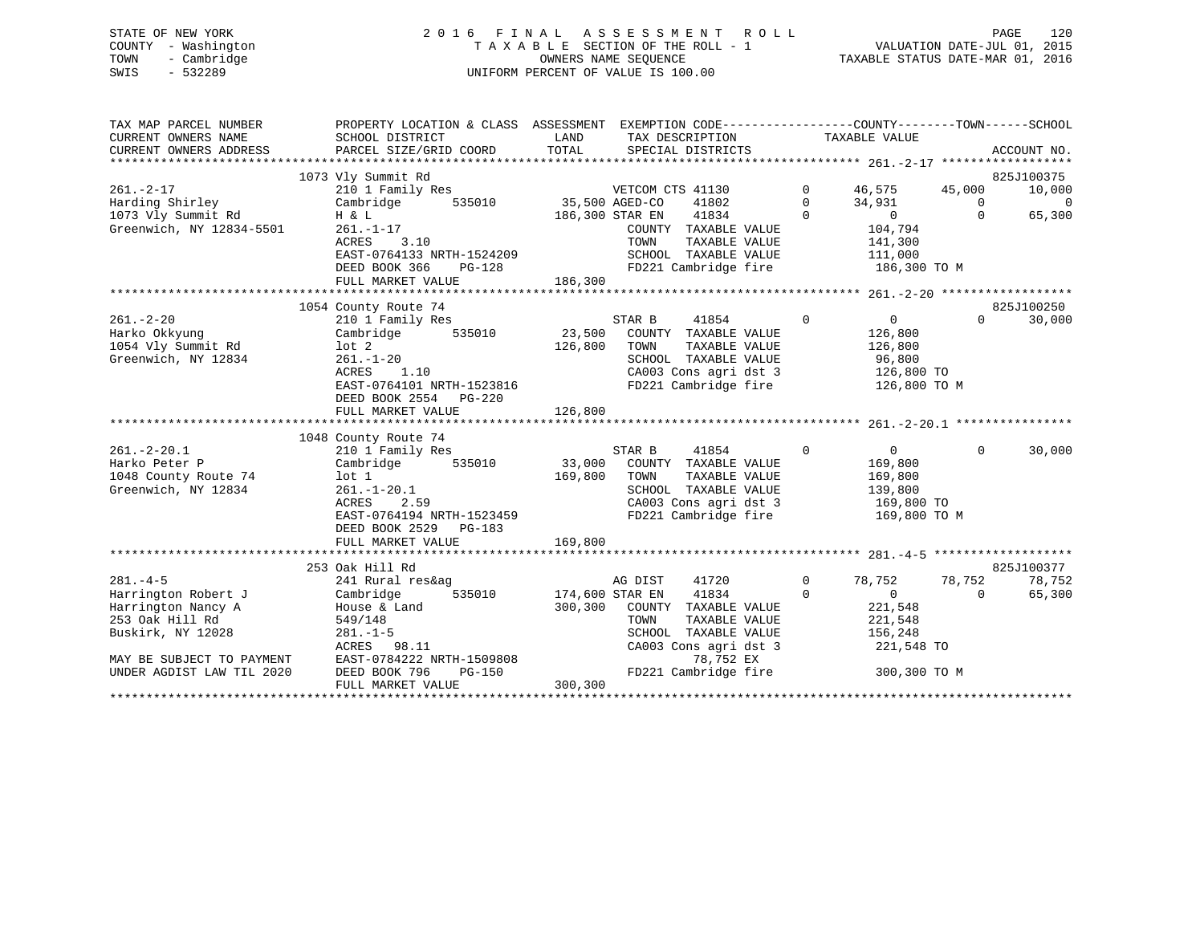| STATE OF NEW YORK   | 2016 FINAL ASSESSMENT ROLL         | 120<br>PAGE                      |
|---------------------|------------------------------------|----------------------------------|
| COUNTY - Washington | TAXABLE SECTION OF THE ROLL - 1    | VALUATION DATE-JUL 01, 2015      |
| - Cambridge<br>TOWN | OWNERS NAME SEOUENCE               | TAXABLE STATUS DATE-MAR 01, 2016 |
| $-532289$<br>SWIS   | UNIFORM PERCENT OF VALUE IS 100.00 |                                  |
|                     |                                    |                                  |

| TAX MAP PARCEL NUMBER                 |                                                    | PROPERTY LOCATION & CLASS ASSESSMENT EXEMPTION CODE----------------COUNTY-------TOWN------SCHOOL |                                                               |                          |
|---------------------------------------|----------------------------------------------------|--------------------------------------------------------------------------------------------------|---------------------------------------------------------------|--------------------------|
| CURRENT OWNERS NAME                   | SCHOOL DISTRICT                                    | LAND<br>TAX DESCRIPTION                                                                          | TAXABLE VALUE                                                 |                          |
| CURRENT OWNERS ADDRESS                | PARCEL SIZE/GRID COORD                             | TOTAL<br>SPECIAL DISTRICTS                                                                       |                                                               | ACCOUNT NO.              |
|                                       | 1073 Vly Summit Rd                                 |                                                                                                  |                                                               | 825J100375               |
| $261. - 2 - 17$                       |                                                    | VETCOM CTS 41130                                                                                 | $0 \t 46,575$                                                 | 45,000<br>10,000         |
|                                       |                                                    | 41802                                                                                            | $\mathbf 0$                                                   | $\sim$ 0                 |
| Harding Shirley<br>1073 Vly Summit Rd | H & L                                              | 186,300 STAR EN 41834                                                                            | $34,931$ 0<br>0 0<br>$\Omega$                                 | 65,300                   |
| Greenwich, NY 12834-5501              | $261. - 1 - 17$                                    | COUNTY TAXABLE VALUE                                                                             | 104,794                                                       |                          |
|                                       | ACRES 3.10                                         | TOWN<br>TAXABLE VALUE                                                                            | 141,300                                                       |                          |
|                                       | EAST-0764133 NRTH-1524209                          |                                                                                                  | SCHOOL TAXABLE VALUE 111,000                                  |                          |
|                                       | DEED BOOK 366                                      |                                                                                                  | FD221 Cambridge fire 186,300 TO M                             |                          |
|                                       | FULL MARKET VALUE                                  | $PG-128$<br>LUE $186,300$                                                                        |                                                               |                          |
|                                       |                                                    |                                                                                                  |                                                               |                          |
|                                       | 1054 County Route 74                               |                                                                                                  |                                                               | 825J100250               |
| $261 - 2 - 20$                        | 210 1 Family Res                                   | STAR B<br>41854                                                                                  | $\Omega$<br>$0 \qquad \qquad$                                 | 30,000<br>$\Omega$       |
| Harko Okkyung                         |                                                    | Cambridge 535010 23,500 COUNTY TAXABLE VALUE                                                     | 126,800                                                       |                          |
| 1054 Vly Summit Rd                    | lot 2                                              | 126,800<br>TAXABLE VALUE<br>TOWN                                                                 | 126,800                                                       |                          |
| Greenwich, NY 12834                   | $261. - 1 - 20$<br>1.10                            | SCHOOL TAXABLE VALUE                                                                             | 96,800                                                        |                          |
|                                       | ACRES                                              |                                                                                                  |                                                               |                          |
|                                       | EAST-0764101 NRTH-1523816                          |                                                                                                  | FD221 Cambridge fire 126,800 TO M                             |                          |
|                                       | DEED BOOK 2554 PG-220<br>FULL MARKET VALUE         | 126,800                                                                                          |                                                               |                          |
|                                       |                                                    |                                                                                                  |                                                               |                          |
|                                       | 1048 County Route 74                               |                                                                                                  |                                                               |                          |
| $261. - 2 - 20.1$                     | 210 1 Family Res                                   | 41854 0<br>STAR B                                                                                | $\overline{0}$                                                | 30,000<br>$\Omega$       |
| Harko Peter P                         | Cambridge 535010 33,000                            | COUNTY TAXABLE VALUE                                                                             | 169,800                                                       |                          |
| 1048 County Route 74                  | lot 1                                              | 169,800<br>TOWN<br>TAXABLE VALUE                                                                 |                                                               |                          |
| Greenwich, NY 12834                   | $261. -1 - 20.1$                                   | SCHOOL TAXABLE VALUE                                                                             | 169,800<br>139,800                                            |                          |
|                                       | ACRES<br>2.59                                      |                                                                                                  | CA003 Cons agri dst 3 169,800 TO                              |                          |
|                                       | EAST-0764194 NRTH-1523459                          | FD221 Cambridge fire                                                                             | 169,800 TO M                                                  |                          |
|                                       | DEED BOOK 2529 PG-183                              |                                                                                                  |                                                               |                          |
|                                       | FULL MARKET VALUE                                  | 169,800                                                                                          |                                                               |                          |
|                                       |                                                    |                                                                                                  |                                                               |                          |
|                                       | 253 Oak Hill Rd                                    |                                                                                                  |                                                               | 825J100377               |
| $281. -4 - 5$                         | 241 Rural res&ag                                   | 41720<br>AG DIST                                                                                 | $\Omega$<br>78,752                                            | 78,752<br>78,752         |
| Harrington Robert J                   | Cambridge                                          | 535010 174,600 STAR EN<br>41834                                                                  | $\mathbf 0$<br>$\begin{pmatrix} 2 & 2 \\ 0 & 2 \end{pmatrix}$ | $\overline{0}$<br>65,300 |
| Harrington Nancy A                    | House & Land                                       | 300,300 COUNTY TAXABLE VALUE                                                                     |                                                               |                          |
| 253 Oak Hill Rd                       | 549/148                                            | TOWN<br>TAXABLE VALUE                                                                            | 221,548                                                       |                          |
| Buskirk, NY 12028                     | $281. - 1 - 5$<br>ACRES 98.11                      | SCHOOL TAXABLE VALUE<br>CA003 Cons agri dst 3                                                    | 156,248<br>221,548 TO                                         |                          |
| MAY BE SUBJECT TO PAYMENT             | ACRES 98.11<br>EAST-0784222 NRTH-1509808<br>PC-150 | 78,752 EX                                                                                        |                                                               |                          |
| UNDER AGDIST LAW TIL 2020             |                                                    |                                                                                                  | FD221 Cambridge fire 300,300 TO M                             |                          |
|                                       | FULL MARKET VALUE                                  | 300,300                                                                                          |                                                               |                          |
|                                       |                                                    |                                                                                                  |                                                               |                          |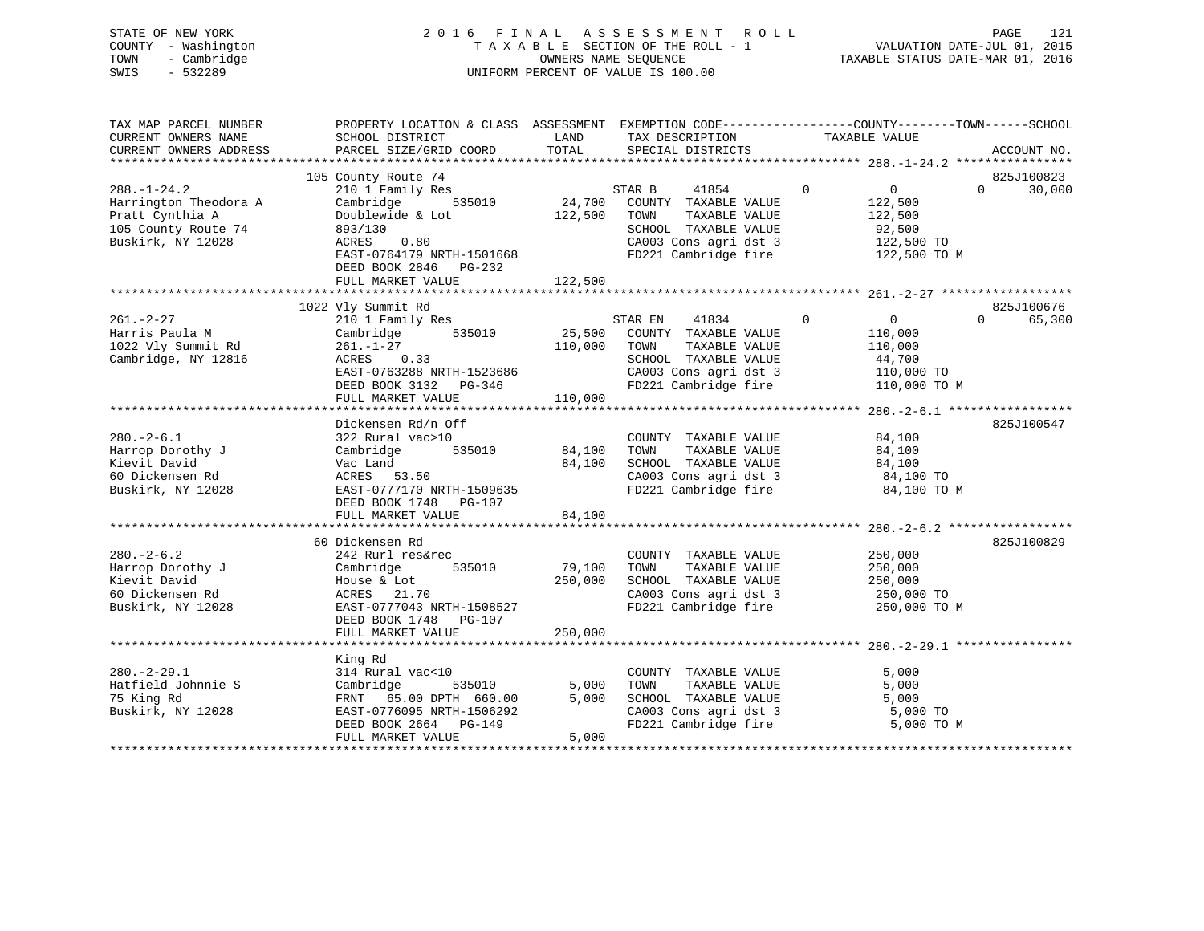| STATE OF NEW YORK<br>- Washington<br>COUNTY<br>- Cambridge<br>TOWN<br>SWIS<br>$-532289$ | 2016                      | FINAL<br>TAXABLE<br>OWNERS NAME SEOUENCE<br>UNIFORM PERCENT OF VALUE IS 100.00 |        | ASSESSMENT ROLL<br>SECTION OF THE ROLL - 1                    |          | TAXABLE STATUS DATE-MAR 01, 2016 | PAGE<br>VALUATION DATE-JUL 01, 2015 | 121         |
|-----------------------------------------------------------------------------------------|---------------------------|--------------------------------------------------------------------------------|--------|---------------------------------------------------------------|----------|----------------------------------|-------------------------------------|-------------|
| TAX MAP PARCEL NUMBER                                                                   | PROPERTY LOCATION & CLASS | ASSESSMENT                                                                     |        | EXEMPTION CODE-----------------COUNTY--------TOWN------SCHOOL |          |                                  |                                     |             |
| CURRENT OWNERS NAME                                                                     | SCHOOL DISTRICT           | LAND                                                                           |        | TAX DESCRIPTION                                               |          | TAXABLE VALUE                    |                                     |             |
| CURRENT OWNERS ADDRESS                                                                  | PARCEL SIZE/GRID COORD    | TOTAL                                                                          |        | SPECIAL DISTRICTS                                             |          |                                  |                                     | ACCOUNT NO. |
|                                                                                         |                           |                                                                                |        |                                                               |          |                                  | ****************                    |             |
|                                                                                         | 105 County Route 74       |                                                                                |        |                                                               |          |                                  |                                     | 825J100823  |
| $288. - 1 - 24.2$                                                                       | 210 1 Family Res          |                                                                                | STAR B | 41854                                                         | $\Omega$ |                                  | $\Omega$                            | 30,000      |
| Harrington Theodora A                                                                   | Cambridge<br>535010       | 24,700                                                                         | COUNTY | TAXABLE VALUE                                                 |          | 122,500                          |                                     |             |
| Pratt Cynthia A                                                                         | Doublewide & Lot          | 122,500                                                                        | TOWN   | TAXABLE VALUE                                                 |          | 122,500                          |                                     |             |

105 County Route 74 893/130 SCHOOL TAXABLE VALUE 92,500

| Buskirk, NY 12028   | 0.80<br>ACRES             |         | CA003 Cons agri dst 3 | 122,500 TO              |                    |
|---------------------|---------------------------|---------|-----------------------|-------------------------|--------------------|
|                     | EAST-0764179 NRTH-1501668 |         | FD221 Cambridge fire  | 122,500 TO M            |                    |
|                     | DEED BOOK 2846 PG-232     |         |                       |                         |                    |
|                     | FULL MARKET VALUE         | 122,500 |                       |                         |                    |
|                     |                           |         |                       |                         |                    |
|                     | 1022 Vly Summit Rd        |         |                       |                         | 825J100676         |
| $261. - 2 - 27$     | 210 1 Family Res          |         | STAR EN<br>41834      | $\mathbf 0$<br>$\Omega$ | 65,300<br>$\Omega$ |
| Harris Paula M      | Cambridge<br>535010       | 25,500  | COUNTY TAXABLE VALUE  | 110,000                 |                    |
| 1022 Vly Summit Rd  | $261. - 1 - 27$           | 110,000 | TOWN<br>TAXABLE VALUE | 110,000                 |                    |
| Cambridge, NY 12816 | ACRES<br>0.33             |         | SCHOOL TAXABLE VALUE  | 44,700                  |                    |
|                     | EAST-0763288 NRTH-1523686 |         | CA003 Cons agri dst 3 | 110,000 TO              |                    |
|                     | DEED BOOK 3132 PG-346     |         | FD221 Cambridge fire  | 110,000 TO M            |                    |
|                     | FULL MARKET VALUE         | 110,000 |                       |                         |                    |
|                     |                           |         |                       |                         |                    |
|                     | Dickensen Rd/n Off        |         |                       |                         | 825J100547         |
| $280. - 2 - 6.1$    | 322 Rural vac>10          |         | COUNTY TAXABLE VALUE  | 84,100                  |                    |
| Harrop Dorothy J    | Cambridge<br>535010       | 84,100  | TAXABLE VALUE<br>TOWN | 84,100                  |                    |
| Kievit David        | Vac Land                  | 84,100  | SCHOOL TAXABLE VALUE  | 84,100                  |                    |
| 60 Dickensen Rd     | ACRES 53.50               |         | CA003 Cons agri dst 3 | 84,100 TO               |                    |
| Buskirk, NY 12028   | EAST-0777170 NRTH-1509635 |         | FD221 Cambridge fire  | 84,100 TO M             |                    |
|                     | DEED BOOK 1748 PG-107     |         |                       |                         |                    |
|                     | FULL MARKET VALUE         | 84,100  |                       |                         |                    |
|                     |                           |         |                       |                         |                    |
|                     | 60 Dickensen Rd           |         |                       |                         | 825J100829         |
| $280. - 2 - 6.2$    | 242 Rurl res&rec          |         | COUNTY TAXABLE VALUE  | 250,000                 |                    |
| Harrop Dorothy J    | 535010<br>Cambridge       | 79,100  | TOWN<br>TAXABLE VALUE | 250,000                 |                    |
| Kievit David        | House & Lot               | 250,000 | SCHOOL TAXABLE VALUE  | 250,000                 |                    |
| 60 Dickensen Rd     | ACRES 21.70               |         | CA003 Cons agri dst 3 | 250,000 TO              |                    |
| Buskirk, NY 12028   | EAST-0777043 NRTH-1508527 |         | FD221 Cambridge fire  | 250,000 TO M            |                    |
|                     | DEED BOOK 1748 PG-107     |         |                       |                         |                    |
|                     | FULL MARKET VALUE         | 250,000 |                       |                         |                    |
|                     |                           |         |                       |                         |                    |
|                     | King Rd                   |         |                       |                         |                    |
| $280. - 2 - 29.1$   | 314 Rural vac<10          |         | COUNTY TAXABLE VALUE  | 5,000                   |                    |
| Hatfield Johnnie S  | Cambridge<br>535010       | 5,000   | TAXABLE VALUE<br>TOWN | 5,000                   |                    |
| 75 King Rd          | FRNT 65.00 DPTH 660.00    | 5.000   | SCHOOL TAXABLE VALUE  | 5,000                   |                    |
| Buskirk, NY 12028   | EAST-0776095 NRTH-1506292 |         | CA003 Cons agri dst 3 | 5,000 TO                |                    |
|                     | DEED BOOK 2664 PG-149     |         | FD221 Cambridge fire  | 5,000 TO M              |                    |
|                     | FULL MARKET VALUE         | 5,000   |                       |                         |                    |
|                     | ************************  |         |                       |                         |                    |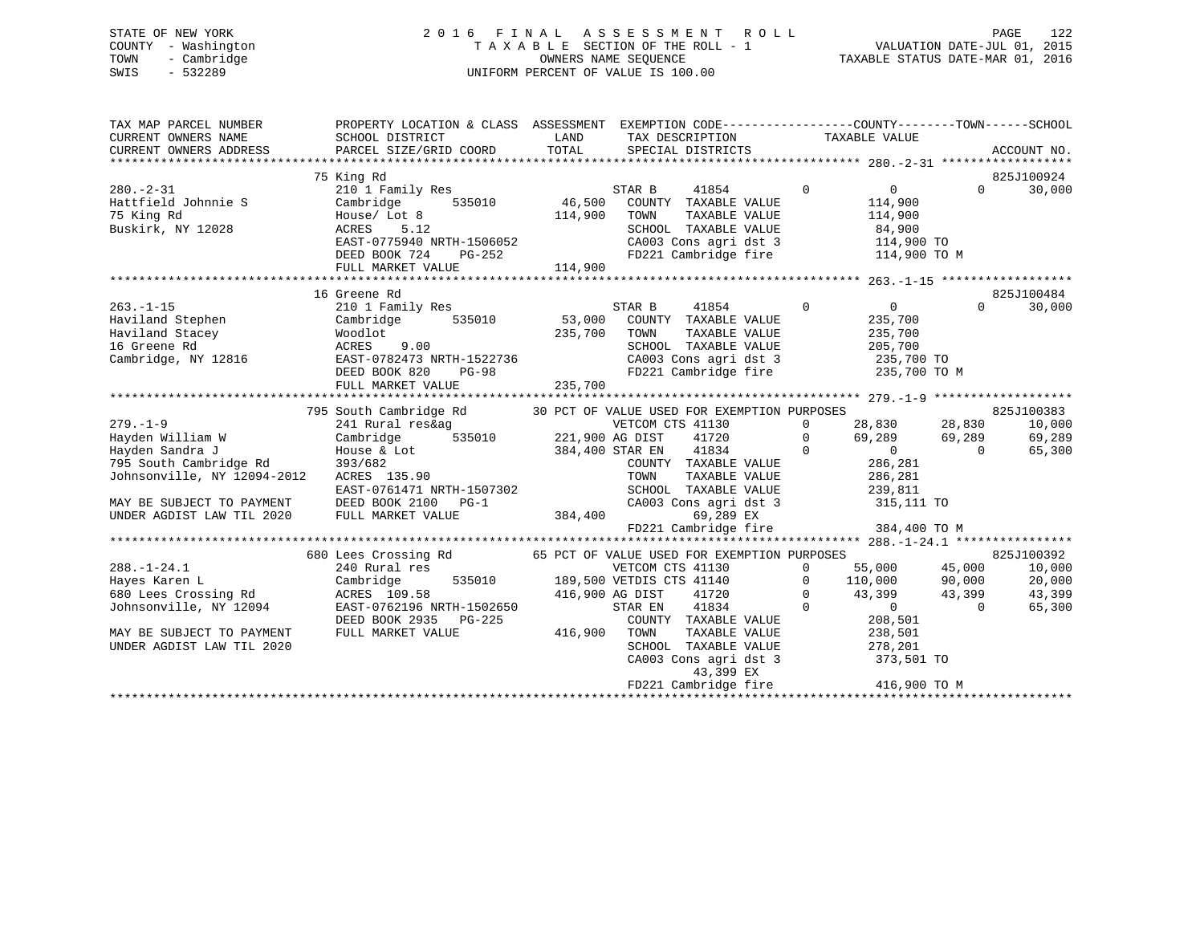## STATE OF NEW YORK 2 0 1 6 F I N A L A S S E S S M E N T R O L L PAGE 122 COUNTY - Washington T A X A B L E SECTION OF THE ROLL - 1 VALUATION DATE-JUL 01, 2015 TOWN - Cambridge OWNERS NAME SEQUENCE TAXABLE STATUS DATE-MAR 01, 2016 SWIS - 532289 UNIFORM PERCENT OF VALUE IS 100.00

| TAX MAP PARCEL NUMBER<br>CURRENT OWNERS NAME<br>CURRENT OWNERS ADDRESS                                                                                                                      | PROPERTY LOCATION & CLASS ASSESSMENT EXEMPTION CODE---------------COUNTY-------TOWN------SCHOOL<br>SCHOOL DISTRICT<br>PARCEL SIZE/GRID COORD                                                                                                                                                                                                                                                                                                                                                                                                                                                                                   | LAND<br>TOTAL      | TAX DESCRIPTION TAXABLE VALUE<br>SPECIAL DISTRICTS                                                                                                                                                                    |                                                               | ACCOUNT NO.                                                          |
|---------------------------------------------------------------------------------------------------------------------------------------------------------------------------------------------|--------------------------------------------------------------------------------------------------------------------------------------------------------------------------------------------------------------------------------------------------------------------------------------------------------------------------------------------------------------------------------------------------------------------------------------------------------------------------------------------------------------------------------------------------------------------------------------------------------------------------------|--------------------|-----------------------------------------------------------------------------------------------------------------------------------------------------------------------------------------------------------------------|---------------------------------------------------------------|----------------------------------------------------------------------|
| $280. - 2 - 31$<br>Hattfield Johnnie S<br>75 King Rd<br>Buskirk, NY 12028<br>ACRES 5.12                                                                                                     | 75 King Rd<br>210 1 Family Res<br>ACRES 5.12<br>EAST-0775940 NRTH-1506052<br>DEED BOOK 724 PG-252<br>FULL MARKET VALUE                                                                                                                                                                                                                                                                                                                                                                                                                                                                                                         | 114,900<br>114,900 | STAR B<br>41854<br>535010 46,500 COUNTY TAXABLE VALUE<br>TOWN<br>TAXABLE VALUE<br>SCHOOL TAXABLE VALUE<br>CA003 Cons agri dst 3 114,900 TO<br>FD221 Cambridge fire 114,900 TO M<br>FD221 Cambridge fire               | $\mathbf 0$<br>$\overline{0}$<br>114,900<br>114,900<br>84,900 | 825J100924<br>$\Omega$<br>30,000                                     |
| $263. -1 - 15$                                                                                                                                                                              | 16 Greene Rd<br>210 1 Family Res<br>Cambridge, NY 12816<br>DEED BOOK 820 PG-98<br>FULL MARKET VALUE                                                                                                                                                                                                                                                                                                                                                                                                                                                                                                                            | 235,700            | 41854 0<br>STAR B<br>TAXABLE VALUE<br>CA003 Cons agri dst 3 235,700 TO<br>FD221 Cambridge fire 235,700 TO M                                                                                                           | $\overline{0}$<br>235,700<br>235,700<br>205,700               | 825J100484<br>$\Omega$<br>30,000                                     |
| $279. - 1 - 9$<br>Hayden William W<br>Hayden Sandra J<br>Hayden Sandra J<br>795 South Cambridge Rd<br>Johnsonville, NY 12094-2012<br>MAY BE SUBJECT TO PAYMENT<br>UNDER AGDIST LAW TIL 2020 | 795 South Cambridge Rd 30 PCT OF VALUE USED FOR EXEMPTION PURPOSES<br>28,830 28,830 28,830<br>535010 221,900 AG DIST<br>Cambridge<br>House & Lot<br>393/682<br>ACRES 135.90<br>$\begin{tabular}{lllllllll} \multicolumn{2}{c }{\textbf{EAST-0761471 NRTH-1507302}} & & & & & \multicolumn{2}{c}{\textbf{TOM}} \\ \multicolumn{2}{c}{\textbf{DEED BOOK 2100} & $\textbf{PG-1}$} & & & & & \multicolumn{2}{c}{\textbf{SCH}} \\ \multicolumn{2}{c}{\textbf{DEED BOOK 2100} & $\textbf{PG-1}$} & & & & & \multicolumn{2}{c}{\textbf{CAO(C)}} \\ \multicolumn{2}{c}{\textbf{FULL MARKET VALUE}} & & & & \multicolumn{2}{c}{\textbf$ |                    | COUNTY TAXABLE VALUE 286,281<br>TOWN TAXABLE VALUE 286,281<br>SCHOOL TAXABLE VALUE 239,811<br>CA003 Cons agri dst 3 315,111 TO<br>69,289 EX<br>FD221 Cambridge fire 384,400 TO M                                      |                                                               | 825J100383<br>10,000<br>69,289<br>65,300                             |
| $288. - 1 - 24.1$<br>Hayes Karen L<br>680 Lees Crossing Rd<br>Johnsonville, NY 12094<br>MAY BE SUBJECT TO PAYMENT<br>UNDER AGDIST LAW TIL 2020                                              | Cambridge<br>ACRES 109.58<br>EAST-0762196 NRTH-1502650<br>DEED BOOK 2935 PG-225<br>FULL MARKET VALUE                                                                                                                                                                                                                                                                                                                                                                                                                                                                                                                           | 416,900            | 535010 189,500 VETDIS CTS 41140 0 110,000 90,000<br>416,900 AG DIST<br>STAR EN<br>COUNTY TAXABLE VALUE<br>TOWN TAXABLE VALUE 238,501<br>SCHOOL TAXABLE VALUE 278,201<br>CA003 Cons agri dst 3 373,501 TO<br>43,399 EX | 43,399 43,399<br>$41720$ 0 $43,399$<br>$41834$ 0 0<br>208,501 | 825J100392<br>10,000<br>20,000<br>43,399<br>$\overline{0}$<br>65,300 |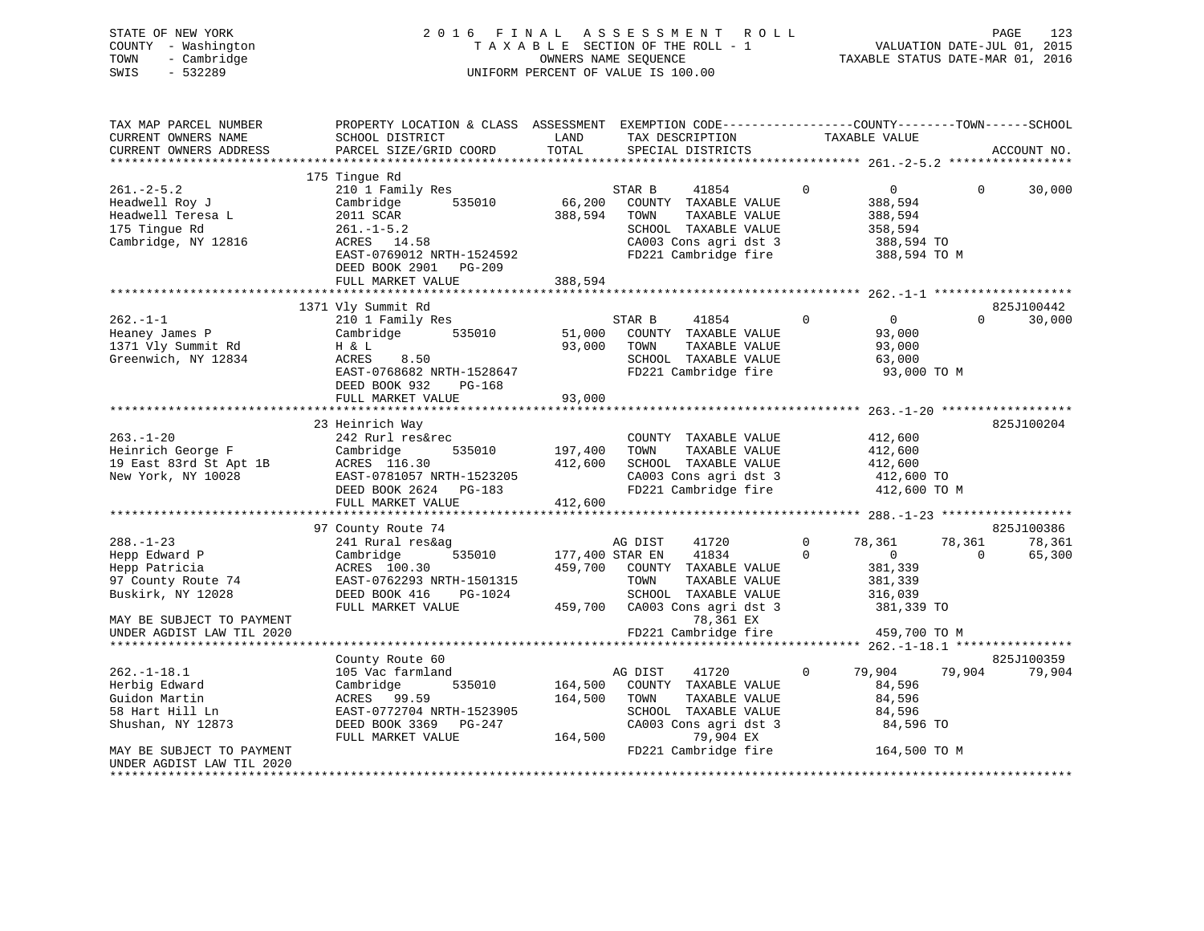| STATE OF NEW YORK<br>COUNTY - Washington<br>- Cambridge<br>TOWN<br>$-532289$<br>SWIS | 2016 FINAL                                | A S S E S S M E N T<br><b>ROLL</b><br>TAXABLE SECTION OF THE ROLL - 1<br>OWNERS NAME SEQUENCE<br>UNIFORM PERCENT OF VALUE IS 100.00 | PAGE<br>123<br>VALUATION DATE-JUL 01, 2015<br>TAXABLE STATUS DATE-MAR 01, 2016                                   |
|--------------------------------------------------------------------------------------|-------------------------------------------|-------------------------------------------------------------------------------------------------------------------------------------|------------------------------------------------------------------------------------------------------------------|
| TAX MAP PARCEL NUMBER<br>CURRENT OWNERS NAME                                         | SCHOOL DISTRICT                           | LAND<br>TAX DESCRIPTION                                                                                                             | PROPERTY LOCATION & CLASS ASSESSMENT EXEMPTION CODE---------------COUNTY-------TOWN------SCHOOL<br>TAXABLE VALUE |
| CURRENT OWNERS ADDRESS                                                               | PARCEL SIZE/GRID COORD                    | TOTAL<br>SPECIAL DISTRICTS                                                                                                          | ACCOUNT NO.                                                                                                      |
|                                                                                      |                                           |                                                                                                                                     |                                                                                                                  |
|                                                                                      | 175 Tingue Rd                             |                                                                                                                                     |                                                                                                                  |
| $261 - 2 - 5.2$                                                                      | 210 1 Family Res                          | 41854<br>STAR B                                                                                                                     | $\Omega$<br>$\Omega$<br>30,000<br>$\mathbf{0}$                                                                   |
| Headwell Roy J                                                                       | 535010<br>Cambridge                       | 66,200<br>COUNTY TAXABLE VALUE<br>388,594<br>TOWN<br>TAXABLE VALUE                                                                  | 388,594<br>388,594                                                                                               |
| Headwell Teresa L<br>175 Tingue Rd                                                   | 2011 SCAR<br>$261. -1 - 5.2$              | SCHOOL TAXABLE VALUE                                                                                                                | 358,594                                                                                                          |
| Cambridge, NY 12816                                                                  | ACRES 14.58                               | CA003 Cons agri dst 3                                                                                                               | 388,594 TO                                                                                                       |
|                                                                                      | EAST-0769012 NRTH-1524592                 | FD221 Cambridge fire                                                                                                                | 388,594 TO M                                                                                                     |
|                                                                                      | DEED BOOK 2901 PG-209                     |                                                                                                                                     |                                                                                                                  |
|                                                                                      | FULL MARKET VALUE                         | 388,594                                                                                                                             |                                                                                                                  |
|                                                                                      |                                           |                                                                                                                                     |                                                                                                                  |
|                                                                                      | 1371 Vly Summit Rd                        |                                                                                                                                     | 825J100442                                                                                                       |
| $262. -1 - 1$                                                                        | 210 1 Family Res                          | STAR B<br>41854                                                                                                                     | $\mathbf 0$<br>$\overline{0}$<br>30,000<br>$\Omega$                                                              |
| Heaney James P                                                                       | Cambridge<br>535010                       | 51,000<br>COUNTY TAXABLE VALUE                                                                                                      | 93,000                                                                                                           |
| 1371 Vly Summit Rd                                                                   | H & L                                     | 93,000<br>TAXABLE VALUE<br>TOWN                                                                                                     | 93,000                                                                                                           |
| Greenwich, NY 12834                                                                  | ACRES<br>8.50                             | SCHOOL TAXABLE VALUE                                                                                                                | 63,000                                                                                                           |
|                                                                                      | EAST-0768682 NRTH-1528647                 | FD221 Cambridge fire                                                                                                                | 93,000 TO M                                                                                                      |
|                                                                                      | DEED BOOK 932<br>PG-168                   |                                                                                                                                     |                                                                                                                  |
|                                                                                      | FULL MARKET VALUE                         | 93,000                                                                                                                              |                                                                                                                  |
|                                                                                      |                                           |                                                                                                                                     |                                                                                                                  |
|                                                                                      | 23 Heinrich Way                           |                                                                                                                                     | 825J100204                                                                                                       |
| $263. - 1 - 20$                                                                      | 242 Rurl res&rec                          | COUNTY TAXABLE VALUE                                                                                                                | 412,600                                                                                                          |
| Heinrich George F                                                                    | Cambridge<br>535010                       | TAXABLE VALUE<br>197,400<br>TOWN<br>412,600<br>SCHOOL TAXABLE VALUE                                                                 | 412,600                                                                                                          |
| 19 East 83rd St Apt 1B<br>New York, NY 10028                                         | ACRES 116.30<br>EAST-0781057 NRTH-1523205 | CA003 Cons agri dst 3                                                                                                               | 412,600<br>412,600 TO                                                                                            |
|                                                                                      | DEED BOOK 2624 PG-183                     | FD221 Cambridge fire                                                                                                                | 412,600 TO M                                                                                                     |
|                                                                                      | FULL MARKET VALUE                         | 412,600                                                                                                                             |                                                                                                                  |
|                                                                                      |                                           |                                                                                                                                     |                                                                                                                  |
|                                                                                      | 97 County Route 74                        |                                                                                                                                     | 825J100386                                                                                                       |
| $288. - 1 - 23$                                                                      | 241 Rural res&ag                          | AG DIST<br>41720                                                                                                                    | $\Omega$<br>78,361<br>78,361<br>78,361                                                                           |
| Hepp Edward P                                                                        | 535010<br>Cambridge                       | 177,400 STAR EN<br>41834                                                                                                            | $\mathbf 0$<br>$\overline{0}$<br>$\mathbf 0$<br>65,300                                                           |
| Hepp Patricia                                                                        | ACRES 100.30                              | 459,700<br>COUNTY TAXABLE VALUE                                                                                                     | 381,339                                                                                                          |
| 97 County Route 74                                                                   | EAST-0762293 NRTH-1501315                 | TAXABLE VALUE<br>TOWN                                                                                                               | 381,339                                                                                                          |
| Buskirk, NY 12028                                                                    | DEED BOOK 416<br>PG-1024                  | SCHOOL TAXABLE VALUE                                                                                                                | 316,039                                                                                                          |
|                                                                                      | FULL MARKET VALUE                         | 459,700<br>CA003 Cons agri dst 3                                                                                                    | 381,339 TO                                                                                                       |
| MAY BE SUBJECT TO PAYMENT                                                            |                                           | 78,361 EX                                                                                                                           |                                                                                                                  |
| UNDER AGDIST LAW TIL 2020                                                            |                                           | FD221 Cambridge fire                                                                                                                | 459,700 TO M                                                                                                     |
|                                                                                      |                                           |                                                                                                                                     |                                                                                                                  |
|                                                                                      | County Route 60                           |                                                                                                                                     | 825J100359                                                                                                       |
| $262. - 1 - 18.1$                                                                    | 105 Vac farmland                          | 41720<br>AG DIST                                                                                                                    | 79,904<br>79,904<br>$\mathbf 0$<br>79,904                                                                        |
| Herbig Edward                                                                        | 535010<br>Cambridge                       | 164,500<br>COUNTY TAXABLE VALUE                                                                                                     | 84,596                                                                                                           |
| Guidon Martin                                                                        | 99.59<br>ACRES                            | 164,500<br>TOWN<br>TAXABLE VALUE                                                                                                    | 84,596                                                                                                           |
| 58 Hart Hill Ln                                                                      | EAST-0772704 NRTH-1523905                 | SCHOOL TAXABLE VALUE                                                                                                                | 84,596                                                                                                           |
| Shushan, NY 12873                                                                    | DEED BOOK 3369 PG-247                     | CA003 Cons agri dst 3                                                                                                               | 84,596 TO                                                                                                        |

MAY BE SUBJECT TO PAYMENT **FLUIT CONSUMING THE SUBJECT TO PAYMENT** FLUIT CAMBRIDGE FIRE FOR THE 164,500 TO M UNDER AGDIST LAW TIL 2020

\*\*\*\*\*\*\*\*\*\*\*\*\*\*\*\*\*\*\*\*\*\*\*\*\*\*\*\*\*\*\*\*\*\*\*\*\*\*\*\*\*\*\*\*\*\*\*\*\*\*\*\*\*\*\*\*\*\*\*\*\*\*\*\*\*\*\*\*\*\*\*\*\*\*\*\*\*\*\*\*\*\*\*\*\*\*\*\*\*\*\*\*\*\*\*\*\*\*\*\*\*\*\*\*\*\*\*\*\*\*\*\*\*\*\*\*\*\*\*\*\*\*\*\*\*\*\*\*\*\*\*\*

DEED BOOK 3369 PG-247 CA003 Cons agri dst 3 869 PG-247 CA003 Cons agri dst 3 84,500 CA003 Cons agri dst 3 84,506 TO

FULL MARKET VALUE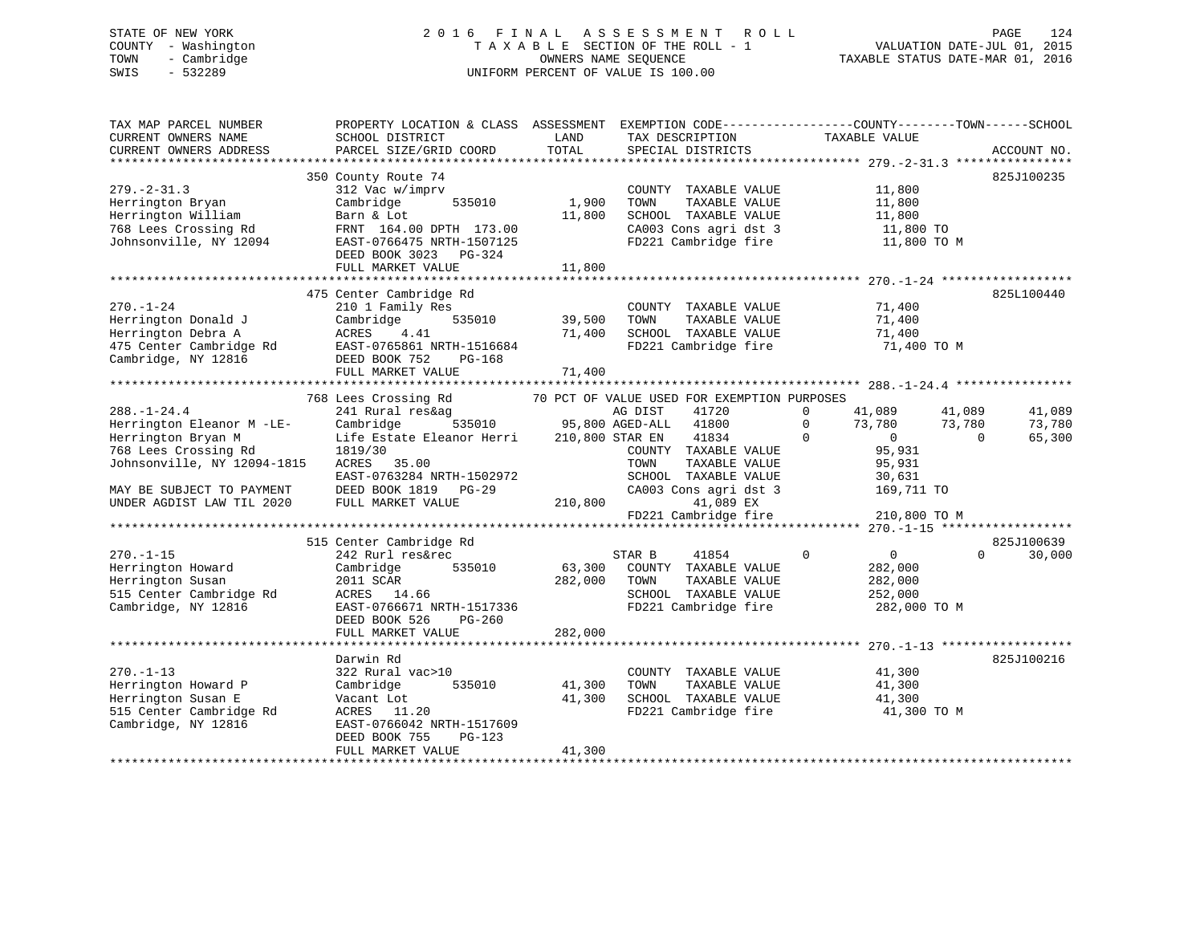## STATE OF NEW YORK 2 0 1 6 F I N A L A S S E S S M E N T R O L L PAGE 124 COUNTY - Washington T A X A B L E SECTION OF THE ROLL - 1 VALUATION DATE-JUL 01, 2015 TOWN - Cambridge OWNERS NAME SEQUENCE TAXABLE STATUS DATE-MAR 01, 2016 SWIS - 532289 UNIFORM PERCENT OF VALUE IS 100.00

| TAX MAP PARCEL NUMBER<br>CURRENT OWNERS NAME<br>CURRENT OWNERS ADDRESS                                                                                                                                                                                                                              | PROPERTY LOCATION & CLASS ASSESSMENT<br>SCHOOL DISTRICT<br>PARCEL SIZE/GRID COORD                                                                                                                                                                                                                                                                                                           | LAND<br>TOTAL              | EXEMPTION CODE-----------------COUNTY-------TOWN------SCHOOL<br>TAX DESCRIPTION<br>SPECIAL DISTRICTS                                                                                                                                                                                                                     | TAXABLE VALUE                                                                                                                                                                                                                  | ACCOUNT NO.                                                                                |
|-----------------------------------------------------------------------------------------------------------------------------------------------------------------------------------------------------------------------------------------------------------------------------------------------------|---------------------------------------------------------------------------------------------------------------------------------------------------------------------------------------------------------------------------------------------------------------------------------------------------------------------------------------------------------------------------------------------|----------------------------|--------------------------------------------------------------------------------------------------------------------------------------------------------------------------------------------------------------------------------------------------------------------------------------------------------------------------|--------------------------------------------------------------------------------------------------------------------------------------------------------------------------------------------------------------------------------|--------------------------------------------------------------------------------------------|
|                                                                                                                                                                                                                                                                                                     |                                                                                                                                                                                                                                                                                                                                                                                             |                            |                                                                                                                                                                                                                                                                                                                          |                                                                                                                                                                                                                                |                                                                                            |
| $279. - 2 - 31.3$<br>Herrington Bryan<br>Herrington William<br>768 Lees Crossing Rd<br>Johnsonville, NY 12094                                                                                                                                                                                       | 350 County Route 74<br>312 Vac w/imprv<br>Cambridge<br>535010<br>Barn & Lot<br>FRNT 164.00 DPTH 173.00<br>EAST-0766475 NRTH-1507125<br>DEED BOOK 3023 PG-324                                                                                                                                                                                                                                | 1,900<br>11,800            | COUNTY TAXABLE VALUE<br>TAXABLE VALUE<br>TOWN<br>SCHOOL TAXABLE VALUE<br>CA003 Cons agri dst 3<br>FD221 Cambridge fire                                                                                                                                                                                                   | 11,800<br>11,800<br>11,800<br>11,800 TO<br>11,800 TO M                                                                                                                                                                         | 825J100235                                                                                 |
|                                                                                                                                                                                                                                                                                                     | FULL MARKET VALUE                                                                                                                                                                                                                                                                                                                                                                           | 11,800                     |                                                                                                                                                                                                                                                                                                                          |                                                                                                                                                                                                                                |                                                                                            |
|                                                                                                                                                                                                                                                                                                     |                                                                                                                                                                                                                                                                                                                                                                                             |                            |                                                                                                                                                                                                                                                                                                                          |                                                                                                                                                                                                                                |                                                                                            |
| $270. - 1 - 24$<br>Herrington Donald J<br>Herrington Debra A<br>475 Center Cambridge Rd<br>Cambridge, NY 12816                                                                                                                                                                                      | 475 Center Cambridge Rd<br>210 1 Family Res<br>535010<br>Cambridge<br>ACRES<br>4.41<br>Rd EAST-0765861 NRTH-1516684 BEED BOOK 752 PG-168                                                                                                                                                                                                                                                    | 39,500<br>71,400           | COUNTY TAXABLE VALUE<br>TOWN<br>TAXABLE VALUE<br>SCHOOL TAXABLE VALUE<br>FD221 Cambridge fire                                                                                                                                                                                                                            | 71,400<br>71,400<br>71,400<br>71,400 TO M                                                                                                                                                                                      | 825L100440                                                                                 |
|                                                                                                                                                                                                                                                                                                     | FULL MARKET VALUE                                                                                                                                                                                                                                                                                                                                                                           | 71,400                     |                                                                                                                                                                                                                                                                                                                          |                                                                                                                                                                                                                                |                                                                                            |
|                                                                                                                                                                                                                                                                                                     |                                                                                                                                                                                                                                                                                                                                                                                             |                            |                                                                                                                                                                                                                                                                                                                          |                                                                                                                                                                                                                                |                                                                                            |
| $288. - 1 - 24.4$<br>Herrington Eleanor M -LE-<br>Herrington Bryan M<br>768 Lees Crossing Rd<br>Johnsonville, NY 12094-1815<br>MAY BE SUBJECT TO PAYMENT<br>UNDER AGDIST LAW TIL 2020<br>$270. - 1 - 15$<br>Herrington Howard<br>Herrington Susan<br>515 Center Cambridge Rd<br>Cambridge, NY 12816 | 768 Lees Crossing Rd<br>241 Rural res&ag<br>Cambridge<br>Life Estate Eleanor Herri 210,800 STAR EN 41834<br>1819/30<br>ACRES 35.00<br>EAST-0763284 NRTH-1502972<br>DEED BOOK 1819 PG-29<br>FULL MARKET VALUE<br>515 Center Cambridge Rd<br>242 Rurl res&rec<br>Cambridge<br>535010<br>2011 SCAR<br>ACRES 14.66<br>EAST-0766671 NRTH-1517336<br>DEED BOOK 526<br>PG-260<br>FULL MARKET VALUE | 282,000<br>282,000         | 70 PCT OF VALUE USED FOR EXEMPTION PURPOSES<br>COUNTY TAXABLE VALUE<br>TOWN<br>TAXABLE VALUE<br>SCHOOL TAXABLE VALUE<br>CA003 Cons agri dst 3<br>210,800<br>41,089 EX<br>FD221 Cambridge fire<br>41854<br>STAR B<br>63,300 COUNTY TAXABLE VALUE<br>TOWN<br>TAXABLE VALUE<br>SCHOOL TAXABLE VALUE<br>FD221 Cambridge fire | $\Omega$<br>41,089<br>73,780 73,780<br>$\Omega$<br>$\mathbf 0$<br>$\overline{0}$<br>95,931<br>95,931<br>30,631<br>169,711 TO<br>210,800 TO M<br>$\mathbf 0$<br>$\overline{0}$<br>282,000<br>282,000<br>252,000<br>282,000 TO M | 41,089<br>41,089<br>73,780<br>$\overline{0}$<br>65,300<br>825J100639<br>30,000<br>$\Omega$ |
|                                                                                                                                                                                                                                                                                                     |                                                                                                                                                                                                                                                                                                                                                                                             |                            |                                                                                                                                                                                                                                                                                                                          |                                                                                                                                                                                                                                |                                                                                            |
| $270. - 1 - 13$<br>Herrington Howard P<br>Herrington Susan E<br>515 Center Cambridge Rd<br>Cambridge, NY 12816                                                                                                                                                                                      | Darwin Rd<br>322 Rural vac>10<br>535010<br>Cambridge<br>Vacant Lot<br>ACRES 11.20<br>EAST-0766042 NRTH-1517609<br>PG-123<br>DEED BOOK 755<br>FULL MARKET VALUE                                                                                                                                                                                                                              | 41,300<br>41,300<br>41,300 | COUNTY TAXABLE VALUE<br>TAXABLE VALUE<br>TOWN<br>SCHOOL TAXABLE VALUE<br>FD221 Cambridge fire                                                                                                                                                                                                                            | 41,300<br>41,300<br>41,300<br>41,300 TO M                                                                                                                                                                                      | 825J100216                                                                                 |
|                                                                                                                                                                                                                                                                                                     |                                                                                                                                                                                                                                                                                                                                                                                             |                            |                                                                                                                                                                                                                                                                                                                          |                                                                                                                                                                                                                                |                                                                                            |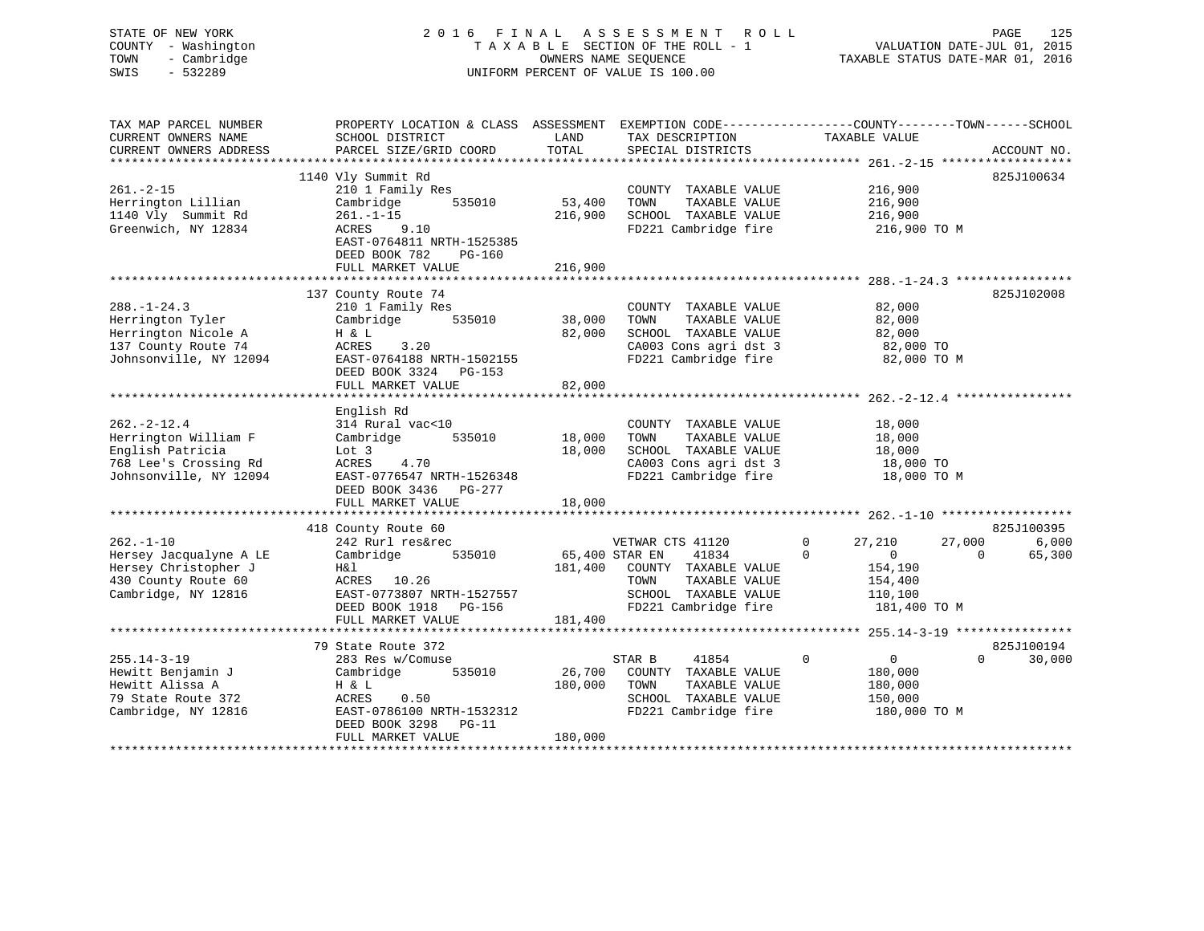STATE OF NEW YORK 2 0 1 6 F I N A L A S S E S S M E N T R O L L PAGE 125 COUNTY - Washington T A X A B L E SECTION OF THE ROLL - 1 VALUATION DATE-JUL 01, 2015 TOWN - Cambridge OWNERS NAME SEQUENCE TAXABLE STATUS DATE-MAR 01, 2016 SWIS - 532289 UNIFORM PERCENT OF VALUE IS 100.00UNIFORM PERCENT OF VALUE IS 100.00 TAX MAP PARCEL NUMBER PROPERTY LOCATION & CLASS ASSESSMENT EXEMPTION CODE------------------COUNTY--------TOWN------SCHOOL CURRENT OWNERS NAME SCHOOL DISTRICT LAND TAX DESCRIPTION TAXABLE VALUE

| CURRENT OWNERS ADDRESS                                                                                        | PARCEL SIZE/GRID COORD                                                                                                                         | TOTAL                     | SPECIAL DISTRICTS                                                                                                      |          |                                                                             | ACCOUNT NO. |
|---------------------------------------------------------------------------------------------------------------|------------------------------------------------------------------------------------------------------------------------------------------------|---------------------------|------------------------------------------------------------------------------------------------------------------------|----------|-----------------------------------------------------------------------------|-------------|
|                                                                                                               |                                                                                                                                                |                           |                                                                                                                        |          | ********** 261.-2-15 ***********                                            |             |
| $261. -2 - 15$                                                                                                | 1140 Vly Summit Rd<br>210 1 Family Res                                                                                                         | 53,400                    | COUNTY TAXABLE VALUE                                                                                                   |          | 216,900                                                                     | 825J100634  |
| Herrington Lillian<br>1140 Vly Summit Rd                                                                      | Cambridge<br>535010<br>$261. - 1 - 15$                                                                                                         | 216,900                   | TOWN<br>TAXABLE VALUE<br>SCHOOL TAXABLE VALUE                                                                          |          | 216,900<br>216,900                                                          |             |
| Greenwich, NY 12834                                                                                           | 9.10<br>ACRES<br>EAST-0764811 NRTH-1525385<br>DEED BOOK 782<br>$PG-160$                                                                        |                           | FD221 Cambridge fire                                                                                                   |          | 216,900 TO M                                                                |             |
|                                                                                                               | FULL MARKET VALUE                                                                                                                              | 216,900                   |                                                                                                                        |          |                                                                             |             |
|                                                                                                               |                                                                                                                                                |                           |                                                                                                                        |          |                                                                             |             |
| $288. - 1 - 24.3$<br>Herrington Tyler<br>Herrington Nicole A<br>137 County Route 74<br>Johnsonville, NY 12094 | 137 County Route 74<br>210 1 Family Res<br>Cambridge<br>535010<br>H & L<br>3.20<br>ACRES<br>EAST-0764188 NRTH-1502155<br>DEED BOOK 3324 PG-153 | 38,000<br>82,000          | COUNTY TAXABLE VALUE<br>TOWN<br>TAXABLE VALUE<br>SCHOOL TAXABLE VALUE<br>CA003 Cons agri dst 3<br>FD221 Cambridge fire |          | 82,000<br>82,000<br>82,000<br>82,000 TO<br>82,000 TO M                      | 825J102008  |
|                                                                                                               | FULL MARKET VALUE                                                                                                                              | 82,000                    |                                                                                                                        |          |                                                                             |             |
|                                                                                                               |                                                                                                                                                | *************             |                                                                                                                        |          |                                                                             |             |
| $262. - 2 - 12.4$<br>Herrington William F<br>English Patricia<br>768 Lee's Crossing Rd                        | English Rd<br>314 Rural vac<10<br>Cambridge<br>535010<br>Lot <sub>3</sub><br>4.70<br>ACRES                                                     | 18,000<br>18,000          | COUNTY TAXABLE VALUE<br>TAXABLE VALUE<br>TOWN<br>SCHOOL TAXABLE VALUE<br>CA003 Cons agri dst 3                         |          | 18,000<br>18,000<br>18,000<br>18,000 TO                                     |             |
| Johnsonville, NY 12094                                                                                        | EAST-0776547 NRTH-1526348<br>DEED BOOK 3436<br>PG-277<br>FULL MARKET VALUE                                                                     | 18,000                    | FD221 Cambridge fire                                                                                                   |          | 18,000 TO M                                                                 |             |
|                                                                                                               |                                                                                                                                                |                           |                                                                                                                        |          |                                                                             |             |
|                                                                                                               | 418 County Route 60                                                                                                                            |                           |                                                                                                                        |          |                                                                             | 825J100395  |
| $262. -1 - 10$                                                                                                | 242 Rurl res&rec                                                                                                                               |                           | VETWAR CTS 41120                                                                                                       | 0        | 27,210<br>27,000                                                            | 6,000       |
| Hersey Jacqualyne A LE<br>Hersey Christopher J<br>430 County Route 60<br>Cambridge, NY 12816                  | Cambridge<br>535010<br>H&l<br>ACRES 10.26<br>EAST-0773807 NRTH-1527557<br>DEED BOOK 1918 PG-156                                                | 65,400 STAR EN<br>181,400 | 41834<br>COUNTY TAXABLE VALUE<br>TAXABLE VALUE<br>TOWN<br>SCHOOL TAXABLE VALUE<br>FD221 Cambridge fire                 | $\Omega$ | $\Omega$<br>$\Omega$<br>154,190<br>154,400<br>110,100<br>181,400 TO M       | 65,300      |
|                                                                                                               | FULL MARKET VALUE                                                                                                                              | 181,400                   |                                                                                                                        |          |                                                                             |             |
|                                                                                                               | 79 State Route 372                                                                                                                             |                           |                                                                                                                        |          |                                                                             | 825J100194  |
| $255.14 - 3 - 19$<br>Hewitt Benjamin J<br>Hewitt Alissa A<br>79 State Route 372<br>Cambridge, NY 12816        | 283 Res w/Comuse<br>Cambridge<br>535010<br>H & L<br><b>ACRES</b><br>0.50<br>EAST-0786100 NRTH-1532312<br>DEED BOOK 3298<br>$PG-11$             | 26,700<br>180,000         | STAR B<br>41854<br>COUNTY TAXABLE VALUE<br>TOWN<br>TAXABLE VALUE<br>SCHOOL TAXABLE VALUE<br>FD221 Cambridge fire       | 0        | $\overline{0}$<br>$\Omega$<br>180,000<br>180,000<br>150,000<br>180,000 TO M | 30,000      |
|                                                                                                               | FULL MARKET VALUE                                                                                                                              | 180,000                   |                                                                                                                        |          |                                                                             |             |
|                                                                                                               |                                                                                                                                                |                           |                                                                                                                        |          |                                                                             |             |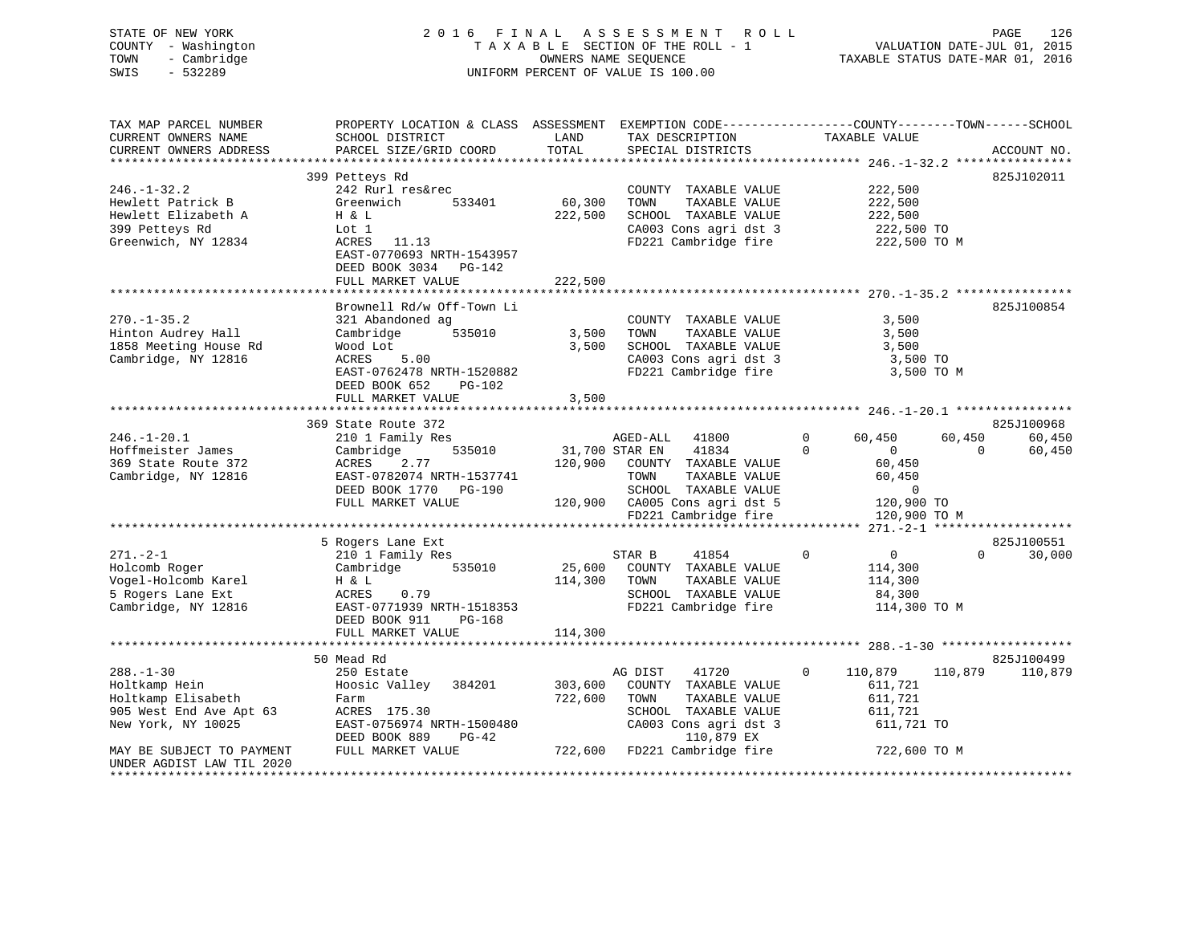| COUNTY - Washington<br>- Cambridge<br>TOWN<br>SWIS<br>$-532289$ |                                                                                                  |         | TAXABLE SECTION OF THE ROLL - 1<br>OWNERS NAME SEQUENCE<br>UNIFORM PERCENT OF VALUE IS 100.00 |                                       | VALUATION DATE-JUL 01, 2015<br>TAXABLE STATUS DATE-MAR 01, 2016 |
|-----------------------------------------------------------------|--------------------------------------------------------------------------------------------------|---------|-----------------------------------------------------------------------------------------------|---------------------------------------|-----------------------------------------------------------------|
| TAX MAP PARCEL NUMBER                                           | PROPERTY LOCATION & CLASS ASSESSMENT EXEMPTION CODE----------------COUNTY-------TOWN------SCHOOL |         |                                                                                               |                                       |                                                                 |
| CURRENT OWNERS NAME                                             | SCHOOL DISTRICT                                                                                  | LAND    | TAX DESCRIPTION                                                                               | TAXABLE VALUE                         |                                                                 |
| CURRENT OWNERS ADDRESS                                          | PARCEL SIZE/GRID COORD                                                                           | TOTAL   | SPECIAL DISTRICTS                                                                             |                                       | ACCOUNT NO.                                                     |
|                                                                 | 399 Petteys Rd                                                                                   |         |                                                                                               |                                       | 825J102011                                                      |
| $246. - 1 - 32.2$                                               | 242 Rurl res&rec                                                                                 |         | COUNTY TAXABLE VALUE                                                                          | 222,500                               |                                                                 |
| Hewlett Patrick B                                               | Greenwich<br>533401                                                                              | 60,300  | TOWN<br>TAXABLE VALUE                                                                         | 222,500                               |                                                                 |
| Hewlett Elizabeth A                                             | H & L                                                                                            | 222,500 | SCHOOL TAXABLE VALUE                                                                          | 222,500                               |                                                                 |
| 399 Petteys Rd                                                  | Lot 1                                                                                            |         | CA003 Cons agri dst 3                                                                         | 222,500 TO                            |                                                                 |
| Greenwich, NY 12834                                             | ACRES<br>11.13<br>EAST-0770693 NRTH-1543957<br>DEED BOOK 3034 PG-142                             |         | FD221 Cambridge fire                                                                          | 222,500 TO M                          |                                                                 |
|                                                                 | FULL MARKET VALUE                                                                                | 222,500 |                                                                                               |                                       |                                                                 |
|                                                                 |                                                                                                  |         |                                                                                               |                                       |                                                                 |
| $270. - 1 - 35.2$                                               | Brownell Rd/w Off-Town Li<br>321 Abandoned ag                                                    |         |                                                                                               | 3,500                                 | 825J100854                                                      |
| Hinton Audrey Hall                                              | Cambridge<br>535010                                                                              | 3,500   | COUNTY TAXABLE VALUE<br>TOWN<br>TAXABLE VALUE                                                 | 3,500                                 |                                                                 |
| 1858 Meeting House Rd                                           | Wood Lot                                                                                         | 3,500   | SCHOOL TAXABLE VALUE                                                                          | 3,500                                 |                                                                 |
| Cambridge, NY 12816                                             | <b>ACRES</b><br>5.00                                                                             |         | CA003 Cons agri dst 3                                                                         | 3,500 TO                              |                                                                 |
|                                                                 | EAST-0762478 NRTH-1520882                                                                        |         | FD221 Cambridge fire                                                                          |                                       | 3,500 TO M                                                      |
|                                                                 | DEED BOOK 652<br>PG-102                                                                          |         |                                                                                               |                                       |                                                                 |
|                                                                 | FULL MARKET VALUE                                                                                | 3,500   |                                                                                               |                                       |                                                                 |
|                                                                 |                                                                                                  |         |                                                                                               |                                       |                                                                 |
| $246. - 1 - 20.1$                                               | 369 State Route 372<br>210 1 Family Res                                                          |         | AGED-ALL<br>41800                                                                             | 60,450<br>$\mathbf 0$                 | 825J100968<br>60,450<br>60,450                                  |
| Hoffmeister James                                               | 535010<br>Cambridge                                                                              |         | 31,700 STAR EN<br>41834                                                                       | $\Omega$<br>$\overline{0}$            | $\Omega$<br>60,450                                              |
| 369 State Route 372                                             | <b>ACRES</b><br>2.77                                                                             | 120,900 | COUNTY TAXABLE VALUE                                                                          | 60,450                                |                                                                 |
| Cambridge, NY 12816                                             | EAST-0782074 NRTH-1537741                                                                        |         | TOWN<br>TAXABLE VALUE                                                                         | 60,450                                |                                                                 |
|                                                                 | DEED BOOK 1770<br>PG-190                                                                         |         | SCHOOL TAXABLE VALUE                                                                          | $\mathbf 0$                           |                                                                 |
|                                                                 | FULL MARKET VALUE                                                                                |         | 120,900 CA005 Cons agri dst 5                                                                 | 120,900 TO                            |                                                                 |
|                                                                 |                                                                                                  |         | FD221 Cambridge fire                                                                          | 120,900 TO M                          |                                                                 |
|                                                                 |                                                                                                  |         |                                                                                               |                                       |                                                                 |
|                                                                 | 5 Rogers Lane Ext                                                                                |         |                                                                                               |                                       | 825J100551<br>$\Omega$                                          |
| $271. - 2 - 1$<br>Holcomb Roger                                 | 210 1 Family Res<br>Cambridge<br>535010                                                          | 25,600  | 41854<br>STAR B<br>COUNTY TAXABLE VALUE                                                       | $\mathbf 0$<br>$\mathbf 0$<br>114,300 | 30,000                                                          |
| Vogel-Holcomb Karel                                             | H & L                                                                                            | 114,300 | TAXABLE VALUE<br>TOWN                                                                         | 114,300                               |                                                                 |
| 5 Rogers Lane Ext                                               | ACRES<br>0.79                                                                                    |         | SCHOOL TAXABLE VALUE                                                                          | 84,300                                |                                                                 |
| Cambridge, NY 12816                                             | EAST-0771939 NRTH-1518353                                                                        |         | FD221 Cambridge fire                                                                          | 114,300 TO M                          |                                                                 |
|                                                                 | DEED BOOK 911<br>PG-168                                                                          |         |                                                                                               |                                       |                                                                 |
|                                                                 | FULL MARKET VALUE                                                                                | 114,300 |                                                                                               |                                       |                                                                 |
|                                                                 |                                                                                                  |         |                                                                                               |                                       |                                                                 |
|                                                                 | 50 Mead Rd                                                                                       |         |                                                                                               |                                       | 825J100499                                                      |
| $288. - 1 - 30$                                                 | 250 Estate                                                                                       |         | 41720<br>AG DIST                                                                              | $\mathbf 0$<br>110,879                | 110,879<br>110,879                                              |
| Holtkamp Hein                                                   | Hoosic Valley<br>384201                                                                          | 303,600 | COUNTY TAXABLE VALUE                                                                          | 611,721                               |                                                                 |
| Holtkamp Elisabeth<br>905 West End Ave Apt 63                   | Farm<br>ACRES 175.30                                                                             | 722,600 | TAXABLE VALUE<br>TOWN<br>SCHOOL TAXABLE VALUE                                                 | 611,721<br>611,721                    |                                                                 |
| New York, NY 10025                                              | EAST-0756974 NRTH-1500480                                                                        |         | CA003 Cons agri dst 3                                                                         | 611,721 TO                            |                                                                 |
|                                                                 | DEED BOOK 889<br>$PG-42$                                                                         |         | 110,879 EX                                                                                    |                                       |                                                                 |
| MAY BE SUBJECT TO PAYMENT                                       | FULL MARKET VALUE                                                                                | 722,600 | FD221 Cambridge fire                                                                          | 722,600 TO M                          |                                                                 |

\*\*\*\*\*\*\*\*\*\*\*\*\*\*\*\*\*\*\*\*\*\*\*\*\*\*\*\*\*\*\*\*\*\*\*\*\*\*\*\*\*\*\*\*\*\*\*\*\*\*\*\*\*\*\*\*\*\*\*\*\*\*\*\*\*\*\*\*\*\*\*\*\*\*\*\*\*\*\*\*\*\*\*\*\*\*\*\*\*\*\*\*\*\*\*\*\*\*\*\*\*\*\*\*\*\*\*\*\*\*\*\*\*\*\*\*\*\*\*\*\*\*\*\*\*\*\*\*\*\*\*\*

UNDER AGDIST LAW TIL 2020

STATE OF NEW YORK 2016 FINAL ASSESSMENT ROLL PAGE 126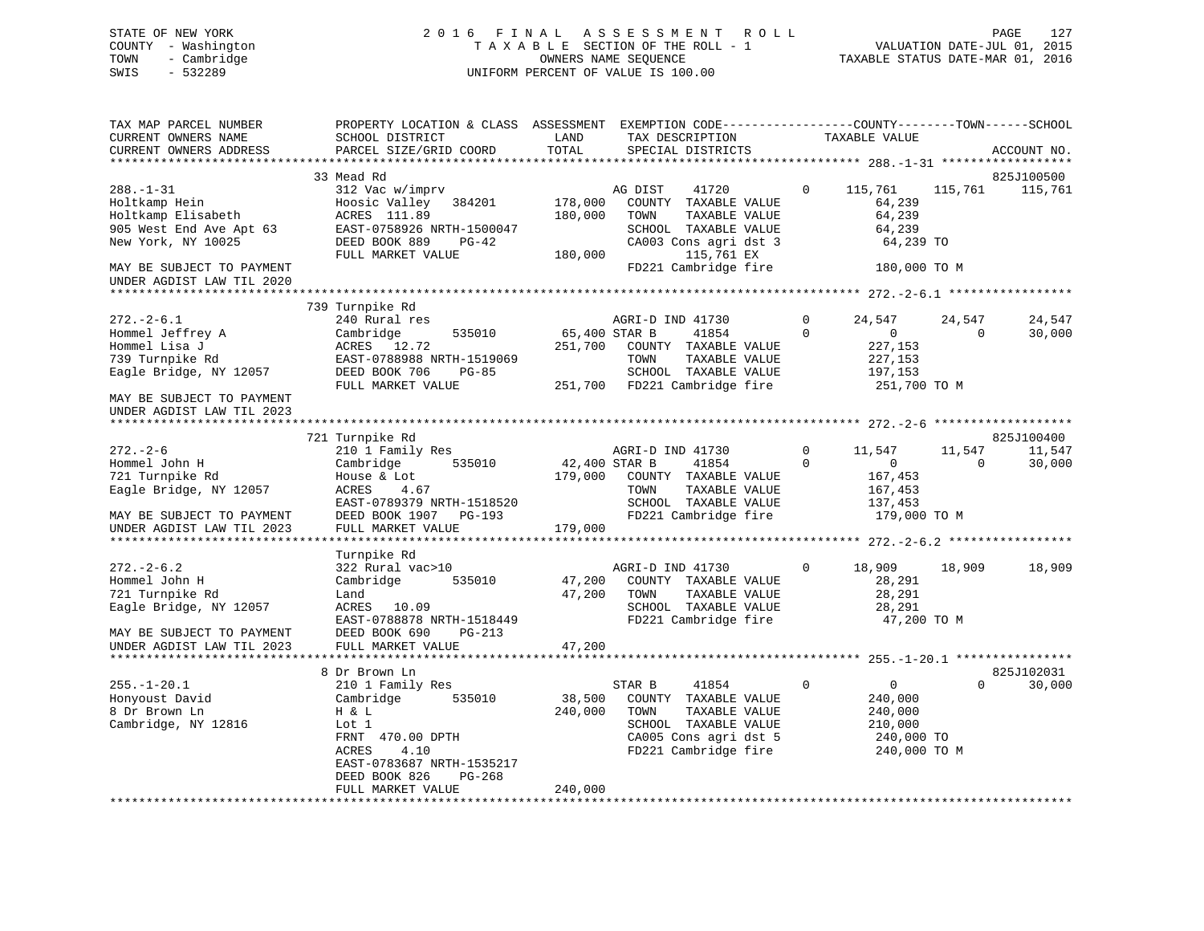## STATE OF NEW YORK 2 0 1 6 F I N A L A S S E S S M E N T R O L L PAGE 127 COUNTY - Washington T A X A B L E SECTION OF THE ROLL - 1 VALUATION DATE-JUL 01, 2015 TOWN - Cambridge OWNERS NAME SEQUENCE TAXABLE STATUS DATE-MAR 01, 2016 SWIS - 532289 UNIFORM PERCENT OF VALUE IS 100.00

| TAX MAP PARCEL NUMBER<br>CURRENT OWNERS NAME                                                                                             | PROPERTY LOCATION & CLASS ASSESSMENT<br>SCHOOL DISTRICT                                                                                                                                               | LAND                                | EXEMPTION CODE-----------------COUNTY-------TOWN------SCHOOL<br>TAX DESCRIPTION                                                           | TAXABLE VALUE                                                              |                                                                |
|------------------------------------------------------------------------------------------------------------------------------------------|-------------------------------------------------------------------------------------------------------------------------------------------------------------------------------------------------------|-------------------------------------|-------------------------------------------------------------------------------------------------------------------------------------------|----------------------------------------------------------------------------|----------------------------------------------------------------|
| CURRENT OWNERS ADDRESS                                                                                                                   | PARCEL SIZE/GRID COORD                                                                                                                                                                                | TOTAL                               | SPECIAL DISTRICTS                                                                                                                         |                                                                            | ACCOUNT NO.                                                    |
| ***********************                                                                                                                  |                                                                                                                                                                                                       |                                     |                                                                                                                                           |                                                                            |                                                                |
| $288. - 1 - 31$<br>Holtkamp Hein<br>Holtkamp Elisabeth<br>905 West End Ave Apt 63                                                        | 33 Mead Rd<br>312 Vac w/imprv<br>Hoosic Valley 384201<br>ACRES 111.89<br>EAST-0758926 NRTH-1500047                                                                                                    | 178,000<br>180,000                  | AG DIST<br>41720<br>COUNTY TAXABLE VALUE<br>TOWN<br>TAXABLE VALUE<br>SCHOOL TAXABLE VALUE                                                 | 115,761<br>$\mathbf{0}$<br>64,239<br>64,239<br>64,239                      | 825J100500<br>115,761<br>115,761                               |
| New York, NY 10025<br>MAY BE SUBJECT TO PAYMENT<br>UNDER AGDIST LAW TIL 2020                                                             | DEED BOOK 889<br>$PG-42$<br>FULL MARKET VALUE                                                                                                                                                         | 180,000                             | CA003 Cons agri dst 3<br>115,761 EX<br>FD221 Cambridge fire                                                                               |                                                                            | 64,239 TO<br>180,000 TO M                                      |
|                                                                                                                                          |                                                                                                                                                                                                       |                                     |                                                                                                                                           |                                                                            |                                                                |
| $272. - 2 - 6.1$<br>Hommel Jeffrey A<br>Hommel Lisa J<br>739 Turnpike Rd<br>Eagle Bridge, NY 12057<br>MAY BE SUBJECT TO PAYMENT          | 739 Turnpike Rd<br>240 Rural res<br>Cambridge<br>535010<br>ACRES 12.72<br>EAST-0788988 NRTH-1519069<br>DEED BOOK 706<br>PG-85<br>FULL MARKET VALUE                                                    | 65,400 STAR B<br>251,700<br>251,700 | AGRI-D IND 41730<br>41854<br>COUNTY TAXABLE VALUE<br>TAXABLE VALUE<br>TOWN<br>SCHOOL TAXABLE VALUE<br>FD221 Cambridge fire                | 24,547<br>0<br>$\Omega$<br>$\overline{0}$<br>227,153<br>227,153<br>197,153 | 24,547<br>24,547<br>30,000<br>$\mathbf 0$<br>251,700 TO M      |
| UNDER AGDIST LAW TIL 2023                                                                                                                |                                                                                                                                                                                                       |                                     |                                                                                                                                           |                                                                            |                                                                |
|                                                                                                                                          | 721 Turnpike Rd                                                                                                                                                                                       |                                     |                                                                                                                                           |                                                                            | 825J100400                                                     |
| $272. - 2 - 6$<br>Hommel John H<br>721 Turnpike Rd<br>Eagle Bridge, NY 12057<br>MAY BE SUBJECT TO PAYMENT<br>UNDER AGDIST LAW TIL 2023   | 210 1 Family Res<br>Cambridge<br>535010<br>House & Lot<br>ACRES<br>4.67<br>EAST-0789379 NRTH-1518520<br>DEED BOOK 1907 PG-193<br>FULL MARKET VALUE                                                    | 42,400 STAR B<br>179,000<br>179,000 | AGRI-D IND 41730<br>41854<br>COUNTY TAXABLE VALUE<br>TAXABLE VALUE<br>TOWN<br>SCHOOL TAXABLE VALUE<br>FD221 Cambridge fire                | 0<br>11,547<br>$\overline{0}$<br>$\Omega$<br>167,453<br>167,453<br>137,453 | 11,547<br>11,547<br>$\Omega$<br>30,000<br>179,000 TO M         |
|                                                                                                                                          | Turnpike Rd                                                                                                                                                                                           |                                     |                                                                                                                                           |                                                                            |                                                                |
| $272. - 2 - 6.2$<br>Hommel John H<br>721 Turnpike Rd<br>Eagle Bridge, NY 12057<br>MAY BE SUBJECT TO PAYMENT<br>UNDER AGDIST LAW TIL 2023 | 322 Rural vac>10<br>535010<br>Cambridge<br>Land<br>ACRES 10.09<br>EAST-0788878 NRTH-1518449<br>DEED BOOK 690<br>PG-213<br>FULL MARKET VALUE                                                           | 47,200<br>47,200<br>47,200          | AGRI-D IND 41730<br>COUNTY TAXABLE VALUE<br>TAXABLE VALUE<br>TOWN<br>SCHOOL TAXABLE VALUE<br>FD221 Cambridge fire                         | $\mathbf 0$<br>18,909<br>28,291<br>28,291<br>28,291                        | 18,909<br>18,909<br>47,200 TO M                                |
|                                                                                                                                          | ************************                                                                                                                                                                              |                                     |                                                                                                                                           |                                                                            |                                                                |
| $255. - 1 - 20.1$<br>Honyoust David<br>8 Dr Brown Ln<br>Cambridge, NY 12816                                                              | 8 Dr Brown Ln<br>210 1 Family Res<br>Cambridge<br>535010<br>H & L<br>Lot 1<br>FRNT 470.00 DPTH<br><b>ACRES</b><br>4.10<br>EAST-0783687 NRTH-1535217<br>DEED BOOK 826<br>$PG-268$<br>FULL MARKET VALUE | 38,500<br>240,000<br>240,000        | STAR B<br>41854<br>COUNTY TAXABLE VALUE<br>TOWN<br>TAXABLE VALUE<br>SCHOOL TAXABLE VALUE<br>CA005 Cons agri dst 5<br>FD221 Cambridge fire | $\Omega$<br>$\mathbf{0}$<br>240,000<br>240,000<br>210,000                  | 825J102031<br>$\Omega$<br>30,000<br>240,000 TO<br>240,000 TO M |
|                                                                                                                                          |                                                                                                                                                                                                       |                                     |                                                                                                                                           |                                                                            |                                                                |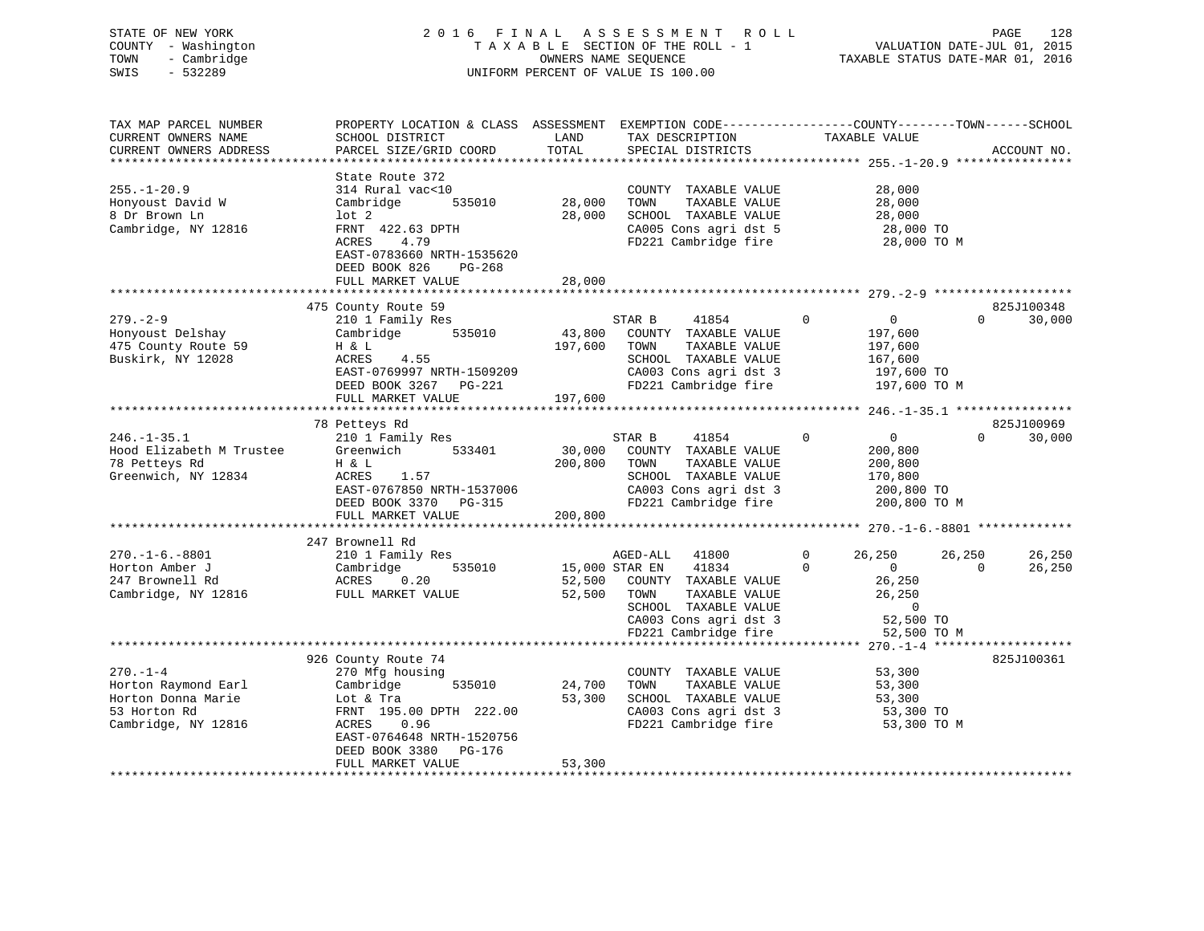## STATE OF NEW YORK 2 0 1 6 F I N A L A S S E S S M E N T R O L L PAGE 128 COUNTY - Washington T A X A B L E SECTION OF THE ROLL - 1 VALUATION DATE-JUL 01, 2015 TOWN - Cambridge OWNERS NAME SEQUENCE TAXABLE STATUS DATE-MAR 01, 2016 SWIS - 532289 UNIFORM PERCENT OF VALUE IS 100.00

| TAX MAP PARCEL NUMBER<br>CURRENT OWNERS NAME                                                       | PROPERTY LOCATION & CLASS ASSESSMENT<br>SCHOOL DISTRICT                                                                                                                                            | LAND<br>TOTAL                | TAX DESCRIPTION                                                                                                                                                        | EXEMPTION CODE-----------------COUNTY-------TOWN------SCHOOL<br>TAXABLE VALUE                            | ACCOUNT NO.                      |
|----------------------------------------------------------------------------------------------------|----------------------------------------------------------------------------------------------------------------------------------------------------------------------------------------------------|------------------------------|------------------------------------------------------------------------------------------------------------------------------------------------------------------------|----------------------------------------------------------------------------------------------------------|----------------------------------|
| CURRENT OWNERS ADDRESS<br>*********************                                                    | PARCEL SIZE/GRID COORD<br>***********************                                                                                                                                                  |                              | SPECIAL DISTRICTS                                                                                                                                                      |                                                                                                          | ****************                 |
| $255. - 1 - 20.9$<br>Honyoust David W<br>8 Dr Brown Ln<br>Cambridge, NY 12816                      | State Route 372<br>314 Rural vac<10<br>Cambridge<br>535010<br>lot <sub>2</sub><br>FRNT 422.63 DPTH<br>ACRES<br>4.79<br>EAST-0783660 NRTH-1535620<br>DEED BOOK 826<br>$PG-268$<br>FULL MARKET VALUE | 28,000<br>28,000<br>28,000   | COUNTY TAXABLE VALUE<br>TOWN<br>TAXABLE VALUE<br>SCHOOL TAXABLE VALUE<br>CA005 Cons agri dst 5<br>FD221 Cambridge fire                                                 | 28,000<br>28,000<br>28,000<br>28,000 TO<br>28,000 TO M                                                   |                                  |
|                                                                                                    |                                                                                                                                                                                                    |                              |                                                                                                                                                                        |                                                                                                          |                                  |
| $279. - 2 - 9$<br>Honyoust Delshay<br>475 County Route 59<br>Buskirk, NY 12028                     | 475 County Route 59<br>210 1 Family Res<br>Cambridge<br>535010<br>H & L<br>ACRES<br>4.55<br>EAST-0769997 NRTH-1509209<br>DEED BOOK 3267<br>PG-221<br>FULL MARKET VALUE                             | 43,800<br>197,600<br>197,600 | STAR B<br>41854<br>COUNTY TAXABLE VALUE<br>TAXABLE VALUE<br>TOWN<br>SCHOOL TAXABLE VALUE<br>CA003 Cons agri dst 3<br>FD221 Cambridge fire                              | $\Omega$<br>$\overline{0}$<br>197,600<br>197,600<br>167,600<br>197,600 TO<br>197,600 TO M                | 825J100348<br>30,000<br>$\Omega$ |
|                                                                                                    |                                                                                                                                                                                                    |                              |                                                                                                                                                                        |                                                                                                          |                                  |
| $246. - 1 - 35.1$<br>Hood Elizabeth M Trustee<br>78 Petteys Rd<br>Greenwich, NY 12834              | 78 Petteys Rd<br>210 1 Family Res<br>Greenwich<br>533401<br>H & L<br>ACRES<br>1.57<br>EAST-0767850 NRTH-1537006<br>DEED BOOK 3370 PG-315<br>FULL MARKET VALUE                                      | 30,000<br>200,800<br>200,800 | STAR B<br>41854<br>COUNTY TAXABLE VALUE<br>TAXABLE VALUE<br>TOWN<br>SCHOOL TAXABLE VALUE<br>CA003 Cons agri dst 3<br>FD221 Cambridge fire                              | $\mathbf 0$<br>$\mathbf 0$<br>200,800<br>200,800<br>170,800<br>200,800 TO<br>200,800 TO M                | 825J100969<br>$\Omega$<br>30,000 |
|                                                                                                    |                                                                                                                                                                                                    |                              |                                                                                                                                                                        |                                                                                                          |                                  |
| $270. -1 - 6. -8801$<br>Horton Amber J<br>247 Brownell Rd<br>Cambridge, NY 12816                   | 247 Brownell Rd<br>210 1 Family Res<br>Cambridge<br>535010<br>ACRES<br>0.20<br>FULL MARKET VALUE                                                                                                   | 52,500<br>52,500             | 41800<br>AGED-ALL<br>15,000 STAR EN<br>41834<br>COUNTY TAXABLE VALUE<br>TOWN<br>TAXABLE VALUE<br>SCHOOL TAXABLE VALUE<br>CA003 Cons agri dst 3<br>FD221 Cambridge fire | 26,250<br>26,250<br>$\Omega$<br>$\overline{0}$<br>0<br>26,250<br>26,250<br>0<br>52,500 TO<br>52,500 TO M | 26,250<br>$\Omega$<br>26,250     |
|                                                                                                    |                                                                                                                                                                                                    |                              |                                                                                                                                                                        | $270 - 1 - 4$ *****                                                                                      |                                  |
| $270. - 1 - 4$<br>Horton Raymond Earl<br>Horton Donna Marie<br>53 Horton Rd<br>Cambridge, NY 12816 | 926 County Route 74<br>270 Mfg housing<br>Cambridge<br>535010<br>Lot & Tra<br>FRNT 195.00 DPTH 222.00<br>ACRES<br>0.96<br>EAST-0764648 NRTH-1520756<br>DEED BOOK 3380<br><b>PG-176</b>             | 24,700<br>53,300             | COUNTY TAXABLE VALUE<br>TOWN<br>TAXABLE VALUE<br>SCHOOL TAXABLE VALUE<br>CA003 Cons agri dst 3<br>FD221 Cambridge fire                                                 | 53,300<br>53,300<br>53,300<br>53,300 TO<br>53,300 TO M                                                   | 825J100361                       |
|                                                                                                    | FULL MARKET VALUE                                                                                                                                                                                  | 53,300                       |                                                                                                                                                                        |                                                                                                          |                                  |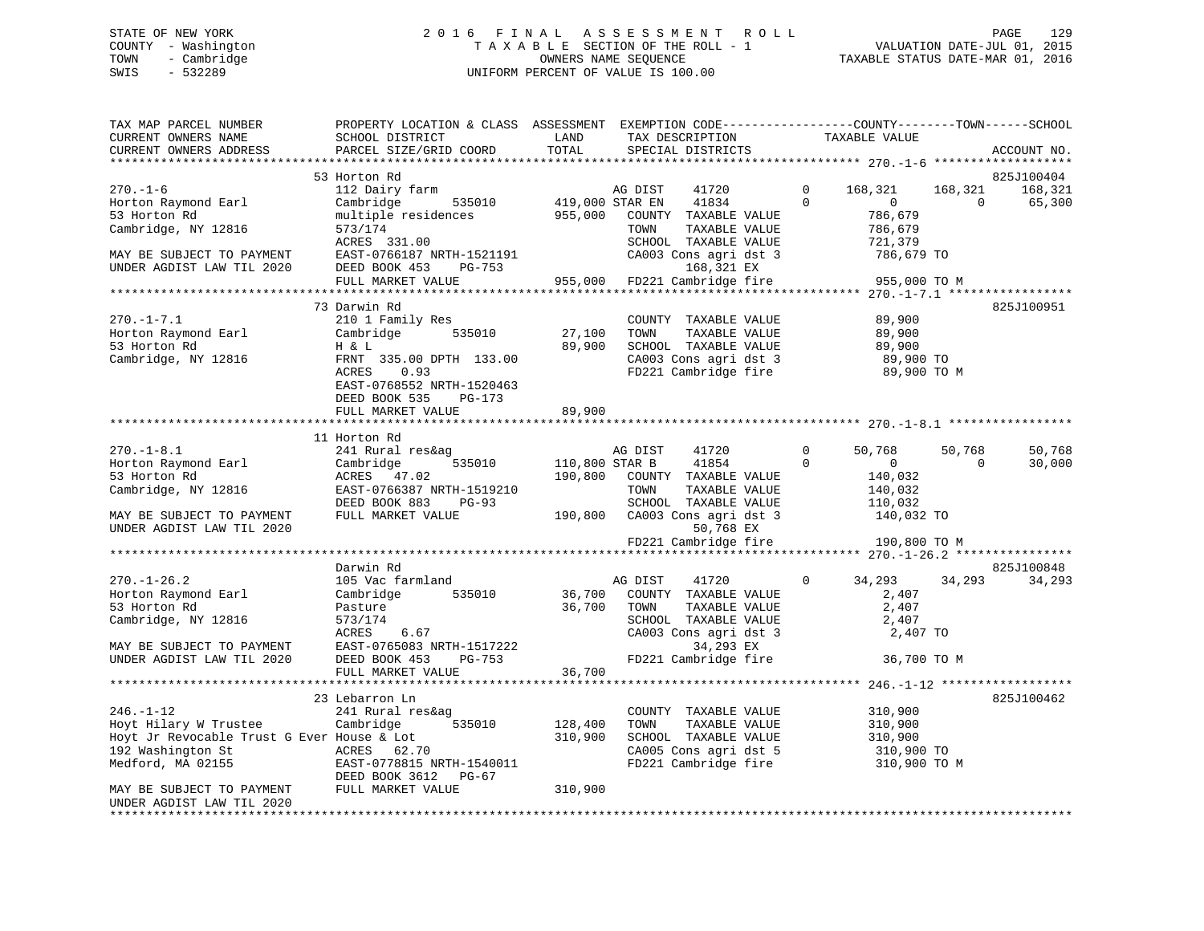## STATE OF NEW YORK 2 0 1 6 F I N A L A S S E S S M E N T R O L L PAGE 129 COUNTY - Washington T A X A B L E SECTION OF THE ROLL - 1 VALUATION DATE-JUL 01, 2015 TOWN - Cambridge OWNERS NAME SEQUENCE TAXABLE STATUS DATE-MAR 01, 2016 SWIS - 532289 UNIFORM PERCENT OF VALUE IS 100.00

| TAX MAP PARCEL NUMBER<br>CURRENT OWNERS NAME                                                                                              | PROPERTY LOCATION & CLASS ASSESSMENT<br>SCHOOL DISTRICT                                                                                                              | LAND               | EXEMPTION CODE-----------------COUNTY-------TOWN------SCHOOL<br>TAX DESCRIPTION                                                                         |                      | TAXABLE VALUE                                                |                     |                   |
|-------------------------------------------------------------------------------------------------------------------------------------------|----------------------------------------------------------------------------------------------------------------------------------------------------------------------|--------------------|---------------------------------------------------------------------------------------------------------------------------------------------------------|----------------------|--------------------------------------------------------------|---------------------|-------------------|
| CURRENT OWNERS ADDRESS<br>***********************                                                                                         | PARCEL SIZE/GRID COORD                                                                                                                                               | TOTAL              | SPECIAL DISTRICTS                                                                                                                                       |                      |                                                              |                     | ACCOUNT NO.       |
|                                                                                                                                           | 53 Horton Rd                                                                                                                                                         |                    |                                                                                                                                                         |                      |                                                              |                     | 825J100404        |
| $270. - 1 - 6$<br>Horton Raymond Earl<br>53 Horton Rd<br>Cambridge, NY 12816                                                              | 112 Dairy farm<br>Cambridge<br>535010<br>multiple residences<br>573/174<br>ACRES 331.00                                                                              | 955,000            | AG DIST<br>41720<br>419,000 STAR EN<br>41834<br>COUNTY TAXABLE VALUE<br>TOWN<br>TAXABLE VALUE<br>SCHOOL TAXABLE VALUE                                   | 0<br>$\Omega$        | 168,321<br>$\overline{0}$<br>786,679<br>786,679<br>721,379   | 168,321<br>$\Omega$ | 168,321<br>65,300 |
| MAY BE SUBJECT TO PAYMENT<br>UNDER AGDIST LAW TIL 2020                                                                                    | EAST-0766187 NRTH-1521191<br>DEED BOOK 453<br>PG-753                                                                                                                 |                    | CA003 Cons agri dst 3<br>168,321 EX                                                                                                                     |                      | 786,679 TO                                                   |                     |                   |
| **********************                                                                                                                    | FULL MARKET VALUE                                                                                                                                                    | 955,000            | FD221 Cambridge fire                                                                                                                                    |                      | 955,000 TO M                                                 |                     |                   |
|                                                                                                                                           |                                                                                                                                                                      |                    |                                                                                                                                                         |                      |                                                              |                     |                   |
| $270. - 1 - 7.1$<br>Horton Raymond Earl<br>53 Horton Rd<br>Cambridge, NY 12816                                                            | 73 Darwin Rd<br>210 1 Family Res<br>535010<br>Cambridge<br>H & L<br>FRNT 335.00 DPTH 133.00<br>0.93<br>ACRES<br>EAST-0768552 NRTH-1520463<br>DEED BOOK 535<br>PG-173 | 27,100<br>89,900   | COUNTY TAXABLE VALUE<br>TOWN<br>TAXABLE VALUE<br>SCHOOL TAXABLE VALUE<br>CA003 Cons agri dst 3<br>FD221 Cambridge fire                                  |                      | 89,900<br>89,900<br>89,900<br>89,900 TO<br>89,900 TO M       |                     | 825J100951        |
|                                                                                                                                           | FULL MARKET VALUE                                                                                                                                                    | 89,900             |                                                                                                                                                         |                      |                                                              |                     |                   |
|                                                                                                                                           |                                                                                                                                                                      |                    |                                                                                                                                                         |                      |                                                              |                     |                   |
| $270. - 1 - 8.1$<br>Horton Raymond Earl                                                                                                   | 11 Horton Rd<br>241 Rural res&ag<br>535010<br>Cambridge                                                                                                              | 110,800 STAR B     | AG DIST<br>41720<br>41854                                                                                                                               | $\Omega$<br>$\Omega$ | 50,768<br>$\overline{0}$                                     | 50,768<br>$\Omega$  | 50,768<br>30,000  |
| 53 Horton Rd<br>Cambridge, NY 12816                                                                                                       | ACRES 47.02<br>EAST-0766387 NRTH-1519210<br>DEED BOOK 883<br>PG-93                                                                                                   | 190,800            | COUNTY TAXABLE VALUE<br>TAXABLE VALUE<br>TOWN<br>SCHOOL TAXABLE VALUE                                                                                   |                      | 140,032<br>140,032<br>110,032                                |                     |                   |
| MAY BE SUBJECT TO PAYMENT<br>UNDER AGDIST LAW TIL 2020                                                                                    | FULL MARKET VALUE                                                                                                                                                    |                    | 190,800 CA003 Cons agri dst 3<br>50,768 EX<br>FD221 Cambridge fire                                                                                      |                      | 140,032 TO<br>190,800 TO M                                   |                     |                   |
|                                                                                                                                           |                                                                                                                                                                      |                    |                                                                                                                                                         |                      |                                                              |                     |                   |
|                                                                                                                                           | Darwin Rd                                                                                                                                                            |                    |                                                                                                                                                         |                      |                                                              |                     | 825J100848        |
| $270. - 1 - 26.2$<br>Horton Raymond Earl<br>53 Horton Rd<br>Cambridge, NY 12816<br>MAY BE SUBJECT TO PAYMENT<br>UNDER AGDIST LAW TIL 2020 | 105 Vac farmland<br>Cambridge<br>535010<br>Pasture<br>573/174<br>ACRES<br>6.67<br>EAST-0765083 NRTH-1517222<br>DEED BOOK 453<br>PG-753                               | 36,700<br>36,700   | AG DIST<br>41720<br>COUNTY TAXABLE VALUE<br>TAXABLE VALUE<br>TOWN<br>SCHOOL TAXABLE VALUE<br>CA003 Cons agri dst 3<br>34,293 EX<br>FD221 Cambridge fire | $\Omega$             | 34,293<br>2,407<br>2,407<br>2,407<br>2,407 TO<br>36,700 TO M | 34,293              | 34,293            |
|                                                                                                                                           | FULL MARKET VALUE                                                                                                                                                    | 36,700             |                                                                                                                                                         |                      |                                                              |                     |                   |
|                                                                                                                                           |                                                                                                                                                                      |                    |                                                                                                                                                         |                      |                                                              |                     |                   |
|                                                                                                                                           | 23 Lebarron Ln                                                                                                                                                       |                    |                                                                                                                                                         |                      |                                                              |                     | 825J100462        |
| $246. - 1 - 12$<br>Hoyt Hilary W Trustee<br>Hoyt Jr Revocable Trust G Ever House & Lot<br>192 Washington St<br>Medford, MA 02155          | 241 Rural res&ag<br>Cambridge<br>535010<br>62.70<br>ACRES<br>EAST-0778815 NRTH-1540011<br>DEED BOOK 3612 PG-67                                                       | 128,400<br>310,900 | COUNTY TAXABLE VALUE<br>TAXABLE VALUE<br>TOWN<br>SCHOOL TAXABLE VALUE<br>CA005 Cons agri dst 5<br>FD221 Cambridge fire                                  |                      | 310,900<br>310,900<br>310,900<br>310,900 TO<br>310,900 TO M  |                     |                   |
| MAY BE SUBJECT TO PAYMENT<br>UNDER AGDIST LAW TIL 2020                                                                                    | FULL MARKET VALUE                                                                                                                                                    | 310,900            |                                                                                                                                                         |                      |                                                              |                     |                   |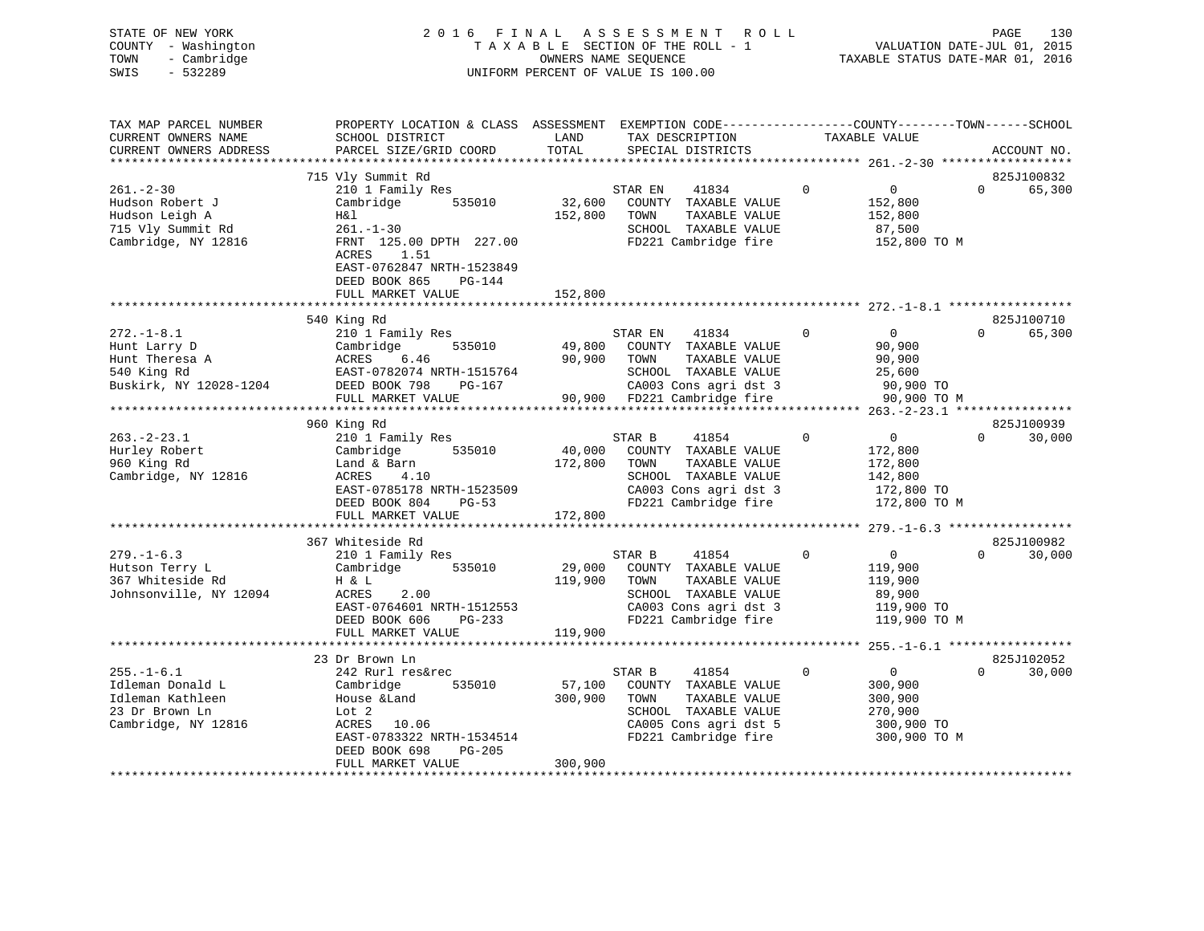| STATE OF NEW YORK<br>COUNTY<br>- Washington<br>- Cambridge<br>TOWN<br>SWIS<br>$-532289$         | 2 0 1 6                                                                                                                                                                                      | FINAL              | A S S E S S M E N T<br>R O L L<br>TAXABLE SECTION OF THE ROLL - 1<br>OWNERS NAME SEOUENCE<br>UNIFORM PERCENT OF VALUE IS 100.00                                      |                | VALUATION DATE-JUL 01, 2015<br>TAXABLE STATUS DATE-MAR 01, 2016 | PAGE     | 130                  |
|-------------------------------------------------------------------------------------------------|----------------------------------------------------------------------------------------------------------------------------------------------------------------------------------------------|--------------------|----------------------------------------------------------------------------------------------------------------------------------------------------------------------|----------------|-----------------------------------------------------------------|----------|----------------------|
| TAX MAP PARCEL NUMBER<br>CURRENT OWNERS NAME<br>CURRENT OWNERS ADDRESS                          | PROPERTY LOCATION & CLASS ASSESSMENT EXEMPTION CODE----------------COUNTY-------TOWN------SCHOOL<br>SCHOOL DISTRICT<br>PARCEL SIZE/GRID COORD                                                | LAND<br>TOTAL      | TAX DESCRIPTION<br>SPECIAL DISTRICTS                                                                                                                                 |                | TAXABLE VALUE                                                   |          | ACCOUNT NO.          |
|                                                                                                 | 715 Vly Summit Rd                                                                                                                                                                            |                    |                                                                                                                                                                      |                |                                                                 |          | 825J100832           |
| $261 - 2 - 30$<br>Hudson Robert J<br>Hudson Leigh A<br>715 Vly Summit Rd<br>Cambridge, NY 12816 | 210 1 Family Res<br>Cambridge<br>535010<br>H&l<br>$261. - 1 - 30$<br>FRNT 125.00 DPTH 227.00<br>1.51<br>ACRES<br>EAST-0762847 NRTH-1523849<br>DEED BOOK 865<br>$PG-144$<br>FULL MARKET VALUE | 152,800<br>152,800 | STAR EN<br>41834<br>32,600 COUNTY TAXABLE VALUE<br>TAXABLE VALUE<br>TOWN<br>SCHOOL TAXABLE VALUE<br>FD221 Cambridge fire                                             | $\Omega$       | $\overline{0}$<br>152,800<br>152,800<br>87,500<br>152,800 TO M  | $\Omega$ | 65,300               |
|                                                                                                 |                                                                                                                                                                                              |                    |                                                                                                                                                                      |                |                                                                 |          |                      |
| $272. - 1 - 8.1$<br>Hunt Larry D<br>Hunt Theresa A<br>540 King Rd<br>Buskirk, NY 12028-1204     | 540 King Rd<br>210 1 Family Res<br>535010<br>Cambridge<br>ACRES<br>6.46<br>EAST-0782074 NRTH-1515764<br>PG-167<br>DEED BOOK 798<br>FULL MARKET VALUE                                         | 90,900             | 41834<br>STAR EN<br>49,800 COUNTY TAXABLE VALUE<br>TOWN<br>TAXABLE VALUE<br>SCHOOL TAXABLE VALUE<br>CA003 Cons agri dst 3<br>90,900 FD221 Cambridge fire 90,900 TO M | $\overline{0}$ | $0 \qquad \qquad$<br>90,900<br>90,900<br>25,600<br>$90,900$ TO  | $\Omega$ | 825J100710<br>65,300 |
|                                                                                                 | 960 King Rd                                                                                                                                                                                  |                    |                                                                                                                                                                      |                |                                                                 |          | 825J100939           |
| $263 - 2 - 23.1$<br>Hurley Robert<br>960 King Rd<br>Cambridge, NY 12816                         | 210 1 Family Res<br>535010<br>Cambridge<br>Land & Barn<br>ACRES<br>4.10                                                                                                                      | 172,800            | STAR B<br>41854<br>40,000 COUNTY TAXABLE VALUE<br>TAXABLE VALUE<br>TOWN<br>SCHOOL<br>TAXABLE VALUE                                                                   | $\mathbf 0$    | $0 \qquad \qquad$<br>172,800<br>172,800<br>142,800              | $\Omega$ | 30,000               |

| Cambridge, NY 12816    | 4.10<br>ACRES             | SCHOOL TAXABLE VALUE                                  |          | 142,800           |                    |
|------------------------|---------------------------|-------------------------------------------------------|----------|-------------------|--------------------|
|                        | EAST-0785178 NRTH-1523509 | CA003 Cons agri dst 3 172,800 TO                      |          |                   |                    |
|                        | DEED BOOK 804<br>$PG-53$  | FD221 Cambridge fire                     172,800 TO M |          |                   |                    |
|                        | FULL MARKET VALUE 172,800 |                                                       |          |                   |                    |
|                        |                           |                                                       |          |                   |                    |
|                        | 367 Whiteside Rd          |                                                       |          |                   | 825J100982         |
| $279. - 1 - 6.3$       | 210 1 Family Res          | STAR B 41854                                          | 0        | $0 \qquad \qquad$ | $\Omega$<br>30,000 |
| Hutson Terry L         | Cambridge 535010 29,000   | COUNTY TAXABLE VALUE                                  |          | 119,900           |                    |
| 367 Whiteside Rd       | H & L                     | 119,900<br>TAXABLE VALUE<br>TOWN                      |          | 119,900           |                    |
| Johnsonville, NY 12094 | ACRES 2.00                | SCHOOL TAXABLE VALUE                                  |          | 89,900            |                    |
|                        | EAST-0764601 NRTH-1512553 | CA003 Cons agri dst 3 119,900 TO                      |          |                   |                    |
|                        | DEED BOOK 606 PG-233      | FD221 Cambridge fire                                  |          | 119,900 TO M      |                    |
|                        | FULL MARKET VALUE         | 119,900                                               |          |                   |                    |
|                        |                           |                                                       |          |                   |                    |
|                        | 23 Dr Brown Ln            |                                                       |          |                   | 825J102052         |
| $255. - 1 - 6.1$       | 242 Rurl res&rec          | STAR B 41854                                          | $\Omega$ | $\Omega$          | $\Omega$<br>30,000 |
| Idleman Donald L       | Cambridge                 | 535010 57,100 COUNTY TAXABLE VALUE                    |          | 300,900           |                    |
| Idleman Kathleen       | House &Land               | 300,900<br>TAXABLE VALUE<br>TOWN                      |          | 300,900           |                    |
| 23 Dr Brown Ln         | Lot 2                     | SCHOOL<br>TAXABLE VALUE                               |          | 270,900           |                    |
| Cambridge, NY 12816    | ACRES 10.06               | CA005 Cons agri dst 5 300,900 TO                      |          |                   |                    |
|                        | EAST-0783322 NRTH-1534514 | FD221 Cambridge fire                                  |          | 300,900 TO M      |                    |
|                        | DEED BOOK 698<br>PG-205   |                                                       |          |                   |                    |
|                        | FULL MARKET VALUE         | 300,900                                               |          |                   |                    |
|                        |                           |                                                       |          |                   |                    |
|                        |                           |                                                       |          |                   |                    |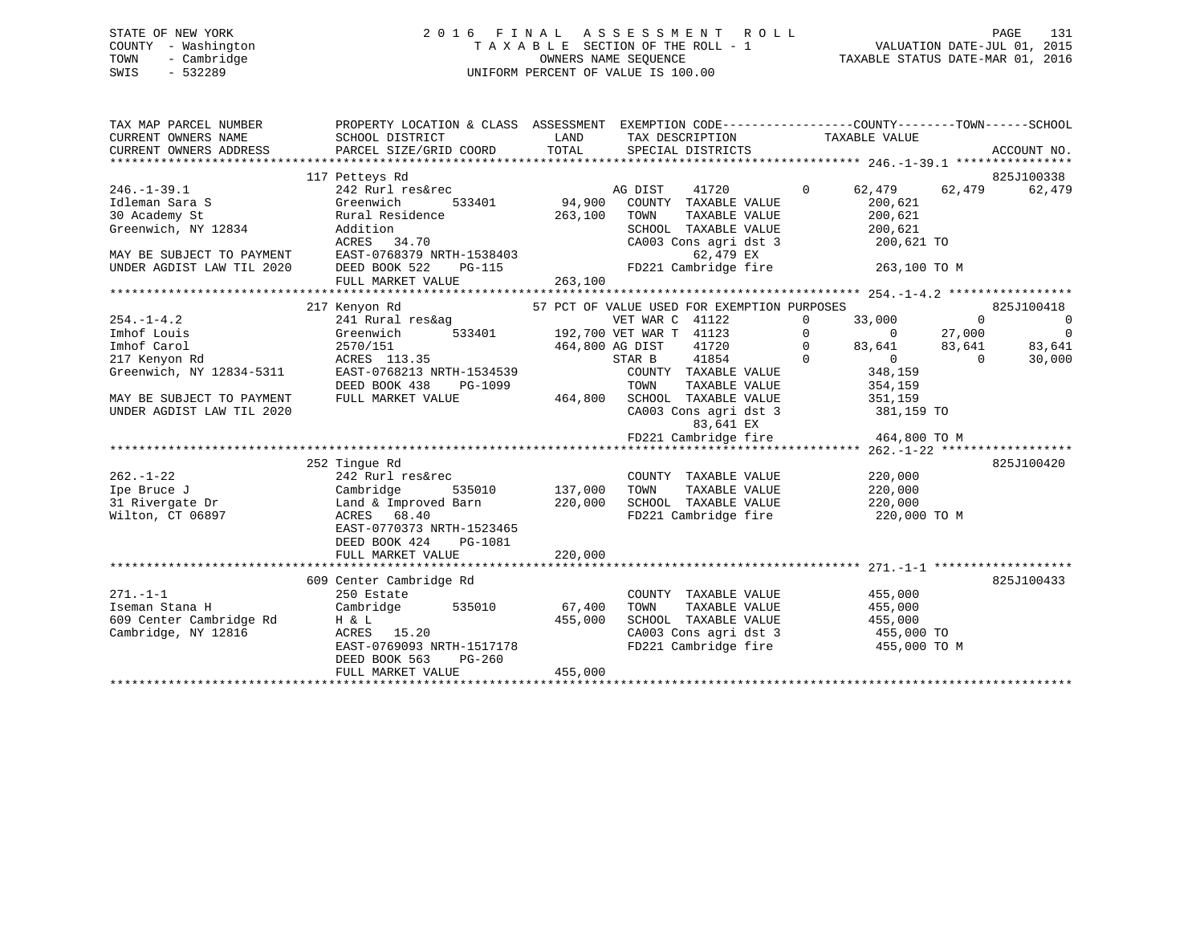STATE OF NEW YORK 2 0 1 6 F I N A L A S S E S S M E N T R O L L PAGE 131 COUNTY - Washington T A X A B L E SECTION OF THE ROLL - 1 VALUATION DATE-JUL 01, 2015 TOWN - Cambridge **OWNERS NAME SEQUENCE TAXABLE STATUS DATE-MAR 01, 2016** SWIS - 532289 UNIFORM PERCENT OF VALUE IS 100.00TAX MAP PARCEL NUMBER PROPERTY LOCATION & CLASS ASSESSMENT EXEMPTION CODE------------------COUNTY--------TOWN------SCHOOL CURRENT OWNERS NAME SCHOOL DISTRICT THE LAND TAX DESCRIPTION TAXABLE VALUE CURRENT OWNERS ADDRESS PARCEL SIZE/GRID COORD TOTAL SPECIAL DISTRICTS ACCOUNT NO. \*\*\*\*\*\*\*\*\*\*\*\*\*\*\*\*\*\*\*\*\*\*\*\*\*\*\*\*\*\*\*\*\*\*\*\*\*\*\*\*\*\*\*\*\*\*\*\*\*\*\*\*\*\*\*\*\*\*\*\*\*\*\*\*\*\*\*\*\*\*\*\*\*\*\*\*\*\*\*\*\*\*\*\*\*\*\*\*\*\*\*\*\*\*\*\*\*\*\*\*\*\*\* 246.-1-39.1 \*\*\*\*\*\*\*\*\*\*\*\*\*\*\*\* 117 Petteys Rd 825J100338 246.-1-39.1 242 Rurl res&rec AG DIST 41720 0 62,479 62,479 62,479 Idleman Sara S Greenwich 533401 94,900 COUNTY TAXABLE VALUE 200,621 30 Academy St Rural Residence 263,100 TOWN TAXABLE VALUE 200,621 Greenwich, NY 12834 Addition SCHOOL TAXABLE VALUE 200,621 ACRES 34.70<br>ACRES 34.70 CA003 Cons agri dst 3 200,621 TO<br>MAY BE SUBJECT TO PAYMENT EAST-0768379 NRTH-1538403 MAY BE SUBJECT TO PAYMENT EAST-0768379 NRTH-1538403 62,479 EX UNDER AGDIST LAW TIL 2020 DEED BOOK 522 PG-115 FD221 Cambridge fire 263,100 TO M FULL MARKET VALUE 263,100 \*\*\*\*\*\*\*\*\*\*\*\*\*\*\*\*\*\*\*\*\*\*\*\*\*\*\*\*\*\*\*\*\*\*\*\*\*\*\*\*\*\*\*\*\*\*\*\*\*\*\*\*\*\*\*\*\*\*\*\*\*\*\*\*\*\*\*\*\*\*\*\*\*\*\*\*\*\*\*\*\*\*\*\*\*\*\*\*\*\*\*\*\*\*\*\*\*\*\*\*\*\*\* 254.-1-4.2 \*\*\*\*\*\*\*\*\*\*\*\*\*\*\*\*\* 217 Kenyon Rd 57 PCT OF VALUE USED FOR EXEMPTION PURPOSES 825J100418 254.-1-4.2 241 Rural res&ag VET WAR C 41122 0 33,000 0 0 Imhof Louis Greenwich 533401 192,700 VET WAR T 41123 0 0 27,000 0 Imhof Carol 2570/151 464,800 AG DIST 41720 0 83,641 83,641 83,641 217 Kenyon Rd ACRES 113.35 STAR B 41854 0 0 0 30,000 Greenwich, NY 12834-5311 EAST-0768213 NRTH-1534539 COUNTY TAXABLE VALUE 348,159 DEED BOOK 438 PG-1099 TOWN TAXABLE VALUE 354,159 MAY BE SUBJECT TO PAYMENT FULL MARKET VALUE 464,800 SCHOOL TAXABLE VALUE 351,159 UNDER AGDIST LAW TIL 2020 CA003 Cons agri dst 3 381,159 TO 83,641 EX FD221 Cambridge fire 464,800 TO M \*\*\*\*\*\*\*\*\*\*\*\*\*\*\*\*\*\*\*\*\*\*\*\*\*\*\*\*\*\*\*\*\*\*\*\*\*\*\*\*\*\*\*\*\*\*\*\*\*\*\*\*\*\*\*\*\*\*\*\*\*\*\*\*\*\*\*\*\*\*\*\*\*\*\*\*\*\*\*\*\*\*\*\*\*\*\*\*\*\*\*\*\*\*\*\*\*\*\*\*\*\*\* 262.-1-22 \*\*\*\*\*\*\*\*\*\*\*\*\*\*\*\*\*\*

|                         |                           |                   |                       | 404. <del>1</del> 44 |            |
|-------------------------|---------------------------|-------------------|-----------------------|----------------------|------------|
|                         | 252 Tingue Rd             |                   |                       |                      | 825J100420 |
| $262. - 1 - 22$         | 242 Rurl res&rec          | COUNTY            | TAXABLE VALUE         | 220,000              |            |
| Ipe Bruce J             | Cambridge<br>535010       | 137,000<br>TOWN   | TAXABLE VALUE         | 220,000              |            |
| 31 Rivergate Dr         | Land & Improved Barn      | 220,000<br>SCHOOL | TAXABLE VALUE         | 220,000              |            |
| Wilton, CT 06897        | ACRES 68.40               |                   | FD221 Cambridge fire  | 220,000 TO M         |            |
|                         | EAST-0770373 NRTH-1523465 |                   |                       |                      |            |
|                         | DEED BOOK 424 PG-1081     |                   |                       |                      |            |
|                         | FULL MARKET VALUE         | 220,000           |                       |                      |            |
|                         |                           |                   |                       |                      |            |
|                         | 609 Center Cambridge Rd   |                   |                       |                      | 825J100433 |
| $271. - 1 - 1$          | 250 Estate                | COUNTY            | TAXABLE VALUE         | 455,000              |            |
| Iseman Stana H          | Cambridge<br>535010       | 67,400<br>TOWN    | TAXABLE VALUE         | 455,000              |            |
| 609 Center Cambridge Rd | H & L                     | 455,000<br>SCHOOL | TAXABLE VALUE         | 455,000              |            |
| Cambridge, NY 12816     | ACRES 15.20               |                   | CA003 Cons agri dst 3 | 455,000 TO           |            |
|                         | EAST-0769093 NRTH-1517178 |                   | FD221 Cambridge fire  | 455,000 TO M         |            |
|                         | DEED BOOK 563<br>PG-260   |                   |                       |                      |            |
|                         | FULL MARKET VALUE         | 455,000           |                       |                      |            |
|                         |                           |                   |                       |                      |            |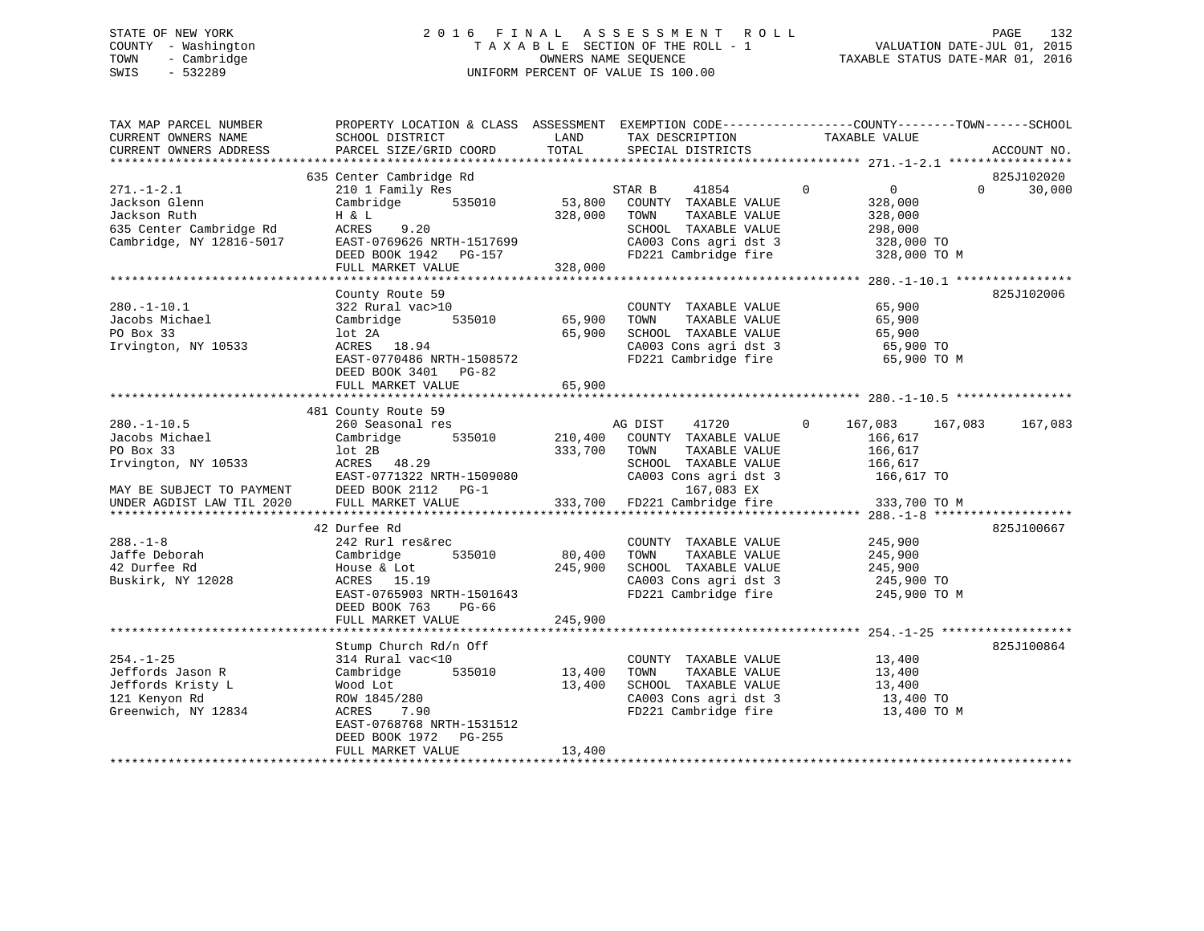## STATE OF NEW YORK 2 0 1 6 F I N A L A S S E S S M E N T R O L L PAGE 132 COUNTY - Washington T A X A B L E SECTION OF THE ROLL - 1 VALUATION DATE-JUL 01, 2015 TOWN - Cambridge OWNERS NAME SEQUENCE TAXABLE STATUS DATE-MAR 01, 2016 SWIS - 532289 UNIFORM PERCENT OF VALUE IS 100.00

| TAX MAP PARCEL NUMBER<br>CURRENT OWNERS NAME<br>CURRENT OWNERS ADDRESS | SCHOOL DISTRICT<br>PARCEL SIZE/GRID COORD     | LAND<br>TOTAL | TAX DESCRIPTION<br>SPECIAL DISTRICTS          | PROPERTY LOCATION & CLASS ASSESSMENT EXEMPTION CODE----------------COUNTY-------TOWN-----SCHOOL<br>TAXABLE VALUE | ACCOUNT NO. |
|------------------------------------------------------------------------|-----------------------------------------------|---------------|-----------------------------------------------|------------------------------------------------------------------------------------------------------------------|-------------|
|                                                                        |                                               |               |                                               |                                                                                                                  |             |
|                                                                        | 635 Center Cambridge Rd                       |               |                                               |                                                                                                                  | 825J102020  |
| $271. - 1 - 2.1$<br>Jackson Glenn                                      | 210 1 Family Res<br>535010                    | 53,800        | 41854<br>STAR B                               | $\mathbf 0$<br>$\overline{0}$<br>$\Omega$                                                                        | 30,000      |
| Jackson Ruth                                                           | Cambridge<br>H & L                            | 328,000       | COUNTY TAXABLE VALUE<br>TOWN<br>TAXABLE VALUE | 328,000<br>328,000                                                                                               |             |
| 635 Center Cambridge Rd                                                | ACRES<br>9.20                                 |               | SCHOOL TAXABLE VALUE                          | 298,000                                                                                                          |             |
| Cambridge, NY 12816-5017                                               | EAST-0769626 NRTH-1517699                     |               | CA003 Cons agri dst 3                         | 328,000 TO                                                                                                       |             |
|                                                                        | DEED BOOK 1942 PG-157                         |               | FD221 Cambridge fire                          | 328,000 TO M                                                                                                     |             |
|                                                                        | FULL MARKET VALUE                             | 328,000       |                                               |                                                                                                                  |             |
|                                                                        |                                               |               |                                               |                                                                                                                  |             |
|                                                                        | County Route 59                               |               |                                               |                                                                                                                  | 825J102006  |
| $280. - 1 - 10.1$                                                      | 322 Rural vac>10                              |               | COUNTY TAXABLE VALUE                          | 65,900                                                                                                           |             |
| Jacobs Michael                                                         | Cambridge<br>535010                           | 65,900        | TAXABLE VALUE<br>TOWN                         | 65,900                                                                                                           |             |
| PO Box 33                                                              | lot 2A                                        | 65,900        | SCHOOL TAXABLE VALUE                          | 65,900                                                                                                           |             |
| Irvington, NY 10533                                                    | ACRES 18.94                                   |               | CA003 Cons agri dst 3                         | 65,900 TO                                                                                                        |             |
|                                                                        | EAST-0770486 NRTH-1508572                     |               | FD221 Cambridge fire                          | 65,900 TO M                                                                                                      |             |
|                                                                        | DEED BOOK 3401 PG-82                          | 65,900        |                                               |                                                                                                                  |             |
|                                                                        | FULL MARKET VALUE                             |               |                                               |                                                                                                                  |             |
|                                                                        | 481 County Route 59                           |               |                                               |                                                                                                                  |             |
| $280. - 1 - 10.5$                                                      | 260 Seasonal res                              |               | AG DIST<br>41720                              | $\Omega$<br>167,083<br>167,083                                                                                   | 167,083     |
| Jacobs Michael                                                         | 535010<br>Cambridge                           | 210,400       | COUNTY TAXABLE VALUE                          | 166,617                                                                                                          |             |
| PO Box 33                                                              | lot 2B                                        | 333,700       | TAXABLE VALUE<br>TOWN                         | 166,617                                                                                                          |             |
| Irvington, NY 10533                                                    | ACRES 48.29                                   |               | SCHOOL TAXABLE VALUE                          | 166,617                                                                                                          |             |
|                                                                        | EAST-0771322 NRTH-1509080                     |               | CA003 Cons agri dst 3                         | 166,617 TO                                                                                                       |             |
| MAY BE SUBJECT TO PAYMENT                                              | DEED BOOK 2112 PG-1                           |               | 167,083 EX                                    |                                                                                                                  |             |
| UNDER AGDIST LAW TIL 2020                                              | FULL MARKET VALUE                             | 333,700       | FD221 Cambridge fire                          | 333,700 TO M                                                                                                     |             |
|                                                                        |                                               |               |                                               |                                                                                                                  |             |
| $288. - 1 - 8$                                                         | 42 Durfee Rd<br>242 Rurl res&rec              |               | COUNTY TAXABLE VALUE                          | 245,900                                                                                                          | 825J100667  |
| Jaffe Deborah                                                          | 535010<br>Cambridge                           | 80,400        | TAXABLE VALUE<br>TOWN                         | 245,900                                                                                                          |             |
| 42 Durfee Rd                                                           | House & Lot                                   | 245,900       | SCHOOL TAXABLE VALUE                          | 245,900                                                                                                          |             |
| Buskirk, NY 12028                                                      | ACRES 15.19                                   |               | CA003 Cons agri dst 3                         | 245,900 TO                                                                                                       |             |
|                                                                        | EAST-0765903 NRTH-1501643                     |               | FD221 Cambridge fire                          | 245,900 TO M                                                                                                     |             |
|                                                                        | DEED BOOK 763<br>$PG-66$                      |               |                                               |                                                                                                                  |             |
|                                                                        | FULL MARKET VALUE                             | 245,900       |                                               |                                                                                                                  |             |
|                                                                        |                                               |               |                                               |                                                                                                                  |             |
|                                                                        | Stump Church Rd/n Off                         |               |                                               |                                                                                                                  | 825J100864  |
| $254. - 1 - 25$                                                        | 314 Rural vac<10                              |               | COUNTY TAXABLE VALUE                          | 13,400                                                                                                           |             |
| Jeffords Jason R                                                       | Cambridge<br>535010                           | 13,400        | TAXABLE VALUE<br>TOWN                         | 13,400                                                                                                           |             |
| Jeffords Kristy L                                                      | Wood Lot                                      | 13,400        | SCHOOL TAXABLE VALUE                          | 13,400                                                                                                           |             |
| 121 Kenyon Rd                                                          | ROW 1845/280                                  |               | CA003 Cons agri dst 3                         | 13,400 TO                                                                                                        |             |
| Greenwich, NY 12834                                                    | 7.90<br>ACRES                                 |               | FD221 Cambridge fire                          | 13,400 TO M                                                                                                      |             |
|                                                                        | EAST-0768768 NRTH-1531512                     |               |                                               |                                                                                                                  |             |
|                                                                        | DEED BOOK 1972<br>PG-255<br>FULL MARKET VALUE | 13,400        |                                               |                                                                                                                  |             |
|                                                                        |                                               |               |                                               |                                                                                                                  |             |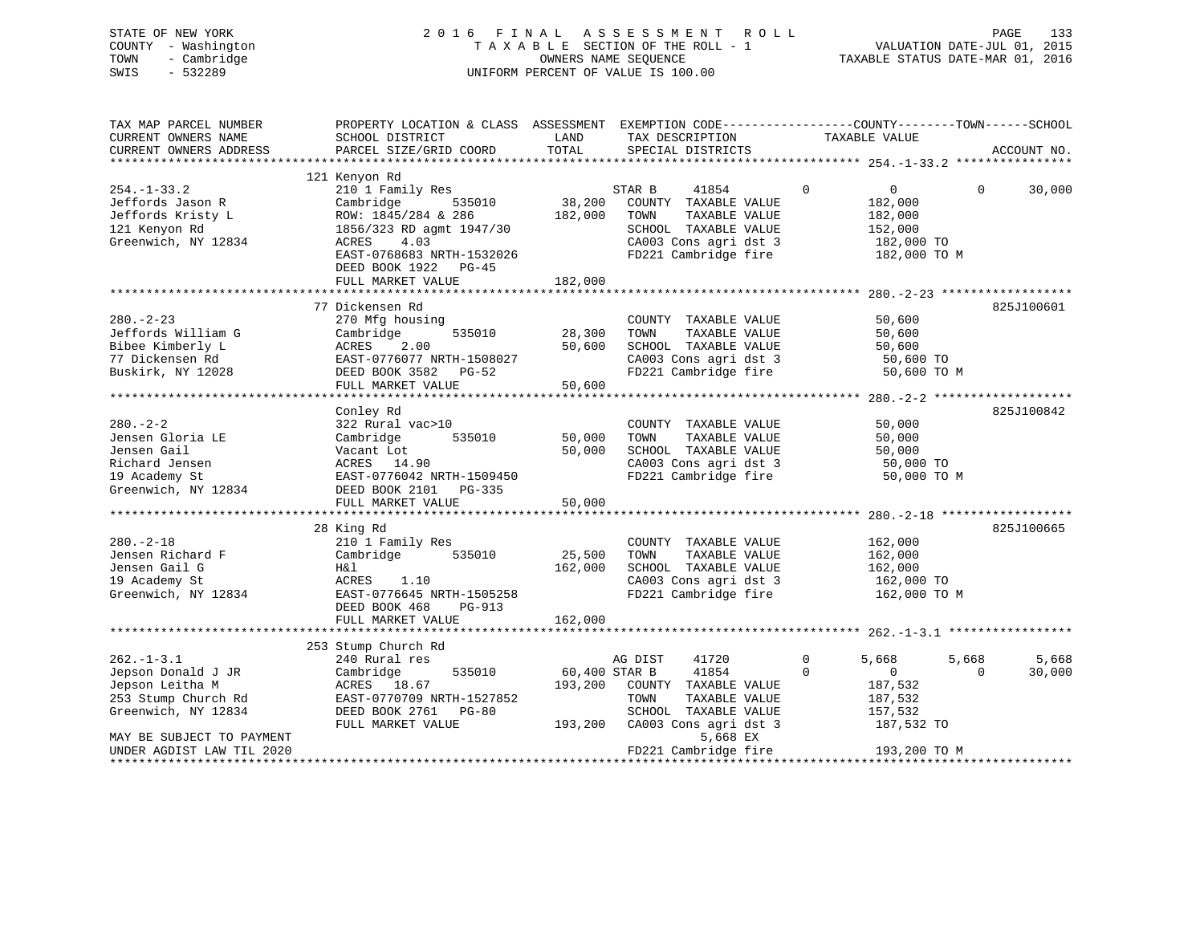| STATE OF NEW YORK      |                                                                                                  |               | 2016 FINAL ASSESSMENT ROLL         |             |                                  |          | PAGE        | 133    |
|------------------------|--------------------------------------------------------------------------------------------------|---------------|------------------------------------|-------------|----------------------------------|----------|-------------|--------|
| COUNTY - Washington    |                                                                                                  |               | TAXABLE SECTION OF THE ROLL - 1    |             | VALUATION DATE-JUL 01, 2015      |          |             |        |
| - Cambridge<br>TOWN    |                                                                                                  |               | OWNERS NAME SEQUENCE               |             | TAXABLE STATUS DATE-MAR 01, 2016 |          |             |        |
| SWIS<br>$-532289$      |                                                                                                  |               | UNIFORM PERCENT OF VALUE IS 100.00 |             |                                  |          |             |        |
|                        |                                                                                                  |               |                                    |             |                                  |          |             |        |
|                        |                                                                                                  |               |                                    |             |                                  |          |             |        |
| TAX MAP PARCEL NUMBER  | PROPERTY LOCATION & CLASS ASSESSMENT EXEMPTION CODE----------------COUNTY-------TOWN------SCHOOL |               |                                    |             |                                  |          |             |        |
| CURRENT OWNERS NAME    | SCHOOL DISTRICT                                                                                  | LAND          | TAX DESCRIPTION                    |             |                                  |          |             |        |
| CURRENT OWNERS ADDRESS | PARCEL SIZE/GRID COORD                                                                           | TOTAL         | SPECIAL DISTRICTS                  |             | TAXABLE VALUE                    |          | ACCOUNT NO. |        |
|                        |                                                                                                  |               |                                    |             |                                  |          |             |        |
|                        | 121 Kenyon Rd                                                                                    |               |                                    |             |                                  |          |             |        |
| $254. - 1 - 33.2$      | 210 1 Family Res                                                                                 |               | STAR B<br>41854                    | $\mathbf 0$ | $0 \qquad \qquad$                | $\Omega$ |             | 30,000 |
| Jeffords Jason R       | Cambridge<br>535010                                                                              | 38,200        | COUNTY TAXABLE VALUE               |             | 182,000                          |          |             |        |
| Jeffords Kristy L      | ROW: 1845/284 & 286                                                                              | 182,000       | TOWN<br>TAXABLE VALUE              |             | 182,000                          |          |             |        |
| 121 Kenyon Rd          | 1856/323 RD agmt 1947/30                                                                         |               | SCHOOL TAXABLE VALUE               |             | 152,000                          |          |             |        |
| Greenwich, NY 12834    | ACRES<br>4.03                                                                                    |               | CA003 Cons agri dst 3              |             | 182,000 TO                       |          |             |        |
|                        | EAST-0768683 NRTH-1532026                                                                        |               | FD221 Cambridge fire               |             | 182,000 TO M                     |          |             |        |
|                        | DEED BOOK 1922 PG-45                                                                             |               |                                    |             |                                  |          |             |        |
|                        | FULL MARKET VALUE                                                                                | 182,000       |                                    |             |                                  |          |             |        |
|                        |                                                                                                  |               |                                    |             |                                  |          |             |        |
|                        | 77 Dickensen Rd                                                                                  |               |                                    |             |                                  |          | 825J100601  |        |
| $280 - 2 - 23$         | 270 Mfg housing                                                                                  |               | COUNTY TAXABLE VALUE               |             | 50,600                           |          |             |        |
| Jeffords William G     | 535010<br>Cambridge                                                                              | 28,300        | TAXABLE VALUE<br>TOWN              |             | 50,600                           |          |             |        |
| Bibee Kimberly L       | ACRES 2.00                                                                                       | 50,600        | SCHOOL TAXABLE VALUE               |             | 50,600                           |          |             |        |
| 77 Dickensen Rd        | EAST-0776077 NRTH-1508027                                                                        |               | CA003 Cons agri dst 3              |             | 50,600 TO                        |          |             |        |
| Buskirk, NY 12028      | DEED BOOK 3582 PG-52                                                                             |               | FD221 Cambridge fire               |             | 50,600 TO M                      |          |             |        |
|                        | FULL MARKET VALUE                                                                                | 50,600        |                                    |             |                                  |          |             |        |
|                        |                                                                                                  |               |                                    |             |                                  |          |             |        |
|                        | Conley Rd                                                                                        |               |                                    |             |                                  |          | 825J100842  |        |
| $280 - 2 - 2$          | 322 Rural vac>10                                                                                 |               | COUNTY TAXABLE VALUE               |             | 50,000                           |          |             |        |
| Jensen Gloria LE       | Cambridge<br>535010                                                                              | 50,000        | TAXABLE VALUE<br>TOWN              |             | 50,000                           |          |             |        |
| Jensen Gail            | Vacant Lot                                                                                       | 50,000        | SCHOOL TAXABLE VALUE               |             | 50,000                           |          |             |        |
| Richard Jensen         | ACRES 14.90                                                                                      |               | CA003 Cons agri dst 3              |             | 50,000 TO                        |          |             |        |
| 19 Academy St          | EAST-0776042 NRTH-1509450                                                                        |               | FD221 Cambridge fire               |             | 50,000 TO M                      |          |             |        |
| Greenwich, NY 12834    | DEED BOOK 2101 PG-335                                                                            |               |                                    |             |                                  |          |             |        |
|                        | FULL MARKET VALUE                                                                                | 50,000        |                                    |             |                                  |          |             |        |
|                        |                                                                                                  |               |                                    |             |                                  |          |             |        |
|                        | 28 King Rd                                                                                       |               |                                    |             |                                  |          | 825J100665  |        |
| $280. - 2 - 18$        | 210 1 Family Res                                                                                 |               | COUNTY TAXABLE VALUE               |             | 162,000                          |          |             |        |
| Jensen Richard F       | 535010<br>Cambridge                                                                              | 25,500        | TAXABLE VALUE<br>TOWN              |             | 162,000                          |          |             |        |
| Jensen Gail G          | H&l                                                                                              | 162,000       | SCHOOL TAXABLE VALUE               |             | 162,000                          |          |             |        |
| 19 Academy St          | ACRES<br>1.10                                                                                    |               | CA003 Cons agri dst 3              |             | 162,000 TO                       |          |             |        |
| Greenwich, NY 12834    | EAST-0776645 NRTH-1505258                                                                        |               | FD221 Cambridge fire               |             | 162,000 TO M                     |          |             |        |
|                        | DEED BOOK 468<br>PG-913                                                                          |               |                                    |             |                                  |          |             |        |
|                        | FULL MARKET VALUE                                                                                | 162,000       |                                    |             |                                  |          |             |        |
|                        |                                                                                                  |               |                                    |             |                                  |          |             |        |
|                        | 253 Stump Church Rd                                                                              |               |                                    |             |                                  |          |             |        |
| $262 - 1 - 3.1$        | 240 Rural res                                                                                    |               | 41720<br>AG DIST                   | $\mathbf 0$ | 5,668                            | 5,668    |             | 5,668  |
| Jenson Donald J.TR     | 535010<br>Cambridge                                                                              | 60 400 STAR R | 41854                              | $\cap$      | $\overline{a}$                   | $\cap$   |             | 30 000 |

Jepson Donald J JR Cambridge 535010 60,400 STAR B 41854 0 0 0 30,000 Jepson Leitha M ACRES 18.67 193,200 COUNTY TAXABLE VALUE 187,532 253 Stump Church Rd EAST-0770709 NRTH-1527852 TOWN TAXABLE VALUE 187,532 DEED BOOK 2761 PG-80 FULL MARKET VALUE 193,200 CA003 Cons agri dst 3 187,532 TO<br>5,668 EX MAY BE SUBJECT TO PAYMENT UNDER AGDIST LAW TIL 2020 **FD221 Cambridge fire** 193,200 TO M \*\*\*\*\*\*\*\*\*\*\*\*\*\*\*\*\*\*\*\*\*\*\*\*\*\*\*\*\*\*\*\*\*\*\*\*\*\*\*\*\*\*\*\*\*\*\*\*\*\*\*\*\*\*\*\*\*\*\*\*\*\*\*\*\*\*\*\*\*\*\*\*\*\*\*\*\*\*\*\*\*\*\*\*\*\*\*\*\*\*\*\*\*\*\*\*\*\*\*\*\*\*\*\*\*\*\*\*\*\*\*\*\*\*\*\*\*\*\*\*\*\*\*\*\*\*\*\*\*\*\*\*

133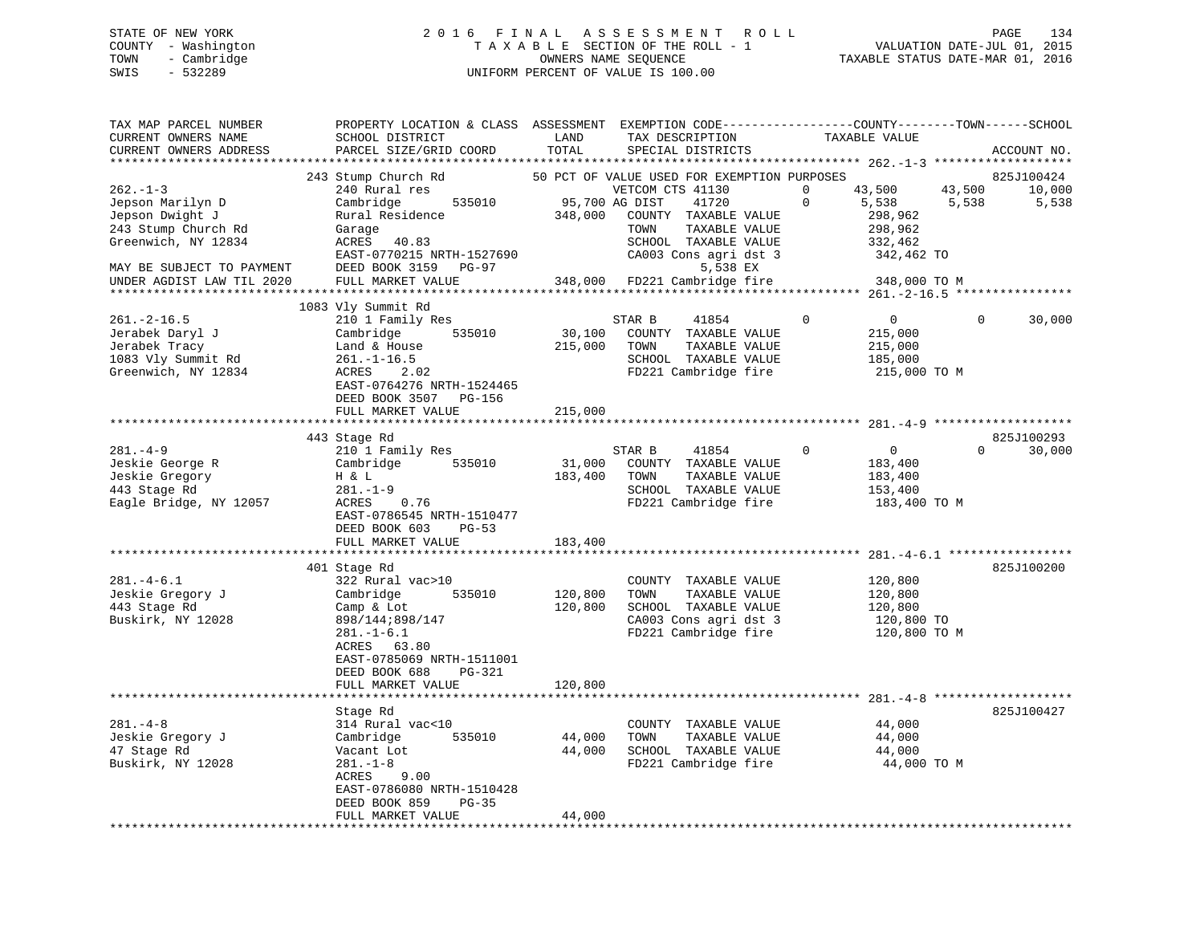## STATE OF NEW YORK 2 0 1 6 F I N A L A S S E S S M E N T R O L L PAGE 134 COUNTY - Washington T A X A B L E SECTION OF THE ROLL - 1 VALUATION DATE-JUL 01, 2015 TOWN - Cambridge OWNERS NAME SEQUENCE TAXABLE STATUS DATE-MAR 01, 2016 SWIS - 532289 UNIFORM PERCENT OF VALUE IS 100.00

| TAX MAP PARCEL NUMBER<br>CURRENT OWNERS NAME<br>CURRENT OWNERS ADDRESS                                                          | PROPERTY LOCATION & CLASS ASSESSMENT EXEMPTION CODE----------------COUNTY-------TOWN------SCHOOL<br>SCHOOL DISTRICT<br>PARCEL SIZE/GRID COORD                                                            | LAND<br>TOTAL             | TAX DESCRIPTION<br>SPECIAL DISTRICTS                                                                                                                                                   | TAXABLE VALUE                                                                                | ACCOUNT NO.                                      |
|---------------------------------------------------------------------------------------------------------------------------------|----------------------------------------------------------------------------------------------------------------------------------------------------------------------------------------------------------|---------------------------|----------------------------------------------------------------------------------------------------------------------------------------------------------------------------------------|----------------------------------------------------------------------------------------------|--------------------------------------------------|
|                                                                                                                                 |                                                                                                                                                                                                          |                           |                                                                                                                                                                                        |                                                                                              |                                                  |
| $262 - 1 - 3$<br>Jepson Marilyn D<br>Jepson Dwight J<br>243 Stump Church Rd<br>Greenwich, NY 12834<br>MAY BE SUBJECT TO PAYMENT | 243 Stump Church Rd<br>240 Rural res<br>535010<br>Cambridge<br>Rural Residence<br>Garage<br>ACRES 40.83<br>EAST-0770215 NRTH-1527690<br>DEED BOOK 3159 PG-97                                             | 95,700 AG DIST<br>348,000 | 50 PCT OF VALUE USED FOR EXEMPTION PURPOSES<br>VETCOM CTS 41130<br>41720<br>COUNTY TAXABLE VALUE<br>TOWN<br>TAXABLE VALUE<br>SCHOOL TAXABLE VALUE<br>CA003 Cons agri dst 3<br>5,538 EX | $\mathbf 0$<br>43,500<br>$\mathbf 0$<br>5,538<br>298,962<br>298,962<br>332,462<br>342,462 TO | 825J100424<br>43,500<br>10,000<br>5,538<br>5,538 |
| UNDER AGDIST LAW TIL 2020                                                                                                       | FULL MARKET VALUE                                                                                                                                                                                        |                           | 348,000 FD221 Cambridge fire                                                                                                                                                           | 348,000 TO M                                                                                 |                                                  |
|                                                                                                                                 | 1083 Vly Summit Rd                                                                                                                                                                                       |                           |                                                                                                                                                                                        |                                                                                              |                                                  |
| $261. -2 - 16.5$<br>Jerabek Daryl J<br>Jerabek Tracy<br>1083 Vly Summit Rd<br>Greenwich, NY 12834                               | 210 1 Family Res<br>535010<br>Cambridge<br>Land & House<br>$261. - 1 - 16.5$<br>ACRES 2.02<br>EAST-0764276 NRTH-1524465<br>DEED BOOK 3507 PG-156                                                         | 30,100<br>215,000         | STAR B<br>41854<br>COUNTY TAXABLE VALUE<br>TOWN<br>TAXABLE VALUE<br>SCHOOL TAXABLE VALUE<br>FD221 Cambridge fire                                                                       | $\overline{0}$<br>$\Omega$<br>215,000<br>215,000<br>185,000<br>215,000 TO M                  | 30,000<br>$\Omega$                               |
|                                                                                                                                 | FULL MARKET VALUE                                                                                                                                                                                        | 215,000                   |                                                                                                                                                                                        |                                                                                              |                                                  |
| $281 - 4 - 9$<br>Jeskie George R<br>Jeskie Gregory<br>443 Stage Rd<br>Eagle Bridge, NY 12057                                    | 443 Stage Rd<br>210 1 Family Res<br>535010<br>Cambridge<br>H & L<br>281.-1-9<br>0.76<br>ACRES<br>EAST-0786545 NRTH-1510477                                                                               | 183,400                   | STAR B<br>41854<br>31,000 COUNTY TAXABLE VALUE<br>TOWN<br>TAXABLE VALUE<br>SCHOOL TAXABLE VALUE<br>FD221 Cambridge fire                                                                | $\mathbf 0$<br>0<br>183,400<br>183,400<br>153,400<br>183,400 TO M                            | 825J100293<br>30,000<br>$\Omega$                 |
|                                                                                                                                 | DEED BOOK 603 PG-53<br>FULL MARKET VALUE                                                                                                                                                                 | 183,400                   |                                                                                                                                                                                        |                                                                                              |                                                  |
| $281 - 4 - 6.1$<br>Jeskie Gregory J<br>443 Stage Rd<br>Buskirk, NY 12028                                                        | 401 Stage Rd<br>322 Rural vac>10<br>535010<br>Cambridge<br>Camp & Lot<br>898/144;898/147<br>$281. - 1 - 6.1$<br>ACRES 63.80<br>EAST-0785069 NRTH-1511001<br>DEED BOOK 688<br>PG-321<br>FULL MARKET VALUE | 120,800<br>120,800        | COUNTY TAXABLE VALUE<br>TAXABLE VALUE<br>TOWN<br>SCHOOL TAXABLE VALUE<br>CA003 Cons agri dst 3<br>FD221 Cambridge fire                                                                 | 120,800<br>120,800<br>120,800<br>120,800 TO<br>120,800 TO M                                  | 825J100200                                       |
|                                                                                                                                 |                                                                                                                                                                                                          | 120,800                   |                                                                                                                                                                                        |                                                                                              |                                                  |
| $281. -4 - 8$<br>Jeskie Gregory J<br>47 Stage Rd<br>Buskirk, NY 12028                                                           | Stage Rd<br>314 Rural vac<10<br>535010<br>Cambridge<br>Vacant Lot<br>$281. - 1 - 8$<br>ACRES<br>9.00<br>EAST-0786080 NRTH-1510428<br>DEED BOOK 859<br>$PG-35$                                            | 44,000<br>44,000          | COUNTY TAXABLE VALUE<br>TOWN<br>TAXABLE VALUE<br>SCHOOL TAXABLE VALUE<br>FD221 Cambridge fire                                                                                          | 44,000<br>44,000<br>44,000<br>44,000 TO M                                                    | 825J100427                                       |
|                                                                                                                                 | FULL MARKET VALUE                                                                                                                                                                                        | 44,000                    |                                                                                                                                                                                        |                                                                                              |                                                  |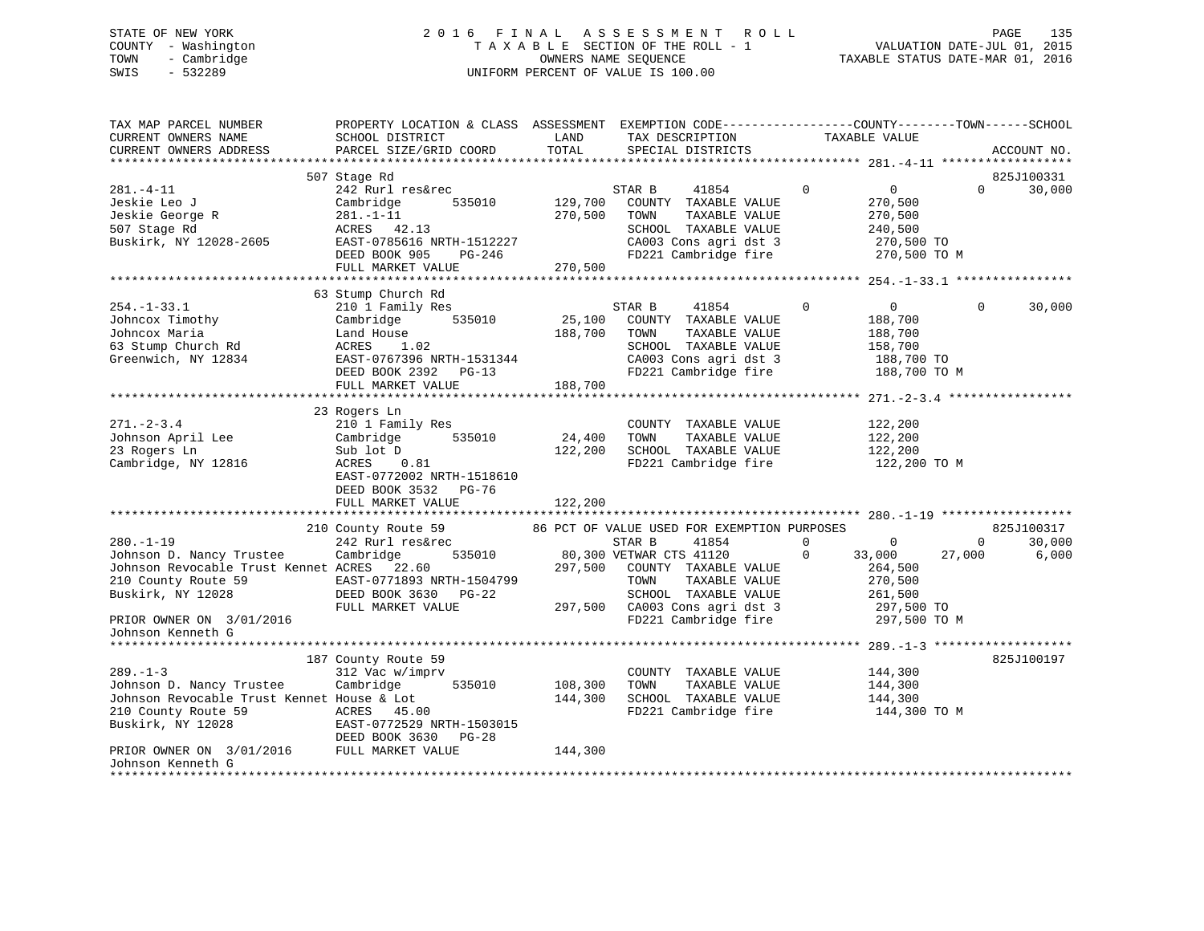## STATE OF NEW YORK 2 0 1 6 F I N A L A S S E S S M E N T R O L L PAGE 135 COUNTY - Washington T A X A B L E SECTION OF THE ROLL - 1 VALUATION DATE-JUL 01, 2015 TOWN - Cambridge OWNERS NAME SEQUENCE TAXABLE STATUS DATE-MAR 01, 2016 SWIS - 532289 UNIFORM PERCENT OF VALUE IS 100.00

| TAX MAP PARCEL NUMBER<br>CURRENT OWNERS NAME<br>CURRENT OWNERS ADDRESS                                                                | PROPERTY LOCATION & CLASS ASSESSMENT EXEMPTION CODE----------------COUNTY-------TOWN-----SCHOOL<br>SCHOOL DISTRICT<br>PARCEL SIZE/GRID COORD      | LAND<br>TOTAL      | TAX DESCRIPTION<br>SPECIAL DISTRICTS                                                                                                                                                                               | TAXABLE VALUE                                                                                | ACCOUNT NO.                                               |
|---------------------------------------------------------------------------------------------------------------------------------------|---------------------------------------------------------------------------------------------------------------------------------------------------|--------------------|--------------------------------------------------------------------------------------------------------------------------------------------------------------------------------------------------------------------|----------------------------------------------------------------------------------------------|-----------------------------------------------------------|
|                                                                                                                                       |                                                                                                                                                   |                    |                                                                                                                                                                                                                    |                                                                                              |                                                           |
|                                                                                                                                       | 507 Stage Rd                                                                                                                                      |                    |                                                                                                                                                                                                                    |                                                                                              | 825J100331                                                |
| $281. -4 - 11$<br>Jeskie Leo J<br>Jeskie George R<br>507 Stage Rd<br>Buskirk, NY 12028-2605                                           | 242 Rurl res&rec<br>535010<br>Cambridge<br>$281. - 1 - 11$<br>ACRES 42.13<br>EAST-0785616 NRTH-1512227<br>DEED BOOK 905<br>PG-246                 | 129,700<br>270,500 | STAR B<br>41854<br>COUNTY TAXABLE VALUE<br>TAXABLE VALUE<br>TOWN<br>SCHOOL TAXABLE VALUE<br>CA003 Cons agri dst 3<br>FD221 Cambridge fire                                                                          | $\mathbf 0$<br>$\overline{0}$<br>270,500<br>270,500<br>240,500<br>270,500 TO<br>270,500 TO M | 30,000<br>$\Omega$                                        |
|                                                                                                                                       | FULL MARKET VALUE                                                                                                                                 | 270,500            |                                                                                                                                                                                                                    |                                                                                              |                                                           |
|                                                                                                                                       |                                                                                                                                                   |                    |                                                                                                                                                                                                                    |                                                                                              |                                                           |
| $254. - 1 - 33.1$<br>Johncox Timothy<br>Johncox Maria<br>63 Stump Church Rd<br>Greenwich, NY 12834                                    | 63 Stump Church Rd<br>210 1 Family Res<br>Cambridge<br>535010<br>Land House<br>1.02<br>ACRES<br>EAST-0767396 NRTH-1531344<br>DEED BOOK 2392 PG-13 | 25,100<br>188,700  | STAR B<br>41854<br>COUNTY TAXABLE VALUE<br>TOWN<br>TAXABLE VALUE<br>SCHOOL TAXABLE VALUE<br>CA003 Cons agri dst 3<br>FD221 Cambridge fire 188,700 TO M                                                             | $\Omega$<br>0<br>188,700<br>188,700<br>158,700<br>188,700 TO                                 | $\Omega$<br>30,000                                        |
|                                                                                                                                       | FULL MARKET VALUE                                                                                                                                 | 188,700            |                                                                                                                                                                                                                    |                                                                                              |                                                           |
|                                                                                                                                       | 23 Rogers Ln                                                                                                                                      |                    |                                                                                                                                                                                                                    |                                                                                              |                                                           |
| $271. - 2 - 3.4$<br>Johnson April Lee<br>23 Rogers Ln<br>Cambridge, NY 12816                                                          | 210 1 Family Res<br>535010<br>Cambridge<br>Sub lot D<br>0.81<br>ACRES<br>EAST-0772002 NRTH-1518610<br>DEED BOOK 3532 PG-76                        | 24,400<br>122,200  | COUNTY TAXABLE VALUE<br>TOWN<br>TAXABLE VALUE<br>SCHOOL TAXABLE VALUE<br>FD221 Cambridge fire                                                                                                                      | 122,200<br>122,200<br>122,200<br>122,200 TO M                                                |                                                           |
|                                                                                                                                       | FULL MARKET VALUE                                                                                                                                 | 122,200            |                                                                                                                                                                                                                    |                                                                                              |                                                           |
|                                                                                                                                       |                                                                                                                                                   |                    |                                                                                                                                                                                                                    |                                                                                              |                                                           |
| $280. - 1 - 19$<br>Johnson D. Nancy Trustee<br>Johnson Revocable Trust Kennet ACRES 22.60<br>210 County Route 59<br>Buskirk, NY 12028 | 210 County Route 59<br>242 Rurl res&rec<br>Cambridge<br>EAST-0771893 NRTH-1504799<br>DEED BOOK 3630 PG-22<br>FULL MARKET VALUE                    |                    | 86 PCT OF VALUE USED FOR EXEMPTION PURPOSES<br>STAR B<br>41854<br>535010 80,300 VETWAR CTS 41120<br>297,500 COUNTY TAXABLE VALUE<br>TOWN<br>TAXABLE VALUE<br>SCHOOL TAXABLE VALUE<br>297,500 CA003 Cons agri dst 3 | $\mathbf{0}$<br>33,000<br>264,500<br>270,500<br>261,500<br>297,500 TO                        | 825J100317<br>$\overline{0}$<br>30,000<br>27,000<br>6,000 |
| PRIOR OWNER ON 3/01/2016<br>Johnson Kenneth G                                                                                         |                                                                                                                                                   |                    | FD221 Cambridge fire                                                                                                                                                                                               | 297,500 TO M                                                                                 |                                                           |
|                                                                                                                                       |                                                                                                                                                   |                    |                                                                                                                                                                                                                    |                                                                                              | 825J100197                                                |
| $289. - 1 - 3$<br>Johnson D. Nancy Trustee<br>Johnson Revocable Trust Kennet House & Lot<br>210 County Route 59<br>Buskirk, NY 12028  | 187 County Route 59<br>312 Vac w/imprv<br>Cambridge<br>535010<br>59<br>EAST-0772529 NRTH-1503015<br>DEED BOOK 3630 DO 00<br>DEED BOOK 3630 PG-28  | 108,300<br>144,300 | COUNTY TAXABLE VALUE<br>TOWN<br>TAXABLE VALUE<br>SCHOOL TAXABLE VALUE<br>FD221 Cambridge fire                                                                                                                      | 144,300<br>144,300<br>144,300<br>144,300 TO M                                                |                                                           |
| DEED BOOK 3630 I<br>PRIOR OWNER ON 3/01/2016 FULL MARKET VALUE<br>Johnson Kenneth G                                                   |                                                                                                                                                   | 144,300            |                                                                                                                                                                                                                    |                                                                                              |                                                           |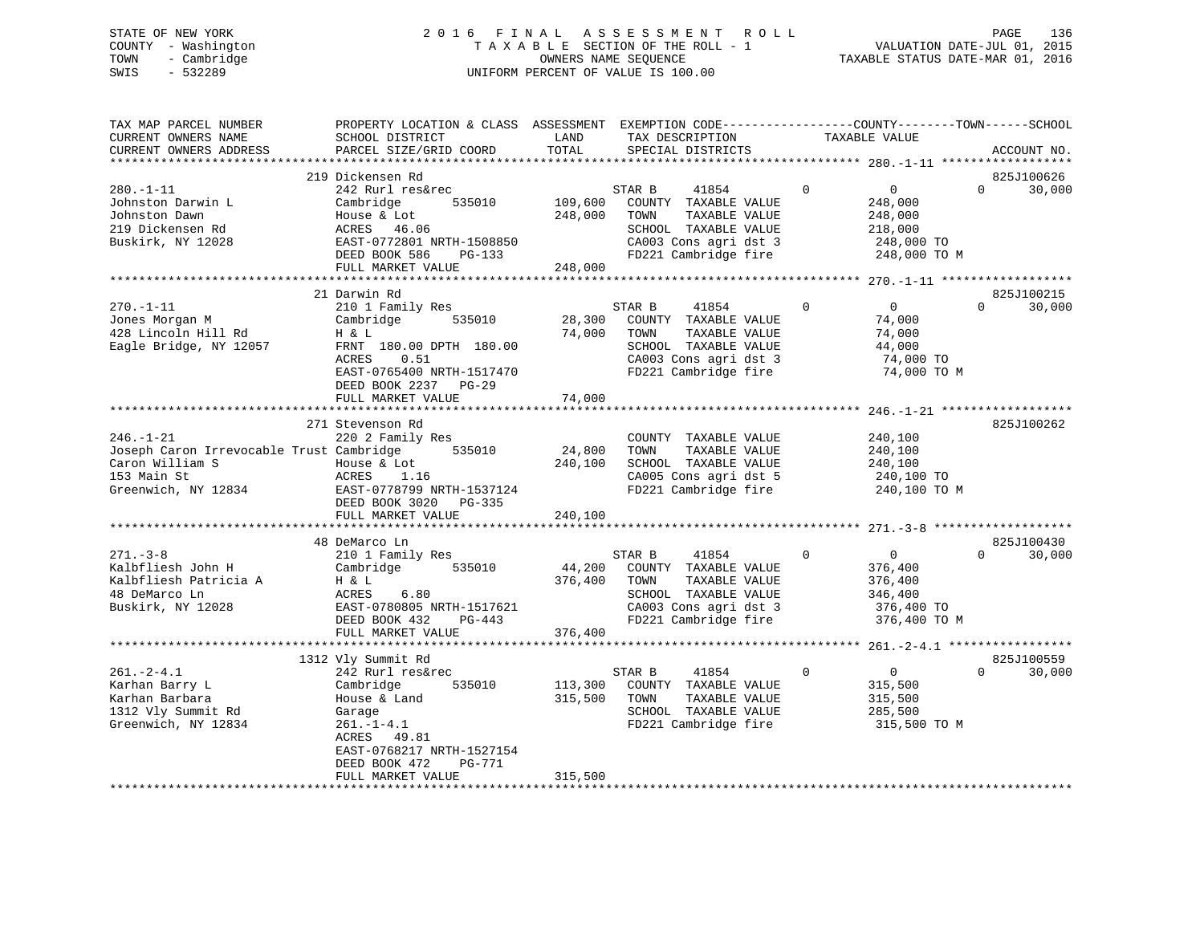## STATE OF NEW YORK 2 0 1 6 F I N A L A S S E S S M E N T R O L L PAGE 136 COUNTY - Washington T A X A B L E SECTION OF THE ROLL - 1 VALUATION DATE-JUL 01, 2015 TOWN - Cambridge OWNERS NAME SEQUENCE TAXABLE STATUS DATE-MAR 01, 2016 SWIS - 532289 UNIFORM PERCENT OF VALUE IS 100.00

| TAX MAP PARCEL NUMBER<br>CURRENT OWNERS NAME<br>CURRENT OWNERS ADDRESS                                               | PROPERTY LOCATION & CLASS ASSESSMENT EXEMPTION CODE----------------COUNTY-------TOWN------SCHOOL<br>SCHOOL DISTRICT<br>PARCEL SIZE/GRID COORD                                             | LAND<br>TOTAL                 | TAX DESCRIPTION<br>SPECIAL DISTRICTS                                                                                                      | TAXABLE VALUE                                                                             | ACCOUNT NO.                      |
|----------------------------------------------------------------------------------------------------------------------|-------------------------------------------------------------------------------------------------------------------------------------------------------------------------------------------|-------------------------------|-------------------------------------------------------------------------------------------------------------------------------------------|-------------------------------------------------------------------------------------------|----------------------------------|
| *******************                                                                                                  |                                                                                                                                                                                           |                               |                                                                                                                                           |                                                                                           |                                  |
| $280. - 1 - 11$<br>Johnston Darwin L<br>Johnston Dawn<br>219 Dickensen Rd<br>Buskirk, NY 12028                       | 219 Dickensen Rd<br>242 Rurl res&rec<br>Cambridge<br>535010<br>House & Lot<br>ACRES<br>46.06<br>EAST-0772801 NRTH-1508850<br>DEED BOOK 586<br>PG-133<br>FULL MARKET VALUE                 | 109,600<br>248,000<br>248,000 | STAR B<br>41854<br>COUNTY TAXABLE VALUE<br>TOWN<br>TAXABLE VALUE<br>SCHOOL TAXABLE VALUE<br>CA003 Cons agri dst 3<br>FD221 Cambridge fire | $\mathbf 0$<br>0<br>248,000<br>248,000<br>218,000<br>248,000 TO<br>248,000 TO M           | 825J100626<br>$\Omega$<br>30,000 |
|                                                                                                                      | ************************                                                                                                                                                                  |                               |                                                                                                                                           |                                                                                           |                                  |
| $270. - 1 - 11$<br>Jones Morgan M<br>428 Lincoln Hill Rd<br>Eagle Bridge, NY 12057                                   | 21 Darwin Rd<br>210 1 Family Res<br>535010<br>Cambridge<br>H & L<br>FRNT 180.00 DPTH 180.00<br>ACRES<br>0.51<br>EAST-0765400 NRTH-1517470<br>DEED BOOK 2237<br>PG-29<br>FULL MARKET VALUE | 28,300<br>74,000<br>74,000    | STAR B<br>41854<br>COUNTY TAXABLE VALUE<br>TOWN<br>TAXABLE VALUE<br>SCHOOL TAXABLE VALUE<br>CA003 Cons agri dst 3<br>FD221 Cambridge fire | $\Omega$<br>$\Omega$<br>74,000<br>74,000<br>44,000<br>74,000 TO<br>74,000 TO M            | 825J100215<br>$\Omega$<br>30,000 |
|                                                                                                                      |                                                                                                                                                                                           |                               |                                                                                                                                           |                                                                                           |                                  |
| $246. - 1 - 21$<br>Joseph Caron Irrevocable Trust Cambridge<br>Caron William S<br>153 Main St<br>Greenwich, NY 12834 | 271 Stevenson Rd<br>220 2 Family Res<br>535010<br>House & Lot<br>ACRES<br>1.16<br>EAST-0778799 NRTH-1537124<br>DEED BOOK 3020<br>PG-335<br>FULL MARKET VALUE                              | 24,800<br>240,100<br>240,100  | COUNTY TAXABLE VALUE<br>TOWN<br>TAXABLE VALUE<br>SCHOOL TAXABLE VALUE<br>CA005 Cons agri dst 5<br>FD221 Cambridge fire                    | 240,100<br>240,100<br>240,100<br>240,100 TO<br>240,100 TO M                               | 825J100262                       |
|                                                                                                                      |                                                                                                                                                                                           |                               |                                                                                                                                           |                                                                                           |                                  |
| $271. - 3 - 8$<br>Kalbfliesh John H<br>Kalbfliesh Patricia A<br>48 DeMarco Ln<br>Buskirk, NY 12028                   | 48 DeMarco Ln<br>210 1 Family Res<br>535010<br>Cambridge<br>H & L<br>ACRES<br>6.80<br>EAST-0780805 NRTH-1517621<br>DEED BOOK 432<br>PG-443<br>FULL MARKET VALUE                           | 44,200<br>376,400<br>376,400  | STAR B<br>41854<br>COUNTY TAXABLE VALUE<br>TOWN<br>TAXABLE VALUE<br>SCHOOL TAXABLE VALUE<br>CA003 Cons agri dst 3<br>FD221 Cambridge fire | $\Omega$<br>$\overline{0}$<br>376,400<br>376,400<br>346,400<br>376,400 TO<br>376,400 TO M | 825J100430<br>30,000<br>$\Omega$ |
|                                                                                                                      |                                                                                                                                                                                           |                               |                                                                                                                                           |                                                                                           |                                  |
| $261 - 2 - 4.1$<br>Karhan Barry L<br>Karhan Barbara<br>1312 Vly Summit Rd<br>Greenwich, NY 12834                     | 1312 Vly Summit Rd<br>242 Rurl res&rec<br>Cambridge<br>535010<br>House & Land<br>Garage<br>$261. - 1 - 4.1$<br>ACRES<br>49.81<br>EAST-0768217 NRTH-1527154<br>DEED BOOK 472<br>PG-771     | 113,300<br>315,500            | STAR B<br>41854<br>COUNTY TAXABLE VALUE<br>TAXABLE VALUE<br>TOWN<br>SCHOOL TAXABLE VALUE<br>FD221 Cambridge fire                          | 0<br>$\mathbf 0$<br>315,500<br>315,500<br>285,500<br>315,500 TO M                         | 825J100559<br>30,000<br>$\Omega$ |
|                                                                                                                      | FULL MARKET VALUE                                                                                                                                                                         | 315,500                       |                                                                                                                                           |                                                                                           |                                  |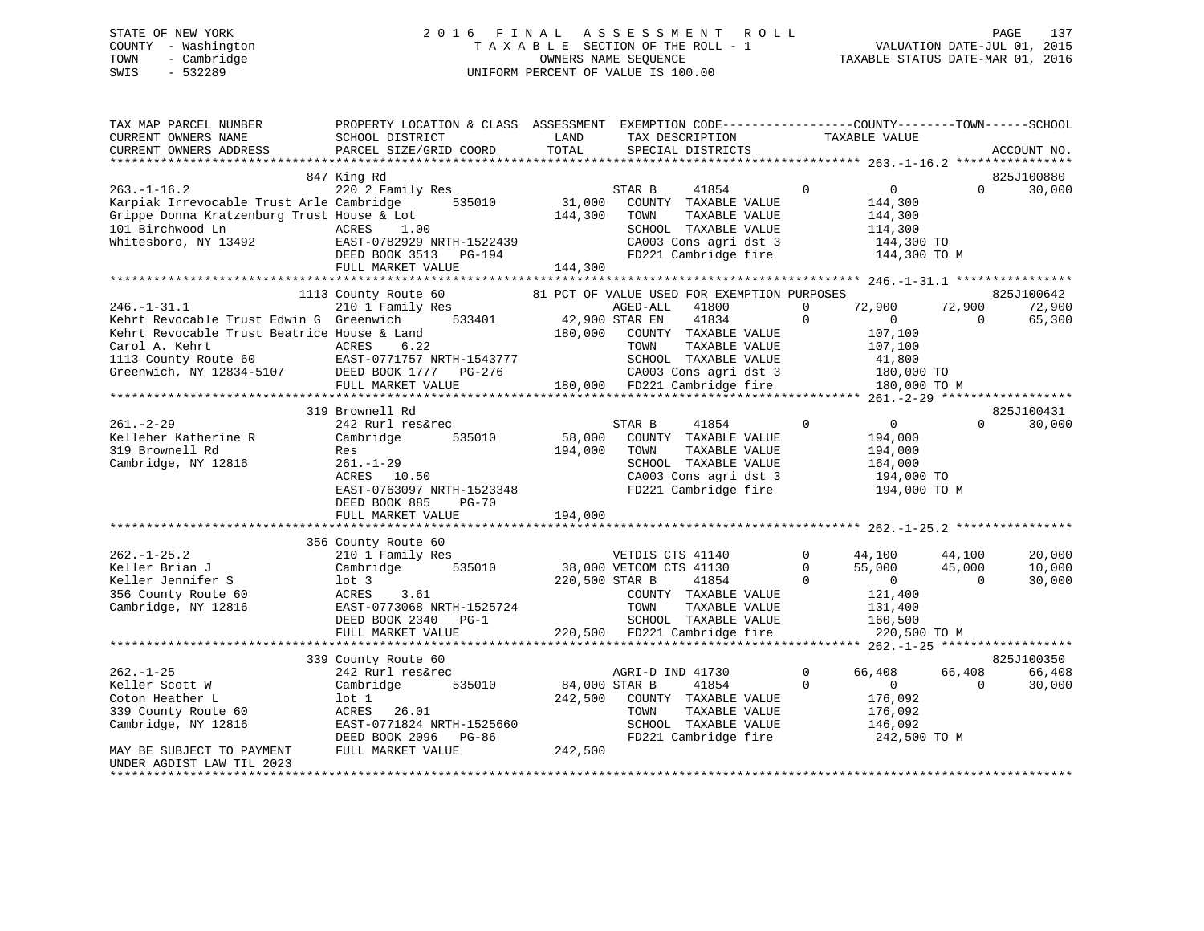## STATE OF NEW YORK 2 0 1 6 F I N A L A S S E S S M E N T R O L L PAGE 137 COUNTY - Washington T A X A B L E SECTION OF THE ROLL - 1 VALUATION DATE-JUL 01, 2015 TOWN - Cambridge OWNERS NAME SEQUENCE TAXABLE STATUS DATE-MAR 01, 2016 SWIS - 532289 UNIFORM PERCENT OF VALUE IS 100.00

| TAX MAP PARCEL NUMBER<br>CURRENT OWNERS NAME<br>CURRENT OWNERS ADDRESS                                                                                                                                                                                                                                                                                       | PROPERTY LOCATION & CLASS ASSESSMENT EXEMPTION CODE----------------COUNTY-------TOWN------SCHOOL<br>SCHOOL DISTRICT<br>PARCEL SIZE/GRID COORD                                                                                                                                                                                                                                                | <b>LAND</b><br>TOTAL | TAX DESCRIPTION<br>SPECIAL DISTRICTS                                                                                                                                                                                                          | TAXABLE VALUE              |                                                           |                                    | ACCOUNT NO.                 |
|--------------------------------------------------------------------------------------------------------------------------------------------------------------------------------------------------------------------------------------------------------------------------------------------------------------------------------------------------------------|----------------------------------------------------------------------------------------------------------------------------------------------------------------------------------------------------------------------------------------------------------------------------------------------------------------------------------------------------------------------------------------------|----------------------|-----------------------------------------------------------------------------------------------------------------------------------------------------------------------------------------------------------------------------------------------|----------------------------|-----------------------------------------------------------|------------------------------------|-----------------------------|
|                                                                                                                                                                                                                                                                                                                                                              |                                                                                                                                                                                                                                                                                                                                                                                              |                      |                                                                                                                                                                                                                                               |                            |                                                           |                                    |                             |
|                                                                                                                                                                                                                                                                                                                                                              | 847 King Rd                                                                                                                                                                                                                                                                                                                                                                                  |                      |                                                                                                                                                                                                                                               |                            |                                                           |                                    | 825J100880                  |
| $263. - 1 - 16.2$<br>263.-1-16.2<br>Xarpiak Irrevocable Trust Arle Cambridge 535010 31,000 COUNTY TAXABLE VALUE<br>Grippe Donna Kratzenburg Trust House & Lot 144,300 TOWN TAXABLE VALUE<br>Chapter Donna Kratzenburg Trust House & Lot<br>144,300<br>101 Birchwood Ln ACRES 1.00<br>Whitesboro, NY 13492 EAST-0782929 NRTH-1522439<br>DEED BOOK 3513 PG-194 |                                                                                                                                                                                                                                                                                                                                                                                              | 144,300              | 41854 0<br>SCHOOL TAXABLE VALUE<br>CA003 Cons agri dat 3<br>FD221 Cambridge fire 144,300 TO FD221 Cambridge fire 144,300 TO M                                                                                                                 |                            | $\overline{0}$<br>144,300<br>144,300<br>114,300           |                                    | 30,000<br>$0 \qquad \qquad$ |
|                                                                                                                                                                                                                                                                                                                                                              | FULL MARKET VALUE                                                                                                                                                                                                                                                                                                                                                                            |                      |                                                                                                                                                                                                                                               |                            |                                                           |                                    |                             |
|                                                                                                                                                                                                                                                                                                                                                              | 1113 County Route 60                                                                                                                                                                                                                                                                                                                                                                         |                      | 81 PCT OF VALUE USED FOR EXEMPTION PURPOSES                                                                                                                                                                                                   |                            |                                                           |                                    | 825J100642                  |
| 246.-1-31.1 210 1 Family Res<br>Rehrt Revocable Trust Edwin G Greenwich 533401 42,900 STAR EN 41800 0 72,900 72,9<br>Kehrt Revocable Trust Edwin G Greenwich 533401 42,900 STAR EN 41834 0 0<br>Kehrt Revocable Trust Beatrice House                                                                                                                         |                                                                                                                                                                                                                                                                                                                                                                                              |                      |                                                                                                                                                                                                                                               |                            | $72,900$ $72,900$ 0<br>0 0 0                              |                                    | 72,900<br>65,300            |
|                                                                                                                                                                                                                                                                                                                                                              |                                                                                                                                                                                                                                                                                                                                                                                              |                      |                                                                                                                                                                                                                                               |                            |                                                           |                                    |                             |
|                                                                                                                                                                                                                                                                                                                                                              |                                                                                                                                                                                                                                                                                                                                                                                              |                      |                                                                                                                                                                                                                                               |                            |                                                           |                                    |                             |
|                                                                                                                                                                                                                                                                                                                                                              | 319 Brownell Rd                                                                                                                                                                                                                                                                                                                                                                              |                      |                                                                                                                                                                                                                                               |                            |                                                           |                                    | 825J100431                  |
| $261. - 2 - 29$<br>Kelleher Katherine R<br>319 Brownell Rd<br>Cambridge, NY 12816                                                                                                                                                                                                                                                                            | 242 Rurl res&rec<br>Cambridge 535010 58,000 COUNTY TAXABLE VALUE<br>Res<br>261.-1-29<br>ACRES 10.50<br>EAST-0763097 NRTH-1523348<br>DEED BOOK 885 PG-70                                                                                                                                                                                                                                      | 194,000 TOWN         | $\overline{0}$<br>STAR B<br>41854<br>COUNTY TAAABLE VALUE<br>TOWN TAXABLE VALUE 194,000<br>SCHOOL TAXABLE VALUE 164,000 TO<br>194,000 TO<br>194,000 TO<br>194,000 TO<br>CA003 Cons agri dst 3 194,000 TO<br>FD221 Cambridge fire 194,000 TO M |                            | $\begin{array}{c} 0 \\ 194,000 \end{array}$               |                                    | 30,000<br>$\Omega$          |
|                                                                                                                                                                                                                                                                                                                                                              | FULL MARKET VALUE                                                                                                                                                                                                                                                                                                                                                                            | 194,000              |                                                                                                                                                                                                                                               |                            |                                                           |                                    |                             |
|                                                                                                                                                                                                                                                                                                                                                              |                                                                                                                                                                                                                                                                                                                                                                                              |                      |                                                                                                                                                                                                                                               |                            |                                                           |                                    |                             |
| $262. - 1 - 25.2$<br>Keller Brian J<br>Keller Jennifer S<br>356 County Route 60<br>Cambridge, NY 12816                                                                                                                                                                                                                                                       | 356 County Route 60<br>lot 3<br>ACRES 3.61<br>$\begin{tabular}{lcccccc} ACRES & 3.61 &  \hline \textbf{COMITY} & TAXABLE VALUE & 121,400 \\ EAST-0773068 NRTH-1525724 &  \hline \textbf{TONTY} & TAXABLE VALUE & 131,400 \\ DEED BOOK 2340 & PG-1 &  \hline \textbf{SCHOOL} & TAXABLE VALUE & 160,500 \\ FULL MARKET VALUE & 220,500 & FD221 Cambridge fire & 220,500 TO M \\ \end{tabular}$ |                      | $220,500$ STAR B                                                                                                                                                                                                                              |                            | 44,100<br>55,000                                          | 44,100<br>45,000<br>$\overline{0}$ | 20,000<br>10,000<br>30,000  |
|                                                                                                                                                                                                                                                                                                                                                              |                                                                                                                                                                                                                                                                                                                                                                                              |                      |                                                                                                                                                                                                                                               |                            |                                                           |                                    |                             |
|                                                                                                                                                                                                                                                                                                                                                              |                                                                                                                                                                                                                                                                                                                                                                                              |                      |                                                                                                                                                                                                                                               |                            |                                                           |                                    |                             |
|                                                                                                                                                                                                                                                                                                                                                              | 339 County Route 60                                                                                                                                                                                                                                                                                                                                                                          |                      |                                                                                                                                                                                                                                               |                            |                                                           |                                    | 825J100350                  |
| $262. - 1 - 25$<br>Keller Scott W<br>Coton Heather L<br>339 County Route 60<br>Cambridge, NY 12816                                                                                                                                                                                                                                                           | 242 Rurl res&rec<br>Cambridge 535010 84,000 STAR B<br>$1$ ot $1$<br>ACRES 26.01<br>EAST-0771824 NRTH-1525660<br>DEED BOOK 2096 PG-86                                                                                                                                                                                                                                                         |                      | AGRI-D IND 41730<br>41854<br>242,500 COUNTY TAXABLE VALUE<br>TOWN TAXABLE VALUE<br>SCHOOL TAXABLE VALUE<br>FD221 Cambridge fire 342,500 TO M                                                                                                  | $\overline{0}$<br>$\Omega$ | 66,408<br>$\overline{0}$<br>176,092<br>176,092<br>146,092 | 66,408<br>$\sim$ 0                 | 66,408<br>30,000            |
| MAY BE SUBJECT TO PAYMENT<br>UNDER AGDIST LAW TIL 2023                                                                                                                                                                                                                                                                                                       | FULL MARKET VALUE                                                                                                                                                                                                                                                                                                                                                                            | 242,500              |                                                                                                                                                                                                                                               |                            |                                                           |                                    |                             |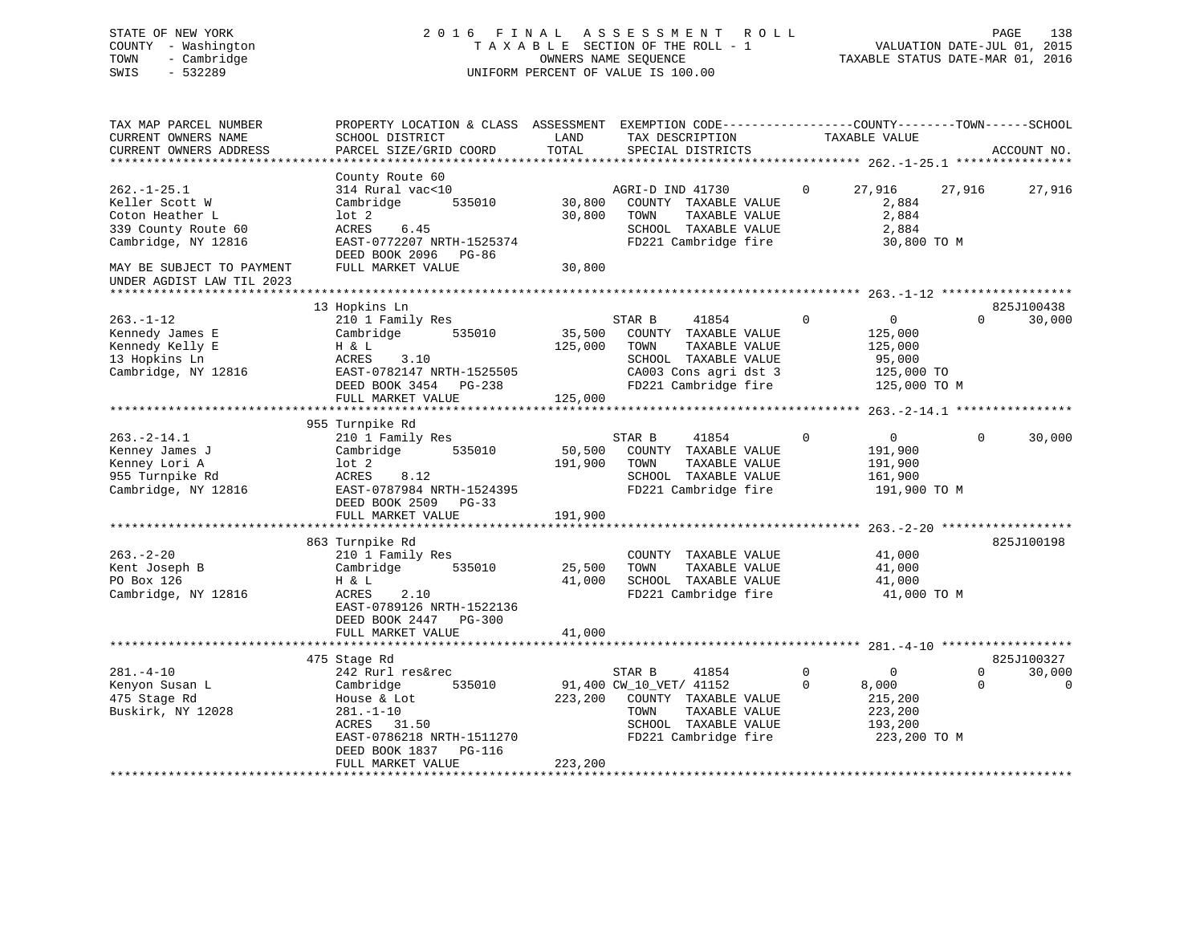STATE OF NEW YORK 2 0 1 6 F I N A L A S S E S S M E N T R O L L PAGE 138 COUNTY - Washington T A X A B L E SECTION OF THE ROLL - 1 VALUATION DATE-JUL 01, 2015

# TOWN - Cambridge OWNERS NAME SEQUENCE TAXABLE STATUS DATE-MAR 01, 2016 SWIS - 532289 UNIFORM PERCENT OF VALUE IS 100.00

| TAX MAP PARCEL NUMBER     | PROPERTY LOCATION & CLASS ASSESSMENT              |         | EXEMPTION CODE-----------------COUNTY-------TOWN------SCHOOL |              |                |          |             |
|---------------------------|---------------------------------------------------|---------|--------------------------------------------------------------|--------------|----------------|----------|-------------|
| CURRENT OWNERS NAME       | SCHOOL DISTRICT                                   | LAND    | TAX DESCRIPTION                                              |              | TAXABLE VALUE  |          |             |
| CURRENT OWNERS ADDRESS    | PARCEL SIZE/GRID COORD                            | TOTAL   | SPECIAL DISTRICTS                                            |              |                |          | ACCOUNT NO. |
| **********************    |                                                   |         |                                                              |              |                |          |             |
|                           | County Route 60                                   |         |                                                              |              |                |          |             |
| $262. - 1 - 25.1$         | 314 Rural vac<10                                  |         | AGRI-D IND 41730                                             | $\mathbf{0}$ | 27,916         | 27,916   | 27,916      |
| Keller Scott W            | Cambridge<br>535010                               | 30,800  | COUNTY TAXABLE VALUE                                         |              | 2,884          |          |             |
| Coton Heather L           | $1$ ot $2$                                        | 30,800  | TOWN<br>TAXABLE VALUE                                        |              | 2,884          |          |             |
| 339 County Route 60       | ACRES<br>6.45                                     |         | SCHOOL TAXABLE VALUE                                         |              | 2,884          |          |             |
| Cambridge, NY 12816       | EAST-0772207 NRTH-1525374<br>DEED BOOK 2096 PG-86 |         | FD221 Cambridge fire                                         |              | 30,800 TO M    |          |             |
| MAY BE SUBJECT TO PAYMENT | FULL MARKET VALUE                                 | 30,800  |                                                              |              |                |          |             |
| UNDER AGDIST LAW TIL 2023 |                                                   |         |                                                              |              |                |          |             |
|                           |                                                   |         |                                                              |              |                |          |             |
|                           | 13 Hopkins Ln                                     |         |                                                              |              |                |          | 825J100438  |
| $263. -1 - 12$            | 210 1 Family Res                                  |         | 41854<br>STAR B                                              | $\mathbf 0$  | $\overline{0}$ | $\Omega$ | 30,000      |
| Kennedy James E           | Cambridge<br>535010                               | 35,500  | COUNTY TAXABLE VALUE                                         |              | 125,000        |          |             |
| Kennedy Kelly E           | H & L                                             | 125,000 | TOWN<br>TAXABLE VALUE                                        |              | 125,000        |          |             |
| 13 Hopkins Ln             | ACRES<br>3.10                                     |         | SCHOOL TAXABLE VALUE                                         |              | 95,000         |          |             |
| Cambridge, NY 12816       | EAST-0782147 NRTH-1525505                         |         | CA003 Cons agri dst 3                                        |              | 125,000 TO     |          |             |
|                           | DEED BOOK 3454 PG-238                             |         | FD221 Cambridge fire                                         |              | 125,000 TO M   |          |             |
|                           | FULL MARKET VALUE                                 | 125,000 |                                                              |              |                |          |             |
|                           |                                                   |         |                                                              |              |                |          |             |
|                           | 955 Turnpike Rd                                   |         |                                                              |              |                |          |             |
| $263. - 2 - 14.1$         | 210 1 Family Res                                  |         | STAR B<br>41854                                              | 0            | $\overline{0}$ | $\Omega$ | 30,000      |
| Kenney James J            | Cambridge<br>535010                               | 50,500  | COUNTY TAXABLE VALUE                                         |              | 191,900        |          |             |
| Kenney Lori A             | lot 2                                             | 191,900 | TAXABLE VALUE<br>TOWN                                        |              | 191,900        |          |             |
| 955 Turnpike Rd           | 8.12<br>ACRES                                     |         | SCHOOL TAXABLE VALUE                                         |              | 161,900        |          |             |
| Cambridge, NY 12816       | EAST-0787984 NRTH-1524395                         |         | FD221 Cambridge fire                                         |              | 191,900 TO M   |          |             |
|                           | DEED BOOK 2509 PG-33                              |         |                                                              |              |                |          |             |
|                           | FULL MARKET VALUE                                 | 191,900 |                                                              |              |                |          |             |
|                           |                                                   |         |                                                              |              |                |          |             |
|                           | 863 Turnpike Rd                                   |         |                                                              |              |                |          | 825J100198  |
| $263. - 2 - 20$           | 210 1 Family Res                                  |         | COUNTY TAXABLE VALUE                                         |              | 41,000         |          |             |
| Kent Joseph B             | Cambridge<br>535010                               | 25,500  | TAXABLE VALUE<br>TOWN                                        |              | 41,000         |          |             |
| PO Box 126                | H & L                                             | 41,000  | SCHOOL TAXABLE VALUE                                         |              | 41,000         |          |             |
| Cambridge, NY 12816       | ACRES<br>2.10                                     |         | FD221 Cambridge fire                                         |              | 41,000 TO M    |          |             |
|                           | EAST-0789126 NRTH-1522136                         |         |                                                              |              |                |          |             |
|                           | DEED BOOK 2447 PG-300                             |         |                                                              |              |                |          |             |
|                           | FULL MARKET VALUE                                 | 41,000  |                                                              |              |                |          |             |
|                           |                                                   |         |                                                              |              |                |          |             |
|                           | 475 Stage Rd                                      |         |                                                              |              |                |          | 825J100327  |
| $281. -4 - 10$            | 242 Rurl res&rec                                  |         | STAR B<br>41854                                              | $\mathbf 0$  | $\overline{0}$ | $\Omega$ | 30,000      |
| Kenyon Susan L            | 535010<br>Cambridge                               |         | 91,400 CW_10_VET/ 41152                                      | $\mathbf 0$  | 8,000          | $\Omega$ | $\mathbf 0$ |
| 475 Stage Rd              | House & Lot                                       | 223,200 | COUNTY TAXABLE VALUE                                         |              | 215,200        |          |             |
| Buskirk, NY 12028         | $281. - 1 - 10$                                   |         | TOWN<br>TAXABLE VALUE                                        |              | 223,200        |          |             |
|                           | ACRES 31.50                                       |         | SCHOOL TAXABLE VALUE                                         |              | 193,200        |          |             |
|                           | EAST-0786218 NRTH-1511270                         |         | FD221 Cambridge fire                                         |              | 223,200 TO M   |          |             |
|                           | DEED BOOK 1837 PG-116                             |         |                                                              |              |                |          |             |
|                           | FULL MARKET VALUE                                 | 223,200 |                                                              |              |                |          |             |
|                           |                                                   |         |                                                              |              |                |          |             |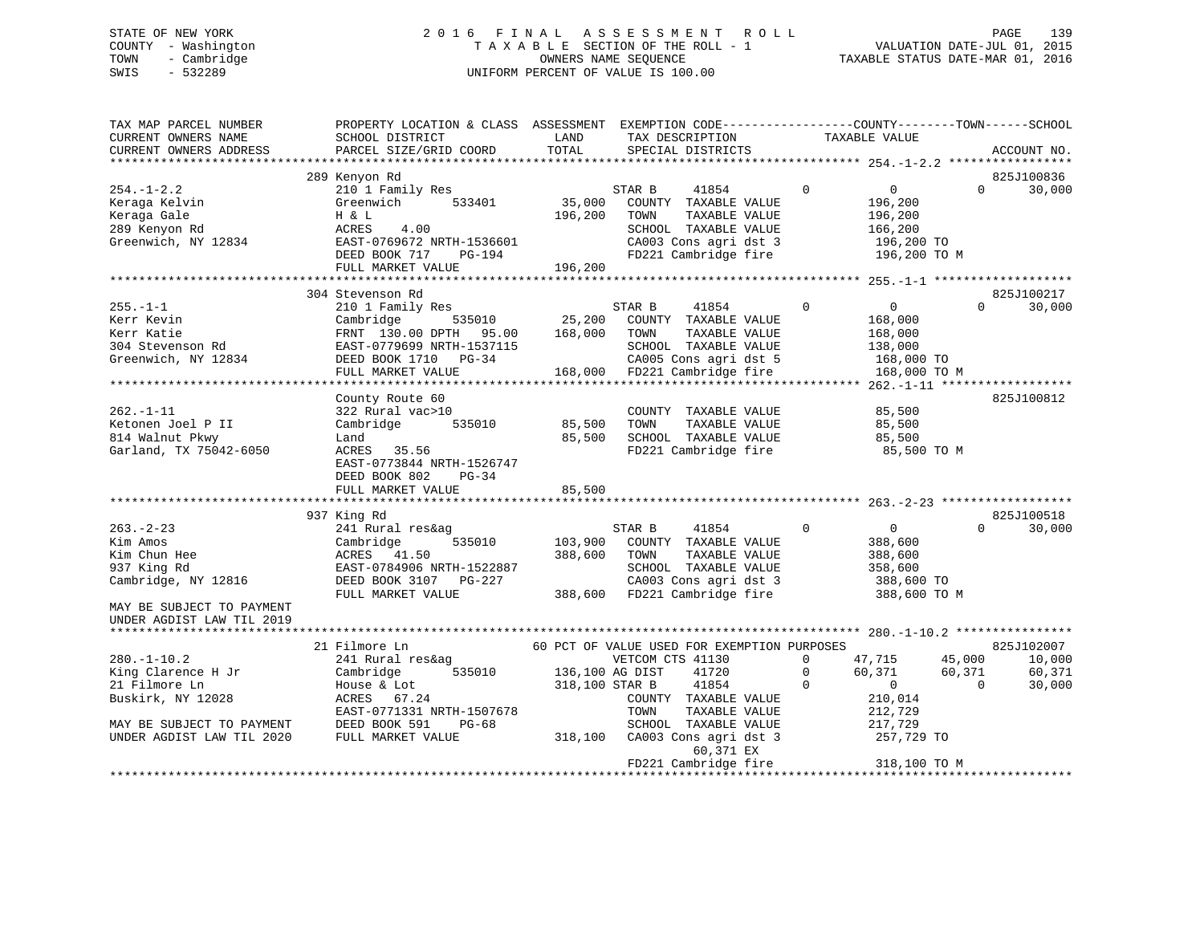## STATE OF NEW YORK 2 0 1 6 F I N A L A S S E S S M E N T R O L L PAGE 139 COUNTY - Washington T A X A B L E SECTION OF THE ROLL - 1 VALUATION DATE-JUL 01, 2015 TOWN - Cambridge OWNERS NAME SEQUENCE TAXABLE STATUS DATE-MAR 01, 2016 SWIS - 532289 UNIFORM PERCENT OF VALUE IS 100.00

| TAX MAP PARCEL NUMBER<br>CURRENT OWNERS NAME<br>CURRENT OWNERS ADDRESS                                                                                               | PROPERTY LOCATION & CLASS ASSESSMENT EXEMPTION CODE----------------COUNTY-------TOWN------SCHOOL<br>SCHOOL DISTRICT<br>PARCEL SIZE/GRID COORD                                                                                                                                                                          | LAND<br>TOTAL                                    | TAX DESCRIPTION<br>SPECIAL DISTRICTS                                                                                                                                                                                                               | TAXABLE VALUE                                                                                                                             | ACCOUNT NO.                                                |
|----------------------------------------------------------------------------------------------------------------------------------------------------------------------|------------------------------------------------------------------------------------------------------------------------------------------------------------------------------------------------------------------------------------------------------------------------------------------------------------------------|--------------------------------------------------|----------------------------------------------------------------------------------------------------------------------------------------------------------------------------------------------------------------------------------------------------|-------------------------------------------------------------------------------------------------------------------------------------------|------------------------------------------------------------|
|                                                                                                                                                                      |                                                                                                                                                                                                                                                                                                                        |                                                  |                                                                                                                                                                                                                                                    |                                                                                                                                           |                                                            |
|                                                                                                                                                                      | 289 Kenyon Rd                                                                                                                                                                                                                                                                                                          |                                                  |                                                                                                                                                                                                                                                    |                                                                                                                                           | 825J100836                                                 |
| $254. - 1 - 2.2$<br>Keraga Kelvin<br>Keraga Gale<br>289 Kenyon Rd<br>Greenwich, NY 12834                                                                             | 210 1 Family Res<br>533401<br>Greenwich<br>H & L<br>4.00<br>ACRES<br>EAST-0769672 NRTH-1536601<br>DEED BOOK 717<br>PG-194                                                                                                                                                                                              | 35,000<br>196,200                                | 41854<br>STAR B<br>COUNTY TAXABLE VALUE<br>TOWN<br>TAXABLE VALUE<br>SCHOOL TAXABLE VALUE<br>CA003 Cons agri dst 3<br>FD221 Cambridge fire                                                                                                          | $\mathbf 0$<br>$\overline{0}$<br>196,200<br>196,200<br>166,200<br>196,200 TO<br>196,200 TO M                                              | 30,000<br>$\Omega$                                         |
|                                                                                                                                                                      | FULL MARKET VALUE                                                                                                                                                                                                                                                                                                      | 196,200                                          |                                                                                                                                                                                                                                                    |                                                                                                                                           |                                                            |
|                                                                                                                                                                      |                                                                                                                                                                                                                                                                                                                        |                                                  |                                                                                                                                                                                                                                                    |                                                                                                                                           |                                                            |
| $255. - 1 - 1$<br>Kerr Kevin<br>Kerr Katie<br>304 Stevenson Rd<br>Greenwich, NY 12834                                                                                | 304 Stevenson Rd<br>210 1 Family Res<br>535010<br>Cambridge<br>FRNT 130.00 DPTH 95.00<br>EAST-0779699 NRTH-1537115<br>DEED BOOK 1710 PG-34<br>FULL MARKET VALUE                                                                                                                                                        | 25,200<br>168,000                                | STAR B<br>41854<br>COUNTY TAXABLE VALUE<br>TOWN<br>TAXABLE VALUE<br>SCHOOL TAXABLE VALUE<br>CA005 Cons agri dst 5<br>168,000 FD221 Cambridge fire                                                                                                  | $\Omega$<br>$\overline{0}$<br>168,000<br>168,000<br>138,000<br>168,000 TO<br>168,000 TO M                                                 | 825J100217<br>30,000<br>$\Omega$                           |
|                                                                                                                                                                      |                                                                                                                                                                                                                                                                                                                        |                                                  |                                                                                                                                                                                                                                                    | ************* 262.-1-11 *******************                                                                                               |                                                            |
| $262. -1 - 11$<br>Ketonen Joel P II<br>814 Walnut Pkwy<br>Garland, TX 75042-6050<br>$263. -2 - 23$<br>Kim Amos<br>Kim Chun Hee<br>937 King Rd<br>Cambridge, NY 12816 | County Route 60<br>322 Rural vac>10<br>535010<br>Cambridge<br>Land<br>ACRES 35.56<br>EAST-0773844 NRTH-1526747<br>DEED BOOK 802<br>$PG-34$<br>FULL MARKET VALUE<br>937 King Rd<br>241 Rural res&ag<br>535010<br>Cambridge<br>ACRES 41.50<br>EAST-0784906 NRTH-1522887<br>DEED BOOK 3107<br>PG-227<br>FULL MARKET VALUE | 85,500<br>85,500<br>85,500<br>103,900<br>388,600 | COUNTY TAXABLE VALUE<br>TAXABLE VALUE<br>TOWN<br>SCHOOL TAXABLE VALUE<br>FD221 Cambridge fire<br>STAR B<br>41854<br>COUNTY TAXABLE VALUE<br>TOWN<br>TAXABLE VALUE<br>SCHOOL TAXABLE VALUE<br>CA003 Cons agri dst 3<br>388,600 FD221 Cambridge fire | 85,500<br>85,500<br>85,500<br>85,500 TO M<br>$\mathbf 0$<br>$\overline{0}$<br>388,600<br>388,600<br>358,600<br>388,600 TO<br>388,600 TO M | 825J100812<br>825J100518<br>30,000<br>$\Omega$             |
| MAY BE SUBJECT TO PAYMENT<br>UNDER AGDIST LAW TIL 2019                                                                                                               |                                                                                                                                                                                                                                                                                                                        |                                                  |                                                                                                                                                                                                                                                    |                                                                                                                                           |                                                            |
|                                                                                                                                                                      | 21 Filmore Ln                                                                                                                                                                                                                                                                                                          |                                                  | 60 PCT OF VALUE USED FOR EXEMPTION PURPOSES                                                                                                                                                                                                        |                                                                                                                                           | 825J102007                                                 |
| $280. - 1 - 10.2$<br>King Clarence H Jr<br>21 Filmore Ln<br>Buskirk, NY 12028<br>MAY BE SUBJECT TO PAYMENT<br>UNDER AGDIST LAW TIL 2020                              | 241 Rural res&ag<br>535010<br>Cambridge<br>House & Lot<br>ACRES 67.24<br>EAST-0771331 NRTH-1507678<br>DEED BOOK 591<br>$PG-68$<br>FULL MARKET VALUE                                                                                                                                                                    | 136,100 AG DIST<br>318,100 STAR B<br>318,100     | VETCOM CTS 41130<br>41720<br>41854<br>COUNTY TAXABLE VALUE<br>TOWN<br>TAXABLE VALUE<br>SCHOOL TAXABLE VALUE<br>CA003 Cons agri dst 3<br>60,371 EX                                                                                                  | 47,715<br>0<br>$\mathbf 0$<br>60,371<br>$\Omega$<br>$\sim$ 0<br>210,014<br>212,729<br>217,729<br>257,729 TO                               | 45,000<br>10,000<br>60,371<br>60,371<br>$\Omega$<br>30,000 |
|                                                                                                                                                                      | ***********************************                                                                                                                                                                                                                                                                                    |                                                  | FD221 Cambridge fire                                                                                                                                                                                                                               | 318,100 TO M<br>**********************                                                                                                    |                                                            |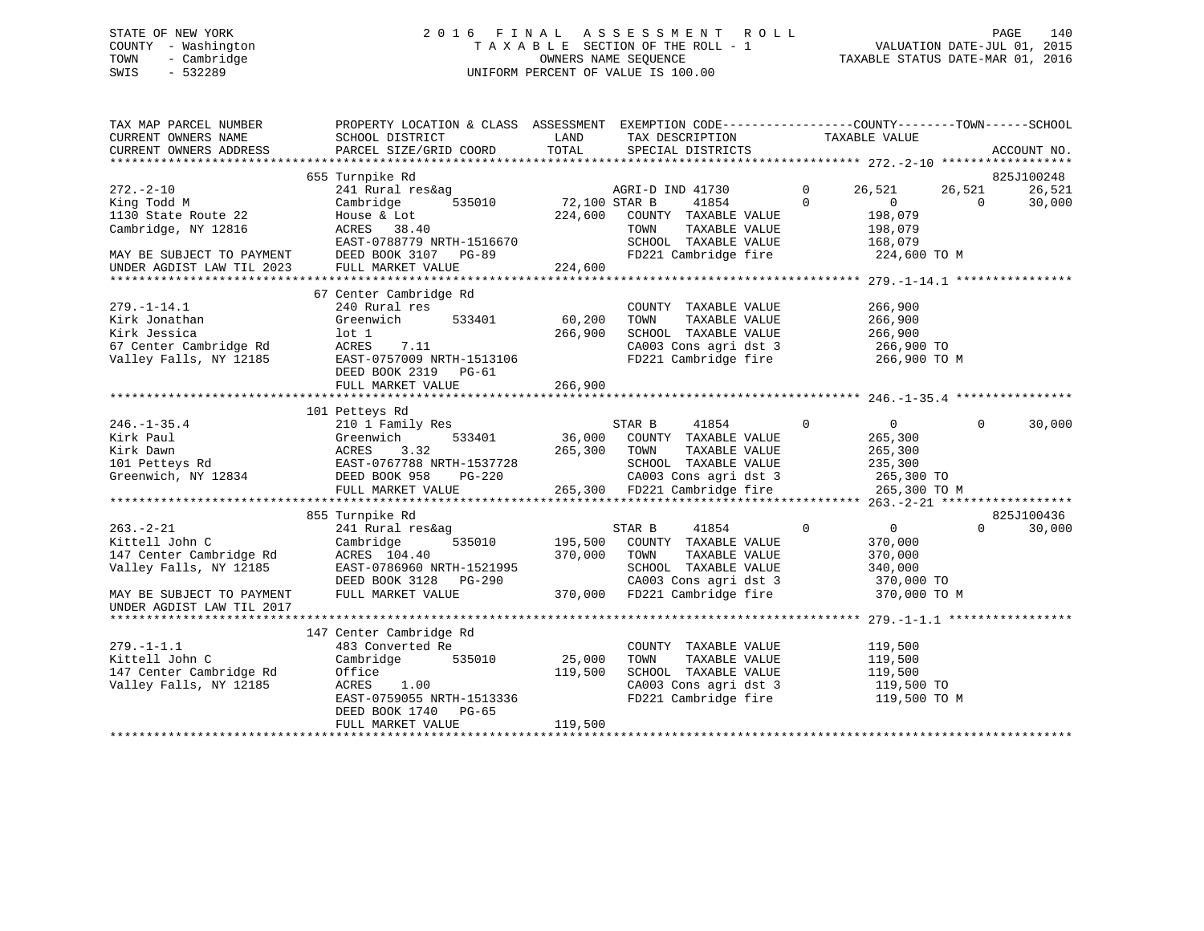## STATE OF NEW YORK 2 0 1 6 F I N A L A S S E S S M E N T R O L L PAGE 140 COUNTY - Washington T A X A B L E SECTION OF THE ROLL - 1 VALUATION DATE-JUL 01, 2015 TOWN - Cambridge OWNERS NAME SEQUENCE TAXABLE STATUS DATE-MAR 01, 2016 SWIS - 532289 UNIFORM PERCENT OF VALUE IS 100.00

| TAX MAP PARCEL NUMBER<br>CURRENT OWNERS NAME<br>CURRENT OWNERS ADDRESS                                                                           | PROPERTY LOCATION & CLASS ASSESSMENT EXEMPTION CODE---------------COUNTY-------TOWN-----SCHOOL<br>SCHOOL DISTRICT<br>PARCEL SIZE/GRID COORD                                                                                                                                     | LAND<br>TOTAL                       | TAX DESCRIPTION<br>SPECIAL DISTRICTS                                                                                                                                                                                                 | TAXABLE VALUE                                              | ACCOUNT NO.                                           |
|--------------------------------------------------------------------------------------------------------------------------------------------------|---------------------------------------------------------------------------------------------------------------------------------------------------------------------------------------------------------------------------------------------------------------------------------|-------------------------------------|--------------------------------------------------------------------------------------------------------------------------------------------------------------------------------------------------------------------------------------|------------------------------------------------------------|-------------------------------------------------------|
| $272. - 2 - 10$<br>King Todd M<br>1130 State Route 22<br>Cambridge, NY 12816<br>MAY BE SUBJECT TO PAYMENT<br>UNDER AGDIST LAW TIL 2023           | 655 Turnpike Rd<br>House & Lot<br>ACRES 38.40<br>EAST-0788779 NRTH-1516670<br>DEED BOOK 3107 PG-89<br>FULL MARKET VALUE                                                                                                                                                         | 224,600                             | AGRI-D IND 41730<br>41854 0<br>224,600 COUNTY TAXABLE VALUE<br>TOWN TAXABLE VALUE<br>SCHOOL TAXABLE VALUE 168,079<br>FD221 Cambridge fire 224,600 TO M                                                                               | $\overline{0}$<br>26,521<br>$\sim$ 0<br>198,079<br>198,079 | 825J100248<br>26,521<br>26,521<br>$\bigcap$<br>30,000 |
| $279. - 1 - 14.1$<br>Kirk Jonathan<br>Kirk Jessica<br>67 Center Cambridge Rd<br>Valley Falls, NY 12185                                           | 67 Center Cambridge Rd<br>240 Rural res<br>Greenwich<br>lot 1<br>7.11<br>ACRES<br>EAST-0757009 NRTH-1513106<br>DEED BOOK 2319 PG-61<br>FULL MARKET VALUE                                                                                                                        | 533401 60,200<br>266,900<br>266,900 | COUNTY TAXABLE VALUE<br>TAXABLE VALUE<br>TOWN<br>SCHOOL TAXABLE VALUE 266,900<br>CA003 Cons agri dst 3 266,900 TO<br>FD221 Cambridge fire 266,900 TO M                                                                               | 266,900<br>266,900                                         |                                                       |
| $246. - 1 - 35.4$                                                                                                                                | 101 Petteys Rd<br>210 1 Family Res<br>246.-1-35.4<br>Xirk Paul (Steenwich 1933401 36,000 COUNTY TAAADLE VALUE<br>Xirk Dawn ACRES 3.32<br>Xirk Dawn ACRES 3.32<br>265,300 TOWN TAXABLE VALUE 225,300<br>265,300 TOWN TAXABLE VALUE 265,300<br>265,300 TOWN TAXABLE VALUE 265,300 |                                     | $\sim$ 0<br>STAR B 41854                                                                                                                                                                                                             | $\overline{0}$                                             | $\overline{0}$<br>30,000                              |
| $263. - 2 - 21$<br>Kittell John C<br>147 Center Cambridge Rd<br>Valley Falls, NY 12185<br>MAY BE SUBJECT TO PAYMENT<br>UNDER AGDIST LAW TIL 2017 | 855 Turnpike Rd<br>241 Rural res&ag<br>Cambridge<br>ACRES 104.40<br>EAST-0786960 NRTH-1521995<br>DEED BOOK 3128 PG-290<br>FULL MARKET VALUE                                                                                                                                     | 370,000                             | STAR B<br>$\sim$ 0<br>41854<br>535010 195,500 COUNTY TAXABLE VALUE<br>TOWN<br>TAXABLE VALUE<br>SCHOOL TAXABLE VALUE<br>SCHOOL TAXABLE VALUE 340,000<br>CA003 Cons agri dst 3 370,000 TO<br>370,000 FD221 Cambridge fire 370,000 TO M | $\overline{0}$<br>370,000<br>370,000<br>340,000            | 825J100436<br>$\Omega$<br>30,000                      |
| $279. - 1 - 1.1$<br>Kittell John C<br>147 Center Cambridge Rd<br>Valley Falls, NY 12185                                                          | 147 Center Cambridge Rd<br>483 Converted Re<br>Cambridge<br>535010<br>Office<br>ACRES<br>1.00<br>EAST-0759055 NRTH-1513336<br>DEED BOOK 1740 PG-65<br>FULL MARKET VALUE                                                                                                         | 25,000<br>119,500<br>119,500        | COUNTY TAXABLE VALUE<br>TAXABLE VALUE<br>TOWN<br>SCHOOL TAXABLE VALUE 119,500<br>CA003 Cons agri dst 3<br>FD221 Cambridge fire                                                                                                       | 119,500<br>119,500<br>119,500 TO<br>119,500 TO M           |                                                       |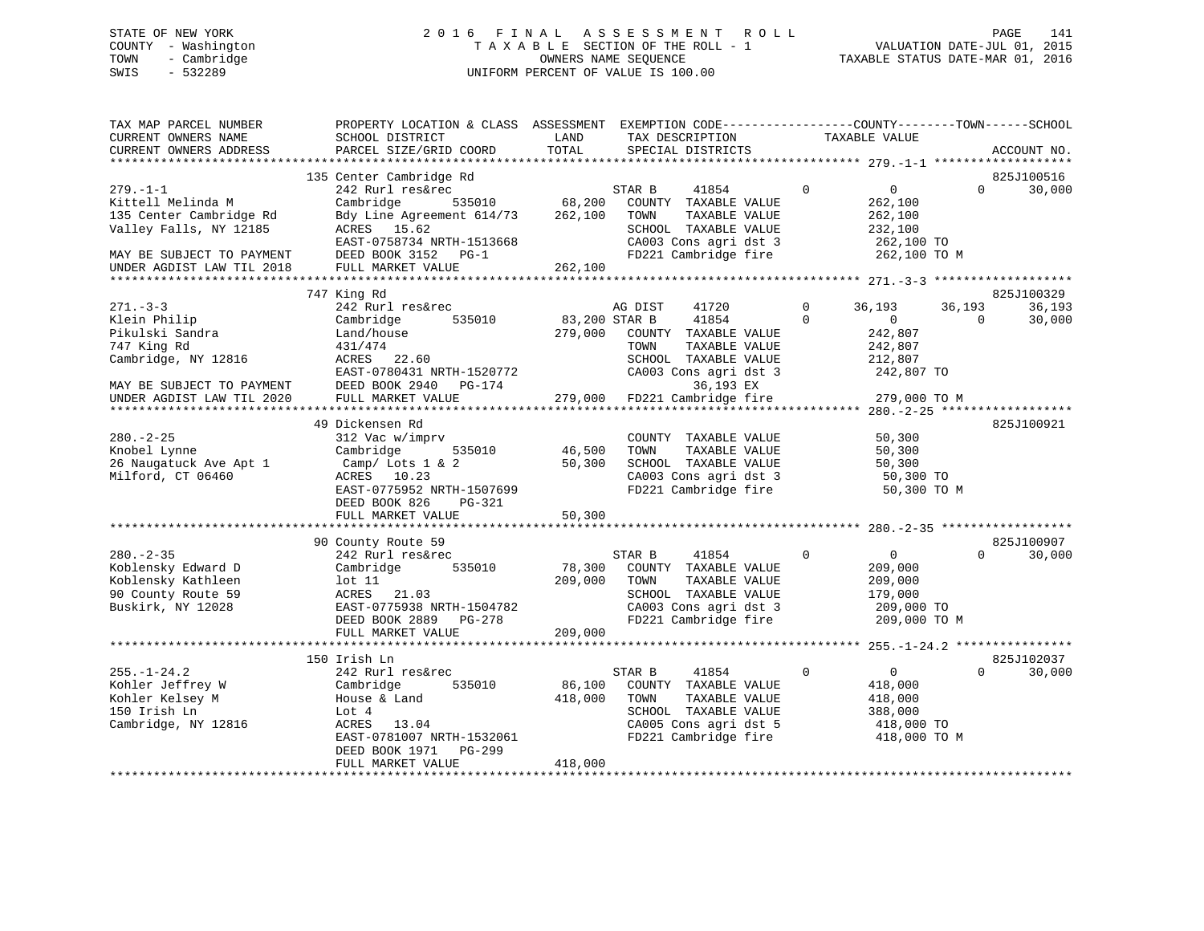## STATE OF NEW YORK 2 0 1 6 F I N A L A S S E S S M E N T R O L L PAGE 141 COUNTY - Washington T A X A B L E SECTION OF THE ROLL - 1 VALUATION DATE-JUL 01, 2015 TOWN - Cambridge OWNERS NAME SEQUENCE TAXABLE STATUS DATE-MAR 01, 2016 SWIS - 532289 UNIFORM PERCENT OF VALUE IS 100.00

| TAX MAP PARCEL NUMBER<br>CURRENT OWNERS NAME<br>CURRENT OWNERS ADDRESS | PROPERTY LOCATION & CLASS ASSESSMENT<br>SCHOOL DISTRICT<br>PARCEL SIZE/GRID COORD | LAND<br>TOTAL | EXEMPTION CODE-----------------COUNTY-------TOWN------SCHOOL<br>TAX DESCRIPTION<br>SPECIAL DISTRICTS | TAXABLE VALUE                 | ACCOUNT NO.                      |
|------------------------------------------------------------------------|-----------------------------------------------------------------------------------|---------------|------------------------------------------------------------------------------------------------------|-------------------------------|----------------------------------|
|                                                                        |                                                                                   |               |                                                                                                      |                               |                                  |
| $279. - 1 - 1$                                                         | 135 Center Cambridge Rd<br>242 Rurl res&rec                                       |               | STAR B<br>41854                                                                                      | $\mathbf 0$<br>$\overline{0}$ | 825J100516<br>30,000<br>$\Omega$ |
| Kittell Melinda M                                                      | 535010<br>Cambridge                                                               | 68,200        | COUNTY TAXABLE VALUE                                                                                 | 262,100                       |                                  |
| 135 Center Cambridge Rd                                                | Bdy Line Agreement 614/73                                                         | 262,100       | TAXABLE VALUE<br>TOWN                                                                                | 262,100                       |                                  |
| Valley Falls, NY 12185                                                 | ACRES 15.62                                                                       |               | SCHOOL TAXABLE VALUE                                                                                 | 232,100                       |                                  |
|                                                                        | EAST-0758734 NRTH-1513668                                                         |               | CA003 Cons agri dst 3                                                                                | 262,100 TO                    |                                  |
| MAY BE SUBJECT TO PAYMENT                                              | DEED BOOK 3152 PG-1                                                               |               | FD221 Cambridge fire                                                                                 | 262,100 TO M                  |                                  |
| UNDER AGDIST LAW TIL 2018                                              | FULL MARKET VALUE                                                                 | 262,100       |                                                                                                      |                               |                                  |
|                                                                        |                                                                                   |               |                                                                                                      |                               |                                  |
|                                                                        | 747 King Rd                                                                       |               |                                                                                                      |                               | 825J100329                       |
| $271 - 3 - 3$                                                          | 242 Rurl res&rec                                                                  |               | AG DIST<br>41720                                                                                     | $\Omega$<br>36,193            | 36,193<br>36,193                 |
| Klein Philip                                                           | Cambridge<br>535010                                                               | 83,200 STAR B | 41854                                                                                                | $\Omega$<br>$\overline{0}$    | $\mathbf 0$<br>30,000            |
| Pikulski Sandra                                                        | Land/house                                                                        | 279,000       | COUNTY TAXABLE VALUE                                                                                 | 242,807                       |                                  |
| 747 King Rd                                                            | 431/474                                                                           |               | TOWN<br>TAXABLE VALUE                                                                                | 242,807                       |                                  |
| Cambridge, NY 12816                                                    | 22.60<br>ACRES                                                                    |               | SCHOOL TAXABLE VALUE                                                                                 | 212,807                       |                                  |
|                                                                        | EAST-0780431 NRTH-1520772                                                         |               | CA003 Cons agri dst 3                                                                                | 242,807 TO                    |                                  |
| MAY BE SUBJECT TO PAYMENT                                              | DEED BOOK 2940 PG-174                                                             |               | 36,193 EX                                                                                            |                               |                                  |
| UNDER AGDIST LAW TIL 2020                                              | FULL MARKET VALUE                                                                 | 279,000       | FD221 Cambridge fire                                                                                 | 279,000 TO M                  |                                  |
|                                                                        |                                                                                   |               |                                                                                                      |                               |                                  |
|                                                                        | 49 Dickensen Rd                                                                   |               |                                                                                                      |                               | 825J100921                       |
| $280. - 2 - 25$                                                        | 312 Vac w/imprv                                                                   |               | COUNTY TAXABLE VALUE                                                                                 | 50,300                        |                                  |
| Knobel Lynne                                                           | 535010<br>Cambridge                                                               | 46,500        | TOWN<br>TAXABLE VALUE                                                                                | 50,300                        |                                  |
| 26 Naugatuck Ave Apt 1                                                 | Camp/ Lots 1 & 2                                                                  | 50,300        | SCHOOL TAXABLE VALUE                                                                                 | 50,300                        |                                  |
| Milford, CT 06460                                                      | ACRES 10.23                                                                       |               | CA003 Cons agri dst 3                                                                                | 50,300 TO                     |                                  |
|                                                                        | EAST-0775952 NRTH-1507699                                                         |               | FD221 Cambridge fire                                                                                 | 50,300 TO M                   |                                  |
|                                                                        | DEED BOOK 826<br>PG-321                                                           |               |                                                                                                      |                               |                                  |
|                                                                        | FULL MARKET VALUE                                                                 | 50,300        |                                                                                                      |                               |                                  |
|                                                                        |                                                                                   |               |                                                                                                      |                               | 825J100907                       |
| $280. - 2 - 35$                                                        | 90 County Route 59<br>242 Rurl res&rec                                            |               | STAR B<br>41854                                                                                      | $\mathbf{0}$                  | 30,000<br>$\Omega$               |
| Koblensky Edward D                                                     | 535010<br>Cambridge                                                               | 78,300        | COUNTY TAXABLE VALUE                                                                                 | $\mathbf 0$<br>209,000        |                                  |
| Koblensky Kathleen                                                     | $1$ ot $11$                                                                       | 209,000       | TAXABLE VALUE<br>TOWN                                                                                | 209,000                       |                                  |
| 90 County Route 59                                                     | ACRES 21.03                                                                       |               | SCHOOL TAXABLE VALUE                                                                                 | 179,000                       |                                  |
| Buskirk, NY 12028                                                      | EAST-0775938 NRTH-1504782                                                         |               | CA003 Cons agri dst 3                                                                                | 209,000 TO                    |                                  |
|                                                                        | DEED BOOK 2889 PG-278                                                             |               | FD221 Cambridge fire                                                                                 | 209,000 TO M                  |                                  |
|                                                                        | FULL MARKET VALUE                                                                 | 209,000       |                                                                                                      |                               |                                  |
|                                                                        | ********************                                                              |               |                                                                                                      |                               |                                  |
|                                                                        | 150 Irish Ln                                                                      |               |                                                                                                      |                               | 825J102037                       |
| $255. - 1 - 24.2$                                                      | 242 Rurl res&rec                                                                  |               | STAR B<br>41854                                                                                      | $\overline{0}$<br>$\mathbf 0$ | 30,000<br>$\Omega$               |
| Kohler Jeffrey W                                                       | 535010<br>Cambridge                                                               | 86,100        | COUNTY TAXABLE VALUE                                                                                 | 418,000                       |                                  |
| Kohler Kelsey M                                                        | House & Land                                                                      | 418,000       | TOWN<br>TAXABLE VALUE                                                                                | 418,000                       |                                  |
| 150 Irish Ln                                                           | Lot 4                                                                             |               | SCHOOL TAXABLE VALUE                                                                                 | 388,000                       |                                  |
| Cambridge, NY 12816                                                    | 13.04<br>ACRES                                                                    |               | CA005 Cons agri dst 5                                                                                | 418,000 TO                    |                                  |
|                                                                        | EAST-0781007 NRTH-1532061                                                         |               | FD221 Cambridge fire                                                                                 | 418,000 TO M                  |                                  |
|                                                                        | DEED BOOK 1971<br>PG-299                                                          |               |                                                                                                      |                               |                                  |
|                                                                        | FULL MARKET VALUE                                                                 | 418,000       |                                                                                                      |                               |                                  |
|                                                                        |                                                                                   |               |                                                                                                      |                               |                                  |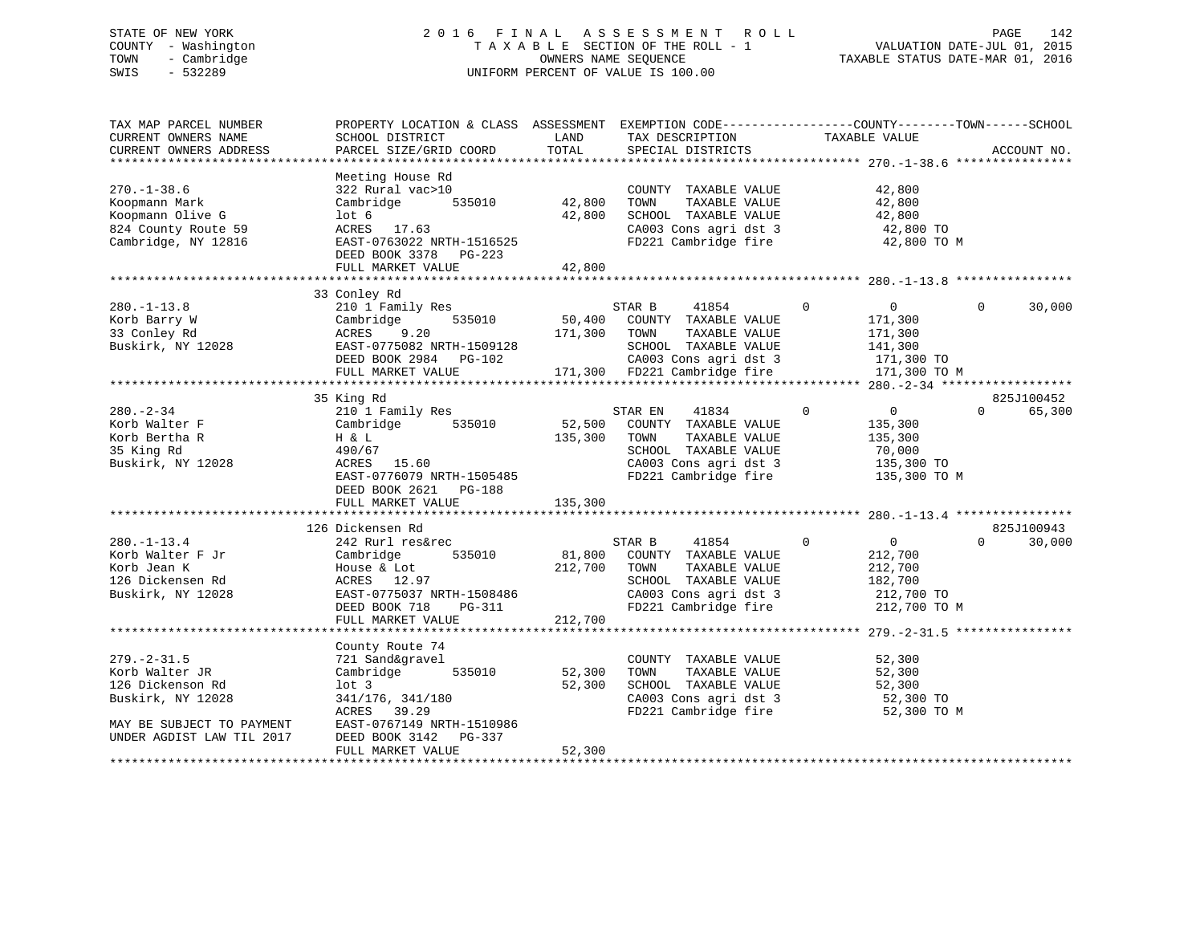## STATE OF NEW YORK 2 0 1 6 F I N A L A S S E S S M E N T R O L L PAGE 142 COUNTY - Washington T A X A B L E SECTION OF THE ROLL - 1 VALUATION DATE-JUL 01, 2015 TOWN - Cambridge OWNERS NAME SEQUENCE TAXABLE STATUS DATE-MAR 01, 2016 SWIS - 532289 UNIFORM PERCENT OF VALUE IS 100.00

| TAX MAP PARCEL NUMBER<br>CURRENT OWNERS NAME | PROPERTY LOCATION & CLASS ASSESSMENT<br>SCHOOL DISTRICT | LAND    | EXEMPTION CODE-----------------COUNTY-------TOWN------SCHOOL<br>TAX DESCRIPTION | TAXABLE VALUE                       |                    |
|----------------------------------------------|---------------------------------------------------------|---------|---------------------------------------------------------------------------------|-------------------------------------|--------------------|
| CURRENT OWNERS ADDRESS                       | PARCEL SIZE/GRID COORD                                  | TOTAL   | SPECIAL DISTRICTS                                                               |                                     | ACCOUNT NO.        |
| *************************                    |                                                         |         |                                                                                 |                                     |                    |
|                                              | Meeting House Rd                                        |         |                                                                                 |                                     |                    |
| $270. - 1 - 38.6$                            | 322 Rural vac>10                                        |         | COUNTY TAXABLE VALUE                                                            | 42,800                              |                    |
| Koopmann Mark                                | Cambridge<br>535010                                     | 42,800  | TOWN<br>TAXABLE VALUE                                                           | 42,800                              |                    |
| Koopmann Olive G                             | lot 6                                                   | 42,800  | SCHOOL TAXABLE VALUE                                                            | 42,800                              |                    |
| 824 County Route 59                          | ACRES 17.63                                             |         | CA003 Cons agri dst 3                                                           | 42,800 TO                           |                    |
| Cambridge, NY 12816                          | EAST-0763022 NRTH-1516525                               |         | FD221 Cambridge fire                                                            | 42,800 TO M                         |                    |
|                                              | DEED BOOK 3378 PG-223                                   |         |                                                                                 |                                     |                    |
|                                              | FULL MARKET VALUE                                       | 42,800  |                                                                                 |                                     |                    |
|                                              |                                                         |         |                                                                                 |                                     |                    |
|                                              | 33 Conley Rd                                            |         |                                                                                 |                                     |                    |
| $280. - 1 - 13.8$                            | 210 1 Family Res                                        |         | STAR B<br>41854                                                                 | 0<br>$\overline{0}$                 | $\Omega$<br>30,000 |
| Korb Barry W                                 | 535010<br>Cambridge                                     | 50,400  | COUNTY TAXABLE VALUE                                                            | 171,300                             |                    |
| 33 Conley Rd                                 | ACRES<br>9.20                                           | 171,300 | TOWN<br>TAXABLE VALUE                                                           | 171,300                             |                    |
| Buskirk, NY 12028                            | EAST-0775082 NRTH-1509128                               |         | SCHOOL TAXABLE VALUE                                                            | 141,300                             |                    |
|                                              | DEED BOOK 2984 PG-102                                   |         | CA003 Cons agri dst 3                                                           | 171,300 TO                          |                    |
|                                              | FULL MARKET VALUE                                       |         | 171,300 FD221 Cambridge fire                                                    | 171,300 TO M                        |                    |
|                                              |                                                         |         |                                                                                 |                                     |                    |
|                                              | 35 King Rd                                              |         |                                                                                 |                                     | 825J100452         |
| $280 - 2 - 34$                               | 210 1 Family Res                                        |         | STAR EN<br>41834                                                                | $\mathbf 0$<br>$\mathbf 0$          | 65,300<br>$\Omega$ |
| Korb Walter F                                | 535010<br>Cambridge                                     | 52,500  | COUNTY TAXABLE VALUE                                                            | 135,300                             |                    |
| Korb Bertha R                                | H & L                                                   | 135,300 | TOWN<br>TAXABLE VALUE                                                           | 135,300                             |                    |
| 35 King Rd                                   | 490/67                                                  |         | SCHOOL TAXABLE VALUE                                                            | 70,000                              |                    |
| Buskirk, NY 12028                            | ACRES<br>15.60                                          |         | CA003 Cons agri dst 3                                                           | 135,300 TO                          |                    |
|                                              | EAST-0776079 NRTH-1505485                               |         | FD221 Cambridge fire                                                            | 135,300 TO M                        |                    |
|                                              | DEED BOOK 2621<br>PG-188                                |         |                                                                                 |                                     |                    |
|                                              | FULL MARKET VALUE                                       | 135,300 |                                                                                 |                                     |                    |
|                                              |                                                         |         |                                                                                 |                                     |                    |
|                                              | 126 Dickensen Rd                                        |         |                                                                                 |                                     | 825J100943         |
| $280. - 1 - 13.4$                            | 242 Rurl res&rec                                        |         | 41854<br>STAR B                                                                 | $\Omega$<br>$\overline{0}$          | $\Omega$<br>30,000 |
| Korb Walter F Jr                             | Cambridge<br>535010                                     | 81,800  | COUNTY TAXABLE VALUE                                                            | 212,700                             |                    |
| Korb Jean K                                  | House & Lot                                             | 212,700 | TOWN<br>TAXABLE VALUE                                                           | 212,700                             |                    |
| 126 Dickensen Rd                             | ACRES 12.97                                             |         | SCHOOL TAXABLE VALUE                                                            | 182,700                             |                    |
| Buskirk, NY 12028                            | EAST-0775037 NRTH-1508486                               |         | CA003 Cons agri dst 3                                                           | 212,700 TO                          |                    |
|                                              | DEED BOOK 718<br>PG-311                                 |         | FD221 Cambridge fire                                                            | 212,700 TO M                        |                    |
|                                              | FULL MARKET VALUE                                       | 212,700 |                                                                                 |                                     |                    |
|                                              |                                                         |         |                                                                                 | **************** 279. -2-31.5 ***** |                    |
|                                              | County Route 74                                         |         |                                                                                 |                                     |                    |
| $279. - 2 - 31.5$                            | 721 Sand&gravel                                         |         | COUNTY TAXABLE VALUE                                                            | 52,300                              |                    |
| Korb Walter JR                               | Cambridge<br>535010                                     | 52,300  | TOWN<br>TAXABLE VALUE                                                           | 52,300                              |                    |
| 126 Dickenson Rd                             | $1$ ot $3$                                              | 52,300  | SCHOOL TAXABLE VALUE                                                            | 52,300                              |                    |
| Buskirk, NY 12028                            | 341/176, 341/180                                        |         | CA003 Cons agri dst 3                                                           | 52,300 TO                           |                    |
|                                              | ACRES<br>39.29                                          |         | FD221 Cambridge fire                                                            | 52,300 TO M                         |                    |
| MAY BE SUBJECT TO PAYMENT                    | EAST-0767149 NRTH-1510986                               |         |                                                                                 |                                     |                    |
| UNDER AGDIST LAW TIL 2017                    | DEED BOOK 3142<br>PG-337                                |         |                                                                                 |                                     |                    |
|                                              | FULL MARKET VALUE                                       | 52,300  |                                                                                 |                                     |                    |
|                                              |                                                         |         |                                                                                 |                                     |                    |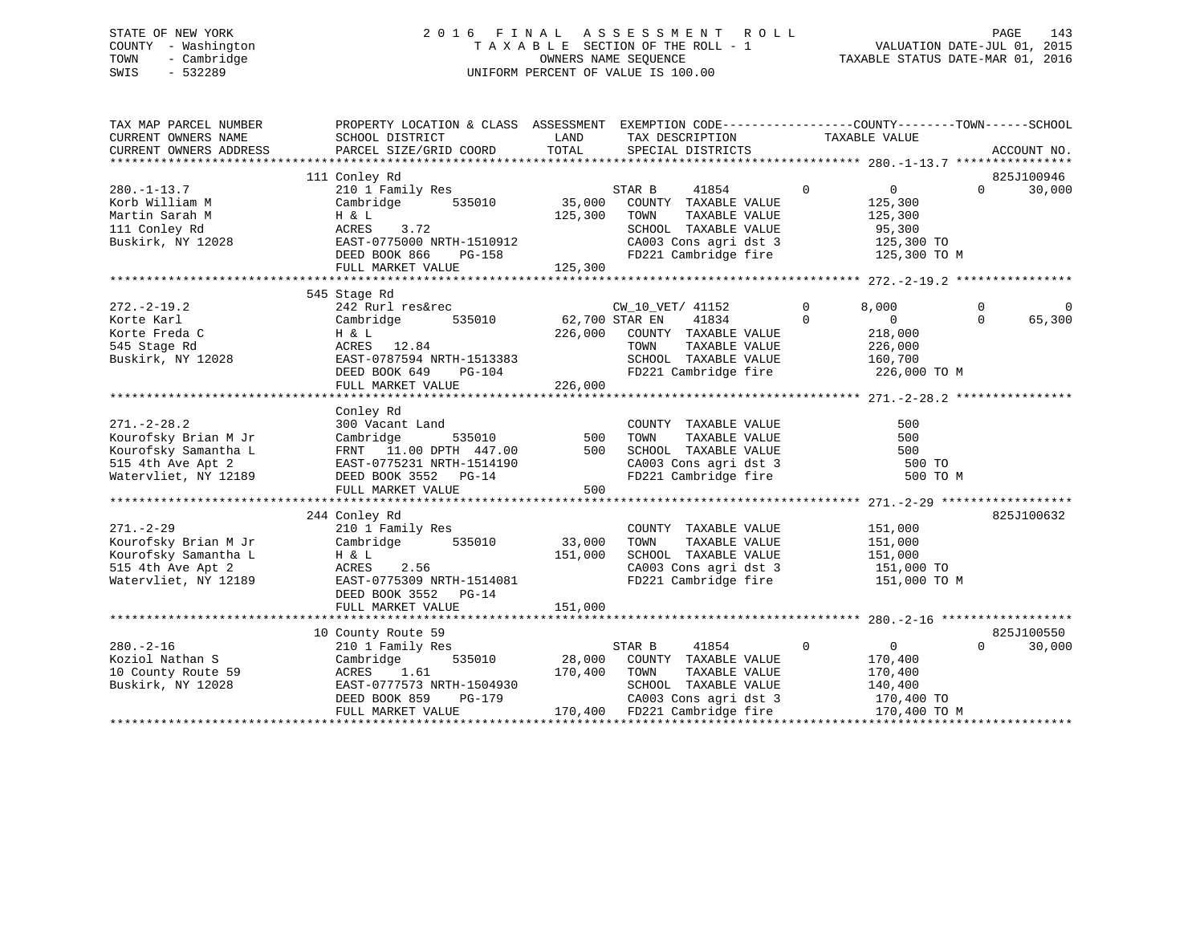## STATE OF NEW YORK 2 0 1 6 F I N A L A S S E S S M E N T R O L L PAGE 143 COUNTY - Washington T A X A B L E SECTION OF THE ROLL - 1 VALUATION DATE-JUL 01, 2015 TOWN - Cambridge OWNERS NAME SEQUENCE TAXABLE STATUS DATE-MAR 01, 2016 SWIS - 532289 UNIFORM PERCENT OF VALUE IS 100.00

| TAX MAP PARCEL NUMBER<br>CURRENT OWNERS NAME<br>CURRENT OWNERS ADDRESS                                         | PROPERTY LOCATION & CLASS ASSESSMENT EXEMPTION CODE---------------COUNTY-------TOWN-----SCHOOL<br>SCHOOL DISTRICT<br>PARCEL SIZE/GRID COORD                 | LAND<br>TOTAL                    | TAX DESCRIPTION TAXABLE VALUE<br>SPECIAL DISTRICTS                                                                                                     |                                                                                                  | ACCOUNT NO.                                |
|----------------------------------------------------------------------------------------------------------------|-------------------------------------------------------------------------------------------------------------------------------------------------------------|----------------------------------|--------------------------------------------------------------------------------------------------------------------------------------------------------|--------------------------------------------------------------------------------------------------|--------------------------------------------|
| $280. - 1 - 13.7$<br>Korb William M<br>Martin Sarah M<br>111 Conley Rd<br>Buskirk, NY 12028                    | 111 Conley Rd<br>210 1 Family Res<br>Cambridge<br>535010<br>H & L<br>3.72<br>ACRES<br>EAST-0775000 NRTH-1510912<br>$PG-158$<br>DEED BOOK 866                | 35,000<br>125,300                | STAR B<br>41854<br>COUNTY TAXABLE VALUE<br>TOWN<br>TAXABLE VALUE<br>SCHOOL TAXABLE VALUE<br>CA003 Cons agri dst 3<br>FD221 Cambridge fire 125,300 TO M | $\Omega$<br>$\overline{0}$<br>125,300<br>125,300<br>95,300<br>125,300 TO                         | 825J100946<br>$\Omega$<br>30,000           |
|                                                                                                                |                                                                                                                                                             |                                  |                                                                                                                                                        |                                                                                                  |                                            |
| $272 - 2 - 19.2$<br>Korte Karl<br>Korte Freda C<br>545 Stage Rd<br>Buskirk, NY 12028                           | 545 Stage Rd<br>242 Rurl res&rec<br>Cambridge<br>H & L<br>ACRES 12.84<br>EAST-0787594 NRTH-1513383<br>DEED BOOK 649 PG-104<br>FULL MARKET VALUE             | 535010 62,700 STAR EN<br>226,000 | CW_10_VET/ 41152<br>41834<br>226,000 COUNTY TAXABLE VALUE<br>TOWN<br>TAXABLE VALUE<br>SCHOOL TAXABLE VALUE<br>FD221 Cambridge fire                     | $\Omega$<br>8,000<br>$\Omega$<br>$\overline{0}$<br>218,000<br>226,000<br>160,700<br>226,000 TO M | $\Omega$<br>$\Omega$<br>$\Omega$<br>65,300 |
|                                                                                                                |                                                                                                                                                             |                                  |                                                                                                                                                        |                                                                                                  |                                            |
| $271. - 2 - 28.2$<br>Kourofsky Brian M Jr<br>Kourofsky Samantha L<br>515 4th Ave Apt 2<br>Watervliet, NY 12189 | Conley Rd<br>300 Vacant Land<br>535010<br>Cambridge<br>FRNT 11.00 DPTH 447.00<br>EAST-0775231 NRTH-1514190<br>DEED BOOK 3552 PG-14<br>FULL MARKET VALUE     | 500<br>500<br>500                | COUNTY TAXABLE VALUE<br>TOWN<br>TAXABLE VALUE<br>SCHOOL TAXABLE VALUE<br>CA003 Cons agri dst 3<br>Theol combridge fire<br>FD221 Cambridge fire         | 500<br>500<br>500<br>500 TO<br>500 TO M                                                          |                                            |
|                                                                                                                | 244 Conley Rd                                                                                                                                               |                                  |                                                                                                                                                        |                                                                                                  | 825J100632                                 |
| $271. - 2 - 29$<br>Kourofsky Brian M Jr<br>Kourofsky Samantha L<br>515 4th Ave Apt 2<br>Watervliet, NY 12189   | 210 1 Family Res<br>535010<br>Cambridge<br>H & L<br>ACRES<br>2.56<br>EAST-0775309 NRTH-1514081<br>DEED BOOK 3552 PG-14<br>FULL MARKET VALUE                 | 33,000<br>151,000<br>151,000     | COUNTY TAXABLE VALUE<br>TAXABLE VALUE<br>TOWN<br>SCHOOL TAXABLE VALUE<br>CA003 Cons agri dst 3<br>FD221 Cambridge fire                                 | 151,000<br>151,000<br>151,000<br>151,000 TO<br>151,000 TO M                                      |                                            |
|                                                                                                                |                                                                                                                                                             |                                  |                                                                                                                                                        |                                                                                                  |                                            |
| $280. - 2 - 16$<br>Koziol Nathan S<br>10 County Route 59<br>Buskirk, NY 12028                                  | 10 County Route 59<br>210 1 Family Res<br>Cambridge<br>535010<br>ACRES<br>1.61<br>EAST-0777573 NRTH-1504930<br>DEED BOOK 859<br>PG-179<br>FULL MARKET VALUE | 28,000<br>170,400                | STAR B<br>41854<br>COUNTY TAXABLE VALUE<br>TOWN<br>TAXABLE VALUE<br>SCHOOL TAXABLE VALUE<br>CA003 Cons agri dst 3<br>170,400 FD221 Cambridge fire      | $\mathbf 0$<br>$\overline{0}$<br>170,400<br>170,400<br>140,400<br>170,400 TO<br>170,400 TO M     | 825J100550<br>30,000<br>$\Omega$           |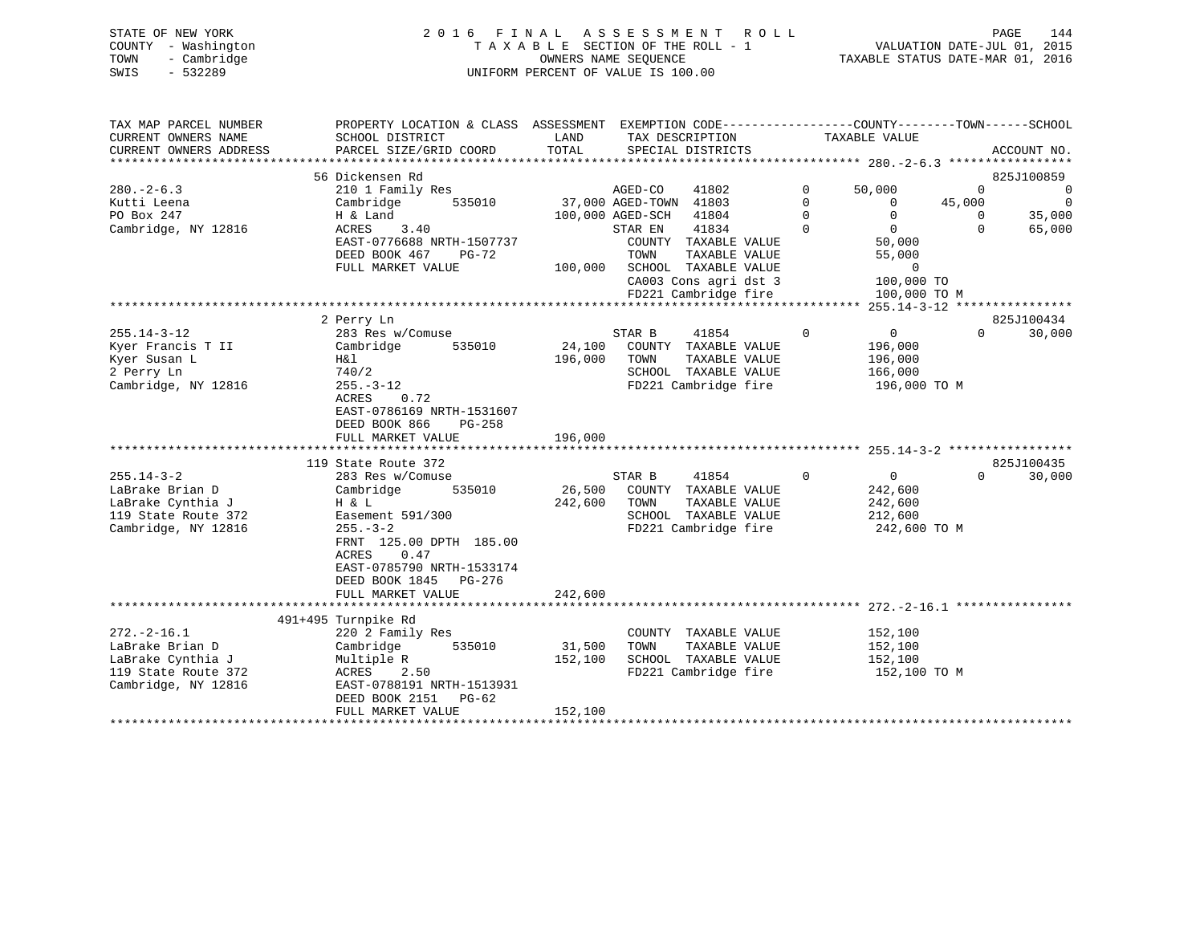|      | STATE OF NEW YORK   | 2016 FINAL ASSESSMENT ROLL         | 144<br>PAGE                      |
|------|---------------------|------------------------------------|----------------------------------|
|      | COUNTY - Washington | TAXABLE SECTION OF THE ROLL - 1    | VALUATION DATE-JUL 01, 2015      |
| TOWN | - Cambridge         | OWNERS NAME SEOUENCE               | TAXABLE STATUS DATE-MAR 01, 2016 |
| SWIS | $-532289$           | UNIFORM PERCENT OF VALUE IS 100.00 |                                  |

| TAX MAP PARCEL NUMBER  | PROPERTY LOCATION & CLASS ASSESSMENT EXEMPTION CODE---------------COUNTY-------TOWN-----SCHOOL |         |                        |                             |             |                |              |                |
|------------------------|------------------------------------------------------------------------------------------------|---------|------------------------|-----------------------------|-------------|----------------|--------------|----------------|
| CURRENT OWNERS NAME    | SCHOOL DISTRICT                                                                                | LAND    |                        | TAX DESCRIPTION             |             | TAXABLE VALUE  |              |                |
| CURRENT OWNERS ADDRESS | PARCEL SIZE/GRID COORD                                                                         | TOTAL   |                        | SPECIAL DISTRICTS           |             |                |              | ACCOUNT NO.    |
|                        |                                                                                                |         |                        |                             |             |                |              |                |
|                        | 56 Dickensen Rd                                                                                |         |                        |                             |             |                |              | 825J100859     |
| $280 - 2 - 6.3$        | 210 1 Family Res                                                                               |         | AGED-CO                | 41802                       | $\mathbf 0$ | 50,000         | $\mathbf{0}$ | $\overline{0}$ |
| Kutti Leena            | 535010<br>Cambridge                                                                            |         | 37,000 AGED-TOWN 41803 |                             | $\Omega$    | $\Omega$       | 45,000       | $\overline{0}$ |
| PO Box 247             | H & Land                                                                                       |         | 100,000 AGED-SCH 41804 |                             | $\Omega$    | $\Omega$       | $\Omega$     | 35,000         |
| Cambridge, NY 12816    | ACRES<br>3.40                                                                                  |         | STAR EN                | 41834                       | $\Omega$    | $\overline{0}$ | $\Omega$     | 65,000         |
|                        | EAST-0776688 NRTH-1507737                                                                      |         |                        | COUNTY TAXABLE VALUE        |             | 50,000         |              |                |
|                        | DEED BOOK 467<br>PG-72                                                                         |         | TOWN                   | TAXABLE VALUE               |             | 55,000         |              |                |
|                        | FULL MARKET VALUE                                                                              | 100,000 |                        | SCHOOL TAXABLE VALUE        |             | $\mathbf 0$    |              |                |
|                        |                                                                                                |         |                        | CA003 Cons agri dst 3       |             | 100,000 TO     |              |                |
|                        |                                                                                                |         |                        | FD221 Cambridge fire        |             | 100,000 TO M   |              |                |
|                        |                                                                                                |         |                        |                             |             |                |              |                |
|                        | 2 Perry Ln                                                                                     |         |                        |                             |             |                |              | 825J100434     |
| $255.14 - 3 - 12$      | 283 Res w/Comuse                                                                               |         | STAR B                 | 41854                       | $\Omega$    | $\overline{0}$ | $\Omega$     | 30,000         |
| Kyer Francis T II      | Cambridge<br>535010                                                                            |         |                        | 24,100 COUNTY TAXABLE VALUE |             | 196,000        |              |                |
| Kyer Susan L           | H&l                                                                                            | 196,000 | TOWN                   | TAXABLE VALUE               |             | 196,000        |              |                |
| 2 Perry Ln             | 740/2                                                                                          |         |                        | SCHOOL TAXABLE VALUE        |             | 166,000        |              |                |
| Cambridge, NY 12816    | $255. - 3 - 12$                                                                                |         |                        | FD221 Cambridge fire        |             | 196,000 ТО М   |              |                |
|                        | 0.72<br>ACRES                                                                                  |         |                        |                             |             |                |              |                |
|                        | EAST-0786169 NRTH-1531607                                                                      |         |                        |                             |             |                |              |                |
|                        | DEED BOOK 866<br>PG-258                                                                        |         |                        |                             |             |                |              |                |
|                        | FULL MARKET VALUE                                                                              | 196,000 |                        |                             |             |                |              |                |
|                        |                                                                                                |         |                        |                             |             |                |              |                |
|                        | 119 State Route 372                                                                            |         |                        |                             |             |                |              | 825J100435     |
| $255.14 - 3 - 2$       | 283 Res w/Comuse                                                                               |         | STAR B                 | 41854                       | $\mathbf 0$ | $\overline{0}$ | $\Omega$     | 30,000         |
| LaBrake Brian D        | Cambridge<br>535010                                                                            | 26,500  |                        | COUNTY TAXABLE VALUE        |             | 242,600        |              |                |
| LaBrake Cynthia J      | H & L                                                                                          | 242,600 | TOWN                   | TAXABLE VALUE               |             | 242,600        |              |                |
| 119 State Route 372    | Easement 591/300                                                                               |         |                        | SCHOOL TAXABLE VALUE        |             | 212,600        |              |                |
| Cambridge, NY 12816    | $255. - 3 - 2$                                                                                 |         |                        | FD221 Cambridge fire        |             | 242,600 TO M   |              |                |
|                        | FRNT 125.00 DPTH 185.00                                                                        |         |                        |                             |             |                |              |                |
|                        | 0.47<br>ACRES                                                                                  |         |                        |                             |             |                |              |                |
|                        | EAST-0785790 NRTH-1533174                                                                      |         |                        |                             |             |                |              |                |
|                        | DEED BOOK 1845 PG-276                                                                          |         |                        |                             |             |                |              |                |
|                        | FULL MARKET VALUE                                                                              | 242,600 |                        |                             |             |                |              |                |
|                        |                                                                                                |         |                        |                             |             |                |              |                |
|                        | 491+495 Turnpike Rd                                                                            |         |                        |                             |             |                |              |                |
| $272. - 2 - 16.1$      | 220 2 Family Res                                                                               |         |                        | COUNTY TAXABLE VALUE        |             | 152,100        |              |                |
| LaBrake Brian D        | Cambridge<br>535010                                                                            | 31,500  | TOWN                   | TAXABLE VALUE               |             | 152,100        |              |                |
| LaBrake Cynthia J      | Multiple R                                                                                     | 152,100 |                        | SCHOOL TAXABLE VALUE        |             | 152,100        |              |                |
| 119 State Route 372    | ACRES 2.50                                                                                     |         |                        | FD221 Cambridge fire        |             | 152,100 TO M   |              |                |
| Cambridge, NY 12816    | EAST-0788191 NRTH-1513931                                                                      |         |                        |                             |             |                |              |                |
|                        | DEED BOOK 2151 PG-62                                                                           |         |                        |                             |             |                |              |                |
|                        | FULL MARKET VALUE                                                                              | 152,100 |                        |                             |             |                |              |                |
|                        |                                                                                                |         |                        |                             |             |                |              |                |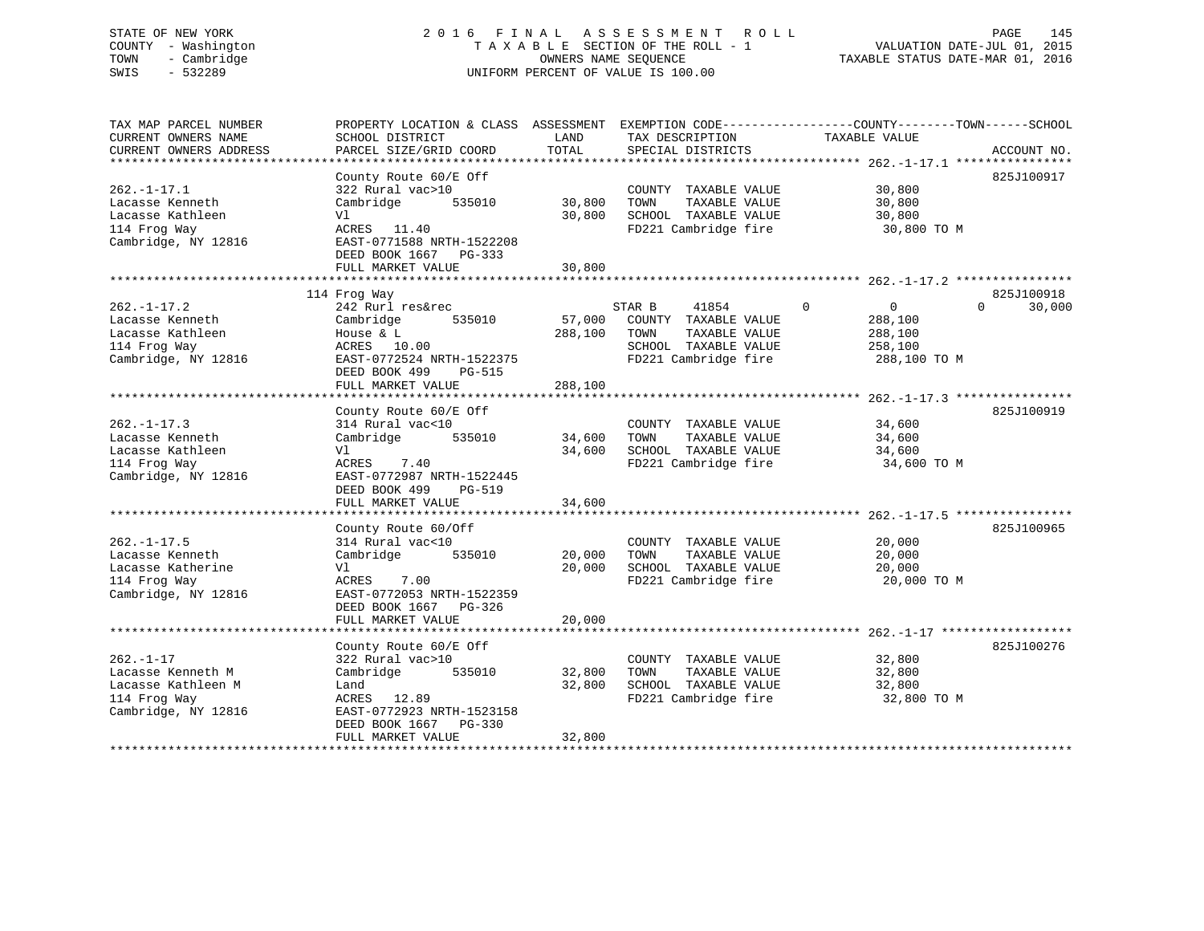# STATE OF NEW YORK 2 0 1 6 F I N A L A S S E S S M E N T R O L L PAGE 145 COUNTY - Washington T A X A B L E SECTION OF THE ROLL - 1 VALUATION DATE-JUL 01, 2015 TOWN - Cambridge OWNERS NAME SEQUENCE TAXABLE STATUS DATE-MAR 01, 2016 SWIS - 532289 UNIFORM PERCENT OF VALUE IS 100.00

| TAX MAP PARCEL NUMBER<br>CURRENT OWNERS NAME<br>CURRENT OWNERS ADDRESS<br>**********************  | PROPERTY LOCATION & CLASS ASSESSMENT<br>SCHOOL DISTRICT<br>PARCEL SIZE/GRID COORD<br>********************                                                               | LAND<br>TOTAL                | TAX DESCRIPTION<br>SPECIAL DISTRICTS                                                                             | EXEMPTION CODE-----------------COUNTY-------TOWN------SCHOOL<br>TAXABLE VALUE | ACCOUNT NO.                      |
|---------------------------------------------------------------------------------------------------|-------------------------------------------------------------------------------------------------------------------------------------------------------------------------|------------------------------|------------------------------------------------------------------------------------------------------------------|-------------------------------------------------------------------------------|----------------------------------|
| $262. - 1 - 17.1$<br>Lacasse Kenneth<br>Lacasse Kathleen<br>114 Frog Way<br>Cambridge, NY 12816   | County Route 60/E Off<br>322 Rural vac>10<br>Cambridge<br>535010<br>Vl<br>ACRES 11.40<br>EAST-0771588 NRTH-1522208<br>DEED BOOK 1667<br>PG-333<br>FULL MARKET VALUE     | 30,800<br>30,800<br>30,800   | COUNTY TAXABLE VALUE<br>TOWN<br>TAXABLE VALUE<br>SCHOOL TAXABLE VALUE<br>FD221 Cambridge fire                    | 30,800<br>30,800<br>30,800<br>30,800 TO M                                     | 825J100917                       |
| $262. - 1 - 17.2$<br>Lacasse Kenneth<br>Lacasse Kathleen<br>114 Frog Way<br>Cambridge, NY 12816   | 114 Frog Way<br>242 Rurl res&rec<br>Cambridge<br>535010<br>House & L<br>ACRES 10.00<br>EAST-0772524 NRTH-1522375<br>DEED BOOK 499<br><b>PG-515</b><br>FULL MARKET VALUE | 57,000<br>288,100<br>288,100 | 41854<br>STAR B<br>COUNTY TAXABLE VALUE<br>TAXABLE VALUE<br>TOWN<br>SCHOOL TAXABLE VALUE<br>FD221 Cambridge fire | $\overline{0}$<br>0<br>288,100<br>288,100<br>258,100<br>288,100 TO M          | 825J100918<br>30,000<br>$\Omega$ |
| $262. -1 - 17.3$<br>Lacasse Kenneth<br>Lacasse Kathleen<br>114 Frog Way<br>Cambridge, NY 12816    | County Route 60/E Off<br>314 Rural vac<10<br>Cambridge<br>535010<br>Vl<br>ACRES<br>7.40<br>EAST-0772987 NRTH-1522445<br>DEED BOOK 499<br>PG-519<br>FULL MARKET VALUE    | 34,600<br>34,600<br>34,600   | COUNTY TAXABLE VALUE<br>TOWN<br>TAXABLE VALUE<br>SCHOOL TAXABLE VALUE<br>FD221 Cambridge fire                    | 34,600<br>34,600<br>34,600<br>34,600 TO M                                     | 825J100919                       |
| $262. - 1 - 17.5$<br>Lacasse Kenneth<br>Lacasse Katherine<br>114 Frog Way<br>Cambridge, NY 12816  | County Route 60/Off<br>314 Rural vac<10<br>Cambridge<br>535010<br>Vl<br>ACRES<br>7.00<br>EAST-0772053 NRTH-1522359<br>DEED BOOK 1667<br>PG-326<br>FULL MARKET VALUE     | 20,000<br>20,000<br>20,000   | COUNTY TAXABLE VALUE<br>TOWN<br>TAXABLE VALUE<br>SCHOOL TAXABLE VALUE<br>FD221 Cambridge fire                    | 20,000<br>20,000<br>20,000<br>20,000 TO M                                     | 825J100965                       |
| $262. - 1 - 17$<br>Lacasse Kenneth M<br>Lacasse Kathleen M<br>114 Frog Way<br>Cambridge, NY 12816 | County Route 60/E Off<br>322 Rural vac>10<br>Cambridge<br>535010<br>Land<br>ACRES 12.89<br>EAST-0772923 NRTH-1523158<br>DEED BOOK 1667<br>PG-330<br>FULL MARKET VALUE   | 32,800<br>32,800<br>32,800   | COUNTY TAXABLE VALUE<br>TOWN<br>TAXABLE VALUE<br>SCHOOL TAXABLE VALUE<br>FD221 Cambridge fire                    | 32,800<br>32,800<br>32,800<br>32,800 TO M                                     | 825J100276                       |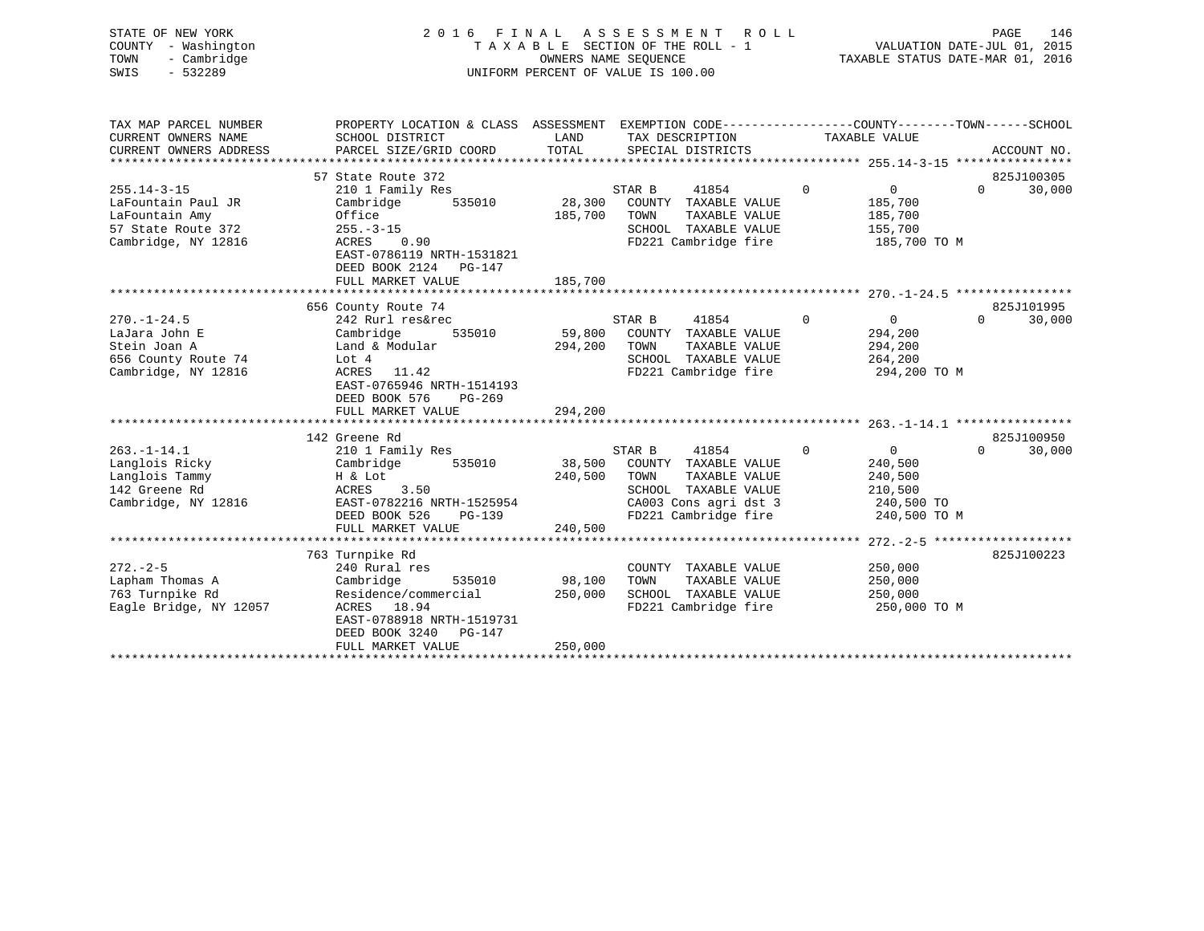| STATE OF NEW YORK<br>- Washington<br>COUNTY<br>- Cambridge<br>TOWN<br>$-532289$<br>SWIS | 2016 FINAL                                                                        |               | ASSESSMENT ROLL<br>T A X A B L E SECTION OF THE ROLL - 1 VALUATION DATE-JUL 01, 2015<br>OWNERS NAME SEOUENCE<br>UNIFORM PERCENT OF VALUE IS 100.00 | TAXABLE STATUS DATE-MAR 01, 2016 | 146<br>PAGE            |
|-----------------------------------------------------------------------------------------|-----------------------------------------------------------------------------------|---------------|----------------------------------------------------------------------------------------------------------------------------------------------------|----------------------------------|------------------------|
| TAX MAP PARCEL NUMBER<br>CURRENT OWNERS NAME<br>CURRENT OWNERS ADDRESS                  | PROPERTY LOCATION & CLASS ASSESSMENT<br>SCHOOL DISTRICT<br>PARCEL SIZE/GRID COORD | LAND<br>TOTAL | EXEMPTION CODE-----------------COUNTY-------TOWN------SCHOOL<br>TAX DESCRIPTION<br>SPECIAL DISTRICTS                                               | TAXABLE VALUE                    | ACCOUNT NO.            |
|                                                                                         |                                                                                   |               |                                                                                                                                                    |                                  |                        |
|                                                                                         | 57 State Route 372                                                                |               |                                                                                                                                                    |                                  | 825J100305             |
| $255.14 - 3 - 15$                                                                       | 210 1 Family Res                                                                  |               | 41854<br>STAR B                                                                                                                                    | $\overline{0}$<br>$\overline{0}$ | $\Omega$<br>30,000     |
| LaFountain Paul JR                                                                      | Cambridge<br>535010                                                               | 28,300 COUNTY | TAXABLE VALUE                                                                                                                                      | 185,700                          |                        |
| LaFountain Amy                                                                          | Office<br>$255. - 3 - 15$                                                         | 185,700       | TOWN<br>TAXABLE VALUE                                                                                                                              | 185,700                          |                        |
| 57 State Route 372<br>Cambridge, NY 12816                                               | 0.90<br>ACRES                                                                     |               | TAXABLE VALUE<br>SCHOOL<br>FD221 Cambridge fire                                                                                                    | 155,700<br>185,700 TO M          |                        |
|                                                                                         | EAST-0786119 NRTH-1531821                                                         |               |                                                                                                                                                    |                                  |                        |
|                                                                                         | DEED BOOK 2124<br>$PG-147$                                                        |               |                                                                                                                                                    |                                  |                        |
|                                                                                         | FULL MARKET VALUE                                                                 | 185,700       |                                                                                                                                                    |                                  |                        |
|                                                                                         |                                                                                   |               |                                                                                                                                                    |                                  |                        |
|                                                                                         | 656 County Route 74                                                               |               |                                                                                                                                                    |                                  | 825J101995             |
| $270. - 1 - 24.5$                                                                       | 242 Rurl res&rec                                                                  |               | 41854<br>STAR B                                                                                                                                    | $\mathbf 0$<br>$\overline{0}$    | 30,000<br>$\mathbf{0}$ |
| LaJara John E                                                                           | Cambridge<br>535010                                                               | 59,800        | COUNTY<br>TAXABLE VALUE                                                                                                                            | 294,200                          |                        |
| Stein Joan A                                                                            | Land & Modular                                                                    | 294,200       | TOWN<br>TAXABLE VALUE                                                                                                                              | 294,200                          |                        |

FD221 Cambridge fire

825J100950

 $0 \t 30,000$ 

| Langlois Ricky         | Cambridge<br>535010       | 38,500  | COUNTY<br>TAXABLE VALUE | 240,500      |
|------------------------|---------------------------|---------|-------------------------|--------------|
| Langlois Tammy         | H & Lot                   | 240,500 | TOWN<br>TAXABLE VALUE   | 240,500      |
| 142 Greene Rd          | 3.50<br>ACRES             |         | SCHOOL TAXABLE VALUE    | 210,500      |
| Cambridge, NY 12816    | EAST-0782216 NRTH-1525954 |         | CA003 Cons agri dst 3   | 240,500 TO   |
|                        | DEED BOOK 526 PG-139      |         | FD221 Cambridge fire    | 240,500 TO M |
|                        | FULL MARKET VALUE         | 240,500 |                         |              |
|                        |                           |         |                         |              |
|                        | 763 Turnpike Rd           |         |                         | 825J100223   |
| $272. - 2 - 5$         | 240 Rural res             |         | COUNTY<br>TAXABLE VALUE | 250,000      |
| Lapham Thomas A        | Cambridge 535010          | 98,100  | TOWN<br>TAXABLE VALUE   | 250,000      |
| 763 Turnpike Rd        | Residence/commercial      | 250,000 | SCHOOL TAXABLE VALUE    | 250,000      |
| Eagle Bridge, NY 12057 | ACRES 18.94               |         | FD221 Cambridge fire    | 250,000 TO M |
|                        | EAST-0788918 NRTH-1519731 |         |                         |              |
|                        | DEED BOOK 3240 PG-147     |         |                         |              |
|                        | FULL MARKET VALUE         | 250,000 |                         |              |
|                        |                           |         |                         |              |
|                        |                           |         |                         |              |

\*\*\*\*\*\*\*\*\*\*\*\*\*\*\*\*\*\*\*\*\*\*\*\*\*\*\*\*\*\*\*\*\*\*\*\*\*\*\*\*\*\*\*\*\*\*\*\*\*\*\*\*\*\*\*\*\*\*\*\*\*\*\*\*\*\*\*\*\*\*\*\*\*\*\*\*\*\*\*\*\*\*\*\*\*\*\*\*\*\*\*\*\*\*\*\*\*\*\*\*\*\*\* 263.-1-14.1 \*\*\*\*\*\*\*\*\*\*\*\*\*\*\*\*

656 County Route 74  $\,$  Lot 4  $\,$  Cambridge, NY 12816  $\,$  264,200  $\,$  ACRES 11.42  $\,$   $\,$  FD221 Cambridge fire  $\,$  294,200 TO M

263.-1-14.1 210 1 Family Res STAR B 41854 0 0 0 30,000

EAST-0765946 NRTH-1514193

FULL MARKET VALUE 294,200

DEED BOOK 576 PG-269

142 Greene Rd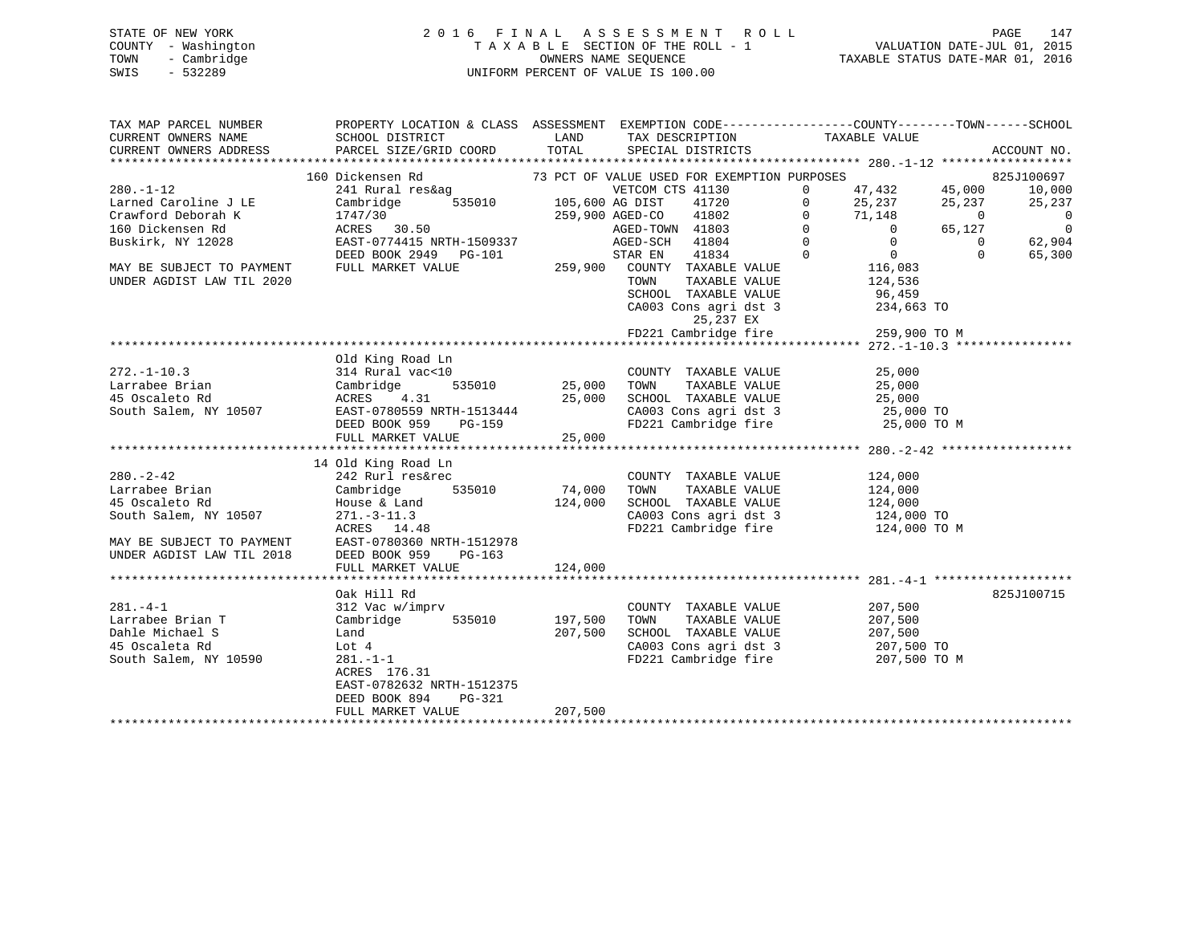# STATE OF NEW YORK 2 0 1 6 F I N A L A S S E S S M E N T R O L L PAGE 147 COUNTY - Washington T A X A B L E SECTION OF THE ROLL - 1 VALUATION DATE-JUL 01, 2015 TOWN - Cambridge OWNERS NAME SEQUENCE TAXABLE STATUS DATE-MAR 01, 2016 SWIS - 532289 UNIFORM PERCENT OF VALUE IS 100.00

| TAX MAP PARCEL NUMBER<br>CURRENT OWNERS NAME<br>CURRENT OWNERS ADDRESS | PROPERTY LOCATION & CLASS ASSESSMENT EXEMPTION CODE----------------COUNTY-------TOWN------SCHOOL<br>SCHOOL DISTRICT<br>PARCEL SIZE/GRID COORD | <b>Example 12</b> LAND<br>TOTAL | TAX DESCRIPTION TAXABLE VALUE SPECIAL DISTRICTS                                                                                                                                        |                                             | ACCOUNT NO.              |
|------------------------------------------------------------------------|-----------------------------------------------------------------------------------------------------------------------------------------------|---------------------------------|----------------------------------------------------------------------------------------------------------------------------------------------------------------------------------------|---------------------------------------------|--------------------------|
|                                                                        |                                                                                                                                               |                                 |                                                                                                                                                                                        |                                             |                          |
|                                                                        | 160 Dickensen Rd                                                                                                                              |                                 | 73 PCT OF VALUE USED FOR EXEMPTION PURPOSES                                                                                                                                            |                                             | 825J100697               |
| $280. -1 - 12$                                                         | 241 Rural res&ag WETCOM C<br>Cambridge 535010 105,600 AG DIST                                                                                 |                                 | VETCOM CTS 41130<br>105,600 AG DIST 41720 0 47,432 45,000<br>259,900 AGED-CO 41802 0 71,148 0<br>AGED-TOWN 41803 0 0 65,127<br>AGED-TOWN 41803 0 0 65,127<br>AGED-SCH 41804 0 0 65,127 |                                             | 10,000                   |
| Larned Caroline J LE                                                   |                                                                                                                                               |                                 |                                                                                                                                                                                        |                                             | 25,237                   |
| Crawford Deborah K                                                     |                                                                                                                                               |                                 |                                                                                                                                                                                        |                                             | $\overline{0}$           |
| 160 Dickensen Rd                                                       | 1747/30<br>ACRES 30.50                                                                                                                        |                                 |                                                                                                                                                                                        |                                             | $\overline{\phantom{0}}$ |
| Buskirk, NY 12028                                                      | EAST-0774415 NRTH-1509337                                                                                                                     |                                 |                                                                                                                                                                                        |                                             | 62,904                   |
|                                                                        | DEED BOOK 2949 PG-101                                                                                                                         |                                 | 41834 0<br>STAR EN                                                                                                                                                                     |                                             | $\Omega$<br>65,300       |
| MAY BE SUBJECT TO PAYMENT                                              | FULL MARKET VALUE                                                                                                                             |                                 | $259,900$ COUNTY TAXABLE VALUE                                                                                                                                                         | $\begin{array}{c} 0 \\ 116,083 \end{array}$ |                          |
| UNDER AGDIST LAW TIL 2020                                              |                                                                                                                                               |                                 | TOWN                                                                                                                                                                                   | TAXABLE VALUE 124,536                       |                          |
|                                                                        |                                                                                                                                               |                                 |                                                                                                                                                                                        |                                             |                          |
|                                                                        |                                                                                                                                               |                                 | SCHOOL TAXABLE VALUE 96,459<br>CA003 Cons agri dst 3 234,663 TO                                                                                                                        |                                             |                          |
|                                                                        |                                                                                                                                               |                                 |                                                                                                                                                                                        |                                             |                          |
|                                                                        |                                                                                                                                               |                                 | 25,237 EX<br>FD221 Cambridge fire 259,900 TO M                                                                                                                                         |                                             |                          |
|                                                                        |                                                                                                                                               |                                 |                                                                                                                                                                                        |                                             |                          |
|                                                                        | Old King Road Ln                                                                                                                              |                                 |                                                                                                                                                                                        |                                             |                          |
| $272. - 1 - 10.3$                                                      | 314 Rural vac<10                                                                                                                              |                                 | COUNTY TAXABLE VALUE                                                                                                                                                                   | 25,000                                      |                          |
| Larrabee Brian<br>15 Occolato Rd                                       | 535010 25,000                                                                                                                                 |                                 |                                                                                                                                                                                        |                                             |                          |
|                                                                        | Cambridge<br>ACRES 4.31                                                                                                                       |                                 |                                                                                                                                                                                        |                                             |                          |
|                                                                        |                                                                                                                                               |                                 | CA003 Cons agri dst 3 25,000 TO                                                                                                                                                        |                                             |                          |
|                                                                        |                                                                                                                                               |                                 | FD221 Cambridge fire                                                                                                                                                                   | 25,000 TO M                                 |                          |
|                                                                        | FULL MARKET VALUE                                                                                                                             | 25,000                          |                                                                                                                                                                                        |                                             |                          |
|                                                                        |                                                                                                                                               |                                 |                                                                                                                                                                                        |                                             |                          |
|                                                                        | 14 Old King Road Ln                                                                                                                           |                                 |                                                                                                                                                                                        |                                             |                          |
| $280. - 2 - 42$                                                        | 242 Rurl res&rec                                                                                                                              |                                 |                                                                                                                                                                                        |                                             |                          |
| Larrabee Brian                                                         |                                                                                                                                               | 74,000                          | COUNTY TAXABLE VALUE 124,000<br>TOWN<br>TAXABLE VALUE                                                                                                                                  | 124,000                                     |                          |
| 45 Oscaleto Rd                                                         |                                                                                                                                               | 124,000                         | SCHOOL TAXABLE VALUE 124,000                                                                                                                                                           |                                             |                          |
|                                                                        | $271 - 3 - 11.3$                                                                                                                              |                                 |                                                                                                                                                                                        |                                             |                          |
| South Salem, NY 10507                                                  | ACRES 14.48                                                                                                                                   |                                 | CA003 Cons agri dst 3 124,000 TO<br>FD221 Cambridge fire 124,000 TO M                                                                                                                  |                                             |                          |
|                                                                        |                                                                                                                                               |                                 |                                                                                                                                                                                        |                                             |                          |
|                                                                        | MAY BE SUBJECT TO PAYMENT<br>UNDER AGDIST LAW TIL 2018 DEED BOOK 959 PG-163                                                                   |                                 |                                                                                                                                                                                        |                                             |                          |
|                                                                        |                                                                                                                                               |                                 |                                                                                                                                                                                        |                                             |                          |
|                                                                        | FULL MARKET VALUE                                                                                                                             | 124,000                         |                                                                                                                                                                                        |                                             |                          |
|                                                                        | Oak Hill Rd                                                                                                                                   |                                 |                                                                                                                                                                                        |                                             | 825J100715               |
|                                                                        | 312 Vac w/imprv                                                                                                                               |                                 |                                                                                                                                                                                        |                                             |                          |
| $281. -4 -1$                                                           |                                                                                                                                               | 197,500                         | COUNTY TAXABLE VALUE 207,500                                                                                                                                                           |                                             |                          |
| Larrabee Brian T                                                       |                                                                                                                                               |                                 | TOWN<br>TAXABLE VALUE                                                                                                                                                                  | 207,500                                     |                          |
| Dahle Michael S                                                        | Land                                                                                                                                          | 207,500                         | SCHOOL TAXABLE VALUE 207,500                                                                                                                                                           |                                             |                          |
| 45 Oscaleta Rd                                                         | Lot 4                                                                                                                                         |                                 | CA003 Cons agri dst 3 207,500 TO<br>FD221 Cambridge fire 207,500 TO M                                                                                                                  | 207,500 TO                                  |                          |
| South Salem, NY 10590                                                  | $281 - 1 - 1$                                                                                                                                 |                                 |                                                                                                                                                                                        |                                             |                          |
|                                                                        | ACRES 176.31                                                                                                                                  |                                 |                                                                                                                                                                                        |                                             |                          |
|                                                                        | EAST-0782632 NRTH-1512375                                                                                                                     |                                 |                                                                                                                                                                                        |                                             |                          |
|                                                                        | DEED BOOK 894<br>PG-321                                                                                                                       |                                 |                                                                                                                                                                                        |                                             |                          |
|                                                                        | FULL MARKET VALUE                                                                                                                             | 207,500                         |                                                                                                                                                                                        |                                             |                          |
|                                                                        |                                                                                                                                               |                                 |                                                                                                                                                                                        |                                             |                          |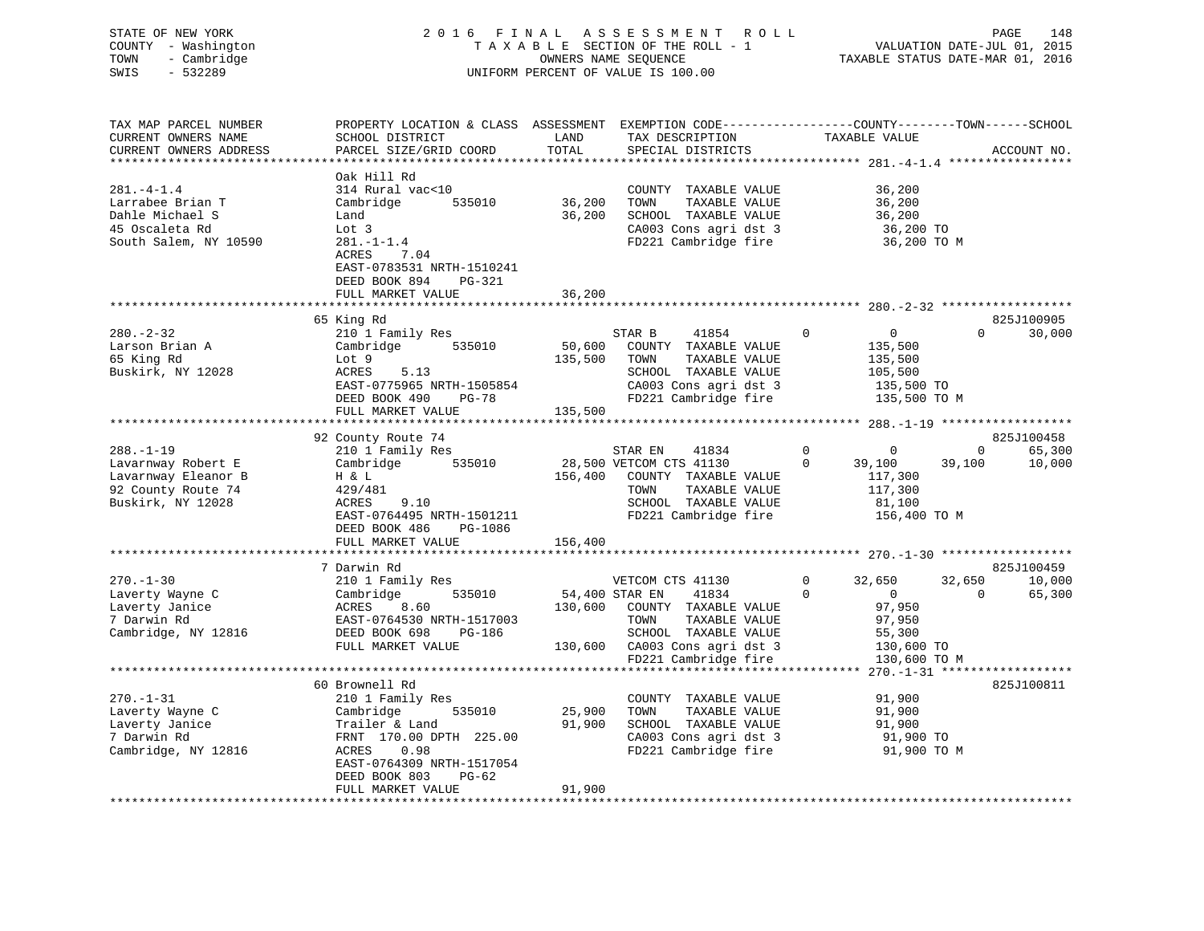| STATE OF NEW YORK                   |                                                                                                 |                      | 2016 FINAL ASSESSMENT ROLL                    |                                  | 148<br>PAGE                      |
|-------------------------------------|-------------------------------------------------------------------------------------------------|----------------------|-----------------------------------------------|----------------------------------|----------------------------------|
| COUNTY - Washington                 |                                                                                                 |                      | TAXABLE SECTION OF THE ROLL - 1               |                                  | VALUATION DATE-JUL 01, 2015      |
| - Cambridge<br>TOWN                 |                                                                                                 | OWNERS NAME SEOUENCE |                                               |                                  | TAXABLE STATUS DATE-MAR 01, 2016 |
| $-532289$<br>SWIS                   |                                                                                                 |                      | UNIFORM PERCENT OF VALUE IS 100.00            |                                  |                                  |
|                                     |                                                                                                 |                      |                                               |                                  |                                  |
| TAX MAP PARCEL NUMBER               | PROPERTY LOCATION & CLASS ASSESSMENT EXEMPTION CODE---------------COUNTY-------TOWN------SCHOOL |                      |                                               |                                  |                                  |
| CURRENT OWNERS NAME                 | SCHOOL DISTRICT                                                                                 |                      | LAND TAX DESCRIPTION TAXABLE VALUE            |                                  |                                  |
| CURRENT OWNERS ADDRESS              |                                                                                                 |                      |                                               |                                  |                                  |
|                                     |                                                                                                 |                      |                                               |                                  |                                  |
|                                     | Oak Hill Rd<br>314 Rural vac<10                                                                 |                      |                                               |                                  |                                  |
| $281 - 4 - 1.4$<br>Larrabee Brian T |                                                                                                 | 535010 36,200 TOWN   | COUNTY TAXABLE VALUE<br>TAXABLE VALUE         | 36,200                           |                                  |
| Dahle Michael S                     | Cambridge<br>Land                                                                               | 36,200               |                                               | 36,200<br>36,200                 |                                  |
| 45 Oscaleta Rd                      | Lot 3                                                                                           |                      | SCHOOL TAXABLE VALUE                          | 36,200 TO                        |                                  |
| South Salem, NY 10590               | $281. - 1 - 1.4$                                                                                |                      | CA003 Cons agri dst 3<br>FD221 Cambridge fire | 36,200 TO M                      |                                  |
|                                     | ACRES 7.04                                                                                      |                      |                                               |                                  |                                  |
|                                     | EAST-0783531 NRTH-1510241                                                                       |                      |                                               |                                  |                                  |
|                                     | DEED BOOK 894<br><b>PG-321</b>                                                                  |                      |                                               |                                  |                                  |
|                                     | FULL MARKET VALUE                                                                               | 36,200               |                                               |                                  |                                  |
|                                     |                                                                                                 |                      |                                               |                                  |                                  |
|                                     | 65 King Rd                                                                                      |                      |                                               |                                  | 825J100905                       |
| $280 - 2 - 32$                      | 210 1 Family Res                                                                                |                      | $\overline{0}$<br>41854<br>STAR B             | $\overline{0}$                   | 30,000<br>$\Omega$               |
| Larson Brian A                      | Cambridge 535010 50,600 COUNTY TAXABLE VALUE                                                    |                      |                                               | 135,500                          |                                  |
| 65 King Rd                          | Lot 9                                                                                           | 135,500 TOWN         | TAXABLE VALUE                                 | 135,500                          |                                  |
| Buskirk, NY 12028                   | ACRES<br>5.13                                                                                   |                      | SCHOOL TAXABLE VALUE                          | 105,500                          |                                  |
|                                     | EAST-0775965 NRTH-1505854                                                                       |                      | CA003 Cons agri dst 3 135,500 TO              |                                  |                                  |
|                                     | DEED BOOK 490<br>PG-78                                                                          |                      | FD221 Cambridge fire 135,500 TO M             |                                  |                                  |
|                                     | FULL MARKET VALUE                                                                               | 135,500              |                                               |                                  |                                  |
|                                     |                                                                                                 |                      |                                               |                                  |                                  |
|                                     | 92 County Route 74                                                                              |                      |                                               |                                  | 825J100458                       |
| $288. - 1 - 19$                     | 210 1 Family Res                                                                                |                      | STAR EN<br>41834                              | $\overline{0}$<br>$\overline{0}$ | $\overline{0}$<br>65,300         |
| Lavarnway Robert E                  | Cambridge                                                                                       |                      | 535010 28,500 VETCOM CTS 41130                | 39,100<br>$\Omega$               | 39,100<br>10,000                 |
| Lavarnway Eleanor B                 | H & L                                                                                           |                      | 156,400 COUNTY TAXABLE VALUE                  | 117,300                          |                                  |
| 92 County Route 74                  | 429/481                                                                                         |                      | TOWN<br>TAXABLE VALUE                         | 117,300                          |                                  |
| Buskirk, NY 12028                   | ACRES<br>9.10                                                                                   |                      | SCHOOL TAXABLE VALUE                          | 81,100                           |                                  |
|                                     | EAST-0764495 NRTH-1501211                                                                       |                      | FD221 Cambridge fire                          | 156,400 TO M                     |                                  |
|                                     | DEED BOOK 486 PG-1086                                                                           |                      |                                               |                                  |                                  |

|                     | 7 Darwin Rd               |                                    |   |             |          | 825J100459 |
|---------------------|---------------------------|------------------------------------|---|-------------|----------|------------|
| $270. - 1 - 30$     | 210 1 Family Res          | VETCOM CTS 41130                   | 0 | 32,650      | 32,650   | 10,000     |
| Laverty Wayne C     | Cambridge<br>535010       | 54,400 STAR EN<br>41834            |   |             | $\Omega$ | 65,300     |
| Laverty Janice      | ACRES 8.60                | 130,600<br>COUNTY<br>TAXABLE VALUE |   | 97,950      |          |            |
| 7 Darwin Rd         | EAST-0764530 NRTH-1517003 | TOWN<br>TAXABLE VALUE              |   | 97,950      |          |            |
| Cambridge, NY 12816 | DEED BOOK 698<br>PG-186   | SCHOOL TAXABLE VALUE               |   | 55,300      |          |            |
|                     | FULL MARKET VALUE         | 130,600 CA003 Cons agri dst 3      |   | 130,600 TO  |          |            |
|                     |                           | FD221 Cambridge fire 130,600 TO M  |   |             |          |            |
|                     |                           |                                    |   |             |          |            |
|                     | 60 Brownell Rd            |                                    |   |             |          | 825J100811 |
| $270. - 1 - 31$     | 210 1 Family Res          | COUNTY<br>TAXABLE VALUE            |   | 91,900      |          |            |
| Laverty Wayne C     | Cambridge<br>535010       | 25,900<br>TOWN<br>TAXABLE VALUE    |   | 91,900      |          |            |
| Laverty Janice      | Trailer & Land            | 91,900<br>SCHOOL<br>TAXABLE VALUE  |   | 91,900      |          |            |
| 7 Darwin Rd         | FRNT 170.00 DPTH 225.00   | CA003 Cons agri dst 3              |   | 91,900 TO   |          |            |
| Cambridge, NY 12816 | 0.98<br>ACRES             | FD221 Cambridge fire               |   | 91,900 TO M |          |            |
|                     | EAST-0764309 NRTH-1517054 |                                    |   |             |          |            |
|                     | DEED BOOK 803<br>$PG-62$  |                                    |   |             |          |            |
|                     | FULL MARKET VALUE         | 91,900                             |   |             |          |            |
|                     |                           |                                    |   |             |          |            |

FULL MARKET VALUE 156,400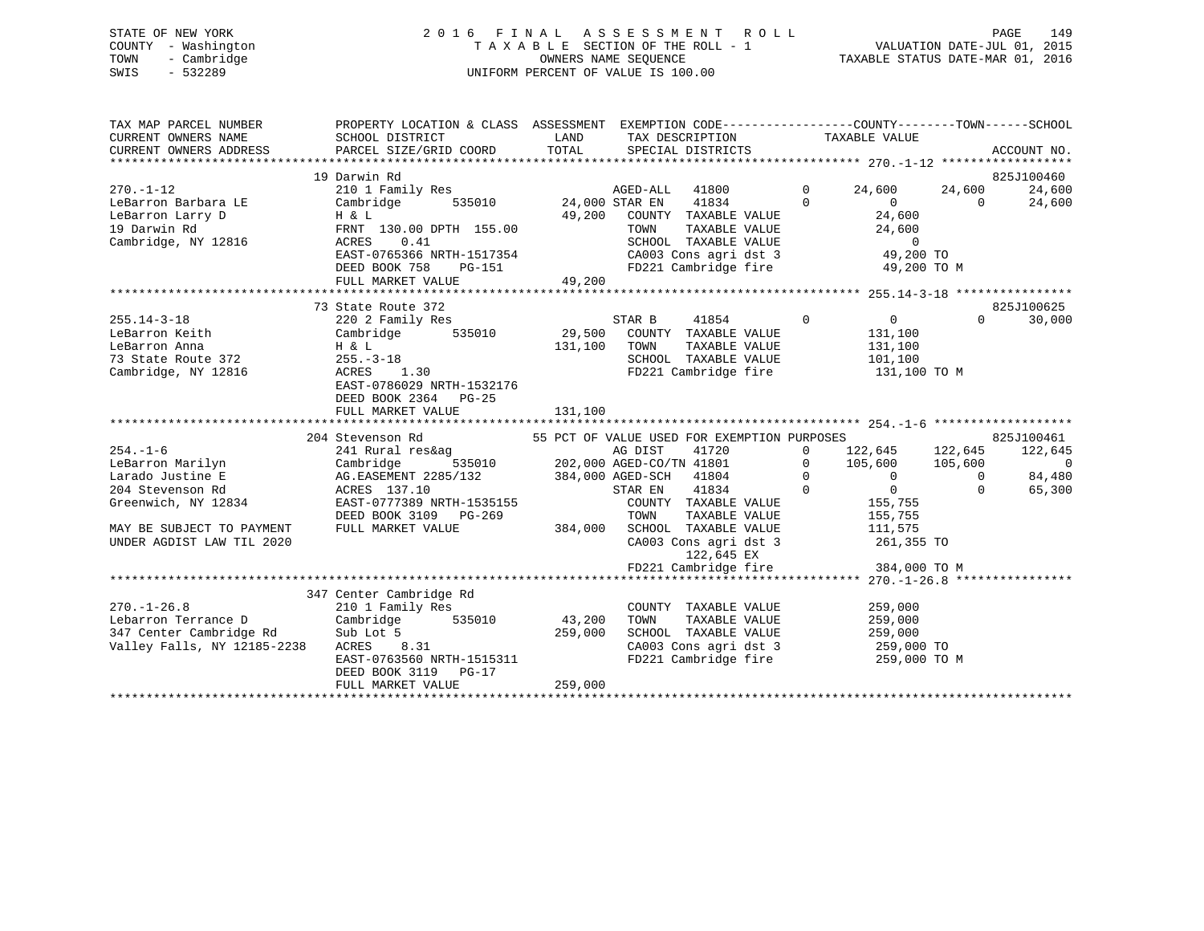# STATE OF NEW YORK 2 0 1 6 F I N A L A S S E S S M E N T R O L L PAGE 149 COUNTY - Washington T A X A B L E SECTION OF THE ROLL - 1 VALUATION DATE-JUL 01, 2015 TOWN - Cambridge OWNERS NAME SEQUENCE TAXABLE STATUS DATE-MAR 01, 2016 SWIS - 532289 UNIFORM PERCENT OF VALUE IS 100.00

| TAX MAP PARCEL NUMBER<br>CURRENT OWNERS NAME<br>CURRENT OWNERS ADDRESS | PROPERTY LOCATION & CLASS ASSESSMENT EXEMPTION CODE----------------COUNTY-------TOWN-----SCHOOL<br>SCHOOL DISTRICT<br>PARCEL SIZE/GRID COORD | LAND<br>TOTAL         | TAX DESCRIPTION TAXABLE VALUE<br>SPECIAL DISTRICTS                    |                |                 |            | ACCOUNT NO.    |
|------------------------------------------------------------------------|----------------------------------------------------------------------------------------------------------------------------------------------|-----------------------|-----------------------------------------------------------------------|----------------|-----------------|------------|----------------|
|                                                                        | 19 Darwin Rd                                                                                                                                 |                       |                                                                       |                |                 |            | 825J100460     |
| $270. - 1 - 12$                                                        | 210 1 Family Res                                                                                                                             |                       | AGED-ALL 41800                                                        | $\mathbf{0}$   | 24,600          | 24,600     | 24,600         |
| LeBarron Barbara LE                                                    | Cambridge                                                                                                                                    | 535010 24,000 STAR EN | 41834                                                                 | $\Omega$       | $\Omega$        | $\Omega$   | 24,600         |
| LeBarron Larry D                                                       | H & L                                                                                                                                        | 49,200                | COUNTY TAXABLE VALUE                                                  |                | 24,600          |            |                |
| 19 Darwin Rd                                                           | FRNT 130.00 DPTH 155.00                                                                                                                      |                       | TOWN<br>TAXABLE VALUE                                                 |                | 24,600          |            |                |
| Cambridge, NY 12816                                                    | 0.41<br>ACRES                                                                                                                                |                       | SCHOOL TAXABLE VALUE                                                  |                | $\overline{0}$  |            |                |
|                                                                        | EAST-0765366 NRTH-1517354                                                                                                                    |                       | CA003 Cons agri dst 3<br>FD221 Cambridge fire                         |                | 49,200 TO       |            |                |
|                                                                        | DEED BOOK 758<br>PG-151                                                                                                                      |                       |                                                                       |                | 49,200 TO M     |            |                |
|                                                                        | FULL MARKET VALUE                                                                                                                            | 49,200                |                                                                       |                |                 |            |                |
|                                                                        |                                                                                                                                              |                       |                                                                       |                |                 |            |                |
|                                                                        | 73 State Route 372                                                                                                                           |                       |                                                                       |                |                 |            | 825J100625     |
| $255.14 - 3 - 18$                                                      | 220 2 Family Res                                                                                                                             |                       | 41854<br>$\sim$ 0<br>STAR B                                           |                | $\overline{0}$  | $\Omega$   | 30,000         |
| LeBarron Keith                                                         | Cambridge 535010                                                                                                                             |                       | 29,500 COUNTY TAXABLE VALUE                                           |                | 131,100         |            |                |
| LeBarron Anna                                                          | H & L                                                                                                                                        | 131,100               | TOWN<br>TAXABLE VALUE                                                 |                | 131,100         |            |                |
| 73 State Route 372                                                     | $255. - 3 - 18$                                                                                                                              |                       | SCHOOL TAXABLE VALUE                                                  |                | 101,100         |            |                |
| Cambridge, NY 12816                                                    | ACRES 1.30                                                                                                                                   |                       | FD221 Cambridge fire                                                  |                | 131,100 TO M    |            |                |
|                                                                        | EAST-0786029 NRTH-1532176                                                                                                                    |                       |                                                                       |                |                 |            |                |
|                                                                        | DEED BOOK 2364<br>PG-25                                                                                                                      |                       |                                                                       |                |                 |            |                |
|                                                                        | FULL MARKET VALUE                                                                                                                            | 131,100               |                                                                       |                |                 |            |                |
|                                                                        | 204 Stevenson Rd                                                                                                                             |                       | 55 PCT OF VALUE USED FOR EXEMPTION PURPOSES                           |                |                 |            | 825J100461     |
| $254. - 1 - 6$                                                         | 241 Rural res&ag                                                                                                                             |                       | AG DIST<br>41720                                                      | $\Omega$       | 122,645 122,645 |            | 122,645        |
| LeBarron Marilyn                                                       | Cambridge                                                                                                                                    |                       | 535010 202,000 AGED-CO/TN 41801                                       | $\overline{0}$ | 105,600         | 105,600    | $\overline{0}$ |
| Larado Justine E                                                       | AG. EASEMENT 2285/132                                                                                                                        |                       | 384,000 AGED-SCH 41804<br>$\overline{0}$                              |                | $\overline{0}$  | $\bigcirc$ | 84,480         |
| 204 Stevenson Rd                                                       | ACRES 137.10                                                                                                                                 |                       | 41834<br>STAR EN                                                      | $\overline{0}$ | $\overline{0}$  | $\Omega$   | 65,300         |
| Greenwich, NY 12834                                                    | EAST-0777389 NRTH-1535155                                                                                                                    |                       | COUNTY TAXABLE VALUE                                                  |                | 155,755         |            |                |
|                                                                        | DEED BOOK 3109 PG-269                                                                                                                        |                       | TOWN<br>TAXABLE VALUE                                                 |                | 155,755         |            |                |
| MAY BE SUBJECT TO PAYMENT                                              | FULL MARKET VALUE                                                                                                                            | 384,000               | SCHOOL TAXABLE VALUE                                                  |                | 111,575         |            |                |
| UNDER AGDIST LAW TIL 2020                                              |                                                                                                                                              |                       | CA003 Cons agri dst 3                                                 |                | 261,355 TO      |            |                |
|                                                                        |                                                                                                                                              |                       | 122,645 EX                                                            |                |                 |            |                |
|                                                                        |                                                                                                                                              |                       | FD221 Cambridge fire                                                  |                | 384,000 TO M    |            |                |
|                                                                        |                                                                                                                                              |                       |                                                                       |                |                 |            |                |
|                                                                        | 347 Center Cambridge Rd                                                                                                                      |                       |                                                                       |                |                 |            |                |
| $270. - 1 - 26.8$                                                      | 210 1 Family Res                                                                                                                             |                       | COUNTY TAXABLE VALUE                                                  |                | 259,000         |            |                |
| Lebarron Terrance D                                                    | Cambridge                                                                                                                                    | 535010 43,200         | TOWN<br>TAXABLE VALUE                                                 |                | 259,000         |            |                |
| 347 Center Cambridge Rd                                                | Sub Lot 5                                                                                                                                    | 259,000               | SCHOOL TAXABLE VALUE                                                  |                | 259,000         |            |                |
| Valley Falls, NY 12185-2238                                            | 8.31<br>ACRES                                                                                                                                |                       | CA003 Cons agri dst 3 259,000 TO<br>FD221 Cambridge fire 259,000 TO M |                |                 |            |                |
|                                                                        | EAST-0763560 NRTH-1515311                                                                                                                    |                       |                                                                       |                |                 |            |                |
|                                                                        | DEED BOOK 3119 PG-17                                                                                                                         |                       |                                                                       |                |                 |            |                |
|                                                                        | FULL MARKET VALUE                                                                                                                            | 259,000               |                                                                       |                |                 |            |                |
|                                                                        |                                                                                                                                              |                       |                                                                       |                |                 |            |                |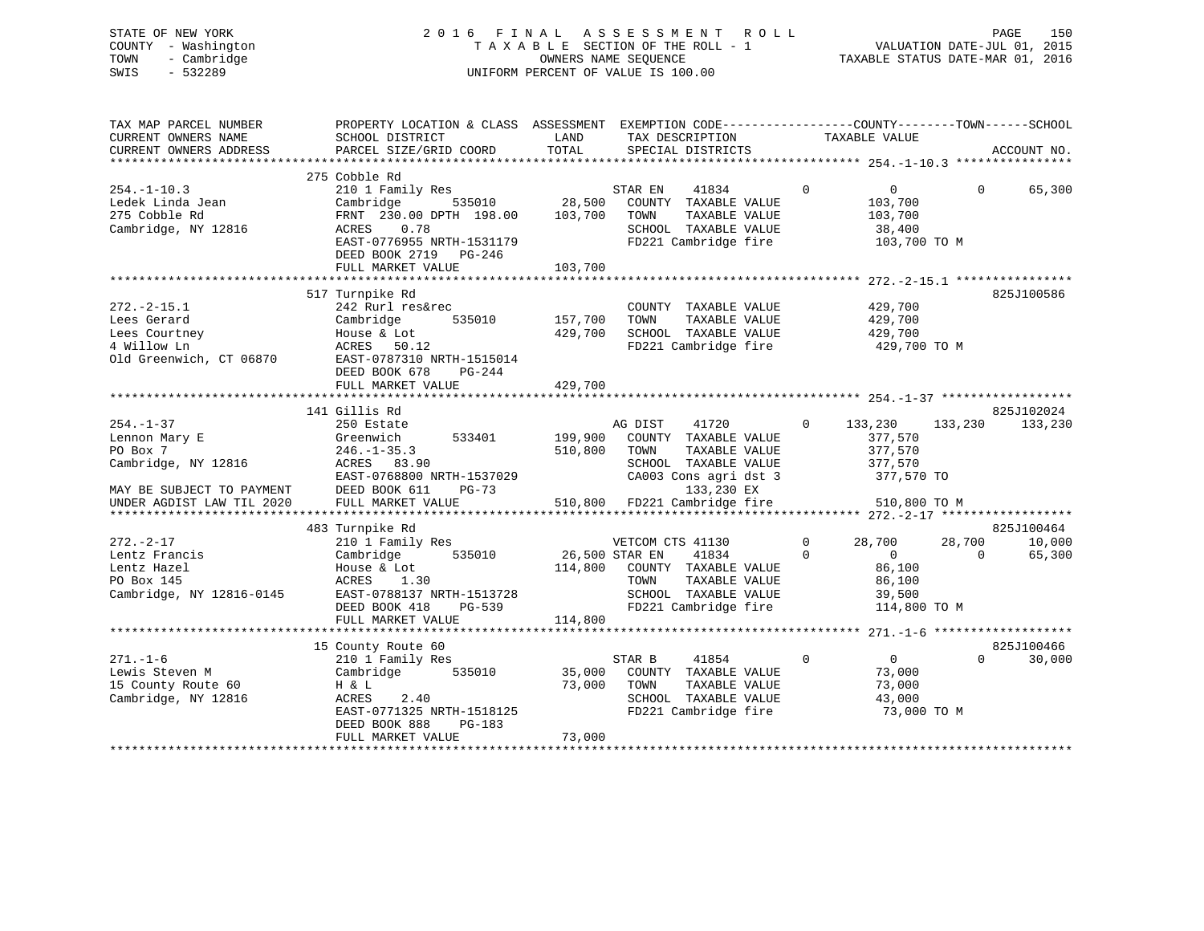# STATE OF NEW YORK 2 0 1 6 F I N A L A S S E S S M E N T R O L L PAGE 150 COUNTY - Washington T A X A B L E SECTION OF THE ROLL - 1 VALUATION DATE-JUL 01, 2015 TOWN - Cambridge OWNERS NAME SEQUENCE TAXABLE STATUS DATE-MAR 01, 2016 SWIS - 532289 UNIFORM PERCENT OF VALUE IS 100.00

| TAX MAP PARCEL NUMBER<br>CURRENT OWNERS NAME<br>CURRENT OWNERS ADDRESS                           | PROPERTY LOCATION & CLASS ASSESSMENT EXEMPTION CODE----------------COUNTY-------TOWN------SCHOOL<br>SCHOOL DISTRICT<br>PARCEL SIZE/GRID COORD                                      | LAND<br>TOTAL                 | TAX DESCRIPTION<br>SPECIAL DISTRICTS                                                                                             | TAXABLE VALUE                                                                               | ACCOUNT NO.                                          |
|--------------------------------------------------------------------------------------------------|------------------------------------------------------------------------------------------------------------------------------------------------------------------------------------|-------------------------------|----------------------------------------------------------------------------------------------------------------------------------|---------------------------------------------------------------------------------------------|------------------------------------------------------|
|                                                                                                  |                                                                                                                                                                                    |                               |                                                                                                                                  |                                                                                             |                                                      |
| $254. - 1 - 10.3$<br>Ledek Linda Jean<br>275 Cobble Rd<br>Cambridge, NY 12816                    | 275 Cobble Rd<br>210 1 Family Res<br>Cambridge<br>535010<br>FRNT 230.00 DPTH 198.00<br>0.78<br>ACRES<br>EAST-0776955 NRTH-1531179<br>DEED BOOK 2719<br>PG-246<br>FULL MARKET VALUE | 28,500<br>103,700<br>103,700  | 41834<br>STAR EN<br>COUNTY TAXABLE VALUE<br>TOWN<br>TAXABLE VALUE<br>SCHOOL TAXABLE VALUE<br>FD221 Cambridge fire                | $\mathbf 0$<br>$\overline{0}$<br>103,700<br>103,700<br>38,400<br>103,700 TO M               | $\Omega$<br>65,300                                   |
| $272. - 2 - 15.1$<br>Lees Gerard<br>Lees Courtney<br>4 Willow Ln<br>Old Greenwich, CT 06870      | 517 Turnpike Rd<br>242 Rurl res&rec<br>Cambridge<br>535010<br>House & Lot<br>ACRES 50.12<br>EAST-0787310 NRTH-1515014<br>DEED BOOK 678<br>PG-244<br>FULL MARKET VALUE              | 157,700<br>429,700<br>429,700 | COUNTY TAXABLE VALUE<br>TOWN<br>TAXABLE VALUE<br>SCHOOL TAXABLE VALUE<br>FD221 Cambridge fire                                    | 429,700<br>429,700<br>429,700<br>429,700 TO M                                               | 825J100586                                           |
|                                                                                                  | 141 Gillis Rd                                                                                                                                                                      |                               |                                                                                                                                  |                                                                                             | 825J102024                                           |
| $254. - 1 - 37$<br>Lennon Mary E<br>PO Box 7<br>Cambridge, NY 12816<br>MAY BE SUBJECT TO PAYMENT | 250 Estate<br>Greenwich<br>533401<br>$246. - 1 - 35.3$<br>ACRES 83.90<br>EAST-0768800 NRTH-1537029<br>DEED BOOK 611<br>PG-73                                                       | 199,900<br>510,800            | 41720<br>AG DIST<br>COUNTY TAXABLE VALUE<br>TOWN<br>TAXABLE VALUE<br>SCHOOL TAXABLE VALUE<br>CA003 Cons agri dst 3<br>133,230 EX | $\Omega$<br>133,230<br>377,570<br>377,570<br>377,570<br>377,570 TO                          | 133,230<br>133,230                                   |
| UNDER AGDIST LAW TIL 2020                                                                        | FULL MARKET VALUE                                                                                                                                                                  | 510,800                       | FD221 Cambridge fire                                                                                                             | 510,800 TO M                                                                                |                                                      |
|                                                                                                  |                                                                                                                                                                                    |                               |                                                                                                                                  |                                                                                             |                                                      |
| $272. - 2 - 17$<br>Lentz Francis<br>Lentz Hazel<br>PO Box 145<br>Cambridge, NY 12816-0145        | 483 Turnpike Rd<br>210 1 Family Res<br>Cambridge<br>535010<br>House & Lot<br>ACRES 1.30<br>EAST-0788137 NRTH-1513728<br>PG-539<br>DEED BOOK 418                                    | 26,500 STAR EN<br>114,800     | VETCOM CTS 41130<br>41834<br>COUNTY TAXABLE VALUE<br>TAXABLE VALUE<br>TOWN<br>SCHOOL TAXABLE VALUE<br>FD221 Cambridge fire       | $\mathbf 0$<br>28,700<br>$\Omega$<br>$\Omega$<br>86,100<br>86,100<br>39,500<br>114,800 TO M | 825J100464<br>28,700<br>10,000<br>$\Omega$<br>65,300 |
|                                                                                                  | FULL MARKET VALUE                                                                                                                                                                  | 114,800                       |                                                                                                                                  |                                                                                             |                                                      |
| $271. - 1 - 6$<br>Lewis Steven M<br>15 County Route 60<br>Cambridge, NY 12816                    | 15 County Route 60<br>210 1 Family Res<br>Cambridge<br>535010<br>H & L<br>ACRES<br>2.40<br>EAST-0771325 NRTH-1518125<br>PG-183<br>DEED BOOK 888                                    | 35,000<br>73,000              | STAR B<br>41854<br>COUNTY TAXABLE VALUE<br>TAXABLE VALUE<br>TOWN<br>SCHOOL TAXABLE VALUE<br>FD221 Cambridge fire                 | 0<br>$\Omega$<br>73,000<br>73,000<br>43,000<br>73,000 TO M                                  | 825J100466<br>$\Omega$<br>30,000                     |
|                                                                                                  | FULL MARKET VALUE                                                                                                                                                                  | 73,000                        |                                                                                                                                  |                                                                                             |                                                      |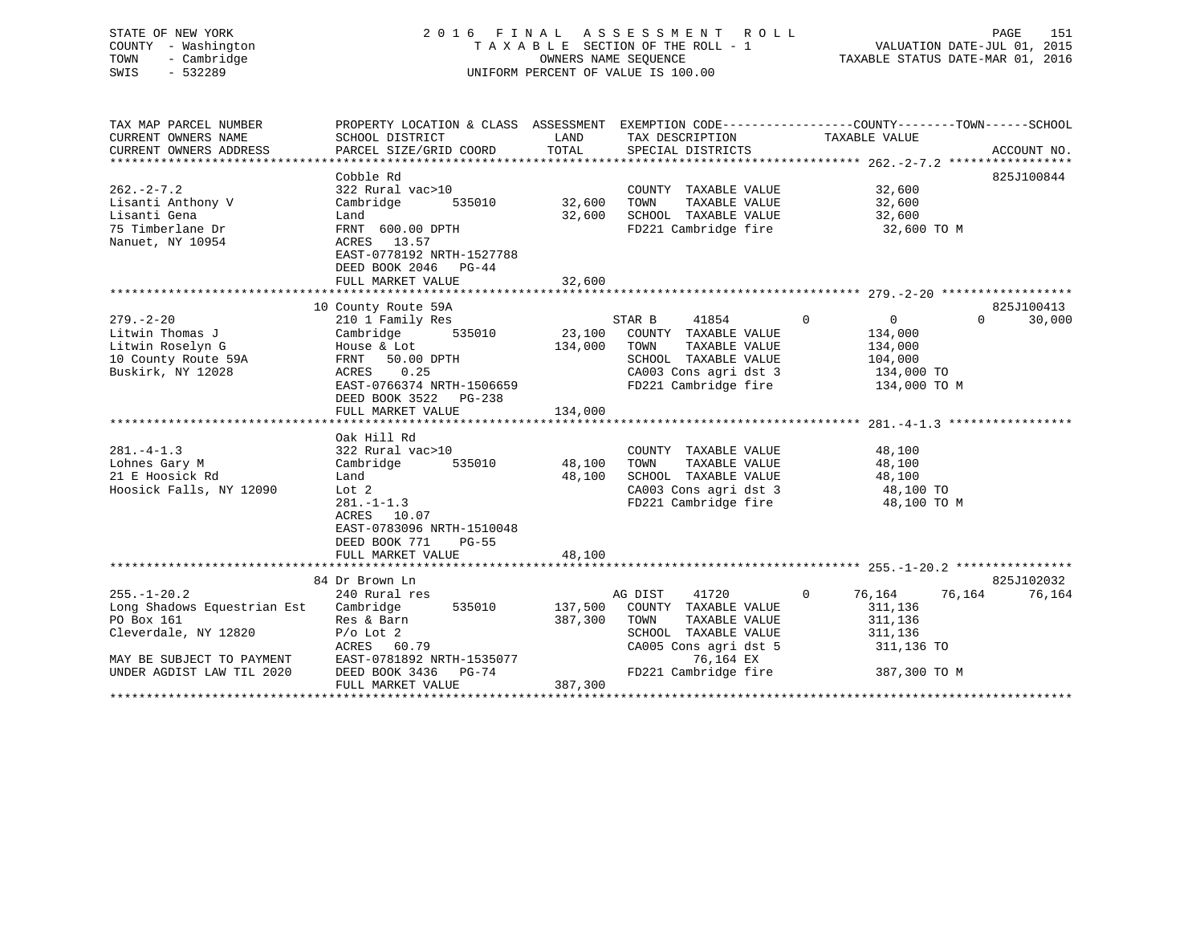| STATE OF NEW YORK<br>COUNTY - Washington<br>- Cambridge<br>TOWN<br>SWIS<br>$-532289$ |                                                                                                 |               | 2016 FINAL ASSESSMENT ROLL<br>TAXABLE SECTION OF THE ROLL - 1<br>OWNERS NAME SEQUENCE<br>UNIFORM PERCENT OF VALUE IS 100.00 |               | VALUATION DATE-JUL 01, 2015<br>TAXABLE STATUS DATE-MAR 01, 2016 | PAGE     | 151         |
|--------------------------------------------------------------------------------------|-------------------------------------------------------------------------------------------------|---------------|-----------------------------------------------------------------------------------------------------------------------------|---------------|-----------------------------------------------------------------|----------|-------------|
| TAX MAP PARCEL NUMBER                                                                | PROPERTY LOCATION & CLASS ASSESSMENT EXEMPTION CODE---------------COUNTY-------TOWN------SCHOOL |               |                                                                                                                             |               |                                                                 |          |             |
| CURRENT OWNERS NAME<br>CURRENT OWNERS ADDRESS                                        | SCHOOL DISTRICT<br>PARCEL SIZE/GRID COORD                                                       | LAND<br>TOTAL | TAX DESCRIPTION<br>SPECIAL DISTRICTS                                                                                        | TAXABLE VALUE |                                                                 |          | ACCOUNT NO. |
|                                                                                      |                                                                                                 |               |                                                                                                                             |               |                                                                 |          |             |
|                                                                                      | Cobble Rd                                                                                       |               |                                                                                                                             |               |                                                                 |          | 825J100844  |
| $262. - 2 - 7.2$                                                                     | 322 Rural vac>10                                                                                |               | COUNTY TAXABLE VALUE                                                                                                        |               | 32,600                                                          |          |             |
| Lisanti Anthony V                                                                    | Cambridge<br>535010                                                                             | 32,600        | TOWN<br>TAXABLE VALUE                                                                                                       |               | 32,600                                                          |          |             |
| Lisanti Gena                                                                         | Land                                                                                            | 32,600        | SCHOOL TAXABLE VALUE                                                                                                        |               | 32,600                                                          |          |             |
| 75 Timberlane Dr<br>Nanuet, NY 10954                                                 | FRNT 600.00 DPTH<br>13.57<br>ACRES<br>EAST-0778192 NRTH-1527788<br>DEED BOOK 2046<br>PG-44      |               | FD221 Cambridge fire                                                                                                        |               | 32,600 TO M                                                     |          |             |
|                                                                                      | FULL MARKET VALUE                                                                               | 32,600        |                                                                                                                             |               |                                                                 |          |             |
|                                                                                      | 10 County Route 59A                                                                             |               |                                                                                                                             |               |                                                                 |          | 825J100413  |
| $279. - 2 - 20$                                                                      | 210 1 Family Res                                                                                |               | STAR B<br>41854                                                                                                             | $\mathbf 0$   | $\overline{0}$                                                  | $\Omega$ | 30,000      |
| Litwin Thomas J                                                                      | 535010<br>Cambridge                                                                             | 23,100        | COUNTY TAXABLE VALUE                                                                                                        |               | 134,000                                                         |          |             |
| Litwin Roselyn G                                                                     | House & Lot                                                                                     | 134,000       | TOWN<br>TAXABLE VALUE                                                                                                       |               | 134,000                                                         |          |             |
| 10 County Route 59A                                                                  | FRNT 50.00 DPTH                                                                                 |               | SCHOOL TAXABLE VALUE                                                                                                        |               | 104,000                                                         |          |             |
| Buskirk, NY 12028                                                                    | 0.25<br>ACRES                                                                                   |               | CA003 Cons agri dst 3                                                                                                       |               | 134,000 TO                                                      |          |             |
|                                                                                      | EAST-0766374 NRTH-1506659                                                                       |               | FD221 Cambridge fire                                                                                                        |               | 134,000 TO M                                                    |          |             |
|                                                                                      | DEED BOOK 3522 PG-238                                                                           |               |                                                                                                                             |               |                                                                 |          |             |
|                                                                                      | FULL MARKET VALUE                                                                               | 134,000       |                                                                                                                             |               |                                                                 |          |             |
|                                                                                      |                                                                                                 |               |                                                                                                                             |               |                                                                 |          |             |
|                                                                                      | Oak Hill Rd                                                                                     |               |                                                                                                                             |               |                                                                 |          |             |
| $281. -4 - 1.3$                                                                      | 322 Rural vac>10                                                                                |               | COUNTY TAXABLE VALUE                                                                                                        |               | 48,100                                                          |          |             |
| Lohnes Gary M                                                                        | Cambridge<br>535010                                                                             | 48,100        | TAXABLE VALUE<br>TOWN                                                                                                       |               | 48,100                                                          |          |             |
| 21 E Hoosick Rd                                                                      | Land                                                                                            | 48,100        | SCHOOL TAXABLE VALUE                                                                                                        |               | 48,100                                                          |          |             |
| Hoosick Falls, NY 12090                                                              | Lot <sub>2</sub>                                                                                |               | CA003 Cons agri dst 3                                                                                                       |               | 48,100 TO                                                       |          |             |
|                                                                                      | $281. - 1 - 1.3$<br>10.07<br>ACRES<br>EAST-0783096 NRTH-1510048<br>DEED BOOK 771<br>$PG-55$     |               | FD221 Cambridge fire                                                                                                        |               | 48,100 TO M                                                     |          |             |
|                                                                                      | FULL MARKET VALUE                                                                               | 48,100        |                                                                                                                             |               |                                                                 |          |             |
|                                                                                      |                                                                                                 |               |                                                                                                                             |               |                                                                 |          |             |
|                                                                                      | 84 Dr Brown Ln                                                                                  |               |                                                                                                                             |               |                                                                 |          | 825J102032  |
| $255. - 1 - 20.2$                                                                    | 240 Rural res                                                                                   |               | 41720<br>AG DIST                                                                                                            | $\Omega$      | 76,164                                                          | 76,164   | 76,164      |
| Long Shadows Equestrian Est                                                          | Cambridge<br>535010                                                                             | 137,500       | COUNTY TAXABLE VALUE                                                                                                        |               | 311,136                                                         |          |             |
| PO Box 161                                                                           | Res & Barn                                                                                      | 387,300       | TOWN<br>TAXABLE VALUE                                                                                                       |               | 311,136                                                         |          |             |

PO Box 161 Res & Barn 387,300 TOWN TAXABLE VALUE 311,136

\*\*\*\*\*\*\*\*\*\*\*\*\*\*\*\*\*\*\*\*\*\*\*\*\*\*\*\*\*\*\*\*\*\*\*\*\*\*\*\*\*\*\*\*\*\*\*\*\*\*\*\*\*\*\*\*\*\*\*\*\*\*\*\*\*\*\*\*\*\*\*\*\*\*\*\*\*\*\*\*\*\*\*\*\*\*\*\*\*\*\*\*\*\*\*\*\*\*\*\*\*\*\*\*\*\*\*\*\*\*\*\*\*\*\*\*\*\*\*\*\*\*\*\*\*\*\*\*\*\*\*\*

ACRES 60.79 CA005 Cons agri dst 5 311,136 TO<br>EAST-0781892 NRTH-1535077 76,164 EX

Cleverdale, NY 12820  $P/\circ$  Lot 2 SCHOOL TAXABLE VALUE

FULL MARKET VALUE 387,300

UNDER AGDIST LAW TIL 2020 DEED BOOK 3436 PG-74 FD221 Cambridge fire 387,300 TO M

MAY BE SUBJECT TO PAYMENT EAST-0781892 NRTH-1535077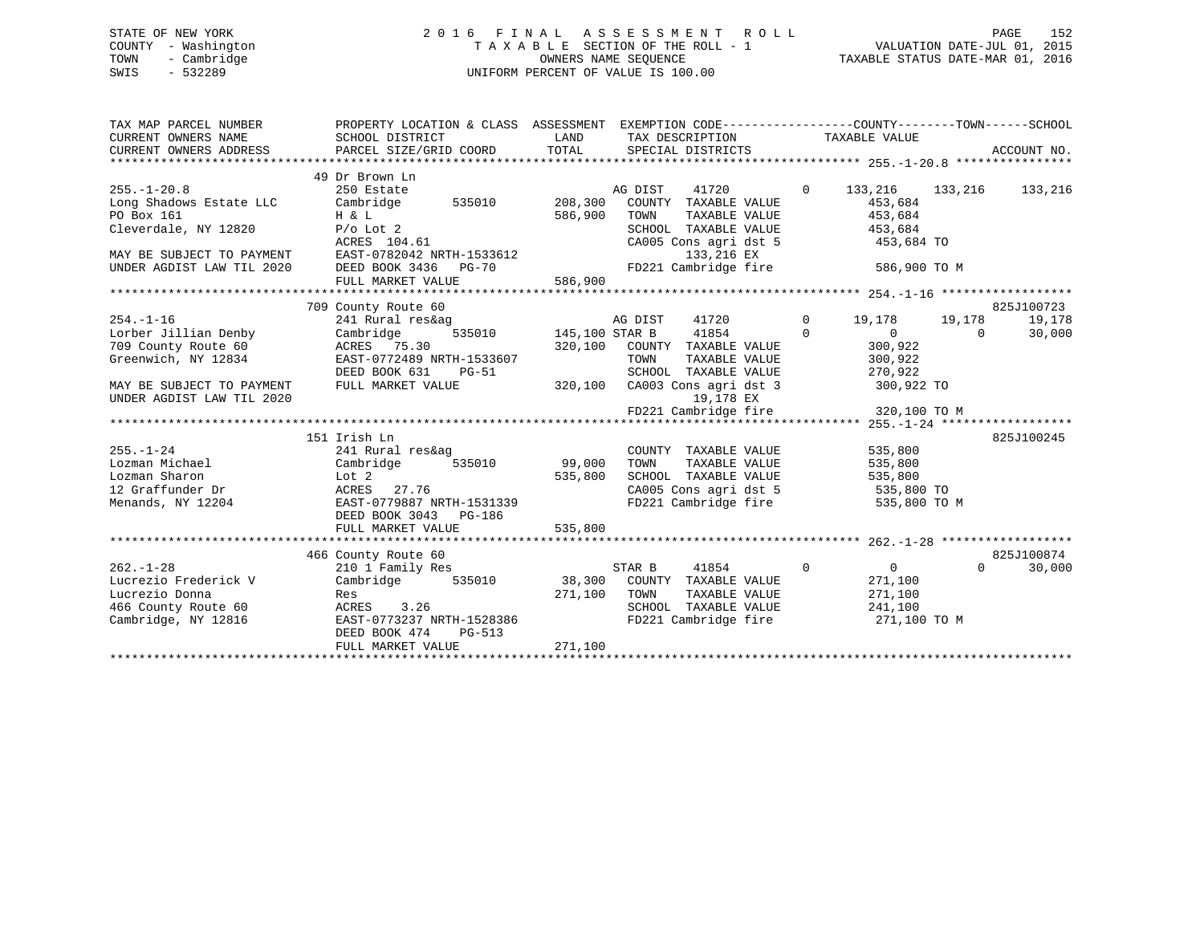# STATE OF NEW YORK 2 0 1 6 F I N A L A S S E S S M E N T R O L L PAGE 152 COUNTY - Washington T A X A B L E SECTION OF THE ROLL - 1 VALUATION DATE-JUL 01, 2015 TOWN - Cambridge OWNERS NAME SEQUENCE TAXABLE STATUS DATE-MAR 01, 2016 SWIS - 532289 UNIFORM PERCENT OF VALUE IS 100.00

| TAX MAP PARCEL NUMBER<br>CURRENT OWNERS NAME<br>CURRENT OWNERS ADDRESS                                                                       | PROPERTY LOCATION & CLASS ASSESSMENT<br>SCHOOL DISTRICT<br>PARCEL SIZE/GRID COORD                                                                                     | LAND<br>TOTAL                 | TAX DESCRIPTION<br>SPECIAL DISTRICTS                                                                                                                     | EXEMPTION CODE----------------COUNTY-------TOWN------SCHOOL<br>TAXABLE VALUE                        | ACCOUNT NO.          |
|----------------------------------------------------------------------------------------------------------------------------------------------|-----------------------------------------------------------------------------------------------------------------------------------------------------------------------|-------------------------------|----------------------------------------------------------------------------------------------------------------------------------------------------------|-----------------------------------------------------------------------------------------------------|----------------------|
| $255. - 1 - 20.8$<br>Long Shadows Estate LLC<br>PO Box 161<br>Cleverdale, NY 12820<br>MAY BE SUBJECT TO PAYMENT<br>UNDER AGDIST LAW TIL 2020 | 49 Dr Brown Ln<br>250 Estate<br>535010<br>Cambridge<br>H & L<br>$P/O$ Lot 2<br>ACRES 104.61<br>EAST-0782042 NRTH-1533612<br>DEED BOOK 3436 PG-70<br>FULL MARKET VALUE | 208,300<br>586,900<br>586,900 | AG DIST<br>41720<br>COUNTY TAXABLE VALUE<br>TAXABLE VALUE<br>TOWN<br>SCHOOL TAXABLE VALUE<br>CA005 Cons agri dst 5<br>133,216 EX<br>FD221 Cambridge fire | $\overline{0}$<br>133,216<br>133,216<br>453,684<br>453,684<br>453,684<br>453,684 TO<br>586,900 TO M | 133,216              |
|                                                                                                                                              |                                                                                                                                                                       |                               |                                                                                                                                                          |                                                                                                     |                      |
| $254. - 1 - 16$                                                                                                                              | 709 County Route 60<br>241 Rural res&ag                                                                                                                               |                               | AG DIST<br>41720                                                                                                                                         | 0<br>19,178<br>19,178                                                                               | 825J100723<br>19,178 |
| Lorber Jillian Denby<br>709 County Route 60<br>Greenwich, NY 12834                                                                           | 535010<br>Cambridge<br>ACRES 75.30<br>EAST-0772489 NRTH-1533607<br>DEED BOOK 631<br>PG-51                                                                             | 145,100 STAR B<br>320,100     | 41854<br>COUNTY TAXABLE VALUE<br>TOWN<br>TAXABLE VALUE<br>SCHOOL<br>TAXABLE VALUE                                                                        | $\Omega$<br>$\overline{0}$<br>300,922<br>300,922<br>270,922                                         | 30,000<br>$\Omega$   |
| MAY BE SUBJECT TO PAYMENT<br>UNDER AGDIST LAW TIL 2020                                                                                       | FULL MARKET VALUE                                                                                                                                                     | 320,100                       | CA003 Cons agri dst 3<br>19,178 EX                                                                                                                       | 300,922 TO                                                                                          |                      |
|                                                                                                                                              |                                                                                                                                                                       |                               | FD221 Cambridge fire                                                                                                                                     | 320,100 TO M                                                                                        |                      |
|                                                                                                                                              |                                                                                                                                                                       |                               |                                                                                                                                                          |                                                                                                     |                      |
| $255. - 1 - 24$<br>Lozman Michael<br>Lozman Sharon<br>12 Graffunder Dr<br>Menands, NY 12204                                                  | 151 Irish Ln<br>241 Rural res&ag<br>535010<br>Cambridge<br>Lot 2<br>ACRES<br>27.76<br>EAST-0779887 NRTH-1531339<br>DEED BOOK 3043 PG-186                              | 99,000<br>535,800             | COUNTY TAXABLE VALUE<br>TAXABLE VALUE<br>TOWN<br>SCHOOL TAXABLE VALUE<br>CA005 Cons agri dst 5<br>FD221 Cambridge fire                                   | 535,800<br>535,800<br>535,800<br>535,800 TO<br>535,800 TO M                                         | 825J100245           |
|                                                                                                                                              | FULL MARKET VALUE                                                                                                                                                     | 535,800                       |                                                                                                                                                          |                                                                                                     |                      |
|                                                                                                                                              |                                                                                                                                                                       |                               |                                                                                                                                                          |                                                                                                     |                      |
|                                                                                                                                              | 466 County Route 60                                                                                                                                                   |                               |                                                                                                                                                          |                                                                                                     | 825J100874           |
| $262. - 1 - 28$<br>Lucrezio Frederick V<br>Lucrezio Donna<br>466 County Route 60<br>Cambridge, NY 12816                                      | 210 1 Family Res<br>535010<br>Cambridge<br>Res<br>3.26<br>ACRES<br>EAST-0773237 NRTH-1528386<br>DEED BOOK 474<br>$PG-513$<br>FULL MARKET VALUE                        | 271,100<br>271,100            | STAR B<br>41854<br>38,300 COUNTY TAXABLE VALUE<br>TOWN<br>TAXABLE VALUE<br>SCHOOL TAXABLE VALUE<br>FD221 Cambridge fire                                  | $\mathbf 0$<br>0<br>271,100<br>271,100<br>241,100<br>271,100 TO M                                   | $\Omega$<br>30,000   |
|                                                                                                                                              |                                                                                                                                                                       |                               |                                                                                                                                                          |                                                                                                     |                      |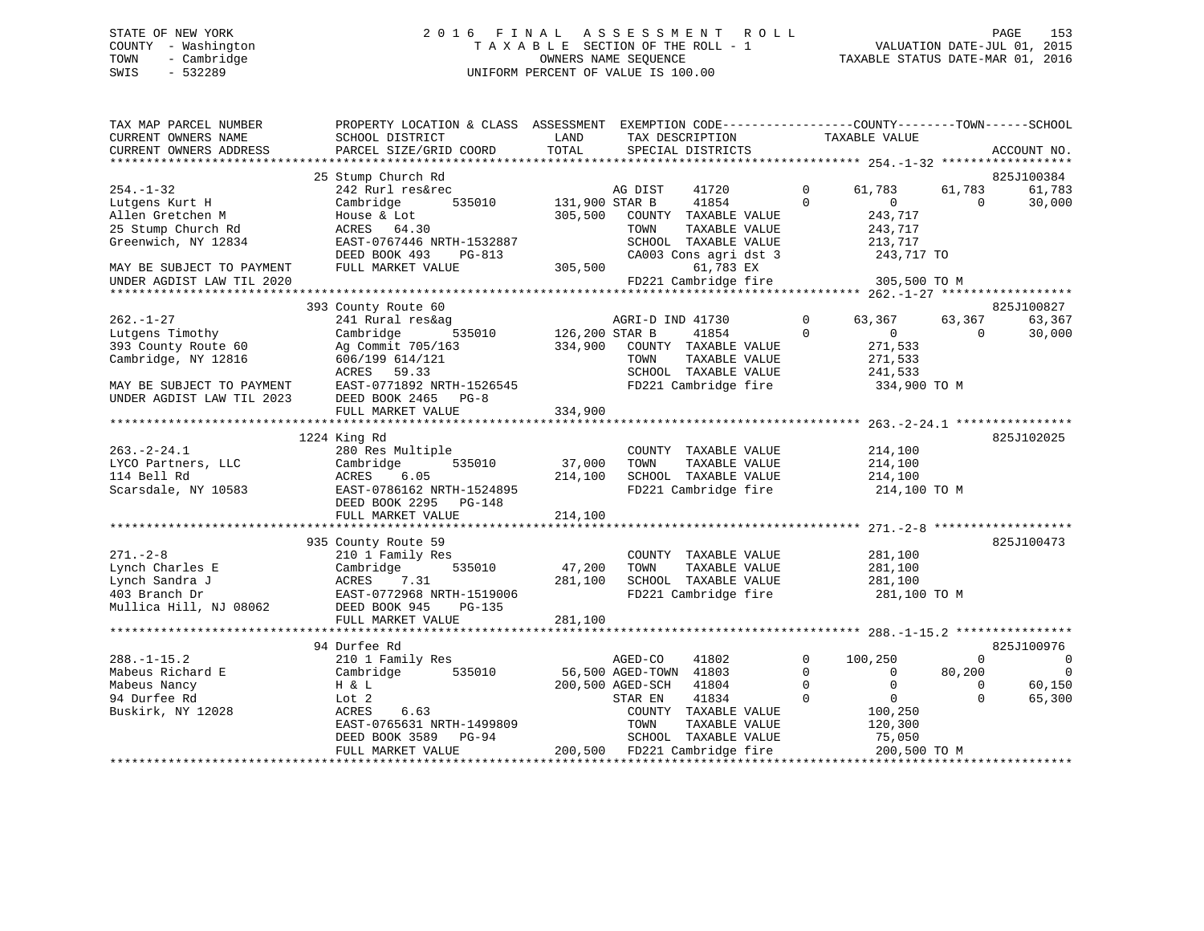#### STATE OF NEW YORK 2016 FINAL ASSESSMENT ROLL PAGE 153 COUNTY - Washington T A X A B L E SECTION OF THE ROLL - 1 VALUATION DATE-JUL 01, 2015 TOWN - Cambridge OWNERS NAME SEQUENCE TAXABLE STATUS DATE-MAR 01, 2016 SWIS - 532289 UNIFORM PERCENT OF VALUE IS 100.00

| TAX MAP PARCEL NUMBER     | PROPERTY LOCATION & CLASS ASSESSMENT EXEMPTION CODE----------------COUNTY-------TOWN------SCHOOL |                |                              |             |                |             |                |
|---------------------------|--------------------------------------------------------------------------------------------------|----------------|------------------------------|-------------|----------------|-------------|----------------|
| CURRENT OWNERS NAME       | SCHOOL DISTRICT                                                                                  | LAND           | TAX DESCRIPTION              |             | TAXABLE VALUE  |             |                |
| CURRENT OWNERS ADDRESS    | PARCEL SIZE/GRID COORD                                                                           | TOTAL          | SPECIAL DISTRICTS            |             |                |             | ACCOUNT NO.    |
|                           |                                                                                                  |                |                              |             |                |             |                |
|                           | 25 Stump Church Rd                                                                               |                |                              |             |                |             | 825J100384     |
| $254. - 1 - 32$           | 242 Rurl res&rec                                                                                 |                | 41720<br>AG DIST             | $\Omega$    | 61,783         | 61,783      | 61,783         |
| Lutgens Kurt H            | Cambridge<br>535010                                                                              | 131,900 STAR B | 41854                        | $\Omega$    | $\overline{0}$ | $\Omega$    | 30,000         |
| Allen Gretchen M          | House & Lot                                                                                      | 305,500        | COUNTY TAXABLE VALUE         |             | 243,717        |             |                |
| 25 Stump Church Rd        | ACRES 64.30                                                                                      |                | TOWN<br>TAXABLE VALUE        |             | 243,717        |             |                |
| Greenwich, NY 12834       | EAST-0767446 NRTH-1532887                                                                        |                | SCHOOL TAXABLE VALUE         |             | 213,717        |             |                |
|                           | DEED BOOK 493<br>PG-813                                                                          |                | CA003 Cons agri dst 3        |             | 243,717 TO     |             |                |
| MAY BE SUBJECT TO PAYMENT | FULL MARKET VALUE                                                                                | 305,500        | 61,783 EX                    |             |                |             |                |
| UNDER AGDIST LAW TIL 2020 |                                                                                                  |                | FD221 Cambridge fire         |             | 305,500 TO M   |             |                |
|                           |                                                                                                  |                |                              |             |                |             |                |
|                           | 393 County Route 60                                                                              |                |                              |             |                |             | 825J100827     |
| $262. - 1 - 27$           | 241 Rural res&ag                                                                                 |                | AGRI-D IND 41730             | 0           | 63,367         | 63,367      | 63,367         |
| Lutgens Timothy           | Cambridge<br>535010                                                                              | 126,200 STAR B | 41854                        | $\Omega$    | $\overline{0}$ | $\Omega$    | 30,000         |
| 393 County Route 60       | Ag Commit 705/163                                                                                | 334,900        | COUNTY TAXABLE VALUE         |             | 271,533        |             |                |
| Cambridge, NY 12816       | 606/199 614/121                                                                                  |                | TOWN<br>TAXABLE VALUE        |             | 271,533        |             |                |
|                           | ACRES 59.33                                                                                      |                | SCHOOL TAXABLE VALUE         |             | 241,533        |             |                |
| MAY BE SUBJECT TO PAYMENT | EAST-0771892 NRTH-1526545                                                                        |                | FD221 Cambridge fire         |             | 334,900 TO M   |             |                |
| UNDER AGDIST LAW TIL 2023 | DEED BOOK 2465<br>$PG-8$                                                                         |                |                              |             |                |             |                |
|                           | FULL MARKET VALUE                                                                                | 334,900        |                              |             |                |             |                |
|                           |                                                                                                  |                |                              |             |                |             |                |
|                           | 1224 King Rd                                                                                     |                |                              |             |                |             | 825J102025     |
| $263. - 2 - 24.1$         | 280 Res Multiple                                                                                 |                | COUNTY TAXABLE VALUE         |             | 214,100        |             |                |
| LYCO Partners, LLC        | 535010<br>Cambridge                                                                              | 37,000         | TOWN<br>TAXABLE VALUE        |             | 214,100        |             |                |
| 114 Bell Rd               | ACRES<br>6.05                                                                                    | 214,100        | SCHOOL TAXABLE VALUE         |             | 214,100        |             |                |
| Scarsdale, NY 10583       | EAST-0786162 NRTH-1524895                                                                        |                | FD221 Cambridge fire         |             | 214,100 TO M   |             |                |
|                           | DEED BOOK 2295<br>$PG-148$                                                                       |                |                              |             |                |             |                |
|                           | FULL MARKET VALUE                                                                                | 214,100        |                              |             |                |             |                |
|                           |                                                                                                  |                |                              |             |                |             |                |
|                           | 935 County Route 59                                                                              |                |                              |             |                |             | 825J100473     |
| $271. - 2 - 8$            | 210 1 Family Res                                                                                 |                | COUNTY TAXABLE VALUE         |             | 281,100        |             |                |
| Lynch Charles E           | 535010<br>Cambridge                                                                              | 47,200         | TAXABLE VALUE<br>TOWN        |             | 281,100        |             |                |
| Lynch Sandra J            | ACRES<br>7.31                                                                                    | 281,100        | SCHOOL TAXABLE VALUE         |             | 281,100        |             |                |
| 403 Branch Dr             | EAST-0772968 NRTH-1519006                                                                        |                | FD221 Cambridge fire         |             | 281,100 TO M   |             |                |
| Mullica Hill, NJ 08062    | DEED BOOK 945<br>PG-135                                                                          |                |                              |             |                |             |                |
|                           | FULL MARKET VALUE                                                                                | 281,100        |                              |             |                |             |                |
|                           |                                                                                                  |                |                              |             |                |             |                |
|                           | 94 Durfee Rd                                                                                     |                |                              |             |                |             | 825J100976     |
| $288. - 1 - 15.2$         | 210 1 Family Res                                                                                 |                | AGED-CO<br>41802             | $\mathbf 0$ | 100,250        | $\mathbf 0$ | $\overline{0}$ |
| Mabeus Richard E          | Cambridge<br>535010                                                                              |                | 56,500 AGED-TOWN 41803       | $\Omega$    | $\overline{0}$ | 80,200      | $\overline{0}$ |
| Mabeus Nancy              | H & L                                                                                            |                | 200,500 AGED-SCH<br>41804    | $\Omega$    | $\overline{0}$ | $\Omega$    | 60,150         |
| 94 Durfee Rd              | Lot 2                                                                                            |                | 41834<br>STAR EN             | $\Omega$    | $\overline{0}$ | $\Omega$    | 65,300         |
| Buskirk, NY 12028         | 6.63<br>ACRES                                                                                    |                | COUNTY TAXABLE VALUE         |             | 100,250        |             |                |
|                           | EAST-0765631 NRTH-1499809                                                                        |                | TOWN<br>TAXABLE VALUE        |             | 120,300        |             |                |
|                           | DEED BOOK 3589<br>PG-94                                                                          |                | SCHOOL TAXABLE VALUE         |             | 75,050         |             |                |
|                           | FULL MARKET VALUE                                                                                |                | 200,500 FD221 Cambridge fire |             | 200,500 TO M   |             |                |
|                           |                                                                                                  |                |                              |             |                |             |                |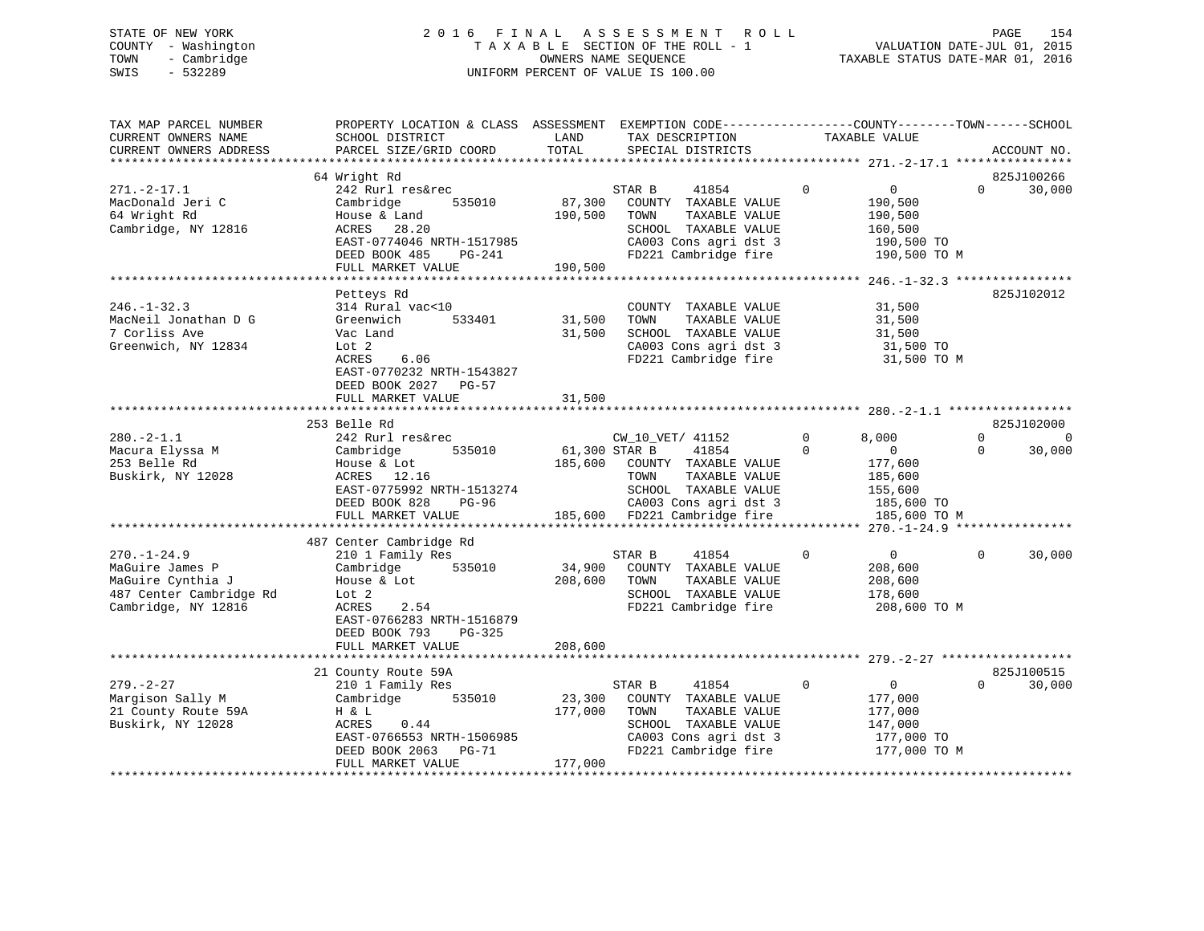# STATE OF NEW YORK 2 0 1 6 F I N A L A S S E S S M E N T R O L L PAGE 154 COUNTY - Washington T A X A B L E SECTION OF THE ROLL - 1 VALUATION DATE-JUL 01, 2015 TOWN - Cambridge OWNERS NAME SEQUENCE TAXABLE STATUS DATE-MAR 01, 2016 SWIS - 532289 UNIFORM PERCENT OF VALUE IS 100.00

| TAX MAP PARCEL NUMBER<br>CURRENT OWNERS NAME<br>CURRENT OWNERS ADDRESS                                      | PROPERTY LOCATION & CLASS ASSESSMENT<br>SCHOOL DISTRICT<br>PARCEL SIZE/GRID COORD                                                                                                                     | LAND<br>TOTAL                | EXEMPTION CODE-----------------COUNTY-------TOWN------SCHOOL<br>TAX DESCRIPTION<br>SPECIAL DISTRICTS                                      | TAXABLE VALUE                                                                                | ACCOUNT NO.                         |
|-------------------------------------------------------------------------------------------------------------|-------------------------------------------------------------------------------------------------------------------------------------------------------------------------------------------------------|------------------------------|-------------------------------------------------------------------------------------------------------------------------------------------|----------------------------------------------------------------------------------------------|-------------------------------------|
|                                                                                                             | 64 Wright Rd                                                                                                                                                                                          |                              |                                                                                                                                           |                                                                                              | 825J100266                          |
| $271. - 2 - 17.1$<br>MacDonald Jeri C<br>64 Wright Rd<br>Cambridge, NY 12816                                | 242 Rurl res&rec<br>535010<br>Cambridge<br>House & Land<br>ACRES 28.20<br>EAST-0774046 NRTH-1517985<br>DEED BOOK 485<br>PG-241                                                                        | 87,300<br>190,500            | STAR B<br>41854<br>COUNTY TAXABLE VALUE<br>TAXABLE VALUE<br>TOWN<br>SCHOOL TAXABLE VALUE<br>CA003 Cons agri dst 3<br>FD221 Cambridge fire | $\Omega$<br>$\overline{0}$<br>190,500<br>190,500<br>160,500<br>190,500 TO<br>190,500 TO M    | $\Omega$<br>30,000                  |
|                                                                                                             | FULL MARKET VALUE                                                                                                                                                                                     | 190,500                      |                                                                                                                                           |                                                                                              |                                     |
|                                                                                                             |                                                                                                                                                                                                       |                              |                                                                                                                                           | ************* 246.-1-32.3 *****************                                                  |                                     |
| $246. - 1 - 32.3$<br>MacNeil Jonathan D G<br>7 Corliss Ave<br>Greenwich, NY 12834                           | Petteys Rd<br>314 Rural vac<10<br>533401<br>Greenwich<br>Vac Land<br>Lot <sub>2</sub><br>ACRES<br>6.06<br>EAST-0770232 NRTH-1543827<br>DEED BOOK 2027 PG-57                                           | 31,500<br>31,500             | COUNTY TAXABLE VALUE<br>TAXABLE VALUE<br>TOWN<br>SCHOOL TAXABLE VALUE<br>CA003 Cons agri dst 3<br>FD221 Cambridge fire                    | 31,500<br>31,500<br>31,500<br>31,500 TO<br>31,500 TO M                                       | 825J102012                          |
|                                                                                                             | FULL MARKET VALUE                                                                                                                                                                                     | 31,500                       |                                                                                                                                           |                                                                                              |                                     |
|                                                                                                             |                                                                                                                                                                                                       |                              |                                                                                                                                           |                                                                                              |                                     |
|                                                                                                             | 253 Belle Rd                                                                                                                                                                                          |                              |                                                                                                                                           |                                                                                              | 825J102000                          |
| $280. -2 - 1.1$<br>Macura Elyssa M<br>253 Belle Rd<br>Buskirk, NY 12028                                     | 242 Rurl res&rec<br>535010<br>Cambridge<br>House & Lot<br>ACRES 12.16<br>EAST-0775992 NRTH-1513274<br>DEED BOOK 828<br>PG-96                                                                          | 61,300 STAR B<br>185,600     | CW_10_VET/ 41152<br>41854<br>COUNTY TAXABLE VALUE<br>TAXABLE VALUE<br>TOWN<br>SCHOOL TAXABLE VALUE<br>CA003 Cons agri dst 3               | 0<br>8,000<br>$\mathbf 0$<br>$\overline{0}$<br>177,600<br>185,600<br>155,600<br>185,600 TO   | $\Omega$<br>$\Omega$<br>30,000<br>0 |
|                                                                                                             | FULL MARKET VALUE                                                                                                                                                                                     |                              | 185,600 FD221 Cambridge fire                                                                                                              | 185,600 TO M                                                                                 |                                     |
|                                                                                                             |                                                                                                                                                                                                       |                              |                                                                                                                                           |                                                                                              |                                     |
| $270. - 1 - 24.9$<br>MaGuire James P<br>MaGuire Cynthia J<br>487 Center Cambridge Rd<br>Cambridge, NY 12816 | 487 Center Cambridge Rd<br>210 1 Family Res<br>Cambridge<br>535010<br>House & Lot<br>Lot <sub>2</sub><br>ACRES<br>2.54<br>EAST-0766283 NRTH-1516879<br>DEED BOOK 793<br>$PG-325$<br>FULL MARKET VALUE | 34,900<br>208,600<br>208,600 | STAR B<br>41854<br>COUNTY TAXABLE VALUE<br>TOWN<br>TAXABLE VALUE<br>SCHOOL TAXABLE VALUE<br>FD221 Cambridge fire                          | $\Omega$<br>$\overline{0}$<br>208,600<br>208,600<br>178,600<br>208,600 TO M                  | 30,000<br>$\Omega$                  |
|                                                                                                             |                                                                                                                                                                                                       |                              |                                                                                                                                           |                                                                                              |                                     |
|                                                                                                             | 21 County Route 59A                                                                                                                                                                                   |                              |                                                                                                                                           |                                                                                              | 825J100515                          |
| $279. - 2 - 27$<br>Margison Sally M<br>21 County Route 59A<br>Buskirk, NY 12028                             | 210 1 Family Res<br>535010<br>Cambridge<br>H & L<br>ACRES<br>0.44<br>EAST-0766553 NRTH-1506985<br>DEED BOOK 2063<br>PG-71<br>FULL MARKET VALUE                                                        | 23,300<br>177,000<br>177,000 | 41854<br>STAR B<br>COUNTY TAXABLE VALUE<br>TOWN<br>TAXABLE VALUE<br>SCHOOL TAXABLE VALUE<br>CA003 Cons agri dst 3<br>FD221 Cambridge fire | $\mathbf 0$<br>$\overline{0}$<br>177,000<br>177,000<br>147,000<br>177,000 TO<br>177,000 TO M | 30,000<br>$\Omega$                  |
|                                                                                                             |                                                                                                                                                                                                       |                              |                                                                                                                                           |                                                                                              |                                     |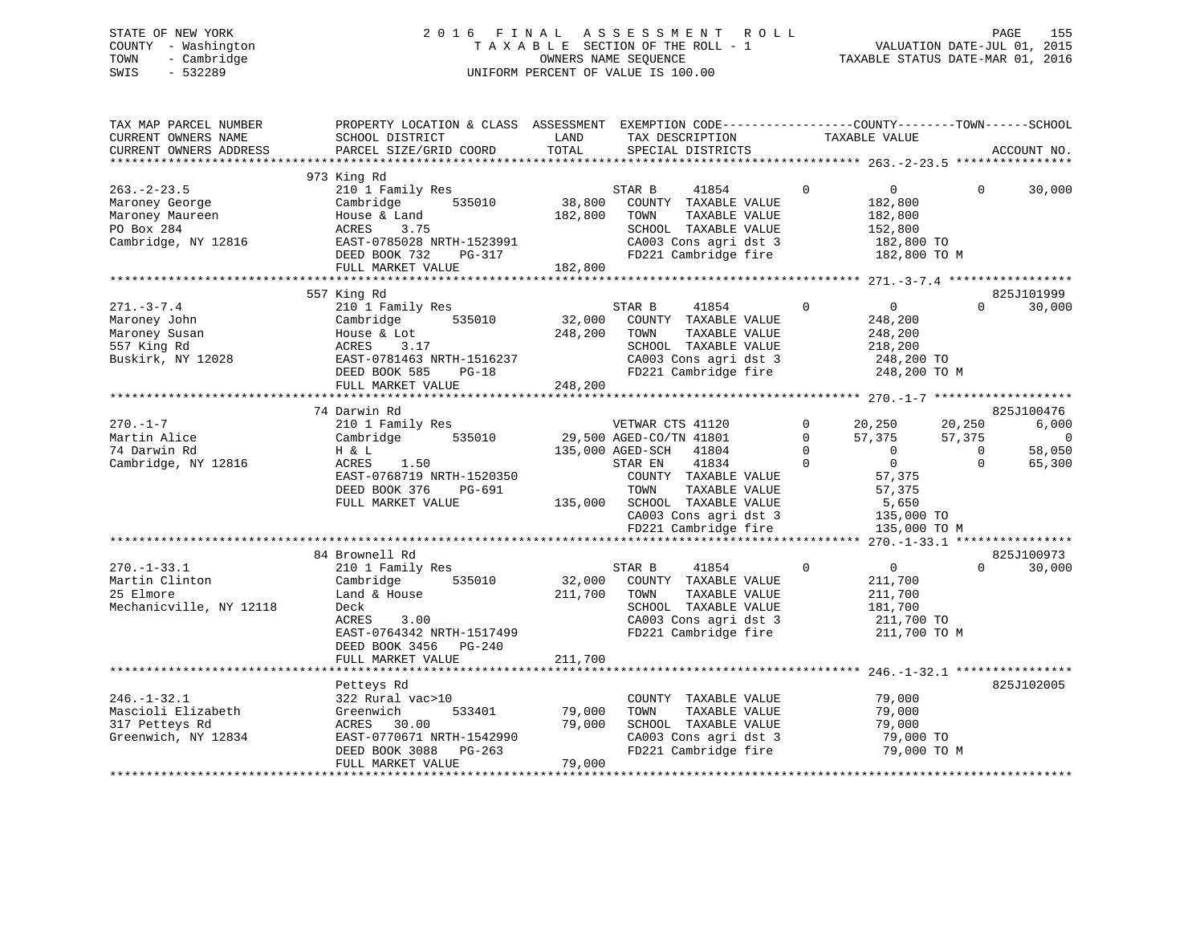# STATE OF NEW YORK 2 0 1 6 F I N A L A S S E S S M E N T R O L L PAGE 155 COUNTY - Washington T A X A B L E SECTION OF THE ROLL - 1 VALUATION DATE-JUL 01, 2015 TOWN - Cambridge OWNERS NAME SEQUENCE TAXABLE STATUS DATE-MAR 01, 2016 SWIS - 532289 UNIFORM PERCENT OF VALUE IS 100.00

| TAX MAP PARCEL NUMBER<br>CURRENT OWNERS NAME<br>CURRENT OWNERS ADDRESS                | PROPERTY LOCATION & CLASS ASSESSMENT EXEMPTION CODE---------------COUNTY-------TOWN-----SCHOOL<br>SCHOOL DISTRICT<br>PARCEL SIZE/GRID COORD | LAND<br>TOTAL     | TAX DESCRIPTION<br>SPECIAL DISTRICTS                                                                                                                                         | TAXABLE VALUE                                                                                                    |                            | ACCOUNT NO.          |
|---------------------------------------------------------------------------------------|---------------------------------------------------------------------------------------------------------------------------------------------|-------------------|------------------------------------------------------------------------------------------------------------------------------------------------------------------------------|------------------------------------------------------------------------------------------------------------------|----------------------------|----------------------|
|                                                                                       |                                                                                                                                             |                   |                                                                                                                                                                              |                                                                                                                  |                            |                      |
| $263. - 2 - 23.5$                                                                     | 973 King Rd<br>210 1 Family Res                                                                                                             |                   | STAR B<br>41854                                                                                                                                                              | $\Omega$<br>$\overline{0}$                                                                                       | $\Omega$                   | 30,000               |
| Maroney George<br>Maroney Maureen<br>PO Box 284<br>Cambridge, NY 12816                | 535010<br>Cambridge<br>House & Land<br>ACRES<br>3.75<br>EAST-0785028 NRTH-1523991                                                           | 38,800<br>182,800 | COUNTY TAXABLE VALUE<br>TAXABLE VALUE<br>TOWN<br>SCHOOL TAXABLE VALUE<br>CA003 Cons agri dst 3                                                                               | 182,800<br>182,800<br>152,800<br>182,800 TO                                                                      |                            |                      |
|                                                                                       | DEED BOOK 732<br>PG-317<br>FULL MARKET VALUE                                                                                                | 182,800           | FD221 Cambridge fire                                                                                                                                                         | 182,800 TO M                                                                                                     |                            |                      |
|                                                                                       |                                                                                                                                             |                   |                                                                                                                                                                              |                                                                                                                  |                            |                      |
|                                                                                       | 557 King Rd                                                                                                                                 |                   |                                                                                                                                                                              |                                                                                                                  |                            | 825J101999           |
| $271. - 3 - 7.4$<br>Maroney John<br>Maroney Susan<br>557 King Rd<br>Buskirk, NY 12028 | 210 1 Family Res<br>Cambridge<br>535010<br>House & Lot<br>ACRES<br>3.17<br>EAST-0781463 NRTH-1516237<br>DEED BOOK 585<br>$PG-18$            | 32,000<br>248,200 | 41854<br>STAR B<br>COUNTY TAXABLE VALUE<br>TOWN<br>TAXABLE VALUE<br>SCHOOL TAXABLE VALUE<br>CA003 Cons agri dst 3<br>FD221 Cambridge fire                                    | $\Omega$<br>$\overline{0}$<br>248,200<br>248,200<br>218,200<br>248,200 TO<br>248,200 TO M                        | $\Omega$                   | 30,000               |
|                                                                                       | FULL MARKET VALUE                                                                                                                           | 248,200           |                                                                                                                                                                              |                                                                                                                  |                            |                      |
|                                                                                       |                                                                                                                                             |                   |                                                                                                                                                                              |                                                                                                                  |                            |                      |
|                                                                                       | 74 Darwin Rd                                                                                                                                |                   |                                                                                                                                                                              |                                                                                                                  |                            | 825J100476           |
| $270. - 1 - 7$<br>Martin Alice                                                        | 210 1 Family Res<br>535010<br>Cambridge                                                                                                     |                   | VETWAR CTS 41120<br>29,500 AGED-CO/TN 41801                                                                                                                                  | $\mathbf 0$<br>20,250<br>$\Omega$<br>57,375                                                                      | 20,250<br>57,375           | 6,000<br>$\Omega$    |
| 74 Darwin Rd<br>Cambridge, NY 12816                                                   | H & L<br>ACRES<br>1.50<br>EAST-0768719 NRTH-1520350<br>DEED BOOK 376<br>PG-691<br>FULL MARKET VALUE                                         |                   | 135,000 AGED-SCH 41804<br>41834<br>STAR EN<br>COUNTY TAXABLE VALUE<br>TOWN<br>TAXABLE VALUE<br>135,000 SCHOOL TAXABLE VALUE<br>CA003 Cons agri dst 3<br>FD221 Cambridge fire | $\mathbf 0$<br>$\Omega$<br>$\overline{0}$<br>$\Omega$<br>57,375<br>57,375<br>5,650<br>135,000 TO<br>135,000 TO M | $\overline{0}$<br>$\Omega$ | 58,050<br>65,300     |
|                                                                                       |                                                                                                                                             |                   |                                                                                                                                                                              |                                                                                                                  |                            |                      |
| $270. - 1 - 33.1$                                                                     | 84 Brownell Rd<br>210 1 Family Res                                                                                                          |                   | 41854<br>STAR B                                                                                                                                                              | $\Omega$<br>$\overline{0}$                                                                                       | $\Omega$                   | 825J100973<br>30,000 |
| Martin Clinton<br>25 Elmore<br>Mechanicville, NY 12118                                | 535010<br>Cambridge<br>Land & House<br>Deck<br>3.00<br>ACRES<br>EAST-0764342 NRTH-1517499<br>DEED BOOK 3456 PG-240                          | 32,000<br>211,700 | COUNTY TAXABLE VALUE<br>TOWN<br>TAXABLE VALUE<br>SCHOOL TAXABLE VALUE<br>CA003 Cons agri dst 3<br>FD221 Cambridge fire                                                       | 211,700<br>211,700<br>181,700<br>211,700 TO<br>211,700 TO M                                                      |                            |                      |
|                                                                                       | FULL MARKET VALUE                                                                                                                           | 211,700           |                                                                                                                                                                              |                                                                                                                  |                            |                      |
|                                                                                       |                                                                                                                                             |                   |                                                                                                                                                                              |                                                                                                                  |                            |                      |
| $246. - 1 - 32.1$<br>Mascioli Elizabeth<br>317 Petteys Rd                             | Petteys Rd<br>322 Rural vac>10<br>533401<br>Greenwich<br>ACRES<br>30.00                                                                     | 79,000<br>79,000  | COUNTY TAXABLE VALUE<br>TOWN<br>TAXABLE VALUE<br>SCHOOL TAXABLE VALUE                                                                                                        | 79,000<br>79,000<br>79,000                                                                                       |                            | 825J102005           |
| Greenwich, NY 12834                                                                   | EAST-0770671 NRTH-1542990<br>DEED BOOK 3088 PG-263<br>FULL MARKET VALUE                                                                     | 79,000            | CA003 Cons agri dst 3<br>FD221 Cambridge fire                                                                                                                                | 79,000 TO<br>79,000 TO M                                                                                         |                            |                      |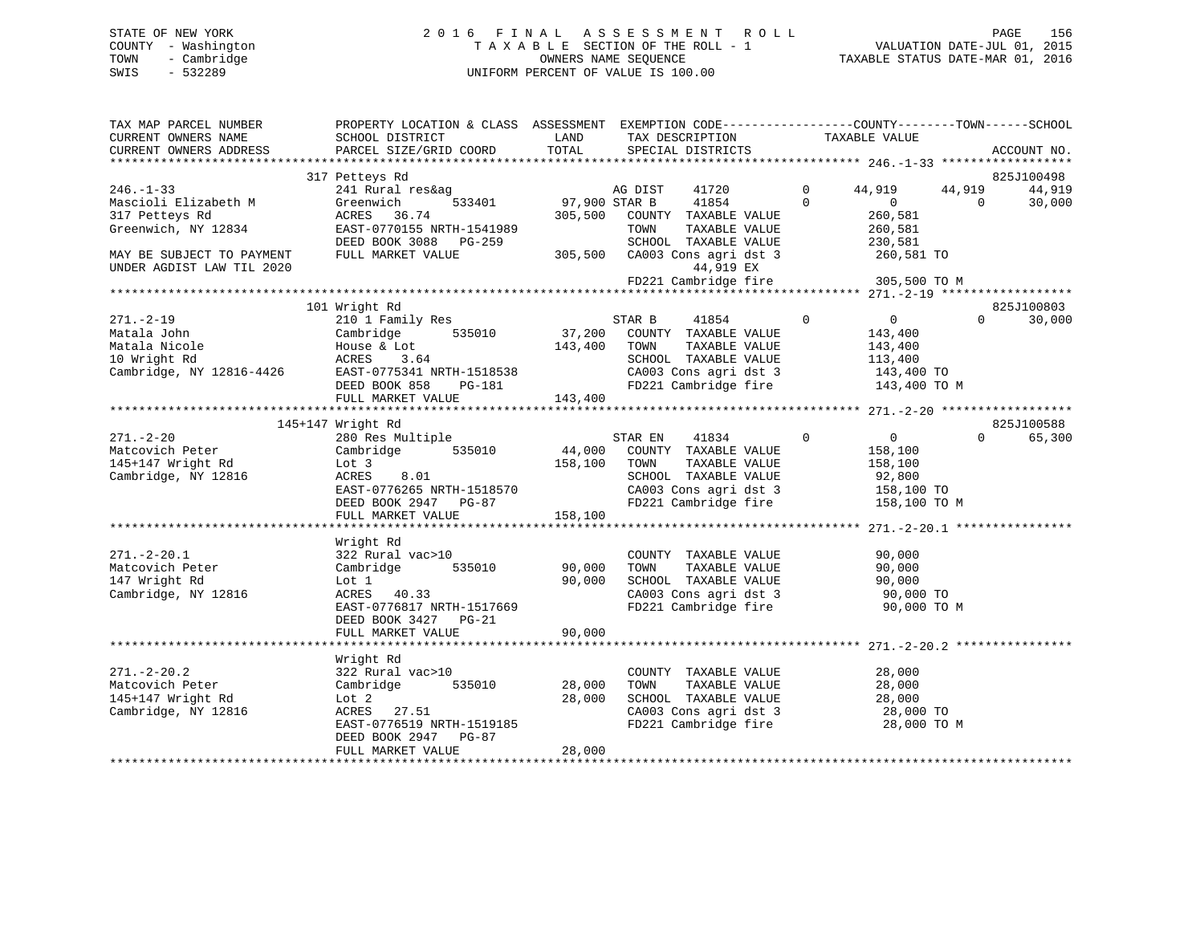# STATE OF NEW YORK 2 0 1 6 F I N A L A S S E S S M E N T R O L L PAGE 156 COUNTY - Washington T A X A B L E SECTION OF THE ROLL - 1 VALUATION DATE-JUL 01, 2015 TOWN - Cambridge OWNERS NAME SEQUENCE TAXABLE STATUS DATE-MAR 01, 2016 SWIS - 532289 UNIFORM PERCENT OF VALUE IS 100.00

| TAX MAP PARCEL NUMBER<br>CURRENT OWNERS NAME<br>CURRENT OWNERS ADDRESS | PROPERTY LOCATION & CLASS ASSESSMENT EXEMPTION CODE----------------COUNTY-------TOWN-----SCHOOL<br>SCHOOL DISTRICT<br>PARCEL SIZE/GRID COORD | LAND<br>TOTAL | TAX DESCRIPTION<br>SPECIAL DISTRICTS                  | TAXABLE VALUE                              |                   | ACCOUNT NO.          |
|------------------------------------------------------------------------|----------------------------------------------------------------------------------------------------------------------------------------------|---------------|-------------------------------------------------------|--------------------------------------------|-------------------|----------------------|
|                                                                        |                                                                                                                                              |               |                                                       |                                            |                   |                      |
|                                                                        | 317 Petteys Rd                                                                                                                               |               |                                                       |                                            |                   | 825J100498           |
| $246. - 1 - 33$                                                        | 241 Rural res&ag                                                                                                                             | AG DIST       | 41720                                                 | $\overline{0}$<br>44,919                   | 44,919            | 44,919               |
| Mascioli Elizabeth M                                                   | 533401<br>Greenwich                                                                                                                          | 97,900 STAR B | 41854                                                 | $\Omega$<br>$\overline{0}$                 | $\Omega$          | 30,000               |
| 317 Petteys Rd                                                         | ACRES 36.74                                                                                                                                  |               | 305,500 COUNTY TAXABLE VALUE                          | 260,581                                    |                   |                      |
| Greenwich, NY 12834                                                    | EAST-0770155 NRTH-1541989                                                                                                                    |               | TAXABLE VALUE<br>TOWN                                 | 260,581                                    |                   |                      |
| MAY BE SUBJECT TO PAYMENT                                              | DEED BOOK 3088 PG-259<br>FULL MARKET VALUE                                                                                                   |               | SCHOOL TAXABLE VALUE<br>305,500 CA003 Cons agri dst 3 | 230,581                                    |                   |                      |
| UNDER AGDIST LAW TIL 2020                                              |                                                                                                                                              |               | 44,919 EX                                             | 260,581 TO                                 |                   |                      |
|                                                                        |                                                                                                                                              |               | FD221 Cambridge fire                                  | 305,500 TO M                               |                   |                      |
|                                                                        | 101 Wright Rd                                                                                                                                |               |                                                       |                                            |                   |                      |
| $271. - 2 - 19$                                                        | 210 1 Family Res                                                                                                                             |               | 41854<br>STAR B                                       | $\Omega$<br>$\overline{0}$                 | $0 \qquad \qquad$ | 825J100803<br>30,000 |
| Matala John                                                            | 535010<br>Cambridge                                                                                                                          | 37,200        | COUNTY TAXABLE VALUE                                  | 143,400                                    |                   |                      |
| Matala Nicole                                                          |                                                                                                                                              | 143,400       | TOWN<br>TAXABLE VALUE                                 | 143,400                                    |                   |                      |
| 10 Wright Rd                                                           | House & Lot<br>ACRES 3.64                                                                                                                    |               | SCHOOL TAXABLE VALUE                                  | 113,400                                    |                   |                      |
|                                                                        |                                                                                                                                              |               | CA003 Cons agri dst 3                                 | 143,400 TO                                 |                   |                      |
|                                                                        | DEED BOOK 858<br>PG-181                                                                                                                      |               | FD221 Cambridge fire                                  | 143,400 TO M                               |                   |                      |
|                                                                        | FULL MARKET VALUE                                                                                                                            | 143,400       |                                                       |                                            |                   |                      |
|                                                                        |                                                                                                                                              |               |                                                       |                                            |                   |                      |
|                                                                        | 145+147 Wright Rd                                                                                                                            |               |                                                       |                                            |                   | 825J100588           |
| $271. - 2 - 20$                                                        | 280 Res Multiple                                                                                                                             |               | STAR EN<br>41834                                      | $\overline{0}$<br>$\overline{0}$           | $\Omega$          | 65,300               |
| Matcovich Peter                                                        | Cambridge 535010                                                                                                                             | 44,000        | COUNTY TAXABLE VALUE                                  | 158,100                                    |                   |                      |
| 145+147 Wright Rd                                                      | Lot 3                                                                                                                                        | 158,100       | TOWN<br>TAXABLE VALUE                                 | 158,100                                    |                   |                      |
| Cambridge, NY 12816                                                    | ACRES<br>8.01<br>EAST-0776265 NRTH-1518570                                                                                                   |               | SCHOOL TAXABLE VALUE<br>CA003 Cons agri dst 3         | 92,800                                     |                   |                      |
|                                                                        | DEED BOOK 2947 PG-87                                                                                                                         |               | FD221 Cambridge fire                                  | 158,100 TO<br>158,100 10 M<br>158,100 TO M |                   |                      |
|                                                                        | FULL MARKET VALUE                                                                                                                            | 158,100       |                                                       |                                            |                   |                      |
|                                                                        |                                                                                                                                              |               |                                                       |                                            |                   |                      |
|                                                                        | Wright Rd                                                                                                                                    |               |                                                       |                                            |                   |                      |
| $271. - 2 - 20.1$                                                      | 322 Rural vac>10                                                                                                                             |               | COUNTY TAXABLE VALUE                                  | 90,000                                     |                   |                      |
| Matcovich Peter                                                        | 535010<br>Cambridge                                                                                                                          | 90,000        | TOWN<br>TAXABLE VALUE                                 | 90,000                                     |                   |                      |
| 147 Wright Rd                                                          | Lot 1                                                                                                                                        | 90,000        | SCHOOL TAXABLE VALUE                                  | 90,000                                     |                   |                      |
| Cambridge, NY 12816                                                    | ACRES 40.33                                                                                                                                  |               | CA003 Cons agri dst 3                                 | 90,000 TO                                  |                   |                      |
|                                                                        | EAST-0776817 NRTH-1517669                                                                                                                    |               | FD221 Cambridge fire                                  | 90,000 TO M                                |                   |                      |
|                                                                        | DEED BOOK 3427 PG-21                                                                                                                         |               |                                                       |                                            |                   |                      |
|                                                                        | FULL MARKET VALUE                                                                                                                            | 90,000        |                                                       |                                            |                   |                      |
|                                                                        | Wright Rd                                                                                                                                    |               |                                                       |                                            |                   |                      |
| $271. - 2 - 20.2$                                                      | 322 Rural vac>10                                                                                                                             |               | COUNTY TAXABLE VALUE                                  | 28,000                                     |                   |                      |
| Matcovich Peter                                                        | Cambridge 535010                                                                                                                             | 28,000        | TOWN<br>TAXABLE VALUE                                 | 28,000                                     |                   |                      |
| 145+147 Wright Rd                                                      | Lot 2                                                                                                                                        | 28,000        | SCHOOL TAXABLE VALUE                                  | 28,000                                     |                   |                      |
| Cambridge, NY 12816                                                    | ACRES 27.51                                                                                                                                  |               | CA003 Cons agri dst 3                                 | 28,000 TO                                  |                   |                      |
|                                                                        | EAST-0776519 NRTH-1519185                                                                                                                    |               | FD221 Cambridge fire                                  | 28,000 TO M                                |                   |                      |
|                                                                        | DEED BOOK 2947 PG-87                                                                                                                         |               |                                                       |                                            |                   |                      |
|                                                                        | FULL MARKET VALUE                                                                                                                            | 28,000        |                                                       |                                            |                   |                      |
|                                                                        |                                                                                                                                              |               |                                                       |                                            |                   |                      |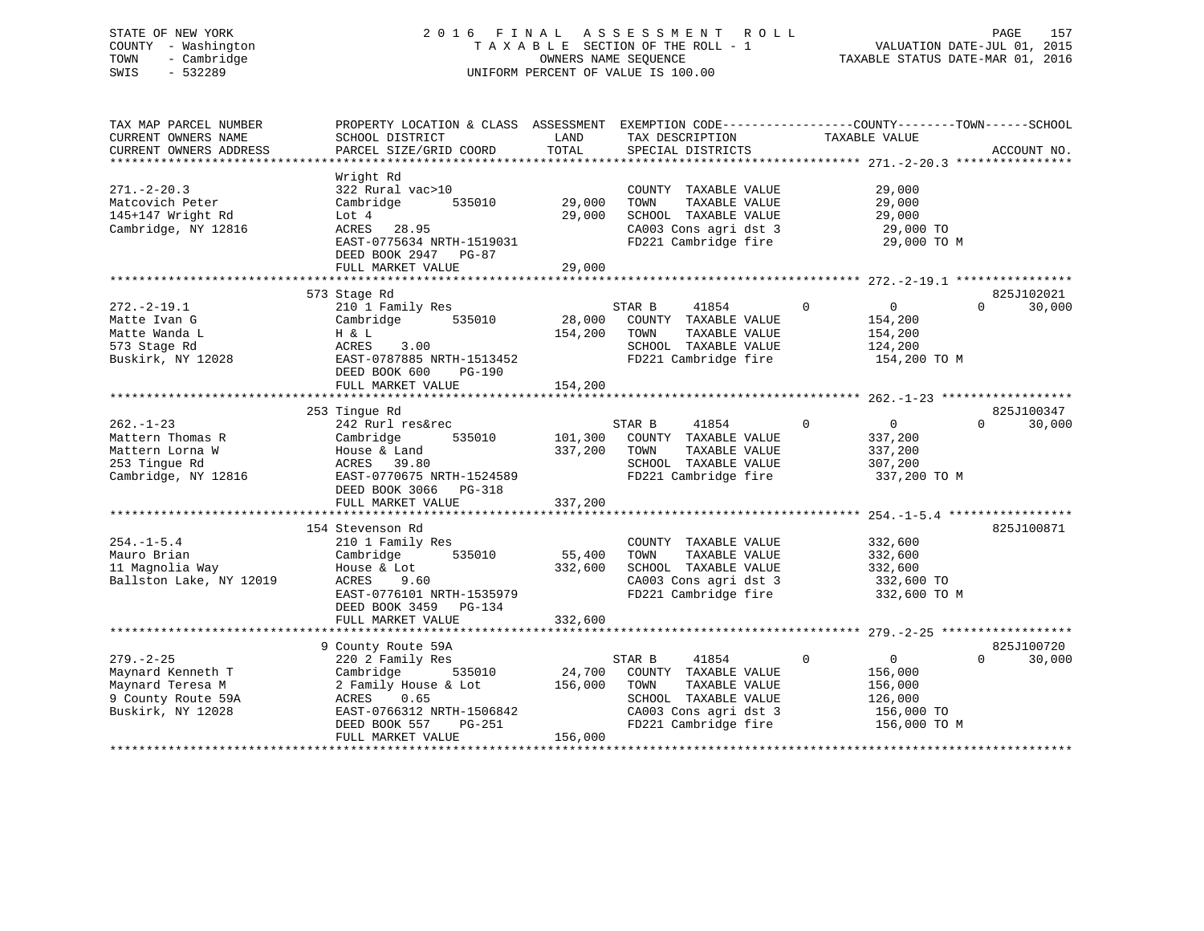# STATE OF NEW YORK 2 0 1 6 F I N A L A S S E S S M E N T R O L L PAGE 157 COUNTY - Washington T A X A B L E SECTION OF THE ROLL - 1 VALUATION DATE-JUL 01, 2015 TOWN - Cambridge OWNERS NAME SEQUENCE TAXABLE STATUS DATE-MAR 01, 2016 SWIS - 532289 UNIFORM PERCENT OF VALUE IS 100.00

| TAX MAP PARCEL NUMBER<br>CURRENT OWNERS NAME<br>CURRENT OWNERS ADDRESS                              | PROPERTY LOCATION & CLASS ASSESSMENT<br>SCHOOL DISTRICT<br>PARCEL SIZE/GRID COORD                                                                                                   | LAND<br>TOTAL                | TAX DESCRIPTION<br>SPECIAL DISTRICTS                                                                                                      | EXEMPTION CODE-----------------COUNTY-------TOWN------SCHOOL<br>TAXABLE VALUE                | ACCOUNT NO.                      |
|-----------------------------------------------------------------------------------------------------|-------------------------------------------------------------------------------------------------------------------------------------------------------------------------------------|------------------------------|-------------------------------------------------------------------------------------------------------------------------------------------|----------------------------------------------------------------------------------------------|----------------------------------|
| $271. - 2 - 20.3$<br>Matcovich Peter<br>145+147 Wright Rd<br>Cambridge, NY 12816                    | Wright Rd<br>322 Rural vac>10<br>Cambridge<br>535010<br>Lot 4<br>ACRES<br>28.95<br>EAST-0775634 NRTH-1519031<br>DEED BOOK 2947 PG-87<br>FULL MARKET VALUE                           | 29,000<br>29,000<br>29,000   | COUNTY TAXABLE VALUE<br>TOWN<br>TAXABLE VALUE<br>SCHOOL TAXABLE VALUE<br>CA003 Cons agri dst 3<br>FD221 Cambridge fire                    | 29,000<br>29,000<br>29,000<br>29,000 TO<br>29,000 TO M                                       |                                  |
| $272. - 2 - 19.1$<br>Matte Ivan G<br>Matte Wanda L<br>573 Stage Rd<br>Buskirk, NY 12028             | 573 Stage Rd<br>210 1 Family Res<br>535010<br>Cambridge<br>H & L<br>3.00<br>ACRES<br>EAST-0787885 NRTH-1513452<br>DEED BOOK 600<br>PG-190<br>FULL MARKET VALUE                      | 28,000<br>154,200<br>154,200 | 41854<br>STAR B<br>COUNTY TAXABLE VALUE<br>TAXABLE VALUE<br>TOWN<br>SCHOOL TAXABLE VALUE<br>FD221 Cambridge fire                          | $\mathbf{0}$<br>$\overline{0}$<br>154,200<br>154,200<br>124,200<br>154,200 TO M              | 825J102021<br>30,000<br>$\Omega$ |
|                                                                                                     |                                                                                                                                                                                     |                              |                                                                                                                                           |                                                                                              | 825J100347                       |
| $262. - 1 - 23$<br>Mattern Thomas R<br>Mattern Lorna W<br>253 Tingue Rd<br>Cambridge, NY 12816      | 253 Tingue Rd<br>242 Rurl res&rec<br>Cambridge<br>535010<br>House & Land<br>ACRES 39.80<br>EAST-0770675 NRTH-1524589<br>DEED BOOK 3066 PG-318                                       | 101,300<br>337,200           | STAR B<br>41854<br>COUNTY TAXABLE VALUE<br>TOWN<br>TAXABLE VALUE<br>SCHOOL TAXABLE VALUE<br>FD221 Cambridge fire                          | $\overline{0}$<br>$\mathbf{0}$<br>337,200<br>337,200<br>307,200<br>337,200 TO M              | $\Omega$<br>30,000               |
|                                                                                                     | FULL MARKET VALUE                                                                                                                                                                   | 337,200                      |                                                                                                                                           |                                                                                              |                                  |
| $254. - 1 - 5.4$<br>Mauro Brian<br>11 Magnolia Way<br>Ballston Lake, NY 12019                       | 154 Stevenson Rd<br>210 1 Family Res<br>Cambridge<br>535010<br>House & Lot<br>ACRES<br>9.60<br>EAST-0776101 NRTH-1535979<br>DEED BOOK 3459 PG-134<br>FULL MARKET VALUE              | 55,400<br>332,600<br>332,600 | COUNTY TAXABLE VALUE<br>TOWN<br>TAXABLE VALUE<br>SCHOOL TAXABLE VALUE<br>CA003 Cons agri dst 3<br>FD221 Cambridge fire                    | 332,600<br>332,600<br>332,600<br>332,600 TO<br>332,600 TO M                                  | 825J100871                       |
|                                                                                                     |                                                                                                                                                                                     |                              |                                                                                                                                           |                                                                                              |                                  |
| $279. - 2 - 25$<br>Maynard Kenneth T<br>Maynard Teresa M<br>9 County Route 59A<br>Buskirk, NY 12028 | 9 County Route 59A<br>220 2 Family Res<br>535010<br>Cambridge<br>2 Family House & Lot<br>ACRES<br>0.65<br>EAST-0766312 NRTH-1506842<br>DEED BOOK 557<br>PG-251<br>FULL MARKET VALUE | 24,700<br>156,000<br>156,000 | STAR B<br>41854<br>COUNTY TAXABLE VALUE<br>TOWN<br>TAXABLE VALUE<br>SCHOOL TAXABLE VALUE<br>CA003 Cons agri dst 3<br>FD221 Cambridge fire | $\mathbf 0$<br>$\overline{0}$<br>156,000<br>156,000<br>126,000<br>156,000 TO<br>156,000 TO M | 825J100720<br>30,000<br>$\Omega$ |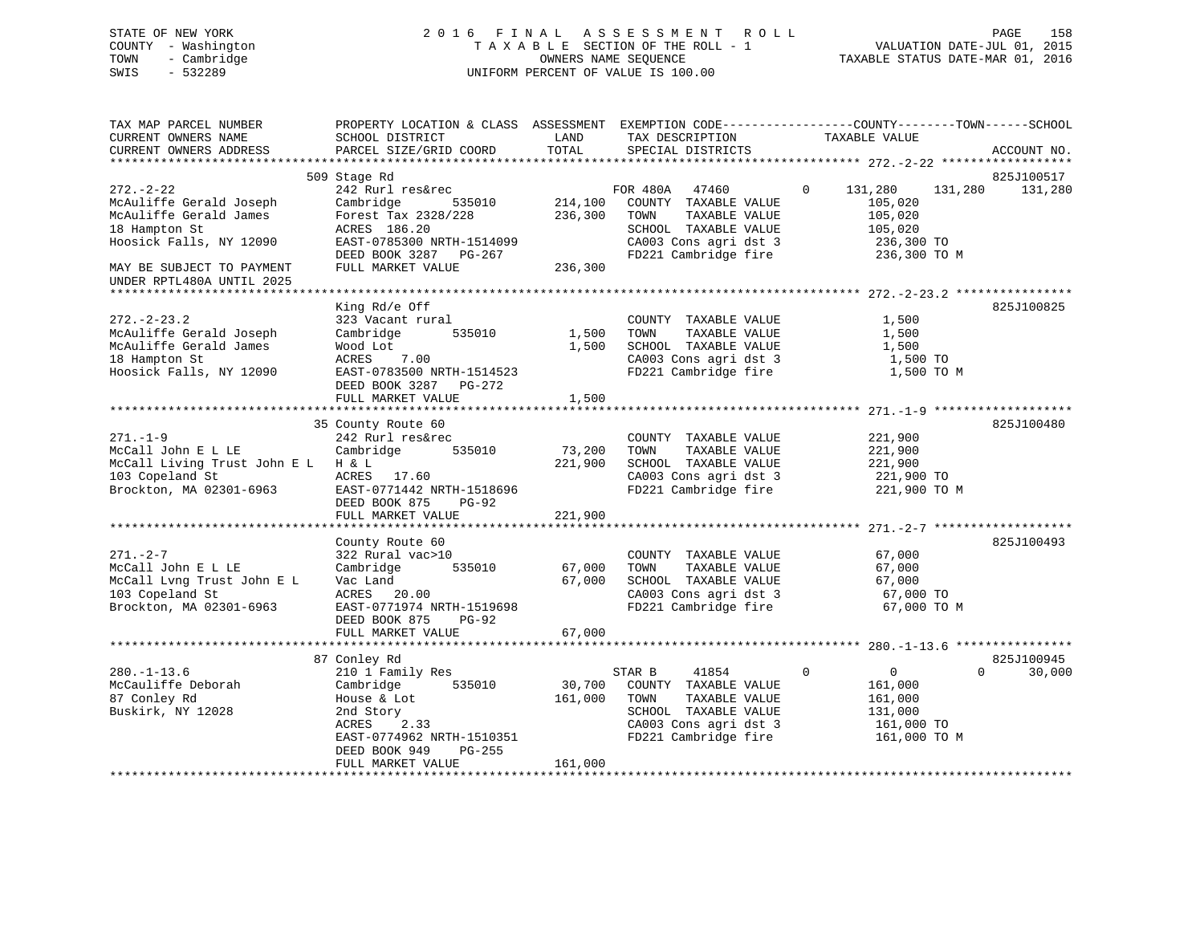# STATE OF NEW YORK 2 0 1 6 F I N A L A S S E S S M E N T R O L L PAGE 158 COUNTY - Washington T A X A B L E SECTION OF THE ROLL - 1 VALUATION DATE-JUL 01, 2015 TOWN - Cambridge OWNERS NAME SEQUENCE TAXABLE STATUS DATE-MAR 01, 2016 SWIS - 532289 UNIFORM PERCENT OF VALUE IS 100.00

| TAX MAP PARCEL NUMBER<br>CURRENT OWNERS NAME<br>CURRENT OWNERS ADDRESS               | PROPERTY LOCATION & CLASS ASSESSMENT EXEMPTION CODE----------------COUNTY-------TOWN------SCHOOL<br>SCHOOL DISTRICT<br>PARCEL SIZE/GRID COORD | LAND<br>TOTAL     | TAX DESCRIPTION<br>SPECIAL DISTRICTS                                                           | TAXABLE VALUE                                    | ACCOUNT NO.           |
|--------------------------------------------------------------------------------------|-----------------------------------------------------------------------------------------------------------------------------------------------|-------------------|------------------------------------------------------------------------------------------------|--------------------------------------------------|-----------------------|
|                                                                                      |                                                                                                                                               |                   |                                                                                                |                                                  |                       |
| $272 - 2 - 22$<br>McAuliffe Gerald Joseph                                            | 509 Stage Rd<br>242 Rurl res&rec<br>Cambridge<br>535010                                                                                       | 214,100           | FOR 480A 47460<br>COUNTY TAXABLE VALUE                                                         | $\mathbf 0$<br>131,280<br>131,280<br>105,020     | 825J100517<br>131,280 |
| McAuliffe Gerald James<br>18 Hampton St<br>Hoosick Falls, NY 12090                   | Forest Tax 2328/228<br>ACRES 186.20<br>EAST-0785300 NRTH-1514099<br>DEED BOOK 3287 PG-267                                                     | 236,300           | TOWN<br>TAXABLE VALUE<br>SCHOOL TAXABLE VALUE<br>CA003 Cons agri dst 3<br>FD221 Cambridge fire | 105,020<br>105,020<br>236,300 TO<br>236,300 TO M |                       |
| MAY BE SUBJECT TO PAYMENT<br>UNDER RPTL480A UNTIL 2025<br>************************** | FULL MARKET VALUE                                                                                                                             | 236,300           |                                                                                                |                                                  |                       |
|                                                                                      | King Rd/e Off                                                                                                                                 |                   |                                                                                                |                                                  | 825J100825            |
| $272. - 2 - 23.2$<br>McAuliffe Gerald Joseph<br>McAuliffe Gerald James               | 323 Vacant rural<br>535010<br>Cambridge<br>Wood Lot                                                                                           | 1,500<br>1,500    | COUNTY TAXABLE VALUE<br>TAXABLE VALUE<br>TOWN<br>SCHOOL TAXABLE VALUE                          | 1,500<br>1,500<br>1,500                          |                       |
| 18 Hampton St<br>Hoosick Falls, NY 12090                                             | 7.00<br>ACRES<br>EAST-0783500 NRTH-1514523<br>DEED BOOK 3287 PG-272                                                                           |                   | CA003 Cons agri dst 3<br>FD221 Cambridge fire                                                  | 1,500 TO<br>1,500 TO M                           |                       |
|                                                                                      | FULL MARKET VALUE                                                                                                                             | 1,500             |                                                                                                |                                                  |                       |
|                                                                                      | 35 County Route 60                                                                                                                            |                   |                                                                                                |                                                  | 825J100480            |
| $271. - 1 - 9$<br>McCall John E L LE                                                 | 242 Rurl res&rec<br>Cambridge<br>535010                                                                                                       | 73,200<br>221,900 | COUNTY TAXABLE VALUE<br>TOWN<br>TAXABLE VALUE<br>SCHOOL TAXABLE VALUE                          | 221,900<br>221,900                               |                       |
| McCall Living Trust John E L H & L<br>103 Copeland St<br>Brockton, MA 02301-6963     | ACRES 17.60<br>EAST-0771442 NRTH-1518696<br>DEED BOOK 875<br>$PG-92$                                                                          |                   | CA003 Cons agri dst 3<br>FD221 Cambridge fire                                                  | 221,900<br>221,900 TO<br>221,900 TO M            |                       |
|                                                                                      | FULL MARKET VALUE                                                                                                                             | 221,900           |                                                                                                |                                                  |                       |
|                                                                                      | County Route 60                                                                                                                               |                   |                                                                                                |                                                  | 825J100493            |
| $271. - 2 - 7$                                                                       | 322 Rural vac>10                                                                                                                              |                   | COUNTY TAXABLE VALUE                                                                           | 67,000                                           |                       |
| McCall John E L LE                                                                   | Cambridge<br>535010                                                                                                                           | 67,000            | TOWN<br>TAXABLE VALUE                                                                          | 67,000                                           |                       |
| McCall Lvng Trust John E L<br>103 Copeland St                                        | Vac Land<br>ACRES 20.00                                                                                                                       | 67,000            | SCHOOL TAXABLE VALUE<br>CA003 Cons agri dst 3                                                  | 67,000<br>67,000 TO                              |                       |
| Brockton, MA 02301-6963                                                              | EAST-0771974 NRTH-1519698<br>DEED BOOK 875<br><b>PG-92</b>                                                                                    |                   | FD221 Cambridge fire                                                                           | 67,000 TO M                                      |                       |
|                                                                                      | FULL MARKET VALUE                                                                                                                             | 67,000            |                                                                                                |                                                  |                       |
|                                                                                      | 87 Conley Rd                                                                                                                                  |                   |                                                                                                |                                                  | 825J100945            |
| $280. - 1 - 13.6$                                                                    | 210 1 Family Res                                                                                                                              |                   | STAR B<br>41854                                                                                | $\Omega$<br>0                                    | $\Omega$<br>30,000    |
| McCauliffe Deborah                                                                   | 535010<br>Cambridge                                                                                                                           | 30,700            | COUNTY TAXABLE VALUE                                                                           | 161,000                                          |                       |
| 87 Conley Rd                                                                         | House & Lot                                                                                                                                   | 161,000           | TOWN<br>TAXABLE VALUE                                                                          | 161,000                                          |                       |
| Buskirk, NY 12028                                                                    | 2nd Story                                                                                                                                     |                   | SCHOOL TAXABLE VALUE                                                                           | 131,000                                          |                       |
|                                                                                      | ACRES<br>2.33<br>EAST-0774962 NRTH-1510351<br>DEED BOOK 949<br>$PG-255$<br>FULL MARKET VALUE                                                  | 161,000           | CA003 Cons agri dst 3<br>FD221 Cambridge fire                                                  | 161,000 TO<br>161,000 TO M                       |                       |
|                                                                                      |                                                                                                                                               |                   |                                                                                                |                                                  |                       |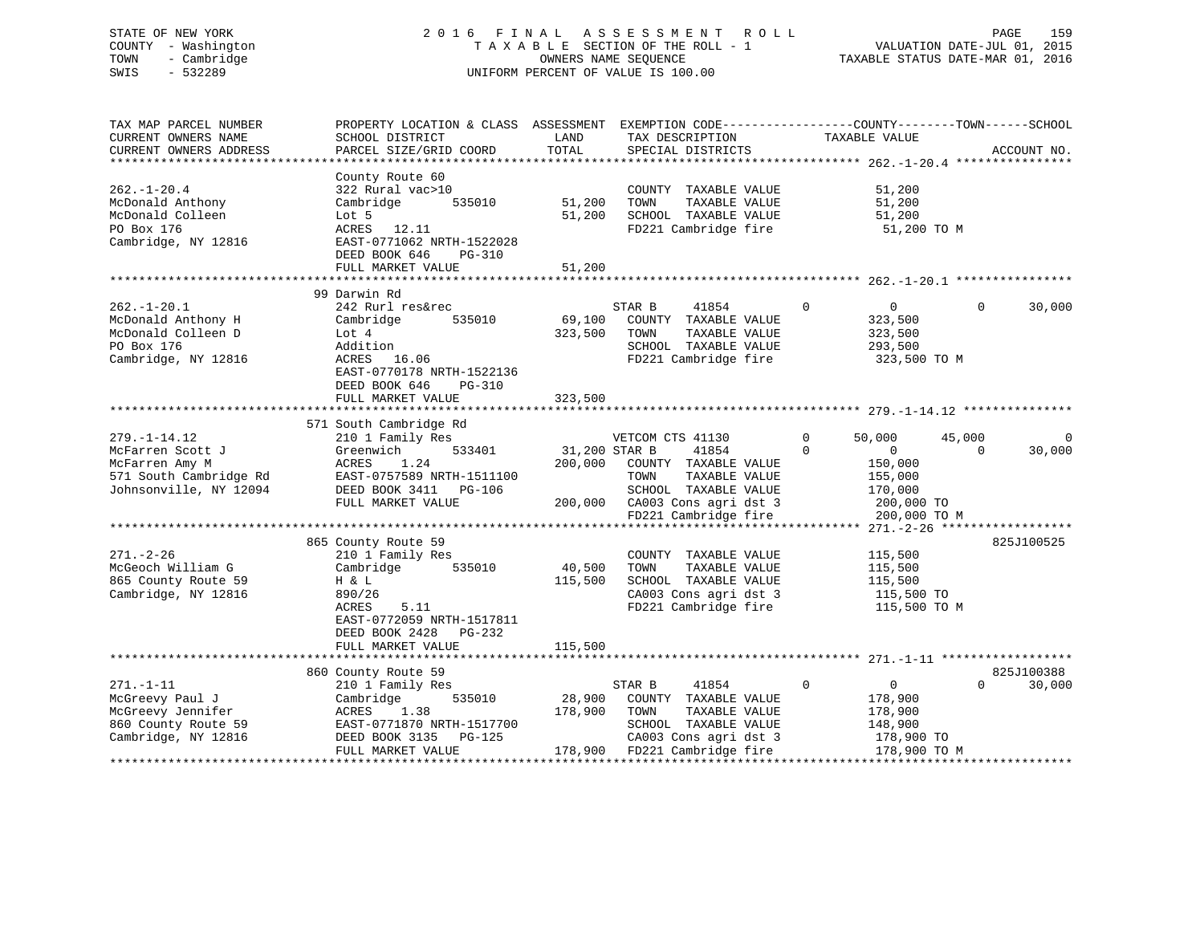# STATE OF NEW YORK 2 0 1 6 F I N A L A S S E S S M E N T R O L L PAGE 159 COUNTY - Washington T A X A B L E SECTION OF THE ROLL - 1 VALUATION DATE-JUL 01, 2015 TOWN - Cambridge OWNERS NAME SEQUENCE TAXABLE STATUS DATE-MAR 01, 2016 SWIS - 532289 UNIFORM PERCENT OF VALUE IS 100.00

| TAX MAP PARCEL NUMBER<br>CURRENT OWNERS NAME<br>CURRENT OWNERS ADDRESS                                       | PROPERTY LOCATION & CLASS ASSESSMENT<br>SCHOOL DISTRICT<br>PARCEL SIZE/GRID COORD                                                                                                                   | LAND<br>TOTAL                       | EXEMPTION CODE-----------------COUNTY-------TOWN------SCHOOL<br>TAX DESCRIPTION<br>SPECIAL DISTRICTS                                              | TAXABLE VALUE                                                                                    | ACCOUNT NO.                      |
|--------------------------------------------------------------------------------------------------------------|-----------------------------------------------------------------------------------------------------------------------------------------------------------------------------------------------------|-------------------------------------|---------------------------------------------------------------------------------------------------------------------------------------------------|--------------------------------------------------------------------------------------------------|----------------------------------|
| $262. - 1 - 20.4$<br>McDonald Anthony<br>McDonald Colleen<br>PO Box 176<br>Cambridge, NY 12816               | County Route 60<br>322 Rural vac>10<br>Cambridge<br>535010<br>Lot 5<br>ACRES 12.11<br>EAST-0771062 NRTH-1522028<br>DEED BOOK 646<br>PG-310<br>FULL MARKET VALUE                                     | 51,200<br>51,200<br>51,200          | COUNTY TAXABLE VALUE<br>TOWN<br>TAXABLE VALUE<br>SCHOOL TAXABLE VALUE<br>FD221 Cambridge fire                                                     | 51,200<br>51,200<br>51,200<br>51,200 TO M                                                        |                                  |
|                                                                                                              | .                                                                                                                                                                                                   | * * * * * * * * * *                 |                                                                                                                                                   | ******************** 262.-1-20.1 ***                                                             |                                  |
| $262. - 1 - 20.1$<br>McDonald Anthony H<br>McDonald Colleen D<br>PO Box 176<br>Cambridge, NY 12816           | 99 Darwin Rd<br>242 Rurl res&rec<br>Cambridge<br>535010<br>Lot 4<br>Addition<br>ACRES<br>16.06<br>EAST-0770178 NRTH-1522136<br>DEED BOOK 646<br>PG-310<br>FULL MARKET VALUE                         | 69,100<br>323,500<br>323,500        | STAR B<br>41854<br>COUNTY TAXABLE VALUE<br>TOWN<br>TAXABLE VALUE<br>SCHOOL TAXABLE VALUE<br>FD221 Cambridge fire                                  | $\mathbf 0$<br>$\overline{0}$<br>323,500<br>323,500<br>293,500<br>323,500 TO M                   | 30,000<br>$\Omega$               |
|                                                                                                              | 571 South Cambridge Rd                                                                                                                                                                              |                                     |                                                                                                                                                   |                                                                                                  |                                  |
| $279. - 1 - 14.12$<br>McFarren Scott J<br>McFarren Amy M<br>571 South Cambridge Rd<br>Johnsonville, NY 12094 | 210 1 Family Res<br>Greenwich<br>533401<br>1.24<br>ACRES<br>EAST-0757589 NRTH-1511100<br>DEED BOOK 3411<br>PG-106<br>FULL MARKET VALUE                                                              | 31,200 STAR B<br>200,000<br>200,000 | VETCOM CTS 41130<br>41854<br>COUNTY TAXABLE VALUE<br>TOWN<br>TAXABLE VALUE<br>SCHOOL TAXABLE VALUE<br>CA003 Cons agri dst 3                       | 50,000<br>$\mathbf 0$<br>$\Omega$<br>$\mathbf{0}$<br>150,000<br>155,000<br>170,000<br>200,000 TO | 45,000<br>30,000<br>$\Omega$     |
|                                                                                                              |                                                                                                                                                                                                     |                                     | FD221 Cambridge fire                                                                                                                              | 200,000 TO M<br>******* 271. -2-26 *******************                                           |                                  |
| $271. - 2 - 26$<br>McGeoch William G<br>865 County Route 59<br>Cambridge, NY 12816                           | 865 County Route 59<br>210 1 Family Res<br>Cambridge<br>535010<br>H & L<br>890/26<br>5.11<br>ACRES<br>EAST-0772059 NRTH-1517811<br>PG-232<br>DEED BOOK 2428                                         | 40,500<br>115,500                   | COUNTY TAXABLE VALUE<br>TAXABLE VALUE<br>TOWN<br>SCHOOL TAXABLE VALUE<br>CA003 Cons agri dst 3<br>FD221 Cambridge fire                            | 115,500<br>115,500<br>115,500<br>115,500 TO<br>115,500 TO M                                      | 825J100525                       |
|                                                                                                              | FULL MARKET VALUE                                                                                                                                                                                   | 115,500                             |                                                                                                                                                   |                                                                                                  |                                  |
|                                                                                                              |                                                                                                                                                                                                     |                                     |                                                                                                                                                   |                                                                                                  |                                  |
| $271. - 1 - 11$<br>McGreevy Paul J<br>McGreevy Jennifer<br>860 County Route 59<br>Cambridge, NY 12816        | 860 County Route 59<br>210 1 Family Res<br>535010<br>Cambridge<br>1.38<br>ACRES<br>EAST-0771870 NRTH-1517700<br>DEED BOOK 3135<br><b>PG-125</b><br>FULL MARKET VALUE<br>*************************** | 28,900<br>178,900                   | STAR B<br>41854<br>COUNTY TAXABLE VALUE<br>TOWN<br>TAXABLE VALUE<br>SCHOOL TAXABLE VALUE<br>CA003 Cons agri dst 3<br>178,900 FD221 Cambridge fire | $\mathbf 0$<br>$\mathbf 0$<br>178,900<br>178,900<br>148,900<br>178,900 TO<br>178,900 TO M        | 825J100388<br>30,000<br>$\Omega$ |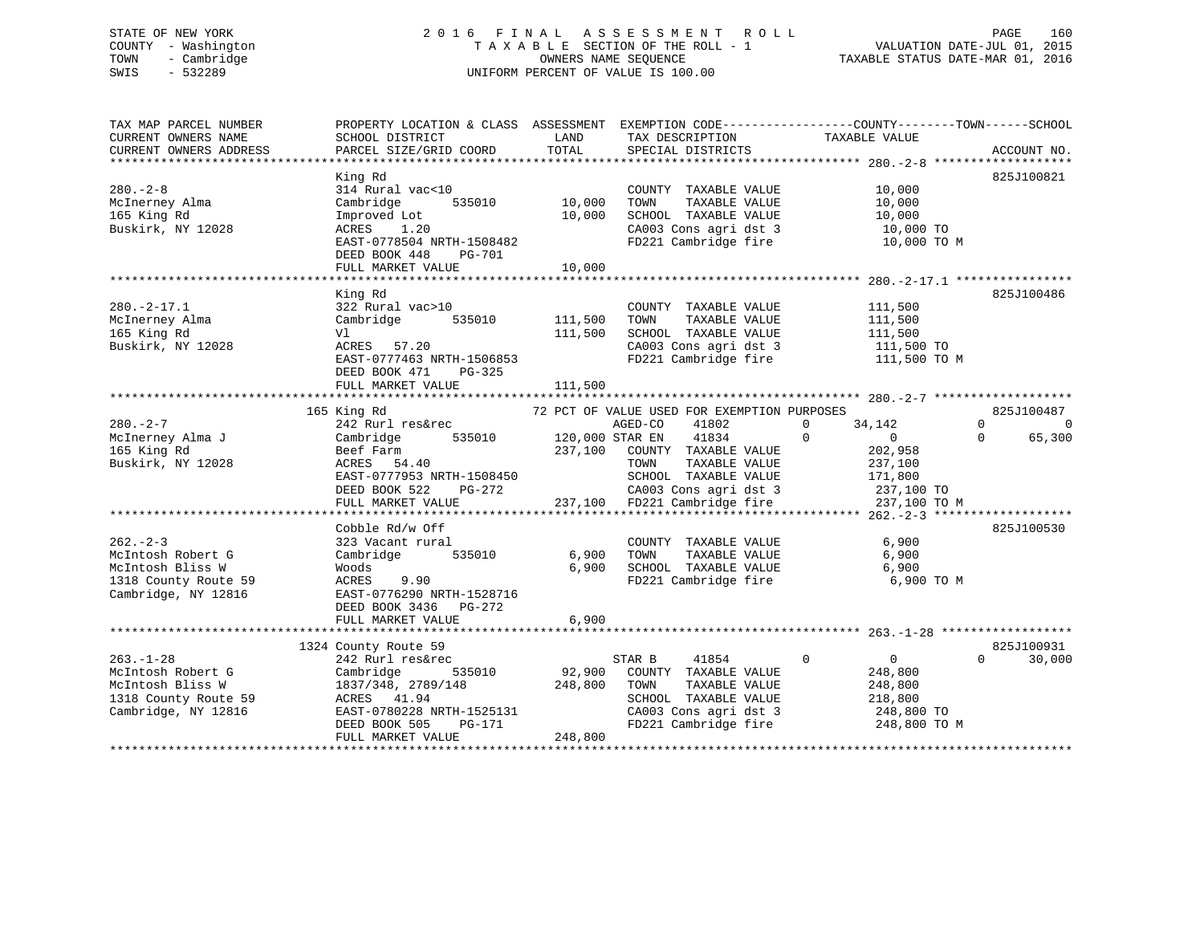# STATE OF NEW YORK 2 0 1 6 F I N A L A S S E S S M E N T R O L L PAGE 160 COUNTY - Washington T A X A B L E SECTION OF THE ROLL - 1 VALUATION DATE-JUL 01, 2015 TOWN - Cambridge OWNERS NAME SEQUENCE TAXABLE STATUS DATE-MAR 01, 2016 SWIS - 532289 UNIFORM PERCENT OF VALUE IS 100.00

| TAX MAP PARCEL NUMBER<br>CURRENT OWNERS NAME<br>CURRENT OWNERS ADDRESS                                  | PROPERTY LOCATION & CLASS ASSESSMENT EXEMPTION CODE----------------COUNTY-------TOWN------SCHOOL<br>SCHOOL DISTRICT<br>PARCEL SIZE/GRID COORD                                     | LAND<br>TOTAL                 | TAX DESCRIPTION<br>SPECIAL DISTRICTS                                                                                                                                                                    | TAXABLE VALUE                                                                                                       | ACCOUNT NO.                                       |
|---------------------------------------------------------------------------------------------------------|-----------------------------------------------------------------------------------------------------------------------------------------------------------------------------------|-------------------------------|---------------------------------------------------------------------------------------------------------------------------------------------------------------------------------------------------------|---------------------------------------------------------------------------------------------------------------------|---------------------------------------------------|
|                                                                                                         |                                                                                                                                                                                   |                               |                                                                                                                                                                                                         |                                                                                                                     |                                                   |
| $280 - 2 - 8$<br>McInerney Alma<br>165 King Rd<br>Buskirk, NY 12028                                     | King Rd<br>314 Rural vac<10<br>535010<br>Cambridge<br>Improved Lot<br>ACRES<br>1.20<br>EAST-0778504 NRTH-1508482<br>DEED BOOK 448<br>PG-701<br>FULL MARKET VALUE                  | 10,000<br>10,000<br>10,000    | COUNTY TAXABLE VALUE<br>TAXABLE VALUE<br>TOWN<br>SCHOOL TAXABLE VALUE<br>CA003 Cons agri dst 3<br>FD221 Cambridge fire                                                                                  | 10,000<br>10,000<br>10,000<br>10,000 TO<br>10,000 TO M                                                              | 825J100821                                        |
|                                                                                                         |                                                                                                                                                                                   |                               |                                                                                                                                                                                                         |                                                                                                                     |                                                   |
| $280. -2 - 17.1$<br>McInerney Alma<br>165 King Rd<br>Buskirk, NY 12028                                  | King Rd<br>322 Rural vac>10<br>Cambridge 535010<br>Vl<br>ACRES 57.20<br>EAST-0777463 NRTH-1506853<br>DEED BOOK 471<br>PG-325<br>FULL MARKET VALUE                                 | 111,500<br>111,500<br>111,500 | COUNTY TAXABLE VALUE<br>TAXABLE VALUE<br>TOWN<br>SCHOOL TAXABLE VALUE<br>CA003 Cons agri dst 3<br>FD221 Cambridge fire                                                                                  | 111,500<br>111,500<br>111,500<br>111,500 TO<br>111,500 TO M                                                         | 825J100486                                        |
|                                                                                                         |                                                                                                                                                                                   |                               |                                                                                                                                                                                                         |                                                                                                                     |                                                   |
| $280 - 2 - 7$<br>McInerney Alma J<br>165 King Rd<br>Buskirk, NY 12028                                   | 165 King Rd<br>242 Rurl res&rec<br>535010<br>Cambridge<br>Beef Farm<br>ACRES   54.40<br>EAST-0777953 NRTH-1508450<br>DEED BOOK 522<br>PG-272<br>FULL MARKET VALUE                 | AGED-CO<br>120,000 STAR EN    | 72 PCT OF VALUE USED FOR EXEMPTION PURPOSES<br>41802<br>41834<br>237,100 COUNTY TAXABLE VALUE<br>TAXABLE VALUE<br>TOWN<br>SCHOOL TAXABLE VALUE<br>CA003 Cons agri dst 3<br>237,100 FD221 Cambridge fire | 34,142<br>$\mathbf{0}$<br>$\Omega$<br>$\overline{0}$<br>202,958<br>237,100<br>171,800<br>237,100 TO<br>237,100 TO M | 825J100487<br>$\Omega$<br>0<br>65,300<br>$\Omega$ |
|                                                                                                         | Cobble Rd/w Off                                                                                                                                                                   |                               |                                                                                                                                                                                                         |                                                                                                                     | 825J100530                                        |
| $262 - 2 - 3$<br>McIntosh Robert G<br>McIntosh Bliss W<br>1318 County Route 59<br>Cambridge, NY 12816   | 323 Vacant rural<br>Cambridge<br>535010<br>Woods<br>ACRES<br>9.90<br>EAST-0776290 NRTH-1528716<br>DEED BOOK 3436 PG-272                                                           | 6,900<br>6,900                | COUNTY TAXABLE VALUE<br>TAXABLE VALUE<br>TOWN<br>SCHOOL TAXABLE VALUE<br>FD221 Cambridge fire                                                                                                           | 6,900<br>6,900<br>6,900<br>6,900 TO M                                                                               |                                                   |
|                                                                                                         | FULL MARKET VALUE                                                                                                                                                                 | 6,900                         |                                                                                                                                                                                                         |                                                                                                                     |                                                   |
| $263. - 1 - 28$<br>McIntosh Robert G<br>McIntosh Bliss W<br>1318 County Route 59<br>Cambridge, NY 12816 | 1324 County Route 59<br>242 Rurl res&rec<br>535010<br>Cambridge<br>1837/348, 2789/148<br>ACRES 41.94<br>EAST-0780228 NRTH-1525131<br>DEED BOOK 505<br>PG-171<br>FULL MARKET VALUE | 92,900<br>248,800<br>248,800  | 41854<br>STAR B<br>COUNTY TAXABLE VALUE<br>TOWN<br>TAXABLE VALUE<br>SCHOOL TAXABLE VALUE<br>CA003 Cons agri dst 3<br>FD221 Cambridge fire                                                               | $\mathbf 0$<br>$\overline{0}$<br>248,800<br>248,800<br>218,800<br>248,800 TO<br>248,800 TO M                        | 825J100931<br>$\Omega$<br>30,000                  |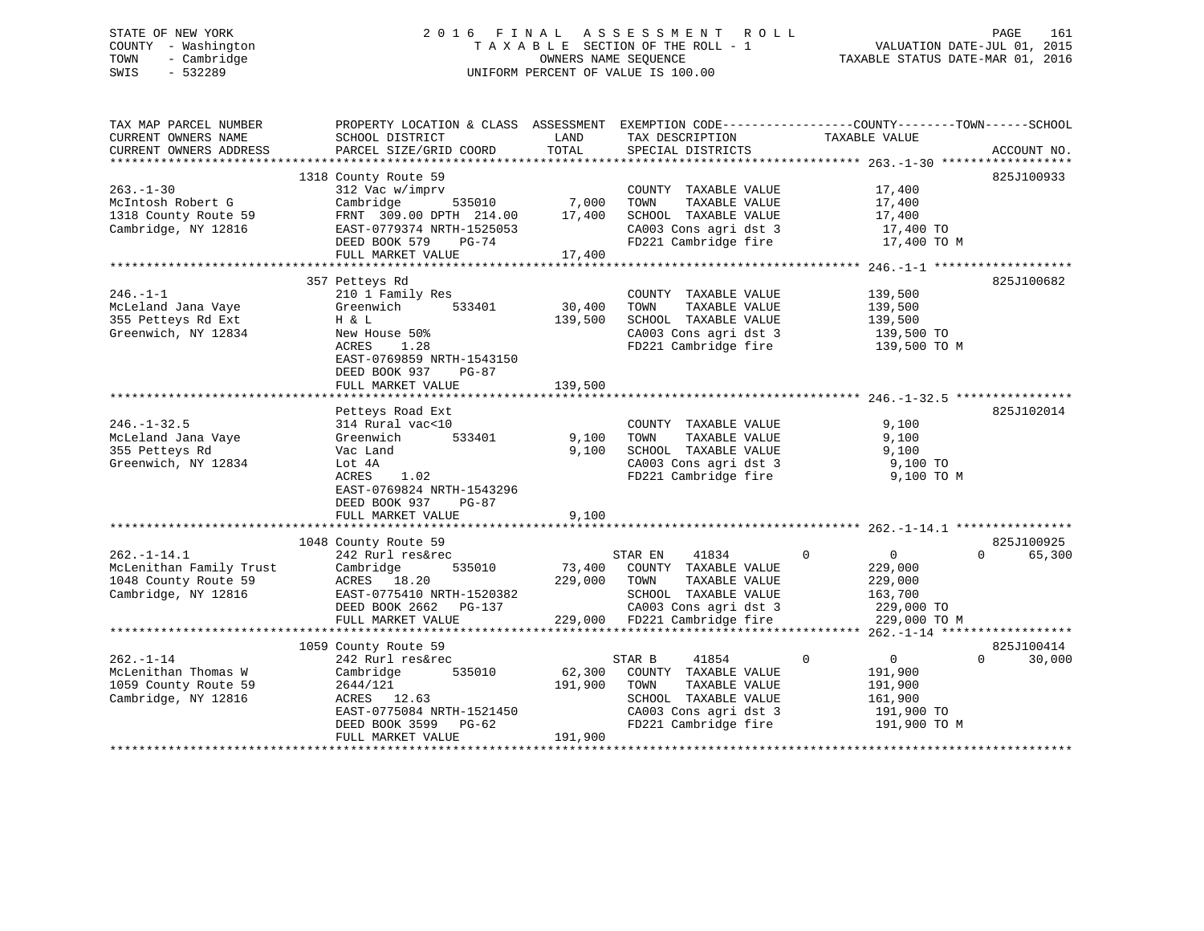# STATE OF NEW YORK 2 0 1 6 F I N A L A S S E S S M E N T R O L L PAGE 161 COUNTY - Washington T A X A B L E SECTION OF THE ROLL - 1 VALUATION DATE-JUL 01, 2015 TOWN - Cambridge OWNERS NAME SEQUENCE TAXABLE STATUS DATE-MAR 01, 2016 SWIS - 532289 UNIFORM PERCENT OF VALUE IS 100.00

| TAX MAP PARCEL NUMBER                                                                       | PROPERTY LOCATION & CLASS ASSESSMENT EXEMPTION CODE---------------COUNTY-------TOWN-----SCHOOL                                                                 |                               |                                                                                                                                                           |                                                                                               |                                  |
|---------------------------------------------------------------------------------------------|----------------------------------------------------------------------------------------------------------------------------------------------------------------|-------------------------------|-----------------------------------------------------------------------------------------------------------------------------------------------------------|-----------------------------------------------------------------------------------------------|----------------------------------|
| CURRENT OWNERS NAME<br>CURRENT OWNERS ADDRESS                                               | SCHOOL DISTRICT<br>PARCEL SIZE/GRID COORD                                                                                                                      | LAND<br>TOTAL                 | TAX DESCRIPTION<br>SPECIAL DISTRICTS                                                                                                                      | TAXABLE VALUE                                                                                 | ACCOUNT NO.                      |
|                                                                                             |                                                                                                                                                                |                               |                                                                                                                                                           |                                                                                               |                                  |
| $263 - 1 - 30$<br>McIntosh Robert G                                                         | 1318 County Route 59<br>312 Vac w/imprv<br>Cambridge<br>535010                                                                                                 |                               | COUNTY TAXABLE VALUE<br>TAXABLE VALUE<br>TOWN                                                                                                             | 17,400<br>17,400                                                                              | 825J100933                       |
| 1318 County Route 59<br>Cambridge, NY 12816                                                 | FRNT 309.00 DPTH 214.00<br>EAST-0779374 NRTH-1525053                                                                                                           | $\frac{7}{17}$ ,000<br>17,400 | SCHOOL TAXABLE VALUE<br>CA003 Cons agri dst 3                                                                                                             | 17,400<br>17,400 TO                                                                           |                                  |
|                                                                                             | DEED BOOK 579<br>PG-74<br>FULL MARKET VALUE                                                                                                                    | 17,400                        | FD221 Cambridge fire                                                                                                                                      | 17,400 TO M                                                                                   |                                  |
|                                                                                             |                                                                                                                                                                |                               |                                                                                                                                                           |                                                                                               |                                  |
| $246. - 1 - 1$<br>McLeland Jana Vaye<br>355 Petteys Rd Ext                                  | 357 Petteys Rd<br>210 1 Family Res<br>533401<br>Greenwich<br>H & L                                                                                             | 30,400<br>139,500             | COUNTY TAXABLE VALUE<br>TOWN<br>TAXABLE VALUE<br>SCHOOL TAXABLE VALUE                                                                                     | 139,500<br>139,500<br>139,500                                                                 | 825J100682                       |
| Greenwich, NY 12834                                                                         | New House 50%<br>ACRES<br>1.28<br>EAST-0769859 NRTH-1543150<br>DEED BOOK 937<br>PG-87<br>FULL MARKET VALUE                                                     | 139,500                       | CA003 Cons agri dst 3<br>FD221 Cambridge fire                                                                                                             | 139,500 TO<br>139,500 TO M                                                                    |                                  |
|                                                                                             |                                                                                                                                                                |                               |                                                                                                                                                           |                                                                                               |                                  |
| $246. - 1 - 32.5$                                                                           | Petteys Road Ext<br>314 Rural vac<10                                                                                                                           |                               | COUNTY TAXABLE VALUE                                                                                                                                      | 9,100                                                                                         | 825J102014                       |
| McLeland Jana Vaye<br>355 Petteys Rd                                                        | 533401<br>Greenwich<br>Vac Land                                                                                                                                | 9,100<br>9,100                | TOWN<br>TAXABLE VALUE<br>SCHOOL TAXABLE VALUE                                                                                                             | 9,100<br>9,100                                                                                |                                  |
| Greenwich, NY 12834                                                                         | Lot 4A<br>1.02<br>ACRES<br>EAST-0769824 NRTH-1543296<br>DEED BOOK 937<br>PG-87                                                                                 |                               | CA003 Cons agri dst 3<br>FD221 Cambridge fire                                                                                                             | 9,100 TO<br>9,100 TO M                                                                        |                                  |
|                                                                                             | FULL MARKET VALUE                                                                                                                                              | 9,100                         |                                                                                                                                                           |                                                                                               |                                  |
|                                                                                             | 1048 County Route 59                                                                                                                                           |                               |                                                                                                                                                           |                                                                                               | 825J100925                       |
| $262. - 1 - 14.1$<br>McLenithan Family Trust<br>1048 County Route 59<br>Cambridge, NY 12816 | 242 Rurl res&rec<br>535010<br>Cambridge<br>ACRES 18.20<br>EAST-0775410 NRTH-1520382<br>EASI-0775410 NRTH-1520382<br>DEED BOOK 2662 PG-137<br>FULL MARKET VALUE | 229,000                       | STAR EN<br>41834<br>73,400 COUNTY TAXABLE VALUE<br>TOWN<br>TAXABLE VALUE<br>SCHOOL TAXABLE VALUE<br>CA003 Cons agri dst 3<br>229,000 FD221 Cambridge fire | $\mathbf{0}$<br>$\overline{0}$<br>229,000<br>229,000<br>163,700<br>229,000 TO<br>229,000 TO M | $\Omega$<br>65,300               |
|                                                                                             |                                                                                                                                                                |                               |                                                                                                                                                           |                                                                                               |                                  |
| $262. - 1 - 14$<br>McLenithan Thomas W<br>1059 County Route 59<br>Cambridge, NY 12816       | 1059 County Route 59<br>242 Rurl res&rec<br>535010<br>Cambridge<br>2644/121<br>ACRES 12.63<br>EAST-0775084 NRTH-1521450<br>DEED BOOK 3599 PG-62                | 62,300<br>191,900             | STAR B<br>41854<br>COUNTY TAXABLE VALUE<br>TOWN<br>TAXABLE VALUE<br>SCHOOL TAXABLE VALUE<br>CA003 Cons agri dst 3<br>FD221 Cambridge fire                 | $\mathbf{0}$<br>$\overline{0}$<br>191,900<br>191,900<br>161,900<br>191,900 TO<br>191,900 TO M | 825J100414<br>30,000<br>$\Omega$ |
|                                                                                             | FULL MARKET VALUE                                                                                                                                              | 191,900                       |                                                                                                                                                           |                                                                                               |                                  |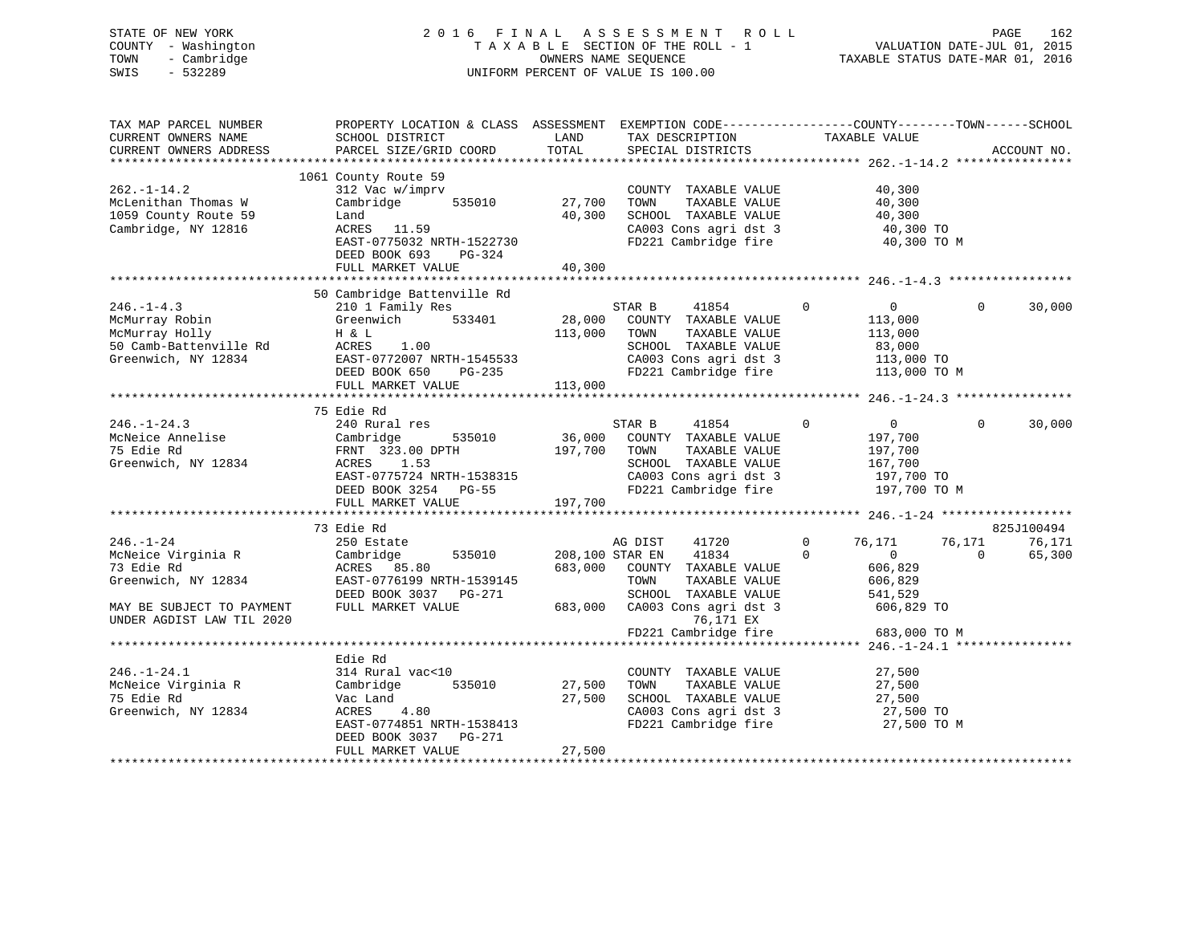# STATE OF NEW YORK 2 0 1 6 F I N A L A S S E S S M E N T R O L L PAGE 162 COUNTY - Washington T A X A B L E SECTION OF THE ROLL - 1 VALUATION DATE-JUL 01, 2015 TOWN - Cambridge OWNERS NAME SEQUENCE TAXABLE STATUS DATE-MAR 01, 2016 SWIS - 532289 UNIFORM PERCENT OF VALUE IS 100.00

| TAX MAP PARCEL NUMBER<br>CURRENT OWNERS NAME<br>CURRENT OWNERS ADDRESS                                                                                                                                                      | PROPERTY LOCATION & CLASS ASSESSMENT EXEMPTION CODE----------------COUNTY-------TOWN------SCHOOL<br>SCHOOL DISTRICT<br>PARCEL SIZE/GRID COORD                                                                                                                      | <b>EXAMPLE TO A LAND</b><br>TOTAL | TAX DESCRIPTION TAXABLE VALUE SPECIAL DISTRICTS                                                                                                                  |                                                                          | ACCOUNT NO.                                                |
|-----------------------------------------------------------------------------------------------------------------------------------------------------------------------------------------------------------------------------|--------------------------------------------------------------------------------------------------------------------------------------------------------------------------------------------------------------------------------------------------------------------|-----------------------------------|------------------------------------------------------------------------------------------------------------------------------------------------------------------|--------------------------------------------------------------------------|------------------------------------------------------------|
| $262. - 1 - 14.2$<br>McLenithan Thomas W<br>1059 County Route 59<br>Cambridge, NY 12816                                                                                                                                     | 1061 County Route 59<br>312 Vac w/imprv<br>Cambridge 535010 27,700<br>EAST-0775032 NRTH-1522730<br>DEED BOOK 693<br>PG-324                                                                                                                                         | 40,300                            | COUNTY TAXABLE VALUE<br>TOWN<br>SCHOOL TAXABLE VALUE 40,300<br>CA003 Cons agri dst 3 40,300 TO<br>FD221 Cambridge fire 40,300 TO                                 | 40,300<br>TAXABLE VALUE 40,300<br>TAXABLE VALUE 40,300<br>40,300 TO M    |                                                            |
|                                                                                                                                                                                                                             | FULL MARKET VALUE                                                                                                                                                                                                                                                  | 40,300                            |                                                                                                                                                                  |                                                                          |                                                            |
|                                                                                                                                                                                                                             |                                                                                                                                                                                                                                                                    |                                   |                                                                                                                                                                  |                                                                          |                                                            |
| $246. - 1 - 4.3$<br>McMurray Robin<br>McMurray Holly<br>50 Camb-Battenville Rd<br>Greenwich, NY 12834<br>EAST-0772007 NRTH-1545533<br>DEED BOOK 650 PG-235<br>THE MADRET VALUE<br>CHERE BOOK 650 PG-235<br>THE MADRET VALUE | 50 Cambridge Battenville Rd                                                                                                                                                                                                                                        | 113,000 TOWN                      | STAR B 41854 0<br>TAXABLE VALUE<br>SCHOOL TAXABLE VALUE<br>CA003 Cons agri dst 3<br>FD221 Cambridge fire 113,000 TO FD221 Cambridge fire 113,000 TO M            | $\overline{0}$<br>113,000<br>113,000<br>83,000                           | $\overline{0}$<br>30,000                                   |
|                                                                                                                                                                                                                             |                                                                                                                                                                                                                                                                    |                                   |                                                                                                                                                                  |                                                                          |                                                            |
|                                                                                                                                                                                                                             |                                                                                                                                                                                                                                                                    |                                   |                                                                                                                                                                  |                                                                          |                                                            |
| $246. - 1 - 24.3$                                                                                                                                                                                                           | 75 Edie Rd<br>240 Rural res<br>ACRES 1.53<br>EAST-0775724 NRTH-1538315<br>DEED BOOK 3254 PG-55<br>FULL MARKET VALUE 197,700                                                                                                                                        |                                   | STAR B<br>41854<br>36,000 COUNTY TAXABLE VALUE<br>TAXABLE VALUE<br>SCHOOL TAXABLE VALUE<br>CA003 Cons agri dst 3 197,700 TO<br>FD221 Cambridge fire 197,700 TO M | $\overline{0}$<br>$\circ$<br>197,700<br>197,700<br>167,700<br>197,700 TO | $\Omega$<br>30,000                                         |
|                                                                                                                                                                                                                             |                                                                                                                                                                                                                                                                    |                                   |                                                                                                                                                                  |                                                                          |                                                            |
| $246. - 1 - 24$<br>McNeice Virginia R<br>73 Edie Rd<br>Greenwich, NY 12834                                                                                                                                                  | 73 Edie Rd<br>250 Estate<br>250 Estate<br>Cambridge 535010 208,100 STAR EN 41834<br>ACRES 85.80 683,000 COUNTY TAXABLE VALUE<br>EAST-0776199 NRTH-1539145 TOWN TAXABLE VALUE<br>DEED BOOK 3037 PG-271 SCHOOL TAXABLE VALUE<br>FULL MARKET VALUE 683,000 CA003 CONS |                                   | AG DIST<br>$41720$ 0<br>$41834$ 0<br>SCHOOL TAXABLE VALUE 541,529                                                                                                | 76,171<br>76, 4.4<br>606,829<br>606,829                                  | 825J100494<br>76,171<br>76,171<br>$\overline{0}$<br>65,300 |
| MAY BE SUBJECT TO PAYMENT<br>UNDER AGDIST LAW TIL 2020                                                                                                                                                                      |                                                                                                                                                                                                                                                                    |                                   |                                                                                                                                                                  | 606,829 TO<br>683,000 TO M                                               |                                                            |
|                                                                                                                                                                                                                             |                                                                                                                                                                                                                                                                    |                                   |                                                                                                                                                                  |                                                                          |                                                            |
| $246. - 1 - 24.1$<br>McNeice Virginia R<br>75 Edie Rd<br>Greenwich, NY 12834                                                                                                                                                | Edie Rd<br>314 Rural vac<10<br>Cambridge 535010<br>nd<br>4.80<br>Vac Land<br>ACRES<br>EAST-0774851 NRTH-1538413<br>DEED BOOK 3037 PG-271                                                                                                                           | COUNTY<br>27,500 TOWN<br>27,500   | COUNTY TAXABLE VALUE 27,500<br>TAXABLE VALUE<br>SCHOOL TAXABLE VALUE 27,500<br>CA003 Cons agri dst 3 27,500 TO<br>FD221 Cambridge fire 27,500 TO M               | 27,500                                                                   |                                                            |
|                                                                                                                                                                                                                             | FULL MARKET VALUE                                                                                                                                                                                                                                                  | 27,500                            |                                                                                                                                                                  |                                                                          |                                                            |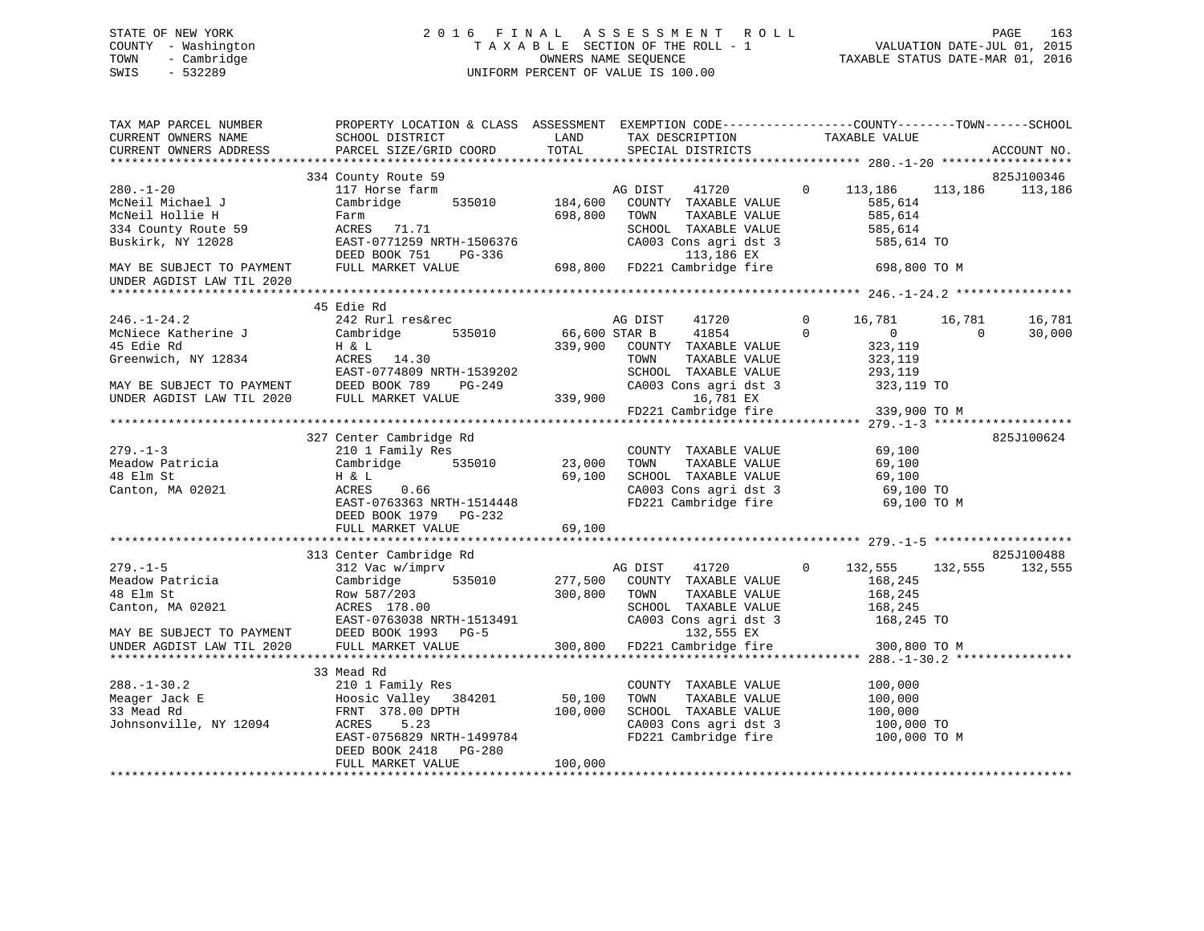# STATE OF NEW YORK 2 0 1 6 F I N A L A S S E S S M E N T R O L L PAGE 163 COUNTY - Washington T A X A B L E SECTION OF THE ROLL - 1 VALUATION DATE-JUL 01, 2015 TOWN - Cambridge OWNERS NAME SEQUENCE TAXABLE STATUS DATE-MAR 01, 2016 SWIS - 532289 UNIFORM PERCENT OF VALUE IS 100.00

| TAX MAP PARCEL NUMBER<br>CURRENT OWNERS NAME<br>CURRENT OWNERS ADDRESS                                                       | PROPERTY LOCATION & CLASS ASSESSMENT<br>SCHOOL DISTRICT<br>PARCEL SIZE/GRID COORD                                                                                                                                  | <b>EXAMPLE DESCRIPTION OF STREET AND STREET AND STREET AND STREET AND STREET AND STREET AND STREET AND STREET AND</b><br>TOTAL | EXEMPTION CODE-----------------COUNTY-------TOWN------SCHOOL<br>TAX DESCRIPTION<br>SPECIAL DISTRICTS                                                             | TAXABLE VALUE                                                                                     | ACCOUNT NO.                                  |
|------------------------------------------------------------------------------------------------------------------------------|--------------------------------------------------------------------------------------------------------------------------------------------------------------------------------------------------------------------|--------------------------------------------------------------------------------------------------------------------------------|------------------------------------------------------------------------------------------------------------------------------------------------------------------|---------------------------------------------------------------------------------------------------|----------------------------------------------|
|                                                                                                                              |                                                                                                                                                                                                                    |                                                                                                                                |                                                                                                                                                                  |                                                                                                   |                                              |
| $280. - 1 - 20$<br>McNeil Michael J<br>McNeil Hollie H<br>334 County Route 59<br>Buskirk, NY 12028                           | 334 County Route 59<br>117 Horse farm<br>535010<br>Cambridge<br>Farm<br>ACRES 71.71<br>EAST-0771259 NRTH-1506376                                                                                                   | 184,600<br>698,800                                                                                                             | AG DIST<br>COUNTY TAXABLE VALUE<br>TOWN<br>TAXABLE VALUE<br>SCHOOL TAXABLE VALUE<br>CA003 Cons agri dst 3<br>113,186 EX                                          | 41720 0 113,186<br>585,614<br>585,614<br>585,614<br>585,614 TO                                    | 825J100346<br>113,186 113,186                |
| MAY BE SUBJECT TO PAYMENT<br>UNDER AGDIST LAW TIL 2020                                                                       | DEED BOOK 751 PG-336<br>FULL MARKET VALUE                                                                                                                                                                          |                                                                                                                                | %7-336 113,186 EX<br>698,800 FD221 Cambridge fire 698,800 TO M                                                                                                   |                                                                                                   |                                              |
|                                                                                                                              |                                                                                                                                                                                                                    |                                                                                                                                |                                                                                                                                                                  |                                                                                                   |                                              |
| $246. - 1 - 24.2$<br>McNiece Katherine J<br>45 Edie Rd<br>Greenwich, NY 12834                                                | 45 Edie Rd<br>242 Rurl res&rec<br>Cambridge<br>535010<br>H & L<br>ACRES 14.30<br>EAST-0774809 NRTH-1539202                                                                                                         | 66,600 STAR B                                                                                                                  | 41720<br>AG DIST<br>41854<br>339,900 COUNTY TAXABLE VALUE<br>TOWN<br>TAXABLE VALUE<br>SCHOOL TAXABLE VALUE                                                       | $\mathbf 0$<br>16,781<br>$\Omega$<br>$\overline{0}$<br>323,119<br>323,119<br>293,119              | 16,781<br>16,781<br>$\overline{0}$<br>30,000 |
| MAY BE SUBJECT TO PAYMENT<br>UNDER AGDIST LAW TIL 2020 FULL MARKET VALUE                                                     | 1539202<br>PG-249                                                                                                                                                                                                  | 339,900                                                                                                                        | CA003 Cons agri dst 3<br>16,781 EX<br>$FD221$ Cambridge fire 339,900 TO M                                                                                        | 323,119 TO                                                                                        |                                              |
|                                                                                                                              | 327 Center Cambridge Rd                                                                                                                                                                                            |                                                                                                                                |                                                                                                                                                                  |                                                                                                   | 825J100624                                   |
| $279. - 1 - 3$<br>Meadow Patricia<br>48 Elm St<br>Canton, MA 02021                                                           | 210 1 Family Res<br>Cambridge<br>H & L<br>ACRES 0.66<br>EAST-0763363 NRTH-1514448<br>DEED BOOK 1979 PG-232                                                                                                         | 69,100                                                                                                                         | COUNTY TAXABLE VALUE<br>TAXABLE VALUE<br>TOWN<br>SCHOOL TAXABLE VALUE<br>SCHOOL TAXABLE VALUE 69,100<br>CA003 Cons agri dst 3 69,100 TO<br>FD221 Cambridge fire  | 69,100<br>69,100<br>69,100<br>69,100 TO M                                                         |                                              |
|                                                                                                                              | FULL MARKET VALUE                                                                                                                                                                                                  | 69,100                                                                                                                         |                                                                                                                                                                  |                                                                                                   |                                              |
|                                                                                                                              |                                                                                                                                                                                                                    |                                                                                                                                |                                                                                                                                                                  |                                                                                                   |                                              |
| $279. - 1 - 5$<br>Meadow Patricia<br>48 Elm St<br>Canton, MA 02021<br>MAY BE SUBJECT TO PAYMENT<br>UNDER AGDIST LAW TIL 2020 | 313 Center Cambridge Rd<br>312 Vac w/imprv<br>535010<br>Cambridge<br>Row 587/203<br>ACRES 178.00<br>ACRES 178.00<br>EAST-0763038 NRTH-1513491<br>DEED BOOK 1993 - DG-5<br>DEED BOOK 1993 PG-5<br>FULL MARKET VALUE | 277,500<br>300,800                                                                                                             | AG DIST<br>41720<br>COUNTY TAXABLE VALUE<br>TOWN<br>TAXABLE VALUE<br>SCHOOL TAXABLE VALUE<br>CA003 Cons agri dst 3<br>132,555 EX<br>300,800 FD221 Cambridge fire | $\circ$<br>132,555<br>168,245<br>168,245<br>$\frac{168}{168}$ , 245<br>168,245 TO<br>300,800 TO M | 825J100488<br>132,555<br>132,555             |
|                                                                                                                              |                                                                                                                                                                                                                    |                                                                                                                                |                                                                                                                                                                  |                                                                                                   |                                              |
| $288. - 1 - 30.2$<br>Meager Jack E<br>33 Mead Rd<br>Johnsonville, NY 12094                                                   | 33 Mead Rd<br>210 1 Family Res<br>Hoosic Valley 384201<br>FRNT 378.00 DPTH<br>5.23<br>ACRES                                                                                                                        | 50,100<br>100,000                                                                                                              | COUNTY TAXABLE VALUE<br>TOWN<br>TAXABLE VALUE<br>SCHOOL TAXABLE VALUE<br>CA003 Cons agri dst 3                                                                   | 100,000<br>100,000<br>100,000<br>100,000 TO                                                       |                                              |
|                                                                                                                              | EAST-0756829 NRTH-1499784<br>DEED BOOK 2418 PG-280<br>FULL MARKET VALUE                                                                                                                                            | 100,000                                                                                                                        | FD221 Cambridge fire 100,000 TO M                                                                                                                                |                                                                                                   |                                              |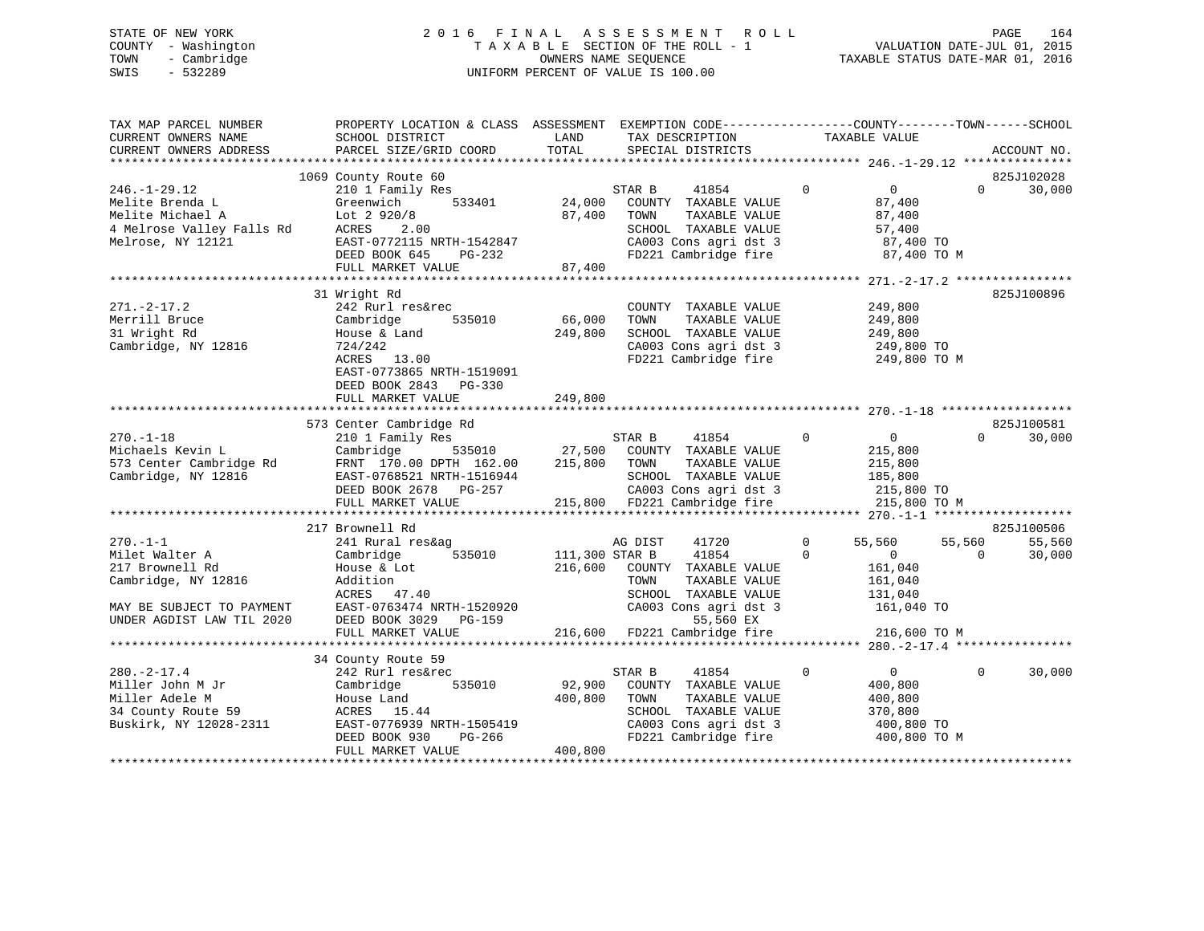# STATE OF NEW YORK 2 0 1 6 F I N A L A S S E S S M E N T R O L L PAGE 164 COUNTY - Washington T A X A B L E SECTION OF THE ROLL - 1 VALUATION DATE-JUL 01, 2015 TOWN - Cambridge OWNERS NAME SEQUENCE TAXABLE STATUS DATE-MAR 01, 2016 SWIS - 532289 UNIFORM PERCENT OF VALUE IS 100.00

| TAX MAP PARCEL NUMBER<br>CURRENT OWNERS NAME<br>CURRENT OWNERS ADDRESS | PROPERTY LOCATION & CLASS ASSESSMENT EXEMPTION CODE----------------COUNTY-------TOWN------SCHOOL<br>SCHOOL DISTRICT<br>PARCEL SIZE/GRID COORD | LAND<br>TOTAL           | TAX DESCRIPTION<br>SPECIAL DISTRICTS          | TAXABLE VALUE                                        | ACCOUNT NO.        |
|------------------------------------------------------------------------|-----------------------------------------------------------------------------------------------------------------------------------------------|-------------------------|-----------------------------------------------|------------------------------------------------------|--------------------|
|                                                                        |                                                                                                                                               |                         |                                               |                                                      |                    |
|                                                                        | 1069 County Route 60                                                                                                                          |                         |                                               |                                                      | 825J102028         |
| $246. - 1 - 29.12$                                                     | 210 1 Family Res                                                                                                                              |                         | STAR B<br>41854                               | $\mathbf{0}$<br>$\overline{0}$                       | 30,000<br>$\Omega$ |
| Melite Brenda L                                                        | Greenwich<br>533401                                                                                                                           | 24,000                  | COUNTY TAXABLE VALUE                          | 87,400                                               |                    |
| Melite Michael A                                                       | Lot 2 920/8                                                                                                                                   | 87,400                  | TOWN<br>TAXABLE VALUE                         | 87,400                                               |                    |
| 4 Melrose Valley Falls Rd                                              | ACRES<br>2.00                                                                                                                                 |                         | SCHOOL TAXABLE VALUE                          | 57,400                                               |                    |
| Melrose, NY 12121                                                      | EAST-0772115 NRTH-1542847                                                                                                                     |                         | CA003 Cons agri dst 3                         | 87,400 TO                                            |                    |
|                                                                        | DEED BOOK 645<br>PG-232                                                                                                                       |                         | FD221 Cambridge fire                          | 87,400 TO M                                          |                    |
|                                                                        | FULL MARKET VALUE<br>***************************                                                                                              | 87,400<br>************* |                                               |                                                      |                    |
|                                                                        |                                                                                                                                               |                         |                                               | ************************ 271.-2-17.2 *************** |                    |
|                                                                        | 31 Wright Rd                                                                                                                                  |                         |                                               |                                                      | 825J100896         |
| $271. - 2 - 17.2$<br>Merrill Bruce                                     | 242 Rurl res&rec<br>535010                                                                                                                    | 66,000                  | COUNTY TAXABLE VALUE<br>TOWN                  | 249,800                                              |                    |
| 31 Wright Rd                                                           | Cambridge<br>House & Land                                                                                                                     | 249,800                 | TAXABLE VALUE<br>SCHOOL TAXABLE VALUE         | 249,800<br>249,800                                   |                    |
| Cambridge, NY 12816                                                    | 724/242                                                                                                                                       |                         | CA003 Cons agri dst 3                         | 249,800 TO                                           |                    |
|                                                                        | ACRES 13.00                                                                                                                                   |                         | FD221 Cambridge fire                          | 249,800 TO M                                         |                    |
|                                                                        | EAST-0773865 NRTH-1519091                                                                                                                     |                         |                                               |                                                      |                    |
|                                                                        | DEED BOOK 2843 PG-330                                                                                                                         |                         |                                               |                                                      |                    |
|                                                                        | FULL MARKET VALUE                                                                                                                             | 249,800                 |                                               |                                                      |                    |
|                                                                        |                                                                                                                                               |                         |                                               |                                                      |                    |
|                                                                        | 573 Center Cambridge Rd                                                                                                                       |                         |                                               |                                                      | 825J100581         |
| $270. - 1 - 18$                                                        | 210 1 Family Res                                                                                                                              |                         | STAR B<br>41854                               | $\mathbf 0$<br>$\overline{0}$                        | $\Omega$<br>30,000 |
| Michaels Kevin L                                                       | Cambridge<br>535010                                                                                                                           | 27,500                  | COUNTY TAXABLE VALUE                          | 215,800                                              |                    |
| 573 Center Cambridge Rd                                                | FRNT 170.00 DPTH 162.00                                                                                                                       | 215,800                 | TOWN<br>TAXABLE VALUE                         | 215,800                                              |                    |
| Cambridge, NY 12816                                                    | EAST-0768521 NRTH-1516944                                                                                                                     |                         | SCHOOL TAXABLE VALUE                          | 185,800                                              |                    |
|                                                                        | DEED BOOK 2678 PG-257                                                                                                                         | 215.000                 | CA003 Cons agri dst 3                         | 215,800 TO                                           |                    |
|                                                                        | FULL MARKET VALUE                                                                                                                             |                         | 215,800 FD221 Cambridge fire                  | 215,800 TO M                                         |                    |
| **********************                                                 |                                                                                                                                               |                         |                                               |                                                      |                    |
|                                                                        | 217 Brownell Rd                                                                                                                               |                         |                                               |                                                      | 825J100506         |
| $270. - 1 - 1$                                                         | 241 Rural res&ag                                                                                                                              |                         | 41720<br>AG DIST                              | 55,560<br>0                                          | 55,560<br>55,560   |
| Milet Walter A                                                         | 535010<br>Cambridge                                                                                                                           | 111,300 STAR B          | 41854                                         | $\mathbf 0$<br>$\overline{0}$                        | 30,000<br>$\Omega$ |
| 217 Brownell Rd                                                        | House & Lot                                                                                                                                   | 216,600                 | COUNTY TAXABLE VALUE                          | 161,040                                              |                    |
| Cambridge, NY 12816                                                    | Addition                                                                                                                                      |                         | TOWN<br>TAXABLE VALUE                         | 161,040                                              |                    |
| MAY BE SUBJECT TO PAYMENT                                              | ACRES 47.40<br>EAST-0763474 NRTH-1520920                                                                                                      |                         | SCHOOL TAXABLE VALUE<br>CA003 Cons agri dst 3 | 131,040<br>161,040 TO                                |                    |
| UNDER AGDIST LAW TIL 2020                                              | DEED BOOK 3029<br>PG-159                                                                                                                      |                         | 55,560 EX                                     |                                                      |                    |
|                                                                        | FULL MARKET VALUE                                                                                                                             |                         | 216,600 FD221 Cambridge fire                  | 216,600 TO M                                         |                    |
|                                                                        |                                                                                                                                               |                         |                                               |                                                      |                    |
|                                                                        | 34 County Route 59                                                                                                                            |                         |                                               |                                                      |                    |
| $280. -2 - 17.4$                                                       | 242 Rurl res&rec                                                                                                                              |                         | STAR B<br>41854                               | $\mathbf 0$<br>$\overline{0}$                        | 30,000<br>$\Omega$ |
| Miller John M Jr                                                       | 535010<br>Cambridge                                                                                                                           | 92,900                  | COUNTY TAXABLE VALUE                          | 400,800                                              |                    |
| Miller Adele M                                                         | House Land                                                                                                                                    | 400,800                 | TOWN<br>TAXABLE VALUE                         | 400,800                                              |                    |
| 34 County Route 59                                                     | ACRES 15.44                                                                                                                                   |                         | SCHOOL TAXABLE VALUE                          | 370,800                                              |                    |
| Buskirk, NY 12028-2311                                                 | EAST-0776939 NRTH-1505419                                                                                                                     |                         | CA003 Cons agri dst 3                         | 400,800 TO                                           |                    |
|                                                                        | DEED BOOK 930<br>PG-266                                                                                                                       |                         | FD221 Cambridge fire                          | 400,800 TO M                                         |                    |
|                                                                        | FULL MARKET VALUE                                                                                                                             | 400,800                 |                                               |                                                      |                    |
| **********************                                                 |                                                                                                                                               |                         |                                               |                                                      |                    |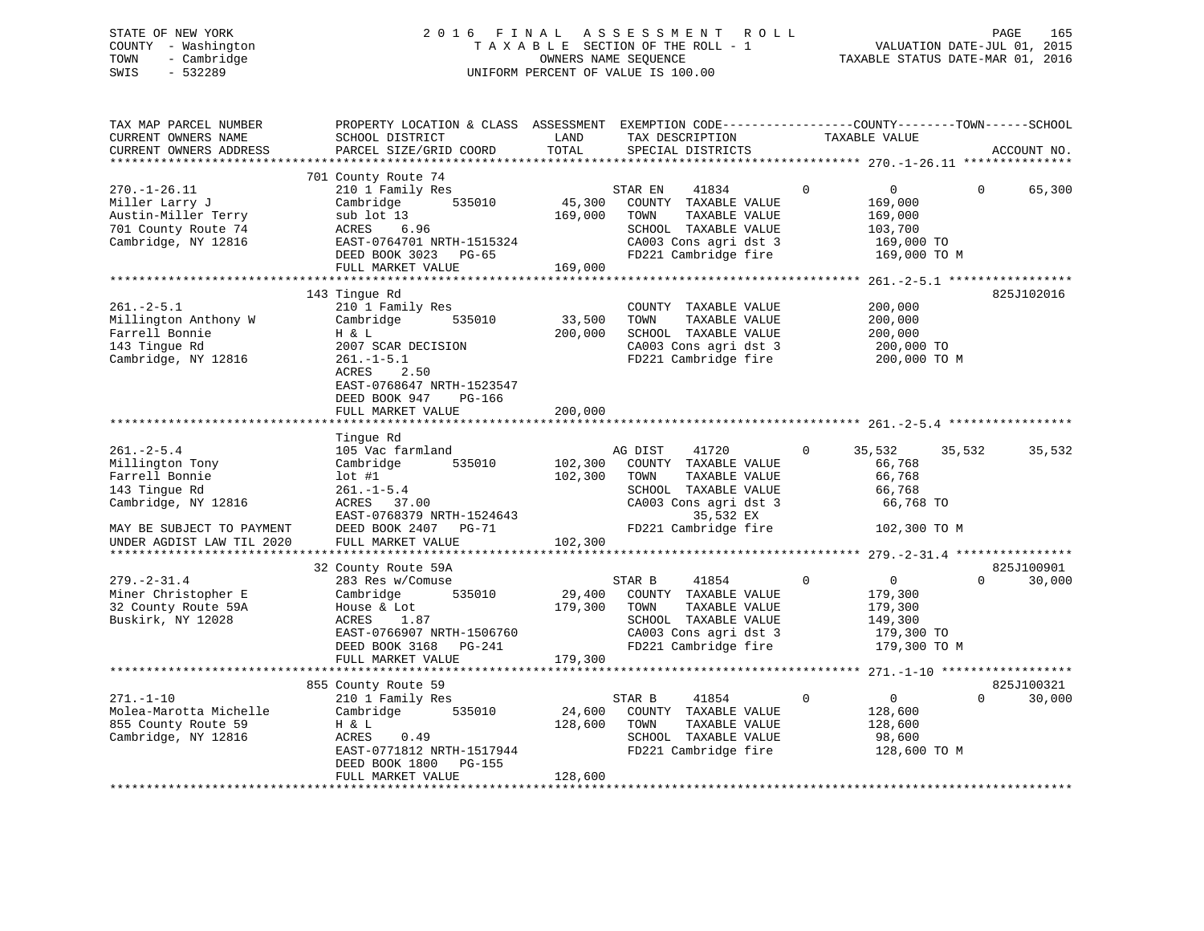# STATE OF NEW YORK 2 0 1 6 F I N A L A S S E S S M E N T R O L L PAGE 165 COUNTY - Washington T A X A B L E SECTION OF THE ROLL - 1 VALUATION DATE-JUL 01, 2015 TOWN - Cambridge OWNERS NAME SEQUENCE TAXABLE STATUS DATE-MAR 01, 2016 SWIS - 532289 UNIFORM PERCENT OF VALUE IS 100.00

| TAX MAP PARCEL NUMBER<br>CURRENT OWNERS NAME<br>CURRENT OWNERS ADDRESS                                                                                  | PROPERTY LOCATION & CLASS ASSESSMENT EXEMPTION CODE----------------COUNTY-------TOWN-----SCHOOL<br>SCHOOL DISTRICT<br>PARCEL SIZE/GRID COORD                                        | LAND<br>TOTAL                 | TAX DESCRIPTION<br>SPECIAL DISTRICTS                                                                                                                    | TAXABLE VALUE                                                                                    | ACCOUNT NO.        |
|---------------------------------------------------------------------------------------------------------------------------------------------------------|-------------------------------------------------------------------------------------------------------------------------------------------------------------------------------------|-------------------------------|---------------------------------------------------------------------------------------------------------------------------------------------------------|--------------------------------------------------------------------------------------------------|--------------------|
|                                                                                                                                                         |                                                                                                                                                                                     |                               |                                                                                                                                                         |                                                                                                  |                    |
| $270. - 1 - 26.11$<br>Miller Larry J<br>Austin-Miller Terry<br>701 County Route 74<br>Cambridge, NY 12816                                               | 701 County Route 74<br>210 1 Family Res<br>535010<br>Cambridge<br>sub lot 13<br>6.96<br>ACRES<br>EAST-0764701 NRTH-1515324<br>DEED BOOK 3023 PG-65<br>FULL MARKET VALUE             | 45,300<br>169,000<br>169,000  | STAR EN<br>41834<br>COUNTY TAXABLE VALUE<br>TOWN<br>TAXABLE VALUE<br>SCHOOL TAXABLE VALUE<br>CA003 Cons agri dst 3<br>FD221 Cambridge fire              | $\mathbf{0}$<br>$0 \qquad \qquad$<br>169,000<br>169,000<br>103,700<br>169,000 TO<br>169,000 TO M | $\Omega$<br>65,300 |
|                                                                                                                                                         |                                                                                                                                                                                     |                               |                                                                                                                                                         |                                                                                                  |                    |
| $261. - 2 - 5.1$<br>Millington Anthony W<br>Farrell Bonnie<br>143 Tingue Rd<br>Cambridge, NY 12816                                                      | 143 Tingue Rd<br>210 1 Family Res<br>Cambridge<br>535010<br>H & L<br>2007 SCAR DECISION<br>$261. -1 - 5.1$<br>ACRES<br>2.50<br>EAST-0768647 NRTH-1523547<br>DEED BOOK 947<br>PG-166 | 33,500<br>200,000             | COUNTY TAXABLE VALUE<br>TOWN<br>TAXABLE VALUE<br>SCHOOL TAXABLE VALUE<br>CA003 Cons agri dst 3<br>FD221 Cambridge fire                                  | 200,000<br>200,000<br>200,000<br>200,000 TO<br>200,000 TO M                                      | 825J102016         |
|                                                                                                                                                         | FULL MARKET VALUE                                                                                                                                                                   | 200,000                       |                                                                                                                                                         |                                                                                                  |                    |
|                                                                                                                                                         |                                                                                                                                                                                     |                               |                                                                                                                                                         |                                                                                                  |                    |
| $261. - 2 - 5.4$<br>Millington Tony<br>Farrell Bonnie<br>143 Tingue Rd<br>Cambridge, NY 12816<br>MAY BE SUBJECT TO PAYMENT<br>UNDER AGDIST LAW TIL 2020 | Tingue Rd<br>105 Vac farmland<br>535010<br>Cambridge<br>$lot$ #1<br>$261. - 1 - 5.4$<br>ACRES 37.00<br>EAST-0768379 NRTH-1524643<br>DEED BOOK 2407 PG-71<br>FULL MARKET VALUE       | 102,300<br>102,300<br>102,300 | 41720<br>AG DIST<br>COUNTY TAXABLE VALUE<br>TAXABLE VALUE<br>TOWN<br>SCHOOL TAXABLE VALUE<br>CA003 Cons agri dst 3<br>35,532 EX<br>FD221 Cambridge fire | $\Omega$<br>35,532<br>66,768<br>66,768<br>66,768<br>66,768 TO<br>102,300 TO M                    | 35,532<br>35,532   |
|                                                                                                                                                         | 32 County Route 59A                                                                                                                                                                 |                               |                                                                                                                                                         |                                                                                                  | 825J100901         |
| $279. - 2 - 31.4$<br>Miner Christopher E<br>32 County Route 59A<br>Buskirk, NY 12028                                                                    | 283 Res w/Comuse<br>535010<br>Cambridge<br>House & Lot<br>1.87<br>ACRES<br>EAST-0766907 NRTH-1506760<br>DEED BOOK 3168 PG-241<br>FULL MARKET VALUE                                  | 29,400<br>179,300<br>179,300  | 41854<br>STAR B<br>COUNTY TAXABLE VALUE<br>TOWN<br>TAXABLE VALUE<br>SCHOOL TAXABLE VALUE<br>CA003 Cons agri dst 3<br>FD221 Cambridge fire               | $\Omega$<br>$\overline{0}$<br>179,300<br>179,300<br>149,300<br>179,300 TO<br>179,300 TO M        | $\Omega$<br>30,000 |
|                                                                                                                                                         |                                                                                                                                                                                     |                               |                                                                                                                                                         |                                                                                                  |                    |
|                                                                                                                                                         | 855 County Route 59                                                                                                                                                                 |                               |                                                                                                                                                         |                                                                                                  | 825J100321         |
| $271. - 1 - 10$<br>Molea-Marotta Michelle<br>855 County Route 59<br>Cambridge, NY 12816                                                                 | 210 1 Family Res<br>535010<br>Cambridge<br>H & L<br>ACRES<br>0.49<br>EAST-0771812 NRTH-1517944<br>DEED BOOK 1800 PG-155<br>FULL MARKET VALUE                                        | 24,600<br>128,600<br>128,600  | STAR B<br>41854<br>COUNTY TAXABLE VALUE<br>TOWN<br>TAXABLE VALUE<br>SCHOOL TAXABLE VALUE<br>FD221 Cambridge fire                                        | $\mathbf{0}$<br>$\overline{0}$<br>128,600<br>128,600<br>98,600<br>128,600 TO M                   | $\Omega$<br>30,000 |
|                                                                                                                                                         |                                                                                                                                                                                     |                               |                                                                                                                                                         |                                                                                                  |                    |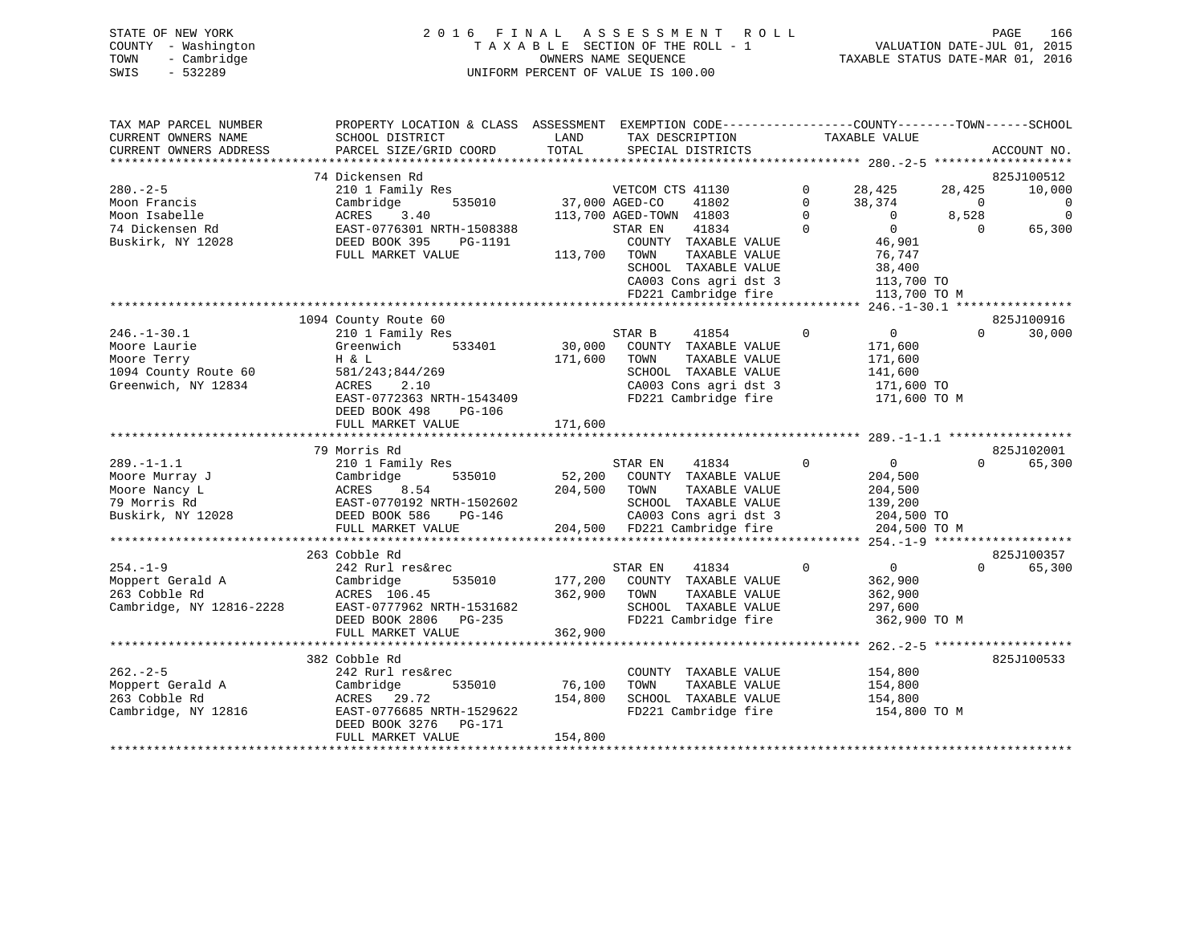| STATE OF NEW YORK   | 2016 FINAL ASSESSMENT ROLL         | 166<br>PAGE                      |
|---------------------|------------------------------------|----------------------------------|
| COUNTY - Washington | TAXABLE SECTION OF THE ROLL - 1    | VALUATION DATE-JUL 01, 2015      |
| TOWN<br>- Cambridge | OWNERS NAME SEOUENCE               | TAXABLE STATUS DATE-MAR 01, 2016 |
| - 532289<br>SWIS    | UNIFORM PERCENT OF VALUE IS 100.00 |                                  |

| TAX MAP PARCEL NUMBER<br>CURRENT OWNERS NAME | PROPERTY LOCATION & CLASS ASSESSMENT<br>SCHOOL DISTRICT | LAND           | EXEMPTION CODE-----------------COUNTY-------TOWN------SCHOOL<br>TAX DESCRIPTION |             | TAXABLE VALUE  |          |                      |
|----------------------------------------------|---------------------------------------------------------|----------------|---------------------------------------------------------------------------------|-------------|----------------|----------|----------------------|
| CURRENT OWNERS ADDRESS                       | PARCEL SIZE/GRID COORD                                  | TOTAL          | SPECIAL DISTRICTS                                                               |             |                |          | ACCOUNT NO.          |
|                                              | 74 Dickensen Rd                                         |                |                                                                                 |             |                |          |                      |
| $280. - 2 - 5$                               | 210 1 Family Res                                        |                | VETCOM CTS 41130                                                                | 0           | 28,425         | 28,425   | 825J100512<br>10,000 |
| Moon Francis                                 | 535010<br>Cambridge                                     | 37,000 AGED-CO | 41802                                                                           | $\Omega$    | 38,374         | $\Omega$ | 0                    |
| Moon Isabelle                                | 3.40<br>ACRES                                           |                | 113,700 AGED-TOWN 41803                                                         | $\Omega$    | $\overline{0}$ | 8,528    | $\mathbf 0$          |
| 74 Dickensen Rd                              | EAST-0776301 NRTH-1508388                               |                | 41834<br>STAR EN                                                                | $\Omega$    | $\overline{0}$ | $\Omega$ | 65,300               |
| Buskirk, NY 12028                            | DEED BOOK 395<br>PG-1191                                |                | COUNTY TAXABLE VALUE                                                            |             | 46,901         |          |                      |
|                                              | FULL MARKET VALUE                                       | 113,700        | TOWN<br>TAXABLE VALUE                                                           |             | 76,747         |          |                      |
|                                              |                                                         |                | SCHOOL TAXABLE VALUE                                                            |             | 38,400         |          |                      |
|                                              |                                                         |                | CA003 Cons agri dst 3                                                           |             | 113,700 TO     |          |                      |
|                                              |                                                         |                | FD221 Cambridge fire                                                            |             | 113,700 TO M   |          |                      |
|                                              |                                                         |                |                                                                                 |             |                |          |                      |
|                                              | 1094 County Route 60                                    |                |                                                                                 |             |                |          | 825J100916           |
| $246. - 1 - 30.1$                            | 210 1 Family Res                                        |                | STAR B<br>41854                                                                 | $\Omega$    | $\mathbf{0}$   | $\Omega$ | 30,000               |
| Moore Laurie                                 | Greenwich<br>533401                                     | 30,000         | COUNTY TAXABLE VALUE                                                            |             | 171,600        |          |                      |
| Moore Terry                                  | H & L                                                   | 171,600        | TOWN<br>TAXABLE VALUE                                                           |             | 171,600        |          |                      |
| 1094 County Route 60                         | 581/243;844/269                                         |                | SCHOOL TAXABLE VALUE                                                            |             | 141,600        |          |                      |
| Greenwich, NY 12834                          | 2.10<br>ACRES                                           |                | CA003 Cons agri dst 3                                                           |             | 171,600 TO     |          |                      |
|                                              | EAST-0772363 NRTH-1543409                               |                | FD221 Cambridge fire                                                            |             | 171,600 TO M   |          |                      |
|                                              | DEED BOOK 498<br>$PG-106$                               |                |                                                                                 |             |                |          |                      |
|                                              | FULL MARKET VALUE                                       | 171,600        |                                                                                 |             |                |          |                      |
|                                              | 79 Morris Rd                                            |                |                                                                                 |             |                |          | 825J102001           |
| $289. -1 - 1.1$                              | 210 1 Family Res                                        |                | STAR EN<br>41834                                                                | $\mathbf 0$ | $\overline{0}$ | $\Omega$ | 65,300               |
| Moore Murray J                               | Cambridge<br>535010                                     | 52,200         | COUNTY TAXABLE VALUE                                                            |             | 204,500        |          |                      |
| Moore Nancy L                                | ACRES<br>8.54                                           | 204,500        | TOWN<br>TAXABLE VALUE                                                           |             | 204,500        |          |                      |
| 79 Morris Rd                                 | EAST-0770192 NRTH-1502602                               |                | SCHOOL TAXABLE VALUE                                                            |             | 139,200        |          |                      |
| Buskirk, NY 12028                            | DEED BOOK 586<br>PG-146                                 |                | CA003 Cons agri dst 3                                                           |             | 204,500 TO     |          |                      |
|                                              | FULL MARKET VALUE                                       | 204,500        | FD221 Cambridge fire                                                            |             | 204,500 TO M   |          |                      |
| *******************                          | *************************                               |                |                                                                                 |             |                |          |                      |
|                                              | 263 Cobble Rd                                           |                |                                                                                 |             |                |          | 825J100357           |
| $254. - 1 - 9$                               | 242 Rurl res&rec                                        |                | STAR EN<br>41834                                                                | $\mathbf 0$ | $\overline{0}$ | $\Omega$ | 65,300               |
| Moppert Gerald A                             | 535010<br>Cambridge                                     | 177,200        | COUNTY TAXABLE VALUE                                                            |             | 362,900        |          |                      |
| 263 Cobble Rd                                | ACRES 106.45                                            | 362,900        | TAXABLE VALUE<br>TOWN                                                           |             | 362,900        |          |                      |
| Cambridge, NY 12816-2228                     | EAST-0777962 NRTH-1531682                               |                | SCHOOL TAXABLE VALUE                                                            |             | 297,600        |          |                      |
|                                              | DEED BOOK 2806 PG-235                                   |                | FD221 Cambridge fire                                                            |             | 362,900 TO M   |          |                      |
|                                              | FULL MARKET VALUE<br>**********************             | 362,900        | ************************ 262.-2-5                                               |             |                |          |                      |
|                                              |                                                         |                |                                                                                 |             |                |          |                      |
| $262 - 2 - 5$                                | 382 Cobble Rd<br>242 Rurl res&rec                       |                | COUNTY TAXABLE VALUE                                                            |             | 154,800        |          | 825J100533           |
| Moppert Gerald A                             | Cambridge<br>535010                                     | 76,100         | TAXABLE VALUE<br>TOWN                                                           |             | 154,800        |          |                      |
| 263 Cobble Rd                                | ACRES 29.72                                             | 154,800        | SCHOOL TAXABLE VALUE                                                            |             | 154,800        |          |                      |
| Cambridge, NY 12816                          |                                                         |                |                                                                                 |             |                |          |                      |
|                                              |                                                         |                |                                                                                 |             |                |          |                      |
|                                              | EAST-0776685 NRTH-1529622                               |                | FD221 Cambridge fire                                                            |             | 154,800 TO M   |          |                      |
|                                              | DEED BOOK 3276<br>PG-171<br>FULL MARKET VALUE           | 154,800        |                                                                                 |             |                |          |                      |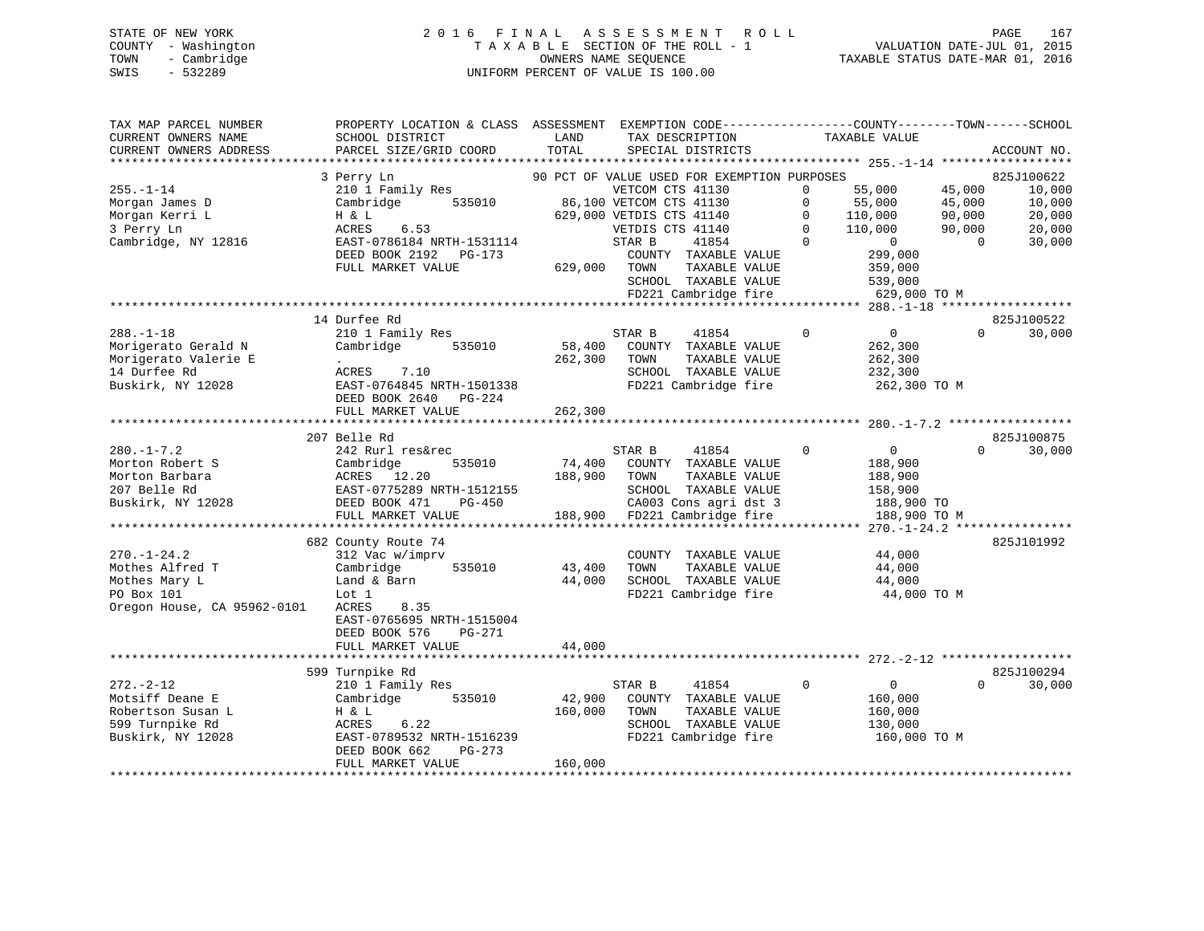# STATE OF NEW YORK 2 0 1 6 F I N A L A S S E S S M E N T R O L L PAGE 167 COUNTY - Washington T A X A B L E SECTION OF THE ROLL - 1 VALUATION DATE-JUL 01, 2015 TOWN - Cambridge OWNERS NAME SEQUENCE TAXABLE STATUS DATE-MAR 01, 2016 SWIS - 532289 UNIFORM PERCENT OF VALUE IS 100.00

| TOTAL<br>CURRENT OWNERS ADDRESS<br>PARCEL SIZE/GRID COORD<br>SPECIAL DISTRICTS<br>*********************<br>*************************<br>3 Perry Ln<br>90 PCT OF VALUE USED FOR EXEMPTION PURPOSES<br>$255. - 1 - 14$<br>210 1 Family Res<br>VETCOM CTS 41130<br>55,000<br>45,000<br>$\mathbf 0$ | ACCOUNT NO.<br>825J100622<br>10,000<br>10,000<br>20,000 |
|-------------------------------------------------------------------------------------------------------------------------------------------------------------------------------------------------------------------------------------------------------------------------------------------------|---------------------------------------------------------|
|                                                                                                                                                                                                                                                                                                 |                                                         |
|                                                                                                                                                                                                                                                                                                 |                                                         |
|                                                                                                                                                                                                                                                                                                 |                                                         |
| Morgan James D<br>Cambridge<br>535010<br>86,100 VETCOM CTS 41130<br>$\Omega$<br>55,000<br>45,000                                                                                                                                                                                                |                                                         |
| Morgan Kerri L<br>629,000 VETDIS CTS 41140<br>90,000<br>H & L<br>$\mathbf{0}$                                                                                                                                                                                                                   |                                                         |
| 110,000<br>110,000<br>$\Omega$<br>3 Perry Ln<br>6.53<br>VETDIS CTS 41140<br>90,000<br>ACRES<br>110,000                                                                                                                                                                                          | 20,000                                                  |
| $\Omega$<br>Cambridge, NY 12816<br>EAST-0786184 NRTH-1531114<br>STAR B<br>41854<br>$\overline{0}$<br>$\bigcap$                                                                                                                                                                                  | 30,000                                                  |
| 299,000<br>DEED BOOK 2192 PG-173<br>COUNTY TAXABLE VALUE                                                                                                                                                                                                                                        |                                                         |
| FULL MARKET VALUE<br>629,000<br>TAXABLE VALUE<br>TOWN<br>359,000                                                                                                                                                                                                                                |                                                         |
| SCHOOL TAXABLE VALUE<br>539,000                                                                                                                                                                                                                                                                 |                                                         |
| FD221 Cambridge fire<br>629,000 TO M                                                                                                                                                                                                                                                            |                                                         |
|                                                                                                                                                                                                                                                                                                 |                                                         |
| 14 Durfee Rd                                                                                                                                                                                                                                                                                    | 825J100522                                              |
| $\overline{0}$<br>$288. - 1 - 18$<br>210 1 Family Res<br>STAR B<br>$\Omega$<br>$\Omega$<br>41854                                                                                                                                                                                                | 30,000                                                  |
| 58,400 COUNTY TAXABLE VALUE<br>Morigerato Gerald N<br>Cambridge<br>535010<br>262,300                                                                                                                                                                                                            |                                                         |
| Morigerato Valerie E<br>262,300<br>TAXABLE VALUE<br>TOWN<br>262,300<br>$\sim$                                                                                                                                                                                                                   |                                                         |
| 14 Durfee Rd<br>SCHOOL TAXABLE VALUE<br>ACRES 7.10<br>232,300                                                                                                                                                                                                                                   |                                                         |
| Buskirk, NY 12028<br>FD221 Cambridge fire<br>EAST-0764845 NRTH-1501338<br>262,300 TO M                                                                                                                                                                                                          |                                                         |
| DEED BOOK 2640 PG-224                                                                                                                                                                                                                                                                           |                                                         |
| FULL MARKET VALUE<br>262,300                                                                                                                                                                                                                                                                    |                                                         |
|                                                                                                                                                                                                                                                                                                 |                                                         |
| 207 Belle Rd<br>$\overline{0}$<br>$\Omega$<br>$\Omega$                                                                                                                                                                                                                                          | 825J100875                                              |
| $280. -1 - 7.2$<br>242 Rurl res&rec<br>41854<br>STAR B<br>74,400<br>Morton Robert S<br>535010                                                                                                                                                                                                   | 30,000                                                  |
| Cambridge<br>COUNTY TAXABLE VALUE<br>188,900<br>Morton Barbara<br>ACRES 12.20<br>188,900<br>TOWN<br>TAXABLE VALUE                                                                                                                                                                               |                                                         |
| 188,900<br>SCHOOL TAXABLE VALUE<br>207 Belle Rd<br>EAST-0775289 NRTH-1512155<br>158,900                                                                                                                                                                                                         |                                                         |
| Buskirk, NY 12028<br>DEED BOOK 471<br>CA003 Cons agri dst 3<br>188,900 TO<br>PG-450                                                                                                                                                                                                             |                                                         |
| 188,900 FD221 Cambridge fire<br>FULL MARKET VALUE<br>188,900 TO M                                                                                                                                                                                                                               |                                                         |
| ************** 270.-1-24.2 *****************                                                                                                                                                                                                                                                    |                                                         |
| 682 County Route 74                                                                                                                                                                                                                                                                             | 825J101992                                              |
| $270. - 1 - 24.2$<br>44,000<br>312 Vac w/imprv<br>COUNTY TAXABLE VALUE                                                                                                                                                                                                                          |                                                         |
| Mothes Alfred T<br>Cambridge<br>535010<br>43,400<br>TOWN<br>TAXABLE VALUE<br>44,000                                                                                                                                                                                                             |                                                         |
| 44,000<br>Mothes Mary L<br>Land & Barn<br>SCHOOL TAXABLE VALUE<br>44,000                                                                                                                                                                                                                        |                                                         |
| FD221 Cambridge fire<br>PO Box 101<br>Lot 1<br>44,000 TO M                                                                                                                                                                                                                                      |                                                         |
| Oregon House, CA 95962-0101<br>ACRES<br>8.35                                                                                                                                                                                                                                                    |                                                         |
| EAST-0765695 NRTH-1515004                                                                                                                                                                                                                                                                       |                                                         |
| DEED BOOK 576<br>PG-271                                                                                                                                                                                                                                                                         |                                                         |
| 44,000<br>FULL MARKET VALUE                                                                                                                                                                                                                                                                     |                                                         |
|                                                                                                                                                                                                                                                                                                 |                                                         |
| 599 Turnpike Rd                                                                                                                                                                                                                                                                                 | 825J100294                                              |
| $272. - 2 - 12$<br>210 1 Family Res<br>41854<br>$\mathbf 0$<br>$\overline{0}$<br>$\Omega$<br>STAR B                                                                                                                                                                                             | 30,000                                                  |
| Motsiff Deane E<br>42,900<br>Cambridge<br>535010<br>COUNTY TAXABLE VALUE<br>160,000                                                                                                                                                                                                             |                                                         |
| Robertson Susan L<br>160,000<br>TAXABLE VALUE<br>H & L<br>TOWN<br>160,000                                                                                                                                                                                                                       |                                                         |
| 599 Turnpike Rd<br>ACRES<br>6.22<br>SCHOOL TAXABLE VALUE<br>130,000                                                                                                                                                                                                                             |                                                         |
| FD221 Cambridge fire<br>Buskirk, NY 12028<br>EAST-0789532 NRTH-1516239<br>160,000 TO M                                                                                                                                                                                                          |                                                         |
| DEED BOOK 662<br>PG-273<br>160,000<br>FULL MARKET VALUE                                                                                                                                                                                                                                         |                                                         |
|                                                                                                                                                                                                                                                                                                 |                                                         |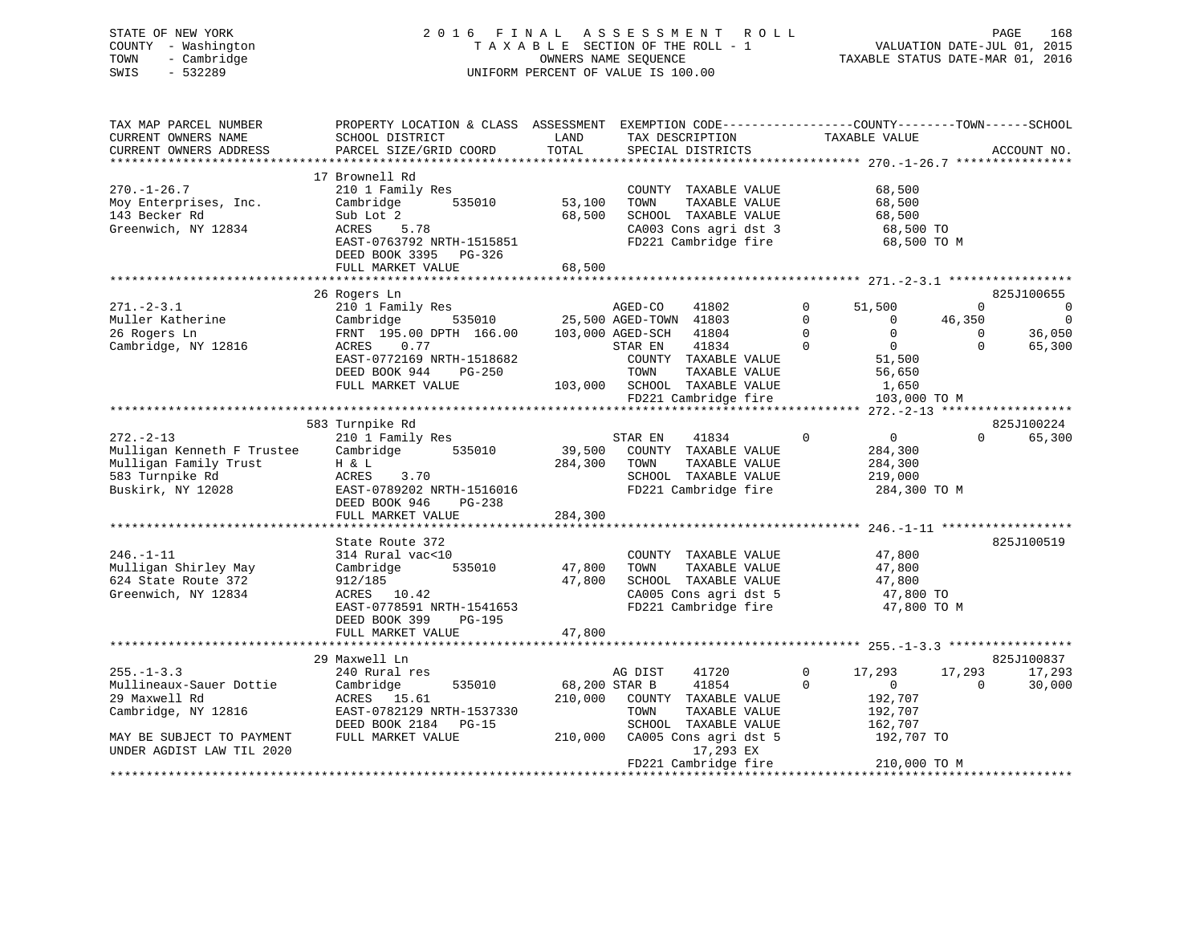# STATE OF NEW YORK 2 0 1 6 F I N A L A S S E S S M E N T R O L L PAGE 168 COUNTY - Washington T A X A B L E SECTION OF THE ROLL - 1 VALUATION DATE-JUL 01, 2015 TOWN - Cambridge OWNERS NAME SEQUENCE TAXABLE STATUS DATE-MAR 01, 2016 SWIS - 532289 UNIFORM PERCENT OF VALUE IS 100.00

| TAX MAP PARCEL NUMBER      | PROPERTY LOCATION & CLASS ASSESSMENT |         | EXEMPTION CODE-----------------COUNTY-------TOWN------SCHOOL |              |               |             |                                     |
|----------------------------|--------------------------------------|---------|--------------------------------------------------------------|--------------|---------------|-------------|-------------------------------------|
| CURRENT OWNERS NAME        | SCHOOL DISTRICT                      | LAND    | TAX DESCRIPTION                                              |              | TAXABLE VALUE |             |                                     |
| CURRENT OWNERS ADDRESS     | PARCEL SIZE/GRID COORD               | TOTAL   | SPECIAL DISTRICTS                                            |              |               |             | ACCOUNT NO.                         |
|                            |                                      |         |                                                              |              |               |             |                                     |
|                            | 17 Brownell Rd                       |         |                                                              |              |               |             |                                     |
| $270. - 1 - 26.7$          | 210 1 Family Res                     |         | COUNTY TAXABLE VALUE                                         |              | 68,500        |             |                                     |
| Moy Enterprises, Inc.      | 535010<br>Cambridge                  | 53,100  | TOWN<br>TAXABLE VALUE                                        |              | 68,500        |             |                                     |
| 143 Becker Rd              | Sub Lot 2                            | 68,500  | SCHOOL TAXABLE VALUE                                         |              | 68,500        |             |                                     |
| Greenwich, NY 12834        | ACRES<br>5.78                        |         | CA003 Cons agri dst 3                                        |              | 68,500 TO     |             |                                     |
|                            | EAST-0763792 NRTH-1515851            |         | FD221 Cambridge fire                                         |              | 68,500 TO M   |             |                                     |
|                            | DEED BOOK 3395 PG-326                |         |                                                              |              |               |             |                                     |
|                            | FULL MARKET VALUE                    | 68,500  |                                                              |              |               |             |                                     |
|                            | 26 Rogers Ln                         |         |                                                              |              |               |             | 825J100655                          |
| $271 - 2 - 3.1$            | 210 1 Family Res                     |         | AGED-CO<br>41802                                             | $\mathbf 0$  | 51,500        | $\Omega$    | 0                                   |
| Muller Katherine           | Cambridge<br>535010                  |         | 25,500 AGED-TOWN 41803                                       | $\mathbf 0$  | 0             | 46,350      |                                     |
| 26 Rogers Ln               | FRNT 195.00 DPTH 166.00              |         | 103,000 AGED-SCH<br>41804                                    | $\mathbf 0$  | $\mathbf 0$   | $\mathbf 0$ | 36,050                              |
| Cambridge, NY 12816        | 0.77<br>ACRES                        |         | STAR EN<br>41834                                             | $\Omega$     | $\Omega$      | $\Omega$    | 65,300                              |
|                            | EAST-0772169 NRTH-1518682            |         | COUNTY TAXABLE VALUE                                         |              | 51,500        |             |                                     |
|                            | DEED BOOK 944<br>$PG-250$            |         | TAXABLE VALUE<br>TOWN                                        |              | 56,650        |             |                                     |
|                            | FULL MARKET VALUE                    | 103,000 | SCHOOL TAXABLE VALUE                                         |              | 1,650         |             |                                     |
|                            |                                      |         | FD221 Cambridge fire                                         |              | 103,000 TO M  |             |                                     |
|                            |                                      |         | *******************************                              |              |               |             | $272. - 2 - 13$ ******************* |
|                            | 583 Turnpike Rd                      |         |                                                              |              |               |             | 825J100224                          |
| $272. - 2 - 13$            | 210 1 Family Res                     |         | STAR EN<br>41834                                             | $\Omega$     | $\mathbf{0}$  | $\Omega$    | 65,300                              |
| Mulligan Kenneth F Trustee | Cambridge<br>535010                  | 39,500  | COUNTY TAXABLE VALUE                                         |              | 284,300       |             |                                     |
| Mulligan Family Trust      | H & L                                | 284,300 | TOWN<br>TAXABLE VALUE                                        |              | 284,300       |             |                                     |
| 583 Turnpike Rd            | 3.70<br>ACRES                        |         | SCHOOL TAXABLE VALUE                                         |              | 219,000       |             |                                     |
| Buskirk, NY 12028          | EAST-0789202 NRTH-1516016            |         | FD221 Cambridge fire                                         |              | 284,300 TO M  |             |                                     |
|                            | DEED BOOK 946<br>PG-238              |         |                                                              |              |               |             |                                     |
|                            | FULL MARKET VALUE                    | 284,300 |                                                              |              |               |             |                                     |
|                            | State Route 372                      |         |                                                              |              |               |             | 825J100519                          |
| $246. - 1 - 11$            | 314 Rural vac<10                     |         | COUNTY TAXABLE VALUE                                         |              | 47,800        |             |                                     |
| Mulligan Shirley May       | Cambridge<br>535010                  | 47,800  | TAXABLE VALUE<br>TOWN                                        |              | 47,800        |             |                                     |
| 624 State Route 372        | 912/185                              | 47,800  | SCHOOL TAXABLE VALUE                                         |              | 47,800        |             |                                     |
| Greenwich, NY 12834        | ACRES 10.42                          |         | CA005 Cons agri dst 5                                        |              | 47,800 TO     |             |                                     |
|                            | EAST-0778591 NRTH-1541653            |         | FD221 Cambridge fire                                         |              | 47,800 TO M   |             |                                     |
|                            | DEED BOOK 399<br>$PG-195$            |         |                                                              |              |               |             |                                     |
|                            | FULL MARKET VALUE                    | 47,800  |                                                              |              |               |             |                                     |
|                            |                                      |         |                                                              |              |               |             |                                     |
|                            | 29 Maxwell Ln                        |         |                                                              |              |               |             | 825J100837                          |
| $255. - 1 - 3.3$           | 240 Rural res                        |         | AG DIST<br>41720                                             | $\mathbf{0}$ | 17,293        | 17,293      | 17,293                              |
| Mullineaux-Sauer Dottie    | Cambridge<br>535010                  |         | 68,200 STAR B<br>41854                                       | $\mathbf 0$  | $\mathbf{0}$  | $\Omega$    | 30,000                              |
| 29 Maxwell Rd              | ACRES<br>15.61                       | 210,000 | COUNTY TAXABLE VALUE                                         |              | 192,707       |             |                                     |
| Cambridge, NY 12816        | EAST-0782129 NRTH-1537330            |         | TAXABLE VALUE<br>TOWN                                        |              | 192,707       |             |                                     |
|                            | DEED BOOK 2184<br>PG-15              |         | SCHOOL TAXABLE VALUE                                         |              | 162,707       |             |                                     |
| MAY BE SUBJECT TO PAYMENT  | FULL MARKET VALUE                    | 210,000 | CA005 Cons agri dst 5                                        |              | 192,707 TO    |             |                                     |
| UNDER AGDIST LAW TIL 2020  |                                      |         | 17,293 EX                                                    |              |               |             |                                     |
|                            |                                      |         | FD221 Cambridge fire                                         |              | 210,000 TO M  |             |                                     |
|                            |                                      |         |                                                              |              |               |             |                                     |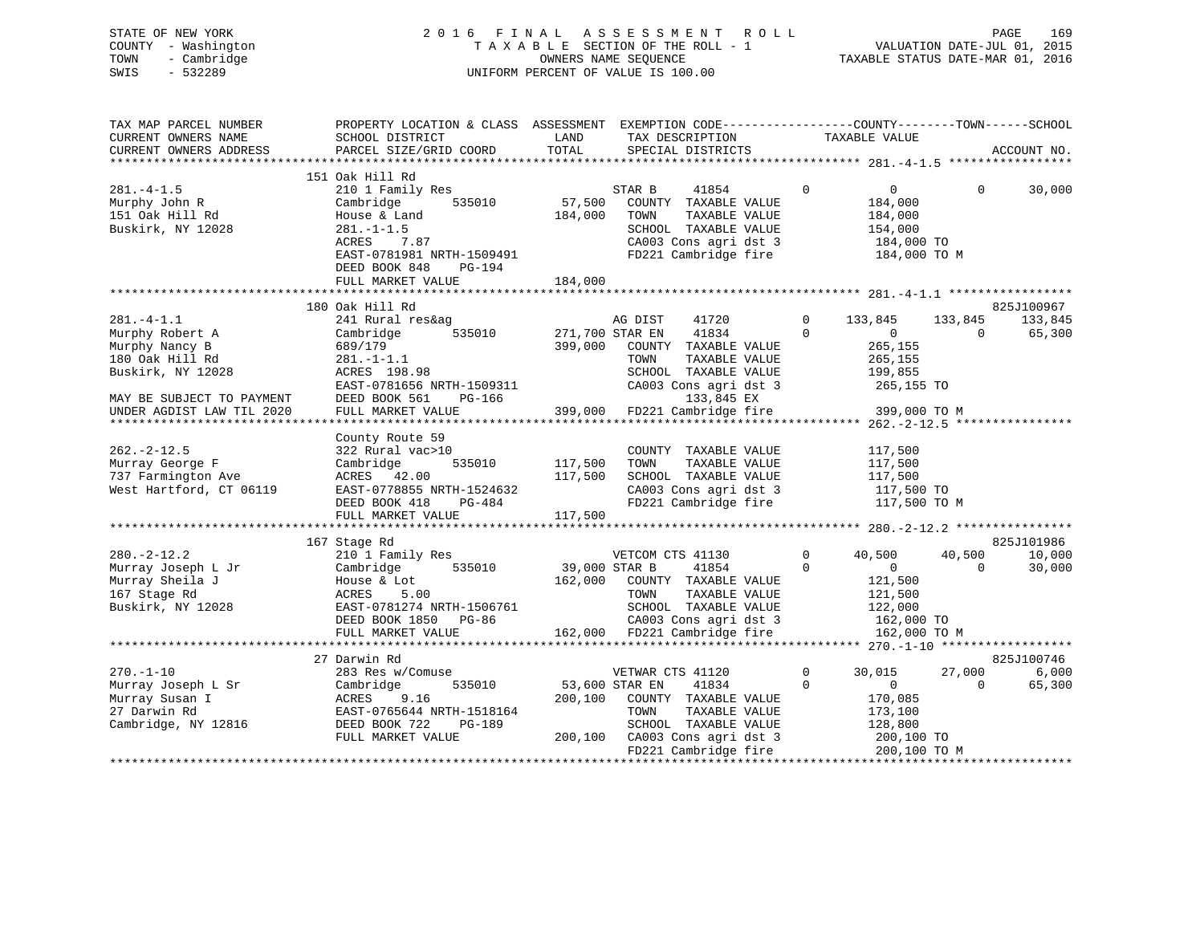| COUNTY<br>TOWN<br>SWIS | STATE OF NEW YORK<br>- Washington<br>- Cambridge<br>$-532289$ |                                              |                    | 2016 FINAL ASSESSMENT ROLL<br>TAXABLE SECTION OF THE ROLL - 1<br>OWNERS NAME SEOUENCE<br>UNIFORM PERCENT OF VALUE IS 100.00 | TAXABLE STATUS DATE-MAR 01, 2016 | PAGE<br>VALUATION DATE-JUL 01, 2015 | 169 |
|------------------------|---------------------------------------------------------------|----------------------------------------------|--------------------|-----------------------------------------------------------------------------------------------------------------------------|----------------------------------|-------------------------------------|-----|
|                        | TAX MAP PARCEL NUMBER<br>CURRENT OWNERS NAME                  | PROPERTY LOCATION & CLASS<br>SCHOOL DISTRICT | ASSESSMENT<br>LAND | EXEMPTION CODE-----------------COUNTY--------TOWN------SCHOOL<br>TAX DESCRIPTION                                            | TAXABLE VALUE                    |                                     |     |
|                        | CURRENT OWNERS ADDRESS                                        | PARCEL SIZE/GRID COORD                       | TOTAL              | SPECIAL DISTRICTS                                                                                                           |                                  | ACCOUNT NO.                         |     |

|                                                                                                                                                        |                                                                                                                                                                                              |                                       |                                                                                                                                                                     |                          | *********** 281.-4-1.5 ************                                                                                                                     |                               |
|--------------------------------------------------------------------------------------------------------------------------------------------------------|----------------------------------------------------------------------------------------------------------------------------------------------------------------------------------------------|---------------------------------------|---------------------------------------------------------------------------------------------------------------------------------------------------------------------|--------------------------|---------------------------------------------------------------------------------------------------------------------------------------------------------|-------------------------------|
| $281. -4 - 1.5$<br>Murphy John R<br>151 Oak Hill Rd<br>Buskirk, NY 12028                                                                               | 151 Oak Hill Rd<br>210 1 Family Res<br>535010<br>Cambridge<br>House & Land<br>$281. - 1 - 1.5$<br>7.87<br>ACRES<br>EAST-0781981 NRTH-1509491<br>DEED BOOK 848<br>PG-194<br>FULL MARKET VALUE | 57,500<br>184,000<br>184,000          | STAR B<br>41854<br>COUNTY TAXABLE VALUE<br>TOWN<br>TAXABLE VALUE<br>SCHOOL TAXABLE VALUE<br>CA003 Cons agri dst 3<br>FD221 Cambridge fire                           | $\Omega$                 | $\overline{0}$<br>$\Omega$<br>184,000<br>184,000<br>154,000<br>184,000 TO<br>$184,000$ TO M                                                             | 30,000                        |
|                                                                                                                                                        | 180 Oak Hill Rd                                                                                                                                                                              |                                       |                                                                                                                                                                     |                          |                                                                                                                                                         | 825J100967                    |
| $281 - 4 - 1.1$<br>Murphy Robert A<br>Murphy Nancy B<br>180 Oak Hill Rd<br>Buskirk, NY 12028<br>MAY BE SUBJECT TO PAYMENT<br>UNDER AGDIST LAW TIL 2020 | 241 Rural res&ag<br>535010<br>Cambridge<br>689/179<br>$281 - 1 - 1.1$<br>ACRES 198.98<br>EAST-0781656 NRTH-1509311<br>DEED BOOK 561<br>PG-166<br>FULL MARKET VALUE                           | 271,700 STAR EN<br>399,000<br>399,000 | AG DIST<br>41720<br>41834<br>COUNTY TAXABLE VALUE<br>TOWN<br>TAXABLE VALUE<br>SCHOOL TAXABLE VALUE<br>CA003 Cons agri dst 3<br>133,845 EX<br>FD221 Cambridge fire   | $\mathbf 0$<br>$\Omega$  | 133,845<br>133,845<br>$\overline{0}$<br>0<br>265,155<br>265,155<br>199,855<br>265,155 TO<br>399,000 TO M<br>************** 262.-2-12.5 **************** | 133,845<br>65,300             |
|                                                                                                                                                        | County Route 59                                                                                                                                                                              |                                       |                                                                                                                                                                     |                          |                                                                                                                                                         |                               |
| $262 - 2 - 12.5$<br>Murray George F<br>737 Farmington Ave<br>West Hartford, CT 06119                                                                   | 322 Rural vac>10<br>535010 117,500<br>Cambridge<br>ACRES 42.00<br>EAST-0778855 NRTH-1524632<br>DEED BOOK 418<br>PG-484<br>FULL MARKET VALUE                                                  | 117,500<br>117,500                    | COUNTY TAXABLE VALUE<br>TAXABLE VALUE<br>TOWN<br>SCHOOL TAXABLE VALUE<br>CA003 Cons agri dst 3<br>FD221 Cambridge fire 117,500 TO M                                 |                          | 117,500<br>117,500<br>117,500<br>117,500 TO                                                                                                             |                               |
|                                                                                                                                                        |                                                                                                                                                                                              |                                       |                                                                                                                                                                     |                          |                                                                                                                                                         | 825J101986                    |
| $280. -2 - 12.2$<br>Murray Joseph L Jr<br>Murray Sheila J<br>167 Stage Rd<br>Buskirk, NY 12028                                                         | 167 Stage Rd<br>210 1 Family Res<br>535010<br>Cambridge<br>House & Lot<br>ACRES<br>5.00<br>EAST-0781274 NRTH-1506761<br>DEED BOOK 1850<br>PG-86<br>FULL MARKET VALUE                         | 39,000 STAR B                         | VETCOM CTS 41130<br>41854<br>162,000 COUNTY TAXABLE VALUE<br>TOWN<br>TAXABLE VALUE<br>SCHOOL TAXABLE VALUE<br>CA003 Cons agri dst 3<br>162,000 FD221 Cambridge fire | $\Omega$<br>$\Omega$     | 40,500<br>40,500<br>$\overline{0}$<br>$\Omega$<br>121,500<br>121,500<br>122,000<br>162,000 TO<br>162,000 TO M                                           | 10,000<br>30,000              |
|                                                                                                                                                        |                                                                                                                                                                                              |                                       |                                                                                                                                                                     |                          |                                                                                                                                                         |                               |
| $270. - 1 - 10$<br>Murray Joseph L Sr<br>Murray Susan I<br>27 Darwin Rd<br>Cambridge, NY 12816                                                         | 27 Darwin Rd<br>283 Res w/Comuse<br>535010<br>Cambridge<br>9.16<br>ACRES<br>EAST-0765644 NRTH-1518164<br>DEED BOOK 722<br>PG-189<br>FULL MARKET VALUE                                        | 53,600 STAR EN<br>200,100<br>200,100  | VETWAR CTS 41120<br>41834<br>COUNTY TAXABLE VALUE<br>TOWN<br>TAXABLE VALUE<br>SCHOOL TAXABLE VALUE<br>CA003 Cons agri dst 3<br>FD221 Cambridge fire                 | $\mathbf{0}$<br>$\Omega$ | 30,015<br>27,000<br>$\overline{0}$<br>$\Omega$<br>170,085<br>173,100<br>128,800<br>200,100 TO<br>200,100 TO M                                           | 825J100746<br>6,000<br>65,300 |
|                                                                                                                                                        |                                                                                                                                                                                              |                                       |                                                                                                                                                                     |                          |                                                                                                                                                         |                               |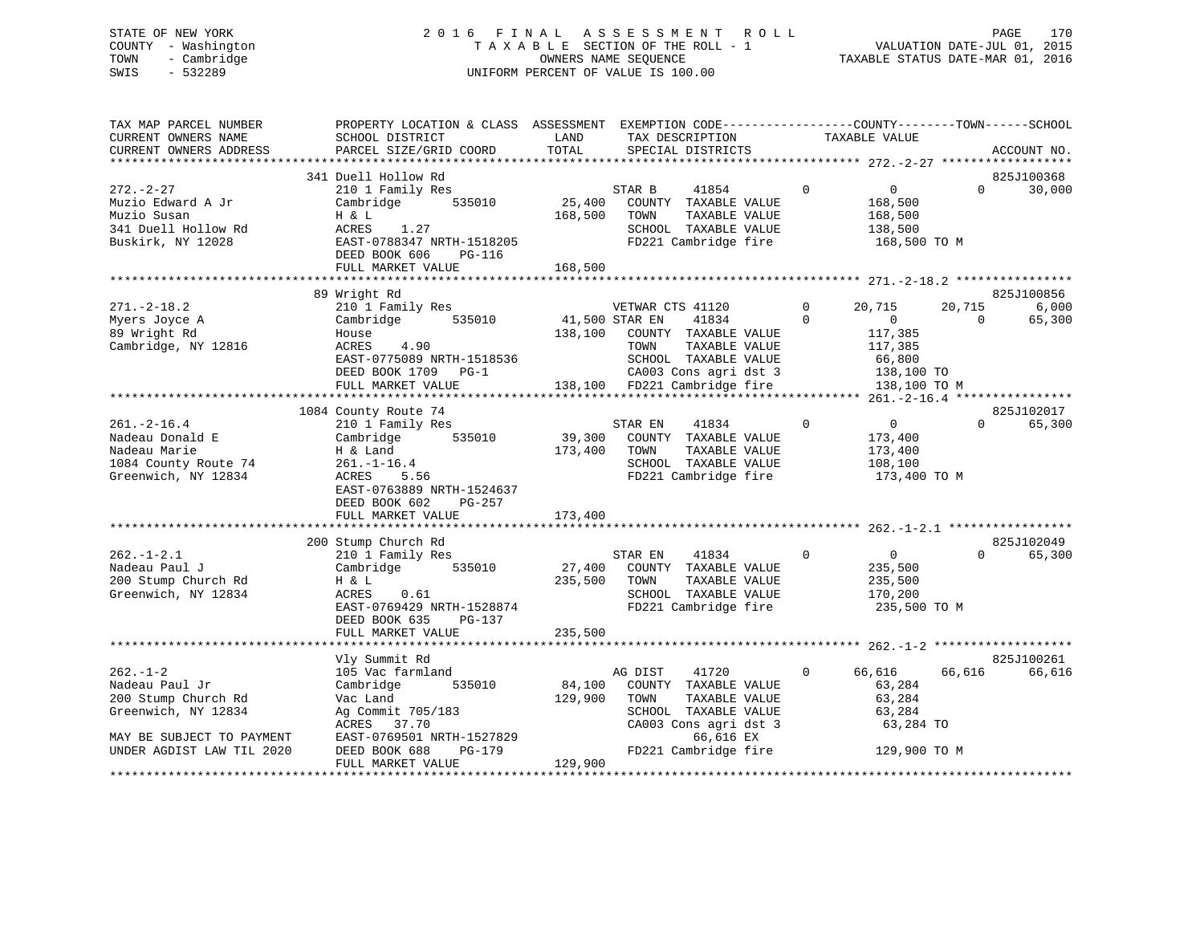# STATE OF NEW YORK 2 0 1 6 F I N A L A S S E S S M E N T R O L L PAGE 170 COUNTY - Washington T A X A B L E SECTION OF THE ROLL - 1 VALUATION DATE-JUL 01, 2015 TOWN - Cambridge OWNERS NAME SEQUENCE TAXABLE STATUS DATE-MAR 01, 2016 SWIS - 532289 UNIFORM PERCENT OF VALUE IS 100.00

| TAX MAP PARCEL NUMBER<br>CURRENT OWNERS NAME<br>CURRENT OWNERS ADDRESS                                                                                                                 | PROPERTY LOCATION & CLASS ASSESSMENT EXEMPTION CODE-----------------COUNTY--------TOWN------SCHOOL<br>SCHOOL DISTRICT<br>PARCEL SIZE/GRID COORD                                                                                                                                                                              | LAND<br>TOTAL                                     | TAX DESCRIPTION<br>SPECIAL DISTRICTS                                                                                                                                                                                                   | TAXABLE VALUE                                                                                                                                                    | ACCOUNT NO.                                                        |
|----------------------------------------------------------------------------------------------------------------------------------------------------------------------------------------|------------------------------------------------------------------------------------------------------------------------------------------------------------------------------------------------------------------------------------------------------------------------------------------------------------------------------|---------------------------------------------------|----------------------------------------------------------------------------------------------------------------------------------------------------------------------------------------------------------------------------------------|------------------------------------------------------------------------------------------------------------------------------------------------------------------|--------------------------------------------------------------------|
|                                                                                                                                                                                        |                                                                                                                                                                                                                                                                                                                              |                                                   |                                                                                                                                                                                                                                        |                                                                                                                                                                  |                                                                    |
| $272 - 2 - 27$<br>Muzio Edward A Jr<br>Muzio Susan<br>341 Duell Hollow Rd<br>Buskirk, NY 12028                                                                                         | 341 Duell Hollow Rd<br>210 1 Family Res<br>Cambridge 535010<br>H & L<br>1.27<br>ACRES<br>EAST-0788347 NRTH-1518205<br>DEED BOOK 606<br>PG-116                                                                                                                                                                                | 25,400<br>168,500                                 | STAR B<br>41854<br>COUNTY TAXABLE VALUE<br>TAXABLE VALUE<br>TOWN<br>SCHOOL TAXABLE VALUE<br>FD221 Cambridge fire                                                                                                                       | $\overline{0}$<br>$\overline{0}$<br>168,500<br>168,500<br>138,500<br>168,500 TO M                                                                                | 825J100368<br>$\Omega$<br>30,000                                   |
|                                                                                                                                                                                        | FULL MARKET VALUE                                                                                                                                                                                                                                                                                                            | 168,500                                           |                                                                                                                                                                                                                                        |                                                                                                                                                                  |                                                                    |
| $271. - 2 - 18.2$<br>Myers Joyce A<br>89 Wright Rd<br>Cambridge, NY 12816                                                                                                              | 89 Wright Rd<br>210 1 Family Res<br>535010<br>Cambridge<br>House<br>4.90<br>ACRES<br>EAST-0775089 NRTH-1518536<br>DEED BOOK 1709 PG-1                                                                                                                                                                                        | 41,500 STAR EN<br>138,100                         | VETWAR CTS 41120<br>41834<br>COUNTY TAXABLE VALUE<br>TOWN<br>TAXABLE VALUE<br>SCHOOL TAXABLE VALUE                                                                                                                                     | $\mathbf{0}$<br>20,715<br>$\Omega$<br>$\overline{0}$<br>117,385<br>117,385<br>66,800                                                                             | 825J100856<br>20,715<br>6,000<br>65,300<br>$\Omega$                |
|                                                                                                                                                                                        | FULL MARKET VALUE                                                                                                                                                                                                                                                                                                            |                                                   | CA003 Cons agri dst 3 138,100 TO<br>138,100 FD221 Cambridge fire 138,100 TO M                                                                                                                                                          |                                                                                                                                                                  |                                                                    |
|                                                                                                                                                                                        |                                                                                                                                                                                                                                                                                                                              |                                                   |                                                                                                                                                                                                                                        |                                                                                                                                                                  |                                                                    |
| $261. - 2 - 16.4$<br>Nadeau Donald E<br>Nadeau Marie<br>1084 County Route 74<br>Greenwich, NY 12834<br>$262. - 1 - 2.1$<br>Nadeau Paul J<br>200 Stump Church Rd<br>Greenwich, NY 12834 | 1084 County Route 74<br>210 1 Family Res<br>535010<br>Cambridge<br>H & Land<br>261.-1-16.4<br>ACRES 5.56<br>ACRES 5.56<br>EAST-0763889 NRTH-1524637<br>DEED BOOK 602<br>PG-257<br>FULL MARKET VALUE<br>200 Stump Church Rd<br>210 1 Family Res<br>535010<br>Cambridge<br>H & L<br>ACRES<br>0.61<br>EAST-0769429 NRTH-1528874 | 39,300<br>173,400<br>173,400<br>27,400<br>235,500 | STAR EN<br>41834<br>COUNTY TAXABLE VALUE<br>TAXABLE VALUE<br>TOWN<br>SCHOOL TAXABLE VALUE<br>FD221 Cambridge fire<br>STAR EN<br>41834<br>COUNTY TAXABLE VALUE<br>TAXABLE VALUE<br>TOWN<br>SCHOOL TAXABLE VALUE<br>FD221 Cambridge fire | $\Omega$<br>$\overline{0}$<br>173,400<br>173,400<br>108,100<br>173,400 TO M<br>$\overline{0}$<br>$\overline{0}$<br>235,500<br>235,500<br>170,200<br>235,500 TO M | 825J102017<br>65,300<br>$\Omega$<br>825J102049<br>65,300<br>$\cap$ |
|                                                                                                                                                                                        | PG-137<br>DEED BOOK 635<br>FULL MARKET VALUE                                                                                                                                                                                                                                                                                 | 235,500                                           |                                                                                                                                                                                                                                        |                                                                                                                                                                  |                                                                    |
| $262 - 1 - 2$<br>Nadeau Paul Jr<br>200 Stump Church Rd<br>Greenwich, NY 12834<br>MAY BE SUBJECT TO PAYMENT<br>UNDER AGDIST LAW TIL 2020                                                | Vly Summit Rd<br>105 Vac farmland<br>Cambridge<br>535010<br>Vac Land<br>Ag Commit 705/183<br>ACRES 37.70<br>EAST-0769501 NRTH-1527829<br>DEED BOOK 688<br>PG-179                                                                                                                                                             | 84,100<br>129,900                                 | AG DIST<br>41720<br>COUNTY TAXABLE VALUE<br>TOWN<br>TAXABLE VALUE<br>SCHOOL TAXABLE VALUE<br>CA003 Cons agri dst 3<br>66,616 EX<br>FD221 Cambridge fire                                                                                | $\overline{0}$<br>66,616<br>63,284<br>63,284<br>63,284<br>63,284 TO<br>129,900 TO M                                                                              | 825J100261<br>66,616<br>66,616                                     |
|                                                                                                                                                                                        | FULL MARKET VALUE                                                                                                                                                                                                                                                                                                            | 129,900                                           |                                                                                                                                                                                                                                        |                                                                                                                                                                  |                                                                    |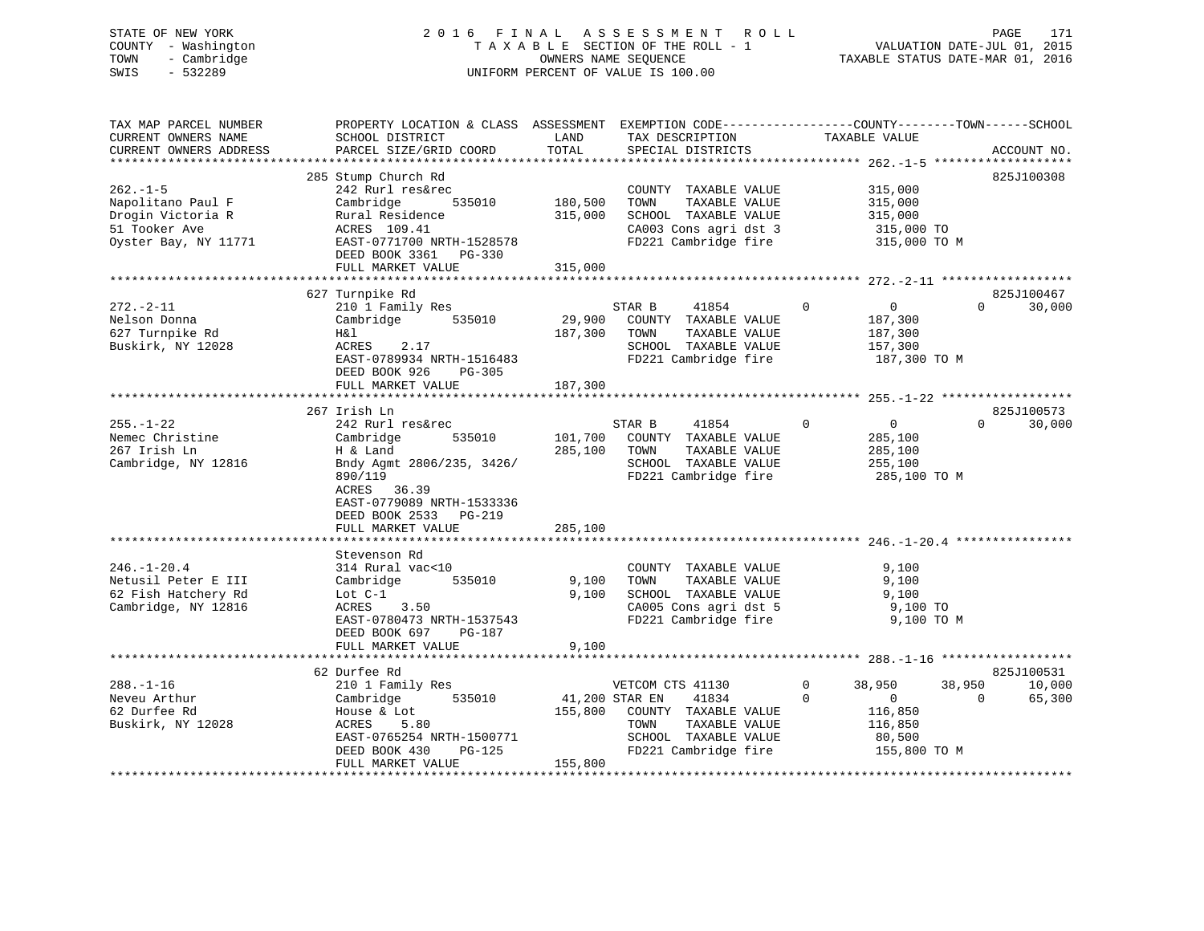# STATE OF NEW YORK 2 0 1 6 F I N A L A S S E S S M E N T R O L L PAGE 171 COUNTY - Washington T A X A B L E SECTION OF THE ROLL - 1 VALUATION DATE-JUL 01, 2015 TOWN - Cambridge OWNERS NAME SEQUENCE TAXABLE STATUS DATE-MAR 01, 2016 SWIS - 532289 UNIFORM PERCENT OF VALUE IS 100.00

| TAX MAP PARCEL NUMBER<br>CURRENT OWNERS NAME<br>CURRENT OWNERS ADDRESS<br>********************** | PROPERTY LOCATION & CLASS ASSESSMENT EXEMPTION CODE----------------COUNTY-------TOWN------SCHOOL<br>SCHOOL DISTRICT<br>PARCEL SIZE/GRID COORD                                                            | LAND<br>TOTAL                 | TAX DESCRIPTION<br>SPECIAL DISTRICTS                                                                                                         | TAXABLE VALUE                                                                                                 | ACCOUNT NO.                      |
|--------------------------------------------------------------------------------------------------|----------------------------------------------------------------------------------------------------------------------------------------------------------------------------------------------------------|-------------------------------|----------------------------------------------------------------------------------------------------------------------------------------------|---------------------------------------------------------------------------------------------------------------|----------------------------------|
| $262. -1 - 5$<br>Napolitano Paul F<br>Drogin Victoria R<br>51 Tooker Ave<br>Oyster Bay, NY 11771 | 285 Stump Church Rd<br>242 Rurl res&rec<br>Cambridge<br>535010<br>Rural Residence<br>ACRES 109.41<br>EAST-0771700 NRTH-1528578<br>DEED BOOK 3361 PG-330<br>FULL MARKET VALUE                             | 180,500<br>315,000<br>315,000 | COUNTY TAXABLE VALUE<br>TOWN<br>TAXABLE VALUE<br>SCHOOL TAXABLE VALUE<br>CA003 Cons agri dst 3<br>FD221 Cambridge fire                       | 315,000<br>315,000<br>315,000<br>315,000 TO<br>315,000 TO M                                                   | 825J100308                       |
|                                                                                                  |                                                                                                                                                                                                          |                               |                                                                                                                                              |                                                                                                               |                                  |
| $272. - 2 - 11$<br>Nelson Donna<br>627 Turnpike Rd<br>Buskirk, NY 12028                          | 627 Turnpike Rd<br>210 1 Family Res<br>535010<br>Cambridge<br>H&l<br>ACRES<br>2.17<br>EAST-0789934 NRTH-1516483<br>DEED BOOK 926<br>PG-305                                                               | 29,900<br>187,300             | STAR B<br>41854<br>COUNTY TAXABLE VALUE<br>TOWN<br>TAXABLE VALUE<br>SCHOOL TAXABLE VALUE<br>FD221 Cambridge fire                             | $\Omega$<br>$\mathbf{0}$<br>187,300<br>187,300<br>157,300<br>187,300 TO M                                     | 825J100467<br>$\Omega$<br>30,000 |
|                                                                                                  | FULL MARKET VALUE                                                                                                                                                                                        | 187,300                       |                                                                                                                                              |                                                                                                               |                                  |
| $255. - 1 - 22$<br>Nemec Christine<br>267 Irish Ln<br>Cambridge, NY 12816                        | 267 Irish Ln<br>242 Rurl res&rec<br>535010<br>Cambridge<br>H & Land<br>Bndy Agmt 2806/235, 3426/<br>890/119<br>ACRES<br>36.39<br>EAST-0779089 NRTH-1533336<br>DEED BOOK 2533 PG-219<br>FULL MARKET VALUE | 101,700<br>285,100<br>285,100 | STAR B<br>41854<br>COUNTY TAXABLE VALUE<br>TOWN<br>TAXABLE VALUE<br>SCHOOL TAXABLE VALUE<br>FD221 Cambridge fire                             | $\mathbf{0}$<br>$\overline{0}$<br>285,100<br>285,100<br>255,100<br>285,100 TO M                               | 825J100573<br>$\Omega$<br>30,000 |
| $246. - 1 - 20.4$<br>Netusil Peter E III<br>62 Fish Hatchery Rd<br>Cambridge, NY 12816           | Stevenson Rd<br>314 Rural vac<10<br>535010<br>Cambridge<br>Lot $C-1$<br>3.50<br>ACRES<br>EAST-0780473 NRTH-1537543<br>DEED BOOK 697<br>PG-187<br>FULL MARKET VALUE                                       | 9,100<br>9,100<br>9,100       | COUNTY TAXABLE VALUE<br>TOWN<br>TAXABLE VALUE<br>SCHOOL TAXABLE VALUE<br>CA005 Cons agri dst 5<br>FD221 Cambridge fire                       | 9,100<br>9,100<br>9,100<br>9,100 TO<br>9,100 TO M                                                             |                                  |
|                                                                                                  |                                                                                                                                                                                                          |                               |                                                                                                                                              |                                                                                                               |                                  |
|                                                                                                  | 62 Durfee Rd                                                                                                                                                                                             |                               |                                                                                                                                              |                                                                                                               | 825J100531                       |
| $288. - 1 - 16$<br>Neveu Arthur<br>62 Durfee Rd<br>Buskirk, NY 12028                             | 210 1 Family Res<br>Cambridge<br>535010<br>House & Lot<br>ACRES<br>5.80<br>EAST-0765254 NRTH-1500771<br>DEED BOOK 430<br>PG-125<br>FULL MARKET VALUE                                                     | 155,800<br>155,800            | VETCOM CTS 41130<br>41,200 STAR EN<br>41834<br>COUNTY TAXABLE VALUE<br>TAXABLE VALUE<br>TOWN<br>SCHOOL TAXABLE VALUE<br>FD221 Cambridge fire | $\mathbf 0$<br>38,950<br>38,950<br>$\overline{0}$<br>$\Omega$<br>116,850<br>116,850<br>80,500<br>155,800 TO M | 10,000<br>65,300<br>0            |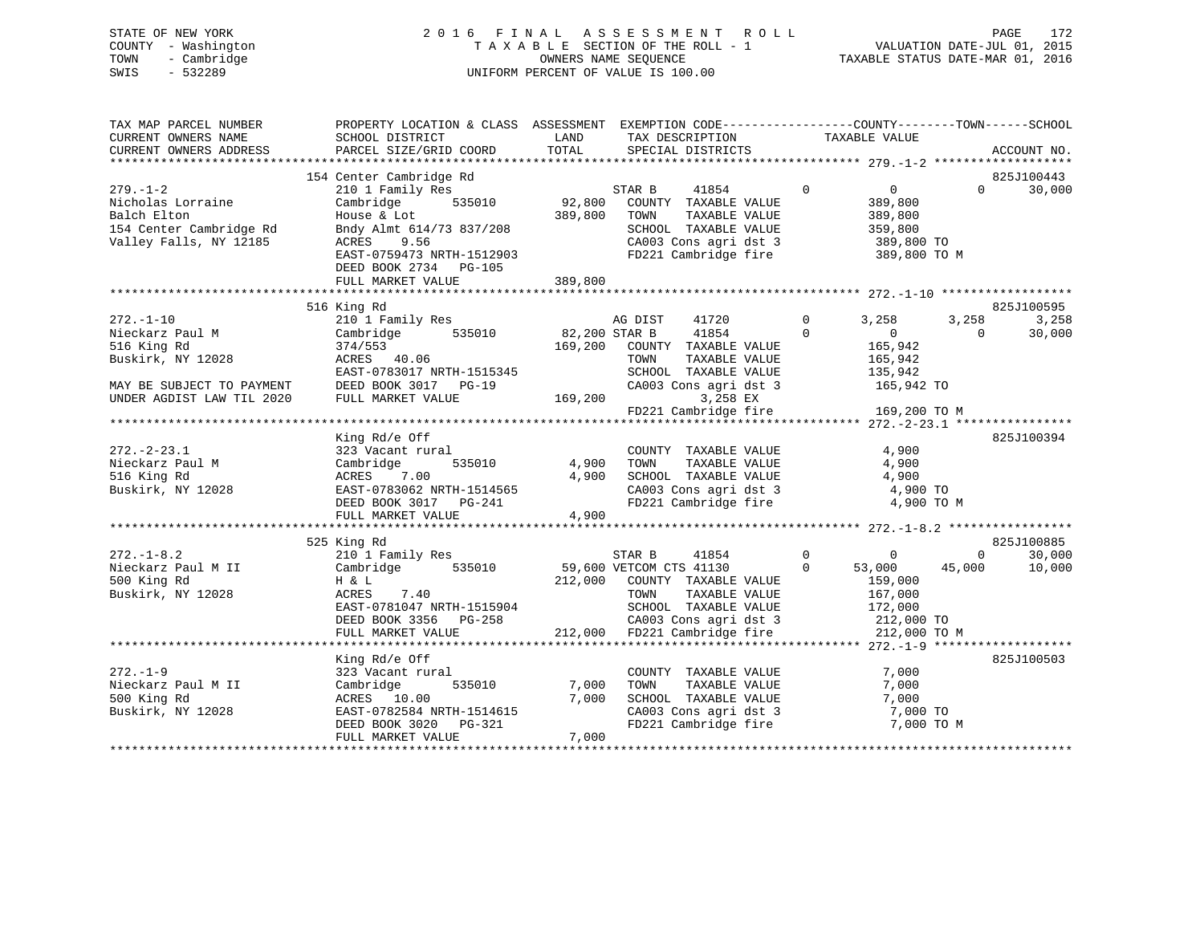|      | STATE OF NEW YORK   | 2016 FINAL ASSESSMENT ROLL         | 172<br>PAGE                      |
|------|---------------------|------------------------------------|----------------------------------|
|      | COUNTY - Washington | TAXABLE SECTION OF THE ROLL - 1    | VALUATION DATE-JUL 01, 2015      |
| TOWN | - Cambridge         | OWNERS NAME SEOUENCE               | TAXABLE STATUS DATE-MAR 01, 2016 |
| SWIS | $-532289$           | UNIFORM PERCENT OF VALUE IS 100.00 |                                  |

| TAX MAP PARCEL NUMBER                                        | PROPERTY LOCATION & CLASS ASSESSMENT EXEMPTION CODE-----------------COUNTY-------TOWN------SCHOOL                                                                                                                                                                              |         |                                                                                       |                |                |                                             |          |                    |
|--------------------------------------------------------------|--------------------------------------------------------------------------------------------------------------------------------------------------------------------------------------------------------------------------------------------------------------------------------|---------|---------------------------------------------------------------------------------------|----------------|----------------|---------------------------------------------|----------|--------------------|
| CURRENT OWNERS NAME                                          | SCHOOL DISTRICT                                                                                                                                                                                                                                                                |         | TAX DESCRIPTION TAXABLE VALUE                                                         |                |                |                                             |          |                    |
| CURRENT OWNERS ADDRESS                                       |                                                                                                                                                                                                                                                                                |         |                                                                                       |                |                |                                             |          | ACCOUNT NO.        |
|                                                              |                                                                                                                                                                                                                                                                                |         |                                                                                       |                |                |                                             |          |                    |
|                                                              | 154 Center Cambridge Rd                                                                                                                                                                                                                                                        |         |                                                                                       |                |                |                                             |          | 825J100443         |
| $279. - 1 - 2$                                               | 210 1 Family Res                                                                                                                                                                                                                                                               |         | 19 No. 1852 1974 STAR B 1984 1997<br>1y Res 535010 535010 92,800 COUNTY TAXABLE VALUE |                |                | $\begin{matrix} 0 & 0 \end{matrix}$         |          | $\Omega$<br>30,000 |
| Nicholas Lorraine                                            | Cambridge                                                                                                                                                                                                                                                                      |         |                                                                                       |                |                | 389,800<br>389,800                          |          |                    |
| Balch Elton                                                  | House & Lot                                                                                                                                                                                                                                                                    |         |                                                                                       |                |                |                                             |          |                    |
| 154 Center Cambridge Rd                                      | Bndy Almt 614/73 837/208                                                                                                                                                                                                                                                       |         |                                                                                       |                |                |                                             |          |                    |
| Valley Falls, NY 12185                                       | ACRES 9.56                                                                                                                                                                                                                                                                     |         | SCHOOL TAXABLE VALUE 359,800<br>CA003 Cons agri dst 3 389,800 TO                      |                |                |                                             |          |                    |
|                                                              | EAST-0759473 NRTH-1512903                                                                                                                                                                                                                                                      |         | FD221 Cambridge fire 389,800 TO M                                                     |                |                |                                             |          |                    |
|                                                              | DEED BOOK 2734 PG-105                                                                                                                                                                                                                                                          |         |                                                                                       |                |                |                                             |          |                    |
|                                                              | FULL MARKET VALUE                                                                                                                                                                                                                                                              | 389,800 |                                                                                       |                |                |                                             |          |                    |
|                                                              |                                                                                                                                                                                                                                                                                |         |                                                                                       |                |                |                                             |          |                    |
|                                                              | 516 King Rd                                                                                                                                                                                                                                                                    |         |                                                                                       |                |                |                                             |          | 825J100595         |
| $272. - 1 - 10$                                              | 210 1 Family Res                                                                                                                                                                                                                                                               |         | AG DIST<br>41720                                                                      |                | $\overline{0}$ | 3,258                                       | 3,258    | 3,258              |
| Nieckarz Paul M                                              | Cambridge 535010 82,200 STAR B 41854                                                                                                                                                                                                                                           |         |                                                                                       | $\overline{0}$ |                | $\overline{0}$                              | $\Omega$ | 30,000             |
| 516 King Rd                                                  |                                                                                                                                                                                                                                                                                |         | 169,200 COUNTY TAXABLE VALUE                                                          |                |                | 165,942                                     |          |                    |
| Buskirk, NY 12028                                            | 3/4/553<br>ACRES 40.06                                                                                                                                                                                                                                                         |         | TAXABLE VALUE<br>TOWN                                                                 |                |                | 165,942                                     |          |                    |
|                                                              | 10.00 TOM<br>EAST-0783017 NRTH-1515345 SCH<br>DEED BOOK 3017 PG-19 CA00<br>FULL MARKET VALUE 169,200                                                                                                                                                                           |         |                                                                                       |                |                |                                             |          |                    |
| MAY BE SUBJECT TO PAYMENT                                    |                                                                                                                                                                                                                                                                                |         | SCHOOL TAXABLE VALUE 135,942<br>CA003 Cons agri dst 3 165,942 TO                      |                |                |                                             |          |                    |
|                                                              |                                                                                                                                                                                                                                                                                |         |                                                                                       |                |                |                                             |          |                    |
|                                                              |                                                                                                                                                                                                                                                                                |         |                                                                                       |                |                |                                             |          |                    |
|                                                              |                                                                                                                                                                                                                                                                                |         |                                                                                       |                |                |                                             |          |                    |
|                                                              | King Rd/e Off                                                                                                                                                                                                                                                                  |         |                                                                                       |                |                |                                             |          | 825J100394         |
| $272. - 2 - 23.1$                                            |                                                                                                                                                                                                                                                                                |         |                                                                                       |                |                |                                             |          |                    |
| Nieckarz Paul M                                              |                                                                                                                                                                                                                                                                                |         |                                                                                       |                |                |                                             |          |                    |
| 516 King Rd                                                  |                                                                                                                                                                                                                                                                                |         |                                                                                       |                |                |                                             |          |                    |
| Buskirk, NY 12028                                            |                                                                                                                                                                                                                                                                                |         |                                                                                       |                |                |                                             |          |                    |
|                                                              |                                                                                                                                                                                                                                                                                |         | CA003 Cons agri dst 3 4,900 TO<br>FD221 Cambridge fire 4,900 TO M                     |                |                |                                             |          |                    |
|                                                              |                                                                                                                                                                                                                                                                                |         |                                                                                       |                |                |                                             |          |                    |
|                                                              |                                                                                                                                                                                                                                                                                |         |                                                                                       |                |                |                                             |          |                    |
|                                                              | 525 King Rd                                                                                                                                                                                                                                                                    |         |                                                                                       |                |                |                                             |          | 825J100885         |
| $272. - 1 - 8.2$                                             | 210 1 Family Res                                                                                                                                                                                                                                                               |         | STAR B                                                                                |                |                | $\begin{matrix} 41854 & 0 & 0 \end{matrix}$ | 0        | 30,000             |
|                                                              | Cambridge 535010 59,600 VETCOM CTS 41130                                                                                                                                                                                                                                       |         |                                                                                       |                |                | 53,000                                      | 45,000   | 10,000             |
| Nieckarz Paul M II<br>500 Vinc D <sup>3</sup><br>500 King Rd | H & L                                                                                                                                                                                                                                                                          |         |                                                                                       |                |                |                                             |          |                    |
| Buskirk, NY 12028                                            | $\begin{array}{cccccccccccc} 0.119 & 0.001 & 0.001 & 0.001 & 0.001 & 0.001 & 0.001 & 0.001 & 0.001 & 0.001 & 0.001 & 0.001 & 0.001 & 0.001 & 0.001 & 0.001 & 0.001 & 0.001 & 0.001 & 0.001 & 0.001 & 0.001 & 0.001 & 0.001 & 0.001 & 0.001 & 0.001 & 0.001 & 0.001 & 0.001 & $ |         | $212,000$ COUNTY TAXABLE VALUE TOWN TAXABLE VALUE                                     |                |                | 0<br>0 53,000<br>159,000<br>167,000         |          |                    |
|                                                              |                                                                                                                                                                                                                                                                                |         |                                                                                       |                |                |                                             |          |                    |
|                                                              |                                                                                                                                                                                                                                                                                |         |                                                                                       |                |                |                                             |          |                    |
|                                                              |                                                                                                                                                                                                                                                                                |         |                                                                                       |                |                |                                             |          |                    |
|                                                              |                                                                                                                                                                                                                                                                                |         |                                                                                       |                |                |                                             |          |                    |
|                                                              | King Rd/e Off                                                                                                                                                                                                                                                                  |         |                                                                                       |                |                |                                             |          | 825J100503         |
| $272. - 1 - 9$                                               |                                                                                                                                                                                                                                                                                |         |                                                                                       |                |                | 7,000                                       |          |                    |
|                                                              | 323 Vacant rural                                                                                                                                                                                                                                                               |         | COUNTY TAXABLE VALUE<br>TAXABLE VALUE                                                 |                |                | 7,000                                       |          |                    |
| Nieckarz Paul M II<br>500 King Rd                            | 535010 7,000<br>Cambridge                                                                                                                                                                                                                                                      |         | TOWN                                                                                  |                |                | 7,000                                       |          |                    |
|                                                              | ACRES 10.00<br>T,00<br>EAST-0782584 NRTH-1514615<br>DEED BOOK 3020 PG-321<br>TILE TILE TOOK 3020 PG-321                                                                                                                                                                        | 7,000   | SCHOOL TAXABLE VALUE                                                                  |                |                |                                             |          |                    |
| Buskirk, NY 12028                                            |                                                                                                                                                                                                                                                                                |         | CA003 Cons agri dst 3 7,000 TO<br>FD221 Cambridge fire 7,000 TO M                     |                |                |                                             |          |                    |
|                                                              |                                                                                                                                                                                                                                                                                |         |                                                                                       |                |                |                                             |          |                    |
|                                                              | FULL MARKET VALUE                                                                                                                                                                                                                                                              | 7,000   |                                                                                       |                |                |                                             |          |                    |
|                                                              |                                                                                                                                                                                                                                                                                |         |                                                                                       |                |                |                                             |          |                    |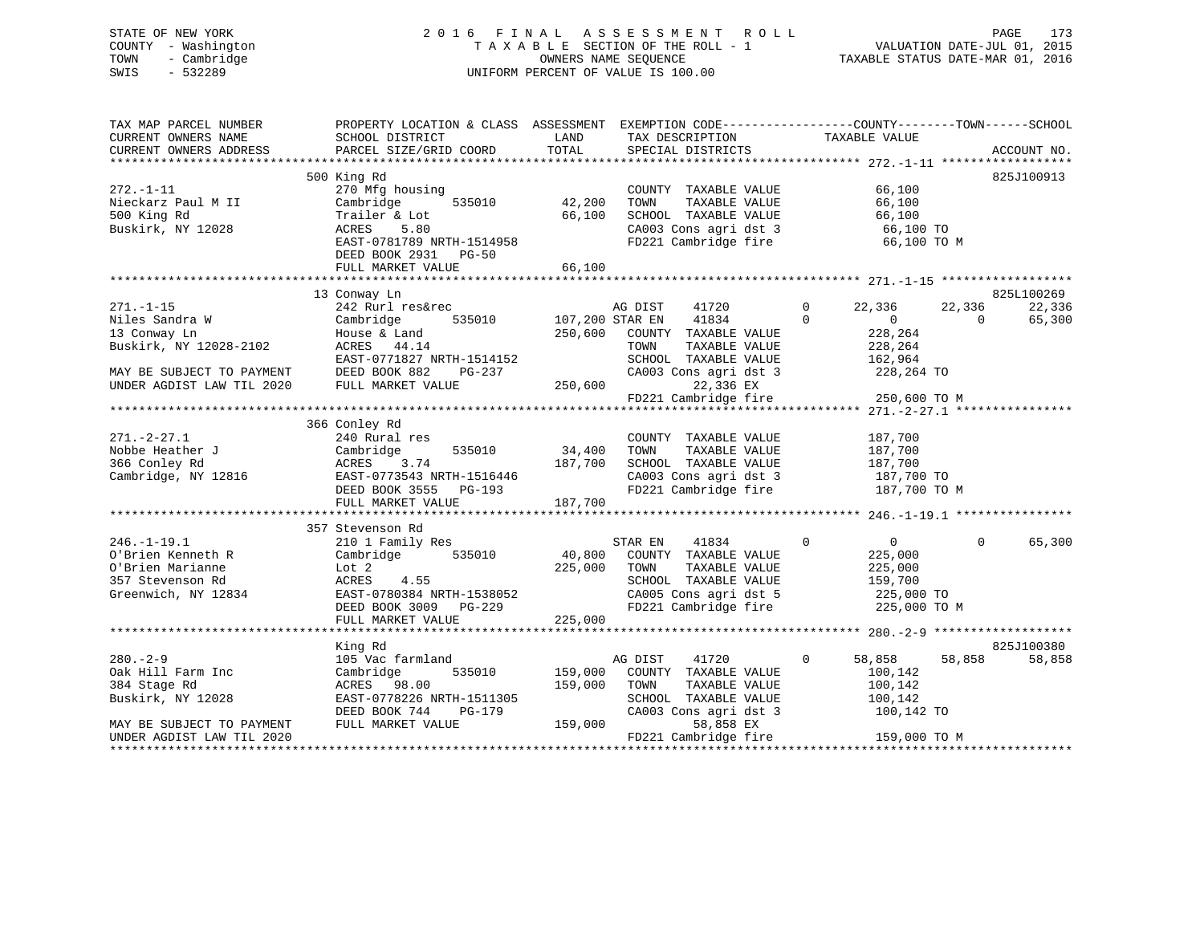# STATE OF NEW YORK 2 0 1 6 F I N A L A S S E S S M E N T R O L L PAGE 173 COUNTY - Washington T A X A B L E SECTION OF THE ROLL - 1 VALUATION DATE-JUL 01, 2015 TOWN - Cambridge OWNERS NAME SEQUENCE TAXABLE STATUS DATE-MAR 01, 2016 SWIS - 532289 UNIFORM PERCENT OF VALUE IS 100.00

| TAX MAP PARCEL NUMBER<br>CURRENT OWNERS NAME<br>CURRENT OWNERS ADDRESS                                | PROPERTY LOCATION & CLASS ASSESSMENT EXEMPTION CODE---------------COUNTY-------TOWN------SCHOOL<br>SCHOOL DISTRICT<br>PARCEL SIZE/GRID COORD                                | LAND<br>TOTAL                 | TAX DESCRIPTION<br>SPECIAL DISTRICTS                                                                                                       | TAXABLE VALUE                                                                      | ACCOUNT NO.                                          |
|-------------------------------------------------------------------------------------------------------|-----------------------------------------------------------------------------------------------------------------------------------------------------------------------------|-------------------------------|--------------------------------------------------------------------------------------------------------------------------------------------|------------------------------------------------------------------------------------|------------------------------------------------------|
| $272. - 1 - 11$<br>Nieckarz Paul M II<br>500 King Rd<br>Buskirk, NY 12028                             | 500 King Rd<br>270 Mfg housing<br>Cambridge<br>535010<br>Trailer & Lot<br>5.80<br>ACRES<br>EAST-0781789 NRTH-1514958<br>DEED BOOK 2931<br><b>PG-50</b><br>FULL MARKET VALUE | 42,200<br>66,100<br>66,100    | COUNTY TAXABLE VALUE<br>TAXABLE VALUE<br>TOWN<br>SCHOOL TAXABLE VALUE<br>CA003 Cons agri dst 3<br>FD221 Cambridge fire                     | 66,100<br>66,100<br>66,100<br>66,100 TO<br>66,100 TO M                             | 825J100913                                           |
|                                                                                                       |                                                                                                                                                                             |                               |                                                                                                                                            |                                                                                    |                                                      |
| $271. - 1 - 15$<br>Niles Sandra W<br>13 Conway Ln<br>Buskirk, NY 12028-2102                           | 13 Conway Ln<br>242 Rurl res&rec<br>535010<br>Cambridge<br>House & Land<br>ACRES 44.14<br>EAST-0771827 NRTH-1514152                                                         | 250,600                       | AG DIST<br>41720<br>107,200 STAR EN<br>41834<br>COUNTY TAXABLE VALUE<br>TOWN<br>TAXABLE VALUE<br>SCHOOL TAXABLE VALUE                      | $\mathbf 0$<br>22,336<br>$\Omega$<br>0<br>228,264<br>228,264<br>162,964            | 825L100269<br>22,336<br>22,336<br>65,300<br>$\Omega$ |
| MAY BE SUBJECT TO PAYMENT<br>UNDER AGDIST LAW TIL 2020                                                | DEED BOOK 882<br>PG-237<br>FULL MARKET VALUE                                                                                                                                | 250,600                       | CA003 Cons agri dst 3<br>22,336 EX<br>FD221 Cambridge fire                                                                                 | 228,264 TO<br>250,600 TO M                                                         |                                                      |
|                                                                                                       | 366 Conley Rd                                                                                                                                                               |                               |                                                                                                                                            |                                                                                    |                                                      |
| $271. - 2 - 27.1$<br>Nobbe Heather J<br>366 Conley Rd<br>Cambridge, NY 12816                          | 240 Rural res<br>Cambridge<br>535010<br>3.74<br>ACRES<br>EAST-0773543 NRTH-1516446<br>DEED BOOK 3555 PG-193<br>FULL MARKET VALUE                                            | 34,400<br>187,700<br>187,700  | COUNTY TAXABLE VALUE<br>TOWN<br>TAXABLE VALUE<br>SCHOOL TAXABLE VALUE<br>CA003 Cons agri dst 3<br>FD221 Cambridge fire                     | 187,700<br>187,700<br>187,700<br>187,700 TO<br>187,700 TO M                        |                                                      |
|                                                                                                       | 357 Stevenson Rd                                                                                                                                                            |                               |                                                                                                                                            |                                                                                    |                                                      |
| $246. - 1 - 19.1$<br>O'Brien Kenneth R<br>O'Brien Marianne<br>357 Stevenson Rd<br>Greenwich, NY 12834 | 210 1 Family Res<br>535010<br>Cambridge<br>Lot 2<br>ACRES<br>4.55<br>EAST-0780384 NRTH-1538052<br>DEED BOOK 3009 PG-229                                                     | 40,800<br>225,000             | STAR EN<br>41834<br>COUNTY TAXABLE VALUE<br>TOWN<br>TAXABLE VALUE<br>SCHOOL TAXABLE VALUE<br>CA005 Cons agri dst 5<br>FD221 Cambridge fire | $\overline{0}$<br>0<br>225,000<br>225,000<br>159,700<br>225,000 TO<br>225,000 TO M | $\Omega$<br>65,300                                   |
|                                                                                                       | FULL MARKET VALUE                                                                                                                                                           | 225,000                       |                                                                                                                                            |                                                                                    |                                                      |
|                                                                                                       | King Rd                                                                                                                                                                     |                               |                                                                                                                                            |                                                                                    | 825J100380                                           |
| $280. - 2 - 9$<br>Oak Hill Farm Inc<br>384 Stage Rd<br>Buskirk, NY 12028<br>MAY BE SUBJECT TO PAYMENT | 105 Vac farmland<br>Cambridge<br>535010<br>ACRES 98.00<br>EAST-0778226 NRTH-1511305<br>DEED BOOK 744<br>PG-179<br>FULL MARKET VALUE                                         | 159,000<br>159,000<br>159,000 | AG DIST<br>41720<br>COUNTY TAXABLE VALUE<br>TOWN<br>TAXABLE VALUE<br>SCHOOL TAXABLE VALUE<br>CA003 Cons agri dst 3<br>58,858 EX            | $\mathbf{0}$<br>58,858<br>100,142<br>100,142<br>100,142<br>100,142 TO              | 58,858<br>58,858                                     |
| UNDER AGDIST LAW TIL 2020<br>**********************                                                   |                                                                                                                                                                             |                               | FD221 Cambridge fire                                                                                                                       | 159,000 TO M                                                                       |                                                      |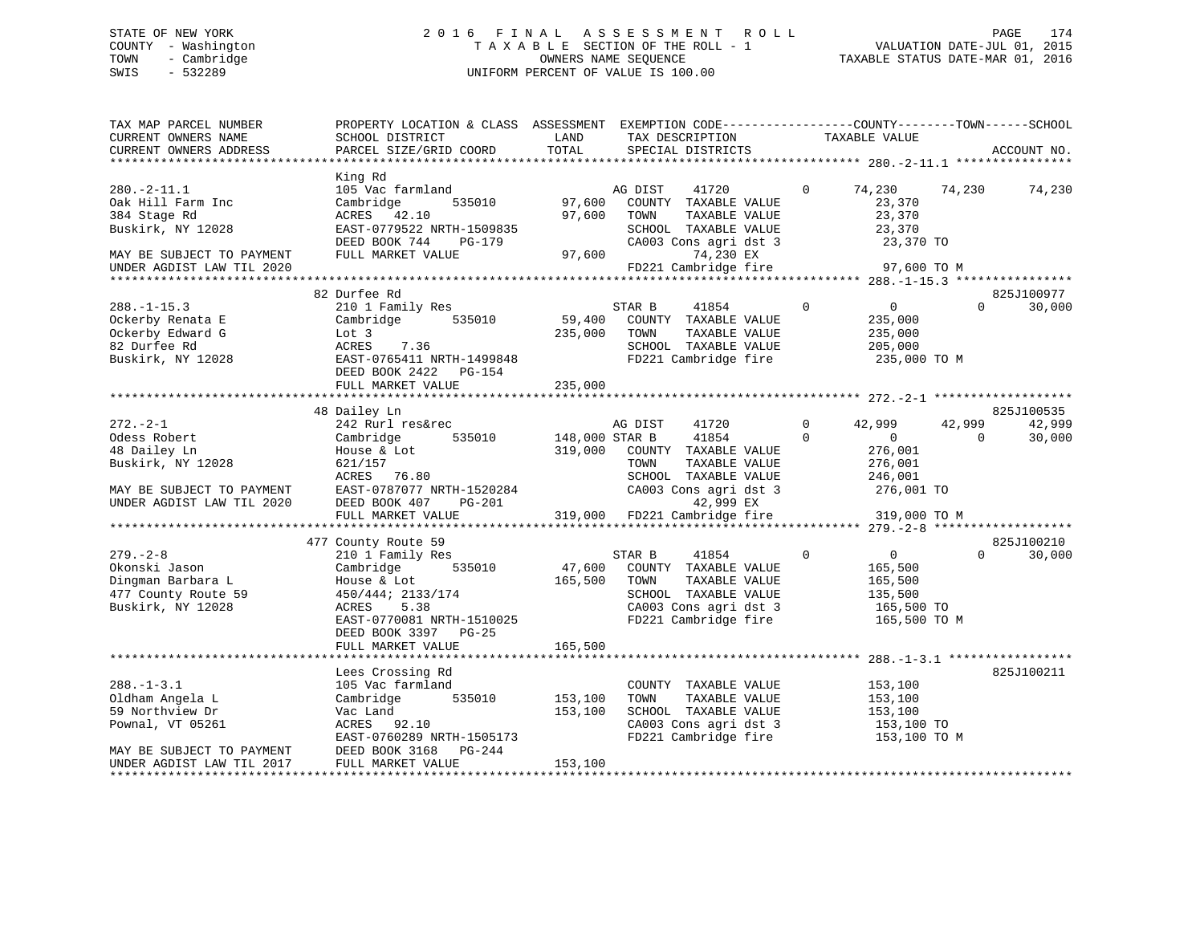# STATE OF NEW YORK 2 0 1 6 F I N A L A S S E S S M E N T R O L L PAGE 174 COUNTY - Washington T A X A B L E SECTION OF THE ROLL - 1 VALUATION DATE-JUL 01, 2015 TOWN - Cambridge OWNERS NAME SEQUENCE TAXABLE STATUS DATE-MAR 01, 2016 SWIS - 532289 UNIFORM PERCENT OF VALUE IS 100.00

| ACCOUNT NO.          |
|----------------------|
|                      |
|                      |
| 74,230               |
|                      |
|                      |
|                      |
| 825J100977<br>30,000 |
|                      |
|                      |
| 825J100535           |
| 42,999<br>30,000     |
|                      |
|                      |
| 825J100210<br>30,000 |
|                      |
|                      |
| 825J100211           |
|                      |
|                      |
|                      |
|                      |
|                      |
|                      |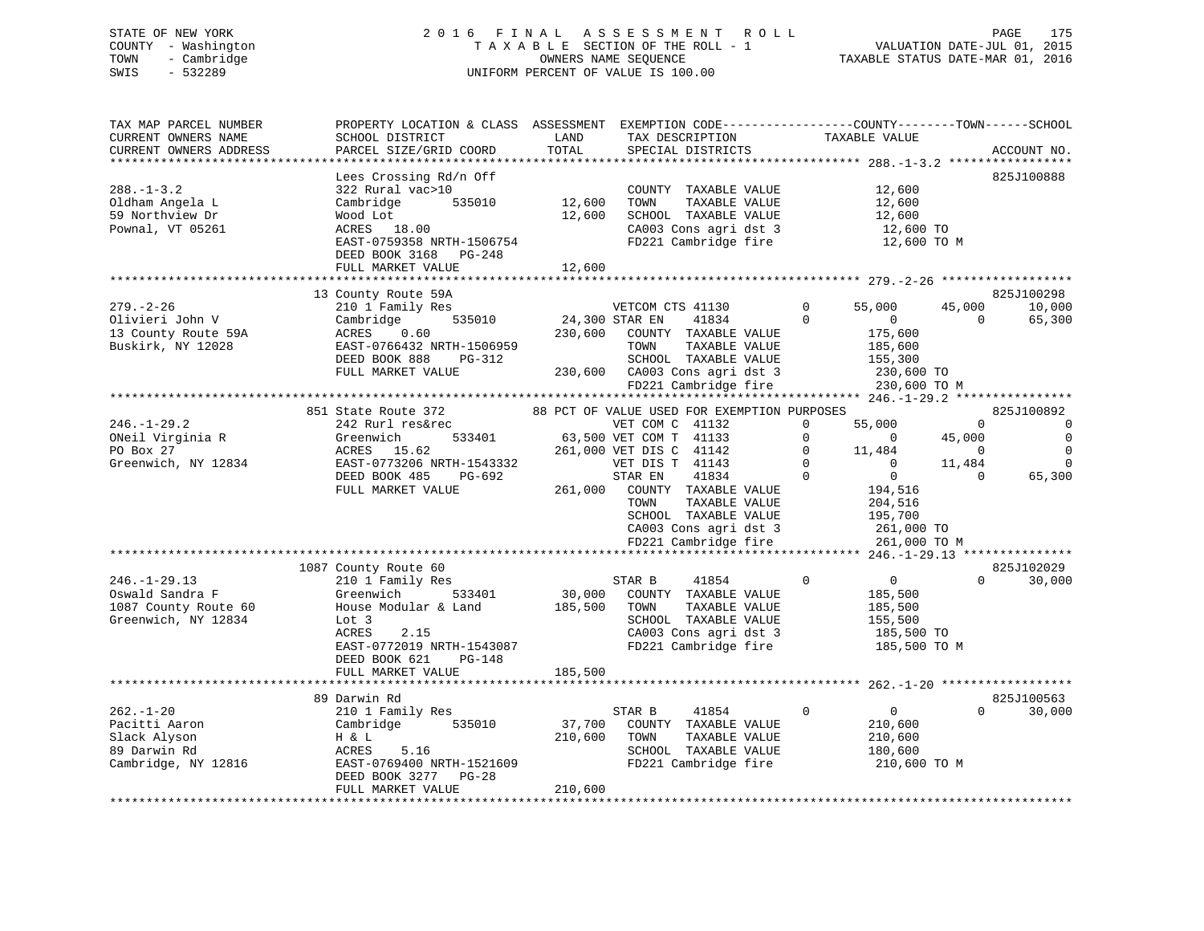# STATE OF NEW YORK 2 0 1 6 F I N A L A S S E S S M E N T R O L L PAGE 175 COUNTY - Washington T A X A B L E SECTION OF THE ROLL - 1 VALUATION DATE-JUL 01, 2015 TOWN - Cambridge OWNERS NAME SEQUENCE TAXABLE STATUS DATE-MAR 01, 2016 SWIS - 532289 UNIFORM PERCENT OF VALUE IS 100.00

| TAX MAP PARCEL NUMBER<br>CURRENT OWNERS NAME<br>CURRENT OWNERS ADDRESS                  | PROPERTY LOCATION & CLASS ASSESSMENT EXEMPTION CODE----------------COUNTY-------TOWN------SCHOOL<br>SCHOOL DISTRICT<br>PARCEL SIZE/GRID COORD                                                    | LAND<br>TOTAL                | TAX DESCRIPTION<br>SPECIAL DISTRICTS                                                                                                                                                                                                                                                 | TAXABLE VALUE                                                                                                                                                                             | ACCOUNT NO.                                                                                                                 |
|-----------------------------------------------------------------------------------------|--------------------------------------------------------------------------------------------------------------------------------------------------------------------------------------------------|------------------------------|--------------------------------------------------------------------------------------------------------------------------------------------------------------------------------------------------------------------------------------------------------------------------------------|-------------------------------------------------------------------------------------------------------------------------------------------------------------------------------------------|-----------------------------------------------------------------------------------------------------------------------------|
| $288. - 1 - 3.2$<br>Oldham Angela L<br>59 Northview Dr<br>Pownal, VT 05261              | Lees Crossing Rd/n Off<br>322 Rural vac>10<br>Cambridge<br>535010<br>Wood Lot<br>ACRES 18.00<br>EAST-0759358 NRTH-1506754<br>DEED BOOK 3168 PG-248<br>FULL MARKET VALUE                          | 12,600<br>12,600<br>12,600   | COUNTY TAXABLE VALUE<br>TOWN<br>TAXABLE VALUE<br>SCHOOL TAXABLE VALUE<br>CA003 Cons agri dst 3<br>FD221 Cambridge fire                                                                                                                                                               | 12,600<br>12,600<br>12,600<br>12,600 TO<br>12,600 TO M                                                                                                                                    | 825J100888                                                                                                                  |
|                                                                                         | *****************************                                                                                                                                                                    | ***************              |                                                                                                                                                                                                                                                                                      |                                                                                                                                                                                           |                                                                                                                             |
| $279. - 2 - 26$<br>Olivieri John V<br>13 County Route 59A<br>Buskirk, NY 12028          | 13 County Route 59A<br>210 1 Family Res<br>535010<br>Cambridge<br>ACRES<br>0.60<br>EAST-0766432 NRTH-1506959<br>DEED BOOK 888<br>PG-312<br>FULL MARKET VALUE                                     | 24,300 STAR EN<br>230,600    | VETCOM CTS 41130<br>41834<br>COUNTY TAXABLE VALUE<br>TOWN<br>TAXABLE VALUE<br>SCHOOL TAXABLE VALUE<br>230,600 CA003 Cons agri dst 3<br>FD221 Cambridge fire                                                                                                                          | $\Omega$<br>55,000<br>$\Omega$<br>$\overline{0}$<br>175,600<br>185,600<br>155,300<br>230,600 TO<br>230,600 TO M                                                                           | 825J100298<br>45,000<br>10,000<br>$\Omega$<br>65,300                                                                        |
|                                                                                         |                                                                                                                                                                                                  |                              |                                                                                                                                                                                                                                                                                      |                                                                                                                                                                                           |                                                                                                                             |
| $246. - 1 - 29.2$<br>ONeil Virginia R<br>PO Box 27<br>Greenwich, NY 12834               | 851 State Route 372<br>242 Rurl res&rec<br>533401<br>Greenwich<br>ACRES<br>15.62<br>EAST-0773206 NRTH-1543332<br>DEED BOOK 485<br>PG-692<br>FULL MARKET VALUE                                    | 261,000                      | 88 PCT OF VALUE USED FOR EXEMPTION PURPOSES<br>VET COM C 41132<br>63,500 VET COM T 41133<br>261,000 VET DIS C 41142<br>VET DIS T 41143<br>41834<br>STAR EN<br>COUNTY TAXABLE VALUE<br>TAXABLE VALUE<br>TOWN<br>SCHOOL TAXABLE VALUE<br>CA003 Cons agri dst 3<br>FD221 Cambridge fire | $\mathbf 0$<br>55,000<br>$\mathbf 0$<br>$\Omega$<br>$\Omega$<br>11,484<br>$\Omega$<br>$\Omega$<br>$\Omega$<br>$\mathbf{0}$<br>194,516<br>204,516<br>195,700<br>261,000 TO<br>261,000 TO M | 825J100892<br>$\mathbf 0$<br>$\mathbf 0$<br>45,000<br>0<br>$\Omega$<br>$\Omega$<br>11,484<br>$\Omega$<br>65,300<br>$\Omega$ |
|                                                                                         |                                                                                                                                                                                                  |                              |                                                                                                                                                                                                                                                                                      |                                                                                                                                                                                           | ****** 246.-1-29.13 ***************                                                                                         |
| $246. - 1 - 29.13$<br>Oswald Sandra F<br>1087 County Route 60<br>Greenwich, NY 12834    | 1087 County Route 60<br>210 1 Family Res<br>533401<br>Greenwich<br>House Modular & Land<br>Lot 3<br>ACRES<br>2.15<br>EAST-0772019 NRTH-1543087<br>DEED BOOK 621<br>$PG-148$<br>FULL MARKET VALUE | 30,000<br>185,500<br>185,500 | STAR B<br>41854<br>COUNTY TAXABLE VALUE<br>TAXABLE VALUE<br>TOWN<br>SCHOOL TAXABLE VALUE<br>CA003 Cons agri dst 3<br>FD221 Cambridge fire                                                                                                                                            | $\Omega$<br>$\overline{0}$<br>185,500<br>185,500<br>155,500<br>185,500 TO<br>185,500 TO M                                                                                                 | 825J102029<br>$\Omega$<br>30,000                                                                                            |
|                                                                                         |                                                                                                                                                                                                  |                              |                                                                                                                                                                                                                                                                                      |                                                                                                                                                                                           |                                                                                                                             |
| $262. - 1 - 20$<br>Pacitti Aaron<br>Slack Alyson<br>89 Darwin Rd<br>Cambridge, NY 12816 | 89 Darwin Rd<br>210 1 Family Res<br>535010<br>Cambridge<br>H & L<br>ACRES<br>5.16<br>EAST-0769400 NRTH-1521609<br>DEED BOOK 3277<br>PG-28<br>FULL MARKET VALUE                                   | 37,700<br>210,600<br>210,600 | STAR B<br>41854<br>COUNTY TAXABLE VALUE<br>TAXABLE VALUE<br>TOWN<br>SCHOOL TAXABLE VALUE<br>FD221 Cambridge fire                                                                                                                                                                     | $\mathbf 0$<br>$\overline{0}$<br>210,600<br>210,600<br>180,600<br>210,600 TO M                                                                                                            | 825J100563<br>$\Omega$<br>30,000                                                                                            |
|                                                                                         |                                                                                                                                                                                                  |                              |                                                                                                                                                                                                                                                                                      |                                                                                                                                                                                           |                                                                                                                             |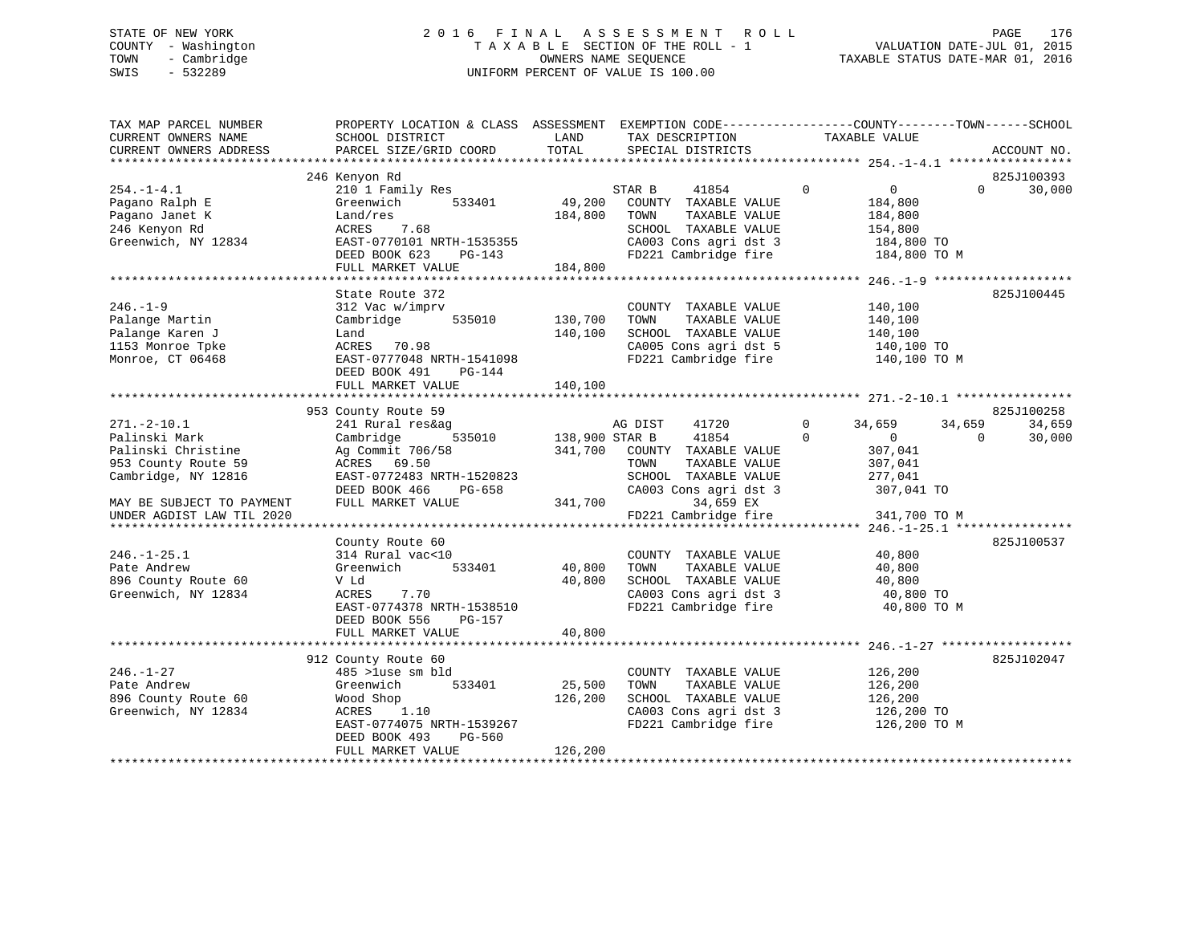# STATE OF NEW YORK 2 0 1 6 F I N A L A S S E S S M E N T R O L L PAGE 176 COUNTY - Washington T A X A B L E SECTION OF THE ROLL - 1 VALUATION DATE-JUL 01, 2015 TOWN - Cambridge OWNERS NAME SEQUENCE TAXABLE STATUS DATE-MAR 01, 2016 SWIS - 532289 UNIFORM PERCENT OF VALUE IS 100.00

| TAX MAP PARCEL NUMBER<br>CURRENT OWNERS NAME<br>CURRENT OWNERS ADDRESS | PROPERTY LOCATION & CLASS ASSESSMENT EXEMPTION CODE---------------COUNTY-------TOWN-----SCHOOL<br>SCHOOL DISTRICT<br>PARCEL SIZE/GRID COORD | LAND<br>TOTAL     | TAX DESCRIPTION<br>SPECIAL DISTRICTS          | TAXABLE VALUE                  | ACCOUNT NO.                      |
|------------------------------------------------------------------------|---------------------------------------------------------------------------------------------------------------------------------------------|-------------------|-----------------------------------------------|--------------------------------|----------------------------------|
|                                                                        |                                                                                                                                             |                   |                                               |                                |                                  |
| $254. -1 - 4.1$                                                        | 246 Kenyon Rd                                                                                                                               |                   | 41854<br>STAR B                               | $\mathbf 0$<br>$\overline{0}$  | 825J100393<br>30,000<br>$\Omega$ |
| Pagano Ralph E<br>Pagano Janet K                                       | 210 1 Family Res<br>533401<br>Greenwich<br>Land/res                                                                                         | 49,200<br>184,800 | COUNTY TAXABLE VALUE<br>TAXABLE VALUE<br>TOWN | 184,800<br>184,800             |                                  |
| 246 Kenyon Rd<br>Greenwich, NY 12834                                   | ACRES<br>7.68<br>EAST-0770101 NRTH-1535355                                                                                                  |                   | SCHOOL TAXABLE VALUE<br>CA003 Cons agri dst 3 | 154,800<br>184,800 TO          |                                  |
|                                                                        | DEED BOOK 623<br>PG-143<br>FULL MARKET VALUE                                                                                                | 184,800           | FD221 Cambridge fire                          | 184,800 TO M                   |                                  |
|                                                                        |                                                                                                                                             |                   |                                               |                                |                                  |
|                                                                        | State Route 372                                                                                                                             |                   |                                               |                                | 825J100445                       |
| $246. - 1 - 9$                                                         | 312 Vac w/imprv                                                                                                                             |                   | COUNTY TAXABLE VALUE                          | 140,100                        |                                  |
| Palange Martin                                                         | 535010<br>Cambridge                                                                                                                         | 130,700           | TOWN<br>TAXABLE VALUE                         | 140,100                        |                                  |
| Palange Karen J                                                        | Land                                                                                                                                        | 140,100           | SCHOOL TAXABLE VALUE<br>CA005 Cons agri dst 5 | 140,100                        |                                  |
| 1153 Monroe Tpke<br>Monroe, CT 06468                                   | ACRES 70.98<br>EAST-0777048 NRTH-1541098                                                                                                    |                   | FD221 Cambridge fire                          | 140,100 TO<br>140,100 TO M     |                                  |
|                                                                        | DEED BOOK 491<br>PG-144<br>FULL MARKET VALUE                                                                                                | 140,100           |                                               |                                |                                  |
|                                                                        |                                                                                                                                             |                   |                                               |                                |                                  |
|                                                                        | 953 County Route 59                                                                                                                         |                   |                                               |                                | 825J100258                       |
| $271. - 2 - 10.1$                                                      | 241 Rural res&ag<br>535010                                                                                                                  |                   | AG DIST<br>41720                              | $\Omega$<br>34,659<br>$\Omega$ | 34,659<br>34,659<br>$\Omega$     |
| Palinski Mark                                                          | Cambridge                                                                                                                                   | 138,900 STAR B    | 41854                                         | $\mathbf{0}$                   | 30,000                           |
| Palinski Christine<br>953 County Route 59                              | Ag Commit 706/58                                                                                                                            | 341,700           | COUNTY TAXABLE VALUE<br>TAXABLE VALUE<br>TOWN | 307,041                        |                                  |
| Cambridge, NY 12816                                                    | ACRES 69.50<br>EAST-0772483 NRTH-1520823                                                                                                    |                   | SCHOOL TAXABLE VALUE                          | 307,041<br>277,041             |                                  |
|                                                                        | DEED BOOK 466<br>PG-658                                                                                                                     |                   | CA003 Cons agri dst 3                         | 307,041 TO                     |                                  |
| MAY BE SUBJECT TO PAYMENT                                              | FULL MARKET VALUE                                                                                                                           | 341,700           | 34,659 EX                                     |                                |                                  |
| UNDER AGDIST LAW TIL 2020                                              |                                                                                                                                             |                   | FD221 Cambridge fire                          | 341,700 TO M                   |                                  |
|                                                                        |                                                                                                                                             |                   |                                               |                                |                                  |
|                                                                        | County Route 60                                                                                                                             |                   |                                               |                                | 825J100537                       |
| $246. - 1 - 25.1$                                                      | 314 Rural vac<10                                                                                                                            |                   | COUNTY TAXABLE VALUE                          | 40,800                         |                                  |
| Pate Andrew                                                            | 533401<br>Greenwich                                                                                                                         | 40,800            | TAXABLE VALUE<br>TOWN                         | 40,800                         |                                  |
| 896 County Route 60                                                    | V Ld                                                                                                                                        | 40,800            | SCHOOL TAXABLE VALUE                          | 40,800                         |                                  |
| Greenwich, NY 12834                                                    | 7.70<br>ACRES                                                                                                                               |                   | CA003 Cons agri dst 3                         | 40,800 TO                      |                                  |
|                                                                        | EAST-0774378 NRTH-1538510<br>DEED BOOK 556<br>PG-157                                                                                        |                   | FD221 Cambridge fire                          | 40,800 TO M                    |                                  |
|                                                                        | FULL MARKET VALUE                                                                                                                           | 40,800            |                                               |                                |                                  |
|                                                                        | 912 County Route 60                                                                                                                         |                   |                                               |                                | 825J102047                       |
| $246. - 1 - 27$                                                        | 485 >luse sm bld                                                                                                                            |                   | COUNTY TAXABLE VALUE                          | 126,200                        |                                  |
| Pate Andrew                                                            | Greenwich<br>533401                                                                                                                         | 25,500            | TOWN<br>TAXABLE VALUE                         | 126,200                        |                                  |
| 896 County Route 60                                                    | Wood Shop                                                                                                                                   | 126,200           | SCHOOL TAXABLE VALUE                          | 126,200                        |                                  |
| Greenwich, NY 12834                                                    | ACRES<br>1.10                                                                                                                               |                   | CA003 Cons agri dst 3                         | 126,200 TO                     |                                  |
|                                                                        | EAST-0774075 NRTH-1539267<br>DEED BOOK 493<br>PG-560                                                                                        |                   | FD221 Cambridge fire                          | 126,200 TO M                   |                                  |
|                                                                        | FULL MARKET VALUE                                                                                                                           | 126,200           |                                               |                                |                                  |
|                                                                        |                                                                                                                                             |                   |                                               |                                |                                  |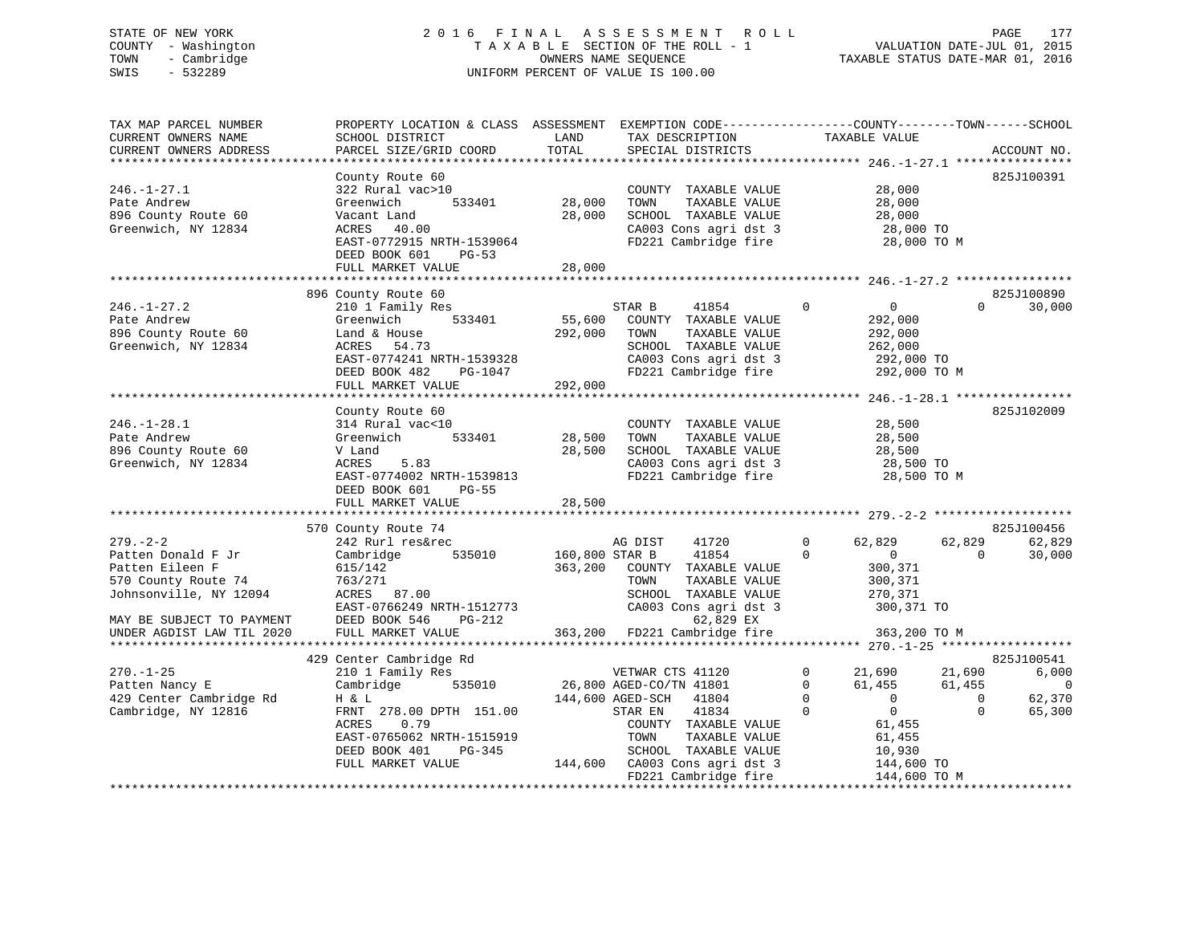# STATE OF NEW YORK 2 0 1 6 F I N A L A S S E S S M E N T R O L L PAGE 177 COUNTY - Washington T A X A B L E SECTION OF THE ROLL - 1 VALUATION DATE-JUL 01, 2015 TOWN - Cambridge OWNERS NAME SEQUENCE TAXABLE STATUS DATE-MAR 01, 2016 SWIS - 532289 UNIFORM PERCENT OF VALUE IS 100.00UNIFORM PERCENT OF VALUE IS 100.00

| TAX MAP PARCEL NUMBER<br>CURRENT OWNERS NAME<br>CURRENT OWNERS ADDRESS<br>*************************                                                                | PROPERTY LOCATION & CLASS ASSESSMENT<br>SCHOOL DISTRICT<br>PARCEL SIZE/GRID COORD<br>*********************                                                                                           | LAND<br>TOTAL                        | EXEMPTION CODE-----------------COUNTY-------TOWN------SCHOOL<br>TAX DESCRIPTION<br>SPECIAL DISTRICTS                                                                                           | TAXABLE VALUE                                                                                                                                       | ACCOUNT NO.                                                                                 |
|--------------------------------------------------------------------------------------------------------------------------------------------------------------------|------------------------------------------------------------------------------------------------------------------------------------------------------------------------------------------------------|--------------------------------------|------------------------------------------------------------------------------------------------------------------------------------------------------------------------------------------------|-----------------------------------------------------------------------------------------------------------------------------------------------------|---------------------------------------------------------------------------------------------|
| $246. - 1 - 27.1$<br>Pate Andrew<br>896 County Route 60<br>Greenwich, NY 12834                                                                                     | County Route 60<br>322 Rural vac>10<br>533401<br>Greenwich<br>Vacant Land<br>ACRES 40.00<br>EAST-0772915 NRTH-1539064<br>DEED BOOK 601<br>PG-53<br>FULL MARKET VALUE                                 | 28,000<br>28,000<br>28,000           | COUNTY TAXABLE VALUE<br>TOWN<br>TAXABLE VALUE<br>SCHOOL TAXABLE VALUE<br>CA003 Cons agri dst 3<br>FD221 Cambridge fire                                                                         | 28,000<br>28,000<br>28,000<br>28,000 TO<br>28,000 TO M                                                                                              | 825J100391                                                                                  |
|                                                                                                                                                                    |                                                                                                                                                                                                      |                                      |                                                                                                                                                                                                |                                                                                                                                                     |                                                                                             |
| $246. - 1 - 27.2$<br>Pate Andrew<br>896 County Route 60<br>Greenwich, NY 12834                                                                                     | 896 County Route 60<br>210 1 Family Res<br>Greenwich<br>533401<br>Land & House<br>ACRES<br>54.73<br>EAST-0774241 NRTH-1539328<br>DEED BOOK 482<br>PG-1047<br>FULL MARKET VALUE                       | 55,600<br>292,000<br>292,000         | STAR B<br>41854<br>COUNTY TAXABLE VALUE<br>TOWN<br>TAXABLE VALUE<br>SCHOOL TAXABLE VALUE<br>CA003 Cons agri dst 3<br>FD221 Cambridge fire                                                      | $\Omega$<br>$\mathbf{0}$<br>292,000<br>292,000<br>262,000<br>292,000 TO<br>292,000 TO M                                                             | 825J100890<br>30,000<br>$\Omega$                                                            |
|                                                                                                                                                                    | County Route 60                                                                                                                                                                                      |                                      |                                                                                                                                                                                                |                                                                                                                                                     | 825J102009                                                                                  |
| $246. - 1 - 28.1$<br>Pate Andrew<br>896 County Route 60<br>Greenwich, NY 12834                                                                                     | 314 Rural vac<10<br>533401<br>Greenwich<br>V Land<br>ACRES<br>5.83<br>EAST-0774002 NRTH-1539813<br>DEED BOOK 601<br>PG-55<br>FULL MARKET VALUE                                                       | 28,500<br>28,500<br>28,500           | COUNTY TAXABLE VALUE<br>TAXABLE VALUE<br>TOWN<br>SCHOOL TAXABLE VALUE<br>CA003 Cons agri dst 3<br>FD221 Cambridge fire                                                                         | 28,500<br>28,500<br>28,500<br>28,500 TO<br>28,500 TO M                                                                                              |                                                                                             |
|                                                                                                                                                                    |                                                                                                                                                                                                      |                                      |                                                                                                                                                                                                |                                                                                                                                                     |                                                                                             |
| $279. - 2 - 2$<br>Patten Donald F Jr<br>Patten Eileen F<br>570 County Route 74<br>Johnsonville, NY 12094<br>MAY BE SUBJECT TO PAYMENT<br>UNDER AGDIST LAW TIL 2020 | 570 County Route 74<br>242 Rurl res&rec<br>535010<br>Cambridge<br>615/142<br>763/271<br>ACRES 87.00<br>EAST-0766249 NRTH-1512773<br>DEED BOOK 546<br>$PG-212$<br>FULL MARKET VALUE                   | 160,800 STAR B<br>363,200<br>363,200 | AG DIST<br>41720<br>41854<br>COUNTY TAXABLE VALUE<br>TOWN<br>TAXABLE VALUE<br>SCHOOL TAXABLE VALUE<br>CA003 Cons agri dst 3<br>62,829 EX<br>FD221 Cambridge fire                               | $\Omega$<br>62,829<br>$\Omega$<br>$\mathbf{0}$<br>300,371<br>300,371<br>270,371<br>300,371 TO<br>363,200 TO M                                       | 825J100456<br>62,829<br>62,829<br>30,000<br>$\Omega$                                        |
|                                                                                                                                                                    |                                                                                                                                                                                                      |                                      |                                                                                                                                                                                                |                                                                                                                                                     |                                                                                             |
| $270. - 1 - 25$<br>Patten Nancy E<br>429 Center Cambridge Rd<br>Cambridge, NY 12816                                                                                | 429 Center Cambridge Rd<br>210 1 Family Res<br>Cambridge<br>535010<br>H & L<br>FRNT 278.00 DPTH 151.00<br>0.79<br>ACRES<br>EAST-0765062 NRTH-1515919<br>DEED BOOK 401<br>PG-345<br>FULL MARKET VALUE | 144,600                              | VETWAR CTS 41120<br>26,800 AGED-CO/TN 41801<br>144,600 AGED-SCH<br>41804<br>STAR EN<br>41834<br>COUNTY TAXABLE VALUE<br>TAXABLE VALUE<br>TOWN<br>SCHOOL TAXABLE VALUE<br>CA003 Cons agri dst 3 | $\mathbf 0$<br>21,690<br>$\mathbf 0$<br>61,455<br>$\mathbf 0$<br>$\overline{0}$<br>$\Omega$<br>$\Omega$<br>61,455<br>61,455<br>10,930<br>144,600 TO | 825J100541<br>6,000<br>21,690<br>61,455<br>0<br>$\mathbf 0$<br>62,370<br>$\Omega$<br>65,300 |
|                                                                                                                                                                    |                                                                                                                                                                                                      |                                      | FD221 Cambridge fire                                                                                                                                                                           | 144,600 TO M                                                                                                                                        |                                                                                             |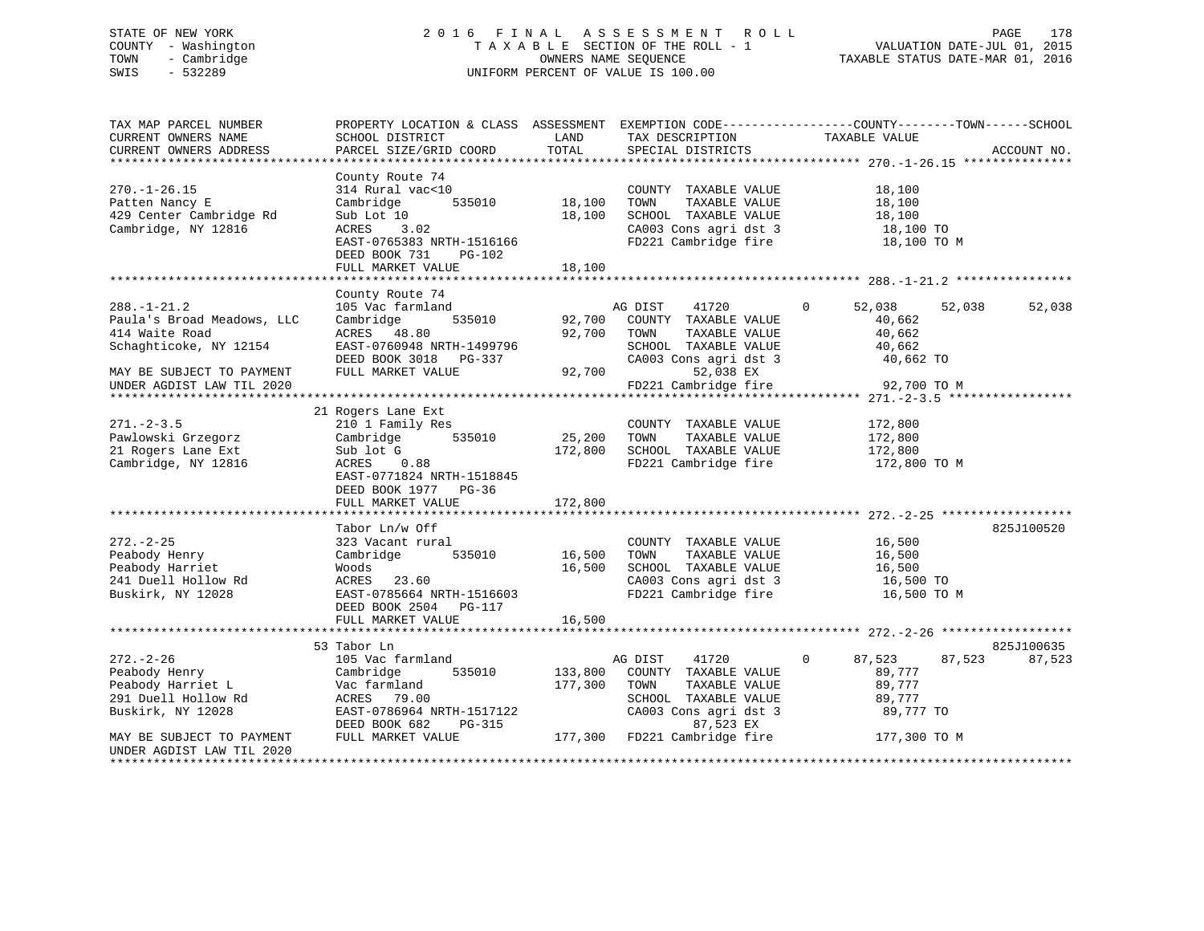# STATE OF NEW YORK 2 0 1 6 F I N A L A S S E S S M E N T R O L L PAGE 178 COUNTY - Washington T A X A B L E SECTION OF THE ROLL - 1 VALUATION DATE-JUL 01, 2015 TOWN - Cambridge OWNERS NAME SEQUENCE TAXABLE STATUS DATE-MAR 01, 2016 SWIS - 532289 UNIFORM PERCENT OF VALUE IS 100.00

| TAX MAP PARCEL NUMBER<br>CURRENT OWNERS NAME<br>CURRENT OWNERS ADDRESS                                                                                                         | SCHOOL DISTRICT<br>PARCEL SIZE/GRID COORD                                                                                                                              | LAND<br>TOTAL                | TAX DESCRIPTION<br>SPECIAL DISTRICTS                                                                                                                            | PROPERTY LOCATION & CLASS ASSESSMENT EXEMPTION CODE----------------COUNTY-------TOWN------SCHOOL<br>TAXABLE VALUE | ACCOUNT NO.          |
|--------------------------------------------------------------------------------------------------------------------------------------------------------------------------------|------------------------------------------------------------------------------------------------------------------------------------------------------------------------|------------------------------|-----------------------------------------------------------------------------------------------------------------------------------------------------------------|-------------------------------------------------------------------------------------------------------------------|----------------------|
|                                                                                                                                                                                |                                                                                                                                                                        |                              |                                                                                                                                                                 |                                                                                                                   |                      |
| $270. - 1 - 26.15$<br>Patten Nancy E<br>429 Center Cambridge Rd<br>Cambridge, NY 12816                                                                                         | County Route 74<br>314 Rural vac<10<br>535010<br>Cambridge<br>Sub Lot 10<br>3.02<br>ACRES<br>EAST-0765383 NRTH-1516166<br>DEED BOOK 731<br>PG-102<br>FULL MARKET VALUE | 18,100<br>18,100<br>18,100   | COUNTY TAXABLE VALUE<br>TOWN<br>TAXABLE VALUE<br>SCHOOL TAXABLE VALUE<br>CA003 Cons agri dst 3<br>FD221 Cambridge fire                                          | 18,100<br>18,100<br>18,100<br>18,100 TO<br>18,100 TO M                                                            |                      |
|                                                                                                                                                                                |                                                                                                                                                                        |                              |                                                                                                                                                                 |                                                                                                                   |                      |
| $288. - 1 - 21.2$<br>Paula's Broad Meadows, LLC<br>414 Waite Road<br>Schaghticoke, NY 12154<br>MAY BE SUBJECT TO PAYMENT<br>UNDER AGDIST LAW TIL 2020<br>********************* | County Route 74<br>105 Vac farmland<br>535010<br>Cambridge<br>ACRES 48.80<br>EAST-0760948 NRTH-1499796<br>DEED BOOK 3018 PG-337<br>FULL MARKET VALUE                   | 92,700<br>92,700<br>92,700   | AG DIST<br>41720<br>COUNTY TAXABLE VALUE<br>TOWN<br>TAXABLE VALUE<br>SCHOOL TAXABLE VALUE<br>CA003 Cons agri dst 3<br>52,038 EX<br>FD221 Cambridge fire         | 52,038<br>52,038<br>$\mathbf{0}$<br>40,662<br>40,662<br>40,662<br>40,662 TO<br>92,700 TO M                        | 52,038               |
|                                                                                                                                                                                | 21 Rogers Lane Ext                                                                                                                                                     |                              |                                                                                                                                                                 |                                                                                                                   |                      |
| $271 - 2 - 3.5$<br>Pawlowski Grzegorz<br>21 Rogers Lane Ext<br>Cambridge, NY 12816                                                                                             | 210 1 Family Res<br>535010<br>Cambridge<br>Sub lot G<br>0.88<br>ACRES<br>EAST-0771824 NRTH-1518845<br>DEED BOOK 1977 PG-36<br>FULL MARKET VALUE                        | 25,200<br>172,800<br>172,800 | COUNTY TAXABLE VALUE<br>TOWN<br>TAXABLE VALUE<br>SCHOOL TAXABLE VALUE<br>FD221 Cambridge fire                                                                   | 172,800<br>172,800<br>172,800<br>172,800 TO M                                                                     |                      |
|                                                                                                                                                                                | Tabor Ln/w Off                                                                                                                                                         |                              |                                                                                                                                                                 |                                                                                                                   | 825J100520           |
| $272. - 2 - 25$<br>Peabody Henry<br>Peabody Harriet<br>241 Duell Hollow Rd<br>Buskirk, NY 12028                                                                                | 323 Vacant rural<br>Cambridge<br>535010<br>Woods<br>ACRES 23.60<br>EAST-0785664 NRTH-1516603<br>DEED BOOK 2504<br>PG-117                                               | 16,500<br>16,500             | COUNTY TAXABLE VALUE<br>TOWN<br>TAXABLE VALUE<br>SCHOOL TAXABLE VALUE<br>CA003 Cons agri dst 3<br>FD221 Cambridge fire                                          | 16,500<br>16,500<br>16,500<br>16,500 TO<br>16,500 TO M                                                            |                      |
|                                                                                                                                                                                | FULL MARKET VALUE                                                                                                                                                      | 16,500                       |                                                                                                                                                                 |                                                                                                                   |                      |
|                                                                                                                                                                                |                                                                                                                                                                        |                              |                                                                                                                                                                 |                                                                                                                   |                      |
| $272. - 2 - 26$<br>Peabody Henry<br>Peabody Harriet L<br>291 Duell Hollow Rd<br>Buskirk, NY 12028<br>MAY BE SUBJECT TO PAYMENT                                                 | 53 Tabor Ln<br>105 Vac farmland<br>535010<br>Cambridge<br>Vac farmland<br>ACRES 79.00<br>EAST-0786964 NRTH-1517122<br>DEED BOOK 682<br>PG-315<br>FULL MARKET VALUE     | 133,800<br>177,300           | 41720<br>AG DIST<br>COUNTY TAXABLE VALUE<br>TAXABLE VALUE<br>TOWN<br>SCHOOL TAXABLE VALUE<br>CA003 Cons agri dst 3<br>87,523 EX<br>177,300 FD221 Cambridge fire | $\Omega$<br>87,523<br>87,523<br>89,777<br>89,777<br>89,777<br>89,777 TO<br>177,300 TO M                           | 825J100635<br>87,523 |
| UNDER AGDIST LAW TIL 2020<br>*********************                                                                                                                             |                                                                                                                                                                        |                              |                                                                                                                                                                 |                                                                                                                   |                      |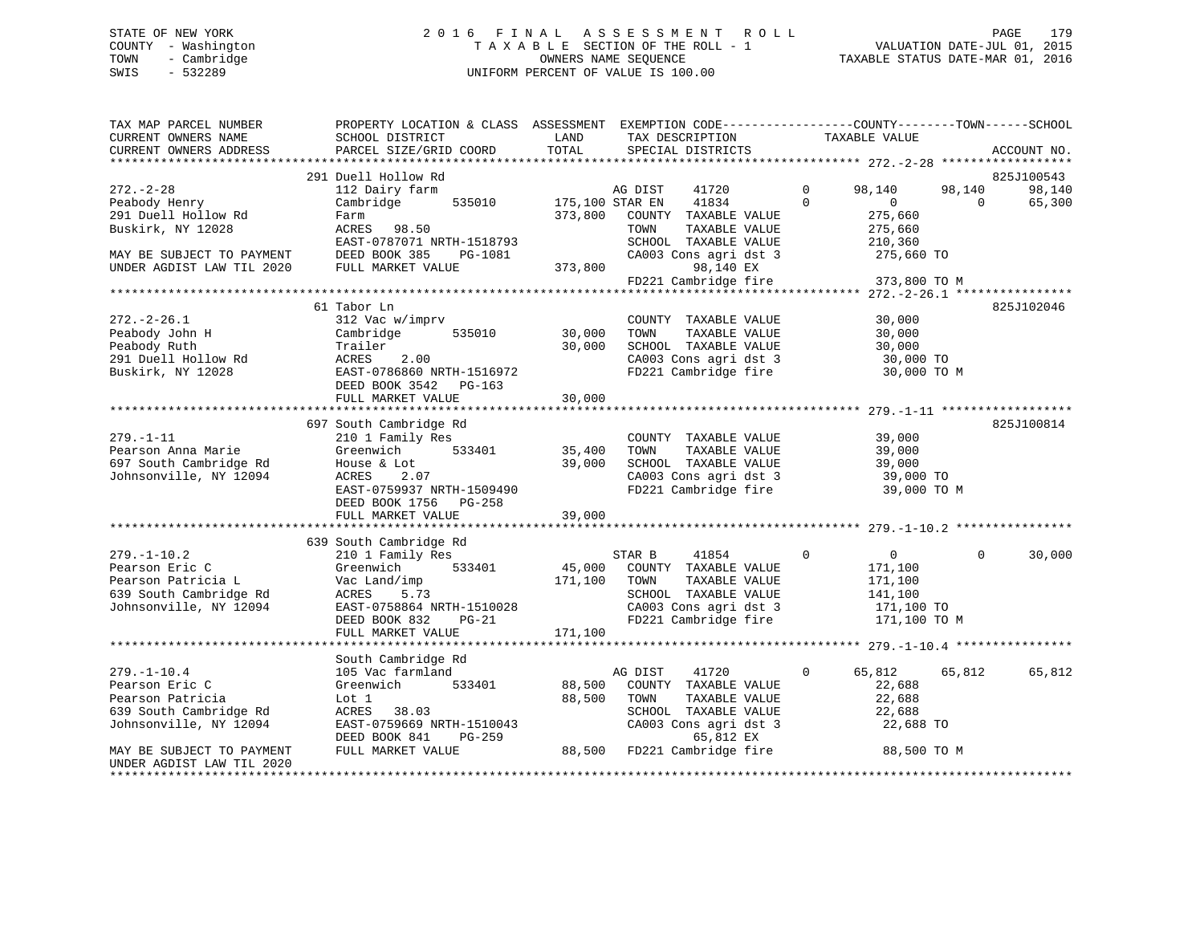# STATE OF NEW YORK 2 0 1 6 F I N A L A S S E S S M E N T R O L L PAGE 179 COUNTY - Washington T A X A B L E SECTION OF THE ROLL - 1 VALUATION DATE-JUL 01, 2015 TOWN - Cambridge OWNERS NAME SEQUENCE TAXABLE STATUS DATE-MAR 01, 2016 SWIS - 532289 UNIFORM PERCENT OF VALUE IS 100.00

| TAX MAP PARCEL NUMBER<br>CURRENT OWNERS NAME                                                                  | PROPERTY LOCATION & CLASS ASSESSMENT EXEMPTION CODE---------------COUNTY-------TOWN------SCHOOL<br>SCHOOL DISTRICT                                         | LAND              | TAX DESCRIPTION                                                                                                                           | TAXABLE VALUE            |                                                                                           |                                |
|---------------------------------------------------------------------------------------------------------------|------------------------------------------------------------------------------------------------------------------------------------------------------------|-------------------|-------------------------------------------------------------------------------------------------------------------------------------------|--------------------------|-------------------------------------------------------------------------------------------|--------------------------------|
| CURRENT OWNERS ADDRESS                                                                                        | PARCEL SIZE/GRID COORD                                                                                                                                     | TOTAL             | SPECIAL DISTRICTS                                                                                                                         |                          |                                                                                           | ACCOUNT NO.                    |
|                                                                                                               | 291 Duell Hollow Rd                                                                                                                                        |                   |                                                                                                                                           |                          |                                                                                           |                                |
| $272 - 2 - 28$<br>Peabody Henry                                                                               | 112 Dairy farm<br>535010<br>Cambridge                                                                                                                      | 175,100 STAR EN   | AG DIST<br>41720<br>41834                                                                                                                 | $\Omega$<br>$\mathbf{0}$ | 98,140<br>98,140<br>$\mathbf{0}$<br>$\Omega$                                              | 825J100543<br>98,140<br>65,300 |
| 291 Duell Hollow Rd<br>Buskirk, NY 12028                                                                      | Farm<br>ACRES 98.50<br>EAST-0787071 NRTH-1518793                                                                                                           | 373,800           | COUNTY TAXABLE VALUE<br>TOWN<br>TAXABLE VALUE<br>SCHOOL TAXABLE VALUE                                                                     |                          | 275,660<br>275,660<br>210,360                                                             |                                |
| MAY BE SUBJECT TO PAYMENT<br>UNDER AGDIST LAW TIL 2020 FULL MARKET VALUE                                      | PG-1081                                                                                                                                                    | 373,800           | CA003 Cons agri dst 3<br>98,140 EX<br>FD221 Cambridge fire                                                                                |                          | 275,660 TO<br>373,800 TO M                                                                |                                |
|                                                                                                               |                                                                                                                                                            |                   |                                                                                                                                           |                          |                                                                                           |                                |
|                                                                                                               | 61 Tabor Ln                                                                                                                                                |                   |                                                                                                                                           |                          |                                                                                           | 825J102046                     |
| $272. - 2 - 26.1$<br>Peabody John H<br>Peabody Ruth<br>291 Duell Hollow Rd<br>Buskirk, NY 12028               | 312 Vac w/imprv<br>535010<br>Cambridge<br>Trailer<br>11111111<br>EAEES 2.00<br>EAST-0786860 NRTH-1516972<br>DEED BOOK 3542 PG-163<br>DEED BOOK 3542 PG-163 | 30,000<br>30,000  | COUNTY TAXABLE VALUE<br>TAXABLE VALUE<br>TOWN<br>SCHOOL TAXABLE VALUE<br>CA003 Cons agri dst 3<br>FD221 Cambridge fire 30,000 TO M        |                          | 30,000<br>30,000<br>30,000<br>30,000 TO                                                   |                                |
|                                                                                                               | FULL MARKET VALUE                                                                                                                                          | 30,000            |                                                                                                                                           |                          |                                                                                           |                                |
|                                                                                                               |                                                                                                                                                            |                   |                                                                                                                                           |                          |                                                                                           |                                |
| $279. - 1 - 11$<br>Pearson Anna Marie<br>697 South Cambridge Rd<br>Johnsonville, NY 12094                     | 697 South Cambridge Rd<br>210 1 Family Res<br>Greenwich 533401<br>House & Lot<br>ACRES<br>2.07<br>EAST-0759937 NRTH-1509490<br>DEED BOOK 1756 PG-258       | 35,400<br>39,000  | COUNTY TAXABLE VALUE<br>TOWN<br>TAXABLE VALUE<br>SCHOOL TAXABLE VALUE<br>CA003 Cons agri dst 3<br>FD221 Cambridge fire                    | 39,000                   | 39,000<br>39,000<br>39,000 TO<br>39,000 TO M                                              | 825J100814                     |
|                                                                                                               | FULL MARKET VALUE                                                                                                                                          | 39,000            |                                                                                                                                           |                          |                                                                                           |                                |
|                                                                                                               |                                                                                                                                                            |                   |                                                                                                                                           |                          |                                                                                           |                                |
|                                                                                                               | 639 South Cambridge Rd                                                                                                                                     |                   |                                                                                                                                           |                          |                                                                                           |                                |
| $279. - 1 - 10.2$<br>Pearson Eric C<br>Pearson Patricia L<br>639 South Cambridge Rd<br>Johnsonville, NY 12094 | 210 1 Family Res<br>533401<br>Greenwich<br>Vac Land/imp<br>ACRES<br>5.73<br>EAST-0758864 NRTH-1510028<br>$PG-21$<br>DEED BOOK 832                          | 45,000<br>171,100 | STAR B<br>41854<br>COUNTY TAXABLE VALUE<br>TOWN<br>TAXABLE VALUE<br>SCHOOL TAXABLE VALUE<br>CA003 Cons agri dst 3<br>FD221 Cambridge fire | $\overline{0}$           | $\Omega$<br>$\overline{0}$<br>171,100<br>171,100<br>141,100<br>171,100 TO<br>171,100 TO M | 30,000                         |
|                                                                                                               | FULL MARKET VALUE                                                                                                                                          | 171,100           |                                                                                                                                           |                          |                                                                                           |                                |
|                                                                                                               |                                                                                                                                                            |                   |                                                                                                                                           |                          |                                                                                           |                                |
|                                                                                                               | South Cambridge Rd                                                                                                                                         |                   |                                                                                                                                           |                          |                                                                                           |                                |
| $279. - 1 - 10.4$                                                                                             | 105 Vac farmland                                                                                                                                           |                   | 41720<br>AG DIST                                                                                                                          | $\mathbf{0}$             | 65,812<br>65,812                                                                          | 65,812                         |
| Pearson Eric C<br>Pearson Patricia                                                                            | Greenwich<br>533401<br>Lot 1                                                                                                                               | 88,500<br>88,500  | COUNTY TAXABLE VALUE<br>TOWN<br>TAXABLE VALUE                                                                                             |                          | 22,688<br>22,688                                                                          |                                |
| 639 South Cambridge Rd                                                                                        | ACRES 38.03                                                                                                                                                |                   | SCHOOL TAXABLE VALUE                                                                                                                      |                          | 22,688                                                                                    |                                |
| Johnsonville, NY 12094                                                                                        | EAST-0759669 NRTH-1510043<br>DEED BOOK 841<br>PG-259                                                                                                       |                   | CA003 Cons agri dst 3<br>65,812 EX                                                                                                        |                          | 22,688 TO                                                                                 |                                |
| MAY BE SUBJECT TO PAYMENT<br>UNDER AGDIST LAW TIL 2020                                                        | FULL MARKET VALUE                                                                                                                                          |                   | 88,500 FD221 Cambridge fire                                                                                                               |                          | 88,500 TO M                                                                               |                                |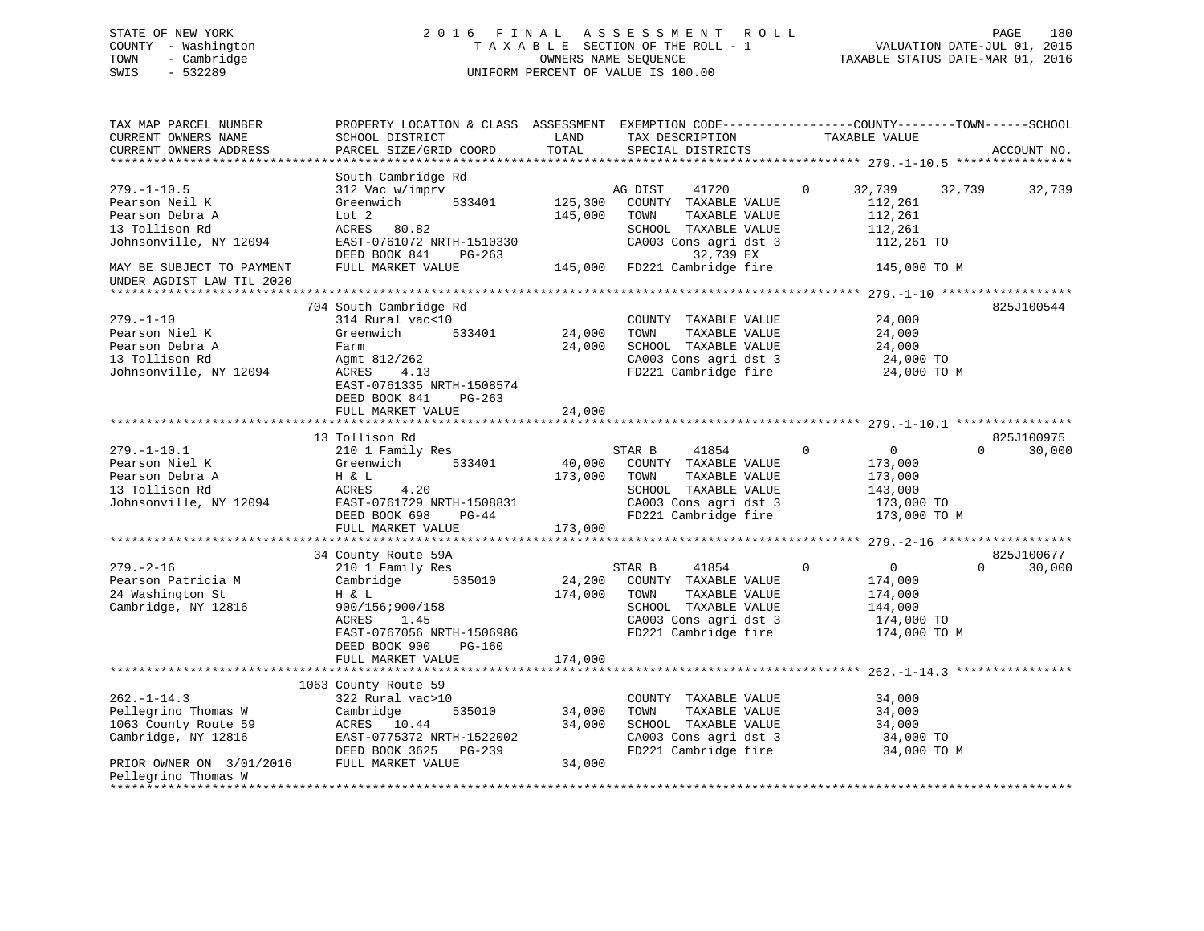# STATE OF NEW YORK 2 0 1 6 F I N A L A S S E S S M E N T R O L L PAGE 180 COUNTY - Washington T A X A B L E SECTION OF THE ROLL - 1 VALUATION DATE-JUL 01, 2015 TOWN - Cambridge OWNERS NAME SEQUENCE TAXABLE STATUS DATE-MAR 01, 2016 SWIS - 532289 UNIFORM PERCENT OF VALUE IS 100.00

| EXEMPTION CODE-----------------COUNTY-------TOWN------SCHOOL<br>ACCOUNT NO. |
|-----------------------------------------------------------------------------|
|                                                                             |
| 32,739                                                                      |
|                                                                             |
| 825J100544                                                                  |
|                                                                             |
|                                                                             |
| 825J100975<br>30,000                                                        |
|                                                                             |
| 825J100677<br>30,000                                                        |
|                                                                             |
|                                                                             |
|                                                                             |
|                                                                             |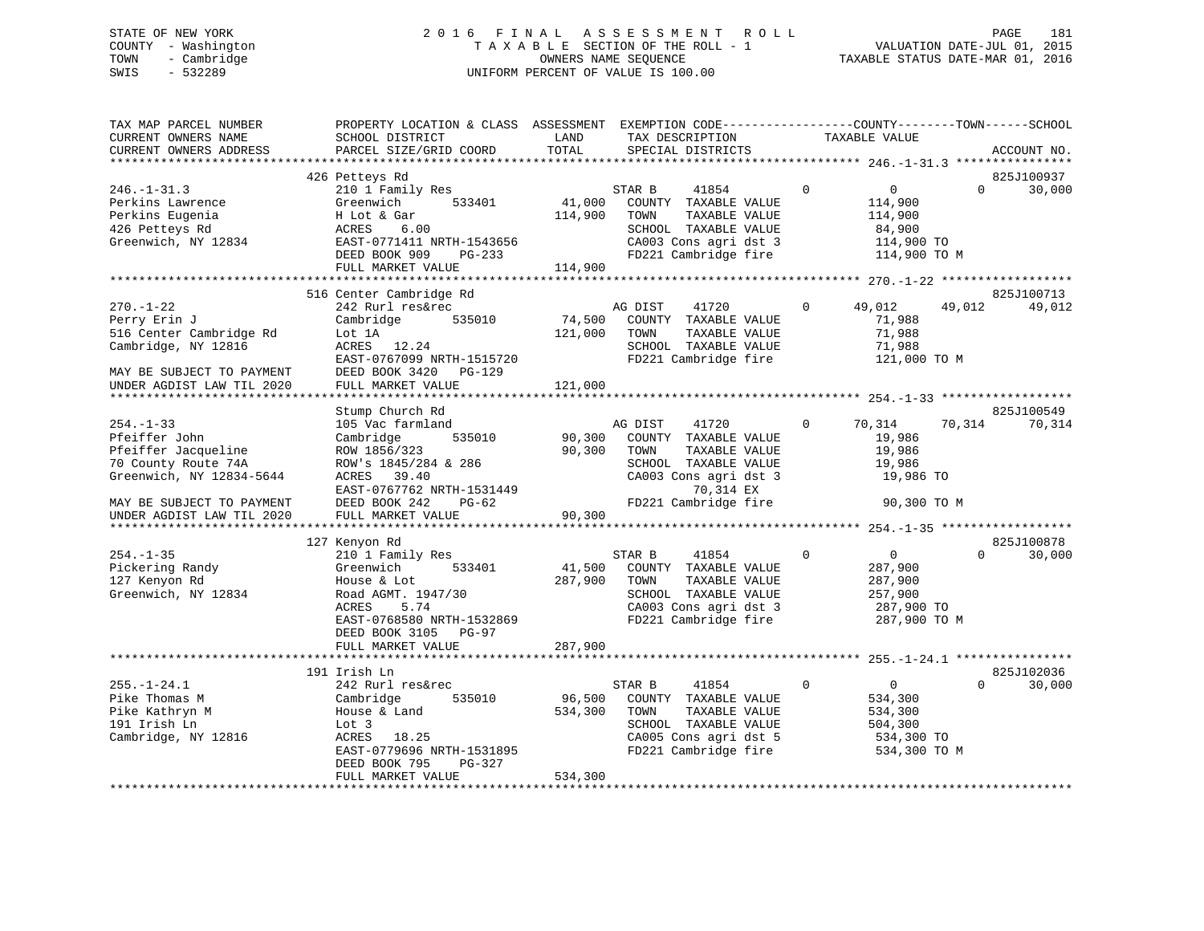## STATE OF NEW YORK 2 0 1 6 F I N A L A S S E S S M E N T R O L L PAGE 181 COUNTY - Washington T A X A B L E SECTION OF THE ROLL - 1 VALUATION DATE-JUL 01, 2015 TOWN - Cambridge OWNERS NAME SEQUENCE TAXABLE STATUS DATE-MAR 01, 2016 SWIS - 532289 UNIFORM PERCENT OF VALUE IS 100.00

| TAX MAP PARCEL NUMBER<br>CURRENT OWNERS NAME<br>CURRENT OWNERS ADDRESS                                                                                               | PROPERTY LOCATION & CLASS ASSESSMENT EXEMPTION CODE----------------COUNTY-------TOWN------SCHOOL<br>SCHOOL DISTRICT<br>PARCEL SIZE/GRID COORD                              | LAND<br>TOTAL                | TAX DESCRIPTION<br>SPECIAL DISTRICTS                                                                                                                    | TAXABLE VALUE                                                            |                                        | ACCOUNT NO.          |
|----------------------------------------------------------------------------------------------------------------------------------------------------------------------|----------------------------------------------------------------------------------------------------------------------------------------------------------------------------|------------------------------|---------------------------------------------------------------------------------------------------------------------------------------------------------|--------------------------------------------------------------------------|----------------------------------------|----------------------|
|                                                                                                                                                                      |                                                                                                                                                                            |                              |                                                                                                                                                         |                                                                          |                                        |                      |
| $246. - 1 - 31.3$<br>Perkins Lawrence<br>Perkins Eugenia<br>426 Petteys Rd<br>Greenwich, NY 12834                                                                    | 426 Petteys Rd<br>210 1 Family Res<br>Greenwich<br>533401<br>H Lot & Gar<br>ACRES<br>6.00<br>EAST-0771411 NRTH-1543656<br>DEED BOOK 909 PG-233<br>FULL MARKET VALUE        | 41,000<br>114,900<br>114,900 | STAR B<br>41854<br>COUNTY TAXABLE VALUE<br>TAXABLE VALUE<br>TOWN<br>SCHOOL TAXABLE VALUE<br>CA003 Cons agri dst 3<br>FD221 Cambridge fire               | $\Omega$<br>$\overline{0}$<br>114,900<br>114,900<br>84,900<br>114,900 TO | $\Omega$<br>114,900 TO M               | 825J100937<br>30,000 |
|                                                                                                                                                                      |                                                                                                                                                                            |                              |                                                                                                                                                         |                                                                          |                                        |                      |
| $270. - 1 - 22$<br>Perry Erin J<br>516 Center Cambridge Rd<br>Cambridge, NY 12816<br>MAY BE SUBJECT TO PAYMENT<br>UNDER AGDIST LAW TIL 2020                          | 516 Center Cambridge Rd<br>242 Rurl res&rec<br>535010<br>Cambridge<br>Lot 1A<br>ACRES 12.24<br>EAST-0767099 NRTH-1515720<br>DEED BOOK 3420 PG-129<br>FULL MARKET VALUE     | 74,500<br>121,000<br>121,000 | AG DIST<br>41720<br>COUNTY TAXABLE VALUE<br>TOWN<br>TAXABLE VALUE<br>SCHOOL TAXABLE VALUE<br>FD221 Cambridge fire                                       | $\Omega$<br>49,012<br>71,988<br>71,988<br>71,988                         | 49,012<br>121,000 TO M                 | 825J100713<br>49,012 |
|                                                                                                                                                                      | Stump Church Rd                                                                                                                                                            |                              |                                                                                                                                                         |                                                                          |                                        | 825J100549           |
| $254. - 1 - 33$<br>Pfeiffer John<br>Pfeiffer Jacqueline<br>70 County Route 74A<br>Greenwich, NY 12834-5644<br>MAY BE SUBJECT TO PAYMENT<br>UNDER AGDIST LAW TIL 2020 | 105 Vac farmland<br>535010<br>Cambridge<br>ROW 1856/323<br>ROW's 1845/284 & 286<br>ACRES 39.40<br>EAST-0767762 NRTH-1531449<br>DEED BOOK 242<br>PG-62<br>FULL MARKET VALUE | 90,300<br>90,300<br>90,300   | AG DIST<br>41720<br>COUNTY TAXABLE VALUE<br>TOWN<br>TAXABLE VALUE<br>SCHOOL TAXABLE VALUE<br>CA003 Cons agri dst 3<br>70,314 EX<br>FD221 Cambridge fire | $\Omega$<br>70,314<br>19,986<br>19,986<br>19,986                         | 70,314<br>19,986 TO<br>90,300 TO M     | 70,314               |
|                                                                                                                                                                      | 127 Kenyon Rd                                                                                                                                                              |                              |                                                                                                                                                         |                                                                          |                                        | 825J100878           |
| $254. - 1 - 35$<br>Pickering Randy<br>127 Kenyon Rd<br>Greenwich, NY 12834                                                                                           | 210 1 Family Res<br>533401<br>Greenwich<br>House & Lot<br>Road AGMT. 1947/30<br>5.74<br>ACRES<br>EAST-0768580 NRTH-1532869<br>DEED BOOK 3105 PG-97                         | 41,500<br>287,900            | STAR B<br>41854<br>COUNTY TAXABLE VALUE<br>TOWN<br>TAXABLE VALUE<br>SCHOOL TAXABLE VALUE<br>CA003 Cons agri dst 3<br>FD221 Cambridge fire               | $\mathbf 0$<br>$\overline{0}$<br>287,900<br>287,900<br>257,900           | $\Omega$<br>287,900 TO<br>287,900 TO M | 30,000               |
|                                                                                                                                                                      | FULL MARKET VALUE                                                                                                                                                          | 287,900                      |                                                                                                                                                         |                                                                          |                                        |                      |
|                                                                                                                                                                      | 191 Irish Ln                                                                                                                                                               |                              |                                                                                                                                                         |                                                                          |                                        | 825J102036           |
| $255. - 1 - 24.1$<br>Pike Thomas M<br>Pike Kathryn M<br>191 Irish Ln<br>Cambridge, NY 12816                                                                          | 242 Rurl res&rec<br>Cambridge<br>535010<br>House & Land<br>Lot 3<br>ACRES 18.25<br>EAST-0779696 NRTH-1531895<br>DEED BOOK 795<br>PG-327                                    | 96,500<br>534,300            | STAR B<br>41854<br>COUNTY TAXABLE VALUE<br>TAXABLE VALUE<br>TOWN<br>SCHOOL TAXABLE VALUE<br>CA005 Cons agri dst 5<br>FD221 Cambridge fire               | $\mathbf{0}$<br>$\overline{0}$<br>534,300<br>534,300<br>504,300          | $\Omega$<br>534,300 TO<br>534,300 TO M | 30,000               |
|                                                                                                                                                                      | FULL MARKET VALUE                                                                                                                                                          | 534,300                      |                                                                                                                                                         |                                                                          |                                        |                      |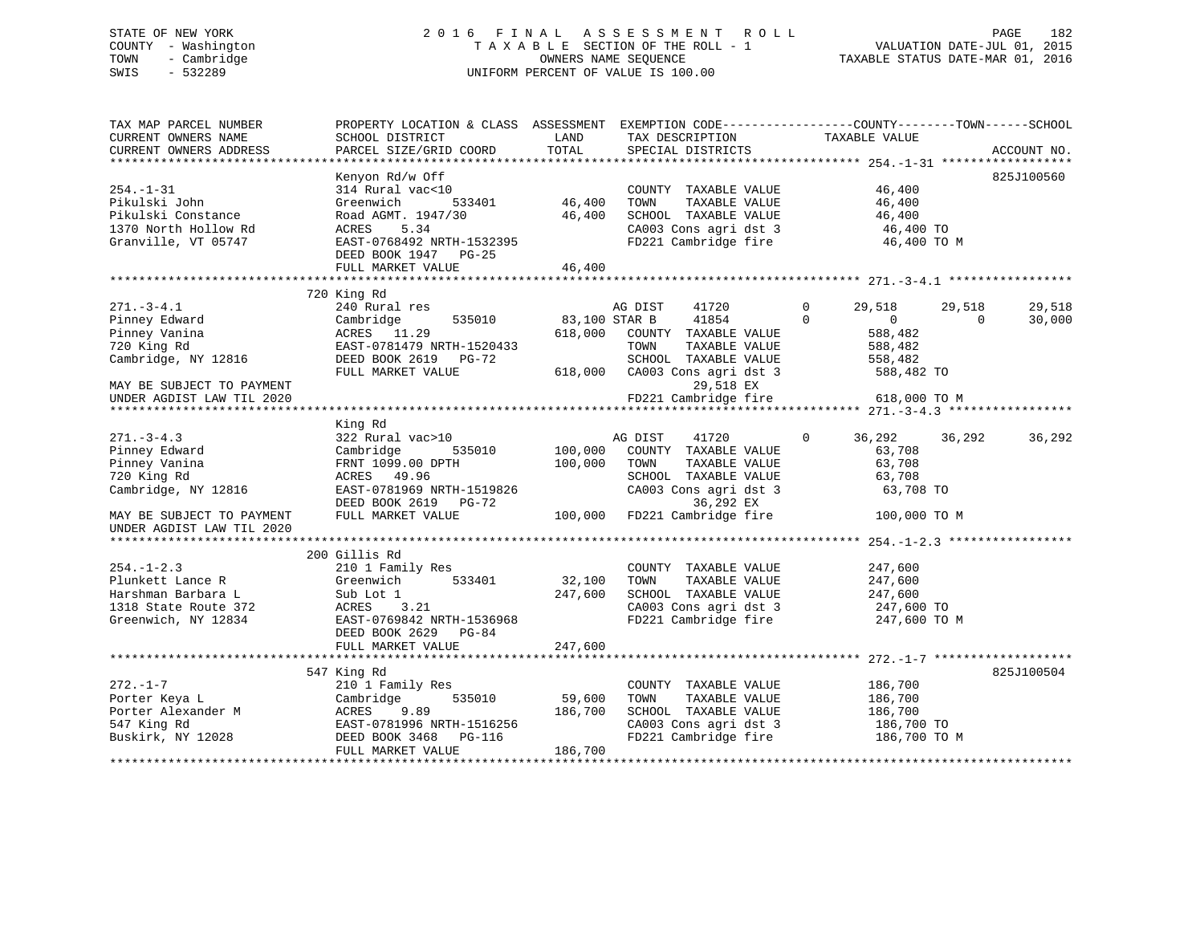## STATE OF NEW YORK 2 0 1 6 F I N A L A S S E S S M E N T R O L L PAGE 182 COUNTY - Washington T A X A B L E SECTION OF THE ROLL - 1 VALUATION DATE-JUL 01, 2015 TOWN - Cambridge OWNERS NAME SEQUENCE TAXABLE STATUS DATE-MAR 01, 2016 SWIS - 532289 UNIFORM PERCENT OF VALUE IS 100.00

| CURRENT OWNERS NAME<br>SCHOOL DISTRICT<br>LAND<br>TAX DESCRIPTION<br>TAXABLE VALUE<br>PARCEL SIZE/GRID COORD<br>TOTAL<br>CURRENT OWNERS ADDRESS<br>SPECIAL DISTRICTS<br>ACCOUNT NO.<br>Kenyon Rd/w Off<br>825J100560<br>46, 400<br>314 Rural vac<10<br>46,400<br>$254. - 1 - 31$<br>COUNTY TAXABLE VALUE<br>Pikulski John<br>Greenwich<br>TOWN<br>TAXABLE VALUE<br>46,400<br>533401<br>46,400<br>46,400 TO<br>Pikulski Constance<br>Road AGMT. 1947/30<br>46,400<br>SCHOOL TAXABLE VALUE<br>ACRES 5.34<br>CA003 Cons agri dst 3 46,400 TO<br>FD221 Cambridge fire 46,400 TO M<br>1370 North Hollow Rd<br>EAST-0768492 NRTH-1532395<br>Granville, VT 05747<br>DEED BOOK 1947 PG-25<br>FULL MARKET VALUE<br>46,400<br>720 King Rd<br>$271. - 3 - 4.1$<br>$\mathbf 0$<br>240 Rural res<br>AG DIST 41720<br>29,518<br>29,518<br>29,518<br>535010 83,100 STAR B 41854<br>Pinney Edward<br>$\Omega$<br>$\Omega$<br>$\Omega$<br>30,000<br>Cambridge<br>Pinney Vanina<br>ACRES 11.29<br>618,000<br>COUNTY TAXABLE VALUE<br>588,482<br>720 King Rd<br>EAST-0781479 NRTH-1520433<br>TOWN<br>TAXABLE VALUE<br>588,482<br>Cambridge, NY 12816<br>DEED BOOK 2619 PG-72<br>SCHOOL TAXABLE VALUE<br>558,482<br>618,000 CA003 Cons agri dst 3 588,482 TO<br>FULL MARKET VALUE<br>29,518 EX<br>MAY BE SUBJECT TO PAYMENT<br>FD221 Cambridge fire 618,000 TO M<br>UNDER AGDIST LAW TIL 2020<br>King Rd<br>322 Rural vac>10<br>$271. - 3 - 4.3$<br>AG DIST<br>41720<br>$\overline{0}$<br>36,292 36,292<br>36,292<br>Pinney Edward<br>535010 100,000 COUNTY TAXABLE VALUE<br>Cambridge<br>63,708<br>Pinney Vanina<br>100,000<br>TAXABLE VALUE<br>FRNT 1099.00 DPTH<br>TOWN<br>63,708<br>720 King Rd<br>SCHOOL TAXABLE VALUE<br>ACRES 49.96<br>63,708<br>Cambridge, NY 12816<br>EAST-0781969 NRTH-1519826<br>CA003 Cons agri dst 3<br>36,292 EX<br>63,708 TO<br>MAY BE SUBJECT TO PAYMENT<br>100,000 TO M<br>UNDER AGDIST LAW TIL 2020<br>200 Gillis Rd<br>$254. - 1 - 2.3$<br>210 1 Family Res<br>COUNTY TAXABLE VALUE<br>247,600<br>32,100<br>Plunkett Lance R<br>Greenwich<br>533401<br>TOWN<br>TAXABLE VALUE<br>247,600<br>Harshman Barbara L<br>Sub Lot 1<br>247,600<br>SCHOOL TAXABLE VALUE<br>247,600<br>CA003 Cons agri dst 3<br>1318 State Route 372<br>ACRES<br>3.21<br>247,600 TO<br>ACRES 3.21<br>EAST-0769842 NRTH-1536968<br>FD221 Cambridge fire<br>Greenwich, NY 12834<br>247,600 TO M<br>DEED BOOK 2629 PG-84<br>247,600<br>FULL MARKET VALUE<br>547 King Rd<br>825J100504<br>186,700<br>$272. - 1 - 7$<br>210 1 Family Res<br>COUNTY TAXABLE VALUE<br>59,600<br>Porter Keya L<br>Cambridge<br>535010<br>TAXABLE VALUE<br>186,700<br>TOWN<br>ACRES 9.89<br>EAST-0781996 NRTH-1516256<br>----- 1460 PG-116<br>Porter Alexander M<br>SCHOOL TAXABLE VALUE<br>186,700<br>CA003 Cons agri dst 3<br>547 King Rd<br>186,700 TO<br>FD221 Cambridge fire 186,700 TO M<br>Buskirk, NY 12028<br>186,700<br>FULL MARKET VALUE | TAX MAP PARCEL NUMBER | PROPERTY LOCATION & CLASS ASSESSMENT EXEMPTION CODE----------------COUNTY-------TOWN------SCHOOL |  |  |
|----------------------------------------------------------------------------------------------------------------------------------------------------------------------------------------------------------------------------------------------------------------------------------------------------------------------------------------------------------------------------------------------------------------------------------------------------------------------------------------------------------------------------------------------------------------------------------------------------------------------------------------------------------------------------------------------------------------------------------------------------------------------------------------------------------------------------------------------------------------------------------------------------------------------------------------------------------------------------------------------------------------------------------------------------------------------------------------------------------------------------------------------------------------------------------------------------------------------------------------------------------------------------------------------------------------------------------------------------------------------------------------------------------------------------------------------------------------------------------------------------------------------------------------------------------------------------------------------------------------------------------------------------------------------------------------------------------------------------------------------------------------------------------------------------------------------------------------------------------------------------------------------------------------------------------------------------------------------------------------------------------------------------------------------------------------------------------------------------------------------------------------------------------------------------------------------------------------------------------------------------------------------------------------------------------------------------------------------------------------------------------------------------------------------------------------------------------------------------------------------------------------------------------------------------------------------------------------------------------------------------------------------------------------------------------------------------------------------------------------------------------------------------------------------------------------------------------------------------------------------------------------------------------------|-----------------------|--------------------------------------------------------------------------------------------------|--|--|
|                                                                                                                                                                                                                                                                                                                                                                                                                                                                                                                                                                                                                                                                                                                                                                                                                                                                                                                                                                                                                                                                                                                                                                                                                                                                                                                                                                                                                                                                                                                                                                                                                                                                                                                                                                                                                                                                                                                                                                                                                                                                                                                                                                                                                                                                                                                                                                                                                                                                                                                                                                                                                                                                                                                                                                                                                                                                                                                |                       |                                                                                                  |  |  |
|                                                                                                                                                                                                                                                                                                                                                                                                                                                                                                                                                                                                                                                                                                                                                                                                                                                                                                                                                                                                                                                                                                                                                                                                                                                                                                                                                                                                                                                                                                                                                                                                                                                                                                                                                                                                                                                                                                                                                                                                                                                                                                                                                                                                                                                                                                                                                                                                                                                                                                                                                                                                                                                                                                                                                                                                                                                                                                                |                       |                                                                                                  |  |  |
|                                                                                                                                                                                                                                                                                                                                                                                                                                                                                                                                                                                                                                                                                                                                                                                                                                                                                                                                                                                                                                                                                                                                                                                                                                                                                                                                                                                                                                                                                                                                                                                                                                                                                                                                                                                                                                                                                                                                                                                                                                                                                                                                                                                                                                                                                                                                                                                                                                                                                                                                                                                                                                                                                                                                                                                                                                                                                                                |                       |                                                                                                  |  |  |
|                                                                                                                                                                                                                                                                                                                                                                                                                                                                                                                                                                                                                                                                                                                                                                                                                                                                                                                                                                                                                                                                                                                                                                                                                                                                                                                                                                                                                                                                                                                                                                                                                                                                                                                                                                                                                                                                                                                                                                                                                                                                                                                                                                                                                                                                                                                                                                                                                                                                                                                                                                                                                                                                                                                                                                                                                                                                                                                |                       |                                                                                                  |  |  |
|                                                                                                                                                                                                                                                                                                                                                                                                                                                                                                                                                                                                                                                                                                                                                                                                                                                                                                                                                                                                                                                                                                                                                                                                                                                                                                                                                                                                                                                                                                                                                                                                                                                                                                                                                                                                                                                                                                                                                                                                                                                                                                                                                                                                                                                                                                                                                                                                                                                                                                                                                                                                                                                                                                                                                                                                                                                                                                                |                       |                                                                                                  |  |  |
|                                                                                                                                                                                                                                                                                                                                                                                                                                                                                                                                                                                                                                                                                                                                                                                                                                                                                                                                                                                                                                                                                                                                                                                                                                                                                                                                                                                                                                                                                                                                                                                                                                                                                                                                                                                                                                                                                                                                                                                                                                                                                                                                                                                                                                                                                                                                                                                                                                                                                                                                                                                                                                                                                                                                                                                                                                                                                                                |                       |                                                                                                  |  |  |
|                                                                                                                                                                                                                                                                                                                                                                                                                                                                                                                                                                                                                                                                                                                                                                                                                                                                                                                                                                                                                                                                                                                                                                                                                                                                                                                                                                                                                                                                                                                                                                                                                                                                                                                                                                                                                                                                                                                                                                                                                                                                                                                                                                                                                                                                                                                                                                                                                                                                                                                                                                                                                                                                                                                                                                                                                                                                                                                |                       |                                                                                                  |  |  |
|                                                                                                                                                                                                                                                                                                                                                                                                                                                                                                                                                                                                                                                                                                                                                                                                                                                                                                                                                                                                                                                                                                                                                                                                                                                                                                                                                                                                                                                                                                                                                                                                                                                                                                                                                                                                                                                                                                                                                                                                                                                                                                                                                                                                                                                                                                                                                                                                                                                                                                                                                                                                                                                                                                                                                                                                                                                                                                                |                       |                                                                                                  |  |  |
|                                                                                                                                                                                                                                                                                                                                                                                                                                                                                                                                                                                                                                                                                                                                                                                                                                                                                                                                                                                                                                                                                                                                                                                                                                                                                                                                                                                                                                                                                                                                                                                                                                                                                                                                                                                                                                                                                                                                                                                                                                                                                                                                                                                                                                                                                                                                                                                                                                                                                                                                                                                                                                                                                                                                                                                                                                                                                                                |                       |                                                                                                  |  |  |
|                                                                                                                                                                                                                                                                                                                                                                                                                                                                                                                                                                                                                                                                                                                                                                                                                                                                                                                                                                                                                                                                                                                                                                                                                                                                                                                                                                                                                                                                                                                                                                                                                                                                                                                                                                                                                                                                                                                                                                                                                                                                                                                                                                                                                                                                                                                                                                                                                                                                                                                                                                                                                                                                                                                                                                                                                                                                                                                |                       |                                                                                                  |  |  |
|                                                                                                                                                                                                                                                                                                                                                                                                                                                                                                                                                                                                                                                                                                                                                                                                                                                                                                                                                                                                                                                                                                                                                                                                                                                                                                                                                                                                                                                                                                                                                                                                                                                                                                                                                                                                                                                                                                                                                                                                                                                                                                                                                                                                                                                                                                                                                                                                                                                                                                                                                                                                                                                                                                                                                                                                                                                                                                                |                       |                                                                                                  |  |  |
|                                                                                                                                                                                                                                                                                                                                                                                                                                                                                                                                                                                                                                                                                                                                                                                                                                                                                                                                                                                                                                                                                                                                                                                                                                                                                                                                                                                                                                                                                                                                                                                                                                                                                                                                                                                                                                                                                                                                                                                                                                                                                                                                                                                                                                                                                                                                                                                                                                                                                                                                                                                                                                                                                                                                                                                                                                                                                                                |                       |                                                                                                  |  |  |
|                                                                                                                                                                                                                                                                                                                                                                                                                                                                                                                                                                                                                                                                                                                                                                                                                                                                                                                                                                                                                                                                                                                                                                                                                                                                                                                                                                                                                                                                                                                                                                                                                                                                                                                                                                                                                                                                                                                                                                                                                                                                                                                                                                                                                                                                                                                                                                                                                                                                                                                                                                                                                                                                                                                                                                                                                                                                                                                |                       |                                                                                                  |  |  |
|                                                                                                                                                                                                                                                                                                                                                                                                                                                                                                                                                                                                                                                                                                                                                                                                                                                                                                                                                                                                                                                                                                                                                                                                                                                                                                                                                                                                                                                                                                                                                                                                                                                                                                                                                                                                                                                                                                                                                                                                                                                                                                                                                                                                                                                                                                                                                                                                                                                                                                                                                                                                                                                                                                                                                                                                                                                                                                                |                       |                                                                                                  |  |  |
|                                                                                                                                                                                                                                                                                                                                                                                                                                                                                                                                                                                                                                                                                                                                                                                                                                                                                                                                                                                                                                                                                                                                                                                                                                                                                                                                                                                                                                                                                                                                                                                                                                                                                                                                                                                                                                                                                                                                                                                                                                                                                                                                                                                                                                                                                                                                                                                                                                                                                                                                                                                                                                                                                                                                                                                                                                                                                                                |                       |                                                                                                  |  |  |
|                                                                                                                                                                                                                                                                                                                                                                                                                                                                                                                                                                                                                                                                                                                                                                                                                                                                                                                                                                                                                                                                                                                                                                                                                                                                                                                                                                                                                                                                                                                                                                                                                                                                                                                                                                                                                                                                                                                                                                                                                                                                                                                                                                                                                                                                                                                                                                                                                                                                                                                                                                                                                                                                                                                                                                                                                                                                                                                |                       |                                                                                                  |  |  |
|                                                                                                                                                                                                                                                                                                                                                                                                                                                                                                                                                                                                                                                                                                                                                                                                                                                                                                                                                                                                                                                                                                                                                                                                                                                                                                                                                                                                                                                                                                                                                                                                                                                                                                                                                                                                                                                                                                                                                                                                                                                                                                                                                                                                                                                                                                                                                                                                                                                                                                                                                                                                                                                                                                                                                                                                                                                                                                                |                       |                                                                                                  |  |  |
|                                                                                                                                                                                                                                                                                                                                                                                                                                                                                                                                                                                                                                                                                                                                                                                                                                                                                                                                                                                                                                                                                                                                                                                                                                                                                                                                                                                                                                                                                                                                                                                                                                                                                                                                                                                                                                                                                                                                                                                                                                                                                                                                                                                                                                                                                                                                                                                                                                                                                                                                                                                                                                                                                                                                                                                                                                                                                                                |                       |                                                                                                  |  |  |
|                                                                                                                                                                                                                                                                                                                                                                                                                                                                                                                                                                                                                                                                                                                                                                                                                                                                                                                                                                                                                                                                                                                                                                                                                                                                                                                                                                                                                                                                                                                                                                                                                                                                                                                                                                                                                                                                                                                                                                                                                                                                                                                                                                                                                                                                                                                                                                                                                                                                                                                                                                                                                                                                                                                                                                                                                                                                                                                |                       |                                                                                                  |  |  |
|                                                                                                                                                                                                                                                                                                                                                                                                                                                                                                                                                                                                                                                                                                                                                                                                                                                                                                                                                                                                                                                                                                                                                                                                                                                                                                                                                                                                                                                                                                                                                                                                                                                                                                                                                                                                                                                                                                                                                                                                                                                                                                                                                                                                                                                                                                                                                                                                                                                                                                                                                                                                                                                                                                                                                                                                                                                                                                                |                       |                                                                                                  |  |  |
|                                                                                                                                                                                                                                                                                                                                                                                                                                                                                                                                                                                                                                                                                                                                                                                                                                                                                                                                                                                                                                                                                                                                                                                                                                                                                                                                                                                                                                                                                                                                                                                                                                                                                                                                                                                                                                                                                                                                                                                                                                                                                                                                                                                                                                                                                                                                                                                                                                                                                                                                                                                                                                                                                                                                                                                                                                                                                                                |                       |                                                                                                  |  |  |
|                                                                                                                                                                                                                                                                                                                                                                                                                                                                                                                                                                                                                                                                                                                                                                                                                                                                                                                                                                                                                                                                                                                                                                                                                                                                                                                                                                                                                                                                                                                                                                                                                                                                                                                                                                                                                                                                                                                                                                                                                                                                                                                                                                                                                                                                                                                                                                                                                                                                                                                                                                                                                                                                                                                                                                                                                                                                                                                |                       |                                                                                                  |  |  |
|                                                                                                                                                                                                                                                                                                                                                                                                                                                                                                                                                                                                                                                                                                                                                                                                                                                                                                                                                                                                                                                                                                                                                                                                                                                                                                                                                                                                                                                                                                                                                                                                                                                                                                                                                                                                                                                                                                                                                                                                                                                                                                                                                                                                                                                                                                                                                                                                                                                                                                                                                                                                                                                                                                                                                                                                                                                                                                                |                       |                                                                                                  |  |  |
|                                                                                                                                                                                                                                                                                                                                                                                                                                                                                                                                                                                                                                                                                                                                                                                                                                                                                                                                                                                                                                                                                                                                                                                                                                                                                                                                                                                                                                                                                                                                                                                                                                                                                                                                                                                                                                                                                                                                                                                                                                                                                                                                                                                                                                                                                                                                                                                                                                                                                                                                                                                                                                                                                                                                                                                                                                                                                                                |                       |                                                                                                  |  |  |
|                                                                                                                                                                                                                                                                                                                                                                                                                                                                                                                                                                                                                                                                                                                                                                                                                                                                                                                                                                                                                                                                                                                                                                                                                                                                                                                                                                                                                                                                                                                                                                                                                                                                                                                                                                                                                                                                                                                                                                                                                                                                                                                                                                                                                                                                                                                                                                                                                                                                                                                                                                                                                                                                                                                                                                                                                                                                                                                |                       |                                                                                                  |  |  |
|                                                                                                                                                                                                                                                                                                                                                                                                                                                                                                                                                                                                                                                                                                                                                                                                                                                                                                                                                                                                                                                                                                                                                                                                                                                                                                                                                                                                                                                                                                                                                                                                                                                                                                                                                                                                                                                                                                                                                                                                                                                                                                                                                                                                                                                                                                                                                                                                                                                                                                                                                                                                                                                                                                                                                                                                                                                                                                                |                       |                                                                                                  |  |  |
|                                                                                                                                                                                                                                                                                                                                                                                                                                                                                                                                                                                                                                                                                                                                                                                                                                                                                                                                                                                                                                                                                                                                                                                                                                                                                                                                                                                                                                                                                                                                                                                                                                                                                                                                                                                                                                                                                                                                                                                                                                                                                                                                                                                                                                                                                                                                                                                                                                                                                                                                                                                                                                                                                                                                                                                                                                                                                                                |                       |                                                                                                  |  |  |
|                                                                                                                                                                                                                                                                                                                                                                                                                                                                                                                                                                                                                                                                                                                                                                                                                                                                                                                                                                                                                                                                                                                                                                                                                                                                                                                                                                                                                                                                                                                                                                                                                                                                                                                                                                                                                                                                                                                                                                                                                                                                                                                                                                                                                                                                                                                                                                                                                                                                                                                                                                                                                                                                                                                                                                                                                                                                                                                |                       |                                                                                                  |  |  |
|                                                                                                                                                                                                                                                                                                                                                                                                                                                                                                                                                                                                                                                                                                                                                                                                                                                                                                                                                                                                                                                                                                                                                                                                                                                                                                                                                                                                                                                                                                                                                                                                                                                                                                                                                                                                                                                                                                                                                                                                                                                                                                                                                                                                                                                                                                                                                                                                                                                                                                                                                                                                                                                                                                                                                                                                                                                                                                                |                       |                                                                                                  |  |  |
|                                                                                                                                                                                                                                                                                                                                                                                                                                                                                                                                                                                                                                                                                                                                                                                                                                                                                                                                                                                                                                                                                                                                                                                                                                                                                                                                                                                                                                                                                                                                                                                                                                                                                                                                                                                                                                                                                                                                                                                                                                                                                                                                                                                                                                                                                                                                                                                                                                                                                                                                                                                                                                                                                                                                                                                                                                                                                                                |                       |                                                                                                  |  |  |
|                                                                                                                                                                                                                                                                                                                                                                                                                                                                                                                                                                                                                                                                                                                                                                                                                                                                                                                                                                                                                                                                                                                                                                                                                                                                                                                                                                                                                                                                                                                                                                                                                                                                                                                                                                                                                                                                                                                                                                                                                                                                                                                                                                                                                                                                                                                                                                                                                                                                                                                                                                                                                                                                                                                                                                                                                                                                                                                |                       |                                                                                                  |  |  |
|                                                                                                                                                                                                                                                                                                                                                                                                                                                                                                                                                                                                                                                                                                                                                                                                                                                                                                                                                                                                                                                                                                                                                                                                                                                                                                                                                                                                                                                                                                                                                                                                                                                                                                                                                                                                                                                                                                                                                                                                                                                                                                                                                                                                                                                                                                                                                                                                                                                                                                                                                                                                                                                                                                                                                                                                                                                                                                                |                       |                                                                                                  |  |  |
|                                                                                                                                                                                                                                                                                                                                                                                                                                                                                                                                                                                                                                                                                                                                                                                                                                                                                                                                                                                                                                                                                                                                                                                                                                                                                                                                                                                                                                                                                                                                                                                                                                                                                                                                                                                                                                                                                                                                                                                                                                                                                                                                                                                                                                                                                                                                                                                                                                                                                                                                                                                                                                                                                                                                                                                                                                                                                                                |                       |                                                                                                  |  |  |
|                                                                                                                                                                                                                                                                                                                                                                                                                                                                                                                                                                                                                                                                                                                                                                                                                                                                                                                                                                                                                                                                                                                                                                                                                                                                                                                                                                                                                                                                                                                                                                                                                                                                                                                                                                                                                                                                                                                                                                                                                                                                                                                                                                                                                                                                                                                                                                                                                                                                                                                                                                                                                                                                                                                                                                                                                                                                                                                |                       |                                                                                                  |  |  |
|                                                                                                                                                                                                                                                                                                                                                                                                                                                                                                                                                                                                                                                                                                                                                                                                                                                                                                                                                                                                                                                                                                                                                                                                                                                                                                                                                                                                                                                                                                                                                                                                                                                                                                                                                                                                                                                                                                                                                                                                                                                                                                                                                                                                                                                                                                                                                                                                                                                                                                                                                                                                                                                                                                                                                                                                                                                                                                                |                       |                                                                                                  |  |  |
|                                                                                                                                                                                                                                                                                                                                                                                                                                                                                                                                                                                                                                                                                                                                                                                                                                                                                                                                                                                                                                                                                                                                                                                                                                                                                                                                                                                                                                                                                                                                                                                                                                                                                                                                                                                                                                                                                                                                                                                                                                                                                                                                                                                                                                                                                                                                                                                                                                                                                                                                                                                                                                                                                                                                                                                                                                                                                                                |                       |                                                                                                  |  |  |
|                                                                                                                                                                                                                                                                                                                                                                                                                                                                                                                                                                                                                                                                                                                                                                                                                                                                                                                                                                                                                                                                                                                                                                                                                                                                                                                                                                                                                                                                                                                                                                                                                                                                                                                                                                                                                                                                                                                                                                                                                                                                                                                                                                                                                                                                                                                                                                                                                                                                                                                                                                                                                                                                                                                                                                                                                                                                                                                |                       |                                                                                                  |  |  |
|                                                                                                                                                                                                                                                                                                                                                                                                                                                                                                                                                                                                                                                                                                                                                                                                                                                                                                                                                                                                                                                                                                                                                                                                                                                                                                                                                                                                                                                                                                                                                                                                                                                                                                                                                                                                                                                                                                                                                                                                                                                                                                                                                                                                                                                                                                                                                                                                                                                                                                                                                                                                                                                                                                                                                                                                                                                                                                                |                       |                                                                                                  |  |  |
|                                                                                                                                                                                                                                                                                                                                                                                                                                                                                                                                                                                                                                                                                                                                                                                                                                                                                                                                                                                                                                                                                                                                                                                                                                                                                                                                                                                                                                                                                                                                                                                                                                                                                                                                                                                                                                                                                                                                                                                                                                                                                                                                                                                                                                                                                                                                                                                                                                                                                                                                                                                                                                                                                                                                                                                                                                                                                                                |                       |                                                                                                  |  |  |
|                                                                                                                                                                                                                                                                                                                                                                                                                                                                                                                                                                                                                                                                                                                                                                                                                                                                                                                                                                                                                                                                                                                                                                                                                                                                                                                                                                                                                                                                                                                                                                                                                                                                                                                                                                                                                                                                                                                                                                                                                                                                                                                                                                                                                                                                                                                                                                                                                                                                                                                                                                                                                                                                                                                                                                                                                                                                                                                |                       |                                                                                                  |  |  |
|                                                                                                                                                                                                                                                                                                                                                                                                                                                                                                                                                                                                                                                                                                                                                                                                                                                                                                                                                                                                                                                                                                                                                                                                                                                                                                                                                                                                                                                                                                                                                                                                                                                                                                                                                                                                                                                                                                                                                                                                                                                                                                                                                                                                                                                                                                                                                                                                                                                                                                                                                                                                                                                                                                                                                                                                                                                                                                                |                       |                                                                                                  |  |  |
|                                                                                                                                                                                                                                                                                                                                                                                                                                                                                                                                                                                                                                                                                                                                                                                                                                                                                                                                                                                                                                                                                                                                                                                                                                                                                                                                                                                                                                                                                                                                                                                                                                                                                                                                                                                                                                                                                                                                                                                                                                                                                                                                                                                                                                                                                                                                                                                                                                                                                                                                                                                                                                                                                                                                                                                                                                                                                                                |                       |                                                                                                  |  |  |
|                                                                                                                                                                                                                                                                                                                                                                                                                                                                                                                                                                                                                                                                                                                                                                                                                                                                                                                                                                                                                                                                                                                                                                                                                                                                                                                                                                                                                                                                                                                                                                                                                                                                                                                                                                                                                                                                                                                                                                                                                                                                                                                                                                                                                                                                                                                                                                                                                                                                                                                                                                                                                                                                                                                                                                                                                                                                                                                |                       |                                                                                                  |  |  |
|                                                                                                                                                                                                                                                                                                                                                                                                                                                                                                                                                                                                                                                                                                                                                                                                                                                                                                                                                                                                                                                                                                                                                                                                                                                                                                                                                                                                                                                                                                                                                                                                                                                                                                                                                                                                                                                                                                                                                                                                                                                                                                                                                                                                                                                                                                                                                                                                                                                                                                                                                                                                                                                                                                                                                                                                                                                                                                                |                       |                                                                                                  |  |  |
|                                                                                                                                                                                                                                                                                                                                                                                                                                                                                                                                                                                                                                                                                                                                                                                                                                                                                                                                                                                                                                                                                                                                                                                                                                                                                                                                                                                                                                                                                                                                                                                                                                                                                                                                                                                                                                                                                                                                                                                                                                                                                                                                                                                                                                                                                                                                                                                                                                                                                                                                                                                                                                                                                                                                                                                                                                                                                                                |                       |                                                                                                  |  |  |
|                                                                                                                                                                                                                                                                                                                                                                                                                                                                                                                                                                                                                                                                                                                                                                                                                                                                                                                                                                                                                                                                                                                                                                                                                                                                                                                                                                                                                                                                                                                                                                                                                                                                                                                                                                                                                                                                                                                                                                                                                                                                                                                                                                                                                                                                                                                                                                                                                                                                                                                                                                                                                                                                                                                                                                                                                                                                                                                |                       |                                                                                                  |  |  |
|                                                                                                                                                                                                                                                                                                                                                                                                                                                                                                                                                                                                                                                                                                                                                                                                                                                                                                                                                                                                                                                                                                                                                                                                                                                                                                                                                                                                                                                                                                                                                                                                                                                                                                                                                                                                                                                                                                                                                                                                                                                                                                                                                                                                                                                                                                                                                                                                                                                                                                                                                                                                                                                                                                                                                                                                                                                                                                                |                       |                                                                                                  |  |  |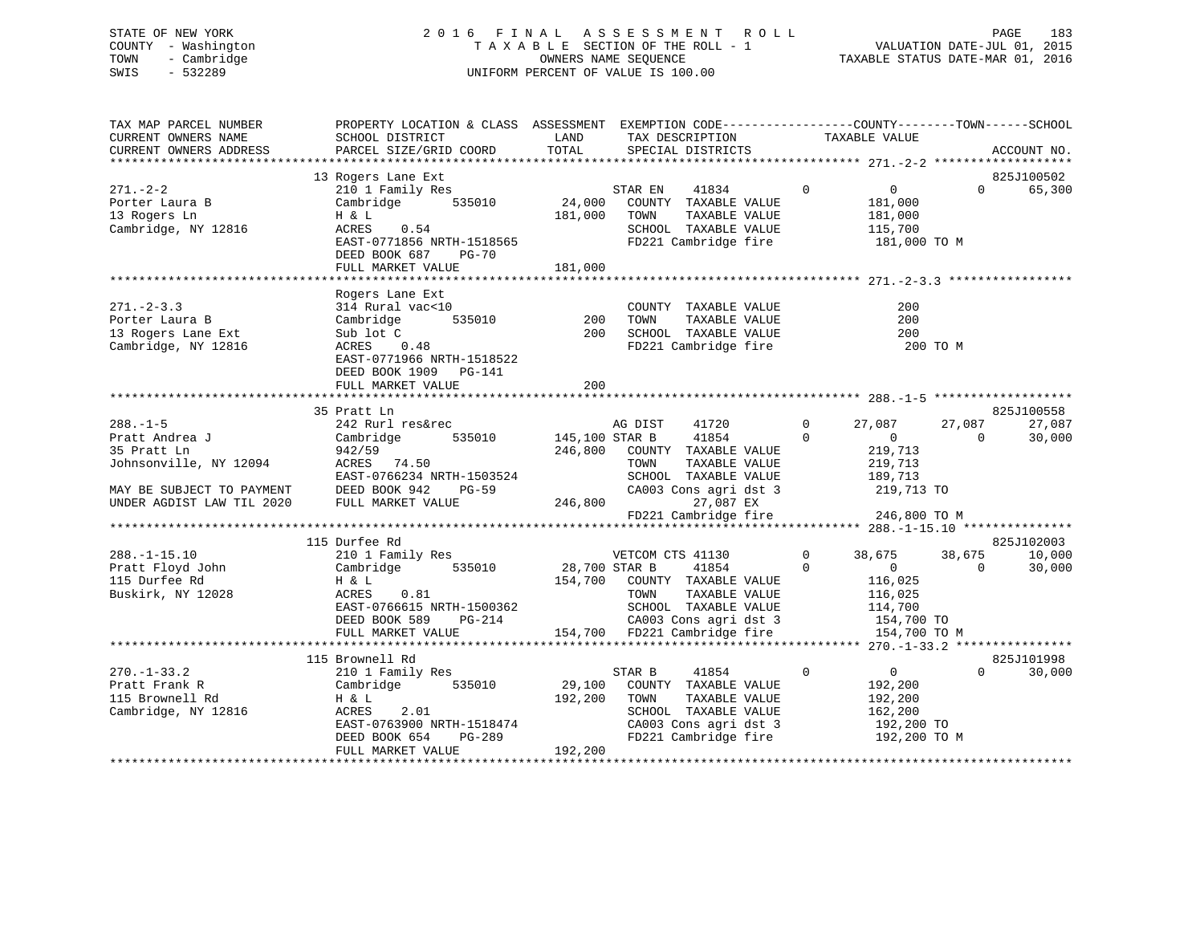## STATE OF NEW YORK 2 0 1 6 F I N A L A S S E S S M E N T R O L L PAGE 183 COUNTY - Washington T A X A B L E SECTION OF THE ROLL - 1 VALUATION DATE-JUL 01, 2015 TOWN - Cambridge OWNERS NAME SEQUENCE TAXABLE STATUS DATE-MAR 01, 2016 SWIS - 532289 UNIFORM PERCENT OF VALUE IS 100.00

| TAX MAP PARCEL NUMBER<br>CURRENT OWNERS NAME                                                                                                                                    | PROPERTY LOCATION & CLASS ASSESSMENT EXEMPTION CODE-----------------COUNTY-------TOWN------SCHOOL<br>SCHOOL DISTRICT                                         | LAND                      | TAX DESCRIPTION                                                                                                                                                                      | TAXABLE VALUE                                                                                                                           |                    |                                |
|---------------------------------------------------------------------------------------------------------------------------------------------------------------------------------|--------------------------------------------------------------------------------------------------------------------------------------------------------------|---------------------------|--------------------------------------------------------------------------------------------------------------------------------------------------------------------------------------|-----------------------------------------------------------------------------------------------------------------------------------------|--------------------|--------------------------------|
| CURRENT OWNERS ADDRESS                                                                                                                                                          | PARCEL SIZE/GRID COORD                                                                                                                                       | TOTAL                     | SPECIAL DISTRICTS                                                                                                                                                                    |                                                                                                                                         |                    | ACCOUNT NO.                    |
|                                                                                                                                                                                 | 13 Rogers Lane Ext                                                                                                                                           |                           |                                                                                                                                                                                      |                                                                                                                                         |                    | 825J100502                     |
| $271. - 2 - 2$<br>Porter Laura B<br>13 Rogers Ln<br>Cambridge, NY 12816                                                                                                         | 210 1 Family Res<br>Cambridge 535010<br>H & L<br>ACRES 0.54<br>EAST-0771856 NRTH-1518565<br>DEED BOOK 687 PG-70<br>FULL MARKET VALUE                         | 181,000                   | STAR EN<br>41834<br>24,000 COUNTY TAXABLE VALUE<br>181,000 TOWN<br>TAXABLE VALUE<br>SCHOOL TAXABLE VALUE<br>FD221 Cambridge fire                                                     | $\overline{0}$<br>$\overline{0}$<br>181,000<br>181,000<br>115,700<br>181,000 TO M                                                       | $\Omega$           | 65,300                         |
|                                                                                                                                                                                 |                                                                                                                                                              |                           |                                                                                                                                                                                      |                                                                                                                                         |                    |                                |
| $271 - 2 - 3.3$<br>Porter Laura B<br>13 Rogers Lane Ext<br>Cambridge, NY 12816                                                                                                  | Rogers Lane Ext<br>314 Rural vac<10<br>Cambridge<br>Sub lot C<br>ACRES 0.48<br>EAST-0771966 NRTH-1518522<br>DEED BOOK 1909 PG-141<br>FULL MARKET VALUE       | 535010 200<br>200<br>200  | COUNTY TAXABLE VALUE<br>TAXABLE VALUE<br>TOWN<br>SCHOOL TAXABLE VALUE<br>FD221 Cambridge fire                                                                                        | 200<br>200<br>200<br>200 TO M                                                                                                           |                    |                                |
|                                                                                                                                                                                 |                                                                                                                                                              |                           |                                                                                                                                                                                      |                                                                                                                                         |                    |                                |
| $288. - 1 - 5$<br>Pratt Andrea J<br>35 Pratt Ln<br>35 Pratt Ln<br>Johnsonville, NY 12094<br>MAY BE SUBJECT TO PAYMENT<br>UNDER AGDIST LAW TIL 2020<br>UNDER AGDIST LAW TIL 2020 | 35 Pratt Ln<br>242 Rurl res&rec<br>535010<br>Cambridge<br>942/59<br>ACRES 74.50<br>EAST-0766234 NRTH-1503524<br>DEED BOOK 942<br>PG-59<br>FULL MARKET VALUE  | 145,100 STAR B<br>246,800 | AG DIST<br>41720<br>41854<br>246,800 COUNTY TAXABLE VALUE<br>TAXABLE VALUE<br>TOWN<br>10WN 10WH LANDLE VALUE<br>CA003 Cons agri dst 3<br>27,087 EX<br>FD221 Cambridge fire           | $\overline{0}$<br>27,087<br>$\Omega$<br>$\overline{0}$<br>219,713<br>219,713<br>189,713<br>219,713 TO<br>246,800 TO M                   | 27,087<br>$\Omega$ | 825J100558<br>27,087<br>30,000 |
|                                                                                                                                                                                 |                                                                                                                                                              |                           |                                                                                                                                                                                      |                                                                                                                                         |                    |                                |
| $288. - 1 - 15.10$<br>Pratt Floyd John<br>115 Durfee Rd<br>Buskirk, NY 12028                                                                                                    | 115 Durfee Rd<br>210 1 Family Res<br>Cambridge 535010<br>H & L<br>ACRES<br>0.81<br>EAST-0766615 NRTH-1500362<br>DEED BOOK 589<br>PG-214<br>FULL MARKET VALUE |                           | VETCOM CTS 41130<br>28,700 STAR B<br>41854<br>154,700 COUNTY TAXABLE VALUE<br>TOWN<br>TAXABLE VALUE<br>SCHOOL TAXABLE VALUE<br>CA003 Cons agri dst 3<br>154,700 FD221 Cambridge fire | $\overline{0}$<br>38,675<br>$\Omega$<br>$\overline{0}$<br>116,025<br>116,025<br>114,700<br>$154,700$ TO<br>$154,700$ TO<br>154,700 TO M | 38,675<br>$\Omega$ | 825J102003<br>10,000<br>30,000 |
|                                                                                                                                                                                 |                                                                                                                                                              |                           |                                                                                                                                                                                      |                                                                                                                                         |                    |                                |
|                                                                                                                                                                                 | 115 Brownell Rd                                                                                                                                              |                           |                                                                                                                                                                                      |                                                                                                                                         |                    | 825J101998                     |
| $270. - 1 - 33.2$<br>Pratt Frank R<br>115 Brownell Rd<br>Cambridge, NY 12816                                                                                                    | 210 1 Family Res<br>Cambridge 535010<br>H & L<br>2.01<br>ACRES<br>EAST-0763900 NRTH-1518474<br>DEED BOOK 654 PG-289<br>FULL MARKET VALUE                     | 192,200<br>192,200        | STAR B<br>41854<br>29,100 COUNTY TAXABLE VALUE<br>TAXABLE VALUE<br>TOWN<br>SCHOOL TAXABLE VALUE<br>CA003 Cons agri dst 3<br>FD221 Cambridge fire                                     | $\mathsf{O}$<br>$\overline{\mathbf{0}}$<br>192,200<br>192,200<br>162,200<br>192,200 TO<br>192,200 TO M                                  | $\Omega$           | 30,000                         |
|                                                                                                                                                                                 |                                                                                                                                                              |                           |                                                                                                                                                                                      |                                                                                                                                         |                    |                                |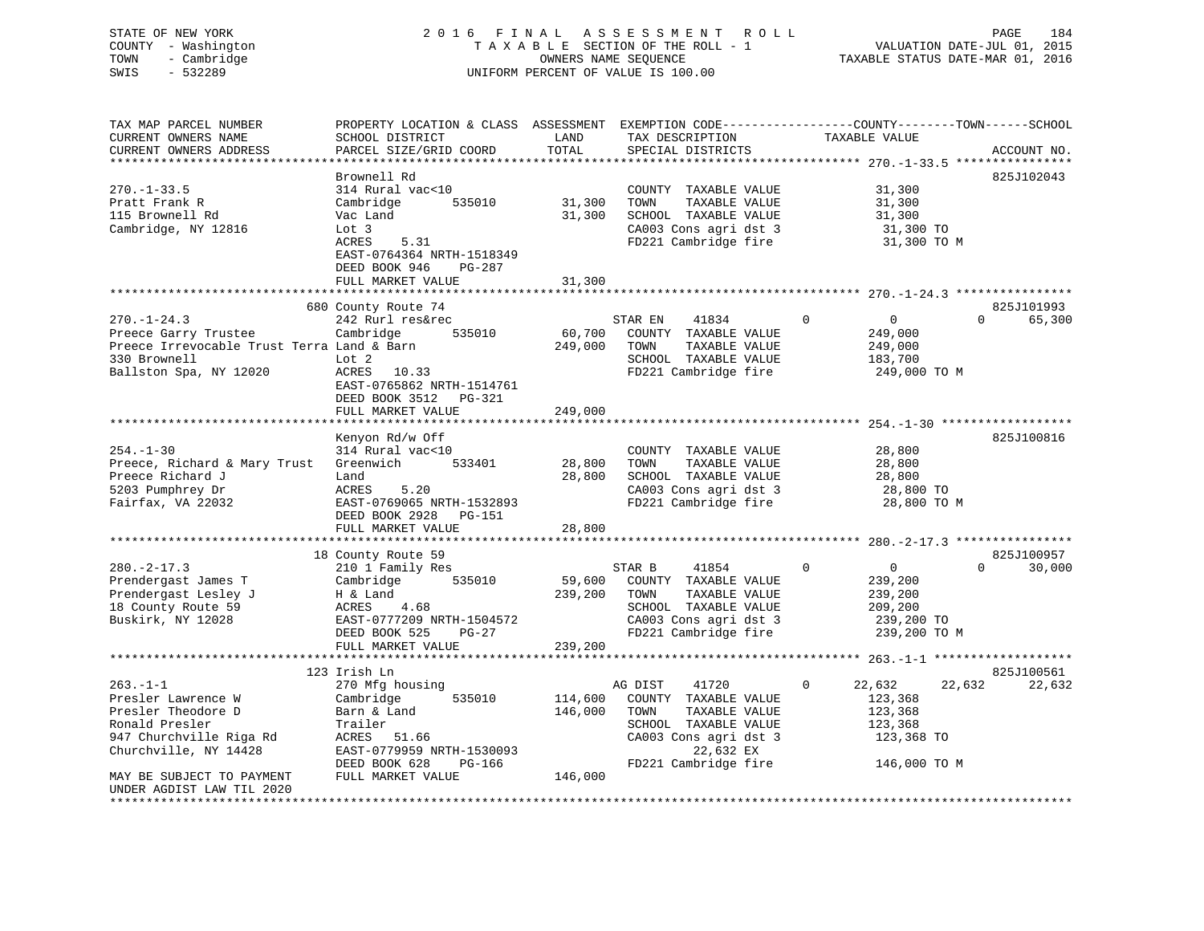## STATE OF NEW YORK 2 0 1 6 F I N A L A S S E S S M E N T R O L L PAGE 184 COUNTY - Washington T A X A B L E SECTION OF THE ROLL - 1 VALUATION DATE-JUL 01, 2015 TOWN - Cambridge OWNERS NAME SEQUENCE TAXABLE STATUS DATE-MAR 01, 2016 SWIS - 532289 UNIFORM PERCENT OF VALUE IS 100.00

| TAX MAP PARCEL NUMBER                      | PROPERTY LOCATION & CLASS ASSESSMENT EXEMPTION CODE----------------COUNTY-------TOWN------SCHOOL |         |                             |                               |                    |
|--------------------------------------------|--------------------------------------------------------------------------------------------------|---------|-----------------------------|-------------------------------|--------------------|
| CURRENT OWNERS NAME                        | SCHOOL DISTRICT                                                                                  | LAND    | TAX DESCRIPTION             | TAXABLE VALUE                 |                    |
| CURRENT OWNERS ADDRESS                     | PARCEL SIZE/GRID COORD                                                                           | TOTAL   | SPECIAL DISTRICTS           |                               | ACCOUNT NO.        |
|                                            |                                                                                                  |         |                             |                               |                    |
|                                            | Brownell Rd                                                                                      |         |                             |                               | 825J102043         |
| $270. - 1 - 33.5$                          | 314 Rural vac<10                                                                                 |         | COUNTY TAXABLE VALUE        | 31,300                        |                    |
| Pratt Frank R                              | Cambridge<br>535010                                                                              | 31,300  | TAXABLE VALUE<br>TOWN       | 31,300                        |                    |
| 115 Brownell Rd                            | Vac Land                                                                                         | 31,300  | SCHOOL TAXABLE VALUE        | 31,300                        |                    |
| Cambridge, NY 12816                        | Lot 3                                                                                            |         | CA003 Cons agri dst 3       | 31,300 TO                     |                    |
|                                            | ACRES<br>5.31                                                                                    |         | FD221 Cambridge fire        | 31,300 TO M                   |                    |
|                                            | EAST-0764364 NRTH-1518349                                                                        |         |                             |                               |                    |
|                                            | DEED BOOK 946<br>PG-287                                                                          |         |                             |                               |                    |
|                                            |                                                                                                  |         |                             |                               |                    |
|                                            | FULL MARKET VALUE                                                                                | 31,300  |                             |                               |                    |
|                                            |                                                                                                  |         |                             |                               |                    |
|                                            | 680 County Route 74                                                                              |         |                             |                               | 825J101993         |
| $270. - 1 - 24.3$                          | 242 Rurl res&rec                                                                                 |         | STAR EN<br>41834            | $\Omega$<br>$\overline{0}$    | 65,300<br>$\Omega$ |
| Preece Garry Trustee                       | 535010<br>Cambridge                                                                              | 60,700  | COUNTY TAXABLE VALUE        | 249,000                       |                    |
| Preece Irrevocable Trust Terra Land & Barn |                                                                                                  | 249,000 | TOWN<br>TAXABLE VALUE       | 249,000                       |                    |
| 330 Brownell                               | Lot 2                                                                                            |         | SCHOOL TAXABLE VALUE        | 183,700                       |                    |
| Ballston Spa, NY 12020                     | ACRES 10.33                                                                                      |         | FD221 Cambridge fire        | 249,000 TO M                  |                    |
|                                            | EAST-0765862 NRTH-1514761                                                                        |         |                             |                               |                    |
|                                            | DEED BOOK 3512<br>PG-321                                                                         |         |                             |                               |                    |
|                                            | FULL MARKET VALUE                                                                                | 249,000 |                             |                               |                    |
|                                            |                                                                                                  |         |                             |                               |                    |
|                                            | Kenyon Rd/w Off                                                                                  |         |                             |                               | 825J100816         |
| $254. - 1 - 30$                            | 314 Rural vac<10                                                                                 |         | COUNTY TAXABLE VALUE        | 28,800                        |                    |
| Preece, Richard & Mary Trust               | Greenwich<br>533401                                                                              | 28,800  | TOWN<br>TAXABLE VALUE       | 28,800                        |                    |
| Preece Richard J                           | Land                                                                                             | 28,800  | SCHOOL TAXABLE VALUE        | 28,800                        |                    |
| 5203 Pumphrey Dr                           | ACRES<br>5.20                                                                                    |         | CA003 Cons agri dst 3       | 28,800 TO                     |                    |
| Fairfax, VA 22032                          | EAST-0769065 NRTH-1532893                                                                        |         | FD221 Cambridge fire        | 28,800 TO M                   |                    |
|                                            |                                                                                                  |         |                             |                               |                    |
|                                            | DEED BOOK 2928 PG-151                                                                            |         |                             |                               |                    |
|                                            | FULL MARKET VALUE                                                                                | 28,800  |                             |                               |                    |
|                                            |                                                                                                  |         |                             |                               |                    |
|                                            | 18 County Route 59                                                                               |         |                             |                               | 825J100957         |
| $280. - 2 - 17.3$                          | 210 1 Family Res                                                                                 |         | STAR B<br>41854             | $\mathbf 0$<br>$\overline{0}$ | $\Omega$<br>30,000 |
| Prendergast James T                        | Cambridge 535010                                                                                 |         | 59,600 COUNTY TAXABLE VALUE | 239,200                       |                    |
| Prendergast Lesley J                       | H & Land                                                                                         | 239,200 | TOWN<br>TAXABLE VALUE       | 239,200                       |                    |
| 18 County Route 59                         | ACRES<br>4.68                                                                                    |         | SCHOOL TAXABLE VALUE        | 209,200                       |                    |
| Buskirk, NY 12028                          | EAST-0777209 NRTH-1504572                                                                        |         | CA003 Cons agri dst 3       | 239,200 TO                    |                    |
|                                            | DEED BOOK 525<br>$PG-27$                                                                         |         | FD221 Cambridge fire        | 239,200 TO M                  |                    |
|                                            | FULL MARKET VALUE                                                                                | 239,200 |                             |                               |                    |
|                                            |                                                                                                  |         |                             |                               |                    |
|                                            | 123 Irish Ln                                                                                     |         |                             |                               | 825J100561         |
| $263. -1 - 1$                              | 270 Mfg housing                                                                                  |         | AG DIST<br>41720            | 22,632<br>0                   | 22,632<br>22,632   |
| Presler Lawrence W                         | 535010<br>Cambridge                                                                              | 114,600 | COUNTY TAXABLE VALUE        | 123,368                       |                    |
| Presler Theodore D                         | Barn & Land                                                                                      | 146,000 | TOWN<br>TAXABLE VALUE       | 123,368                       |                    |
| Ronald Presler                             | Trailer                                                                                          |         | SCHOOL TAXABLE VALUE        | 123,368                       |                    |
| 947 Churchville Riga Rd                    | ACRES 51.66                                                                                      |         | CA003 Cons agri dst 3       | 123,368 TO                    |                    |
|                                            | EAST-0779959 NRTH-1530093                                                                        |         | 22,632 EX                   |                               |                    |
| Churchville, NY 14428                      |                                                                                                  |         |                             |                               |                    |
|                                            | DEED BOOK 628<br>PG-166                                                                          |         | FD221 Cambridge fire        | 146,000 TO M                  |                    |
| MAY BE SUBJECT TO PAYMENT                  | FULL MARKET VALUE                                                                                | 146,000 |                             |                               |                    |
| UNDER AGDIST LAW TIL 2020                  |                                                                                                  |         |                             |                               |                    |
|                                            |                                                                                                  |         |                             |                               |                    |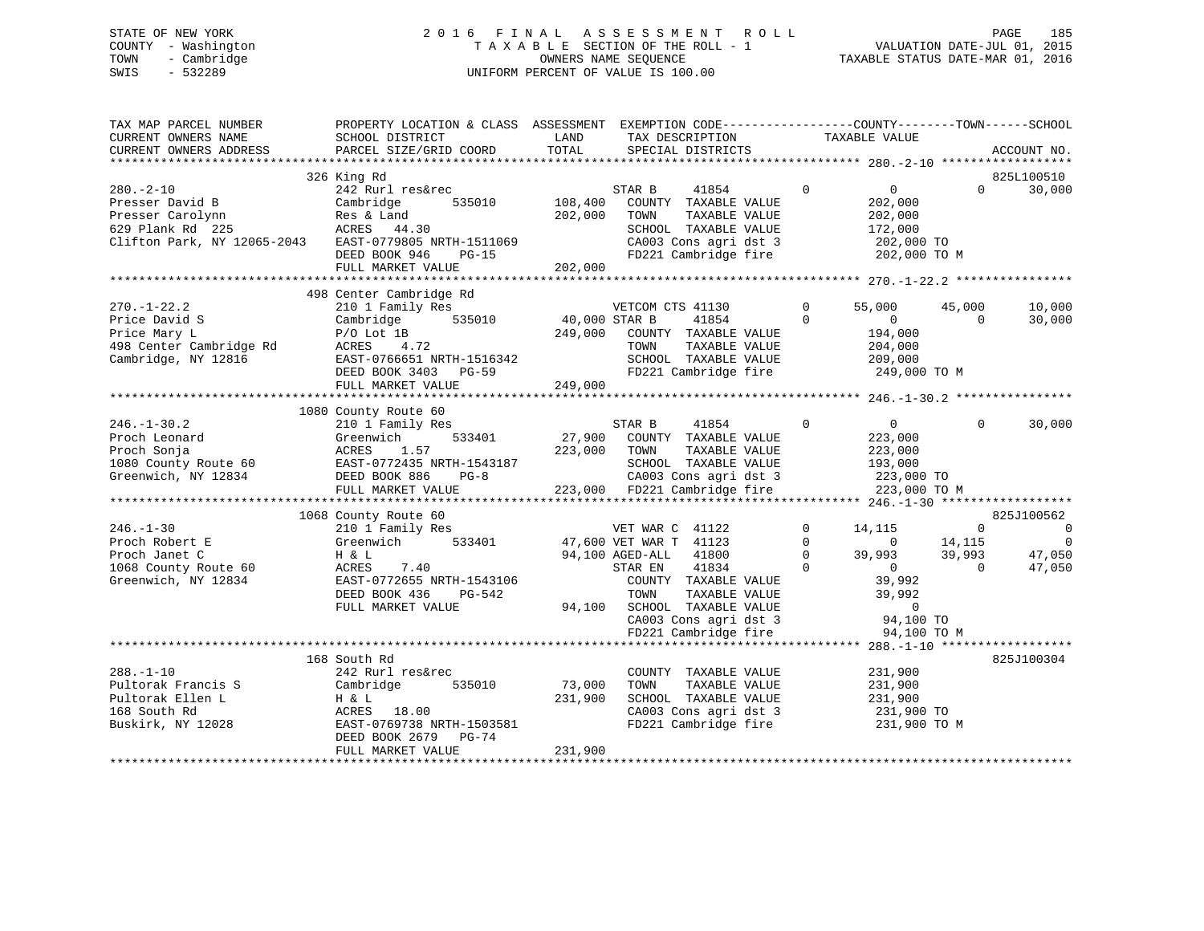## STATE OF NEW YORK 2 0 1 6 F I N A L A S S E S S M E N T R O L L PAGE 185 COUNTY - Washington T A X A B L E SECTION OF THE ROLL - 1 VALUATION DATE-JUL 01, 2015 TOWN - Cambridge OWNERS NAME SEQUENCE TAXABLE STATUS DATE-MAR 01, 2016 SWIS - 532289 UNIFORM PERCENT OF VALUE IS 100.00

| TAX MAP PARCEL NUMBER<br>CURRENT OWNERS NAME<br>CURRENT OWNERS ADDRESS                                   | PROPERTY LOCATION & CLASS ASSESSMENT<br>SCHOOL DISTRICT<br>PARCEL SIZE/GRID COORD                                                                                 | LAND<br>TOTAL                       | EXEMPTION CODE-----------------COUNTY-------TOWN------SCHOOL<br>TAX DESCRIPTION<br>SPECIAL DISTRICTS                                                                                                             |                                              | TAXABLE VALUE                                                                                                          |                                          | ACCOUNT NO.                                       |
|----------------------------------------------------------------------------------------------------------|-------------------------------------------------------------------------------------------------------------------------------------------------------------------|-------------------------------------|------------------------------------------------------------------------------------------------------------------------------------------------------------------------------------------------------------------|----------------------------------------------|------------------------------------------------------------------------------------------------------------------------|------------------------------------------|---------------------------------------------------|
|                                                                                                          |                                                                                                                                                                   |                                     |                                                                                                                                                                                                                  |                                              |                                                                                                                        |                                          |                                                   |
| $280 - 2 - 10$<br>Presser David B<br>Presser Carolynn<br>629 Plank Rd 225<br>Clifton Park, NY 12065-2043 | 326 King Rd<br>242 Rurl res&rec<br>Cambridge<br>535010<br>Res & Land<br>ACRES 44.30<br>EAST-0779805 NRTH-1511069<br>DEED BOOK 946<br>$PG-15$<br>FULL MARKET VALUE | 108,400<br>202,000<br>202,000       | STAR B<br>41854<br>COUNTY TAXABLE VALUE<br>TOWN<br>TAXABLE VALUE<br>SCHOOL TAXABLE VALUE<br>CA003 Cons agri dst 3<br>FD221 Cambridge fire                                                                        | $\overline{0}$                               | $\overline{0}$<br>202,000<br>202,000<br>172,000<br>202,000 TO<br>202,000 TO M                                          | $\Omega$                                 | 825L100510<br>30,000                              |
|                                                                                                          | 498 Center Cambridge Rd                                                                                                                                           |                                     |                                                                                                                                                                                                                  |                                              |                                                                                                                        |                                          |                                                   |
| $270. - 1 - 22.2$<br>Price David S<br>Price Mary L<br>498 Center Cambridge Rd<br>Cambridge, NY 12816     | 210 1 Family Res<br>535010<br>Cambridge<br>$P/O$ Lot $1B$<br>ACRES 4.72<br>EAST-0766651 NRTH-1516342<br>DEED BOOK 3403 PG-59<br>FULL MARKET VALUE                 | 40,000 STAR B<br>249,000<br>249,000 | VETCOM CTS 41130<br>41854<br>COUNTY TAXABLE VALUE<br>TOWN<br>TAXABLE VALUE<br>SCHOOL TAXABLE VALUE<br>FD221 Cambridge fire                                                                                       | 0<br>$\Omega$                                | 55,000<br>$\overline{0}$<br>194,000<br>204,000<br>209,000<br>249,000 TO M                                              | 45,000<br>$\Omega$                       | 10,000<br>30,000                                  |
|                                                                                                          |                                                                                                                                                                   |                                     |                                                                                                                                                                                                                  |                                              |                                                                                                                        |                                          |                                                   |
| $246. - 1 - 30.2$<br>Proch Leonard<br>Proch Sonja<br>1080 County Route 60<br>Greenwich, NY 12834         | 1080 County Route 60<br>210 1 Family Res<br>Greenwich<br>533401<br>ACRES<br>1.57<br>EAST-0772435 NRTH-1543187<br>DEED BOOK 886<br>$PG-8$<br>FULL MARKET VALUE     | 27,900<br>223,000                   | STAR B<br>41854<br>COUNTY TAXABLE VALUE<br>TOWN<br>TAXABLE VALUE<br>SCHOOL TAXABLE VALUE<br>CA003 Cons agri dst 3<br>223,000 FD221 Cambridge fire                                                                | $\Omega$                                     | $\overline{0}$<br>223,000<br>223,000<br>193,000<br>223,000 TO<br>223,000 TO M                                          | $\Omega$                                 | 30,000                                            |
|                                                                                                          | 1068 County Route 60                                                                                                                                              |                                     |                                                                                                                                                                                                                  |                                              |                                                                                                                        |                                          | 825J100562                                        |
| $246. - 1 - 30$<br>Proch Robert E<br>Proch Janet C<br>1068 County Route 60<br>Greenwich, NY 12834        | 210 1 Family Res<br>Greenwich<br>533401<br>H & L<br>ACRES<br>7.40<br>EAST-0772655 NRTH-1543106<br>DEED BOOK 436<br>PG-542<br>FULL MARKET VALUE                    | 94,100                              | VET WAR C 41122<br>47,600 VET WAR T 41123<br>94,100 AGED-ALL 41800<br>41834<br>STAR EN<br>COUNTY TAXABLE VALUE<br>TAXABLE VALUE<br>TOWN<br>SCHOOL TAXABLE VALUE<br>CA003 Cons agri dst 3<br>FD221 Cambridge fire | $\Omega$<br>$\Omega$<br>$\Omega$<br>$\Omega$ | 14,115<br>$\overline{0}$<br>39,993<br>$\overline{0}$<br>39,992<br>39,992<br>$\overline{0}$<br>94,100 TO<br>94,100 TO M | $\Omega$<br>14,115<br>39,993<br>$\Omega$ | $\overline{0}$<br>$\mathbf 0$<br>47,050<br>47,050 |
|                                                                                                          |                                                                                                                                                                   |                                     |                                                                                                                                                                                                                  |                                              |                                                                                                                        |                                          |                                                   |
| $288. - 1 - 10$<br>Pultorak Francis S<br>Pultorak Ellen L<br>168 South Rd<br>Buskirk, NY 12028           | 168 South Rd<br>242 Rurl res&rec<br>535010<br>Cambridge<br>H & L<br>ACRES 18.00<br>EAST-0769738 NRTH-1503581<br>DEED BOOK 2679<br>$PG-74$                         | 73,000<br>231,900                   | COUNTY TAXABLE VALUE<br>TAXABLE VALUE<br>TOWN<br>SCHOOL TAXABLE VALUE<br>CA003 Cons agri dst 3<br>FD221 Cambridge fire                                                                                           |                                              | 231,900<br>231,900<br>231,900<br>231,900 TO<br>231,900 TO M                                                            |                                          | 825J100304                                        |
|                                                                                                          | FULL MARKET VALUE                                                                                                                                                 | 231,900                             |                                                                                                                                                                                                                  |                                              |                                                                                                                        |                                          |                                                   |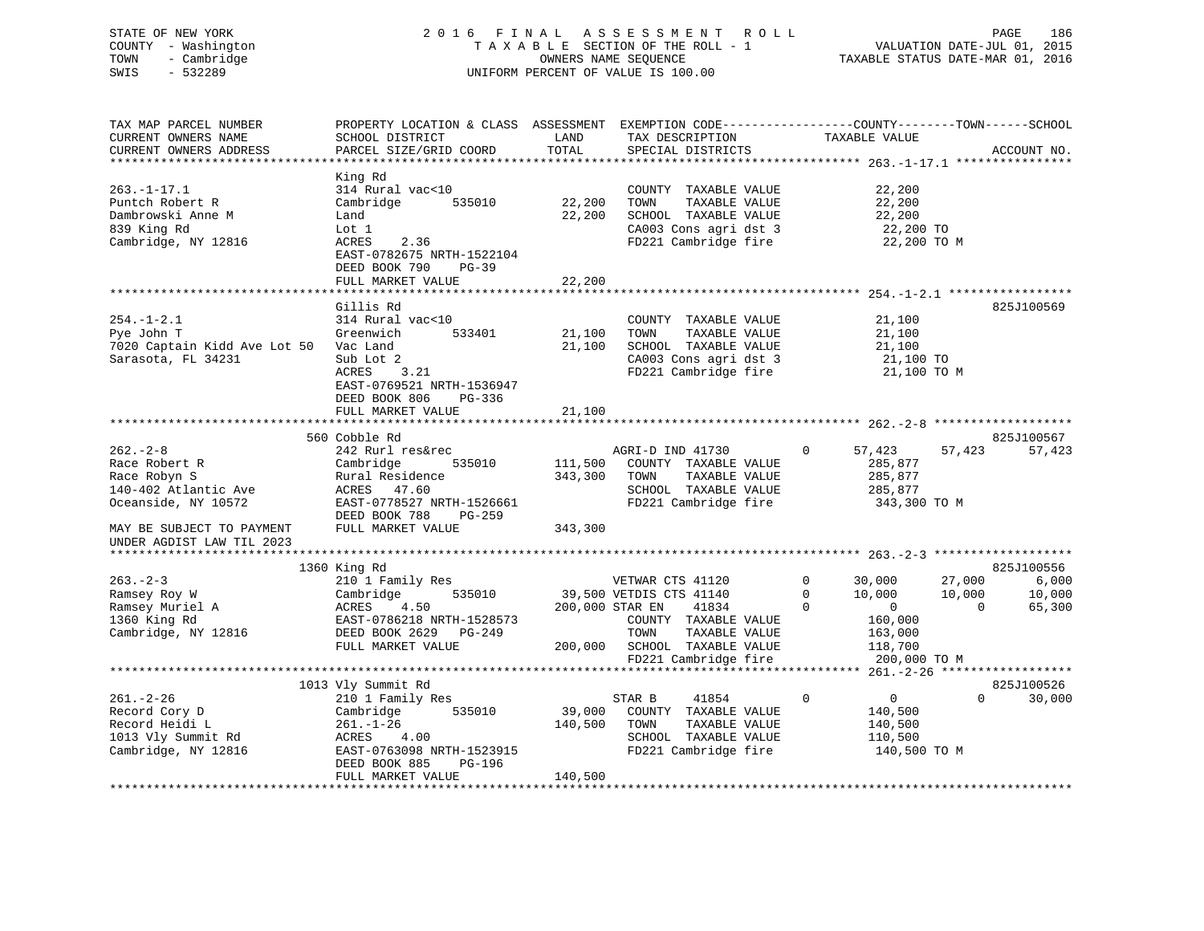## STATE OF NEW YORK 2 0 1 6 F I N A L A S S E S S M E N T R O L L PAGE 186 COUNTY - Washington T A X A B L E SECTION OF THE ROLL - 1 VALUATION DATE-JUL 01, 2015 TOWN - Cambridge OWNERS NAME SEQUENCE TAXABLE STATUS DATE-MAR 01, 2016 SWIS - 532289 UNIFORM PERCENT OF VALUE IS 100.00

| TAX MAP PARCEL NUMBER        | PROPERTY LOCATION & CLASS ASSESSMENT EXEMPTION CODE-----------------COUNTY-------TOWN------SCHOOL |                 |                         |                               |                    |
|------------------------------|---------------------------------------------------------------------------------------------------|-----------------|-------------------------|-------------------------------|--------------------|
| CURRENT OWNERS NAME          | SCHOOL DISTRICT                                                                                   | LAND            | TAX DESCRIPTION         | TAXABLE VALUE                 |                    |
| CURRENT OWNERS ADDRESS       | PARCEL SIZE/GRID COORD                                                                            | TOTAL           | SPECIAL DISTRICTS       |                               | ACCOUNT NO.        |
|                              |                                                                                                   |                 |                         |                               |                    |
|                              | King Rd                                                                                           |                 |                         |                               |                    |
| $263. - 1 - 17.1$            | 314 Rural vac<10                                                                                  |                 | COUNTY TAXABLE VALUE    | 22,200                        |                    |
| Puntch Robert R              | Cambridge<br>535010                                                                               | 22,200          | TAXABLE VALUE<br>TOWN   | 22,200                        |                    |
|                              |                                                                                                   |                 |                         |                               |                    |
| Dambrowski Anne M            | Land                                                                                              | 22,200          | SCHOOL TAXABLE VALUE    | 22,200                        |                    |
| 839 King Rd                  | Lot 1                                                                                             |                 | CA003 Cons agri dst 3   | 22,200 TO                     |                    |
| Cambridge, NY 12816          | ACRES<br>2.36                                                                                     |                 | FD221 Cambridge fire    | 22,200 TO M                   |                    |
|                              | EAST-0782675 NRTH-1522104                                                                         |                 |                         |                               |                    |
|                              | DEED BOOK 790<br>$PG-39$                                                                          |                 |                         |                               |                    |
|                              | FULL MARKET VALUE                                                                                 | 22,200          |                         |                               |                    |
|                              |                                                                                                   |                 |                         |                               |                    |
|                              | Gillis Rd                                                                                         |                 |                         |                               | 825J100569         |
| $254. - 1 - 2.1$             | 314 Rural vac<10                                                                                  |                 | COUNTY TAXABLE VALUE    | 21,100                        |                    |
| Pye John T                   | Greenwich<br>533401                                                                               | 21,100          | TAXABLE VALUE<br>TOWN   | 21,100                        |                    |
| 7020 Captain Kidd Ave Lot 50 | Vac Land                                                                                          | 21,100          | SCHOOL TAXABLE VALUE    | 21,100                        |                    |
| Sarasota, FL 34231           | Sub Lot 2                                                                                         |                 | CA003 Cons agri dst 3   | 21,100 TO                     |                    |
|                              | ACRES<br>3.21                                                                                     |                 | FD221 Cambridge fire    | 21,100 TO M                   |                    |
|                              |                                                                                                   |                 |                         |                               |                    |
|                              | EAST-0769521 NRTH-1536947                                                                         |                 |                         |                               |                    |
|                              | DEED BOOK 806<br>PG-336                                                                           |                 |                         |                               |                    |
|                              | FULL MARKET VALUE                                                                                 | 21,100          |                         |                               |                    |
|                              |                                                                                                   |                 |                         |                               |                    |
|                              | 560 Cobble Rd                                                                                     |                 |                         |                               | 825J100567         |
| $262 - 2 - 8$                | 242 Rurl res&rec                                                                                  |                 | AGRI-D IND 41730        | 57,423<br>$\mathbf{0}$        | 57,423<br>57,423   |
| Race Robert R                | 535010<br>Cambridge                                                                               | 111,500         | COUNTY TAXABLE VALUE    | 285,877                       |                    |
| Race Robyn S                 | Rural Residence                                                                                   | 343,300         | TOWN<br>TAXABLE VALUE   | 285,877                       |                    |
| 140-402 Atlantic Ave         | ACRES 47.60                                                                                       |                 | SCHOOL TAXABLE VALUE    | 285,877                       |                    |
| Oceanside, NY 10572          | EAST-0778527 NRTH-1526661                                                                         |                 | FD221 Cambridge fire    | 343,300 TO M                  |                    |
|                              | DEED BOOK 788<br>PG-259                                                                           |                 |                         |                               |                    |
| MAY BE SUBJECT TO PAYMENT    | FULL MARKET VALUE                                                                                 | 343,300         |                         |                               |                    |
| UNDER AGDIST LAW TIL 2023    |                                                                                                   |                 |                         |                               |                    |
|                              |                                                                                                   |                 |                         |                               |                    |
|                              | 1360 King Rd                                                                                      |                 |                         |                               | 825J100556         |
| $263 - 2 - 3$                |                                                                                                   |                 | VETWAR CTS 41120        | $\Omega$<br>30,000            | 27,000             |
|                              | 210 1 Family Res                                                                                  |                 |                         |                               | 6,000              |
| Ramsey Roy W                 | Cambridge<br>535010                                                                               |                 | 39,500 VETDIS CTS 41140 | $\Omega$<br>10,000            | 10,000<br>10,000   |
| Ramsey Muriel A              | ACRES<br>4.50                                                                                     | 200,000 STAR EN | 41834                   | $\Omega$<br>$\overline{0}$    | $\Omega$<br>65,300 |
| 1360 King Rd                 | EAST-0786218 NRTH-1528573                                                                         |                 | COUNTY TAXABLE VALUE    | 160,000                       |                    |
| Cambridge, NY 12816          | DEED BOOK 2629 PG-249                                                                             |                 | TOWN<br>TAXABLE VALUE   | 163,000                       |                    |
|                              | FULL MARKET VALUE                                                                                 | 200,000         | SCHOOL TAXABLE VALUE    | 118,700                       |                    |
|                              |                                                                                                   |                 | FD221 Cambridge fire    | 200,000 TO M                  |                    |
|                              | **********************************                                                                |                 |                         |                               |                    |
|                              | 1013 Vly Summit Rd                                                                                |                 |                         |                               | 825J100526         |
| $261. - 2 - 26$              | 210 1 Family Res                                                                                  |                 | STAR B<br>41854         | $\mathbf 0$<br>$\overline{0}$ | $\Omega$<br>30,000 |
| Record Cory D                | Cambridge<br>535010                                                                               | 39,000          | COUNTY TAXABLE VALUE    | 140,500                       |                    |
| Record Heidi L               | $261. - 1 - 26$                                                                                   | 140,500         | TOWN<br>TAXABLE VALUE   | 140,500                       |                    |
| 1013 Vly Summit Rd           | ACRES<br>4.00                                                                                     |                 | SCHOOL TAXABLE VALUE    | 110,500                       |                    |
| Cambridge, NY 12816          | EAST-0763098 NRTH-1523915                                                                         |                 | FD221 Cambridge fire    | 140,500 TO M                  |                    |
|                              | DEED BOOK 885<br>PG-196                                                                           |                 |                         |                               |                    |
|                              | FULL MARKET VALUE                                                                                 | 140,500         |                         |                               |                    |
|                              |                                                                                                   |                 |                         |                               |                    |
|                              |                                                                                                   |                 |                         |                               |                    |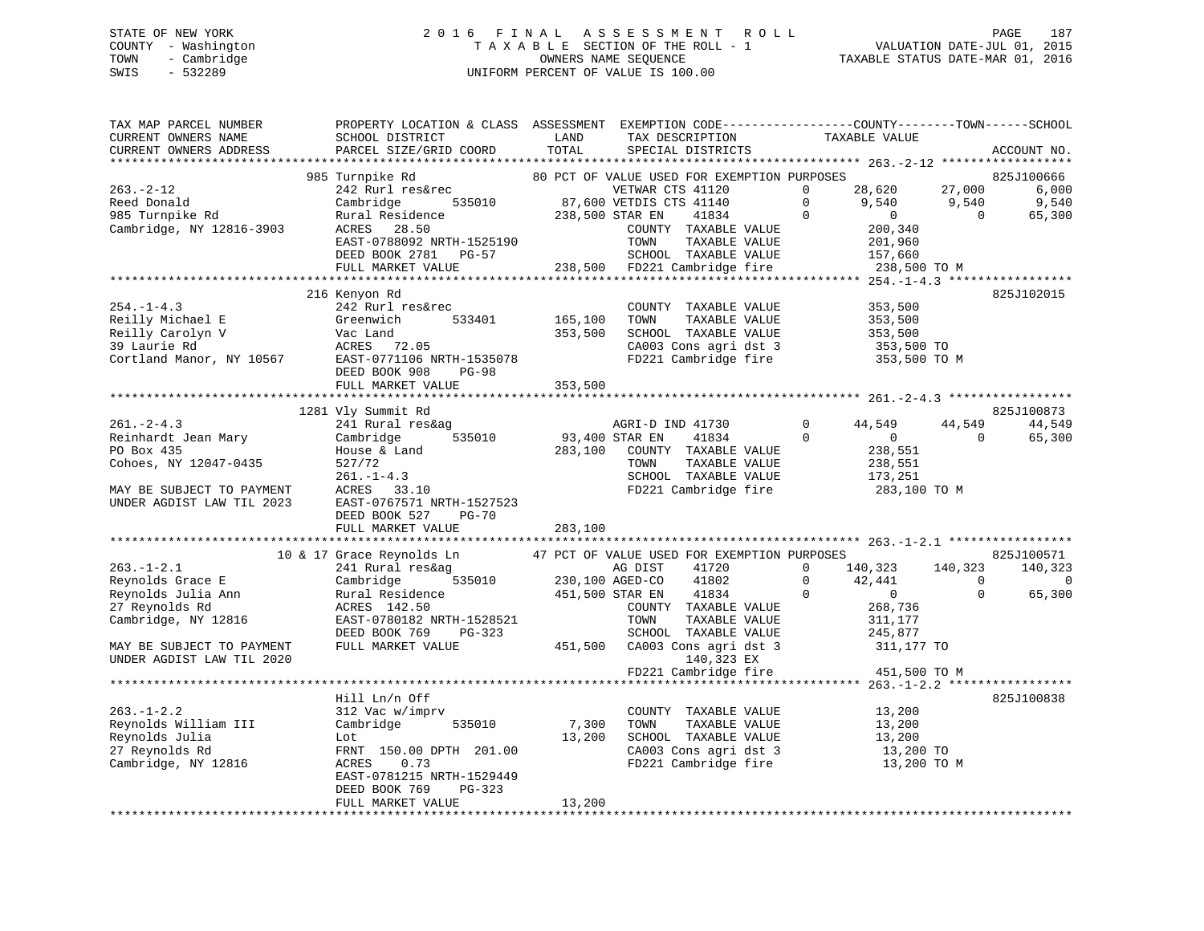## STATE OF NEW YORK 2 0 1 6 F I N A L A S S E S S M E N T R O L L PAGE 187 COUNTY - Washington T A X A B L E SECTION OF THE ROLL - 1 VALUATION DATE-JUL 01, 2015 TOWN - Cambridge OWNERS NAME SEQUENCE TAXABLE STATUS DATE-MAR 01, 2016 SWIS - 532289 UNIFORM PERCENT OF VALUE IS 100.00

| TAX MAP PARCEL NUMBER<br>CURRENT OWNERS NAME<br>CURRENT OWNERS ADDRESS          | PROPERTY LOCATION & CLASS ASSESSMENT EXEMPTION CODE---------------COUNTY-------TOWN-----SCHOOL<br>SCHOOL DISTRICT<br>PARCEL SIZE/GRID COORD | LAND<br>TOTAL               | TAX DESCRIPTION<br>SPECIAL DISTRICTS          | TAXABLE VALUE                            |                           | ACCOUNT NO. |
|---------------------------------------------------------------------------------|---------------------------------------------------------------------------------------------------------------------------------------------|-----------------------------|-----------------------------------------------|------------------------------------------|---------------------------|-------------|
|                                                                                 |                                                                                                                                             |                             |                                               |                                          |                           |             |
|                                                                                 | 985 Turnpike Rd                                                                                                                             |                             | 80 PCT OF VALUE USED FOR EXEMPTION PURPOSES   |                                          |                           | 825J100666  |
| $263. - 2 - 12$                                                                 | 242 Rurl res&rec                                                                                                                            |                             | VETWAR CTS 41120                              | $\Omega$<br>28,620                       | 27,000                    | 6,000       |
| Reed Donald                                                                     | Cambridge                                                                                                                                   |                             | 535010 87,600 VETDIS CTS 41140                | $\circ$<br>9,540                         | 9,540                     | 9,540       |
| 985 Turnpike Rd                                                                 | Rural Residence<br>ACRES    28.50                                                                                                           |                             | 238,500 STAR EN<br>41834                      | $\Omega$<br>$\overline{0}$               | $\overline{0}$            | 65,300      |
| Cambridge, NY 12816-3903                                                        |                                                                                                                                             |                             | COUNTY TAXABLE VALUE                          | 200,340                                  |                           |             |
|                                                                                 | EAST-0788092 NRTH-1525190                                                                                                                   |                             | TOWN<br>TAXABLE VALUE                         | 201,960                                  |                           |             |
|                                                                                 | DEED BOOK 2781 PG-57                                                                                                                        |                             | SCHOOL TAXABLE VALUE                          | 157,660                                  |                           |             |
|                                                                                 | FULL MARKET VALUE                                                                                                                           |                             | 238,500 FD221 Cambridge fire                  | 238,500 TO M                             |                           |             |
|                                                                                 |                                                                                                                                             |                             |                                               |                                          |                           |             |
| $254. -1 - 4.3$                                                                 | 216 Kenyon Rd                                                                                                                               |                             |                                               |                                          |                           | 825J102015  |
| Reilly Michael E                                                                | 242 Rurl res&rec<br>Greenwich<br>533401                                                                                                     | 165,100                     | COUNTY TAXABLE VALUE<br>TOWN<br>TAXABLE VALUE | 353,500<br>353,500                       |                           |             |
|                                                                                 |                                                                                                                                             | 353,500                     | SCHOOL TAXABLE VALUE                          |                                          |                           |             |
|                                                                                 |                                                                                                                                             |                             | CA003 Cons agri dst 3                         | 353,500<br>353,500 TO                    |                           |             |
| Cortland Manor, NY 10567<br>Cortland Manor, NY 10567<br>EAST-0771106 NPTP 15060 | EAST-0771106 NRTH-1535078                                                                                                                   |                             | FD221 Cambridge fire                          | 353,500 TO M                             |                           |             |
|                                                                                 |                                                                                                                                             |                             |                                               |                                          |                           |             |
|                                                                                 | FULL MARKET VALUE                                                                                                                           | 353,500                     |                                               |                                          |                           |             |
|                                                                                 |                                                                                                                                             |                             |                                               |                                          |                           |             |
|                                                                                 | 1281 Vly Summit Rd                                                                                                                          |                             |                                               |                                          |                           | 825J100873  |
| $261 - 2 - 4.3$                                                                 | 241 Rural res&ag                                                                                                                            |                             | AGRI-D IND 41730                              | $\Omega$<br>44,549                       | 44,549                    | 44,549      |
| Reinhardt Jean Mary                                                             | 535010<br>Cambridge                                                                                                                         | 93,400 STAR EN              | 41834                                         | $\mathbf 0$<br>$\overline{0}$            | $\overline{0}$            | 65,300      |
| PO Box 435                                                                      | House & Land                                                                                                                                |                             | 283,100 COUNTY TAXABLE VALUE                  | 238,551                                  |                           |             |
| Cohoes, NY 12047-0435                                                           | 527/72                                                                                                                                      |                             | TAXABLE VALUE<br>TOWN                         | 238,551                                  |                           |             |
|                                                                                 | $261. - 1 - 4.3$                                                                                                                            |                             | SCHOOL TAXABLE VALUE                          | 173,251                                  |                           |             |
| MAY BE SUBJECT TO PAYMENT                                                       | ACRES 33.10                                                                                                                                 |                             | FD221 Cambridge fire                          | 283,100 TO M                             |                           |             |
| UNDER AGDIST LAW TIL 2023                                                       | EAST-0767571 NRTH-1527523                                                                                                                   |                             |                                               |                                          |                           |             |
|                                                                                 | DEED BOOK 527<br>PG-70                                                                                                                      |                             |                                               |                                          |                           |             |
|                                                                                 | FULL MARKET VALUE                                                                                                                           | 283,100                     |                                               |                                          |                           |             |
| *********************                                                           |                                                                                                                                             |                             |                                               |                                          |                           |             |
|                                                                                 | 10 & 17 Grace Reynolds Ln                                                                                                                   |                             | 47 PCT OF VALUE USED FOR EXEMPTION PURPOSES   | $\Omega$                                 |                           | 825J100571  |
| $263. -1 - 2.1$                                                                 | 241 Rural res&ag                                                                                                                            | $\frac{1}{230,100}$ ageD-CO | 41720<br>AG DIST                              | 140,323<br>$\Omega$                      | 140,323<br>$\overline{0}$ | 140,323     |
| Reynolds Grace E<br>Reynolds Julia Ann                                          | Cambridge                                                                                                                                   | 451,500 STAR EN             | 41802                                         | 42,441<br>$\overline{0}$<br>$\mathbf{0}$ | $\Omega$                  | 0<br>65,300 |
| 27 Reynolds Rd                                                                  | Rural Residence<br>ACRES 142.50<br>ACRES 142.50                                                                                             |                             | 41834<br>COUNTY TAXABLE VALUE                 | 268,736                                  |                           |             |
| Cambridge, NY 12816                                                             | EAST-0780182 NRTH-1528521                                                                                                                   |                             | TOWN<br>TAXABLE VALUE                         | 311,177                                  |                           |             |
|                                                                                 | DEED BOOK 769 PG-323                                                                                                                        |                             | SCHOOL TAXABLE VALUE                          | 245,877                                  |                           |             |
| MAY BE SUBJECT TO PAYMENT                                                       | FULL MARKET VALUE                                                                                                                           |                             | 451,500 CA003 Cons agri dst 3                 | 311,177 TO                               |                           |             |
| UNDER AGDIST LAW TIL 2020                                                       |                                                                                                                                             |                             | 140,323 EX                                    |                                          |                           |             |
|                                                                                 |                                                                                                                                             |                             | FD221 Cambridge fire                          | 451,500 TO M                             |                           |             |
|                                                                                 |                                                                                                                                             |                             |                                               |                                          |                           |             |
|                                                                                 | Hill Ln/n Off                                                                                                                               |                             |                                               |                                          |                           | 825J100838  |
| $263. - 1 - 2.2$                                                                | 312 Vac w/imprv                                                                                                                             |                             | COUNTY TAXABLE VALUE                          | 13,200                                   |                           |             |
| Reynolds William III                                                            | Cambridge<br>535010                                                                                                                         | 7,300                       | TOWN<br>TAXABLE VALUE                         | 13,200                                   |                           |             |
| Reynolds Julia                                                                  | Lot                                                                                                                                         | 13,200                      | SCHOOL TAXABLE VALUE                          | 13,200                                   |                           |             |
| 27 Reynolds Rd                                                                  | FRNT 150.00 DPTH 201.00                                                                                                                     |                             | CA003 Cons agri dst 3                         | 13,200<br>13,200 TO                      |                           |             |
| Cambridge, NY 12816                                                             | 0.73<br>ACRES                                                                                                                               |                             | FD221 Cambridge fire                          | 13,200 TO M                              |                           |             |
|                                                                                 | EAST-0781215 NRTH-1529449                                                                                                                   |                             |                                               |                                          |                           |             |
|                                                                                 | DEED BOOK 769<br>PG-323                                                                                                                     |                             |                                               |                                          |                           |             |
|                                                                                 | FULL MARKET VALUE                                                                                                                           | 13,200                      |                                               |                                          |                           |             |
|                                                                                 |                                                                                                                                             |                             |                                               |                                          |                           |             |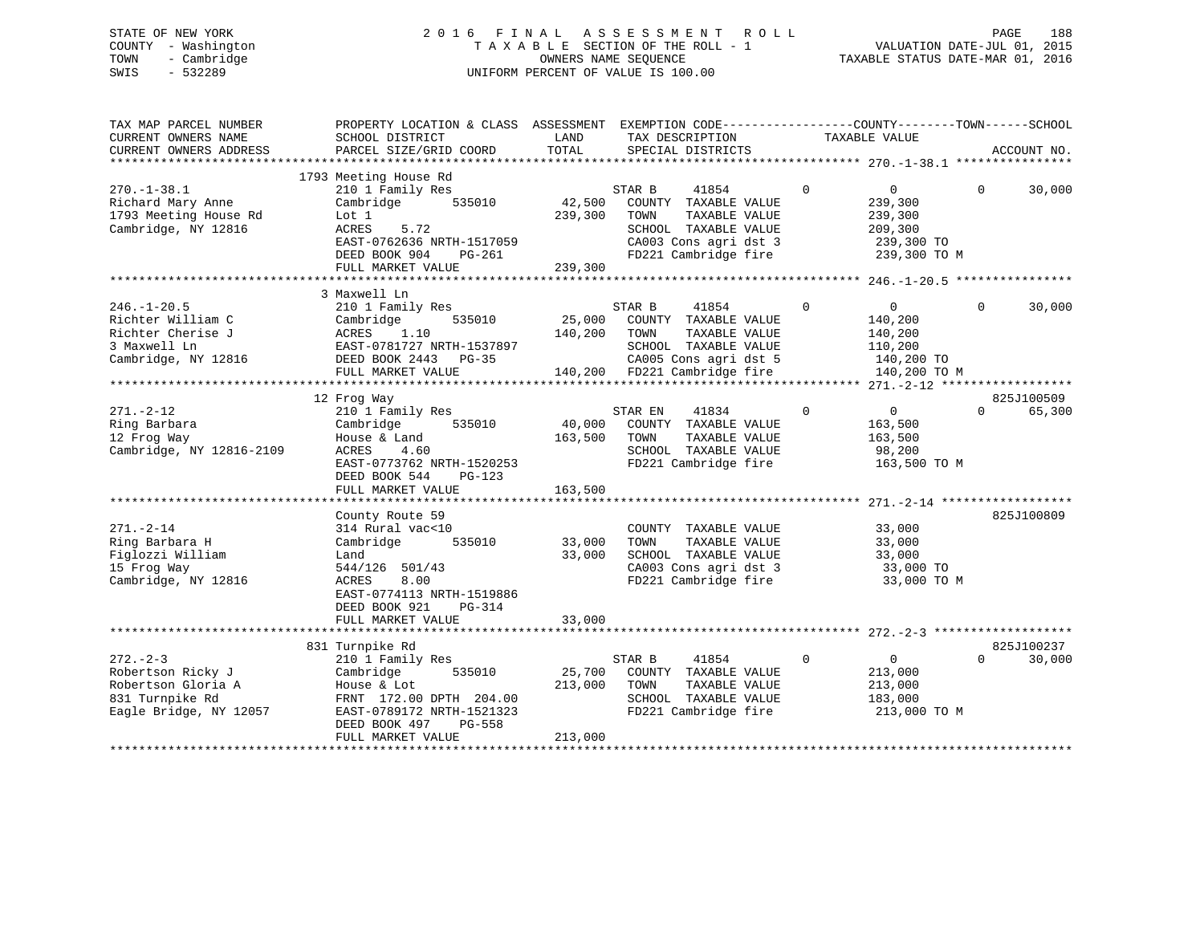## STATE OF NEW YORK 2 0 1 6 F I N A L A S S E S S M E N T R O L L PAGE 188 COUNTY - Washington T A X A B L E SECTION OF THE ROLL - 1 VALUATION DATE-JUL 01, 2015 TOWN - Cambridge OWNERS NAME SEQUENCE TAXABLE STATUS DATE-MAR 01, 2016 SWIS - 532289 UNIFORM PERCENT OF VALUE IS 100.00

| TAX MAP PARCEL NUMBER<br>CURRENT OWNERS NAME<br>CURRENT OWNERS ADDRESS                                                         | PROPERTY LOCATION & CLASS ASSESSMENT EXEMPTION CODE---------------COUNTY-------TOWN------SCHOOL<br>SCHOOL DISTRICT<br>PARCEL SIZE/GRID COORD                            | LAND<br>TOTAL                | TAX DESCRIPTION<br>SPECIAL DISTRICTS                                                                                             |               |             | TAXABLE VALUE                                                                 |          | ACCOUNT NO. |
|--------------------------------------------------------------------------------------------------------------------------------|-------------------------------------------------------------------------------------------------------------------------------------------------------------------------|------------------------------|----------------------------------------------------------------------------------------------------------------------------------|---------------|-------------|-------------------------------------------------------------------------------|----------|-------------|
| *************************                                                                                                      |                                                                                                                                                                         |                              |                                                                                                                                  |               |             |                                                                               |          |             |
| $270. - 1 - 38.1$<br>Richard Mary Anne<br>1793 Meeting House Rd<br>Cambridge, NY 12816                                         | 1793 Meeting House Rd<br>210 1 Family Res<br>535010<br>Cambridge<br>Lot 1<br>ACRES<br>5.72<br>EAST-0762636 NRTH-1517059<br>DEED BOOK 904<br>PG-261<br>FULL MARKET VALUE | 42,500<br>239,300<br>239,300 | STAR B<br>41854<br>COUNTY TAXABLE VALUE<br>TOWN<br>SCHOOL TAXABLE VALUE<br>CA003 Cons agri dst 3<br>FD221 Cambridge fire         | TAXABLE VALUE | $\Omega$    | 0<br>239,300<br>239,300<br>209,300<br>239,300 TO<br>239,300 TO M              | $\Omega$ | 30,000      |
|                                                                                                                                |                                                                                                                                                                         |                              |                                                                                                                                  |               |             |                                                                               |          |             |
| $246. - 1 - 20.5$<br>Richter William C<br>Richter Cherise J<br>3 Maxwell Ln<br>Cambridge, NY 12816                             | 3 Maxwell Ln<br>210 1 Family Res<br>535010<br>Cambridge<br>1.10<br>ACRES<br>EAST-0781727 NRTH-1537897<br>DEED BOOK 2443 PG-35<br>FULL MARKET VALUE                      | 25,000<br>140,200            | 41854<br>STAR B<br>COUNTY TAXABLE VALUE<br>TOWN<br>SCHOOL TAXABLE VALUE<br>CA005 Cons agri dst 5<br>140,200 FD221 Cambridge fire | TAXABLE VALUE | $\mathbf 0$ | $\overline{0}$<br>140,200<br>140,200<br>110,200<br>140,200 TO<br>140,200 TO M | $\Omega$ | 30,000      |
|                                                                                                                                |                                                                                                                                                                         |                              |                                                                                                                                  |               |             |                                                                               |          |             |
|                                                                                                                                | 12 Frog Way                                                                                                                                                             |                              |                                                                                                                                  |               |             |                                                                               |          | 825J100509  |
| $271. - 2 - 12$<br>Ring Barbara<br>12 Frog Way<br>Cambridge, NY 12816-2109                                                     | 210 1 Family Res<br>535010<br>Cambridge<br>House & Land<br>ACRES<br>4.60<br>EAST-0773762 NRTH-1520253<br>DEED BOOK 544<br>$PG-123$<br>FULL MARKET VALUE                 | 40,000<br>163,500<br>163,500 | 41834<br>STAR EN<br>COUNTY TAXABLE VALUE<br>TOWN<br>SCHOOL TAXABLE VALUE<br>FD221 Cambridge fire                                 | TAXABLE VALUE | $\mathbf 0$ | $0 \qquad \qquad$<br>163,500<br>163,500<br>98,200<br>163,500 TO M             | $\Omega$ | 65,300      |
|                                                                                                                                |                                                                                                                                                                         |                              |                                                                                                                                  |               |             |                                                                               |          |             |
| $271. - 2 - 14$<br>Ring Barbara H<br>Figlozzi William<br>15 Frog Way<br>Cambridge, NY 12816                                    | County Route 59<br>314 Rural vac<10<br>Cambridge<br>535010<br>Land<br>544/126 501/43<br>8.00<br>ACRES<br>EAST-0774113 NRTH-1519886<br>DEED BOOK 921<br>PG-314           | 33,000<br>33,000             | COUNTY TAXABLE VALUE<br>TOWN<br>SCHOOL TAXABLE VALUE<br>CA003 Cons agri dst 3<br>FD221 Cambridge fire                            | TAXABLE VALUE |             | 33,000<br>33,000<br>33,000<br>33,000 TO<br>33,000 TO M                        |          | 825J100809  |
|                                                                                                                                | FULL MARKET VALUE                                                                                                                                                       | 33,000                       |                                                                                                                                  |               |             |                                                                               |          |             |
|                                                                                                                                | 831 Turnpike Rd                                                                                                                                                         |                              |                                                                                                                                  |               |             |                                                                               |          | 825J100237  |
| $272 - 2 - 3$<br>Robertson Ricky J<br>Robertson Gloria A<br>831 Turnpike Rd<br>Eagle Bridge, NY 12057<br>********************* | 210 1 Family Res<br>Cambridge<br>535010<br>House & Lot<br>FRNT 172.00 DPTH 204.00<br>EAST-0789172 NRTH-1521323<br>DEED BOOK 497<br>PG-558<br>FULL MARKET VALUE          | 25,700<br>213,000<br>213,000 | STAR B<br>41854<br>COUNTY TAXABLE VALUE<br>TOWN<br>SCHOOL TAXABLE VALUE<br>FD221 Cambridge fire                                  | TAXABLE VALUE | $\mathbf 0$ | $\overline{0}$<br>213,000<br>213,000<br>183,000<br>213,000 TO M               | $\Omega$ | 30,000      |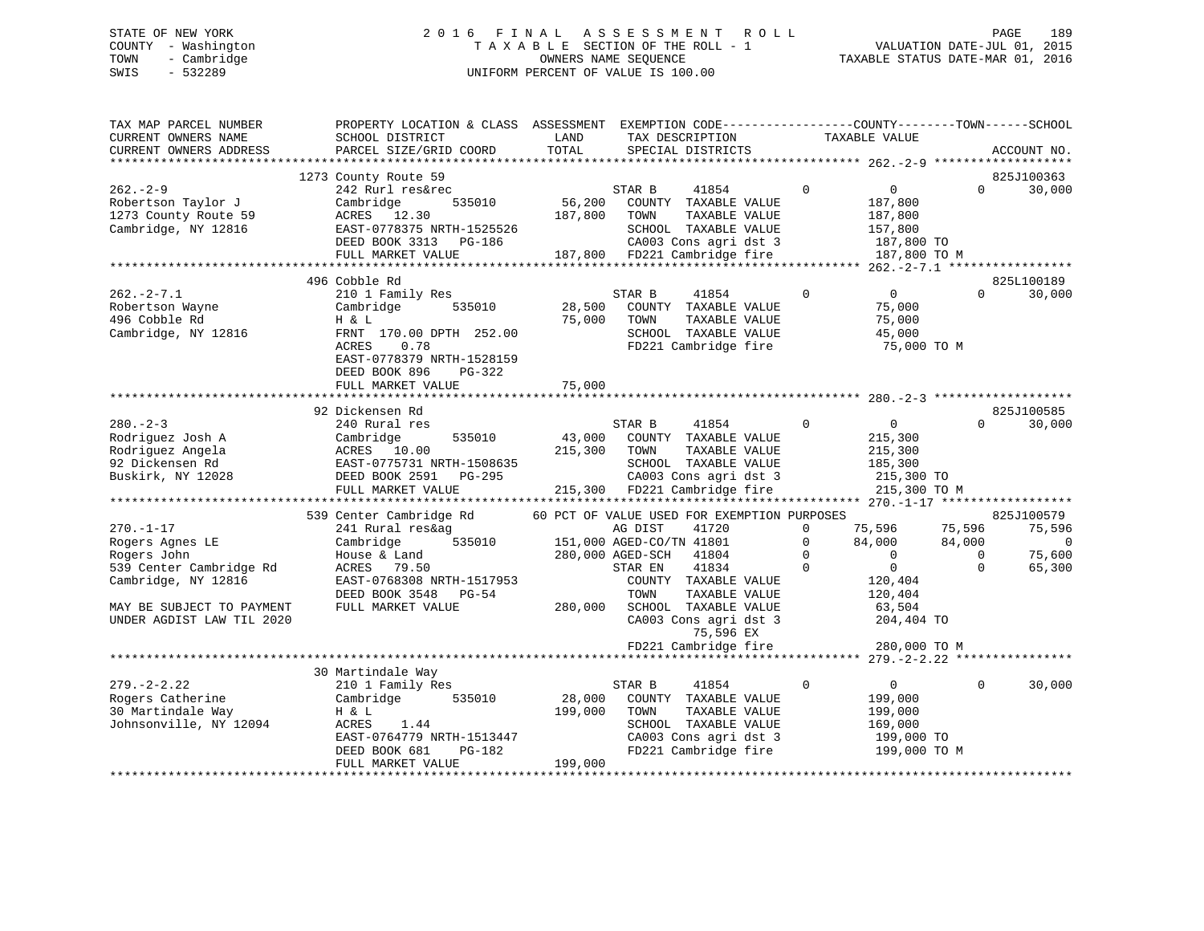## STATE OF NEW YORK 2 0 1 6 F I N A L A S S E S S M E N T R O L L PAGE 189 COUNTY - Washington T A X A B L E SECTION OF THE ROLL - 1 VALUATION DATE-JUL 01, 2015 TOWN - Cambridge OWNERS NAME SEQUENCE TAXABLE STATUS DATE-MAR 01, 2016 SWIS - 532289 UNIFORM PERCENT OF VALUE IS 100.00

| TAX MAP PARCEL NUMBER<br>CURRENT OWNERS NAME<br>CURRENT OWNERS ADDRESS                        | PROPERTY LOCATION & CLASS ASSESSMENT<br>SCHOOL DISTRICT<br>PARCEL SIZE/GRID COORD                                                                                     | LAND<br>TOTAL     | TAX DESCRIPTION<br>SPECIAL DISTRICTS                                                                                                      | TAXABLE VALUE                                                          | EXEMPTION CODE-----------------COUNTY-------TOWN------SCHOOL<br>ACCOUNT NO. |
|-----------------------------------------------------------------------------------------------|-----------------------------------------------------------------------------------------------------------------------------------------------------------------------|-------------------|-------------------------------------------------------------------------------------------------------------------------------------------|------------------------------------------------------------------------|-----------------------------------------------------------------------------|
|                                                                                               |                                                                                                                                                                       |                   |                                                                                                                                           |                                                                        |                                                                             |
| $262 - 2 - 9$<br>Robertson Taylor J<br>1273 County Route 59                                   | 1273 County Route 59<br>242 Rurl res&rec<br>Cambridge<br>535010<br>ACRES<br>12.30                                                                                     | 56,200<br>187,800 | STAR B<br>41854<br>COUNTY TAXABLE VALUE<br>TOWN<br>TAXABLE VALUE                                                                          | $\Omega$<br>$\overline{0}$<br>187,800<br>187,800                       | 825J100363<br>$\Omega$<br>30,000                                            |
| Cambridge, NY 12816                                                                           | EAST-0778375 NRTH-1525526<br>DEED BOOK 3313 PG-186<br>FULL MARKET VALUE                                                                                               | 187,800           | SCHOOL TAXABLE VALUE<br>CA003 Cons agri dst 3<br>FD221 Cambridge fire                                                                     | 157,800                                                                | 187,800 TO<br>187,800 TO M                                                  |
|                                                                                               |                                                                                                                                                                       |                   |                                                                                                                                           |                                                                        |                                                                             |
| $262 - 2 - 7.1$<br>Robertson Wayne<br>496 Cobble Rd<br>Cambridge, NY 12816                    | 496 Cobble Rd<br>210 1 Family Res<br>Cambridge<br>535010<br>H & L<br>FRNT 170.00 DPTH 252.00<br>ACRES<br>0.78<br>EAST-0778379 NRTH-1528159<br>DEED BOOK 896<br>PG-322 | 28,500<br>75,000  | STAR B<br>41854<br>COUNTY TAXABLE VALUE<br>TOWN<br>TAXABLE VALUE<br>SCHOOL TAXABLE VALUE<br>FD221 Cambridge fire                          | $\mathbf{0}$<br>$\mathbf 0$<br>75,000<br>75,000<br>45,000              | 825L100189<br>30,000<br>$\Omega$<br>75,000 TO M                             |
|                                                                                               | FULL MARKET VALUE                                                                                                                                                     | 75,000            |                                                                                                                                           |                                                                        |                                                                             |
|                                                                                               | 92 Dickensen Rd                                                                                                                                                       |                   |                                                                                                                                           |                                                                        | 825J100585                                                                  |
| $280 - 2 - 3$<br>Rodriguez Josh A<br>Rodriguez Angela<br>92 Dickensen Rd<br>Buskirk, NY 12028 | 240 Rural res<br>535010<br>Cambridge<br>ACRES 10.00<br>EAST-0775731 NRTH-1508635<br>DEED BOOK 2591<br>PG-295                                                          | 43,000<br>215,300 | 41854<br>STAR B<br>COUNTY TAXABLE VALUE<br>TOWN<br>TAXABLE VALUE<br>SCHOOL TAXABLE VALUE<br>CA003 Cons agri dst 3                         | $\mathbf 0$<br>$\overline{0}$<br>215,300<br>215,300<br>185,300         | 30,000<br>$\Omega$<br>215,300 TO                                            |
|                                                                                               | FULL MARKET VALUE                                                                                                                                                     | 215,300           | FD221 Cambridge fire                                                                                                                      |                                                                        | 215,300 TO M                                                                |
|                                                                                               |                                                                                                                                                                       |                   |                                                                                                                                           |                                                                        |                                                                             |
| $270. - 1 - 17$                                                                               | 539 Center Cambridge Rd<br>241 Rural res&ag                                                                                                                           |                   | 60 PCT OF VALUE USED FOR EXEMPTION PURPOSES<br>AG DIST<br>41720                                                                           | $\Omega$<br>75,596                                                     | 825J100579<br>75,596<br>75,596                                              |
| Rogers Agnes LE                                                                               | 535010<br>Cambridge                                                                                                                                                   |                   | 151,000 AGED-CO/TN 41801                                                                                                                  | $\mathbf 0$<br>84,000                                                  | 84,000<br>$\mathbf 0$                                                       |
| Rogers John<br>539 Center Cambridge Rd<br>Cambridge, NY 12816                                 | House & Land<br>ACRES<br>79.50<br>EAST-0768308 NRTH-1517953<br>DEED BOOK 3548<br>PG-54                                                                                |                   | 280,000 AGED-SCH<br>41804<br>41834<br>STAR EN<br>COUNTY TAXABLE VALUE<br>TOWN<br>TAXABLE VALUE                                            | $\Omega$<br>$\Omega$<br>$\Omega$<br>$\mathbf{0}$<br>120,404<br>120,404 | $\Omega$<br>75,600<br>$\Omega$<br>65,300                                    |
| MAY BE SUBJECT TO PAYMENT<br>UNDER AGDIST LAW TIL 2020                                        | FULL MARKET VALUE                                                                                                                                                     | 280,000           | SCHOOL TAXABLE VALUE<br>CA003 Cons agri dst 3<br>75,596 EX<br>FD221 Cambridge fire                                                        | 63,504                                                                 | 204,404 TO<br>280,000 TO M                                                  |
|                                                                                               |                                                                                                                                                                       |                   |                                                                                                                                           | ***** 279. - 2 - 2.22 ****                                             |                                                                             |
|                                                                                               | 30 Martindale Way                                                                                                                                                     |                   |                                                                                                                                           |                                                                        |                                                                             |
| $279. - 2 - 2.22$<br>Rogers Catherine<br>30 Martindale Way<br>Johnsonville, NY 12094          | 210 1 Family Res<br>Cambridge<br>535010<br>H & L<br>ACRES<br>1.44<br>EAST-0764779 NRTH-1513447<br>DEED BOOK 681<br>PG-182                                             | 28,000<br>199,000 | 41854<br>STAR B<br>COUNTY TAXABLE VALUE<br>TOWN<br>TAXABLE VALUE<br>SCHOOL TAXABLE VALUE<br>CA003 Cons agri dst 3<br>FD221 Cambridge fire | $\Omega$<br>$\mathbf{0}$<br>199,000<br>199,000<br>169,000              | 30,000<br>$\Omega$<br>199,000 TO<br>199,000 TO M                            |
|                                                                                               | FULL MARKET VALUE                                                                                                                                                     | 199,000           |                                                                                                                                           |                                                                        |                                                                             |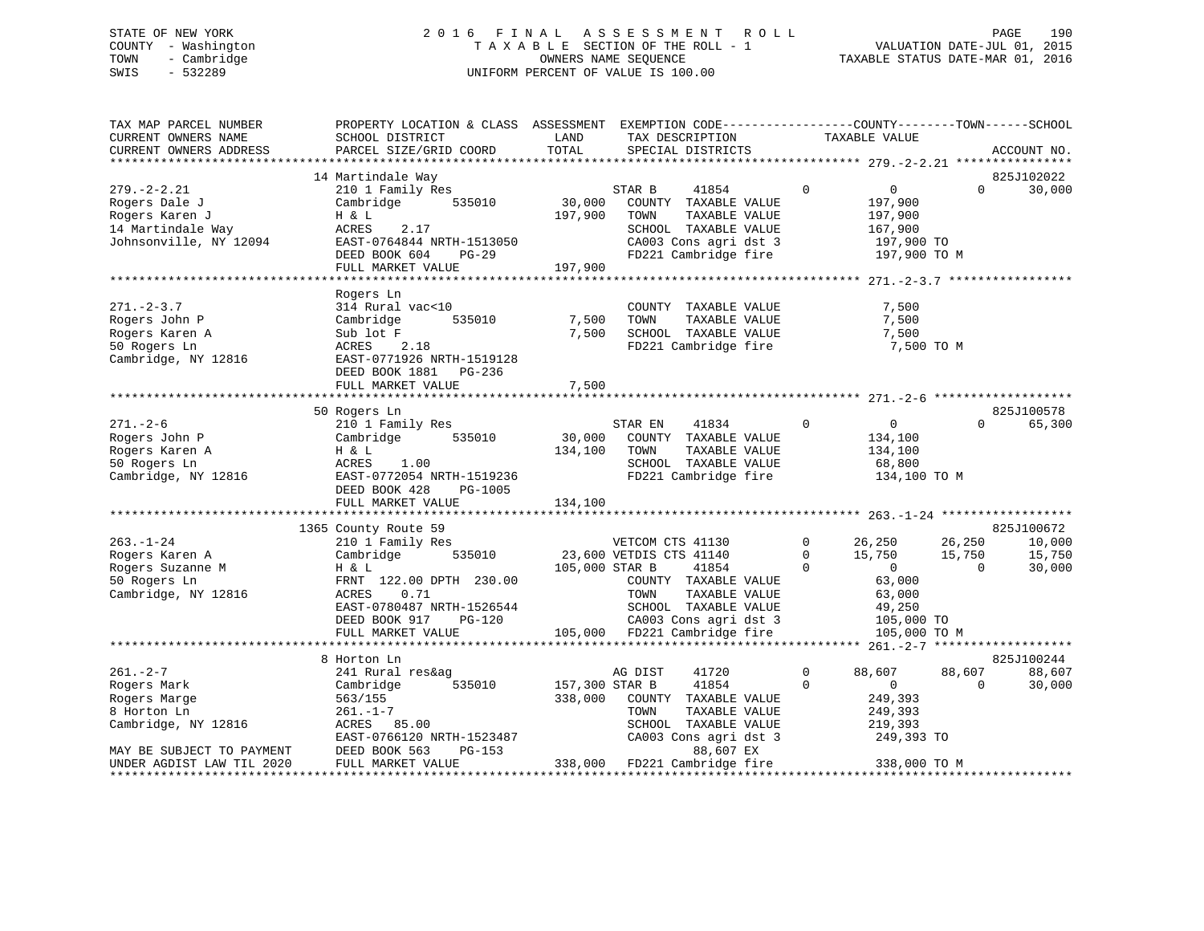## STATE OF NEW YORK 2 0 1 6 F I N A L A S S E S S M E N T R O L L PAGE 190 COUNTY - Washington T A X A B L E SECTION OF THE ROLL - 1 VALUATION DATE-JUL 01, 2015 TOWN - Cambridge OWNERS NAME SEQUENCE TAXABLE STATUS DATE-MAR 01, 2016 SWIS - 532289 UNIFORM PERCENT OF VALUE IS 100.00

| TAX MAP PARCEL NUMBER<br>CURRENT OWNERS NAME<br>CURRENT OWNERS ADDRESS | PROPERTY LOCATION & CLASS ASSESSMENT EXEMPTION CODE----------------COUNTY-------TOWN------SCHOOL<br>SCHOOL DISTRICT<br>PARCEL SIZE/GRID COORD | LAND<br>TOTAL  | TAX DESCRIPTION<br>SPECIAL DISTRICTS                  | TAXABLE VALUE |                            | ACCOUNT NO. |
|------------------------------------------------------------------------|-----------------------------------------------------------------------------------------------------------------------------------------------|----------------|-------------------------------------------------------|---------------|----------------------------|-------------|
|                                                                        |                                                                                                                                               |                |                                                       |               |                            |             |
|                                                                        | 14 Martindale Way                                                                                                                             |                |                                                       |               |                            | 825J102022  |
| $279. - 2 - 2.21$                                                      | 210 1 Family Res                                                                                                                              |                | STAR B<br>41854                                       | $\Omega$      | $\overline{0}$<br>$\Omega$ | 30,000      |
| Rogers Dale J                                                          | 535010<br>Cambridge                                                                                                                           | 30,000         | COUNTY TAXABLE VALUE                                  |               | 197,900                    |             |
| Rogers Karen J                                                         | H & L                                                                                                                                         | 197,900        | TAXABLE VALUE<br>TOWN                                 |               | 197,900                    |             |
| 14 Martindale Way                                                      | ACRES<br>2.17                                                                                                                                 |                | SCHOOL TAXABLE VALUE                                  |               | 167,900                    |             |
| Johnsonville, NY 12094                                                 | EAST-0764844 NRTH-1513050<br>DEED BOOK 604                                                                                                    |                | CA003 Cons agri dst 3<br>FD221 Cambridge fire         |               | 197,900 TO                 |             |
|                                                                        | PG-29<br>FULL MARKET VALUE                                                                                                                    | 197,900        |                                                       |               | 197,900 TO M               |             |
|                                                                        |                                                                                                                                               |                |                                                       |               |                            |             |
|                                                                        | Rogers Ln                                                                                                                                     |                |                                                       |               |                            |             |
| $271. - 2 - 3.7$                                                       | 314 Rural vac<10                                                                                                                              |                | COUNTY TAXABLE VALUE                                  |               | 7,500                      |             |
| Rogers John P                                                          | Cambridge<br>535010                                                                                                                           | 7,500          | TAXABLE VALUE<br>TOWN                                 |               | 7,500                      |             |
| Rogers Karen A                                                         | Sub lot F                                                                                                                                     | 7,500          | SCHOOL TAXABLE VALUE                                  |               | 7,500                      |             |
| 50 Rogers Ln                                                           | 2.18<br>ACRES                                                                                                                                 |                | FD221 Cambridge fire                                  |               | 7,500 TO M                 |             |
| Cambridge, NY 12816                                                    | EAST-0771926 NRTH-1519128                                                                                                                     |                |                                                       |               |                            |             |
|                                                                        | DEED BOOK 1881 PG-236                                                                                                                         |                |                                                       |               |                            |             |
|                                                                        | FULL MARKET VALUE                                                                                                                             | 7,500          |                                                       |               |                            |             |
|                                                                        |                                                                                                                                               |                |                                                       |               |                            |             |
|                                                                        | 50 Rogers Ln                                                                                                                                  |                |                                                       |               |                            | 825J100578  |
| $271. - 2 - 6$                                                         | 210 1 Family Res                                                                                                                              |                | STAR EN<br>41834                                      | $\mathbf 0$   | $\overline{0}$<br>$\Omega$ | 65,300      |
| Rogers John P                                                          | Cambridge<br>535010                                                                                                                           | 30,000         | COUNTY TAXABLE VALUE                                  |               | 134,100                    |             |
| Rogers Karen A                                                         | H & L                                                                                                                                         | 134,100        | TAXABLE VALUE<br>TOWN                                 |               | 134,100                    |             |
| 50 Rogers Ln                                                           | ACRES<br>1.00                                                                                                                                 |                | SCHOOL TAXABLE VALUE                                  |               | 68,800                     |             |
| Cambridge, NY 12816                                                    | EAST-0772054 NRTH-1519236                                                                                                                     |                | FD221 Cambridge fire                                  |               | 134,100 TO M               |             |
|                                                                        | DEED BOOK 428<br>PG-1005                                                                                                                      |                |                                                       |               |                            |             |
|                                                                        | FULL MARKET VALUE                                                                                                                             | 134,100        |                                                       |               |                            |             |
|                                                                        |                                                                                                                                               |                |                                                       |               |                            |             |
|                                                                        | 1365 County Route 59                                                                                                                          |                |                                                       |               |                            | 825J100672  |
| $263. - 1 - 24$                                                        | 210 1 Family Res                                                                                                                              |                | VETCOM CTS 41130<br>23,600 VETDIS CTS 41140           | $\Omega$      | 26,250<br>26,250           | 10,000      |
| Rogers Karen A                                                         | 535010<br>Cambridge                                                                                                                           |                |                                                       | $\mathbf 0$   | 15,750<br>15,750           | 15,750      |
| Rogers Suzanne M                                                       | H & L                                                                                                                                         | 105,000 STAR B | 41854                                                 | $\Omega$      | $\overline{0}$<br>$\Omega$ | 30,000      |
| 50 Rogers Ln                                                           | FRNT 122.00 DPTH 230.00                                                                                                                       |                | COUNTY TAXABLE VALUE                                  |               | 63,000                     |             |
| Cambridge, NY 12816                                                    | ACRES<br>0.71                                                                                                                                 |                | TOWN<br>TAXABLE VALUE                                 |               | 63,000                     |             |
|                                                                        | EAST-0780487 NRTH-1526544                                                                                                                     |                | SCHOOL TAXABLE VALUE                                  |               | 49,250                     |             |
|                                                                        | PG-120<br>DEED BOOK 917                                                                                                                       |                | CA003 Cons agri dst 3<br>105,000 FD221 Cambridge fire |               | 105,000 TO                 |             |
|                                                                        | FULL MARKET VALUE                                                                                                                             |                |                                                       |               | 105,000 TO M               |             |
|                                                                        | 8 Horton Ln                                                                                                                                   |                |                                                       |               |                            | 825J100244  |
| $261 - 2 - 7$                                                          | 241 Rural res&ag                                                                                                                              |                | AG DIST<br>41720                                      | 0             | 88,607<br>88,607           | 88,607      |
| Rogers Mark                                                            | 535010<br>Cambridge                                                                                                                           | 157,300 STAR B | 41854                                                 | $\Omega$      | $\overline{0}$<br>$\Omega$ | 30,000      |
| Rogers Marge                                                           | 563/155                                                                                                                                       | 338,000        | COUNTY TAXABLE VALUE                                  |               | 249,393                    |             |
| 8 Horton Ln                                                            | $261. - 1 - 7$                                                                                                                                |                | TOWN<br>TAXABLE VALUE                                 |               | 249,393                    |             |
| Cambridge, NY 12816                                                    | ACRES 85.00                                                                                                                                   |                | SCHOOL TAXABLE VALUE                                  |               | 219,393                    |             |
|                                                                        | EAST-0766120 NRTH-1523487                                                                                                                     |                | CA003 Cons agri dst 3                                 |               | 249,393 TO                 |             |
| MAY BE SUBJECT TO PAYMENT                                              | DEED BOOK 563<br>PG-153                                                                                                                       |                | 88,607 EX                                             |               |                            |             |
| UNDER AGDIST LAW TIL 2020                                              | FULL MARKET VALUE                                                                                                                             |                | 338,000 FD221 Cambridge fire                          |               | 338,000 TO M               |             |
|                                                                        |                                                                                                                                               |                |                                                       |               |                            |             |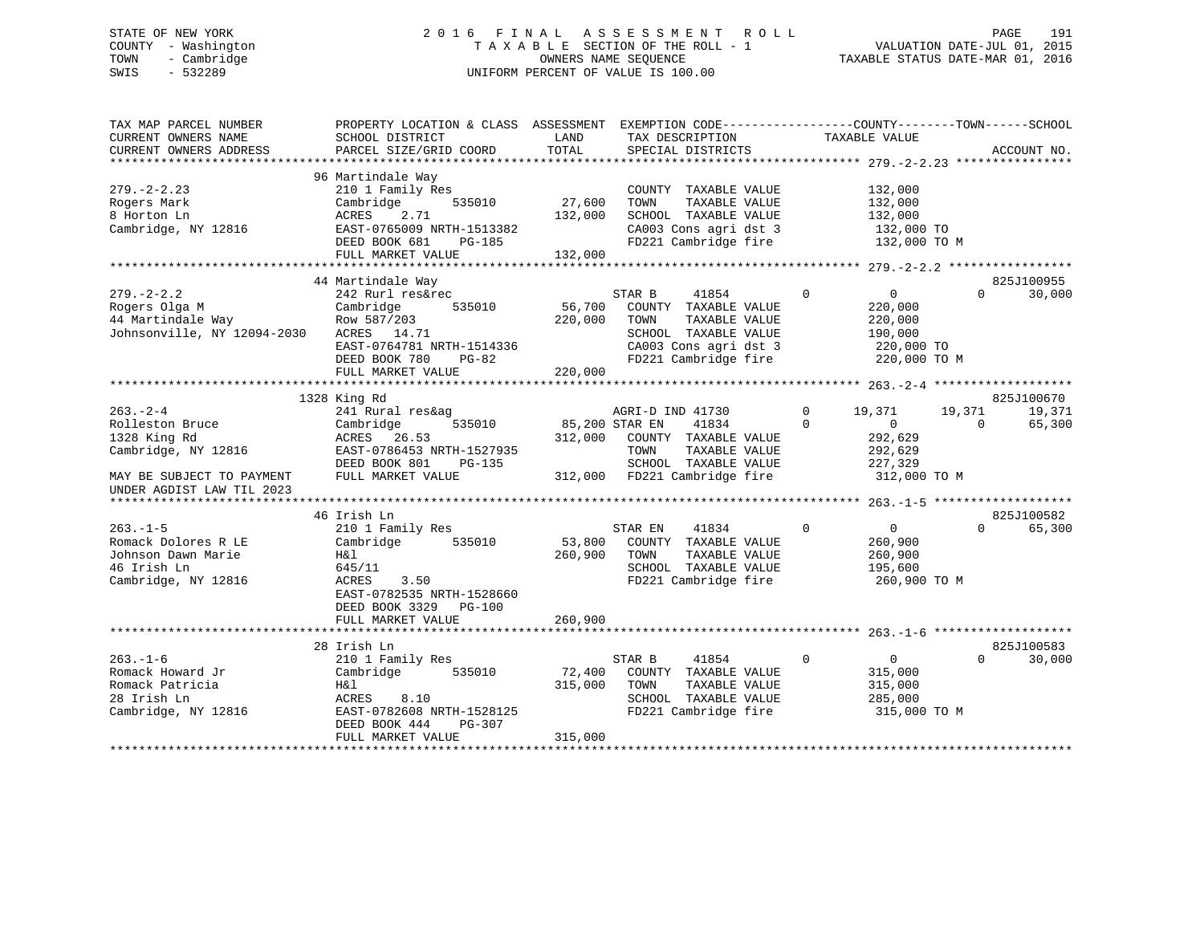## STATE OF NEW YORK 2 0 1 6 F I N A L A S S E S S M E N T R O L L PAGE 191 COUNTY - Washington T A X A B L E SECTION OF THE ROLL - 1 VALUATION DATE-JUL 01, 2015 TOWN - Cambridge OWNERS NAME SEQUENCE TAXABLE STATUS DATE-MAR 01, 2016 SWIS - 532289 UNIFORM PERCENT OF VALUE IS 100.00

| TAX MAP PARCEL NUMBER<br>CURRENT OWNERS NAME<br>CURRENT OWNERS ADDRESS                                | PROPERTY LOCATION & CLASS ASSESSMENT<br>SCHOOL DISTRICT<br>PARCEL SIZE/GRID COORD                                                                          | LAND<br>TOTAL                | EXEMPTION CODE-----------------COUNTY-------TOWN------SCHOOL<br>TAX DESCRIPTION<br>SPECIAL DISTRICTS                                       | TAXABLE VALUE                                                                                        |                    | ACCOUNT NO.                    |
|-------------------------------------------------------------------------------------------------------|------------------------------------------------------------------------------------------------------------------------------------------------------------|------------------------------|--------------------------------------------------------------------------------------------------------------------------------------------|------------------------------------------------------------------------------------------------------|--------------------|--------------------------------|
| $279. - 2 - 2.23$<br>Rogers Mark<br>8 Horton Ln<br>Cambridge, NY 12816                                | 96 Martindale Way<br>210 1 Family Res<br>Cambridge<br>535010<br>2.71<br>ACRES<br>EAST-0765009 NRTH-1513382<br>DEED BOOK 681<br>PG-185<br>FULL MARKET VALUE | 27,600<br>132,000<br>132,000 | COUNTY TAXABLE VALUE<br>TAXABLE VALUE<br>TOWN<br>SCHOOL TAXABLE VALUE<br>CA003 Cons agri dst 3<br>FD221 Cambridge fire                     | 132,000<br>132,000<br>132,000<br>132,000 TO<br>132,000 TO M                                          |                    |                                |
|                                                                                                       | 44 Martindale Way                                                                                                                                          |                              |                                                                                                                                            |                                                                                                      |                    | 825J100955                     |
| $279. - 2 - 2.2$<br>Rogers Olga M<br>44 Martindale Way<br>Johnsonville, NY 12094-2030                 | 242 Rurl res&rec<br>Cambridge<br>535010<br>Row 587/203<br>ACRES 14.71<br>EAST-0764781 NRTH-1514336<br>DEED BOOK 780<br>$PG-82$<br>FULL MARKET VALUE        | 56,700<br>220,000<br>220,000 | STAR B<br>41854<br>COUNTY TAXABLE VALUE<br>TOWN<br>TAXABLE VALUE<br>SCHOOL TAXABLE VALUE<br>CA003 Cons agri dst 3<br>FD221 Cambridge fire  | $\Omega$<br>$\overline{0}$<br>220,000<br>220,000<br>190,000<br>220,000 TO<br>220,000 TO M            | $\Omega$           | 30,000                         |
|                                                                                                       |                                                                                                                                                            |                              |                                                                                                                                            |                                                                                                      |                    |                                |
| $263. - 2 - 4$<br>Rolleston Bruce<br>1328 King Rd<br>Cambridge, NY 12816<br>MAY BE SUBJECT TO PAYMENT | 1328 King Rd<br>241 Rural res&ag<br>535010<br>Cambridge<br>ACRES 26.53<br>EAST-0786453 NRTH-1527935<br>DEED BOOK 801<br>$PG-135$<br>FULL MARKET VALUE      | 85,200 STAR EN               | AGRI-D IND 41730<br>41834<br>312,000 COUNTY TAXABLE VALUE<br>TAXABLE VALUE<br>TOWN<br>SCHOOL TAXABLE VALUE<br>312,000 FD221 Cambridge fire | $\mathbf 0$<br>19,371<br>$\Omega$<br>$\overline{0}$<br>292,629<br>292,629<br>227,329<br>312,000 TO M | 19,371<br>$\Omega$ | 825J100670<br>19,371<br>65,300 |
| UNDER AGDIST LAW TIL 2023                                                                             |                                                                                                                                                            |                              |                                                                                                                                            |                                                                                                      |                    |                                |
|                                                                                                       | 46 Irish Ln                                                                                                                                                |                              |                                                                                                                                            |                                                                                                      |                    | 825J100582                     |
| $263 - 1 - 5$<br>Romack Dolores R LE<br>Johnson Dawn Marie<br>46 Irish Ln<br>Cambridge, NY 12816      | 210 1 Family Res<br>Cambridge<br>535010<br>H&l<br>645/11<br>ACRES<br>3.50<br>EAST-0782535 NRTH-1528660<br>DEED BOOK 3329<br><b>PG-100</b>                  | 53,800<br>260,900            | STAR EN<br>41834<br>COUNTY TAXABLE VALUE<br>TOWN<br>TAXABLE VALUE<br>SCHOOL TAXABLE VALUE<br>FD221 Cambridge fire                          | $\overline{0}$<br>$\mathbf 0$<br>260,900<br>260,900<br>195,600<br>260,900 TO M                       | $\Omega$           | 65,300                         |
|                                                                                                       | FULL MARKET VALUE                                                                                                                                          | 260,900                      |                                                                                                                                            |                                                                                                      |                    |                                |
|                                                                                                       | 28 Irish Ln                                                                                                                                                |                              |                                                                                                                                            |                                                                                                      |                    | 825J100583                     |
| $263. - 1 - 6$<br>Romack Howard Jr<br>Romack Patricia<br>28 Irish Ln<br>Cambridge, NY 12816           | 210 1 Family Res<br>Cambridge<br>535010<br>H&l<br>ACRES<br>8.10<br>EAST-0782608 NRTH-1528125<br>DEED BOOK 444<br>PG-307<br>FULL MARKET VALUE               | 72,400<br>315,000<br>315,000 | STAR B<br>41854<br>COUNTY TAXABLE VALUE<br>TAXABLE VALUE<br>TOWN<br>SCHOOL TAXABLE VALUE<br>FD221 Cambridge fire                           | $\mathbf 0$<br>$\overline{0}$<br>315,000<br>315,000<br>285,000<br>315,000 TO M                       | $\Omega$           | 30,000                         |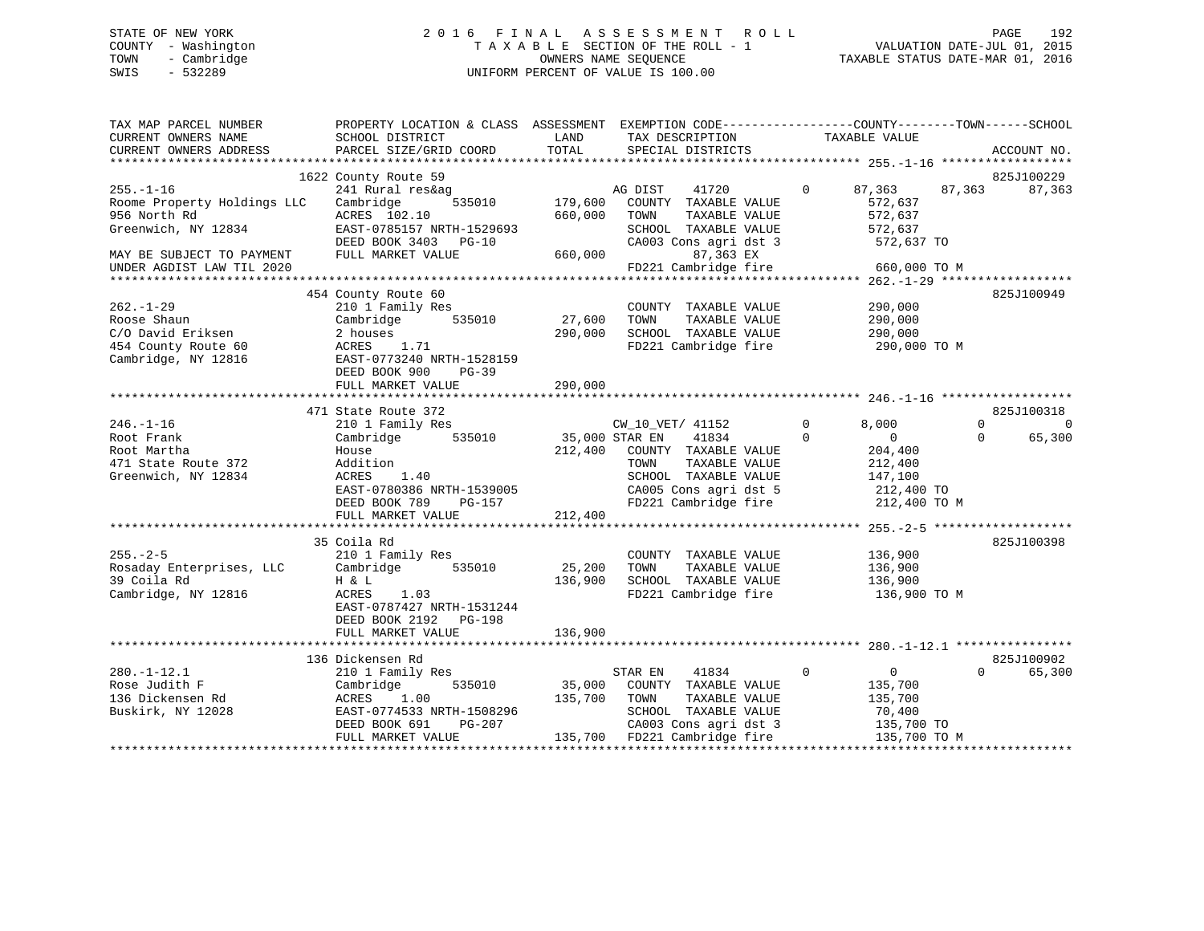## STATE OF NEW YORK 2 0 1 6 F I N A L A S S E S S M E N T R O L L PAGE 192 COUNTY - Washington T A X A B L E SECTION OF THE ROLL - 1 VALUATION DATE-JUL 01, 2015 TOWN - Cambridge OWNERS NAME SEQUENCE TAXABLE STATUS DATE-MAR 01, 2016 SWIS - 532289 UNIFORM PERCENT OF VALUE IS 100.00

| TAX MAP PARCEL NUMBER<br>CURRENT OWNERS NAME<br>CURRENT OWNERS ADDRESS                                                                          | PROPERTY LOCATION & CLASS ASSESSMENT EXEMPTION CODE----------------COUNTY-------TOWN------SCHOOL<br>SCHOOL DISTRICT<br>PARCEL SIZE/GRID COORD                             | LAND<br>TOTAL                        | TAX DESCRIPTION<br>SPECIAL DISTRICTS                                                                                                                    | TAXABLE VALUE                                                                                                     | ACCOUNT NO.                                   |
|-------------------------------------------------------------------------------------------------------------------------------------------------|---------------------------------------------------------------------------------------------------------------------------------------------------------------------------|--------------------------------------|---------------------------------------------------------------------------------------------------------------------------------------------------------|-------------------------------------------------------------------------------------------------------------------|-----------------------------------------------|
| $255. - 1 - 16$<br>Roome Property Holdings LLC<br>956 North Rd<br>Greenwich, NY 12834<br>MAY BE SUBJECT TO PAYMENT<br>UNDER AGDIST LAW TIL 2020 | 1622 County Route 59<br>241 Rural res&ag<br>Cambridge<br>535010<br>ACRES 102.10<br>EAST-0785157 NRTH-1529693<br>DEED BOOK 3403 PG-10<br>FULL MARKET VALUE                 | 179,600<br>660,000<br>660,000        | AG DIST<br>41720<br>COUNTY TAXABLE VALUE<br>TOWN<br>TAXABLE VALUE<br>SCHOOL TAXABLE VALUE<br>CA003 Cons agri dst 3<br>87,363 EX<br>FD221 Cambridge fire | $\Omega$<br>87,363<br>572,637<br>572,637<br>572,637<br>572,637 TO<br>660,000 TO M                                 | 825J100229<br>87,363<br>87,363                |
| $262. - 1 - 29$<br>Roose Shaun<br>C/O David Eriksen<br>454 County Route 60<br>Cambridge, NY 12816                                               | 454 County Route 60<br>210 1 Family Res<br>Cambridge<br>535010<br>2 houses<br>ACRES<br>1.71<br>EAST-0773240 NRTH-1528159<br>DEED BOOK 900<br>$PG-39$<br>FULL MARKET VALUE | 27,600<br>290,000<br>290,000         | COUNTY TAXABLE VALUE<br>TOWN<br>TAXABLE VALUE<br>SCHOOL TAXABLE VALUE<br>FD221 Cambridge fire                                                           | 290,000<br>290,000<br>290,000<br>290,000 TO M                                                                     | 825J100949                                    |
|                                                                                                                                                 | 471 State Route 372                                                                                                                                                       |                                      |                                                                                                                                                         |                                                                                                                   | 825J100318                                    |
| $246. - 1 - 16$<br>Root Frank<br>Root Martha<br>471 State Route 372<br>Greenwich, NY 12834                                                      | 210 1 Family Res<br>535010<br>Cambridge<br>House<br>Addition<br>1.40<br>ACRES<br>EAST-0780386 NRTH-1539005<br>DEED BOOK 789<br>PG-157<br>FULL MARKET VALUE                | 35,000 STAR EN<br>212,400<br>212,400 | CW_10_VET/ 41152<br>41834<br>COUNTY TAXABLE VALUE<br>TAXABLE VALUE<br>TOWN<br>SCHOOL TAXABLE VALUE<br>CA005 Cons agri dst 5<br>FD221 Cambridge fire     | $\mathbf 0$<br>8,000<br>$\Omega$<br>$\overline{0}$<br>204,400<br>212,400<br>147,100<br>212,400 TO<br>212,400 TO M | $\Omega$<br>$\mathbf 0$<br>$\Omega$<br>65,300 |
| $255. - 2 - 5$<br>Rosaday Enterprises, LLC<br>39 Coila Rd<br>Cambridge, NY 12816                                                                | 35 Coila Rd<br>210 1 Family Res<br>535010<br>Cambridge<br>H & L<br>ACRES<br>1.03<br>EAST-0787427 NRTH-1531244<br>DEED BOOK 2192    PG-198<br>FULL MARKET VALUE            | 25,200<br>136,900<br>136,900         | COUNTY TAXABLE VALUE<br>TAXABLE VALUE<br>TOWN<br>SCHOOL TAXABLE VALUE<br>FD221 Cambridge fire                                                           | 136,900<br>136,900<br>136,900<br>136,900 ТО М                                                                     | 825J100398                                    |
|                                                                                                                                                 |                                                                                                                                                                           |                                      |                                                                                                                                                         |                                                                                                                   |                                               |
| $280. -1 - 12.1$<br>Rose Judith F<br>136 Dickensen Rd<br>Buskirk, NY 12028                                                                      | 136 Dickensen Rd<br>210 1 Family Res<br>535010<br>Cambridge<br>1.00<br>ACRES<br>EAST-0774533 NRTH-1508296<br>$PG-207$<br>DEED BOOK 691<br>FULL MARKET VALUE               | 35,000<br>135,700                    | STAR EN<br>41834<br>COUNTY TAXABLE VALUE<br>TOWN<br>TAXABLE VALUE<br>SCHOOL TAXABLE VALUE<br>CA003 Cons agri dst 3<br>135,700 FD221 Cambridge fire      | $\mathbf 0$<br>$\mathbf 0$<br>135,700<br>135,700<br>70,400<br>135,700 TO<br>135,700 TO M                          | 825J100902<br>65,300<br>$\Omega$              |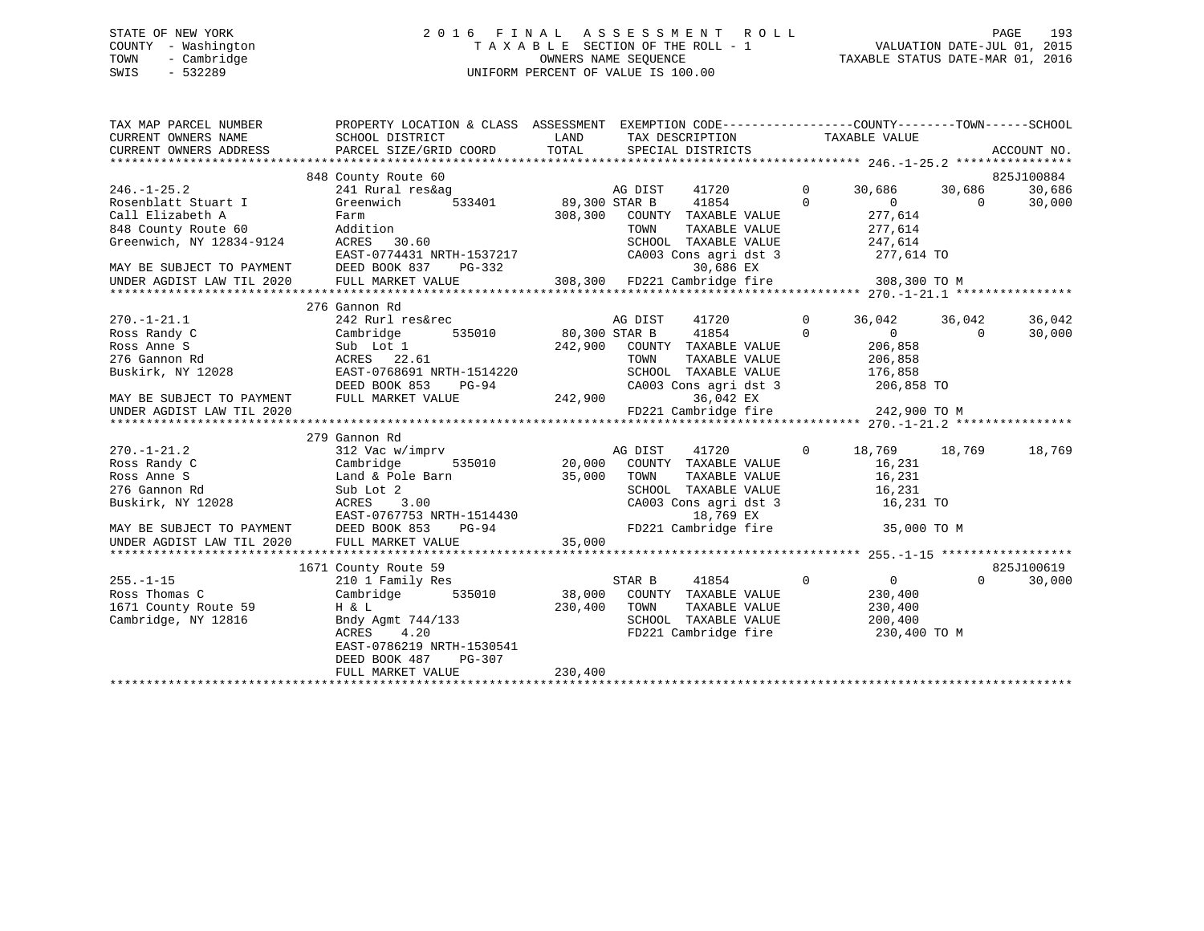## STATE OF NEW YORK 2 0 1 6 F I N A L A S S E S S M E N T R O L L PAGE 193 COUNTY - Washington T A X A B L E SECTION OF THE ROLL - 1 VALUATION DATE-JUL 01, 2015 TOWN - Cambridge OWNERS NAME SEQUENCE TAXABLE STATUS DATE-MAR 01, 2016 SWIS - 532289 UNIFORM PERCENT OF VALUE IS 100.00

| TAX MAP PARCEL NUMBER<br>CURRENT OWNERS NAME<br>CURRENT OWNERS ADDRESS | PROPERTY LOCATION & CLASS ASSESSMENT EXEMPTION CODE---------------COUNTY-------TOWN-----SCHOOL<br>SCHOOL DISTRICT<br>PARCEL SIZE/GRID COORD | LAND<br>TOTAL        |         | TAX DESCRIPTION TAXABLE VALUE<br>SPECIAL DISTRICTS |                |                |          | ACCOUNT NO. |
|------------------------------------------------------------------------|---------------------------------------------------------------------------------------------------------------------------------------------|----------------------|---------|----------------------------------------------------|----------------|----------------|----------|-------------|
|                                                                        |                                                                                                                                             |                      |         |                                                    |                |                |          |             |
|                                                                        | 848 County Route 60                                                                                                                         |                      |         |                                                    |                |                |          | 825J100884  |
| $246. - 1 - 25.2$                                                      | 241 Rural res&ag                                                                                                                            |                      | AG DIST | 41720                                              | $\mathbf 0$    | 30,686         | 30,686   | 30,686      |
| Rosenblatt Stuart I                                                    | Greenwich                                                                                                                                   | 533401 89,300 STAR B |         | 41854                                              | $\Omega$       | $\Omega$       | $\Omega$ | 30,000      |
| Call Elizabeth A                                                       | Farm                                                                                                                                        | 308,300              |         | COUNTY TAXABLE VALUE                               |                | 277,614        |          |             |
| 848 County Route 60                                                    | Addition                                                                                                                                    |                      | TOWN    | TAXABLE VALUE                                      |                | 277,614        |          |             |
| Greenwich, NY 12834-9124                                               | 30.60<br>ACRES                                                                                                                              |                      |         | SCHOOL TAXABLE VALUE                               |                | 247,614        |          |             |
|                                                                        | EAST-0774431 NRTH-1537217                                                                                                                   |                      |         | CA003 Cons agri dst 3                              |                | 277,614 TO     |          |             |
| MAY BE SUBJECT TO PAYMENT<br>UNDER AGDIST LAW TIL 2020                 | DEED BOOK 837<br>PG-332                                                                                                                     |                      |         | 30,686 EX                                          |                |                |          |             |
| UNDER AGDIST LAW TIL 2020                                              | FULL MARKET VALUE                                                                                                                           |                      |         | 308,300 FD221 Cambridge fire                       |                | 308,300 TO M   |          |             |
|                                                                        |                                                                                                                                             |                      |         |                                                    |                |                |          |             |
|                                                                        | 276 Gannon Rd                                                                                                                               |                      |         |                                                    |                |                |          |             |
| $270. - 1 - 21.1$                                                      | 242 Rurl res&rec                                                                                                                            |                      | AG DIST | 41720                                              | $\Omega$       | 36,042         | 36,042   | 36,042      |
| Ross Randy C                                                           | Cambridge                                                                                                                                   | 535010 80,300 STAR B |         | 41854                                              | $\Omega$       | 0              | $\Omega$ | 30,000      |
| Ross Anne S                                                            | Sub Lot 1                                                                                                                                   | 242,900              |         | COUNTY TAXABLE VALUE                               |                | 206,858        |          |             |
| 276 Gannon Rd                                                          | ACRES 22.61                                                                                                                                 |                      | TOWN    | TAXABLE VALUE                                      |                | 206,858        |          |             |
| Buskirk, NY 12028                                                      | EAST-0768691 NRTH-1514220                                                                                                                   |                      |         | SCHOOL TAXABLE VALUE                               |                | 176,858        |          |             |
|                                                                        | DEED BOOK 853<br>PG-94                                                                                                                      |                      |         | CA003 Cons agri dst 3                              |                | 206,858 TO     |          |             |
| MAY BE SUBJECT TO PAYMENT                                              | FULL MARKET VALUE                                                                                                                           | 242,900              |         | 36,042 EX                                          |                |                |          |             |
| UNDER AGDIST LAW TIL 2020                                              |                                                                                                                                             |                      |         | FD221 Cambridge fire                               |                | 242,900 TO M   |          |             |
|                                                                        |                                                                                                                                             |                      |         |                                                    |                |                |          |             |
|                                                                        | 279 Gannon Rd                                                                                                                               |                      |         |                                                    |                |                |          |             |
| $270. - 1 - 21.2$                                                      | 312 Vac w/imprv                                                                                                                             |                      | AG DIST | 41720                                              | $\overline{0}$ | 18,769         | 18,769   | 18,769      |
| Ross Randy C                                                           | Cambridge                                                                                                                                   | 535010 20,000        |         | COUNTY TAXABLE VALUE                               |                | 16,231         |          |             |
| Ross Anne S                                                            | Land & Pole Barn                                                                                                                            | 35,000               | TOWN    | TAXABLE VALUE                                      |                | 16,231         |          |             |
| 276 Gannon Rd                                                          | Sub Lot 2                                                                                                                                   |                      |         | SCHOOL TAXABLE VALUE                               |                | 16,231         |          |             |
| Buskirk, NY 12028                                                      | ACRES<br>3.00                                                                                                                               |                      |         | CA003 Cons agri dst 3                              |                | 16,231 TO      |          |             |
|                                                                        | EAST-0767753 NRTH-1514430                                                                                                                   |                      |         | 18,769 EX                                          |                |                |          |             |
| MAY BE SUBJECT TO PAYMENT                                              | DEED BOOK 853<br>PG-94                                                                                                                      |                      |         | FD221 Cambridge fire                               |                | 35,000 TO M    |          |             |
| UNDER AGDIST LAW TIL 2020                                              | FULL MARKET VALUE                                                                                                                           | 35,000               |         |                                                    |                |                |          |             |
|                                                                        |                                                                                                                                             |                      |         |                                                    |                |                |          |             |
|                                                                        | 1671 County Route 59                                                                                                                        |                      |         |                                                    |                |                |          | 825J100619  |
| $255. - 1 - 15$                                                        | 210 1 Family Res                                                                                                                            |                      | STAR B  | $\overline{0}$<br>41854                            |                | $\overline{0}$ | $\Omega$ | 30,000      |
| Ross Thomas C                                                          | 535010<br>Cambridge                                                                                                                         | 38,000               |         | COUNTY TAXABLE VALUE                               |                | 230,400        |          |             |
| 1671 County Route 59                                                   | H & L                                                                                                                                       | 230,400              | TOWN    | TAXABLE VALUE                                      |                | 230,400        |          |             |
| Cambridge, NY 12816                                                    | Bndy Agmt 744/133                                                                                                                           |                      |         | SCHOOL TAXABLE VALUE                               |                | 200,400        |          |             |
|                                                                        | 4.20<br>ACRES                                                                                                                               |                      |         | FD221 Cambridge fire                               |                | 230,400 TO M   |          |             |
|                                                                        | EAST-0786219 NRTH-1530541                                                                                                                   |                      |         |                                                    |                |                |          |             |
|                                                                        | DEED BOOK 487<br>PG-307                                                                                                                     |                      |         |                                                    |                |                |          |             |
|                                                                        | FULL MARKET VALUE                                                                                                                           | 230,400              |         |                                                    |                |                |          |             |
|                                                                        |                                                                                                                                             |                      |         |                                                    |                |                |          |             |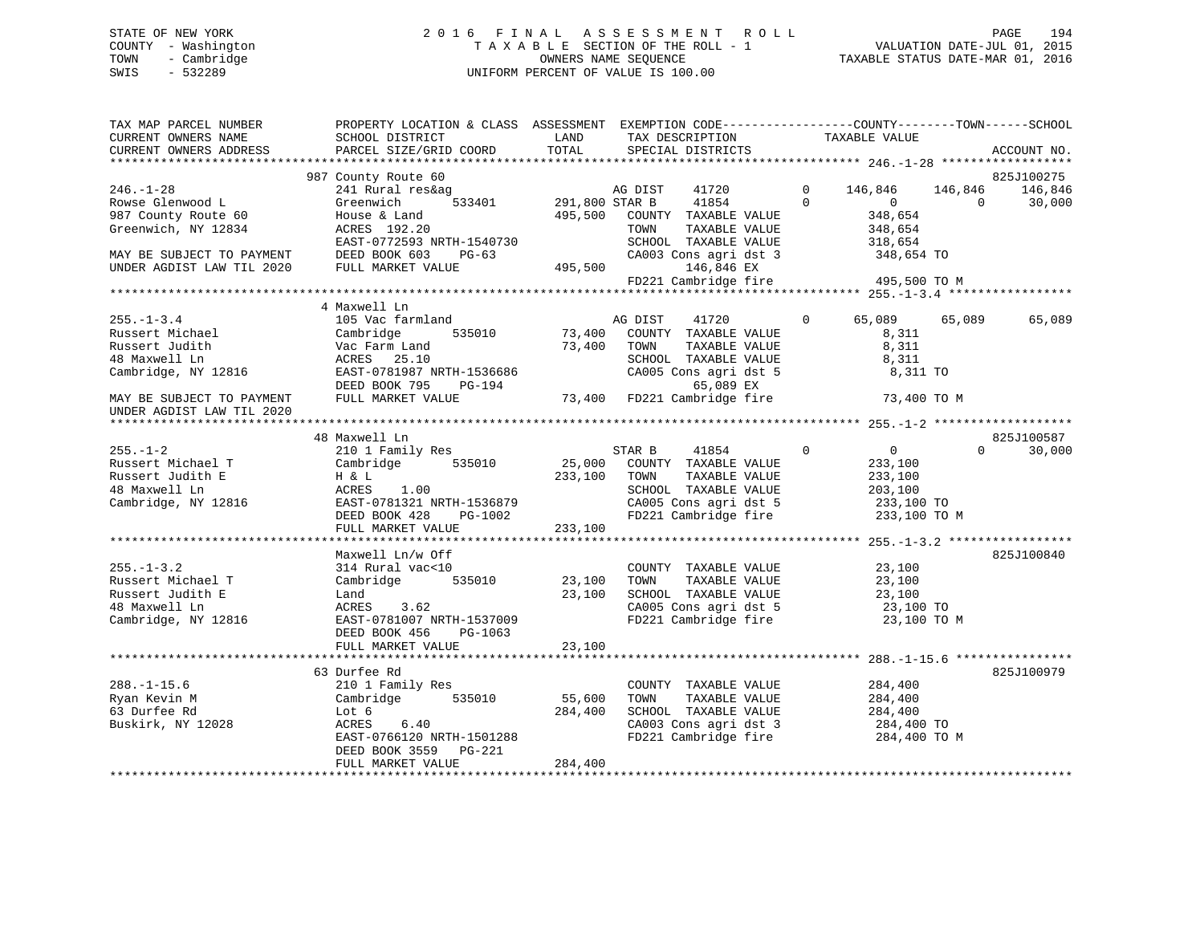## STATE OF NEW YORK 2 0 1 6 F I N A L A S S E S S M E N T R O L L PAGE 194 COUNTY - Washington T A X A B L E SECTION OF THE ROLL - 1 VALUATION DATE-JUL 01, 2015 TOWN - Cambridge OWNERS NAME SEQUENCE TAXABLE STATUS DATE-MAR 01, 2016 SWIS - 532289 UNIFORM PERCENT OF VALUE IS 100.00

| TAX MAP PARCEL NUMBER<br>CURRENT OWNERS NAME<br>CURRENT OWNERS ADDRESS | PROPERTY LOCATION & CLASS ASSESSMENT EXEMPTION CODE---------------COUNTY-------TOWN------SCHOOL<br>SCHOOL DISTRICT<br>PARCEL SIZE/GRID COORD | LAND<br>TOTAL         | TAX DESCRIPTION<br>SPECIAL DISTRICTS                                  | TAXABLE VALUE  |                    | ACCOUNT NO.        |
|------------------------------------------------------------------------|----------------------------------------------------------------------------------------------------------------------------------------------|-----------------------|-----------------------------------------------------------------------|----------------|--------------------|--------------------|
|                                                                        | 987 County Route 60                                                                                                                          |                       |                                                                       |                |                    | 825J100275         |
| $246. - 1 - 28$                                                        | 241 Rural res&ag                                                                                                                             |                       | AG DIST<br>41720                                                      | $\overline{0}$ | 146,846<br>146,846 | 146,846            |
| Rowse Glenwood L                                                       | Greenwich                                                                                                                                    | 533401 291,800 STAR B | 41854                                                                 | $\Omega$       | $\overline{0}$     | 30,000<br>$\Omega$ |
| 987 County Route 60                                                    | House & Land                                                                                                                                 |                       | 495,500 COUNTY TAXABLE VALUE                                          |                | 348,654            |                    |
| Greenwich, NY 12834                                                    | ACRES 192.20                                                                                                                                 |                       | TAXABLE VALUE<br>TOWN                                                 |                | 348,654            |                    |
|                                                                        | EAST-0772593 NRTH-1540730                                                                                                                    |                       | SCHOOL TAXABLE VALUE                                                  |                | 318,654            |                    |
| MAY BE SUBJECT TO PAYMENT                                              | DEED BOOK 603<br>PG-63                                                                                                                       |                       | CA003 Cons agri dst 3                                                 |                | 348,654 TO         |                    |
| UNDER AGDIST LAW TIL 2020                                              | FULL MARKET VALUE                                                                                                                            | 495,500               | 146,846 EX                                                            |                |                    |                    |
|                                                                        |                                                                                                                                              |                       | FD221 Cambridge fire                                                  |                | 495,500 TO M       |                    |
|                                                                        |                                                                                                                                              |                       |                                                                       |                |                    |                    |
|                                                                        | 4 Maxwell Ln                                                                                                                                 |                       |                                                                       |                |                    |                    |
| $255. - 1 - 3.4$                                                       | 105 Vac farmland                                                                                                                             |                       | AG DIST<br>41720                                                      | $\Omega$       | 65,089<br>65,089   | 65,089             |
| Russert Michael                                                        | Cambridge<br>535010                                                                                                                          | 73,400                | COUNTY TAXABLE VALUE                                                  |                | 8,311              |                    |
| Russert Judith                                                         | Vac Farm Land                                                                                                                                | 73,400                | TOWN<br>TAXABLE VALUE                                                 |                | 8,311              |                    |
| 48 Maxwell Ln                                                          | ACRES 25.10                                                                                                                                  |                       | SCHOOL TAXABLE VALUE                                                  |                | 8,311              |                    |
| Cambridge, NY 12816                                                    | EAST-0781987 NRTH-1536686                                                                                                                    |                       | CA005 Cons agri dst 5                                                 |                | 8,311 TO           |                    |
|                                                                        | DEED BOOK 795<br>PG-194                                                                                                                      |                       | 65,089 EX                                                             |                |                    |                    |
| MAY BE SUBJECT TO PAYMENT                                              | FULL MARKET VALUE                                                                                                                            |                       | 73,400 FD221 Cambridge fire                                           |                | 73,400 TO M        |                    |
| UNDER AGDIST LAW TIL 2020                                              |                                                                                                                                              |                       |                                                                       |                |                    |                    |
|                                                                        |                                                                                                                                              |                       |                                                                       |                |                    |                    |
|                                                                        | 48 Maxwell Ln                                                                                                                                |                       |                                                                       |                |                    | 825J100587         |
| $255. - 1 - 2$                                                         | 210 1 Family Res                                                                                                                             |                       | STAR B<br>41854                                                       | $\Omega$       | $\overline{0}$     | $\Omega$<br>30,000 |
| Russert Michael T                                                      | Cambridge 535010                                                                                                                             |                       | 25,000 COUNTY TAXABLE VALUE                                           |                | 233,100            |                    |
| Russert Judith E                                                       | H & L                                                                                                                                        | 233,100               | TAXABLE VALUE<br>TOWN                                                 |                | 233,100            |                    |
| 48 Maxwell Ln                                                          | ACRES<br>1.00                                                                                                                                |                       | SCHOOL TAXABLE VALUE                                                  |                | 203,100            |                    |
| Cambridge, NY 12816                                                    | EAST-0781321 NRTH-1536879                                                                                                                    |                       |                                                                       |                |                    |                    |
|                                                                        | DEED BOOK 428<br>PG-1002                                                                                                                     |                       | CA005 Cons agri dst 5 233,100 TO<br>FD221 Cambridge fire 233,100 TO M |                |                    |                    |
|                                                                        | FULL MARKET VALUE                                                                                                                            | 233,100               |                                                                       |                |                    |                    |
|                                                                        |                                                                                                                                              |                       |                                                                       |                |                    |                    |
|                                                                        | Maxwell Ln/w Off                                                                                                                             |                       |                                                                       |                |                    | 825J100840         |
| $255. - 1 - 3.2$                                                       | 314 Rural vac<10                                                                                                                             |                       | COUNTY TAXABLE VALUE                                                  |                | 23,100             |                    |
| Russert Michael T                                                      | Cambridge<br>535010                                                                                                                          | 23,100                | TAXABLE VALUE<br>TOWN                                                 |                | 23,100             |                    |
| Russert Judith E                                                       | Land                                                                                                                                         | 23,100                | SCHOOL TAXABLE VALUE                                                  |                | 23,100             |                    |
| 48 Maxwell Ln                                                          | ACRES<br>3.62                                                                                                                                |                       | CA005 Cons agri dst 5                                                 |                | 23,100 TO          |                    |
| Cambridge, NY 12816                                                    | EAST-0781007 NRTH-1537009                                                                                                                    |                       | FD221 Cambridge fire                                                  |                | 23,100 TO M        |                    |
|                                                                        | DEED BOOK 456<br>PG-1063                                                                                                                     |                       |                                                                       |                |                    |                    |
|                                                                        | FULL MARKET VALUE                                                                                                                            | 23,100                |                                                                       |                |                    |                    |
|                                                                        | **********************************                                                                                                           |                       |                                                                       |                |                    |                    |
|                                                                        | 63 Durfee Rd                                                                                                                                 |                       |                                                                       |                |                    | 825J100979         |
| $288. - 1 - 15.6$                                                      | 210 1 Family Res                                                                                                                             |                       | COUNTY TAXABLE VALUE                                                  |                | 284,400            |                    |
| Ryan Kevin M                                                           | Cambridge 535010                                                                                                                             | 55,600                | TOWN<br>TAXABLE VALUE                                                 |                | 284,400            |                    |
| 63 Durfee Rd                                                           | Lot 6                                                                                                                                        | 284,400               | SCHOOL TAXABLE VALUE                                                  |                | 284,400            |                    |
| Buskirk, NY 12028                                                      | ACRES<br>6.40                                                                                                                                |                       | CA003 Cons agri dst 3                                                 |                | 284,400 TO         |                    |
|                                                                        | EAST-0766120 NRTH-1501288                                                                                                                    |                       | FD221 Cambridge fire                                                  |                | 284,400 TO M       |                    |
|                                                                        | DEED BOOK 3559 PG-221                                                                                                                        |                       |                                                                       |                |                    |                    |
|                                                                        | FULL MARKET VALUE                                                                                                                            | 284,400               |                                                                       |                |                    |                    |
|                                                                        |                                                                                                                                              |                       |                                                                       |                |                    |                    |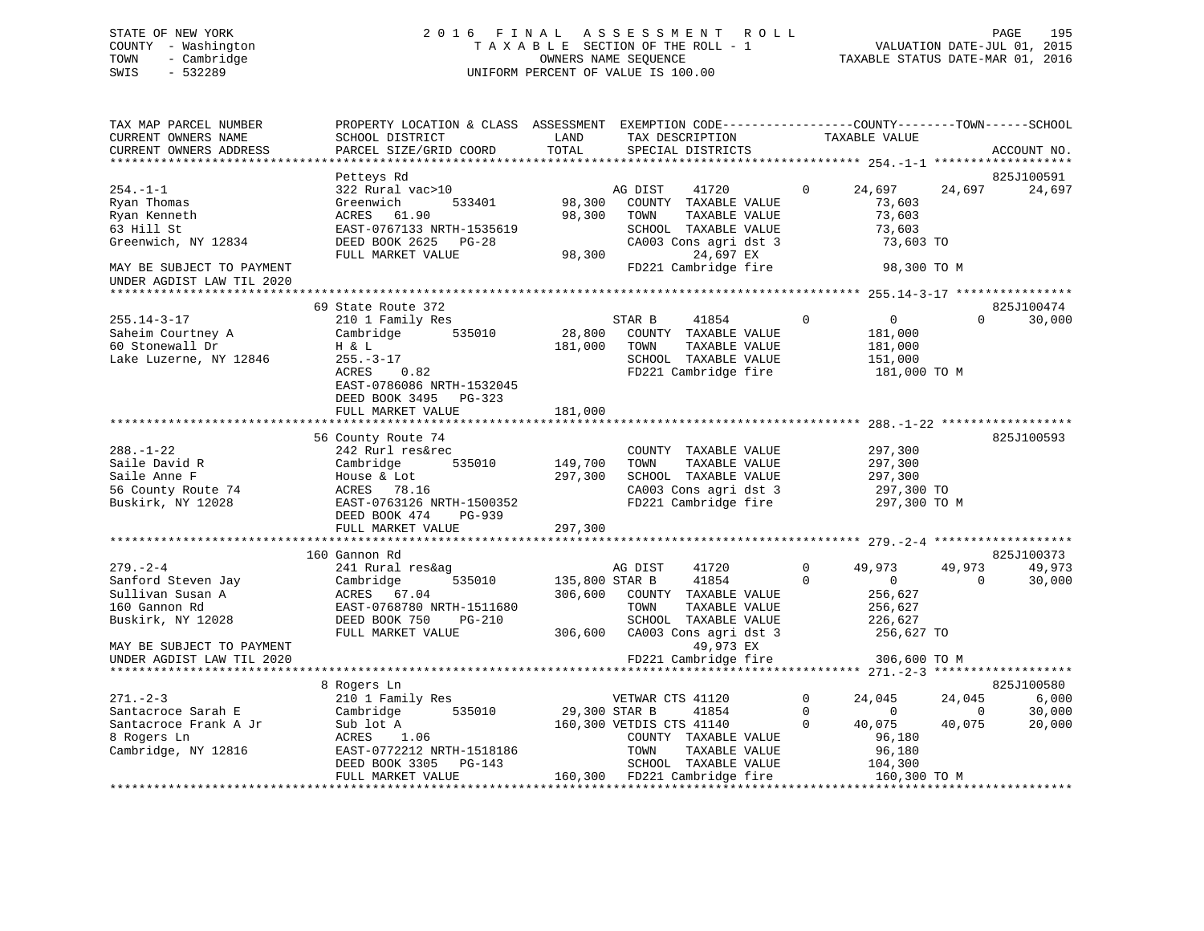## STATE OF NEW YORK 2 0 1 6 F I N A L A S S E S S M E N T R O L L PAGE 195 COUNTY - Washington T A X A B L E SECTION OF THE ROLL - 1 VALUATION DATE-JUL 01, 2015 TOWN - Cambridge OWNERS NAME SEQUENCE TAXABLE STATUS DATE-MAR 01, 2016 SWIS - 532289 UNIFORM PERCENT OF VALUE IS 100.00

| TAX MAP PARCEL NUMBER<br>CURRENT OWNERS NAME<br>CURRENT OWNERS ADDRESS                                                                       | PROPERTY LOCATION & CLASS ASSESSMENT EXEMPTION CODE---------------COUNTY-------TOWN-----SCHOOL<br>SCHOOL DISTRICT<br>PARCEL SIZE/GRID COORD                                                                 | LAND<br>TOTAL                                  | TAX DESCRIPTION<br>SPECIAL DISTRICTS                                                                                                                                                    | TAXABLE VALUE                                               |                                                                                     | ACCOUNT NO.                             |
|----------------------------------------------------------------------------------------------------------------------------------------------|-------------------------------------------------------------------------------------------------------------------------------------------------------------------------------------------------------------|------------------------------------------------|-----------------------------------------------------------------------------------------------------------------------------------------------------------------------------------------|-------------------------------------------------------------|-------------------------------------------------------------------------------------|-----------------------------------------|
| $254. - 1 - 1$<br>Ryan Thomas<br>Ryan Kenneth<br>63 Hill St<br>Greenwich, NY 12834<br>MAY BE SUBJECT TO PAYMENT<br>UNDER AGDIST LAW TIL 2020 | Petteys Rd<br>322 Rural vac>10<br>Greenwich<br>533401<br>ACRES 61.90<br>EAST-0767133 NRTH-1535619<br>DEED BOOK 2625 PG-28<br>FULL MARKET VALUE                                                              | 98,300<br>98,300<br>98,300                     | AG DIST<br>41720<br>COUNTY TAXABLE VALUE<br>TOWN<br>TAXABLE VALUE<br>SCHOOL TAXABLE VALUE<br>CA003 Cons agri dst 3<br>24,697 EX<br>FD221 Cambridge fire                                 | $\mathbf{0}$                                                | 24,697<br>24,697<br>73,603<br>73,603<br>73,603<br>73,603 TO<br>98,300 TO M          | 825J100591<br>24,697                    |
| $255.14 - 3 - 17$<br>Saheim Courtney A<br>60 Stonewall Dr<br>Lake Luzerne, NY 12846                                                          | 69 State Route 372<br>210 1 Family Res<br>535010<br>Cambridge<br>H & L<br>$255. - 3 - 17$<br>ACRES<br>0.82<br>EAST-0786086 NRTH-1532045<br>DEED BOOK 3495 PG-323                                            | 28,800<br>181,000                              | STAR B<br>41854<br>COUNTY TAXABLE VALUE<br>TOWN<br>TAXABLE VALUE<br>SCHOOL TAXABLE VALUE<br>FD221 Cambridge fire                                                                        | $\mathbf 0$                                                 | $\overline{0}$<br>$\Omega$<br>181,000<br>181,000<br>151,000<br>181,000 TO M         | 825J100474<br>30,000                    |
|                                                                                                                                              | FULL MARKET VALUE                                                                                                                                                                                           | 181,000                                        |                                                                                                                                                                                         |                                                             |                                                                                     |                                         |
| $288. - 1 - 22$<br>Saile David R<br>Saile Anne F<br>56 County Route 74<br>Buskirk, NY 12028                                                  | 56 County Route 74<br>242 Rurl res&rec<br>535010<br>Cambridge<br>House & Lot<br>ACRES 78.16<br>EAST-0763126 NRTH-1500352<br>DEED BOOK 474<br>$PG-939$<br>FULL MARKET VALUE<br>***************************** | 149,700<br>297,300<br>297,300<br>************* | COUNTY TAXABLE VALUE<br>TOWN<br>TAXABLE VALUE<br>SCHOOL TAXABLE VALUE<br>CA003 Cons agri dst 3<br>FD221 Cambridge fire<br>******************************** 279.-2-4 ******************* |                                                             | 297,300<br>297,300<br>297,300<br>297,300 TO<br>297,300 TO M                         | 825J100593                              |
|                                                                                                                                              | 160 Gannon Rd                                                                                                                                                                                               |                                                |                                                                                                                                                                                         |                                                             |                                                                                     | 825J100373                              |
| $279. - 2 - 4$<br>Sanford Steven Jay<br>Sullivan Susan A<br>160 Gannon Rd<br>Buskirk, NY 12028                                               | 241 Rural res&ag<br>535010<br>Cambridge<br>ACRES 67.04<br>EAST-0768780 NRTH-1511680<br>DEED BOOK 750<br>PG-210<br>FULL MARKET VALUE                                                                         | 135,800 STAR B<br>306,600<br>306,600           | AG DIST<br>41720<br>41854<br>COUNTY TAXABLE VALUE<br>TOWN<br>TAXABLE VALUE<br>SCHOOL TAXABLE VALUE<br>CA003 Cons agri dst 3                                                             | $\mathbf{0}$<br>49,973<br>$\Omega$                          | 49,973<br>$\overline{0}$<br>$\Omega$<br>256,627<br>256,627<br>226,627<br>256,627 TO | 49,973<br>30,000                        |
| MAY BE SUBJECT TO PAYMENT<br>UNDER AGDIST LAW TIL 2020                                                                                       |                                                                                                                                                                                                             |                                                | 49,973 EX<br>FD221 Cambridge fire                                                                                                                                                       |                                                             | 306,600 TO M                                                                        |                                         |
| ****************************                                                                                                                 |                                                                                                                                                                                                             |                                                |                                                                                                                                                                                         |                                                             |                                                                                     |                                         |
| $271. - 2 - 3$<br>Santacroce Sarah E<br>Santacroce Frank A Jr<br>8 Rogers Ln<br>Cambridge, NY 12816                                          | 8 Rogers Ln<br>210 1 Family Res<br>535010<br>Cambridge<br>Sub lot A<br>ACRES<br>1.06<br>EAST-0772212 NRTH-1518186<br>DEED BOOK 3305 PG-143                                                                  | 29,300 STAR B                                  | VETWAR CTS 41120<br>41854<br>160,300 VETDIS CTS 41140<br>COUNTY TAXABLE VALUE<br>TOWN<br>TAXABLE VALUE<br>SCHOOL TAXABLE VALUE                                                          | $\mathbf{0}$<br>24,045<br>$\mathbf 0$<br>$\Omega$<br>40,075 | 24,045<br>$\Omega$<br>$\Omega$<br>40,075<br>96,180<br>96,180<br>104,300             | 825J100580<br>6,000<br>30,000<br>20,000 |
|                                                                                                                                              | FULL MARKET VALUE                                                                                                                                                                                           |                                                | 160,300 FD221 Cambridge fire                                                                                                                                                            |                                                             | 160,300 TO M                                                                        |                                         |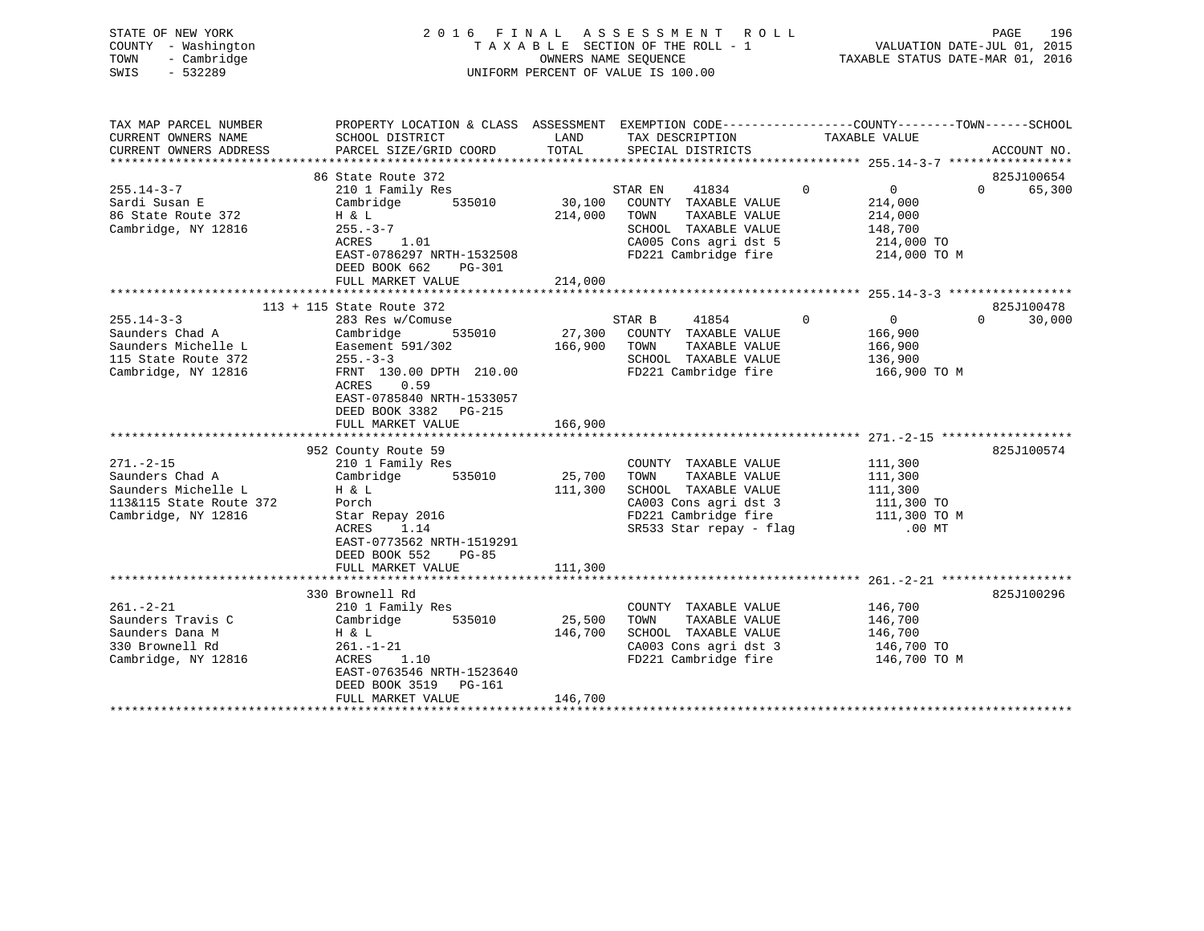| STATE OF NEW YORK<br>- Washington<br>COUNTY<br>TOWN<br>- Cambridge<br>$-532289$<br>SWIS                                                    | 2016 FINAL ASSESSMENT ROLL<br>UNIFORM PERCENT OF VALUE IS 100.00                                                                                                                                                             |                    |                                                                                                                          |                                                    | 196<br>PAGE                               |  |  |
|--------------------------------------------------------------------------------------------------------------------------------------------|------------------------------------------------------------------------------------------------------------------------------------------------------------------------------------------------------------------------------|--------------------|--------------------------------------------------------------------------------------------------------------------------|----------------------------------------------------|-------------------------------------------|--|--|
| TAX MAP PARCEL NUMBER<br>CURRENT OWNERS NAME<br>CURRENT OWNERS ADDRESS PARCEL SIZE/GRID COORD TOTAL                                        | PROPERTY LOCATION & CLASS ASSESSMENT EXEMPTION CODE----------------COUNTY-------TOWN------SCHOOL<br>SCHOOL DISTRICT                                                                                                          | LAND               | TAX DESCRIPTION TAXABLE VALUE<br>SPECIAL DISTRICTS                                                                       |                                                    | ACCOUNT NO.                               |  |  |
| $255.14 - 3 - 7$<br>Sardi Susan E<br>86 State Route 372<br>Cambridge, NY 12816                                                             | 86 State Route 372<br>210 1 Family Res<br>Cambridge 535010 30,100 COUNTY TAXABLE VALUE 214,000<br>$H \& L$<br>$255. - 3 - 7$<br>ACRES 1.01<br>EAST-0786297 NRTH-1532508<br>DEED BOOK 662<br>PG-301<br>FULL MARKET VALUE      | 214,000<br>214,000 | STAR EN<br>TOWN<br>SCHOOL TAXABLE VALUE 148,700<br>CA005 Cons agri dst 5 214,000 TO<br>FD221 Cambridge fire 214,000 TO M | 41834 0<br>$\overline{0}$<br>TAXABLE VALUE 214,000 | 825J100654<br>65,300<br>$0 \qquad \qquad$ |  |  |
|                                                                                                                                            |                                                                                                                                                                                                                              |                    |                                                                                                                          |                                                    |                                           |  |  |
| $255.14 - 3 - 3$<br>Saunders Chad A<br>Saunders Michelle L Easement 591/302 166,900<br>115 State Route 372 255.-3-3<br>Cambridge, NY 12816 | 113 + 115 State Route 372<br>283 Res w/Comuse<br>Cambridge 535010 27,300 COUNTY TAXABLE VALUE 166,900<br>FRNT 130.00 DPTH 210.00<br>ACRES 0.59<br>EAST-0785840 NRTH-1533057<br>DEED BOOK 3382<br>PG-215<br>FULL MARKET VALUE | 166,900            | 41854 0<br>STAR B<br>TAXABLE VALUE<br>TOWN<br>SCHOOL TAXABLE VALUE 136,900<br>FD221 Cambridge fire                       | $0 \qquad \qquad$<br>166,900<br>166,900 TO M       | 825J100478<br>$0 \qquad \qquad$<br>30,000 |  |  |
|                                                                                                                                            |                                                                                                                                                                                                                              |                    |                                                                                                                          |                                                    |                                           |  |  |
| $271. - 2 - 15$<br>Saunders Chad A<br>Saunders Michelle L<br>113&115 State Route 372                                                       | 952 County Route 59<br>210 1 Family Res<br>Cambridge<br>535010<br>H & L<br>Porch                                                                                                                                             | 25,700<br>111,300  | COUNTY TAXABLE VALUE<br>TOWN<br>TAXABLE VALUE<br>SCHOOL TAXABLE VALUE<br>CA003 Cons agri dst 3                           | 111,300<br>111,300<br>111,300<br>111,300 TO        | 825J100574                                |  |  |

| Cambridge, NY 12816 | Star Repay 2016           |         | FD221 Cambridge fire    | 111,300 TO M |
|---------------------|---------------------------|---------|-------------------------|--------------|
|                     | 1.14<br>ACRES             |         | SR533 Star repay - flag | $.00$ MT     |
|                     | EAST-0773562 NRTH-1519291 |         |                         |              |
|                     | DEED BOOK 552 PG-85       |         |                         |              |
|                     | FULL MARKET VALUE         | 111,300 |                         |              |
|                     |                           |         |                         |              |
|                     | 330 Brownell Rd           |         |                         | 825J100296   |
| $261 - 2 - 21$      | 210 1 Family Res          |         | TAXABLE VALUE<br>COUNTY | 146,700      |
| Saunders Travis C   | Cambridge<br>535010       | 25,500  | TOWN<br>TAXABLE VALUE   | 146,700      |
| Saunders Dana M     | $H \& L$                  | 146,700 | SCHOOL TAXABLE VALUE    | 146,700      |
| 330 Brownell Rd     | $261. - 1 - 21$           |         | CA003 Cons agri dst 3   | 146,700 TO   |
| Cambridge, NY 12816 | 1.10<br>ACRES             |         | FD221 Cambridge fire    | 146,700 TO M |
|                     | EAST-0763546 NRTH-1523640 |         |                         |              |
|                     | DEED BOOK 3519 PG-161     |         |                         |              |
|                     | FULL MARKET VALUE         | 146,700 |                         |              |
|                     |                           |         |                         |              |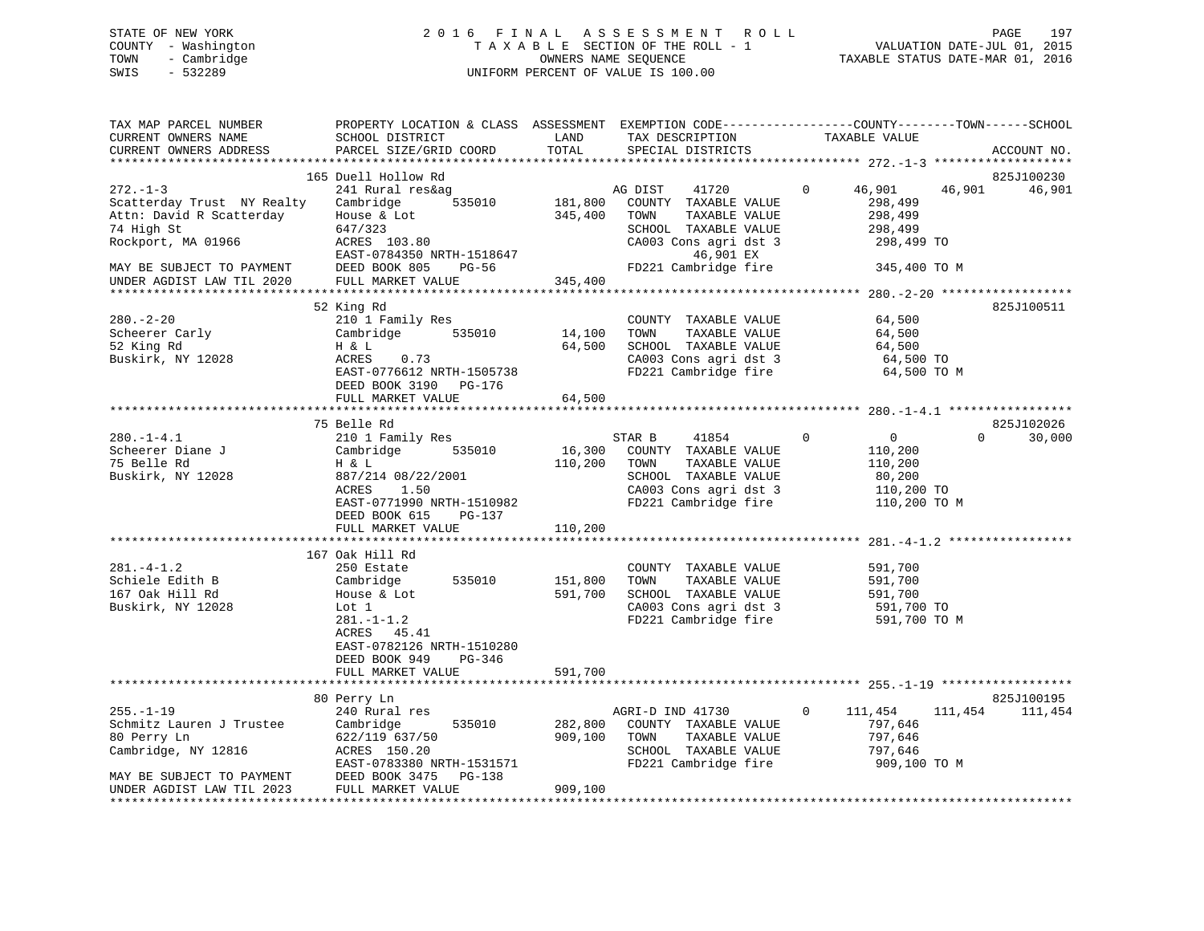## STATE OF NEW YORK 2 0 1 6 F I N A L A S S E S S M E N T R O L L PAGE 197 COUNTY - Washington T A X A B L E SECTION OF THE ROLL - 1 VALUATION DATE-JUL 01, 2015 TOWN - Cambridge OWNERS NAME SEQUENCE TAXABLE STATUS DATE-MAR 01, 2016 SWIS - 532289 UNIFORM PERCENT OF VALUE IS 100.00

| TAX MAP PARCEL NUMBER<br>CURRENT OWNERS NAME<br>CURRENT OWNERS ADDRESS                                                                                                 | PROPERTY LOCATION & CLASS ASSESSMENT EXEMPTION CODE----------------COUNTY-------TOWN------SCHOOL<br>SCHOOL DISTRICT<br>PARCEL SIZE/GRID COORD                                     | LAND<br>TOTAL                 | TAX DESCRIPTION<br>SPECIAL DISTRICTS                                                                                                                    | TAXABLE VALUE                                                                                  | ACCOUNT NO.                    |
|------------------------------------------------------------------------------------------------------------------------------------------------------------------------|-----------------------------------------------------------------------------------------------------------------------------------------------------------------------------------|-------------------------------|---------------------------------------------------------------------------------------------------------------------------------------------------------|------------------------------------------------------------------------------------------------|--------------------------------|
|                                                                                                                                                                        |                                                                                                                                                                                   |                               |                                                                                                                                                         |                                                                                                |                                |
| $272. - 1 - 3$<br>Scatterday Trust NY Realty<br>Attn: David R Scatterday<br>74 High St<br>Rockport, MA 01966<br>MAY BE SUBJECT TO PAYMENT<br>UNDER AGDIST LAW TIL 2020 | 165 Duell Hollow Rd<br>241 Rural res&ag<br>Cambridge<br>535010<br>House & Lot<br>647/323<br>ACRES 103.80<br>EAST-0784350 NRTH-1518647<br>DEED BOOK 805 PG-56<br>FULL MARKET VALUE | 181,800<br>345,400<br>345,400 | AG DIST<br>41720<br>COUNTY TAXABLE VALUE<br>TOWN<br>TAXABLE VALUE<br>SCHOOL TAXABLE VALUE<br>CA003 Cons agri dst 3<br>46,901 EX<br>FD221 Cambridge fire | $\mathbf{0}$<br>46,901<br>298,499<br>298,499<br>298,499<br>298,499 TO<br>345,400 TO M          | 825J100230<br>46,901<br>46,901 |
|                                                                                                                                                                        |                                                                                                                                                                                   |                               |                                                                                                                                                         |                                                                                                |                                |
| $280 - 2 - 20$<br>Scheerer Carly<br>52 King Rd<br>Buskirk, NY 12028                                                                                                    | 52 King Rd<br>210 1 Family Res<br>Cambridge 535010<br>H & L<br>0.73<br>ACRES<br>EAST-0776612 NRTH-1505738<br>DEED BOOK 3190 PG-176                                                | 14,100<br>64,500              | COUNTY TAXABLE VALUE<br>TOWN<br>TAXABLE VALUE<br>SCHOOL TAXABLE VALUE<br>CA003 Cons agri dst 3<br>FD221 Cambridge fire                                  | 64,500<br>64,500<br>64,500<br>64,500 TO<br>64,500 TO M                                         | 825J100511                     |
|                                                                                                                                                                        | FULL MARKET VALUE                                                                                                                                                                 | 64,500                        |                                                                                                                                                         |                                                                                                |                                |
|                                                                                                                                                                        | 75 Belle Rd                                                                                                                                                                       |                               |                                                                                                                                                         |                                                                                                | 825J102026                     |
| $280. -1 - 4.1$<br>Scheerer Diane J<br>75 Belle Rd<br>Buskirk, NY 12028                                                                                                | 210 1 Family Res<br>Cambridge<br>535010<br>H & L<br>887/214 08/22/2001<br>ACRES<br>1.50<br>EAST-0771990 NRTH-1510982<br>DEED BOOK 615<br>PG-137<br>FULL MARKET VALUE              | 16,300<br>110,200<br>110,200  | STAR B<br>41854<br>COUNTY TAXABLE VALUE<br>TAXABLE VALUE<br>TOWN<br>SCHOOL TAXABLE VALUE<br>CA003 Cons agri dst 3<br>FD221 Cambridge fire               | $0 \qquad \qquad$<br>$\mathbf 0$<br>110,200<br>110,200<br>80,200<br>110,200 TO<br>110,200 TO M | $\Omega$<br>30,000             |
|                                                                                                                                                                        |                                                                                                                                                                                   |                               |                                                                                                                                                         |                                                                                                |                                |
| $281 - 4 - 1.2$<br>Schiele Edith B<br>167 Oak Hill Rd<br>Buskirk, NY 12028                                                                                             | 167 Oak Hill Rd<br>250 Estate<br>Cambridge 535010<br>House & Lot<br>Lot 1<br>$281 - 1 - 1.2$<br>ACRES 45.41<br>EAST-0782126 NRTH-1510280<br>DEED BOOK 949<br>PG-346               | 151,800<br>591,700            | COUNTY TAXABLE VALUE<br>TOWN<br>TAXABLE VALUE<br>SCHOOL TAXABLE VALUE<br>CA003 Cons agri dst 3<br>FD221 Cambridge fire                                  | 591,700<br>591,700<br>591,700<br>591,700 TO<br>591,700 TO M                                    |                                |
|                                                                                                                                                                        | FULL MARKET VALUE                                                                                                                                                                 | 591,700                       |                                                                                                                                                         |                                                                                                |                                |
|                                                                                                                                                                        | 80 Perry Ln                                                                                                                                                                       |                               |                                                                                                                                                         |                                                                                                | 825J100195                     |
| $255. - 1 - 19$<br>Schmitz Lauren J Trustee<br>80 Perry Ln<br>Cambridge, NY 12816<br>MAY BE SUBJECT TO PAYMENT                                                         | 240 Rural res<br>Cambridge<br>535010<br>622/119 637/50<br>ACRES 150.20<br>EAST-0783380 NRTH-1531571<br>DEED BOOK 3475 PG-138                                                      | 282,800<br>909,100            | AGRI-D IND 41730<br>COUNTY TAXABLE VALUE<br>TOWN<br>TAXABLE VALUE<br>SCHOOL TAXABLE VALUE<br>FD221 Cambridge fire                                       | $\overline{0}$<br>111,454<br>797,646<br>797,646<br>797,646<br>909,100 TO M                     | 111,454<br>111,454             |
| UNDER AGDIST LAW TIL 2023                                                                                                                                              | FULL MARKET VALUE                                                                                                                                                                 | 909,100                       |                                                                                                                                                         |                                                                                                |                                |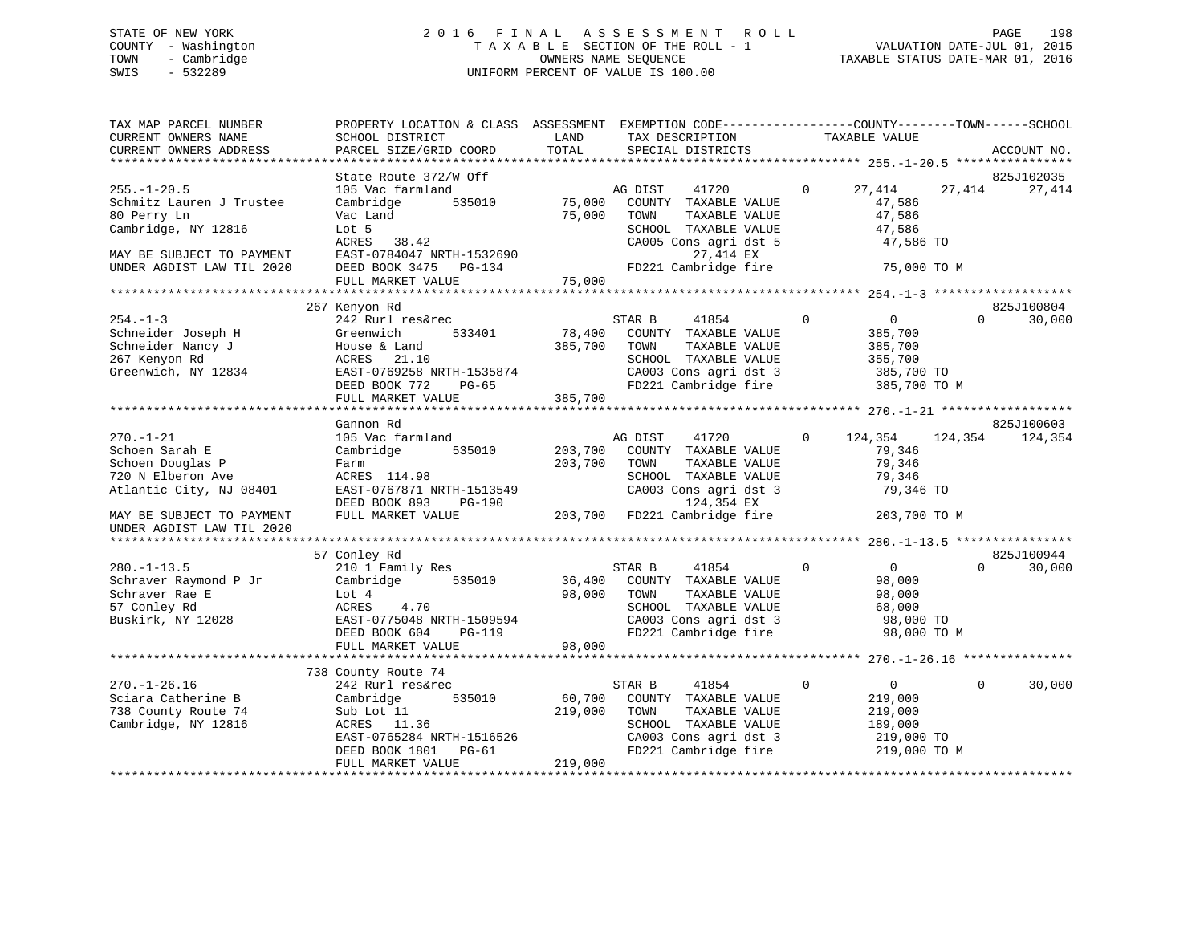## STATE OF NEW YORK 2 0 1 6 F I N A L A S S E S S M E N T R O L L PAGE 198 COUNTY - Washington T A X A B L E SECTION OF THE ROLL - 1 VALUATION DATE-JUL 01, 2015 TOWN - Cambridge OWNERS NAME SEQUENCE TAXABLE STATUS DATE-MAR 01, 2016 SWIS - 532289 UNIFORM PERCENT OF VALUE IS 100.00

| TAX MAP PARCEL NUMBER<br>CURRENT OWNERS NAME<br>CURRENT OWNERS ADDRESS                                | PROPERTY LOCATION & CLASS ASSESSMENT<br>SCHOOL DISTRICT<br>PARCEL SIZE/GRID COORD                                                                                        | LAND<br>TOTAL                | EXEMPTION CODE-----------------COUNTY-------TOWN------SCHOOL<br>TAX DESCRIPTION<br>SPECIAL DISTRICTS                                      | TAXABLE VALUE                                                                                | ACCOUNT NO.        |
|-------------------------------------------------------------------------------------------------------|--------------------------------------------------------------------------------------------------------------------------------------------------------------------------|------------------------------|-------------------------------------------------------------------------------------------------------------------------------------------|----------------------------------------------------------------------------------------------|--------------------|
|                                                                                                       |                                                                                                                                                                          |                              |                                                                                                                                           |                                                                                              |                    |
|                                                                                                       | State Route 372/W Off                                                                                                                                                    |                              |                                                                                                                                           |                                                                                              | 825J102035         |
| $255. - 1 - 20.5$<br>Schmitz Lauren J Trustee<br>80 Perry Ln<br>Cambridge, NY 12816                   | 105 Vac farmland<br>Cambridge<br>535010<br>Vac Land<br>Lot 5<br>ACRES<br>38.42                                                                                           | 75,000<br>75,000             | AG DIST<br>41720<br>COUNTY TAXABLE VALUE<br>TAXABLE VALUE<br>TOWN<br>SCHOOL TAXABLE VALUE<br>CA005 Cons agri dst 5                        | $\Omega$<br>27,414<br>47,586<br>47,586<br>47,586<br>47,586 TO                                | 27,414<br>27,414   |
| MAY BE SUBJECT TO PAYMENT<br>UNDER AGDIST LAW TIL 2020                                                | EAST-0784047 NRTH-1532690<br>DEED BOOK 3475 PG-134                                                                                                                       |                              | 27,414 EX<br>FD221 Cambridge fire                                                                                                         | 75,000 TO M                                                                                  |                    |
|                                                                                                       | FULL MARKET VALUE                                                                                                                                                        | 75,000                       |                                                                                                                                           |                                                                                              |                    |
|                                                                                                       | 267 Kenyon Rd                                                                                                                                                            |                              |                                                                                                                                           |                                                                                              | 825J100804         |
| $254. - 1 - 3$<br>Schneider Joseph H<br>Schneider Nancy J<br>267 Kenyon Rd<br>Greenwich, NY 12834     | 242 Rurl res&rec<br>533401<br>Greenwich<br>House & Land<br>ACRES<br>21.10<br>EAST-0769258 NRTH-1535874<br>DEED BOOK 772<br>$PG-65$                                       | 78,400<br>385,700            | STAR B<br>41854<br>COUNTY TAXABLE VALUE<br>TOWN<br>TAXABLE VALUE<br>SCHOOL TAXABLE VALUE<br>CA003 Cons agri dst 3<br>FD221 Cambridge fire | $\mathbf 0$<br>$\overline{0}$<br>385,700<br>385,700<br>355,700<br>385,700 TO<br>385,700 TO M | 30,000<br>$\Omega$ |
|                                                                                                       | FULL MARKET VALUE                                                                                                                                                        | 385,700                      |                                                                                                                                           |                                                                                              |                    |
|                                                                                                       |                                                                                                                                                                          |                              |                                                                                                                                           |                                                                                              |                    |
|                                                                                                       | Gannon Rd                                                                                                                                                                |                              |                                                                                                                                           |                                                                                              | 825J100603         |
| $270. - 1 - 21$<br>Schoen Sarah E<br>Schoen Douglas P<br>720 N Elberon Ave<br>Atlantic City, NJ 08401 | 105 Vac farmland<br>Cambridge<br>535010<br>Farm<br>ACRES 114.98<br>EAST-0767871 NRTH-1513549<br>DEED BOOK 893<br>PG-190                                                  | 203,700<br>203,700           | AG DIST<br>41720<br>COUNTY TAXABLE VALUE<br>TOWN<br>TAXABLE VALUE<br>SCHOOL TAXABLE VALUE<br>CA003 Cons agri dst 3<br>124,354 EX          | 124,354<br>$\mathbf{0}$<br>79,346<br>79,346<br>79,346<br>79,346 TO                           | 124,354<br>124,354 |
| MAY BE SUBJECT TO PAYMENT<br>UNDER AGDIST LAW TIL 2020                                                | FULL MARKET VALUE                                                                                                                                                        | 203,700                      | FD221 Cambridge fire                                                                                                                      | 203,700 TO M                                                                                 |                    |
|                                                                                                       | 57 Conley Rd                                                                                                                                                             |                              |                                                                                                                                           |                                                                                              | 825J100944         |
| $280. - 1 - 13.5$<br>Schraver Raymond P Jr<br>Schraver Rae E<br>57 Conley Rd<br>Buskirk, NY 12028     | 210 1 Family Res<br>535010<br>Cambridge<br>Lot 4<br>ACRES<br>4.70<br>EAST-0775048 NRTH-1509594<br>PG-119<br>DEED BOOK 604<br>FULL MARKET VALUE                           | 36,400<br>98,000<br>98,000   | STAR B<br>41854<br>COUNTY TAXABLE VALUE<br>TOWN<br>TAXABLE VALUE<br>SCHOOL TAXABLE VALUE<br>CA003 Cons agri dst 3<br>FD221 Cambridge fire | $\mathbf 0$<br>$\Omega$<br>98,000<br>98,000<br>68,000<br>98,000 TO<br>98,000 TO M            | $\Omega$<br>30,000 |
|                                                                                                       |                                                                                                                                                                          |                              |                                                                                                                                           |                                                                                              |                    |
| $270. - 1 - 26.16$<br>Sciara Catherine B<br>738 County Route 74<br>Cambridge, NY 12816                | 738 County Route 74<br>242 Rurl res&rec<br>535010<br>Cambridge<br>Sub Lot 11<br>ACRES 11.36<br>EAST-0765284 NRTH-1516526<br>DEED BOOK 1801<br>PG-61<br>FULL MARKET VALUE | 60,700<br>219,000<br>219,000 | STAR B<br>41854<br>COUNTY TAXABLE VALUE<br>TOWN<br>TAXABLE VALUE<br>SCHOOL TAXABLE VALUE<br>CA003 Cons agri dst 3<br>FD221 Cambridge fire | $\mathbf 0$<br>0<br>219,000<br>219,000<br>189,000<br>219,000 TO<br>219,000 TO M              | $\Omega$<br>30,000 |
|                                                                                                       |                                                                                                                                                                          |                              |                                                                                                                                           |                                                                                              |                    |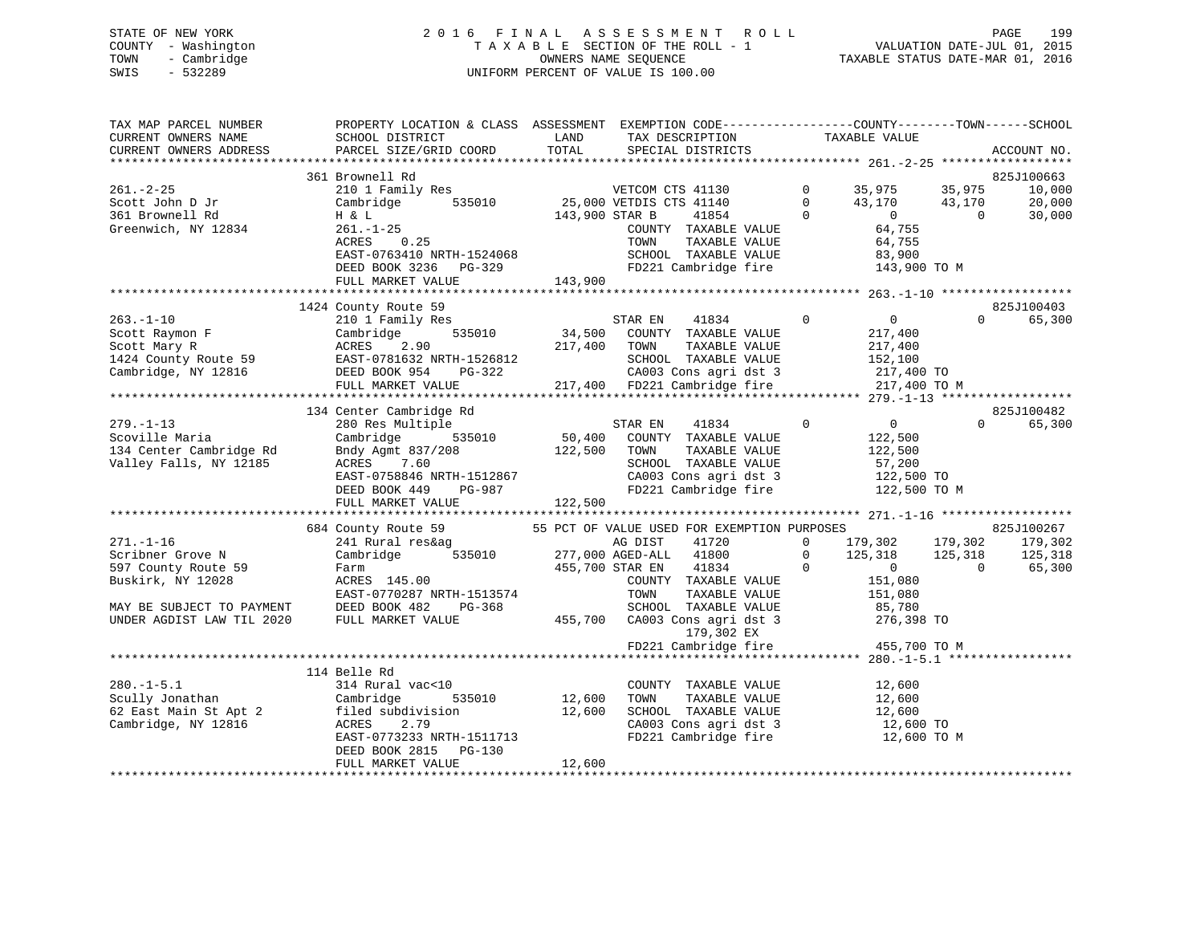## STATE OF NEW YORK 2 0 1 6 F I N A L A S S E S S M E N T R O L L PAGE 199 COUNTY - Washington T A X A B L E SECTION OF THE ROLL - 1 VALUATION DATE-JUL 01, 2015 TOWN - Cambridge OWNERS NAME SEQUENCE TAXABLE STATUS DATE-MAR 01, 2016 SWIS - 532289 UNIFORM PERCENT OF VALUE IS 100.00

| TAX MAP PARCEL NUMBER<br>CURRENT OWNERS NAME<br>CURRENT OWNERS ADDRESS | PROPERTY LOCATION & CLASS ASSESSMENT EXEMPTION CODE---------------COUNTY-------TOWN-----SCHOOL<br>SCHOOL DISTRICT<br><b>EXAMPLE SERVICE SERVICE SERVICE SERVICE SERVICE SERVICE SERVICE SERVICE SERVICE SERVICE SERVICE SERVICE SERVICE</b><br>PARCEL SIZE/GRID COORD | TOTAL        | TAX DESCRIPTION TAXABLE VALUE<br>SPECIAL DISTRICTS                                                                                     |                                             |            | ACCOUNT NO.        |
|------------------------------------------------------------------------|-----------------------------------------------------------------------------------------------------------------------------------------------------------------------------------------------------------------------------------------------------------------------|--------------|----------------------------------------------------------------------------------------------------------------------------------------|---------------------------------------------|------------|--------------------|
|                                                                        | 361 Brownell Rd                                                                                                                                                                                                                                                       |              |                                                                                                                                        |                                             |            | 825J100663         |
| $261. -2 - 25$                                                         | Browner<br>210 1 Family Res<br>Cambridge 535010 25,000 VETDIS CTS 41140 0 43,170 43,170<br>H & L 143,900 STAR B 41854 0 0 1                                                                                                                                           |              |                                                                                                                                        |                                             |            | 10,000             |
|                                                                        |                                                                                                                                                                                                                                                                       |              |                                                                                                                                        |                                             |            | 20,000             |
| Scott John D Jr<br>201 Prownall Rd<br>361 Brownell Rd                  |                                                                                                                                                                                                                                                                       |              |                                                                                                                                        |                                             |            | 30,000             |
| Greenwich, NY 12834                                                    | $261. - 1 - 25$                                                                                                                                                                                                                                                       |              |                                                                                                                                        |                                             |            |                    |
|                                                                        |                                                                                                                                                                                                                                                                       |              | COUNTY TAXABLE VALUE<br>TOWN     TAXABLE VALUE                                                                                         | 64,755<br>64,755                            |            |                    |
|                                                                        |                                                                                                                                                                                                                                                                       |              |                                                                                                                                        |                                             |            |                    |
|                                                                        |                                                                                                                                                                                                                                                                       |              |                                                                                                                                        |                                             |            |                    |
|                                                                        | 261.-1-25<br>ACRES 0.25<br>EAST-0763410 NRTH-1524068<br>DEED BOOK 3236 PG-329<br>FULL MARKET VALUE<br>FULL MARKET VALUE<br>FULL MARKET VALUE<br>FULL MARKET VALUE<br>FULL MARKET VALUE<br>143,900<br>TAXABLE VALUE<br>FU221 Cambridge fire<br>143,900<br>             |              |                                                                                                                                        |                                             |            |                    |
|                                                                        |                                                                                                                                                                                                                                                                       |              |                                                                                                                                        |                                             |            |                    |
|                                                                        | 1424 County Route 59                                                                                                                                                                                                                                                  |              |                                                                                                                                        |                                             |            | 825J100403         |
|                                                                        |                                                                                                                                                                                                                                                                       |              |                                                                                                                                        |                                             |            | $\Omega$<br>65,300 |
|                                                                        |                                                                                                                                                                                                                                                                       |              |                                                                                                                                        |                                             |            |                    |
|                                                                        |                                                                                                                                                                                                                                                                       |              |                                                                                                                                        |                                             |            |                    |
|                                                                        |                                                                                                                                                                                                                                                                       |              |                                                                                                                                        |                                             |            |                    |
|                                                                        |                                                                                                                                                                                                                                                                       |              |                                                                                                                                        |                                             |            |                    |
|                                                                        |                                                                                                                                                                                                                                                                       |              |                                                                                                                                        |                                             |            |                    |
|                                                                        |                                                                                                                                                                                                                                                                       |              |                                                                                                                                        |                                             |            |                    |
|                                                                        | 134 Center Cambridge Rd                                                                                                                                                                                                                                               |              |                                                                                                                                        |                                             |            | 825J100482         |
| $279. - 1 - 13$                                                        | 280 Res Multiple                                                                                                                                                                                                                                                      |              | $\overline{0}$                                                                                                                         | $0$<br>122,500                              |            | $\Omega$<br>65,300 |
| Scoville Maria                                                         | Cambridge                                                                                                                                                                                                                                                             |              |                                                                                                                                        |                                             |            |                    |
| 134 Center Cambridge Rd                                                |                                                                                                                                                                                                                                                                       | 122,500 TOWN | TAXABLE VALUE                                                                                                                          | 122,500                                     |            |                    |
| Valley Falls, NY 12185                                                 | Bndy Agmt 837/208<br>ACRES 7 60<br>7.60<br>ACRES                                                                                                                                                                                                                      |              | SCHOOL TAXABLE VALUE                                                                                                                   |                                             |            |                    |
|                                                                        |                                                                                                                                                                                                                                                                       |              |                                                                                                                                        | 57,200<br>122,500 TO                        |            |                    |
|                                                                        |                                                                                                                                                                                                                                                                       |              |                                                                                                                                        |                                             |            |                    |
|                                                                        | Valley Falls, NY 12185 ACRES 7.60 SCHOOL TAXABLE VALUE 57,200<br>EAST-0758846 NRTH-1512867 CA003 Cons agri dst 3 122,500 TO<br>DEED BOOK 449 PG-987 FD221 Cambridge fire 122,500 TO M<br>FULL MARKET VALUE 122,500 2008 122,500 FOR TUL                               |              |                                                                                                                                        |                                             |            |                    |
|                                                                        |                                                                                                                                                                                                                                                                       |              |                                                                                                                                        |                                             |            |                    |
|                                                                        | 684 County Route 59 55 PCT OF VALUE USED FOR EXEMPTION PURPOSES                                                                                                                                                                                                       |              |                                                                                                                                        |                                             |            | 825J100267         |
| $271. - 1 - 16$                                                        |                                                                                                                                                                                                                                                                       |              |                                                                                                                                        |                                             |            |                    |
| Scribner Grove N                                                       | 241 Rural res&ag ad DIST 41720<br>Cambridge 535010 277,000 AGED-ALL 41800                                                                                                                                                                                             |              | $\begin{array}{cccc} 41720 & 0 & 179\,, 302 & 179\,, 302 & 179\,, 302 \\ 41800 & 0 & 125\,, 318 & 125\,, 318 & 125\,, 318 \end{array}$ |                                             |            |                    |
| 597 County Route 59                                                    |                                                                                                                                                                                                                                                                       |              | $\overline{0}$                                                                                                                         |                                             | $\bigcirc$ | 65,300             |
| Buskirk, NY 12028                                                      |                                                                                                                                                                                                                                                                       |              | COUNTY TAXABLE VALUE                                                                                                                   | $\begin{array}{c} 0 \\ 151,080 \end{array}$ |            |                    |
|                                                                        | EAST-0770287 NRTH-1513574                                                                                                                                                                                                                                             |              |                                                                                                                                        |                                             |            |                    |
|                                                                        | MAY BE SUBJECT TO PAYMENT DEED BOOK 482 PG-368                                                                                                                                                                                                                        |              | TOWN TAXABLE VALUE 151,080<br>SCHOOL TAXABLE VALUE 185,780                                                                             |                                             |            |                    |
| UNDER AGDIST LAW TIL 2020                                              | FULL MARKET VALUE                                                                                                                                                                                                                                                     |              |                                                                                                                                        |                                             |            |                    |
|                                                                        |                                                                                                                                                                                                                                                                       |              | 455,700 CA003 Cons agri dst 3 276,398 TO<br>179,302 EX                                                                                 |                                             |            |                    |
|                                                                        |                                                                                                                                                                                                                                                                       |              | FD221 Cambridge fire                                                                                                                   | 455,700 TO M                                |            |                    |
|                                                                        |                                                                                                                                                                                                                                                                       |              |                                                                                                                                        |                                             |            |                    |
|                                                                        | 114 Belle Rd                                                                                                                                                                                                                                                          |              |                                                                                                                                        |                                             |            |                    |
|                                                                        |                                                                                                                                                                                                                                                                       |              | COUNTY TAXABLE VALUE 12,600                                                                                                            |                                             |            |                    |
|                                                                        | 280.-1-5.1<br>Scully Jonathan<br>62 East Main St Apt 2<br>Cambridge, NY 12816<br>2 Exert Apt 2<br>Cambridge, NY 12816<br>2.79<br>2.79<br>2.79<br>2.79<br>2.79<br>2.79<br>2.79<br>2.79                                                                                 |              |                                                                                                                                        |                                             |            |                    |
|                                                                        |                                                                                                                                                                                                                                                                       |              | TOWN TAXABLE VALUE<br>SCHOOL TAXABLE VALUE 12,600 TO<br>12,600 TO<br>12,600 TO                                                         |                                             |            |                    |
|                                                                        |                                                                                                                                                                                                                                                                       |              |                                                                                                                                        |                                             |            |                    |
|                                                                        | EAST-0773233 NRTH-1511713                                                                                                                                                                                                                                             |              | FD221 Cambridge fire 12,600 TO M                                                                                                       |                                             |            |                    |
|                                                                        | DEED BOOK 2815 PG-130                                                                                                                                                                                                                                                 |              |                                                                                                                                        |                                             |            |                    |
|                                                                        | FULL MARKET VALUE                                                                                                                                                                                                                                                     | 12,600       |                                                                                                                                        |                                             |            |                    |
|                                                                        |                                                                                                                                                                                                                                                                       |              |                                                                                                                                        |                                             |            |                    |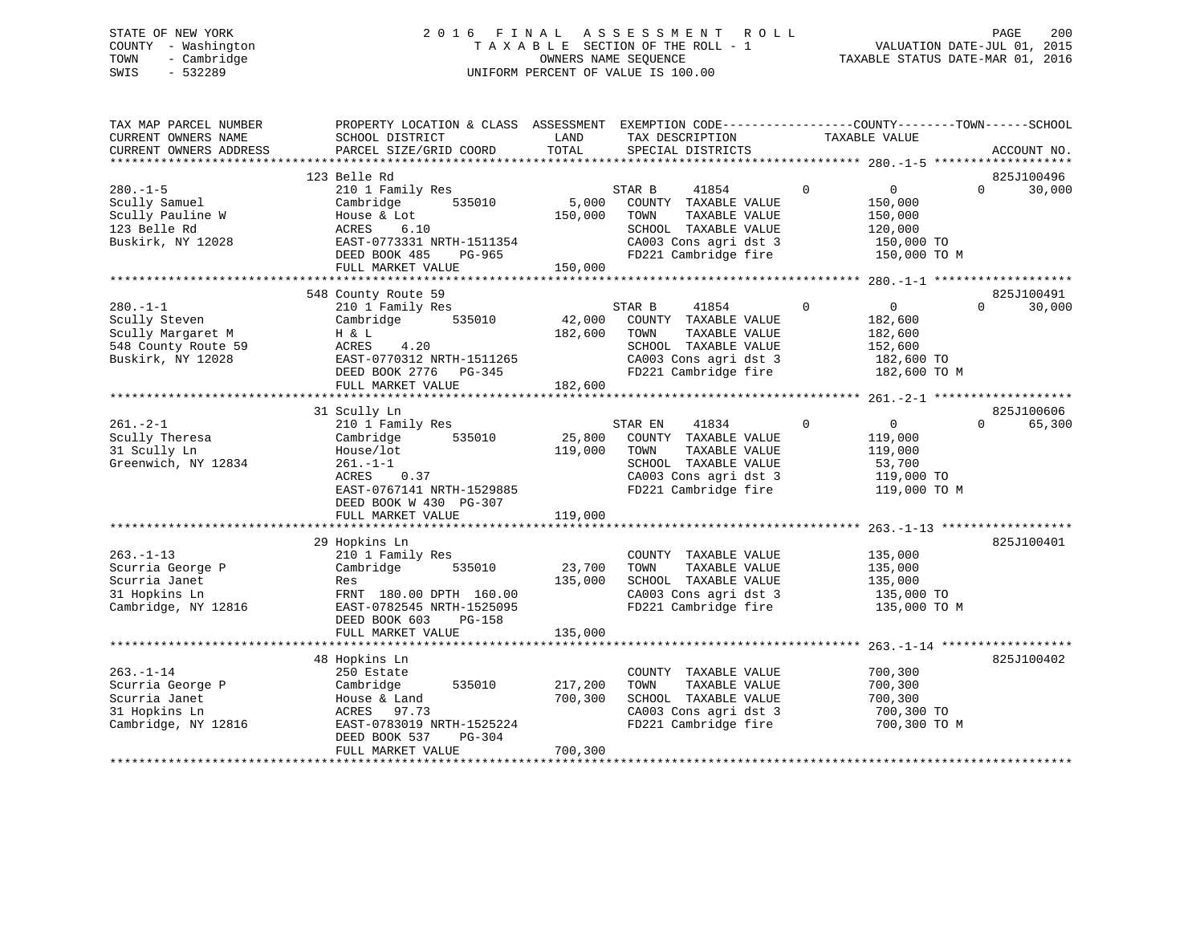## STATE OF NEW YORK 2 0 1 6 F I N A L A S S E S S M E N T R O L L PAGE 200 COUNTY - Washington T A X A B L E SECTION OF THE ROLL - 1 VALUATION DATE-JUL 01, 2015 TOWN - Cambridge OWNERS NAME SEQUENCE TAXABLE STATUS DATE-MAR 01, 2016 SWIS - 532289 UNIFORM PERCENT OF VALUE IS 100.00

| TAX MAP PARCEL NUMBER<br>CURRENT OWNERS NAME                                                    | PROPERTY LOCATION & CLASS ASSESSMENT EXEMPTION CODE----------------COUNTY-------TOWN------SCHOOL<br>SCHOOL DISTRICT                                                 | LAND                          | TAX DESCRIPTION                                                                                                                            | TAXABLE VALUE                                                                                   |          |                      |
|-------------------------------------------------------------------------------------------------|---------------------------------------------------------------------------------------------------------------------------------------------------------------------|-------------------------------|--------------------------------------------------------------------------------------------------------------------------------------------|-------------------------------------------------------------------------------------------------|----------|----------------------|
| CURRENT OWNERS ADDRESS                                                                          | PARCEL SIZE/GRID COORD                                                                                                                                              | TOTAL                         | SPECIAL DISTRICTS                                                                                                                          |                                                                                                 |          | ACCOUNT NO.          |
|                                                                                                 | 123 Belle Rd                                                                                                                                                        |                               |                                                                                                                                            |                                                                                                 |          | 825J100496           |
| $280. - 1 - 5$<br>Scully Samuel<br>Scully Pauline W<br>123 Belle Rd<br>Buskirk, NY 12028        | 210 1 Family Res<br>535010<br>Cambridge<br>House & Lot<br>6.10<br>ACRES<br>EAST-0773331 NRTH-1511354<br>DEED BOOK 485<br>PG-965<br>FULL MARKET VALUE                | 5,000<br>150,000<br>150,000   | 41854<br>STAR B<br>COUNTY TAXABLE VALUE<br>TOWN<br>TAXABLE VALUE<br>SCHOOL TAXABLE VALUE<br>CA003 Cons agri dst 3<br>FD221 Cambridge fire  | $\mathbf{0}$<br>$\overline{0}$<br>150,000<br>150,000<br>120,000<br>150,000 TO<br>150,000 TO M   | $\Omega$ | 30,000               |
|                                                                                                 |                                                                                                                                                                     |                               |                                                                                                                                            |                                                                                                 |          |                      |
| $280. -1 - 1$<br>Scully Steven<br>Scully Margaret M<br>548 County Route 59<br>Buskirk, NY 12028 | 548 County Route 59<br>210 1 Family Res<br>535010<br>Cambridge<br>H & L<br>4.20<br>ACRES<br>EAST-0770312 NRTH-1511265<br>DEED BOOK 2776 PG-345<br>FULL MARKET VALUE | 42,000<br>182,600<br>182,600  | 41854<br>STAR B<br>COUNTY TAXABLE VALUE<br>TAXABLE VALUE<br>TOWN<br>SCHOOL TAXABLE VALUE<br>CA003 Cons agri dst 3<br>FD221 Cambridge fire  | $\mathbf 0$<br>$0 \qquad \qquad$<br>182,600<br>182,600<br>152,600<br>182,600 TO<br>182,600 TO M | $\Omega$ | 825J100491<br>30,000 |
|                                                                                                 | 31 Scully Ln                                                                                                                                                        |                               |                                                                                                                                            |                                                                                                 |          | 825J100606           |
| $261. - 2 - 1$<br>Scully Theresa<br>31 Scully Ln<br>Greenwich, NY 12834                         | 210 1 Family Res<br>Cambridge<br>535010<br>House/lot<br>$261. - 1 - 1$<br>0.37<br>ACRES<br>EAST-0767141 NRTH-1529885<br>DEED BOOK W 430 PG-307                      | 25,800<br>119,000             | 41834<br>STAR EN<br>COUNTY TAXABLE VALUE<br>TOWN<br>TAXABLE VALUE<br>SCHOOL TAXABLE VALUE<br>CA003 Cons agri dst 3<br>FD221 Cambridge fire | $\Omega$<br>$\overline{0}$<br>119,000<br>119,000<br>53,700<br>119,000 TO<br>119,000 TO M        | $\Omega$ | 65,300               |
|                                                                                                 | FULL MARKET VALUE                                                                                                                                                   | 119,000                       |                                                                                                                                            |                                                                                                 |          |                      |
| $263. -1 - 13$<br>Scurria George P<br>Scurria Janet<br>31 Hopkins Ln<br>Cambridge, NY 12816     | 29 Hopkins Ln<br>210 1 Family Res<br>Cambridge<br>535010<br>Res<br>FRNT 180.00 DPTH 160.00<br>EAST-0782545 NRTH-1525095<br>DEED BOOK 603<br>PG-158                  | 23,700<br>135,000             | COUNTY TAXABLE VALUE<br>TOWN<br>TAXABLE VALUE<br>SCHOOL TAXABLE VALUE<br>CA003 Cons agri dst 3<br>FD221 Cambridge fire                     | 135,000<br>135,000<br>135,000<br>135,000 TO<br>135,000 TO M                                     |          | 825J100401           |
|                                                                                                 | FULL MARKET VALUE                                                                                                                                                   | 135,000                       |                                                                                                                                            |                                                                                                 |          |                      |
| $263. - 1 - 14$<br>Scurria George P<br>Scurria Janet<br>31 Hopkins Ln<br>Cambridge, NY 12816    | 48 Hopkins Ln<br>250 Estate<br>Cambridge<br>535010<br>House & Land<br>ACRES 97.73<br>EAST-0783019 NRTH-1525224<br>PG-304<br>DEED BOOK 537<br>FULL MARKET VALUE      | 217,200<br>700,300<br>700,300 | COUNTY TAXABLE VALUE<br>TOWN<br>TAXABLE VALUE<br>SCHOOL TAXABLE VALUE<br>CA003 Cons agri dst 3<br>FD221 Cambridge fire                     | 700,300<br>700,300<br>700,300<br>700,300 TO<br>700,300 TO M                                     |          | 825J100402           |
|                                                                                                 |                                                                                                                                                                     |                               |                                                                                                                                            |                                                                                                 |          |                      |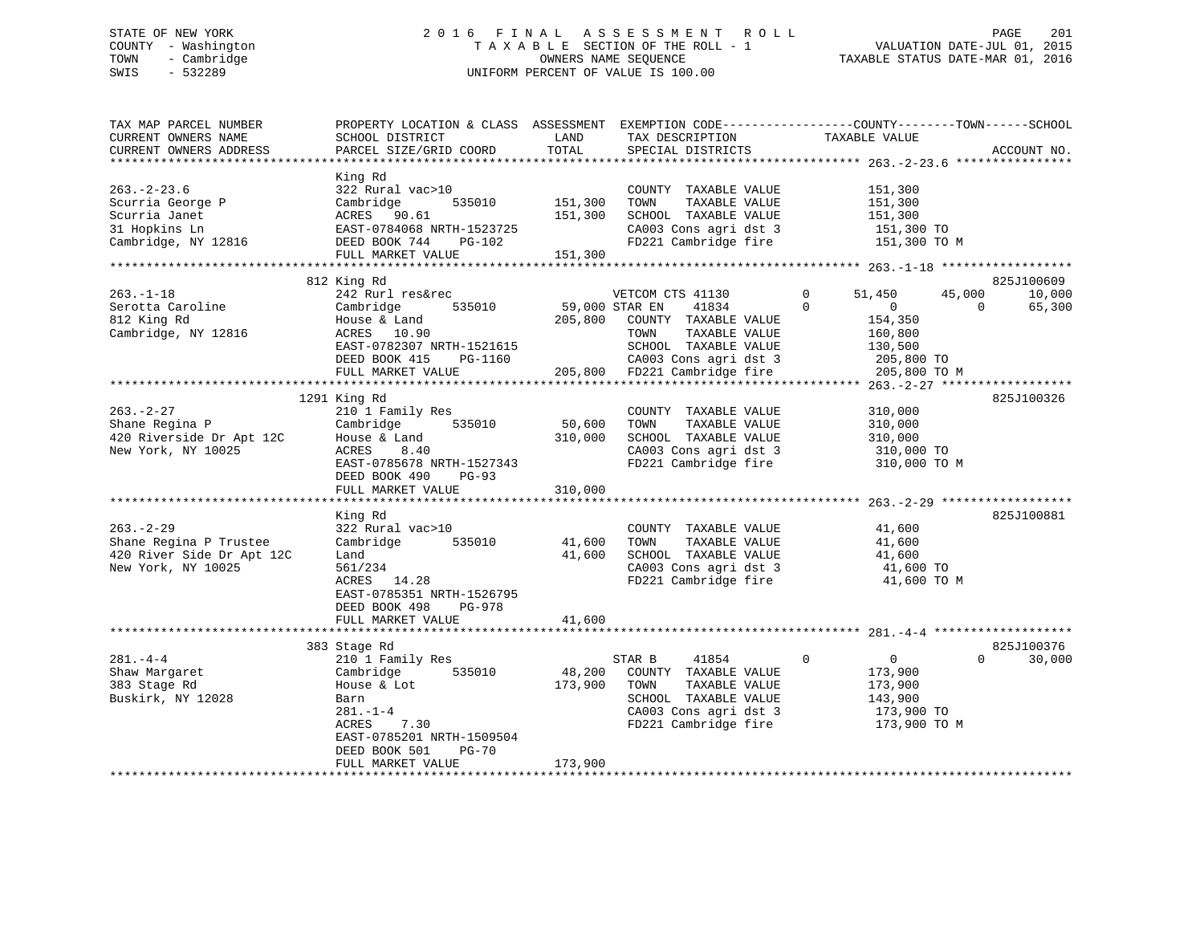## STATE OF NEW YORK 2 0 1 6 F I N A L A S S E S S M E N T R O L L PAGE 201 COUNTY - Washington T A X A B L E SECTION OF THE ROLL - 1 VALUATION DATE-JUL 01, 2015 TOWN - Cambridge OWNERS NAME SEQUENCE TAXABLE STATUS DATE-MAR 01, 2016 SWIS - 532289 UNIFORM PERCENT OF VALUE IS 100.00

| TAX MAP PARCEL NUMBER<br>CURRENT OWNERS NAME<br>CURRENT OWNERS ADDRESS                         | PROPERTY LOCATION & CLASS ASSESSMENT<br>SCHOOL DISTRICT<br>PARCEL SIZE/GRID COORD                                                                                                    | LAND<br>TOTAL                 | TAX DESCRIPTION<br>SPECIAL DISTRICTS                                                                                                                                          | EXEMPTION CODE-----------------COUNTY-------TOWN------SCHOOL<br>TAXABLE VALUE                                      | ACCOUNT NO.                                |
|------------------------------------------------------------------------------------------------|--------------------------------------------------------------------------------------------------------------------------------------------------------------------------------------|-------------------------------|-------------------------------------------------------------------------------------------------------------------------------------------------------------------------------|--------------------------------------------------------------------------------------------------------------------|--------------------------------------------|
|                                                                                                |                                                                                                                                                                                      |                               |                                                                                                                                                                               |                                                                                                                    |                                            |
| $263. - 2 - 23.6$<br>Scurria George P<br>Scurria Janet<br>31 Hopkins Ln<br>Cambridge, NY 12816 | King Rd<br>322 Rural vac>10<br>Cambridge<br>535010<br>ACRES 90.61<br>EAST-0784068 NRTH-1523725<br>DEED BOOK 744<br>PG-102<br>FULL MARKET VALUE                                       | 151,300<br>151,300<br>151,300 | COUNTY TAXABLE VALUE<br>TOWN<br>TAXABLE VALUE<br>SCHOOL TAXABLE VALUE<br>CA003 Cons agri dst 3<br>FD221 Cambridge fire                                                        | 151,300<br>151,300<br>151,300<br>151,300 TO<br>151,300 TO M                                                        |                                            |
|                                                                                                | ***************************                                                                                                                                                          |                               |                                                                                                                                                                               |                                                                                                                    |                                            |
| $263. -1 - 18$<br>Serotta Caroline<br>812 King Rd<br>Cambridge, NY 12816                       | 812 King Rd<br>242 Rurl res&rec<br>Cambridge<br>535010<br>House & Land<br>ACRES 10.90<br>EAST-0782307 NRTH-1521615<br>DEED BOOK 415<br>PG-1160<br>FULL MARKET VALUE                  | 205,800                       | VETCOM CTS 41130<br>59,000 STAR EN<br>41834<br>COUNTY TAXABLE VALUE<br>TOWN<br>TAXABLE VALUE<br>SCHOOL TAXABLE VALUE<br>CA003 Cons agri dst 3<br>205,800 FD221 Cambridge fire | 51,450<br>45,000<br>0<br>$\Omega$<br>$\overline{0}$<br>154,350<br>160,800<br>130,500<br>205,800 TO<br>205,800 TO M | 825J100609<br>10,000<br>$\Omega$<br>65,300 |
|                                                                                                |                                                                                                                                                                                      |                               |                                                                                                                                                                               |                                                                                                                    |                                            |
| $263. - 2 - 27$<br>Shane Regina P<br>420 Riverside Dr Apt 12C<br>New York, NY 10025            | 1291 King Rd<br>210 1 Family Res<br>535010<br>Cambridge<br>House & Land<br>8.40<br>ACRES<br>EAST-0785678 NRTH-1527343<br>DEED BOOK 490<br>$PG-93$<br>FULL MARKET VALUE               | 50,600<br>310,000<br>310,000  | COUNTY TAXABLE VALUE<br>TOWN<br>TAXABLE VALUE<br>SCHOOL TAXABLE VALUE<br>CA003 Cons agri dst 3<br>FD221 Cambridge fire                                                        | 310,000<br>310,000<br>310,000<br>310,000 TO<br>310,000 TO M                                                        | 825J100326                                 |
|                                                                                                | King Rd                                                                                                                                                                              |                               |                                                                                                                                                                               |                                                                                                                    | 825J100881                                 |
| $263. -2 - 29$<br>Shane Regina P Trustee<br>420 River Side Dr Apt 12C<br>New York, NY 10025    | 322 Rural vac>10<br>Cambridge<br>535010<br>Land<br>561/234<br>14.28<br>ACRES<br>EAST-0785351 NRTH-1526795                                                                            | 41,600<br>41,600              | COUNTY TAXABLE VALUE<br>TOWN<br>TAXABLE VALUE<br>SCHOOL TAXABLE VALUE<br>CA003 Cons agri dst 3<br>FD221 Cambridge fire                                                        | 41,600<br>41,600<br>41,600<br>41,600 TO<br>41,600 TO M                                                             |                                            |
|                                                                                                | DEED BOOK 498<br>PG-978<br>FULL MARKET VALUE                                                                                                                                         | 41,600                        |                                                                                                                                                                               |                                                                                                                    |                                            |
|                                                                                                | *********************<br>383 Stage Rd                                                                                                                                                |                               | ********************************** 281.-4-4                                                                                                                                   |                                                                                                                    | 825J100376                                 |
| $281. -4 -4$<br>Shaw Margaret<br>383 Stage Rd<br>Buskirk, NY 12028                             | 210 1 Family Res<br>535010<br>Cambridge<br>House & Lot<br>Barn<br>$281. - 1 - 4$<br>ACRES<br>7.30<br>EAST-0785201 NRTH-1509504<br>DEED BOOK 501<br><b>PG-70</b><br>FULL MARKET VALUE | 48,200<br>173,900<br>173,900  | 41854<br>STAR B<br>COUNTY TAXABLE VALUE<br>TOWN<br>TAXABLE VALUE<br>SCHOOL TAXABLE VALUE<br>CA003 Cons agri dst 3<br>FD221 Cambridge fire                                     | 0<br>$\mathbf{0}$<br>173,900<br>173,900<br>143,900<br>173,900 TO<br>173,900 TO M                                   | $\Omega$<br>30,000                         |
|                                                                                                |                                                                                                                                                                                      |                               |                                                                                                                                                                               |                                                                                                                    |                                            |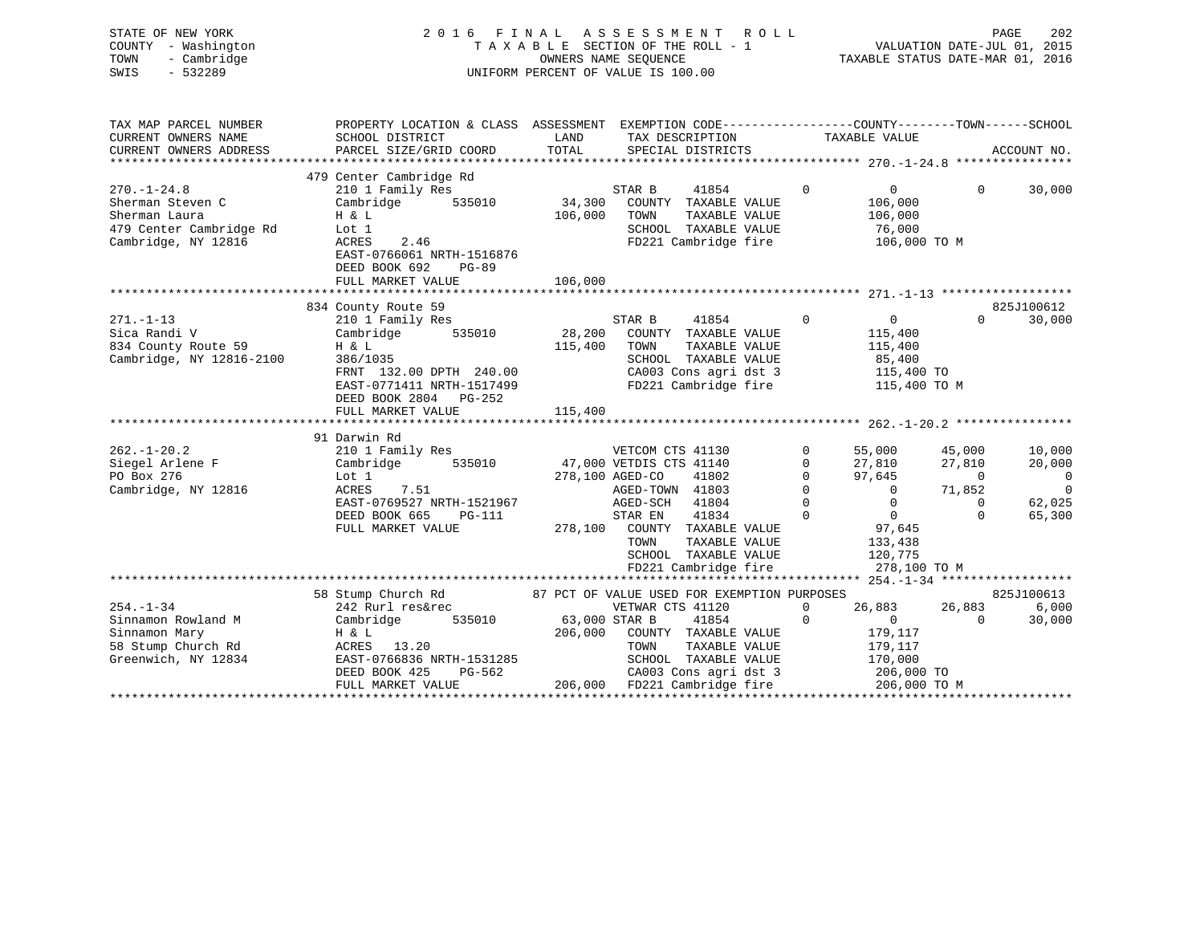| STATE OF NEW YORK   | 2016 FINAL ASSESSMENT ROLL         | 202<br>PAGE                      |
|---------------------|------------------------------------|----------------------------------|
| COUNTY - Washington | TAXABLE SECTION OF THE ROLL - 1    | VALUATION DATE-JUL 01, 2015      |
| TOWN - Cambridge    | OWNERS NAME SEOUENCE               | TAXABLE STATUS DATE-MAR 01, 2016 |
| SWIS<br>- 532289    | UNIFORM PERCENT OF VALUE IS 100.00 |                                  |
|                     |                                    |                                  |
|                     |                                    |                                  |

| TAX MAP PARCEL NUMBER<br>CURRENT OWNERS NAME<br>CURRENT OWNERS ADDRESS                                   | PROPERTY LOCATION & CLASS ASSESSMENT EXEMPTION CODE----------------COUNTY-------TOWN------SCHOOL<br>SCHOOL DISTRICT<br>PARCEL SIZE/GRID COORD                                             | LAND<br>TOTAL                   | TAX DESCRIPTION<br>SPECIAL DISTRICTS                                                                                                                                                                                                      |                                                                            | TAXABLE VALUE                                                                                                                                                                    | ACCOUNT NO.                                                                                                |
|----------------------------------------------------------------------------------------------------------|-------------------------------------------------------------------------------------------------------------------------------------------------------------------------------------------|---------------------------------|-------------------------------------------------------------------------------------------------------------------------------------------------------------------------------------------------------------------------------------------|----------------------------------------------------------------------------|----------------------------------------------------------------------------------------------------------------------------------------------------------------------------------|------------------------------------------------------------------------------------------------------------|
| $270. - 1 - 24.8$<br>Sherman Steven C<br>Sherman Laura<br>479 Center Cambridge Rd<br>Cambridge, NY 12816 | 479 Center Cambridge Rd<br>210 1 Family Res<br>535010<br>Cambridge<br>H & L<br>Lot 1<br>ACRES<br>2.46<br>EAST-0766061 NRTH-1516876<br>DEED BOOK 692<br><b>PG-89</b><br>FULL MARKET VALUE  | 34,300<br>106,000<br>106,000    | STAR B<br>41854<br>COUNTY TAXABLE VALUE<br>TOWN<br>TAXABLE VALUE<br>SCHOOL TAXABLE VALUE<br>FD221 Cambridge fire                                                                                                                          | $\Omega$                                                                   | $\Omega$<br>106,000<br>106,000<br>76,000<br>106,000 TO M                                                                                                                         | 30,000<br>$\Omega$                                                                                         |
| $271. - 1 - 13$<br>Sica Randi V<br>834 County Route 59<br>Cambridge, NY 12816-2100                       | 834 County Route 59<br>210 1 Family Res<br>Cambridge 535010<br>H & L<br>386/1035<br>FRNT 132.00 DPTH 240.00<br>EAST-0771411 NRTH-1517499<br>DEED BOOK 2804<br>PG-252<br>FULL MARKET VALUE | 115,400<br>115,400              | STAR B<br>41854<br>28,200 COUNTY TAXABLE VALUE<br>TAXABLE VALUE<br>TOWN<br>SCHOOL TAXABLE VALUE<br>CA003 Cons agri dst 3<br>FD221 Cambridge fire                                                                                          | $\mathbf 0$                                                                | $\overline{0}$<br>115,400<br>115,400<br>85,400<br>115,400 TO<br>115,400 TO M                                                                                                     | 825J100612<br>30,000<br>$\Omega$                                                                           |
| $262. - 1 - 20.2$<br>Siegel Arlene F<br>PO Box 276<br>Cambridge, NY 12816                                | 91 Darwin Rd<br>210 1 Family Res<br>535010<br>Cambridge<br>Lot 1<br>ACRES<br>7.51<br>EAST-0769527 NRTH-1521967<br>DEED BOOK 665<br>PG-111<br>FULL MARKET VALUE                            |                                 | VETCOM CTS 41130<br>47,000 VETDIS CTS 41140<br>278,100 AGED-CO<br>41802<br>AGED-TOWN 41803<br>AGED-SCH 41804<br>41834<br>STAR EN<br>278,100 COUNTY TAXABLE VALUE<br>TAXABLE VALUE<br>TOWN<br>SCHOOL TAXABLE VALUE<br>FD221 Cambridge fire | $\mathbf 0$<br>$\Omega$<br>$\Omega$<br>$\mathbf 0$<br>$\Omega$<br>$\Omega$ | 55,000<br>45,000<br>27,810<br>27,810<br>97,645<br>$\overline{0}$<br>71,852<br>$\overline{0}$<br>$\overline{0}$<br>$\overline{0}$<br>97,645<br>133,438<br>120,775<br>278,100 TO M | 10,000<br>20,000<br>$\overline{\phantom{0}}$<br>$\overline{0}$<br>62,025<br>$\Omega$<br>$\Omega$<br>65,300 |
| $254. - 1 - 34$<br>Sinnamon Rowland M<br>Sinnamon Mary<br>58 Stump Church Rd<br>Greenwich, NY 12834      | 58 Stump Church Rd<br>242 Rurl res&rec<br>Cambridge<br>H & L<br>ACRES 13.20<br>EAST-0766836 NRTH-1531285<br>DEED BOOK 425<br>$PG-562$<br>FULL MARKET VALUE                                | 535010 63,000 STAR B<br>206,000 | 87 PCT OF VALUE USED FOR EXEMPTION PURPOSES<br>VETWAR CTS 41120<br>41854<br>COUNTY TAXABLE VALUE<br>TAXABLE VALUE<br>TOWN<br>SCHOOL TAXABLE VALUE<br>CA003 Cons agri dst 3 206,000 TO<br>206,000 FD221 Cambridge fire                     | 0<br>$\Omega$                                                              | 26,883<br>26,883<br>$\Omega$<br>179,117<br>179,117<br>170,000<br>206,000 TO M                                                                                                    | 825J100613<br>6,000<br>30,000<br>$\Omega$                                                                  |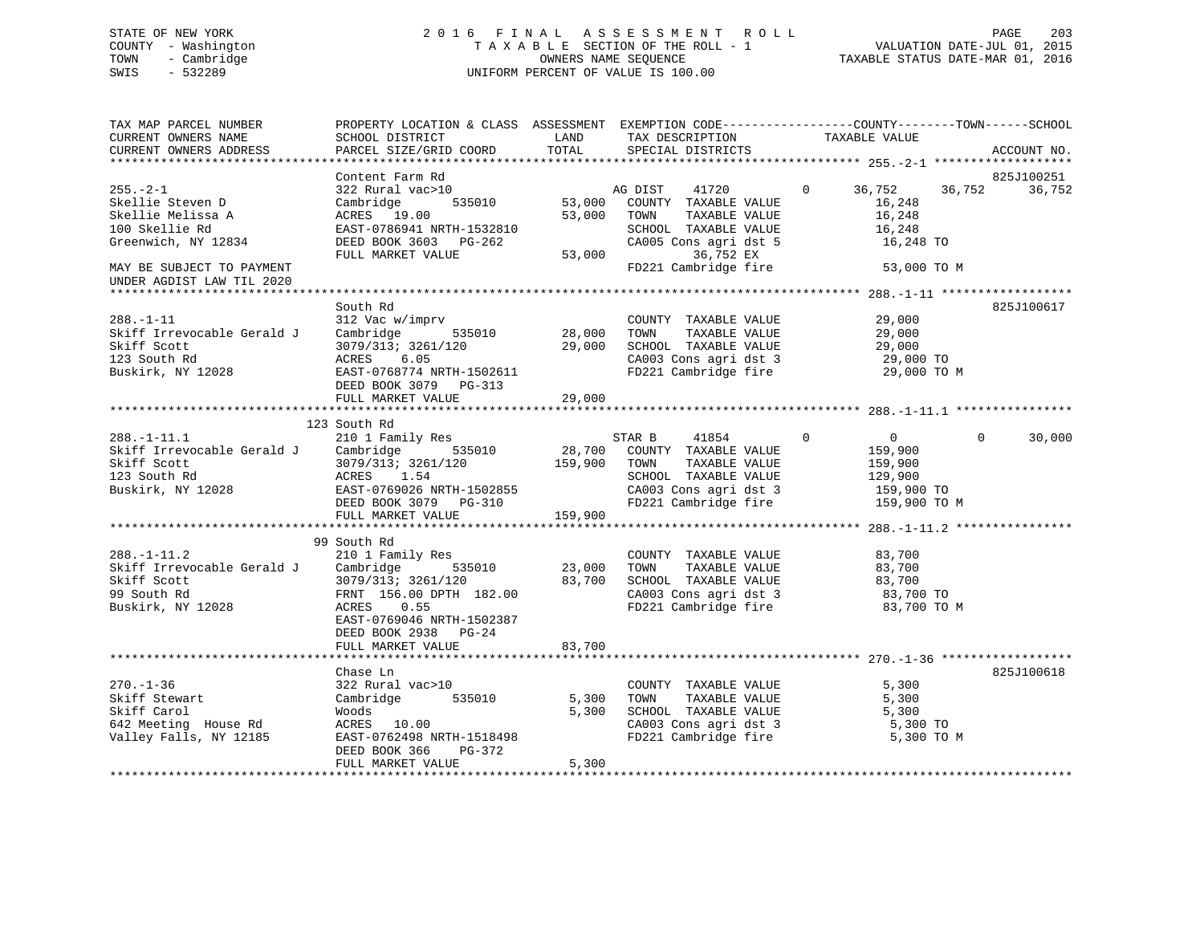# STATE OF NEW YORK 2 0 1 6 F I N A L A S S E S S M E N T R O L L PAGE 203 COUNTY - Washington T A X A B L E SECTION OF THE ROLL - 1 VALUATION DATE-JUL 01, 2015 TOWN - Cambridge OWNERS NAME SEQUENCE TAXABLE STATUS DATE-MAR 01, 2016 SWIS - 532289 UNIFORM PERCENT OF VALUE IS 100.00

TAX MAP PARCEL NUMBER PROPERTY LOCATION & CLASS ASSESSMENT EXEMPTION CODE------------------COUNTY--------TOWN------SCHOOL CURRENT OWNERS NAME SCHOOL DISTRICT THE LAND TAX DESCRIPTION TAXABLE VALUE CURRENT OWNERS ADDRESS PARCEL SIZE/GRID COORD TOTAL SPECIAL DISTRICTS ACCOUNT NO. \*\*\*\*\*\*\*\*\*\*\*\*\*\*\*\*\*\*\*\*\*\*\*\*\*\*\*\*\*\*\*\*\*\*\*\*\*\*\*\*\*\*\*\*\*\*\*\*\*\*\*\*\*\*\*\*\*\*\*\*\*\*\*\*\*\*\*\*\*\*\*\*\*\*\*\*\*\*\*\*\*\*\*\*\*\*\*\*\*\*\*\*\*\*\*\*\*\*\*\*\*\*\* 255.-2-1 \*\*\*\*\*\*\*\*\*\*\*\*\*\*\*\*\*\*\*Content Farm Rd 825J100251 255.-2-1 322 Rural vac>10 AG DIST 41720 0 36,752 36,752 36,752 Skellie Steven D Cambridge 535010 53,000 COUNTY TAXABLE VALUE 16,248 Skellie Melissa A ACRES 19.00 53,000 TOWN TAXABLE VALUE 16,248 100 Skellie Rd EAST-0786941 NRTH-1532810 SCHOOL TAXABLE VALUE 16,248 Greenwich, NY 12834 DEED BOOK 3603 PG-262 CA005 Cons agri dst 5 16,248 TO FULL MARKET VALUE 53,000 36,752 EX MAY BE SUBJECT TO PAYMENT FOR THE SUBJECT TO PAYMENT FOR THE SUBJECTION OF THE STRAINING STRAINING STRAINING ST UNDER AGDIST LAW TIL 2020 \*\*\*\*\*\*\*\*\*\*\*\*\*\*\*\*\*\*\*\*\*\*\*\*\*\*\*\*\*\*\*\*\*\*\*\*\*\*\*\*\*\*\*\*\*\*\*\*\*\*\*\*\*\*\*\*\*\*\*\*\*\*\*\*\*\*\*\*\*\*\*\*\*\*\*\*\*\*\*\*\*\*\*\*\*\*\*\*\*\*\*\*\*\*\*\*\*\*\*\*\*\*\* 288.-1-11 \*\*\*\*\*\*\*\*\*\*\*\*\*\*\*\*\*\* South Rd 825J100617288.-1-11 312 Vac w/imprv COUNTY TAXABLE VALUE 29,000 Skiff Irrevocable Gerald J Cambridge 535010 28,000 TOWN TAXABLE VALUE 29,000 Skiff Scott 3079/313; 3261/120 29,000 SCHOOL TAXABLE VALUE 29,000 123 South Rd ACRES 6.05 CA003 Cons agri dst 3 29,000 TO Buskirk, NY 12028 EAST-0768774 NRTH-1502611 FD221 Cambridge fire 29,000 TO M DEED BOOK 3079 PG-313 FULL MARKET VALUE 29,000 \*\*\*\*\*\*\*\*\*\*\*\*\*\*\*\*\*\*\*\*\*\*\*\*\*\*\*\*\*\*\*\*\*\*\*\*\*\*\*\*\*\*\*\*\*\*\*\*\*\*\*\*\*\*\*\*\*\*\*\*\*\*\*\*\*\*\*\*\*\*\*\*\*\*\*\*\*\*\*\*\*\*\*\*\*\*\*\*\*\*\*\*\*\*\*\*\*\*\*\*\*\*\* 288.-1-11.1 \*\*\*\*\*\*\*\*\*\*\*\*\*\*\*\* 123 South Rd 288.-1-11.1 210 1 Family Res STAR B 41854 0 0 0 30,000 Skiff Irrevocable Gerald J Cambridge 535010 28,700 COUNTY TAXABLE VALUE 159,900 Skiff Scott 3079/313; 3261/120 159,900 TOWN TAXABLE VALUE 159,900 123 South Rd ACRES 1.54 SCHOOL TAXABLE VALUE 129,900 Buskirk, NY 12028 EAST-0769026 NRTH-1502855 CA003 Cons agri dst 3 159,900 TO DEED BOOK 3079 PG-310 FD221 Cambridge fire 159,900 TO M FULL MARKET VALUE 159,900 \*\*\*\*\*\*\*\*\*\*\*\*\*\*\*\*\*\*\*\*\*\*\*\*\*\*\*\*\*\*\*\*\*\*\*\*\*\*\*\*\*\*\*\*\*\*\*\*\*\*\*\*\*\*\*\*\*\*\*\*\*\*\*\*\*\*\*\*\*\*\*\*\*\*\*\*\*\*\*\*\*\*\*\*\*\*\*\*\*\*\*\*\*\*\*\*\*\*\*\*\*\*\* 288.-1-11.2 \*\*\*\*\*\*\*\*\*\*\*\*\*\*\*\* 99 South Rd 288.-1-11.2 210 1 Family Res COUNTY TAXABLE VALUE 83,700 Skiff Irrevocable Gerald J Cambridge 535010 23,000 TOWN TAXABLE VALUE 83,700 Skiff Scott 3079/313; 3261/120 83,700 SCHOOL TAXABLE VALUE 83,700 99 South Rd FRNT 156.00 DPTH 182.00 CA003 Cons agri dst 3 83,700 TO FD221 Cambridge fire EAST-0769046 NRTH-1502387 DEED BOOK 2938 PG-24FULL MARKET VALUE 83,700 \*\*\*\*\*\*\*\*\*\*\*\*\*\*\*\*\*\*\*\*\*\*\*\*\*\*\*\*\*\*\*\*\*\*\*\*\*\*\*\*\*\*\*\*\*\*\*\*\*\*\*\*\*\*\*\*\*\*\*\*\*\*\*\*\*\*\*\*\*\*\*\*\*\*\*\*\*\*\*\*\*\*\*\*\*\*\*\*\*\*\*\*\*\*\*\*\*\*\*\*\*\*\* 270.-1-36 \*\*\*\*\*\*\*\*\*\*\*\*\*\*\*\*\*\* Chase Ln 825J100618270.-1-36 322 Rural vac>10 COUNTY TAXABLE VALUE 5,300 Skiff Stewart Cambridge 535010 5,300 TOWN TAXABLE VALUE 5,300 Skiff Carol Woods 5,300 SCHOOL TAXABLE VALUE 5,300 642 Meeting House Rd ACRES 10.00 CA003 Cons agri dst 3 5,300 TO Valley Falls, NY 12185 EAST-0762498 NRTH-1518498 FD221 Cambridge fire 5,300 TO M DEED BOOK 366 PG-372 FULL MARKET VALUE 5,300 \*\*\*\*\*\*\*\*\*\*\*\*\*\*\*\*\*\*\*\*\*\*\*\*\*\*\*\*\*\*\*\*\*\*\*\*\*\*\*\*\*\*\*\*\*\*\*\*\*\*\*\*\*\*\*\*\*\*\*\*\*\*\*\*\*\*\*\*\*\*\*\*\*\*\*\*\*\*\*\*\*\*\*\*\*\*\*\*\*\*\*\*\*\*\*\*\*\*\*\*\*\*\*\*\*\*\*\*\*\*\*\*\*\*\*\*\*\*\*\*\*\*\*\*\*\*\*\*\*\*\*\*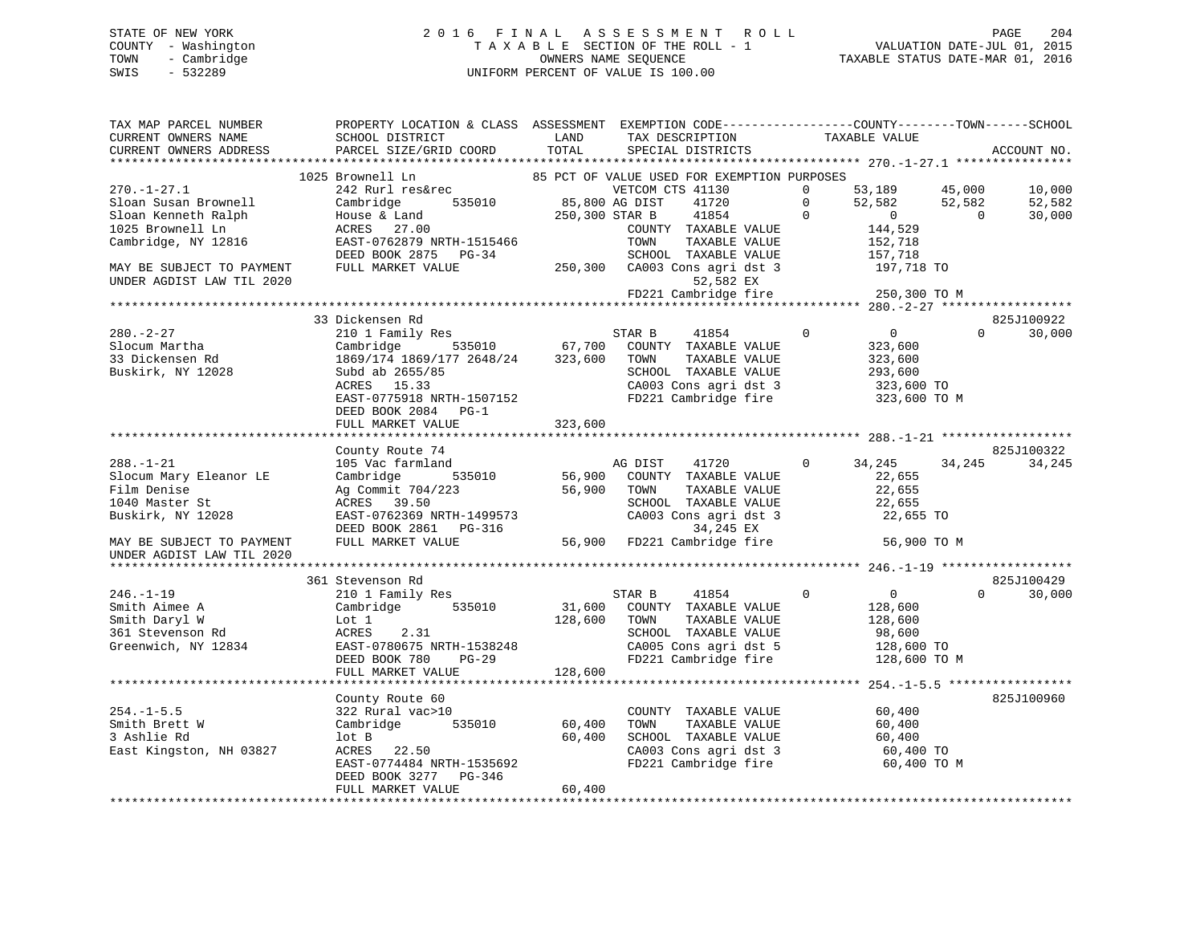## STATE OF NEW YORK 2 0 1 6 F I N A L A S S E S S M E N T R O L L PAGE 204 COUNTY - Washington T A X A B L E SECTION OF THE ROLL - 1 VALUATION DATE-JUL 01, 2015 TOWN - Cambridge OWNERS NAME SEQUENCE TAXABLE STATUS DATE-MAR 01, 2016 SWIS - 532289 UNIFORM PERCENT OF VALUE IS 100.00

| TAX MAP PARCEL NUMBER<br>CURRENT OWNERS NAME           | PROPERTY LOCATION & CLASS ASSESSMENT EXEMPTION CODE---------------COUNTY-------TOWN-----SCHOOL<br>SCHOOL DISTRICT | LAND           | TAX DESCRIPTION                             |          | TAXABLE VALUE  |                |             |
|--------------------------------------------------------|-------------------------------------------------------------------------------------------------------------------|----------------|---------------------------------------------|----------|----------------|----------------|-------------|
| CURRENT OWNERS ADDRESS                                 | PARCEL SIZE/GRID COORD                                                                                            | TOTAL          | SPECIAL DISTRICTS                           |          |                |                | ACCOUNT NO. |
| **********************                                 | *****************************                                                                                     |                |                                             |          |                |                |             |
|                                                        | 1025 Brownell Ln                                                                                                  |                | 85 PCT OF VALUE USED FOR EXEMPTION PURPOSES |          |                |                |             |
| $270. - 1 - 27.1$                                      | 242 Rurl res&rec                                                                                                  |                | VETCOM CTS 41130                            | $\Omega$ | 53,189         | 45,000         | 10,000      |
| Sloan Susan Brownell                                   | Cambridge<br>535010                                                                                               | 85,800 AG DIST | 41720                                       | $\Omega$ | 52,582         | 52,582         | 52,582      |
| Sloan Kenneth Ralph                                    | House & Land                                                                                                      | 250,300 STAR B | 41854                                       | $\Omega$ | $\overline{0}$ | $\overline{0}$ | 30,000      |
| 1025 Brownell Ln                                       | ACRES 27.00                                                                                                       |                | COUNTY TAXABLE VALUE                        |          | 144,529        |                |             |
| Cambridge, NY 12816                                    | EAST-0762879 NRTH-1515466                                                                                         |                | TOWN<br>TAXABLE VALUE                       |          | 152,718        |                |             |
|                                                        | DEED BOOK 2875 PG-34                                                                                              |                | SCHOOL TAXABLE VALUE                        |          | 157,718        |                |             |
| MAY BE SUBJECT TO PAYMENT<br>UNDER AGDIST LAW TIL 2020 | FULL MARKET VALUE                                                                                                 |                | 250,300 CA003 Cons agri dst 3<br>52,582 EX  |          | 197,718 TO     |                |             |
|                                                        |                                                                                                                   |                | FD221 Cambridge fire                        |          | 250,300 TO M   |                |             |
|                                                        |                                                                                                                   |                |                                             |          |                |                |             |
|                                                        | 33 Dickensen Rd                                                                                                   |                |                                             |          |                |                | 825J100922  |
| $280. - 2 - 27$                                        | 210 1 Family Res                                                                                                  |                | STAR B<br>41854                             | $\Omega$ | $\overline{0}$ | $\Omega$       | 30,000      |
| Slocum Martha                                          | 535010<br>Cambridge                                                                                               |                | 67,700 COUNTY TAXABLE VALUE                 |          | 323,600        |                |             |
| 33 Dickensen Rd                                        | 1869/174 1869/177 2648/24 323,600                                                                                 |                | TOWN<br>TAXABLE VALUE                       |          | 323,600        |                |             |
| Buskirk, NY 12028                                      | Subd ab 2655/85                                                                                                   |                | SCHOOL TAXABLE VALUE                        |          | 293,600        |                |             |
|                                                        | ACRES 15.33                                                                                                       |                | CA003 Cons agri dst 3                       |          | 323,600 TO     |                |             |
|                                                        | EAST-0775918 NRTH-1507152                                                                                         |                | FD221 Cambridge fire                        |          | 323,600 TO M   |                |             |
|                                                        | DEED BOOK 2084 PG-1                                                                                               |                |                                             |          |                |                |             |
|                                                        | FULL MARKET VALUE                                                                                                 | 323,600        |                                             |          |                |                |             |
|                                                        |                                                                                                                   |                |                                             |          |                |                |             |
|                                                        | County Route 74                                                                                                   |                |                                             |          |                |                | 825J100322  |
| $288. - 1 - 21$                                        | 105 Vac farmland                                                                                                  |                | AG DIST<br>41720                            | $\Omega$ | 34,245         | 34,245         | 34,245      |
| Slocum Mary Eleanor LE                                 | 535010<br>Cambridge                                                                                               |                | 56,900 COUNTY TAXABLE VALUE                 |          | 22,655         |                |             |
| Film Denise                                            | Ag Commit 704/223                                                                                                 | 56,900         | TOWN<br>TAXABLE VALUE                       |          | 22,655         |                |             |
| 1040 Master St                                         | ACRES 39.50                                                                                                       |                | SCHOOL TAXABLE VALUE                        |          | 22,655         |                |             |
| Buskirk, NY 12028                                      | EAST-0762369 NRTH-1499573                                                                                         |                | CA003 Cons agri dst 3                       |          | 22,655 TO      |                |             |
|                                                        | DEED BOOK 2861 PG-316                                                                                             |                | 34,245 EX                                   |          |                |                |             |
| MAY BE SUBJECT TO PAYMENT                              | FULL MARKET VALUE                                                                                                 |                | 56,900 FD221 Cambridge fire                 |          | 56,900 TO M    |                |             |
| UNDER AGDIST LAW TIL 2020                              |                                                                                                                   |                |                                             |          |                |                |             |
|                                                        |                                                                                                                   |                |                                             |          |                |                |             |
|                                                        | 361 Stevenson Rd                                                                                                  |                |                                             |          |                |                | 825J100429  |
| $246. - 1 - 19$                                        | 210 1 Family Res                                                                                                  |                | STAR B<br>41854                             | $\Omega$ | $\overline{0}$ | $\Omega$       | 30,000      |
| Smith Aimee A                                          | 535010<br>Cambridge                                                                                               | 31,600         | COUNTY TAXABLE VALUE                        |          | 128,600        |                |             |
| Smith Daryl W                                          | Lot 1                                                                                                             | 128,600        | TAXABLE VALUE<br>TOWN                       |          | 128,600        |                |             |
| 361 Stevenson Rd                                       | ACRES<br>2.31                                                                                                     |                | SCHOOL TAXABLE VALUE                        |          | 98,600         |                |             |
| Greenwich, NY 12834                                    | EAST-0780675 NRTH-1538248                                                                                         |                | CA005 Cons agri dst 5                       |          | 128,600 TO     |                |             |
|                                                        | DEED BOOK 780<br>PG-29                                                                                            |                | FD221 Cambridge fire                        |          | 128,600 TO M   |                |             |
|                                                        | FULL MARKET VALUE                                                                                                 | 128,600        |                                             |          |                |                |             |
|                                                        |                                                                                                                   |                |                                             |          |                |                |             |
|                                                        | County Route 60                                                                                                   |                |                                             |          |                |                | 825J100960  |
| $254. -1 - 5.5$                                        | 322 Rural vac>10                                                                                                  |                | COUNTY TAXABLE VALUE                        |          | 60,400         |                |             |
| Smith Brett W                                          | Cambridge 535010                                                                                                  | 60,400         | TOWN<br>TAXABLE VALUE                       |          | 60,400         |                |             |
| 3 Ashlie Rd                                            | lot B                                                                                                             | 60,400         | SCHOOL TAXABLE VALUE                        |          | 60,400         |                |             |
| East Kingston, NH 03827                                | ACRES 22.50                                                                                                       |                | CA003 Cons agri dst 3                       |          | 60,400 TO      |                |             |
|                                                        | EAST-0774484 NRTH-1535692                                                                                         |                | FD221 Cambridge fire                        |          | 60,400 TO M    |                |             |
|                                                        | DEED BOOK 3277 PG-346<br>FULL MARKET VALUE                                                                        | 60,400         |                                             |          |                |                |             |
|                                                        |                                                                                                                   |                |                                             |          |                |                |             |
|                                                        |                                                                                                                   |                |                                             |          |                |                |             |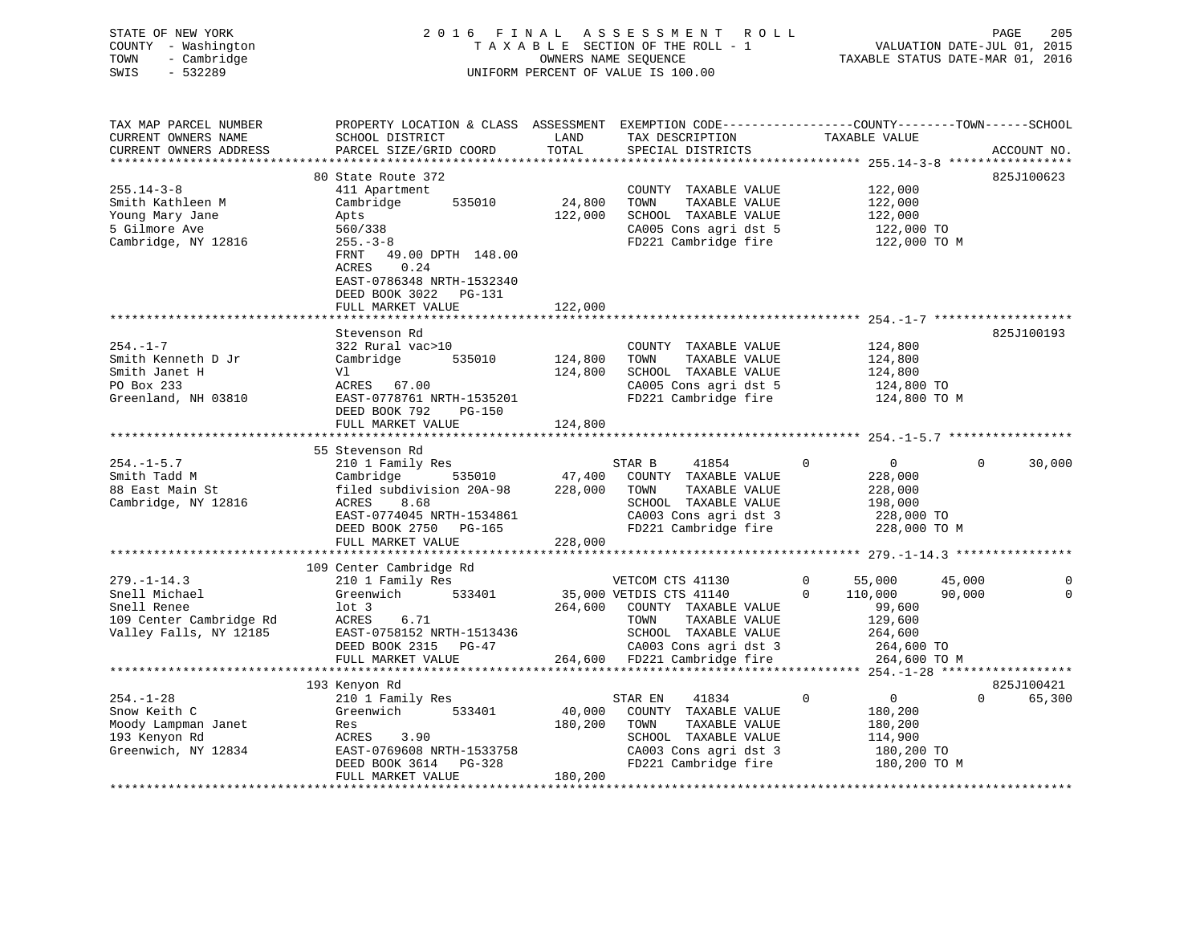| STATE OF NEW YORK<br>COUNTY - Washington<br>- Cambridge<br>TOWN<br>$-532289$<br>SWIS |                                                                        |                             | 2016 FINAL ASSESSMENT ROLL<br>TAXABLE SECTION OF THE ROLL - 1<br>OWNERS NAME SEOUENCE<br>UNIFORM PERCENT OF VALUE IS 100.00 | 205<br>PAGE<br>VALUATION DATE-JUL 01, 2015<br>TAXABLE STATUS DATE-MAR 01, 2016                |
|--------------------------------------------------------------------------------------|------------------------------------------------------------------------|-----------------------------|-----------------------------------------------------------------------------------------------------------------------------|-----------------------------------------------------------------------------------------------|
| TAX MAP PARCEL NUMBER<br>CURRENT OWNERS NAME<br>CURRENT OWNERS ADDRESS               | PROPERTY LOCATION & CLASS<br>SCHOOL DISTRICT<br>PARCEL SIZE/GRID COORD | ASSESSMENT<br>LAND<br>TOTAL | TAX DESCRIPTION<br>SPECIAL DISTRICTS                                                                                        | EXEMPTION CODE-----------------COUNTY--------TOWN------SCHOOL<br>TAXABLE VALUE<br>ACCOUNT NO. |

|                         |                            | **************** |                              |              | ********** 255.14-3-8 ***************** |                    |
|-------------------------|----------------------------|------------------|------------------------------|--------------|-----------------------------------------|--------------------|
|                         | 80 State Route 372         |                  |                              |              |                                         | 825J100623         |
| $255.14 - 3 - 8$        | 411 Apartment              |                  | COUNTY TAXABLE VALUE         |              | 122,000                                 |                    |
| Smith Kathleen M        | 535010<br>Cambridge        | 24,800           | TOWN<br>TAXABLE VALUE        |              | 122,000                                 |                    |
| Young Mary Jane         | Apts                       | 122,000          | SCHOOL TAXABLE VALUE         |              | 122,000                                 |                    |
| 5 Gilmore Ave           | 560/338                    |                  | CA005 Cons agri dst 5        |              | 122,000 TO                              |                    |
| Cambridge, NY 12816     | $255. - 3 - 8$             |                  | FD221 Cambridge fire         |              | 122,000 TO M                            |                    |
|                         | 49.00 DPTH 148.00<br>FRNT  |                  |                              |              |                                         |                    |
|                         | 0.24<br>ACRES              |                  |                              |              |                                         |                    |
|                         | EAST-0786348 NRTH-1532340  |                  |                              |              |                                         |                    |
|                         | DEED BOOK 3022 PG-131      |                  |                              |              |                                         |                    |
|                         | FULL MARKET VALUE          | 122,000          |                              |              |                                         |                    |
|                         |                            |                  |                              |              |                                         |                    |
|                         | Stevenson Rd               |                  |                              |              |                                         | 825J100193         |
| $254. - 1 - 7$          | 322 Rural vac>10           |                  | COUNTY TAXABLE VALUE         |              | 124,800                                 |                    |
| Smith Kenneth D Jr      | 535010                     |                  | TOWN<br>TAXABLE VALUE        |              |                                         |                    |
|                         | Cambridge                  | 124,800          |                              |              | 124,800                                 |                    |
| Smith Janet H           | Vl                         | 124,800          | SCHOOL TAXABLE VALUE         |              | 124,800                                 |                    |
| PO Box 233              | ACRES 67.00                |                  | CA005 Cons agri dst 5        |              | 124,800 TO                              |                    |
| Greenland, NH 03810     | EAST-0778761 NRTH-1535201  |                  | FD221 Cambridge fire         |              | 124,800 TO M                            |                    |
|                         | DEED BOOK 792<br>PG-150    |                  |                              |              |                                         |                    |
|                         | FULL MARKET VALUE          | 124,800          |                              |              |                                         |                    |
|                         |                            |                  |                              |              |                                         |                    |
|                         | 55 Stevenson Rd            |                  |                              |              |                                         |                    |
| $254. - 1 - 5.7$        | 210 1 Family Res           |                  | STAR B<br>41854              | $\Omega$     | $\overline{0}$                          | $\Omega$<br>30,000 |
| Smith Tadd M            | 535010 47,400<br>Cambridge |                  | COUNTY TAXABLE VALUE         |              | 228,000                                 |                    |
| 88 East Main St         | filed subdivision 20A-98   | 228,000          | TOWN<br>TAXABLE VALUE        |              | 228,000                                 |                    |
| Cambridge, NY 12816     | ACRES<br>8.68              |                  | SCHOOL TAXABLE VALUE         |              | 198,000                                 |                    |
|                         | EAST-0774045 NRTH-1534861  |                  | CA003 Cons agri dst 3        |              | 228,000 TO<br>228,000 TO M              |                    |
|                         | DEED BOOK 2750 PG-165      |                  | FD221 Cambridge fire         |              |                                         |                    |
|                         | FULL MARKET VALUE          | 228,000          |                              |              |                                         |                    |
|                         |                            |                  |                              |              |                                         |                    |
|                         | 109 Center Cambridge Rd    |                  |                              |              |                                         |                    |
| $279. - 1 - 14.3$       | 210 1 Family Res           |                  | VETCOM CTS 41130             | $\mathbf{0}$ | 55,000<br>45,000                        | 0                  |
| Snell Michael           | 533401<br>Greenwich        |                  | 35,000 VETDIS CTS 41140      | $\Omega$     | 90,000<br>110,000                       | $\Omega$           |
| Snell Renee             | $1$ ot $3$                 |                  | 264,600 COUNTY TAXABLE VALUE |              | 99,600                                  |                    |
| 109 Center Cambridge Rd | ACRES<br>6.71              |                  | TOWN<br>TAXABLE VALUE        |              | 129,600                                 |                    |
| Valley Falls, NY 12185  | EAST-0758152 NRTH-1513436  |                  | SCHOOL TAXABLE VALUE         |              | 264,600                                 |                    |
|                         | DEED BOOK 2315 PG-47       |                  | CA003 Cons agri dst 3        |              | 264,600 TO                              |                    |
|                         | FULL MARKET VALUE          |                  | 264,600 FD221 Cambridge fire |              | 264,600 TO M                            |                    |
|                         |                            |                  |                              |              |                                         |                    |
|                         | 193 Kenyon Rd              |                  |                              |              |                                         | 825J100421         |
| $254. - 1 - 28$         | 210 1 Family Res           |                  | 41834<br>STAR EN             | $\mathbf 0$  | $\overline{0}$                          | $\Omega$<br>65,300 |
| Snow Keith C            | Greenwich<br>533401        | 40,000           | COUNTY TAXABLE VALUE         |              | 180,200                                 |                    |
| Moody Lampman Janet     | Res                        | 180,200          | TOWN<br>TAXABLE VALUE        |              | 180,200                                 |                    |
| 193 Kenyon Rd           | 3.90<br>ACRES              |                  | SCHOOL TAXABLE VALUE         |              | 114,900                                 |                    |
| Greenwich, NY 12834     | EAST-0769608 NRTH-1533758  |                  | CA003 Cons agri dst 3        |              | 180,200 TO                              |                    |
|                         | DEED BOOK 3614 PG-328      |                  | FD221 Cambridge fire         |              | 180,200 TO M                            |                    |
|                         | FULL MARKET VALUE          | 180,200          |                              |              |                                         |                    |
|                         |                            |                  |                              |              |                                         |                    |
|                         |                            |                  |                              |              |                                         |                    |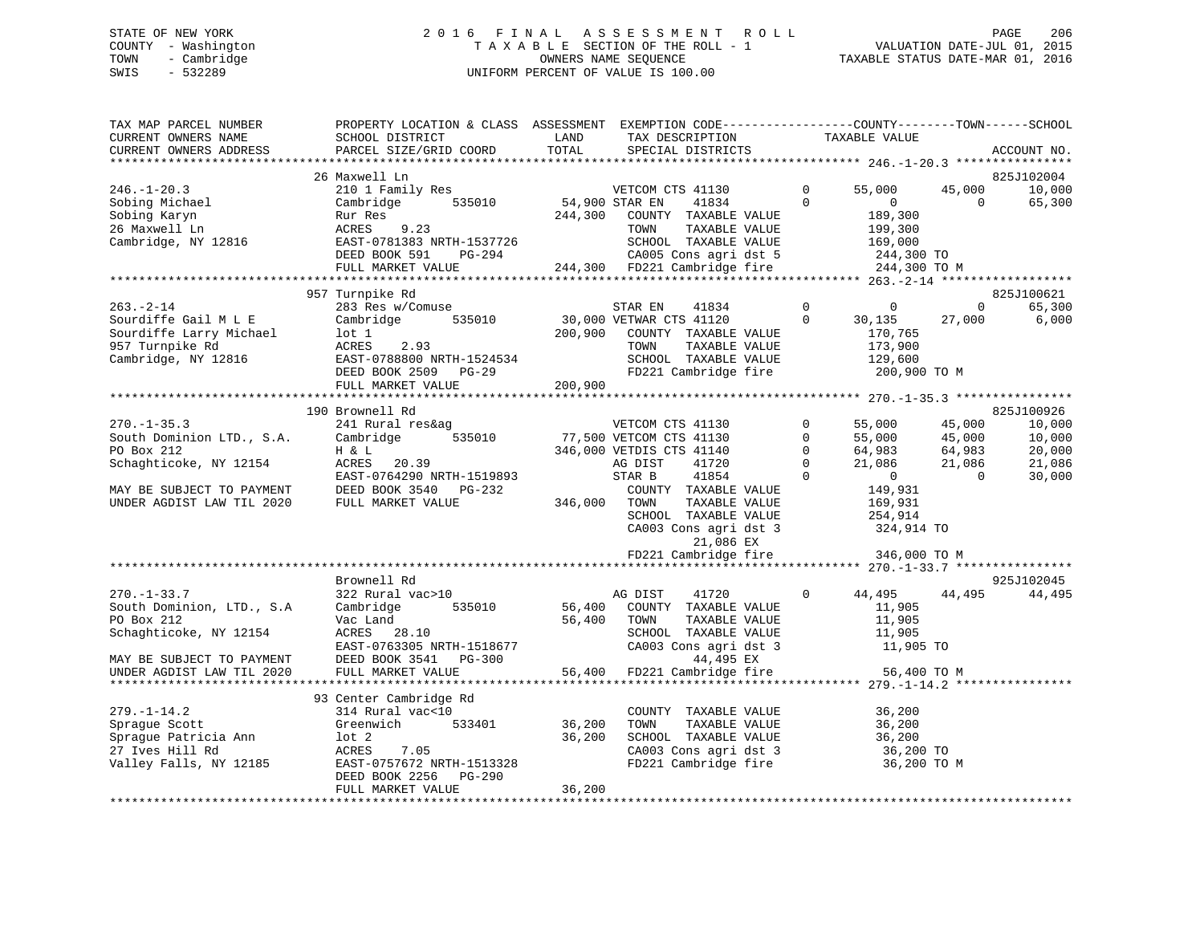## STATE OF NEW YORK 2 0 1 6 F I N A L A S S E S S M E N T R O L L PAGE 206 COUNTY - Washington T A X A B L E SECTION OF THE ROLL - 1 VALUATION DATE-JUL 01, 2015 TOWN - Cambridge OWNERS NAME SEQUENCE TAXABLE STATUS DATE-MAR 01, 2016 SWIS - 532289 UNIFORM PERCENT OF VALUE IS 100.00

| TAX MAP PARCEL NUMBER<br>CURRENT OWNERS NAME<br>CURRENT OWNERS ADDRESS | PROPERTY LOCATION & CLASS ASSESSMENT<br>SCHOOL DISTRICT<br>PARCEL SIZE/GRID COORD | LAND<br>TAX DESCRIPTION<br>TOTAL<br>SPECIAL DISTRICTS                                                                                   | EXEMPTION CODE----------------COUNTY-------TOWN-----SCHOOL<br>TAXABLE VALUE<br>ACCOUNT NO. |
|------------------------------------------------------------------------|-----------------------------------------------------------------------------------|-----------------------------------------------------------------------------------------------------------------------------------------|--------------------------------------------------------------------------------------------|
|                                                                        |                                                                                   |                                                                                                                                         |                                                                                            |
| $246. - 1 - 20.3$                                                      | 26 Maxwell Ln<br>210 1 Family Res                                                 | VETCOM C<br>54,900 STAR EN<br>VETCOM CTS 41130                                                                                          | 825J102004<br>$\Omega$<br>55,000<br>45,000<br>10,000                                       |
| Sobing Michael<br>Sobing Karyn<br>26 Maxwell Ln                        | Cambridge 535010<br>Rur Res<br>9.23                                               | 41834<br>244,300<br>COUNTY TAXABLE VALUE                                                                                                | $\Omega$<br>$\overline{0}$<br>$\Omega$<br>65,300<br>189,300<br>199,300                     |
| Cambridge, NY 12816                                                    |                                                                                   | ACRES 9.23<br>EAST-0781383 NRTH-1537726<br>DEED BOOK 591 PG-294 CA005 Cons agri dst 5<br>FULL MARKET VALUE 244,300 FD221 Cambridge fire | 169,000<br>$\frac{1}{244,300}$ TO CA005 Cons agri dst 5 244,300 TO                         |
|                                                                        |                                                                                   |                                                                                                                                         | 244,300 TO M                                                                               |
|                                                                        |                                                                                   |                                                                                                                                         |                                                                                            |
|                                                                        | 957 Turnpike Rd                                                                   |                                                                                                                                         | 825J100621                                                                                 |
| $263 - 2 - 14$                                                         | 283 Res w/Comuse                                                                  | 41834<br>STAR EN<br>535010 30,000 VETWAR CTS 41120                                                                                      | $\begin{matrix}0&0\end{matrix}$<br>$\overline{0}$<br>65,300<br>$\Omega$                    |
| Sourdiffe Gail M L E<br>Sourdiffe Larry Michael                        | Cambridge<br>lot 1                                                                |                                                                                                                                         | 30,135<br>27,000<br>6,000<br>170,765                                                       |
| 957 Turnpike Rd                                                        | ACRES<br>2.93                                                                     | 200,900 COUNTY TAXABLE VALUE<br>TOWN<br>TAXABLE VALUE                                                                                   |                                                                                            |
| Cambridge, NY 12816                                                    | EAST-0788800 NRTH-1524534                                                         | SCHOOL TAXABLE VALUE                                                                                                                    | 173,900<br>129,600                                                                         |
|                                                                        | DEED BOOK 2509 PG-29                                                              | FD221 Cambridge fire                                                                                                                    | 200,900 ТО М                                                                               |
|                                                                        | FULL MARKET VALUE                                                                 | 200,900                                                                                                                                 |                                                                                            |
|                                                                        |                                                                                   |                                                                                                                                         |                                                                                            |
|                                                                        | 190 Brownell Rd                                                                   |                                                                                                                                         | 825J100926                                                                                 |
| $270. - 1 - 35.3$                                                      | 241 Rural res&ag                                                                  | VETCOM CTS 41130                                                                                                                        | $\circ$<br>55,000<br>45,000<br>10,000                                                      |
| South Dominion LTD., S.A.                                              | Cambridge                                                                         | 535010 77,500 VETCOM CTS 41130                                                                                                          | $\overline{0}$<br>10,000                                                                   |
| PO Box 212                                                             |                                                                                   | 346,000 VETDIS CTS 41140                                                                                                                | 55,000 45,000<br>64,983 64,983<br>21,086 21,086<br>$\Omega$<br>20,000                      |
| Schaghticoke, NY 12154                                                 | H & L<br>ACRES 20.39                                                              | AG DIST<br>41720                                                                                                                        | $\mathbf 0$<br>21,086                                                                      |
|                                                                        | EAST-0764290 NRTH-1519893                                                         | 41854<br>STAR B                                                                                                                         | $\Omega$<br>$\overline{0}$<br>30,000<br>$\overline{0}$                                     |
| MAY BE SUBJECT TO PAYMENT                                              | DEED BOOK 3540 PG-232                                                             | COUNTY TAXABLE VALUE                                                                                                                    | 149,931                                                                                    |
| UNDER AGDIST LAW TIL 2020                                              | FULL MARKET VALUE                                                                 | 346,000 TOWN<br>TAXABLE VALUE                                                                                                           | 169,931                                                                                    |
|                                                                        |                                                                                   | SCHOOL TAXABLE VALUE                                                                                                                    | 254,914                                                                                    |
|                                                                        |                                                                                   | CA003 Cons agri dst 3<br>21,086 EX                                                                                                      | 324,914 TO                                                                                 |
|                                                                        |                                                                                   | FD221 Cambridge fire                                                                                                                    | 346,000 TO M                                                                               |
|                                                                        |                                                                                   |                                                                                                                                         |                                                                                            |
|                                                                        | Brownell Rd                                                                       |                                                                                                                                         | 925J102045                                                                                 |
| $270. - 1 - 33.7$                                                      | 322 Rural vac>10                                                                  | AG DIST<br>41720                                                                                                                        | $\Omega$<br>44,495<br>44,495<br>44,495                                                     |
| South Dominion, LTD., S.A<br>PO Box 212                                | 535010<br>Cambridge                                                               | 56,400<br>COUNTY TAXABLE VALUE                                                                                                          | 11,905                                                                                     |
| PO Box 212                                                             | Vac Land                                                                          | 56,400<br>TAXABLE VALUE<br>TOWN<br>SCHOOL TAXABLE VALUE                                                                                 | 11,905                                                                                     |
| Schaghticoke, NY 12154                                                 | ACRES 28.10<br>EAST-0763305 NRTH-1518677                                          |                                                                                                                                         | 11,905<br>11,905 TO                                                                        |
|                                                                        | DEED BOOK 3541 PG-300                                                             | CA003 Cons agri dst 3<br>44,495 EX<br>56,400 FD221 Cambridge fire                                                                       |                                                                                            |
| MAY BE SUBJECT TO PAYMENT<br>UNDER AGDIST LAW TIL 2020                 | FULL MARKET VALUE                                                                 |                                                                                                                                         | 56,400 TO M                                                                                |
|                                                                        |                                                                                   |                                                                                                                                         |                                                                                            |
|                                                                        | 93 Center Cambridge Rd                                                            |                                                                                                                                         |                                                                                            |
| $279. - 1 - 14.2$                                                      | 314 Rural vac<10                                                                  | COUNTY TAXABLE VALUE                                                                                                                    | 36,200                                                                                     |
| Sprague Scott                                                          | Greenwich<br>533401                                                               | 36,200<br>TAXABLE VALUE<br>TOWN                                                                                                         | 36,200                                                                                     |
| Sprague Patricia Ann                                                   | $1$ ot $2$                                                                        | 36,200<br>SCHOOL TAXABLE VALUE                                                                                                          | 36,200                                                                                     |
| 27 Ives Hill Rd                                                        | ACRES<br>7.05                                                                     |                                                                                                                                         | 36,200 TO                                                                                  |
| Valley Falls, NY 12185                                                 | EAST-0757672 NRTH-1513328                                                         | CA003 Cons agri dst 3<br>FD221 Cambridge fire                                                                                           | 36,200 TO M                                                                                |
|                                                                        | DEED BOOK 2256 PG-290                                                             |                                                                                                                                         |                                                                                            |
|                                                                        | FULL MARKET VALUE                                                                 | 36,200                                                                                                                                  |                                                                                            |
|                                                                        |                                                                                   |                                                                                                                                         |                                                                                            |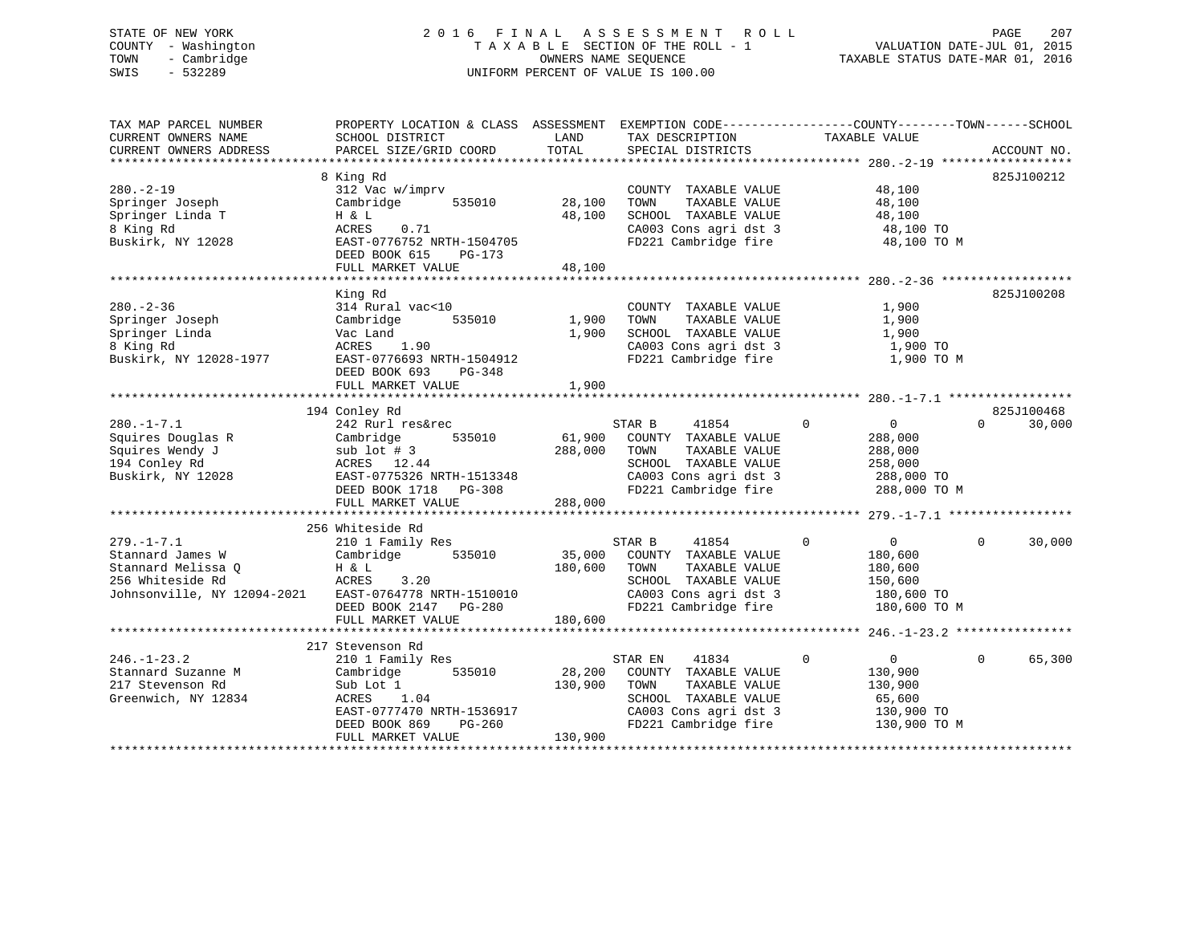## STATE OF NEW YORK 2 0 1 6 F I N A L A S S E S S M E N T R O L L PAGE 207 COUNTY - Washington T A X A B L E SECTION OF THE ROLL - 1 VALUATION DATE-JUL 01, 2015 TOWN - Cambridge OWNERS NAME SEQUENCE TAXABLE STATUS DATE-MAR 01, 2016 SWIS - 532289 UNIFORM PERCENT OF VALUE IS 100.00

| TAX MAP PARCEL NUMBER                                                                                                                                                                           | PROPERTY LOCATION & CLASS ASSESSMENT EXEMPTION CODE---------------COUNTY-------TOWN-----SCHOOL |              |                                                                       |                                                                                                         |                        |
|-------------------------------------------------------------------------------------------------------------------------------------------------------------------------------------------------|------------------------------------------------------------------------------------------------|--------------|-----------------------------------------------------------------------|---------------------------------------------------------------------------------------------------------|------------------------|
| CURRENT OWNERS NAME                                                                                                                                                                             | SCHOOL DISTRICT                                                                                | LAND         | TAX DESCRIPTION                                                       | TAXABLE VALUE                                                                                           |                        |
|                                                                                                                                                                                                 |                                                                                                |              |                                                                       |                                                                                                         |                        |
|                                                                                                                                                                                                 |                                                                                                |              |                                                                       |                                                                                                         |                        |
|                                                                                                                                                                                                 | 8 King Rd                                                                                      |              |                                                                       |                                                                                                         | 825J100212             |
| $280. - 2 - 19$                                                                                                                                                                                 | 312 Vac w/imprv                                                                                |              | COUNTY TAXABLE VALUE                                                  | 48,100                                                                                                  |                        |
| Springer Joseph                                                                                                                                                                                 | Cambridge 535010                                                                               | 28,100       | TAXABLE VALUE<br>TOWN                                                 | 48,100                                                                                                  |                        |
| Springer Linda T                                                                                                                                                                                | H & L                                                                                          | 48,100       | SCHOOL TAXABLE VALUE                                                  |                                                                                                         |                        |
| 8 King Rd                                                                                                                                                                                       | 0.71<br>ACRES                                                                                  |              |                                                                       |                                                                                                         |                        |
| Buskirk, NY 12028                                                                                                                                                                               | EAST-0776752 NRTH-1504705                                                                      |              |                                                                       | 48,100 TO<br>48,100 TO<br>100 TO<br>CA003 Cons agri dst 3 48,100 TO<br>FD221 Cambridge fire 48,100 TO M |                        |
|                                                                                                                                                                                                 | DEED BOOK 615 PG-173                                                                           |              |                                                                       |                                                                                                         |                        |
|                                                                                                                                                                                                 | FULL MARKET VALUE                                                                              | 48,100       |                                                                       |                                                                                                         |                        |
|                                                                                                                                                                                                 |                                                                                                |              |                                                                       |                                                                                                         |                        |
|                                                                                                                                                                                                 |                                                                                                |              |                                                                       |                                                                                                         |                        |
|                                                                                                                                                                                                 | King Rd                                                                                        |              |                                                                       |                                                                                                         | 825J100208             |
| $280 - 2 - 36$                                                                                                                                                                                  | 314 Rural vac<10                                                                               |              | COUNTY TAXABLE VALUE                                                  | 1,900                                                                                                   |                        |
| Springer Joseph                                                                                                                                                                                 | Cambridge 535010                                                                               | 1,900 TOWN   | TAXABLE VALUE                                                         | 1,900                                                                                                   |                        |
| Springer Linda                                                                                                                                                                                  | vac Land<br>ACRES 1.90                                                                         |              | 1,900 SCHOOL TAXABLE VALUE                                            | 1,900                                                                                                   |                        |
| 8 King Rd                                                                                                                                                                                       |                                                                                                |              | CA003 Cons agri dst 3                                                 | 1,900 TO                                                                                                |                        |
| Buskirk, NY 12028-1977                                                                                                                                                                          | EAST-0776693 NRTH-1504912                                                                      |              |                                                                       | FD221 Cambridge fire 1,900 TO M                                                                         |                        |
|                                                                                                                                                                                                 | DEED BOOK 693 PG-348                                                                           |              |                                                                       |                                                                                                         |                        |
|                                                                                                                                                                                                 | FULL MARKET VALUE                                                                              | 1,900        |                                                                       |                                                                                                         |                        |
|                                                                                                                                                                                                 |                                                                                                |              |                                                                       |                                                                                                         |                        |
|                                                                                                                                                                                                 | 194 Conley Rd                                                                                  |              |                                                                       |                                                                                                         | 825J100468             |
| $280. -1 - 7.1$                                                                                                                                                                                 | 242 Rurl res&rec                                                                               |              | STAR B<br>41854                                                       | $\overline{0}$<br>$\overline{0}$                                                                        | 30,000<br>$\Omega$     |
|                                                                                                                                                                                                 | 535010                                                                                         |              | 61,900 COUNTY TAXABLE VALUE<br>61,900 COUNTY TAXABLE VALUE            | 288,000                                                                                                 |                        |
| 242 Auil 1<br>Squires Douglas R<br>Squires Wendy J<br>194 Conley Rd<br>194 Conley Rd<br>2020 2020 2021<br>2020 2021<br>2020 2021<br>2020 2021                                                   |                                                                                                | 288,000 TOWN | TAXABLE VALUE                                                         | 288,000                                                                                                 |                        |
|                                                                                                                                                                                                 | sub lot # 3<br>ACRES 12.44                                                                     |              | SCHOOL TAXABLE VALUE                                                  | 258,000                                                                                                 |                        |
| Buskirk, NY 12028                                                                                                                                                                               | EAST-0775326 NRTH-1513348<br>EAST-0775326 NRTH-1513348<br>DEED BOOK 1718 PG-308                |              |                                                                       |                                                                                                         |                        |
|                                                                                                                                                                                                 |                                                                                                |              | CA003 Cons agri dst 3 288,000 TO<br>FD221 Cambridge fire 288,000 TO M |                                                                                                         |                        |
|                                                                                                                                                                                                 | FULL MARKET VALUE                                                                              | 288,000      |                                                                       |                                                                                                         |                        |
|                                                                                                                                                                                                 |                                                                                                |              |                                                                       |                                                                                                         |                        |
|                                                                                                                                                                                                 | 256 Whiteside Rd                                                                               |              |                                                                       |                                                                                                         |                        |
| $279. - 1 - 7.1$                                                                                                                                                                                | 210 1 Family Res                                                                               |              | 41854<br>STAR B                                                       | $\mathbf{0}$<br>$\overline{0}$                                                                          | $\Omega$<br>30,000     |
| Stannard James W                                                                                                                                                                                | Cambridge 535010 35,000 COUNTY TAXABLE VALUE                                                   |              |                                                                       | 180,600                                                                                                 |                        |
|                                                                                                                                                                                                 |                                                                                                |              |                                                                       |                                                                                                         |                        |
|                                                                                                                                                                                                 |                                                                                                | 180,600 TOWN | TAXABLE VALUE                                                         | 180,600                                                                                                 |                        |
|                                                                                                                                                                                                 | 3.20                                                                                           |              | SCHOOL TAXABLE VALUE                                                  | 150,600                                                                                                 |                        |
|                                                                                                                                                                                                 |                                                                                                |              |                                                                       | 180,600 TO<br>180,600 TO M                                                                              |                        |
| 250 WILLESIAGE RAND EAST-0764778 NRTH-1510010 SCHOOL TAXABLE VALUE<br>Johnsonville, NY 12094-2021 EAST-0764778 NRTH-1510010 CA003 Cons agri dst 3<br>DEED BOOK 2147 PG-280 FD221 Cambridge fire |                                                                                                |              |                                                                       |                                                                                                         |                        |
|                                                                                                                                                                                                 | FULL MARKET VALUE                                                                              | 180,600      |                                                                       |                                                                                                         |                        |
|                                                                                                                                                                                                 |                                                                                                |              |                                                                       |                                                                                                         |                        |
|                                                                                                                                                                                                 | 217 Stevenson Rd                                                                               |              |                                                                       |                                                                                                         |                        |
| $246. - 1 - 23.2$                                                                                                                                                                               | 210 1 Family Res                                                                               |              | 41834<br>STAR EN                                                      | $\overline{0}$<br>$\overline{0}$                                                                        | 65,300<br>$\mathbf{0}$ |
| Stannard Suzanne M                                                                                                                                                                              | 535010<br>Cambridge                                                                            |              | 28,200 COUNTY TAXABLE VALUE                                           | 130,900                                                                                                 |                        |
| 217 Stevenson Rd                                                                                                                                                                                | Sub Lot 1                                                                                      | 130,900      | TOWN<br>TAXABLE VALUE                                                 | 130,900                                                                                                 |                        |
| Greenwich, NY 12834                                                                                                                                                                             | 1.04<br>ACRES                                                                                  |              | SCHOOL TAXABLE VALUE                                                  | 65,600                                                                                                  |                        |
|                                                                                                                                                                                                 | EAST-0777470 NRTH-1536917                                                                      |              |                                                                       | 130,900 TO                                                                                              |                        |
|                                                                                                                                                                                                 | $PG-260$<br>DEED BOOK 869                                                                      |              | CA003 Cons agri dst 3<br>FD221 Cambridge fire                         | 130,900 TO M                                                                                            |                        |
|                                                                                                                                                                                                 | FULL MARKET VALUE                                                                              | 130,900      |                                                                       |                                                                                                         |                        |
|                                                                                                                                                                                                 |                                                                                                |              |                                                                       |                                                                                                         |                        |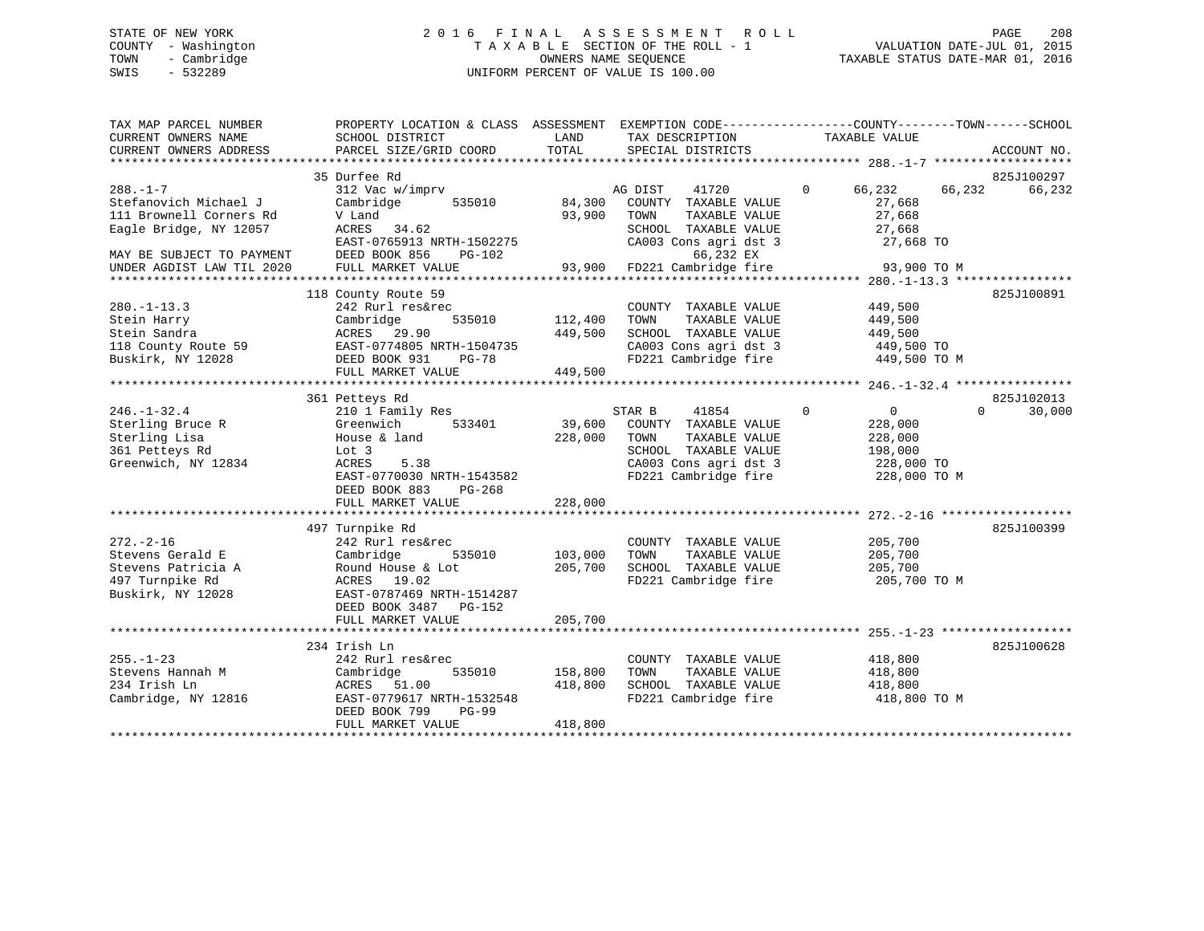## STATE OF NEW YORK 2 0 1 6 F I N A L A S S E S S M E N T R O L L PAGE 208 COUNTY - Washington T A X A B L E SECTION OF THE ROLL - 1 VALUATION DATE-JUL 01, 2015 TOWN - Cambridge OWNERS NAME SEQUENCE TAXABLE STATUS DATE-MAR 01, 2016 SWIS - 532289 UNIFORM PERCENT OF VALUE IS 100.00

| EXEMPTION CODE-----------------COUNTY-------TOWN------SCHOOL<br>TAX MAP PARCEL NUMBER<br>PROPERTY LOCATION & CLASS ASSESSMENT<br>LAND<br>CURRENT OWNERS NAME<br>SCHOOL DISTRICT<br>TAX DESCRIPTION<br>TAXABLE VALUE<br>TOTAL<br>CURRENT OWNERS ADDRESS<br>PARCEL SIZE/GRID COORD<br>SPECIAL DISTRICTS | ACCOUNT NO.        |
|-------------------------------------------------------------------------------------------------------------------------------------------------------------------------------------------------------------------------------------------------------------------------------------------------------|--------------------|
|                                                                                                                                                                                                                                                                                                       |                    |
| 35 Durfee Rd                                                                                                                                                                                                                                                                                          | 825J100297         |
| $288. - 1 - 7$<br>312 Vac w/imprv<br>41720<br>$\mathbf{0}$<br>66,232<br>66,232<br>AG DIST                                                                                                                                                                                                             | 66,232             |
| Stefanovich Michael J<br>535010<br>84,300<br>COUNTY TAXABLE VALUE<br>27,668<br>Cambridge                                                                                                                                                                                                              |                    |
| 93,900<br>111 Brownell Corners Rd<br>27,668<br>V Land<br>TOWN<br>TAXABLE VALUE                                                                                                                                                                                                                        |                    |
| Eagle Bridge, NY 12057<br>ACRES<br>34.62<br>SCHOOL TAXABLE VALUE<br>27,668                                                                                                                                                                                                                            |                    |
| EAST-0765913 NRTH-1502275<br>CA003 Cons agri dst 3<br>27,668 TO                                                                                                                                                                                                                                       |                    |
| DEED BOOK 856<br>$PG-102$<br>66,232 EX<br>MAY BE SUBJECT TO PAYMENT                                                                                                                                                                                                                                   |                    |
| 93,900<br>FD221 Cambridge fire<br>FULL MARKET VALUE<br>93,900 TO M<br>UNDER AGDIST LAW TIL 2020                                                                                                                                                                                                       |                    |
|                                                                                                                                                                                                                                                                                                       |                    |
| 118 County Route 59                                                                                                                                                                                                                                                                                   | 825J100891         |
| $280. - 1 - 13.3$<br>COUNTY TAXABLE VALUE<br>449,500<br>242 Rurl res&rec                                                                                                                                                                                                                              |                    |
| 535010<br>112,400<br>TAXABLE VALUE<br>Stein Harry<br>Cambridge<br>TOWN<br>449,500                                                                                                                                                                                                                     |                    |
| Stein Sandra<br>449,500<br>SCHOOL TAXABLE VALUE<br>ACRES 29.90<br>449,500                                                                                                                                                                                                                             |                    |
| 118 County Route 59<br>EAST-0774805 NRTH-1504735<br>CA003 Cons agri dst 3<br>449,500 TO                                                                                                                                                                                                               |                    |
| FD221 Cambridge fire<br>Buskirk, NY 12028<br>DEED BOOK 931<br>$PG-78$<br>449,500 TO M                                                                                                                                                                                                                 |                    |
| FULL MARKET VALUE<br>449,500                                                                                                                                                                                                                                                                          |                    |
|                                                                                                                                                                                                                                                                                                       |                    |
| 361 Petteys Rd                                                                                                                                                                                                                                                                                        | 825J102013         |
| $246. - 1 - 32.4$<br>210 1 Family Res<br>$\Omega$<br>STAR B<br>41854<br>$\overline{0}$                                                                                                                                                                                                                | $\Omega$<br>30,000 |
| Sterling Bruce R<br>Greenwich<br>39,600<br>533401<br>COUNTY TAXABLE VALUE<br>228,000                                                                                                                                                                                                                  |                    |
| House & land<br>228,000<br>Sterling Lisa<br>TOWN<br>TAXABLE VALUE<br>228,000                                                                                                                                                                                                                          |                    |
| 361 Petteys Rd<br>SCHOOL TAXABLE VALUE<br>Lot 3<br>198,000                                                                                                                                                                                                                                            |                    |
| CA003 Cons agri dst 3<br>Greenwich, NY 12834<br>ACRES<br>5.38<br>228,000 TO                                                                                                                                                                                                                           |                    |
| FD221 Cambridge fire<br>EAST-0770030 NRTH-1543582<br>228,000 TO M                                                                                                                                                                                                                                     |                    |
| DEED BOOK 883<br>$PG-268$                                                                                                                                                                                                                                                                             |                    |
| 228,000<br>FULL MARKET VALUE                                                                                                                                                                                                                                                                          |                    |
|                                                                                                                                                                                                                                                                                                       |                    |
| 497 Turnpike Rd                                                                                                                                                                                                                                                                                       | 825J100399         |
| $272. - 2 - 16$<br>242 Rurl res&rec<br>205,700<br>COUNTY TAXABLE VALUE                                                                                                                                                                                                                                |                    |
| Stevens Gerald E<br>535010<br>103,000<br>TAXABLE VALUE<br>Cambridge<br>TOWN<br>205,700                                                                                                                                                                                                                |                    |
| Stevens Patricia A<br>Round House & Lot<br>205,700<br>SCHOOL TAXABLE VALUE<br>205,700                                                                                                                                                                                                                 |                    |
| 497 Turnpike Rd<br>FD221 Cambridge fire<br>205,700 TO M<br>ACRES 19.02                                                                                                                                                                                                                                |                    |
| Buskirk, NY 12028<br>EAST-0787469 NRTH-1514287                                                                                                                                                                                                                                                        |                    |
| DEED BOOK 3487 PG-152                                                                                                                                                                                                                                                                                 |                    |
| 205,700<br>FULL MARKET VALUE                                                                                                                                                                                                                                                                          |                    |
|                                                                                                                                                                                                                                                                                                       |                    |
| 234 Irish Ln                                                                                                                                                                                                                                                                                          | 825J100628         |
| $255. - 1 - 23$<br>242 Rurl res&rec<br>COUNTY TAXABLE VALUE<br>418,800                                                                                                                                                                                                                                |                    |
| Stevens Hannah M<br>Cambridge<br>535010<br>158,800<br>TAXABLE VALUE<br>418,800<br>TOWN                                                                                                                                                                                                                |                    |
| 234 Irish Ln<br>51.00<br>418,800<br>SCHOOL TAXABLE VALUE<br>418,800<br>ACRES                                                                                                                                                                                                                          |                    |
| FD221 Cambridge fire<br>Cambridge, NY 12816<br>EAST-0779617 NRTH-1532548<br>418,800 TO M                                                                                                                                                                                                              |                    |
|                                                                                                                                                                                                                                                                                                       |                    |
| DEED BOOK 799<br>$PG-99$                                                                                                                                                                                                                                                                              |                    |
| 418,800<br>FULL MARKET VALUE                                                                                                                                                                                                                                                                          |                    |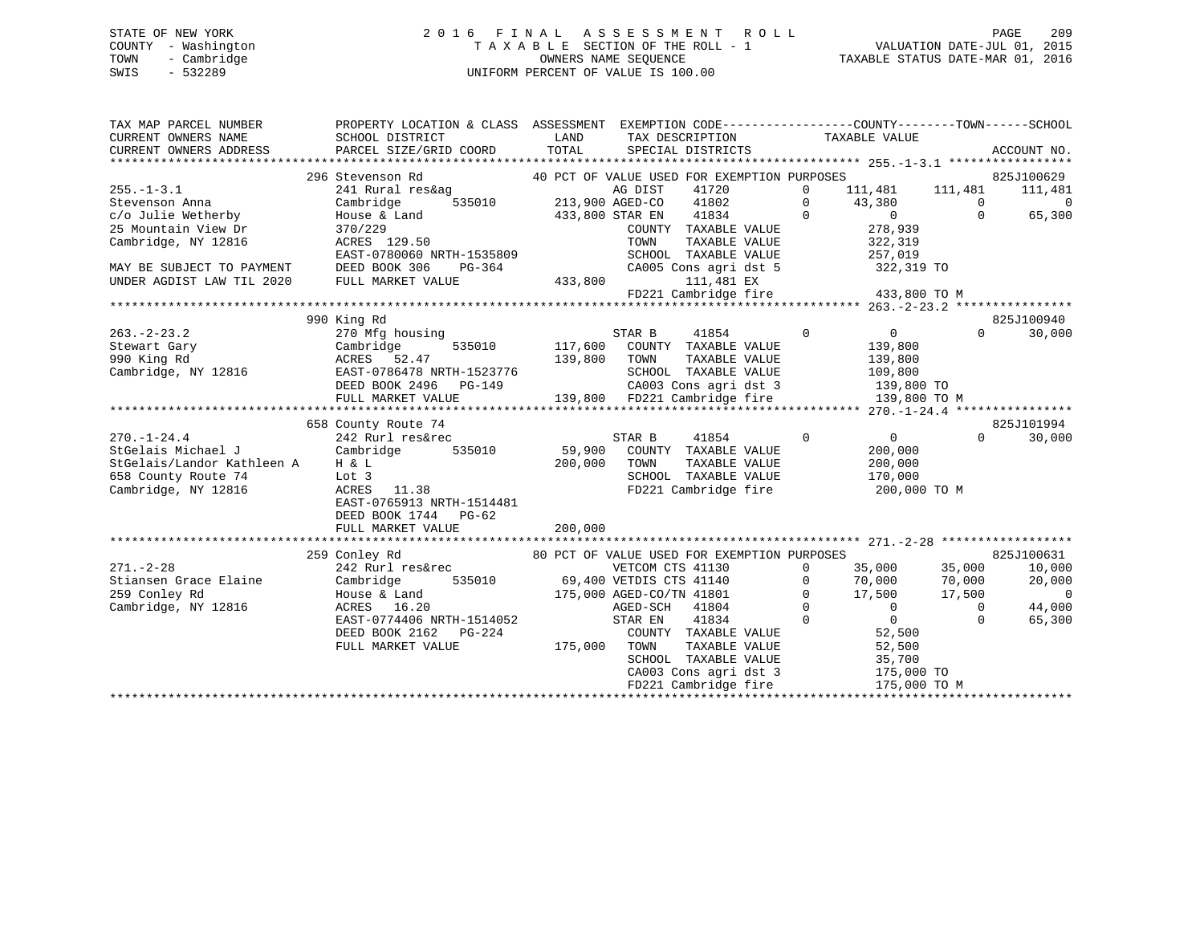## STATE OF NEW YORK 2 0 1 6 F I N A L A S S E S S M E N T R O L L PAGE 209 COUNTY - Washington T A X A B L E SECTION OF THE ROLL - 1 VALUATION DATE-JUL 01, 2015 TOWN - Cambridge OWNERS NAME SEQUENCE TAXABLE STATUS DATE-MAR 01, 2016 SWIS - 532289 UNIFORM PERCENT OF VALUE IS 100.00

| TAX MAP PARCEL NUMBER                    | PROPERTY LOCATION & CLASS ASSESSMENT EXEMPTION CODE---------------COUNTY-------TOWN-----SCHOOL |                |                                                   |                                          |                    |                                    |
|------------------------------------------|------------------------------------------------------------------------------------------------|----------------|---------------------------------------------------|------------------------------------------|--------------------|------------------------------------|
| CURRENT OWNERS NAME                      | SCHOOL DISTRICT                                                                                | LAND           | TAX DESCRIPTION                                   | TAXABLE VALUE                            |                    |                                    |
| CURRENT OWNERS ADDRESS                   | PARCEL SIZE/GRID COORD                                                                         | TOTAL          | SPECIAL DISTRICTS                                 |                                          |                    | ACCOUNT NO.                        |
|                                          | 296 Stevenson Rd                                                                               |                | 40 PCT OF VALUE USED FOR EXEMPTION PURPOSES       |                                          |                    | 825J100629                         |
| $255. - 1 - 3.1$                         | 241 Rural res&ag                                                                               |                | AG DIST<br>41720                                  | 111,481 111,481<br>$\mathbf{0}$          |                    | 111,481                            |
| Stevenson Anna                           | Cambridge<br>535010                                                                            |                | 213,900 AGED-CO<br>41802                          | 0<br>43,380                              | $\mathsf{O}$       | $\overline{0}$                     |
| c/o Julie Wetherby                       | House & Land                                                                                   |                | 41834<br>433,800 STAR EN                          | $\overline{0}$<br>$\overline{0}$         | $\Omega$           | 65,300                             |
| 25 Mountain View Dr                      | 370/229                                                                                        |                | COUNTY TAXABLE VALUE                              | 278,939                                  |                    |                                    |
| Cambridge, NY 12816                      | ACRES 129.50                                                                                   |                | TOWN<br>TAXABLE VALUE                             | 322,319                                  |                    |                                    |
|                                          | EAST-0780060 NRTH-1535809                                                                      |                | SCHOOL TAXABLE VALUE                              | 257,019                                  |                    |                                    |
| MAY BE SUBJECT TO PAYMENT                | DEED BOOK 306<br>PG-364                                                                        |                | CA005 Cons agri dst 5                             | 322,319 TO                               |                    |                                    |
| UNDER AGDIST LAW TIL 2020                | FULL MARKET VALUE                                                                              | 433,800        | 111,481 EX                                        |                                          |                    |                                    |
|                                          |                                                                                                |                | $FD221$ Cambridge fire $433,800$ TO M             |                                          |                    |                                    |
|                                          |                                                                                                |                |                                                   |                                          |                    |                                    |
|                                          | 990 King Rd                                                                                    |                |                                                   |                                          |                    | 825J100940                         |
| $263. - 2 - 23.2$                        | 270 Mfg housing                                                                                |                | STAR B<br>41854                                   | $\mathbf 0$<br>$\overline{0}$            | $\Omega$           | 30,000                             |
| Stewart Gary                             | Cambridge                                                                                      | 535010 117,600 | COUNTY TAXABLE VALUE                              | 139,800                                  |                    |                                    |
| 990 King Rd                              | ACRES 52.47                                                                                    | 139,800        | TOWN<br>TAXABLE VALUE                             | 139,800                                  |                    |                                    |
| Cambridge, NY 12816                      | EAST-0786478 NRTH-1523776                                                                      |                | SCHOOL TAXABLE VALUE                              | 109,800                                  |                    |                                    |
|                                          | DEED BOOK 2496<br>PG-149                                                                       |                | CA003 Cons agri dst 3                             | 139,800 TO                               |                    |                                    |
|                                          | FULL MARKET VALUE                                                                              |                | 139,800 FD221 Cambridge fire                      | 139,800 TO M                             |                    |                                    |
|                                          |                                                                                                |                |                                                   |                                          |                    |                                    |
|                                          | 658 County Route 74                                                                            |                |                                                   |                                          |                    | 825J101994                         |
| $270. - 1 - 24.4$                        | 242 Rurl res&rec                                                                               |                | STAR B<br>41854                                   | $\overline{0}$<br>$\overline{0}$         | $\Omega$           | 30,000                             |
| StGelais Michael J                       | Cambridge<br>535010                                                                            | 59,900         | COUNTY TAXABLE VALUE                              | 200,000                                  |                    |                                    |
| StGelais/Landor Kathleen A               | H & L                                                                                          | 200,000        | TOWN<br>TAXABLE VALUE                             | 200,000                                  |                    |                                    |
| 658 County Route 74                      | Lot 3                                                                                          |                | SCHOOL TAXABLE VALUE                              | 170,000                                  |                    |                                    |
| Cambridge, NY 12816                      | ACRES 11.38                                                                                    |                | FD221 Cambridge fire                              | 200,000 TO M                             |                    |                                    |
|                                          | EAST-0765913 NRTH-1514481                                                                      |                |                                                   |                                          |                    |                                    |
|                                          | DEED BOOK 1744 PG-62                                                                           |                |                                                   |                                          |                    |                                    |
|                                          | FULL MARKET VALUE                                                                              | 200,000        |                                                   |                                          |                    |                                    |
|                                          |                                                                                                |                |                                                   |                                          |                    |                                    |
|                                          | 259 Conley Rd                                                                                  |                | 80 PCT OF VALUE USED FOR EXEMPTION PURPOSES       |                                          |                    | 825J100631                         |
| $271. - 2 - 28$<br>Stiansen Grace Elaine | 242 Rurl res&rec<br>535010                                                                     |                | VETCOM CTS 41130                                  | 35,000<br>$\circ$                        | 35,000             | 10,000                             |
|                                          | Cambridge                                                                                      |                | 69,400 VETDIS CTS 41140                           | 70,000<br>$\mathbf{0}$<br>$\overline{0}$ | 70,000             | 20,000<br>$\overline{\phantom{0}}$ |
| 259 Conley Rd                            | House & Land                                                                                   |                | 175,000 AGED-CO/TN 41801                          | 17,500<br>$\Omega$<br>$\overline{0}$     | 17,500<br>$\Omega$ |                                    |
| Cambridge, NY 12816                      | ACRES 16.20<br>EAST-0774406 NRTH-1514052                                                       |                | 41804<br>AGED-SCH<br>$\sim$ 0<br>STAR EN<br>41834 | $\Omega$                                 | $\Omega$           | 44,000<br>65,300                   |
|                                          | DEED BOOK 2162 PG-224                                                                          |                | COUNTY TAXABLE VALUE                              | 52,500                                   |                    |                                    |
|                                          | FULL MARKET VALUE                                                                              | 175,000        | TOWN<br>TAXABLE VALUE                             | 52,500                                   |                    |                                    |
|                                          |                                                                                                |                | SCHOOL TAXABLE VALUE                              | 35,700                                   |                    |                                    |
|                                          |                                                                                                |                | CA003 Cons agri dst 3                             | 175,000 TO                               |                    |                                    |
|                                          |                                                                                                |                | FD221 Cambridge fire                              | 175,000 TO M                             |                    |                                    |
|                                          |                                                                                                |                |                                                   |                                          |                    |                                    |
|                                          |                                                                                                |                |                                                   |                                          |                    |                                    |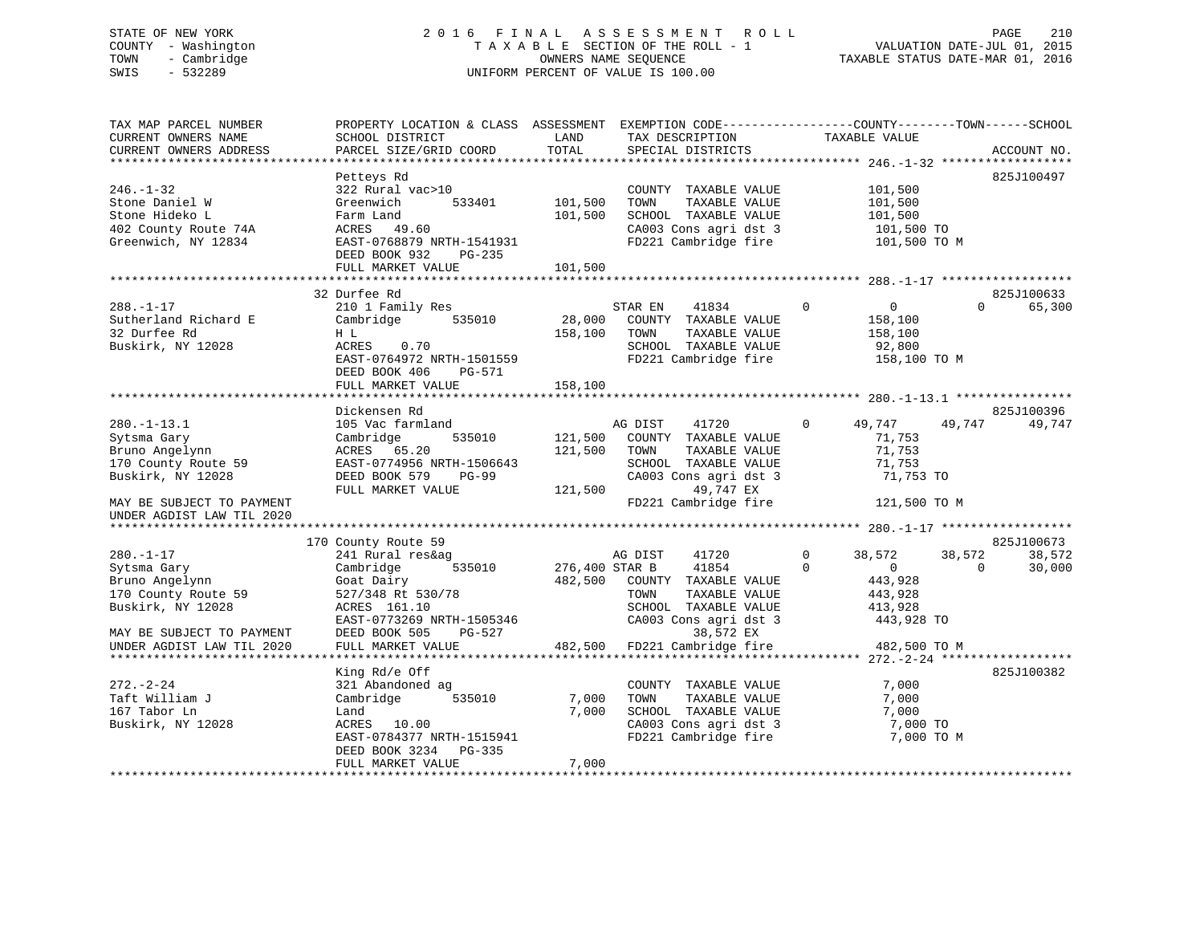## STATE OF NEW YORK 2 0 1 6 F I N A L A S S E S S M E N T R O L L PAGE 210 COUNTY - Washington T A X A B L E SECTION OF THE ROLL - 1 VALUATION DATE-JUL 01, 2015 TOWN - Cambridge OWNERS NAME SEQUENCE TAXABLE STATUS DATE-MAR 01, 2016 SWIS - 532289 UNIFORM PERCENT OF VALUE IS 100.00

| TAX MAP PARCEL NUMBER<br>CURRENT OWNERS NAME<br>CURRENT OWNERS ADDRESS                             | PROPERTY LOCATION & CLASS ASSESSMENT EXEMPTION CODE-----------------COUNTY-------TOWN------SCHOOL<br>SCHOOL DISTRICT<br>PARCEL SIZE/GRID COORD                 | LAND<br>TOTAL                 | TAX DESCRIPTION<br>SPECIAL DISTRICTS                                                                                            | TAXABLE VALUE                                                                     | ACCOUNT NO.                                          |
|----------------------------------------------------------------------------------------------------|----------------------------------------------------------------------------------------------------------------------------------------------------------------|-------------------------------|---------------------------------------------------------------------------------------------------------------------------------|-----------------------------------------------------------------------------------|------------------------------------------------------|
| $246. - 1 - 32$<br>Stone Daniel W<br>Stone Hideko L<br>402 County Route 74A<br>Greenwich, NY 12834 | Petteys Rd<br>322 Rural vac>10<br>Greenwich<br>533401<br>Farm Land<br>ACRES 49.60<br>EAST-0768879 NRTH-1541931<br>DEED BOOK 932<br>PG-235<br>FULL MARKET VALUE | 101,500<br>101,500<br>101,500 | COUNTY TAXABLE VALUE<br>TAXABLE VALUE<br>TOWN<br>SCHOOL TAXABLE VALUE<br>CA003 Cons agri dst 3<br>FD221 Cambridge fire          | 101,500<br>101,500<br>101,500<br>101,500 TO<br>101,500 TO M                       | 825J100497                                           |
|                                                                                                    |                                                                                                                                                                |                               |                                                                                                                                 |                                                                                   |                                                      |
| $288. - 1 - 17$<br>Sutherland Richard E<br>32 Durfee Rd<br>Buskirk, NY 12028                       | 32 Durfee Rd<br>210 1 Family Res<br>Cambridge<br>535010<br>H L<br>ACRES<br>0.70<br>EAST-0764972 NRTH-1501559<br>DEED BOOK 406<br>PG-571                        | 28,000<br>158,100             | STAR EN<br>41834<br>COUNTY TAXABLE VALUE<br>TAXABLE VALUE<br>TOWN<br>SCHOOL TAXABLE VALUE<br>FD221 Cambridge fire               | $\mathbf 0$<br>$\overline{0}$<br>158,100<br>158,100<br>92,800<br>158,100 TO M     | 825J100633<br>65,300<br>$\Omega$                     |
|                                                                                                    | FULL MARKET VALUE                                                                                                                                              | 158,100                       |                                                                                                                                 |                                                                                   |                                                      |
|                                                                                                    | Dickensen Rd                                                                                                                                                   |                               |                                                                                                                                 |                                                                                   | 825J100396                                           |
| $280. -1 - 13.1$<br>Sytsma Gary<br>Bruno Angelynn<br>170 County Route 59<br>Buskirk, NY 12028      | 105 Vac farmland<br>Cambridge<br>535010<br>ACRES 65.20<br>EAST-0774956 NRTH-1506643<br>DEED BOOK 579<br><b>PG-99</b><br>FULL MARKET VALUE                      | 121,500<br>121,500<br>121,500 | AG DIST<br>41720<br>COUNTY TAXABLE VALUE<br>TAXABLE VALUE<br>TOWN<br>SCHOOL TAXABLE VALUE<br>CA003 Cons agri dst 3<br>49,747 EX | $\Omega$<br>49,747<br>71,753<br>71,753<br>71,753<br>71,753 TO                     | 49,747<br>49,747                                     |
| MAY BE SUBJECT TO PAYMENT<br>UNDER AGDIST LAW TIL 2020                                             |                                                                                                                                                                |                               | FD221 Cambridge fire                                                                                                            | 121,500 TO M                                                                      |                                                      |
|                                                                                                    |                                                                                                                                                                |                               |                                                                                                                                 |                                                                                   |                                                      |
| $280. - 1 - 17$<br>Sytsma Gary<br>Bruno Angelynn<br>170 County Route 59<br>Buskirk, NY 12028       | 170 County Route 59<br>241 Rural res&ag<br>535010<br>Cambridge<br>Goat Dairy<br>527/348 Rt 530/78<br>ACRES 161.10                                              | 276,400 STAR B<br>482,500     | AG DIST<br>41720<br>41854<br>COUNTY TAXABLE VALUE<br>TOWN<br>TAXABLE VALUE<br>SCHOOL TAXABLE VALUE<br>CA003 Cons agri dst 3     | $\Omega$<br>38,572<br>$\Omega$<br>$\overline{0}$<br>443,928<br>443,928<br>413,928 | 825J100673<br>38,572<br>38,572<br>30,000<br>$\Omega$ |
| MAY BE SUBJECT TO PAYMENT<br>UNDER AGDIST LAW TIL 2020                                             | EAST-0773269 NRTH-1505346<br>DEED BOOK 505<br>PG-527<br>FULL MARKET VALUE                                                                                      | 482,500                       | 38,572 EX<br>FD221 Cambridge fire                                                                                               | 443,928 TO<br>482,500 TO M                                                        |                                                      |
|                                                                                                    | King Rd/e Off                                                                                                                                                  |                               |                                                                                                                                 |                                                                                   | 825J100382                                           |
| $272. - 2 - 24$<br>Taft William J<br>167 Tabor Ln<br>Buskirk, NY 12028                             | 321 Abandoned ag<br>535010<br>Cambridge<br>Land<br>ACRES 10.00<br>EAST-0784377 NRTH-1515941<br>DEED BOOK 3234<br>PG-335<br>FULL MARKET VALUE                   | 7,000<br>7,000<br>7,000       | COUNTY TAXABLE VALUE<br>TOWN<br>TAXABLE VALUE<br>SCHOOL TAXABLE VALUE<br>CA003 Cons agri dst 3<br>FD221 Cambridge fire          | 7,000<br>7,000<br>7,000<br>7,000 TO<br>7,000 TO M                                 |                                                      |
|                                                                                                    |                                                                                                                                                                |                               |                                                                                                                                 |                                                                                   |                                                      |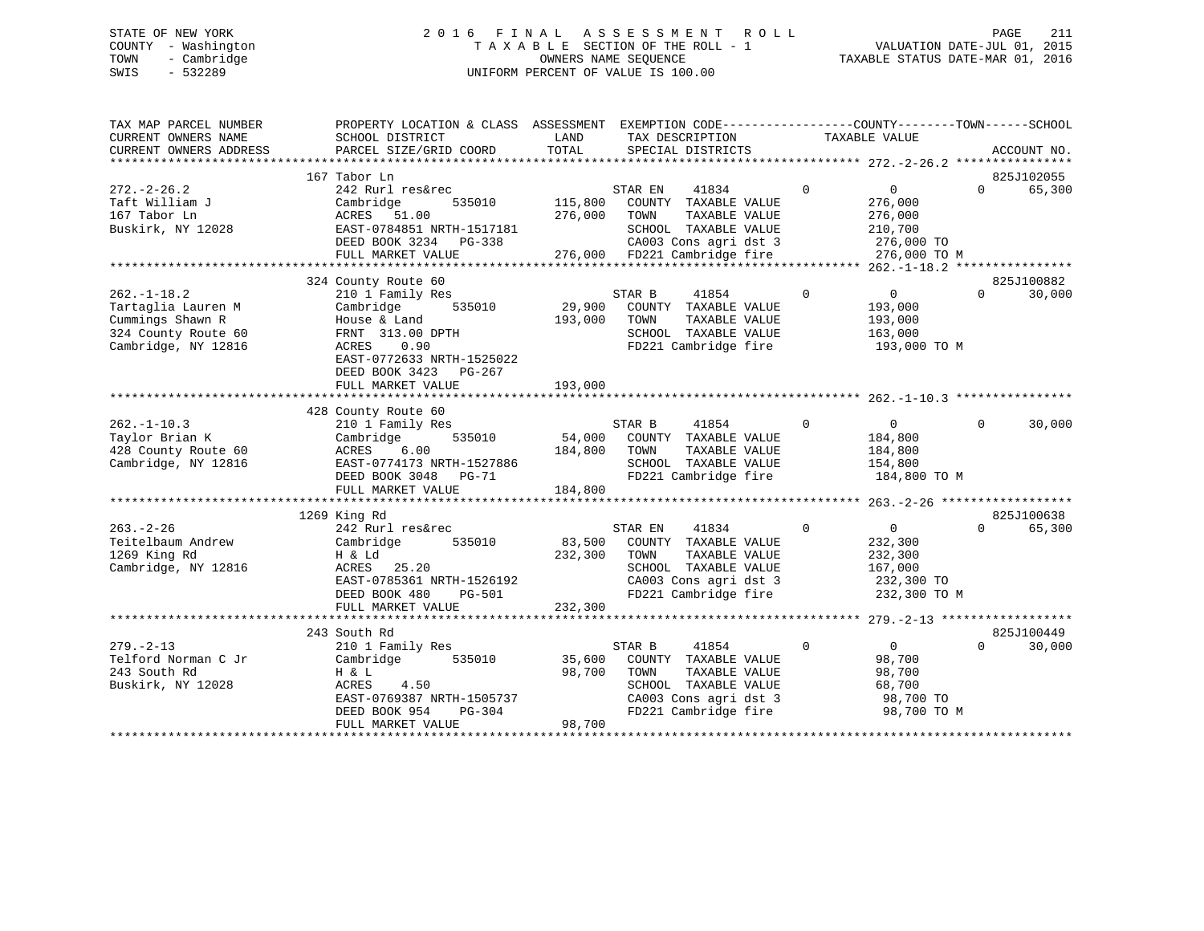## STATE OF NEW YORK 2 0 1 6 F I N A L A S S E S S M E N T R O L L PAGE 211 COUNTY - Washington T A X A B L E SECTION OF THE ROLL - 1 VALUATION DATE-JUL 01, 2015 TOWN - Cambridge OWNERS NAME SEQUENCE TAXABLE STATUS DATE-MAR 01, 2016 SWIS - 532289 UNIFORM PERCENT OF VALUE IS 100.00

| 167 Tabor Ln<br>$\Omega$<br>$272. - 2 - 26.2$<br>242 Rurl res&rec<br>STAR EN<br>41834<br>$\Omega$<br>$\Omega$<br>115,800<br>Taft William J<br>535010<br>COUNTY TAXABLE VALUE<br>276,000<br>Cambridge<br>276,000<br>167 Tabor Ln<br>ACRES 51.00<br>TAXABLE VALUE<br>276,000<br>TOWN<br>Buskirk, NY 12028<br>EAST-0784851 NRTH-1517181<br>SCHOOL TAXABLE VALUE<br>210,700 | 825J102055<br>65,300 |
|-------------------------------------------------------------------------------------------------------------------------------------------------------------------------------------------------------------------------------------------------------------------------------------------------------------------------------------------------------------------------|----------------------|
|                                                                                                                                                                                                                                                                                                                                                                         |                      |
|                                                                                                                                                                                                                                                                                                                                                                         |                      |
|                                                                                                                                                                                                                                                                                                                                                                         |                      |
|                                                                                                                                                                                                                                                                                                                                                                         |                      |
|                                                                                                                                                                                                                                                                                                                                                                         |                      |
|                                                                                                                                                                                                                                                                                                                                                                         |                      |
| DEED BOOK 3234 PG-338<br>CA003 Cons agri dst 3<br>276,000 TO                                                                                                                                                                                                                                                                                                            |                      |
| 276,000 FD221 Cambridge fire<br>FULL MARKET VALUE<br>276,000 TO M                                                                                                                                                                                                                                                                                                       |                      |
|                                                                                                                                                                                                                                                                                                                                                                         |                      |
| 324 County Route 60                                                                                                                                                                                                                                                                                                                                                     | 825J100882           |
| 210 1 Family Res<br>STAR B<br>41854<br>$\Omega$<br>$262. - 1 - 18.2$<br>$\overline{0}$<br>$\Omega$                                                                                                                                                                                                                                                                      | 30,000               |
| Tartaglia Lauren M<br>535010<br>29,900<br>Cambridge<br>COUNTY TAXABLE VALUE<br>193,000                                                                                                                                                                                                                                                                                  |                      |
| Cummings Shawn R<br>House & Land<br>193,000<br>TAXABLE VALUE<br>193,000<br>TOWN                                                                                                                                                                                                                                                                                         |                      |
|                                                                                                                                                                                                                                                                                                                                                                         |                      |
| 324 County Route 60<br>FRNT 313.00 DPTH<br>SCHOOL TAXABLE VALUE<br>163,000                                                                                                                                                                                                                                                                                              |                      |
| Cambridge, NY 12816<br>ACRES<br>0.90<br>FD221 Cambridge fire<br>193,000 TO M                                                                                                                                                                                                                                                                                            |                      |
| EAST-0772633 NRTH-1525022                                                                                                                                                                                                                                                                                                                                               |                      |
| DEED BOOK 3423 PG-267                                                                                                                                                                                                                                                                                                                                                   |                      |
| 193,000<br>FULL MARKET VALUE                                                                                                                                                                                                                                                                                                                                            |                      |
|                                                                                                                                                                                                                                                                                                                                                                         |                      |
| 428 County Route 60                                                                                                                                                                                                                                                                                                                                                     |                      |
| $262. -1 - 10.3$<br>210 1 Family Res<br>STAR B<br>41854<br>$\overline{0}$<br>$\Omega$<br>$\Omega$                                                                                                                                                                                                                                                                       | 30,000               |
| Taylor Brian K<br>535010<br>54,000<br>COUNTY TAXABLE VALUE<br>Cambridge<br>184,800                                                                                                                                                                                                                                                                                      |                      |
| 428 County Route 60<br>184,800<br>TAXABLE VALUE<br>ACRES<br>6.00<br>TOWN<br>184,800                                                                                                                                                                                                                                                                                     |                      |
| Cambridge, NY 12816<br>SCHOOL TAXABLE VALUE<br>EAST-0774173 NRTH-1527886<br>154,800                                                                                                                                                                                                                                                                                     |                      |
| FD221 Cambridge fire<br>DEED BOOK 3048 PG-71<br>184,800 TO M                                                                                                                                                                                                                                                                                                            |                      |
| 184,800<br>FULL MARKET VALUE                                                                                                                                                                                                                                                                                                                                            |                      |
|                                                                                                                                                                                                                                                                                                                                                                         |                      |
|                                                                                                                                                                                                                                                                                                                                                                         | 825J100638           |
| 1269 King Rd                                                                                                                                                                                                                                                                                                                                                            |                      |
| $263. - 2 - 26$<br>242 Rurl res&rec<br>$\mathbf 0$<br>$\overline{0}$<br>STAR EN<br>41834<br>$\Omega$                                                                                                                                                                                                                                                                    | 65,300               |
| Teitelbaum Andrew<br>83,500<br>Cambridge<br>535010<br>COUNTY TAXABLE VALUE<br>232,300                                                                                                                                                                                                                                                                                   |                      |
| 1269 King Rd<br>232,300<br>TOWN<br>TAXABLE VALUE<br>232,300<br>H & Ld                                                                                                                                                                                                                                                                                                   |                      |
| Cambridge, NY 12816<br>SCHOOL TAXABLE VALUE<br>167,000<br>ACRES<br>25.20                                                                                                                                                                                                                                                                                                |                      |
| EAST-0785361 NRTH-1526192<br>CA003 Cons agri dst 3<br>232,300 TO                                                                                                                                                                                                                                                                                                        |                      |
| FD221 Cambridge fire<br>DEED BOOK 480<br>PG-501<br>232,300 TO M                                                                                                                                                                                                                                                                                                         |                      |
| FULL MARKET VALUE<br>232,300                                                                                                                                                                                                                                                                                                                                            |                      |
|                                                                                                                                                                                                                                                                                                                                                                         |                      |
| 243 South Rd                                                                                                                                                                                                                                                                                                                                                            | 825J100449           |
| $\Omega$<br>$\mathbf{0}$<br>$279. - 2 - 13$<br>210 1 Family Res<br>STAR B<br>41854<br>$\Omega$                                                                                                                                                                                                                                                                          | 30,000               |
| Telford Norman C Jr<br>535010<br>35,600<br>98,700<br>Cambridge<br>COUNTY TAXABLE VALUE                                                                                                                                                                                                                                                                                  |                      |
| 243 South Rd<br>98,700<br>H & L<br>TOWN<br>TAXABLE VALUE<br>98,700                                                                                                                                                                                                                                                                                                      |                      |
| Buskirk, NY 12028<br>ACRES<br>4.50<br>SCHOOL TAXABLE VALUE<br>68,700                                                                                                                                                                                                                                                                                                    |                      |
| EAST-0769387 NRTH-1505737<br>CA003 Cons agri dst 3<br>98,700 TO                                                                                                                                                                                                                                                                                                         |                      |
| FD221 Cambridge fire                                                                                                                                                                                                                                                                                                                                                    |                      |
| DEED BOOK 954<br>PG-304<br>98,700 TO M                                                                                                                                                                                                                                                                                                                                  |                      |
| FULL MARKET VALUE<br>98,700                                                                                                                                                                                                                                                                                                                                             |                      |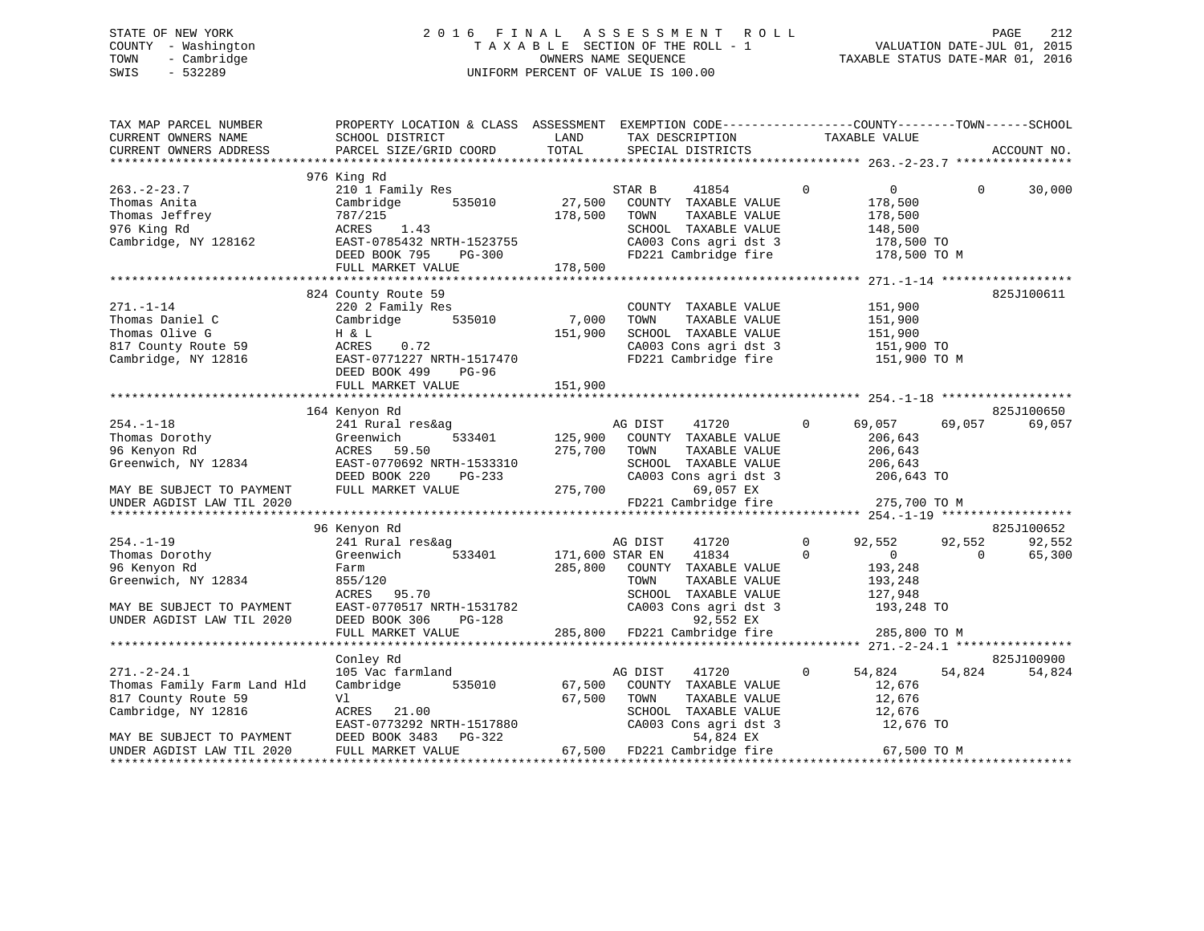## STATE OF NEW YORK 2 0 1 6 F I N A L A S S E S S M E N T R O L L PAGE 212 COUNTY - Washington T A X A B L E SECTION OF THE ROLL - 1 VALUATION DATE-JUL 01, 2015 TOWN - Cambridge OWNERS NAME SEQUENCE TAXABLE STATUS DATE-MAR 01, 2016 SWIS - 532289 UNIFORM PERCENT OF VALUE IS 100.00

| TAX MAP PARCEL NUMBER<br>CURRENT OWNERS NAME<br>CURRENT OWNERS ADDRESS                             | PROPERTY LOCATION & CLASS ASSESSMENT EXEMPTION CODE----------------COUNTY-------TOWN------SCHOOL<br>SCHOOL DISTRICT<br>PARCEL SIZE/GRID COORD                   | LAND<br>TOTAL                | TAX DESCRIPTION<br>SPECIAL DISTRICTS<br>SPECIAL DISTRICTS                                                                                              |             |                                                               |                | ACCOUNT NO. |
|----------------------------------------------------------------------------------------------------|-----------------------------------------------------------------------------------------------------------------------------------------------------------------|------------------------------|--------------------------------------------------------------------------------------------------------------------------------------------------------|-------------|---------------------------------------------------------------|----------------|-------------|
| $263. - 2 - 23.7$<br>Thomas Anita<br>Thomas Jeffrey<br>976 King Rd<br>Cambridge, NY 128162         | 976 King Rd<br>210 1 Family Res<br>535010<br>Cambridge<br>787/215<br>ACRES<br>1.43<br>EAST-0785432 NRTH-1523755<br>DEED BOOK 795<br>PG-300<br>FULL MARKET VALUE | 27,500<br>178,500<br>178,500 | 41854<br>STAR B<br>COUNTY TAXABLE VALUE<br>TOWN<br>TAXABLE VALUE<br>SCHOOL TAXABLE VALUE<br>CA003 Cons agri dst 3<br>FD221 Cambridge fire 178,500 TO M | $\mathbf 0$ | $\overline{0}$<br>178,500<br>178,500<br>148,500<br>178,500 TO | $\Omega$       | 30,000      |
|                                                                                                    | 824 County Route 59                                                                                                                                             |                              |                                                                                                                                                        |             |                                                               |                | 825J100611  |
| $271. - 1 - 14$<br>Thomas Daniel C<br>Thomas Olive G<br>817 County Route 59<br>Cambridge, NY 12816 | 220 2 Family Res<br>Cambridge 535010<br>H & L<br>0.72<br>ACRES<br>EAST-0771227 NRTH-1517470<br>DEED BOOK 499 PG-96                                              | 7,000<br>151,900             | COUNTY TAXABLE VALUE<br>TOWN<br>TAXABLE VALUE<br>SCHOOL TAXABLE VALUE<br>CA003 Cons agri dst 3<br>FD221 Cambridge fire 151,900 TO M                    |             | 151,900<br>151,900<br>151,900<br>151,900 TO                   |                |             |
|                                                                                                    | FULL MARKET VALUE                                                                                                                                               | 151,900                      |                                                                                                                                                        |             |                                                               |                |             |
|                                                                                                    |                                                                                                                                                                 |                              |                                                                                                                                                        |             |                                                               |                |             |
|                                                                                                    | 164 Kenyon Rd                                                                                                                                                   |                              |                                                                                                                                                        |             |                                                               |                | 825J100650  |
| $254. -1 - 18$<br>Thomas Dorothy<br>96 Kenyon Rd<br>Greenwich, NY 12834                            | 241 Rural res&ag<br>533401<br>Greenwich<br>ACRES<br>59.50<br>EAST-0770692 NRTH-1533310<br>DEED BOOK 220<br>PG-233                                               | 125,900<br>275,700           | AG DIST<br>41720<br>COUNTY TAXABLE VALUE<br>TOWN<br>TAXABLE VALUE<br>SCHOOL TAXABLE VALUE<br>CA003 Cons agri dst 3                                     | $\mathbf 0$ | 69,057<br>206,643<br>206,643<br>206,643<br>206,643 TO         | 69,057         | 69,057      |
| MAY BE SUBJECT TO PAYMENT                                                                          | FULL MARKET VALUE                                                                                                                                               | 275,700                      | 69,057 EX                                                                                                                                              |             |                                                               |                |             |
| UNDER AGDIST LAW TIL 2020                                                                          |                                                                                                                                                                 |                              | FD221 Cambridge fire                                                                                                                                   |             | 275,700 TO M                                                  |                |             |
|                                                                                                    |                                                                                                                                                                 |                              |                                                                                                                                                        |             |                                                               |                | 825J100652  |
| $254. -1 - 19$                                                                                     | 96 Kenyon Rd<br>241 Rural res&ag                                                                                                                                |                              | AG DIST<br>41720                                                                                                                                       | $\mathbf 0$ | 92,552                                                        | 92,552         | 92,552      |
| Thomas Dorothy<br>96 Kenyon Rd<br>Greenwich, NY 12834<br>MAY BE SUBJECT TO PAYMENT                 | Greenwich<br>533401<br>Farm<br>855/120<br>ACRES<br>95.70<br>EAST-0770517 NRTH-1531782                                                                           | 171,600 STAR EN              | 41834<br>285,800 COUNTY TAXABLE VALUE<br>TOWN<br>TAXABLE VALUE<br>SCHOOL TAXABLE VALUE<br>CA003 Cons agri dst 3                                        | $\Omega$    | $\overline{0}$<br>193,248<br>193,248<br>127,948<br>193,248 TO | $\overline{0}$ | 65,300      |
| UNDER AGDIST LAW TIL 2020                                                                          | DEED BOOK 306<br>PG-128                                                                                                                                         |                              | 92,552 EX                                                                                                                                              |             |                                                               |                |             |
|                                                                                                    | FULL MARKET VALUE                                                                                                                                               |                              | 285,800 FD221 Cambridge fire                                                                                                                           |             | 285,800 TO M                                                  |                |             |
|                                                                                                    | Conley Rd                                                                                                                                                       |                              |                                                                                                                                                        |             |                                                               |                | 825J100900  |
| $271. - 2 - 24.1$                                                                                  | 105 Vac farmland                                                                                                                                                |                              | AG DIST<br>41720                                                                                                                                       | $\mathbf 0$ | 54,824                                                        | 54,824         | 54,824      |
| Thomas Family Farm Land Hld<br>817 County Route 59<br>Cambridge, NY 12816                          | Cambridge 535010<br>Vl<br>ACRES 21.00<br>EAST-0773292 NRTH-1517880                                                                                              | 67,500<br>67,500             | COUNTY TAXABLE VALUE<br>TOWN<br>TAXABLE VALUE<br>SCHOOL TAXABLE VALUE<br>CA003 Cons agri dst 3                                                         |             | 12,676<br>12,676<br>12,676<br>12,676 TO                       |                |             |
| MAY BE SUBJECT TO PAYMENT                                                                          | DEED BOOK 3483 PG-322                                                                                                                                           |                              | 54,824 EX                                                                                                                                              |             |                                                               |                |             |
| UNDER AGDIST LAW TIL 2020                                                                          | FULL MARKET VALUE                                                                                                                                               |                              | 67,500 FD221 Cambridge fire                                                                                                                            |             | 67,500 TO M                                                   |                |             |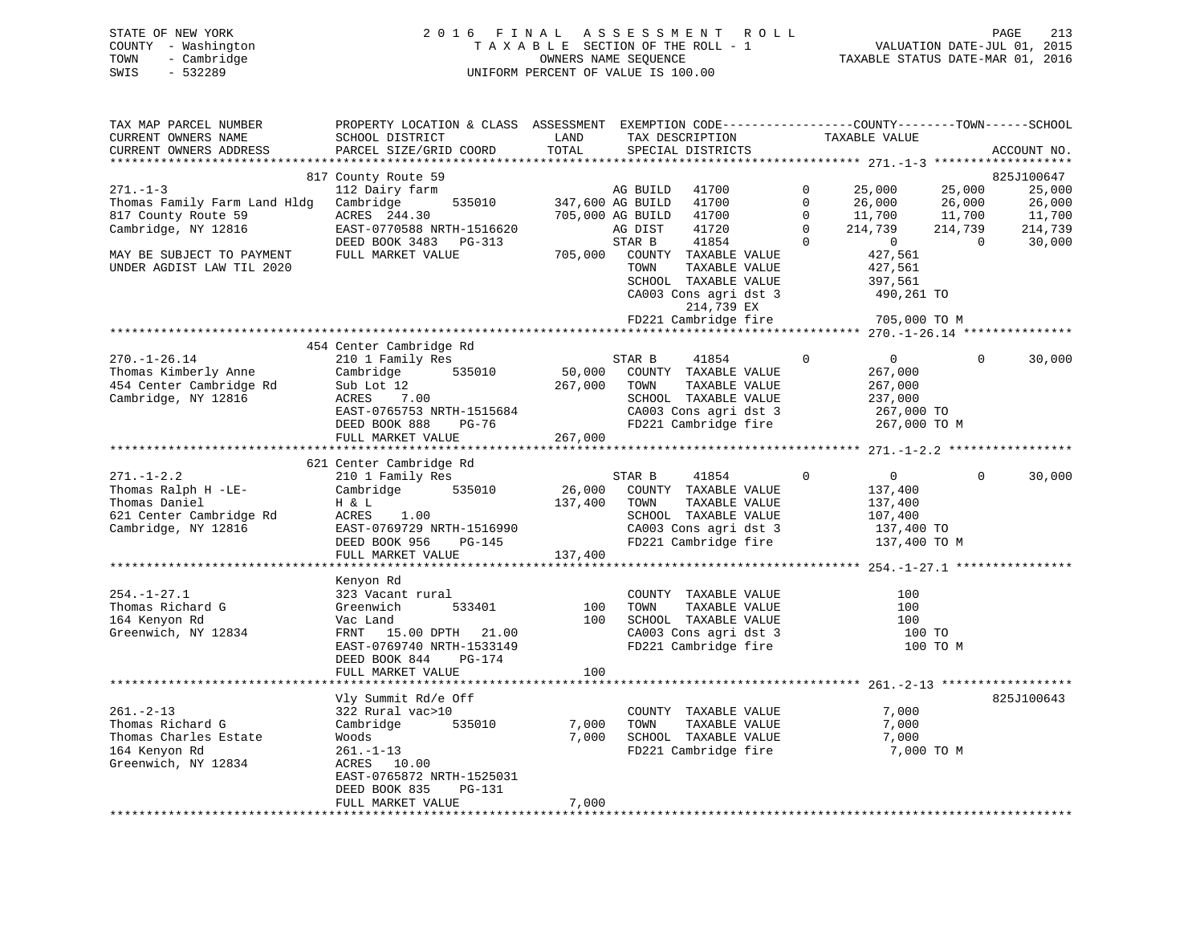## STATE OF NEW YORK 2 0 1 6 F I N A L A S S E S S M E N T R O L L PAGE 213 COUNTY - Washington T A X A B L E SECTION OF THE ROLL - 1 VALUATION DATE-JUL 01, 2015 TOWN - Cambridge OWNERS NAME SEQUENCE TAXABLE STATUS DATE-MAR 01, 2016 SWIS - 532289 UNIFORM PERCENT OF VALUE IS 100.00

| TAX MAP PARCEL NUMBER<br>CURRENT OWNERS NAME<br>CURRENT OWNERS ADDRESS | PROPERTY LOCATION & CLASS ASSESSMENT EXEMPTION CODE----------------COUNTY-------TOWN------SCHOOL<br>SCHOOL DISTRICT<br>PARCEL SIZE/GRID COORD | LAND<br>TOTAL |                  | TAX DESCRIPTION<br>SPECIAL DISTRICTS |             | TAXABLE VALUE  |          | ACCOUNT NO.          |
|------------------------------------------------------------------------|-----------------------------------------------------------------------------------------------------------------------------------------------|---------------|------------------|--------------------------------------|-------------|----------------|----------|----------------------|
|                                                                        |                                                                                                                                               |               |                  |                                      |             |                |          |                      |
| $271. - 1 - 3$                                                         | 817 County Route 59<br>112 Dairy farm                                                                                                         |               | AG BUILD         | 41700                                | $\Omega$    | 25,000         | 25,000   | 825J100647<br>25,000 |
| Thomas Family Farm Land Hldg                                           | Cambridge<br>535010                                                                                                                           |               | 347,600 AG BUILD | 41700                                | $\mathbf 0$ | 26,000         | 26,000   | 26,000               |
| 817 County Route 59                                                    | ACRES 244.30                                                                                                                                  |               | 705,000 AG BUILD | 41700                                | $\Omega$    | 11,700         | 11,700   | 11,700               |
| Cambridge, NY 12816                                                    | EAST-0770588 NRTH-1516620                                                                                                                     |               | AG DIST          | 41720                                | $\Omega$    | 214,739        | 214,739  | 214,739              |
|                                                                        | DEED BOOK 3483 PG-313                                                                                                                         |               | STAR B           | 41854                                | $\Omega$    | $\overline{0}$ | $\Omega$ | 30,000               |
| MAY BE SUBJECT TO PAYMENT                                              | FULL MARKET VALUE                                                                                                                             | 705,000       |                  | COUNTY TAXABLE VALUE                 |             | 427,561        |          |                      |
| UNDER AGDIST LAW TIL 2020                                              |                                                                                                                                               |               | TOWN             | TAXABLE VALUE                        |             | 427,561        |          |                      |
|                                                                        |                                                                                                                                               |               |                  | SCHOOL TAXABLE VALUE                 |             | 397,561        |          |                      |
|                                                                        |                                                                                                                                               |               |                  | CA003 Cons agri dst 3                |             | 490,261 TO     |          |                      |
|                                                                        |                                                                                                                                               |               |                  | 214,739 EX                           |             |                |          |                      |
|                                                                        |                                                                                                                                               |               |                  | FD221 Cambridge fire                 |             | 705,000 TO M   |          |                      |
|                                                                        | 454 Center Cambridge Rd                                                                                                                       |               |                  |                                      |             |                |          |                      |
| $270. - 1 - 26.14$                                                     | 210 1 Family Res                                                                                                                              |               | STAR B           | 41854                                | $\Omega$    | $\overline{0}$ | $\Omega$ | 30,000               |
| Thomas Kimberly Anne                                                   | Cambridge<br>535010                                                                                                                           | 50,000        |                  | COUNTY TAXABLE VALUE                 |             | 267,000        |          |                      |
| 454 Center Cambridge Rd                                                | Sub Lot 12                                                                                                                                    | 267,000       | TOWN             | TAXABLE VALUE                        |             | 267,000        |          |                      |
| Cambridge, NY 12816                                                    | ACRES<br>7.00                                                                                                                                 |               |                  | SCHOOL TAXABLE VALUE                 |             | 237,000        |          |                      |
|                                                                        | EAST-0765753 NRTH-1515684                                                                                                                     |               |                  | CA003 Cons agri dst 3                |             | 267,000 TO     |          |                      |
|                                                                        | DEED BOOK 888<br>PG-76                                                                                                                        |               |                  | FD221 Cambridge fire                 |             | 267,000 TO M   |          |                      |
|                                                                        | FULL MARKET VALUE                                                                                                                             | 267,000       |                  |                                      |             |                |          |                      |
|                                                                        |                                                                                                                                               |               |                  |                                      |             |                |          |                      |
|                                                                        | 621 Center Cambridge Rd                                                                                                                       |               |                  |                                      |             |                |          |                      |
| $271. - 1 - 2.2$                                                       | 210 1 Family Res                                                                                                                              |               | STAR B           | 41854                                | $\mathbf 0$ | $\overline{0}$ | $\Omega$ | 30,000               |
| Thomas Ralph H -LE-                                                    | Cambridge 535010                                                                                                                              | 26,000        |                  | COUNTY TAXABLE VALUE                 |             | 137,400        |          |                      |
| Thomas Daniel                                                          | H & L                                                                                                                                         | 137,400       | TOWN             | TAXABLE VALUE                        |             | 137,400        |          |                      |
| 621 Center Cambridge Rd                                                | ACRES<br>1.00                                                                                                                                 |               |                  | SCHOOL TAXABLE VALUE                 |             | 107,400        |          |                      |
| Cambridge, NY 12816                                                    | EAST-0769729 NRTH-1516990                                                                                                                     |               |                  | CA003 Cons agri dst 3                |             | 137,400 TO     |          |                      |
|                                                                        | DEED BOOK 956<br>PG-145<br>FULL MARKET VALUE                                                                                                  |               |                  | FD221 Cambridge fire                 |             | 137,400 TO M   |          |                      |
|                                                                        |                                                                                                                                               | 137,400       |                  |                                      |             |                |          |                      |
|                                                                        | Kenyon Rd                                                                                                                                     |               |                  |                                      |             |                |          |                      |
| $254. - 1 - 27.1$                                                      | 323 Vacant rural                                                                                                                              |               |                  | COUNTY TAXABLE VALUE                 |             | 100            |          |                      |
| Thomas Richard G                                                       | 533401<br>Greenwich                                                                                                                           | 100           | TOWN             | TAXABLE VALUE                        |             | 100            |          |                      |
| 164 Kenyon Rd                                                          | Vac Land                                                                                                                                      | 100           |                  | SCHOOL TAXABLE VALUE                 |             | 100            |          |                      |
| Greenwich, NY 12834                                                    | FRNT 15.00 DPTH 21.00                                                                                                                         |               |                  | CA003 Cons agri dst 3                |             | 100 TO         |          |                      |
|                                                                        | EAST-0769740 NRTH-1533149                                                                                                                     |               |                  | FD221 Cambridge fire                 |             |                | 100 TO M |                      |
|                                                                        | DEED BOOK 844<br>PG-174                                                                                                                       |               |                  |                                      |             |                |          |                      |
|                                                                        | FULL MARKET VALUE                                                                                                                             | 100           |                  |                                      |             |                |          |                      |
|                                                                        |                                                                                                                                               |               |                  |                                      |             |                |          |                      |
|                                                                        | Vly Summit Rd/e Off                                                                                                                           |               |                  |                                      |             |                |          | 825J100643           |
| $261. - 2 - 13$                                                        | 322 Rural vac>10                                                                                                                              |               |                  | COUNTY TAXABLE VALUE                 |             | 7,000          |          |                      |
| Thomas Richard G                                                       | Cambridge<br>535010                                                                                                                           | 7,000         | TOWN             | TAXABLE VALUE                        |             | 7,000          |          |                      |
| Thomas Charles Estate                                                  | Woods                                                                                                                                         | 7,000         |                  | SCHOOL TAXABLE VALUE                 |             | 7,000          |          |                      |
| 164 Kenyon Rd                                                          | $261. - 1 - 13$                                                                                                                               |               |                  | FD221 Cambridge fire                 |             | 7,000 TO M     |          |                      |
| Greenwich, NY 12834                                                    | ACRES 10.00<br>EAST-0765872 NRTH-1525031                                                                                                      |               |                  |                                      |             |                |          |                      |
|                                                                        | DEED BOOK 835<br>$PG-131$                                                                                                                     |               |                  |                                      |             |                |          |                      |
|                                                                        | FULL MARKET VALUE                                                                                                                             | 7,000         |                  |                                      |             |                |          |                      |
|                                                                        |                                                                                                                                               |               |                  |                                      |             |                |          |                      |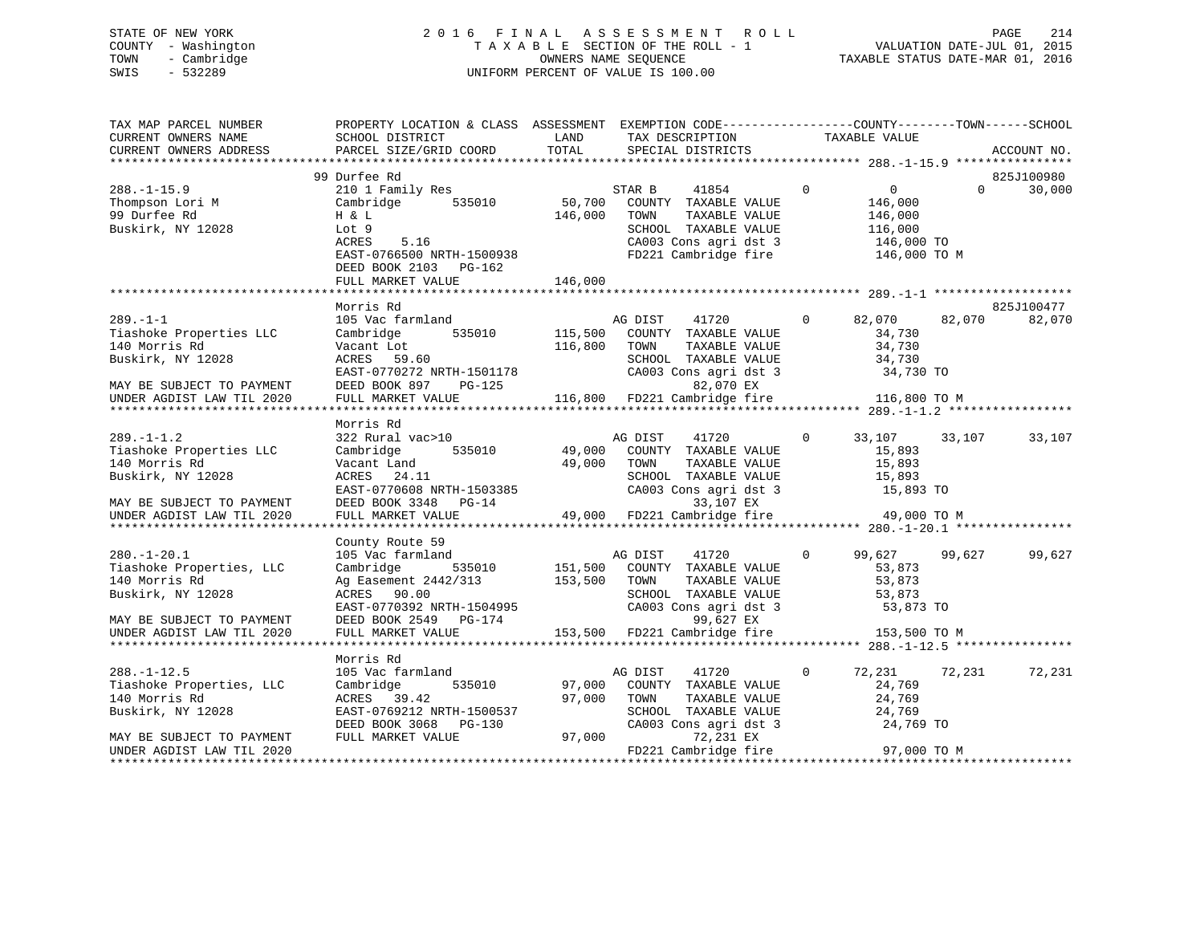## STATE OF NEW YORK 2 0 1 6 F I N A L A S S E S S M E N T R O L L PAGE 214 COUNTY - Washington T A X A B L E SECTION OF THE ROLL - 1 VALUATION DATE-JUL 01, 2015 TOWN - Cambridge OWNERS NAME SEQUENCE TAXABLE STATUS DATE-MAR 01, 2016 SWIS - 532289 UNIFORM PERCENT OF VALUE IS 100.00

| TAX MAP PARCEL NUMBER<br>CURRENT OWNERS NAME<br>CURRENT OWNERS ADDRESS                                                                   | PROPERTY LOCATION & CLASS ASSESSMENT<br>SCHOOL DISTRICT<br>PARCEL SIZE/GRID COORD                                                                              | LAND<br>TOTAL      | EXEMPTION CODE-----------------COUNTY-------TOWN------SCHOOL<br>TAX DESCRIPTION<br>SPECIAL DISTRICTS                                                            |              | TAXABLE VALUE                                                                 | ACCOUNT NO.                      |
|------------------------------------------------------------------------------------------------------------------------------------------|----------------------------------------------------------------------------------------------------------------------------------------------------------------|--------------------|-----------------------------------------------------------------------------------------------------------------------------------------------------------------|--------------|-------------------------------------------------------------------------------|----------------------------------|
|                                                                                                                                          |                                                                                                                                                                |                    |                                                                                                                                                                 |              |                                                                               |                                  |
| $288. - 1 - 15.9$<br>Thompson Lori M<br>99 Durfee Rd<br>Buskirk, NY 12028                                                                | 99 Durfee Rd<br>210 1 Family Res<br>535010<br>Cambridge<br>H & L<br>Lot 9<br>5.16<br>ACRES<br>EAST-0766500 NRTH-1500938<br>DEED BOOK 2103 PG-162               | 50,700<br>146,000  | 41854<br>STAR B<br>COUNTY TAXABLE VALUE<br>TOWN<br>TAXABLE VALUE<br>SCHOOL TAXABLE VALUE<br>CA003 Cons agri dst 3<br>FD221 Cambridge fire                       | $\mathbf{0}$ | $\overline{0}$<br>146,000<br>146,000<br>116,000<br>146,000 TO<br>146,000 TO M | 825J100980<br>30,000<br>$\Omega$ |
|                                                                                                                                          | FULL MARKET VALUE                                                                                                                                              | 146,000            |                                                                                                                                                                 |              |                                                                               |                                  |
|                                                                                                                                          |                                                                                                                                                                |                    |                                                                                                                                                                 |              |                                                                               |                                  |
| $289. -1 - 1$<br>Tiashoke Properties LLC<br>140 Morris Rd<br>Buskirk, NY 12028<br>MAY BE SUBJECT TO PAYMENT<br>UNDER AGDIST LAW TIL 2020 | Morris Rd<br>105 Vac farmland<br>Cambridge<br>535010<br>Vacant Lot<br>ACRES 59.60<br>EAST-0770272 NRTH-1501178<br>DEED BOOK 897<br>PG-125<br>FULL MARKET VALUE | 115,500<br>116,800 | AG DIST<br>41720<br>COUNTY TAXABLE VALUE<br>TOWN<br>TAXABLE VALUE<br>SCHOOL TAXABLE VALUE<br>CA003 Cons agri dst 3<br>82,070 EX<br>116,800 FD221 Cambridge fire | $\Omega$     | 82,070<br>34,730<br>34,730<br>34,730<br>34,730 TO<br>116,800 TO M             | 825J100477<br>82,070<br>82,070   |
|                                                                                                                                          | Morris Rd                                                                                                                                                      |                    |                                                                                                                                                                 |              |                                                                               |                                  |
| $289. - 1 - 1.2$<br>Tiashoke Properties LLC<br>140 Morris Rd<br>Buskirk, NY 12028                                                        | 322 Rural vac>10<br>535010<br>Cambridge<br>Vacant Land<br>ACRES<br>24.11<br>EAST-0770608 NRTH-1503385                                                          | 49,000<br>49,000   | AG DIST<br>41720<br>COUNTY TAXABLE VALUE<br>TOWN<br>TAXABLE VALUE<br>SCHOOL TAXABLE VALUE<br>CA003 Cons agri dst 3                                              | $\Omega$     | 33,107<br>15,893<br>15,893<br>15,893<br>15,893 TO                             | 33,107<br>33,107                 |
| MAY BE SUBJECT TO PAYMENT                                                                                                                | DEED BOOK 3348<br>$PG-14$                                                                                                                                      |                    | 33,107 EX                                                                                                                                                       |              |                                                                               |                                  |
| UNDER AGDIST LAW TIL 2020                                                                                                                | FULL MARKET VALUE                                                                                                                                              |                    | 49,000 FD221 Cambridge fire                                                                                                                                     |              | 49,000 TO M                                                                   |                                  |
|                                                                                                                                          | County Route 59                                                                                                                                                |                    |                                                                                                                                                                 |              |                                                                               |                                  |
| $280. - 1 - 20.1$<br>Tiashoke Properties, LLC<br>140 Morris Rd<br>Buskirk, NY 12028                                                      | 105 Vac farmland<br>535010<br>Cambridge<br>Ag Easement 2442/313<br>ACRES 90.00<br>EAST-0770392 NRTH-1504995                                                    | 151,500<br>153,500 | 41720<br>AG DIST<br>COUNTY TAXABLE VALUE<br>TAXABLE VALUE<br>TOWN<br>SCHOOL TAXABLE VALUE<br>CA003 Cons agri dst 3                                              | $\Omega$     | 99,627<br>53,873<br>53,873<br>53,873<br>53,873 TO                             | 99,627<br>99,627                 |
| MAY BE SUBJECT TO PAYMENT<br>UNDER AGDIST LAW TIL 2020                                                                                   | DEED BOOK 2549 PG-174<br>FULL MARKET VALUE                                                                                                                     | 153,500            | 99,627 EX<br>FD221 Cambridge fire                                                                                                                               |              | 153,500 TO M                                                                  |                                  |
|                                                                                                                                          | Morris Rd                                                                                                                                                      |                    |                                                                                                                                                                 |              |                                                                               |                                  |
| $288. - 1 - 12.5$<br>Tiashoke Properties, LLC<br>140 Morris Rd<br>Buskirk, NY 12028                                                      | 105 Vac farmland<br>535010<br>Cambridge<br>ACRES 39.42<br>EAST-0769212 NRTH-1500537<br>DEED BOOK 3068 PG-130                                                   | 97,000<br>97,000   | AG DIST<br>41720<br>COUNTY TAXABLE VALUE<br>TAXABLE VALUE<br>TOWN<br>SCHOOL TAXABLE VALUE<br>CA003 Cons agri dst 3                                              | $\mathbf{0}$ | 72,231<br>24,769<br>24,769<br>24,769<br>24,769 TO                             | 72,231<br>72,231                 |
| MAY BE SUBJECT TO PAYMENT<br>UNDER AGDIST LAW TIL 2020<br>*********************                                                          | FULL MARKET VALUE                                                                                                                                              | 97,000             | 72,231 EX<br>FD221 Cambridge fire<br>**********************************                                                                                         |              | 97,000 TO M                                                                   |                                  |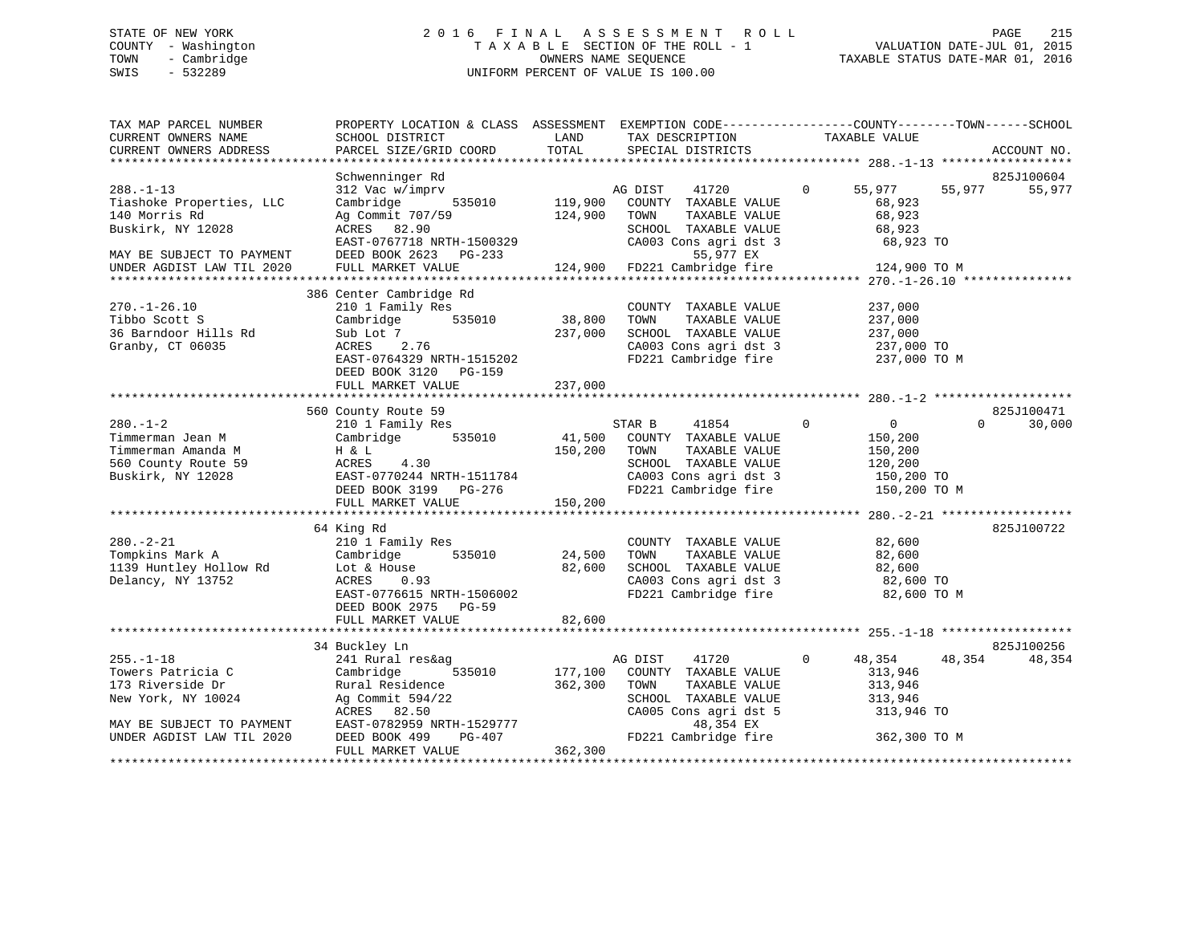## STATE OF NEW YORK 2 0 1 6 F I N A L A S S E S S M E N T R O L L PAGE 215 COUNTY - Washington T A X A B L E SECTION OF THE ROLL - 1 VALUATION DATE-JUL 01, 2015 TOWN - Cambridge OWNERS NAME SEQUENCE TAXABLE STATUS DATE-MAR 01, 2016 SWIS - 532289 UNIFORM PERCENT OF VALUE IS 100.00

| TAX MAP PARCEL NUMBER<br>CURRENT OWNERS NAME<br>CURRENT OWNERS ADDRESS                                         | PROPERTY LOCATION & CLASS ASSESSMENT EXEMPTION CODE----------------COUNTY-------TOWN------SCHOOL<br>SCHOOL DISTRICT<br>PARCEL SIZE/GRID COORD                                  | LAND<br>TOTAL                | TAX DESCRIPTION<br>SPECIAL DISTRICTS                                                                                                      | TAXABLE VALUE                                                                       | ACCOUNT NO.                      |
|----------------------------------------------------------------------------------------------------------------|--------------------------------------------------------------------------------------------------------------------------------------------------------------------------------|------------------------------|-------------------------------------------------------------------------------------------------------------------------------------------|-------------------------------------------------------------------------------------|----------------------------------|
|                                                                                                                |                                                                                                                                                                                |                              |                                                                                                                                           |                                                                                     |                                  |
| $288. - 1 - 13$<br>Tiashoke Properties, LLC<br>140 Morris Rd<br>Buskirk, NY 12028<br>MAY BE SUBJECT TO PAYMENT | Schwenninger Rd<br>312 Vac w/imprv<br>535010<br>Cambridge<br>Ag Commit 707/59<br>ACRES 82.90<br>EAST-0767718 NRTH-1500329<br>DEED BOOK 2623 PG-233                             | 119,900<br>124,900           | 41720<br>AG DIST<br>COUNTY TAXABLE VALUE<br>TOWN<br>TAXABLE VALUE<br>SCHOOL TAXABLE VALUE<br>CA003 Cons agri dst 3<br>55,977 EX           | 55,977<br>$\mathbf{0}$<br>68,923<br>68,923<br>68,923<br>68,923 TO                   | 825J100604<br>55,977<br>55,977   |
| UNDER AGDIST LAW TIL 2020                                                                                      | FULL MARKET VALUE                                                                                                                                                              | 124,900                      | FD221 Cambridge fire                                                                                                                      | 124,900 TO M                                                                        |                                  |
| $270. - 1 - 26.10$<br>Tibbo Scott S<br>36 Barndoor Hills Rd<br>Granby, CT 06035                                | 386 Center Cambridge Rd<br>210 1 Family Res<br>535010<br>Cambridge<br>Sub Lot 7<br>ACRES<br>2.76<br>EAST-0764329 NRTH-1515202<br>DEED BOOK 3120<br>PG-159<br>FULL MARKET VALUE | 38,800<br>237,000<br>237,000 | COUNTY TAXABLE VALUE<br>TAXABLE VALUE<br>TOWN<br>SCHOOL TAXABLE VALUE<br>CA003 Cons agri dst 3<br>FD221 Cambridge fire                    | 237,000<br>237,000<br>237,000<br>237,000 TO<br>237,000 TO M                         |                                  |
|                                                                                                                |                                                                                                                                                                                |                              |                                                                                                                                           |                                                                                     |                                  |
| $280. - 1 - 2$<br>Timmerman Jean M<br>Timmerman Amanda M<br>560 County Route 59<br>Buskirk, NY 12028           | 560 County Route 59<br>210 1 Family Res<br>535010<br>Cambridge<br>H & L<br>ACRES<br>4.30<br>EAST-0770244 NRTH-1511784<br>DEED BOOK 3199 PG-276<br>FULL MARKET VALUE            | 41,500<br>150,200<br>150,200 | 41854<br>STAR B<br>COUNTY TAXABLE VALUE<br>TOWN<br>TAXABLE VALUE<br>SCHOOL TAXABLE VALUE<br>CA003 Cons agri dst 3<br>FD221 Cambridge fire | $\Omega$<br>$\Omega$<br>150,200<br>150,200<br>120,200<br>150,200 TO<br>150,200 TO M | 825J100471<br>$\Omega$<br>30,000 |
| $280. - 2 - 21$<br>Tompkins Mark A<br>1139 Huntley Hollow Rd<br>Delancy, NY 13752                              | 64 King Rd<br>210 1 Family Res<br>535010<br>Cambridge<br>Lot & House<br>ACRES<br>0.93<br>EAST-0776615 NRTH-1506002                                                             | 24,500<br>82,600             | COUNTY TAXABLE VALUE<br>TOWN<br>TAXABLE VALUE<br>SCHOOL TAXABLE VALUE<br>CA003 Cons agri dst 3<br>FD221 Cambridge fire                    | 82,600<br>82,600<br>82,600<br>82,600 TO<br>82,600 TO M                              | 825J100722                       |
|                                                                                                                | DEED BOOK 2975<br>$PG-59$<br>FULL MARKET VALUE                                                                                                                                 | 82,600                       |                                                                                                                                           |                                                                                     |                                  |
| $255. - 1 - 18$<br>Towers Patricia C                                                                           | 34 Buckley Ln<br>241 Rural res&ag<br>535010<br>Cambridge                                                                                                                       | 177,100                      | AG DIST<br>41720<br>COUNTY TAXABLE VALUE                                                                                                  | $\Omega$<br>48,354<br>313,946                                                       | 825J100256<br>48,354<br>48,354   |
| 173 Riverside Dr<br>New York, NY 10024<br>MAY BE SUBJECT TO PAYMENT                                            | Rural Residence<br>Ag Commit 594/22<br>ACRES 82.50<br>EAST-0782959 NRTH-1529777                                                                                                | 362,300                      | TOWN<br>TAXABLE VALUE<br>SCHOOL TAXABLE VALUE<br>CA005 Cons agri dst 5<br>48,354 EX                                                       | 313,946<br>313,946<br>313,946 TO                                                    |                                  |
| UNDER AGDIST LAW TIL 2020                                                                                      | DEED BOOK 499<br>PG-407<br>FULL MARKET VALUE                                                                                                                                   | 362,300                      | FD221 Cambridge fire                                                                                                                      | 362,300 TO M                                                                        |                                  |
|                                                                                                                | ************************************                                                                                                                                           |                              |                                                                                                                                           |                                                                                     |                                  |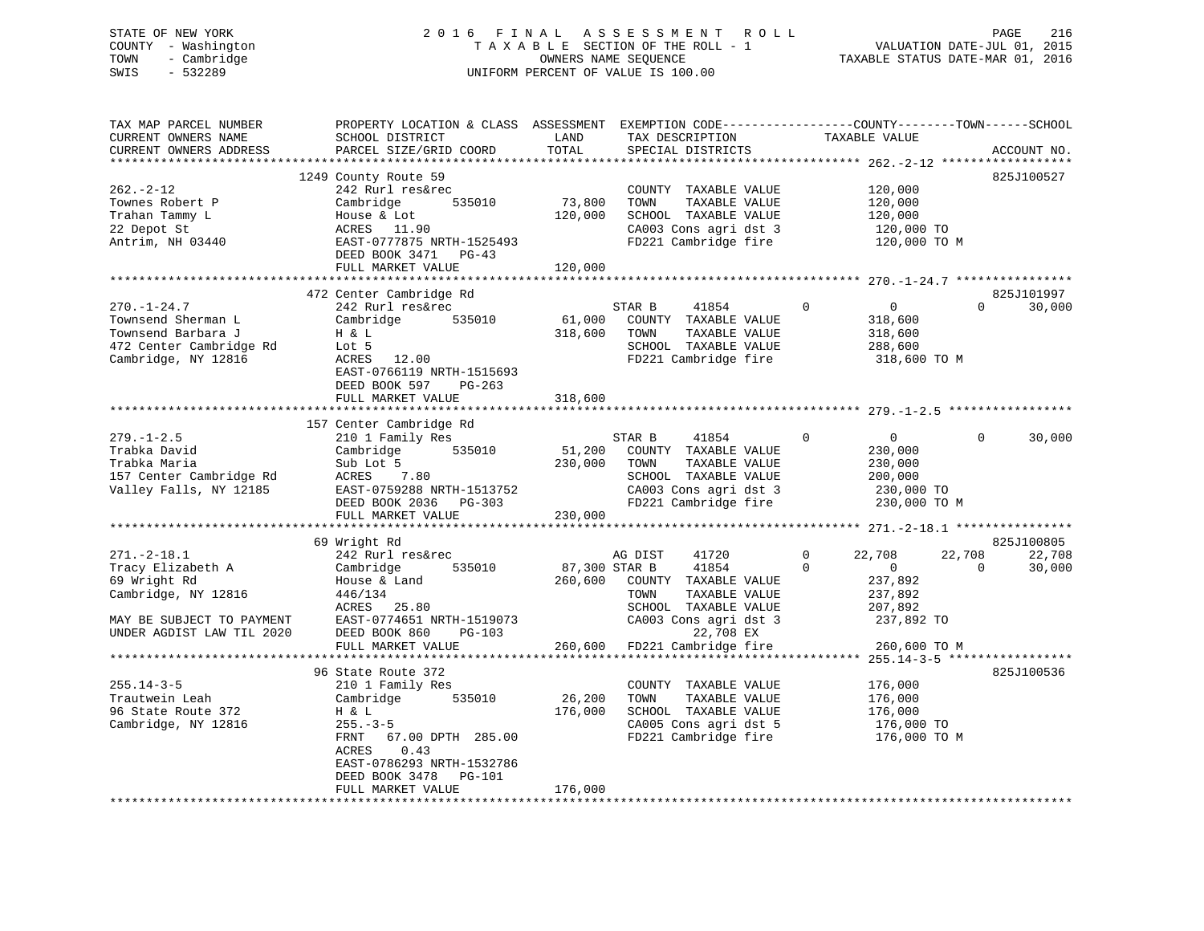## STATE OF NEW YORK 2 0 1 6 F I N A L A S S E S S M E N T R O L L PAGE 216 COUNTY - Washington T A X A B L E SECTION OF THE ROLL - 1 VALUATION DATE-JUL 01, 2015 TOWN - Cambridge OWNERS NAME SEQUENCE TAXABLE STATUS DATE-MAR 01, 2016 SWIS - 532289 UNIFORM PERCENT OF VALUE IS 100.00

| TAX MAP PARCEL NUMBER<br>CURRENT OWNERS NAME<br>CURRENT OWNERS ADDRESS                                          | PROPERTY LOCATION & CLASS ASSESSMENT<br>SCHOOL DISTRICT<br>PARCEL SIZE/GRID COORD                                                                                           | LAND<br>TOTAL                | EXEMPTION CODE-----------------COUNTY-------TOWN------SCHOOL<br>TAX DESCRIPTION<br>SPECIAL DISTRICTS                                      | TAXABLE VALUE                                                                                | ACCOUNT NO.                                          |
|-----------------------------------------------------------------------------------------------------------------|-----------------------------------------------------------------------------------------------------------------------------------------------------------------------------|------------------------------|-------------------------------------------------------------------------------------------------------------------------------------------|----------------------------------------------------------------------------------------------|------------------------------------------------------|
| $262 - 2 - 12$<br>Townes Robert P<br>Trahan Tammy L<br>22 Depot St<br>Antrim, NH 03440                          | 1249 County Route 59<br>242 Rurl res&rec<br>535010<br>Cambridge<br>House & Lot<br>ACRES 11.90<br>EAST-0777875 NRTH-1525493<br>DEED BOOK 3471<br>PG-43<br>FULL MARKET VALUE  | 73,800<br>120,000<br>120,000 | COUNTY TAXABLE VALUE<br>TAXABLE VALUE<br>TOWN<br>SCHOOL TAXABLE VALUE<br>CA003 Cons agri dst 3<br>FD221 Cambridge fire                    | 120,000<br>120,000<br>120,000<br>120,000 TO<br>120,000 TO M                                  | 825J100527                                           |
|                                                                                                                 |                                                                                                                                                                             |                              |                                                                                                                                           |                                                                                              | 825J101997                                           |
| $270. - 1 - 24.7$<br>Townsend Sherman L<br>Townsend Barbara J<br>472 Center Cambridge Rd<br>Cambridge, NY 12816 | 472 Center Cambridge Rd<br>242 Rurl res&rec<br>535010<br>Cambridge<br>H & L<br>Lot 5<br>ACRES 12.00<br>EAST-0766119 NRTH-1515693<br>DEED BOOK 597<br>$PG-263$               | 61,000<br>318,600            | STAR B<br>41854<br>COUNTY TAXABLE VALUE<br>TAXABLE VALUE<br>TOWN<br>SCHOOL TAXABLE VALUE<br>FD221 Cambridge fire                          | $\Omega$<br>$\overline{0}$<br>318,600<br>318,600<br>288,600<br>318,600 TO M                  | $\Omega$<br>30,000                                   |
|                                                                                                                 | FULL MARKET VALUE                                                                                                                                                           | 318,600                      |                                                                                                                                           |                                                                                              |                                                      |
|                                                                                                                 |                                                                                                                                                                             |                              |                                                                                                                                           |                                                                                              |                                                      |
| $279. - 1 - 2.5$<br>Trabka David<br>Trabka Maria<br>157 Center Cambridge Rd<br>Valley Falls, NY 12185           | 157 Center Cambridge Rd<br>210 1 Family Res<br>Cambridge<br>535010<br>Sub Lot 5<br>ACRES<br>7.80<br>EAST-0759288 NRTH-1513752<br>DEED BOOK 2036 PG-303<br>FULL MARKET VALUE | 51,200<br>230,000<br>230,000 | STAR B<br>41854<br>COUNTY TAXABLE VALUE<br>TOWN<br>TAXABLE VALUE<br>SCHOOL TAXABLE VALUE<br>CA003 Cons agri dst 3<br>FD221 Cambridge fire | $\mathbf 0$<br>$\overline{0}$<br>230,000<br>230,000<br>200,000<br>230,000 TO<br>230,000 TO M | $\Omega$<br>30,000                                   |
|                                                                                                                 |                                                                                                                                                                             |                              |                                                                                                                                           |                                                                                              |                                                      |
| $271. - 2 - 18.1$<br>Tracy Elizabeth A<br>69 Wright Rd<br>Cambridge, NY 12816<br>MAY BE SUBJECT TO PAYMENT      | 69 Wright Rd<br>242 Rurl res&rec<br>Cambridge<br>535010<br>House & Land<br>446/134<br>ACRES 25.80<br>EAST-0774651 NRTH-1519073                                              | 87,300 STAR B<br>260,600     | AG DIST<br>41720<br>41854<br>COUNTY TAXABLE VALUE<br>TOWN<br>TAXABLE VALUE<br>SCHOOL TAXABLE VALUE<br>CA003 Cons agri dst 3               | 22,708<br>0<br>$\Omega$<br>$\mathbf{0}$<br>237,892<br>237,892<br>207,892<br>237,892 TO       | 825J100805<br>22,708<br>22,708<br>30,000<br>$\Omega$ |
| UNDER AGDIST LAW TIL 2020                                                                                       | DEED BOOK 860<br>PG-103                                                                                                                                                     |                              | 22,708 EX                                                                                                                                 |                                                                                              |                                                      |
|                                                                                                                 | FULL MARKET VALUE                                                                                                                                                           | 260,600                      | FD221 Cambridge fire                                                                                                                      | 260,600 TO M                                                                                 |                                                      |
|                                                                                                                 | 96 State Route 372                                                                                                                                                          |                              |                                                                                                                                           |                                                                                              | 825J100536                                           |
| $255.14 - 3 - 5$<br>Trautwein Leah<br>96 State Route 372<br>Cambridge, NY 12816                                 | 210 1 Family Res<br>535010<br>Cambridge<br>H & L<br>$255. - 3 - 5$<br>67.00 DPTH 285.00<br>FRNT<br>0.43<br>ACRES<br>EAST-0786293 NRTH-1532786                               | 26,200<br>176,000            | COUNTY TAXABLE VALUE<br>TAXABLE VALUE<br>TOWN<br>SCHOOL TAXABLE VALUE<br>CA005 Cons agri dst 5<br>FD221 Cambridge fire                    | 176,000<br>176,000<br>176,000<br>176,000 TO<br>176,000 TO M                                  |                                                      |
|                                                                                                                 | DEED BOOK 3478<br>PG-101<br>FULL MARKET VALUE                                                                                                                               | 176,000                      |                                                                                                                                           |                                                                                              |                                                      |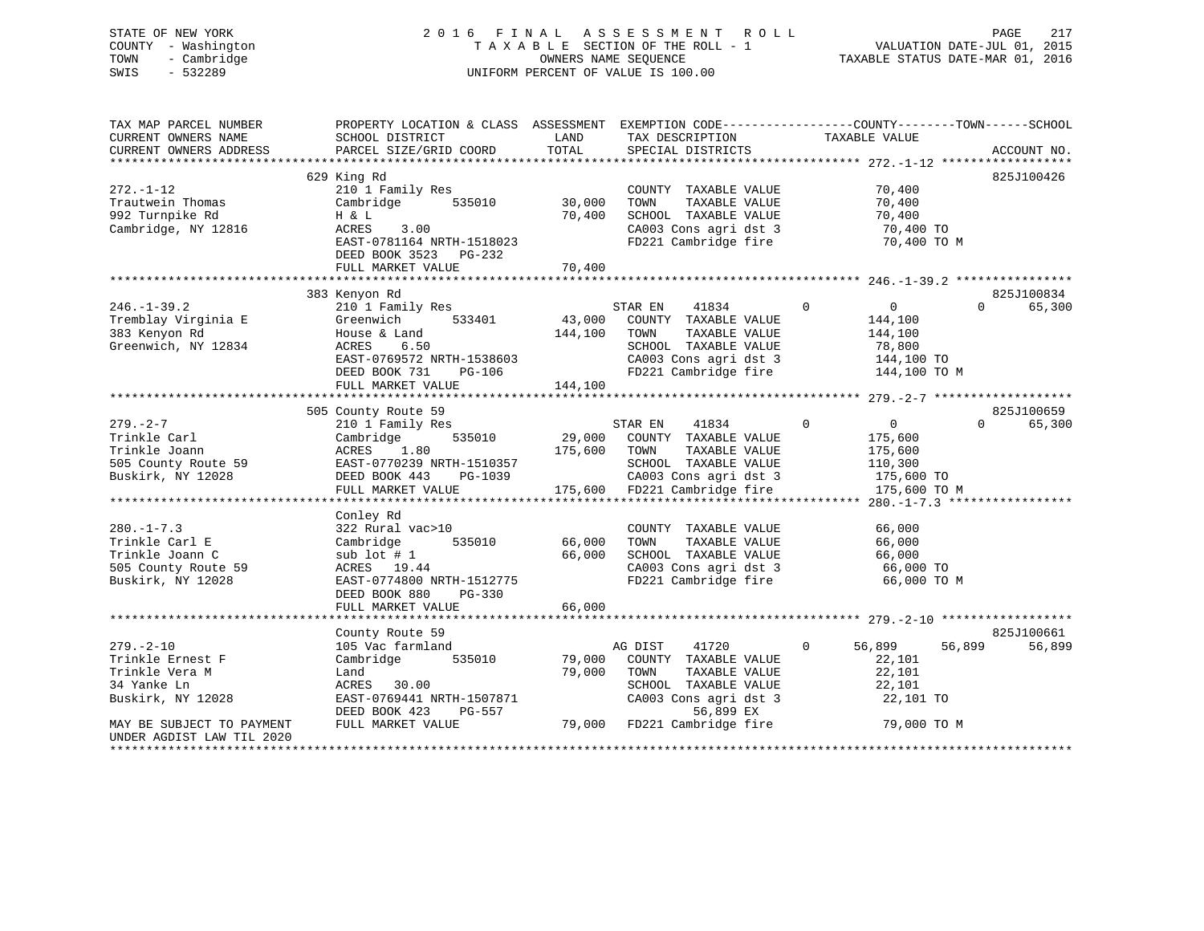### STATE OF NEW YORK 2 0 1 6 F I N A L A S S E S S M E N T R O L L PAGE 217COUNTY - Washington T A X A B L E SECTION OF THE ROLL - 1<br>TOWN - Cambridge T A ME SEQUENCE TOWN - Cambridge OWNERS NAME SEQUENCE TAXABLE STATUS DATE-MAR 01, 2016 SWIS - 532289 UNIFORM PERCENT OF VALUE IS 100.00

| TAX MAP PARCEL NUMBER<br>CURRENT OWNERS NAME<br>CURRENT OWNERS ADDRESS                           | PROPERTY LOCATION & CLASS ASSESSMENT<br>SCHOOL DISTRICT<br>PARCEL SIZE/GRID COORD                                                                     | LAND<br>TOTAL              | TAX DESCRIPTION<br>SPECIAL DISTRICTS                                                                                                              | EXEMPTION CODE-----------------COUNTY-------TOWN------SCHOOL<br>TAXABLE VALUE                  | ACCOUNT NO.          |
|--------------------------------------------------------------------------------------------------|-------------------------------------------------------------------------------------------------------------------------------------------------------|----------------------------|---------------------------------------------------------------------------------------------------------------------------------------------------|------------------------------------------------------------------------------------------------|----------------------|
|                                                                                                  | 629 King Rd                                                                                                                                           |                            |                                                                                                                                                   |                                                                                                | 825J100426           |
| $272. - 1 - 12$<br>Trautwein Thomas<br>992 Turnpike Rd<br>Cambridge, NY 12816                    | 210 1 Family Res<br>535010<br>Cambridge<br>H & L<br>ACRES<br>3.00<br>EAST-0781164 NRTH-1518023<br>DEED BOOK 3523 PG-232                               | 30,000<br>70,400           | COUNTY TAXABLE VALUE<br>TAXABLE VALUE<br>TOWN<br>SCHOOL TAXABLE VALUE<br>CA003 Cons agri dst 3<br>FD221 Cambridge fire                            | 70,400<br>70,400<br>70,400<br>70,400 TO<br>70,400 TO M                                         |                      |
|                                                                                                  | FULL MARKET VALUE                                                                                                                                     | 70,400                     |                                                                                                                                                   |                                                                                                |                      |
|                                                                                                  | 383 Kenyon Rd                                                                                                                                         |                            |                                                                                                                                                   |                                                                                                | 825J100834           |
| $246. - 1 - 39.2$<br>Tremblay Virginia E<br>383 Kenyon Rd<br>Greenwich, NY 12834                 | 210 1 Family Res<br>533401<br>Greenwich<br>House & Land<br>ACRES<br>6.50<br>EAST-0769572 NRTH-1538603<br>DEED BOOK 731<br>PG-106<br>FULL MARKET VALUE | 144,100<br>144,100         | STAR EN 41834<br>43,000 COUNTY TAXABLE VALUE<br>TAXABLE VALUE<br>TOWN<br>SCHOOL TAXABLE VALUE<br>CA003 Cons agri dst 3<br>FD221 Cambridge fire    | $\overline{0}$<br>$\overline{0}$<br>144,100<br>144,100<br>78,800<br>144,100 TO<br>144,100 TO M | 65,300<br>$\Omega$   |
|                                                                                                  | 505 County Route 59                                                                                                                                   |                            |                                                                                                                                                   |                                                                                                | 825J100659           |
| $279. - 2 - 7$<br>Trinkle Carl<br>Trinkle Joann<br>505 County Route 59<br>Buskirk, NY 12028      | 210 1 Family Res<br>535010<br>Cambridge<br>1.80<br>ACRES<br>EAST-0770239 NRTH-1510357<br>DEED BOOK 443<br>PG-1039<br>FULL MARKET VALUE                | 175,600 TOWN               | STAR EN<br>41834<br>29,000 COUNTY TAXABLE VALUE<br>TAXABLE VALUE<br>SCHOOL TAXABLE VALUE<br>CA003 Cons agri dst 3<br>175,600 FD221 Cambridge fire | $\overline{0}$<br>$\Omega$<br>175,600<br>175,600<br>110,300<br>175,600 TO<br>175,600 TO M      | $\Omega$<br>65,300   |
|                                                                                                  | Conley Rd                                                                                                                                             |                            |                                                                                                                                                   |                                                                                                |                      |
| $280. -1 - 7.3$<br>Trinkle Carl E<br>Trinkle Joann C<br>505 County Route 59<br>Buskirk, NY 12028 | 322 Rural vac>10<br>535010<br>Cambridge<br>sub lot $#1$<br>ACRES 19.44<br>EAST-0774800 NRTH-1512775<br>DEED BOOK 880<br>PG-330<br>FULL MARKET VALUE   | 66,000<br>66,000<br>66,000 | COUNTY TAXABLE VALUE<br>TOWN<br>TAXABLE VALUE<br>SCHOOL TAXABLE VALUE<br>CA003 Cons agri dst 3<br>FD221 Cambridge fire                            | 66,000<br>66,000<br>66,000<br>66,000 TO<br>66,000 TO M                                         |                      |
|                                                                                                  | ******************************                                                                                                                        | * * * * * * * * * * * * *  |                                                                                                                                                   | *********************** 279.-2-10 *******************                                          |                      |
| $279. - 2 - 10$<br>Trinkle Ernest F<br>Trinkle Vera M<br>34 Yanke Ln<br>Buskirk, NY 12028        | County Route 59<br>105 Vac farmland<br>Cambridge 535010<br>Land<br>ACRES 30.00<br>EAST-0769441 NRTH-1507871<br>DEED BOOK 423<br>PG-557                | 79,000<br>79,000           | AG DIST<br>41720<br>COUNTY TAXABLE VALUE<br>TOWN<br>TAXABLE VALUE<br>SCHOOL TAXABLE VALUE<br>CA003 Cons agri dst 3<br>56,899 EX                   | 56,899<br>$\mathbf{0}$<br>56,899<br>22,101<br>22,101<br>22,101<br>22,101 TO                    | 825J100661<br>56,899 |
| MAY BE SUBJECT TO PAYMENT<br>UNDER AGDIST LAW TIL 2020<br>*********************                  | FULL MARKET VALUE                                                                                                                                     |                            | 79,000 FD221 Cambridge fire                                                                                                                       | 79,000 TO M                                                                                    |                      |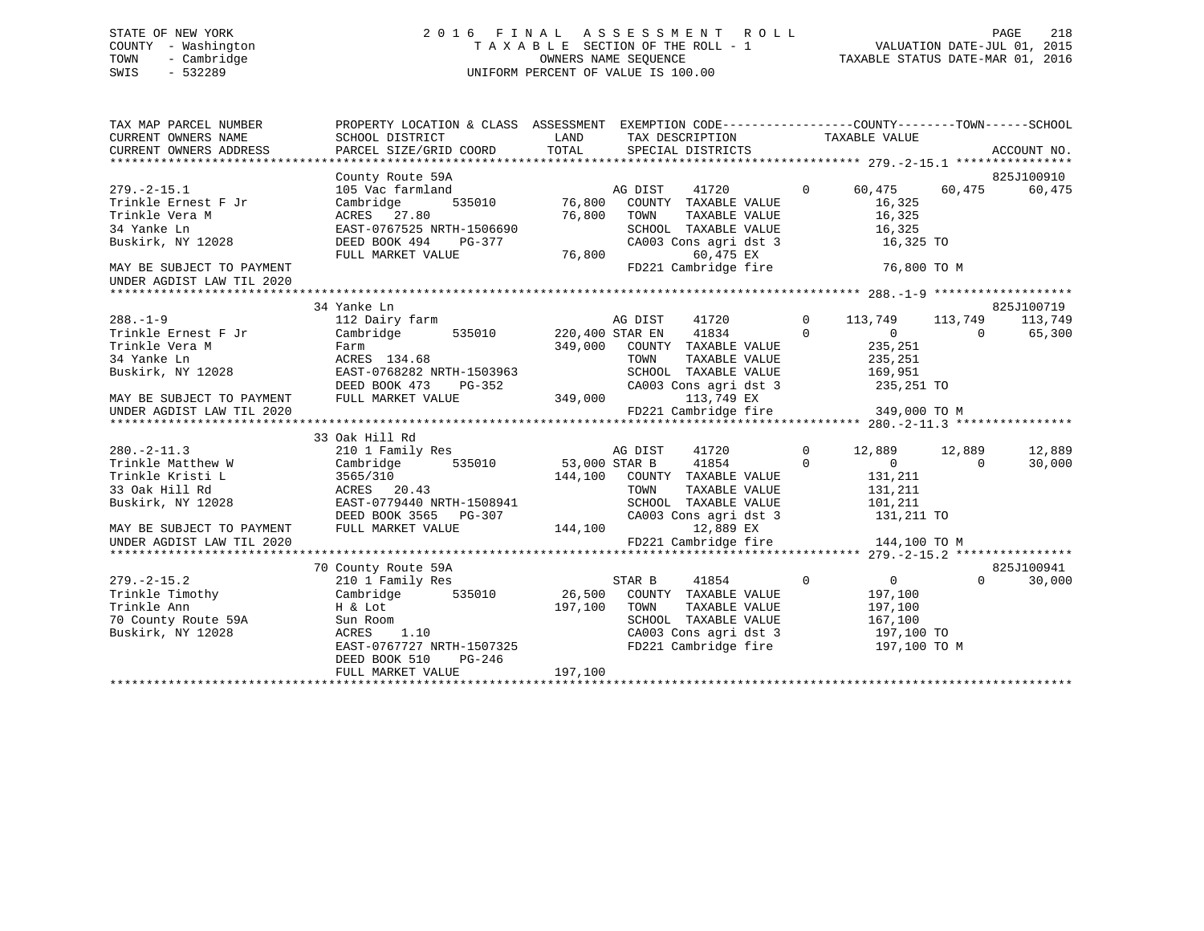# STATE OF NEW YORK 2 0 1 6 F I N A L A S S E S S M E N T R O L L PAGE 218 COUNTY - Washington T A X A B L E SECTION OF THE ROLL - 1 VALUATION DATE-JUL 01, 2015 TOWN - Cambridge OWNERS NAME SEQUENCE TAXABLE STATUS DATE-MAR 01, 2016 SWIS - 532289 UNIFORM PERCENT OF VALUE IS 100.00

| TAX MAP PARCEL NUMBER<br>CURRENT OWNERS NAME<br>CURRENT OWNERS ADDRESS | PROPERTY LOCATION & CLASS ASSESSMENT EXEMPTION CODE----------------COUNTY-------TOWN-----SCHOOL |                                                    |        |                      |                |                                                                |          |                    |
|------------------------------------------------------------------------|-------------------------------------------------------------------------------------------------|----------------------------------------------------|--------|----------------------|----------------|----------------------------------------------------------------|----------|--------------------|
|                                                                        |                                                                                                 |                                                    |        |                      |                |                                                                |          |                    |
|                                                                        | County Route 59A                                                                                |                                                    |        |                      |                |                                                                |          | 825J100910         |
| $279. - 2 - 15.1$                                                      | 105 Vac farmland                                                                                |                                                    |        |                      |                | 0 60,475 60,475                                                |          | 60,475             |
| Trinkle Ernest F Jr                                                    | Cambridge                                                                                       |                                                    |        |                      |                | 16,325                                                         |          |                    |
| Trinkle Vera M                                                         | ACRES 27.80                                                                                     | 76,800                                             | TOWN   |                      |                | TAXABLE VALUE 16,325<br>TAXABLE VALUE 16,325                   |          |                    |
| 34 Yanke Ln                                                            |                                                                                                 |                                                    |        |                      |                | SCHOOL TAXABLE VALUE 16,325<br>CA003 Cons agri dst 3 16,325 TO |          |                    |
| Buskirk, NY 12028                                                      | EAST-0767525 NRTH-1506690<br>DEED BOOK 494 PG-377                                               |                                                    |        |                      |                |                                                                |          |                    |
|                                                                        | FULL MARKET VALUE                                                                               | 76,800                                             |        | 60,475 EX            |                |                                                                |          |                    |
| MAY BE SUBJECT TO PAYMENT<br>UNDER AGDIST LAW TIL 2020                 |                                                                                                 |                                                    |        | FD221 Cambridge fire |                | 76,800 TO M                                                    |          |                    |
|                                                                        |                                                                                                 |                                                    |        |                      |                |                                                                |          |                    |
|                                                                        | 34 Yanke Ln                                                                                     |                                                    |        |                      |                |                                                                |          | 825J100719         |
| $288. - 1 - 9$                                                         | 112 Dairy farm <b>112</b> Dairy farm <b>112</b> Dairy farm <b>113,749</b> Decree 2013, 2014     |                                                    |        |                      |                |                                                                |          | 113,749            |
| Trinkle Ernest F Jr                                                    | Cambridge 535010 220,400 STAR EN                                                                |                                                    |        | 41834 0              |                | $\overline{0}$ 0                                               |          | 65,300             |
| Trinkle Vera M<br>Farm<br>ACRES                                        |                                                                                                 |                                                    |        |                      |                | 235,251<br>235,251                                             |          |                    |
| 34 Yanke Ln                                                            | Farm<br>ACRES 134.68                                                                            | 349,000 COUNTY TAXABLE VALUE<br>TOWN TAXABLE VALUE |        |                      |                |                                                                |          |                    |
| Buskirk, NY 12028 EAST-0768282 NRTH-1503963                            |                                                                                                 |                                                    |        |                      |                | SCHOOL TAXABLE VALUE 169,951                                   |          |                    |
|                                                                        |                                                                                                 |                                                    |        |                      |                | CA003 Cons agri dst 3 235,251 TO                               |          |                    |
| MAY BE SUBJECT TO PAYMENT<br>UNDER AGDIST LAW TIL 2020                 | DEED BOOK 473 PG-352<br>FULL MARKET VALUE 349,000                                               |                                                    |        | 113,749 EX           |                |                                                                |          |                    |
|                                                                        |                                                                                                 |                                                    |        |                      |                | $FD221$ Cambridge fire 349,000 TO M                            |          |                    |
|                                                                        |                                                                                                 |                                                    |        |                      |                |                                                                |          |                    |
|                                                                        | 33 Oak Hill Rd                                                                                  |                                                    |        |                      |                |                                                                |          |                    |
|                                                                        |                                                                                                 |                                                    |        | AG DIST 41720        | $\Omega$       | 12,889 12,889                                                  |          | 12,889             |
| 280.-2-11.3<br>Trinkle Matthew W                                       | 210 1 Family Res<br>Cambridge 535010 53,000 STAR B 41854                                        |                                                    |        |                      | $\overline{0}$ | $\overline{0}$                                                 | $\Omega$ | 30,000             |
| Trinkle Kristi L                                                       | $144,100$ COUNTY TAXABLE VALUE ACRES 20.43 $144,100$ COUNTY TAXABLE VALUE                       |                                                    |        |                      |                |                                                                |          |                    |
| 33 Oak Hill Rd                                                         |                                                                                                 |                                                    |        |                      |                | 131,211<br>131,211                                             |          |                    |
| Buskirk, NY 12028 EAST-0779440 NRTH-1508941                            |                                                                                                 |                                                    |        |                      |                | SCHOOL TAXABLE VALUE 101,211                                   |          |                    |
|                                                                        |                                                                                                 |                                                    |        |                      |                | CA003 Cons agri dst 3 131,211 TO                               |          |                    |
| MAY BE SUBJECT TO PAYMENT                                              | DEED BOOK 3565 PG-307 (2003 C FULL MARKET VALUE 144,100                                         |                                                    |        | 12,889 EX            |                |                                                                |          |                    |
| UNDER AGDIST LAW TIL 2020                                              |                                                                                                 |                                                    |        |                      |                | FD221 Cambridge fire 144,100 TO M                              |          |                    |
|                                                                        |                                                                                                 |                                                    |        |                      |                |                                                                |          |                    |
|                                                                        | 70 County Route 59A                                                                             |                                                    |        |                      |                |                                                                |          | 825J100941         |
| $279. - 2 - 15.2$                                                      | 210 1 Family Res                                                                                |                                                    | STAR B | 41854                | $\overline{0}$ | $\overline{0}$                                                 |          | $\Omega$<br>30,000 |
| Trinkle Timothy                                                        | Cambridge                                                                                       | 535010 26,500 COUNTY TAXABLE VALUE                 |        |                      |                | 197,100                                                        |          |                    |
| Trinkle Ann<br>70 County Route 59A                                     | $H \& Lot$<br>Sun Room<br>$\text{ACRFS}$ 1.10                                                   | 197,100                                            | TOWN   |                      |                | 197,100                                                        |          |                    |
|                                                                        |                                                                                                 |                                                    |        |                      |                | TOWN TAXABLE VALUE 197,100<br>SCHOOL TAXABLE VALUE 167,100     |          |                    |
| Buskirk, NY 12028                                                      |                                                                                                 |                                                    |        |                      |                | CA003 Cons agri dst 3 197,100 TO                               |          |                    |
|                                                                        | EAST-0767727 NRTH-1507325                                                                       |                                                    |        |                      |                | FD221 Cambridge fire 197,100 TO M                              |          |                    |
|                                                                        | $PG-246$<br>DEED BOOK 510                                                                       |                                                    |        |                      |                |                                                                |          |                    |
|                                                                        | FULL MARKET VALUE                                                                               | 197,100                                            |        |                      |                |                                                                |          |                    |
|                                                                        |                                                                                                 |                                                    |        |                      |                |                                                                |          |                    |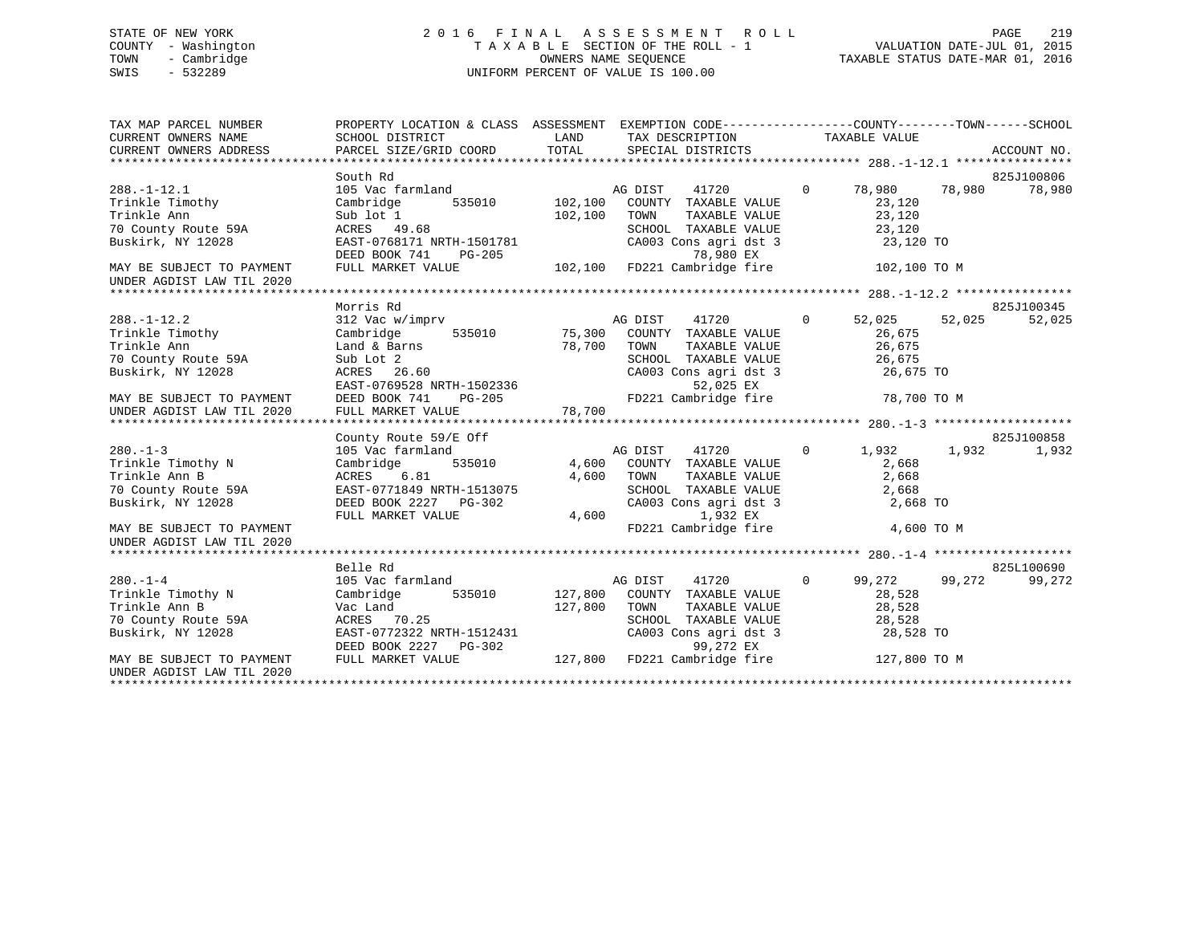# STATE OF NEW YORK 2 0 1 6 F I N A L A S S E S S M E N T R O L L PAGE 219 COUNTY - Washington T A X A B L E SECTION OF THE ROLL - 1 VALUATION DATE-JUL 01, 2015 TOWN - Cambridge OWNERS NAME SEQUENCE TAXABLE STATUS DATE-MAR 01, 2016 SWIS - 532289 UNIFORM PERCENT OF VALUE IS 100.00

| TAX MAP PARCEL NUMBER<br>CURRENT OWNERS NAME           | PROPERTY LOCATION & CLASS ASSESSMENT EXEMPTION CODE---------------COUNTY-------TOWN-----SCHOOL<br>SCHOOL DISTRICT | LAND    | TAX DESCRIPTION                                            | TAXABLE VALUE                   |        |            |
|--------------------------------------------------------|-------------------------------------------------------------------------------------------------------------------|---------|------------------------------------------------------------|---------------------------------|--------|------------|
|                                                        |                                                                                                                   |         |                                                            |                                 |        |            |
|                                                        | South Rd                                                                                                          |         |                                                            |                                 |        | 825J100806 |
| $288. - 1 - 12.1$                                      | 105 Vac farmland                                                                                                  |         | 41720<br>AG DIST                                           | $\mathbf{0}$<br>78,980 78,980   |        | 78,980     |
| Trinkle Timothy                                        | 535010 102,100<br>Cambridge                                                                                       |         | COUNTY TAXABLE VALUE                                       | 23,120                          |        |            |
| Trinkle Ann                                            | Sub lot 1                                                                                                         | 102,100 | TOWN<br>TAXABLE VALUE                                      | 23,120                          |        |            |
| 70 County Route 59A                                    | ACRES 49.68                                                                                                       |         | SCHOOL TAXABLE VALUE                                       | 23,120                          |        |            |
| Buskirk, NY 12028                                      | EAST-0768171 NRTH-1501781<br>DEED BOOK 741<br>PG-205                                                              |         | CA003 Cons agri dst 3<br>78,980 EX                         | 23,120 TO                       |        |            |
| MAY BE SUBJECT TO PAYMENT<br>UNDER AGDIST LAW TIL 2020 | FULL MARKET VALUE                                                                                                 |         | 78,980 EX<br>102,100 FD221 Cambridge fire                  | 102,100 TO M                    |        |            |
|                                                        |                                                                                                                   |         |                                                            |                                 |        |            |
|                                                        | Morris Rd                                                                                                         |         |                                                            |                                 |        | 825J100345 |
| $288. - 1 - 12.2$                                      | 312 Vac w/imprv AG DIST                                                                                           |         | 41720                                                      | $\overline{0}$<br>52,025        | 52,025 | 52,025     |
| Trinkle Timothy                                        | Cambridge 535010 75,300 COUNTY TAXABLE VALUE                                                                      |         |                                                            | 26,675                          |        |            |
| Trinkle Ann                                            | Land & Barns                                                                                                      | 78,700  | TOWN<br>TAXABLE VALUE                                      | 26,675                          |        |            |
| 70 County Route 59A                                    | Sub Lot 2                                                                                                         |         | SCHOOL TAXABLE VALUE<br>CA003 Cons agri dst 3              | 26,675                          |        |            |
| Buskirk, NY 12028                                      | ACRES 26.60                                                                                                       |         |                                                            | 26,675 TO                       |        |            |
|                                                        |                                                                                                                   |         |                                                            |                                 |        |            |
|                                                        |                                                                                                                   |         |                                                            |                                 |        |            |
|                                                        | County Route 59/E Off                                                                                             |         |                                                            |                                 |        | 825J100858 |
| $280. -1 - 3$                                          | 105 Vac farmland                                                                                                  |         | AG DIST 41720                                              | $\overline{0}$<br>1,932         | 1,932  | 1,932      |
| Trinkle Timothy N                                      | 535010<br>Cambridge                                                                                               |         | 4,600 COUNTY TAXABLE VALUE                                 | 2,668                           |        |            |
| Trinkle Ann B                                          | ACRES<br>6.81                                                                                                     | 4,600   | TOWN<br>TAXABLE VALUE                                      | 2,668                           |        |            |
| 70 County Route 59A                                    | EAST-0771849 NRTH-1513075                                                                                         |         |                                                            | 2,668                           |        |            |
| Buskirk, NY 12028                                      | DEED BOOK 2227 PG-302                                                                                             |         | SCHOOL TAXABLE VALUE<br>CA003 Cons agri dst 3              | 2,668 TO                        |        |            |
|                                                        | FULL MARKET VALUE                                                                                                 | 4,600   | 1,932 EX                                                   |                                 |        |            |
| MAY BE SUBJECT TO PAYMENT<br>UNDER AGDIST LAW TIL 2020 |                                                                                                                   |         | FD221 Cambridge fire                                       | 4,600 TO M                      |        |            |
|                                                        |                                                                                                                   |         |                                                            |                                 |        |            |
|                                                        | Belle Rd                                                                                                          |         |                                                            |                                 |        | 825L100690 |
| $280. -1 - 4$                                          | 105 Vac farmland                                                                                                  |         | AG DIST<br>41720                                           | $\overline{0}$<br>99,272 99,272 |        | 99,272     |
| Trinkle Timothy N                                      | 535010<br>Cambridge                                                                                               |         | 127,800 COUNTY TAXABLE VALUE                               | 28,528                          |        |            |
| Trinkle Ann B                                          | Vac Land                                                                                                          | 127,800 | TOWN<br>TAXABLE VALUE                                      | 28,528                          |        |            |
| 70 County Route 59A                                    | ACRES 70.25                                                                                                       |         |                                                            | 28,528                          |        |            |
| Buskirk, NY 12028                                      | EAST-0772322 NRTH-1512431<br>DEED BOOK 2227 PG-302<br>FULL MARKET VALUE 127,800 FD221 Cambridge fire 127,800 TO M |         | SCHOOL TAXABLE VALUE<br>CA003 Cons agri dst 3<br>99 272 EX | 28,528 TO                       |        |            |
| MAY BE SUBJECT TO PAYMENT<br>UNDER AGDIST LAW TIL 2020 |                                                                                                                   |         |                                                            |                                 |        |            |
|                                                        |                                                                                                                   |         |                                                            |                                 |        |            |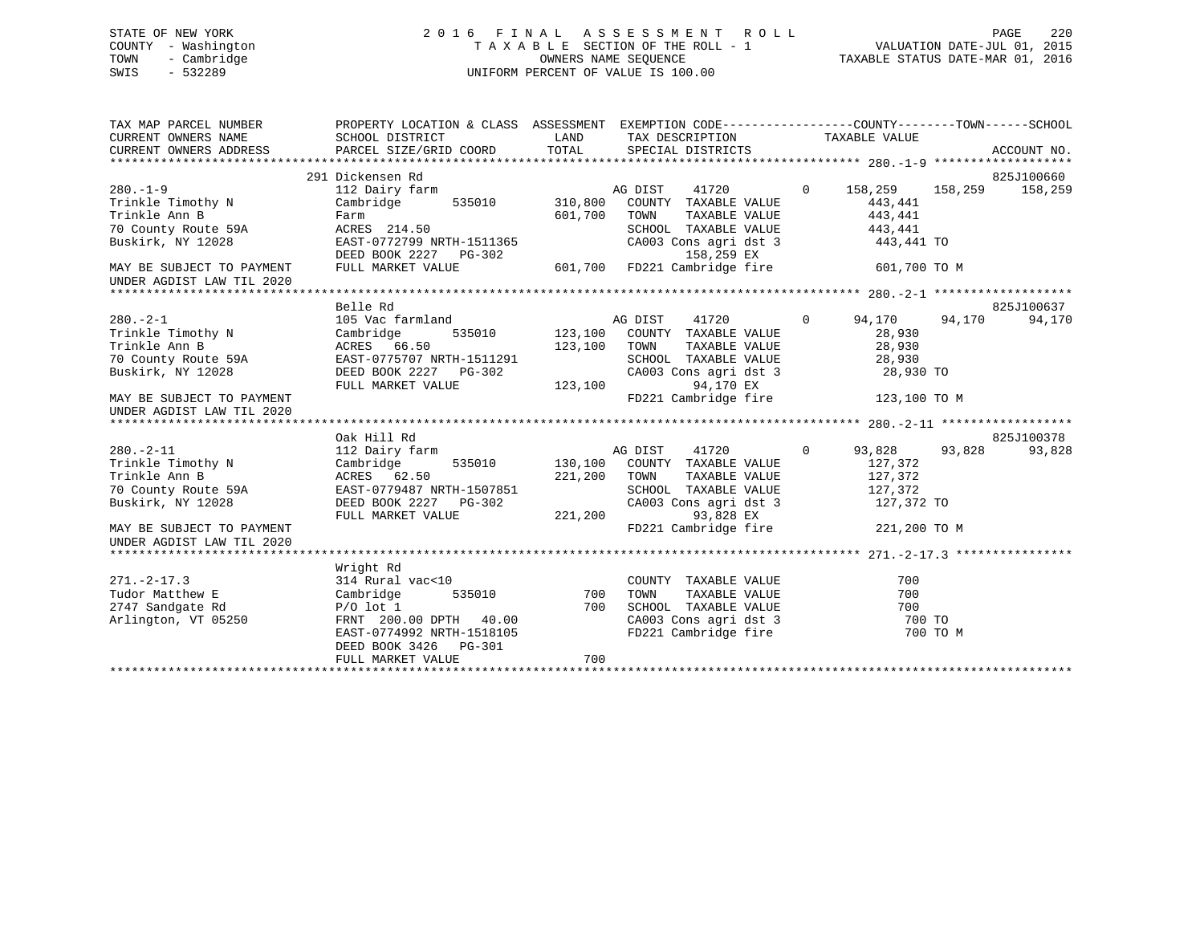# STATE OF NEW YORK 2 0 1 6 F I N A L A S S E S S M E N T R O L L PAGE 220 COUNTY - Washington T A X A B L E SECTION OF THE ROLL - 1 VALUATION DATE-JUL 01, 2015 TOWN - Cambridge OWNERS NAME SEQUENCE TAXABLE STATUS DATE-MAR 01, 2016 SWIS - 532289 UNIFORM PERCENT OF VALUE IS 100.00UNIFORM PERCENT OF VALUE IS 100.00

| TAX MAP PARCEL NUMBER<br>CURRENT OWNERS NAME<br>CURRENT OWNERS ADDRESS                                                                                      | PROPERTY LOCATION & CLASS ASSESSMENT EXEMPTION CODE----------------COUNTY-------TOWN------SCHOOL<br>SCHOOL DISTRICT<br>PARCEL SIZE/GRID COORD                                          | LAND<br>TOTAL      | TAX DESCRIPTION TAXABLE VALUE<br>SPECIAL DISTRICTS                                                                                                                     |                |                                                                        |          | ACCOUNT NO.           |
|-------------------------------------------------------------------------------------------------------------------------------------------------------------|----------------------------------------------------------------------------------------------------------------------------------------------------------------------------------------|--------------------|------------------------------------------------------------------------------------------------------------------------------------------------------------------------|----------------|------------------------------------------------------------------------|----------|-----------------------|
| $280. -1 - 9$<br>Trinkle Timothy N<br>Trinkle Ann B<br>70 County Route 59A<br>Buskirk, NY 12028<br>MAY BE SUBJECT TO PAYMENT                                | 291 Dickensen Rd<br>112 Dairy farm<br>Cambridge 535010 310,800 COUNTY TAXABLE VALUE<br>Farm<br>ACRES 214.50<br>EAST-0772799 NRTH-1511365<br>DEED BOOK 2227 PG-302<br>FULL MARKET VALUE | 601,700            | 41720<br>AG DIST<br>TOWN<br>TAXABLE VALUE<br>SCHOOL TAXABLE VALUE<br>CA003 Cons agri dst 3<br>158,259 EX<br>601,700 FD221 Cambridge fire                               | $\overline{0}$ | 158,259<br>443,441<br>443,441<br>443,441<br>443,441 TO<br>601,700 TO M | 158,259  | 825J100660<br>158,259 |
| UNDER AGDIST LAW TIL 2020                                                                                                                                   |                                                                                                                                                                                        |                    |                                                                                                                                                                        |                |                                                                        |          |                       |
|                                                                                                                                                             | Belle Rd                                                                                                                                                                               |                    |                                                                                                                                                                        |                |                                                                        |          | 825J100637            |
| $280 - 2 - 1$<br>Trinkle Timothy N<br>Trinkle Ann B<br>70 County Route 59A<br>Buskirk, NY 12028<br>MAY BE SUBJECT TO PAYMENT<br>UNDER AGDIST LAW TIL 2020   | 105 Vac farmland<br>Cambridge<br>ACRES 66.50<br>EAST-0775707 NRTH-1511291<br>DEED BOOK 2227 PG-302<br>FULL MARKET VALUE                                                                | 123,100<br>123,100 | AG DIST<br>41720<br>535010 123,100 COUNTY TAXABLE VALUE<br>TOWN<br>TAXABLE VALUE<br>SCHOOL TAXABLE VALUE<br>CA003 Cons agri dst 3<br>94,170 EX<br>FD221 Cambridge fire | $\overline{0}$ | 94,170<br>28,930<br>28,930<br>28,930<br>28,930 TO<br>123,100 TO M      | 94,170   | 94,170                |
|                                                                                                                                                             |                                                                                                                                                                                        |                    |                                                                                                                                                                        |                |                                                                        |          |                       |
| $280. - 2 - 11$<br>Trinkle Timothy N<br>Trinkle Ann B<br>70 County Route 59A<br>Buskirk, NY 12028<br>MAY BE SUBJECT TO PAYMENT<br>UNDER AGDIST LAW TIL 2020 | Oak Hill Rd<br>112 Dairy farm<br>Cambridge<br>ACRES 62.50<br>EAST-0779487 NRTH-1507851<br>DEED BOOK 2227 PG-302<br>FULL MARKET VALUE                                                   | 221,200<br>221,200 | AG DIST<br>41720<br>535010 130,100 COUNTY TAXABLE VALUE<br>TOWN<br>TAXABLE VALUE<br>SCHOOL TAXABLE VALUE<br>CA003 Cons agri dst 3<br>93,828 EX<br>FD221 Cambridge fire | $\Omega$       | 93,828<br>127,372<br>127,372<br>127,372<br>127,372 TO<br>221,200 TO M  | 93,828   | 825J100378<br>93,828  |
|                                                                                                                                                             | Wright Rd                                                                                                                                                                              |                    |                                                                                                                                                                        |                |                                                                        |          |                       |
| $271. - 2 - 17.3$<br>Tudor Matthew E<br>2747 Sandgate Rd<br>Arlington, VT 05250                                                                             | 314 Rural vac<10<br>Cambridge<br>535010<br>$P/O$ lot 1<br>FRNT 200.00 DPTH 40.00<br>EAST-0774992 NRTH-1518105<br>DEED BOOK 3426<br>PG-301                                              | 700<br>700         | COUNTY TAXABLE VALUE<br>TOWN<br>TAXABLE VALUE<br>SCHOOL TAXABLE VALUE<br>CA003 Cons agri dst 3<br>FD221 Cambridge fire                                                 |                | 700<br>700<br>700<br>700 TO                                            | 700 TO M |                       |
|                                                                                                                                                             | FULL MARKET VALUE                                                                                                                                                                      | 700                |                                                                                                                                                                        |                |                                                                        |          |                       |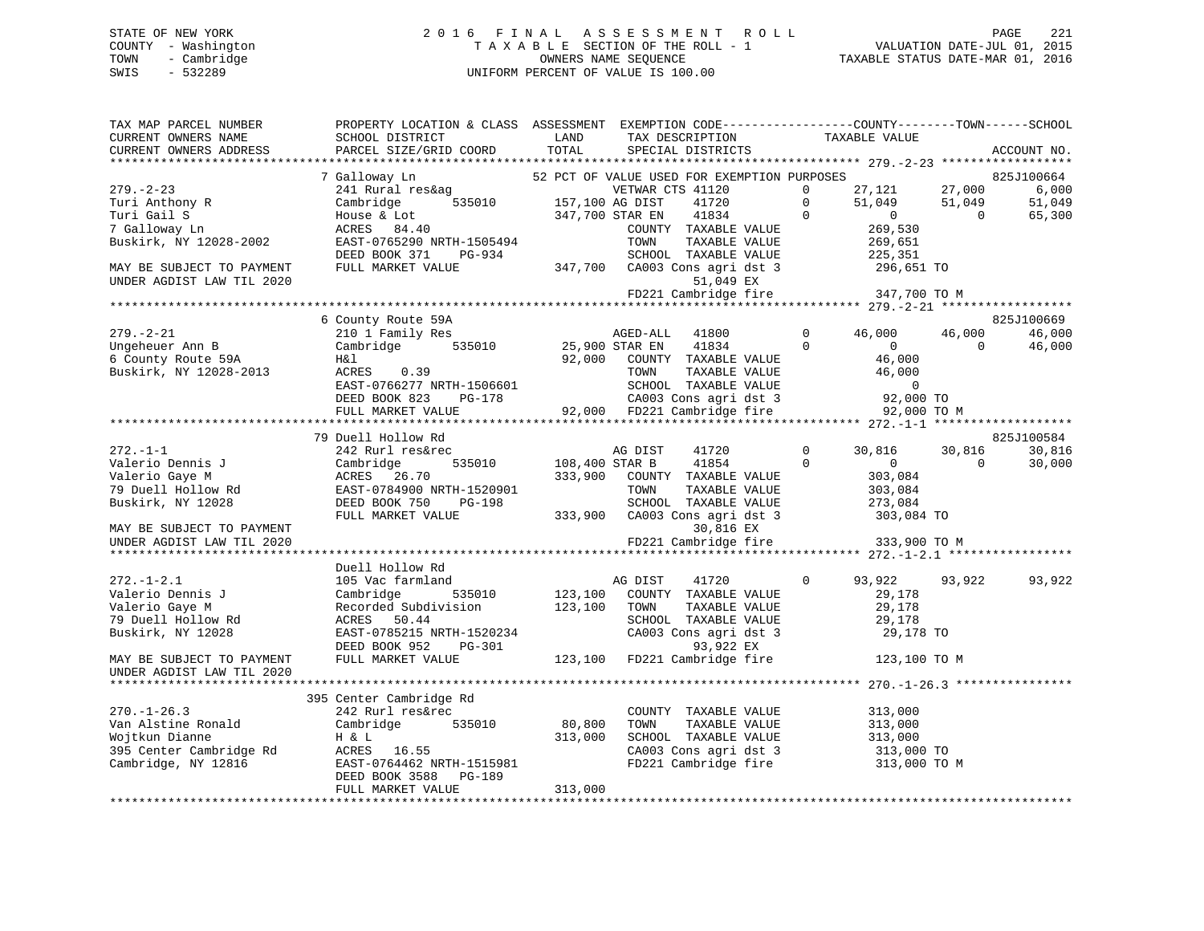# STATE OF NEW YORK 2 0 1 6 F I N A L A S S E S S M E N T R O L L PAGE 221 COUNTY - Washington T A X A B L E SECTION OF THE ROLL - 1 VALUATION DATE-JUL 01, 2015 TOWN - Cambridge OWNERS NAME SEQUENCE TAXABLE STATUS DATE-MAR 01, 2016 SWIS - 532289 UNIFORM PERCENT OF VALUE IS 100.00

| PARCEL SIZE/GRID COORD<br>TOTAL<br>CURRENT OWNERS ADDRESS<br>SPECIAL DISTRICTS<br>7 Galloway Ln<br>52 PCT OF VALUE USED FOR EXEMPTION PURPOSES<br>27,121 27,000<br>$279. - 2 - 23$<br>241 Rural res&ag<br>VETWAR CTS 41120<br>$\Omega$<br>res&ag<br>535010 157,100 AG DIST<br>F 215 100 AG DIST<br>$\overline{0}$<br>51,049<br>Cambridge<br>41720<br>51,049<br>Turi Anthony R<br>347,700 STAR EN 41834 0<br>$\sim$ 0<br>Turi Gail S<br>$\sim$ 0<br>House & Lot<br>ACRES 84.40<br>269,530<br>COUNTY TAXABLE VALUE<br>7 Galloway Ln<br>269,651<br>Buskirk, NY 12028-2002<br>EAST-0765290 NRTH-1505494<br>TAXABLE VALUE<br>TOWN<br>DEED BOOK 371<br>PG-934<br>MAY BE SUBJECT TO PAYMENT<br>FULL MARKET VALUE<br>51,049 EX<br>UNDER AGDIST LAW TIL 2020<br>FD221 Cambridge fire 347,700 TO M<br>6 County Route 59A<br>$279. - 2 - 21$<br>210 1 Family Res<br>AGED-ALL 41800<br>$\overline{0}$<br>46,000<br>46,000<br>Cambridge 535010<br>25,900 STAR EN 41834<br>$\overline{0}$<br>$\overline{0}$<br>$\overline{0}$<br>Ungeheuer Ann B<br>46,000<br>6 County Route 59A<br>92,000 COUNTY TAXABLE VALUE<br>H&l<br>46,000<br>Buskirk, NY 12028-2013<br>ACRES 0.39<br>TOWN<br>TAXABLE VALUE<br>EAST-0766277 NRTH-1506601<br>DEED BOOK 823<br>PG-178<br>92,000 FD221 Cambridge fire<br>FULL MARKET VALUE<br>92,000 TO M<br>79 Duell Hollow Rd<br>$272. - 1 - 1$<br>242 Rurl res&rec<br>AG DIST 41720<br>108,400 STAR B 41854<br>$\overline{0}$<br>30,816 30,816<br>Cambridge 535010<br>ACRES 26.70<br>EAST-0784900 NRTH-1520901<br>DEED BOOK 750 PG-198<br>$\overline{0}$<br>$\overline{0}$<br>Valerio Dennis J<br>Valerio Gaye M<br>79 Duell Hollow Rd<br>$\overline{0}$<br>333,900 COUNTY TAXABLE VALUE<br>303,084<br>303,084<br>TOWN<br>TAXABLE VALUE<br>Buskirk, NY 12028<br>SCHOOL TAXABLE VALUE<br>273,084<br>FULL MARKET VALUE<br>30,816 EX | CURRENT OWNERS NAME       | SCHOOL DISTRICT | PROPERTY LOCATION & CLASS ASSESSMENT EXEMPTION CODE---------------COUNTY-------TOWN-----SCHOOL<br>LAND<br>TAX DESCRIPTION | TAXABLE VALUE |             |
|-------------------------------------------------------------------------------------------------------------------------------------------------------------------------------------------------------------------------------------------------------------------------------------------------------------------------------------------------------------------------------------------------------------------------------------------------------------------------------------------------------------------------------------------------------------------------------------------------------------------------------------------------------------------------------------------------------------------------------------------------------------------------------------------------------------------------------------------------------------------------------------------------------------------------------------------------------------------------------------------------------------------------------------------------------------------------------------------------------------------------------------------------------------------------------------------------------------------------------------------------------------------------------------------------------------------------------------------------------------------------------------------------------------------------------------------------------------------------------------------------------------------------------------------------------------------------------------------------------------------------------------------------------------------------------------------------------------------------------------------------------------------------------------------------------------------------------------------|---------------------------|-----------------|---------------------------------------------------------------------------------------------------------------------------|---------------|-------------|
|                                                                                                                                                                                                                                                                                                                                                                                                                                                                                                                                                                                                                                                                                                                                                                                                                                                                                                                                                                                                                                                                                                                                                                                                                                                                                                                                                                                                                                                                                                                                                                                                                                                                                                                                                                                                                                           |                           |                 |                                                                                                                           |               | ACCOUNT NO. |
|                                                                                                                                                                                                                                                                                                                                                                                                                                                                                                                                                                                                                                                                                                                                                                                                                                                                                                                                                                                                                                                                                                                                                                                                                                                                                                                                                                                                                                                                                                                                                                                                                                                                                                                                                                                                                                           |                           |                 |                                                                                                                           |               |             |
|                                                                                                                                                                                                                                                                                                                                                                                                                                                                                                                                                                                                                                                                                                                                                                                                                                                                                                                                                                                                                                                                                                                                                                                                                                                                                                                                                                                                                                                                                                                                                                                                                                                                                                                                                                                                                                           |                           |                 |                                                                                                                           |               | 825J100664  |
|                                                                                                                                                                                                                                                                                                                                                                                                                                                                                                                                                                                                                                                                                                                                                                                                                                                                                                                                                                                                                                                                                                                                                                                                                                                                                                                                                                                                                                                                                                                                                                                                                                                                                                                                                                                                                                           |                           |                 |                                                                                                                           |               | 6,000       |
|                                                                                                                                                                                                                                                                                                                                                                                                                                                                                                                                                                                                                                                                                                                                                                                                                                                                                                                                                                                                                                                                                                                                                                                                                                                                                                                                                                                                                                                                                                                                                                                                                                                                                                                                                                                                                                           |                           |                 |                                                                                                                           |               | 51,049      |
|                                                                                                                                                                                                                                                                                                                                                                                                                                                                                                                                                                                                                                                                                                                                                                                                                                                                                                                                                                                                                                                                                                                                                                                                                                                                                                                                                                                                                                                                                                                                                                                                                                                                                                                                                                                                                                           |                           |                 |                                                                                                                           |               | 65,300      |
|                                                                                                                                                                                                                                                                                                                                                                                                                                                                                                                                                                                                                                                                                                                                                                                                                                                                                                                                                                                                                                                                                                                                                                                                                                                                                                                                                                                                                                                                                                                                                                                                                                                                                                                                                                                                                                           |                           |                 |                                                                                                                           |               |             |
|                                                                                                                                                                                                                                                                                                                                                                                                                                                                                                                                                                                                                                                                                                                                                                                                                                                                                                                                                                                                                                                                                                                                                                                                                                                                                                                                                                                                                                                                                                                                                                                                                                                                                                                                                                                                                                           |                           |                 |                                                                                                                           |               |             |
|                                                                                                                                                                                                                                                                                                                                                                                                                                                                                                                                                                                                                                                                                                                                                                                                                                                                                                                                                                                                                                                                                                                                                                                                                                                                                                                                                                                                                                                                                                                                                                                                                                                                                                                                                                                                                                           |                           |                 |                                                                                                                           |               |             |
|                                                                                                                                                                                                                                                                                                                                                                                                                                                                                                                                                                                                                                                                                                                                                                                                                                                                                                                                                                                                                                                                                                                                                                                                                                                                                                                                                                                                                                                                                                                                                                                                                                                                                                                                                                                                                                           |                           |                 |                                                                                                                           |               |             |
|                                                                                                                                                                                                                                                                                                                                                                                                                                                                                                                                                                                                                                                                                                                                                                                                                                                                                                                                                                                                                                                                                                                                                                                                                                                                                                                                                                                                                                                                                                                                                                                                                                                                                                                                                                                                                                           |                           |                 |                                                                                                                           |               |             |
|                                                                                                                                                                                                                                                                                                                                                                                                                                                                                                                                                                                                                                                                                                                                                                                                                                                                                                                                                                                                                                                                                                                                                                                                                                                                                                                                                                                                                                                                                                                                                                                                                                                                                                                                                                                                                                           |                           |                 |                                                                                                                           |               |             |
|                                                                                                                                                                                                                                                                                                                                                                                                                                                                                                                                                                                                                                                                                                                                                                                                                                                                                                                                                                                                                                                                                                                                                                                                                                                                                                                                                                                                                                                                                                                                                                                                                                                                                                                                                                                                                                           |                           |                 |                                                                                                                           |               |             |
|                                                                                                                                                                                                                                                                                                                                                                                                                                                                                                                                                                                                                                                                                                                                                                                                                                                                                                                                                                                                                                                                                                                                                                                                                                                                                                                                                                                                                                                                                                                                                                                                                                                                                                                                                                                                                                           |                           |                 |                                                                                                                           |               | 825J100669  |
|                                                                                                                                                                                                                                                                                                                                                                                                                                                                                                                                                                                                                                                                                                                                                                                                                                                                                                                                                                                                                                                                                                                                                                                                                                                                                                                                                                                                                                                                                                                                                                                                                                                                                                                                                                                                                                           |                           |                 |                                                                                                                           |               | 46,000      |
|                                                                                                                                                                                                                                                                                                                                                                                                                                                                                                                                                                                                                                                                                                                                                                                                                                                                                                                                                                                                                                                                                                                                                                                                                                                                                                                                                                                                                                                                                                                                                                                                                                                                                                                                                                                                                                           |                           |                 |                                                                                                                           |               | 46,000      |
|                                                                                                                                                                                                                                                                                                                                                                                                                                                                                                                                                                                                                                                                                                                                                                                                                                                                                                                                                                                                                                                                                                                                                                                                                                                                                                                                                                                                                                                                                                                                                                                                                                                                                                                                                                                                                                           |                           |                 |                                                                                                                           |               |             |
|                                                                                                                                                                                                                                                                                                                                                                                                                                                                                                                                                                                                                                                                                                                                                                                                                                                                                                                                                                                                                                                                                                                                                                                                                                                                                                                                                                                                                                                                                                                                                                                                                                                                                                                                                                                                                                           |                           |                 |                                                                                                                           |               |             |
|                                                                                                                                                                                                                                                                                                                                                                                                                                                                                                                                                                                                                                                                                                                                                                                                                                                                                                                                                                                                                                                                                                                                                                                                                                                                                                                                                                                                                                                                                                                                                                                                                                                                                                                                                                                                                                           |                           |                 |                                                                                                                           |               |             |
|                                                                                                                                                                                                                                                                                                                                                                                                                                                                                                                                                                                                                                                                                                                                                                                                                                                                                                                                                                                                                                                                                                                                                                                                                                                                                                                                                                                                                                                                                                                                                                                                                                                                                                                                                                                                                                           |                           |                 |                                                                                                                           |               |             |
|                                                                                                                                                                                                                                                                                                                                                                                                                                                                                                                                                                                                                                                                                                                                                                                                                                                                                                                                                                                                                                                                                                                                                                                                                                                                                                                                                                                                                                                                                                                                                                                                                                                                                                                                                                                                                                           |                           |                 |                                                                                                                           |               |             |
|                                                                                                                                                                                                                                                                                                                                                                                                                                                                                                                                                                                                                                                                                                                                                                                                                                                                                                                                                                                                                                                                                                                                                                                                                                                                                                                                                                                                                                                                                                                                                                                                                                                                                                                                                                                                                                           |                           |                 |                                                                                                                           |               |             |
|                                                                                                                                                                                                                                                                                                                                                                                                                                                                                                                                                                                                                                                                                                                                                                                                                                                                                                                                                                                                                                                                                                                                                                                                                                                                                                                                                                                                                                                                                                                                                                                                                                                                                                                                                                                                                                           |                           |                 |                                                                                                                           |               | 825J100584  |
|                                                                                                                                                                                                                                                                                                                                                                                                                                                                                                                                                                                                                                                                                                                                                                                                                                                                                                                                                                                                                                                                                                                                                                                                                                                                                                                                                                                                                                                                                                                                                                                                                                                                                                                                                                                                                                           |                           |                 |                                                                                                                           |               | 30,816      |
|                                                                                                                                                                                                                                                                                                                                                                                                                                                                                                                                                                                                                                                                                                                                                                                                                                                                                                                                                                                                                                                                                                                                                                                                                                                                                                                                                                                                                                                                                                                                                                                                                                                                                                                                                                                                                                           |                           |                 |                                                                                                                           |               | 30,000      |
|                                                                                                                                                                                                                                                                                                                                                                                                                                                                                                                                                                                                                                                                                                                                                                                                                                                                                                                                                                                                                                                                                                                                                                                                                                                                                                                                                                                                                                                                                                                                                                                                                                                                                                                                                                                                                                           |                           |                 |                                                                                                                           |               |             |
|                                                                                                                                                                                                                                                                                                                                                                                                                                                                                                                                                                                                                                                                                                                                                                                                                                                                                                                                                                                                                                                                                                                                                                                                                                                                                                                                                                                                                                                                                                                                                                                                                                                                                                                                                                                                                                           |                           |                 |                                                                                                                           |               |             |
|                                                                                                                                                                                                                                                                                                                                                                                                                                                                                                                                                                                                                                                                                                                                                                                                                                                                                                                                                                                                                                                                                                                                                                                                                                                                                                                                                                                                                                                                                                                                                                                                                                                                                                                                                                                                                                           |                           |                 |                                                                                                                           |               |             |
|                                                                                                                                                                                                                                                                                                                                                                                                                                                                                                                                                                                                                                                                                                                                                                                                                                                                                                                                                                                                                                                                                                                                                                                                                                                                                                                                                                                                                                                                                                                                                                                                                                                                                                                                                                                                                                           |                           |                 |                                                                                                                           |               |             |
|                                                                                                                                                                                                                                                                                                                                                                                                                                                                                                                                                                                                                                                                                                                                                                                                                                                                                                                                                                                                                                                                                                                                                                                                                                                                                                                                                                                                                                                                                                                                                                                                                                                                                                                                                                                                                                           | MAY BE SUBJECT TO PAYMENT |                 |                                                                                                                           |               |             |
| FD221 Cambridge fire 333,900 TO M<br>UNDER AGDIST LAW TIL 2020                                                                                                                                                                                                                                                                                                                                                                                                                                                                                                                                                                                                                                                                                                                                                                                                                                                                                                                                                                                                                                                                                                                                                                                                                                                                                                                                                                                                                                                                                                                                                                                                                                                                                                                                                                            |                           |                 |                                                                                                                           |               |             |
|                                                                                                                                                                                                                                                                                                                                                                                                                                                                                                                                                                                                                                                                                                                                                                                                                                                                                                                                                                                                                                                                                                                                                                                                                                                                                                                                                                                                                                                                                                                                                                                                                                                                                                                                                                                                                                           |                           |                 |                                                                                                                           |               |             |
| Duell Hollow Rd                                                                                                                                                                                                                                                                                                                                                                                                                                                                                                                                                                                                                                                                                                                                                                                                                                                                                                                                                                                                                                                                                                                                                                                                                                                                                                                                                                                                                                                                                                                                                                                                                                                                                                                                                                                                                           |                           |                 |                                                                                                                           |               |             |
| 105 Vac farmland<br>$\Omega$<br>93,922 93,922<br>$272. - 1 - 2.1$<br>AG DIST<br>41720                                                                                                                                                                                                                                                                                                                                                                                                                                                                                                                                                                                                                                                                                                                                                                                                                                                                                                                                                                                                                                                                                                                                                                                                                                                                                                                                                                                                                                                                                                                                                                                                                                                                                                                                                     |                           |                 |                                                                                                                           |               | 93,922      |
| 123,100 COUNTY TAXABLE VALUE<br>Cambridge 535010<br>Valerio Dennis J<br>29,178                                                                                                                                                                                                                                                                                                                                                                                                                                                                                                                                                                                                                                                                                                                                                                                                                                                                                                                                                                                                                                                                                                                                                                                                                                                                                                                                                                                                                                                                                                                                                                                                                                                                                                                                                            |                           |                 |                                                                                                                           |               |             |
| Recorded Subdivision 123,100 TOWN<br>Valerio Gaye M<br>TAXABLE VALUE<br>29,178                                                                                                                                                                                                                                                                                                                                                                                                                                                                                                                                                                                                                                                                                                                                                                                                                                                                                                                                                                                                                                                                                                                                                                                                                                                                                                                                                                                                                                                                                                                                                                                                                                                                                                                                                            |                           |                 |                                                                                                                           |               |             |
| 79 Duell Hollow Rd<br>ACRES 50.44<br>SCHOOL TAXABLE VALUE<br>29,178<br>SCHOOL TAXABLE VALUE<br>CA003 Cons agri dst 3                                                                                                                                                                                                                                                                                                                                                                                                                                                                                                                                                                                                                                                                                                                                                                                                                                                                                                                                                                                                                                                                                                                                                                                                                                                                                                                                                                                                                                                                                                                                                                                                                                                                                                                      |                           |                 |                                                                                                                           |               |             |
| EAST-0785215 NRTH-1520234<br>Buskirk, NY 12028<br>29,178 TO                                                                                                                                                                                                                                                                                                                                                                                                                                                                                                                                                                                                                                                                                                                                                                                                                                                                                                                                                                                                                                                                                                                                                                                                                                                                                                                                                                                                                                                                                                                                                                                                                                                                                                                                                                               |                           |                 |                                                                                                                           |               |             |
| RTH-1520234 CA003 Cons agri dst 3<br>PG-301 93,922 EX<br>LUE 123,100 FD221 Cambridge fire<br>DEED BOOK 952                                                                                                                                                                                                                                                                                                                                                                                                                                                                                                                                                                                                                                                                                                                                                                                                                                                                                                                                                                                                                                                                                                                                                                                                                                                                                                                                                                                                                                                                                                                                                                                                                                                                                                                                |                           |                 |                                                                                                                           |               |             |
| 123,100 TO M<br>MAY BE SUBJECT TO PAYMENT<br>FULL MARKET VALUE                                                                                                                                                                                                                                                                                                                                                                                                                                                                                                                                                                                                                                                                                                                                                                                                                                                                                                                                                                                                                                                                                                                                                                                                                                                                                                                                                                                                                                                                                                                                                                                                                                                                                                                                                                            |                           |                 |                                                                                                                           |               |             |
| UNDER AGDIST LAW TIL 2020                                                                                                                                                                                                                                                                                                                                                                                                                                                                                                                                                                                                                                                                                                                                                                                                                                                                                                                                                                                                                                                                                                                                                                                                                                                                                                                                                                                                                                                                                                                                                                                                                                                                                                                                                                                                                 |                           |                 |                                                                                                                           |               |             |
|                                                                                                                                                                                                                                                                                                                                                                                                                                                                                                                                                                                                                                                                                                                                                                                                                                                                                                                                                                                                                                                                                                                                                                                                                                                                                                                                                                                                                                                                                                                                                                                                                                                                                                                                                                                                                                           |                           |                 |                                                                                                                           |               |             |
| 395 Center Cambridge Rd                                                                                                                                                                                                                                                                                                                                                                                                                                                                                                                                                                                                                                                                                                                                                                                                                                                                                                                                                                                                                                                                                                                                                                                                                                                                                                                                                                                                                                                                                                                                                                                                                                                                                                                                                                                                                   |                           |                 |                                                                                                                           |               |             |
| $270. - 1 - 26.3$<br>242 Rurl res&rec<br>COUNTY TAXABLE VALUE<br>313,000<br>$80, 800$<br>312                                                                                                                                                                                                                                                                                                                                                                                                                                                                                                                                                                                                                                                                                                                                                                                                                                                                                                                                                                                                                                                                                                                                                                                                                                                                                                                                                                                                                                                                                                                                                                                                                                                                                                                                              |                           |                 |                                                                                                                           |               |             |
| Cambridge 535010<br>Van Alstine Ronald                                                                                                                                                                                                                                                                                                                                                                                                                                                                                                                                                                                                                                                                                                                                                                                                                                                                                                                                                                                                                                                                                                                                                                                                                                                                                                                                                                                                                                                                                                                                                                                                                                                                                                                                                                                                    |                           |                 |                                                                                                                           |               |             |
| TOWN TAXABLE VALUE 313,000<br>SCHOOL TAXABLE VALUE 313,000<br>CN003 Gives in the set of the state of the state of the state of the state of the state of the state of the state of the state of the state of the state of the state<br>313,000                                                                                                                                                                                                                                                                                                                                                                                                                                                                                                                                                                                                                                                                                                                                                                                                                                                                                                                                                                                                                                                                                                                                                                                                                                                                                                                                                                                                                                                                                                                                                                                            |                           |                 |                                                                                                                           |               |             |
| 313,000 TO<br>CA003 Cons agri dst 3 313,000 TO<br>FD221 Cambridge fire 313,000 TO M                                                                                                                                                                                                                                                                                                                                                                                                                                                                                                                                                                                                                                                                                                                                                                                                                                                                                                                                                                                                                                                                                                                                                                                                                                                                                                                                                                                                                                                                                                                                                                                                                                                                                                                                                       |                           |                 |                                                                                                                           |               |             |
|                                                                                                                                                                                                                                                                                                                                                                                                                                                                                                                                                                                                                                                                                                                                                                                                                                                                                                                                                                                                                                                                                                                                                                                                                                                                                                                                                                                                                                                                                                                                                                                                                                                                                                                                                                                                                                           |                           |                 |                                                                                                                           |               |             |
| DEED BOOK 3588 PG-189<br>313,000                                                                                                                                                                                                                                                                                                                                                                                                                                                                                                                                                                                                                                                                                                                                                                                                                                                                                                                                                                                                                                                                                                                                                                                                                                                                                                                                                                                                                                                                                                                                                                                                                                                                                                                                                                                                          |                           |                 |                                                                                                                           |               |             |
| FULL MARKET VALUE                                                                                                                                                                                                                                                                                                                                                                                                                                                                                                                                                                                                                                                                                                                                                                                                                                                                                                                                                                                                                                                                                                                                                                                                                                                                                                                                                                                                                                                                                                                                                                                                                                                                                                                                                                                                                         |                           |                 |                                                                                                                           |               |             |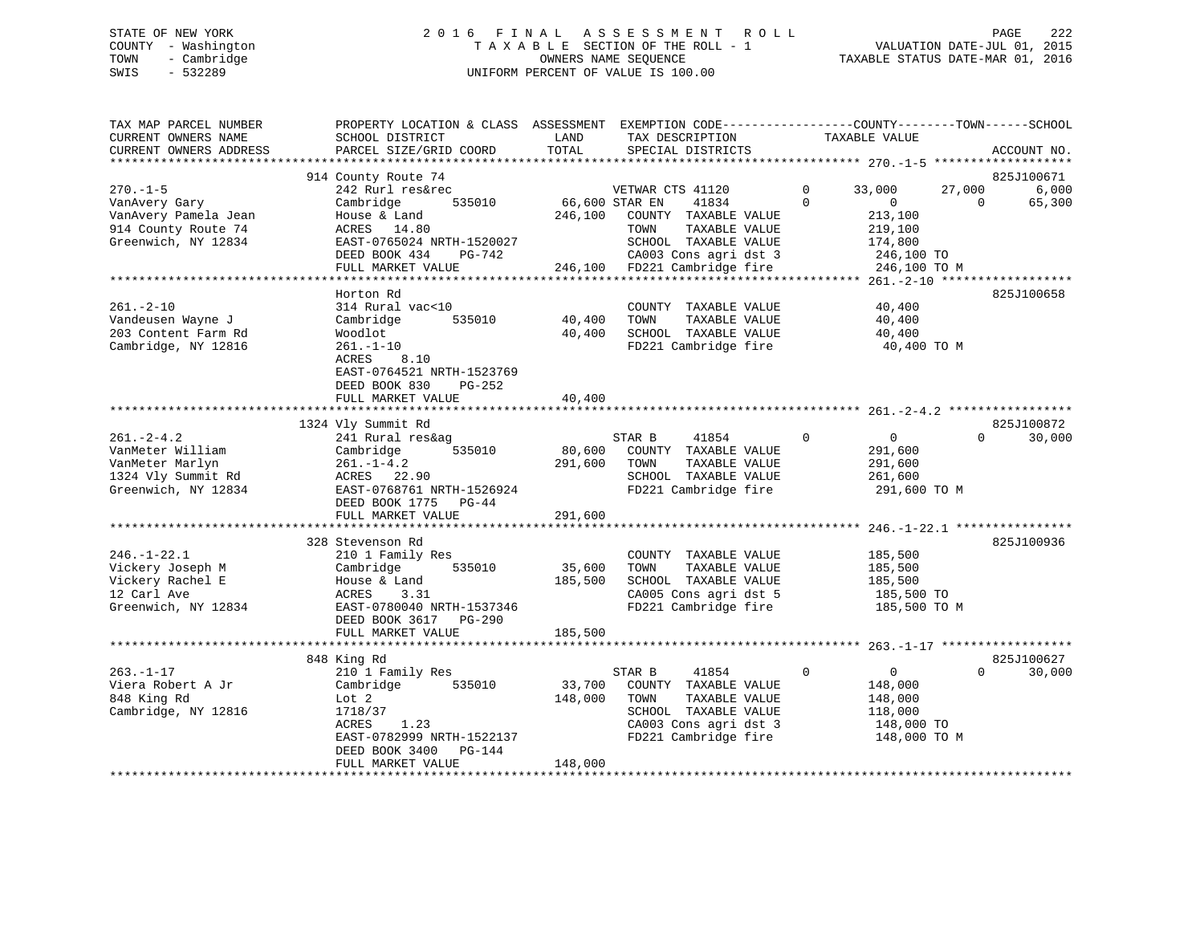### STATE OF NEW YORK 222 COLL 2016 FINAL ASSESSMENT ROLL CHARGE 222 COUNTY - Washington  $T A X A B L E$  SECTION OF THE ROLL - 1<br>TOWN - Cambridge  $\qquad$  OWNERS NAME SEQUENCE TOWN - Cambridge OWNERS NAME SEQUENCE TAXABLE STATUS DATE-MAR 01, 2016 SWIS - 532289 UNIFORM PERCENT OF VALUE IS 100.00

| TAX MAP PARCEL NUMBER  | PROPERTY LOCATION & CLASS ASSESSMENT |                | EXEMPTION CODE-----------------COUNTY-------TOWN------SCHOOL |                               |          |             |
|------------------------|--------------------------------------|----------------|--------------------------------------------------------------|-------------------------------|----------|-------------|
| CURRENT OWNERS NAME    | SCHOOL DISTRICT                      | LAND           | TAX DESCRIPTION                                              | TAXABLE VALUE                 |          |             |
| CURRENT OWNERS ADDRESS | PARCEL SIZE/GRID COORD               | TOTAL          | SPECIAL DISTRICTS                                            |                               |          | ACCOUNT NO. |
|                        |                                      |                |                                                              |                               |          |             |
|                        | 914 County Route 74                  |                |                                                              |                               |          | 825J100671  |
| $270. - 1 - 5$         | 242 Rurl res&rec                     |                | VETWAR CTS 41120                                             | 33,000<br>$\Omega$            | 27,000   | 6,000       |
| VanAvery Gary          | 535010<br>Cambridge                  | 66,600 STAR EN | 41834                                                        | $\Omega$<br>$\Omega$          | $\Omega$ | 65,300      |
| VanAvery Pamela Jean   | House & Land                         | 246,100        | COUNTY TAXABLE VALUE                                         | 213,100                       |          |             |
| 914 County Route 74    | ACRES 14.80                          |                | TOWN<br>TAXABLE VALUE                                        | 219,100                       |          |             |
| Greenwich, NY 12834    | EAST-0765024 NRTH-1520027            |                | SCHOOL TAXABLE VALUE                                         | 174,800                       |          |             |
|                        | DEED BOOK 434<br>PG-742              |                | CA003 Cons agri dst 3                                        | 246,100 TO                    |          |             |
|                        | FULL MARKET VALUE                    |                | 246,100 FD221 Cambridge fire                                 | 246,100 TO M                  |          |             |
|                        |                                      |                |                                                              |                               |          |             |
|                        | Horton Rd                            |                |                                                              |                               |          | 825J100658  |
| $261. - 2 - 10$        | 314 Rural vac<10                     |                | COUNTY TAXABLE VALUE                                         | 40,400                        |          |             |
| Vandeusen Wayne J      | 535010<br>Cambridge                  | 40,400         | TAXABLE VALUE<br>TOWN                                        | 40,400                        |          |             |
| 203 Content Farm Rd    | Woodlot                              | 40,400         | SCHOOL TAXABLE VALUE                                         | 40,400                        |          |             |
| Cambridge, NY 12816    | $261. - 1 - 10$                      |                | FD221 Cambridge fire                                         | 40,400 TO M                   |          |             |
|                        | ACRES<br>8.10                        |                |                                                              |                               |          |             |
|                        | EAST-0764521 NRTH-1523769            |                |                                                              |                               |          |             |
|                        | DEED BOOK 830<br>PG-252              |                |                                                              |                               |          |             |
|                        | FULL MARKET VALUE                    | 40,400         |                                                              |                               |          |             |
|                        |                                      |                |                                                              |                               |          |             |
|                        | 1324 Vly Summit Rd                   |                |                                                              |                               |          | 825J100872  |
| $261 - 2 - 4.2$        | 241 Rural res&ag                     |                | STAR B<br>41854                                              | $\mathbf 0$<br>$\overline{0}$ | $\Omega$ | 30,000      |
| VanMeter William       | Cambridge<br>535010                  | 80,600         | COUNTY TAXABLE VALUE                                         | 291,600                       |          |             |
| VanMeter Marlyn        | $261. - 1 - 4.2$                     | 291,600        | TAXABLE VALUE<br>TOWN                                        | 291,600                       |          |             |
| 1324 Vly Summit Rd     | ACRES 22.90                          |                | SCHOOL TAXABLE VALUE                                         | 261,600                       |          |             |
| Greenwich, NY 12834    | EAST-0768761 NRTH-1526924            |                | FD221 Cambridge fire                                         | 291,600 TO M                  |          |             |
|                        | DEED BOOK 1775 PG-44                 |                |                                                              |                               |          |             |
|                        | FULL MARKET VALUE                    | 291,600        |                                                              |                               |          |             |
|                        | ************************             | *************  |                                                              |                               |          |             |
|                        | 328 Stevenson Rd                     |                |                                                              |                               |          | 825J100936  |
| $246. - 1 - 22.1$      | 210 1 Family Res                     |                | COUNTY TAXABLE VALUE                                         | 185,500                       |          |             |
| Vickery Joseph M       | Cambridge<br>535010                  | 35,600         | TAXABLE VALUE<br>TOWN                                        | 185,500                       |          |             |
| Vickery Rachel E       | House & Land                         | 185,500        | SCHOOL TAXABLE VALUE                                         | 185,500                       |          |             |
| 12 Carl Ave            | ACRES<br>3.31                        |                | CA005 Cons agri dst 5                                        | 185,500 TO                    |          |             |
| Greenwich, NY 12834    | EAST-0780040 NRTH-1537346            |                | FD221 Cambridge fire                                         | 185,500 TO M                  |          |             |
|                        | DEED BOOK 3617<br><b>PG-290</b>      |                |                                                              |                               |          |             |
|                        | FULL MARKET VALUE                    | 185,500        |                                                              |                               |          |             |
|                        |                                      |                |                                                              |                               |          |             |
|                        | 848 King Rd                          |                |                                                              |                               |          | 825J100627  |
| $263. - 1 - 17$        | 210 1 Family Res                     |                | STAR B<br>41854                                              | $\Omega$<br>$\overline{0}$    | $\Omega$ | 30,000      |
| Viera Robert A Jr      | Cambridge<br>535010                  | 33,700         | COUNTY TAXABLE VALUE                                         | 148,000                       |          |             |
| 848 King Rd            | Lot 2                                | 148,000        | TOWN<br>TAXABLE VALUE                                        | 148,000                       |          |             |
| Cambridge, NY 12816    | 1718/37                              |                | SCHOOL TAXABLE VALUE                                         | 118,000                       |          |             |
|                        | ACRES<br>1.23                        |                | CA003 Cons agri dst 3                                        | 148,000 TO                    |          |             |
|                        | EAST-0782999 NRTH-1522137            |                | FD221 Cambridge fire                                         | 148,000 TO M                  |          |             |
|                        | DEED BOOK 3400<br>PG-144             |                |                                                              |                               |          |             |
|                        | FULL MARKET VALUE                    | 148,000        |                                                              |                               |          |             |
|                        |                                      |                |                                                              |                               |          |             |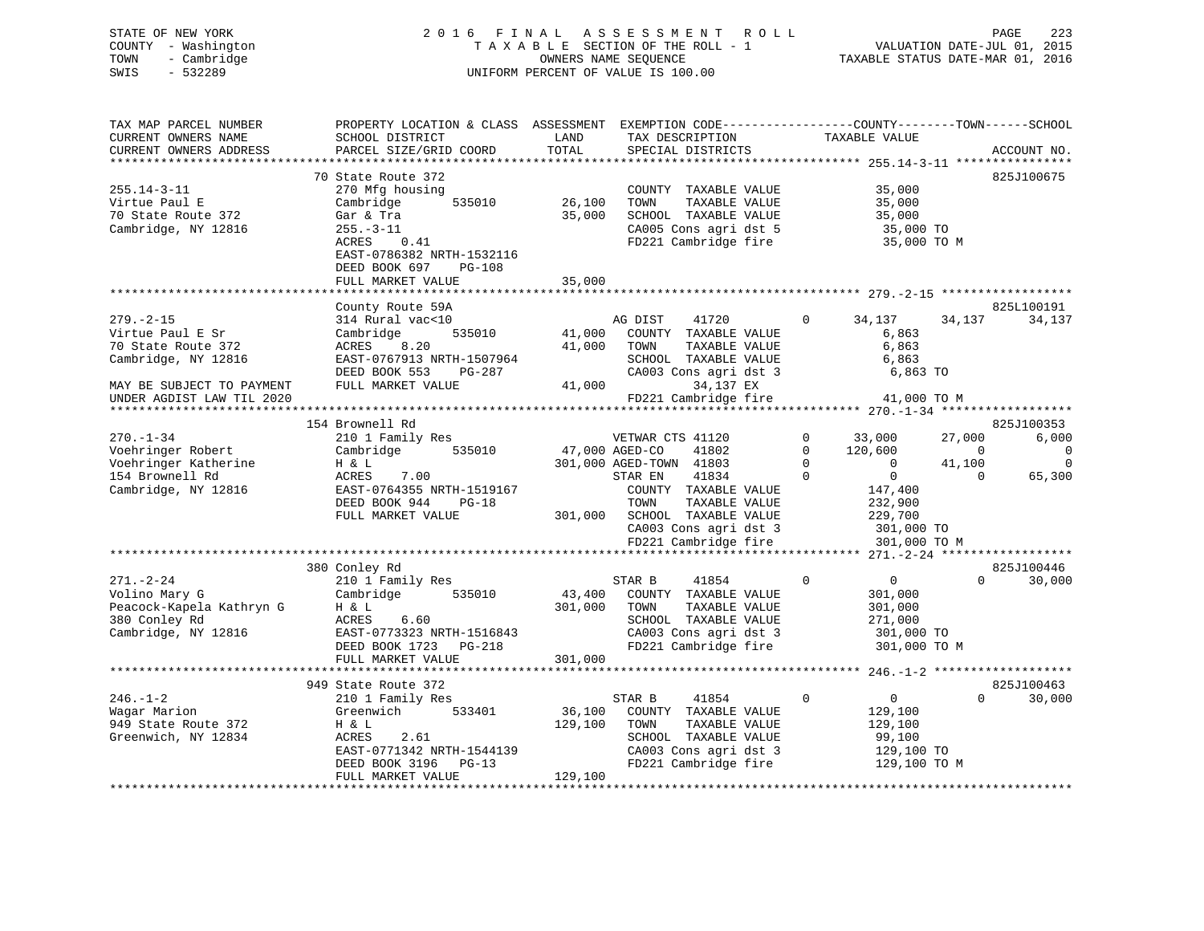# STATE OF NEW YORK 2 0 1 6 F I N A L A S S E S S M E N T R O L L PAGE 223 COUNTY - Washington T A X A B L E SECTION OF THE ROLL - 1 VALUATION DATE-JUL 01, 2015 TOWN - Cambridge OWNERS NAME SEQUENCE TAXABLE STATUS DATE-MAR 01, 2016 SWIS - 532289 UNIFORM PERCENT OF VALUE IS 100.00

| TAX MAP PARCEL NUMBER     | PROPERTY LOCATION & CLASS ASSESSMENT EXEMPTION CODE---------------COUNTY-------TOWN-----SCHOOL |                |                                               |                                             |                               |
|---------------------------|------------------------------------------------------------------------------------------------|----------------|-----------------------------------------------|---------------------------------------------|-------------------------------|
| CURRENT OWNERS NAME       | SCHOOL DISTRICT                                                                                | LAND           | TAX DESCRIPTION                               | TAXABLE VALUE                               |                               |
| CURRENT OWNERS ADDRESS    | PARCEL SIZE/GRID COORD                                                                         | TOTAL          | SPECIAL DISTRICTS                             |                                             | ACCOUNT NO.                   |
|                           |                                                                                                |                |                                               |                                             |                               |
|                           | 70 State Route 372                                                                             |                |                                               |                                             | 825J100675                    |
| $255.14 - 3 - 11$         | 270 Mfg housing                                                                                |                | COUNTY TAXABLE VALUE                          | 35,000                                      |                               |
| Virtue Paul E             | 535010<br>Cambridge                                                                            | 26,100         | TOWN<br>TAXABLE VALUE                         | 35,000                                      |                               |
| 70 State Route 372        | Gar & Tra                                                                                      | 35,000         | SCHOOL TAXABLE VALUE                          | 35,000                                      |                               |
| Cambridge, NY 12816       | $255. - 3 - 11$                                                                                |                | CA005 Cons agri dst 5                         | 35,000 TO                                   |                               |
|                           | ACRES<br>0.41                                                                                  |                | FD221 Cambridge fire                          | 35,000 TO M                                 |                               |
|                           | EAST-0786382 NRTH-1532116                                                                      |                |                                               |                                             |                               |
|                           | DEED BOOK 697<br><b>PG-108</b>                                                                 |                |                                               |                                             |                               |
|                           | FULL MARKET VALUE                                                                              | 35,000         |                                               |                                             |                               |
|                           |                                                                                                |                |                                               |                                             |                               |
|                           | County Route 59A                                                                               |                |                                               |                                             | 825L100191                    |
| $279. - 2 - 15$           | 314 Rural vac<10                                                                               |                | AG DIST<br>41720                              | 0<br>34,137                                 | 34,137<br>34,137              |
| Virtue Paul E Sr          | Cambridge<br>535010                                                                            | 41,000         | COUNTY TAXABLE VALUE                          | 6,863                                       |                               |
| 70 State Route 372        | ACRES<br>8.20                                                                                  | 41,000         | TOWN<br>TAXABLE VALUE                         | 6,863                                       |                               |
| Cambridge, NY 12816       | EAST-0767913 NRTH-1507964                                                                      |                | SCHOOL TAXABLE VALUE                          | 6,863                                       |                               |
|                           | DEED BOOK 553<br>PG-287                                                                        |                | CA003 Cons agri dst 3                         | 6,863 TO                                    |                               |
| MAY BE SUBJECT TO PAYMENT | FULL MARKET VALUE                                                                              | 41,000         | 34,137 EX                                     |                                             |                               |
| UNDER AGDIST LAW TIL 2020 |                                                                                                |                | FD221 Cambridge fire                          | 41,000 TO M                                 |                               |
| *********************     |                                                                                                |                |                                               |                                             |                               |
|                           | 154 Brownell Rd                                                                                |                |                                               |                                             | 825J100353                    |
| $270. - 1 - 34$           | 210 1 Family Res                                                                               |                | VETWAR CTS 41120                              | 33,000<br>$\Omega$                          | 6,000<br>27,000               |
| Voehringer Robert         | Cambridge<br>535010                                                                            | 47,000 AGED-CO | 41802                                         | $\Omega$<br>120,600                         | $\mathbf 0$<br>$\overline{0}$ |
| Voehringer Katherine      | H & L                                                                                          |                | 301,000 AGED-TOWN 41803                       | $\Omega$<br>$\overline{0}$                  | $\mathbf 0$<br>41,100         |
| 154 Brownell Rd           | 7.00<br>ACRES                                                                                  |                | 41834<br>STAR EN                              | $\Omega$<br>$\mathsf{O}$                    | $\Omega$<br>65,300            |
| Cambridge, NY 12816       | EAST-0764355 NRTH-1519167                                                                      |                | COUNTY TAXABLE VALUE                          | 147,400                                     |                               |
|                           | DEED BOOK 944<br>$PG-18$                                                                       |                | TOWN<br>TAXABLE VALUE                         | 232,900                                     |                               |
|                           | FULL MARKET VALUE                                                                              | 301,000        | SCHOOL TAXABLE VALUE                          | 229,700                                     |                               |
|                           |                                                                                                |                | CA003 Cons agri dst 3                         | 301,000 TO                                  |                               |
|                           | ****************************                                                                   |                | FD221 Cambridge fire                          | 301,000 TO M                                |                               |
|                           |                                                                                                |                |                                               |                                             |                               |
|                           | 380 Conley Rd                                                                                  |                |                                               | $\Omega$<br>$\overline{0}$                  | 825J100446<br>$\Omega$        |
| $271. - 2 - 24$           | 210 1 Family Res                                                                               |                | STAR B<br>41854                               |                                             | 30,000                        |
| Volino Mary G             | Cambridge<br>535010                                                                            | 43,400         | COUNTY TAXABLE VALUE                          | 301,000                                     |                               |
| Peacock-Kapela Kathryn G  | H & L                                                                                          | 301,000        | TOWN<br>TAXABLE VALUE                         | 301,000                                     |                               |
| 380 Conley Rd             | ACRES<br>6.60                                                                                  |                | SCHOOL TAXABLE VALUE                          | 271,000                                     |                               |
| Cambridge, NY 12816       | EAST-0773323 NRTH-1516843<br>DEED BOOK 1723<br>PG-218                                          |                | CA003 Cons agri dst 3<br>FD221 Cambridge fire | 301,000 TO<br>301,000 TO M                  |                               |
|                           | FULL MARKET VALUE                                                                              | 301,000        |                                               |                                             |                               |
|                           | ***********************                                                                        |                | ****************************                  | ************** 246.-1-2 ******************* |                               |
|                           | 949 State Route 372                                                                            |                |                                               |                                             | 825J100463                    |
| $246. - 1 - 2$            |                                                                                                |                | 41854<br>STAR B                               | $\mathbf 0$<br>$\overline{0}$               | $\Omega$<br>30,000            |
| Wagar Marion              | 210 1 Family Res<br>Greenwich<br>533401                                                        | 36,100         | COUNTY TAXABLE VALUE                          |                                             |                               |
| 949 State Route 372       | H & L                                                                                          | 129,100        | TAXABLE VALUE<br>TOWN                         | 129,100<br>129,100                          |                               |
| Greenwich, NY 12834       | ACRES<br>2.61                                                                                  |                | SCHOOL TAXABLE VALUE                          | 99,100                                      |                               |
|                           | EAST-0771342 NRTH-1544139                                                                      |                | CA003 Cons agri dst 3                         | 129,100 TO                                  |                               |
|                           | DEED BOOK 3196 PG-13                                                                           |                | FD221 Cambridge fire                          | 129,100 TO M                                |                               |
|                           | FULL MARKET VALUE                                                                              | 129,100        |                                               |                                             |                               |
|                           |                                                                                                |                |                                               |                                             |                               |
|                           |                                                                                                |                |                                               |                                             |                               |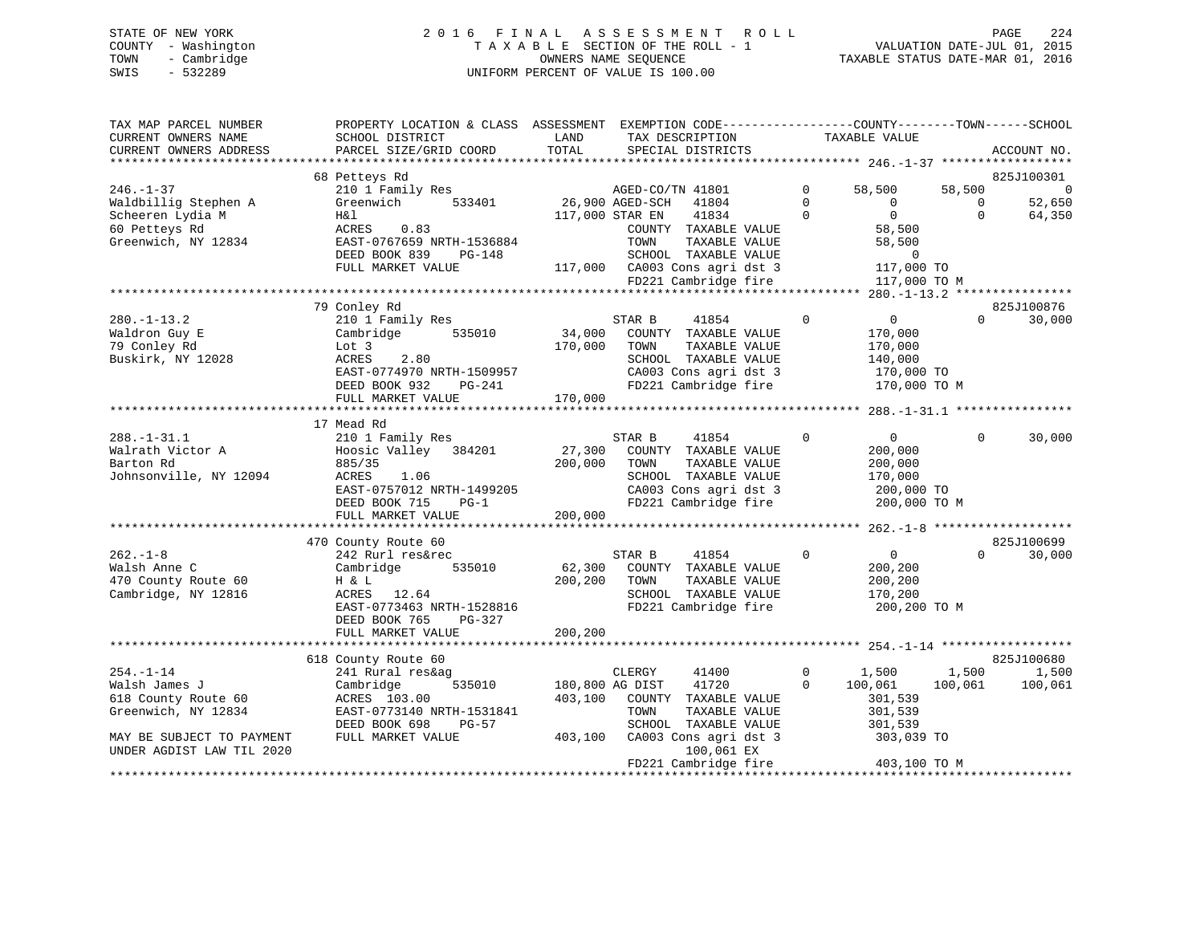# STATE OF NEW YORK 2 0 1 6 F I N A L A S S E S S M E N T R O L L PAGE 224 COUNTY - Washington T A X A B L E SECTION OF THE ROLL - 1 VALUATION DATE-JUL 01, 2015 TOWN - Cambridge OWNERS NAME SEQUENCE TAXABLE STATUS DATE-MAR 01, 2016 SWIS - 532289 UNIFORM PERCENT OF VALUE IS 100.00

| TAX MAP PARCEL NUMBER<br>CURRENT OWNERS NAME<br>CURRENT OWNERS ADDRESS | PROPERTY LOCATION & CLASS ASSESSMENT<br>SCHOOL DISTRICT<br>PARCEL SIZE/GRID COORD | LAND<br>TOTAL | EXEMPTION CODE-----------------COUNTY-------TOWN------SCHOOL<br>TAX DESCRIPTION<br>SPECIAL DISTRICTS |                         | TAXABLE VALUE                           |                    | ACCOUNT NO.      |
|------------------------------------------------------------------------|-----------------------------------------------------------------------------------|---------------|------------------------------------------------------------------------------------------------------|-------------------------|-----------------------------------------|--------------------|------------------|
|                                                                        |                                                                                   |               |                                                                                                      |                         |                                         |                    |                  |
|                                                                        | 68 Petteys Rd                                                                     |               |                                                                                                      |                         |                                         |                    | 825J100301       |
| $246. - 1 - 37$                                                        | 210 1 Family Res<br>533401                                                        |               | AGED-CO/TN 41801                                                                                     | $\mathbf 0$<br>$\Omega$ | 58,500<br>$\Omega$                      | 58,500<br>$\Omega$ | $\overline{0}$   |
| Waldbillig Stephen A<br>Scheeren Lydia M                               | Greenwich<br>H&l                                                                  |               | 26,900 AGED-SCH<br>41804<br>41834<br>117,000 STAR EN                                                 | $\Omega$                | $\overline{0}$                          | $\Omega$           | 52,650<br>64,350 |
| 60 Petteys Rd                                                          | ACRES<br>0.83                                                                     |               | COUNTY TAXABLE VALUE                                                                                 |                         | 58,500                                  |                    |                  |
| Greenwich, NY 12834                                                    | EAST-0767659 NRTH-1536884                                                         |               | TOWN<br>TAXABLE VALUE                                                                                |                         | 58,500                                  |                    |                  |
|                                                                        | DEED BOOK 839<br>PG-148                                                           |               | SCHOOL TAXABLE VALUE                                                                                 |                         | $\Omega$                                |                    |                  |
|                                                                        | FULL MARKET VALUE                                                                 |               | 117,000 CA003 Cons agri dst 3                                                                        |                         | 117,000 TO                              |                    |                  |
|                                                                        |                                                                                   |               | FD221 Cambridge fire                                                                                 |                         | 117,000 TO M                            |                    |                  |
|                                                                        | ****************************                                                      |               |                                                                                                      |                         | **** 280.-1-13.2 ****                   |                    |                  |
|                                                                        | 79 Conley Rd                                                                      |               |                                                                                                      |                         |                                         |                    | 825J100876       |
| $280. - 1 - 13.2$                                                      | 210 1 Family Res                                                                  |               | STAR B<br>41854                                                                                      | $\mathbf{0}$            | $\overline{0}$                          | $\Omega$           | 30,000           |
| Waldron Guy E                                                          | Cambridge<br>535010                                                               | 34,000        | COUNTY TAXABLE VALUE                                                                                 |                         | 170,000                                 |                    |                  |
| 79 Conley Rd                                                           | Lot 3                                                                             | 170,000       | TAXABLE VALUE<br>TOWN                                                                                |                         | 170,000                                 |                    |                  |
| Buskirk, NY 12028                                                      | ACRES<br>2.80                                                                     |               | SCHOOL TAXABLE VALUE                                                                                 |                         | 140,000                                 |                    |                  |
|                                                                        | EAST-0774970 NRTH-1509957                                                         |               | CA003 Cons agri dst 3                                                                                |                         | 170,000 TO                              |                    |                  |
|                                                                        | DEED BOOK 932<br>$PG-241$                                                         |               | FD221 Cambridge fire                                                                                 |                         | 170,000 TO M                            |                    |                  |
|                                                                        | FULL MARKET VALUE                                                                 | 170,000       |                                                                                                      |                         |                                         |                    |                  |
|                                                                        | 17 Mead Rd                                                                        |               |                                                                                                      |                         |                                         |                    |                  |
| $288. - 1 - 31.1$                                                      | 210 1 Family Res                                                                  |               | STAR B<br>41854                                                                                      | 0                       | $\overline{0}$                          | $\Omega$           | 30,000           |
| Walrath Victor A                                                       | Hoosic Valley 384201                                                              | 27,300        | COUNTY TAXABLE VALUE                                                                                 |                         | 200,000                                 |                    |                  |
| Barton Rd                                                              | 885/35                                                                            | 200,000       | TOWN<br>TAXABLE VALUE                                                                                |                         | 200,000                                 |                    |                  |
| Johnsonville, NY 12094                                                 | ACRES<br>1.06                                                                     |               | SCHOOL TAXABLE VALUE                                                                                 |                         | 170,000                                 |                    |                  |
|                                                                        | EAST-0757012 NRTH-1499205                                                         |               | CA003 Cons agri dst 3                                                                                |                         | 200,000 TO                              |                    |                  |
|                                                                        | DEED BOOK 715<br>$PG-1$                                                           |               | FD221 Cambridge fire                                                                                 |                         | 200,000 TO M                            |                    |                  |
|                                                                        | FULL MARKET VALUE                                                                 | 200,000       |                                                                                                      |                         |                                         |                    |                  |
|                                                                        |                                                                                   |               |                                                                                                      |                         | *********** 262.-1-8                    |                    |                  |
|                                                                        | 470 County Route 60                                                               |               |                                                                                                      |                         |                                         |                    | 825J100699       |
| $262 - 1 - 8$                                                          | 242 Rurl res&rec                                                                  |               | 41854<br>STAR B                                                                                      | $\Omega$                | $\mathbf{0}$                            | $\Omega$           | 30,000           |
| Walsh Anne C                                                           | 535010<br>Cambridge                                                               | 62,300        | COUNTY TAXABLE VALUE                                                                                 |                         | 200,200                                 |                    |                  |
| 470 County Route 60<br>Cambridge, NY 12816                             | H & L<br>ACRES<br>12.64                                                           | 200,200       | TOWN<br>TAXABLE VALUE<br>SCHOOL TAXABLE VALUE                                                        |                         | 200,200<br>170,200                      |                    |                  |
|                                                                        | EAST-0773463 NRTH-1528816                                                         |               | FD221 Cambridge fire                                                                                 |                         | 200,200 TO M                            |                    |                  |
|                                                                        | DEED BOOK 765<br>PG-327                                                           |               |                                                                                                      |                         |                                         |                    |                  |
|                                                                        | FULL MARKET VALUE                                                                 | 200,200       |                                                                                                      |                         |                                         |                    |                  |
|                                                                        |                                                                                   |               |                                                                                                      |                         | ********* 254 -1-14 ******************* |                    |                  |
|                                                                        | 618 County Route 60                                                               |               |                                                                                                      |                         |                                         |                    | 825J100680       |
| $254. - 1 - 14$                                                        | 241 Rural res&ag                                                                  |               | CLERGY<br>41400                                                                                      | $\mathbf{0}$            | 1,500                                   | 1,500              | 1,500            |
| Walsh James J                                                          | Cambridge<br>535010                                                               |               | 180,800 AG DIST<br>41720                                                                             | $\Omega$                | 100,061                                 | 100,061            | 100,061          |
| 618 County Route 60                                                    | ACRES 103.00                                                                      | 403,100       | COUNTY TAXABLE VALUE                                                                                 |                         | 301,539                                 |                    |                  |
| Greenwich, NY 12834                                                    | EAST-0773140 NRTH-1531841                                                         |               | TOWN<br>TAXABLE VALUE                                                                                |                         | 301,539                                 |                    |                  |
|                                                                        | DEED BOOK 698<br>$PG-57$                                                          |               | SCHOOL TAXABLE VALUE                                                                                 |                         | 301,539                                 |                    |                  |
| MAY BE SUBJECT TO PAYMENT                                              | FULL MARKET VALUE                                                                 | 403,100       | CA003 Cons agri dst 3                                                                                |                         | 303,039 TO                              |                    |                  |
| UNDER AGDIST LAW TIL 2020                                              |                                                                                   |               | 100,061 EX<br>FD221 Cambridge fire                                                                   |                         | 403,100 TO M                            |                    |                  |
|                                                                        |                                                                                   |               |                                                                                                      |                         |                                         |                    |                  |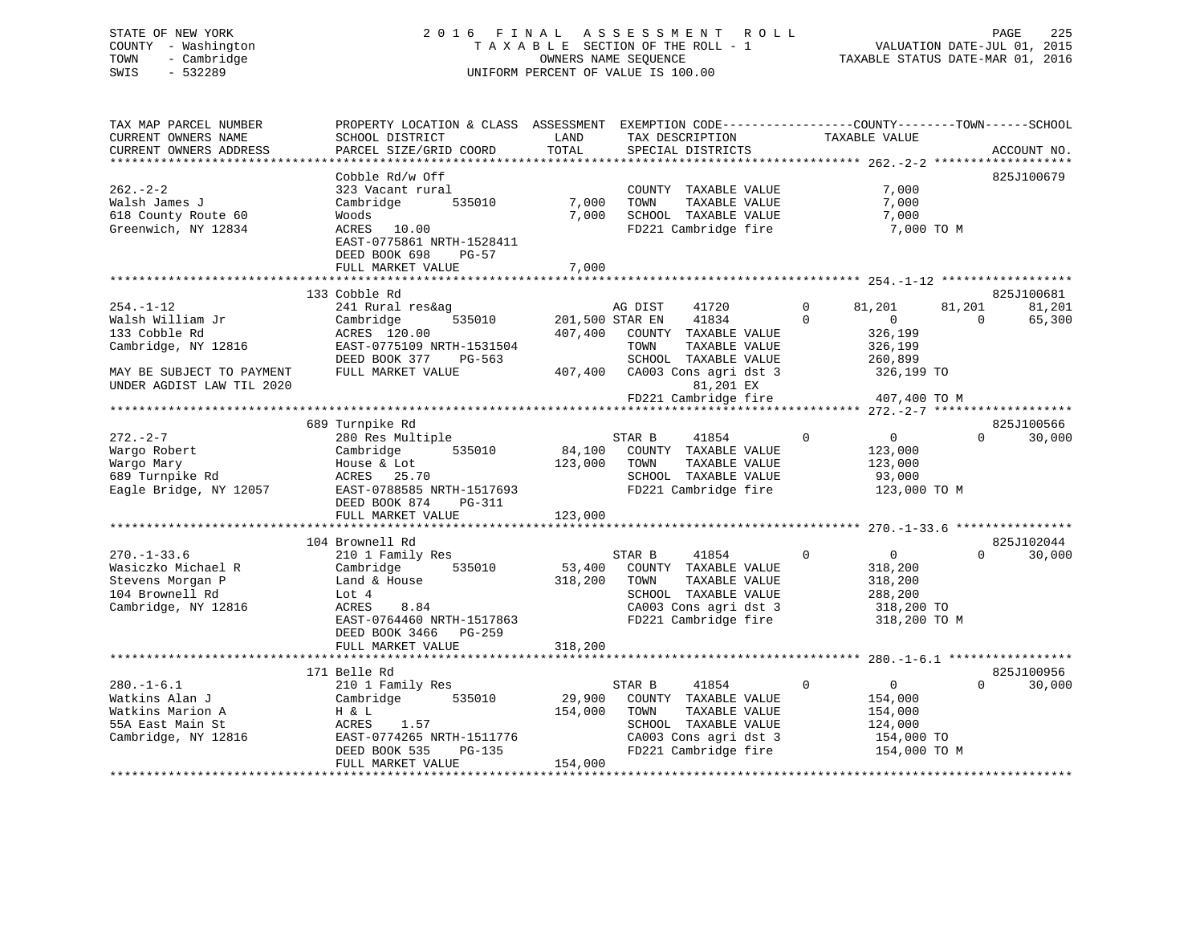# STATE OF NEW YORK 2 0 1 6 F I N A L A S S E S S M E N T R O L L PAGE 225 COUNTY - Washington T A X A B L E SECTION OF THE ROLL - 1 VALUATION DATE-JUL 01, 2015 TOWN - Cambridge OWNERS NAME SEQUENCE TAXABLE STATUS DATE-MAR 01, 2016 SWIS - 532289 UNIFORM PERCENT OF VALUE IS 100.00

| TAX MAP PARCEL NUMBER<br>CURRENT OWNERS NAME                                                          | PROPERTY LOCATION & CLASS ASSESSMENT<br>SCHOOL DISTRICT                                                                                               | LAND                         | TAX DESCRIPTION                                                                                                                           | TAXABLE VALUE                                                                         | EXEMPTION CODE-----------------COUNTY-------TOWN------SCHOOL   |
|-------------------------------------------------------------------------------------------------------|-------------------------------------------------------------------------------------------------------------------------------------------------------|------------------------------|-------------------------------------------------------------------------------------------------------------------------------------------|---------------------------------------------------------------------------------------|----------------------------------------------------------------|
| CURRENT OWNERS ADDRESS<br>**************************                                                  | PARCEL SIZE/GRID COORD                                                                                                                                | TOTAL                        | SPECIAL DISTRICTS                                                                                                                         |                                                                                       | ACCOUNT NO.                                                    |
|                                                                                                       |                                                                                                                                                       |                              |                                                                                                                                           |                                                                                       |                                                                |
| $262 - 2 - 2$<br>Walsh James J<br>618 County Route 60<br>Greenwich, NY 12834                          | Cobble Rd/w Off<br>323 Vacant rural<br>Cambridge<br>535010<br>Woods<br>ACRES 10.00<br>EAST-0775861 NRTH-1528411<br>DEED BOOK 698<br><b>PG-57</b>      | 7,000<br>7,000               | COUNTY TAXABLE VALUE<br>TOWN<br>TAXABLE VALUE<br>SCHOOL TAXABLE VALUE<br>FD221 Cambridge fire                                             | 7,000<br>7,000<br>7,000                                                               | 825J100679<br>7,000 TO M                                       |
|                                                                                                       | FULL MARKET VALUE                                                                                                                                     | 7,000                        |                                                                                                                                           |                                                                                       |                                                                |
|                                                                                                       | *************************                                                                                                                             |                              |                                                                                                                                           |                                                                                       |                                                                |
| $254. - 1 - 12$<br>Walsh William Jr<br>133 Cobble Rd<br>Cambridge, NY 12816                           | 133 Cobble Rd<br>241 Rural res&ag<br>535010<br>Cambridge<br>ACRES 120.00<br>EAST-0775109 NRTH-1531504<br>DEED BOOK 377<br>PG-563                      | 407,400                      | AG DIST<br>41720<br>201,500 STAR EN<br>41834<br>COUNTY TAXABLE VALUE<br>TOWN<br>TAXABLE VALUE<br>SCHOOL TAXABLE VALUE                     | $\mathbf{0}$<br>81,201<br>$\Omega$<br>$\overline{0}$<br>326,199<br>326,199<br>260,899 | 825J100681<br>81,201<br>81,201<br>$\Omega$<br>65,300           |
| MAY BE SUBJECT TO PAYMENT<br>UNDER AGDIST LAW TIL 2020                                                | FULL MARKET VALUE                                                                                                                                     | 407,400                      | CA003 Cons agri dst 3<br>81,201 EX                                                                                                        |                                                                                       | 326,199 TO                                                     |
|                                                                                                       |                                                                                                                                                       |                              | FD221 Cambridge fire                                                                                                                      |                                                                                       | 407,400 TO M                                                   |
|                                                                                                       | 689 Turnpike Rd                                                                                                                                       |                              |                                                                                                                                           |                                                                                       | 825J100566                                                     |
| $272. - 2 - 7$<br>Wargo Robert<br>Wargo Mary<br>689 Turnpike Rd<br>Eagle Bridge, NY 12057             | 280 Res Multiple<br>Cambridge<br>535010<br>House & Lot<br>ACRES<br>25.70<br>EAST-0788585 NRTH-1517693<br>DEED BOOK 874<br>PG-311<br>FULL MARKET VALUE | 84,100<br>123,000<br>123,000 | STAR B<br>41854<br>COUNTY TAXABLE VALUE<br>TOWN<br>TAXABLE VALUE<br>SCHOOL TAXABLE VALUE<br>FD221 Cambridge fire                          | $\overline{0}$<br>0<br>123,000<br>123,000<br>93,000                                   | $\mathbf 0$<br>30,000<br>123,000 TO M                          |
|                                                                                                       |                                                                                                                                                       |                              |                                                                                                                                           |                                                                                       |                                                                |
| $270. - 1 - 33.6$<br>Wasiczko Michael R<br>Stevens Morgan P<br>104 Brownell Rd<br>Cambridge, NY 12816 | 104 Brownell Rd<br>210 1 Family Res<br>535010<br>Cambridge<br>Land & House<br>Lot 4<br>8.84<br>ACRES<br>EAST-0764460 NRTH-1517863                     | 53,400<br>318,200            | STAR B<br>41854<br>COUNTY TAXABLE VALUE<br>TOWN<br>TAXABLE VALUE<br>SCHOOL TAXABLE VALUE<br>CA003 Cons agri dst 3<br>FD221 Cambridge fire | $\Omega$<br>0<br>318,200<br>318,200<br>288,200                                        | 825J102044<br>$\Omega$<br>30,000<br>318,200 TO<br>318,200 TO M |
|                                                                                                       | DEED BOOK 3466<br>PG-259<br>FULL MARKET VALUE<br>***********************                                                                              | 318,200<br>**********        |                                                                                                                                           |                                                                                       | ********************* 280.-1-6.1 ******************            |
|                                                                                                       | 171 Belle Rd                                                                                                                                          |                              |                                                                                                                                           |                                                                                       | 825J100956                                                     |
| $280. - 1 - 6.1$<br>Watkins Alan J<br>Watkins Marion A<br>55A East Main St<br>Cambridge, NY 12816     | 210 1 Family Res<br>Cambridge<br>535010<br>H & L<br>1.57<br>ACRES<br>EAST-0774265 NRTH-1511776<br>DEED BOOK 535<br>PG-135<br>FULL MARKET VALUE        | 29,900<br>154,000<br>154,000 | STAR B<br>41854<br>COUNTY TAXABLE VALUE<br>TOWN<br>TAXABLE VALUE<br>SCHOOL TAXABLE VALUE<br>CA003 Cons agri dst 3<br>FD221 Cambridge fire | $\overline{0}$<br>$\overline{0}$<br>154,000<br>154,000<br>124,000                     | 0<br>30,000<br>154,000 TO<br>154,000 TO M                      |
|                                                                                                       |                                                                                                                                                       |                              |                                                                                                                                           |                                                                                       |                                                                |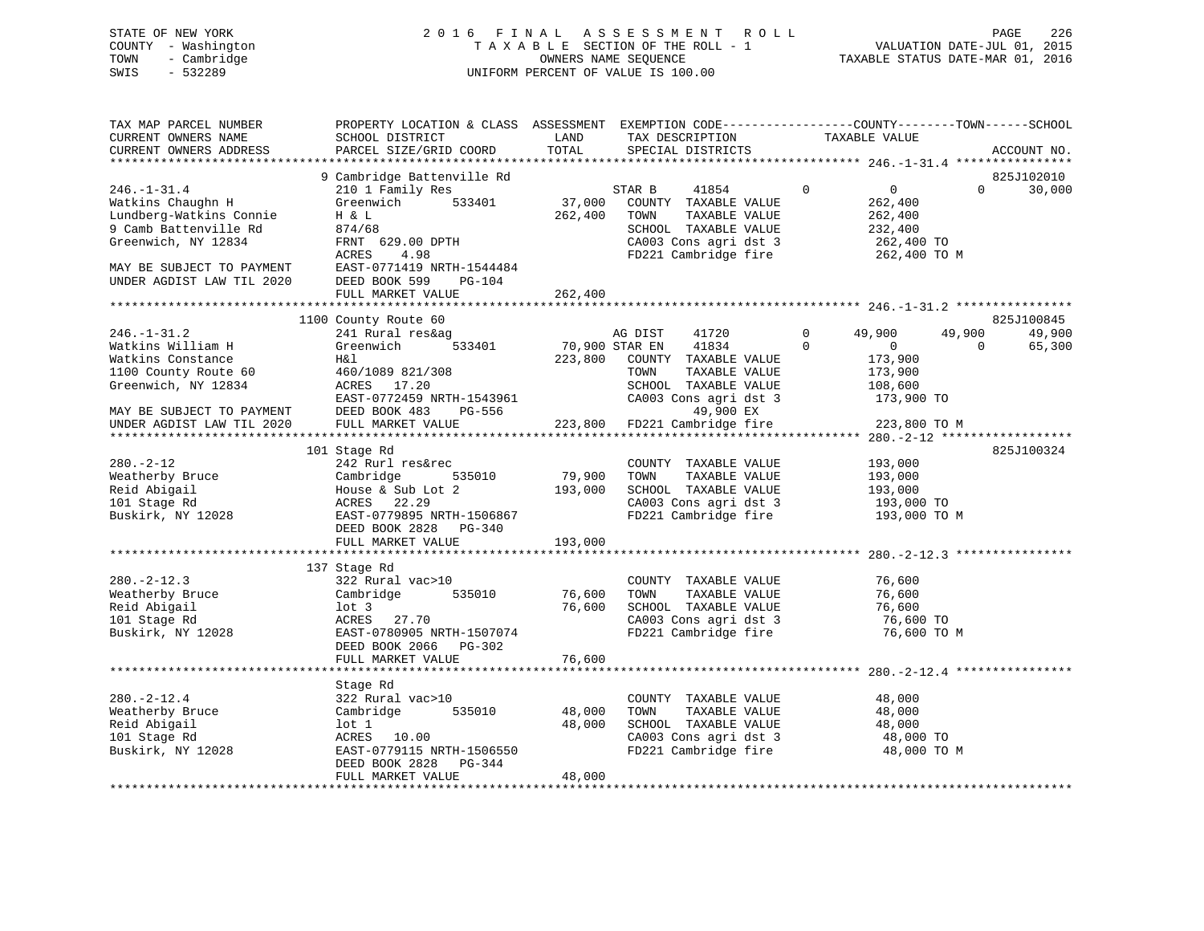# STATE OF NEW YORK 2 0 1 6 F I N A L A S S E S S M E N T R O L L PAGE 226 COUNTY - Washington T A X A B L E SECTION OF THE ROLL - 1 VALUATION DATE-JUL 01, 2015 TOWN - Cambridge OWNERS NAME SEQUENCE TAXABLE STATUS DATE-MAR 01, 2016 SWIS - 532289 UNIFORM PERCENT OF VALUE IS 100.00

| TAX MAP PARCEL NUMBER<br>CURRENT OWNERS NAME<br>CURRENT OWNERS ADDRESS                                                                                                      | PROPERTY LOCATION & CLASS ASSESSMENT<br>SCHOOL DISTRICT<br>PARCEL SIZE/GRID COORD                                                                                                                                 | LAND<br>TOTAL                | EXEMPTION CODE-----------------COUNTY-------TOWN------SCHOOL<br>TAX DESCRIPTION<br>SPECIAL DISTRICTS                                      | TAXABLE VALUE                                                                                      |                    | ACCOUNT NO.                    |
|-----------------------------------------------------------------------------------------------------------------------------------------------------------------------------|-------------------------------------------------------------------------------------------------------------------------------------------------------------------------------------------------------------------|------------------------------|-------------------------------------------------------------------------------------------------------------------------------------------|----------------------------------------------------------------------------------------------------|--------------------|--------------------------------|
| **************************                                                                                                                                                  |                                                                                                                                                                                                                   |                              |                                                                                                                                           |                                                                                                    |                    |                                |
| $246. - 1 - 31.4$<br>Watkins Chaughn H<br>Lundberg-Watkins Connie<br>9 Camb Battenville Rd<br>Greenwich, NY 12834<br>MAY BE SUBJECT TO PAYMENT<br>UNDER AGDIST LAW TIL 2020 | 9 Cambridge Battenville Rd<br>210 1 Family Res<br>Greenwich<br>533401<br>H & L<br>874/68<br>FRNT 629.00 DPTH<br>4.98<br>ACRES<br>EAST-0771419 NRTH-1544484<br>DEED BOOK 599<br><b>PG-104</b><br>FULL MARKET VALUE | 37,000<br>262,400<br>262,400 | STAR B<br>41854<br>COUNTY TAXABLE VALUE<br>TOWN<br>TAXABLE VALUE<br>SCHOOL TAXABLE VALUE<br>CA003 Cons agri dst 3<br>FD221 Cambridge fire | $\overline{0}$<br>$\mathbf 0$<br>262,400<br>262,400<br>232,400<br>262,400 TO<br>262,400 TO M       | $\Omega$           | 825J102010<br>30,000           |
|                                                                                                                                                                             |                                                                                                                                                                                                                   | *************                |                                                                                                                                           |                                                                                                    |                    |                                |
| $246. - 1 - 31.2$<br>Watkins William H<br>Watkins Constance<br>1100 County Route 60<br>Greenwich, NY 12834<br>MAY BE SUBJECT TO PAYMENT                                     | 1100 County Route 60<br>241 Rural res&ag<br>Greenwich<br>533401<br>H&l<br>460/1089 821/308<br>ACRES<br>17.20<br>EAST-0772459 NRTH-1543961<br>DEED BOOK 483<br>PG-556                                              | 70,900 STAR EN<br>223,800    | 41720<br>AG DIST<br>41834<br>COUNTY TAXABLE VALUE<br>TOWN<br>TAXABLE VALUE<br>SCHOOL TAXABLE VALUE<br>CA003 Cons agri dst 3<br>49,900 EX  | $\mathbf 0$<br>49,900<br>$\Omega$<br>$\overline{0}$<br>173,900<br>173,900<br>108,600<br>173,900 TO | 49,900<br>$\Omega$ | 825J100845<br>49,900<br>65,300 |
| UNDER AGDIST LAW TIL 2020                                                                                                                                                   | FULL MARKET VALUE                                                                                                                                                                                                 | 223,800                      | FD221 Cambridge fire                                                                                                                      | 223,800 TO M                                                                                       |                    |                                |
| $280. - 2 - 12$<br>Weatherby Bruce<br>Reid Abigail<br>101 Stage Rd<br>Buskirk, NY 12028                                                                                     | 101 Stage Rd<br>242 Rurl res&rec<br>535010<br>Cambridge<br>House & Sub Lot 2<br>22.29<br>ACRES<br>EAST-0779895 NRTH-1506867<br>DEED BOOK 2828 PG-340<br>FULL MARKET VALUE                                         | 79,900<br>193,000<br>193,000 | COUNTY TAXABLE VALUE<br>TOWN<br>TAXABLE VALUE<br>SCHOOL TAXABLE VALUE<br>CA003 Cons agri dst 3<br>FD221 Cambridge fire                    | 193,000<br>193,000<br>193,000<br>193,000 TO<br>193,000 TO M                                        |                    | 825J100324                     |
|                                                                                                                                                                             | ***********************                                                                                                                                                                                           |                              |                                                                                                                                           |                                                                                                    |                    |                                |
| $280. -2 - 12.3$<br>Weatherby Bruce<br>Reid Abigail<br>101 Stage Rd<br>Buskirk, NY 12028                                                                                    | 137 Stage Rd<br>322 Rural vac>10<br>Cambridge<br>535010<br>$1$ ot $3$<br>ACRES<br>27.70<br>EAST-0780905 NRTH-1507074<br>DEED BOOK 2066<br>PG-302<br>FULL MARKET VALUE                                             | 76,600<br>76,600<br>76,600   | COUNTY TAXABLE VALUE<br>TOWN<br>TAXABLE VALUE<br>SCHOOL TAXABLE VALUE<br>CA003 Cons agri dst 3<br>FD221 Cambridge fire                    | 76,600<br>76,600<br>76,600<br>76,600 TO<br>76,600 TO M                                             |                    |                                |
|                                                                                                                                                                             |                                                                                                                                                                                                                   | * * * * * * * * * * * * *    |                                                                                                                                           |                                                                                                    |                    |                                |
| $280. - 2 - 12.4$<br>Weatherby Bruce<br>Reid Abigail<br>101 Stage Rd<br>Buskirk, NY 12028                                                                                   | Stage Rd<br>322 Rural vac>10<br>535010<br>Cambridge<br>lot 1<br>ACRES 10.00<br>EAST-0779115 NRTH-1506550<br>DEED BOOK 2828<br>PG-344<br>FULL MARKET VALUE                                                         | 48,000<br>48,000<br>48,000   | COUNTY TAXABLE VALUE<br>TAXABLE VALUE<br>TOWN<br>SCHOOL TAXABLE VALUE<br>CA003 Cons agri dst 3<br>FD221 Cambridge fire                    | 48,000<br>48,000<br>48,000<br>48,000 TO<br>48,000 TO M                                             |                    |                                |
|                                                                                                                                                                             |                                                                                                                                                                                                                   |                              |                                                                                                                                           |                                                                                                    |                    |                                |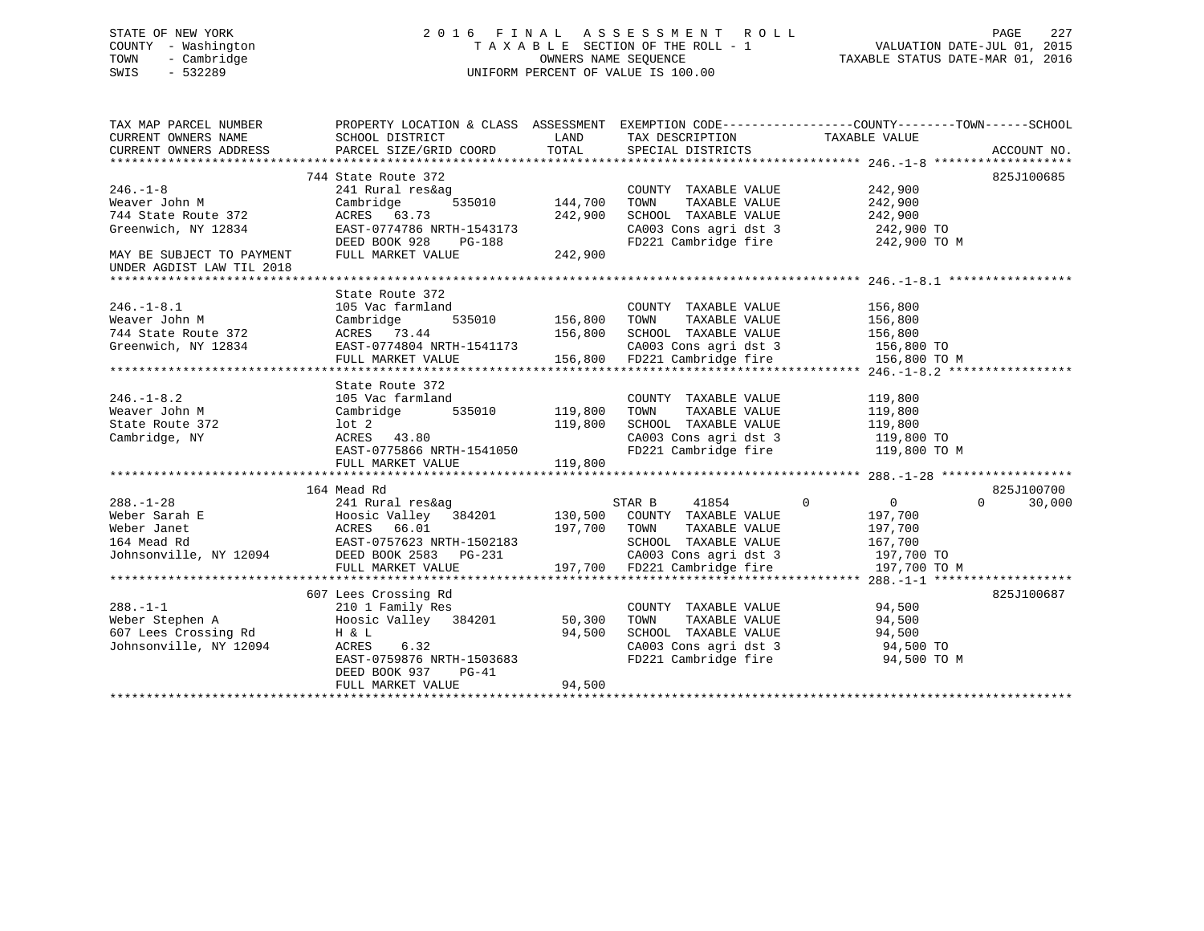# STATE OF NEW YORK 2 0 1 6 F I N A L A S S E S S M E N T R O L L PAGE 227 COUNTY - Washington T A X A B L E SECTION OF THE ROLL - 1 VALUATION DATE-JUL 01, 2015 TOWN - Cambridge OWNERS NAME SEQUENCE TAXABLE STATUS DATE-MAR 01, 2016 SWIS - 532289 UNIFORM PERCENT OF VALUE IS 100.00

| TAX MAP PARCEL NUMBER                         | PROPERTY LOCATION & CLASS ASSESSMENT EXEMPTION CODE----------------COUNTY-------TOWN------SCHOOL                |         |                                                                                                                              |                                  |                             |
|-----------------------------------------------|-----------------------------------------------------------------------------------------------------------------|---------|------------------------------------------------------------------------------------------------------------------------------|----------------------------------|-----------------------------|
| CURRENT OWNERS NAME                           | SCHOOL DISTRICT                                                                                                 |         | LAND TAX DESCRIPTION                                                                                                         | TAXABLE VALUE                    |                             |
| CURRENT OWNERS ADDRESS                        | $\verb!PARCEL SIZE/GRID COORD \hspace*{0.5cm} TOTAL \hspace*{0.5cm} \verb!SPECIAL DISTRICTS ! \hspace*{-0.5cm}$ |         |                                                                                                                              |                                  | ACCOUNT NO.                 |
|                                               |                                                                                                                 |         |                                                                                                                              |                                  |                             |
|                                               | 744 State Route 372                                                                                             |         |                                                                                                                              |                                  | 825J100685                  |
| $246. - 1 - 8$                                | 241 Rural res&ag                                                                                                |         | COUNTY TAXABLE VALUE                                                                                                         | 242,900                          |                             |
| Weaver John M                                 | 535010 144,700<br>Cambridge                                                                                     |         | TAXABLE VALUE<br>TOWN                                                                                                        | 242,900                          |                             |
| 744 State Route 372                           | ACRES 63.73                                                                                                     | 242,900 | SCHOOL TAXABLE VALUE                                                                                                         | 242,900                          |                             |
| Greenwich, NY 12834                           | EAST-0774786 NRTH-1543173                                                                                       |         | CA003 Cons agri dst 3 242,900 TO                                                                                             |                                  |                             |
|                                               | RTH-1543173<br>PG-188<br>⊾UE 242,900<br>DEED BOOK 928                                                           |         | FD221 Cambridge fire 242,900 TO M                                                                                            |                                  |                             |
| MAY BE SUBJECT TO PAYMENT                     | FULL MARKET VALUE                                                                                               |         |                                                                                                                              |                                  |                             |
| UNDER AGDIST LAW TIL 2018                     |                                                                                                                 |         |                                                                                                                              |                                  |                             |
|                                               |                                                                                                                 |         |                                                                                                                              |                                  |                             |
|                                               | State Route 372                                                                                                 |         |                                                                                                                              |                                  |                             |
| $246. - 1 - 8.1$                              | 105 Vac farmland                                                                                                |         | 156,800 COUNTY TAXABLE VALUE 156,800<br>535010 156,800 TOWN TAXABLE VALUE 156,800<br>44 156,800 SCHOOL TAXABLE VALUE 156,800 |                                  |                             |
|                                               |                                                                                                                 |         |                                                                                                                              |                                  |                             |
|                                               |                                                                                                                 |         |                                                                                                                              |                                  |                             |
| Greenwich, NY 12834 EAST-0774804 NRTH-1541173 |                                                                                                                 |         | CA003 Cons agri dst 3 156,800 TO                                                                                             |                                  |                             |
|                                               | FULL MARKET VALUE 156,800 FD221 Cambridge fire                                                                  |         |                                                                                                                              | 156,800 TO M                     |                             |
|                                               |                                                                                                                 |         |                                                                                                                              |                                  |                             |
|                                               | State Route 372                                                                                                 |         |                                                                                                                              |                                  |                             |
| 246.-1-8.2<br>Weaver John M                   |                                                                                                                 |         | COUNTY TAXABLE VALUE<br>TAXABLE VALUE                                                                                        | 119,800                          |                             |
|                                               |                                                                                                                 |         | TOWN                                                                                                                         | 119,800                          |                             |
| State Route 372                               | lot 2<br>ACRES 43.80                                                                                            | 119,800 | SCHOOL TAXABLE VALUE 119,800                                                                                                 |                                  |                             |
| Cambridge, NY                                 |                                                                                                                 |         | CA003 Cons agri dst 3<br>FD221 Cambridge fire                                                                                | 119,800 TO<br>119,800 TO M       |                             |
|                                               | EAST-0775866 NRTH-1541050                                                                                       |         |                                                                                                                              |                                  |                             |
|                                               | FULL MARKET VALUE                                                                                               | 119,800 |                                                                                                                              |                                  |                             |
|                                               | 164 Mead Rd                                                                                                     |         |                                                                                                                              |                                  | 825J100700                  |
| $288. - 1 - 28$                               | 241 Rural res&ag                                                                                                |         | 41854<br>STAR B                                                                                                              | $\overline{0}$<br>$\overline{0}$ | $0 \qquad \qquad$<br>30,000 |
|                                               |                                                                                                                 |         |                                                                                                                              | 197,700                          |                             |
|                                               |                                                                                                                 |         | TAXABLE VALUE                                                                                                                | 197,700                          |                             |
|                                               |                                                                                                                 |         |                                                                                                                              | 167,700                          |                             |
|                                               |                                                                                                                 |         |                                                                                                                              |                                  |                             |
|                                               | FULL MARKET VALUE                                                                                               |         | CA003 Cons agri dst 3 197,700 TO<br>197,700 FD221 Cambridge fire 197,700 TO                                                  | 197,700 TO M                     |                             |
|                                               |                                                                                                                 |         |                                                                                                                              |                                  |                             |
|                                               | 607 Lees Crossing Rd                                                                                            |         |                                                                                                                              |                                  | 825J100687                  |
| $288. - 1 - 1$                                | 210 1 Family Res                                                                                                |         | COUNTY TAXABLE VALUE 94,500                                                                                                  |                                  |                             |
| Weber Stephen A                               | Hoosic Valley 384201 50,300                                                                                     |         | TOWN                                                                                                                         | TAXABLE VALUE 94,500             |                             |
| 607 Lees Crossing Rd                          | H & L                                                                                                           | 94,500  |                                                                                                                              |                                  |                             |
| Johnsonville, NY 12094                        | ACRES<br>6.32                                                                                                   |         | SCHOOL TAXABLE VALUE 94,500<br>CA003 Cons agri dst 3 94,500 TO                                                               |                                  |                             |
|                                               | EAST-0759876 NRTH-1503683                                                                                       |         | FD221 Cambridge fire 94,500 TO M                                                                                             |                                  |                             |
|                                               | DEED BOOK 937 PG-41                                                                                             |         |                                                                                                                              |                                  |                             |
|                                               | FULL MARKET VALUE                                                                                               | 94,500  |                                                                                                                              |                                  |                             |
|                                               |                                                                                                                 |         |                                                                                                                              |                                  |                             |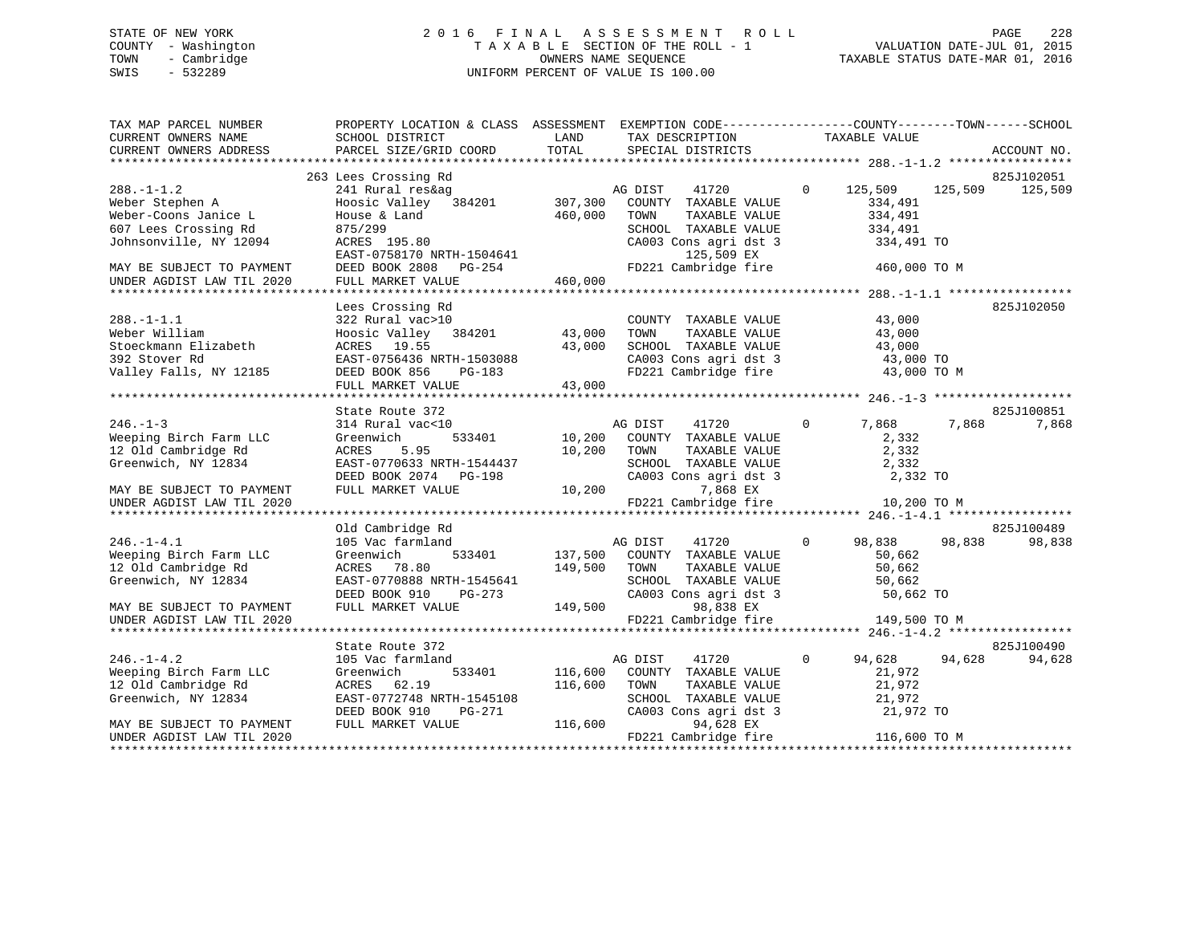# STATE OF NEW YORK 2 0 1 6 F I N A L A S S E S S M E N T R O L L PAGE 228 COUNTY - Washington T A X A B L E SECTION OF THE ROLL - 1 VALUATION DATE-JUL 01, 2015 TOWN - Cambridge OWNERS NAME SEQUENCE TAXABLE STATUS DATE-MAR 01, 2016 SWIS - 532289 UNIFORM PERCENT OF VALUE IS 100.00

| TAX MAP PARCEL NUMBER<br>CURRENT OWNERS NAME<br>CURRENT OWNERS ADDRESS                                                                             | PROPERTY LOCATION & CLASS ASSESSMENT<br>SCHOOL DISTRICT<br>PARCEL SIZE/GRID COORD                                                                        | LAND<br>TOTAL                 | EXEMPTION CODE-----------------COUNTY-------TOWN------SCHOOL<br>TAX DESCRIPTION<br>SPECIAL DISTRICTS                                                    |              | TAXABLE VALUE                                                     |         | ACCOUNT NO.           |
|----------------------------------------------------------------------------------------------------------------------------------------------------|----------------------------------------------------------------------------------------------------------------------------------------------------------|-------------------------------|---------------------------------------------------------------------------------------------------------------------------------------------------------|--------------|-------------------------------------------------------------------|---------|-----------------------|
| $288. - 1 - 1.2$<br>Weber Stephen A<br>Weber-Coons Janice L<br>607 Lees Crossing Rd<br>Johnsonville, NY 12094                                      | 263 Lees Crossing Rd<br>241 Rural res&ag<br>384201<br>Hoosic Valley<br>House & Land<br>875/299<br>ACRES 195.80<br>EAST-0758170 NRTH-1504641              | 307,300<br>460,000            | AG DIST<br>41720<br>COUNTY TAXABLE VALUE<br>TOWN<br>TAXABLE VALUE<br>SCHOOL TAXABLE VALUE<br>CA003 Cons agri dst 3<br>125,509 EX                        | $\Omega$     | 125,509<br>334,491<br>334,491<br>334,491<br>334,491 TO            | 125,509 | 825J102051<br>125,509 |
| MAY BE SUBJECT TO PAYMENT<br>UNDER AGDIST LAW TIL 2020                                                                                             | DEED BOOK 2808 PG-254<br>FULL MARKET VALUE                                                                                                               | 460,000                       | FD221 Cambridge fire                                                                                                                                    |              | 460,000 TO M                                                      |         |                       |
| $288. - 1 - 1.1$<br>Weber William<br>Stoeckmann Elizabeth<br>392 Stover Rd<br>Valley Falls, NY 12185                                               | Lees Crossing Rd<br>322 Rural vac>10<br>Hoosic Valley 384201<br>ACRES 19.55<br>EAST-0756436 NRTH-1503088<br>DEED BOOK 856<br>PG-183<br>FULL MARKET VALUE | 43,000<br>43,000<br>43,000    | COUNTY TAXABLE VALUE<br>TOWN<br>TAXABLE VALUE<br>SCHOOL TAXABLE VALUE<br>CA003 Cons agri dst 3<br>FD221 Cambridge fire                                  |              | 43,000<br>43,000<br>43,000<br>43,000 TO<br>43,000 TO M            |         | 825J102050            |
|                                                                                                                                                    | State Route 372                                                                                                                                          |                               |                                                                                                                                                         |              |                                                                   |         | 825J100851            |
| $246. - 1 - 3$<br>Weeping Birch Farm LLC<br>12 Old Cambridge Rd<br>Greenwich, NY 12834<br>MAY BE SUBJECT TO PAYMENT                                | 314 Rural vac<10<br>533401<br>Greenwich<br>ACRES<br>5.95<br>EAST-0770633 NRTH-1544437<br>DEED BOOK 2074 PG-198<br>FULL MARKET VALUE                      | 10,200<br>10,200<br>10,200    | 41720<br>AG DIST<br>COUNTY TAXABLE VALUE<br>TOWN<br>TAXABLE VALUE<br>SCHOOL TAXABLE VALUE<br>CA003 Cons agri dst 3<br>7,868 EX                          | $\Omega$     | 7,868<br>2,332<br>2,332<br>2,332<br>2,332 TO                      | 7,868   | 7,868                 |
| UNDER AGDIST LAW TIL 2020                                                                                                                          |                                                                                                                                                          |                               | FD221 Cambridge fire                                                                                                                                    |              | 10,200 TO M                                                       |         |                       |
|                                                                                                                                                    | Old Cambridge Rd                                                                                                                                         |                               |                                                                                                                                                         |              |                                                                   |         | 825J100489            |
| $246. - 1 - 4.1$<br>Weeping Birch Farm LLC<br>12 Old Cambridge Rd<br>Greenwich, NY 12834<br>MAY BE SUBJECT TO PAYMENT                              | 105 Vac farmland<br>Greenwich<br>533401<br>78.80<br>ACRES<br>EAST-0770888 NRTH-1545641<br>DEED BOOK 910<br>PG-273<br>FULL MARKET VALUE                   | 137,500<br>149,500<br>149,500 | 41720<br>AG DIST<br>COUNTY TAXABLE VALUE<br>TAXABLE VALUE<br>TOWN<br>SCHOOL TAXABLE VALUE<br>CA003 Cons agri dst 3<br>98,838 EX                         | $\Omega$     | 98,838<br>50,662<br>50,662<br>50,662<br>50,662 TO                 | 98,838  | 98,838                |
| UNDER AGDIST LAW TIL 2020                                                                                                                          |                                                                                                                                                          |                               | FD221 Cambridge fire                                                                                                                                    |              | 149,500 TO M                                                      |         |                       |
|                                                                                                                                                    | State Route 372                                                                                                                                          |                               |                                                                                                                                                         |              |                                                                   |         | 825J100490            |
| $246. - 1 - 4.2$<br>Weeping Birch Farm LLC<br>12 Old Cambridge Rd<br>Greenwich, NY 12834<br>MAY BE SUBJECT TO PAYMENT<br>UNDER AGDIST LAW TIL 2020 | 105 Vac farmland<br>533401<br>Greenwich<br>ACRES 62.19<br>EAST-0772748 NRTH-1545108<br>DEED BOOK 910<br>PG-271<br>FULL MARKET VALUE                      | 116,600<br>116,600<br>116,600 | AG DIST<br>41720<br>COUNTY TAXABLE VALUE<br>TOWN<br>TAXABLE VALUE<br>SCHOOL TAXABLE VALUE<br>CA003 Cons agri dst 3<br>94,628 EX<br>FD221 Cambridge fire | $\mathbf{0}$ | 94,628<br>21,972<br>21,972<br>21,972<br>21,972 TO<br>116,600 TO M | 94,628  | 94,628                |
|                                                                                                                                                    |                                                                                                                                                          |                               |                                                                                                                                                         |              |                                                                   |         |                       |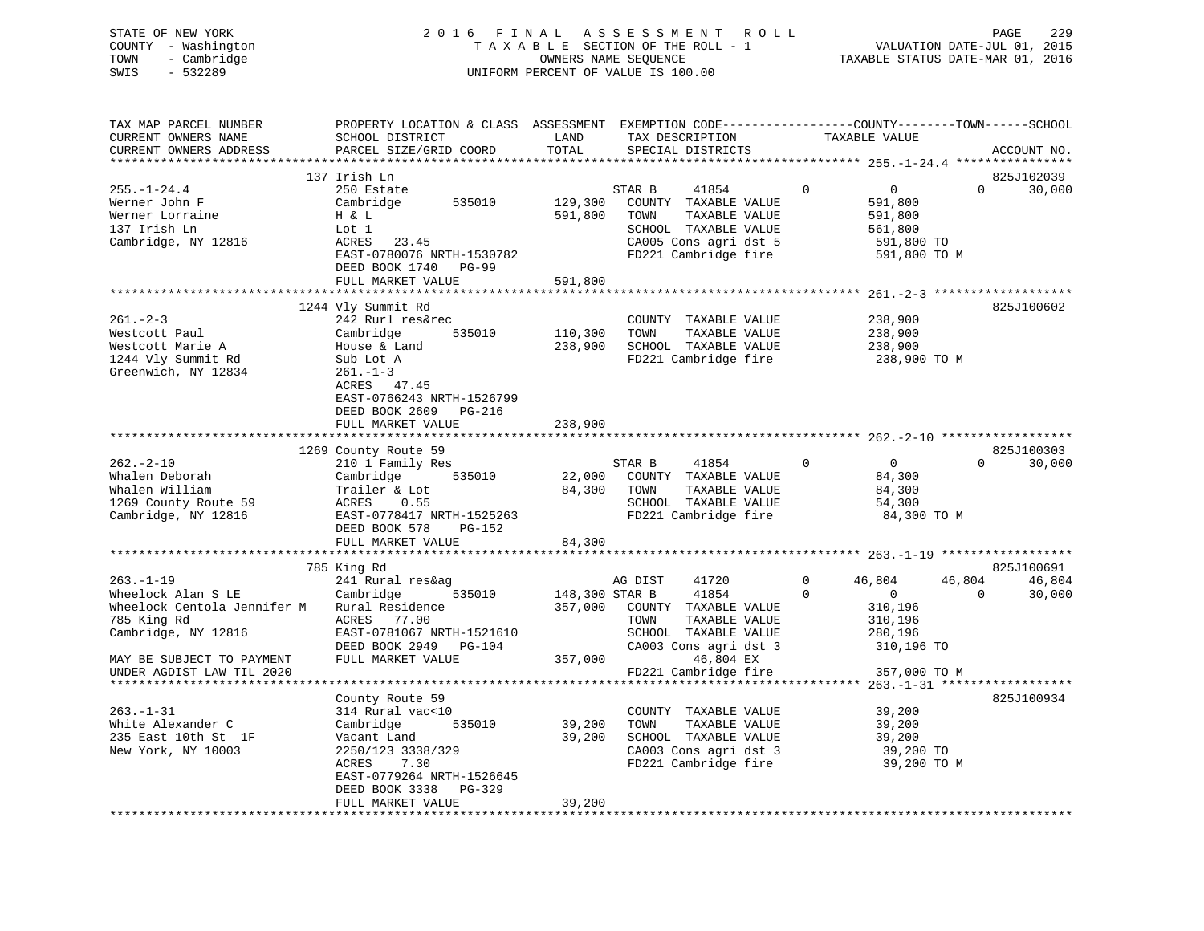| STATE OF NEW YORK   | 2016 FINAL ASSESSMENT ROLL<br>PAGE                             | -229 |
|---------------------|----------------------------------------------------------------|------|
| COUNTY - Washington | VALUATION DATE-JUL 01, 2015<br>TAXABLE SECTION OF THE ROLL - 1 |      |
| TOWN<br>- Cambridge | TAXABLE STATUS DATE-MAR 01, 2016<br>OWNERS NAME SEOUENCE       |      |
| SWIS<br>$-532289$   | UNIFORM PERCENT OF VALUE IS 100.00                             |      |

| TAX MAP PARCEL NUMBER       | PROPERTY LOCATION & CLASS ASSESSMENT EXEMPTION CODE----------------COUNTY-------TOWN------SCHOOL |                |                              |          |                |          |                    |
|-----------------------------|--------------------------------------------------------------------------------------------------|----------------|------------------------------|----------|----------------|----------|--------------------|
| CURRENT OWNERS NAME         | SCHOOL DISTRICT                                                                                  | LAND           | TAX DESCRIPTION              |          | TAXABLE VALUE  |          |                    |
| CURRENT OWNERS ADDRESS      | PARCEL SIZE/GRID COORD                                                                           | TOTAL          | SPECIAL DISTRICTS            |          |                |          | ACCOUNT NO.        |
|                             |                                                                                                  |                |                              |          |                |          |                    |
|                             | 137 Irish Ln                                                                                     |                |                              |          |                |          | 825J102039         |
| $255. - 1 - 24.4$           | 250 Estate                                                                                       |                | STAR B<br>41854              | $\Omega$ | $\overline{0}$ |          | $\Omega$<br>30,000 |
|                             | 535010                                                                                           |                |                              |          |                |          |                    |
| Werner John F               | Cambridge                                                                                        | 129,300        | COUNTY TAXABLE VALUE         |          | 591,800        |          |                    |
| Werner Lorraine             | H & L                                                                                            | 591,800        | TOWN<br>TAXABLE VALUE        |          | 591,800        |          |                    |
| 137 Irish Ln                | Lot 1                                                                                            |                | SCHOOL TAXABLE VALUE         |          | 561,800        |          |                    |
| Cambridge, NY 12816         | ACRES 23.45                                                                                      |                | CA005 Cons agri dst 5        |          | 591,800 TO     |          |                    |
|                             | EAST-0780076 NRTH-1530782                                                                        |                | FD221 Cambridge fire         |          | 591,800 TO M   |          |                    |
|                             | DEED BOOK 1740 PG-99                                                                             |                |                              |          |                |          |                    |
|                             | FULL MARKET VALUE                                                                                | 591,800        |                              |          |                |          |                    |
|                             |                                                                                                  |                |                              |          |                |          |                    |
|                             | 1244 Vly Summit Rd                                                                               |                |                              |          |                |          | 825J100602         |
| $261. - 2 - 3$              | 242 Rurl res&rec                                                                                 |                | COUNTY TAXABLE VALUE         |          | 238,900        |          |                    |
| Westcott Paul               | 535010<br>Cambridge                                                                              | 110,300        | TOWN<br>TAXABLE VALUE        |          | 238,900        |          |                    |
| Westcott Marie A            | House & Land                                                                                     | 238,900        | SCHOOL TAXABLE VALUE         |          | 238,900        |          |                    |
|                             |                                                                                                  |                |                              |          |                |          |                    |
| 1244 Vly Summit Rd          | Sub Lot A                                                                                        |                | FD221 Cambridge fire         |          | 238,900 TO M   |          |                    |
| Greenwich, NY 12834         | $261. - 1 - 3$                                                                                   |                |                              |          |                |          |                    |
|                             | ACRES 47.45                                                                                      |                |                              |          |                |          |                    |
|                             | EAST-0766243 NRTH-1526799                                                                        |                |                              |          |                |          |                    |
|                             | DEED BOOK 2609 PG-216                                                                            |                |                              |          |                |          |                    |
|                             | FULL MARKET VALUE                                                                                | 238,900        |                              |          |                |          |                    |
|                             |                                                                                                  |                |                              |          |                |          |                    |
|                             | 1269 County Route 59                                                                             |                |                              |          |                |          | 825J100303         |
| $262 - 2 - 10$              | 210 1 Family Res                                                                                 |                | STAR B<br>41854              | $\Omega$ | $\overline{0}$ | $\Omega$ | 30,000             |
| Whalen Deborah              | 535010<br>Cambridge                                                                              |                | 22,000 COUNTY TAXABLE VALUE  |          | 84,300         |          |                    |
| Whalen William              | Trailer & Lot                                                                                    | 84,300 TOWN    | TAXABLE VALUE                |          | 84,300         |          |                    |
|                             | ACRES 0.55                                                                                       |                |                              |          |                |          |                    |
| 1269 County Route 59        |                                                                                                  |                | SCHOOL TAXABLE VALUE         |          | 54,300         |          |                    |
| Cambridge, NY 12816         | EAST-0778417 NRTH-1525263                                                                        |                | FD221 Cambridge fire         |          | 84,300 TO M    |          |                    |
|                             | DEED BOOK 578<br>PG-152                                                                          |                |                              |          |                |          |                    |
|                             | FULL MARKET VALUE                                                                                | 84,300         |                              |          |                |          |                    |
|                             |                                                                                                  |                |                              |          |                |          |                    |
|                             | 785 King Rd                                                                                      |                |                              |          |                |          | 825J100691         |
| $263. -1 - 19$              | 241 Rural res&ag                                                                                 |                | 41720<br>AG DIST             | 0        | 46,804         | 46,804   | 46,804             |
| Wheelock Alan S LE          | Cambridge<br>535010                                                                              | 148,300 STAR B | 41854                        | $\Omega$ | $\overline{0}$ | $\Omega$ | 30,000             |
| Wheelock Centola Jennifer M | Rural Residence                                                                                  |                | 357,000 COUNTY TAXABLE VALUE |          | 310,196        |          |                    |
| 785 King Rd                 | ACRES 77.00                                                                                      |                | TOWN<br>TAXABLE VALUE        |          | 310,196        |          |                    |
| Cambridge, NY 12816         | EAST-0781067 NRTH-1521610                                                                        |                | SCHOOL TAXABLE VALUE         |          | 280,196        |          |                    |
|                             | DEED BOOK 2949 PG-104                                                                            |                | CA003 Cons agri dst 3        |          |                |          |                    |
|                             |                                                                                                  |                |                              |          | 310,196 TO     |          |                    |
| MAY BE SUBJECT TO PAYMENT   | FULL MARKET VALUE                                                                                |                | 357,000<br>46,804 EX         |          |                |          |                    |
| UNDER AGDIST LAW TIL 2020   |                                                                                                  |                | FD221 Cambridge fire         |          | 357,000 TO M   |          |                    |
|                             |                                                                                                  |                |                              |          |                |          |                    |
|                             | County Route 59                                                                                  |                |                              |          |                |          | 825J100934         |
| $263. - 1 - 31$             | 314 Rural vac<10                                                                                 |                | COUNTY TAXABLE VALUE         |          | 39,200         |          |                    |
| White Alexander C           | Cambridge<br>535010                                                                              | 39,200         | TOWN<br>TAXABLE VALUE        |          | 39,200         |          |                    |
| 235 East 10th St 1F         | Vacant Land                                                                                      | 39,200         | SCHOOL TAXABLE VALUE         |          | 39,200         |          |                    |
| New York, NY 10003          | 2250/123 3338/329                                                                                |                | CA003 Cons agri dst 3        |          | 39,200 TO      |          |                    |
|                             | ACRES<br>7.30                                                                                    |                | FD221 Cambridge fire         |          | 39,200 TO M    |          |                    |
|                             | EAST-0779264 NRTH-1526645                                                                        |                |                              |          |                |          |                    |
|                             | DEED BOOK 3338<br>PG-329                                                                         |                |                              |          |                |          |                    |
|                             | FULL MARKET VALUE                                                                                | 39,200         |                              |          |                |          |                    |
|                             |                                                                                                  |                |                              |          |                |          |                    |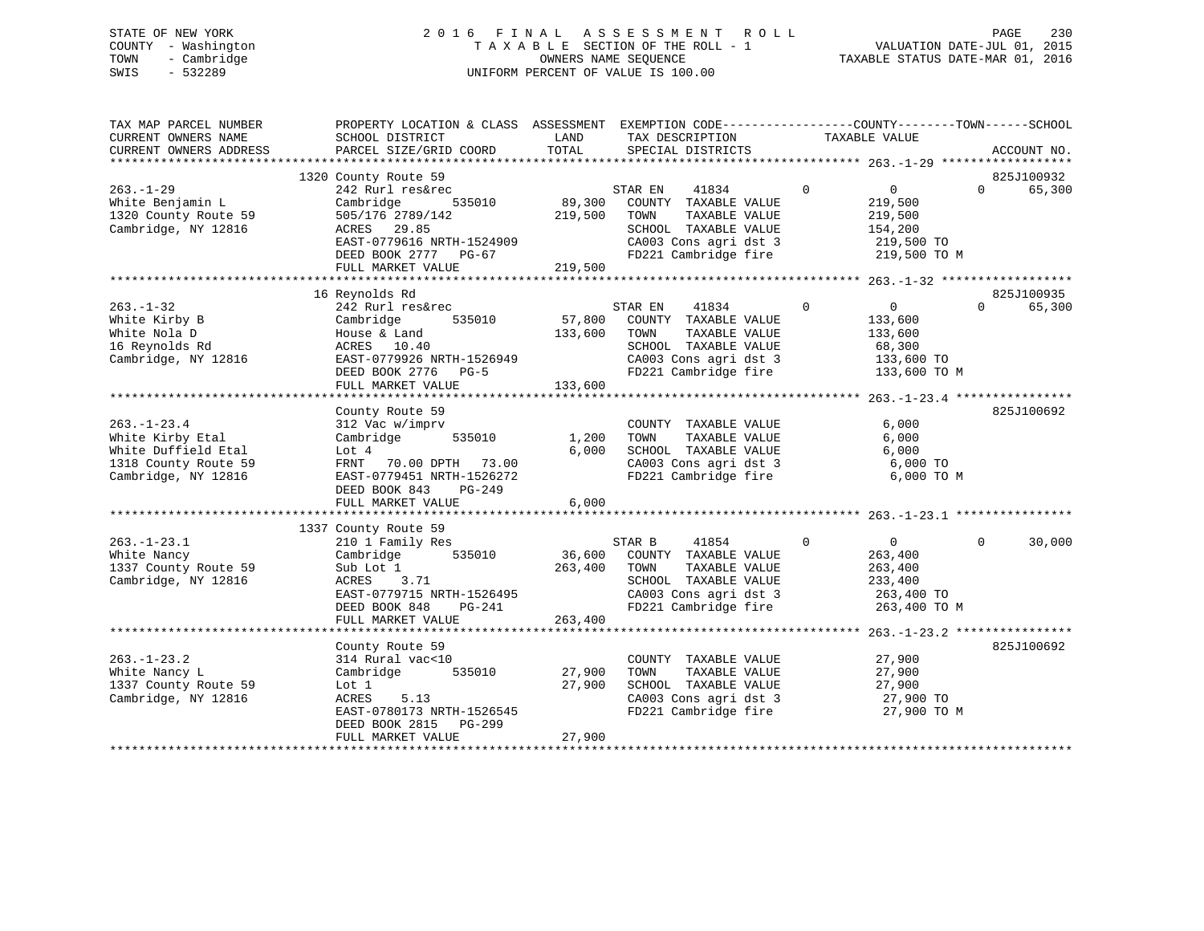# STATE OF NEW YORK 2 0 1 6 F I N A L A S S E S S M E N T R O L L PAGE 230 COUNTY - Washington T A X A B L E SECTION OF THE ROLL - 1 VALUATION DATE-JUL 01, 2015 TOWN - Cambridge OWNERS NAME SEQUENCE TAXABLE STATUS DATE-MAR 01, 2016 SWIS - 532289 UNIFORM PERCENT OF VALUE IS 100.00

| TAX MAP PARCEL NUMBER<br>CURRENT OWNERS NAME<br>CURRENT OWNERS ADDRESS | PROPERTY LOCATION & CLASS ASSESSMENT EXEMPTION CODE----------------COUNTY-------TOWN------SCHOOL<br>SCHOOL DISTRICT<br>PARCEL SIZE/GRID COORD | LAND<br>TOTAL | TAX DESCRIPTION<br>SPECIAL DISTRICTS | TAXABLE VALUE                       | ACCOUNT NO.            |
|------------------------------------------------------------------------|-----------------------------------------------------------------------------------------------------------------------------------------------|---------------|--------------------------------------|-------------------------------------|------------------------|
|                                                                        |                                                                                                                                               |               |                                      |                                     |                        |
|                                                                        | 1320 County Route 59                                                                                                                          |               |                                      |                                     | 825J100932             |
| $263. - 1 - 29$                                                        | 242 Rurl res&rec                                                                                                                              |               | 41834<br>STAR EN                     | $\overline{0}$<br>$\overline{0}$    | 65,300<br>$\Omega$     |
| White Benjamin L                                                       | Cambridge<br>535010                                                                                                                           | 89,300        | COUNTY TAXABLE VALUE                 | 219,500                             |                        |
| 1320 County Route 59                                                   | 505/176 2789/142                                                                                                                              | 219,500       | TOWN<br>TAXABLE VALUE                | 219,500                             |                        |
| Cambridge, NY 12816                                                    | ACRES 29.85                                                                                                                                   |               | SCHOOL TAXABLE VALUE                 | 154,200                             |                        |
|                                                                        | EAST-0779616 NRTH-1524909                                                                                                                     |               | CA003 Cons agri dst 3                | 219,500 TO                          |                        |
|                                                                        | DEED BOOK 2777 PG-67                                                                                                                          |               | FD221 Cambridge fire                 | 219,500 TO M                        |                        |
|                                                                        | FULL MARKET VALUE                                                                                                                             | 219,500       |                                      |                                     |                        |
|                                                                        | 16 Reynolds Rd                                                                                                                                |               |                                      |                                     | 825J100935             |
| $263. - 1 - 32$                                                        | 242 Rurl res&rec                                                                                                                              |               | 41834<br>STAR EN                     | $\overline{0}$<br>$\overline{0}$    | 65,300<br>$\Omega$     |
| White Kirby B                                                          | 535010<br>Cambridge                                                                                                                           |               | 57,800 COUNTY TAXABLE VALUE          | 133,600                             |                        |
| White Nola D                                                           | House & Land                                                                                                                                  | 133,600       | TOWN<br>TAXABLE VALUE                | 133,600                             |                        |
| 16 Reynolds Rd                                                         | ACRES 10.40                                                                                                                                   |               | SCHOOL TAXABLE VALUE                 | 68,300                              |                        |
| Cambridge, NY 12816                                                    | EAST-0779926 NRTH-1526949                                                                                                                     |               | CA003 Cons agri dst 3                | 133,600 TO                          |                        |
|                                                                        |                                                                                                                                               |               | FD221 Cambridge fire                 |                                     |                        |
|                                                                        | DEED BOOK 2776 PG-5<br>FULL MARKET VALUE                                                                                                      | 133,600       |                                      | 133,600 TO M                        |                        |
|                                                                        |                                                                                                                                               |               |                                      |                                     |                        |
|                                                                        | County Route 59                                                                                                                               |               |                                      |                                     | 825J100692             |
| $263. - 1 - 23.4$                                                      | 312 Vac w/imprv                                                                                                                               |               | COUNTY TAXABLE VALUE                 | 6,000                               |                        |
| White Kirby Etal                                                       | Cambridge<br>535010                                                                                                                           | 1,200         | TAXABLE VALUE<br>TOWN                | 6,000                               |                        |
| White Duffield Etal                                                    | Lot 4                                                                                                                                         | 6.000         | SCHOOL TAXABLE VALUE                 | 6,000                               |                        |
| 1318 County Route 59                                                   | FRNT 70.00 DPTH 73.00                                                                                                                         |               | CA003 Cons agri dst 3                | 6,000 TO                            |                        |
| Cambridge, NY 12816                                                    | EAST-0779451 NRTH-1526272                                                                                                                     |               | FD221 Cambridge fire                 | 6,000 TO M                          |                        |
|                                                                        | DEED BOOK 843<br>PG-249                                                                                                                       |               |                                      |                                     |                        |
|                                                                        | FULL MARKET VALUE                                                                                                                             | 6,000         |                                      |                                     |                        |
|                                                                        |                                                                                                                                               |               |                                      |                                     |                        |
|                                                                        | 1337 County Route 59                                                                                                                          |               |                                      |                                     |                        |
| $263. - 1 - 23.1$                                                      | 210 1 Family Res                                                                                                                              |               | STAR B<br>41854                      | $\overline{0}$<br>$0 \qquad \qquad$ | $\mathbf{0}$<br>30,000 |
| White Nancy                                                            | 535010<br>Cambridge                                                                                                                           | 36,600        | COUNTY TAXABLE VALUE                 | 263,400                             |                        |
| 1337 County Route 59                                                   | Sub Lot 1                                                                                                                                     | 263,400       | TOWN<br>TAXABLE VALUE                | 263,400                             |                        |
| Cambridge, NY 12816                                                    | ACRES<br>3.71                                                                                                                                 |               | SCHOOL TAXABLE VALUE                 | 233,400                             |                        |
|                                                                        | EAST-0779715 NRTH-1526495                                                                                                                     |               | CA003 Cons agri dst 3                | 263,400 TO                          |                        |
|                                                                        | PG-241<br>DEED BOOK 848                                                                                                                       |               | FD221 Cambridge fire                 | 263,400 TO M                        |                        |
|                                                                        | FULL MARKET VALUE                                                                                                                             | 263,400       |                                      |                                     |                        |
|                                                                        |                                                                                                                                               |               |                                      |                                     |                        |
|                                                                        | County Route 59                                                                                                                               |               |                                      |                                     | 825J100692             |
| $263. - 1 - 23.2$                                                      | 314 Rural vac<10                                                                                                                              |               | COUNTY TAXABLE VALUE                 | 27,900                              |                        |
| White Nancy L                                                          | 535010<br>Cambridge                                                                                                                           | 27,900        | TAXABLE VALUE<br>TOWN                | 27,900                              |                        |
| 1337 County Route 59                                                   | Lot 1                                                                                                                                         | 27,900        | SCHOOL TAXABLE VALUE                 | 27,900                              |                        |
| Cambridge, NY 12816                                                    | ACRES<br>5.13                                                                                                                                 |               | CA003 Cons agri dst 3                | 27,900 TO                           |                        |
|                                                                        | EAST-0780173 NRTH-1526545                                                                                                                     |               | FD221 Cambridge fire                 | 27,900 TO M                         |                        |
|                                                                        | DEED BOOK 2815 PG-299                                                                                                                         |               |                                      |                                     |                        |
|                                                                        | FULL MARKET VALUE                                                                                                                             | 27,900        |                                      |                                     |                        |
|                                                                        |                                                                                                                                               |               |                                      |                                     |                        |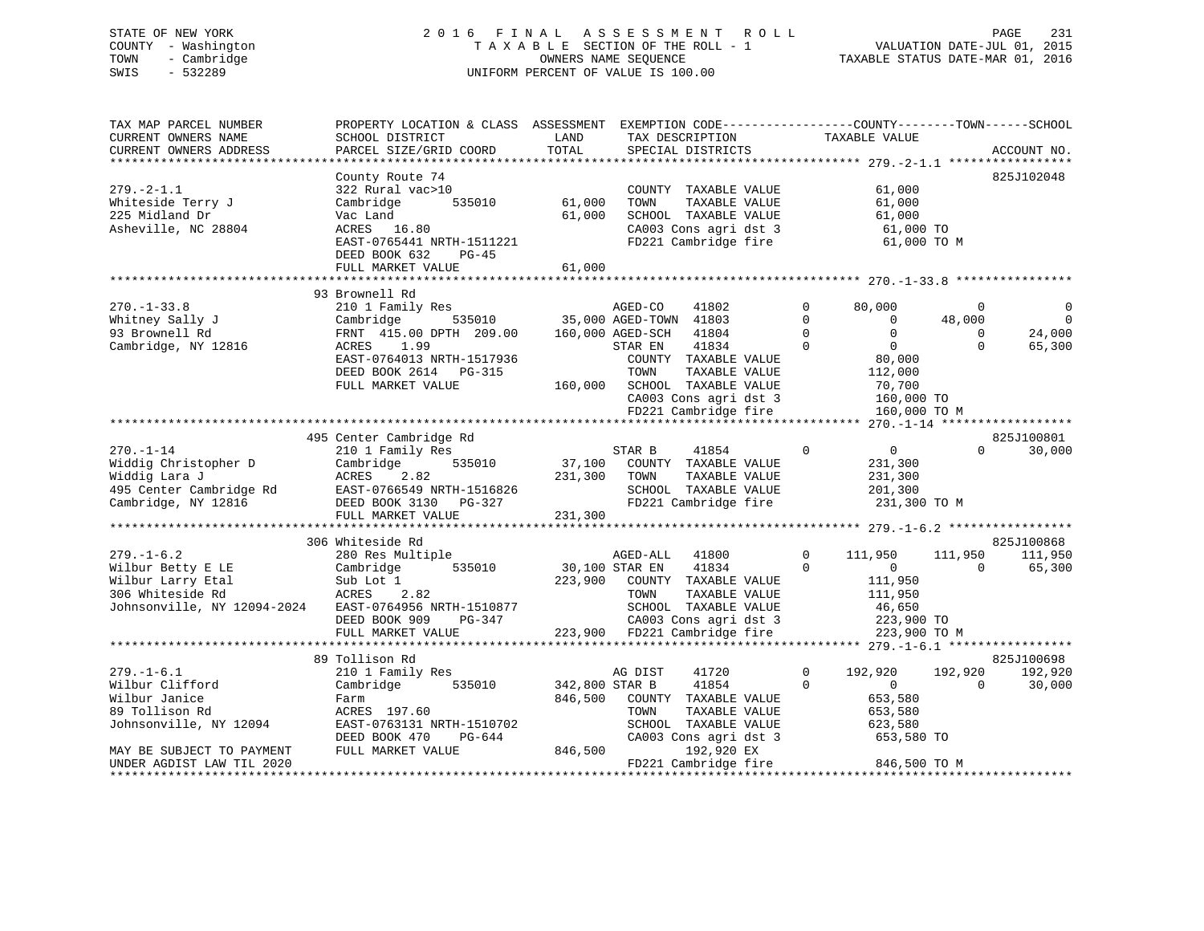# STATE OF NEW YORK 2 0 1 6 F I N A L A S S E S S M E N T R O L L PAGE 231 COUNTY - Washington T A X A B L E SECTION OF THE ROLL - 1 VALUATION DATE-JUL 01, 2015 TOWN - Cambridge OWNERS NAME SEQUENCE TAXABLE STATUS DATE-MAR 01, 2016 SWIS - 532289 UNIFORM PERCENT OF VALUE IS 100.00

| TAX MAP PARCEL NUMBER<br>CURRENT OWNERS NAME<br>CURRENT OWNERS ADDRESS | PROPERTY LOCATION & CLASS ASSESSMENT EXEMPTION CODE----------------COUNTY-------TOWN-----SCHOOL<br>SCHOOL DISTRICT<br>PARCEL SIZE/GRID COORD | LAND<br>TOTAL  | TAX DESCRIPTION<br>SPECIAL DISTRICTS       |                      | TAXABLE VALUE                    | ACCOUNT NO.                      |
|------------------------------------------------------------------------|----------------------------------------------------------------------------------------------------------------------------------------------|----------------|--------------------------------------------|----------------------|----------------------------------|----------------------------------|
|                                                                        |                                                                                                                                              |                |                                            |                      |                                  |                                  |
|                                                                        | County Route 74                                                                                                                              |                |                                            |                      |                                  | 825J102048                       |
| $279. - 2 - 1.1$                                                       | 322 Rural vac>10                                                                                                                             |                | COUNTY TAXABLE VALUE                       |                      | 61,000                           |                                  |
| Whiteside Terry J                                                      | 535010<br>Cambridge                                                                                                                          | 61,000         | TOWN<br>TAXABLE VALUE                      |                      | 61,000                           |                                  |
| 225 Midland Dr                                                         | Vac Land                                                                                                                                     | 61,000         | SCHOOL TAXABLE VALUE                       |                      | 61,000                           |                                  |
| Asheville, NC 28804                                                    | ACRES 16.80                                                                                                                                  |                | CA003 Cons agri dst 3                      |                      | 61,000 TO                        |                                  |
|                                                                        | EAST-0765441 NRTH-1511221<br>DEED BOOK 632<br>PG-45                                                                                          |                | FD221 Cambridge fire                       |                      | 61,000 TO M                      |                                  |
|                                                                        | FULL MARKET VALUE                                                                                                                            | 61,000         |                                            |                      |                                  |                                  |
|                                                                        |                                                                                                                                              |                |                                            |                      |                                  |                                  |
|                                                                        | 93 Brownell Rd                                                                                                                               |                |                                            |                      |                                  |                                  |
| $270. - 1 - 33.8$                                                      | 210 1 Family Res                                                                                                                             |                | AGED-CO<br>41802                           | $\Omega$             | 80,000                           | $\mathbf 0$<br>$\Omega$          |
| Whitney Sally J                                                        | Cambridge                                                                                                                                    |                | 535010 35,000 AGED-TOWN 41803              | $\Omega$<br>$\Omega$ | $\overline{0}$<br>$\overline{0}$ | $\Omega$<br>48,000<br>$\Omega$   |
| 93 Brownell Rd<br>Cambridge, NY 12816                                  | FRNT 415.00 DPTH 209.00<br>ACRES 1.99                                                                                                        |                | 160,000 AGED-SCH 41804<br>STAR EN<br>41834 | $\Omega$             | $\overline{0}$                   | 24,000<br>$\Omega$<br>65,300     |
|                                                                        | EAST-0764013 NRTH-1517936                                                                                                                    |                | COUNTY TAXABLE VALUE                       |                      | 80,000                           |                                  |
|                                                                        | DEED BOOK 2614 PG-315                                                                                                                        |                | TOWN<br>TAXABLE VALUE                      |                      | 112,000                          |                                  |
|                                                                        | FULL MARKET VALUE                                                                                                                            |                | 160,000 SCHOOL TAXABLE VALUE               |                      | 70,700                           |                                  |
|                                                                        |                                                                                                                                              |                | CA003 Cons agri dst 3                      |                      | 160,000 TO                       |                                  |
|                                                                        |                                                                                                                                              |                | FD221 Cambridge fire                       |                      | 160,000 TO M                     |                                  |
|                                                                        |                                                                                                                                              |                |                                            |                      |                                  |                                  |
|                                                                        | 495 Center Cambridge Rd                                                                                                                      |                |                                            |                      |                                  | 825J100801                       |
| $270. - 1 - 14$                                                        | 210 1 Family Res                                                                                                                             |                | STAR B<br>41854                            | $\Omega$             | $\overline{0}$                   | 30,000<br>$\Omega$               |
| Widdig Christopher D                                                   | 535010<br>Cambridge                                                                                                                          |                | 37,100 COUNTY TAXABLE VALUE                |                      | 231,300                          |                                  |
| Widdig Lara J                                                          | ACRES 2.82                                                                                                                                   | 231,300        | TOWN<br>TAXABLE VALUE                      |                      | 231,300                          |                                  |
| 495 Center Cambridge Rd                                                |                                                                                                                                              |                | SCHOOL TAXABLE VALUE                       |                      | 201,300                          |                                  |
| Cambridge, NY 12816                                                    |                                                                                                                                              |                | FD221 Cambridge fire                       |                      | 231,300 TO M                     |                                  |
|                                                                        | FULL MARKET VALUE                                                                                                                            | 231,300        |                                            |                      |                                  |                                  |
|                                                                        |                                                                                                                                              |                |                                            |                      |                                  |                                  |
| $279. - 1 - 6.2$                                                       | 306 Whiteside Rd<br>280 Res Multiple                                                                                                         |                | AGED-ALL 41800                             | $\Omega$             | 111,950                          | 825J100868<br>111,950<br>111,950 |
| Wilbur Betty E LE                                                      | 535010<br>Cambridge                                                                                                                          | 30,100 STAR EN | 41834                                      | $\Omega$             | $\overline{0}$                   | $\bigcap$<br>65,300              |
| Wilbur Larry Etal                                                      | Sub Lot 1                                                                                                                                    | 223,900        | COUNTY TAXABLE VALUE                       |                      | 111,950                          |                                  |
| 306 Whiteside Rd                                                       | ACRES 2.82                                                                                                                                   |                | TOWN<br>TAXABLE VALUE                      |                      | 111,950                          |                                  |
| Johnsonville, NY 12094-2024                                            | EAST-0764956 NRTH-1510877                                                                                                                    |                | SCHOOL TAXABLE VALUE                       |                      | 46,650                           |                                  |
|                                                                        | DEED BOOK 909<br>PG-347                                                                                                                      |                | CA003 Cons agri dst 3                      |                      | 223,900 TO                       |                                  |
|                                                                        | FULL MARKET VALUE                                                                                                                            |                |                                            |                      | 223,900 TO M                     |                                  |
|                                                                        |                                                                                                                                              |                |                                            |                      |                                  |                                  |
|                                                                        | 89 Tollison Rd                                                                                                                               |                |                                            |                      |                                  | 825J100698                       |
| $279. - 1 - 6.1$                                                       | 210 1 Family Res                                                                                                                             |                | 41720<br>AG DIST                           | $\Omega$             | 192,920                          | 192,920<br>192,920               |
| Wilbur Clifford                                                        | Cambridge<br>535010                                                                                                                          | 342,800 STAR B | 41854                                      | $\Omega$             | $\overline{0}$                   | $\Omega$<br>30,000               |
| Wilbur Janice                                                          | Farm                                                                                                                                         | 846,500        | COUNTY TAXABLE VALUE                       |                      | 653,580                          |                                  |
| 89 Tollison Rd                                                         | ACRES 197.60                                                                                                                                 |                | TOWN<br>TAXABLE VALUE                      |                      | 653,580                          |                                  |
| Johnsonville, NY 12094                                                 | EAST-0763131 NRTH-1510702                                                                                                                    |                | SCHOOL TAXABLE VALUE                       |                      | 623,580                          |                                  |
|                                                                        | DEED BOOK 470<br>PG-644                                                                                                                      |                | CA003 Cons agri dst 3                      |                      | 653,580 TO                       |                                  |
| MAY BE SUBJECT TO PAYMENT                                              | FULL MARKET VALUE                                                                                                                            | 846,500        | 192,920 EX                                 |                      |                                  |                                  |
| UNDER AGDIST LAW TIL 2020                                              |                                                                                                                                              |                | FD221 Cambridge fire                       |                      | 846,500 TO M                     |                                  |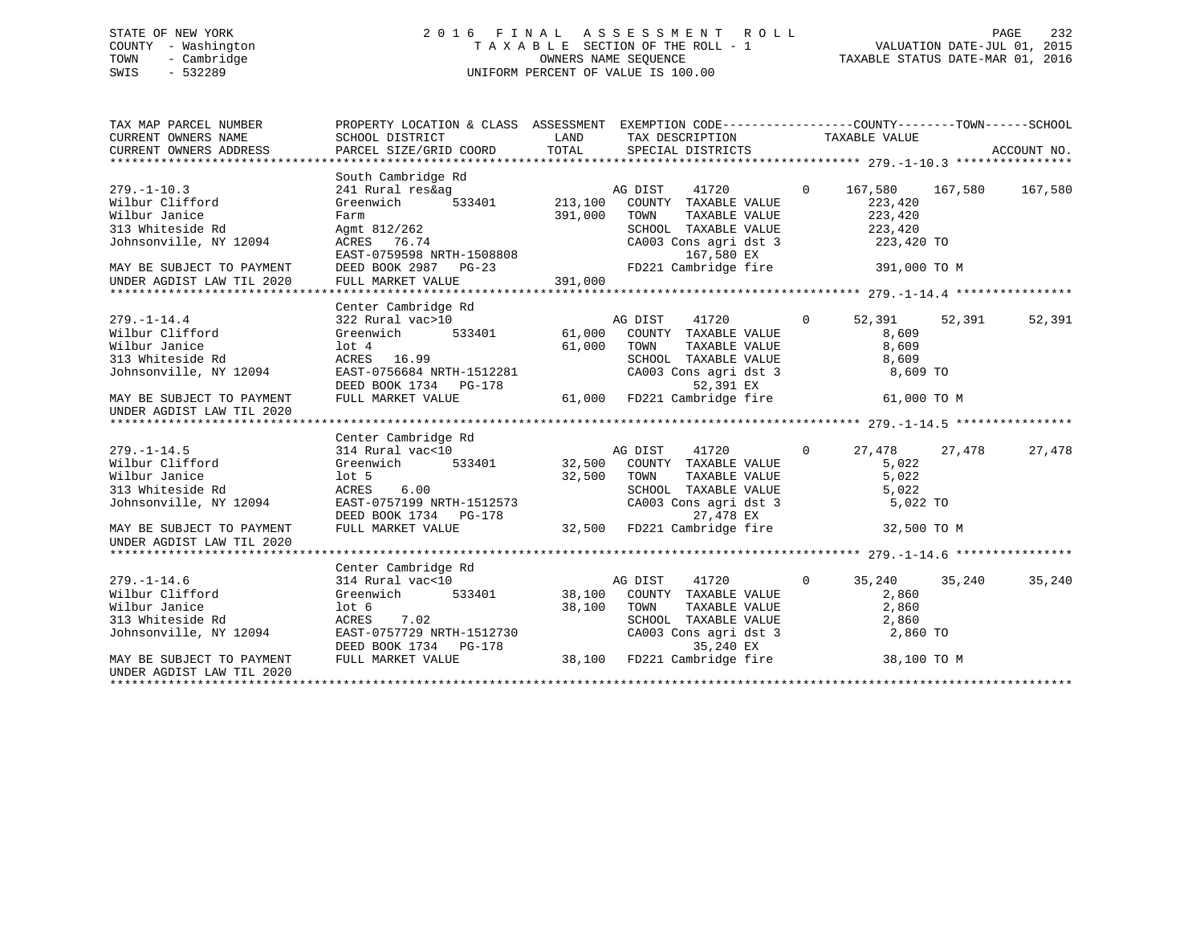# STATE OF NEW YORK 2 0 1 6 F I N A L A S S E S S M E N T R O L L PAGE 232 COUNTY - Washington T A X A B L E SECTION OF THE ROLL - 1 VALUATION DATE-JUL 01, 2015 TOWN - Cambridge OWNERS NAME SEQUENCE TAXABLE STATUS DATE-MAR 01, 2016 SWIS - 532289 UNIFORM PERCENT OF VALUE IS 100.00

| TAX MAP PARCEL NUMBER                                                                                                                                         | PROPERTY LOCATION & CLASS ASSESSMENT EXEMPTION CODE---------------COUNTY-------TOWN-----SCHOOL                                                                                                                                                                                                                                                                                                                                         |         |                                                                                                                                                                    |                                                            |        |
|---------------------------------------------------------------------------------------------------------------------------------------------------------------|----------------------------------------------------------------------------------------------------------------------------------------------------------------------------------------------------------------------------------------------------------------------------------------------------------------------------------------------------------------------------------------------------------------------------------------|---------|--------------------------------------------------------------------------------------------------------------------------------------------------------------------|------------------------------------------------------------|--------|
| $279. - 1 - 10.3$<br>Wilbur Clifford<br>Wilbur Janice<br>313 Whiteside Rd<br>Johnsonville, NY 12094<br>MAY BE SUBJECT TO PAYMENT<br>UNDER AGDIST LAW TIL 2020 | South Cambridge Rd<br>$\begin{tabular}{lllllllll} 241~\text{Rural res\&ag} & \text{AG DIST} & 41720 \\ \text{Greenwich} & 533401 & 213,100 & \text{COUNTY} & \text{TAXABLE VALUE} \end{tabular}$<br>Farm<br>Agmt 812/262<br>Agmt 812/262<br>ACRES 76.74 CA003<br>EAST-0759598 NRTH-1508808<br>DEED BOOK 2987 PG-23 FULL MARKET VALUE 391,000                                                                                           | 391,000 | $\overline{0}$<br>TOWN<br>TOWN      TAXABLE VALUE<br>SCHOOL   TAXABLE VALUE<br>CA003 Cons agri dst 3 223,420 TO<br>167,580 EX<br>FD221 Cambridge fire 391,000 TO M | 167,580 167,580 167,580<br>223,420<br>$223,420$<br>223,420 |        |
|                                                                                                                                                               |                                                                                                                                                                                                                                                                                                                                                                                                                                        |         |                                                                                                                                                                    |                                                            |        |
| $279. - 1 - 14.4$<br>Wilbur Clifford<br>Wilbur Janice<br>313 Whiteside Rd<br>Johnsonville, NY 12094<br>MAY BE SUBJECT TO PAYMENT                              | Center Cambridge Rd<br>10t 4 61,000 TOWN<br>ACRES 16.99 61,000 SCHOOL<br>EAST-0756684 NRTH-1512281                                                                                                                                                                                                                                                                                                                                     |         | TOWN TAXABLE VALUE 8,609<br>SCHOOL TAXABLE VALUE 8,609<br>CA003 Cons agri dst 3 8,609 TO                                                                           | 61,000 TO M                                                | 52,391 |
| UNDER AGDIST LAW TIL 2020                                                                                                                                     |                                                                                                                                                                                                                                                                                                                                                                                                                                        |         |                                                                                                                                                                    |                                                            |        |
|                                                                                                                                                               |                                                                                                                                                                                                                                                                                                                                                                                                                                        |         |                                                                                                                                                                    |                                                            |        |
| $279. - 1 - 14.5$<br>Wilbur Clifford<br>Wilbur Janice<br>313 Whiteside Rd<br>Johnsonville, NY 12094<br>MAY BE SUBJECT TO PAYMENT                              | Center Cambridge Rd<br>$\begin{tabular}{lllllllllll} 314~\text{Rural}\,\,\, \text{vac}\, & 10 & \text{AG DIST} & 41720 & 0 & 27 \\ \text{Greenwich} & 533401 & 32,500 & \text{COUNTY} & \text{TAXABLE VALUE} & \end{tabular}$<br>100.5<br>ACRES 6.00 32,500 TOWN<br>BACRES 6.00 SCHOO<br>EAST-0757199 NRTH-1512573<br>EAST-0757199 NRTH-1512573 CA003 Cons agri dst 3<br>DEED BOOK 1734 PG-178 32,500 FD221 Cambridge fire 32,500 TO M |         | TOWN TAXABLE VALUE 5,022<br>SCHOOL TAXABLE VALUE 5,022<br>CA003 Cons agri dst 3 5,022 TO                                                                           | 27,478 27,478<br>5,022                                     | 27,478 |
| UNDER AGDIST LAW TIL 2020                                                                                                                                     |                                                                                                                                                                                                                                                                                                                                                                                                                                        |         |                                                                                                                                                                    |                                                            |        |
|                                                                                                                                                               |                                                                                                                                                                                                                                                                                                                                                                                                                                        |         |                                                                                                                                                                    |                                                            |        |
| $279. - 1 - 14.6$<br>Wilbur Clifford<br>Wilbur Janice<br>313 Whiteside Rd<br>Johnsonville, NY 12094<br>MAY BE SUBJECT TO PAYMENT                              | Center Cambridge Rd<br>Greenwich 533401 38,100 COUNTY TAXABLE VALUE<br>$1$ ot 6<br>ACRES 7.02<br>ACRES 7.02<br>EAST-0757729 NRTH-1512730 CA003 Cons agri dst 3<br>DEED BOOK 1734 PG-178 35,240 EX<br>FULL MARKET VALUE 38,100 FD221 Cambridge fire                                                                                                                                                                                     |         | TOWN TAXABLE VALUE 2,860<br>SCHOOL TAXABLE VALUE 2,860<br>CA003 Cons agri dst 3 2,860 TO<br>38,100 TOWN                                                            | 0 $35,240$ $35,240$<br>2,860<br>38,100 TO M                | 35,240 |
| UNDER AGDIST LAW TIL 2020                                                                                                                                     |                                                                                                                                                                                                                                                                                                                                                                                                                                        |         |                                                                                                                                                                    |                                                            |        |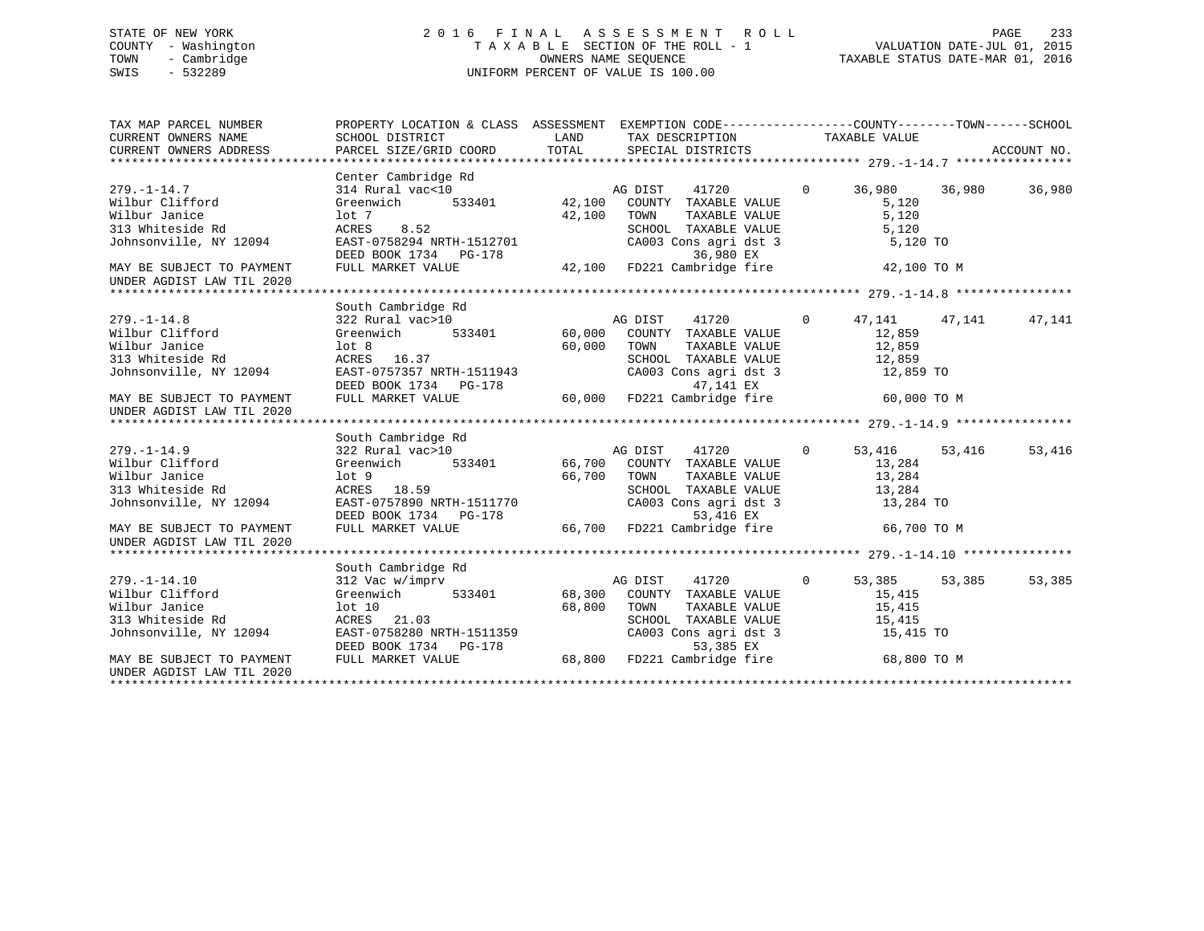# STATE OF NEW YORK 2 0 1 6 F I N A L A S S E S S M E N T R O L L PAGE 233 COUNTY - Washington T A X A B L E SECTION OF THE ROLL - 1 VALUATION DATE-JUL 01, 2015 TOWN - Cambridge OWNERS NAME SEQUENCE TAXABLE STATUS DATE-MAR 01, 2016 SWIS - 532289 UNIFORM PERCENT OF VALUE IS 100.00

| TAX MAP PARCEL NUMBER<br>CURRENT OWNERS NAME<br>CURRENT OWNERS ADDRESS | PROPERTY LOCATION & CLASS ASSESSMENT EXEMPTION CODE---------------COUNTY-------TOWN-----SCHOOL<br>SCHOOL DISTRICT<br>PARCEL SIZE/GRID COORD                                                      | LAND<br>TOTAL | TAX DESCRIPTION TAXABLE VALUE<br>SPECIAL DISTRICTS         |                |                      |        | ACCOUNT NO. |
|------------------------------------------------------------------------|--------------------------------------------------------------------------------------------------------------------------------------------------------------------------------------------------|---------------|------------------------------------------------------------|----------------|----------------------|--------|-------------|
|                                                                        |                                                                                                                                                                                                  |               |                                                            |                |                      |        |             |
|                                                                        | Center Cambridge Rd                                                                                                                                                                              |               |                                                            |                |                      |        |             |
| $279. - 1 - 14.7$                                                      | 314 Rural vac<10                                                                                                                                                                                 |               |                                                            | $\Omega$       | 36,980               | 36,980 | 36,980      |
| Wilbur Clifford                                                        | Greenwich                                                                                                                                                                                        |               | vac<10 MG DIST 41720<br>533401 42,100 COUNTY TAXABLE VALUE |                | 5,120                |        |             |
| Wilbur Janice                                                          | lot 7                                                                                                                                                                                            | 42,100        | TOWN<br>TAXABLE VALUE                                      |                | 5,120                |        |             |
| 313 Whiteside Rd                                                       | ACRES<br>8.52                                                                                                                                                                                    |               | SCHOOL TAXABLE VALUE                                       |                | 5,120                |        |             |
| Johnsonville, NY 12094                                                 | EAST-0758294 NRTH-1512701                                                                                                                                                                        |               | SCHOOL TAXABLE VALUE<br>CA003 Cons agri dst 3              |                | 5,120 TO             |        |             |
|                                                                        | DEED BOOK 1734 PG-178                                                                                                                                                                            |               | 36,980 EX                                                  |                |                      |        |             |
| MAY BE SUBJECT TO PAYMENT                                              | FULL MARKET VALUE                                                                                                                                                                                |               | 42,100 FD221 Cambridge fire                                |                | 42,100 TO M          |        |             |
| UNDER AGDIST LAW TIL 2020                                              |                                                                                                                                                                                                  |               |                                                            |                |                      |        |             |
|                                                                        |                                                                                                                                                                                                  |               |                                                            |                |                      |        |             |
|                                                                        | South Cambridge Rd                                                                                                                                                                               |               |                                                            |                |                      |        |             |
| $279. - 1 - 14.8$                                                      | 322 Rural vac>10                                                                                                                                                                                 |               |                                                            |                | 47,141 47,141 47,141 |        |             |
| Wilbur Clifford                                                        | 533401<br>Greenwich                                                                                                                                                                              |               | AG DIST 41720 0<br>401 60,000 COUNTY TAXABLE VALUE         |                | 12,859               |        |             |
| Wilbur Janice                                                          | lot 8                                                                                                                                                                                            | 60,000        | TOWN<br>TAXABLE VALUE                                      |                | 12,859               |        |             |
| 313 Whiteside Rd                                                       |                                                                                                                                                                                                  |               | SCHOOL TAXABLE VALUE                                       |                | 12,859               |        |             |
| Johnsonville, NY 12094                                                 | EAST-0757357 NRTH-1511943<br>EAST-0757357 NRTH-1511943<br>DEED BOOK 1734 -                                                                                                                       |               | CA003 Cons agri dst 3                                      |                | 12,859 TO            |        |             |
|                                                                        |                                                                                                                                                                                                  |               |                                                            |                |                      |        |             |
| MAY BE SUBJECT TO PAYMENT                                              | DEED BOOK 1734 PG-178<br>FULL MARKET VALUE 60,000 FD221 Cambridge fire 60,000 TO M                                                                                                               |               |                                                            |                |                      |        |             |
| UNDER AGDIST LAW TIL 2020                                              |                                                                                                                                                                                                  |               |                                                            |                |                      |        |             |
|                                                                        |                                                                                                                                                                                                  |               |                                                            |                |                      |        |             |
|                                                                        | South Cambridge Rd                                                                                                                                                                               |               |                                                            |                |                      |        |             |
| 279.-1-14.9<br>Wilbur Clifford                                         | 322 Rural vac>10<br>$\begin{tabular}{llllll} 322 Rural vac > 10 & & AG DIST & 41720 \\ Greenwich & 533401 & 66,700 & \multicolumn{3}{l}{\textbf{COUNTY}} & \textbf{TAXABLE VALUE} \end{tabular}$ |               | $\overline{0}$                                             |                | 53,416               | 53,416 | 53,416      |
|                                                                        |                                                                                                                                                                                                  |               |                                                            |                | 13,284               |        |             |
| Wilbur Janice                                                          | lot 9                                                                                                                                                                                            | 66,700        | TOWN<br>TAXABLE VALUE                                      |                | 13,284               |        |             |
| 313 Whiteside Rd                                                       | ACRES 18.59                                                                                                                                                                                      |               | SCHOOL TAXABLE VALUE                                       |                | 13,284               |        |             |
| Johnsonville, NY 12094                                                 | EAST-0757890 NRTH-1511770                                                                                                                                                                        |               | CA003 Cons agri dst 3                                      |                | 13,284 TO            |        |             |
|                                                                        | DEED BOOK 1734 PG-178                                                                                                                                                                            |               | 53,416 EX                                                  |                |                      |        |             |
| MAY BE SUBJECT TO PAYMENT<br>UNDER AGDIST LAW TIL 2020                 | FULL MARKET VALUE                                                                                                                                                                                |               | 66,700 FD221 Cambridge fire                                |                | 66,700 TO M          |        |             |
|                                                                        |                                                                                                                                                                                                  |               |                                                            |                |                      |        |             |
|                                                                        | South Cambridge Rd                                                                                                                                                                               |               |                                                            |                |                      |        |             |
| $279. - 1 - 14.10$                                                     | 312 Vac w/imprv                                                                                                                                                                                  |               | AG DIST<br>41720                                           | $\overline{0}$ | 53,385               | 53,385 | 53,385      |
| Wilbur Clifford                                                        | Greenwich<br>533401                                                                                                                                                                              |               | 68,300 COUNTY TAXABLE VALUE                                |                | 15,415               |        |             |
| Wilbur Janice                                                          | $1$ ot $10$                                                                                                                                                                                      | 68,800        | TOWN<br>TAXABLE VALUE                                      |                | 15,415               |        |             |
| 313 Whiteside Rd                                                       | ACRES 21.03                                                                                                                                                                                      |               | SCHOOL TAXABLE VALUE                                       |                | 15,415               |        |             |
| Johnsonville, NY 12094                                                 | ACRES 21.03<br>EAST-0758280 NRTH-1511359 CA003 Cons agri dst 3<br>DEED BOOK 1734 PG-178 68,800 FD221 Cambridge fire<br>FULL MARKET VALUE 68,800 FD221 Cambridge fire                             |               |                                                            |                | 15,415 TO            |        |             |
|                                                                        |                                                                                                                                                                                                  |               |                                                            |                |                      |        |             |
| MAY BE SUBJECT TO PAYMENT                                              |                                                                                                                                                                                                  |               |                                                            |                | 68,800 TO M          |        |             |
| UNDER AGDIST LAW TIL 2020                                              |                                                                                                                                                                                                  |               |                                                            |                |                      |        |             |
|                                                                        |                                                                                                                                                                                                  |               |                                                            |                |                      |        |             |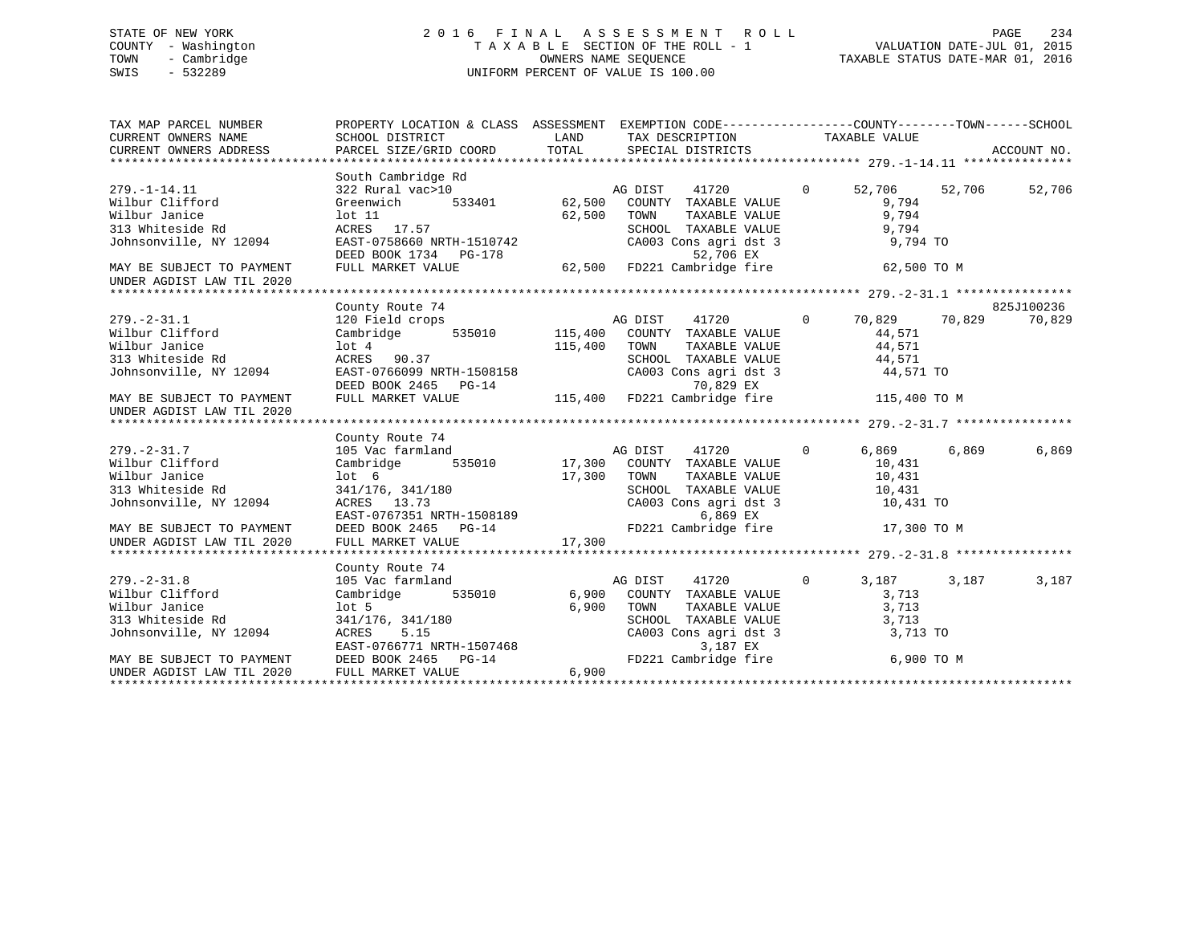# STATE OF NEW YORK 2 0 1 6 F I N A L A S S E S S M E N T R O L L PAGE 234 COUNTY - Washington T A X A B L E SECTION OF THE ROLL - 1 VALUATION DATE-JUL 01, 2015 TOWN - Cambridge OWNERS NAME SEQUENCE TAXABLE STATUS DATE-MAR 01, 2016 SWIS - 532289 UNIFORM PERCENT OF VALUE IS 100.00

| TAX MAP PARCEL NUMBER<br>CURRENT OWNERS NAME<br>CURRENT OWNERS ADDRESS | PROPERTY LOCATION & CLASS ASSESSMENT EXEMPTION CODE---------------COUNTY-------TOWN-----SCHOOL                                                                                                                                     |        |         |                                                                                                                                                                                                                                   |          |               |            |
|------------------------------------------------------------------------|------------------------------------------------------------------------------------------------------------------------------------------------------------------------------------------------------------------------------------|--------|---------|-----------------------------------------------------------------------------------------------------------------------------------------------------------------------------------------------------------------------------------|----------|---------------|------------|
|                                                                        |                                                                                                                                                                                                                                    |        |         |                                                                                                                                                                                                                                   |          |               |            |
|                                                                        | South Cambridge Rd                                                                                                                                                                                                                 |        |         |                                                                                                                                                                                                                                   |          |               |            |
| $279. - 1 - 14.11$                                                     | $322 \text{ Rural vac} > 10$ $322 \text{ Rural vac} > 10$ $333401 \text{ } 62,500 \text{ } \text{COUNTY}$ $333401 \text{ } 62,500 \text{ } \text{COUNTY}$                                                                          |        |         | 41720 0                                                                                                                                                                                                                           |          | 52,706 52,706 | 52,706     |
| Wilbur Clifford                                                        |                                                                                                                                                                                                                                    |        |         |                                                                                                                                                                                                                                   | 9,794    |               |            |
| Wilbur Janice                                                          | lot 11                                                                                                                                                                                                                             | 62,500 | TOWN    | TAXABLE VALUE                                                                                                                                                                                                                     | 9,794    |               |            |
| 313 Whiteside Rd<br>Johnsonville, NY 12094                             | ACRES 17.57                                                                                                                                                                                                                        |        |         |                                                                                                                                                                                                                                   |          |               |            |
|                                                                        | EAST-0758660 NRTH-1510742<br>DEED BOOK 1734 PG-178                                                                                                                                                                                 |        |         | SCHOOL TAXABLE VALUE 9,794<br>CA003 Cons agri dst 3 9,794<br>E2.706 EY<br>52,706 EX                                                                                                                                               | 9,794 TO |               |            |
| MAY BE SUBJECT TO PAYMENT                                              | FULL MARKET VALUE                                                                                                                                                                                                                  |        |         | 62,500 FD221 Cambridge fire 62,500 TO M                                                                                                                                                                                           |          |               |            |
| UNDER AGDIST LAW TIL 2020                                              |                                                                                                                                                                                                                                    |        |         |                                                                                                                                                                                                                                   |          |               |            |
|                                                                        |                                                                                                                                                                                                                                    |        |         |                                                                                                                                                                                                                                   |          |               |            |
|                                                                        | County Route 74                                                                                                                                                                                                                    |        |         |                                                                                                                                                                                                                                   |          |               | 825J100236 |
| $279. - 2 - 31.1$                                                      | 258<br>120 Field crops<br>Cambridge 535010 115,400 COUNTY TAXABLE VALUE 14,571                                                                                                                                                     |        |         |                                                                                                                                                                                                                                   |          |               | 70,829     |
| Wilbur Clifford                                                        |                                                                                                                                                                                                                                    |        |         |                                                                                                                                                                                                                                   |          |               |            |
| Wilbur Janice                                                          |                                                                                                                                                                                                                                    |        |         |                                                                                                                                                                                                                                   |          |               |            |
|                                                                        |                                                                                                                                                                                                                                    |        |         |                                                                                                                                                                                                                                   |          |               |            |
| 313 Whiteside Rd<br>Johnsonville, NY 12094                             |                                                                                                                                                                                                                                    |        |         |                                                                                                                                                                                                                                   |          |               |            |
|                                                                        |                                                                                                                                                                                                                                    |        |         |                                                                                                                                                                                                                                   |          |               |            |
| MAY BE SUBJECT TO PAYMENT                                              | 115,400 TOWN TAXABLE VALUE<br>10t 4<br>ACRES 90.37 SCHOOL TAXABLE VALUE<br>EAST-0766099 NRTH-1508158 CA003 Cons agri dst 3 44,571<br>DEED BOOK 2465 PG-14 70,829 EX<br>FULL MARKET VALUE 115,400 FD221 Cambridge fire 115,400 TO M |        |         |                                                                                                                                                                                                                                   |          |               |            |
| UNDER AGDIST LAW TIL 2020                                              |                                                                                                                                                                                                                                    |        |         |                                                                                                                                                                                                                                   |          |               |            |
|                                                                        |                                                                                                                                                                                                                                    |        |         |                                                                                                                                                                                                                                   |          |               |            |
|                                                                        | County Route 74                                                                                                                                                                                                                    |        |         |                                                                                                                                                                                                                                   |          |               |            |
| $279. - 2 - 31.7$                                                      |                                                                                                                                                                                                                                    |        |         |                                                                                                                                                                                                                                   | 6,869    | 6,869         | 6,869      |
| wilbur Clifford                                                        |                                                                                                                                                                                                                                    |        |         |                                                                                                                                                                                                                                   | 10,431   |               |            |
| Wilbur Janice                                                          | lot <sub>6</sub>                                                                                                                                                                                                                   | 17,300 | TOWN    | TAXABLE VALUE 10,431                                                                                                                                                                                                              |          |               |            |
| 313 Whiteside Rd                                                       |                                                                                                                                                                                                                                    |        |         | $\begin{tabular}{lllllllllll} \texttt{SCHOOD} & \texttt{TAXABLE} & \texttt{VALUE} & & \texttt{10,431} \\ \texttt{CA003} & \texttt{Cons}\ \texttt{agri}\ \texttt{dst}\ \texttt{3} & & \texttt{10,431} \ \texttt{TO} \end{tabular}$ |          |               |            |
| Johnsonville, NY 12094                                                 |                                                                                                                                                                                                                                    |        |         | CA003 Cons agri dst 3                                                                                                                                                                                                             |          |               |            |
|                                                                        |                                                                                                                                                                                                                                    |        |         | 6,869 EX                                                                                                                                                                                                                          |          |               |            |
| MAY BE SUBJECT TO PAYMENT                                              | 341/176, 341/180<br>ACRES 13.73<br>EAST-0767351 NRTH-1508189<br>DEED BOOK 2465 PG-14                                                                                                                                               |        |         | FD221 Cambridge fire 17,300 TO M                                                                                                                                                                                                  |          |               |            |
| UNDER AGDIST LAW TIL 2020                                              | FULL MARKET VALUE                                                                                                                                                                                                                  | 17,300 |         |                                                                                                                                                                                                                                   |          |               |            |
|                                                                        |                                                                                                                                                                                                                                    |        |         |                                                                                                                                                                                                                                   |          |               |            |
|                                                                        | County Route 74                                                                                                                                                                                                                    |        |         |                                                                                                                                                                                                                                   |          |               |            |
| $279. - 2 - 31.8$                                                      | 105 Vac farmland                                                                                                                                                                                                                   |        | AG DIST | 41720<br>$\overline{0}$                                                                                                                                                                                                           | 3,187    | 3,187         | 3,187      |
| Wilbur Clifford                                                        | 535010 6,900 COUNTY TAXABLE VALUE<br>Cambridge                                                                                                                                                                                     |        |         | TAXABLE VALUE<br>TAXABLE VALUE                                                                                                                                                                                                    | 3,713    |               |            |
| Wilbur Janice                                                          | lot 5                                                                                                                                                                                                                              | 6,900  | TOWN    |                                                                                                                                                                                                                                   | 3,713    |               |            |
| 313 Whiteside Rd                                                       |                                                                                                                                                                                                                                    |        |         | SCHOOL TAXABLE VALUE                                                                                                                                                                                                              | 3,713    |               |            |
| Johnsonville, NY 12094                                                 |                                                                                                                                                                                                                                    |        |         | $CA003$ Cons agri dst 3                                                                                                                                                                                                           | 3,713 TO |               |            |
|                                                                        | 341/176, 341/180<br>ACRES 5.15<br>EAST-0766771 NRTH-1507468<br>DEED BOOK 2465 PG-14                                                                                                                                                |        |         | 3,187 EX                                                                                                                                                                                                                          |          |               |            |
| MAY BE SUBJECT TO PAYMENT                                              |                                                                                                                                                                                                                                    |        |         | FD221 Cambridge fire 6,900 TO M                                                                                                                                                                                                   |          |               |            |
| UNDER AGDIST LAW TIL 2020                                              | FULL MARKET VALUE                                                                                                                                                                                                                  | 6,900  |         |                                                                                                                                                                                                                                   |          |               |            |
|                                                                        |                                                                                                                                                                                                                                    |        |         |                                                                                                                                                                                                                                   |          |               |            |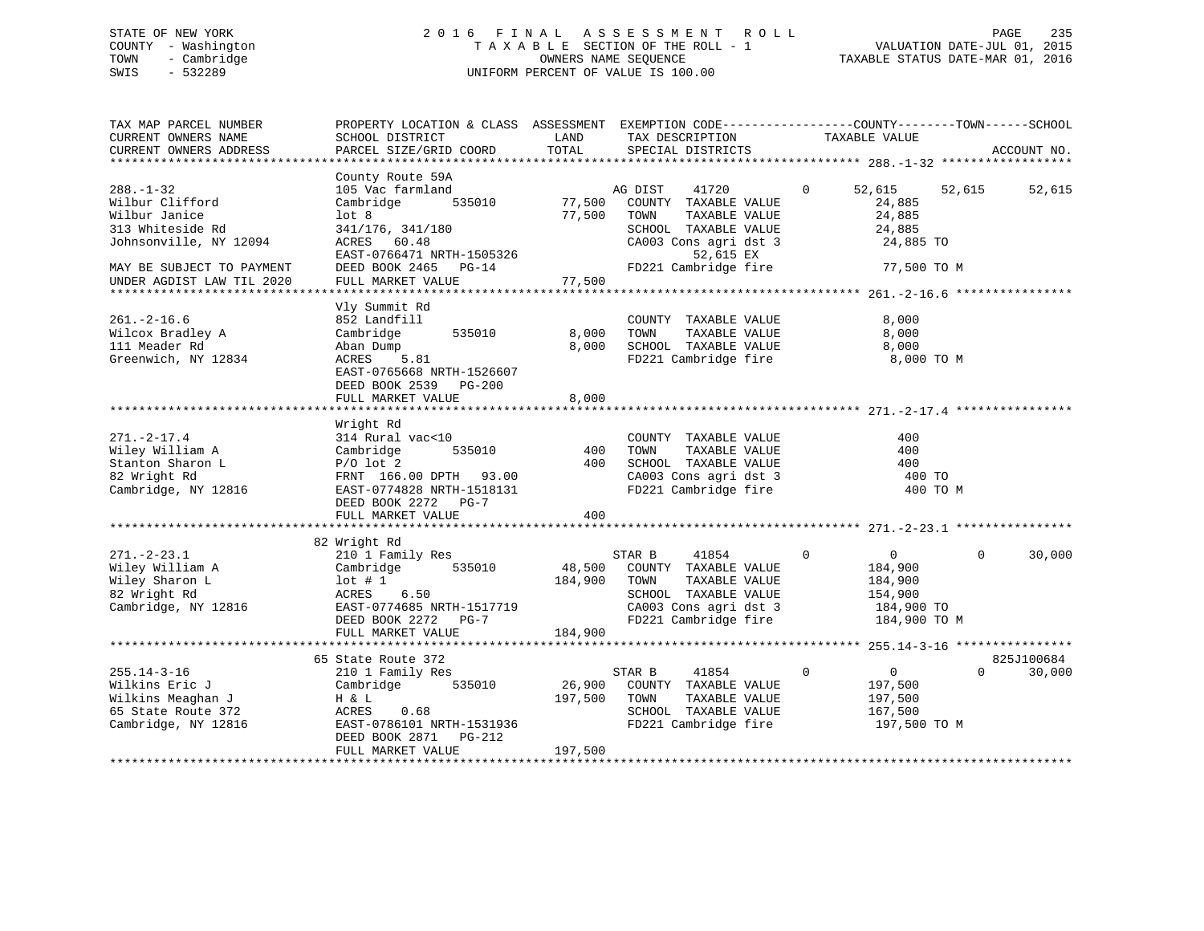# STATE OF NEW YORK 2 0 1 6 F I N A L A S S E S S M E N T R O L L PAGE 235 COUNTY - Washington T A X A B L E SECTION OF THE ROLL - 1 VALUATION DATE-JUL 01, 2015 TOWN - Cambridge OWNERS NAME SEQUENCE TAXABLE STATUS DATE-MAR 01, 2016 SWIS - 532289 UNIFORM PERCENT OF VALUE IS 100.00

| TAX MAP PARCEL NUMBER<br>CURRENT OWNERS NAME<br>CURRENT OWNERS ADDRESS<br>*************************                                                         | PROPERTY LOCATION & CLASS ASSESSMENT<br>SCHOOL DISTRICT<br>PARCEL SIZE/GRID COORD                                                                                                 | LAND<br>TOTAL                | EXEMPTION CODE-----------------COUNTY-------TOWN------SCHOOL<br>TAX DESCRIPTION<br>SPECIAL DISTRICTS                                                    | TAXABLE VALUE                                                                                | ACCOUNT NO.                      |
|-------------------------------------------------------------------------------------------------------------------------------------------------------------|-----------------------------------------------------------------------------------------------------------------------------------------------------------------------------------|------------------------------|---------------------------------------------------------------------------------------------------------------------------------------------------------|----------------------------------------------------------------------------------------------|----------------------------------|
| $288. - 1 - 32$<br>Wilbur Clifford<br>Wilbur Janice<br>313 Whiteside Rd<br>Johnsonville, NY 12094<br>MAY BE SUBJECT TO PAYMENT<br>UNDER AGDIST LAW TIL 2020 | County Route 59A<br>105 Vac farmland<br>Cambridge<br>535010<br>lot 8<br>341/176, 341/180<br>ACRES 60.48<br>EAST-0766471 NRTH-1505326<br>DEED BOOK 2465 PG-14<br>FULL MARKET VALUE | 77,500<br>77,500<br>77,500   | AG DIST<br>41720<br>COUNTY TAXABLE VALUE<br>TOWN<br>TAXABLE VALUE<br>SCHOOL TAXABLE VALUE<br>CA003 Cons agri dst 3<br>52,615 EX<br>FD221 Cambridge fire | $\overline{0}$<br>52,615<br>24,885<br>24,885<br>24,885<br>24,885 TO<br>77,500 TO M           | 52,615<br>52,615                 |
| $261. -2 - 16.6$<br>Wilcox Bradley A<br>111 Meader Rd<br>Greenwich, NY 12834                                                                                | Vly Summit Rd<br>852 Landfill<br>Cambridge<br>535010<br>Aban Dump<br>5.81<br>ACRES<br>EAST-0765668 NRTH-1526607<br>DEED BOOK 2539 PG-200<br>FULL MARKET VALUE                     | 8,000<br>8,000<br>8,000      | COUNTY TAXABLE VALUE<br>TAXABLE VALUE<br>TOWN<br>SCHOOL TAXABLE VALUE<br>FD221 Cambridge fire                                                           | 8,000<br>8,000<br>8,000<br>8,000 TO M                                                        |                                  |
| $271. - 2 - 17.4$<br>Wiley William A<br>Stanton Sharon L<br>82 Wright Rd<br>Cambridge, NY 12816                                                             | Wright Rd<br>314 Rural vac<10<br>535010<br>Cambridge<br>$P/O$ lot 2<br>FRNT 166.00 DPTH 93.00<br>EAST-0774828 NRTH-1518131<br>DEED BOOK 2272 PG-7<br>FULL MARKET VALUE            | 400<br>400<br>400            | COUNTY TAXABLE VALUE<br>TOWN<br>TAXABLE VALUE<br>SCHOOL TAXABLE VALUE<br>CA003 Cons agri dst 3<br>FD221 Cambridge fire                                  | 400<br>400<br>400<br>400 TO<br>400 TO M                                                      |                                  |
| $271. - 2 - 23.1$<br>Wiley William A<br>Wiley Sharon L<br>82 Wright Rd<br>Cambridge, NY 12816                                                               | 82 Wright Rd<br>210 1 Family Res<br>535010<br>Cambridge<br>lot#1<br>6.50<br>ACRES<br>EAST-0774685 NRTH-1517719<br>DEED BOOK 2272 PG-7<br>FULL MARKET VALUE                        | 48,500<br>184,900<br>184,900 | 41854<br>STAR B<br>COUNTY TAXABLE VALUE<br>TAXABLE VALUE<br>TOWN<br>SCHOOL TAXABLE VALUE<br>CA003 Cons agri dst 3<br>FD221 Cambridge fire               | $\mathbf 0$<br>$\overline{0}$<br>184,900<br>184,900<br>154,900<br>184,900 TO<br>184,900 TO M | 30,000<br>$\Omega$               |
| $255.14 - 3 - 16$<br>Wilkins Eric J<br>Wilkins Meaghan J<br>65 State Route 372<br>Cambridge, NY 12816                                                       | 65 State Route 372<br>210 1 Family Res<br>Cambridge<br>535010<br>H & L<br>ACRES<br>0.68<br>EAST-0786101 NRTH-1531936<br>DEED BOOK 2871<br>PG-212<br>FULL MARKET VALUE             | 26,900<br>197,500<br>197,500 | STAR B<br>41854<br>COUNTY TAXABLE VALUE<br>TAXABLE VALUE<br>TOWN<br>SCHOOL TAXABLE VALUE<br>FD221 Cambridge fire                                        | $\mathbf 0$<br>$\overline{0}$<br>197,500<br>197,500<br>167,500<br>197,500 TO M               | 825J100684<br>30,000<br>$\Omega$ |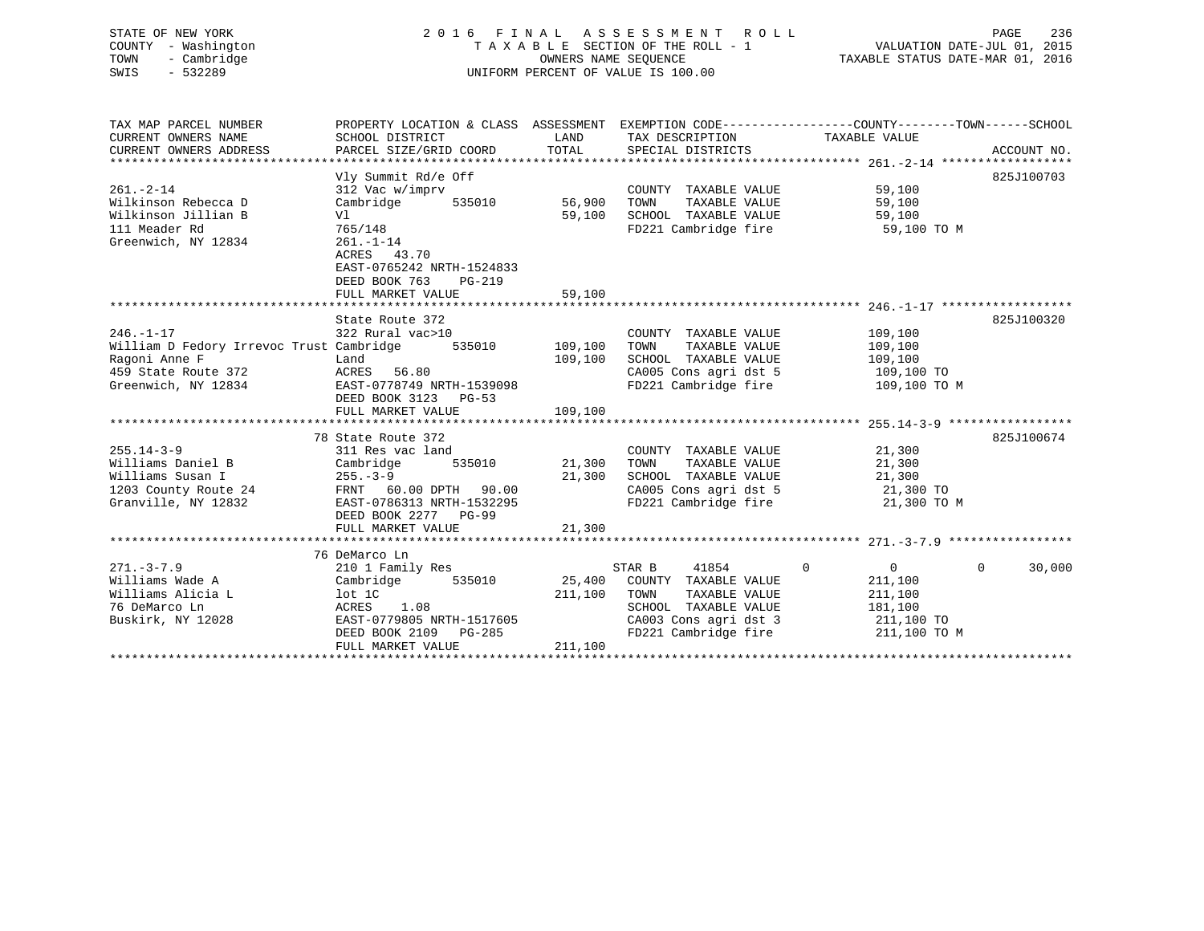| STATE OF NEW YORK   | 2016 FINAL ASSESSMENT ROLL         | 236<br>PAGE                      |
|---------------------|------------------------------------|----------------------------------|
| COUNTY - Washington | TAXABLE SECTION OF THE ROLL - 1    | VALUATION DATE-JUL 01, 2015      |
| - Cambridge<br>TOWN | OWNERS NAME SEOUENCE               | TAXABLE STATUS DATE-MAR 01, 2016 |
| $-532289$<br>SWIS   | UNIFORM PERCENT OF VALUE IS 100.00 |                                  |
|                     |                                    |                                  |
|                     |                                    |                                  |
|                     |                                    |                                  |

| TAX MAP PARCEL NUMBER<br>CURRENT OWNERS NAME | PROPERTY LOCATION & CLASS ASSESSMENT<br>SCHOOL DISTRICT |               |                                               | EXEMPTION CODE-----------------COUNTY-------TOWN------SCHOOL<br>TAXABLE VALUE |                    |
|----------------------------------------------|---------------------------------------------------------|---------------|-----------------------------------------------|-------------------------------------------------------------------------------|--------------------|
| CURRENT OWNERS ADDRESS                       | PARCEL SIZE/GRID COORD                                  | LAND<br>TOTAL | TAX DESCRIPTION<br>SPECIAL DISTRICTS          |                                                                               | ACCOUNT NO.        |
|                                              |                                                         |               |                                               |                                                                               |                    |
|                                              | Vly Summit Rd/e Off                                     |               |                                               |                                                                               | 825J100703         |
| $261 - 2 - 14$                               | 312 Vac w/imprv                                         |               | COUNTY TAXABLE VALUE                          | 59,100                                                                        |                    |
| Wilkinson Rebecca D                          | Cambridge<br>535010                                     | 56,900        | TOWN<br>TAXABLE VALUE                         | 59,100                                                                        |                    |
| Wilkinson Jillian B                          | Vl                                                      | 59,100        | SCHOOL TAXABLE VALUE                          | 59,100                                                                        |                    |
| 111 Meader Rd                                | 765/148                                                 |               | FD221 Cambridge fire                          | $59,100$ TO M                                                                 |                    |
| Greenwich, NY 12834                          | $261. - 1 - 14$                                         |               |                                               |                                                                               |                    |
|                                              | ACRES 43.70                                             |               |                                               |                                                                               |                    |
|                                              | EAST-0765242 NRTH-1524833                               |               |                                               |                                                                               |                    |
|                                              | DEED BOOK 763<br>PG-219<br>FULL MARKET VALUE            | 59,100        |                                               |                                                                               |                    |
|                                              |                                                         |               |                                               |                                                                               |                    |
|                                              | State Route 372                                         |               |                                               |                                                                               | 825J100320         |
| $246. - 1 - 17$                              | 322 Rural vac>10                                        |               | COUNTY TAXABLE VALUE                          | 109,100                                                                       |                    |
| William D Fedory Irrevoc Trust Cambridge     | 535010                                                  | 109,100       | TOWN<br>TAXABLE VALUE                         | 109,100                                                                       |                    |
| Ragoni Anne F                                | Land                                                    | 109,100       | SCHOOL TAXABLE VALUE                          | 109,100                                                                       |                    |
| 459 State Route 372                          | ACRES 56.80                                             |               | CA005 Cons agri dst 5                         | 109,100 TO                                                                    |                    |
| Greenwich, NY 12834                          | EAST-0778749 NRTH-1539098                               |               | FD221 Cambridge fire                          | 109,100 TO M                                                                  |                    |
|                                              | DEED BOOK 3123 PG-53                                    |               |                                               |                                                                               |                    |
|                                              | FULL MARKET VALUE                                       | 109,100       |                                               |                                                                               |                    |
|                                              |                                                         |               |                                               |                                                                               | 825J100674         |
| $255.14 - 3 - 9$                             | 78 State Route 372<br>311 Res vac land                  |               | COUNTY TAXABLE VALUE                          | 21,300                                                                        |                    |
| Williams Daniel B                            | 535010<br>Cambridge                                     | 21,300        | TOWN<br>TAXABLE VALUE                         | 21,300                                                                        |                    |
| Williams Susan I                             | $255. - 3 - 9$                                          | 21,300        | SCHOOL TAXABLE VALUE                          | 21,300                                                                        |                    |
| 1203 County Route 24                         | FRNT 60.00 DPTH 90.00                                   |               | CA005 Cons agri dst 5                         | $21,300$ TO                                                                   |                    |
| Granville, NY 12832                          | EAST-0786313 NRTH-1532295                               |               | FD221 Cambridge fire                          | 21,300 TO M                                                                   |                    |
|                                              | DEED BOOK 2277 PG-99                                    |               |                                               |                                                                               |                    |
|                                              | FULL MARKET VALUE                                       | 21,300        |                                               |                                                                               |                    |
|                                              |                                                         |               |                                               |                                                                               |                    |
|                                              | 76 DeMarco Ln                                           |               |                                               |                                                                               |                    |
| $271. - 3 - 7.9$                             | 210 1 Family Res                                        |               | STAR B<br>41854                               | $\overline{0}$<br>$\mathbf{0}$                                                | $\Omega$<br>30,000 |
| Williams Wade A                              | Cambridge 535010                                        | 25,400        | COUNTY TAXABLE VALUE                          | 211,100                                                                       |                    |
| Williams Alicia L                            | lot 1C                                                  | 211,100       | TOWN<br>TAXABLE VALUE                         | 211,100                                                                       |                    |
| 76 DeMarco Ln                                | ACRES<br>1.08                                           |               | SCHOOL TAXABLE VALUE                          | 181,100                                                                       |                    |
| Buskirk, NY 12028                            | EAST-0779805 NRTH-1517605<br>DEED BOOK 2109 PG-285      |               | CA003 Cons agri dst 3<br>FD221 Cambridge fire | 211,100 TO<br>211,100 TO M                                                    |                    |
|                                              | FULL MARKET VALUE                                       | 211,100       |                                               |                                                                               |                    |
|                                              |                                                         |               |                                               |                                                                               |                    |
|                                              |                                                         |               |                                               |                                                                               |                    |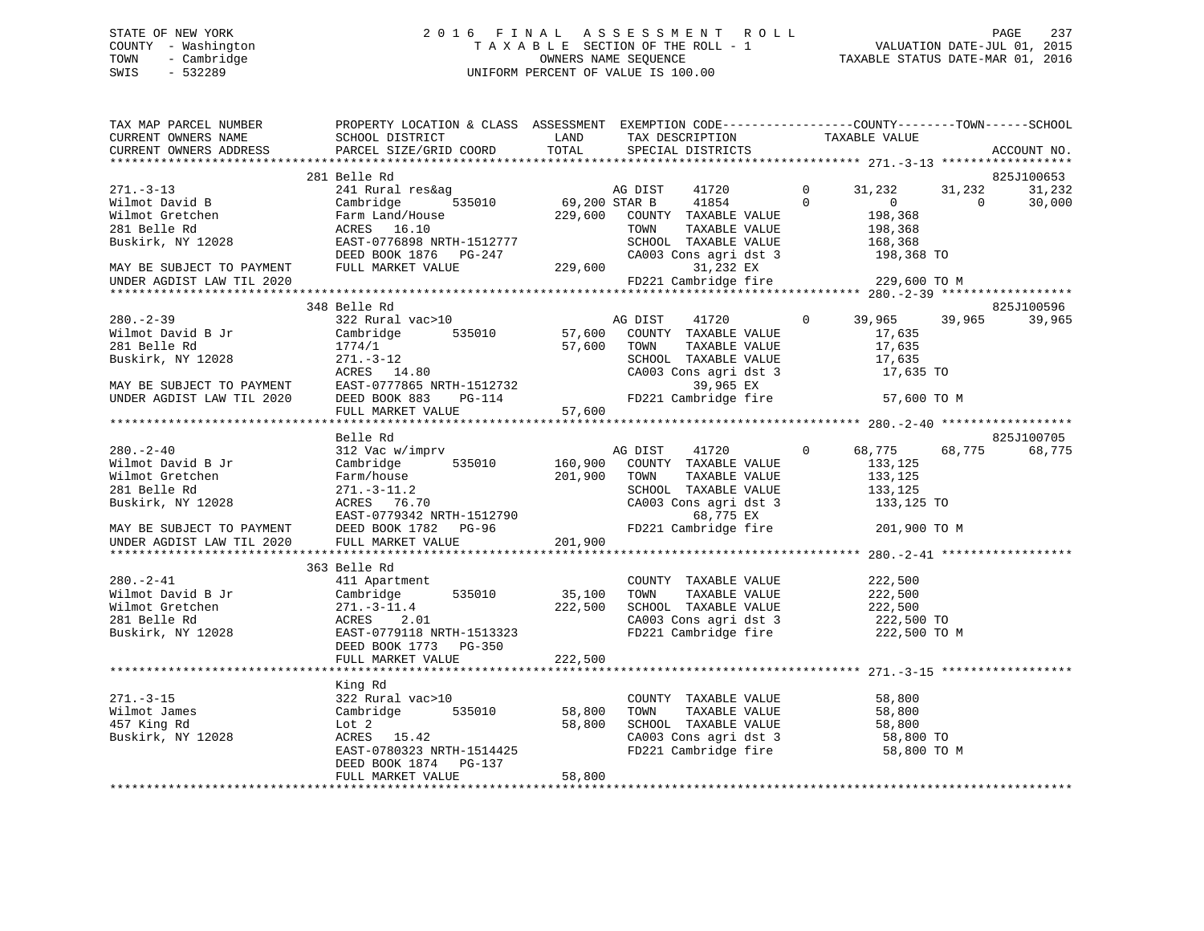# STATE OF NEW YORK 2 0 1 6 F I N A L A S S E S S M E N T R O L L PAGE 237 COUNTY - Washington T A X A B L E SECTION OF THE ROLL - 1 VALUATION DATE-JUL 01, 2015 TOWN - Cambridge OWNERS NAME SEQUENCE TAXABLE STATUS DATE-MAR 01, 2016 SWIS - 532289 UNIFORM PERCENT OF VALUE IS 100.00

| TAX MAP PARCEL NUMBER<br>CURRENT OWNERS NAME<br>CURRENT OWNERS ADDRESS                                                                                                                                                             | PROPERTY LOCATION & CLASS ASSESSMENT EXEMPTION CODE----------------COUNTY-------TOWN-----SCHOOL<br><b>EXAMPLE EXAMPLE EXAMPLE EXAMPLE EXAMPLE EXAMPLE EXAMPLE EXAMPLE EXAMPLE EXAMPLE EXAMPLE EXAMPLE EXAMPLE EXAMPLE EXAMPLE EXAMPLE EXAMPLE EXAMPLE EXAMPLE EXAMPLE EXAMPLE EXAMPLE EXAMPLE EXAMPLE EXAMPLE EXAMPLE EXAMPLE EXAMP</b><br>SCHOOL DISTRICT<br>PARCEL SIZE/GRID COORD | TOTAL                        | TAX DESCRIPTION<br>SPECIAL DISTRICTS                                                           | TAXABLE VALUE                                                                                                                                       |                    | ACCOUNT NO.      |
|------------------------------------------------------------------------------------------------------------------------------------------------------------------------------------------------------------------------------------|--------------------------------------------------------------------------------------------------------------------------------------------------------------------------------------------------------------------------------------------------------------------------------------------------------------------------------------------------------------------------------------|------------------------------|------------------------------------------------------------------------------------------------|-----------------------------------------------------------------------------------------------------------------------------------------------------|--------------------|------------------|
|                                                                                                                                                                                                                                    |                                                                                                                                                                                                                                                                                                                                                                                      |                              |                                                                                                |                                                                                                                                                     |                    |                  |
|                                                                                                                                                                                                                                    | 281 Belle Rd                                                                                                                                                                                                                                                                                                                                                                         |                              |                                                                                                |                                                                                                                                                     |                    | 825J100653       |
|                                                                                                                                                                                                                                    | 2013 2013 2013 2013 2013 2014 2023 2014 2023 2014 2023 203 2041 2023 203 2041 2023 203 2041 2023 203 2041 2023<br>2013 2023 203 2041 2023 203 2041 2023 203 2041 203 2041 203 2041 203 2041 203 2041 203 2041 203 2041 203 2041<br>                                                                                                                                                  |                              |                                                                                                |                                                                                                                                                     | 31,232<br>$\Omega$ | 31,232<br>30,000 |
| MAY BE SUBJECT TO PAYMENT                                                                                                                                                                                                          | FULL MARKET VALUE $229,600$                                                                                                                                                                                                                                                                                                                                                          |                              | CHOOL TAXABLE VALUE<br>CA003 Cons agri dst 3<br>31,232 EX<br>FD221 Cambridge fire 329,600 TO M |                                                                                                                                                     |                    |                  |
| UNDER AGDIST LAW TIL 2020                                                                                                                                                                                                          |                                                                                                                                                                                                                                                                                                                                                                                      |                              |                                                                                                |                                                                                                                                                     |                    |                  |
|                                                                                                                                                                                                                                    |                                                                                                                                                                                                                                                                                                                                                                                      |                              |                                                                                                |                                                                                                                                                     |                    | 825J100596       |
| $280 - 2 - 39$<br>Wilmot David B Jr                                                                                                                                                                                                | 348 Belle Rd<br>322 Rural vac>10<br>Cambridge 535010 57,600 COUNTY TAXABLE VALUE<br>281 Belle Rd<br>271.-3-12 57,600 TOWN<br>Buskirk, NY 12028 271.-3-12 SCHOO!<br>ACRES 14.80 CA003<br>MAY BE SUBJECT TO PAYMENT EAST-0777865 NRTH-1512732<br>UNDER AGDIST LAW TIL 2020 DEED BOOK 883 PG-114 FD221                                                                                  |                              | AG DIST 41720 0 39,965 39,965<br>TAXABLE VALUE<br>39,965 EX                                    | 17,635<br>17,635<br>SCHOOL TAXABLE VALUE 17,635<br>CA003 Cons agri dst 3 17,635 TO                                                                  |                    | 39,965           |
|                                                                                                                                                                                                                                    |                                                                                                                                                                                                                                                                                                                                                                                      |                              |                                                                                                | FD221 Cambridge fire 57,600 TO M                                                                                                                    |                    |                  |
|                                                                                                                                                                                                                                    | FULL MARKET VALUE 57,600                                                                                                                                                                                                                                                                                                                                                             |                              |                                                                                                |                                                                                                                                                     |                    |                  |
|                                                                                                                                                                                                                                    |                                                                                                                                                                                                                                                                                                                                                                                      |                              |                                                                                                |                                                                                                                                                     |                    |                  |
|                                                                                                                                                                                                                                    | Belle Rd                                                                                                                                                                                                                                                                                                                                                                             |                              |                                                                                                |                                                                                                                                                     |                    | 825J100705       |
| $280 - 2 - 40$<br>280.-2-40<br>Wilmot David B Jr<br>Wilmot Gretchen<br>EURES 76.70<br>Buskirk, NY 12028<br>MAY BE SUBJECT TO PAYMENT DEED BOOK 1782 FUNDER AGDIST LAW TIL 2020 FULL MARKET VALUE<br>201 Dense<br>Buskirk, NY 12028 | 312 Vac w/imprv<br>$Cambridge$ 535010<br>Eamm/house 5555556<br>Farm/house 201,900<br>271.-3-11.2<br>ACRES 76.70<br>EAST-0779342 NRTH-1512790<br>DEED BOOK 1782 PG-96 201,900<br>FULL MARKET VALUE 201,900                                                                                                                                                                            |                              | AG DIST 41720<br>160,900 COUNTY TAXABLE VALUE<br>TOWN<br>68,775 EX<br>FD221 Cambridge fire     | $\mathbf{0}$<br>68,775<br>133,125<br>TOWN TAXABLE VALUE 133,125<br>SCHOOL TAXABLE VALUE 133,125<br>CA003 Cons agri dst 3 133,125 TO<br>201,900 TO M | 68,775             | 68,775           |
|                                                                                                                                                                                                                                    |                                                                                                                                                                                                                                                                                                                                                                                      |                              |                                                                                                |                                                                                                                                                     |                    |                  |
| $280. - 2 - 41$                                                                                                                                                                                                                    | 363 Belle Rd<br>411 Apartment<br>Expose 2.01<br>Wilmot David B Jr<br>Wilmot Gretchen 271.-3-11.4<br>281 Belle Rd 271.-3-11.4<br>Buskirk, NY 12028 EAST-0779118 NRTH-1513323<br>271.-3-11.4 222,500<br>ACRES 2.01 222,500<br>EAST-0779118 NRTH-1513323<br>DEED BOOK 1773 PG-350<br>FULL MARKET VALUE                                                                                  | $35,100$<br>$222$<br>222,500 | CA003 Cons agri dst 3<br>FD221 Cambridge fire                                                  | COUNTY TAXABLE VALUE 222,500<br>TOWN TAXABLE VALUE 222,500<br>SCHOOL TAXABLE VALUE 222,500<br>222,500 TO<br>222,500 TO M                            |                    |                  |
|                                                                                                                                                                                                                                    |                                                                                                                                                                                                                                                                                                                                                                                      |                              |                                                                                                |                                                                                                                                                     |                    |                  |
|                                                                                                                                                                                                                                    | King Rd                                                                                                                                                                                                                                                                                                                                                                              |                              |                                                                                                |                                                                                                                                                     |                    |                  |
| $271. - 3 - 15$                                                                                                                                                                                                                    | 322 Rural vac>10                                                                                                                                                                                                                                                                                                                                                                     |                              |                                                                                                | COUNTY TAXABLE VALUE 58,800                                                                                                                         |                    |                  |
| Wilmot James                                                                                                                                                                                                                       |                                                                                                                                                                                                                                                                                                                                                                                      |                              |                                                                                                |                                                                                                                                                     |                    |                  |
| 457 King Rd                                                                                                                                                                                                                        | Cambridge 535010 58,800<br>Lot 2 58,800<br>ACRES 15.42 58,800<br>LOT 2<br>ACRES 15.42                                                                                                                                                                                                                                                                                                |                              |                                                                                                | TOWN TAXABLE VALUE 58,800<br>SCHOOL TAXABLE VALUE 58,800<br>CA003 Cons agri dst 3 58 800                                                            |                    |                  |
| Buskirk, NY 12028                                                                                                                                                                                                                  | EAST-0780323 NRTH-1514425<br>DEED BOOK 1874 PG-137<br>FULL MARKET VALUE                                                                                                                                                                                                                                                                                                              | 58,800                       |                                                                                                | CA003 Cons agri dst 3 58,800 TO<br>FD221 Cambridge fire 58,800 TO M                                                                                 |                    |                  |
|                                                                                                                                                                                                                                    |                                                                                                                                                                                                                                                                                                                                                                                      |                              |                                                                                                |                                                                                                                                                     |                    |                  |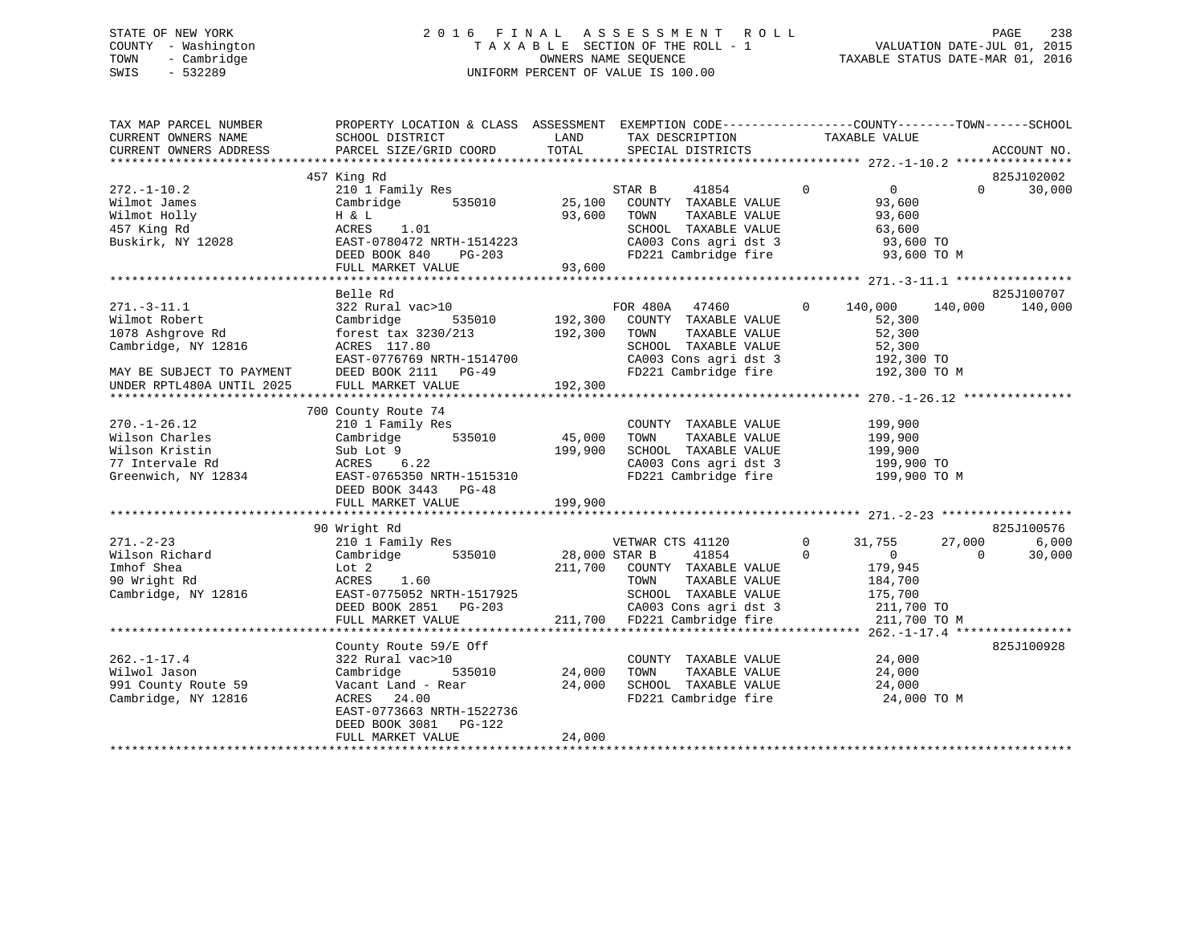# STATE OF NEW YORK 2 0 1 6 F I N A L A S S E S S M E N T R O L L PAGE 238 COUNTY - Washington T A X A B L E SECTION OF THE ROLL - 1 VALUATION DATE-JUL 01, 2015 TOWN - Cambridge OWNERS NAME SEQUENCE TAXABLE STATUS DATE-MAR 01, 2016 SWIS - 532289 UNIFORM PERCENT OF VALUE IS 100.00

| TAX MAP PARCEL NUMBER<br>CURRENT OWNERS NAME<br>CURRENT OWNERS ADDRESS | PROPERTY LOCATION & CLASS ASSESSMENT<br>SCHOOL DISTRICT<br>PARCEL SIZE/GRID COORD | LAND<br>TOTAL | EXEMPTION CODE-----------------COUNTY-------TOWN------SCHOOL<br>TAX DESCRIPTION<br>SPECIAL DISTRICTS | TAXABLE VALUE              | ACCOUNT NO.        |
|------------------------------------------------------------------------|-----------------------------------------------------------------------------------|---------------|------------------------------------------------------------------------------------------------------|----------------------------|--------------------|
|                                                                        |                                                                                   |               |                                                                                                      |                            |                    |
|                                                                        | 457 King Rd                                                                       |               |                                                                                                      |                            | 825J102002         |
| $272. - 1 - 10.2$                                                      | 210 1 Family Res                                                                  |               | STAR B<br>41854                                                                                      | $\sim$ 0<br>$\overline{0}$ | 30,000<br>$\Omega$ |
| Wilmot James                                                           | 535010<br>Cambridge                                                               |               | 25,100 COUNTY TAXABLE VALUE                                                                          | 93,600                     |                    |
| Wilmot Holly                                                           | H & L                                                                             | 93,600        | TOWN<br>TAXABLE VALUE                                                                                | 93,600                     |                    |
| 457 King Rd                                                            | 1.01<br>ACRES                                                                     |               | SCHOOL TAXABLE VALUE                                                                                 | 63,600                     |                    |
| Buskirk, NY 12028                                                      | EAST-0780472 NRTH-1514223                                                         |               |                                                                                                      | 93,600 TO                  |                    |
|                                                                        | DEED BOOK 840<br>PG-203                                                           |               | CA003 Cons agri dst 3<br>FD221 Cambridge fire                                                        | 93,600 TO M                |                    |
|                                                                        | FULL MARKET VALUE                                                                 | 93,600        |                                                                                                      |                            |                    |
|                                                                        |                                                                                   |               |                                                                                                      |                            |                    |
|                                                                        | Belle Rd                                                                          |               |                                                                                                      |                            | 825J100707         |
| $271. - 3 - 11.1$                                                      | 322 Rural vac>10                                                                  |               | FOR 480A 47460 0                                                                                     | 140,000                    | 140,000<br>140,000 |
| Wilmot Robert                                                          | 535010<br>Cambridge                                                               |               |                                                                                                      | 52,300                     |                    |
| 1078 Ashgrove Rd                                                       | forest tax 3230/213                                                               |               | 192,300 COUNTY TAXABLE VALUE<br>192,300 TOWN TAXABLE VALUE<br>TAXABLE VALUE                          | 52,300                     |                    |
| Cambridge, NY 12816                                                    | ACRES 117.80                                                                      |               |                                                                                                      | 52,300                     |                    |
|                                                                        | EAST-0776769 NRTH-1514700                                                         |               | SCHOOL TAXABLE VALUE<br>CA003 Cons agri dst 3                                                        | $192,300$ TO               |                    |
| MAY BE SUBJECT TO PAYMENT                                              | DEED BOOK 2111 PG-49                                                              |               | FD221 Cambridge fire                                                                                 | 192,300 TO M               |                    |
| UNDER RPTL480A UNTIL 2025                                              | FULL MARKET VALUE                                                                 | 192,300       |                                                                                                      |                            |                    |
|                                                                        |                                                                                   |               |                                                                                                      |                            |                    |
|                                                                        | 700 County Route 74                                                               |               |                                                                                                      |                            |                    |
|                                                                        |                                                                                   |               |                                                                                                      |                            |                    |
| $270. - 1 - 26.12$                                                     | 210 1 Family Res                                                                  |               | COUNTY TAXABLE VALUE                                                                                 | 199,900                    |                    |
| Wilson Charles                                                         | Cambridge 535010                                                                  | 45,000        | TOWN<br>TAXABLE VALUE                                                                                | 199,900                    |                    |
| Wilson Kristin                                                         | Sub Lot 9                                                                         | 199,900       | SCHOOL TAXABLE VALUE                                                                                 | 199,900                    |                    |
| 77 Intervale Rd                                                        | ACRES 6.22                                                                        |               | CA003 Cons agri dst 3<br>FD221 Cambridge fire                                                        | 199,900 TO                 |                    |
| Greenwich, NY 12834                                                    | EAST-0765350 NRTH-1515310                                                         |               |                                                                                                      | 199,900 TO M               |                    |
|                                                                        | DEED BOOK 3443 PG-48                                                              |               |                                                                                                      |                            |                    |
|                                                                        | FULL MARKET VALUE                                                                 | 199,900       |                                                                                                      |                            |                    |
|                                                                        |                                                                                   |               |                                                                                                      |                            |                    |
|                                                                        | 90 Wright Rd                                                                      |               |                                                                                                      |                            | 825J100576         |
| $271. - 2 - 23$                                                        | 210 1 Family Res                                                                  |               | VETWAR CTS 41120                                                                                     | $\overline{0}$<br>31,755   | 27,000<br>6,000    |
| Wilson Richard                                                         | 535010<br>Cambridge                                                               | 28,000 STAR B | 41854                                                                                                | $\Omega$<br>$\overline{0}$ | 30,000<br>$\Omega$ |
| Imhof Shea                                                             | Lot 2                                                                             |               | 211,700 COUNTY TAXABLE VALUE                                                                         | 179,945                    |                    |
| 90 Wright Rd                                                           | ACRES<br>1.60                                                                     |               | TAXABLE VALUE<br>TOWN                                                                                | 184,700                    |                    |
| Cambridge, NY 12816                                                    | EAST-0775052 NRTH-1517925                                                         |               | SCHOOL TAXABLE VALUE                                                                                 | 175,700                    |                    |
|                                                                        | DEED BOOK 2851 PG-203                                                             |               | CA003 Cons agri dst 3                                                                                | 211,700 TO                 |                    |
|                                                                        | FULL MARKET VALUE                                                                 |               | 211,700 FD221 Cambridge fire                                                                         | 211,700 TO M               |                    |
|                                                                        |                                                                                   |               |                                                                                                      |                            |                    |
|                                                                        | County Route 59/E Off                                                             |               |                                                                                                      |                            | 825J100928         |
| $262. - 1 - 17.4$                                                      | 322 Rural vac>10                                                                  |               | COUNTY TAXABLE VALUE                                                                                 | 24,000                     |                    |
| Wilwol Jason                                                           | Cambridge<br>535010                                                               | 24,000        | TAXABLE VALUE<br>TOWN                                                                                | 24,000                     |                    |
| 991 County Route 59                                                    | Vacant Land - Rear                                                                | 24,000        |                                                                                                      | 24,000                     |                    |
| Cambridge, NY 12816                                                    | ACRES<br>24.00                                                                    |               | SCHOOL TAXABLE VALUE<br>FD221 Cambridge fire                                                         | 24,000 TO M                |                    |
|                                                                        | EAST-0773663 NRTH-1522736                                                         |               |                                                                                                      |                            |                    |
|                                                                        | DEED BOOK 3081 PG-122                                                             |               |                                                                                                      |                            |                    |
|                                                                        | FULL MARKET VALUE                                                                 | 24,000        |                                                                                                      |                            |                    |
|                                                                        |                                                                                   |               |                                                                                                      |                            |                    |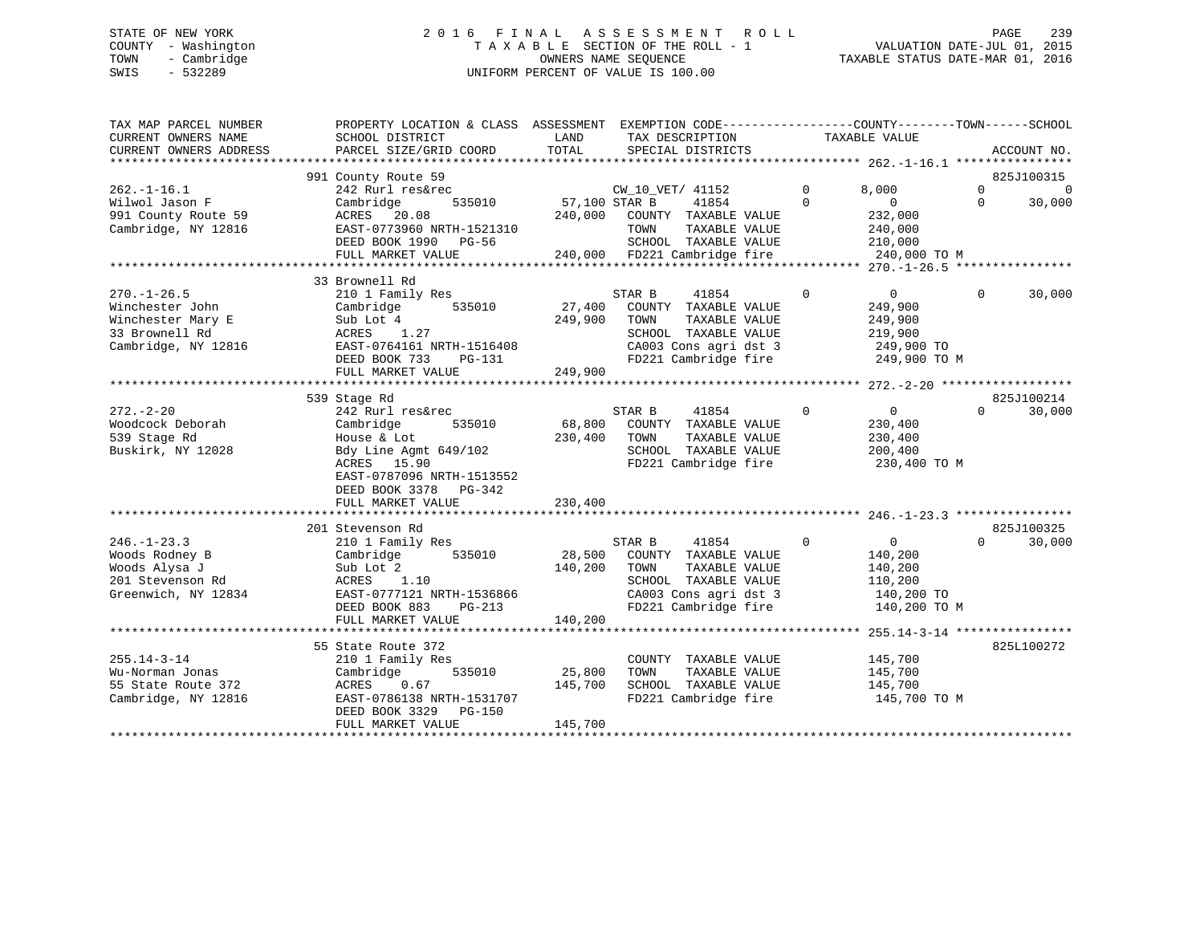# STATE OF NEW YORK 2 0 1 6 F I N A L A S S E S S M E N T R O L L PAGE 239 COUNTY - Washington T A X A B L E SECTION OF THE ROLL - 1 VALUATION DATE-JUL 01, 2015 TOWN - Cambridge OWNERS NAME SEQUENCE TAXABLE STATUS DATE-MAR 01, 2016 SWIS - 532289 UNIFORM PERCENT OF VALUE IS 100.00

| TAX MAP PARCEL NUMBER<br>CURRENT OWNERS NAME<br>CURRENT OWNERS ADDRESS | PROPERTY LOCATION & CLASS ASSESSMENT EXEMPTION CODE----------------COUNTY-------TOWN-----SCHOOL<br>SCHOOL DISTRICT<br>PARCEL SIZE/GRID COORD | LAND<br>TOTAL | TAX DESCRIPTION<br>SPECIAL DISTRICTS                                  | TAXABLE VALUE |                |          | ACCOUNT NO.    |
|------------------------------------------------------------------------|----------------------------------------------------------------------------------------------------------------------------------------------|---------------|-----------------------------------------------------------------------|---------------|----------------|----------|----------------|
|                                                                        |                                                                                                                                              |               |                                                                       |               |                |          |                |
|                                                                        | 991 County Route 59                                                                                                                          |               |                                                                       |               |                |          | 825J100315     |
| $262. - 1 - 16.1$                                                      | 242 Rurl res&rec                                                                                                                             |               | CW_10_VET/ 41152                                                      | $\mathbf 0$   | 8,000          | $\Omega$ | $\overline{0}$ |
| Wilwol Jason F                                                         | 535010<br>Cambridge                                                                                                                          | 57,100 STAR B | 41854                                                                 | $\Omega$      | $\overline{0}$ | $\Omega$ | 30,000         |
| 991 County Route 59                                                    |                                                                                                                                              |               |                                                                       |               | 232,000        |          |                |
| Cambridge, NY 12816                                                    |                                                                                                                                              |               |                                                                       |               | 240,000        |          |                |
|                                                                        |                                                                                                                                              |               |                                                                       | 210,000       |                |          |                |
|                                                                        |                                                                                                                                              |               |                                                                       |               | 240,000 TO M   |          |                |
|                                                                        |                                                                                                                                              |               |                                                                       |               |                |          |                |
|                                                                        | 33 Brownell Rd                                                                                                                               |               |                                                                       |               |                |          |                |
| $270. - 1 - 26.5$                                                      | 210 1 Family Res                                                                                                                             |               | STAR B<br>41854                                                       | $\Omega$      | $\overline{0}$ | $\Omega$ | 30,000         |
| Winchester John                                                        | Cambridge<br>535010                                                                                                                          | 27,400        | COUNTY TAXABLE VALUE                                                  |               | 249,900        |          |                |
| Winchester Mary E                                                      | Sub Lot 4                                                                                                                                    | 249,900       | TOWN<br>TAXABLE VALUE                                                 |               | 249,900        |          |                |
| 33 Brownell Rd                                                         | ACRES 1.27                                                                                                                                   |               | SCHOOL TAXABLE VALUE                                                  |               | 219,900        |          |                |
| Cambridge, NY 12816                                                    | EAST-0764161 NRTH-1516408                                                                                                                    |               |                                                                       |               |                |          |                |
|                                                                        | DEED BOOK 733<br>PG-131                                                                                                                      |               | CA003 Cons agri dst 3 249,900 TO<br>FD221 Cambridge fire 249,900 TO M |               |                |          |                |
|                                                                        | FULL MARKET VALUE                                                                                                                            | 249,900       |                                                                       |               |                |          |                |
|                                                                        |                                                                                                                                              |               |                                                                       |               |                |          |                |
|                                                                        | 539 Stage Rd                                                                                                                                 |               |                                                                       |               |                |          | 825J100214     |
| $272. - 2 - 20$                                                        | 242 Rurl res&rec                                                                                                                             |               | STAR B<br>41854                                                       | $\Omega$      | $\overline{0}$ | $\Omega$ | 30,000         |
| Woodcock Deborah                                                       | 535010<br>Cambridge                                                                                                                          | 68,800        | COUNTY TAXABLE VALUE                                                  |               | 230,400        |          |                |
| 539 Stage Rd                                                           | House & Lot                                                                                                                                  | 230,400       | TAXABLE VALUE<br>TOWN                                                 |               | 230,400        |          |                |
| Buskirk, NY 12028                                                      | Bdy Line Agmt 649/102                                                                                                                        |               | SCHOOL TAXABLE VALUE                                                  |               | 200,400        |          |                |
|                                                                        | ACRES 15.90                                                                                                                                  |               | FD221 Cambridge fire                                                  |               | 230,400 TO M   |          |                |
|                                                                        | EAST-0787096 NRTH-1513552                                                                                                                    |               |                                                                       |               |                |          |                |
|                                                                        | DEED BOOK 3378 PG-342                                                                                                                        |               |                                                                       |               |                |          |                |
|                                                                        | FULL MARKET VALUE                                                                                                                            | 230,400       |                                                                       |               |                |          |                |
|                                                                        |                                                                                                                                              |               |                                                                       |               |                |          |                |
|                                                                        | 201 Stevenson Rd                                                                                                                             |               |                                                                       |               |                |          | 825J100325     |
| $246. - 1 - 23.3$                                                      | 210 1 Family Res                                                                                                                             |               | STAR B<br>41854                                                       | $\mathbf 0$   | $\overline{0}$ | $\Omega$ | 30,000         |
| Woods Rodney B                                                         | 535010<br>Cambridge                                                                                                                          | 28,500        | COUNTY TAXABLE VALUE                                                  |               | 140,200        |          |                |
| Woods Alysa J                                                          | Sub Lot 2                                                                                                                                    | 140,200       | TAXABLE VALUE<br>TOWN                                                 |               | 140,200        |          |                |
| 201 Stevenson Rd                                                       | ACRES 1.10                                                                                                                                   |               | SCHOOL TAXABLE VALUE                                                  |               | 110,200        |          |                |
| Greenwich, NY 12834                                                    | EAST-0777121 NRTH-1536866                                                                                                                    |               | CA003 Cons agri dst 3 140,200 TO                                      |               |                |          |                |
|                                                                        | DEED BOOK 883<br>PG-213                                                                                                                      |               | FD221 Cambridge fire                                                  |               | 140,200 TO M   |          |                |
|                                                                        | FULL MARKET VALUE                                                                                                                            | 140,200       |                                                                       |               |                |          |                |
|                                                                        |                                                                                                                                              |               |                                                                       |               |                |          |                |
|                                                                        | 55 State Route 372                                                                                                                           |               |                                                                       |               |                |          | 825L100272     |
| $255.14 - 3 - 14$                                                      | 210 1 Family Res                                                                                                                             |               | COUNTY TAXABLE VALUE                                                  |               | 145,700        |          |                |
| Wu-Norman Jonas                                                        | 535010<br>Cambridge                                                                                                                          | 25,800        | TOWN<br>TAXABLE VALUE                                                 |               | 145,700        |          |                |
| 55 State Route 372                                                     | ACRES<br>0.67                                                                                                                                | 145,700       | SCHOOL TAXABLE VALUE                                                  |               | 145,700        |          |                |
| Cambridge, NY 12816                                                    | EAST-0786138 NRTH-1531707                                                                                                                    |               | FD221 Cambridge fire                                                  |               | 145,700 TO M   |          |                |
|                                                                        | DEED BOOK 3329 PG-150                                                                                                                        |               |                                                                       |               |                |          |                |
|                                                                        | FULL MARKET VALUE                                                                                                                            | 145,700       |                                                                       |               |                |          |                |
|                                                                        |                                                                                                                                              |               |                                                                       |               |                |          |                |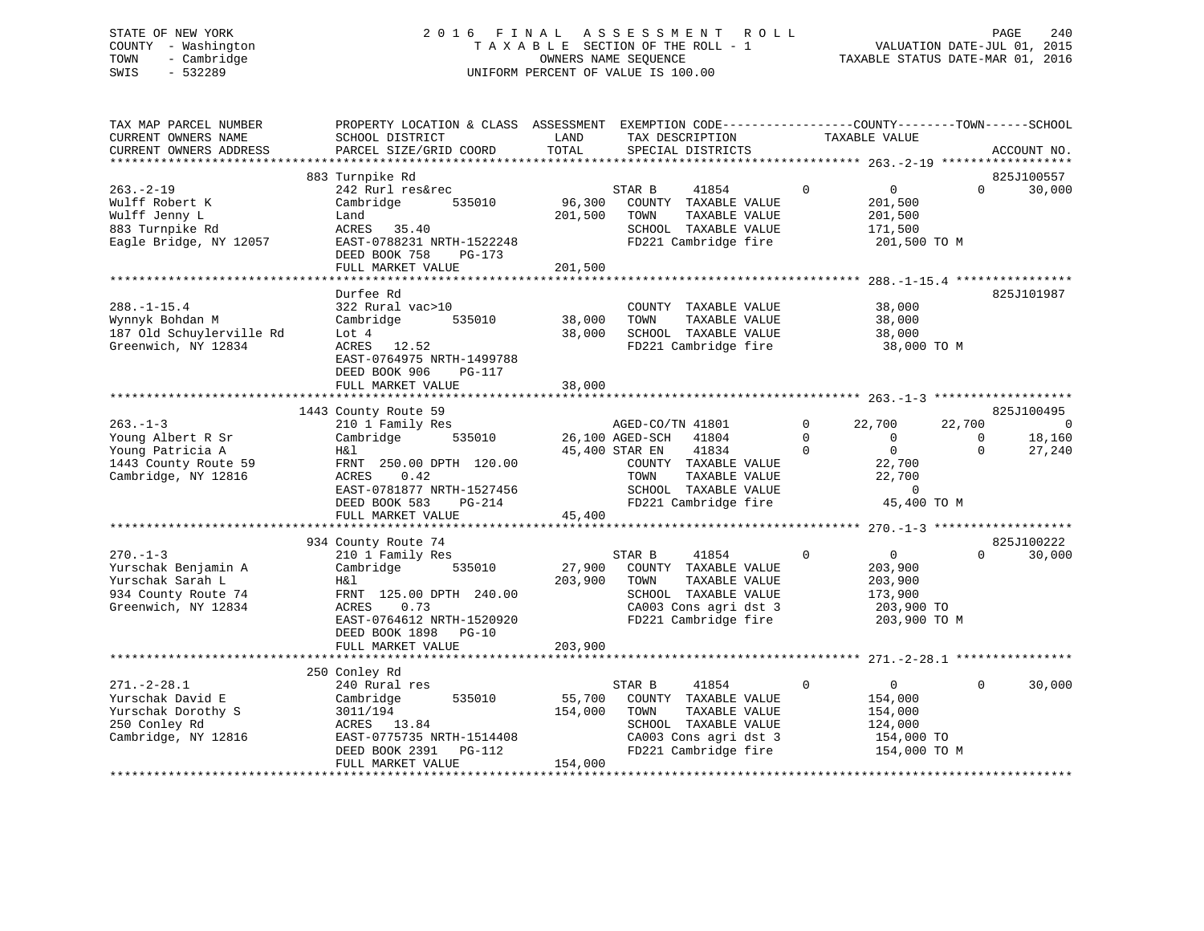# STATE OF NEW YORK 2 0 1 6 F I N A L A S S E S S M E N T R O L L PAGE 240 COUNTY - Washington T A X A B L E SECTION OF THE ROLL - 1 VALUATION DATE-JUL 01, 2015 TOWN - Cambridge OWNERS NAME SEQUENCE TAXABLE STATUS DATE-MAR 01, 2016 SWIS - 532289 UNIFORM PERCENT OF VALUE IS 100.00

| TAX MAP PARCEL NUMBER<br>CURRENT OWNERS NAME<br>CURRENT OWNERS ADDRESS                                                                                                                   | PROPERTY LOCATION & CLASS ASSESSMENT EXEMPTION CODE----------------COUNTY-------TOWN------SCHOOL<br>SCHOOL DISTRICT<br>PARCEL SIZE/GRID COORD                                                                                                                                                       | LAND<br>TOTAL                | TAX DESCRIPTION<br>SPECIAL DISTRICTS                                                                                                                                                                                                                                 | TAXABLE VALUE                                                                                                                                                                                      | ACCOUNT NO.                                                                                             |
|------------------------------------------------------------------------------------------------------------------------------------------------------------------------------------------|-----------------------------------------------------------------------------------------------------------------------------------------------------------------------------------------------------------------------------------------------------------------------------------------------------|------------------------------|----------------------------------------------------------------------------------------------------------------------------------------------------------------------------------------------------------------------------------------------------------------------|----------------------------------------------------------------------------------------------------------------------------------------------------------------------------------------------------|---------------------------------------------------------------------------------------------------------|
|                                                                                                                                                                                          |                                                                                                                                                                                                                                                                                                     |                              |                                                                                                                                                                                                                                                                      |                                                                                                                                                                                                    |                                                                                                         |
| $263 - 2 - 19$<br>Wulff Robert K<br>Wulff Jenny L<br>883 Turnpike Rd                                                                                                                     | 883 Turnpike Rd<br>242 Rurl res&rec<br>Cambridge<br>535010<br>Land<br>ACRES 35.40                                                                                                                                                                                                                   | 96,300<br>201,500            | STAR B<br>41854<br>COUNTY TAXABLE VALUE<br>TOWN<br>TAXABLE VALUE<br>SCHOOL TAXABLE VALUE                                                                                                                                                                             | $\mathbf{0}$<br>$\overline{0}$<br>201,500<br>201,500<br>171,500                                                                                                                                    | 825J100557<br>$\Omega$<br>30,000                                                                        |
| Eagle Bridge, NY 12057                                                                                                                                                                   | EAST-0788231 NRTH-1522248<br>DEED BOOK 758<br>PG-173<br>FULL MARKET VALUE                                                                                                                                                                                                                           | 201,500                      | FD221 Cambridge fire                                                                                                                                                                                                                                                 | 201,500 TO M                                                                                                                                                                                       |                                                                                                         |
|                                                                                                                                                                                          |                                                                                                                                                                                                                                                                                                     |                              |                                                                                                                                                                                                                                                                      |                                                                                                                                                                                                    |                                                                                                         |
| $288. - 1 - 15.4$<br>Wynnyk Bohdan M<br>187 Old Schuylerville Rd<br>Greenwich, NY 12834                                                                                                  | Durfee Rd<br>322 Rural vac>10<br>535010<br>Cambridge<br>Lot 4<br>ACRES 12.52<br>EAST-0764975 NRTH-1499788<br>DEED BOOK 906<br>PG-117                                                                                                                                                                | 38,000<br>38,000             | COUNTY TAXABLE VALUE<br>TAXABLE VALUE<br>TOWN<br>SCHOOL TAXABLE VALUE<br>FD221 Cambridge fire                                                                                                                                                                        | 38,000<br>38,000<br>38,000<br>38,000 TO M                                                                                                                                                          | 825J101987                                                                                              |
|                                                                                                                                                                                          | FULL MARKET VALUE                                                                                                                                                                                                                                                                                   | 38,000                       |                                                                                                                                                                                                                                                                      |                                                                                                                                                                                                    |                                                                                                         |
|                                                                                                                                                                                          |                                                                                                                                                                                                                                                                                                     |                              |                                                                                                                                                                                                                                                                      |                                                                                                                                                                                                    |                                                                                                         |
| $263 - 1 - 3$<br>Young Albert R Sr<br>Young Patricia A<br>1443 County Route 59<br>Cambridge, NY 12816<br>$270 - 1 - 3$<br>Yurschak Benjamin A<br>Yurschak Sarah L<br>934 County Route 74 | 1443 County Route 59<br>210 1 Family Res<br>535010<br>Cambridge<br>H&l<br>FRNT 250.00 DPTH 120.00<br>0.42<br>ACRES<br>EAST-0781877 NRTH-1527456<br>DEED BOOK 583<br>PG-214<br>FULL MARKET VALUE<br>934 County Route 74<br>210 1 Family Res<br>Cambridge<br>535010<br>H&l<br>FRNT 125.00 DPTH 240.00 | 45,400<br>27,900<br>203,900  | AGED-CO/TN 41801<br>26,100 AGED-SCH<br>41804<br>45,400 STAR EN<br>41834<br>COUNTY TAXABLE VALUE<br>TAXABLE VALUE<br>TOWN<br>SCHOOL TAXABLE VALUE<br>FD221 Cambridge fire<br>STAR B<br>41854<br>COUNTY TAXABLE VALUE<br>TOWN<br>TAXABLE VALUE<br>SCHOOL TAXABLE VALUE | $\Omega$<br>22,700<br>$\Omega$<br>$\overline{0}$<br>$\overline{0}$<br>$\Omega$<br>22,700<br>22,700<br>$\overline{0}$<br>45,400 TO M<br>$\Omega$<br>$\overline{0}$<br>203,900<br>203,900<br>173,900 | 825J100495<br>22,700<br>0<br>18,160<br>$\Omega$<br>$\Omega$<br>27,240<br>825J100222<br>$\cap$<br>30,000 |
| Greenwich, NY 12834                                                                                                                                                                      | ACRES<br>0.73<br>EAST-0764612 NRTH-1520920<br>DEED BOOK 1898<br>PG-10<br>FULL MARKET VALUE                                                                                                                                                                                                          | 203,900                      | CA003 Cons agri dst 3<br>FD221 Cambridge fire                                                                                                                                                                                                                        | 203,900 TO<br>203,900 TO M                                                                                                                                                                         |                                                                                                         |
| $271. - 2 - 28.1$<br>Yurschak David E<br>Yurschak Dorothy S<br>250 Conley Rd<br>Cambridge, NY 12816                                                                                      | 250 Conley Rd<br>240 Rural res<br>535010<br>Cambridge<br>3011/194<br>ACRES 13.84<br>EAST-0775735 NRTH-1514408<br>DEED BOOK 2391<br>PG-112<br>FULL MARKET VALUE                                                                                                                                      | 55,700<br>154,000<br>154,000 | STAR B<br>41854<br>COUNTY TAXABLE VALUE<br>TAXABLE VALUE<br>TOWN<br>SCHOOL TAXABLE VALUE<br>CA003 Cons agri dst 3<br>FD221 Cambridge fire                                                                                                                            | $\mathbf 0$<br>$\overline{0}$<br>154,000<br>154,000<br>124,000<br>154,000 TO<br>154,000 TO M                                                                                                       | $\Omega$<br>30,000                                                                                      |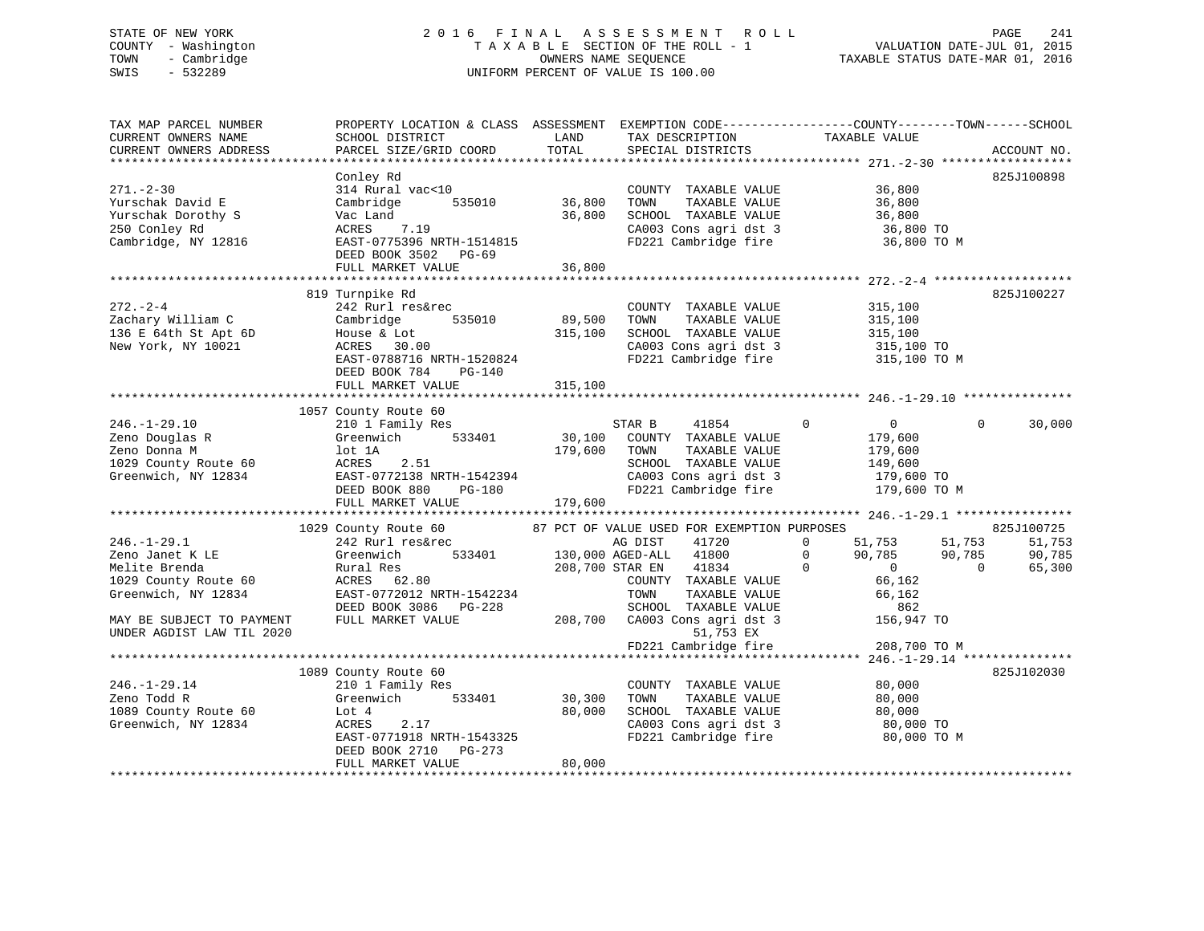# STATE OF NEW YORK 2 0 1 6 F I N A L A S S E S S M E N T R O L L PAGE 241 COUNTY - Washington T A X A B L E SECTION OF THE ROLL - 1 VALUATION DATE-JUL 01, 2015 TOWN - Cambridge OWNERS NAME SEQUENCE TAXABLE STATUS DATE-MAR 01, 2016 SWIS - 532289 UNIFORM PERCENT OF VALUE IS 100.00

| TAX MAP PARCEL NUMBER<br>CURRENT OWNERS NAME                                                          | PROPERTY LOCATION & CLASS ASSESSMENT EXEMPTION CODE---------------COUNTY-------TOWN-----SCHOOL<br>SCHOOL DISTRICT                                                                                                                | LAND               | TAX DESCRIPTION TAXABLE VALUE SPECIAL DISTRICTS                                                                                                                 |                                                                                        |                                |
|-------------------------------------------------------------------------------------------------------|----------------------------------------------------------------------------------------------------------------------------------------------------------------------------------------------------------------------------------|--------------------|-----------------------------------------------------------------------------------------------------------------------------------------------------------------|----------------------------------------------------------------------------------------|--------------------------------|
| CURRENT OWNERS ADDRESS                                                                                | PARCEL SIZE/GRID COORD TOTAL                                                                                                                                                                                                     |                    |                                                                                                                                                                 |                                                                                        | ACCOUNT NO.                    |
|                                                                                                       |                                                                                                                                                                                                                                  |                    |                                                                                                                                                                 |                                                                                        |                                |
| $271. - 2 - 30$<br>Yurschak David E                                                                   | Conley Rd<br>314 Rural vac<10<br>Cambridge                                                                                                                                                                                       | u<br>535010 36,800 | COUNTY TAXABLE VALUE<br>TAXABLE VALUE<br>TOWN                                                                                                                   | 36,800<br>36,800                                                                       | 825J100898                     |
| Yurschak Dorothy S<br>250 Conley Rd<br>Cambridge, NY 12816                                            | 20,000<br>ACRES 7.19<br>EAST-0775396 NRTH-1514815<br>DEED BOOK 3502 PG-69<br>RILL WITH                                                                                                                                           |                    | SCHOOL TAXABLE VALUE<br>FD221 Cambridge fire                                                                                                                    | 36,800<br>CA003 Cons agri dst 3<br>The 36,800 TO<br>The 36,800 TO M<br>The 36,800 TO M |                                |
|                                                                                                       |                                                                                                                                                                                                                                  |                    |                                                                                                                                                                 |                                                                                        |                                |
|                                                                                                       | 819 Turnpike Rd                                                                                                                                                                                                                  |                    |                                                                                                                                                                 |                                                                                        | 825J100227                     |
| $272 - 2 - 4$<br>Zachary William C<br>Zachary William -<br>136 E 64th St Apt 6D<br>New York, NY 10021 | 242 Rurl res&rec<br>Cambridge 535010 89,500<br>House $\&$ Lot 315,100<br>ACRES 30.00<br>EAST-0788716 NRTH-1520824<br>DEED BOOK 784<br>$PG-140$                                                                                   |                    | COUNTY TAXABLE VALUE<br>TAXABLE VALUE<br>TOWN<br>SCHOOL TAXABLE VALUE $315,100$<br>CA003 Cons agri dst 3 $315,100$ TO<br>FD221 Cambridge fire 315,100 TO M      | $315,100$<br>$315,100$                                                                 |                                |
|                                                                                                       | FULL MARKET VALUE                                                                                                                                                                                                                | 315,100            |                                                                                                                                                                 |                                                                                        |                                |
|                                                                                                       |                                                                                                                                                                                                                                  |                    |                                                                                                                                                                 |                                                                                        |                                |
| $246. - 1 - 29.10$                                                                                    | 1057 County Route 60<br>County Route 60<br>210 1 Family Res<br>Greenwich 533401 30,100 COUNTY TAXABLE VALUE<br>179,600 TOWN TAXABLE VALUE<br>COUNTY TAXABLE VALUE<br>COUNTY TAXABLE VALUE                                        |                    |                                                                                                                                                                 | $\overline{0}$<br>$\overline{0}$<br>179,600                                            | $\overline{0}$<br>30,000       |
|                                                                                                       | 246.-1-29.10<br>Zeno Douglas R (Greenwich Special Creenwich Special Creenwich, NY 12834 (Greenwich Special Creenwich Special Creenwich Special Creenwich Special Creenwich Special Creenwich Special Creenwich Special Creenwich |                    | TAXABLE VALUE<br>SCHOOL TAXABLE VALUE 149,600<br>CA003 Cons agri dst 3 179,600 TO                                                                               | 179,600<br>FD221 Cambridge fire 179,600 TO M                                           |                                |
|                                                                                                       |                                                                                                                                                                                                                                  |                    |                                                                                                                                                                 |                                                                                        |                                |
|                                                                                                       |                                                                                                                                                                                                                                  |                    |                                                                                                                                                                 |                                                                                        |                                |
| $246. - 1 - 29.1$                                                                                     | 1029 County Route 60 $\begin{array}{cccc} 87 & PCT & OF & VALUE & USED & FOR & EXEMPTION & PURPOSES \\ 242 & Rurl & res\&rec & AG & DIST & 41720 & 0 & 51,753 & 51,78 \end{array}$                                               |                    | es&rec<br>533401 130,000 AGED-ALL 41800                                                                                                                         |                                                                                        | 825J100725<br>51,753<br>51,753 |
| Zeno Janet K LE<br>Melite Brenda<br>1029 County Route 60<br>Greenwich, NY 12834                       | Greenwich<br>EAST-0772012 NRTH-1542234 TOWN TAXABLE VALUE 66,162<br>DEED BOOK 3086 PG-228 SCHOOL TAXABLE VALUE 862<br>FULL MARKET VALUE 208,700 CA003 Cons agri dst 3 156,947 TO                                                 |                    | 41834<br>COUNTY TAXABLE VALUE                                                                                                                                   | $90,785$ $90,785$ 0<br>$\begin{array}{c} 0 \\ 0 \end{array}$<br>66,162<br>66,162       | 90,785<br>65,300               |
| MAY BE SUBJECT TO PAYMENT<br>UNDER AGDIST LAW TIL 2020                                                |                                                                                                                                                                                                                                  |                    | 51,753 EX<br>FD221 Cambridge fire                                                                                                                               | 208,700 TO M                                                                           |                                |
|                                                                                                       |                                                                                                                                                                                                                                  |                    |                                                                                                                                                                 |                                                                                        |                                |
|                                                                                                       | 1089 County Route 60                                                                                                                                                                                                             |                    |                                                                                                                                                                 |                                                                                        | 825J102030                     |
| $246. - 1 - 29.14$<br>Zeno Todd R<br>1089 County Route 60<br>Greenwich, NY 12834                      | 210 1 Family Res<br>Greenwich 533401 30,300<br>Lot 4<br>2.17<br>ACRES<br>EAST-0771918 NRTH-1543325<br>DEED BOOK 2710 PG-273                                                                                                      | 80,000             | COUNTY TAXABLE VALUE<br>TOWN<br>TAXABLE VALUE<br>SCHOOL TAXABLE VALUE<br>SCHOOL TAXABLE VALUE 80,000<br>CA003 Cons agri dst 3 60,000 TO<br>FD221 Cambridge fire | 80,000<br>80,000<br>80,000<br>80,000 TO M                                              |                                |
|                                                                                                       | FULL MARKET VALUE                                                                                                                                                                                                                | 80,000             |                                                                                                                                                                 |                                                                                        |                                |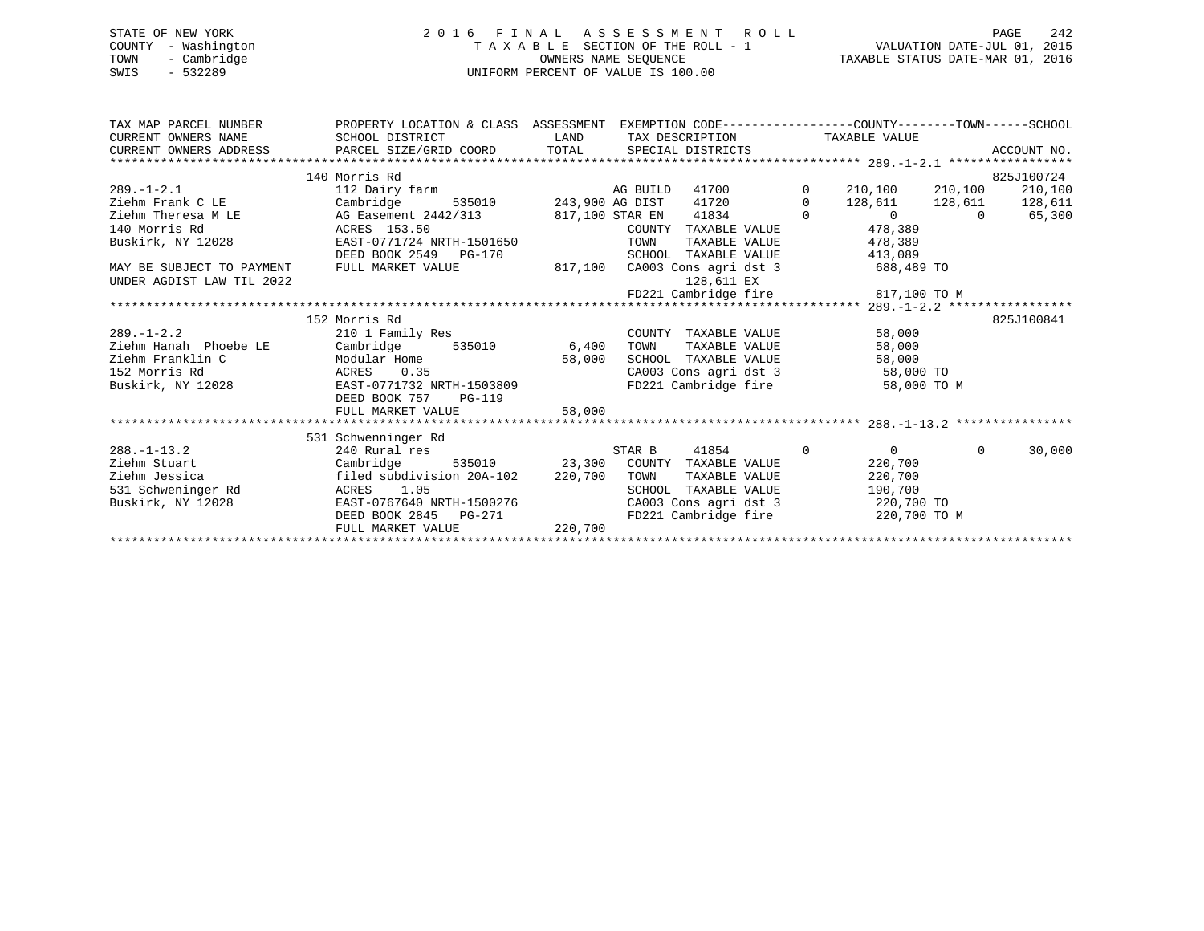# STATE OF NEW YORK 2 0 1 6 F I N A L A S S E S S M E N T R O L L PAGE 242 COUNTY - Washington T A X A B L E SECTION OF THE ROLL - 1 VALUATION DATE-JUL 01, 2015 TOWN - Cambridge OWNERS NAME SEQUENCE TAXABLE STATUS DATE-MAR 01, 2016 SWIS - 532289 UNIFORM PERCENT OF VALUE IS 100.00

| TAX MAP PARCEL NUMBER<br>CURRENT OWNERS NAME | PROPERTY LOCATION & CLASS ASSESSMENT EXEMPTION CODE---------------COUNTY-------TOWN------SCHOOL<br>SCHOOL DISTRICT |                               |          |                                               |  |              | LAND TAX DESCRIPTION TAXABLE VALUE |          |            |
|----------------------------------------------|--------------------------------------------------------------------------------------------------------------------|-------------------------------|----------|-----------------------------------------------|--|--------------|------------------------------------|----------|------------|
|                                              |                                                                                                                    |                               |          |                                               |  |              |                                    |          |            |
|                                              | 140 Morris Rd                                                                                                      |                               |          |                                               |  |              |                                    |          | 825J100724 |
| $289. -1 - 2.1$                              | 112 Dairy farm                                                                                                     |                               | AG BUILD | 41700                                         |  | $\mathsf{O}$ | 210,100                            | 210,100  | 210,100    |
| Ziehm Frank C LE                             | Cambridge                                                                                                          | 535010 243,900 AG DIST        |          | 41720                                         |  | $\Omega$     | 128,611 128,611 128,611            |          |            |
| Ziehm Theresa M LE                           | AG Easement 2442/313 817,100 STAR EN 41834                                                                         |                               |          |                                               |  | $\Omega$     | $\overline{0}$                     | $\cap$   | 65,300     |
| 140 Morris Rd                                | ACRES 153.50                                                                                                       |                               |          | COUNTY TAXABLE VALUE                          |  |              | 478,389                            |          |            |
| Buskirk, NY 12028                            | EAST-0771724 NRTH-1501650<br>DRED BOOK 3543                                                                        |                               | TOWN     | TAXABLE VALUE                                 |  |              | 478,389                            |          |            |
|                                              | DEED BOOK 2549 PG-170                                                                                              |                               | SCHOOL   | TAXABLE VALUE                                 |  |              | 413,089                            |          |            |
| MAY BE SUBJECT TO PAYMENT                    | FULL MARKET VALUE                                                                                                  | 817,100 CA003 Cons agri dst 3 |          |                                               |  |              | $688,489$ TO                       |          |            |
| UNDER AGDIST LAW TIL 2022                    |                                                                                                                    |                               |          | 128,611 EX                                    |  |              |                                    |          |            |
|                                              |                                                                                                                    |                               |          |                                               |  |              | FD221 Cambridge fire 817,100 TO M  |          |            |
|                                              |                                                                                                                    |                               |          |                                               |  |              |                                    |          |            |
|                                              | 152 Morris Rd                                                                                                      |                               |          |                                               |  |              |                                    |          | 825J100841 |
| $289. - 1 - 2.2$                             | 210 1 Family Res                                                                                                   |                               |          | COUNTY TAXABLE VALUE                          |  |              | 58,000                             |          |            |
| Ziehm Hanah Phoebe LE                        | Cambridge 535010 6,400                                                                                             |                               | TOWN     | TAXABLE VALUE                                 |  |              | 58,000                             |          |            |
| Ziehm Franklin C                             | Modular Home                                                                                                       | 58,000                        |          | SCHOOL TAXABLE VALUE                          |  |              | 58,000                             |          |            |
| 152 Morris Rd                                | ACRES 0.35                                                                                                         |                               |          | CA003 Cons agri dst 3<br>FD221 Cambridge fire |  |              | 58,000 TO                          |          |            |
| Buskirk, NY 12028                            | EAST-0771732 NRTH-1503809                                                                                          |                               |          |                                               |  |              | 58,000 TO M                        |          |            |
|                                              | DEED BOOK 757<br>$PG-119$                                                                                          |                               |          |                                               |  |              |                                    |          |            |
|                                              | FULL MARKET VALUE                                                                                                  | 58,000                        |          |                                               |  |              |                                    |          |            |
|                                              |                                                                                                                    |                               |          |                                               |  |              |                                    |          |            |
|                                              | 531 Schwenninger Rd                                                                                                |                               |          |                                               |  |              |                                    |          |            |
| $288. - 1 - 13.2$                            | 240 Rural res                                                                                                      |                               | STAR B   | 41854                                         |  | $\mathbf{0}$ | $\Omega$                           | $\Omega$ | 30,000     |
| Ziehm Stuart                                 | Cambridge 535010 23,300 COUNTY TAXABLE VALUE                                                                       |                               |          |                                               |  |              | 220,700                            |          |            |
| Ziehm Jessica                                | filed subdivision 20A-102 220,700                                                                                  |                               | TOWN     | TAXABLE VALUE                                 |  |              | 220,700                            |          |            |
| 531 Schweninger Rd                           | 1.05<br>ACRES                                                                                                      |                               |          | SCHOOL TAXABLE VALUE                          |  |              | 190,700                            |          |            |
| Buskirk, NY 12028                            | EAST-0767640 NRTH-1500276                                                                                          |                               |          |                                               |  |              | CA003 Cons agri dst 3 220,700 TO   |          |            |
|                                              | DEED BOOK 2845 PG-271                                                                                              |                               |          |                                               |  |              | FD221 Cambridge fire 220,700 TO M  |          |            |
|                                              | FULL MARKET VALUE                                                                                                  | 220,700                       |          |                                               |  |              |                                    |          |            |
|                                              |                                                                                                                    |                               |          |                                               |  |              |                                    |          |            |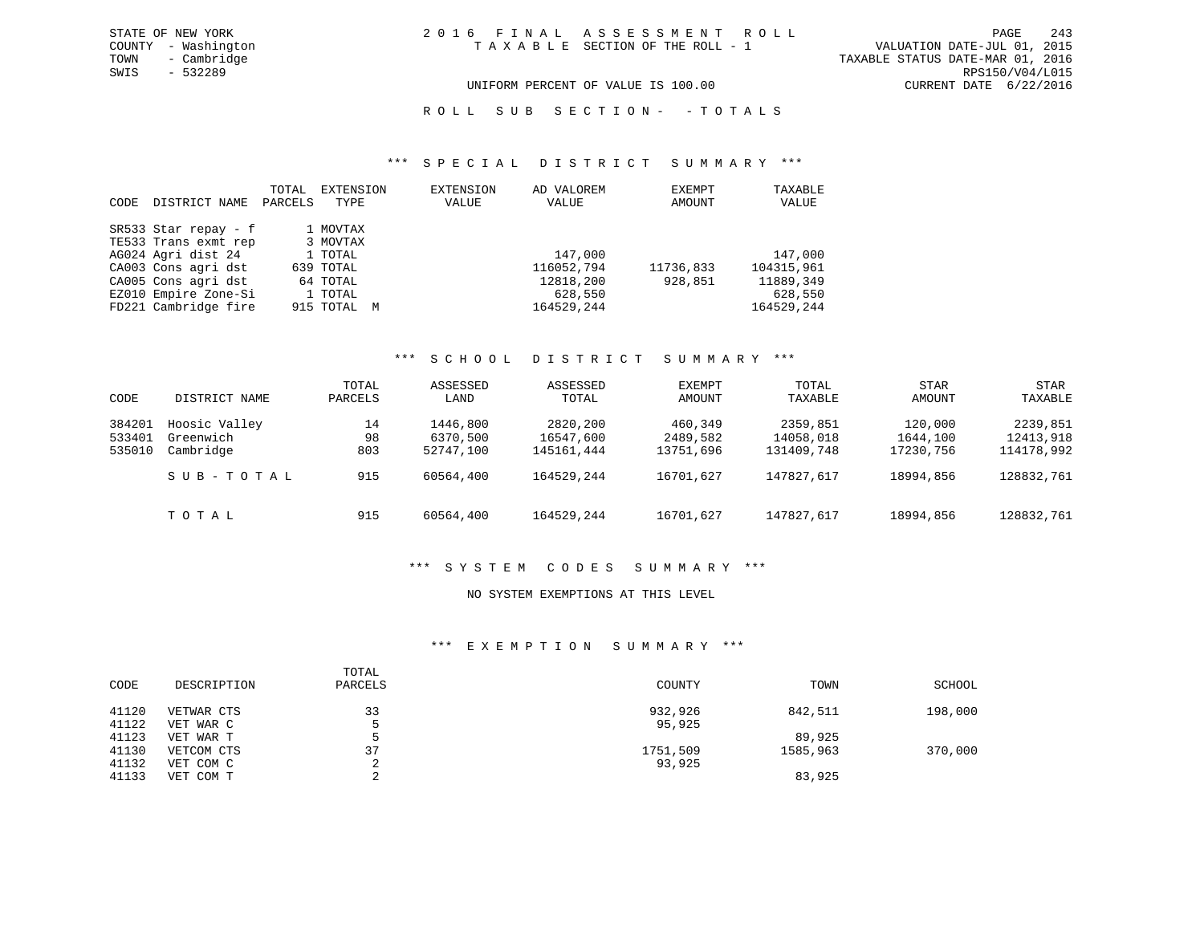R O L L S U B S E C T I O N - - T O T A L S

#### \*\*\* S P E C I A L D I S T R I C T S U M M A R Y \*\*\*

| CODE | DISTRICT NAME        | TOTAL<br>PARCELS | EXTENSION<br>TYPE | EXTENSION<br>VALUE | AD VALOREM<br>VALUE | EXEMPT<br>AMOUNT | TAXABLE<br>VALUE |
|------|----------------------|------------------|-------------------|--------------------|---------------------|------------------|------------------|
|      | SR533 Star repay - f |                  | 1 MOVTAX          |                    |                     |                  |                  |
|      | TE533 Trans exmt rep |                  | 3 MOVTAX          |                    |                     |                  |                  |
|      | AG024 Agri dist 24   |                  | 1 TOTAL           |                    | 147,000             |                  | 147,000          |
|      | CA003 Cons agri dst  |                  | 639 TOTAL         |                    | 116052,794          | 11736,833        | 104315,961       |
|      | CA005 Cons agri dst  |                  | 64 TOTAL          |                    | 12818,200           | 928,851          | 11889,349        |
|      | EZ010 Empire Zone-Si |                  | 1 TOTAL           |                    | 628,550             |                  | 628,550          |
|      | FD221 Cambridge fire |                  | 915 TOTAL M       |                    | 164529,244          |                  | 164529,244       |

#### \*\*\* S C H O O L D I S T R I C T S U M M A R Y \*\*\*

| CODE                       | DISTRICT NAME                                        | TOTAL<br>PARCELS       | ASSESSED<br>LAND                               | ASSESSED<br>TOTAL                                 | EXEMPT<br>AMOUNT                              | TOTAL<br>TAXABLE                                  | <b>STAR</b><br>AMOUNT                         | STAR<br>TAXABLE                                   |
|----------------------------|------------------------------------------------------|------------------------|------------------------------------------------|---------------------------------------------------|-----------------------------------------------|---------------------------------------------------|-----------------------------------------------|---------------------------------------------------|
| 384201<br>533401<br>535010 | Hoosic Valley<br>Greenwich<br>Cambridge<br>SUB-TOTAL | 14<br>98<br>803<br>915 | 1446,800<br>6370,500<br>52747,100<br>60564,400 | 2820,200<br>16547,600<br>145161,444<br>164529,244 | 460,349<br>2489,582<br>13751,696<br>16701,627 | 2359,851<br>14058,018<br>131409,748<br>147827,617 | 120,000<br>1644,100<br>17230,756<br>18994,856 | 2239,851<br>12413,918<br>114178,992<br>128832,761 |
|                            | TOTAL                                                | 915                    | 60564,400                                      | 164529,244                                        | 16701,627                                     | 147827,617                                        | 18994,856                                     | 128832,761                                        |

#### \*\*\* S Y S T E M C O D E S S U M M A R Y \*\*\*

### NO SYSTEM EXEMPTIONS AT THIS LEVEL

### \*\*\* E X E M P T I O N S U M M A R Y \*\*\*

| CODE           | DESCRIPTION            | TOTAL<br>PARCELS | COUNTY   | TOWN     | SCHOOL  |
|----------------|------------------------|------------------|----------|----------|---------|
| 41120          | VETWAR CTS             | 33               | 932,926  | 842,511  | 198,000 |
| 41122<br>41123 | VET WAR C<br>VET WAR T |                  | 95,925   | 89,925   |         |
| 41130          | VETCOM CTS             | 37               | 1751,509 | 1585,963 | 370,000 |
| 41132          | VET COM C              | ◠<br>z.          | 93,925   |          |         |
| 41133          | VET COM T              | $\sim$<br>▵      |          | 83,925   |         |

VALUATION DATE-JUL 01, 2015 TAXABLE STATUS DATE-MAR 01, 2016<br>RPS150/V04/L015 UNIFORM PERCENT OF VALUE IS 100.00 CURRENT DATE 6/22/2016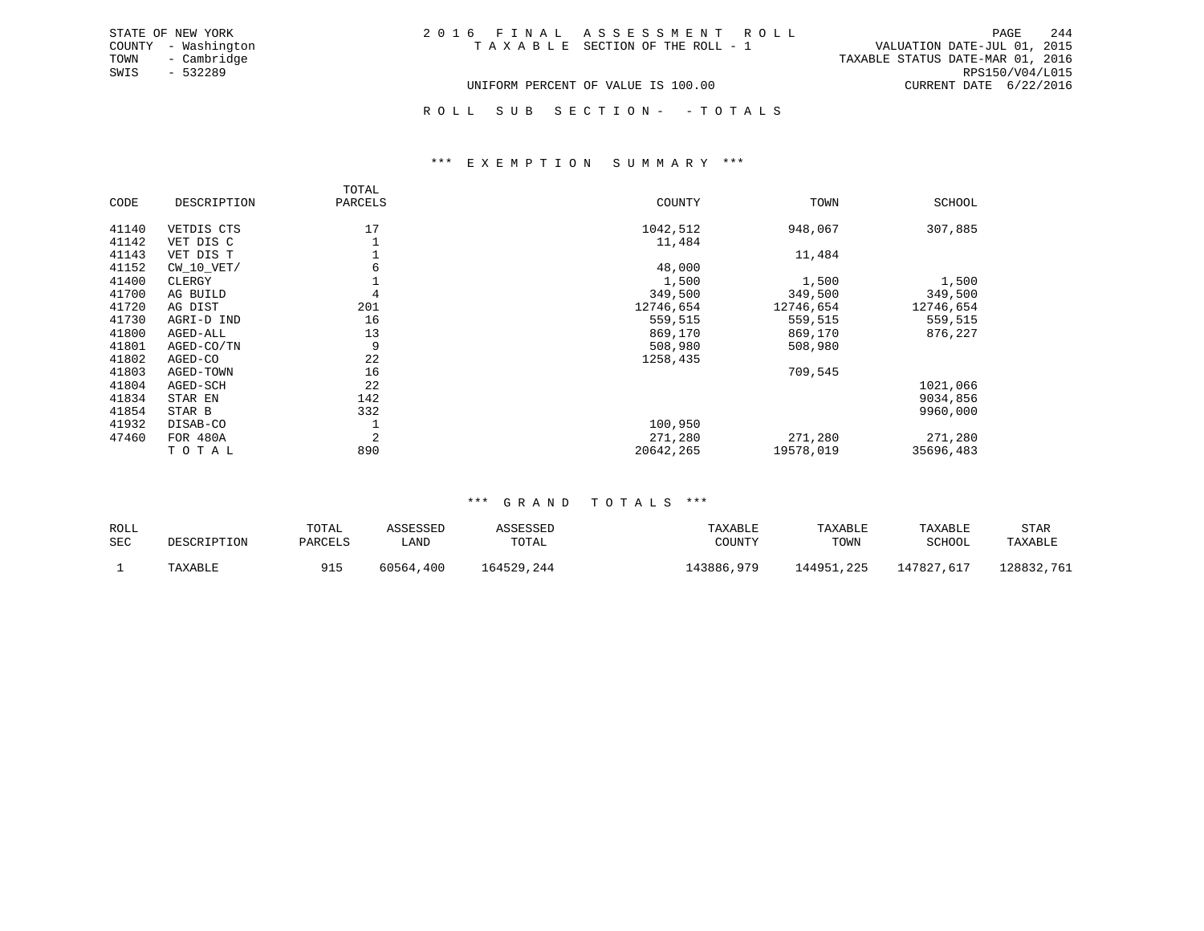| STATE OF NEW YORK   | 2016 FINAL ASSESSMENT ROLL         | 244<br>PAGE                      |
|---------------------|------------------------------------|----------------------------------|
| COUNTY - Washington | TAXABLE SECTION OF THE ROLL - 1    | VALUATION DATE-JUL 01, 2015      |
| - Cambridge<br>TOWN |                                    | TAXABLE STATUS DATE-MAR 01, 2016 |
| - 532289<br>SWIS    |                                    | RPS150/V04/L015                  |
|                     | UNIFORM PERCENT OF VALUE IS 100.00 | CURRENT DATE 6/22/2016           |

ROLL SUB SECTION - - TOTALS

#### \*\*\* E X E M P T I O N S U M M A R Y \*\*\*

|       |                 | TOTAL          |           |           |           |
|-------|-----------------|----------------|-----------|-----------|-----------|
| CODE  | DESCRIPTION     | PARCELS        | COUNTY    | TOWN      | SCHOOL    |
| 41140 | VETDIS CTS      | 17             | 1042,512  | 948,067   | 307,885   |
| 41142 | VET DIS C       |                | 11,484    |           |           |
| 41143 | VET DIS T       |                |           | 11,484    |           |
| 41152 | $CW_10_VET/$    | 6              | 48,000    |           |           |
| 41400 | CLERGY          |                | 1,500     | 1,500     | 1,500     |
| 41700 | AG BUILD        | 4              | 349,500   | 349,500   | 349,500   |
| 41720 | AG DIST         | 201            | 12746,654 | 12746,654 | 12746,654 |
| 41730 | AGRI-D IND      | 16             | 559,515   | 559,515   | 559,515   |
| 41800 | AGED-ALL        | 13             | 869,170   | 869,170   | 876,227   |
| 41801 | AGED-CO/TN      | 9              | 508,980   | 508,980   |           |
| 41802 | AGED-CO         | 22             | 1258,435  |           |           |
| 41803 | AGED-TOWN       | 16             |           | 709,545   |           |
| 41804 | AGED-SCH        | 22             |           |           | 1021,066  |
| 41834 | STAR EN         | 142            |           |           | 9034,856  |
| 41854 | STAR B          | 332            |           |           | 9960,000  |
| 41932 | DISAB-CO        | ᅩ              | 100,950   |           |           |
| 47460 | <b>FOR 480A</b> | $\overline{2}$ | 271,280   | 271,280   | 271,280   |
|       | TOTAL           | 890            | 20642,265 | 19578,019 | 35696,483 |

#### \*\*\* G R A N D T O T A L S \*\*\*

| ROLL       | DESCRIPTION | TOTAL   | ASSESSED  | ASSESSED   | TAXABLE    | TAXABLE    | TAXABLE    | STAR       |
|------------|-------------|---------|-----------|------------|------------|------------|------------|------------|
| <b>SEC</b> |             | PARCELS | ' AND     | TOTAL      | COUNTY     | TOWN       | SCHOOL     | TAXABLE    |
|            | TAXABLE     | 915     | 60564,400 | 164529,244 | L43886,979 | 144951,225 | 147827,617 | 128832,761 |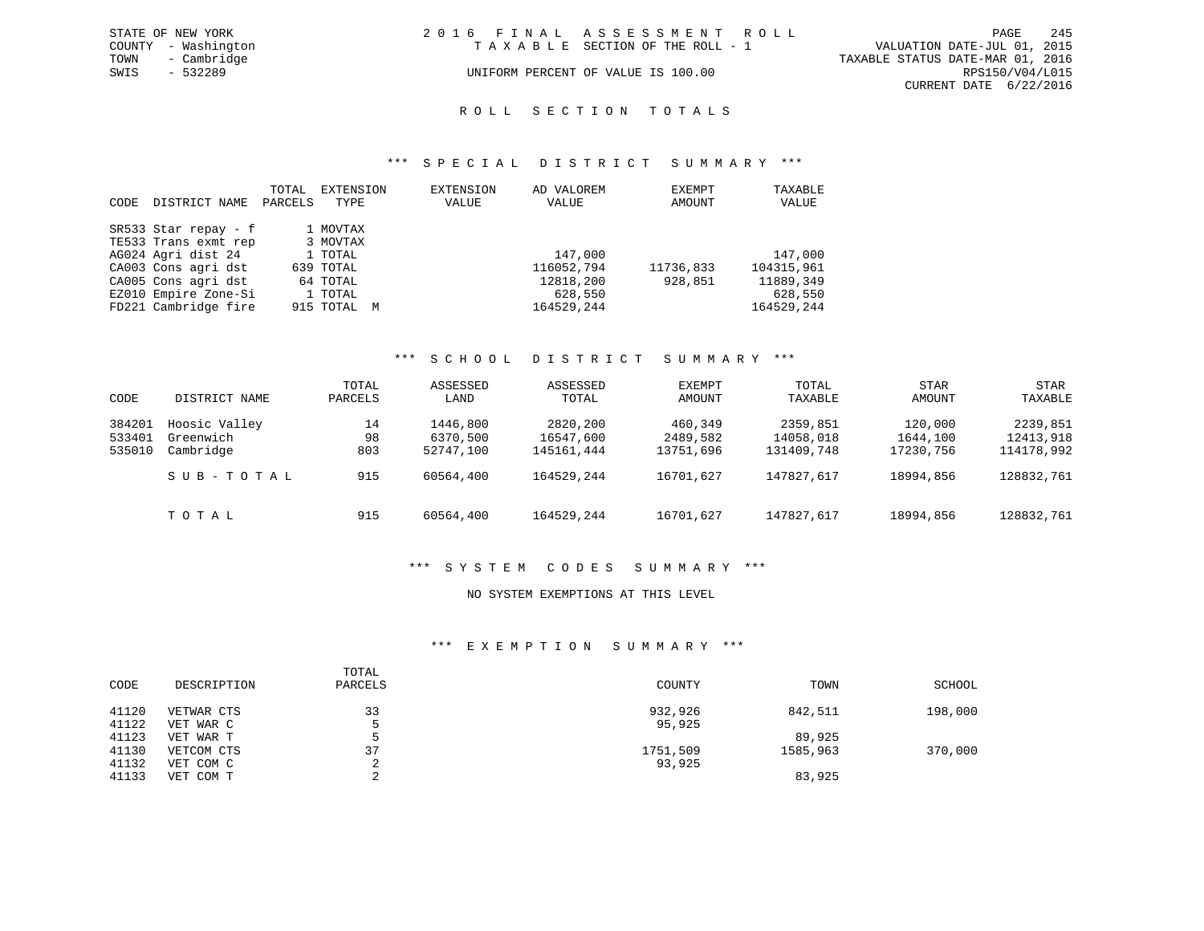| STATE OF NEW YORK   | 2016 FINAL ASSESSMENT ROLL         |                                  | PAGE                        | 245 |
|---------------------|------------------------------------|----------------------------------|-----------------------------|-----|
| COUNTY - Washington | TAXABLE SECTION OF THE ROLL - 1    |                                  | VALUATION DATE-JUL 01, 2015 |     |
| TOWN<br>- Cambridge |                                    | TAXABLE STATUS DATE-MAR 01, 2016 |                             |     |
| SWIS<br>- 532289    | UNIFORM PERCENT OF VALUE IS 100.00 |                                  | RPS150/V04/L015             |     |
|                     |                                    |                                  | CURRENT DATE 6/22/2016      |     |

#### R O L L S E C T I O N T O T A L S

#### \*\*\* S P E C I A L D I S T R I C T S U M M A R Y \*\*\*

|      |                      | TOTAL   | EXTENSION   | <b>EXTENSION</b> | AD VALOREM | EXEMPT    | TAXABLE    |
|------|----------------------|---------|-------------|------------------|------------|-----------|------------|
| CODE | DISTRICT NAME        | PARCELS | TYPE        | VALUE            | VALUE      | AMOUNT    | VALUE      |
|      | SR533 Star repay - f |         | 1 MOVTAX    |                  |            |           |            |
|      | TE533 Trans exmt rep |         | 3 MOVTAX    |                  |            |           |            |
|      | AG024 Agri dist 24   |         | 1 TOTAL     |                  | 147,000    |           | 147,000    |
|      | CA003 Cons agri dst  |         | 639 TOTAL   |                  | 116052,794 | 11736,833 | 104315,961 |
|      | CA005 Cons agri dst  |         | 64 TOTAL    |                  | 12818,200  | 928,851   | 11889,349  |
|      | EZ010 Empire Zone-Si |         | 1 TOTAL     |                  | 628,550    |           | 628,550    |
|      | FD221 Cambridge fire |         | 915 TOTAL M |                  | 164529,244 |           | 164529,244 |

#### \*\*\* S C H O O L D I S T R I C T S U M M A R Y \*\*\*

| CODE                       | DISTRICT NAME                           | TOTAL<br>PARCELS | ASSESSED<br>LAND                  | ASSESSED<br>TOTAL                   | EXEMPT<br>AMOUNT                 | TOTAL<br>TAXABLE                    | <b>STAR</b><br>AMOUNT            | STAR<br>TAXABLE                     |
|----------------------------|-----------------------------------------|------------------|-----------------------------------|-------------------------------------|----------------------------------|-------------------------------------|----------------------------------|-------------------------------------|
| 384201<br>533401<br>535010 | Hoosic Valley<br>Greenwich<br>Cambridge | 14<br>98<br>803  | 1446,800<br>6370,500<br>52747,100 | 2820,200<br>16547,600<br>145161,444 | 460,349<br>2489,582<br>13751,696 | 2359,851<br>14058,018<br>131409,748 | 120,000<br>1644,100<br>17230,756 | 2239,851<br>12413,918<br>114178,992 |
|                            | SUB-TOTAL                               | 915              | 60564,400                         | 164529,244                          | 16701,627                        | 147827,617                          | 18994,856                        | 128832,761                          |
|                            | TOTAL                                   | 915              | 60564,400                         | 164529,244                          | 16701.627                        | 147827,617                          | 18994,856                        | 128832,761                          |

#### \*\*\* S Y S T E M C O D E S S U M M A R Y \*\*\*

#### NO SYSTEM EXEMPTIONS AT THIS LEVEL

#### \*\*\* E X E M P T I O N S U M M A R Y \*\*\*

| CODE           | DESCRIPTION             | TOTAL<br>PARCELS | COUNTY            | TOWN     | SCHOOL  |
|----------------|-------------------------|------------------|-------------------|----------|---------|
| 41120<br>41122 | VETWAR CTS<br>VET WAR C | 33               | 932,926<br>95,925 | 842,511  | 198,000 |
| 41123          | VET WAR T               |                  |                   | 89,925   |         |
| 41130          | VETCOM CTS              | 37               | 1751,509          | 1585,963 | 370,000 |
| 41132          | VET COM C               |                  | 93,925            |          |         |
| 41133          | VET COM T               |                  |                   | 83,925   |         |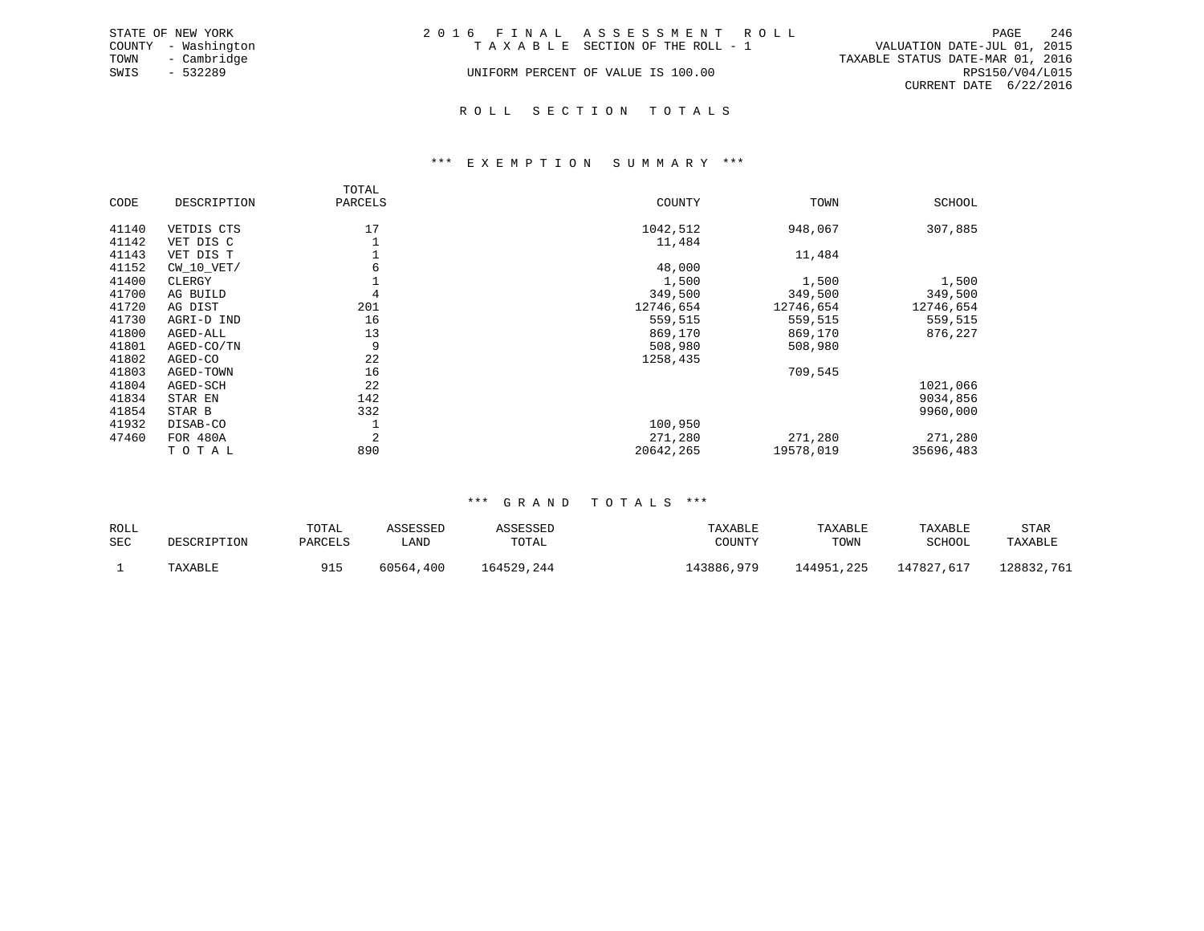| STATE OF NEW YORK   | 2016 FINAL ASSESSMENT ROLL         | - 246<br>PAGE                    |
|---------------------|------------------------------------|----------------------------------|
| COUNTY - Washington | TAXABLE SECTION OF THE ROLL - 1    | VALUATION DATE-JUL 01, 2015      |
| TOWN - Cambridge    |                                    | TAXABLE STATUS DATE-MAR 01, 2016 |
| SWIS<br>$-532289$   | UNIFORM PERCENT OF VALUE IS 100.00 | RPS150/V04/L015                  |
|                     |                                    | CURRENT DATE 6/22/2016           |
|                     | ROLL SECTION TOTALS                |                                  |

\*\*\* E X E M P T I O N S U M M A R Y \*\*\*

### TOTALPARCELS CODE DESCRIPTION PARCELS COUNTY TOWN SCHOOL41140 VETDIS CTS 17 17 1042,512 948,067 307,885 41142 VET DIS C 1 11,484  $41143$  VET DIS T  $1$ <br> $41152$  CW 10 VET/  $6$  6  $48.000$ 41152 CW\_10\_VET/ 6 48,000 41400 CLERGY 1,500 1,500 1,500 1,500 1,500 1,500 1,500 1,500<br>4 1700 AG BUILD 4 4 349,500 349,500 349,500 349,500 41700 AG BUILD 41720 AG DIST 201 12746,654 12746,654 12746,654 41730 AGRI-DIND 16 16 16 16 1730 AGRI-DIND 559,515 559,515 559,515 559,515 559,515<br>41800 AGED-ALL 13 13 13 300 300,170 369,170 376,227 41800 AGED-ALL 13 869,170 869,170 876,227 41801 AGED-CO/TN 9 508,980 508,980 41802 AGED-CO 22 1258,435 41803 AGED-TOWN 16 709,545 41804 AGED-SCH 22 1021,066 41834 STAR EN 142 9034,856 41854 STAR B 41932 DISAB-CO 1 1 200,950 47460 FOR 480A 2 271,280 271,280 271,280 TO TAL 890 890 20642,265 19578,019 35696,483 320642,265 20642,265 19578,019 35696,483

### \*\*\* G R A N D T O T A L S \*\*\*

| ROLL       | DESCRIPTION | TOTAL   | ASSESSED  | ASSESSED   | TAXABLE    | TAXABLE    | TAXABLE    | STAR       |
|------------|-------------|---------|-----------|------------|------------|------------|------------|------------|
| <b>SEC</b> |             | PARCELS | LAND      | TOTAL      | COUNTY     | TOWN       | SCHOOL     | TAXABLE    |
|            | TAXABLE     | 915     | 60564,400 | 164529,244 | 143886,979 | 144951,225 | 147827,617 | 128832,761 |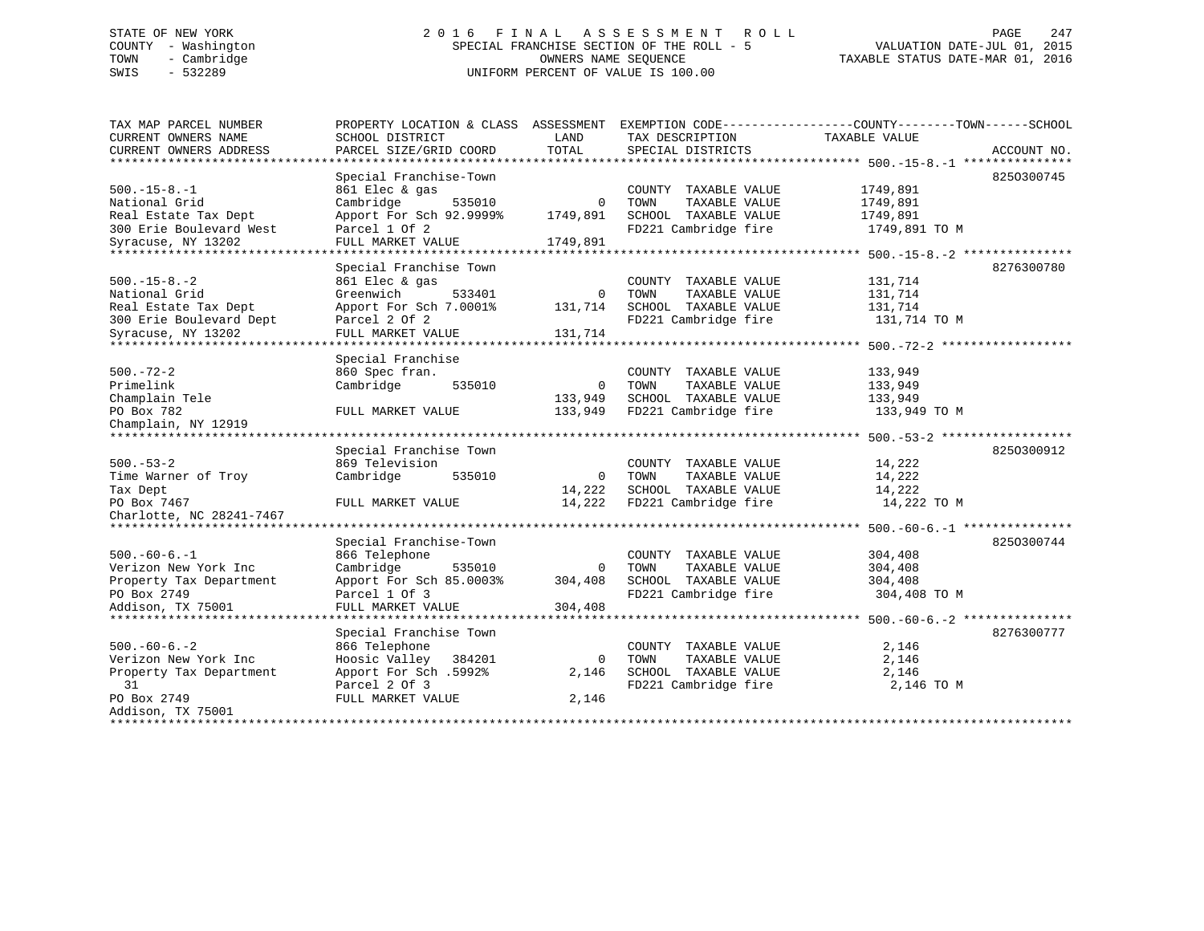# STATE OF NEW YORK 2 0 1 6 F I N A L A S S E S S M E N T R O L L PAGE 247 COUNTY - Washington SPECIAL FRANCHISE SECTION OF THE ROLL - 5 VALUATION DATE-JUL 01, 2015 TOWN - Cambridge OWNERS NAME SEQUENCE TAXABLE STATUS DATE-MAR 01, 2016 SWIS - 532289 UNIFORM PERCENT OF VALUE IS 100.00

| TAX MAP PARCEL NUMBER<br>CURRENT OWNERS NAME | PROPERTY LOCATION & CLASS ASSESSMENT<br>SCHOOL DISTRICT | LAND        | TAX DESCRIPTION       | EXEMPTION CODE----------------COUNTY-------TOWN-----SCHOOL<br>TAXABLE VALUE |
|----------------------------------------------|---------------------------------------------------------|-------------|-----------------------|-----------------------------------------------------------------------------|
| CURRENT OWNERS ADDRESS                       | PARCEL SIZE/GRID COORD                                  | TOTAL       | SPECIAL DISTRICTS     | ACCOUNT NO.                                                                 |
| *************************                    |                                                         |             |                       |                                                                             |
|                                              | Special Franchise-Town                                  |             |                       | 8250300745                                                                  |
| $500. -15 - 8. -1$                           | 861 Elec & gas                                          |             | COUNTY TAXABLE VALUE  | 1749,891                                                                    |
| National Grid                                | Cambridge<br>535010                                     | $\Omega$    | TOWN<br>TAXABLE VALUE | 1749,891                                                                    |
| Real Estate Tax Dept                         | Apport For Sch 92.9999%                                 | 1749,891    | SCHOOL TAXABLE VALUE  | 1749,891                                                                    |
| 300 Erie Boulevard West                      | Parcel 1 Of 2                                           |             | FD221 Cambridge fire  | 1749,891 TO M                                                               |
| Syracuse, NY 13202                           | FULL MARKET VALUE                                       | 1749,891    |                       |                                                                             |
| *******************                          | ********************                                    |             |                       |                                                                             |
|                                              | Special Franchise Town                                  |             |                       | 8276300780                                                                  |
| $500. -15 - 8. -2$                           | 861 Elec & gas                                          |             | COUNTY TAXABLE VALUE  | 131,714                                                                     |
| National Grid                                | Greenwich<br>533401                                     | 0           | TOWN<br>TAXABLE VALUE | 131,714                                                                     |
| Real Estate Tax Dept                         | Apport For Sch 7.0001%                                  | 131,714     | SCHOOL TAXABLE VALUE  | 131,714                                                                     |
| 300 Erie Boulevard Dept                      | Parcel 2 Of 2                                           |             | FD221 Cambridge fire  | 131,714 TO M                                                                |
| Syracuse, NY 13202                           | FULL MARKET VALUE                                       | 131,714     |                       |                                                                             |
| *******************************              |                                                         |             |                       |                                                                             |
|                                              | Special Franchise                                       |             |                       |                                                                             |
| $500. - 72 - 2$                              | 860 Spec fran.                                          |             | COUNTY TAXABLE VALUE  | 133,949                                                                     |
| Primelink                                    | Cambridge<br>535010                                     | 0           | TOWN<br>TAXABLE VALUE | 133,949                                                                     |
| Champlain Tele                               |                                                         | 133,949     | SCHOOL TAXABLE VALUE  | 133,949                                                                     |
| PO Box 782                                   | FULL MARKET VALUE                                       | 133,949     | FD221 Cambridge fire  | 133,949 TO M                                                                |
| Champlain, NY 12919                          |                                                         |             |                       |                                                                             |
|                                              |                                                         |             |                       | $500 - 53 - 2$ ******************                                           |
|                                              | Special Franchise Town                                  |             |                       | 8250300912                                                                  |
| $500. - 53 - 2$                              | 869 Television                                          |             | COUNTY TAXABLE VALUE  | 14,222                                                                      |
| Time Warner of Troy                          | Cambridge<br>535010                                     | $\mathbf 0$ | TOWN<br>TAXABLE VALUE | 14,222                                                                      |
| Tax Dept                                     |                                                         | 14,222      | SCHOOL TAXABLE VALUE  | 14,222                                                                      |
| PO Box 7467                                  | FULL MARKET VALUE                                       | 14,222      | FD221 Cambridge fire  | 14,222 TO M                                                                 |
| Charlotte, NC 28241-7467                     |                                                         |             |                       |                                                                             |
| *******************                          |                                                         |             |                       |                                                                             |
|                                              | Special Franchise-Town                                  |             |                       | 8250300744                                                                  |
| $500. -60 - 6. -1$                           | 866 Telephone                                           |             | COUNTY TAXABLE VALUE  | 304,408                                                                     |
| Verizon New York Inc                         | Cambridge<br>535010                                     | $\Omega$    | TOWN<br>TAXABLE VALUE | 304,408                                                                     |
| Property Tax Department                      | Apport For Sch 85.0003%                                 | 304,408     | SCHOOL TAXABLE VALUE  | 304,408                                                                     |
| PO Box 2749                                  | Parcel 1 Of 3                                           |             | FD221 Cambridge fire  | 304,408 TO M                                                                |
| Addison, TX 75001                            | FULL MARKET VALUE                                       | 304,408     |                       |                                                                             |
| **************************                   |                                                         |             |                       |                                                                             |
|                                              | Special Franchise Town                                  |             |                       | 8276300777                                                                  |
| $500. -60 - 6. - 2$                          | 866 Telephone                                           |             | COUNTY TAXABLE VALUE  | 2,146                                                                       |
| Verizon New York Inc                         | Hoosic Valley<br>384201                                 | $\Omega$    | TAXABLE VALUE<br>TOWN | 2,146                                                                       |
| Property Tax Department                      | Apport For Sch .5992%                                   | 2,146       | SCHOOL TAXABLE VALUE  | 2,146                                                                       |
| 31                                           | Parcel 2 Of 3                                           |             | FD221 Cambridge fire  | 2,146 TO M                                                                  |
| PO Box 2749                                  | FULL MARKET VALUE                                       | 2,146       |                       |                                                                             |
| Addison, TX 75001                            |                                                         |             |                       |                                                                             |
|                                              |                                                         |             |                       |                                                                             |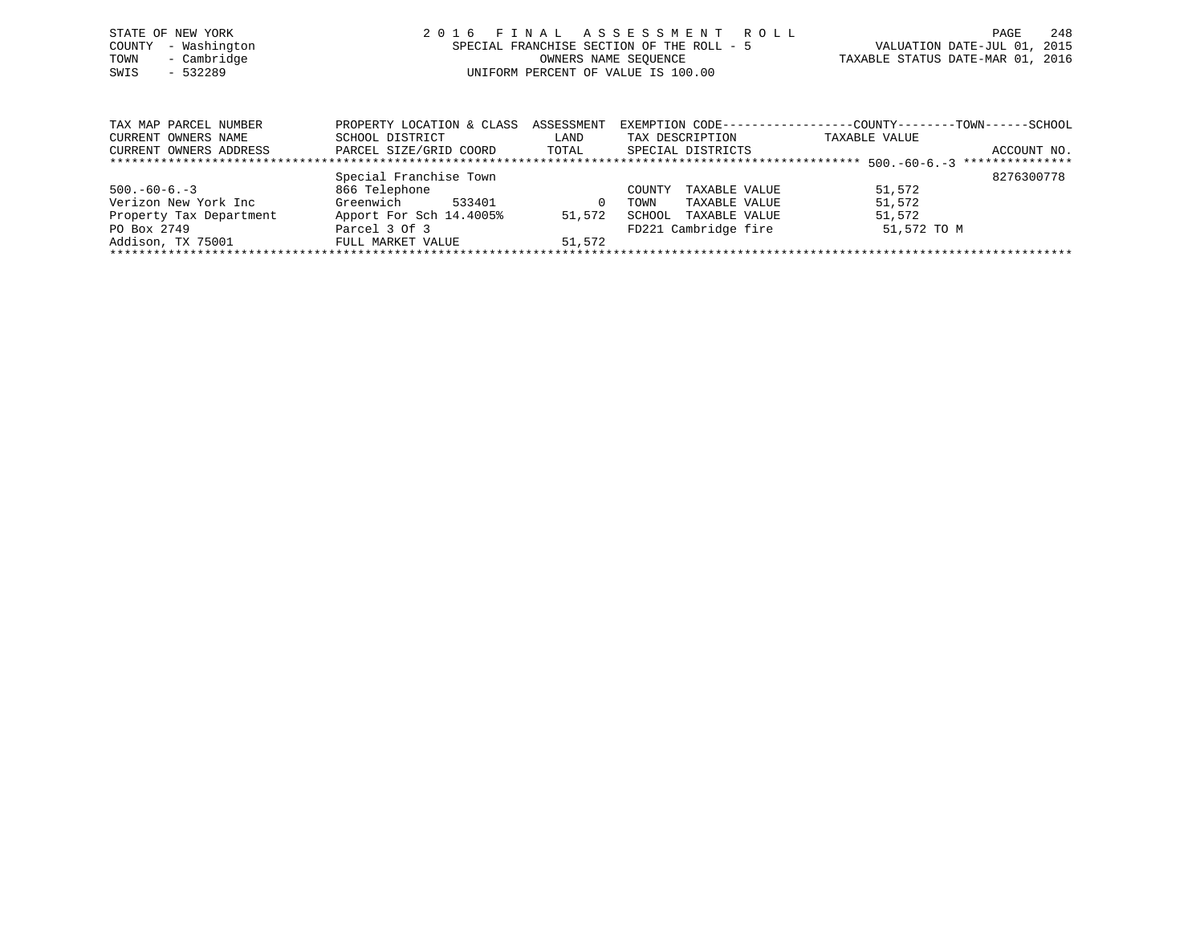|      | STATE OF NEW YORK   | 2016 FINAL ASSESSMENT ROLL                |                                  | PAGE | 248 |
|------|---------------------|-------------------------------------------|----------------------------------|------|-----|
|      | COUNTY - Washington | SPECIAL FRANCHISE SECTION OF THE ROLL - 5 | VALUATION DATE-JUL 01, 2015      |      |     |
| TOWN | - Cambridge         | OWNERS NAME SEOUENCE                      | TAXABLE STATUS DATE-MAR 01, 2016 |      |     |
| SWIS | $-532289$           | UNIFORM PERCENT OF VALUE IS 100.00        |                                  |      |     |
|      |                     |                                           |                                  |      |     |
|      |                     |                                           |                                  |      |     |

| TAX MAP PARCEL NUMBER   | PROPERTY LOCATION & CLASS | ASSESSMENT | EXEMPTION CODE----      | -COUNTY--------TOWN----- | -SCHOOL         |
|-------------------------|---------------------------|------------|-------------------------|--------------------------|-----------------|
| CURRENT OWNERS NAME     | SCHOOL DISTRICT           | LAND       | TAX DESCRIPTION         | TAXABLE VALUE            |                 |
| CURRENT OWNERS ADDRESS  | PARCEL SIZE/GRID COORD    | TOTAL      | SPECIAL DISTRICTS       |                          | ACCOUNT NO.     |
|                         |                           |            |                         |                          | *************** |
|                         | Special Franchise Town    |            |                         |                          | 8276300778      |
| $500. -60 - 6. -3$      | 866 Telephone             |            | TAXABLE VALUE<br>COUNTY | 51,572                   |                 |
| Verizon New York Inc    | Greenwich<br>533401       | $\Omega$   | TAXABLE VALUE<br>TOWN   | 51,572                   |                 |
| Property Tax Department | Apport For Sch 14.4005%   | 51,572     | SCHOOL<br>TAXABLE VALUE | 51,572                   |                 |
| PO Box 2749             | Parcel 3 Of 3             |            | FD221 Cambridge fire    | 51,572 TO M              |                 |
| Addison, TX 75001       | FULL MARKET VALUE         | 51,572     |                         |                          |                 |
|                         |                           |            |                         |                          |                 |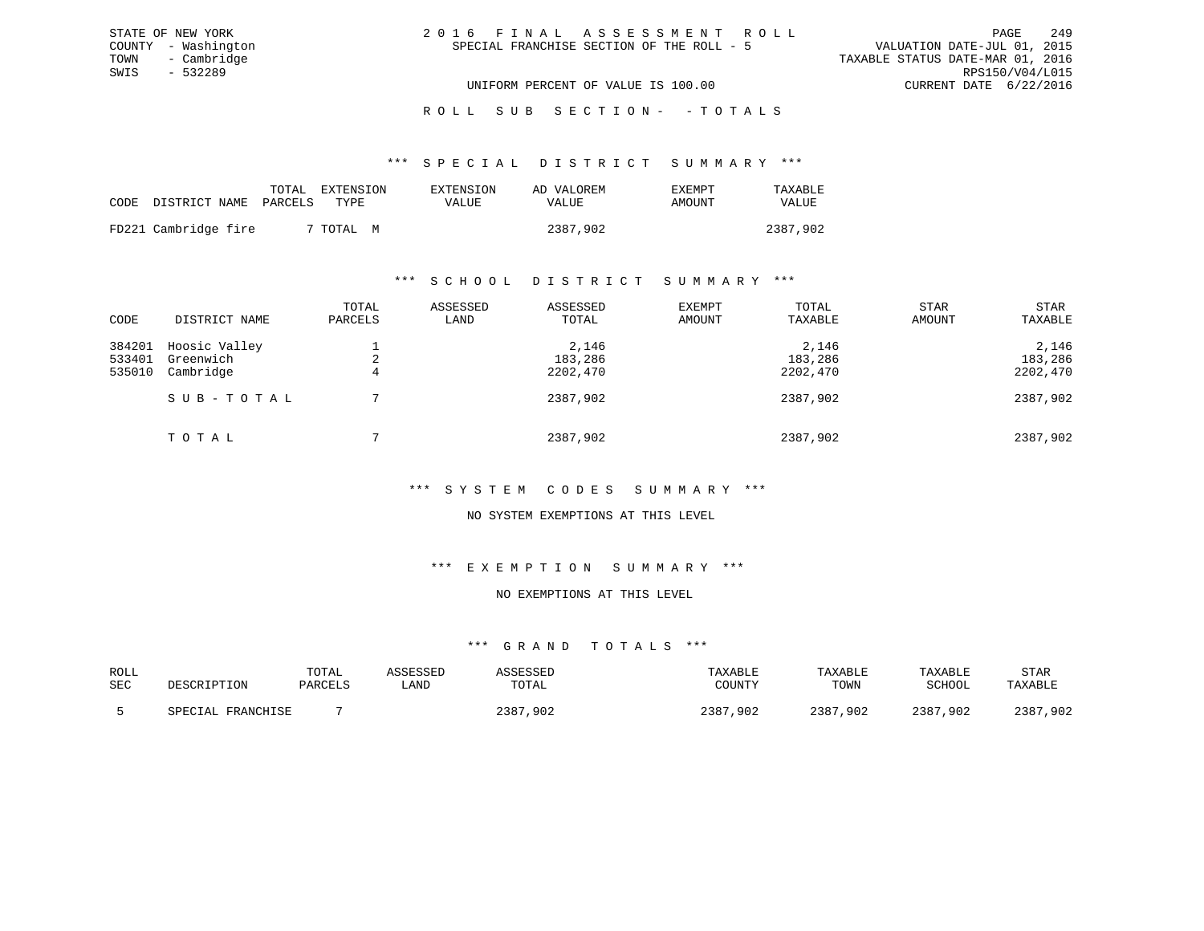| 2016 FINAL ASSESSMENT ROLL                |                                  | PAGE                        | 249 |
|-------------------------------------------|----------------------------------|-----------------------------|-----|
| SPECIAL FRANCHISE SECTION OF THE ROLL - 5 |                                  | VALUATION DATE-JUL 01, 2015 |     |
|                                           | TAXABLE STATUS DATE-MAR 01, 2016 |                             |     |
|                                           |                                  | RPS150/V04/L015             |     |
| UNIFORM PERCENT OF VALUE IS 100.00        |                                  | CURRENT DATE 6/22/2016      |     |

ROLL SUB SECTION - - TOTALS

\*\*\* S P E C I A L D I S T R I C T S U M M A R Y \*\*\*

|                      | TOTAL   | EXTENSION | EXTENSION | AD VALOREM | EXEMPT | TAXABLE  |
|----------------------|---------|-----------|-----------|------------|--------|----------|
| CODE DISTRICT NAME   | PARCELS | TYPE.     | VALUE     | VALUE      | AMOUNT | VALUE    |
| FD221 Cambridge fire |         | 7 TOTAL M |           | 2387,902   |        | 2387,902 |
|                      |         |           |           |            |        |          |

STATE OF NEW YORK COUNTY - Washington TOWN - Cambridge SWIS - 532289

#### \*\*\* S C H O O L D I S T R I C T S U M M A R Y \*\*\*

| CODE                       | DISTRICT NAME                           | TOTAL<br>PARCELS | ASSESSED<br>LAND | ASSESSED<br>TOTAL            | <b>EXEMPT</b><br>AMOUNT | TOTAL<br>TAXABLE             | <b>STAR</b><br>AMOUNT | STAR<br>TAXABLE              |
|----------------------------|-----------------------------------------|------------------|------------------|------------------------------|-------------------------|------------------------------|-----------------------|------------------------------|
| 384201<br>533401<br>535010 | Hoosic Valley<br>Greenwich<br>Cambridge | 4                |                  | 2,146<br>183,286<br>2202,470 |                         | 2,146<br>183,286<br>2202,470 |                       | 2,146<br>183,286<br>2202,470 |
|                            | SUB-TOTAL                               |                  |                  | 2387,902                     |                         | 2387,902                     |                       | 2387,902                     |
|                            | TOTAL                                   |                  |                  | 2387,902                     |                         | 2387,902                     |                       | 2387,902                     |

#### \*\*\* S Y S T E M C O D E S S U M M A R Y \*\*\*

#### NO SYSTEM EXEMPTIONS AT THIS LEVEL

#### \*\*\* E X E M P T I O N S U M M A R Y \*\*\*

### NO EXEMPTIONS AT THIS LEVEL

### \*\*\* G R A N D T O T A L S \*\*\*

| ROLL | DESCRIPTION       | TOTAL   | ASSESSED | ASSESSED     | TAXABLE      | TAXABLE  | TAXABLE      | <b>STAR</b> |
|------|-------------------|---------|----------|--------------|--------------|----------|--------------|-------------|
| SEC  |                   | PARCELS | ∟AND     | TOTAL        | COUNTY       | TOWN     | SCHOOL       | TAXABLE     |
|      | SPECIAL FRANCHISE |         |          | 2387<br>,902 | 2387<br>,902 | 2387,902 | 2387<br>,902 | 2387,902    |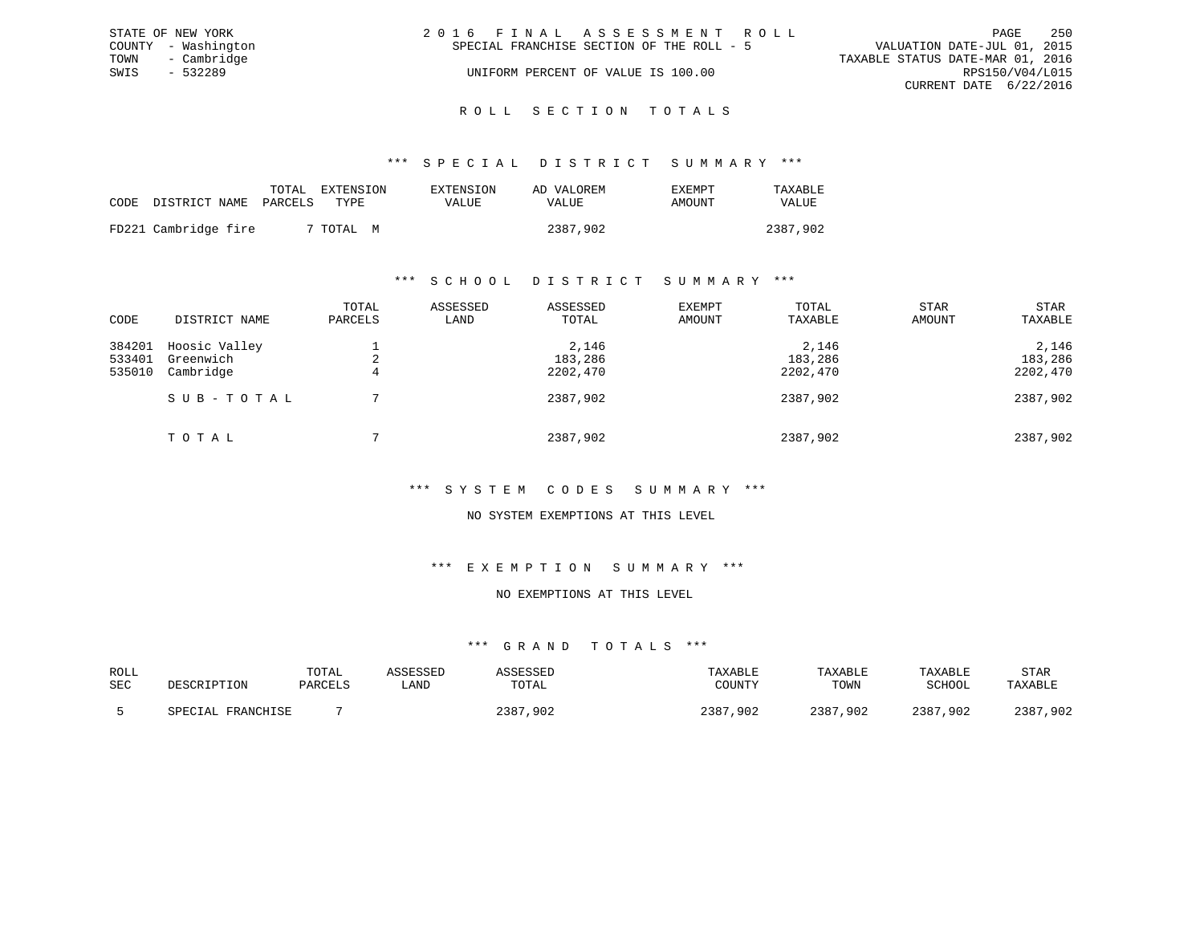|      | STATE OF NEW YORK   | 2016 FINAL ASSESSMENT ROLL                                               | PAGE | 250             |
|------|---------------------|--------------------------------------------------------------------------|------|-----------------|
|      | COUNTY - Washington | VALUATION DATE-JUL 01, 2015<br>SPECIAL FRANCHISE SECTION OF THE ROLL - 5 |      |                 |
|      | TOWN - Cambridge    | TAXABLE STATUS DATE-MAR 01, 2016                                         |      |                 |
| SWIS | $-532289$           | UNIFORM PERCENT OF VALUE IS 100.00                                       |      | RPS150/V04/L015 |
|      |                     | CURRENT DATE 6/22/2016                                                   |      |                 |
|      |                     |                                                                          |      |                 |

### ROLL SECTION TOTALS

#### \*\*\* S P E C I A L D I S T R I C T S U M M A R Y \*\*\*

|                            | TOTAL | EXTENSION | EXTENSION | AD VALOREM | EXEMPT | TAXABLE      |
|----------------------------|-------|-----------|-----------|------------|--------|--------------|
| CODE DISTRICT NAME PARCELS |       | TYPE.     | VALUE     | VALUE      | AMOUNT | <b>VALUE</b> |
| FD221 Cambridge fire       |       | 7 TOTAL M |           | 2387,902   |        | 2387,902     |

#### \*\*\* S C H O O L D I S T R I C T S U M M A R Y \*\*\*

| CODE                       | DISTRICT NAME                           | TOTAL<br>PARCELS | ASSESSED<br>LAND | ASSESSED<br>TOTAL            | EXEMPT<br>AMOUNT | TOTAL<br>TAXABLE             | <b>STAR</b><br>AMOUNT | STAR<br>TAXABLE              |
|----------------------------|-----------------------------------------|------------------|------------------|------------------------------|------------------|------------------------------|-----------------------|------------------------------|
| 384201<br>533401<br>535010 | Hoosic Valley<br>Greenwich<br>Cambridge | 2<br>4           |                  | 2,146<br>183,286<br>2202,470 |                  | 2,146<br>183,286<br>2202,470 |                       | 2,146<br>183,286<br>2202,470 |
|                            | SUB-TOTAL                               |                  |                  | 2387,902                     |                  | 2387,902                     |                       | 2387,902                     |
|                            | TOTAL                                   |                  |                  | 2387,902                     |                  | 2387,902                     |                       | 2387,902                     |

### \*\*\* S Y S T E M C O D E S S U M M A R Y \*\*\*

#### NO SYSTEM EXEMPTIONS AT THIS LEVEL

#### \*\*\* E X E M P T I O N S U M M A R Y \*\*\*

#### NO EXEMPTIONS AT THIS LEVEL

#### \*\*\* G R A N D T O T A L S \*\*\*

| ROLL |                   | TOTAL   | ASSESSED | ASSESSED     | TAXABLE      | TAXABLE      | TAXABLE  | <b>STAR</b> |
|------|-------------------|---------|----------|--------------|--------------|--------------|----------|-------------|
| SEC  | DESCRIPTION       | PARCELS | ≒AND     | TOTAL        | COUNTY       | TOWN         | SCHOOL   | TAXABLE     |
|      | SPECIAL FRANCHISE |         |          | 2387<br>,902 | 2387<br>,902 | 2387<br>,902 | 2387,902 | 2387,902    |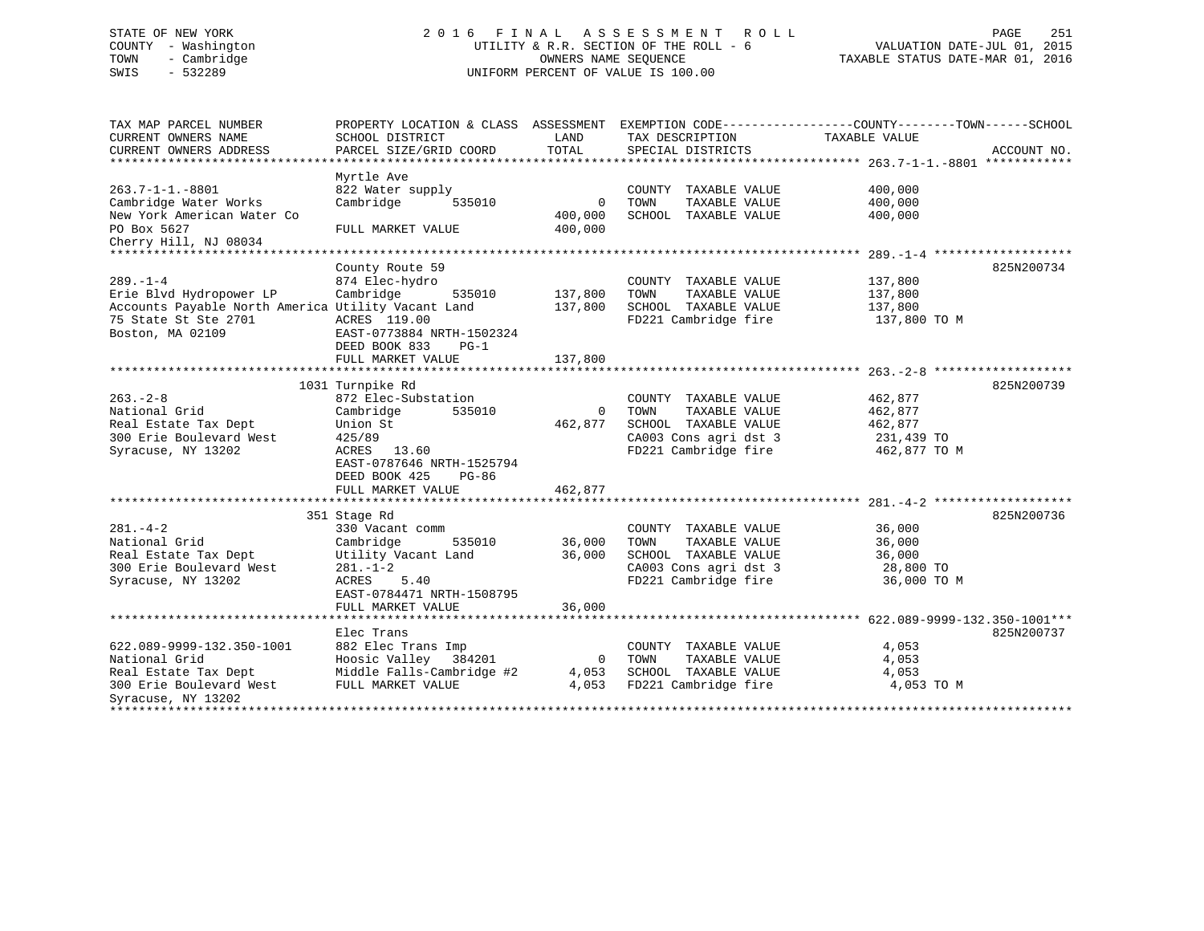# STATE OF NEW YORK 2 0 1 6 F I N A L A S S E S S M E N T R O L L PAGE 251 COUNTY - Washington UTILITY & R.R. SECTION OF THE ROLL - 6 VALUATION DATE-JUL 01, 2015 TOWN - Cambridge OWNERS NAME SEQUENCE TAXABLE STATUS DATE-MAR 01, 2016 SWIS - 532289 UNIFORM PERCENT OF VALUE IS 100.00

| TAX MAP PARCEL NUMBER<br>CURRENT OWNERS NAME<br>CURRENT OWNERS ADDRESS                                                  | PROPERTY LOCATION & CLASS ASSESSMENT EXEMPTION CODE---------------COUNTY-------TOWN-----SCHOOL<br>SCHOOL DISTRICT<br>PARCEL SIZE/GRID COORD   | LAND<br>TOTAL                 | TAX DESCRIPTION<br>SPECIAL DISTRICTS                                                                                   | TAXABLE VALUE                                               | ACCOUNT NO. |
|-------------------------------------------------------------------------------------------------------------------------|-----------------------------------------------------------------------------------------------------------------------------------------------|-------------------------------|------------------------------------------------------------------------------------------------------------------------|-------------------------------------------------------------|-------------|
|                                                                                                                         |                                                                                                                                               |                               |                                                                                                                        |                                                             |             |
| $263.7 - 1 - 1. - 8801$<br>Cambridge Water Works<br>New York American Water Co                                          | Myrtle Ave<br>822 Water supply<br>Cambridge<br>535010                                                                                         | $\overline{0}$<br>400,000     | COUNTY<br>TAXABLE VALUE<br>TOWN<br>TAXABLE VALUE<br>SCHOOL TAXABLE VALUE                                               | 400,000<br>400,000<br>400,000                               |             |
| PO Box 5627<br>Cherry Hill, NJ 08034                                                                                    | FULL MARKET VALUE                                                                                                                             | 400,000                       |                                                                                                                        |                                                             |             |
|                                                                                                                         |                                                                                                                                               |                               |                                                                                                                        |                                                             |             |
| $289. - 1 - 4$<br>Erie Blvd Hydropower LP<br>Accounts Payable North America Utility Vacant Land<br>75 State St Ste 2701 | County Route 59<br>874 Elec-hydro<br>Cambridge<br>535010<br>ACRES 119.00                                                                      | 137,800<br>137,800            | COUNTY TAXABLE VALUE<br>TOWN<br>TAXABLE VALUE<br>SCHOOL TAXABLE VALUE<br>FD221 Cambridge fire                          | 137,800<br>137,800<br>137,800<br>137,800 TO M               | 825N200734  |
| Boston, MA 02109                                                                                                        | EAST-0773884 NRTH-1502324<br>DEED BOOK 833<br>$PG-1$<br>FULL MARKET VALUE                                                                     | 137,800                       |                                                                                                                        |                                                             |             |
|                                                                                                                         | 1031 Turnpike Rd                                                                                                                              |                               |                                                                                                                        |                                                             | 825N200739  |
| $263 - 2 - 8$<br>National Grid<br>Real Estate Tax Dept<br>300 Erie Boulevard West<br>Syracuse, NY 13202                 | 872 Elec-Substation<br>535010<br>Cambridge<br>Union St<br>425/89<br>ACRES<br>13.60<br>EAST-0787646 NRTH-1525794<br>DEED BOOK 425<br>$PG-86$   | $\Omega$<br>462,877           | COUNTY TAXABLE VALUE<br>TOWN<br>TAXABLE VALUE<br>SCHOOL TAXABLE VALUE<br>CA003 Cons agri dst 3<br>FD221 Cambridge fire | 462,877<br>462,877<br>462,877<br>231,439 TO<br>462,877 TO M |             |
|                                                                                                                         | FULL MARKET VALUE                                                                                                                             | 462,877                       |                                                                                                                        |                                                             |             |
|                                                                                                                         |                                                                                                                                               |                               |                                                                                                                        |                                                             |             |
| $281 - 4 - 2$<br>National Grid<br>Real Estate Tax Dept<br>300 Erie Boulevard West<br>Syracuse, NY 13202                 | 351 Stage Rd<br>330 Vacant comm<br>535010<br>Cambridge<br>Utility Vacant Land<br>$281. - 1 - 2$<br>ACRES<br>5.40<br>EAST-0784471 NRTH-1508795 | 36,000<br>36,000              | COUNTY TAXABLE VALUE<br>TOWN<br>TAXABLE VALUE<br>SCHOOL TAXABLE VALUE<br>CA003 Cons agri dst 3<br>FD221 Cambridge fire | 36,000<br>36,000<br>36,000<br>28,800 TO<br>36,000 TO M      | 825N200736  |
|                                                                                                                         | FULL MARKET VALUE                                                                                                                             | 36,000                        |                                                                                                                        |                                                             |             |
|                                                                                                                         |                                                                                                                                               |                               |                                                                                                                        |                                                             |             |
| 622.089-9999-132.350-1001<br>National Grid<br>Real Estate Tax Dept<br>300 Erie Boulevard West<br>Syracuse, NY 13202     | Elec Trans<br>882 Elec Trans Imp<br>Hoosic Valley 384201<br>Middle Falls-Cambridge #2<br>FULL MARKET VALUE                                    | $\mathbf 0$<br>4,053<br>4,053 | COUNTY TAXABLE VALUE<br>TOWN<br>TAXABLE VALUE<br>SCHOOL TAXABLE VALUE<br>FD221 Cambridge fire                          | 4,053<br>4,053<br>4,053<br>4,053 TO M                       | 825N200737  |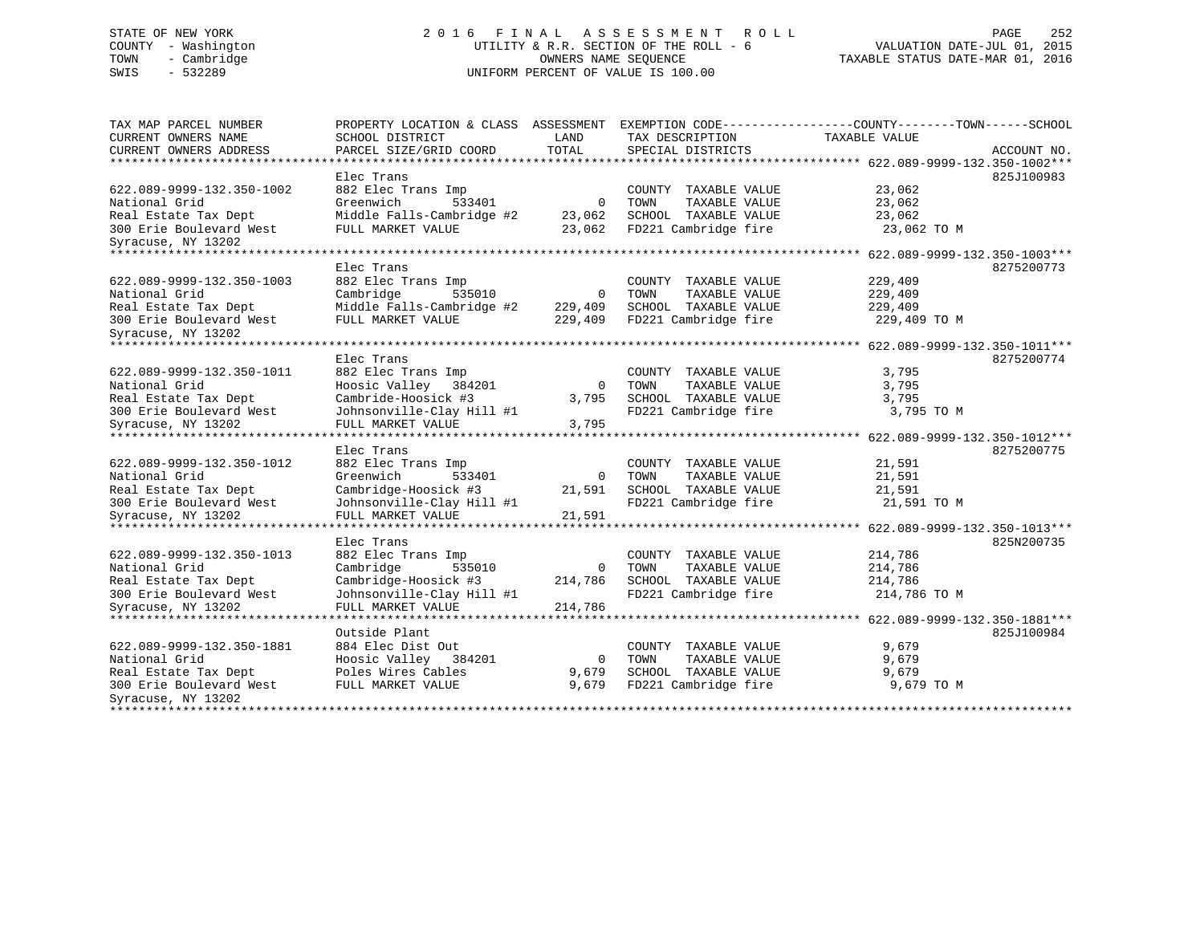# STATE OF NEW YORK 2 0 1 6 F I N A L A S S E S S M E N T R O L L PAGE 252 COUNTY - Washington UTILITY & R.R. SECTION OF THE ROLL - 6 VALUATION DATE-JUL 01, 2015 TOWN - Cambridge OWNERS NAME SEQUENCE TAXABLE STATUS DATE-MAR 01, 2016 SWIS - 532289 UNIFORM PERCENT OF VALUE IS 100.00

| TOTAL<br>CURRENT OWNERS ADDRESS<br>PARCEL SIZE/GRID COORD<br>SPECIAL DISTRICTS<br>ACCOUNT NO.<br>Elec Trans<br>825J100983<br>622.089-9999-132.350-1002<br>882 Elec Trans Imp<br>23,062<br>COUNTY TAXABLE VALUE<br>$\mathbf 0$<br>National Grid<br>Greenwich<br>533401<br>TAXABLE VALUE<br>23,062<br>TOWN<br>23,062<br>Real Estate Tax Dept<br>Middle Falls-Cambridge #2<br>23,062<br>SCHOOL TAXABLE VALUE<br>FD221 Cambridge fire<br>300 Erie Boulevard West<br>FULL MARKET VALUE<br>23,062<br>23,062 TO M<br>Syracuse, NY 13202<br>Elec Trans<br>8275200773<br>229,409<br>882 Elec Trans Imp<br>COUNTY TAXABLE VALUE<br>Cambridge<br>535010<br>0<br>TOWN<br>TAXABLE VALUE<br>229,409<br>Middle Falls-Cambridge #2<br>229,409<br>SCHOOL TAXABLE VALUE<br>229,409<br>FULL MARKET VALUE<br>229,409<br>FD221 Cambridge fire<br>229,409 TO M<br>********* 622.089-9999-132.350-1011***<br>Elec Trans<br>8275200774<br>882 Elec Trans Imp<br>3,795<br>COUNTY<br>TAXABLE VALUE<br>Hoosic Valley<br>384201<br>$\mathbf{0}$<br>TOWN<br>TAXABLE VALUE<br>3,795<br>Cambride-Hoosick #3<br>SCHOOL TAXABLE VALUE<br>3,795<br>3,795<br>Johnsonville-Clay Hill #1<br>FD221 Cambridge fire<br>3,795 TO M<br>FULL MARKET VALUE<br>3,795<br>**************************<br>********************** 622.089-9999-132.350-1012***<br>Elec Trans<br>8275200775<br>882 Elec Trans Imp<br>21,591<br>COUNTY TAXABLE VALUE<br>Greenwich<br>533401<br>0<br>TOWN<br>TAXABLE VALUE<br>21,591<br>Cambridge-Hoosick #3<br>SCHOOL TAXABLE VALUE<br>21,591<br>21,591<br>Johnsonville-Clay Hill #1<br>FD221 Cambridge fire<br>21,591 TO M<br>21,591<br>FULL MARKET VALUE<br>Elec Trans<br>825N200735<br>214,786<br>882 Elec Trans Imp<br>COUNTY TAXABLE VALUE<br>TAXABLE VALUE<br>Cambridge<br>535010<br>$\overline{0}$<br>TOWN<br>214,786<br>Cambridge-Hoosick #3<br>SCHOOL TAXABLE VALUE<br>214,786<br>214,786<br>Johnsonville-Clay Hill #1<br>FD221 Cambridge fire<br>214,786 TO M<br>214,786<br>FULL MARKET VALUE<br>*********************<br>*******************<br>******* 622.089-9999-132.350-1881***<br>Outside Plant<br>825J100984<br>622.089-9999-132.350-1881<br>9,679<br>884 Elec Dist Out<br>COUNTY TAXABLE VALUE<br>National Grid<br>9,679<br>Hoosic Valley 384201<br>TOWN<br>TAXABLE VALUE<br>0 | TAX MAP PARCEL NUMBER<br>CURRENT OWNERS NAME       | PROPERTY LOCATION & CLASS ASSESSMENT<br>SCHOOL DISTRICT | LAND  | EXEMPTION CODE-----------------COUNTY-------TOWN------SCHOOL<br>TAX DESCRIPTION | TAXABLE VALUE |  |
|-------------------------------------------------------------------------------------------------------------------------------------------------------------------------------------------------------------------------------------------------------------------------------------------------------------------------------------------------------------------------------------------------------------------------------------------------------------------------------------------------------------------------------------------------------------------------------------------------------------------------------------------------------------------------------------------------------------------------------------------------------------------------------------------------------------------------------------------------------------------------------------------------------------------------------------------------------------------------------------------------------------------------------------------------------------------------------------------------------------------------------------------------------------------------------------------------------------------------------------------------------------------------------------------------------------------------------------------------------------------------------------------------------------------------------------------------------------------------------------------------------------------------------------------------------------------------------------------------------------------------------------------------------------------------------------------------------------------------------------------------------------------------------------------------------------------------------------------------------------------------------------------------------------------------------------------------------------------------------------------------------------------------------------------------------------------------------------------------------------------------------------------------------------------------------------------------------------------------------------------------------------------------------|----------------------------------------------------|---------------------------------------------------------|-------|---------------------------------------------------------------------------------|---------------|--|
|                                                                                                                                                                                                                                                                                                                                                                                                                                                                                                                                                                                                                                                                                                                                                                                                                                                                                                                                                                                                                                                                                                                                                                                                                                                                                                                                                                                                                                                                                                                                                                                                                                                                                                                                                                                                                                                                                                                                                                                                                                                                                                                                                                                                                                                                               |                                                    |                                                         |       |                                                                                 |               |  |
|                                                                                                                                                                                                                                                                                                                                                                                                                                                                                                                                                                                                                                                                                                                                                                                                                                                                                                                                                                                                                                                                                                                                                                                                                                                                                                                                                                                                                                                                                                                                                                                                                                                                                                                                                                                                                                                                                                                                                                                                                                                                                                                                                                                                                                                                               |                                                    |                                                         |       |                                                                                 |               |  |
|                                                                                                                                                                                                                                                                                                                                                                                                                                                                                                                                                                                                                                                                                                                                                                                                                                                                                                                                                                                                                                                                                                                                                                                                                                                                                                                                                                                                                                                                                                                                                                                                                                                                                                                                                                                                                                                                                                                                                                                                                                                                                                                                                                                                                                                                               |                                                    |                                                         |       |                                                                                 |               |  |
|                                                                                                                                                                                                                                                                                                                                                                                                                                                                                                                                                                                                                                                                                                                                                                                                                                                                                                                                                                                                                                                                                                                                                                                                                                                                                                                                                                                                                                                                                                                                                                                                                                                                                                                                                                                                                                                                                                                                                                                                                                                                                                                                                                                                                                                                               |                                                    |                                                         |       |                                                                                 |               |  |
|                                                                                                                                                                                                                                                                                                                                                                                                                                                                                                                                                                                                                                                                                                                                                                                                                                                                                                                                                                                                                                                                                                                                                                                                                                                                                                                                                                                                                                                                                                                                                                                                                                                                                                                                                                                                                                                                                                                                                                                                                                                                                                                                                                                                                                                                               |                                                    |                                                         |       |                                                                                 |               |  |
|                                                                                                                                                                                                                                                                                                                                                                                                                                                                                                                                                                                                                                                                                                                                                                                                                                                                                                                                                                                                                                                                                                                                                                                                                                                                                                                                                                                                                                                                                                                                                                                                                                                                                                                                                                                                                                                                                                                                                                                                                                                                                                                                                                                                                                                                               |                                                    |                                                         |       |                                                                                 |               |  |
|                                                                                                                                                                                                                                                                                                                                                                                                                                                                                                                                                                                                                                                                                                                                                                                                                                                                                                                                                                                                                                                                                                                                                                                                                                                                                                                                                                                                                                                                                                                                                                                                                                                                                                                                                                                                                                                                                                                                                                                                                                                                                                                                                                                                                                                                               |                                                    |                                                         |       |                                                                                 |               |  |
|                                                                                                                                                                                                                                                                                                                                                                                                                                                                                                                                                                                                                                                                                                                                                                                                                                                                                                                                                                                                                                                                                                                                                                                                                                                                                                                                                                                                                                                                                                                                                                                                                                                                                                                                                                                                                                                                                                                                                                                                                                                                                                                                                                                                                                                                               |                                                    |                                                         |       |                                                                                 |               |  |
|                                                                                                                                                                                                                                                                                                                                                                                                                                                                                                                                                                                                                                                                                                                                                                                                                                                                                                                                                                                                                                                                                                                                                                                                                                                                                                                                                                                                                                                                                                                                                                                                                                                                                                                                                                                                                                                                                                                                                                                                                                                                                                                                                                                                                                                                               | ****************************                       |                                                         |       |                                                                                 |               |  |
|                                                                                                                                                                                                                                                                                                                                                                                                                                                                                                                                                                                                                                                                                                                                                                                                                                                                                                                                                                                                                                                                                                                                                                                                                                                                                                                                                                                                                                                                                                                                                                                                                                                                                                                                                                                                                                                                                                                                                                                                                                                                                                                                                                                                                                                                               |                                                    |                                                         |       |                                                                                 |               |  |
|                                                                                                                                                                                                                                                                                                                                                                                                                                                                                                                                                                                                                                                                                                                                                                                                                                                                                                                                                                                                                                                                                                                                                                                                                                                                                                                                                                                                                                                                                                                                                                                                                                                                                                                                                                                                                                                                                                                                                                                                                                                                                                                                                                                                                                                                               | 622.089-9999-132.350-1003                          |                                                         |       |                                                                                 |               |  |
|                                                                                                                                                                                                                                                                                                                                                                                                                                                                                                                                                                                                                                                                                                                                                                                                                                                                                                                                                                                                                                                                                                                                                                                                                                                                                                                                                                                                                                                                                                                                                                                                                                                                                                                                                                                                                                                                                                                                                                                                                                                                                                                                                                                                                                                                               | National Grid                                      |                                                         |       |                                                                                 |               |  |
|                                                                                                                                                                                                                                                                                                                                                                                                                                                                                                                                                                                                                                                                                                                                                                                                                                                                                                                                                                                                                                                                                                                                                                                                                                                                                                                                                                                                                                                                                                                                                                                                                                                                                                                                                                                                                                                                                                                                                                                                                                                                                                                                                                                                                                                                               | Real Estate Tax Dept                               |                                                         |       |                                                                                 |               |  |
|                                                                                                                                                                                                                                                                                                                                                                                                                                                                                                                                                                                                                                                                                                                                                                                                                                                                                                                                                                                                                                                                                                                                                                                                                                                                                                                                                                                                                                                                                                                                                                                                                                                                                                                                                                                                                                                                                                                                                                                                                                                                                                                                                                                                                                                                               | 300 Erie Boulevard West                            |                                                         |       |                                                                                 |               |  |
|                                                                                                                                                                                                                                                                                                                                                                                                                                                                                                                                                                                                                                                                                                                                                                                                                                                                                                                                                                                                                                                                                                                                                                                                                                                                                                                                                                                                                                                                                                                                                                                                                                                                                                                                                                                                                                                                                                                                                                                                                                                                                                                                                                                                                                                                               | Syracuse, NY 13202                                 |                                                         |       |                                                                                 |               |  |
|                                                                                                                                                                                                                                                                                                                                                                                                                                                                                                                                                                                                                                                                                                                                                                                                                                                                                                                                                                                                                                                                                                                                                                                                                                                                                                                                                                                                                                                                                                                                                                                                                                                                                                                                                                                                                                                                                                                                                                                                                                                                                                                                                                                                                                                                               | ******************************                     |                                                         |       |                                                                                 |               |  |
|                                                                                                                                                                                                                                                                                                                                                                                                                                                                                                                                                                                                                                                                                                                                                                                                                                                                                                                                                                                                                                                                                                                                                                                                                                                                                                                                                                                                                                                                                                                                                                                                                                                                                                                                                                                                                                                                                                                                                                                                                                                                                                                                                                                                                                                                               |                                                    |                                                         |       |                                                                                 |               |  |
|                                                                                                                                                                                                                                                                                                                                                                                                                                                                                                                                                                                                                                                                                                                                                                                                                                                                                                                                                                                                                                                                                                                                                                                                                                                                                                                                                                                                                                                                                                                                                                                                                                                                                                                                                                                                                                                                                                                                                                                                                                                                                                                                                                                                                                                                               | 622.089-9999-132.350-1011                          |                                                         |       |                                                                                 |               |  |
|                                                                                                                                                                                                                                                                                                                                                                                                                                                                                                                                                                                                                                                                                                                                                                                                                                                                                                                                                                                                                                                                                                                                                                                                                                                                                                                                                                                                                                                                                                                                                                                                                                                                                                                                                                                                                                                                                                                                                                                                                                                                                                                                                                                                                                                                               | National Grid                                      |                                                         |       |                                                                                 |               |  |
|                                                                                                                                                                                                                                                                                                                                                                                                                                                                                                                                                                                                                                                                                                                                                                                                                                                                                                                                                                                                                                                                                                                                                                                                                                                                                                                                                                                                                                                                                                                                                                                                                                                                                                                                                                                                                                                                                                                                                                                                                                                                                                                                                                                                                                                                               | Real Estate Tax Dept                               |                                                         |       |                                                                                 |               |  |
|                                                                                                                                                                                                                                                                                                                                                                                                                                                                                                                                                                                                                                                                                                                                                                                                                                                                                                                                                                                                                                                                                                                                                                                                                                                                                                                                                                                                                                                                                                                                                                                                                                                                                                                                                                                                                                                                                                                                                                                                                                                                                                                                                                                                                                                                               | 300 Erie Boulevard West                            |                                                         |       |                                                                                 |               |  |
|                                                                                                                                                                                                                                                                                                                                                                                                                                                                                                                                                                                                                                                                                                                                                                                                                                                                                                                                                                                                                                                                                                                                                                                                                                                                                                                                                                                                                                                                                                                                                                                                                                                                                                                                                                                                                                                                                                                                                                                                                                                                                                                                                                                                                                                                               | Syracuse, NY 13202                                 |                                                         |       |                                                                                 |               |  |
|                                                                                                                                                                                                                                                                                                                                                                                                                                                                                                                                                                                                                                                                                                                                                                                                                                                                                                                                                                                                                                                                                                                                                                                                                                                                                                                                                                                                                                                                                                                                                                                                                                                                                                                                                                                                                                                                                                                                                                                                                                                                                                                                                                                                                                                                               |                                                    |                                                         |       |                                                                                 |               |  |
|                                                                                                                                                                                                                                                                                                                                                                                                                                                                                                                                                                                                                                                                                                                                                                                                                                                                                                                                                                                                                                                                                                                                                                                                                                                                                                                                                                                                                                                                                                                                                                                                                                                                                                                                                                                                                                                                                                                                                                                                                                                                                                                                                                                                                                                                               |                                                    |                                                         |       |                                                                                 |               |  |
|                                                                                                                                                                                                                                                                                                                                                                                                                                                                                                                                                                                                                                                                                                                                                                                                                                                                                                                                                                                                                                                                                                                                                                                                                                                                                                                                                                                                                                                                                                                                                                                                                                                                                                                                                                                                                                                                                                                                                                                                                                                                                                                                                                                                                                                                               | 622.089-9999-132.350-1012                          |                                                         |       |                                                                                 |               |  |
|                                                                                                                                                                                                                                                                                                                                                                                                                                                                                                                                                                                                                                                                                                                                                                                                                                                                                                                                                                                                                                                                                                                                                                                                                                                                                                                                                                                                                                                                                                                                                                                                                                                                                                                                                                                                                                                                                                                                                                                                                                                                                                                                                                                                                                                                               | National Grid                                      |                                                         |       |                                                                                 |               |  |
|                                                                                                                                                                                                                                                                                                                                                                                                                                                                                                                                                                                                                                                                                                                                                                                                                                                                                                                                                                                                                                                                                                                                                                                                                                                                                                                                                                                                                                                                                                                                                                                                                                                                                                                                                                                                                                                                                                                                                                                                                                                                                                                                                                                                                                                                               | Real Estate Tax Dept                               |                                                         |       |                                                                                 |               |  |
|                                                                                                                                                                                                                                                                                                                                                                                                                                                                                                                                                                                                                                                                                                                                                                                                                                                                                                                                                                                                                                                                                                                                                                                                                                                                                                                                                                                                                                                                                                                                                                                                                                                                                                                                                                                                                                                                                                                                                                                                                                                                                                                                                                                                                                                                               | 300 Erie Boulevard West                            |                                                         |       |                                                                                 |               |  |
|                                                                                                                                                                                                                                                                                                                                                                                                                                                                                                                                                                                                                                                                                                                                                                                                                                                                                                                                                                                                                                                                                                                                                                                                                                                                                                                                                                                                                                                                                                                                                                                                                                                                                                                                                                                                                                                                                                                                                                                                                                                                                                                                                                                                                                                                               | Syracuse, NY 13202                                 |                                                         |       |                                                                                 |               |  |
|                                                                                                                                                                                                                                                                                                                                                                                                                                                                                                                                                                                                                                                                                                                                                                                                                                                                                                                                                                                                                                                                                                                                                                                                                                                                                                                                                                                                                                                                                                                                                                                                                                                                                                                                                                                                                                                                                                                                                                                                                                                                                                                                                                                                                                                                               |                                                    |                                                         |       |                                                                                 |               |  |
|                                                                                                                                                                                                                                                                                                                                                                                                                                                                                                                                                                                                                                                                                                                                                                                                                                                                                                                                                                                                                                                                                                                                                                                                                                                                                                                                                                                                                                                                                                                                                                                                                                                                                                                                                                                                                                                                                                                                                                                                                                                                                                                                                                                                                                                                               |                                                    |                                                         |       |                                                                                 |               |  |
|                                                                                                                                                                                                                                                                                                                                                                                                                                                                                                                                                                                                                                                                                                                                                                                                                                                                                                                                                                                                                                                                                                                                                                                                                                                                                                                                                                                                                                                                                                                                                                                                                                                                                                                                                                                                                                                                                                                                                                                                                                                                                                                                                                                                                                                                               | 622.089-9999-132.350-1013                          |                                                         |       |                                                                                 |               |  |
|                                                                                                                                                                                                                                                                                                                                                                                                                                                                                                                                                                                                                                                                                                                                                                                                                                                                                                                                                                                                                                                                                                                                                                                                                                                                                                                                                                                                                                                                                                                                                                                                                                                                                                                                                                                                                                                                                                                                                                                                                                                                                                                                                                                                                                                                               | National Grid                                      |                                                         |       |                                                                                 |               |  |
|                                                                                                                                                                                                                                                                                                                                                                                                                                                                                                                                                                                                                                                                                                                                                                                                                                                                                                                                                                                                                                                                                                                                                                                                                                                                                                                                                                                                                                                                                                                                                                                                                                                                                                                                                                                                                                                                                                                                                                                                                                                                                                                                                                                                                                                                               | Real Estate Tax Dept                               |                                                         |       |                                                                                 |               |  |
|                                                                                                                                                                                                                                                                                                                                                                                                                                                                                                                                                                                                                                                                                                                                                                                                                                                                                                                                                                                                                                                                                                                                                                                                                                                                                                                                                                                                                                                                                                                                                                                                                                                                                                                                                                                                                                                                                                                                                                                                                                                                                                                                                                                                                                                                               | 300 Erie Boulevard West                            |                                                         |       |                                                                                 |               |  |
|                                                                                                                                                                                                                                                                                                                                                                                                                                                                                                                                                                                                                                                                                                                                                                                                                                                                                                                                                                                                                                                                                                                                                                                                                                                                                                                                                                                                                                                                                                                                                                                                                                                                                                                                                                                                                                                                                                                                                                                                                                                                                                                                                                                                                                                                               | Syracuse, NY 13202                                 |                                                         |       |                                                                                 |               |  |
|                                                                                                                                                                                                                                                                                                                                                                                                                                                                                                                                                                                                                                                                                                                                                                                                                                                                                                                                                                                                                                                                                                                                                                                                                                                                                                                                                                                                                                                                                                                                                                                                                                                                                                                                                                                                                                                                                                                                                                                                                                                                                                                                                                                                                                                                               |                                                    |                                                         |       |                                                                                 |               |  |
|                                                                                                                                                                                                                                                                                                                                                                                                                                                                                                                                                                                                                                                                                                                                                                                                                                                                                                                                                                                                                                                                                                                                                                                                                                                                                                                                                                                                                                                                                                                                                                                                                                                                                                                                                                                                                                                                                                                                                                                                                                                                                                                                                                                                                                                                               |                                                    |                                                         |       |                                                                                 |               |  |
|                                                                                                                                                                                                                                                                                                                                                                                                                                                                                                                                                                                                                                                                                                                                                                                                                                                                                                                                                                                                                                                                                                                                                                                                                                                                                                                                                                                                                                                                                                                                                                                                                                                                                                                                                                                                                                                                                                                                                                                                                                                                                                                                                                                                                                                                               |                                                    |                                                         |       |                                                                                 |               |  |
|                                                                                                                                                                                                                                                                                                                                                                                                                                                                                                                                                                                                                                                                                                                                                                                                                                                                                                                                                                                                                                                                                                                                                                                                                                                                                                                                                                                                                                                                                                                                                                                                                                                                                                                                                                                                                                                                                                                                                                                                                                                                                                                                                                                                                                                                               |                                                    |                                                         |       |                                                                                 |               |  |
|                                                                                                                                                                                                                                                                                                                                                                                                                                                                                                                                                                                                                                                                                                                                                                                                                                                                                                                                                                                                                                                                                                                                                                                                                                                                                                                                                                                                                                                                                                                                                                                                                                                                                                                                                                                                                                                                                                                                                                                                                                                                                                                                                                                                                                                                               | Real Estate Tax Dept                               | Poles Wires Cables                                      | 9,679 | SCHOOL TAXABLE VALUE                                                            | 9,679         |  |
| FULL MARKET VALUE<br>9,679<br>FD221 Cambridge fire<br>9,679 TO M                                                                                                                                                                                                                                                                                                                                                                                                                                                                                                                                                                                                                                                                                                                                                                                                                                                                                                                                                                                                                                                                                                                                                                                                                                                                                                                                                                                                                                                                                                                                                                                                                                                                                                                                                                                                                                                                                                                                                                                                                                                                                                                                                                                                              | 300 Erie Boulevard West                            |                                                         |       |                                                                                 |               |  |
|                                                                                                                                                                                                                                                                                                                                                                                                                                                                                                                                                                                                                                                                                                                                                                                                                                                                                                                                                                                                                                                                                                                                                                                                                                                                                                                                                                                                                                                                                                                                                                                                                                                                                                                                                                                                                                                                                                                                                                                                                                                                                                                                                                                                                                                                               | Syracuse, NY 13202<br>**************************** |                                                         |       |                                                                                 |               |  |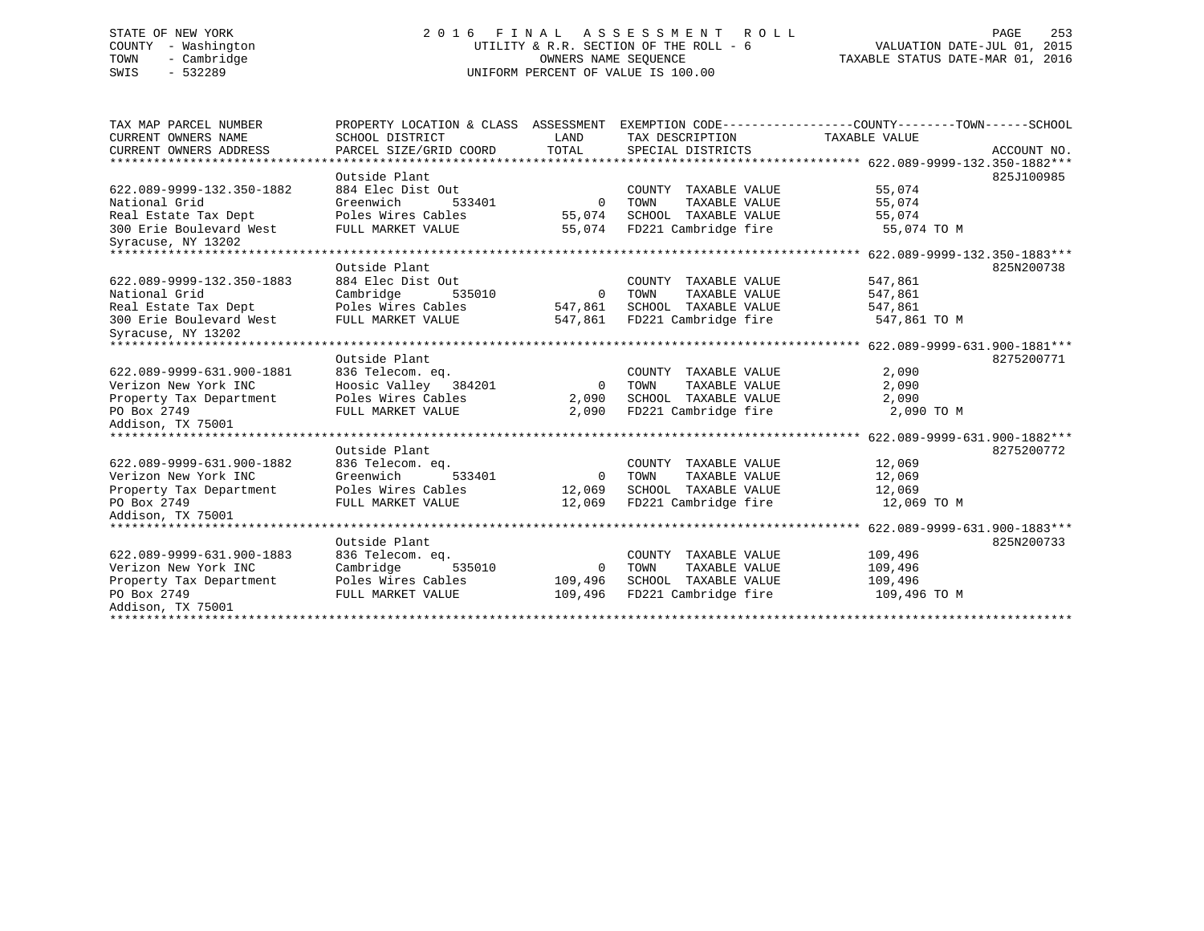# STATE OF NEW YORK 2 0 1 6 F I N A L A S S E S S M E N T R O L L PAGE 253 COUNTY - Washington UTILITY & R.R. SECTION OF THE ROLL - 6 VALUATION DATE-JUL 01, 2015 TOWN - Cambridge OWNERS NAME SEQUENCE TAXABLE STATUS DATE-MAR 01, 2016 SWIS - 532289 UNIFORM PERCENT OF VALUE IS 100.00

| TAX MAP PARCEL NUMBER                         | PROPERTY LOCATION & CLASS ASSESSMENT |          |                       | EXEMPTION CODE-----------------COUNTY-------TOWN------SCHOOL |             |
|-----------------------------------------------|--------------------------------------|----------|-----------------------|--------------------------------------------------------------|-------------|
| CURRENT OWNERS NAME                           | SCHOOL DISTRICT                      | LAND     | TAX DESCRIPTION       | TAXABLE VALUE                                                |             |
| CURRENT OWNERS ADDRESS                        | PARCEL SIZE/GRID COORD               | TOTAL    | SPECIAL DISTRICTS     |                                                              | ACCOUNT NO. |
|                                               |                                      |          |                       |                                                              |             |
|                                               | Outside Plant                        |          |                       |                                                              | 825J100985  |
| 622.089-9999-132.350-1882                     | 884 Elec Dist Out                    |          | COUNTY TAXABLE VALUE  | 55,074                                                       |             |
| National Grid                                 | Greenwich<br>533401                  | $\Omega$ | TOWN<br>TAXABLE VALUE | 55,074                                                       |             |
| Real Estate Tax Dept                          | Poles Wires Cables                   | 55,074   | SCHOOL TAXABLE VALUE  | 55,074                                                       |             |
| 300 Erie Boulevard West<br>Syracuse, NY 13202 | FULL MARKET VALUE                    | 55,074   | FD221 Cambridge fire  | 55,074 TO M                                                  |             |
|                                               |                                      |          |                       |                                                              |             |
|                                               | Outside Plant                        |          |                       |                                                              | 825N200738  |
| 622.089-9999-132.350-1883                     | 884 Elec Dist Out                    |          | COUNTY TAXABLE VALUE  | 547,861                                                      |             |
| National Grid                                 | Cambridge<br>535010                  | $\Omega$ | TAXABLE VALUE<br>TOWN | 547,861                                                      |             |
| Real Estate Tax Dept                          | Poles Wires Cables                   | 547,861  | SCHOOL TAXABLE VALUE  | 547,861                                                      |             |
| 300 Erie Boulevard West                       | FULL MARKET VALUE                    | 547,861  | FD221 Cambridge fire  | 547,861 TO M                                                 |             |
| Syracuse, NY 13202                            |                                      |          |                       |                                                              |             |
|                                               |                                      |          |                       |                                                              |             |
|                                               | Outside Plant                        |          |                       |                                                              | 8275200771  |
| 622.089-9999-631.900-1881                     | 836 Telecom. eg.                     |          | COUNTY TAXABLE VALUE  | 2,090                                                        |             |
| Verizon New York INC                          | Hoosic Valley 384201                 | $\Omega$ | TAXABLE VALUE<br>TOWN | 2,090                                                        |             |
| Property Tax Department                       | Poles Wires Cables                   | 2,090    | SCHOOL TAXABLE VALUE  | 2,090                                                        |             |
| PO Box 2749                                   | FULL MARKET VALUE                    | 2,090    | FD221 Cambridge fire  | 2,090 TO M                                                   |             |
| Addison, TX 75001                             |                                      |          |                       |                                                              |             |
|                                               |                                      |          |                       |                                                              |             |
|                                               | Outside Plant                        |          |                       |                                                              | 8275200772  |
| 622.089-9999-631.900-1882                     | 836 Telecom. eq.                     |          | COUNTY TAXABLE VALUE  | 12,069                                                       |             |
| Verizon New York INC                          | 533401<br>Greenwich                  | $\Omega$ | TAXABLE VALUE<br>TOWN | 12,069                                                       |             |
| Property Tax Department                       | Poles Wires Cables                   | 12,069   | SCHOOL TAXABLE VALUE  | 12,069                                                       |             |
| PO Box 2749                                   | FULL MARKET VALUE                    | 12,069   | FD221 Cambridge fire  | 12,069 TO M                                                  |             |
| Addison, TX 75001                             |                                      |          |                       |                                                              |             |
|                                               | Outside Plant                        |          |                       |                                                              | 825N200733  |
| 622.089-9999-631.900-1883                     | 836 Telecom. eq.                     |          | COUNTY TAXABLE VALUE  | 109,496                                                      |             |
| Verizon New York INC                          | Cambridge<br>535010                  | $\Omega$ | TOWN<br>TAXABLE VALUE | 109,496                                                      |             |
| Property Tax Department                       | Poles Wires Cables                   | 109,496  | SCHOOL TAXABLE VALUE  | 109,496                                                      |             |
| PO Box 2749                                   | FULL MARKET VALUE                    | 109,496  | FD221 Cambridge fire  | 109,496 TO M                                                 |             |
| Addison, TX 75001                             |                                      |          |                       |                                                              |             |
|                                               |                                      |          |                       |                                                              |             |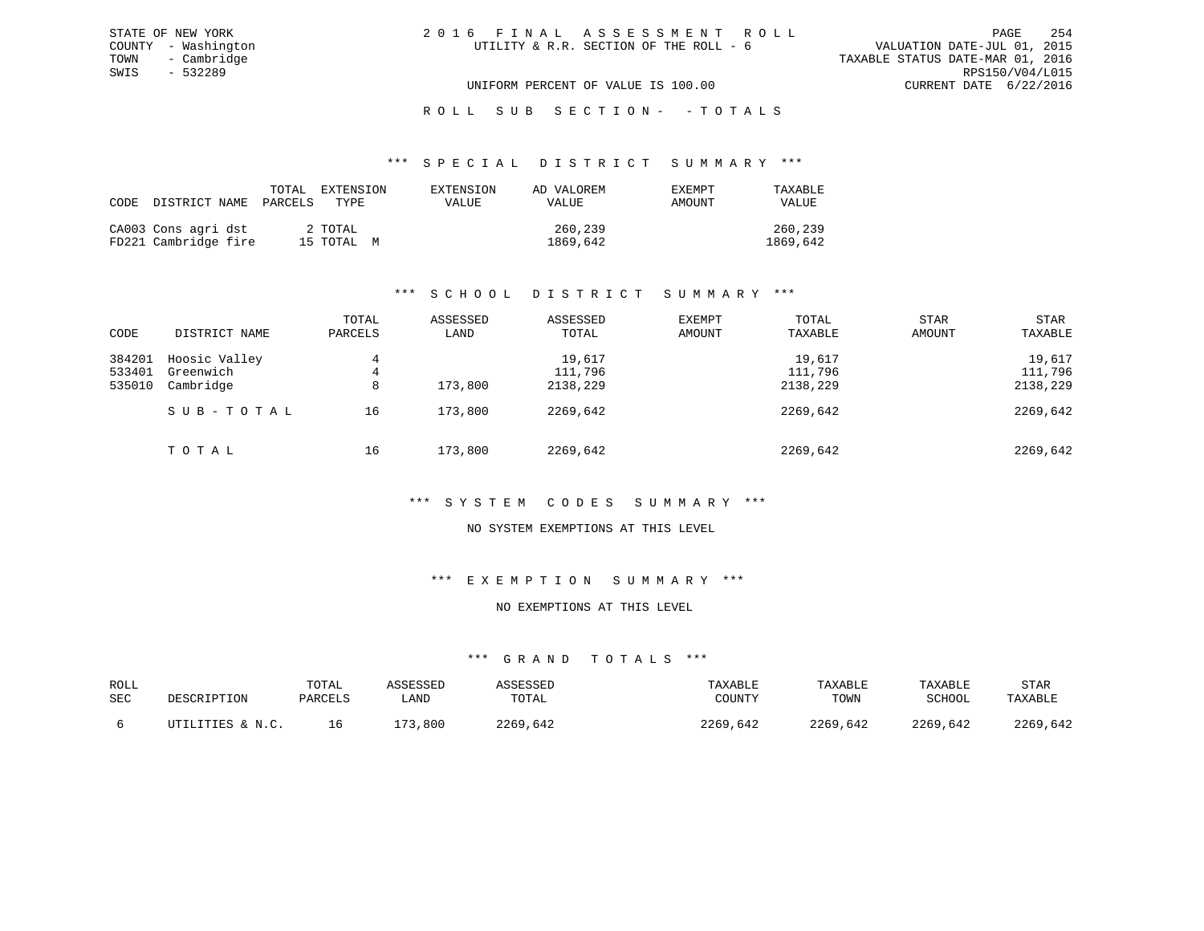# ROLL SUB SECTION - - TOTALS

#### \*\*\* S P E C I A L D I S T R I C T S U M M A R Y \*\*\*

| CODE DISTRICT NAME PARCELS                  | TOTAL | EXTENSION<br>TYPE.    | EXTENSION<br>VALUE | AD VALOREM<br>VALUE | EXEMPT<br>AMOUNT | TAXABLE<br>VALUE    |
|---------------------------------------------|-------|-----------------------|--------------------|---------------------|------------------|---------------------|
| CA003 Cons agri dst<br>FD221 Cambridge fire |       | 2 TOTAL<br>15 TOTAL M |                    | 260,239<br>1869,642 |                  | 260,239<br>1869,642 |

# \*\*\* S C H O O L D I S T R I C T S U M M A R Y \*\*\*

| CODE             | DISTRICT NAME              | TOTAL<br>PARCELS | ASSESSED<br>LAND | ASSESSED<br>TOTAL | <b>EXEMPT</b><br>AMOUNT | TOTAL<br>TAXABLE  | <b>STAR</b><br>AMOUNT | <b>STAR</b><br>TAXABLE |
|------------------|----------------------------|------------------|------------------|-------------------|-------------------------|-------------------|-----------------------|------------------------|
|                  |                            |                  |                  |                   |                         |                   |                       |                        |
| 384201<br>533401 | Hoosic Valley<br>Greenwich | 4<br>4           |                  | 19,617<br>111,796 |                         | 19,617<br>111,796 |                       | 19,617<br>111,796      |
| 535010           | Cambridge                  | 8                | 173,800          | 2138,229          |                         | 2138,229          |                       | 2138,229               |
|                  | SUB-TOTAL                  | 16               | 173,800          | 2269,642          |                         | 2269,642          |                       | 2269,642               |
|                  |                            |                  |                  |                   |                         |                   |                       |                        |
|                  | TOTAL                      | 16               | 173,800          | 2269,642          |                         | 2269,642          |                       | 2269,642               |

## \*\*\* S Y S T E M C O D E S S U M M A R Y \*\*\*

# NO SYSTEM EXEMPTIONS AT THIS LEVEL

### \*\*\* E X E M P T I O N S U M M A R Y \*\*\*

### NO EXEMPTIONS AT THIS LEVEL

| ROLL       | DESCRIPTION      | TOTAL   | ASSESSED | ASSESSED | TAXABLE  | TAXABLE  | TAXABLE  | STAR     |
|------------|------------------|---------|----------|----------|----------|----------|----------|----------|
| <b>SEC</b> |                  | PARCELS | LAND     | TOTAL    | COUNTY   | TOWN     | SCHOOL   | TAXABLE  |
|            | UTILITIES & N.C. |         | 173,800  | 2269,642 | 2269,642 | 2269,642 | 2269,642 | 2269,642 |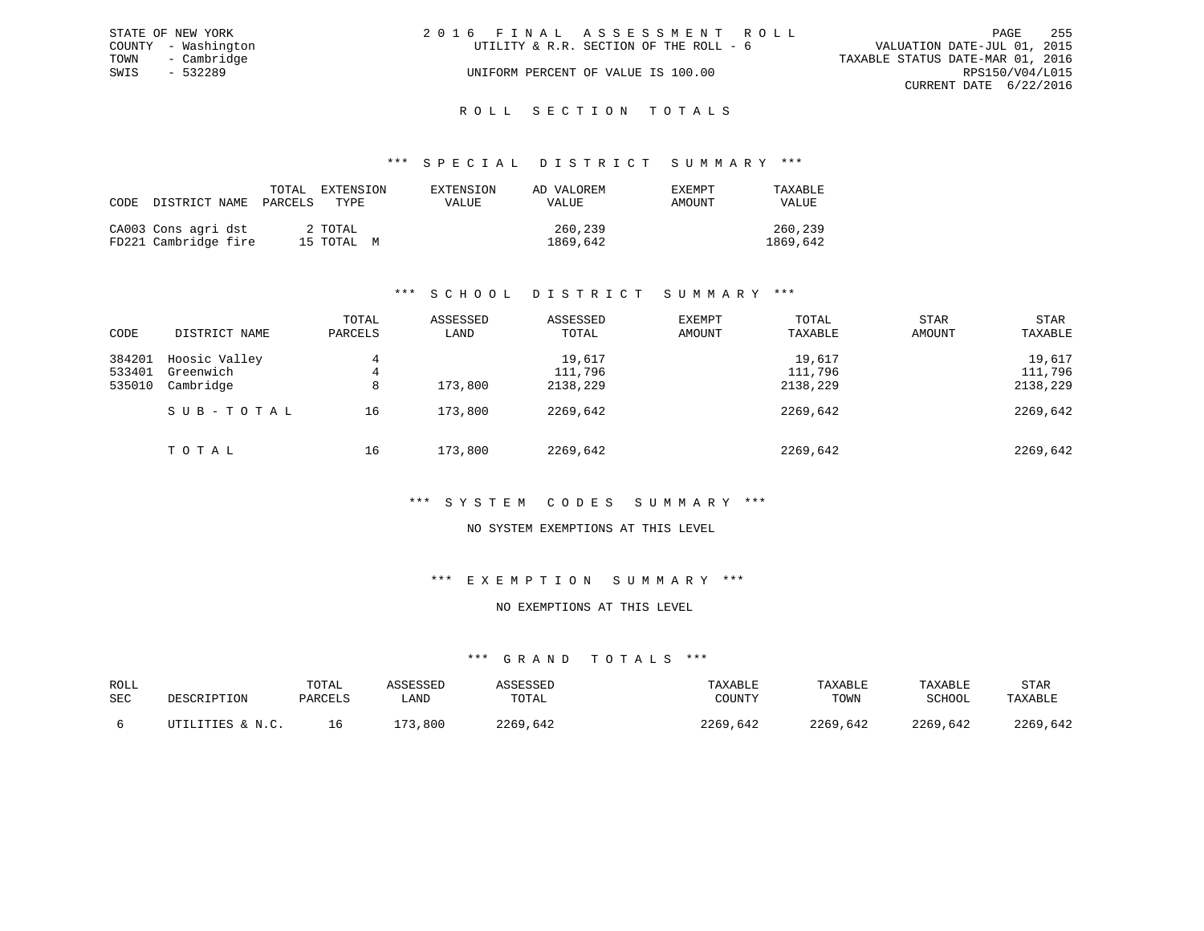|      | STATE OF NEW YORK   | 2016 FINAL ASSESSMENT ROLL             | 255<br>PAGE                      |
|------|---------------------|----------------------------------------|----------------------------------|
|      | COUNTY - Washington | UTILITY & R.R. SECTION OF THE ROLL - 6 | VALUATION DATE-JUL 01, 2015      |
|      | TOWN - Cambridge    |                                        | TAXABLE STATUS DATE-MAR 01, 2016 |
| SWIS | - 532289            | UNIFORM PERCENT OF VALUE IS 100.00     | RPS150/V04/L015                  |
|      |                     |                                        | CURRENT DATE 6/22/2016           |
|      |                     |                                        |                                  |

# ROLL SECTION TOTALS

### \*\*\* S P E C I A L D I S T R I C T S U M M A R Y \*\*\*

| CODE | DISTRICT NAME                               | TOTAL<br>PARCELS | EXTENSION<br>TYPE.    | EXTENSION<br>VALUE | AD VALOREM<br>VALUE | EXEMPT<br>AMOUNT | TAXABLE<br>VALUE    |
|------|---------------------------------------------|------------------|-----------------------|--------------------|---------------------|------------------|---------------------|
|      | CA003 Cons agri dst<br>FD221 Cambridge fire |                  | 2 TOTAL<br>15 TOTAL M |                    | 260,239<br>1869,642 |                  | 260,239<br>1869,642 |

# \*\*\* S C H O O L D I S T R I C T S U M M A R Y \*\*\*

| CODE   | DISTRICT NAME | TOTAL<br>PARCELS | ASSESSED<br>LAND | ASSESSED<br>TOTAL | <b>EXEMPT</b><br>AMOUNT | TOTAL<br>TAXABLE | STAR<br>AMOUNT | <b>STAR</b><br>TAXABLE |
|--------|---------------|------------------|------------------|-------------------|-------------------------|------------------|----------------|------------------------|
| 384201 | Hoosic Valley | 4                |                  | 19,617            |                         | 19,617           |                | 19,617                 |
| 533401 | Greenwich     | 4                |                  | 111,796           |                         | 111,796          |                | 111,796                |
| 535010 | Cambridge     | 8                | 173,800          | 2138,229          |                         | 2138,229         |                | 2138,229               |
|        | SUB-TOTAL     | 16               | 173,800          | 2269,642          |                         | 2269,642         |                | 2269,642               |
|        | TOTAL         | 16               | 173,800          | 2269,642          |                         | 2269,642         |                | 2269,642               |

# \*\*\* S Y S T E M C O D E S S U M M A R Y \*\*\*

# NO SYSTEM EXEMPTIONS AT THIS LEVEL

### \*\*\* E X E M P T I O N S U M M A R Y \*\*\*

### NO EXEMPTIONS AT THIS LEVEL

| ROLL<br>SEC | DESCRIPTION      | TOTAL<br>PARCELS | ASSESSED<br>∟AND | ASSESSED<br>TOTAL | TAXABLE<br>COUNTY | TAXABLE<br>TOWN | TAXABLE<br>SCHOOL | STAR<br>TAXABLE |
|-------------|------------------|------------------|------------------|-------------------|-------------------|-----------------|-------------------|-----------------|
|             | UTILITIES & N.C. | ΤP.              | 173,800          | 2269,642          | 2269,642          | 2269,642        | 2269,642          | 2269,642        |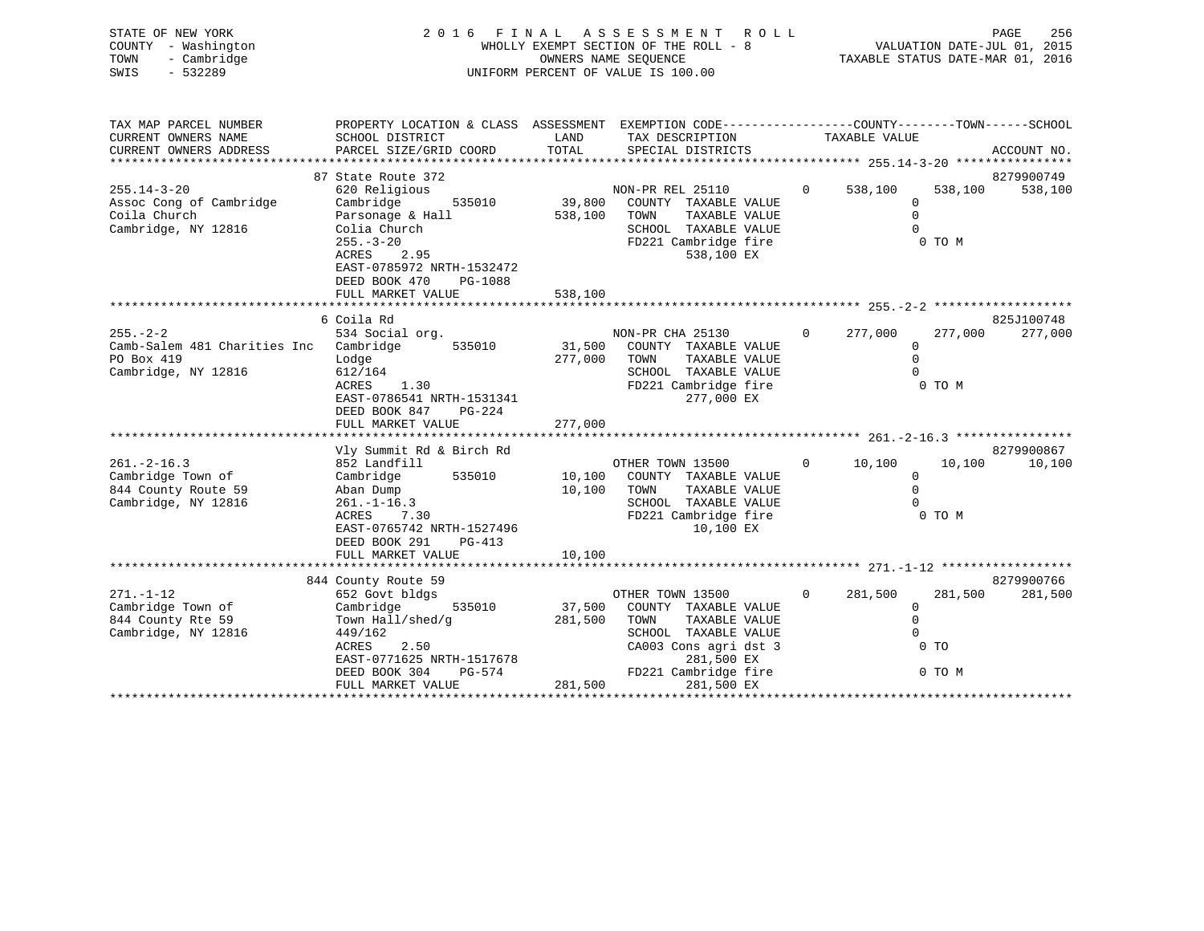| STATE OF NEW YORK<br>COUNTY - Washington<br>- Cambridge<br>TOWN<br>$-532289$<br>SWIS         |                                                                                                                                                                                                                  |                    | 2016 FINAL ASSESSMENT ROLL<br>WHOLLY EXEMPT SECTION OF THE ROLL - 8<br>$-8$<br>OWNERS NAME SEQUENCE<br>UNIFORM PERCENT OF VALUE IS 100.00 |          |                                                            |                           | PAGE<br>256<br>VALUATION DATE-JUL 01, 2015<br>TAXABLE STATUS DATE-MAR 01, 2016 |
|----------------------------------------------------------------------------------------------|------------------------------------------------------------------------------------------------------------------------------------------------------------------------------------------------------------------|--------------------|-------------------------------------------------------------------------------------------------------------------------------------------|----------|------------------------------------------------------------|---------------------------|--------------------------------------------------------------------------------|
| TAX MAP PARCEL NUMBER<br>CURRENT OWNERS NAME<br>CURRENT OWNERS ADDRESS                       | PROPERTY LOCATION & CLASS ASSESSMENT EXEMPTION CODE---------------COUNTY-------TOWN------SCHOOL<br>SCHOOL DISTRICT<br>PARCEL SIZE/GRID COORD                                                                     | LAND<br>TOTAL      | TAX DESCRIPTION<br>SPECIAL DISTRICTS                                                                                                      |          | TAXABLE VALUE                                              |                           | ACCOUNT NO.                                                                    |
| $255.14 - 3 - 20$<br>Assoc Cong of Cambridge<br>Coila Church<br>Cambridge, NY 12816          | 87 State Route 372<br>620 Religious<br>Cambridge<br>535010<br>Parsonage & Hall<br>Colia Church<br>$255. - 3 - 20$<br>2.95<br>ACRES<br>EAST-0785972 NRTH-1532472<br>DEED BOOK 470<br>PG-1088<br>FULL MARKET VALUE | 538,100<br>538,100 | NON-PR REL 25110<br>39,800 COUNTY TAXABLE VALUE<br>TOWN<br>TAXABLE VALUE<br>SCHOOL TAXABLE VALUE<br>FD221 Cambridge fire<br>538,100 EX    | $\Omega$ | 538,100<br>$\mathbf 0$<br>$\mathbf 0$<br>$\Omega$          | 538,100<br>0 TO M         | 8279900749<br>538,100                                                          |
|                                                                                              |                                                                                                                                                                                                                  |                    |                                                                                                                                           |          |                                                            |                           |                                                                                |
| $255 - 2 - 2$<br>Camb-Salem 481 Charities Inc Cambridge<br>PO Box 419<br>Cambridge, NY 12816 | 6 Coila Rd<br>534 Social org.<br>535010<br>Lodge<br>612/164<br>ACRES<br>1.30<br>EAST-0786541 NRTH-1531341<br>DEED BOOK 847<br>PG-224                                                                             | 277,000 TOWN       | NON-PR CHA 25130<br>31,500 COUNTY TAXABLE VALUE<br>TAXABLE VALUE<br>SCHOOL TAXABLE VALUE<br>FD221 Cambridge fire<br>277,000 EX            | $\Omega$ | 277,000<br>$\Omega$<br>$\Omega$<br>$\Omega$                | 277,000<br>0 TO M         | 825J100748<br>277,000                                                          |
|                                                                                              | FULL MARKET VALUE                                                                                                                                                                                                | 277,000            |                                                                                                                                           |          |                                                            |                           |                                                                                |
| $261. -2 - 16.3$<br>Cambridge Town of<br>844 County Route 59<br>Cambridge, NY 12816          | Vly Summit Rd & Birch Rd<br>852 Landfill<br>535010<br>Cambridge<br>Aban Dump<br>$261. - 1 - 16.3$<br>ACRES<br>7.30<br>EAST-0765742 NRTH-1527496<br>DEED BOOK 291<br>PG-413<br>FULL MARKET VALUE                  | 10,100<br>10,100   | OTHER TOWN 13500<br>10,100 COUNTY TAXABLE VALUE<br>TOWN<br>TAXABLE VALUE<br>SCHOOL TAXABLE VALUE<br>FD221 Cambridge fire<br>10,100 EX     |          | $0 \t 10,100$<br>$\overline{0}$<br>$\mathbf 0$<br>$\Omega$ | 10,100<br>0 TO M          | 8279900867<br>10,100                                                           |
|                                                                                              | 844 County Route 59                                                                                                                                                                                              |                    |                                                                                                                                           |          |                                                            |                           | 8279900766                                                                     |
| $271. - 1 - 12$<br>Cambridge Town of<br>844 County Rte 59<br>Cambridge, NY 12816             | 652 Govt bldgs<br>535010<br>Cambridge<br>Town Hall/shed/g<br>449/162<br>ACRES<br>2.50                                                                                                                            | 281,500            | OTHER TOWN 13500<br>37,500 COUNTY TAXABLE VALUE<br>TOWN<br>TAXABLE VALUE<br>SCHOOL TAXABLE VALUE<br>CA003 Cons agri dst 3                 | $\circ$  | 281,500<br>0<br>$\mathbf{0}$<br>$\Omega$                   | 281,500<br>0 <sub>T</sub> | 281,500                                                                        |

EAST-0771625 NRTH-1517678

CA003 Cons agri dst 3<br>281,500 EX

DEED BOOK 304 PG-574 FD221 Cambridge fire 0 TO M

FULL MARKET VALUE 281,500 281,500 EX \*\*\*\*\*\*\*\*\*\*\*\*\*\*\*\*\*\*\*\*\*\*\*\*\*\*\*\*\*\*\*\*\*\*\*\*\*\*\*\*\*\*\*\*\*\*\*\*\*\*\*\*\*\*\*\*\*\*\*\*\*\*\*\*\*\*\*\*\*\*\*\*\*\*\*\*\*\*\*\*\*\*\*\*\*\*\*\*\*\*\*\*\*\*\*\*\*\*\*\*\*\*\*\*\*\*\*\*\*\*\*\*\*\*\*\*\*\*\*\*\*\*\*\*\*\*\*\*\*\*\*\*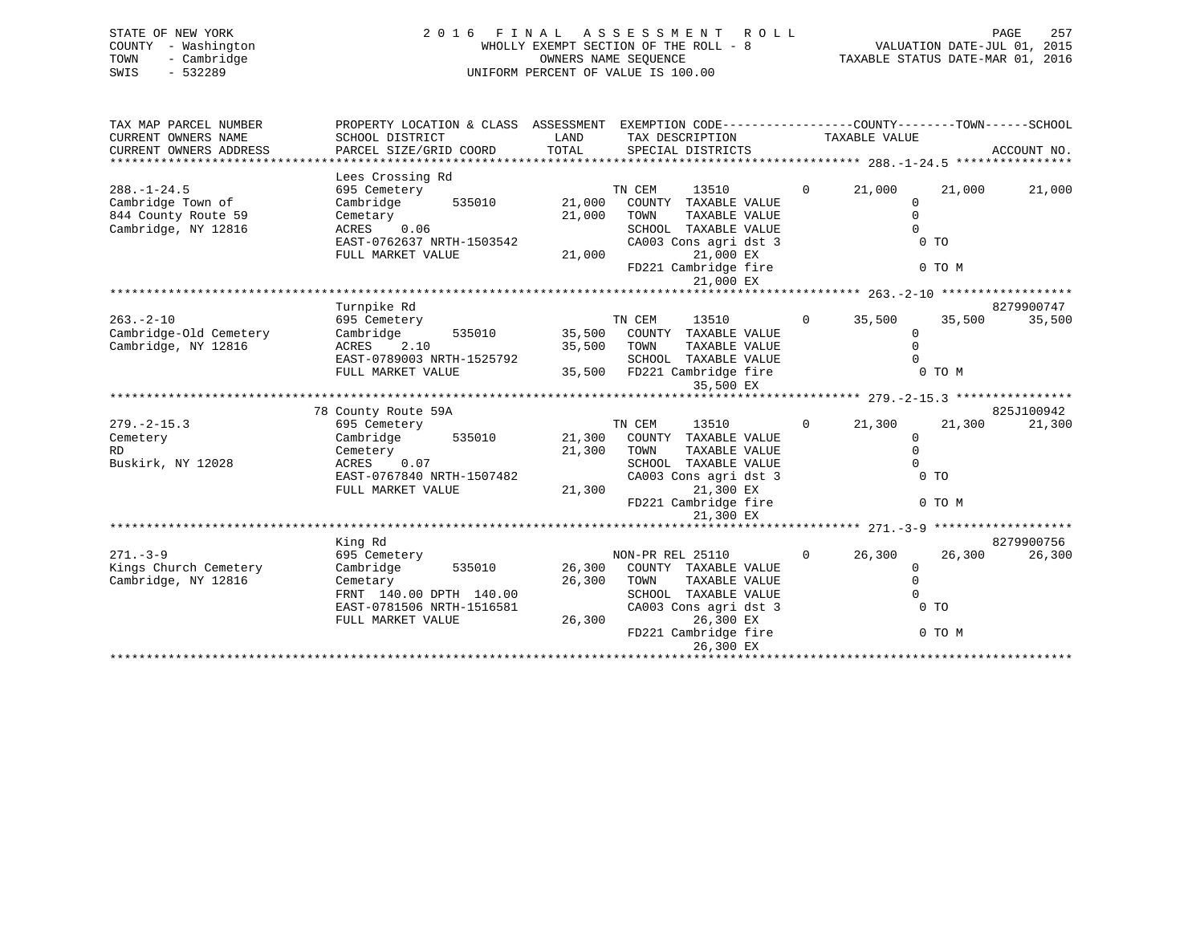| 2016 FINAL ASSESSMENT ROLL            | 257<br>PAGE                      |
|---------------------------------------|----------------------------------|
| WHOLLY EXEMPT SECTION OF THE ROLL - 8 | VALUATION DATE-JUL 01, 2015      |
| OWNERS NAME SEOUENCE                  | TAXABLE STATUS DATE-MAR 01, 2016 |
| UNIFORM PERCENT OF VALUE IS 100.00    |                                  |
|                                       |                                  |
|                                       |                                  |

| TAX MAP PARCEL NUMBER  | PROPERTY LOCATION & CLASS ASSESSMENT EXEMPTION CODE----------------COUNTY-------TOWN------SCHOOL |               |                                    |                |                      |        |             |
|------------------------|--------------------------------------------------------------------------------------------------|---------------|------------------------------------|----------------|----------------------|--------|-------------|
| CURRENT OWNERS NAME    | SCHOOL DISTRICT                                                                                  | LAND<br>TOTAL | TAX DESCRIPTION                    |                | TAXABLE VALUE        |        | ACCOUNT NO. |
| CURRENT OWNERS ADDRESS | PARCEL SIZE/GRID COORD                                                                           |               | SPECIAL DISTRICTS                  |                |                      |        |             |
|                        | Lees Crossing Rd                                                                                 |               |                                    |                |                      |        |             |
| $288. - 1 - 24.5$      | 695 Cemetery                                                                                     |               | TN CEM<br>13510                    | $\mathbf{0}$   | 21,000               | 21,000 | 21,000      |
| Cambridge Town of      | Cambridge<br>535010 21,000                                                                       |               | COUNTY TAXABLE VALUE               |                | $\mathbf{0}$         |        |             |
| 844 County Route 59    | Cemetary                                                                                         | 21,000        | TOWN<br>TAXABLE VALUE              |                | $\mathbf 0$          |        |             |
| Cambridge, NY 12816    | $ACRES$ 0.06                                                                                     |               | SCHOOL TAXABLE VALUE               |                | $\Omega$             |        |             |
|                        | EAST-0762637 NRTH-1503542                                                                        |               | CA003 Cons agri dst 3              |                | 0 <sub>T</sub>       |        |             |
|                        | FULL MARKET VALUE                                                                                |               | 21,000 EX<br>21,000                |                |                      |        |             |
|                        |                                                                                                  |               | FD221 Cambridge fire               |                |                      | 0 TO M |             |
|                        |                                                                                                  |               | 21,000 EX                          |                |                      |        |             |
|                        |                                                                                                  |               |                                    |                |                      |        |             |
|                        | Turnpike Rd                                                                                      |               |                                    |                |                      |        | 8279900747  |
| $263. - 2 - 10$        | 695 Cemetery                                                                                     |               | TN CEM<br>13510                    | $\circ$        | 35,500               | 35,500 | 35,500      |
| Cambridge-Old Cemetery | Cambridge                                                                                        |               | 535010 35,500 COUNTY TAXABLE VALUE |                | $\mathbf{0}$         |        |             |
| Cambridge, NY 12816    | ACRES 2.10                                                                                       | 35,500 TOWN   | TAXABLE VALUE                      |                | $\Omega$             |        |             |
|                        | EAST-0789003 NRTH-1525792                                                                        |               | SCHOOL TAXABLE VALUE               |                | $\cap$               |        |             |
|                        | FULL MARKET VALUE                                                                                |               | 35,500 FD221 Cambridge fire        |                | 0 TO M               |        |             |
|                        |                                                                                                  |               | 35,500 EX                          |                |                      |        |             |
|                        |                                                                                                  |               |                                    |                |                      |        |             |
|                        | 78 County Route 59A                                                                              |               |                                    |                |                      |        | 825J100942  |
| $279. - 2 - 15.3$      | 695 Cemetery                                                                                     |               | TN CEM<br>13510                    | $\overline{0}$ | 21,300               | 21,300 | 21,300      |
| Cemetery               | Cambridge 535010 21,300 COUNTY TAXABLE VALUE                                                     |               |                                    |                | $\Omega$             |        |             |
| RD.                    | Cemetery                                                                                         | 21,300 TOWN   | TAXABLE VALUE                      |                | $\Omega$             |        |             |
| Buskirk, NY 12028      | ACRES 0.07                                                                                       |               | SCHOOL TAXABLE VALUE               |                | $\Omega$             |        |             |
|                        | EAST-0767840 NRTH-1507482                                                                        |               | CA003 Cons agri dst 3              |                | 0 <sub>T</sub>       |        |             |
|                        | FULL MARKET VALUE                                                                                |               | 21,300<br>21,300 EX                |                |                      |        |             |
|                        |                                                                                                  |               | FD221 Cambridge fire               |                |                      | 0 TO M |             |
|                        |                                                                                                  |               | 21,300 EX                          |                |                      |        |             |
|                        |                                                                                                  |               |                                    |                |                      |        |             |
|                        | King Rd                                                                                          |               |                                    |                |                      |        | 8279900756  |
| $271. - 3 - 9$         | 695 Cemetery                                                                                     |               | NON-PR REL 25110                   | $\circ$        | 26,300               | 26,300 | 26,300      |
| Kings Church Cemetery  | Cambridge 535010 26,300 COUNTY TAXABLE VALUE                                                     |               |                                    |                | $\mathbf 0$          |        |             |
| Cambridge, NY 12816    | Cemetary<br>FRNT 140.00 DPTH 140.00                                                              | 26,300 TOWN   | TAXABLE VALUE                      |                | $\Omega$<br>$\Omega$ |        |             |
|                        |                                                                                                  |               | SCHOOL TAXABLE VALUE               |                | 0 <sub>T</sub>       |        |             |
|                        | EAST-0781506 NRTH-1516581<br>FULL MARKET VALUE                                                   |               | CA003 Cons agri dst 3<br>26,300 EX |                |                      |        |             |
|                        |                                                                                                  | 26,300        | FD221 Cambridge fire               |                |                      | 0 TO M |             |
|                        |                                                                                                  |               | 26,300 EX                          |                |                      |        |             |
|                        |                                                                                                  |               |                                    |                |                      |        |             |
|                        |                                                                                                  |               |                                    |                |                      |        |             |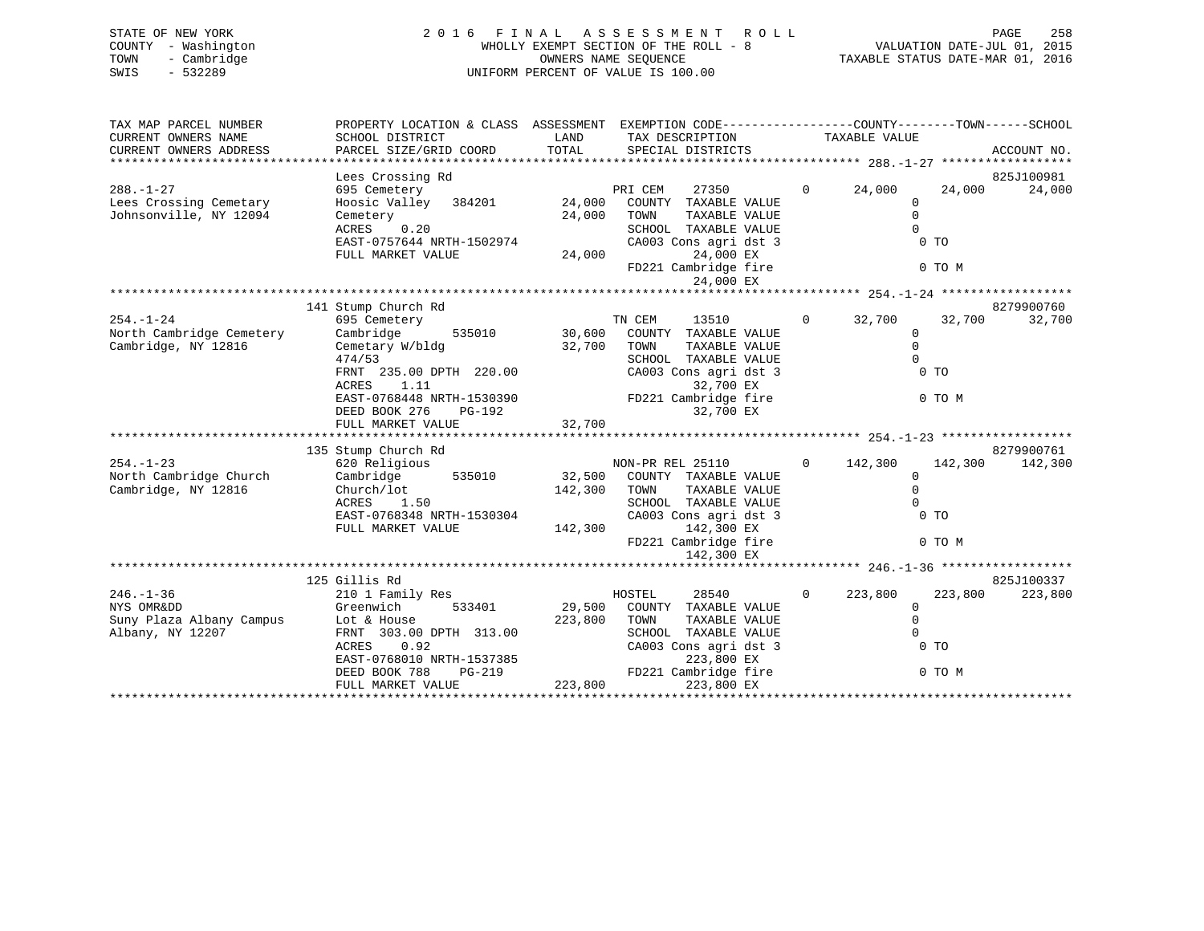| STATE OF NEW YORK   | 2016 FINAL ASSESSMENT ROLL            | 258<br>PAGE                      |
|---------------------|---------------------------------------|----------------------------------|
| COUNTY - Washington | WHOLLY EXEMPT SECTION OF THE ROLL - 8 | VALUATION DATE-JUL 01, 2015      |
| - Cambridge<br>TOWN | OWNERS NAME SEOUENCE                  | TAXABLE STATUS DATE-MAR 01, 2016 |
| $-532289$<br>SWIS   | UNIFORM PERCENT OF VALUE IS 100.00    |                                  |
|                     |                                       |                                  |

| TAX MAP PARCEL NUMBER<br>CURRENT OWNERS NAME  | PROPERTY LOCATION & CLASS ASSESSMENT EXEMPTION CODE----------------COUNTY-------TOWN------SCHOOL<br>SCHOOL DISTRICT | LAND         | TAX DESCRIPTION                                                                                      |                   | TAXABLE VALUE                       |             |
|-----------------------------------------------|---------------------------------------------------------------------------------------------------------------------|--------------|------------------------------------------------------------------------------------------------------|-------------------|-------------------------------------|-------------|
| CURRENT OWNERS ADDRESS                        | PARCEL SIZE/GRID COORD                                                                                              | TOTAL        | SPECIAL DISTRICTS                                                                                    |                   |                                     | ACCOUNT NO. |
|                                               |                                                                                                                     |              |                                                                                                      |                   |                                     |             |
| $288. - 1 - 27$                               | Lees Crossing Rd                                                                                                    |              | 27350 0 24,000                                                                                       |                   | 24,000                              | 825J100981  |
| Lees Crossing Cemetary                        | 695 Cemetery<br>Hoosic Valley 384201 24,000 COUNTY TAXABLE VALUE                                                    |              | PRI CEM                                                                                              |                   | $\Omega$                            | 24,000      |
| Johnsonville, NY 12094                        | Cemetery                                                                                                            | 24,000       | TOWN<br>TAXABLE VALUE                                                                                |                   | $\mathbf{0}$                        |             |
|                                               | 0.20<br>ACRES                                                                                                       |              | SCHOOL TAXABLE VALUE                                                                                 |                   | $\Omega$                            |             |
|                                               | EAST-0757644 NRTH-1502974                                                                                           |              | CA003 Cons agri dst 3                                                                                |                   | $0$ TO                              |             |
|                                               | FULL MARKET VALUE                                                                                                   | 24,000       | 24,000 EX                                                                                            |                   |                                     |             |
|                                               |                                                                                                                     |              | FD221 Cambridge fire                                                                                 |                   | 0 TO M                              |             |
|                                               |                                                                                                                     |              | 24,000 EX                                                                                            |                   |                                     |             |
|                                               |                                                                                                                     |              |                                                                                                      |                   |                                     |             |
|                                               | 141 Stump Church Rd                                                                                                 |              |                                                                                                      |                   |                                     | 8279900760  |
| $254. - 1 - 24$<br>North Cambridge Cemetery   | 695 Cemetery                                                                                                        |              | TN CEM<br>13510                                                                                      | $\overline{0}$    | 32,700<br>32,700                    | 32,700      |
| Cambridge, NY 12816                           | $535010$ 30,600<br>Cambridge<br>Cemetary W/bldg                                                                     | 32,700 TOWN  | COUNTY TAXABLE VALUE<br>TAXABLE VALUE                                                                |                   | $\mathbf{0}$<br>$\mathsf{O}\xspace$ |             |
|                                               | 474/53                                                                                                              |              | SCHOOL TAXABLE VALUE                                                                                 |                   | $\Omega$                            |             |
|                                               | FRNT 235.00 DPTH 220.00                                                                                             |              | CA003 Cons agri dst 3                                                                                |                   | 0 <sub>T</sub>                      |             |
|                                               | ACRES<br>1.11                                                                                                       |              | 32,700 EX                                                                                            |                   |                                     |             |
|                                               | ACRES 1.11<br>EAST-0768448 NRTH-1530390 FD221 Cambridge fire                                                        |              |                                                                                                      |                   | 0 TO M                              |             |
|                                               | DEED BOOK 276<br>PG-192                                                                                             |              | 32,700 EX                                                                                            |                   |                                     |             |
|                                               | FULL MARKET VALUE                                                                                                   | 32,700       |                                                                                                      |                   |                                     |             |
|                                               |                                                                                                                     |              |                                                                                                      |                   |                                     |             |
|                                               | 135 Stump Church Rd                                                                                                 |              |                                                                                                      |                   |                                     | 8279900761  |
| $254. - 1 - 23$                               | 620 Religious                                                                                                       |              |                                                                                                      | $0 \qquad \qquad$ | 142,300<br>142,300                  | 142,300     |
| North Cambridge Church<br>Cambridge, NY 12816 | Cambridge 535010<br>Church/lot                                                                                      | 142,300 TOWN | NON-PR REL 25110<br>32,500 COUNTY TAXABLE VALUE<br>---- <b>ELLE DE LE SE AVABLE</b><br>TAXABLE VALUE |                   | $\Omega$<br>$\Omega$                |             |
|                                               | ACRES 1.50                                                                                                          |              | SCHOOL TAXABLE VALUE                                                                                 |                   | $\Omega$                            |             |
|                                               | EAST-0768348 NRTH-1530304                                                                                           |              | CA003 Cons agri dst 3                                                                                |                   | 0 <sub>T</sub>                      |             |
|                                               | FULL MARKET VALUE                                                                                                   | 142,300      | 142,300 EX                                                                                           |                   |                                     |             |
|                                               |                                                                                                                     |              | FD221 Cambridge fire                                                                                 |                   | 0 TO M                              |             |
|                                               |                                                                                                                     |              | 142,300 EX                                                                                           |                   |                                     |             |
|                                               |                                                                                                                     |              |                                                                                                      |                   |                                     |             |
|                                               | 125 Gillis Rd                                                                                                       |              |                                                                                                      |                   |                                     | 825J100337  |
| $246. - 1 - 36$                               | 210 1 Family Res                                                                                                    | HOSTEL       | 28540                                                                                                | $0 \qquad \qquad$ | 223,800<br>223,800                  | 223,800     |
| NYS OMRⅅ                                      | Greenwich<br>533401                                                                                                 |              | 29,500 COUNTY TAXABLE VALUE                                                                          |                   | $\mathbf{0}$                        |             |
| Suny Plaza Albany Campus Lot & House          |                                                                                                                     | 223,800 TOWN | TAXABLE VALUE                                                                                        |                   | $\mathbf 0$<br>$\Omega$             |             |
| Albany, NY 12207                              | FRNT 303.00 DPTH 313.00<br>ACRES 0.92                                                                               |              | SCHOOL TAXABLE VALUE<br>CA003 Cons agri dst 3                                                        |                   | 0 <sub>T</sub>                      |             |
|                                               | EAST-0768010 NRTH-1537385                                                                                           |              | 223,800 EX                                                                                           |                   |                                     |             |
|                                               | DEED BOOK 788                                                                                                       |              | FD221 Cambridge fire                                                                                 |                   | 0 TO M                              |             |
|                                               | FULL MARKET VALUE                                                                                                   | 223,800      | 223,800 EX                                                                                           |                   |                                     |             |
|                                               |                                                                                                                     |              |                                                                                                      |                   |                                     |             |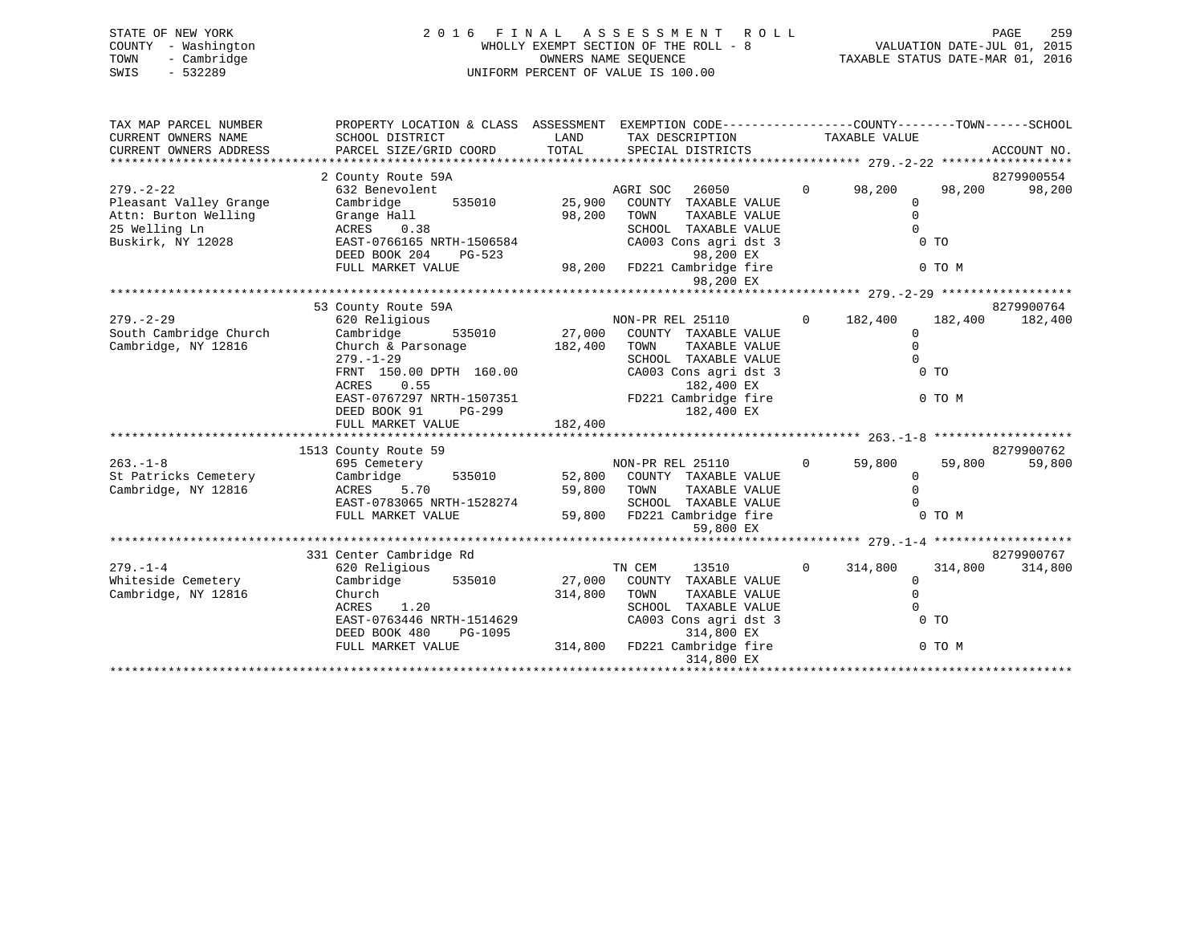| STATE OF NEW YORK   | 2016 FINAL ASSESSMENT ROLL            | 259<br>PAGE                      |
|---------------------|---------------------------------------|----------------------------------|
| COUNTY - Washington | WHOLLY EXEMPT SECTION OF THE ROLL - 8 | VALUATION DATE-JUL 01, 2015      |
| TOWN - Cambridge    | OWNERS NAME SEOUENCE                  | TAXABLE STATUS DATE-MAR 01, 2016 |
| $-532289$<br>SWIS   | UNIFORM PERCENT OF VALUE IS 100.00    |                                  |
|                     |                                       |                                  |
|                     |                                       |                                  |

| TAX MAP PARCEL NUMBER                                                                                                                                                | PROPERTY LOCATION & CLASS ASSESSMENT EXEMPTION CODE----------------COUNTY-------TOWN------SCHOOL                                                     |                                            |                                                                                      |                |                |                 |
|----------------------------------------------------------------------------------------------------------------------------------------------------------------------|------------------------------------------------------------------------------------------------------------------------------------------------------|--------------------------------------------|--------------------------------------------------------------------------------------|----------------|----------------|-----------------|
| CURRENT OWNERS NAME                                                                                                                                                  | SCHOOL DISTRICT                                                                                                                                      | <b>EXAMPLE THE STATE OF STATE OF STATE</b> | TAX DESCRIPTION TAXABLE VALUE                                                        |                |                |                 |
| CURRENT OWNERS ADDRESS                                                                                                                                               |                                                                                                                                                      |                                            |                                                                                      |                |                |                 |
|                                                                                                                                                                      |                                                                                                                                                      |                                            |                                                                                      |                |                |                 |
|                                                                                                                                                                      | 2 County Route 59A                                                                                                                                   |                                            |                                                                                      |                |                | 8279900554      |
| $279. - 2 - 22$                                                                                                                                                      | 632 Benevolent                                                                                                                                       |                                            | AGRI SOC<br>26050 700                                                                | $0 \t 98,200$  | 98,200         | 98,200          |
|                                                                                                                                                                      |                                                                                                                                                      |                                            | 535010 25,900 COUNTY TAXABLE VALUE                                                   | $\mathbf{0}$   |                |                 |
|                                                                                                                                                                      |                                                                                                                                                      | 98,200 TOWN                                | TAXABLE VALUE                                                                        | $\mathbf 0$    |                |                 |
| Pleasant Valley Grange Cambridge 535010 25,900<br>Attn: Burton Welling Grange Hall 98,200<br>25 Welling Ln ACRES 0.38<br>Buskirk, NY 12028 EAST-0766165 NRTH-1506584 |                                                                                                                                                      |                                            | SCHOOL TAXABLE VALUE                                                                 | $\Omega$       |                |                 |
|                                                                                                                                                                      |                                                                                                                                                      |                                            | CA003 Cons agri dst 3                                                                |                | 0 <sub>T</sub> |                 |
|                                                                                                                                                                      | DEED BOOK 204<br>$PG-523$                                                                                                                            |                                            | 98,200 EX<br>98,200 EX<br>98,200 FD221 Cambridge fire<br>98,200 FD221 Cambridge fire |                |                |                 |
|                                                                                                                                                                      | FULL MARKET VALUE                                                                                                                                    |                                            |                                                                                      |                | 0 TO M         |                 |
|                                                                                                                                                                      |                                                                                                                                                      |                                            | 98,200 EX                                                                            |                |                |                 |
|                                                                                                                                                                      |                                                                                                                                                      |                                            |                                                                                      |                |                |                 |
|                                                                                                                                                                      | 53 County Route 59A                                                                                                                                  |                                            |                                                                                      |                |                | 8279900764      |
| $279. - 2 - 29$                                                                                                                                                      | 620 Religious<br>Cambridge 535010 27,000 COUNTY TAXABLE VALUE                                                                                        |                                            | NON-PR REL 25110                                                                     | $0 \t 182,400$ |                | 182,400 182,400 |
| South Cambridge Church                                                                                                                                               |                                                                                                                                                      |                                            |                                                                                      | $\Omega$       |                |                 |
| Cambridge, NY 12816                                                                                                                                                  | Church & Parsonage                                                                                                                                   | 182,400 TOWN                               | TAXABLE VALUE                                                                        | $\Omega$       |                |                 |
|                                                                                                                                                                      | $279. - 1 - 29$                                                                                                                                      |                                            | SCHOOL TAXABLE VALUE                                                                 | $\Omega$       |                |                 |
|                                                                                                                                                                      | FRNT 150.00 DPTH 160.00 CA003 Cons agri dst 3                                                                                                        |                                            |                                                                                      |                | $0$ TO         |                 |
|                                                                                                                                                                      | ACRES 0.55<br>ACRES 0.55 182,400 EX<br>EAST-0767297 NRTH-1507351 FD221 Cambridge fire                                                                |                                            | 182,400 EX                                                                           |                |                |                 |
|                                                                                                                                                                      |                                                                                                                                                      |                                            |                                                                                      |                | 0 TO M         |                 |
|                                                                                                                                                                      | $PG-299$<br>DEED BOOK 91                                                                                                                             |                                            | 182,400 EX                                                                           |                |                |                 |
|                                                                                                                                                                      |                                                                                                                                                      |                                            |                                                                                      |                |                |                 |
|                                                                                                                                                                      | 1513 County Route 59                                                                                                                                 |                                            |                                                                                      |                |                | 8279900762      |
| $263. - 1 - 8$                                                                                                                                                       | 695 Cemetery                                                                                                                                         |                                            | NON-PR REL 25110 0 59,800                                                            |                | 59,800         | 59,800          |
|                                                                                                                                                                      |                                                                                                                                                      |                                            |                                                                                      | $\overline{0}$ |                |                 |
| St Patricks Cemetery Cambridge 535010<br>Cambridge, NY 12816                                                                                                         | ACRES 5.70                                                                                                                                           |                                            | 52,800 COUNTY TAXABLE VALUE<br>59,800 TOWN TAXABLE VALUE                             |                |                |                 |
|                                                                                                                                                                      | ACRES 5.70 59,800 TOWN TAXABLE VALUE 0<br>EAST-0783065 NRTH-1528274 SCHOOL TAXABLE VALUE 0<br>FULL MARKET VALUE 59,800 FD221 Cambridge fire 0 0 TO M |                                            |                                                                                      |                |                |                 |
|                                                                                                                                                                      |                                                                                                                                                      |                                            |                                                                                      |                |                |                 |
|                                                                                                                                                                      |                                                                                                                                                      |                                            | 59,800 EX                                                                            |                |                |                 |
|                                                                                                                                                                      |                                                                                                                                                      |                                            |                                                                                      |                |                |                 |
|                                                                                                                                                                      | 331 Center Cambridge Rd                                                                                                                              |                                            |                                                                                      |                |                | 8279900767      |
| $279 - 1 - 4$                                                                                                                                                        | 620 Religious                                                                                                                                        |                                            | TN CEM<br>13510                                                                      | $0 \t 314,800$ | 314,800        | 314,800         |
| Whiteside Cemetery                                                                                                                                                   | Cambridge 535010                                                                                                                                     |                                            | 27,000 COUNTY TAXABLE VALUE                                                          | $\Omega$       |                |                 |
| Cambridge, NY 12816                                                                                                                                                  | Church                                                                                                                                               | 314,800 TOWN                               | TAXABLE VALUE                                                                        | $\overline{0}$ |                |                 |
|                                                                                                                                                                      | ACRES 1.20                                                                                                                                           |                                            | SCHOOL TAXABLE VALUE                                                                 | $\Omega$       |                |                 |
|                                                                                                                                                                      | EAST-0763446 NRTH-1514629                                                                                                                            |                                            | CA003 Cons agri dst 3                                                                | $\sim$ 0 TO    |                |                 |
|                                                                                                                                                                      | DEED BOOK 480                                                                                                                                        |                                            |                                                                                      |                |                |                 |
|                                                                                                                                                                      | FULL MARKET VALUE                                                                                                                                    |                                            | PG-1095 314,800 FD221 Cambridge fire<br>LUE 314,800 FD221 Cambridge fire             |                | 0 TO M         |                 |
|                                                                                                                                                                      |                                                                                                                                                      |                                            | 314,800 EX                                                                           |                |                |                 |
|                                                                                                                                                                      |                                                                                                                                                      |                                            |                                                                                      |                |                |                 |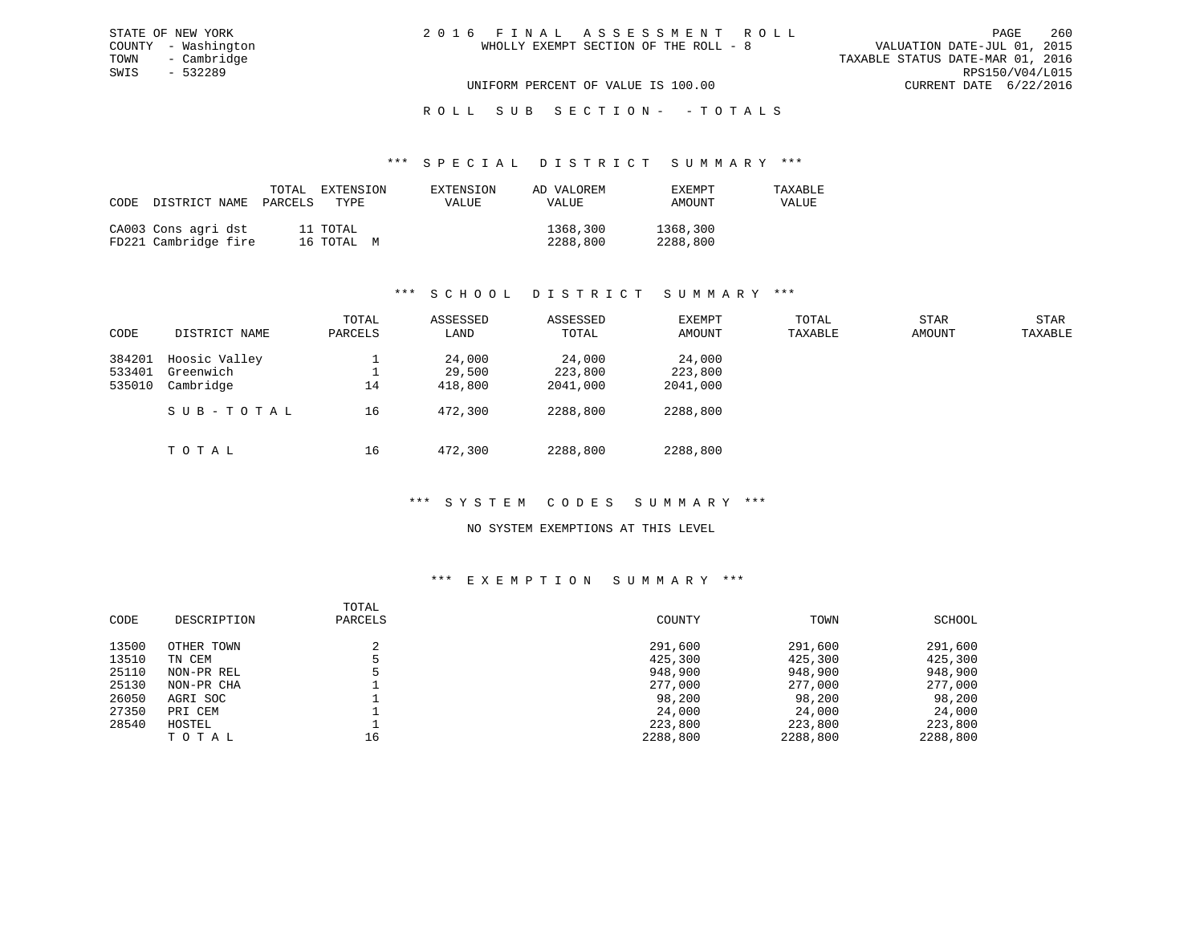UNIFORM PERCENT OF VALUE IS 100.00 CURRENT DATE 6/22/2016

R O L L S U B S E C T I O N - - T O T A L S

### \*\*\* S P E C I A L D I S T R I C T S U M M A R Y \*\*\*

| CODE | DISTRICT NAME                               | TOTAL<br>PARCELS | EXTENSION<br>TYPE      | EXTENSION<br><b>VALUE</b> | AD VALOREM<br>VALUE  | EXEMPT<br>AMOUNT     | TAXABLE<br>VALUE |
|------|---------------------------------------------|------------------|------------------------|---------------------------|----------------------|----------------------|------------------|
|      | CA003 Cons agri dst<br>FD221 Cambridge fire |                  | 11 TOTAL<br>16 TOTAL M |                           | 1368,300<br>2288,800 | 1368,300<br>2288,800 |                  |

# \*\*\* S C H O O L D I S T R I C T S U M M A R Y \*\*\*

| CODE                       | DISTRICT NAME                           | TOTAL<br>PARCELS | ASSESSED<br>LAND            | ASSESSED<br>TOTAL             | EXEMPT<br>AMOUNT              | TOTAL<br>TAXABLE | <b>STAR</b><br>AMOUNT | STAR<br>TAXABLE |
|----------------------------|-----------------------------------------|------------------|-----------------------------|-------------------------------|-------------------------------|------------------|-----------------------|-----------------|
| 384201<br>533401<br>535010 | Hoosic Valley<br>Greenwich<br>Cambridge | 14               | 24,000<br>29,500<br>418,800 | 24,000<br>223,800<br>2041,000 | 24,000<br>223,800<br>2041,000 |                  |                       |                 |
|                            | SUB-TOTAL                               | 16               | 472,300                     | 2288,800                      | 2288,800                      |                  |                       |                 |
|                            | TOTAL                                   | 16               | 472,300                     | 2288,800                      | 2288,800                      |                  |                       |                 |

# \*\*\* S Y S T E M C O D E S S U M M A R Y \*\*\*

# NO SYSTEM EXEMPTIONS AT THIS LEVEL

| CODE  | DESCRIPTION | TOTAL<br>PARCELS | COUNTY   | TOWN     | SCHOOL   |
|-------|-------------|------------------|----------|----------|----------|
| 13500 | OTHER TOWN  |                  | 291,600  | 291,600  | 291,600  |
| 13510 | TN CEM      |                  | 425,300  | 425,300  | 425,300  |
| 25110 | NON-PR REL  |                  | 948,900  | 948,900  | 948,900  |
| 25130 | NON-PR CHA  |                  | 277,000  | 277,000  | 277,000  |
| 26050 | AGRI SOC    |                  | 98,200   | 98,200   | 98,200   |
| 27350 | PRI CEM     |                  | 24,000   | 24,000   | 24,000   |
| 28540 | HOSTEL      |                  | 223,800  | 223,800  | 223,800  |
|       | TOTAL       | 16               | 2288,800 | 2288,800 | 2288,800 |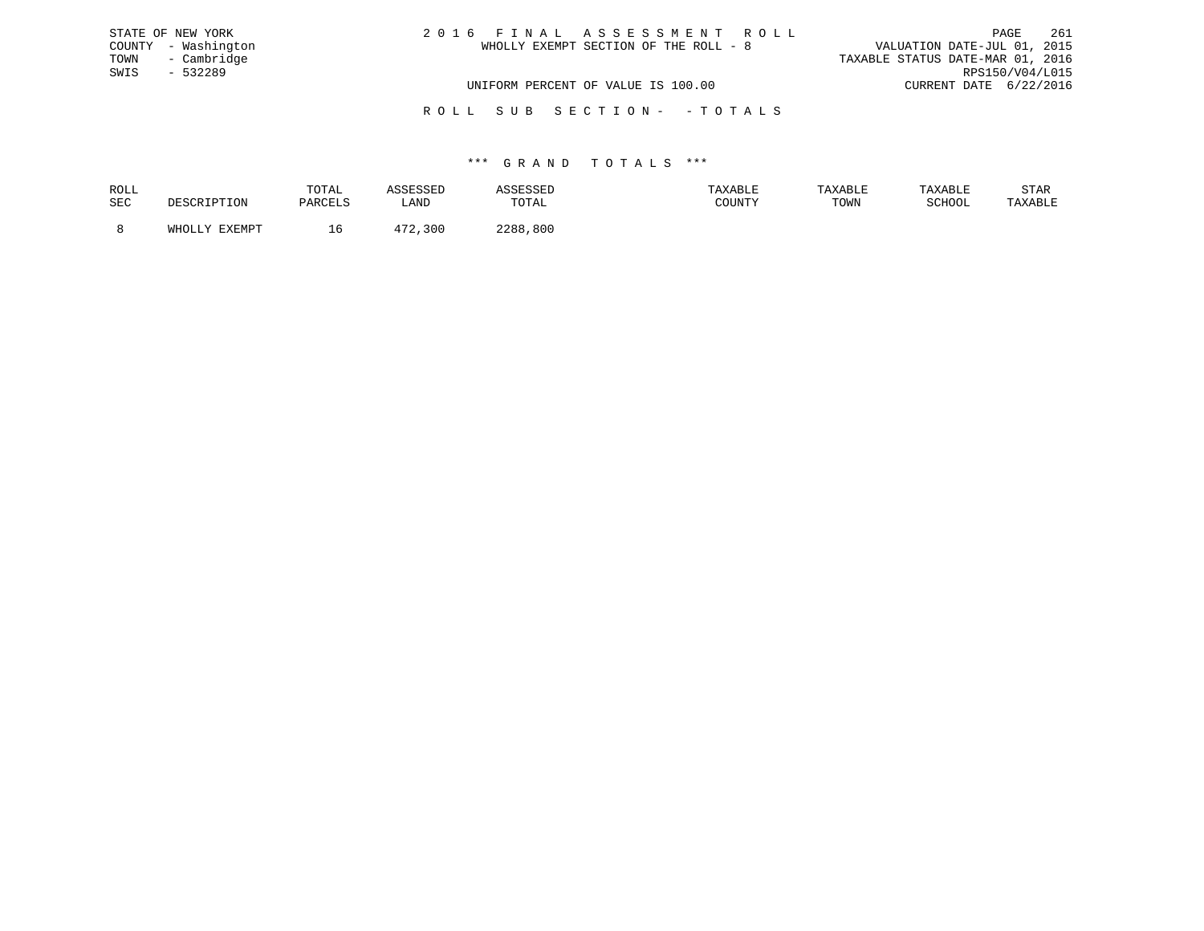| STATE OF NEW YORK   | 2016 FINAL ASSESSMENT ROLL            | 261<br>PAGE                      |
|---------------------|---------------------------------------|----------------------------------|
| COUNTY - Washington | WHOLLY EXEMPT SECTION OF THE ROLL - 8 | VALUATION DATE-JUL 01, 2015      |
| TOWN - Cambridge    |                                       | TAXABLE STATUS DATE-MAR 01, 2016 |
| SWIS<br>$-532289$   |                                       | RPS150/V04/L015                  |
|                     | UNIFORM PERCENT OF VALUE IS 100.00    | CURRENT DATE 6/22/2016           |
|                     |                                       |                                  |

R O L L S U B S E C T I O N - - T O T A L S

| ROLL |               | TOTAL     |      |             | AXABLF | <b>TAXABLE</b> |               | STAR    |
|------|---------------|-----------|------|-------------|--------|----------------|---------------|---------|
| SEC  | . ⊥∪⊥∖        | ם דסום מח | LAND | TOTAL       | COUNTY | TOWN           | <b>RCHOOL</b> | 'AXABLE |
|      | <b>EVEMDT</b> |           |      | 0 מר<br>800 |        |                |               |         |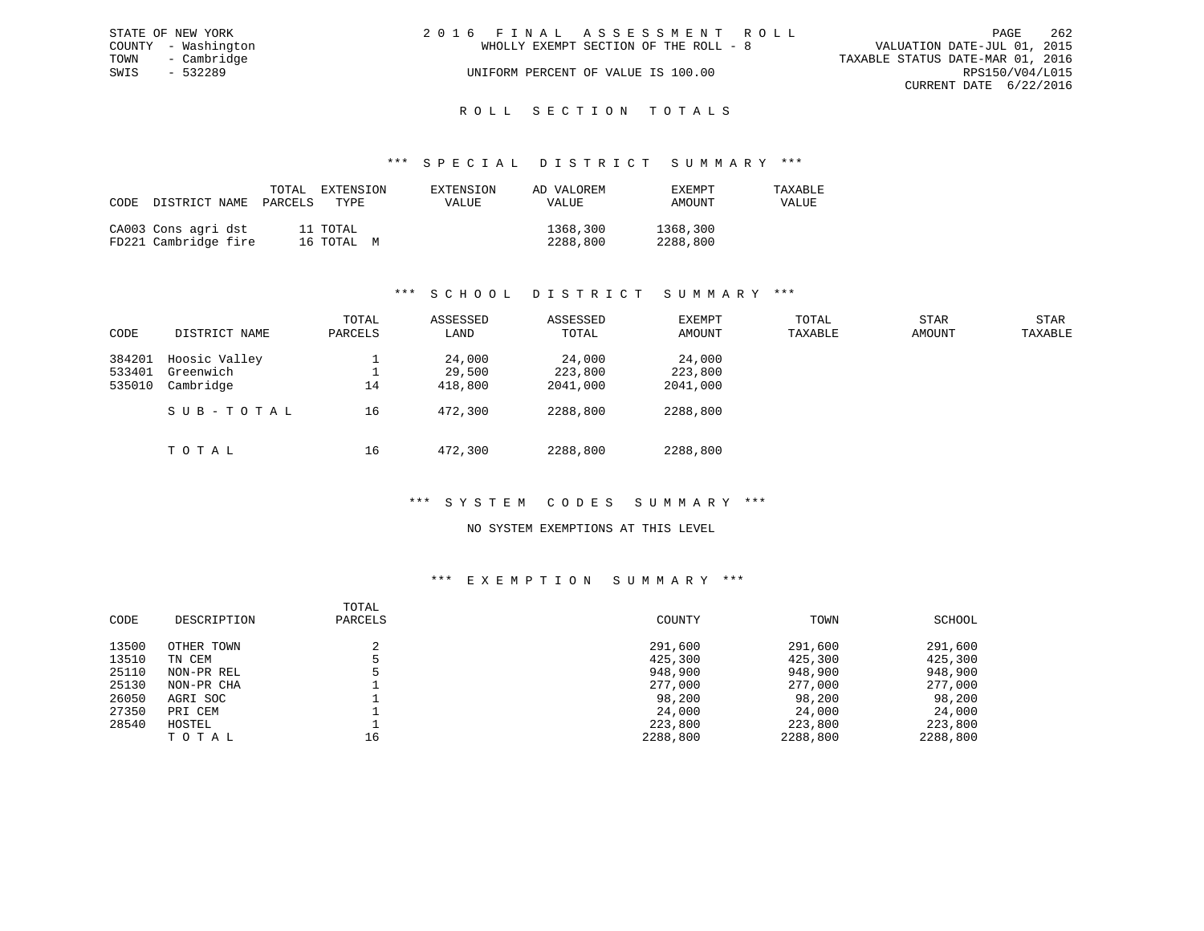|      | STATE OF NEW YORK   | 2016 FINAL ASSESSMENT ROLL |                                       |                                  |                        | PAGE | -262 |
|------|---------------------|----------------------------|---------------------------------------|----------------------------------|------------------------|------|------|
|      | COUNTY - Washington |                            | WHOLLY EXEMPT SECTION OF THE ROLL - 8 | VALUATION DATE-JUL 01, 2015      |                        |      |      |
| TOWN | - Cambridge         |                            |                                       | TAXABLE STATUS DATE-MAR 01, 2016 |                        |      |      |
| SWIS | $-532289$           |                            | UNIFORM PERCENT OF VALUE IS 100.00    |                                  | RPS150/V04/L015        |      |      |
|      |                     |                            |                                       |                                  | CURRENT DATE 6/22/2016 |      |      |
|      |                     |                            |                                       |                                  |                        |      |      |

# ROLL SECTION TOTALS

### \*\*\* S P E C I A L D I S T R I C T S U M M A R Y \*\*\*

| CODE | DISTRICT NAME                               | TOTAL<br>PARCELS | EXTENSION<br>TYPE      | EXTENSION<br>VALUE | AD VALOREM<br>VALUE  | EXEMPT<br>AMOUNT     | TAXABLE<br>VALUE |
|------|---------------------------------------------|------------------|------------------------|--------------------|----------------------|----------------------|------------------|
|      | CA003 Cons agri dst<br>FD221 Cambridge fire |                  | 11 TOTAL<br>16 TOTAL M |                    | 1368,300<br>2288,800 | 1368,300<br>2288,800 |                  |

# \*\*\* S C H O O L D I S T R I C T S U M M A R Y \*\*\*

| CODE                       | DISTRICT NAME                           | TOTAL<br>PARCELS | ASSESSED<br>LAND            | ASSESSED<br>TOTAL             | EXEMPT<br>AMOUNT              | TOTAL<br>TAXABLE | STAR<br>AMOUNT | STAR<br>TAXABLE |
|----------------------------|-----------------------------------------|------------------|-----------------------------|-------------------------------|-------------------------------|------------------|----------------|-----------------|
| 384201<br>533401<br>535010 | Hoosic Valley<br>Greenwich<br>Cambridge | 14               | 24,000<br>29,500<br>418,800 | 24,000<br>223,800<br>2041,000 | 24,000<br>223,800<br>2041,000 |                  |                |                 |
|                            | SUB-TOTAL                               | 16               | 472,300                     | 2288,800                      | 2288,800                      |                  |                |                 |
|                            | TOTAL                                   | 16               | 472,300                     | 2288,800                      | 2288,800                      |                  |                |                 |

# \*\*\* S Y S T E M C O D E S S U M M A R Y \*\*\*

### NO SYSTEM EXEMPTIONS AT THIS LEVEL

|       |             | TOTAL   |          |          |          |
|-------|-------------|---------|----------|----------|----------|
| CODE  | DESCRIPTION | PARCELS | COUNTY   | TOWN     | SCHOOL   |
| 13500 | OTHER TOWN  | ◠       | 291,600  | 291,600  | 291,600  |
| 13510 | TN CEM      |         | 425,300  | 425,300  | 425,300  |
| 25110 | NON-PR REL  |         | 948,900  | 948,900  | 948,900  |
| 25130 | NON-PR CHA  |         | 277,000  | 277,000  | 277,000  |
| 26050 | AGRI SOC    |         | 98,200   | 98,200   | 98,200   |
| 27350 | PRI CEM     |         | 24,000   | 24,000   | 24,000   |
| 28540 | HOSTEL      |         | 223,800  | 223,800  | 223,800  |
|       | TOTAL       | 16      | 2288,800 | 2288,800 | 2288,800 |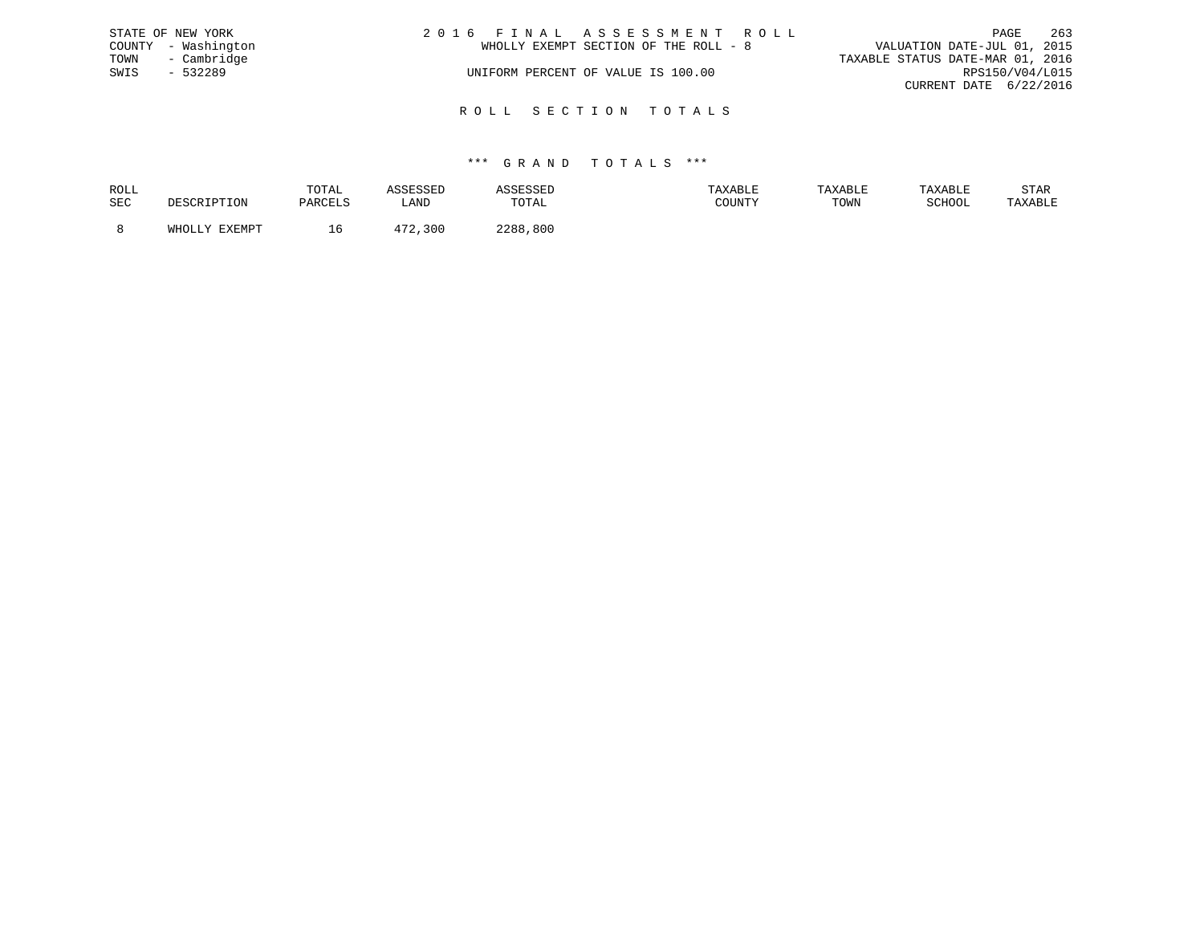|      | STATE OF NEW YORK   | 2016 FINAL ASSESSMENT ROLL            | PAGE                             | 263 |
|------|---------------------|---------------------------------------|----------------------------------|-----|
|      | COUNTY - Washington | WHOLLY EXEMPT SECTION OF THE ROLL - 8 | VALUATION DATE-JUL 01, 2015      |     |
|      | TOWN - Cambridge    |                                       | TAXABLE STATUS DATE-MAR 01, 2016 |     |
| SWIS | - 532289            | UNIFORM PERCENT OF VALUE IS 100.00    | RPS150/V04/L015                  |     |
|      |                     |                                       | CURRENT DATE 6/22/2016           |     |
|      |                     |                                       |                                  |     |

R O L L S E C T I O N T O T A L S

| ROLL |        | TOTAL    | the company of the company of the company of the company of the company of the company of the company of the company of the company of the company of the company of the company of the company of the company of the company |             | AXABLE                                  | TAXABL. |        | STAR    |
|------|--------|----------|-------------------------------------------------------------------------------------------------------------------------------------------------------------------------------------------------------------------------------|-------------|-----------------------------------------|---------|--------|---------|
| SEC  |        | DARCFI.S | ≒AND                                                                                                                                                                                                                          | TOTAL       | $C$ $C$ $T$ $T$ $T$ $T$ $T$ $T$ $T$ $T$ | TOWN    | SCHOOL | TAXABLE |
|      | FYFMDT |          | 300                                                                                                                                                                                                                           | つつRR<br>800 |                                         |         |        |         |
|      |        |          |                                                                                                                                                                                                                               |             |                                         |         |        |         |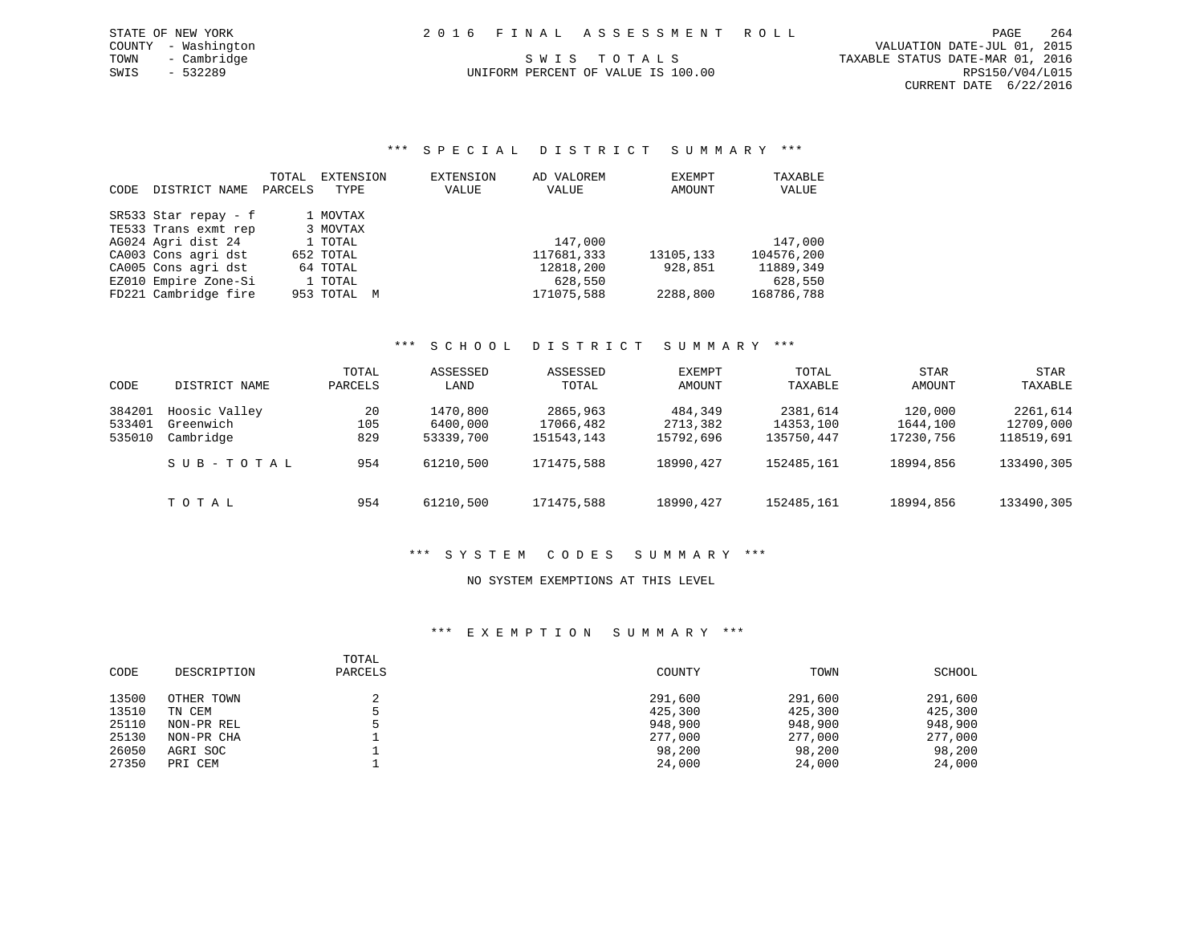UNIFORM PERCENT OF VALUE IS 100.00

\*\*\* S P E C I A L D I S T R I C T S U M M A R Y \*\*\*

|             |                      | TOTAL   | EXTENSION   | EXTENSION | AD VALOREM | EXEMPT    | TAXABLE    |
|-------------|----------------------|---------|-------------|-----------|------------|-----------|------------|
| <b>CODE</b> | DISTRICT NAME        | PARCELS | TYPE        | VALUE     | VALUE      | AMOUNT    | VALUE      |
|             |                      |         |             |           |            |           |            |
|             | SR533 Star repay - f |         | 1 MOVTAX    |           |            |           |            |
|             | TE533 Trans exmt rep |         | 3 MOVTAX    |           |            |           |            |
|             | AG024 Agri dist 24   |         | 1 TOTAL     |           | 147,000    |           | 147,000    |
|             | CA003 Cons agri dst  |         | 652 TOTAL   |           | 117681,333 | 13105,133 | 104576,200 |
|             | CA005 Cons agri dst  |         | 64 TOTAL    |           | 12818,200  | 928,851   | 11889,349  |
|             | EZ010 Empire Zone-Si |         | 1 TOTAL     |           | 628,550    |           | 628,550    |
|             | FD221 Cambridge fire |         | 953 TOTAL M |           | 171075,588 | 2288,800  | 168786,788 |

# \*\*\* S C H O O L D I S T R I C T S U M M A R Y \*\*\*

| CODE   | DISTRICT NAME | TOTAL<br>PARCELS | ASSESSED<br>LAND | ASSESSED<br>TOTAL | EXEMPT<br>AMOUNT | TOTAL<br>TAXABLE | <b>STAR</b><br>AMOUNT | STAR<br>TAXABLE |
|--------|---------------|------------------|------------------|-------------------|------------------|------------------|-----------------------|-----------------|
| 384201 | Hoosic Valley | 20               | 1470,800         | 2865,963          | 484,349          | 2381,614         | 120,000               | 2261,614        |
| 533401 | Greenwich     | 105              | 6400,000         | 17066,482         | 2713,382         | 14353,100        | 1644,100              | 12709,000       |
| 535010 | Cambridge     | 829              | 53339,700        | 151543,143        | 15792,696        | 135750,447       | 17230,756             | 118519,691      |
|        | SUB-TOTAL     | 954              | 61210,500        | 171475,588        | 18990, 427       | 152485,161       | 18994,856             | 133490,305      |
|        | TOTAL         | 954              | 61210,500        | 171475,588        | 18990, 427       | 152485,161       | 18994,856             | 133490,305      |

# \*\*\* S Y S T E M C O D E S S U M M A R Y \*\*\*

### NO SYSTEM EXEMPTIONS AT THIS LEVEL

| CODE  | DESCRIPTION | TOTAL<br>PARCELS | COUNTY  | TOWN    | SCHOOL  |
|-------|-------------|------------------|---------|---------|---------|
| 13500 | OTHER TOWN  |                  | 291,600 | 291,600 | 291,600 |
| 13510 | TN CEM      |                  | 425,300 | 425,300 | 425,300 |
| 25110 | NON-PR REL  |                  | 948,900 | 948,900 | 948,900 |
| 25130 | NON-PR CHA  |                  | 277,000 | 277,000 | 277,000 |
| 26050 | AGRI SOC    |                  | 98,200  | 98,200  | 98,200  |
| 27350 | PRI CEM     |                  | 24,000  | 24,000  | 24,000  |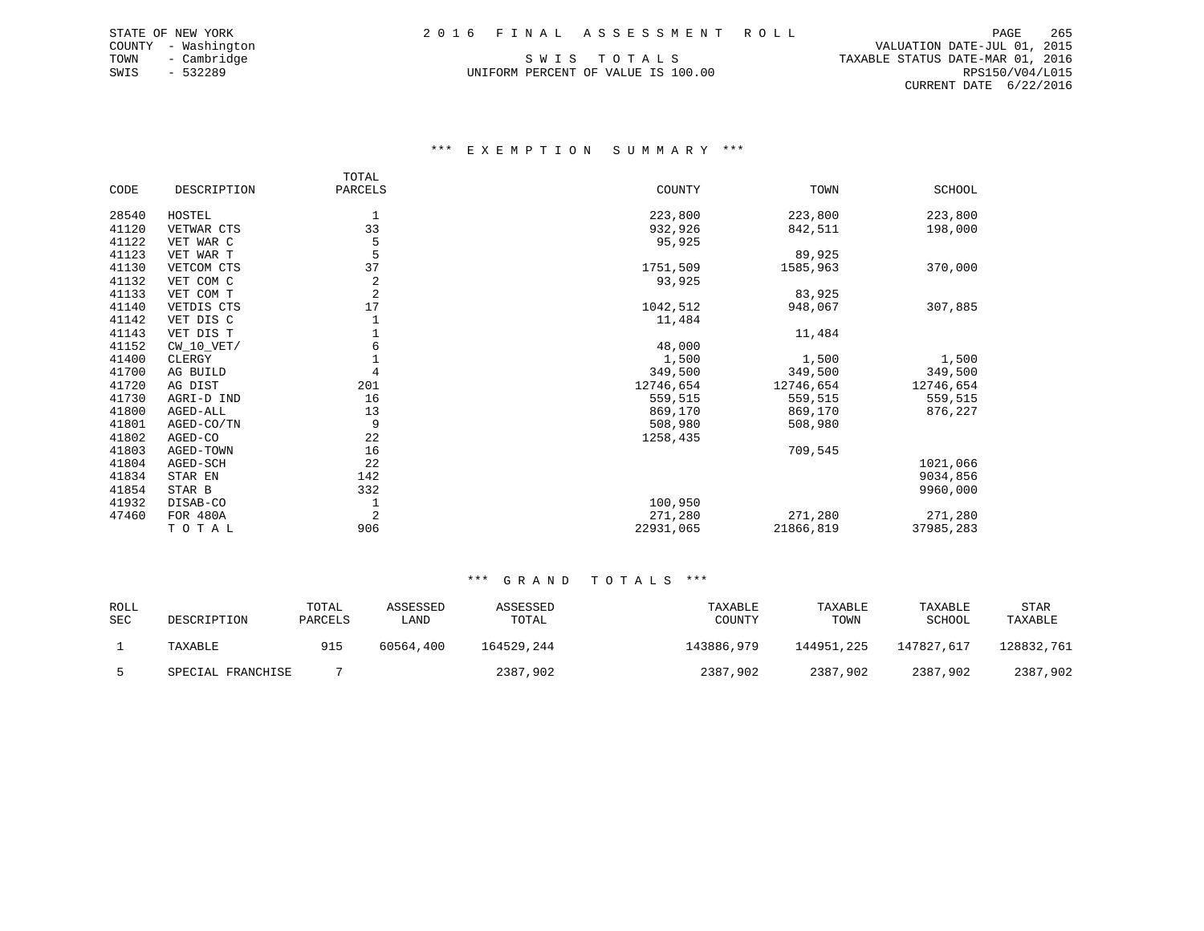UNIFORM PERCENT OF VALUE IS 100.00

 COUNTY - Washington VALUATION DATE-JUL 01, 2015 TOWN - Cambridge S W I S T O T A L S TAXABLE STATUS DATE-MAR 01, 2016 CURRENT DATE 6/22/2016

### \*\*\* E X E M P T I O N S U M M A R Y \*\*\*

|       |              | TOTAL          |           |           |               |
|-------|--------------|----------------|-----------|-----------|---------------|
| CODE  | DESCRIPTION  | PARCELS        | COUNTY    | TOWN      | <b>SCHOOL</b> |
| 28540 | HOSTEL       |                | 223,800   | 223,800   | 223,800       |
| 41120 | VETWAR CTS   | 33             | 932,926   | 842,511   | 198,000       |
| 41122 | VET WAR C    | 5              | 95,925    |           |               |
| 41123 | VET WAR T    | 5              |           | 89,925    |               |
| 41130 | VETCOM CTS   | 37             | 1751,509  | 1585,963  | 370,000       |
| 41132 | VET COM C    | 2              | 93,925    |           |               |
| 41133 | VET COM T    | $\overline{2}$ |           | 83,925    |               |
| 41140 | VETDIS CTS   | 17             | 1042,512  | 948,067   | 307,885       |
| 41142 | VET DIS C    |                | 11,484    |           |               |
| 41143 | VET DIS T    |                |           | 11,484    |               |
| 41152 | $CW_10_VET/$ | 6              | 48,000    |           |               |
| 41400 | CLERGY       |                | 1,500     | 1,500     | 1,500         |
| 41700 | AG BUILD     | 4              | 349,500   | 349,500   | 349,500       |
| 41720 | AG DIST      | 201            | 12746,654 | 12746,654 | 12746,654     |
| 41730 | AGRI-D IND   | 16             | 559,515   | 559,515   | 559,515       |
| 41800 | AGED-ALL     | 13             | 869,170   | 869,170   | 876,227       |
| 41801 | AGED-CO/TN   | 9              | 508,980   | 508,980   |               |
| 41802 | AGED-CO      | 22             | 1258,435  |           |               |
| 41803 | AGED-TOWN    | 16             |           | 709,545   |               |
| 41804 | AGED-SCH     | 22             |           |           | 1021,066      |
| 41834 | STAR EN      | 142            |           |           | 9034,856      |
| 41854 | STAR B       | 332            |           |           | 9960,000      |
| 41932 | DISAB-CO     |                | 100,950   |           |               |
| 47460 | FOR 480A     | 2              | 271,280   | 271,280   | 271,280       |
|       | TOTAL        | 906            | 22931,065 | 21866,819 | 37985,283     |

| ROLL<br>SEC | DESCRIPTION       | TOTAL<br>PARCELS | ASSESSED<br>LAND | ASSESSED<br>TOTAL | TAXABLE<br>COUNTY | TAXABLE<br>TOWN | TAXABLE<br>SCHOOL | <b>STAR</b><br>TAXABLE |
|-------------|-------------------|------------------|------------------|-------------------|-------------------|-----------------|-------------------|------------------------|
|             | TAXABLE           | 915              | 60564,400        | 164529,244        | 143886,979        | 144951,225      | 147827,617        | 128832,761             |
|             | SPECIAL FRANCHISE |                  |                  | 2387,902          | 2387,902          | 2387,902        | 2387,902          | 2387,902               |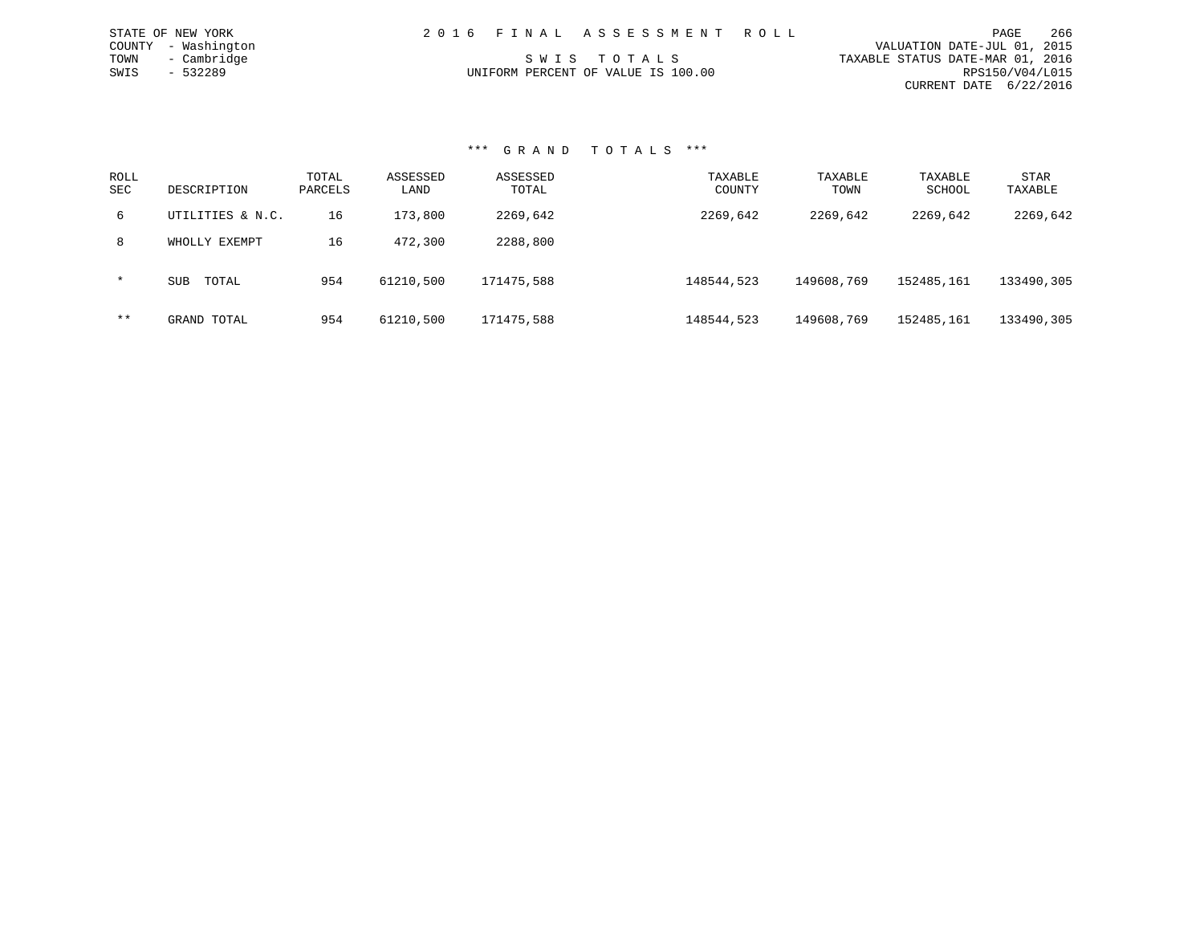|      | STATE OF NEW YORK   | 2016 FINAL ASSESSMENT ROLL         |                                  | PAGE            | 266 |
|------|---------------------|------------------------------------|----------------------------------|-----------------|-----|
|      | COUNTY - Washington |                                    | VALUATION DATE-JUL 01, 2015      |                 |     |
| TOWN | - Cambridge         | SWIS TOTALS                        | TAXABLE STATUS DATE-MAR 01, 2016 |                 |     |
| SWIS | $-532289$           | UNIFORM PERCENT OF VALUE IS 100.00 |                                  | RPS150/V04/L015 |     |
|      |                     |                                    | CURRENT DATE 6/22/2016           |                 |     |

| ROLL<br><b>SEC</b> | DESCRIPTION         | TOTAL<br>PARCELS | ASSESSED<br>LAND | ASSESSED<br>TOTAL | TAXABLE<br>COUNTY | TAXABLE<br>TOWN | TAXABLE<br>SCHOOL | STAR<br>TAXABLE |
|--------------------|---------------------|------------------|------------------|-------------------|-------------------|-----------------|-------------------|-----------------|
| 6                  | UTILITIES & N.C.    | 16               | 173,800          | 2269,642          | 2269,642          | 2269,642        | 2269,642          | 2269,642        |
| 8                  | WHOLLY EXEMPT       | 16               | 472,300          | 2288,800          |                   |                 |                   |                 |
| $\star$            | TOTAL<br><b>SUB</b> | 954              | 61210,500        | 171475,588        | 148544,523        | 149608,769      | 152485,161        | 133490,305      |
| $***$              | GRAND TOTAL         | 954              | 61210,500        | 171475,588        | 148544,523        | 149608,769      | 152485,161        | 133490,305      |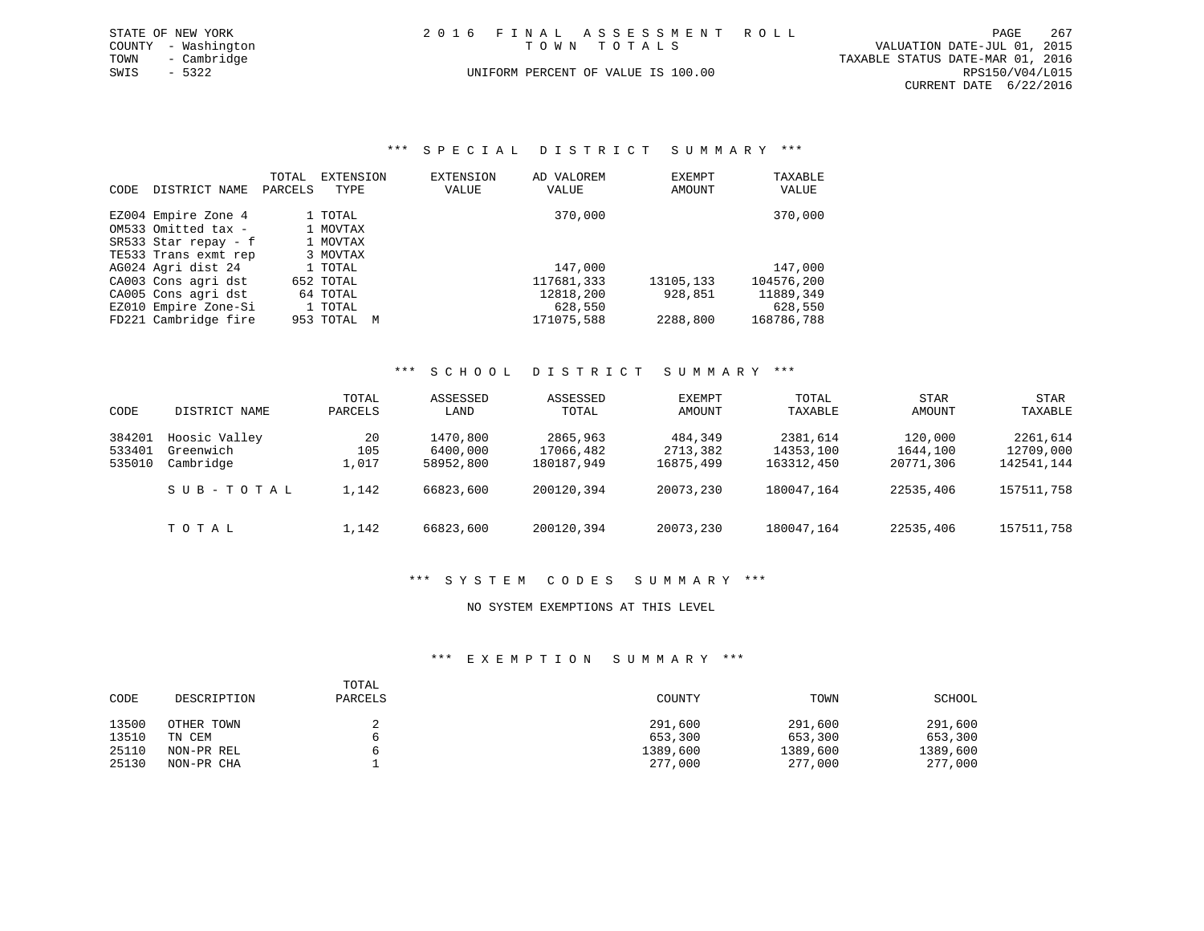| STATE OF NEW YORK   | 2016 FINAL ASSESSMENT ROLL         | 267<br>PAGE                      |
|---------------------|------------------------------------|----------------------------------|
| COUNTY - Washington | TOWN TOTALS                        | VALUATION DATE-JUL 01, 2015      |
| TOWN<br>- Cambridge |                                    | TAXABLE STATUS DATE-MAR 01, 2016 |
| SWIS - 5322         | UNIFORM PERCENT OF VALUE IS 100.00 | RPS150/V04/L015                  |
|                     |                                    | CURRENT DATE 6/22/2016           |

### \*\*\* S P E C I A L D I S T R I C T S U M M A R Y \*\*\*

| <b>CODE</b> | DISTRICT NAME                              | TOTAL<br>PARCELS | EXTENSION<br>TYPE   | EXTENSION<br>VALUE | AD VALOREM<br>VALUE | EXEMPT<br>AMOUNT | TAXABLE<br>VALUE |
|-------------|--------------------------------------------|------------------|---------------------|--------------------|---------------------|------------------|------------------|
|             | EZ004 Empire Zone 4<br>OM533 Omitted tax - |                  | 1 TOTAL<br>1 MOVTAX |                    | 370,000             |                  | 370,000          |
|             | SR533 Star repay - f                       |                  | 1 MOVTAX            |                    |                     |                  |                  |
|             | TE533 Trans exmt rep                       |                  | 3 MOVTAX            |                    |                     |                  |                  |
|             | AG024 Agri dist 24                         |                  | 1 TOTAL             |                    | 147,000             |                  | 147,000          |
|             | CA003 Cons agri dst                        |                  | 652 TOTAL           |                    | 117681,333          | 13105,133        | 104576,200       |
|             | CA005 Cons agri dst                        |                  | 64 TOTAL            |                    | 12818,200           | 928,851          | 11889,349        |
|             | EZ010 Empire Zone-Si                       |                  | 1 TOTAL             |                    | 628,550             |                  | 628,550          |
|             | FD221 Cambridge fire                       |                  | 953 TOTAL           | M                  | 171075,588          | 2288,800         | 168786,788       |

### \*\*\* S C H O O L D I S T R I C T S U M M A R Y \*\*\*

| CODE                       | DISTRICT NAME                           | TOTAL<br>PARCELS   | ASSESSED<br>LAND                  | ASSESSED<br>TOTAL                   | EXEMPT<br>AMOUNT                 | TOTAL<br>TAXABLE                    | <b>STAR</b><br>AMOUNT            | STAR<br>TAXABLE                     |
|----------------------------|-----------------------------------------|--------------------|-----------------------------------|-------------------------------------|----------------------------------|-------------------------------------|----------------------------------|-------------------------------------|
| 384201<br>533401<br>535010 | Hoosic Valley<br>Greenwich<br>Cambridge | 20<br>105<br>1,017 | 1470,800<br>6400,000<br>58952,800 | 2865,963<br>17066,482<br>180187,949 | 484,349<br>2713,382<br>16875,499 | 2381,614<br>14353,100<br>163312,450 | 120,000<br>1644,100<br>20771,306 | 2261,614<br>12709,000<br>142541,144 |
|                            | SUB-TOTAL                               | 1,142              | 66823,600                         | 200120.394                          | 20073,230                        | 180047,164                          | 22535,406                        | 157511,758                          |
|                            | тотаь                                   | 1,142              | 66823,600                         | 200120,394                          | 20073,230                        | 180047,164                          | 22535,406                        | 157511,758                          |

### \*\*\* S Y S T E M C O D E S S U M M A R Y \*\*\*

### NO SYSTEM EXEMPTIONS AT THIS LEVEL

| CODE  | DESCRIPTION | TOTAL<br>PARCELS | COUNTY   | TOWN     | SCHOOL   |
|-------|-------------|------------------|----------|----------|----------|
| 13500 | OTHER TOWN  |                  | 291,600  | 291,600  | 291,600  |
| 13510 | TN CEM      |                  | 653,300  | 653,300  | 653,300  |
| 25110 | NON-PR REL  |                  | 1389,600 | 1389,600 | 1389,600 |
| 25130 | NON-PR CHA  |                  | 277,000  | 277,000  | 277,000  |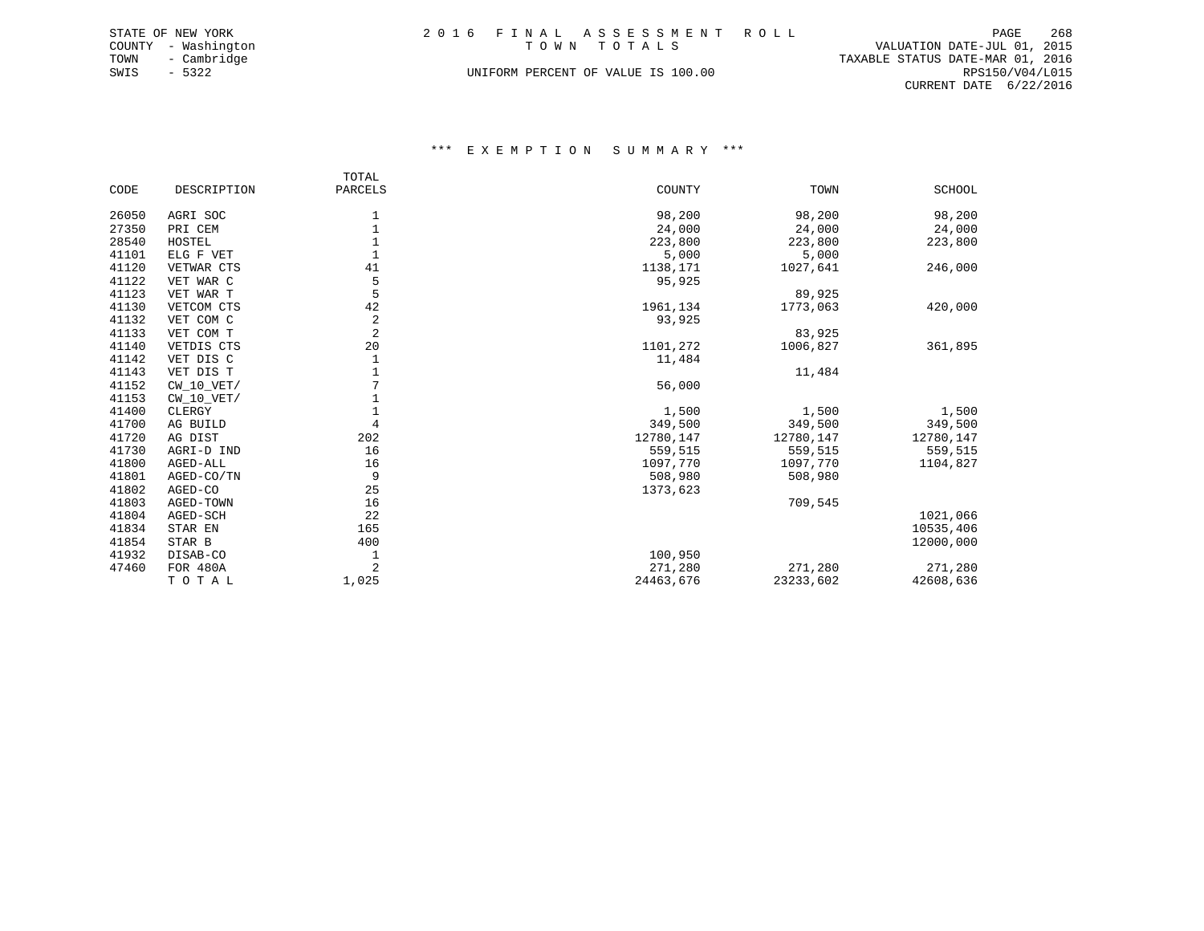|      | STATE OF NEW YORK   | 2016 FINAL ASSESSMENT ROLL         |                                  | PAGE            | 268 |
|------|---------------------|------------------------------------|----------------------------------|-----------------|-----|
|      | COUNTY - Washington | TOWN TOTALS                        | VALUATION DATE-JUL 01, 2015      |                 |     |
| TOWN | - Cambridge         |                                    | TAXABLE STATUS DATE-MAR 01, 2016 |                 |     |
| SWIS | - 5322              | UNIFORM PERCENT OF VALUE IS 100.00 |                                  | RPS150/V04/L015 |     |
|      |                     |                                    | CURRENT DATE 6/22/2016           |                 |     |

|       |              | TOTAL          |           |           |               |
|-------|--------------|----------------|-----------|-----------|---------------|
| CODE  | DESCRIPTION  | PARCELS        | COUNTY    | TOWN      | <b>SCHOOL</b> |
| 26050 | AGRI SOC     | 1              | 98,200    | 98,200    | 98,200        |
| 27350 | PRI CEM      | 1              | 24,000    | 24,000    | 24,000        |
| 28540 | HOSTEL       |                | 223,800   | 223,800   | 223,800       |
| 41101 | ELG F VET    |                | 5,000     | 5,000     |               |
| 41120 | VETWAR CTS   | 41             | 1138,171  | 1027,641  | 246,000       |
| 41122 | VET WAR C    | 5              | 95,925    |           |               |
| 41123 | VET WAR T    | 5              |           | 89,925    |               |
| 41130 | VETCOM CTS   | 42             | 1961,134  | 1773,063  | 420,000       |
| 41132 | VET COM C    | 2              | 93,925    |           |               |
| 41133 | VET COM T    | $\overline{2}$ |           | 83,925    |               |
| 41140 | VETDIS CTS   | 20             | 1101,272  | 1006,827  | 361,895       |
| 41142 | VET DIS C    | 1              | 11,484    |           |               |
| 41143 | VET DIS T    |                |           | 11,484    |               |
| 41152 | $CW_10_VET/$ |                | 56,000    |           |               |
| 41153 | $CW_10_VET/$ | $\mathbf{1}$   |           |           |               |
| 41400 | CLERGY       |                | 1,500     | 1,500     | 1,500         |
| 41700 | AG BUILD     | $\overline{4}$ | 349,500   | 349,500   | 349,500       |
| 41720 | AG DIST      | 202            | 12780,147 | 12780,147 | 12780,147     |
| 41730 | AGRI-D IND   | 16             | 559,515   | 559,515   | 559,515       |
| 41800 | AGED-ALL     | 16             | 1097,770  | 1097,770  | 1104,827      |
| 41801 | AGED-CO/TN   | 9              | 508,980   | 508,980   |               |
| 41802 | AGED-CO      | 25             | 1373,623  |           |               |
| 41803 | AGED-TOWN    | 16             |           | 709,545   |               |
| 41804 | AGED-SCH     | 22             |           |           | 1021,066      |
| 41834 | STAR EN      | 165            |           |           | 10535,406     |
| 41854 | STAR B       | 400            |           |           | 12000,000     |
| 41932 | DISAB-CO     | 1              | 100,950   |           |               |
| 47460 | FOR 480A     | $\overline{2}$ | 271,280   | 271,280   | 271,280       |
|       | TOTAL        | 1,025          | 24463,676 | 23233,602 | 42608,636     |